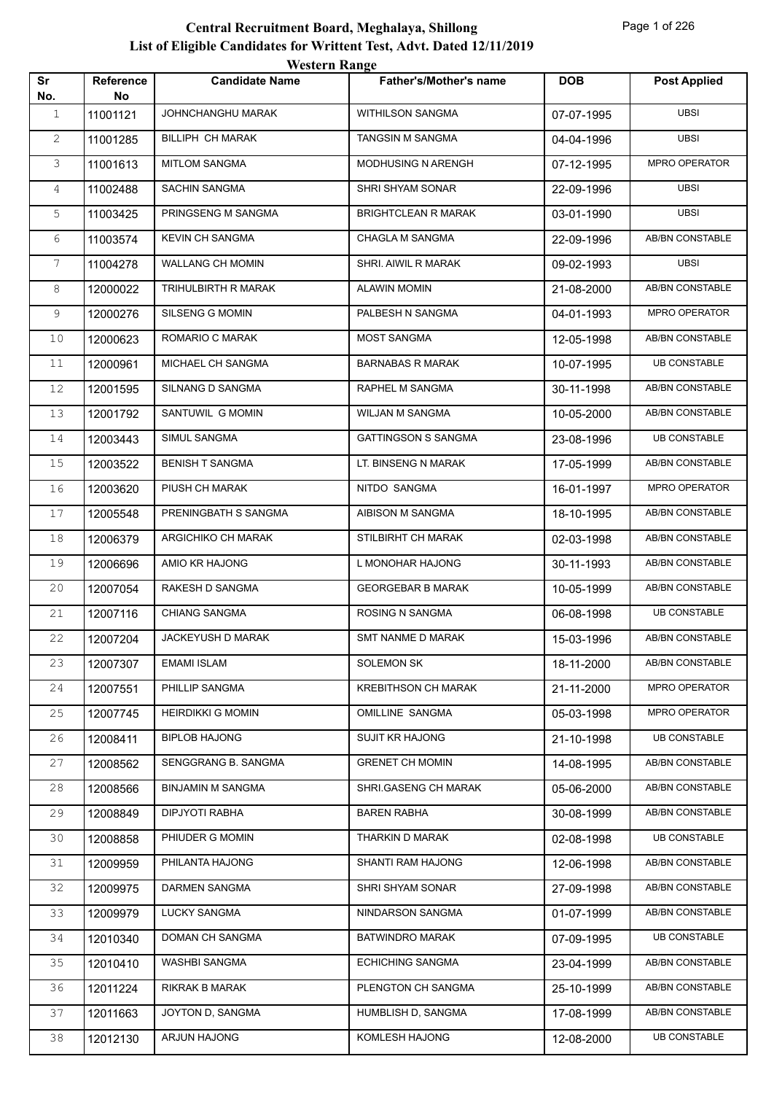|              |                        | <b>Western Range</b>     |                               |            |                        |
|--------------|------------------------|--------------------------|-------------------------------|------------|------------------------|
| Sr<br>No.    | <b>Reference</b><br>No | <b>Candidate Name</b>    | <b>Father's/Mother's name</b> | DOB        | <b>Post Applied</b>    |
| $\mathbf{1}$ | 11001121               | JOHNCHANGHU MARAK        | <b>WITHILSON SANGMA</b>       | 07-07-1995 | <b>UBSI</b>            |
| $\mathbf{2}$ | 11001285               | BILLIPH CH MARAK         | TANGSIN M SANGMA              | 04-04-1996 | <b>UBSI</b>            |
| 3            | 11001613               | <b>MITLOM SANGMA</b>     | MODHUSING N ARENGH            | 07-12-1995 | MPRO OPERATOR          |
| 4            | 11002488               | SACHIN SANGMA            | SHRI SHYAM SONAR              | 22-09-1996 | <b>UBSI</b>            |
| 5            | 11003425               | PRINGSENG M SANGMA       | <b>BRIGHTCLEAN R MARAK</b>    | 03-01-1990 | <b>UBSI</b>            |
| 6            | 11003574               | <b>KEVIN CH SANGMA</b>   | CHAGLA M SANGMA               | 22-09-1996 | <b>AB/BN CONSTABLE</b> |
| 7            | 11004278               | WALLANG CH MOMIN         | SHRI. AIWIL R MARAK           | 09-02-1993 | <b>UBSI</b>            |
| 8            | 12000022               | TRIHULBIRTH R MARAK      | <b>ALAWIN MOMIN</b>           | 21-08-2000 | AB/BN CONSTABLE        |
| 9            | 12000276               | SILSENG G MOMIN          | PALBESH N SANGMA              | 04-01-1993 | <b>MPRO OPERATOR</b>   |
| 10           | 12000623               | ROMARIO C MARAK          | <b>MOST SANGMA</b>            | 12-05-1998 | AB/BN CONSTABLE        |
| 11           | 12000961               | MICHAEL CH SANGMA        | <b>BARNABAS R MARAK</b>       | 10-07-1995 | <b>UB CONSTABLE</b>    |
| 12           | 12001595               | SILNANG D SANGMA         | RAPHEL M SANGMA               | 30-11-1998 | AB/BN CONSTABLE        |
| 13           | 12001792               | SANTUWIL G MOMIN         | WILJAN M SANGMA               | 10-05-2000 | AB/BN CONSTABLE        |
| 14           | 12003443               | SIMUL SANGMA             | <b>GATTINGSON S SANGMA</b>    | 23-08-1996 | <b>UB CONSTABLE</b>    |
| 15           | 12003522               | <b>BENISH T SANGMA</b>   | LT. BINSENG N MARAK           | 17-05-1999 | AB/BN CONSTABLE        |
| 16           | 12003620               | PIUSH CH MARAK           | NITDO SANGMA                  | 16-01-1997 | MPRO OPERATOR          |
| 17           | 12005548               | PRENINGBATH S SANGMA     | AIBISON M SANGMA              | 18-10-1995 | AB/BN CONSTABLE        |
| 18           | 12006379               | ARGICHIKO CH MARAK       | STILBIRHT CH MARAK            | 02-03-1998 | AB/BN CONSTABLE        |
| 19           | 12006696               | AMIO KR HAJONG           | L MONOHAR HAJONG              | 30-11-1993 | AB/BN CONSTABLE        |
| 20           | 12007054               | RAKESH D SANGMA          | <b>GEORGEBAR B MARAK</b>      | 10-05-1999 | AB/BN CONSTABLE        |
| 21           | 12007116               | <b>CHIANG SANGMA</b>     | <b>ROSING N SANGMA</b>        | 06-08-1998 | <b>UB CONSTABLE</b>    |
| 22           | 12007204               | JACKEYUSH D MARAK        | SMT NANME D MARAK             | 15-03-1996 | AB/BN CONSTABLE        |
| 23           | 12007307               | <b>EMAMI ISLAM</b>       | <b>SOLEMON SK</b>             | 18-11-2000 | AB/BN CONSTABLE        |
| 24           | 12007551               | PHILLIP SANGMA           | <b>KREBITHSON CH MARAK</b>    | 21-11-2000 | MPRO OPERATOR          |
| 25           | 12007745               | <b>HEIRDIKKI G MOMIN</b> | OMILLINE SANGMA               | 05-03-1998 | MPRO OPERATOR          |
| 26           | 12008411               | <b>BIPLOB HAJONG</b>     | <b>SUJIT KR HAJONG</b>        | 21-10-1998 | <b>UB CONSTABLE</b>    |
| 27           | 12008562               | SENGGRANG B. SANGMA      | <b>GRENET CH MOMIN</b>        | 14-08-1995 | AB/BN CONSTABLE        |
| 28           | 12008566               | <b>BINJAMIN M SANGMA</b> | SHRI.GASENG CH MARAK          | 05-06-2000 | AB/BN CONSTABLE        |
| 29           | 12008849               | DIPJYOTI RABHA           | BAREN RABHA                   | 30-08-1999 | AB/BN CONSTABLE        |
| 30           | 12008858               | PHIUDER G MOMIN          | THARKIN D MARAK               | 02-08-1998 | <b>UB CONSTABLE</b>    |
| 31           | 12009959               | PHILANTA HAJONG          | SHANTI RAM HAJONG             | 12-06-1998 | AB/BN CONSTABLE        |
| 32           | 12009975               | DARMEN SANGMA            | SHRI SHYAM SONAR              | 27-09-1998 | AB/BN CONSTABLE        |
| 33           | 12009979               | <b>LUCKY SANGMA</b>      | NINDARSON SANGMA              | 01-07-1999 | AB/BN CONSTABLE        |
| 34           | 12010340               | DOMAN CH SANGMA          | <b>BATWINDRO MARAK</b>        | 07-09-1995 | <b>UB CONSTABLE</b>    |
| 35           | 12010410               | WASHBI SANGMA            | <b>ECHICHING SANGMA</b>       | 23-04-1999 | AB/BN CONSTABLE        |
| 36           | 12011224               | RIKRAK B MARAK           | PLENGTON CH SANGMA            | 25-10-1999 | AB/BN CONSTABLE        |
| 37           | 12011663               | JOYTON D, SANGMA         | HUMBLISH D, SANGMA            | 17-08-1999 | AB/BN CONSTABLE        |
| 38           | 12012130               | ARJUN HAJONG             | KOMLESH HAJONG                | 12-08-2000 | <b>UB CONSTABLE</b>    |
|              |                        |                          |                               |            |                        |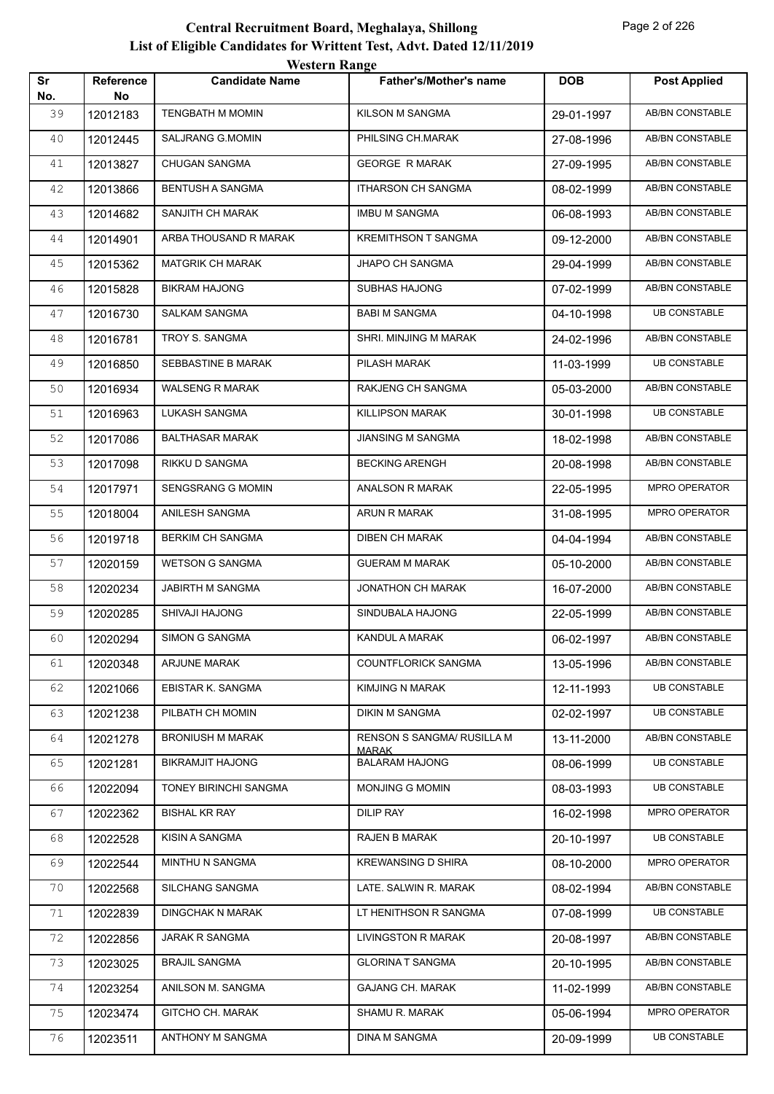|           |                        | <b>Western Range</b>    |                                |            |                        |
|-----------|------------------------|-------------------------|--------------------------------|------------|------------------------|
| Sr<br>No. | <b>Reference</b><br>No | <b>Candidate Name</b>   | Father's/Mother's name         | <b>DOB</b> | <b>Post Applied</b>    |
| 39        | 12012183               | <b>TENGBATH M MOMIN</b> | KILSON M SANGMA                | 29-01-1997 | AB/BN CONSTABLE        |
| 40        | 12012445               | SALJRANG G.MOMIN        | PHILSING CH.MARAK              | 27-08-1996 | AB/BN CONSTABLE        |
| 41        | 12013827               | <b>CHUGAN SANGMA</b>    | <b>GEORGE R MARAK</b>          | 27-09-1995 | AB/BN CONSTABLE        |
| 42        | 12013866               | <b>BENTUSH A SANGMA</b> | <b>ITHARSON CH SANGMA</b>      | 08-02-1999 | AB/BN CONSTABLE        |
| 43        | 12014682               | SANJITH CH MARAK        | <b>IMBU M SANGMA</b>           | 06-08-1993 | AB/BN CONSTABLE        |
| 44        | 12014901               | ARBA THOUSAND R MARAK   | <b>KREMITHSON T SANGMA</b>     | 09-12-2000 | AB/BN CONSTABLE        |
| 45        | 12015362               | <b>MATGRIK CH MARAK</b> | JHAPO CH SANGMA                | 29-04-1999 | AB/BN CONSTABLE        |
| 46        | 12015828               | <b>BIKRAM HAJONG</b>    | SUBHAS HAJONG                  | 07-02-1999 | AB/BN CONSTABLE        |
| 47        | 12016730               | <b>SALKAM SANGMA</b>    | <b>BABI M SANGMA</b>           | 04-10-1998 | <b>UB CONSTABLE</b>    |
| 48        | 12016781               | TROY S. SANGMA          | SHRI. MINJING M MARAK          | 24-02-1996 | AB/BN CONSTABLE        |
| 49        | 12016850               | SEBBASTINE B MARAK      | PILASH MARAK                   | 11-03-1999 | <b>UB CONSTABLE</b>    |
| 50        | 12016934               | <b>WALSENG R MARAK</b>  | RAKJENG CH SANGMA              | 05-03-2000 | AB/BN CONSTABLE        |
| 51        | 12016963               | LUKASH SANGMA           | <b>KILLIPSON MARAK</b>         | 30-01-1998 | <b>UB CONSTABLE</b>    |
| 52        | 12017086               | <b>BALTHASAR MARAK</b>  | <b>JIANSING M SANGMA</b>       | 18-02-1998 | AB/BN CONSTABLE        |
| 53        | 12017098               | RIKKU D SANGMA          | <b>BECKING ARENGH</b>          | 20-08-1998 | AB/BN CONSTABLE        |
| 54        | 12017971               | SENGSRANG G MOMIN       | <b>ANALSON R MARAK</b>         | 22-05-1995 | MPRO OPERATOR          |
| 55        | 12018004               | ANILESH SANGMA          | ARUN R MARAK                   | 31-08-1995 | MPRO OPERATOR          |
| 56        | 12019718               | <b>BERKIM CH SANGMA</b> | <b>DIBEN CH MARAK</b>          | 04-04-1994 | AB/BN CONSTABLE        |
| 57        | 12020159               | <b>WETSON G SANGMA</b>  | <b>GUERAM M MARAK</b>          | 05-10-2000 | AB/BN CONSTABLE        |
| 58        | 12020234               | <b>JABIRTH M SANGMA</b> | <b>JONATHON CH MARAK</b>       | 16-07-2000 | AB/BN CONSTABLE        |
| 59        | 12020285               | <b>SHIVAJI HAJONG</b>   | SINDUBALA HAJONG               | 22-05-1999 | AB/BN CONSTABLE        |
| 60        | 12020294               | <b>SIMON G SANGMA</b>   | KANDUL A MARAK                 | 06-02-1997 | <b>AB/BN CONSTABLE</b> |
| 61        | 12020348               | <b>ARJUNE MARAK</b>     | COUNTFLORICK SANGMA            | 13-05-1996 | <b>AB/BN CONSTABLE</b> |
| 62        | 12021066               | EBISTAR K. SANGMA       | KIMJING N MARAK                | 12-11-1993 | <b>UB CONSTABLE</b>    |
| 63        | 12021238               | PILBATH CH MOMIN        | <b>DIKIN M SANGMA</b>          | 02-02-1997 | <b>UB CONSTABLE</b>    |
| 64        | 12021278               | <b>BRONIUSH M MARAK</b> | RENSON S SANGMA/ RUSILLA M     | 13-11-2000 | AB/BN CONSTABLE        |
| 65        | 12021281               | <b>BIKRAMJIT HAJONG</b> | MARAK<br><b>BALARAM HAJONG</b> | 08-06-1999 | <b>UB CONSTABLE</b>    |
| 66        | 12022094               | TONEY BIRINCHI SANGMA   | <b>MONJING G MOMIN</b>         | 08-03-1993 | <b>UB CONSTABLE</b>    |
| 67        | 12022362               | BISHAL KR RAY           | DILIP RAY                      | 16-02-1998 | MPRO OPERATOR          |
| 68        | 12022528               | KISIN A SANGMA          | RAJEN B MARAK                  | 20-10-1997 | <b>UB CONSTABLE</b>    |
| 69        | 12022544               | MINTHU N SANGMA         | <b>KREWANSING D SHIRA</b>      | 08-10-2000 | MPRO OPERATOR          |
| 70        | 12022568               | SILCHANG SANGMA         | LATE. SALWIN R. MARAK          | 08-02-1994 | AB/BN CONSTABLE        |
| 71        | 12022839               | <b>DINGCHAK N MARAK</b> | LT HENITHSON R SANGMA          | 07-08-1999 | <b>UB CONSTABLE</b>    |
| 72        | 12022856               | JARAK R SANGMA          | <b>LIVINGSTON R MARAK</b>      | 20-08-1997 | AB/BN CONSTABLE        |
| 73        | 12023025               | <b>BRAJIL SANGMA</b>    | <b>GLORINA T SANGMA</b>        | 20-10-1995 | AB/BN CONSTABLE        |
| 74        | 12023254               | ANILSON M. SANGMA       | <b>GAJANG CH. MARAK</b>        | 11-02-1999 | AB/BN CONSTABLE        |
| 75        | 12023474               | <b>GITCHO CH. MARAK</b> | SHAMU R. MARAK                 | 05-06-1994 | MPRO OPERATOR          |
| 76        | 12023511               | ANTHONY M SANGMA        | DINA M SANGMA                  | 20-09-1999 | <b>UB CONSTABLE</b>    |
|           |                        |                         |                                |            |                        |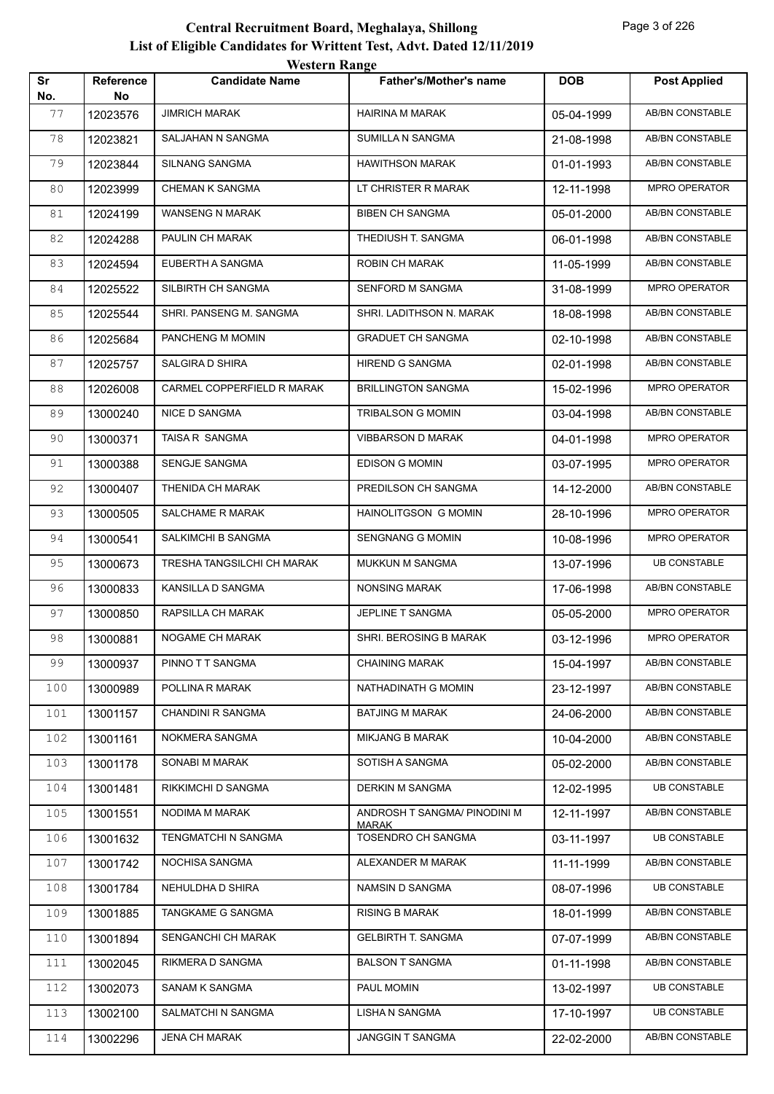|           |                        | <i>Western Kange</i>       |                                    |            |                      |
|-----------|------------------------|----------------------------|------------------------------------|------------|----------------------|
| Sr<br>No. | <b>Reference</b><br>No | <b>Candidate Name</b>      | Father's/Mother's name             | <b>DOB</b> | <b>Post Applied</b>  |
| 77        | 12023576               | <b>JIMRICH MARAK</b>       | HAIRINA M MARAK                    | 05-04-1999 | AB/BN CONSTABLE      |
| 78        | 12023821               | SALJAHAN N SANGMA          | SUMILLA N SANGMA                   | 21-08-1998 | AB/BN CONSTABLE      |
| 79        | 12023844               | SILNANG SANGMA             | <b>HAWITHSON MARAK</b>             | 01-01-1993 | AB/BN CONSTABLE      |
| 80        | 12023999               | <b>CHEMAN K SANGMA</b>     | LT CHRISTER R MARAK                | 12-11-1998 | MPRO OPERATOR        |
| 81        | 12024199               | WANSENG N MARAK            | <b>BIBEN CH SANGMA</b>             | 05-01-2000 | AB/BN CONSTABLE      |
| 82        | 12024288               | PAULIN CH MARAK            | THEDIUSH T. SANGMA                 | 06-01-1998 | AB/BN CONSTABLE      |
| 83        | 12024594               | EUBERTH A SANGMA           | ROBIN CH MARAK                     | 11-05-1999 | AB/BN CONSTABLE      |
| 84        | 12025522               | SILBIRTH CH SANGMA         | SENFORD M SANGMA                   | 31-08-1999 | MPRO OPERATOR        |
| 85        | 12025544               | SHRI. PANSENG M. SANGMA    | SHRI. LADITHSON N. MARAK           | 18-08-1998 | AB/BN CONSTABLE      |
| 86        | 12025684               | PANCHENG M MOMIN           | <b>GRADUET CH SANGMA</b>           | 02-10-1998 | AB/BN CONSTABLE      |
| 87        | 12025757               | <b>SALGIRA D SHIRA</b>     | HIREND G SANGMA                    | 02-01-1998 | AB/BN CONSTABLE      |
| 88        | 12026008               | CARMEL COPPERFIELD R MARAK | <b>BRILLINGTON SANGMA</b>          | 15-02-1996 | MPRO OPERATOR        |
| 89        | 13000240               | <b>NICE D SANGMA</b>       | <b>TRIBALSON G MOMIN</b>           | 03-04-1998 | AB/BN CONSTABLE      |
| 90        | 13000371               | TAISA R SANGMA             | <b>VIBBARSON D MARAK</b>           | 04-01-1998 | MPRO OPERATOR        |
| 91        | 13000388               | <b>SENGJE SANGMA</b>       | EDISON G MOMIN                     | 03-07-1995 | MPRO OPERATOR        |
| 92        | 13000407               | THENIDA CH MARAK           | PREDILSON CH SANGMA                | 14-12-2000 | AB/BN CONSTABLE      |
| 93        | 13000505               | <b>SALCHAME R MARAK</b>    | HAINOLITGSON G MOMIN               | 28-10-1996 | MPRO OPERATOR        |
| 94        | 13000541               | SALKIMCHI B SANGMA         | <b>SENGNANG G MOMIN</b>            | 10-08-1996 | MPRO OPERATOR        |
| 95        | 13000673               | TRESHA TANGSILCHI CH MARAK | MUKKUN M SANGMA                    | 13-07-1996 | <b>UB CONSTABLE</b>  |
| 96        | 13000833               | KANSILLA D SANGMA          | <b>NONSING MARAK</b>               | 17-06-1998 | AB/BN CONSTABLE      |
| 97        | 13000850               | RAPSILLA CH MARAK          | JEPLINE T SANGMA                   | 05-05-2000 | MPRO OPERATOR        |
| 98        | 13000881               | NOGAME CH MARAK            | SHRI. BEROSING B MARAK             | 03-12-1996 | <b>MPRO OPERATOR</b> |
| 99        | 13000937               | PINNO T T SANGMA           | <b>CHAINING MARAK</b>              | 15-04-1997 | AB/BN CONSTABLE      |
| 100       | 13000989               | POLLINA R MARAK            | NATHADINATH G MOMIN                | 23-12-1997 | AB/BN CONSTABLE      |
| 101       | 13001157               | CHANDINI R SANGMA          | <b>BATJING M MARAK</b>             | 24-06-2000 | AB/BN CONSTABLE      |
| 102       | 13001161               | NOKMERA SANGMA             | MIKJANG B MARAK                    | 10-04-2000 | AB/BN CONSTABLE      |
| 103       | 13001178               | SONABI M MARAK             | SOTISH A SANGMA                    | 05-02-2000 | AB/BN CONSTABLE      |
| 104       | 13001481               | RIKKIMCHI D SANGMA         | <b>DERKIN M SANGMA</b>             | 12-02-1995 | <b>UB CONSTABLE</b>  |
| 105       | 13001551               | NODIMA M MARAK             | ANDROSH T SANGMA/ PINODINI M       | 12-11-1997 | AB/BN CONSTABLE      |
| 106       | 13001632               | TENGMATCHI N SANGMA        | <b>MARAK</b><br>TOSENDRO CH SANGMA | 03-11-1997 | <b>UB CONSTABLE</b>  |
| 107       | 13001742               | NOCHISA SANGMA             | ALEXANDER M MARAK                  | 11-11-1999 | AB/BN CONSTABLE      |
| 108       | 13001784               | NEHULDHA D SHIRA           | NAMSIN D SANGMA                    | 08-07-1996 | <b>UB CONSTABLE</b>  |
| 109       | 13001885               | TANGKAME G SANGMA          | <b>RISING B MARAK</b>              | 18-01-1999 | AB/BN CONSTABLE      |
| 110       | 13001894               | SENGANCHI CH MARAK         | <b>GELBIRTH T. SANGMA</b>          | 07-07-1999 | AB/BN CONSTABLE      |
| 111       | 13002045               | RIKMERA D SANGMA           | <b>BALSON T SANGMA</b>             | 01-11-1998 | AB/BN CONSTABLE      |
| 112       | 13002073               | SANAM K SANGMA             | PAUL MOMIN                         | 13-02-1997 | <b>UB CONSTABLE</b>  |
| 113       | 13002100               | SALMATCHI N SANGMA         | LISHA N SANGMA                     | 17-10-1997 | <b>UB CONSTABLE</b>  |
| 114       | 13002296               | <b>JENA CH MARAK</b>       | JANGGIN T SANGMA                   | 22-02-2000 | AB/BN CONSTABLE      |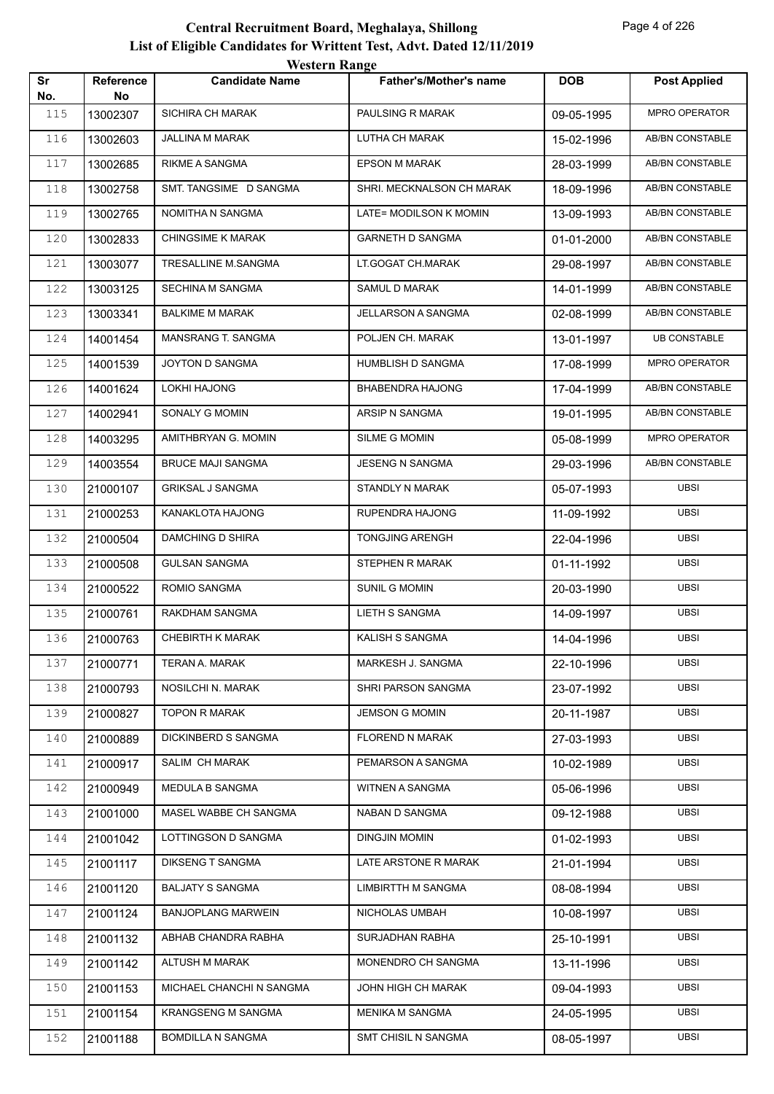|           |                 | western Kange             |                           |            |                      |
|-----------|-----------------|---------------------------|---------------------------|------------|----------------------|
| Sr<br>No. | Reference<br>No | <b>Candidate Name</b>     | Father's/Mother's name    | <b>DOB</b> | <b>Post Applied</b>  |
| 115       | 13002307        | <b>SICHIRA CH MARAK</b>   | PAULSING R MARAK          | 09-05-1995 | MPRO OPERATOR        |
| 116       | 13002603        | <b>JALLINA M MARAK</b>    | LUTHA CH MARAK            | 15-02-1996 | AB/BN CONSTABLE      |
| 117       | 13002685        | <b>RIKME A SANGMA</b>     | <b>EPSON M MARAK</b>      | 28-03-1999 | AB/BN CONSTABLE      |
| 118       | 13002758        | SMT. TANGSIME D SANGMA    | SHRI. MECKNALSON CH MARAK | 18-09-1996 | AB/BN CONSTABLE      |
| 119       | 13002765        | NOMITHA N SANGMA          | LATE= MODILSON K MOMIN    | 13-09-1993 | AB/BN CONSTABLE      |
| 120       | 13002833        | <b>CHINGSIME K MARAK</b>  | <b>GARNETH D SANGMA</b>   | 01-01-2000 | AB/BN CONSTABLE      |
| 121       | 13003077        | TRESALLINE M.SANGMA       | LT.GOGAT CH.MARAK         | 29-08-1997 | AB/BN CONSTABLE      |
| 122       | 13003125        | SECHINA M SANGMA          | SAMUL D MARAK             | 14-01-1999 | AB/BN CONSTABLE      |
| 123       | 13003341        | <b>BALKIME M MARAK</b>    | <b>JELLARSON A SANGMA</b> | 02-08-1999 | AB/BN CONSTABLE      |
| 124       | 14001454        | MANSRANG T. SANGMA        | POLJEN CH. MARAK          | 13-01-1997 | <b>UB CONSTABLE</b>  |
| 125       | 14001539        | JOYTON D SANGMA           | HUMBLISH D SANGMA         | 17-08-1999 | <b>MPRO OPERATOR</b> |
| 126       | 14001624        | <b>LOKHI HAJONG</b>       | BHABENDRA HAJONG          | 17-04-1999 | AB/BN CONSTABLE      |
| 127       | 14002941        | SONALY G MOMIN            | ARSIP N SANGMA            | 19-01-1995 | AB/BN CONSTABLE      |
| 128       | 14003295        | AMITHBRYAN G. MOMIN       | SILME G MOMIN             | 05-08-1999 | MPRO OPERATOR        |
| 129       | 14003554        | <b>BRUCE MAJI SANGMA</b>  | <b>JESENG N SANGMA</b>    | 29-03-1996 | AB/BN CONSTABLE      |
| 130       | 21000107        | <b>GRIKSAL J SANGMA</b>   | STANDLY N MARAK           | 05-07-1993 | <b>UBSI</b>          |
| 131       | 21000253        | KANAKLOTA HAJONG          | RUPENDRA HAJONG           | 11-09-1992 | <b>UBSI</b>          |
| 132       | 21000504        | DAMCHING D SHIRA          | <b>TONGJING ARENGH</b>    | 22-04-1996 | <b>UBSI</b>          |
| 133       | 21000508        | <b>GULSAN SANGMA</b>      | STEPHEN R MARAK           | 01-11-1992 | <b>UBSI</b>          |
| 134       | 21000522        | ROMIO SANGMA              | <b>SUNIL G MOMIN</b>      | 20-03-1990 | <b>UBSI</b>          |
| 135       | 21000761        | RAKDHAM SANGMA            | <b>LIETH S SANGMA</b>     | 14-09-1997 | <b>UBSI</b>          |
| 136       | 21000763        | <b>CHEBIRTH K MARAK</b>   | KALISH S SANGMA           | 14-04-1996 | <b>UBSI</b>          |
| 137       | 21000771        | TERAN A. MARAK            | MARKESH J. SANGMA         | 22-10-1996 | <b>UBSI</b>          |
| 138       | 21000793        | NOSILCHI N. MARAK         | SHRI PARSON SANGMA        | 23-07-1992 | <b>UBSI</b>          |
| 139       | 21000827        | <b>TOPON R MARAK</b>      | <b>JEMSON G MOMIN</b>     | 20-11-1987 | <b>UBSI</b>          |
| 140       | 21000889        | DICKINBERD S SANGMA       | FLOREND N MARAK           | 27-03-1993 | <b>UBSI</b>          |
| 141       | 21000917        | SALIM CH MARAK            | PEMARSON A SANGMA         | 10-02-1989 | <b>UBSI</b>          |
| 142       | 21000949        | MEDULA B SANGMA           | WITNEN A SANGMA           | 05-06-1996 | <b>UBSI</b>          |
| 143       | 21001000        | MASEL WABBE CH SANGMA     | NABAN D SANGMA            | 09-12-1988 | <b>UBSI</b>          |
| 144       | 21001042        | LOTTINGSON D SANGMA       | DINGJIN MOMIN             | 01-02-1993 | <b>UBSI</b>          |
| 145       | 21001117        | <b>DIKSENG T SANGMA</b>   | LATE ARSTONE R MARAK      | 21-01-1994 | <b>UBSI</b>          |
| 146       | 21001120        | <b>BALJATY S SANGMA</b>   | <b>LIMBIRTTH M SANGMA</b> | 08-08-1994 | <b>UBSI</b>          |
| 147       | 21001124        | <b>BANJOPLANG MARWEIN</b> | NICHOLAS UMBAH            | 10-08-1997 | <b>UBSI</b>          |
| 148       | 21001132        | ABHAB CHANDRA RABHA       | SURJADHAN RABHA           | 25-10-1991 | <b>UBSI</b>          |
| 149       | 21001142        | ALTUSH M MARAK            | MONENDRO CH SANGMA        | 13-11-1996 | <b>UBSI</b>          |
| 150       | 21001153        | MICHAEL CHANCHI N SANGMA  | JOHN HIGH CH MARAK        | 09-04-1993 | <b>UBSI</b>          |
| 151       | 21001154        | <b>KRANGSENG M SANGMA</b> | MENIKA M SANGMA           | 24-05-1995 | <b>UBSI</b>          |
| 152       | 21001188        | <b>BOMDILLA N SANGMA</b>  | SMT CHISIL N SANGMA       | 08-05-1997 | <b>UBSI</b>          |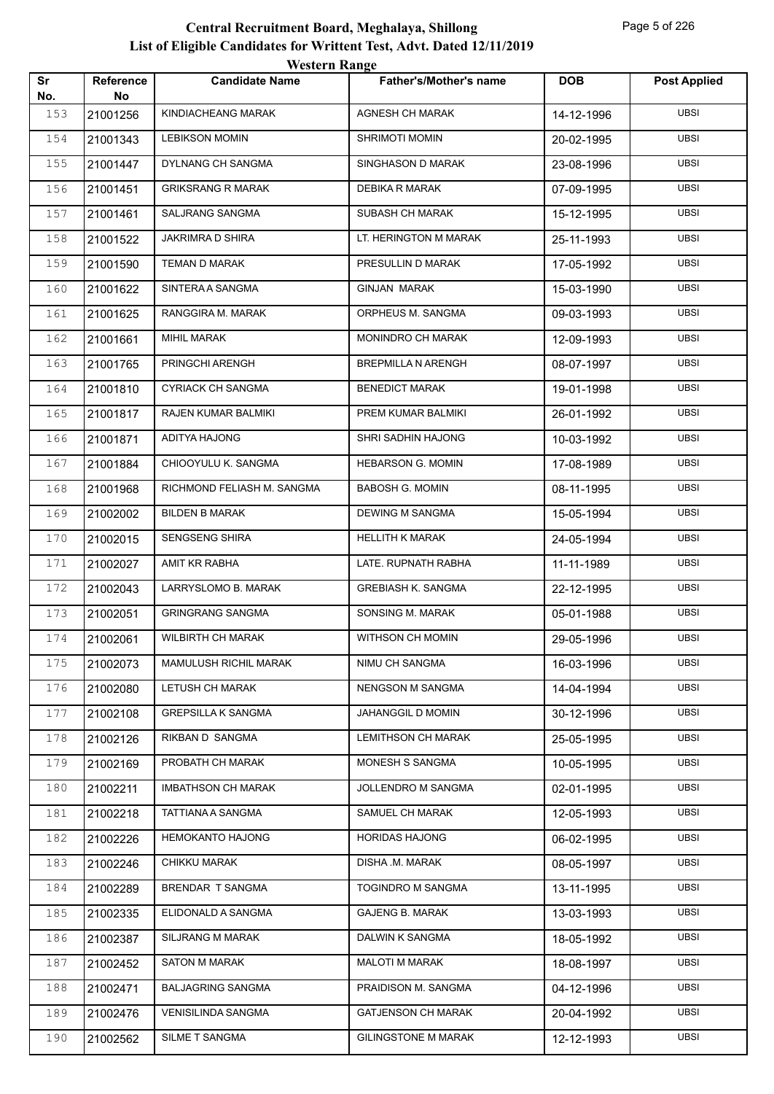|           |                 | western Kange                |                               |            |                     |
|-----------|-----------------|------------------------------|-------------------------------|------------|---------------------|
| Sr<br>No. | Reference<br>No | <b>Candidate Name</b>        | <b>Father's/Mother's name</b> | <b>DOB</b> | <b>Post Applied</b> |
| 153       | 21001256        | KINDIACHEANG MARAK           | <b>AGNESH CH MARAK</b>        | 14-12-1996 | <b>UBSI</b>         |
| 154       | 21001343        | <b>LEBIKSON MOMIN</b>        | <b>SHRIMOTI MOMIN</b>         | 20-02-1995 | <b>UBSI</b>         |
| 155       | 21001447        | DYLNANG CH SANGMA            | SINGHASON D MARAK             | 23-08-1996 | <b>UBSI</b>         |
| 156       | 21001451        | <b>GRIKSRANG R MARAK</b>     | DEBIKA R MARAK                | 07-09-1995 | <b>UBSI</b>         |
| 157       | 21001461        | SALJRANG SANGMA              | SUBASH CH MARAK               | 15-12-1995 | UBSI                |
| 158       | 21001522        | <b>JAKRIMRA D SHIRA</b>      | LT. HERINGTON M MARAK         | 25-11-1993 | <b>UBSI</b>         |
| 159       | 21001590        | TEMAN D MARAK                | PRESULLIN D MARAK             | 17-05-1992 | <b>UBSI</b>         |
| 160       | 21001622        | SINTERA A SANGMA             | <b>GINJAN MARAK</b>           | 15-03-1990 | <b>UBSI</b>         |
| 161       | 21001625        | RANGGIRA M. MARAK            | ORPHEUS M. SANGMA             | 09-03-1993 | <b>UBSI</b>         |
| 162       | 21001661        | <b>MIHIL MARAK</b>           | MONINDRO CH MARAK             | 12-09-1993 | UBSI                |
| 163       | 21001765        | PRINGCHI ARENGH              | <b>BREPMILLA N ARENGH</b>     | 08-07-1997 | <b>UBSI</b>         |
| 164       | 21001810        | CYRIACK CH SANGMA            | <b>BENEDICT MARAK</b>         | 19-01-1998 | <b>UBSI</b>         |
| 165       | 21001817        | RAJEN KUMAR BALMIKI          | PREM KUMAR BALMIKI            | 26-01-1992 | <b>UBSI</b>         |
| 166       | 21001871        | ADITYA HAJONG                | SHRI SADHIN HAJONG            | 10-03-1992 | <b>UBSI</b>         |
| 167       | 21001884        | CHIOOYULU K. SANGMA          | <b>HEBARSON G. MOMIN</b>      | 17-08-1989 | <b>UBSI</b>         |
| 168       | 21001968        | RICHMOND FELIASH M. SANGMA   | <b>BABOSH G. MOMIN</b>        | 08-11-1995 | <b>UBSI</b>         |
| 169       | 21002002        | <b>BILDEN B MARAK</b>        | <b>DEWING M SANGMA</b>        | 15-05-1994 | <b>UBSI</b>         |
| 170       | 21002015        | SENGSENG SHIRA               | <b>HELLITH K MARAK</b>        | 24-05-1994 | <b>UBSI</b>         |
| 171       | 21002027        | AMIT KR RABHA                | LATE. RUPNATH RABHA           | 11-11-1989 | <b>UBSI</b>         |
| 172       | 21002043        | LARRYSLOMO B. MARAK          | <b>GREBIASH K. SANGMA</b>     | 22-12-1995 | <b>UBSI</b>         |
| 173       | 21002051        | <b>GRINGRANG SANGMA</b>      | SONSING M. MARAK              | 05-01-1988 | <b>UBSI</b>         |
| 174       | 21002061        | <b>WILBIRTH CH MARAK</b>     | WITHSON CH MOMIN              | 29-05-1996 | <b>UBSI</b>         |
| 175       | 21002073        | <b>MAMULUSH RICHIL MARAK</b> | NIMU CH SANGMA                | 16-03-1996 | <b>UBSI</b>         |
| 176       | 21002080        | LETUSH CH MARAK              | <b>NENGSON M SANGMA</b>       | 14-04-1994 | <b>UBSI</b>         |
| 177       | 21002108        | <b>GREPSILLA K SANGMA</b>    | JAHANGGIL D MOMIN             | 30-12-1996 | <b>UBSI</b>         |
| 178       | 21002126        | RIKBAN D SANGMA              | LEMITHSON CH MARAK            | 25-05-1995 | <b>UBSI</b>         |
| 179       | 21002169        | PROBATH CH MARAK             | MONESH S SANGMA               | 10-05-1995 | <b>UBSI</b>         |
| 180       | 21002211        | <b>IMBATHSON CH MARAK</b>    | JOLLENDRO M SANGMA            | 02-01-1995 | <b>UBSI</b>         |
| 181       | 21002218        | TATTIANA A SANGMA            | SAMUEL CH MARAK               | 12-05-1993 | <b>UBSI</b>         |
| 182       | 21002226        | <b>HEMOKANTO HAJONG</b>      | <b>HORIDAS HAJONG</b>         | 06-02-1995 | <b>UBSI</b>         |
| 183       | 21002246        | <b>CHIKKU MARAK</b>          | DISHA .M. MARAK               | 08-05-1997 | <b>UBSI</b>         |
| 184       | 21002289        | BRENDAR T SANGMA             | TOGINDRO M SANGMA             | 13-11-1995 | <b>UBSI</b>         |
| 185       | 21002335        | ELIDONALD A SANGMA           | <b>GAJENG B. MARAK</b>        | 13-03-1993 | <b>UBSI</b>         |
| 186       | 21002387        | SILJRANG M MARAK             | DALWIN K SANGMA               | 18-05-1992 | <b>UBSI</b>         |
| 187       | 21002452        | <b>SATON M MARAK</b>         | <b>MALOTI M MARAK</b>         | 18-08-1997 | <b>UBSI</b>         |
| 188       | 21002471        | <b>BALJAGRING SANGMA</b>     | PRAIDISON M. SANGMA           | 04-12-1996 | <b>UBSI</b>         |
| 189       | 21002476        | VENISILINDA SANGMA           | <b>GATJENSON CH MARAK</b>     | 20-04-1992 | <b>UBSI</b>         |
| 190       | 21002562        | SILME T SANGMA               | <b>GILINGSTONE M MARAK</b>    | 12-12-1993 | <b>UBSI</b>         |
|           |                 |                              |                               |            |                     |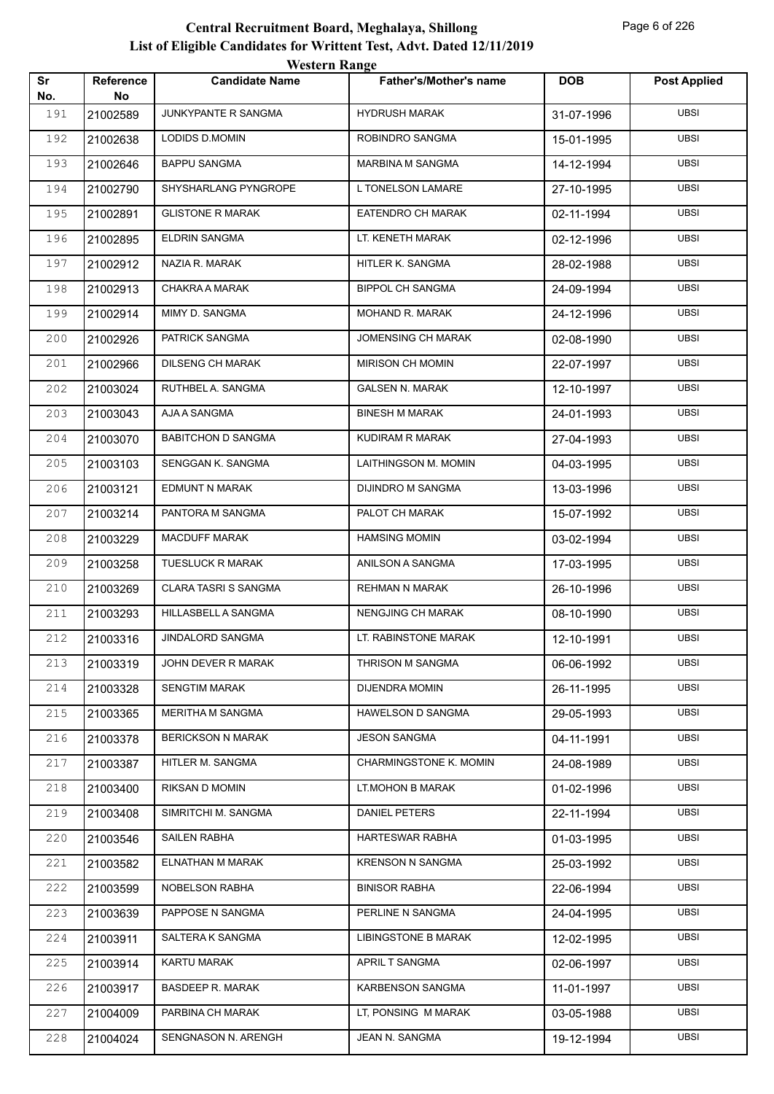|           |                 | western Kange               |                               |            |                     |
|-----------|-----------------|-----------------------------|-------------------------------|------------|---------------------|
| Sr<br>No. | Reference<br>No | <b>Candidate Name</b>       | <b>Father's/Mother's name</b> | <b>DOB</b> | <b>Post Applied</b> |
| 191       | 21002589        | JUNKYPANTE R SANGMA         | <b>HYDRUSH MARAK</b>          | 31-07-1996 | <b>UBSI</b>         |
| 192       | 21002638        | LODIDS D.MOMIN              | ROBINDRO SANGMA               | 15-01-1995 | <b>UBSI</b>         |
| 193       | 21002646        | <b>BAPPU SANGMA</b>         | MARBINA M SANGMA              | 14-12-1994 | <b>UBSI</b>         |
| 194       | 21002790        | SHYSHARLANG PYNGROPE        | L TONELSON LAMARE             | 27-10-1995 | <b>UBSI</b>         |
| 195       | 21002891        | <b>GLISTONE R MARAK</b>     | EATENDRO CH MARAK             | 02-11-1994 | <b>UBSI</b>         |
| 196       | 21002895        | ELDRIN SANGMA               | LT. KENETH MARAK              | 02-12-1996 | <b>UBSI</b>         |
| 197       | 21002912        | NAZIA R. MARAK              | HITLER K. SANGMA              | 28-02-1988 | <b>UBSI</b>         |
| 198       | 21002913        | CHAKRA A MARAK              | <b>BIPPOL CH SANGMA</b>       | 24-09-1994 | <b>UBSI</b>         |
| 199       | 21002914        | MIMY D. SANGMA              | MOHAND R. MARAK               | 24-12-1996 | <b>UBSI</b>         |
| 200       | 21002926        | PATRICK SANGMA              | <b>JOMENSING CH MARAK</b>     | 02-08-1990 | <b>UBSI</b>         |
| 201       | 21002966        | <b>DILSENG CH MARAK</b>     | <b>MIRISON CH MOMIN</b>       | 22-07-1997 | <b>UBSI</b>         |
| 202       | 21003024        | RUTHBEL A. SANGMA           | <b>GALSEN N. MARAK</b>        | 12-10-1997 | <b>UBSI</b>         |
| 203       | 21003043        | AJA A SANGMA                | <b>BINESH M MARAK</b>         | 24-01-1993 | <b>UBSI</b>         |
| 204       | 21003070        | <b>BABITCHON D SANGMA</b>   | KUDIRAM R MARAK               | 27-04-1993 | <b>UBSI</b>         |
| 205       | 21003103        | SENGGAN K. SANGMA           | LAITHINGSON M. MOMIN          | 04-03-1995 | <b>UBSI</b>         |
| 206       | 21003121        | <b>EDMUNT N MARAK</b>       | DIJINDRO M SANGMA             | 13-03-1996 | <b>UBSI</b>         |
| 207       | 21003214        | PANTORA M SANGMA            | PALOT CH MARAK                | 15-07-1992 | <b>UBSI</b>         |
| 208       | 21003229        | <b>MACDUFF MARAK</b>        | <b>HAMSING MOMIN</b>          | 03-02-1994 | <b>UBSI</b>         |
| 209       | 21003258        | <b>TUESLUCK R MARAK</b>     | ANILSON A SANGMA              | 17-03-1995 | <b>UBSI</b>         |
| 210       | 21003269        | <b>CLARA TASRI S SANGMA</b> | <b>REHMAN N MARAK</b>         | 26-10-1996 | <b>UBSI</b>         |
| 211       | 21003293        | HILLASBELL A SANGMA         | <b>NENGJING CH MARAK</b>      | 08-10-1990 | <b>UBSI</b>         |
| 212       | 21003316        | <b>JINDALORD SANGMA</b>     | LT. RABINSTONE MARAK          | 12-10-1991 | <b>UBSI</b>         |
| 213       | 21003319        | JOHN DEVER R MARAK          | THRISON M SANGMA              | 06-06-1992 | <b>UBSI</b>         |
| 214       | 21003328        | <b>SENGTIM MARAK</b>        | <b>DIJENDRA MOMIN</b>         | 26-11-1995 | <b>UBSI</b>         |
| 215       | 21003365        | MERITHA M SANGMA            | HAWELSON D SANGMA             | 29-05-1993 | <b>UBSI</b>         |
| 216       | 21003378        | <b>BERICKSON N MARAK</b>    | <b>JESON SANGMA</b>           | 04-11-1991 | <b>UBSI</b>         |
| 217       | 21003387        | HITLER M. SANGMA            | CHARMINGSTONE K. MOMIN        | 24-08-1989 | <b>UBSI</b>         |
| 218       | 21003400        | RIKSAN D MOMIN              | LT.MOHON B MARAK              | 01-02-1996 | <b>UBSI</b>         |
| 219       | 21003408        | SIMRITCHI M. SANGMA         | <b>DANIEL PETERS</b>          | 22-11-1994 | <b>UBSI</b>         |
| 220       | 21003546        | SAILEN RABHA                | HARTESWAR RABHA               | 01-03-1995 | <b>UBSI</b>         |
| 221       | 21003582        | ELNATHAN M MARAK            | <b>KRENSON N SANGMA</b>       | 25-03-1992 | <b>UBSI</b>         |
| 222       | 21003599        | NOBELSON RABHA              | <b>BINISOR RABHA</b>          | 22-06-1994 | <b>UBSI</b>         |
| 223       | 21003639        | PAPPOSE N SANGMA            | PERLINE N SANGMA              | 24-04-1995 | <b>UBSI</b>         |
| 224       | 21003911        | SALTERA K SANGMA            | <b>LIBINGSTONE B MARAK</b>    | 12-02-1995 | <b>UBSI</b>         |
| 225       | 21003914        | KARTU MARAK                 | APRIL T SANGMA                | 02-06-1997 | <b>UBSI</b>         |
| 226       | 21003917        | <b>BASDEEP R. MARAK</b>     | KARBENSON SANGMA              | 11-01-1997 | <b>UBSI</b>         |
| 227       | 21004009        | PARBINA CH MARAK            | LT, PONSING M MARAK           | 03-05-1988 | <b>UBSI</b>         |
| 228       | 21004024        | SENGNASON N. ARENGH         | JEAN N. SANGMA                | 19-12-1994 | <b>UBSI</b>         |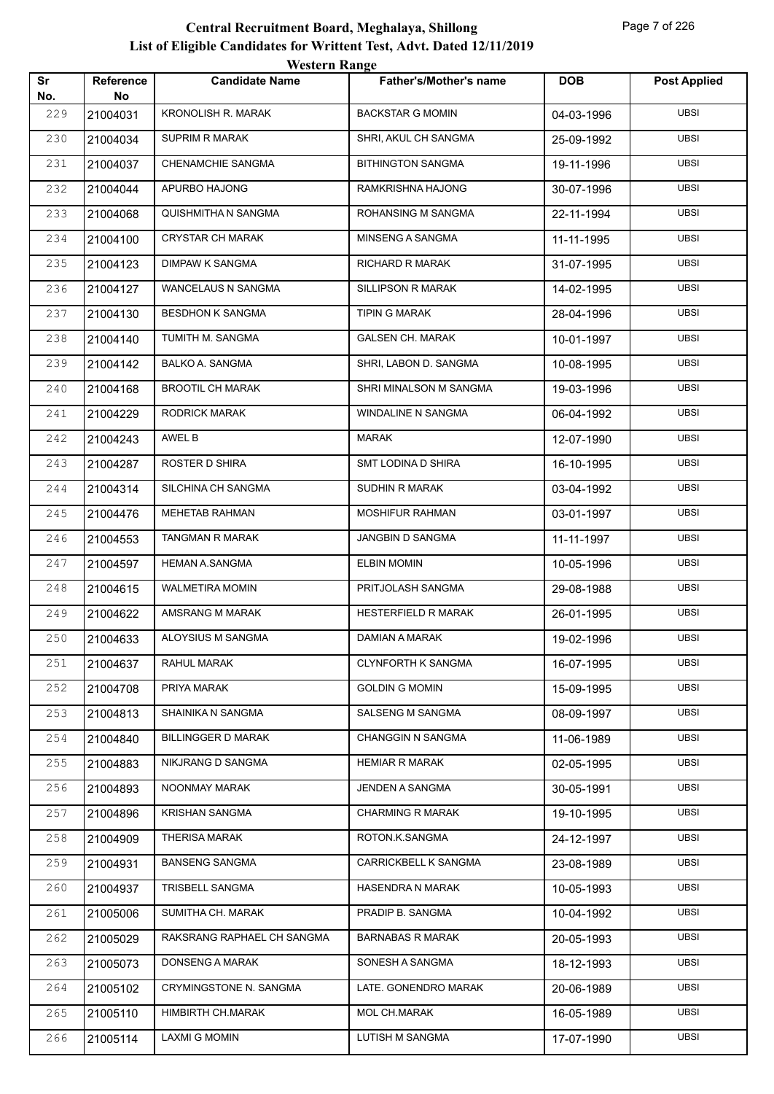|           |                        | <b>Western Range</b>       |                               |            |                     |
|-----------|------------------------|----------------------------|-------------------------------|------------|---------------------|
| Sr<br>No. | <b>Reference</b><br>No | <b>Candidate Name</b>      | <b>Father's/Mother's name</b> | <b>DOB</b> | <b>Post Applied</b> |
| 229       | 21004031               | <b>KRONOLISH R. MARAK</b>  | <b>BACKSTAR G MOMIN</b>       | 04-03-1996 | <b>UBSI</b>         |
| 230       | 21004034               | <b>SUPRIM R MARAK</b>      | SHRI, AKUL CH SANGMA          | 25-09-1992 | <b>UBSI</b>         |
| 231       | 21004037               | <b>CHENAMCHIE SANGMA</b>   | <b>BITHINGTON SANGMA</b>      | 19-11-1996 | <b>UBSI</b>         |
| 232       | 21004044               | APURBO HAJONG              | RAMKRISHNA HAJONG             | 30-07-1996 | <b>UBSI</b>         |
| 233       | 21004068               | QUISHMITHA N SANGMA        | ROHANSING M SANGMA            | 22-11-1994 | <b>UBSI</b>         |
| 234       | 21004100               | <b>CRYSTAR CH MARAK</b>    | MINSENG A SANGMA              | 11-11-1995 | <b>UBSI</b>         |
| 235       | 21004123               | DIMPAW K SANGMA            | <b>RICHARD R MARAK</b>        | 31-07-1995 | <b>UBSI</b>         |
| 236       | 21004127               | <b>WANCELAUS N SANGMA</b>  | <b>SILLIPSON R MARAK</b>      | 14-02-1995 | <b>UBSI</b>         |
| 237       | 21004130               | <b>BESDHON K SANGMA</b>    | <b>TIPIN G MARAK</b>          | 28-04-1996 | <b>UBSI</b>         |
| 238       | 21004140               | TUMITH M. SANGMA           | <b>GALSEN CH. MARAK</b>       | 10-01-1997 | <b>UBSI</b>         |
| 239       | 21004142               | <b>BALKO A. SANGMA</b>     | SHRI, LABON D. SANGMA         | 10-08-1995 | <b>UBSI</b>         |
| 240       | 21004168               | <b>BROOTIL CH MARAK</b>    | SHRI MINALSON M SANGMA        | 19-03-1996 | <b>UBSI</b>         |
| 241       | 21004229               | <b>RODRICK MARAK</b>       | <b>WINDALINE N SANGMA</b>     | 06-04-1992 | <b>UBSI</b>         |
| 242       | 21004243               | AWEL B                     | <b>MARAK</b>                  | 12-07-1990 | <b>UBSI</b>         |
| 243       | 21004287               | ROSTER D SHIRA             | SMT LODINA D SHIRA            | 16-10-1995 | <b>UBSI</b>         |
| 244       | 21004314               | SILCHINA CH SANGMA         | SUDHIN R MARAK                | 03-04-1992 | <b>UBSI</b>         |
| 245       | 21004476               | MEHETAB RAHMAN             | MOSHIFUR RAHMAN               | 03-01-1997 | <b>UBSI</b>         |
| 246       | 21004553               | <b>TANGMAN R MARAK</b>     | JANGBIN D SANGMA              | 11-11-1997 | <b>UBSI</b>         |
| 247       | 21004597               | <b>HEMAN A.SANGMA</b>      | <b>ELBIN MOMIN</b>            | 10-05-1996 | <b>UBSI</b>         |
| 248       | 21004615               | <b>WALMETIRA MOMIN</b>     | PRITJOLASH SANGMA             | 29-08-1988 | <b>UBSI</b>         |
| 249       | 21004622               | AMSRANG M MARAK            | <b>HESTERFIELD R MARAK</b>    | 26-01-1995 | <b>UBSI</b>         |
| 250       | 21004633               | ALOYSIUS M SANGMA          | DAMIAN A MARAK                | 19-02-1996 | <b>UBSI</b>         |
| 251       | 21004637               | RAHUL MARAK                | <b>CLYNFORTH K SANGMA</b>     | 16-07-1995 | <b>UBSI</b>         |
| 252       | 21004708               | PRIYA MARAK                | <b>GOLDIN G MOMIN</b>         | 15-09-1995 | <b>UBSI</b>         |
| 253       | 21004813               | SHAINIKA N SANGMA          | SALSENG M SANGMA              | 08-09-1997 | UBSI                |
| 254       | 21004840               | <b>BILLINGGER D MARAK</b>  | <b>CHANGGIN N SANGMA</b>      | 11-06-1989 | <b>UBSI</b>         |
| 255       | 21004883               | NIKJRANG D SANGMA          | <b>HEMIAR R MARAK</b>         | 02-05-1995 | <b>UBSI</b>         |
| 256       | 21004893               | NOONMAY MARAK              | JENDEN A SANGMA               | 30-05-1991 | <b>UBSI</b>         |
| 257       | 21004896               | <b>KRISHAN SANGMA</b>      | <b>CHARMING R MARAK</b>       | 19-10-1995 | <b>UBSI</b>         |
| 258       | 21004909               | <b>THERISA MARAK</b>       | ROTON.K.SANGMA                | 24-12-1997 | UBSI                |
| 259       | 21004931               | <b>BANSENG SANGMA</b>      | CARRICKBELL K SANGMA          | 23-08-1989 | <b>UBSI</b>         |
| 260       | 21004937               | TRISBELL SANGMA            | HASENDRA N MARAK              | 10-05-1993 | <b>UBSI</b>         |
| 261       | 21005006               | SUMITHA CH. MARAK          | PRADIP B. SANGMA              | 10-04-1992 | <b>UBSI</b>         |
| 262       | 21005029               | RAKSRANG RAPHAEL CH SANGMA | <b>BARNABAS R MARAK</b>       | 20-05-1993 | <b>UBSI</b>         |
| 263       | 21005073               | DONSENG A MARAK            | SONESH A SANGMA               | 18-12-1993 | UBSI                |
| 264       | 21005102               | CRYMINGSTONE N. SANGMA     | LATE. GONENDRO MARAK          | 20-06-1989 | <b>UBSI</b>         |
| 265       | 21005110               | HIMBIRTH CH.MARAK          | MOL CH.MARAK                  | 16-05-1989 | <b>UBSI</b>         |
| 266       | 21005114               | <b>LAXMI G MOMIN</b>       | LUTISH M SANGMA               | 17-07-1990 | UBSI                |
|           |                        |                            |                               |            |                     |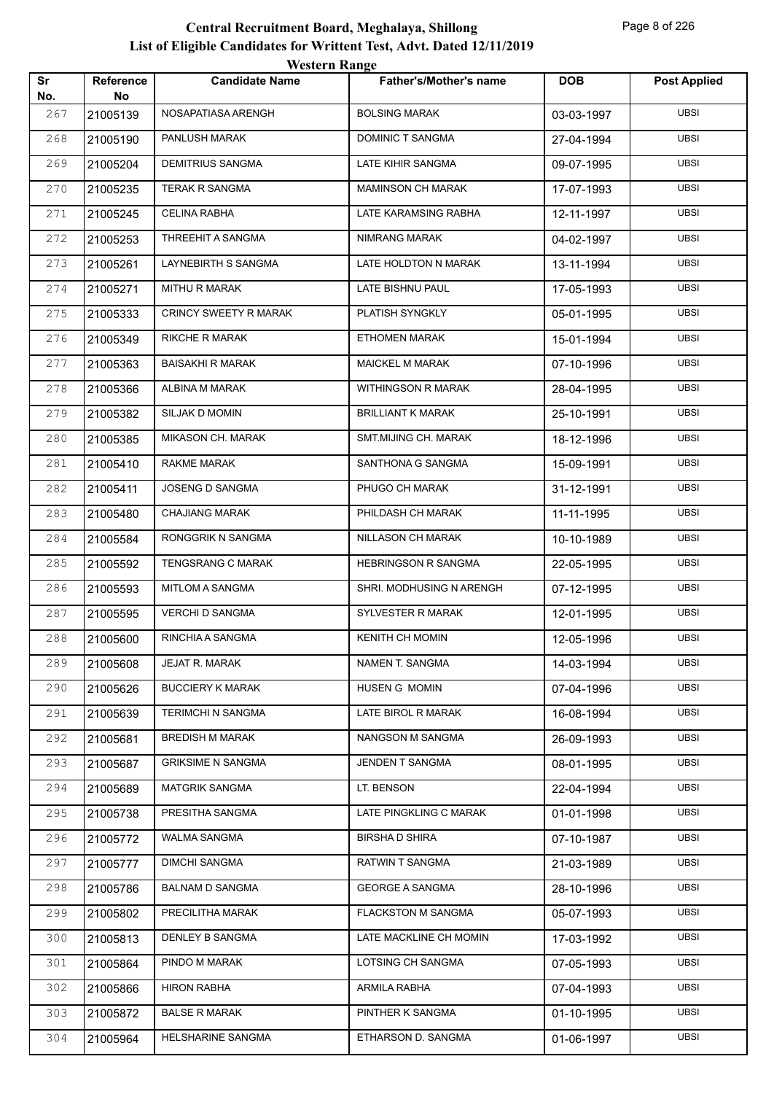| Sr<br>No. | Reference<br>No | WESTEL II INALIZE<br><b>Candidate Name</b> | <b>Father's/Mother's name</b> | <b>DOB</b> | <b>Post Applied</b> |
|-----------|-----------------|--------------------------------------------|-------------------------------|------------|---------------------|
| 267       | 21005139        | NOSAPATIASA ARENGH                         | <b>BOLSING MARAK</b>          | 03-03-1997 | <b>UBSI</b>         |
| 268       | 21005190        | PANLUSH MARAK                              | DOMINIC T SANGMA              | 27-04-1994 | <b>UBSI</b>         |
| 269       | 21005204        | <b>DEMITRIUS SANGMA</b>                    | LATE KIHIR SANGMA             | 09-07-1995 | <b>UBSI</b>         |
| 270       | 21005235        | <b>TERAK R SANGMA</b>                      | <b>MAMINSON CH MARAK</b>      | 17-07-1993 | <b>UBSI</b>         |
| 271       | 21005245        | <b>CELINA RABHA</b>                        | LATE KARAMSING RABHA          | 12-11-1997 | <b>UBSI</b>         |
| 272       | 21005253        | THREEHIT A SANGMA                          | NIMRANG MARAK                 | 04-02-1997 | <b>UBSI</b>         |
| 273       | 21005261        | LAYNEBIRTH S SANGMA                        | LATE HOLDTON N MARAK          | 13-11-1994 | <b>UBSI</b>         |
| 274       | 21005271        | <b>MITHU R MARAK</b>                       | LATE BISHNU PAUL              | 17-05-1993 | <b>UBSI</b>         |
| 275       | 21005333        | CRINCY SWEETY R MARAK                      | PLATISH SYNGKLY               | 05-01-1995 | <b>UBSI</b>         |
| 276       | 21005349        | <b>RIKCHE R MARAK</b>                      | <b>ETHOMEN MARAK</b>          | 15-01-1994 | <b>UBSI</b>         |
| 277       | 21005363        | <b>BAISAKHI R MARAK</b>                    | <b>MAICKEL M MARAK</b>        | 07-10-1996 | <b>UBSI</b>         |
| 278       | 21005366        | ALBINA M MARAK                             | <b>WITHINGSON R MARAK</b>     | 28-04-1995 | <b>UBSI</b>         |
| 279       | 21005382        | SILJAK D MOMIN                             | <b>BRILLIANT K MARAK</b>      | 25-10-1991 | <b>UBSI</b>         |
| 280       | 21005385        | MIKASON CH. MARAK                          | SMT.MIJING CH. MARAK          | 18-12-1996 | <b>UBSI</b>         |
| 281       | 21005410        | RAKME MARAK                                | SANTHONA G SANGMA             | 15-09-1991 | <b>UBSI</b>         |
| 282       | 21005411        | JOSENG D SANGMA                            | PHUGO CH MARAK                | 31-12-1991 | <b>UBSI</b>         |
| 283       | 21005480        | <b>CHAJIANG MARAK</b>                      | PHILDASH CH MARAK             | 11-11-1995 | <b>UBSI</b>         |
| 284       | 21005584        | RONGGRIK N SANGMA                          | NILLASON CH MARAK             | 10-10-1989 | <b>UBSI</b>         |
| 285       | 21005592        | TENGSRANG C MARAK                          | HEBRINGSON R SANGMA           | 22-05-1995 | <b>UBSI</b>         |
| 286       | 21005593        | MITLOM A SANGMA                            | SHRI. MODHUSING N ARENGH      | 07-12-1995 | <b>UBSI</b>         |
| 287       | 21005595        | <b>VERCHI D SANGMA</b>                     | SYLVESTER R MARAK             | 12-01-1995 | <b>UBSI</b>         |
| 288       | 21005600        | RINCHIA A SANGMA                           | <b>KENITH CH MOMIN</b>        | 12-05-1996 | <b>UBSI</b>         |
| 289       | 21005608        | JEJAT R. MARAK                             | NAMEN T. SANGMA               | 14-03-1994 | <b>UBSI</b>         |
| 290       | 21005626        | <b>BUCCIERY K MARAK</b>                    | HUSEN G MOMIN                 | 07-04-1996 | <b>UBSI</b>         |
| 291       | 21005639        | <b>TERIMCHI N SANGMA</b>                   | LATE BIROL R MARAK            | 16-08-1994 | <b>UBSI</b>         |
| 292       | 21005681        | <b>BREDISH M MARAK</b>                     | NANGSON M SANGMA              | 26-09-1993 | <b>UBSI</b>         |
| 293       | 21005687        | <b>GRIKSIME N SANGMA</b>                   | JENDEN T SANGMA               | 08-01-1995 | <b>UBSI</b>         |
| 294       | 21005689        | <b>MATGRIK SANGMA</b>                      | LT. BENSON                    | 22-04-1994 | <b>UBSI</b>         |
| 295       | 21005738        | PRESITHA SANGMA                            | LATE PINGKLING C MARAK        | 01-01-1998 | <b>UBSI</b>         |
| 296       | 21005772        | WALMA SANGMA                               | <b>BIRSHAD SHIRA</b>          | 07-10-1987 | <b>UBSI</b>         |
| 297       | 21005777        | <b>DIMCHI SANGMA</b>                       | RATWIN T SANGMA               | 21-03-1989 | <b>UBSI</b>         |
| 298       | 21005786        | <b>BALNAM D SANGMA</b>                     | <b>GEORGE A SANGMA</b>        | 28-10-1996 | <b>UBSI</b>         |
| 299       | 21005802        | PRECILITHA MARAK                           | <b>FLACKSTON M SANGMA</b>     | 05-07-1993 | <b>UBSI</b>         |
| 300       | 21005813        | <b>DENLEY B SANGMA</b>                     | LATE MACKLINE CH MOMIN        | 17-03-1992 | <b>UBSI</b>         |
| 301       | 21005864        | PINDO M MARAK                              | LOTSING CH SANGMA             | 07-05-1993 | <b>UBSI</b>         |
| 302       | 21005866        | <b>HIRON RABHA</b>                         | ARMILA RABHA                  | 07-04-1993 | <b>UBSI</b>         |
| 303       | 21005872        | <b>BALSE R MARAK</b>                       | PINTHER K SANGMA              | 01-10-1995 | UBSI                |
| 304       | 21005964        | HELSHARINE SANGMA                          | ETHARSON D. SANGMA            | 01-06-1997 | <b>UBSI</b>         |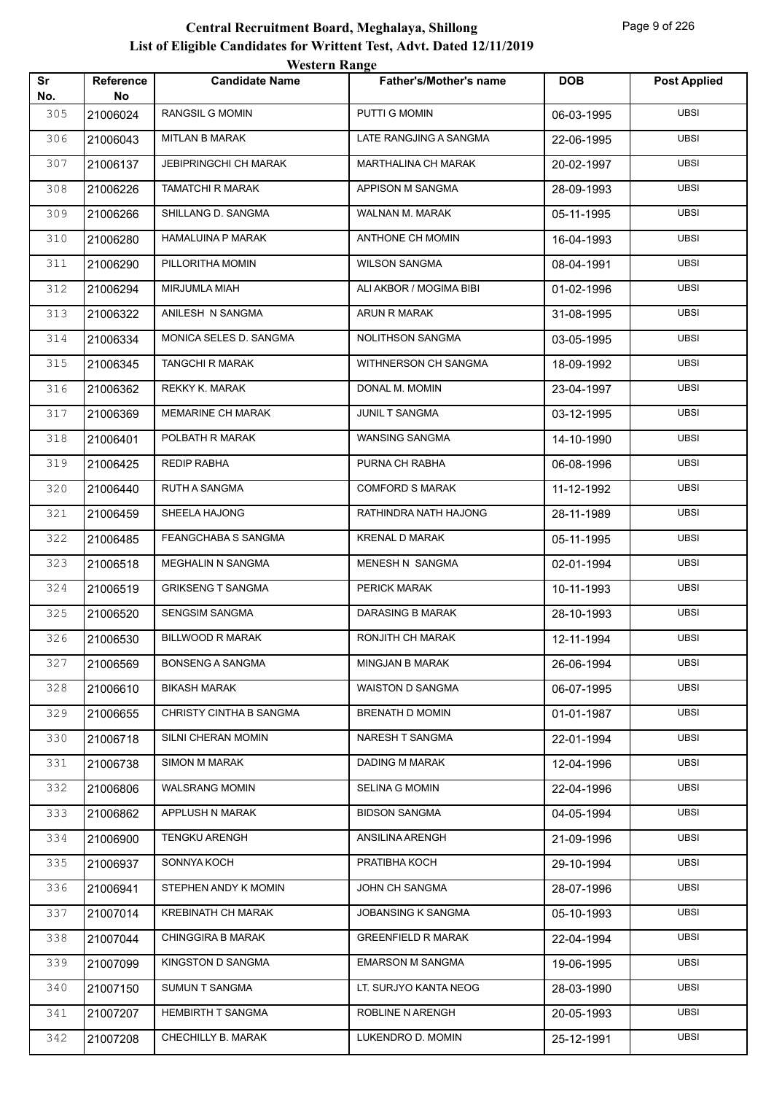|           |                        | <i><b>Western Kange</b></i>  |                               |            |                     |
|-----------|------------------------|------------------------------|-------------------------------|------------|---------------------|
| Sr<br>No. | <b>Reference</b><br>No | <b>Candidate Name</b>        | <b>Father's/Mother's name</b> | <b>DOB</b> | <b>Post Applied</b> |
| 305       | 21006024               | <b>RANGSIL G MOMIN</b>       | PUTTI G MOMIN                 | 06-03-1995 | <b>UBSI</b>         |
| 306       | 21006043               | <b>MITLAN B MARAK</b>        | LATE RANGJING A SANGMA        | 22-06-1995 | <b>UBSI</b>         |
| 307       | 21006137               | <b>JEBIPRINGCHI CH MARAK</b> | MARTHALINA CH MARAK           | 20-02-1997 | <b>UBSI</b>         |
| 308       | 21006226               | TAMATCHI R MARAK             | APPISON M SANGMA              | 28-09-1993 | <b>UBSI</b>         |
| 309       | 21006266               | SHILLANG D. SANGMA           | WALNAN M. MARAK               | 05-11-1995 | <b>UBSI</b>         |
| 310       | 21006280               | <b>HAMALUINA P MARAK</b>     | <b>ANTHONE CH MOMIN</b>       | 16-04-1993 | <b>UBSI</b>         |
| 311       | 21006290               | PILLORITHA MOMIN             | <b>WILSON SANGMA</b>          | 08-04-1991 | <b>UBSI</b>         |
| 312       | 21006294               | MIRJUMLA MIAH                | ALI AKBOR / MOGIMA BIBI       | 01-02-1996 | <b>UBSI</b>         |
| 313       | 21006322               | ANILESH N SANGMA             | ARUN R MARAK                  | 31-08-1995 | <b>UBSI</b>         |
| 314       | 21006334               | MONICA SELES D. SANGMA       | NOLITHSON SANGMA              | 03-05-1995 | <b>UBSI</b>         |
| 315       | 21006345               | <b>TANGCHI R MARAK</b>       | WITHNERSON CH SANGMA          | 18-09-1992 | <b>UBSI</b>         |
| 316       | 21006362               | REKKY K. MARAK               | DONAL M. MOMIN                | 23-04-1997 | <b>UBSI</b>         |
| 317       | 21006369               | MEMARINE CH MARAK            | JUNIL T SANGMA                | 03-12-1995 | <b>UBSI</b>         |
| 318       | 21006401               | POLBATH R MARAK              | <b>WANSING SANGMA</b>         | 14-10-1990 | <b>UBSI</b>         |
| 319       | 21006425               | <b>REDIP RABHA</b>           | PURNA CH RABHA                | 06-08-1996 | <b>UBSI</b>         |
| 320       | 21006440               | RUTH A SANGMA                | <b>COMFORD S MARAK</b>        | 11-12-1992 | <b>UBSI</b>         |
| 321       | 21006459               | SHEELA HAJONG                | RATHINDRA NATH HAJONG         | 28-11-1989 | <b>UBSI</b>         |
| 322       | 21006485               | FEANGCHABA S SANGMA          | <b>KRENAL D MARAK</b>         | 05-11-1995 | UBSI                |
| 323       | 21006518               | MEGHALIN N SANGMA            | MENESH N SANGMA               | 02-01-1994 | <b>UBSI</b>         |
| 324       | 21006519               | <b>GRIKSENG T SANGMA</b>     | PERICK MARAK                  | 10-11-1993 | <b>UBSI</b>         |
| 325       | 21006520               | SENGSIM SANGMA               | DARASING B MARAK              | 28-10-1993 | <b>UBSI</b>         |
| 326       | 21006530               | <b>BILLWOOD R MARAK</b>      | RONJITH CH MARAK              | 12-11-1994 | <b>UBSI</b>         |
| 327       | 21006569               | <b>BONSENG A SANGMA</b>      | MINGJAN B MARAK               | 26-06-1994 | <b>UBSI</b>         |
| 328       | 21006610               | <b>BIKASH MARAK</b>          | WAISTON D SANGMA              | 06-07-1995 | <b>UBSI</b>         |
| 329       | 21006655               | CHRISTY CINTHA B SANGMA      | BRENATH D MOMIN               | 01-01-1987 | <b>UBSI</b>         |
| 330       | 21006718               | SILNI CHERAN MOMIN           | NARESH T SANGMA               | 22-01-1994 | <b>UBSI</b>         |
| 331       | 21006738               | <b>SIMON M MARAK</b>         | DADING M MARAK                | 12-04-1996 | <b>UBSI</b>         |
| 332       | 21006806               | <b>WALSRANG MOMIN</b>        | <b>SELINA G MOMIN</b>         | 22-04-1996 | <b>UBSI</b>         |
| 333       | 21006862               | APPLUSH N MARAK              | <b>BIDSON SANGMA</b>          | 04-05-1994 | <b>UBSI</b>         |
| 334       | 21006900               | <b>TENGKU ARENGH</b>         | ANSILINA ARENGH               | 21-09-1996 | <b>UBSI</b>         |
| 335       | 21006937               | SONNYA KOCH                  | PRATIBHA KOCH                 | 29-10-1994 | <b>UBSI</b>         |
| 336       | 21006941               | STEPHEN ANDY K MOMIN         | JOHN CH SANGMA                | 28-07-1996 | <b>UBSI</b>         |
| 337       | 21007014               | KREBINATH CH MARAK           | JOBANSING K SANGMA            | 05-10-1993 | <b>UBSI</b>         |
| 338       | 21007044               | <b>CHINGGIRA B MARAK</b>     | <b>GREENFIELD R MARAK</b>     | 22-04-1994 | <b>UBSI</b>         |
| 339       | 21007099               | KINGSTON D SANGMA            | <b>EMARSON M SANGMA</b>       | 19-06-1995 | <b>UBSI</b>         |
| 340       | 21007150               | SUMUN T SANGMA               | LT. SURJYO KANTA NEOG         | 28-03-1990 | <b>UBSI</b>         |
| 341       | 21007207               | HEMBIRTH T SANGMA            | ROBLINE N ARENGH              | 20-05-1993 | UBSI                |
| 342       | 21007208               | CHECHILLY B. MARAK           | LUKENDRO D. MOMIN             | 25-12-1991 | UBSI                |
|           |                        |                              |                               |            |                     |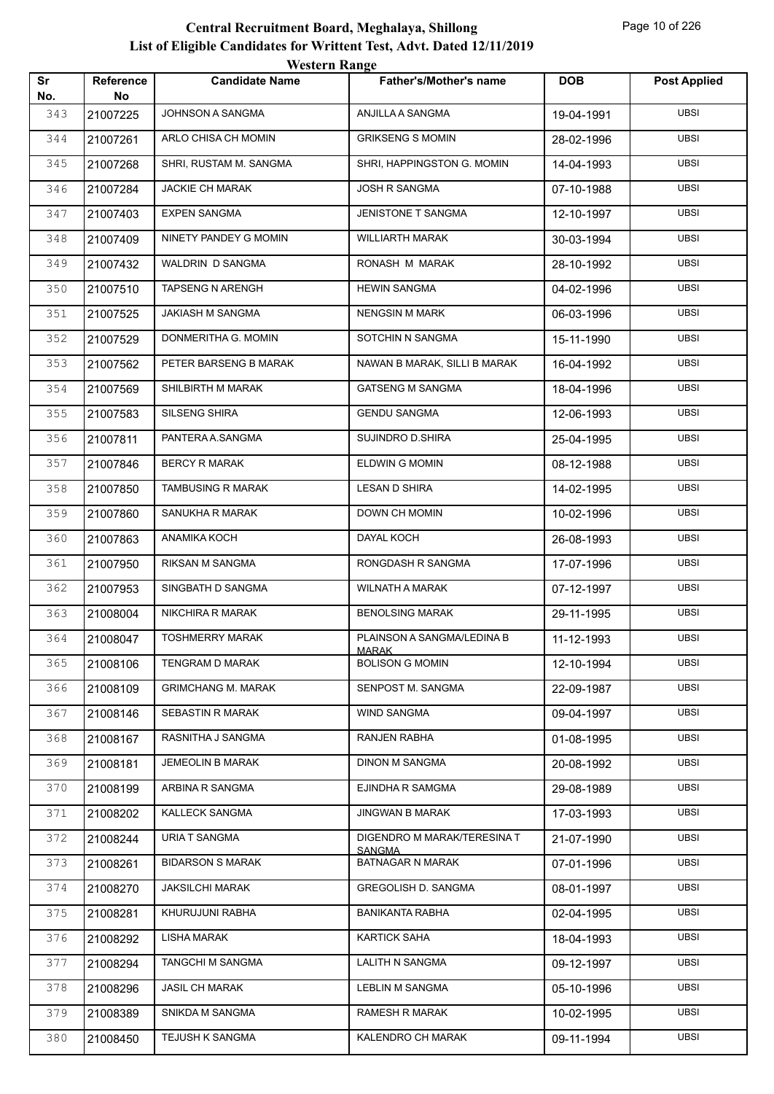|           |                        | <b>Western Range</b>      |                                          |            |                     |
|-----------|------------------------|---------------------------|------------------------------------------|------------|---------------------|
| Sr<br>No. | <b>Reference</b><br>No | <b>Candidate Name</b>     | <b>Father's/Mother's name</b>            | <b>DOB</b> | <b>Post Applied</b> |
| 343       | 21007225               | JOHNSON A SANGMA          | ANJILLA A SANGMA                         | 19-04-1991 | <b>UBSI</b>         |
| 344       | 21007261               | ARLO CHISA CH MOMIN       | <b>GRIKSENG S MOMIN</b>                  | 28-02-1996 | <b>UBSI</b>         |
| 345       | 21007268               | SHRI, RUSTAM M. SANGMA    | SHRI, HAPPINGSTON G. MOMIN               | 14-04-1993 | <b>UBSI</b>         |
| 346       | 21007284               | <b>JACKIE CH MARAK</b>    | <b>JOSH R SANGMA</b>                     | 07-10-1988 | <b>UBSI</b>         |
| 347       | 21007403               | <b>EXPEN SANGMA</b>       | <b>JENISTONE T SANGMA</b>                | 12-10-1997 | <b>UBSI</b>         |
| 348       | 21007409               | NINETY PANDEY G MOMIN     | <b>WILLIARTH MARAK</b>                   | 30-03-1994 | <b>UBSI</b>         |
| 349       | 21007432               | WALDRIN D SANGMA          | RONASH M MARAK                           | 28-10-1992 | <b>UBSI</b>         |
| 350       | 21007510               | TAPSENG N ARENGH          | <b>HEWIN SANGMA</b>                      | 04-02-1996 | <b>UBSI</b>         |
| 351       | 21007525               | JAKIASH M SANGMA          | <b>NENGSIN M MARK</b>                    | 06-03-1996 | <b>UBSI</b>         |
| 352       | 21007529               | DONMERITHA G. MOMIN       | SOTCHIN N SANGMA                         | 15-11-1990 | <b>UBSI</b>         |
| 353       | 21007562               | PETER BARSENG B MARAK     | NAWAN B MARAK, SILLI B MARAK             | 16-04-1992 | <b>UBSI</b>         |
| 354       | 21007569               | SHILBIRTH M MARAK         | <b>GATSENG M SANGMA</b>                  | 18-04-1996 | <b>UBSI</b>         |
| 355       | 21007583               | <b>SILSENG SHIRA</b>      | <b>GENDU SANGMA</b>                      | 12-06-1993 | <b>UBSI</b>         |
| 356       | 21007811               | PANTERA A.SANGMA          | <b>SUJINDRO D.SHIRA</b>                  | 25-04-1995 | <b>UBSI</b>         |
| 357       | 21007846               | <b>BERCY R MARAK</b>      | <b>ELDWIN G MOMIN</b>                    | 08-12-1988 | <b>UBSI</b>         |
| 358       | 21007850               | <b>TAMBUSING R MARAK</b>  | <b>LESAN D SHIRA</b>                     | 14-02-1995 | <b>UBSI</b>         |
| 359       | 21007860               | SANUKHA R MARAK           | <b>DOWN CH MOMIN</b>                     | 10-02-1996 | <b>UBSI</b>         |
| 360       | 21007863               | ANAMIKA KOCH              | DAYAL KOCH                               | 26-08-1993 | <b>UBSI</b>         |
| 361       | 21007950               | RIKSAN M SANGMA           | RONGDASH R SANGMA                        | 17-07-1996 | <b>UBSI</b>         |
| 362       | 21007953               | SINGBATH D SANGMA         | <b>WILNATH A MARAK</b>                   | 07-12-1997 | <b>UBSI</b>         |
| 363       | 21008004               | NIKCHIRA R MARAK          | <b>BENOLSING MARAK</b>                   | 29-11-1995 | <b>UBSI</b>         |
| 364       | 21008047               | <b>TOSHMERRY MARAK</b>    | PLAINSON A SANGMA/LEDINA B               | 11-12-1993 | <b>UBSI</b>         |
| 365       | 21008106               | TENGRAM D MARAK           | <b>MARAK</b><br><b>BOLISON G MOMIN</b>   | 12-10-1994 | <b>UBSI</b>         |
| 366       | 21008109               | <b>GRIMCHANG M. MARAK</b> | SENPOST M. SANGMA                        | 22-09-1987 | <b>UBSI</b>         |
| 367       | 21008146               | <b>SEBASTIN R MARAK</b>   | <b>WIND SANGMA</b>                       | 09-04-1997 | UBSI                |
| 368       | 21008167               | RASNITHA J SANGMA         | <b>RANJEN RABHA</b>                      | 01-08-1995 | <b>UBSI</b>         |
| 369       | 21008181               | JEMEOLIN B MARAK          | <b>DINON M SANGMA</b>                    | 20-08-1992 | UBSI                |
| 370       | 21008199               | ARBINA R SANGMA           | EJINDHA R SAMGMA                         | 29-08-1989 | <b>UBSI</b>         |
| 371       | 21008202               | KALLECK SANGMA            | <b>JINGWAN B MARAK</b>                   | 17-03-1993 | <b>UBSI</b>         |
| 372       | 21008244               | URIA T SANGMA             | DIGENDRO M MARAK/TERESINA T              | 21-07-1990 | UBSI                |
| 373       | 21008261               | <b>BIDARSON S MARAK</b>   | <b>SANGMA</b><br><b>BATNAGAR N MARAK</b> | 07-01-1996 | <b>UBSI</b>         |
| 374       | 21008270               | <b>JAKSILCHI MARAK</b>    | GREGOLISH D. SANGMA                      | 08-01-1997 | UBSI                |
| 375       | 21008281               | KHURUJUNI RABHA           | <b>BANIKANTA RABHA</b>                   | 02-04-1995 | <b>UBSI</b>         |
| 376       | 21008292               | LISHA MARAK               | <b>KARTICK SAHA</b>                      | 18-04-1993 | <b>UBSI</b>         |
| 377       | 21008294               | TANGCHI M SANGMA          | LALITH N SANGMA                          | 09-12-1997 | UBSI                |
| 378       | 21008296               | <b>JASIL CH MARAK</b>     | <b>LEBLIN M SANGMA</b>                   | 05-10-1996 | <b>UBSI</b>         |
| 379       | 21008389               | SNIKDA M SANGMA           | <b>RAMESH R MARAK</b>                    | 10-02-1995 | <b>UBSI</b>         |
| 380       | 21008450               | TEJUSH K SANGMA           | KALENDRO CH MARAK                        | 09-11-1994 | <b>UBSI</b>         |
|           |                        |                           |                                          |            |                     |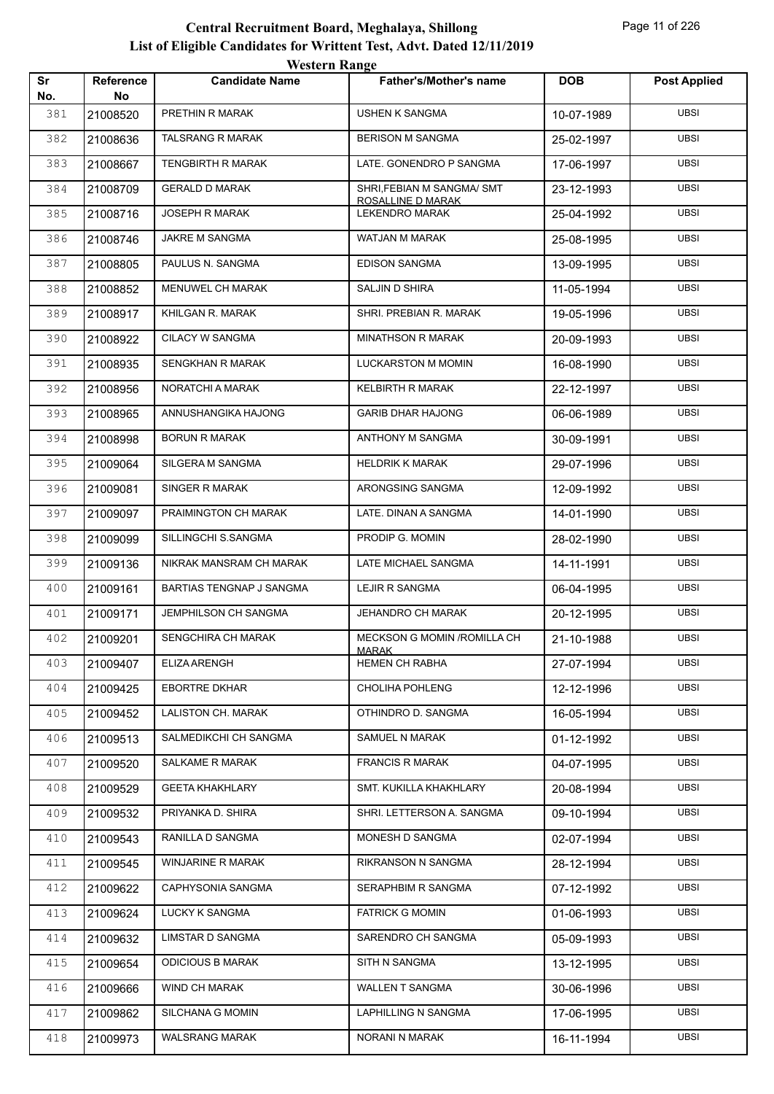| Sr         | Reference      | <b>WESTEL II INALIZE</b><br><b>Candidate Name</b> | <b>Father's/Mother's name</b>              | <b>DOB</b> | <b>Post Applied</b> |
|------------|----------------|---------------------------------------------------|--------------------------------------------|------------|---------------------|
| No.<br>381 | No<br>21008520 | PRETHIN R MARAK                                   | <b>USHEN K SANGMA</b>                      | 10-07-1989 | <b>UBSI</b>         |
| 382        | 21008636       | <b>TALSRANG R MARAK</b>                           | <b>BERISON M SANGMA</b>                    | 25-02-1997 | <b>UBSI</b>         |
| 383        | 21008667       | <b>TENGBIRTH R MARAK</b>                          | LATE. GONENDRO P SANGMA                    | 17-06-1997 | <b>UBSI</b>         |
| 384        | 21008709       | <b>GERALD D MARAK</b>                             | SHRI, FEBIAN M SANGMA/ SMT                 | 23-12-1993 | <b>UBSI</b>         |
| 385        | 21008716       | <b>JOSEPH R MARAK</b>                             | ROSALLINE D MARAK<br><b>LEKENDRO MARAK</b> | 25-04-1992 | <b>UBSI</b>         |
| 386        | 21008746       | JAKRE M SANGMA                                    | <b>WATJAN M MARAK</b>                      | 25-08-1995 | UBSI                |
| 387        | 21008805       | PAULUS N. SANGMA                                  | <b>EDISON SANGMA</b>                       | 13-09-1995 | UBSI                |
| 388        | 21008852       | <b>MENUWEL CH MARAK</b>                           | SALJIN D SHIRA                             | 11-05-1994 | <b>UBSI</b>         |
| 389        | 21008917       | KHILGAN R. MARAK                                  | SHRI. PREBIAN R. MARAK                     | 19-05-1996 | <b>UBSI</b>         |
| 390        | 21008922       | CILACY W SANGMA                                   | <b>MINATHSON R MARAK</b>                   | 20-09-1993 | <b>UBSI</b>         |
| 391        | 21008935       | <b>SENGKHAN R MARAK</b>                           | <b>LUCKARSTON M MOMIN</b>                  | 16-08-1990 | UBSI                |
| 392        | 21008956       | NORATCHI A MARAK                                  | <b>KELBIRTH R MARAK</b>                    | 22-12-1997 | <b>UBSI</b>         |
| 393        | 21008965       | ANNUSHANGIKA HAJONG                               | <b>GARIB DHAR HAJONG</b>                   | 06-06-1989 | <b>UBSI</b>         |
| 394        | 21008998       | <b>BORUN R MARAK</b>                              | ANTHONY M SANGMA                           | 30-09-1991 | <b>UBSI</b>         |
| 395        | 21009064       | SILGERA M SANGMA                                  | <b>HELDRIK K MARAK</b>                     | 29-07-1996 | <b>UBSI</b>         |
| 396        | 21009081       | SINGER R MARAK                                    | ARONGSING SANGMA                           | 12-09-1992 | UBSI                |
| 397        | 21009097       | PRAIMINGTON CH MARAK                              | LATE. DINAN A SANGMA                       | 14-01-1990 | UBSI                |
| 398        | 21009099       | SILLINGCHI S.SANGMA                               | PRODIP G. MOMIN                            | 28-02-1990 | <b>UBSI</b>         |
| 399        | 21009136       | NIKRAK MANSRAM CH MARAK                           | LATE MICHAEL SANGMA                        | 14-11-1991 | <b>UBSI</b>         |
| 400        | 21009161       | BARTIAS TENGNAP J SANGMA                          | LEJIR R SANGMA                             | 06-04-1995 | <b>UBSI</b>         |
| 401        | 21009171       | <b>JEMPHILSON CH SANGMA</b>                       | <b>JEHANDRO CH MARAK</b>                   | 20-12-1995 | UBSI                |
| 402        | 21009201       | <b>SENGCHIRA CH MARAK</b>                         | MECKSON G MOMIN / ROMILLA CH               | 21-10-1988 | <b>UBSI</b>         |
| 403        | 21009407       | <b>ELIZA ARENGH</b>                               | <b>MARAK</b><br>HEMEN CH RABHA             | 27-07-1994 | <b>UBSI</b>         |
| 404        | 21009425       | <b>EBORTRE DKHAR</b>                              | CHOLIHA POHLENG                            | 12-12-1996 | <b>UBSI</b>         |
| 405        | 21009452       | LALISTON CH. MARAK                                | OTHINDRO D. SANGMA                         | 16-05-1994 | UBSI                |
| 406        | 21009513       | SALMEDIKCHI CH SANGMA                             | SAMUEL N MARAK                             | 01-12-1992 | <b>UBSI</b>         |
| 407        | 21009520       | SALKAME R MARAK                                   | <b>FRANCIS R MARAK</b>                     | 04-07-1995 | <b>UBSI</b>         |
| 408        | 21009529       | <b>GEETA KHAKHLARY</b>                            | SMT. KUKILLA KHAKHLARY                     | 20-08-1994 | <b>UBSI</b>         |
| 409        | 21009532       | PRIYANKA D. SHIRA                                 | SHRI. LETTERSON A. SANGMA                  | 09-10-1994 | <b>UBSI</b>         |
| 410        | 21009543       | RANILLA D SANGMA                                  | MONESH D SANGMA                            | 02-07-1994 | <b>UBSI</b>         |
| 411        | 21009545       | WINJARINE R MARAK                                 | RIKRANSON N SANGMA                         | 28-12-1994 | <b>UBSI</b>         |
| 412        | 21009622       | CAPHYSONIA SANGMA                                 | SERAPHBIM R SANGMA                         | 07-12-1992 | <b>UBSI</b>         |
| 413        | 21009624       | LUCKY K SANGMA                                    | <b>FATRICK G MOMIN</b>                     | 01-06-1993 | <b>UBSI</b>         |
| 414        | 21009632       | LIMSTAR D SANGMA                                  | SARENDRO CH SANGMA                         | 05-09-1993 | <b>UBSI</b>         |
| 415        | 21009654       | <b>ODICIOUS B MARAK</b>                           | SITH N SANGMA                              | 13-12-1995 | <b>UBSI</b>         |
| 416        | 21009666       | WIND CH MARAK                                     | WALLEN T SANGMA                            | 30-06-1996 | <b>UBSI</b>         |
| 417        | 21009862       | SILCHANA G MOMIN                                  | LAPHILLING N SANGMA                        | 17-06-1995 | UBSI                |
| 418        | 21009973       | WALSRANG MARAK                                    | NORANI N MARAK                             | 16-11-1994 | <b>UBSI</b>         |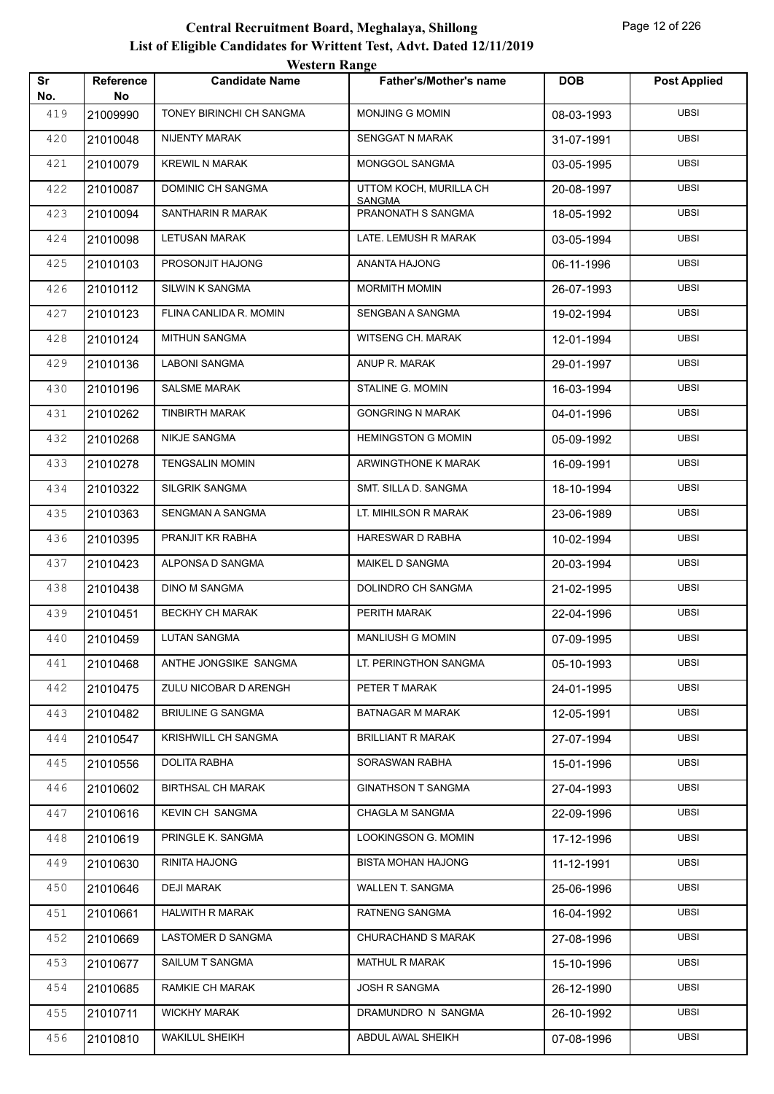| Sr<br>No. | Reference<br>No | <i>western</i> Kange<br><b>Candidate Name</b> | <b>Father's/Mother's name</b>       | <b>DOB</b> | <b>Post Applied</b> |
|-----------|-----------------|-----------------------------------------------|-------------------------------------|------------|---------------------|
| 419       | 21009990        | TONEY BIRINCHI CH SANGMA                      | MONJING G MOMIN                     | 08-03-1993 | <b>UBSI</b>         |
| 420       | 21010048        | NIJENTY MARAK                                 | <b>SENGGAT N MARAK</b>              | 31-07-1991 | <b>UBSI</b>         |
| 421       | 21010079        | <b>KREWIL N MARAK</b>                         | MONGGOL SANGMA                      | 03-05-1995 | <b>UBSI</b>         |
| 422       | 21010087        | DOMINIC CH SANGMA                             | UTTOM KOCH, MURILLA CH              | 20-08-1997 | <b>UBSI</b>         |
| 423       | 21010094        | SANTHARIN R MARAK                             | <b>SANGMA</b><br>PRANONATH S SANGMA | 18-05-1992 | <b>UBSI</b>         |
| 424       | 21010098        | <b>LETUSAN MARAK</b>                          | LATE. LEMUSH R MARAK                | 03-05-1994 | <b>UBSI</b>         |
| 425       | 21010103        | PROSONJIT HAJONG                              | ANANTA HAJONG                       | 06-11-1996 | <b>UBSI</b>         |
| 426       | 21010112        | SILWIN K SANGMA                               | <b>MORMITH MOMIN</b>                | 26-07-1993 | <b>UBSI</b>         |
| 427       | 21010123        | FLINA CANLIDA R. MOMIN                        | SENGBAN A SANGMA                    | 19-02-1994 | <b>UBSI</b>         |
| 428       | 21010124        | <b>MITHUN SANGMA</b>                          | <b>WITSENG CH. MARAK</b>            | 12-01-1994 | <b>UBSI</b>         |
| 429       | 21010136        | <b>LABONI SANGMA</b>                          | ANUP R. MARAK                       | 29-01-1997 | <b>UBSI</b>         |
| 430       | 21010196        | <b>SALSME MARAK</b>                           | STALINE G. MOMIN                    | 16-03-1994 | <b>UBSI</b>         |
| 431       | 21010262        | <b>TINBIRTH MARAK</b>                         | <b>GONGRING N MARAK</b>             | 04-01-1996 | <b>UBSI</b>         |
| 432       | 21010268        | <b>NIKJE SANGMA</b>                           | <b>HEMINGSTON G MOMIN</b>           | 05-09-1992 | <b>UBSI</b>         |
| 433       | 21010278        | <b>TENGSALIN MOMIN</b>                        | ARWINGTHONE K MARAK                 | 16-09-1991 | <b>UBSI</b>         |
| 434       | 21010322        | SILGRIK SANGMA                                | SMT. SILLA D. SANGMA                | 18-10-1994 | <b>UBSI</b>         |
| 435       | 21010363        | SENGMAN A SANGMA                              | LT. MIHILSON R MARAK                | 23-06-1989 | <b>UBSI</b>         |
| 436       | 21010395        | PRANJIT KR RABHA                              | HARESWAR D RABHA                    | 10-02-1994 | <b>UBSI</b>         |
| 437       | 21010423        | ALPONSA D SANGMA                              | MAIKEL D SANGMA                     | 20-03-1994 | <b>UBSI</b>         |
| 438       | 21010438        | <b>DINO M SANGMA</b>                          | DOLINDRO CH SANGMA                  | 21-02-1995 | <b>UBSI</b>         |
| 439       | 21010451        | <b>BECKHY CH MARAK</b>                        | PERITH MARAK                        | 22-04-1996 | <b>UBSI</b>         |
| 440       | 21010459        | <b>LUTAN SANGMA</b>                           | <b>MANLIUSH G MOMIN</b>             | 07-09-1995 | <b>UBSI</b>         |
| 441       | 21010468        | ANTHE JONGSIKE SANGMA                         | LT. PERINGTHON SANGMA               | 05-10-1993 | <b>UBSI</b>         |
| 442       | 21010475        | ZULU NICOBAR D ARENGH                         | PETER T MARAK                       | 24-01-1995 | <b>UBSI</b>         |
| 443       | 21010482        | <b>BRIULINE G SANGMA</b>                      | BATNAGAR M MARAK                    | 12-05-1991 | <b>UBSI</b>         |
| 444       | 21010547        | KRISHWILL CH SANGMA                           | <b>BRILLIANT R MARAK</b>            | 27-07-1994 | <b>UBSI</b>         |
| 445       | 21010556        | <b>DOLITA RABHA</b>                           | SORASWAN RABHA                      | 15-01-1996 | UBSI                |
| 446       | 21010602        | <b>BIRTHSAL CH MARAK</b>                      | <b>GINATHSON T SANGMA</b>           | 27-04-1993 | UBSI                |
| 447       | 21010616        | <b>KEVIN CH SANGMA</b>                        | CHAGLA M SANGMA                     | 22-09-1996 | UBSI                |
| 448       | 21010619        | PRINGLE K. SANGMA                             | LOOKINGSON G. MOMIN                 | 17-12-1996 | <b>UBSI</b>         |
| 449       | 21010630        | RINITA HAJONG                                 | <b>BISTA MOHAN HAJONG</b>           | 11-12-1991 | UBSI                |
| 450       | 21010646        | DEJI MARAK                                    | WALLEN T. SANGMA                    | 25-06-1996 | UBSI                |
| 451       | 21010661        | <b>HALWITH R MARAK</b>                        | RATNENG SANGMA                      | 16-04-1992 | UBSI                |
| 452       | 21010669        | LASTOMER D SANGMA                             | CHURACHAND S MARAK                  | 27-08-1996 | UBSI                |
| 453       | 21010677        | SAILUM T SANGMA                               | MATHUL R MARAK                      | 15-10-1996 | UBSI                |
| 454       | 21010685        | RAMKIE CH MARAK                               | JOSH R SANGMA                       | 26-12-1990 | UBSI                |
| 455       | 21010711        | <b>WICKHY MARAK</b>                           | DRAMUNDRO N SANGMA                  | 26-10-1992 | UBSI                |
| 456       | 21010810        | <b>WAKILUL SHEIKH</b>                         | ABDUL AWAL SHEIKH                   | 07-08-1996 | UBSI                |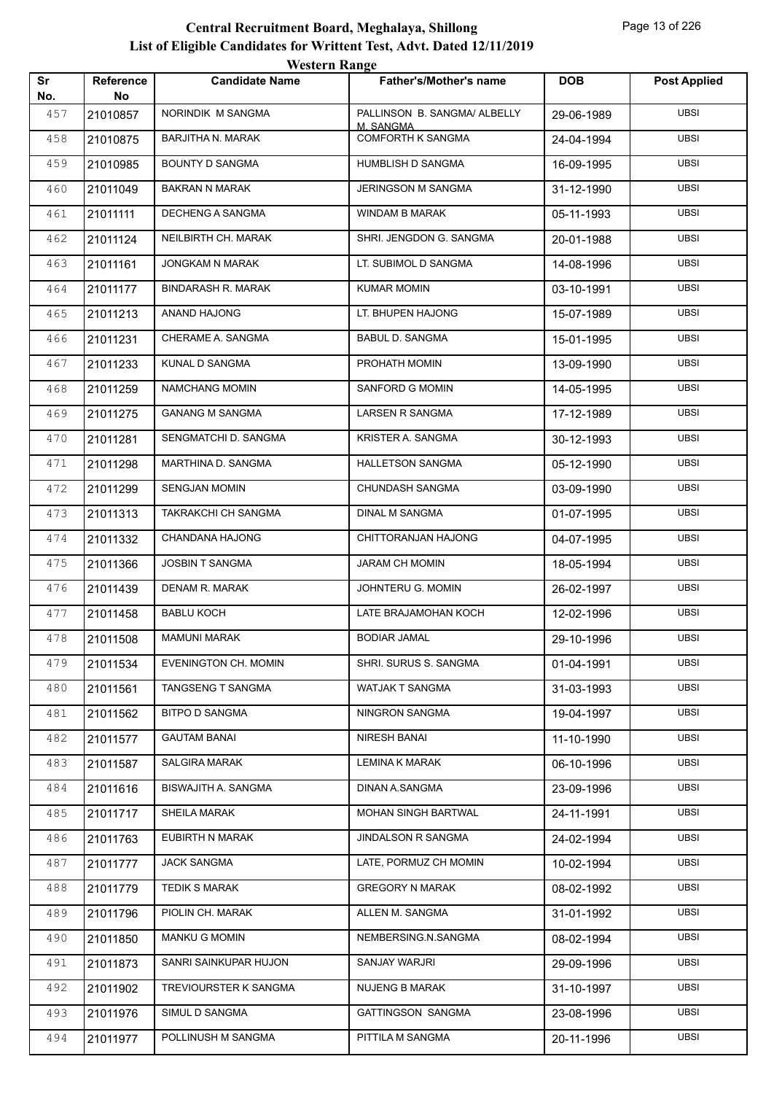|           |                        | <b>Western Range</b>        |                                           |            |                     |
|-----------|------------------------|-----------------------------|-------------------------------------------|------------|---------------------|
| Sr<br>No. | <b>Reference</b><br>No | <b>Candidate Name</b>       | <b>Father's/Mother's name</b>             | <b>DOB</b> | <b>Post Applied</b> |
| 457       | 21010857               | NORINDIK M SANGMA           | PALLINSON B. SANGMA/ ALBELLY<br>M. SANGMA | 29-06-1989 | <b>UBSI</b>         |
| 458       | 21010875               | <b>BARJITHA N. MARAK</b>    | <b>COMFORTH K SANGMA</b>                  | 24-04-1994 | <b>UBSI</b>         |
| 459       | 21010985               | <b>BOUNTY D SANGMA</b>      | HUMBLISH D SANGMA                         | 16-09-1995 | <b>UBSI</b>         |
| 460       | 21011049               | <b>BAKRAN N MARAK</b>       | <b>JERINGSON M SANGMA</b>                 | 31-12-1990 | <b>UBSI</b>         |
| 461       | 21011111               | <b>DECHENG A SANGMA</b>     | <b>WINDAM B MARAK</b>                     | 05-11-1993 | <b>UBSI</b>         |
| 462       | 21011124               | NEILBIRTH CH. MARAK         | SHRI. JENGDON G. SANGMA                   | 20-01-1988 | <b>UBSI</b>         |
| 463       | 21011161               | JONGKAM N MARAK             | LT. SUBIMOL D SANGMA                      | 14-08-1996 | <b>UBSI</b>         |
| 464       | 21011177               | <b>BINDARASH R. MARAK</b>   | <b>KUMAR MOMIN</b>                        | 03-10-1991 | <b>UBSI</b>         |
| 465       | 21011213               | ANAND HAJONG                | LT. BHUPEN HAJONG                         | 15-07-1989 | <b>UBSI</b>         |
| 466       | 21011231               | CHERAME A. SANGMA           | <b>BABUL D. SANGMA</b>                    | 15-01-1995 | <b>UBSI</b>         |
| 467       | 21011233               | KUNAL D SANGMA              | PROHATH MOMIN                             | 13-09-1990 | <b>UBSI</b>         |
| 468       | 21011259               | <b>NAMCHANG MOMIN</b>       | <b>SANFORD G MOMIN</b>                    | 14-05-1995 | <b>UBSI</b>         |
| 469       | 21011275               | <b>GANANG M SANGMA</b>      | LARSEN R SANGMA                           | 17-12-1989 | <b>UBSI</b>         |
| 470       | 21011281               | SENGMATCHI D. SANGMA        | KRISTER A. SANGMA                         | 30-12-1993 | <b>UBSI</b>         |
| 471       | 21011298               | MARTHINA D. SANGMA          | <b>HALLETSON SANGMA</b>                   | 05-12-1990 | <b>UBSI</b>         |
| 472       | 21011299               | <b>SENGJAN MOMIN</b>        | CHUNDASH SANGMA                           | 03-09-1990 | <b>UBSI</b>         |
| 473       | 21011313               | TAKRAKCHI CH SANGMA         | <b>DINAL M SANGMA</b>                     | 01-07-1995 | <b>UBSI</b>         |
| 474       | 21011332               | CHANDANA HAJONG             | CHITTORANJAN HAJONG                       | 04-07-1995 | <b>UBSI</b>         |
| 475       | 21011366               | <b>JOSBIN T SANGMA</b>      | <b>JARAM CH MOMIN</b>                     | 18-05-1994 | <b>UBSI</b>         |
| 476       | 21011439               | DENAM R. MARAK              | JOHNTERU G. MOMIN                         | 26-02-1997 | <b>UBSI</b>         |
| 477       | 21011458               | <b>BABLU KOCH</b>           | LATE BRAJAMOHAN KOCH                      | 12-02-1996 | <b>UBSI</b>         |
| 478       | 21011508               | <b>MAMUNI MARAK</b>         | <b>BODIAR JAMAL</b>                       | 29-10-1996 | <b>UBSI</b>         |
| 479       | 21011534               | <b>EVENINGTON CH. MOMIN</b> | SHRI. SURUS S. SANGMA                     | 01-04-1991 | <b>UBSI</b>         |
| 480       | 21011561               | TANGSENG T SANGMA           | WATJAK T SANGMA                           | 31-03-1993 | <b>UBSI</b>         |
| 481       | 21011562               | <b>BITPO D SANGMA</b>       | NINGRON SANGMA                            | 19-04-1997 | UBSI                |
| 482       | 21011577               | <b>GAUTAM BANAI</b>         | NIRESH BANAI                              | 11-10-1990 | <b>UBSI</b>         |
| 483       | 21011587               | <b>SALGIRA MARAK</b>        | <b>LEMINA K MARAK</b>                     | 06-10-1996 | <b>UBSI</b>         |
| 484       | 21011616               | BISWAJITH A. SANGMA         | DINAN A.SANGMA                            | 23-09-1996 | <b>UBSI</b>         |
| 485       | 21011717               | <b>SHEILA MARAK</b>         | MOHAN SINGH BARTWAL                       | 24-11-1991 | <b>UBSI</b>         |
| 486       | 21011763               | EUBIRTH N MARAK             | <b>JINDALSON R SANGMA</b>                 | 24-02-1994 | UBSI                |
| 487       | 21011777               | <b>JACK SANGMA</b>          | LATE, PORMUZ CH MOMIN                     | 10-02-1994 | <b>UBSI</b>         |
| 488       | 21011779               | <b>TEDIK S MARAK</b>        | <b>GREGORY N MARAK</b>                    | 08-02-1992 | <b>UBSI</b>         |
| 489       | 21011796               | PIOLIN CH. MARAK            | ALLEN M. SANGMA                           | 31-01-1992 | <b>UBSI</b>         |
| 490       | 21011850               | <b>MANKU G MOMIN</b>        | NEMBERSING.N.SANGMA                       | 08-02-1994 | <b>UBSI</b>         |
| 491       | 21011873               | SANRI SAINKUPAR HUJON       | SANJAY WARJRI                             | 29-09-1996 | UBSI                |
| 492       | 21011902               | TREVIOURSTER K SANGMA       | <b>NUJENG B MARAK</b>                     | 31-10-1997 | <b>UBSI</b>         |
| 493       | 21011976               | SIMUL D SANGMA              | <b>GATTINGSON SANGMA</b>                  | 23-08-1996 | <b>UBSI</b>         |
| 494       | 21011977               | POLLINUSH M SANGMA          | PITTILA M SANGMA                          | 20-11-1996 | <b>UBSI</b>         |
|           |                        |                             |                                           |            |                     |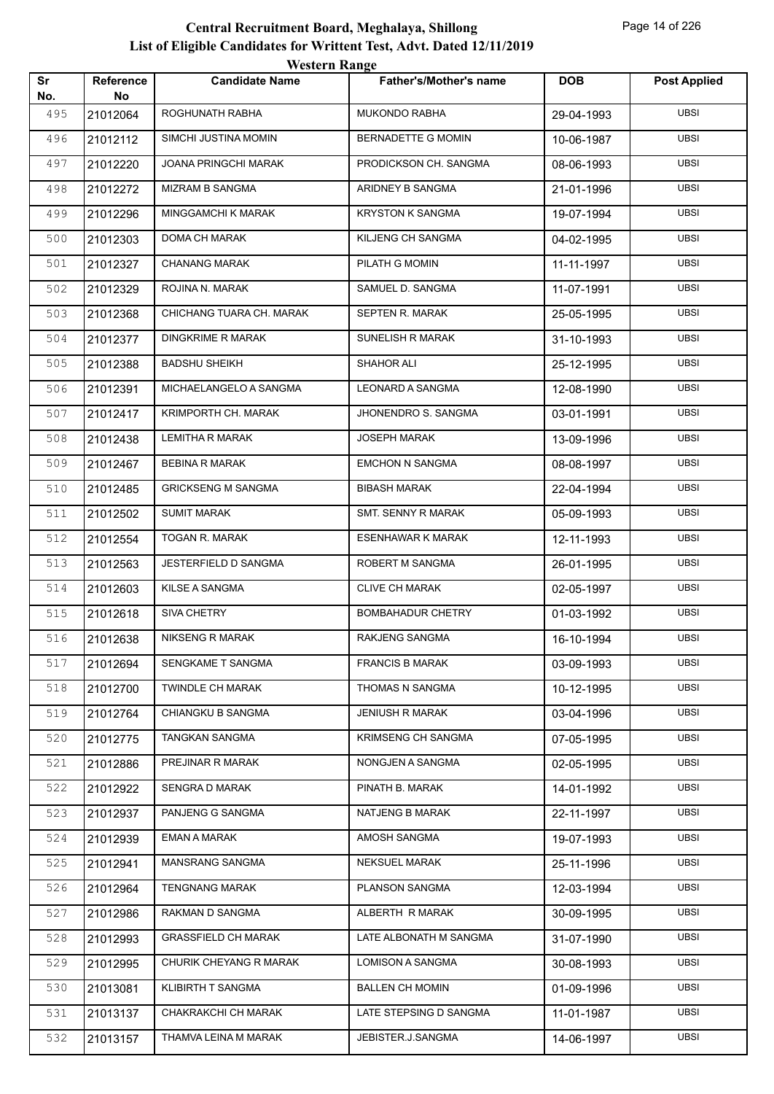| Sr  | Reference | western Range<br><b>Candidate Name</b> | <b>Father's/Mother's name</b> | <b>DOB</b> | <b>Post Applied</b> |
|-----|-----------|----------------------------------------|-------------------------------|------------|---------------------|
| No. | No        |                                        |                               |            |                     |
| 495 | 21012064  | ROGHUNATH RABHA                        | <b>MUKONDO RABHA</b>          | 29-04-1993 | UBSI                |
| 496 | 21012112  | SIMCHI JUSTINA MOMIN                   | BERNADETTE G MOMIN            | 10-06-1987 | <b>UBSI</b>         |
| 497 | 21012220  | <b>JOANA PRINGCHI MARAK</b>            | PRODICKSON CH. SANGMA         | 08-06-1993 | <b>UBSI</b>         |
| 498 | 21012272  | <b>MIZRAM B SANGMA</b>                 | ARIDNEY B SANGMA              | 21-01-1996 | <b>UBSI</b>         |
| 499 | 21012296  | <b>MINGGAMCHI K MARAK</b>              | <b>KRYSTON K SANGMA</b>       | 19-07-1994 | <b>UBSI</b>         |
| 500 | 21012303  | DOMA CH MARAK                          | KILJENG CH SANGMA             | 04-02-1995 | <b>UBSI</b>         |
| 501 | 21012327  | <b>CHANANG MARAK</b>                   | PILATH G MOMIN                | 11-11-1997 | <b>UBSI</b>         |
| 502 | 21012329  | ROJINA N. MARAK                        | SAMUEL D. SANGMA              | 11-07-1991 | <b>UBSI</b>         |
| 503 | 21012368  | CHICHANG TUARA CH. MARAK               | SEPTEN R. MARAK               | 25-05-1995 | <b>UBSI</b>         |
| 504 | 21012377  | <b>DINGKRIME R MARAK</b>               | SUNELISH R MARAK              | 31-10-1993 | <b>UBSI</b>         |
| 505 | 21012388  | <b>BADSHU SHEIKH</b>                   | <b>SHAHOR ALI</b>             | 25-12-1995 | <b>UBSI</b>         |
| 506 | 21012391  | MICHAELANGELO A SANGMA                 | <b>LEONARD A SANGMA</b>       | 12-08-1990 | <b>UBSI</b>         |
| 507 | 21012417  | KRIMPORTH CH. MARAK                    | JHONENDRO S. SANGMA           | 03-01-1991 | <b>UBSI</b>         |
| 508 | 21012438  | <b>LEMITHA R MARAK</b>                 | <b>JOSEPH MARAK</b>           | 13-09-1996 | <b>UBSI</b>         |
| 509 | 21012467  | <b>BEBINA R MARAK</b>                  | <b>EMCHON N SANGMA</b>        | 08-08-1997 | <b>UBSI</b>         |
| 510 | 21012485  | <b>GRICKSENG M SANGMA</b>              | <b>BIBASH MARAK</b>           | 22-04-1994 | <b>UBSI</b>         |
| 511 | 21012502  | <b>SUMIT MARAK</b>                     | SMT. SENNY R MARAK            | 05-09-1993 | <b>UBSI</b>         |
| 512 | 21012554  | TOGAN R. MARAK                         | <b>ESENHAWAR K MARAK</b>      | 12-11-1993 | <b>UBSI</b>         |
| 513 | 21012563  | JESTERFIELD D SANGMA                   | ROBERT M SANGMA               | 26-01-1995 | <b>UBSI</b>         |
| 514 | 21012603  | <b>KILSE A SANGMA</b>                  | <b>CLIVE CH MARAK</b>         | 02-05-1997 | <b>UBSI</b>         |
| 515 | 21012618  | SIVA CHETRY                            | <b>BOMBAHADUR CHETRY</b>      | 01-03-1992 | UBSI                |
| 516 | 21012638  | <b>NIKSENG R MARAK</b>                 | RAKJENG SANGMA                | 16-10-1994 | <b>UBSI</b>         |
| 517 | 21012694  | SENGKAME T SANGMA                      | <b>FRANCIS B MARAK</b>        | 03-09-1993 | UBSI                |
| 518 | 21012700  | <b>TWINDLE CH MARAK</b>                | THOMAS N SANGMA               | 10-12-1995 | <b>UBSI</b>         |
| 519 | 21012764  | <b>CHIANGKU B SANGMA</b>               | <b>JENIUSH R MARAK</b>        | 03-04-1996 | <b>UBSI</b>         |
| 520 | 21012775  | TANGKAN SANGMA                         | <b>KRIMSENG CH SANGMA</b>     | 07-05-1995 | UBSI                |
| 521 | 21012886  | PREJINAR R MARAK                       | NONGJEN A SANGMA              | 02-05-1995 | <b>UBSI</b>         |
| 522 | 21012922  | <b>SENGRA D MARAK</b>                  | PINATH B. MARAK               | 14-01-1992 | <b>UBSI</b>         |
| 523 | 21012937  | PANJENG G SANGMA                       | NATJENG B MARAK               | 22-11-1997 | <b>UBSI</b>         |
| 524 | 21012939  | EMAN A MARAK                           | AMOSH SANGMA                  | 19-07-1993 | <b>UBSI</b>         |
| 525 | 21012941  | MANSRANG SANGMA                        | <b>NEKSUEL MARAK</b>          | 25-11-1996 | <b>UBSI</b>         |
| 526 | 21012964  | <b>TENGNANG MARAK</b>                  | PLANSON SANGMA                | 12-03-1994 | <b>UBSI</b>         |
| 527 | 21012986  | RAKMAN D SANGMA                        | ALBERTH R MARAK               | 30-09-1995 | <b>UBSI</b>         |
| 528 | 21012993  | <b>GRASSFIELD CH MARAK</b>             | LATE ALBONATH M SANGMA        | 31-07-1990 | <b>UBSI</b>         |
| 529 | 21012995  | CHURIK CHEYANG R MARAK                 | LOMISON A SANGMA              | 30-08-1993 | <b>UBSI</b>         |
| 530 | 21013081  | KLIBIRTH T SANGMA                      | <b>BALLEN CH MOMIN</b>        | 01-09-1996 | <b>UBSI</b>         |
| 531 | 21013137  | CHAKRAKCHI CH MARAK                    | LATE STEPSING D SANGMA        | 11-01-1987 | <b>UBSI</b>         |
| 532 | 21013157  | THAMVA LEINA M MARAK                   | JEBISTER.J.SANGMA             | 14-06-1997 | <b>UBSI</b>         |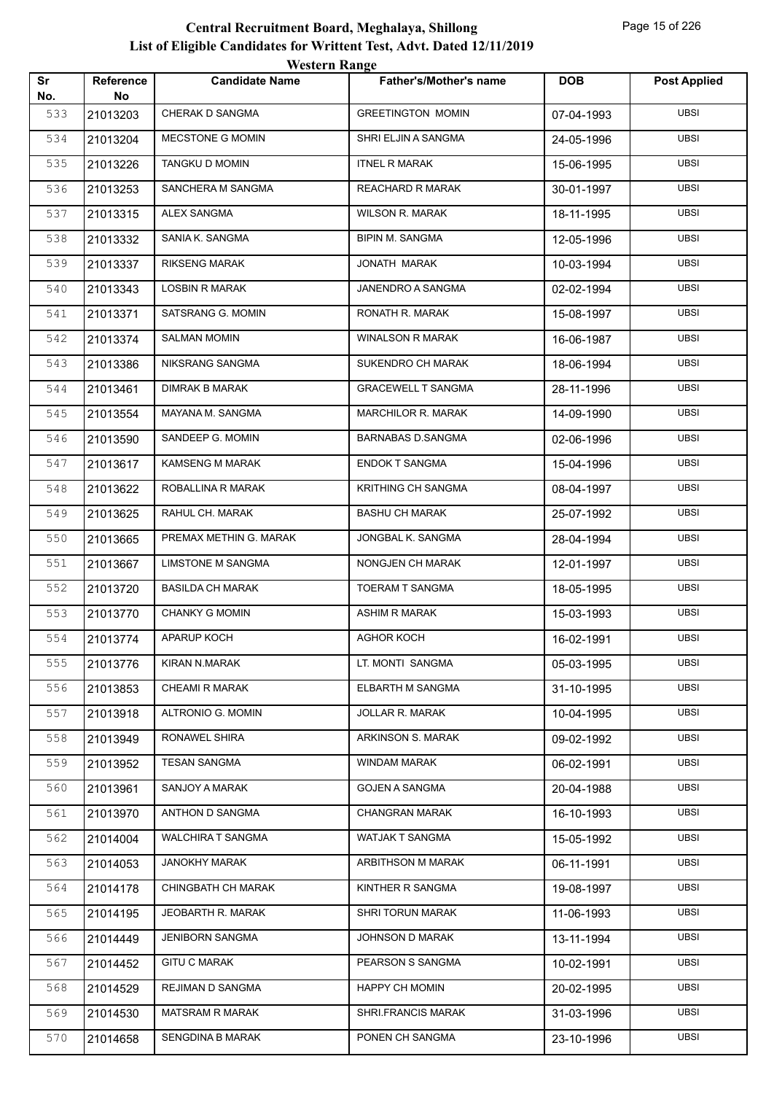|           | <b>Western Range</b>   |                           |                               |            |                     |  |  |
|-----------|------------------------|---------------------------|-------------------------------|------------|---------------------|--|--|
| Sr<br>No. | <b>Reference</b><br>No | <b>Candidate Name</b>     | <b>Father's/Mother's name</b> | <b>DOB</b> | <b>Post Applied</b> |  |  |
| 533       | 21013203               | CHERAK D SANGMA           | <b>GREETINGTON MOMIN</b>      | 07-04-1993 | <b>UBSI</b>         |  |  |
| 534       | 21013204               | MECSTONE G MOMIN          | SHRI ELJIN A SANGMA           | 24-05-1996 | <b>UBSI</b>         |  |  |
| 535       | 21013226               | <b>TANGKU D MOMIN</b>     | <b>ITNEL R MARAK</b>          | 15-06-1995 | <b>UBSI</b>         |  |  |
| 536       | 21013253               | SANCHERA M SANGMA         | <b>REACHARD R MARAK</b>       | 30-01-1997 | <b>UBSI</b>         |  |  |
| 537       | 21013315               | <b>ALEX SANGMA</b>        | <b>WILSON R. MARAK</b>        | 18-11-1995 | <b>UBSI</b>         |  |  |
| 538       | 21013332               | SANIA K. SANGMA           | <b>BIPIN M. SANGMA</b>        | 12-05-1996 | <b>UBSI</b>         |  |  |
| 539       | 21013337               | <b>RIKSENG MARAK</b>      | JONATH MARAK                  | 10-03-1994 | <b>UBSI</b>         |  |  |
| 540       | 21013343               | <b>LOSBIN R MARAK</b>     | JANENDRO A SANGMA             | 02-02-1994 | <b>UBSI</b>         |  |  |
| 541       | 21013371               | SATSRANG G. MOMIN         | RONATH R. MARAK               | 15-08-1997 | <b>UBSI</b>         |  |  |
| 542       | 21013374               | <b>SALMAN MOMIN</b>       | <b>WINALSON R MARAK</b>       | 16-06-1987 | <b>UBSI</b>         |  |  |
| 543       | 21013386               | NIKSRANG SANGMA           | SUKENDRO CH MARAK             | 18-06-1994 | <b>UBSI</b>         |  |  |
| 544       | 21013461               | <b>DIMRAK B MARAK</b>     | <b>GRACEWELL T SANGMA</b>     | 28-11-1996 | <b>UBSI</b>         |  |  |
| 545       | 21013554               | MAYANA M. SANGMA          | MARCHILOR R. MARAK            | 14-09-1990 | <b>UBSI</b>         |  |  |
| 546       | 21013590               | SANDEEP G. MOMIN          | <b>BARNABAS D.SANGMA</b>      | 02-06-1996 | <b>UBSI</b>         |  |  |
| 547       | 21013617               | <b>KAMSENG M MARAK</b>    | <b>ENDOK T SANGMA</b>         | 15-04-1996 | <b>UBSI</b>         |  |  |
| 548       | 21013622               | ROBALLINA R MARAK         | <b>KRITHING CH SANGMA</b>     | 08-04-1997 | <b>UBSI</b>         |  |  |
| 549       | 21013625               | RAHUL CH. MARAK           | <b>BASHU CH MARAK</b>         | 25-07-1992 | <b>UBSI</b>         |  |  |
| 550       | 21013665               | PREMAX METHIN G. MARAK    | JONGBAL K. SANGMA             | 28-04-1994 | <b>UBSI</b>         |  |  |
| 551       | 21013667               | <b>LIMSTONE M SANGMA</b>  | NONGJEN CH MARAK              | 12-01-1997 | <b>UBSI</b>         |  |  |
| 552       | 21013720               | <b>BASILDA CH MARAK</b>   | <b>TOERAM T SANGMA</b>        | 18-05-1995 | <b>UBSI</b>         |  |  |
| 553       | 21013770               | <b>CHANKY G MOMIN</b>     | <b>ASHIM R MARAK</b>          | 15-03-1993 | <b>UBSI</b>         |  |  |
| 554       | 21013774               | APARUP KOCH               | AGHOR KOCH                    | 16-02-1991 | UBSI                |  |  |
| 555       | 21013776               | KIRAN N.MARAK             | LT. MONTI SANGMA              | 05-03-1995 | <b>UBSI</b>         |  |  |
| 556       | 21013853               | <b>CHEAMI R MARAK</b>     | ELBARTH M SANGMA              | 31-10-1995 | <b>UBSI</b>         |  |  |
| 557       | 21013918               | ALTRONIO G. MOMIN         | <b>JOLLAR R. MARAK</b>        | 10-04-1995 | UBSI                |  |  |
| 558       | 21013949               | RONAWEL SHIRA             | <b>ARKINSON S. MARAK</b>      | 09-02-1992 | <b>UBSI</b>         |  |  |
| 559       | 21013952               | <b>TESAN SANGMA</b>       | WINDAM MARAK                  | 06-02-1991 | <b>UBSI</b>         |  |  |
| 560       | 21013961               | SANJOY A MARAK            | <b>GOJEN A SANGMA</b>         | 20-04-1988 | <b>UBSI</b>         |  |  |
| 561       | 21013970               | ANTHON D SANGMA           | <b>CHANGRAN MARAK</b>         | 16-10-1993 | <b>UBSI</b>         |  |  |
| 562       | 21014004               | <b>WALCHIRA T SANGMA</b>  | WATJAK T SANGMA               | 15-05-1992 | UBSI                |  |  |
| 563       | 21014053               | <b>JANOKHY MARAK</b>      | ARBITHSON M MARAK             | 06-11-1991 | <b>UBSI</b>         |  |  |
| 564       | 21014178               | <b>CHINGBATH CH MARAK</b> | KINTHER R SANGMA              | 19-08-1997 | <b>UBSI</b>         |  |  |
| 565       | 21014195               | JEOBARTH R. MARAK         | SHRI TORUN MARAK              | 11-06-1993 | <b>UBSI</b>         |  |  |
| 566       | 21014449               | <b>JENIBORN SANGMA</b>    | JOHNSON D MARAK               | 13-11-1994 | <b>UBSI</b>         |  |  |
| 567       | 21014452               | <b>GITU C MARAK</b>       | PEARSON S SANGMA              | 10-02-1991 | UBSI                |  |  |
| 568       | 21014529               | REJIMAN D SANGMA          | <b>HAPPY CH MOMIN</b>         | 20-02-1995 | <b>UBSI</b>         |  |  |
| 569       | 21014530               | <b>MATSRAM R MARAK</b>    | SHRI.FRANCIS MARAK            | 31-03-1996 | <b>UBSI</b>         |  |  |
| 570       | 21014658               | SENGDINA B MARAK          | PONEN CH SANGMA               | 23-10-1996 | <b>UBSI</b>         |  |  |
|           |                        |                           |                               |            |                     |  |  |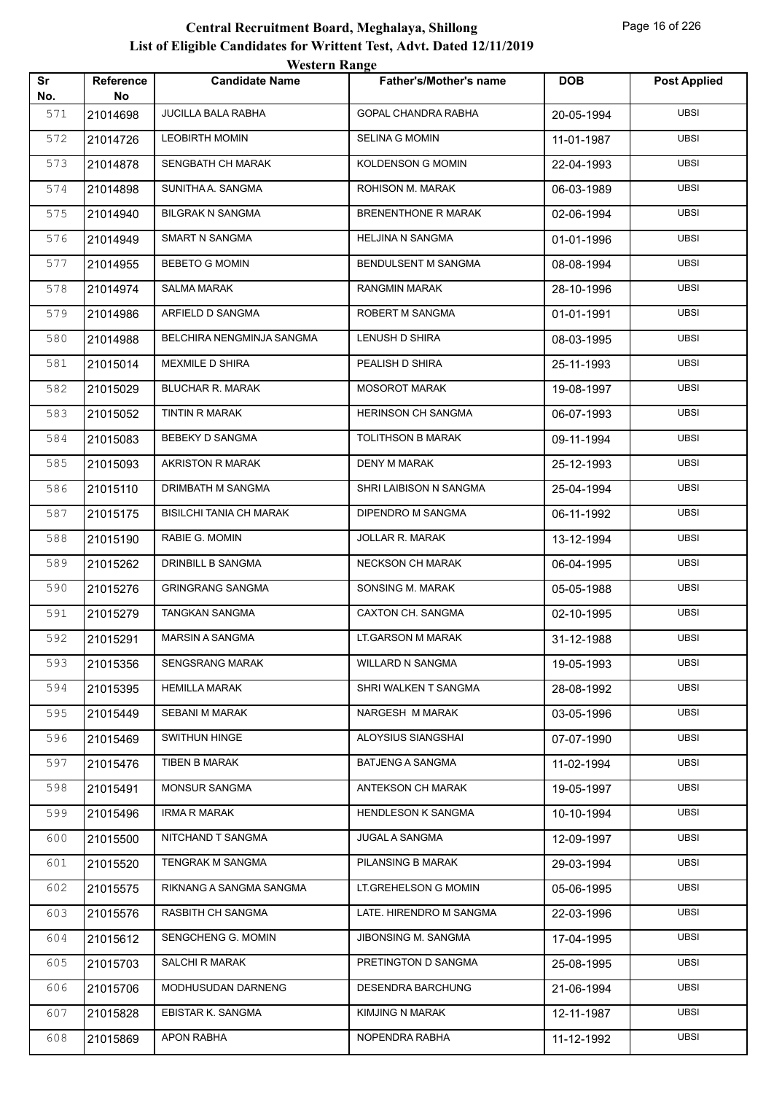|           |                        | <b>Western Range</b>           |                               |            |                     |
|-----------|------------------------|--------------------------------|-------------------------------|------------|---------------------|
| Sr<br>No. | <b>Reference</b><br>No | <b>Candidate Name</b>          | <b>Father's/Mother's name</b> | <b>DOB</b> | <b>Post Applied</b> |
| 571       | 21014698               | <b>JUCILLA BALA RABHA</b>      | GOPAL CHANDRA RABHA           | 20-05-1994 | <b>UBSI</b>         |
| 572       | 21014726               | <b>LEOBIRTH MOMIN</b>          | <b>SELINA G MOMIN</b>         | 11-01-1987 | <b>UBSI</b>         |
| 573       | 21014878               | SENGBATH CH MARAK              | <b>KOLDENSON G MOMIN</b>      | 22-04-1993 | <b>UBSI</b>         |
| 574       | 21014898               | SUNITHA A. SANGMA              | ROHISON M. MARAK              | 06-03-1989 | <b>UBSI</b>         |
| 575       | 21014940               | <b>BILGRAK N SANGMA</b>        | <b>BRENENTHONE R MARAK</b>    | 02-06-1994 | <b>UBSI</b>         |
| 576       | 21014949               | <b>SMART N SANGMA</b>          | <b>HELJINA N SANGMA</b>       | 01-01-1996 | <b>UBSI</b>         |
| 577       | 21014955               | <b>BEBETO G MOMIN</b>          | BENDULSENT M SANGMA           | 08-08-1994 | <b>UBSI</b>         |
| 578       | 21014974               | <b>SALMA MARAK</b>             | <b>RANGMIN MARAK</b>          | 28-10-1996 | <b>UBSI</b>         |
| 579       | 21014986               | ARFIELD D SANGMA               | ROBERT M SANGMA               | 01-01-1991 | <b>UBSI</b>         |
| 580       | 21014988               | BELCHIRA NENGMINJA SANGMA      | LENUSH D SHIRA                | 08-03-1995 | <b>UBSI</b>         |
| 581       | 21015014               | <b>MEXMILE D SHIRA</b>         | PEALISH D SHIRA               | 25-11-1993 | <b>UBSI</b>         |
| 582       | 21015029               | <b>BLUCHAR R. MARAK</b>        | <b>MOSOROT MARAK</b>          | 19-08-1997 | <b>UBSI</b>         |
| 583       | 21015052               | <b>TINTIN R MARAK</b>          | <b>HERINSON CH SANGMA</b>     | 06-07-1993 | <b>UBSI</b>         |
| 584       | 21015083               | <b>BEBEKY D SANGMA</b>         | <b>TOLITHSON B MARAK</b>      | 09-11-1994 | <b>UBSI</b>         |
| 585       | 21015093               | <b>AKRISTON R MARAK</b>        | <b>DENY M MARAK</b>           | 25-12-1993 | <b>UBSI</b>         |
| 586       | 21015110               | DRIMBATH M SANGMA              | SHRI LAIBISON N SANGMA        | 25-04-1994 | <b>UBSI</b>         |
| 587       | 21015175               | <b>BISILCHI TANIA CH MARAK</b> | DIPENDRO M SANGMA             | 06-11-1992 | <b>UBSI</b>         |
| 588       | 21015190               | RABIE G. MOMIN                 | JOLLAR R. MARAK               | 13-12-1994 | <b>UBSI</b>         |
| 589       | 21015262               | DRINBILL B SANGMA              | <b>NECKSON CH MARAK</b>       | 06-04-1995 | <b>UBSI</b>         |
| 590       | 21015276               | <b>GRINGRANG SANGMA</b>        | SONSING M. MARAK              | 05-05-1988 | <b>UBSI</b>         |
| 591       | 21015279               | <b>TANGKAN SANGMA</b>          | <b>CAXTON CH. SANGMA</b>      | 02-10-1995 | <b>UBSI</b>         |
| 592       | 21015291               | <b>MARSIN A SANGMA</b>         | <b>LT.GARSON M MARAK</b>      | 31-12-1988 | <b>UBSI</b>         |
| 593       | 21015356               | <b>SENGSRANG MARAK</b>         | <b>WILLARD N SANGMA</b>       | 19-05-1993 | <b>UBSI</b>         |
| 594       | 21015395               | <b>HEMILLA MARAK</b>           | SHRI WALKEN T SANGMA          | 28-08-1992 | <b>UBSI</b>         |
| 595       | 21015449               | <b>SEBANI M MARAK</b>          | NARGESH M MARAK               | 03-05-1996 | UBSI                |
| 596       | 21015469               | SWITHUN HINGE                  | ALOYSIUS SIANGSHAI            | 07-07-1990 | <b>UBSI</b>         |
| 597       | 21015476               | TIBEN B MARAK                  | <b>BATJENG A SANGMA</b>       | 11-02-1994 | UBSI                |
| 598       | 21015491               | <b>MONSUR SANGMA</b>           | <b>ANTEKSON CH MARAK</b>      | 19-05-1997 | <b>UBSI</b>         |
| 599       | 21015496               | <b>IRMA R MARAK</b>            | <b>HENDLESON K SANGMA</b>     | 10-10-1994 | <b>UBSI</b>         |
| 600       | 21015500               | NITCHAND T SANGMA              | <b>JUGAL A SANGMA</b>         | 12-09-1997 | UBSI                |
| 601       | 21015520               | TENGRAK M SANGMA               | PILANSING B MARAK             | 29-03-1994 | <b>UBSI</b>         |
| 602       | 21015575               | RIKNANG A SANGMA SANGMA        | LT.GREHELSON G MOMIN          | 05-06-1995 | UBSI                |
| 603       | 21015576               | RASBITH CH SANGMA              | LATE. HIRENDRO M SANGMA       | 22-03-1996 | <b>UBSI</b>         |
| 604       | 21015612               | SENGCHENG G. MOMIN             | JIBONSING M. SANGMA           | 17-04-1995 | <b>UBSI</b>         |
| 605       | 21015703               | SALCHI R MARAK                 | PRETINGTON D SANGMA           | 25-08-1995 | UBSI                |
| 606       | 21015706               | MODHUSUDAN DARNENG             | DESENDRA BARCHUNG             | 21-06-1994 | <b>UBSI</b>         |
| 607       | 21015828               | EBISTAR K. SANGMA              | KIMJING N MARAK               | 12-11-1987 | UBSI                |
| 608       | 21015869               | <b>APON RABHA</b>              | NOPENDRA RABHA                | 11-12-1992 | <b>UBSI</b>         |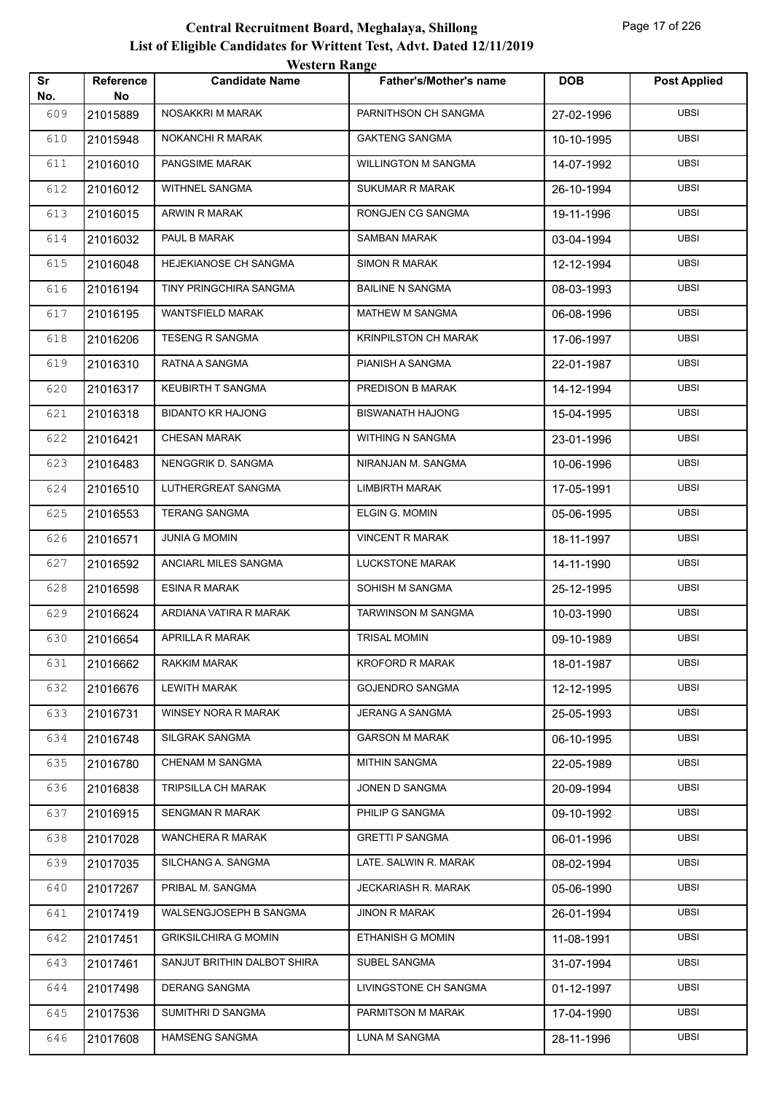| <b>Western Range</b><br>Sr<br><b>DOB</b><br><b>Reference</b><br><b>Candidate Name</b><br><b>Father's/Mother's name</b><br>No.<br>No<br>609<br>NOSAKKRI M MARAK<br>PARNITHSON CH SANGMA<br>21015889<br>27-02-1996<br>610<br>NOKANCHI R MARAK<br><b>GAKTENG SANGMA</b><br>21015948<br>10-10-1995<br>PANGSIME MARAK<br><b>WILLINGTON M SANGMA</b><br>611<br>21016010<br>14-07-1992<br><b>WITHNEL SANGMA</b><br>SUKUMAR R MARAK<br>612<br>21016012<br>26-10-1994<br>613<br><b>ARWIN R MARAK</b><br><b>RONGJEN CG SANGMA</b><br>21016015<br>19-11-1996<br>PAUL B MARAK<br><b>SAMBAN MARAK</b><br>614<br>21016032<br>03-04-1994<br>HEJEKIANOSE CH SANGMA<br><b>SIMON R MARAK</b><br>615<br>21016048<br>12-12-1994 | <b>Post Applied</b><br><b>UBSI</b><br><b>UBSI</b><br><b>UBSI</b><br><b>UBSI</b><br><b>UBSI</b><br><b>UBSI</b><br><b>UBSI</b><br><b>UBSI</b><br><b>UBSI</b> |
|-------------------------------------------------------------------------------------------------------------------------------------------------------------------------------------------------------------------------------------------------------------------------------------------------------------------------------------------------------------------------------------------------------------------------------------------------------------------------------------------------------------------------------------------------------------------------------------------------------------------------------------------------------------------------------------------------------------|------------------------------------------------------------------------------------------------------------------------------------------------------------|
|                                                                                                                                                                                                                                                                                                                                                                                                                                                                                                                                                                                                                                                                                                             |                                                                                                                                                            |
|                                                                                                                                                                                                                                                                                                                                                                                                                                                                                                                                                                                                                                                                                                             |                                                                                                                                                            |
|                                                                                                                                                                                                                                                                                                                                                                                                                                                                                                                                                                                                                                                                                                             |                                                                                                                                                            |
|                                                                                                                                                                                                                                                                                                                                                                                                                                                                                                                                                                                                                                                                                                             |                                                                                                                                                            |
|                                                                                                                                                                                                                                                                                                                                                                                                                                                                                                                                                                                                                                                                                                             |                                                                                                                                                            |
|                                                                                                                                                                                                                                                                                                                                                                                                                                                                                                                                                                                                                                                                                                             |                                                                                                                                                            |
|                                                                                                                                                                                                                                                                                                                                                                                                                                                                                                                                                                                                                                                                                                             |                                                                                                                                                            |
|                                                                                                                                                                                                                                                                                                                                                                                                                                                                                                                                                                                                                                                                                                             |                                                                                                                                                            |
| TINY PRINGCHIRA SANGMA<br><b>BAILINE N SANGMA</b><br>616<br>21016194<br>08-03-1993                                                                                                                                                                                                                                                                                                                                                                                                                                                                                                                                                                                                                          |                                                                                                                                                            |
| <b>WANTSFIELD MARAK</b><br><b>MATHEW M SANGMA</b><br>617<br>21016195<br>06-08-1996                                                                                                                                                                                                                                                                                                                                                                                                                                                                                                                                                                                                                          |                                                                                                                                                            |
| <b>TESENG R SANGMA</b><br><b>KRINPILSTON CH MARAK</b><br>618<br>21016206<br>17-06-1997                                                                                                                                                                                                                                                                                                                                                                                                                                                                                                                                                                                                                      | <b>UBSI</b>                                                                                                                                                |
| RATNA A SANGMA<br>PIANISH A SANGMA<br>619<br>21016310<br>22-01-1987                                                                                                                                                                                                                                                                                                                                                                                                                                                                                                                                                                                                                                         | <b>UBSI</b>                                                                                                                                                |
| <b>KEUBIRTH T SANGMA</b><br>PREDISON B MARAK<br>620<br>21016317<br>14-12-1994                                                                                                                                                                                                                                                                                                                                                                                                                                                                                                                                                                                                                               | <b>UBSI</b>                                                                                                                                                |
| <b>BIDANTO KR HAJONG</b><br>621<br><b>BISWANATH HAJONG</b><br>21016318<br>15-04-1995                                                                                                                                                                                                                                                                                                                                                                                                                                                                                                                                                                                                                        | <b>UBSI</b>                                                                                                                                                |
| <b>CHESAN MARAK</b><br>WITHING N SANGMA<br>622<br>21016421<br>23-01-1996                                                                                                                                                                                                                                                                                                                                                                                                                                                                                                                                                                                                                                    | <b>UBSI</b>                                                                                                                                                |
| NIRANJAN M. SANGMA<br>623<br>NENGGRIK D. SANGMA<br>21016483<br>10-06-1996                                                                                                                                                                                                                                                                                                                                                                                                                                                                                                                                                                                                                                   | <b>UBSI</b>                                                                                                                                                |
| LUTHERGREAT SANGMA<br><b>LIMBIRTH MARAK</b><br>624<br>21016510<br>17-05-1991                                                                                                                                                                                                                                                                                                                                                                                                                                                                                                                                                                                                                                | <b>UBSI</b>                                                                                                                                                |
| <b>TERANG SANGMA</b><br>ELGIN G. MOMIN<br>625<br>21016553<br>05-06-1995                                                                                                                                                                                                                                                                                                                                                                                                                                                                                                                                                                                                                                     | <b>UBSI</b>                                                                                                                                                |
| <b>JUNIA G MOMIN</b><br><b>VINCENT R MARAK</b><br>626<br>21016571<br>18-11-1997                                                                                                                                                                                                                                                                                                                                                                                                                                                                                                                                                                                                                             | <b>UBSI</b>                                                                                                                                                |
| ANCIARL MILES SANGMA<br><b>LUCKSTONE MARAK</b><br>627<br>21016592<br>14-11-1990                                                                                                                                                                                                                                                                                                                                                                                                                                                                                                                                                                                                                             | <b>UBSI</b>                                                                                                                                                |
| 628<br><b>ESINA R MARAK</b><br>SOHISH M SANGMA<br>21016598<br>25-12-1995                                                                                                                                                                                                                                                                                                                                                                                                                                                                                                                                                                                                                                    | <b>UBSI</b>                                                                                                                                                |
| 629<br>ARDIANA VATIRA R MARAK<br><b>TARWINSON M SANGMA</b><br>21016624<br>10-03-1990                                                                                                                                                                                                                                                                                                                                                                                                                                                                                                                                                                                                                        | <b>UBSI</b>                                                                                                                                                |
| APRILLA R MARAK<br>630<br>21016654<br>TRISAL MOMIN<br>09-10-1989                                                                                                                                                                                                                                                                                                                                                                                                                                                                                                                                                                                                                                            | <b>UBSI</b>                                                                                                                                                |
| <b>KROFORD R MARAK</b><br>631<br>RAKKIM MARAK<br>21016662<br>18-01-1987                                                                                                                                                                                                                                                                                                                                                                                                                                                                                                                                                                                                                                     | <b>UBSI</b>                                                                                                                                                |
| <b>LEWITH MARAK</b><br><b>GOJENDRO SANGMA</b><br>632<br>21016676<br>12-12-1995                                                                                                                                                                                                                                                                                                                                                                                                                                                                                                                                                                                                                              | <b>UBSI</b>                                                                                                                                                |
| 633<br>WINSEY NORA R MARAK<br><b>JERANG A SANGMA</b><br>21016731<br>25-05-1993                                                                                                                                                                                                                                                                                                                                                                                                                                                                                                                                                                                                                              | <b>UBSI</b>                                                                                                                                                |
| <b>GARSON M MARAK</b><br>634<br>SILGRAK SANGMA<br>21016748<br>06-10-1995                                                                                                                                                                                                                                                                                                                                                                                                                                                                                                                                                                                                                                    | <b>UBSI</b>                                                                                                                                                |
| CHENAM M SANGMA<br><b>MITHIN SANGMA</b><br>635<br>22-05-1989<br>21016780                                                                                                                                                                                                                                                                                                                                                                                                                                                                                                                                                                                                                                    | <b>UBSI</b>                                                                                                                                                |
| TRIPSILLA CH MARAK<br>JONEN D SANGMA<br>636<br>20-09-1994<br>21016838                                                                                                                                                                                                                                                                                                                                                                                                                                                                                                                                                                                                                                       | <b>UBSI</b>                                                                                                                                                |
| SENGMAN R MARAK<br>PHILIP G SANGMA<br>637<br>21016915<br>09-10-1992                                                                                                                                                                                                                                                                                                                                                                                                                                                                                                                                                                                                                                         | <b>UBSI</b>                                                                                                                                                |
| <b>WANCHERA R MARAK</b><br><b>GRETTI P SANGMA</b><br>638<br>06-01-1996<br>21017028                                                                                                                                                                                                                                                                                                                                                                                                                                                                                                                                                                                                                          | <b>UBSI</b>                                                                                                                                                |
| LATE. SALWIN R. MARAK<br>639<br>SILCHANG A. SANGMA<br>21017035<br>08-02-1994                                                                                                                                                                                                                                                                                                                                                                                                                                                                                                                                                                                                                                | <b>UBSI</b>                                                                                                                                                |
| PRIBAL M. SANGMA<br><b>JECKARIASH R. MARAK</b><br>640<br>05-06-1990<br>21017267                                                                                                                                                                                                                                                                                                                                                                                                                                                                                                                                                                                                                             | <b>UBSI</b>                                                                                                                                                |
| WALSENGJOSEPH B SANGMA<br><b>JINON R MARAK</b><br>641<br>21017419<br>26-01-1994                                                                                                                                                                                                                                                                                                                                                                                                                                                                                                                                                                                                                             | <b>UBSI</b>                                                                                                                                                |
| <b>GRIKSILCHIRA G MOMIN</b><br>ETHANISH G MOMIN<br>642<br>21017451<br>11-08-1991                                                                                                                                                                                                                                                                                                                                                                                                                                                                                                                                                                                                                            | <b>UBSI</b>                                                                                                                                                |
| SANJUT BRITHIN DALBOT SHIRA<br>SUBEL SANGMA<br>643<br>21017461<br>31-07-1994                                                                                                                                                                                                                                                                                                                                                                                                                                                                                                                                                                                                                                | <b>UBSI</b>                                                                                                                                                |
| <b>DERANG SANGMA</b><br>LIVINGSTONE CH SANGMA<br>644<br>21017498<br>01-12-1997                                                                                                                                                                                                                                                                                                                                                                                                                                                                                                                                                                                                                              | <b>UBSI</b>                                                                                                                                                |
| SUMITHRI D SANGMA<br>PARMITSON M MARAK<br>645<br>17-04-1990<br>21017536                                                                                                                                                                                                                                                                                                                                                                                                                                                                                                                                                                                                                                     | <b>UBSI</b>                                                                                                                                                |
| <b>HAMSENG SANGMA</b><br><b>LUNA M SANGMA</b><br>646<br>21017608<br>28-11-1996                                                                                                                                                                                                                                                                                                                                                                                                                                                                                                                                                                                                                              | <b>UBSI</b>                                                                                                                                                |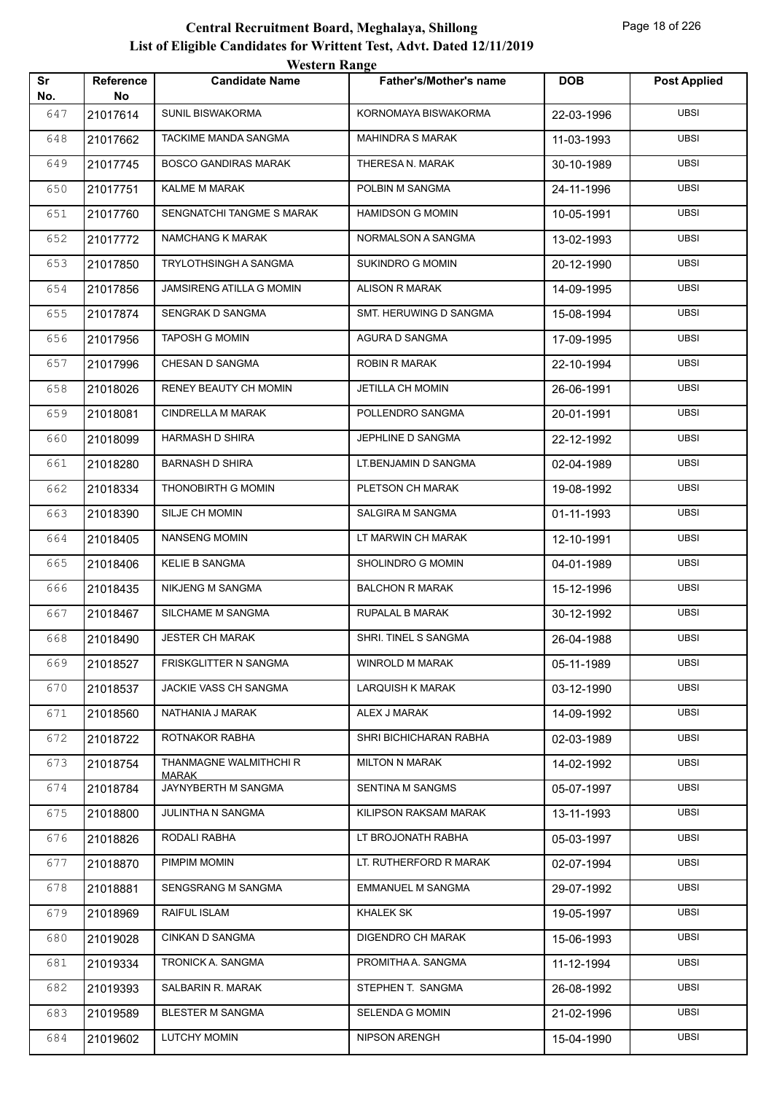|           |                        | <b>Western Range</b>                |                               |            |                     |
|-----------|------------------------|-------------------------------------|-------------------------------|------------|---------------------|
| Sr<br>No. | <b>Reference</b><br>No | <b>Candidate Name</b>               | <b>Father's/Mother's name</b> | <b>DOB</b> | <b>Post Applied</b> |
| 647       | 21017614               | <b>SUNIL BISWAKORMA</b>             | KORNOMAYA BISWAKORMA          | 22-03-1996 | <b>UBSI</b>         |
| 648       | 21017662               | TACKIME MANDA SANGMA                | <b>MAHINDRA S MARAK</b>       | 11-03-1993 | <b>UBSI</b>         |
| 649       | 21017745               | <b>BOSCO GANDIRAS MARAK</b>         | THERESA N. MARAK              | 30-10-1989 | <b>UBSI</b>         |
| 650       | 21017751               | <b>KALME M MARAK</b>                | POLBIN M SANGMA               | 24-11-1996 | <b>UBSI</b>         |
| 651       | 21017760               | SENGNATCHI TANGME S MARAK           | <b>HAMIDSON G MOMIN</b>       | 10-05-1991 | UBSI                |
| 652       | 21017772               | NAMCHANG K MARAK                    | NORMALSON A SANGMA            | 13-02-1993 | <b>UBSI</b>         |
| 653       | 21017850               | <b>TRYLOTHSINGH A SANGMA</b>        | <b>SUKINDRO G MOMIN</b>       | 20-12-1990 | <b>UBSI</b>         |
| 654       | 21017856               | JAMSIRENG ATILLA G MOMIN            | <b>ALISON R MARAK</b>         | 14-09-1995 | <b>UBSI</b>         |
| 655       | 21017874               | SENGRAK D SANGMA                    | SMT. HERUWING D SANGMA        | 15-08-1994 | <b>UBSI</b>         |
| 656       | 21017956               | <b>TAPOSH G MOMIN</b>               | AGURA D SANGMA                | 17-09-1995 | <b>UBSI</b>         |
| 657       | 21017996               | CHESAN D SANGMA                     | <b>ROBIN R MARAK</b>          | 22-10-1994 | <b>UBSI</b>         |
| 658       | 21018026               | RENEY BEAUTY CH MOMIN               | JETILLA CH MOMIN              | 26-06-1991 | <b>UBSI</b>         |
| 659       | 21018081               | CINDRELLA M MARAK                   | POLLENDRO SANGMA              | 20-01-1991 | <b>UBSI</b>         |
| 660       | 21018099               | <b>HARMASH D SHIRA</b>              | JEPHLINE D SANGMA             | 22-12-1992 | <b>UBSI</b>         |
| 661       | 21018280               | <b>BARNASH D SHIRA</b>              | LT.BENJAMIN D SANGMA          | 02-04-1989 | <b>UBSI</b>         |
| 662       | 21018334               | THONOBIRTH G MOMIN                  | PLETSON CH MARAK              | 19-08-1992 | <b>UBSI</b>         |
| 663       | 21018390               | SILJE CH MOMIN                      | SALGIRA M SANGMA              | 01-11-1993 | <b>UBSI</b>         |
| 664       | 21018405               | <b>NANSENG MOMIN</b>                | LT MARWIN CH MARAK            | 12-10-1991 | <b>UBSI</b>         |
| 665       | 21018406               | <b>KELIE B SANGMA</b>               | SHOLINDRO G MOMIN             | 04-01-1989 | <b>UBSI</b>         |
| 666       | 21018435               | NIKJENG M SANGMA                    | <b>BALCHON R MARAK</b>        | 15-12-1996 | <b>UBSI</b>         |
| 667       | 21018467               | SILCHAME M SANGMA                   | RUPALAL B MARAK               | 30-12-1992 | <b>UBSI</b>         |
| 668       | 21018490               | <b>JESTER CH MARAK</b>              | SHRI. TINEL S SANGMA          | 26-04-1988 | <b>UBSI</b>         |
| 669       | 21018527               | FRISKGLITTER N SANGMA               | WINROLD M MARAK               | 05-11-1989 | <b>UBSI</b>         |
| 670       | 21018537               | JACKIE VASS CH SANGMA               | LARQUISH K MARAK              | 03-12-1990 | <b>UBSI</b>         |
| 671       | 21018560               | NATHANIA J MARAK                    | ALEX J MARAK                  | 14-09-1992 | UBSI                |
| 672       | 21018722               | ROTNAKOR RABHA                      | SHRI BICHICHARAN RABHA        | 02-03-1989 | <b>UBSI</b>         |
| 673       | 21018754               | THANMAGNE WALMITHCHI R              | <b>MILTON N MARAK</b>         | 14-02-1992 | UBSI                |
| 674       | 21018784               | <b>MARAK</b><br>JAYNYBERTH M SANGMA | SENTINA M SANGMS              | 05-07-1997 | <b>UBSI</b>         |
| 675       | 21018800               | JULINTHA N SANGMA                   | KILIPSON RAKSAM MARAK         | 13-11-1993 | <b>UBSI</b>         |
| 676       | 21018826               | RODALI RABHA                        | LT BROJONATH RABHA            | 05-03-1997 | UBSI                |
| 677       | 21018870               | PIMPIM MOMIN                        | LT. RUTHERFORD R MARAK        | 02-07-1994 | <b>UBSI</b>         |
| 678       | 21018881               | SENGSRANG M SANGMA                  | EMMANUEL M SANGMA             | 29-07-1992 | UBSI                |
| 679       | 21018969               | RAIFUL ISLAM                        | KHALEK SK                     | 19-05-1997 | <b>UBSI</b>         |
| 680       | 21019028               | CINKAN D SANGMA                     | DIGENDRO CH MARAK             | 15-06-1993 | <b>UBSI</b>         |
| 681       | 21019334               | TRONICK A. SANGMA                   | PROMITHA A. SANGMA            | 11-12-1994 | UBSI                |
| 682       | 21019393               | SALBARIN R. MARAK                   | STEPHEN T. SANGMA             | 26-08-1992 | <b>UBSI</b>         |
| 683       | 21019589               | <b>BLESTER M SANGMA</b>             | SELENDA G MOMIN               | 21-02-1996 | <b>UBSI</b>         |
| 684       | 21019602               | <b>LUTCHY MOMIN</b>                 | NIPSON ARENGH                 | 15-04-1990 | <b>UBSI</b>         |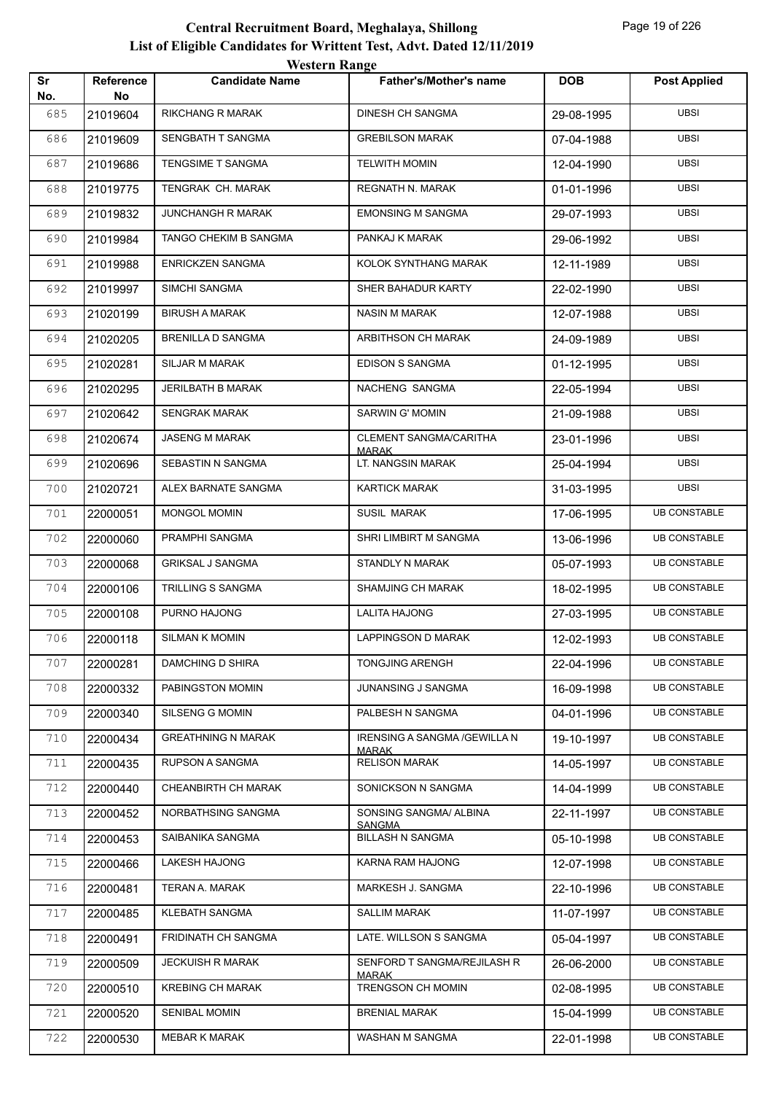| Sr         | Reference      | <b>WUSIUL IVANGU</b><br><b>Candidate Name</b> | <b>Father's/Mother's name</b>                 | <b>DOB</b> | <b>Post Applied</b> |
|------------|----------------|-----------------------------------------------|-----------------------------------------------|------------|---------------------|
| No.<br>685 | No<br>21019604 | <b>RIKCHANG R MARAK</b>                       | DINESH CH SANGMA                              | 29-08-1995 | <b>UBSI</b>         |
| 686        | 21019609       | SENGBATH T SANGMA                             | <b>GREBILSON MARAK</b>                        | 07-04-1988 | <b>UBSI</b>         |
| 687        | 21019686       | TENGSIME T SANGMA                             | <b>TELWITH MOMIN</b>                          | 12-04-1990 | <b>UBSI</b>         |
| 688        | 21019775       | TENGRAK CH. MARAK                             | REGNATH N. MARAK                              | 01-01-1996 | <b>UBSI</b>         |
| 689        | 21019832       | JUNCHANGH R MARAK                             | <b>EMONSING M SANGMA</b>                      | 29-07-1993 | <b>UBSI</b>         |
| 690        |                | TANGO CHEKIM B SANGMA                         | PANKAJ K MARAK                                |            | <b>UBSI</b>         |
| 691        | 21019984       | <b>ENRICKZEN SANGMA</b>                       | KOLOK SYNTHANG MARAK                          | 29-06-1992 | <b>UBSI</b>         |
|            | 21019988       |                                               |                                               | 12-11-1989 |                     |
| 692        | 21019997       | SIMCHI SANGMA                                 | SHER BAHADUR KARTY                            | 22-02-1990 | <b>UBSI</b>         |
| 693        | 21020199       | <b>BIRUSH A MARAK</b>                         | <b>NASIN M MARAK</b>                          | 12-07-1988 | <b>UBSI</b>         |
| 694        | 21020205       | <b>BRENILLA D SANGMA</b>                      | ARBITHSON CH MARAK                            | 24-09-1989 | <b>UBSI</b>         |
| 695        | 21020281       | SILJAR M MARAK                                | <b>EDISON S SANGMA</b>                        | 01-12-1995 | <b>UBSI</b>         |
| 696        | 21020295       | JERILBATH B MARAK                             | NACHENG SANGMA                                | 22-05-1994 | <b>UBSI</b>         |
| 697        | 21020642       | <b>SENGRAK MARAK</b>                          | <b>SARWIN G' MOMIN</b>                        | 21-09-1988 | <b>UBSI</b>         |
| 698        | 21020674       | <b>JASENG M MARAK</b>                         | <b>CLEMENT SANGMA/CARITHA</b><br><b>MARAK</b> | 23-01-1996 | <b>UBSI</b>         |
| 699        | 21020696       | SEBASTIN N SANGMA                             | LT. NANGSIN MARAK                             | 25-04-1994 | <b>UBSI</b>         |
| 700        | 21020721       | ALEX BARNATE SANGMA                           | <b>KARTICK MARAK</b>                          | 31-03-1995 | <b>UBSI</b>         |
| 701        | 22000051       | <b>MONGOL MOMIN</b>                           | SUSIL MARAK                                   | 17-06-1995 | <b>UB CONSTABLE</b> |
| 702        | 22000060       | PRAMPHI SANGMA                                | SHRI LIMBIRT M SANGMA                         | 13-06-1996 | <b>UB CONSTABLE</b> |
| 703        | 22000068       | <b>GRIKSAL J SANGMA</b>                       | STANDLY N MARAK                               | 05-07-1993 | <b>UB CONSTABLE</b> |
| 704        | 22000106       | TRILLING S SANGMA                             | <b>SHAMJING CH MARAK</b>                      | 18-02-1995 | <b>UB CONSTABLE</b> |
| 705        | 22000108       | PURNO HAJONG                                  | <b>LALITA HAJONG</b>                          | 27-03-1995 | <b>UB CONSTABLE</b> |
| 706        | 22000118       | <b>SILMAN K MOMIN</b>                         | <b>LAPPINGSON D MARAK</b>                     | 12-02-1993 | <b>UB CONSTABLE</b> |
| 707        | 22000281       | DAMCHING D SHIRA                              | <b>TONGJING ARENGH</b>                        | 22-04-1996 | <b>UB CONSTABLE</b> |
| 708        | 22000332       | PABINGSTON MOMIN                              | JUNANSING J SANGMA                            | 16-09-1998 | <b>UB CONSTABLE</b> |
| 709        | 22000340       | SILSENG G MOMIN                               | PALBESH N SANGMA                              | 04-01-1996 | <b>UB CONSTABLE</b> |
| 710        | 22000434       | <b>GREATHNING N MARAK</b>                     | IRENSING A SANGMA / GEWILLA N                 | 19-10-1997 | <b>UB CONSTABLE</b> |
| 711        | 22000435       | RUPSON A SANGMA                               | <b>MARAK</b><br><b>RELISON MARAK</b>          | 14-05-1997 | <b>UB CONSTABLE</b> |
| 712        | 22000440       | CHEANBIRTH CH MARAK                           | SONICKSON N SANGMA                            | 14-04-1999 | <b>UB CONSTABLE</b> |
| 713        | 22000452       | NORBATHSING SANGMA                            | SONSING SANGMA/ ALBINA                        | 22-11-1997 | <b>UB CONSTABLE</b> |
| 714        | 22000453       | SAIBANIKA SANGMA                              | <b>SANGMA</b><br><b>BILLASH N SANGMA</b>      | 05-10-1998 | <b>UB CONSTABLE</b> |
| 715        | 22000466       | LAKESH HAJONG                                 | KARNA RAM HAJONG                              | 12-07-1998 | <b>UB CONSTABLE</b> |
| 716        | 22000481       | TERAN A. MARAK                                | MARKESH J. SANGMA                             | 22-10-1996 | <b>UB CONSTABLE</b> |
| 717        | 22000485       | KLEBATH SANGMA                                | <b>SALLIM MARAK</b>                           | 11-07-1997 | <b>UB CONSTABLE</b> |
|            |                | FRIDINATH CH SANGMA                           | LATE. WILLSON S SANGMA                        |            | <b>UB CONSTABLE</b> |
| 718        | 22000491       |                                               |                                               | 05-04-1997 |                     |
| 719        | 22000509       | <b>JECKUISH R MARAK</b>                       | SENFORD T SANGMA/REJILASH R<br>MARAK          | 26-06-2000 | <b>UB CONSTABLE</b> |
| 720        | 22000510       | <b>KREBING CH MARAK</b>                       | TRENGSON CH MOMIN                             | 02-08-1995 | <b>UB CONSTABLE</b> |
| 721        | 22000520       | <b>SENIBAL MOMIN</b>                          | <b>BRENIAL MARAK</b>                          | 15-04-1999 | <b>UB CONSTABLE</b> |
| 722        | 22000530       | MEBAR K MARAK                                 | WASHAN M SANGMA                               | 22-01-1998 | <b>UB CONSTABLE</b> |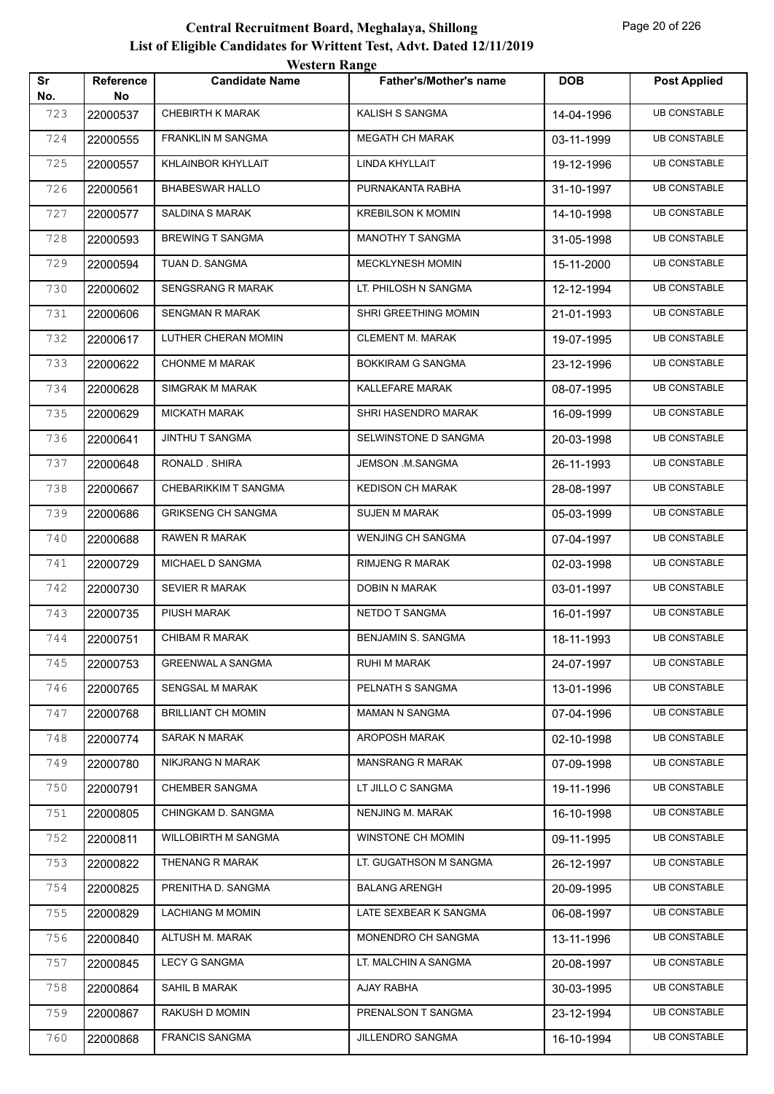|           |                        | <b>Western Range</b>       |                               |            |                     |
|-----------|------------------------|----------------------------|-------------------------------|------------|---------------------|
| Sr<br>No. | <b>Reference</b><br>No | <b>Candidate Name</b>      | <b>Father's/Mother's name</b> | <b>DOB</b> | <b>Post Applied</b> |
| 723       | 22000537               | <b>CHEBIRTH K MARAK</b>    | KALISH S SANGMA               | 14-04-1996 | <b>UB CONSTABLE</b> |
| 724       | 22000555               | <b>FRANKLIN M SANGMA</b>   | <b>MEGATH CH MARAK</b>        | 03-11-1999 | <b>UB CONSTABLE</b> |
| 725       | 22000557               | KHLAINBOR KHYLLAIT         | LINDA KHYLLAIT                | 19-12-1996 | <b>UB CONSTABLE</b> |
| 726       | 22000561               | <b>BHABESWAR HALLO</b>     | PURNAKANTA RABHA              | 31-10-1997 | <b>UB CONSTABLE</b> |
| 727       | 22000577               | <b>SALDINA S MARAK</b>     | <b>KREBILSON K MOMIN</b>      | 14-10-1998 | <b>UB CONSTABLE</b> |
| 728       | 22000593               | <b>BREWING T SANGMA</b>    | MANOTHY T SANGMA              | 31-05-1998 | <b>UB CONSTABLE</b> |
| 729       | 22000594               | TUAN D. SANGMA             | MECKLYNESH MOMIN              | 15-11-2000 | <b>UB CONSTABLE</b> |
| 730       | 22000602               | <b>SENGSRANG R MARAK</b>   | LT. PHILOSH N SANGMA          | 12-12-1994 | <b>UB CONSTABLE</b> |
| 731       | 22000606               | SENGMAN R MARAK            | SHRI GREETHING MOMIN          | 21-01-1993 | <b>UB CONSTABLE</b> |
| 732       | 22000617               | LUTHER CHERAN MOMIN        | <b>CLEMENT M. MARAK</b>       | 19-07-1995 | <b>UB CONSTABLE</b> |
| 733       | 22000622               | <b>CHONME M MARAK</b>      | <b>BOKKIRAM G SANGMA</b>      | 23-12-1996 | <b>UB CONSTABLE</b> |
| 734       | 22000628               | SIMGRAK M MARAK            | KALLEFARE MARAK               | 08-07-1995 | <b>UB CONSTABLE</b> |
| 735       | 22000629               | <b>MICKATH MARAK</b>       | SHRI HASENDRO MARAK           | 16-09-1999 | <b>UB CONSTABLE</b> |
| 736       | 22000641               | <b>JINTHU T SANGMA</b>     | SELWINSTONE D SANGMA          | 20-03-1998 | <b>UB CONSTABLE</b> |
| 737       | 22000648               | RONALD. SHIRA              | JEMSON .M.SANGMA              | 26-11-1993 | <b>UB CONSTABLE</b> |
| 738       | 22000667               | CHEBARIKKIM T SANGMA       | <b>KEDISON CH MARAK</b>       | 28-08-1997 | <b>UB CONSTABLE</b> |
| 739       | 22000686               | <b>GRIKSENG CH SANGMA</b>  | <b>SUJEN M MARAK</b>          | 05-03-1999 | <b>UB CONSTABLE</b> |
| 740       | 22000688               | <b>RAWEN R MARAK</b>       | <b>WENJING CH SANGMA</b>      | 07-04-1997 | <b>UB CONSTABLE</b> |
| 741       | 22000729               | MICHAEL D SANGMA           | <b>RIMJENG R MARAK</b>        | 02-03-1998 | <b>UB CONSTABLE</b> |
| 742       | 22000730               | <b>SEVIER R MARAK</b>      | DOBIN N MARAK                 | 03-01-1997 | <b>UB CONSTABLE</b> |
| 743       | 22000735               | PIUSH MARAK                | <b>NETDO T SANGMA</b>         | 16-01-1997 | <b>UB CONSTABLE</b> |
| 744       | 22000751               | CHIBAM R MARAK             | BENJAMIN S. SANGMA            | 18-11-1993 | <b>UB CONSTABLE</b> |
| 745       | 22000753               | <b>GREENWAL A SANGMA</b>   | RUHI M MARAK                  | 24-07-1997 | <b>UB CONSTABLE</b> |
| 746       | 22000765               | <b>SENGSAL M MARAK</b>     | PELNATH S SANGMA              | 13-01-1996 | <b>UB CONSTABLE</b> |
| 747       | 22000768               | <b>BRILLIANT CH MOMIN</b>  | <b>MAMAN N SANGMA</b>         | 07-04-1996 | <b>UB CONSTABLE</b> |
| 748       | 22000774               | <b>SARAK N MARAK</b>       | AROPOSH MARAK                 | 02-10-1998 | <b>UB CONSTABLE</b> |
| 749       | 22000780               | NIKJRANG N MARAK           | <b>MANSRANG R MARAK</b>       | 07-09-1998 | <b>UB CONSTABLE</b> |
| 750       | 22000791               | <b>CHEMBER SANGMA</b>      | LT JILLO C SANGMA             | 19-11-1996 | <b>UB CONSTABLE</b> |
| 751       | 22000805               | CHINGKAM D. SANGMA         | NENJING M. MARAK              | 16-10-1998 | <b>UB CONSTABLE</b> |
| 752       | 22000811               | <b>WILLOBIRTH M SANGMA</b> | WINSTONE CH MOMIN             | 09-11-1995 | <b>UB CONSTABLE</b> |
| 753       | 22000822               | THENANG R MARAK            | LT. GUGATHSON M SANGMA        | 26-12-1997 | <b>UB CONSTABLE</b> |
| 754       | 22000825               | PRENITHA D. SANGMA         | <b>BALANG ARENGH</b>          | 20-09-1995 | <b>UB CONSTABLE</b> |
| 755       | 22000829               | <b>LACHIANG M MOMIN</b>    | LATE SEXBEAR K SANGMA         | 06-08-1997 | <b>UB CONSTABLE</b> |
| 756       | 22000840               | ALTUSH M. MARAK            | MONENDRO CH SANGMA            | 13-11-1996 | <b>UB CONSTABLE</b> |
| 757       | 22000845               | <b>LECY G SANGMA</b>       | LT. MALCHIN A SANGMA          | 20-08-1997 | <b>UB CONSTABLE</b> |
| 758       | 22000864               | SAHIL B MARAK              | AJAY RABHA                    | 30-03-1995 | <b>UB CONSTABLE</b> |
| 759       | 22000867               | RAKUSH D MOMIN             | PRENALSON T SANGMA            | 23-12-1994 | <b>UB CONSTABLE</b> |
| 760       | 22000868               | <b>FRANCIS SANGMA</b>      | JILLENDRO SANGMA              | 16-10-1994 | <b>UB CONSTABLE</b> |
|           |                        |                            |                               |            |                     |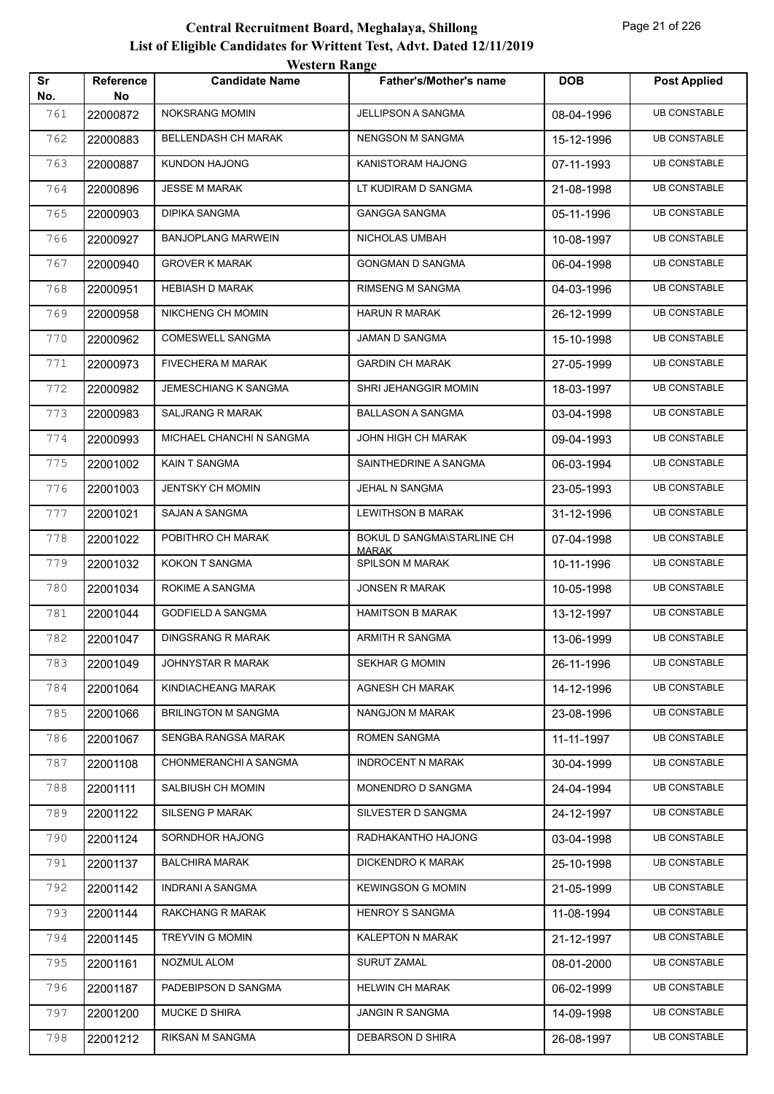| Sr         | Reference      | <b>Candidate Name</b>       | Father's/Mother's name                     | <b>DOB</b> | <b>Post Applied</b> |
|------------|----------------|-----------------------------|--------------------------------------------|------------|---------------------|
| No.<br>761 | No<br>22000872 | <b>NOKSRANG MOMIN</b>       | JELLIPSON A SANGMA                         | 08-04-1996 | <b>UB CONSTABLE</b> |
| 762        | 22000883       | BELLENDASH CH MARAK         | <b>NENGSON M SANGMA</b>                    | 15-12-1996 | <b>UB CONSTABLE</b> |
| 763        | 22000887       | <b>KUNDON HAJONG</b>        | KANISTORAM HAJONG                          | 07-11-1993 | <b>UB CONSTABLE</b> |
| 764        | 22000896       | <b>JESSE M MARAK</b>        | LT KUDIRAM D SANGMA                        | 21-08-1998 | <b>UB CONSTABLE</b> |
| 765        | 22000903       | <b>DIPIKA SANGMA</b>        | <b>GANGGA SANGMA</b>                       | 05-11-1996 | <b>UB CONSTABLE</b> |
| 766        | 22000927       | <b>BANJOPLANG MARWEIN</b>   | NICHOLAS UMBAH                             | 10-08-1997 | <b>UB CONSTABLE</b> |
| 767        | 22000940       | <b>GROVER K MARAK</b>       | <b>GONGMAN D SANGMA</b>                    | 06-04-1998 | <b>UB CONSTABLE</b> |
| 768        | 22000951       | <b>HEBIASH D MARAK</b>      | <b>RIMSENG M SANGMA</b>                    | 04-03-1996 | <b>UB CONSTABLE</b> |
| 769        | 22000958       | NIKCHENG CH MOMIN           | <b>HARUN R MARAK</b>                       | 26-12-1999 | <b>UB CONSTABLE</b> |
| 770        | 22000962       | COMESWELL SANGMA            | JAMAN D SANGMA                             | 15-10-1998 | <b>UB CONSTABLE</b> |
| 771        | 22000973       | FIVECHERA M MARAK           | <b>GARDIN CH MARAK</b>                     | 27-05-1999 | <b>UB CONSTABLE</b> |
| 772        | 22000982       | <b>JEMESCHIANG K SANGMA</b> | SHRI JEHANGGIR MOMIN                       | 18-03-1997 | <b>UB CONSTABLE</b> |
| 773        | 22000983       | <b>SALJRANG R MARAK</b>     | <b>BALLASON A SANGMA</b>                   | 03-04-1998 | <b>UB CONSTABLE</b> |
| 774        | 22000993       | MICHAEL CHANCHI N SANGMA    | JOHN HIGH CH MARAK                         | 09-04-1993 | <b>UB CONSTABLE</b> |
| 775        | 22001002       | KAIN T SANGMA               | SAINTHEDRINE A SANGMA                      | 06-03-1994 | <b>UB CONSTABLE</b> |
| 776        | 22001003       | JENTSKY CH MOMIN            | JEHAL N SANGMA                             | 23-05-1993 | <b>UB CONSTABLE</b> |
| 777        | 22001021       | SAJAN A SANGMA              | <b>LEWITHSON B MARAK</b>                   | 31-12-1996 | <b>UB CONSTABLE</b> |
| 778        | 22001022       | POBITHRO CH MARAK           | BOKUL D SANGMA\STARLINE CH<br><b>MARAK</b> | 07-04-1998 | <b>UB CONSTABLE</b> |
| 779        | 22001032       | KOKON T SANGMA              | SPILSON M MARAK                            | 10-11-1996 | <b>UB CONSTABLE</b> |
| 780        | 22001034       | ROKIME A SANGMA             | <b>JONSEN R MARAK</b>                      | 10-05-1998 | <b>UB CONSTABLE</b> |
| 781        | 22001044       | <b>GODFIELD A SANGMA</b>    | <b>HAMITSON B MARAK</b>                    | 13-12-1997 | <b>UB CONSTABLE</b> |
| 782        | 22001047       | <b>DINGSRANG R MARAK</b>    | ARMITH R SANGMA                            | 13-06-1999 | <b>UB CONSTABLE</b> |
| 783        | 22001049       | JOHNYSTAR R MARAK           | SEKHAR G MOMIN                             | 26-11-1996 | <b>UB CONSTABLE</b> |
| 784        | 22001064       | KINDIACHEANG MARAK          | <b>AGNESH CH MARAK</b>                     | 14-12-1996 | <b>UB CONSTABLE</b> |
| 785        | 22001066       | <b>BRILINGTON M SANGMA</b>  | NANGJON M MARAK                            | 23-08-1996 | <b>UB CONSTABLE</b> |
| 786        | 22001067       | SENGBA RANGSA MARAK         | <b>ROMEN SANGMA</b>                        | 11-11-1997 | <b>UB CONSTABLE</b> |
| 787        | 22001108       | CHONMERANCHI A SANGMA       | <b>INDROCENT N MARAK</b>                   | 30-04-1999 | <b>UB CONSTABLE</b> |
| 788        | 22001111       | SALBIUSH CH MOMIN           | MONENDRO D SANGMA                          | 24-04-1994 | <b>UB CONSTABLE</b> |
| 789        | 22001122       | SILSENG P MARAK             | SILVESTER D SANGMA                         | 24-12-1997 | <b>UB CONSTABLE</b> |
| 790        | 22001124       | SORNDHOR HAJONG             | RADHAKANTHO HAJONG                         | 03-04-1998 | <b>UB CONSTABLE</b> |
| 791        | 22001137       | <b>BALCHIRA MARAK</b>       | DICKENDRO K MARAK                          | 25-10-1998 | <b>UB CONSTABLE</b> |
| 792        | 22001142       | INDRANI A SANGMA            | <b>KEWINGSON G MOMIN</b>                   | 21-05-1999 | <b>UB CONSTABLE</b> |
| 793        | 22001144       | RAKCHANG R MARAK            | <b>HENROY S SANGMA</b>                     | 11-08-1994 | <b>UB CONSTABLE</b> |
| 794        | 22001145       | TREYVIN G MOMIN             | KALEPTON N MARAK                           | 21-12-1997 | <b>UB CONSTABLE</b> |
| 795        | 22001161       | NOZMUL ALOM                 | <b>SURUT ZAMAL</b>                         | 08-01-2000 | <b>UB CONSTABLE</b> |
| 796        | 22001187       | PADEBIPSON D SANGMA         | HELWIN CH MARAK                            | 06-02-1999 | <b>UB CONSTABLE</b> |
| 797        | 22001200       | <b>MUCKE D SHIRA</b>        | JANGIN R SANGMA                            | 14-09-1998 | <b>UB CONSTABLE</b> |
| 798        | 22001212       | RIKSAN M SANGMA             | DEBARSON D SHIRA                           | 26-08-1997 | <b>UB CONSTABLE</b> |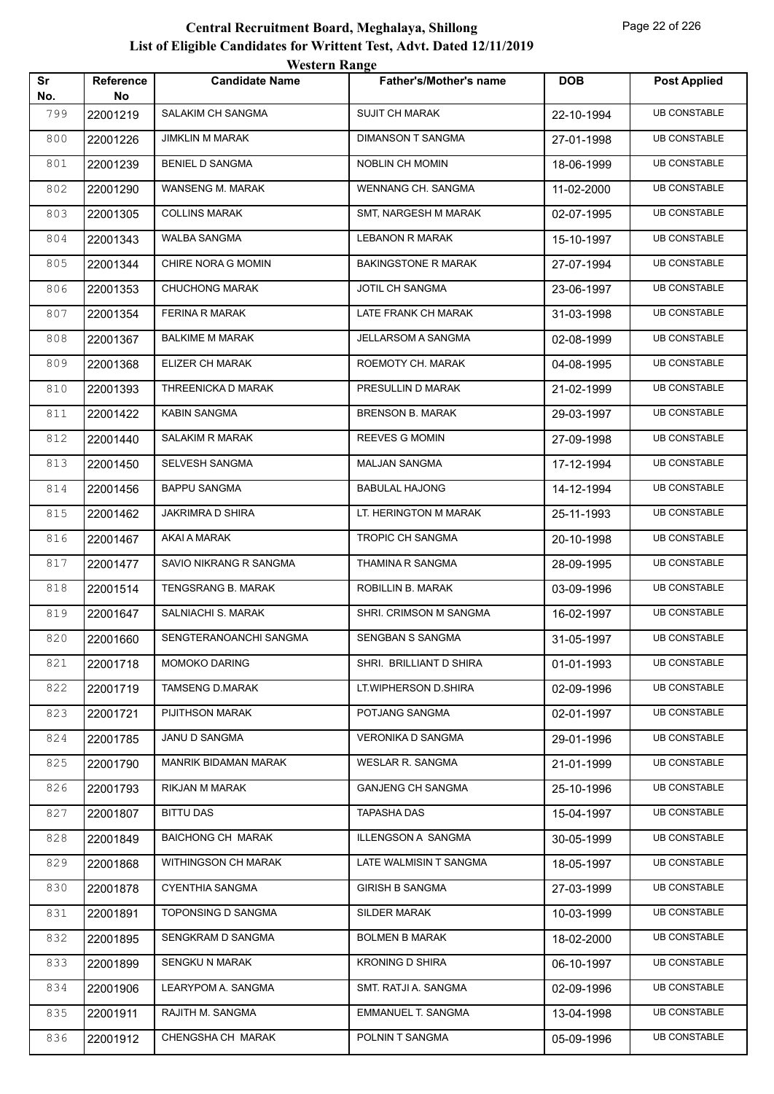|           |                 | western Kange            |                            |            |                     |
|-----------|-----------------|--------------------------|----------------------------|------------|---------------------|
| Sr<br>No. | Reference<br>No | <b>Candidate Name</b>    | Father's/Mother's name     | <b>DOB</b> | <b>Post Applied</b> |
| 799       | 22001219        | SALAKIM CH SANGMA        | <b>SUJIT CH MARAK</b>      | 22-10-1994 | <b>UB CONSTABLE</b> |
| 800       | 22001226        | <b>JIMKLIN M MARAK</b>   | <b>DIMANSON T SANGMA</b>   | 27-01-1998 | <b>UB CONSTABLE</b> |
| 801       | 22001239        | <b>BENIEL D SANGMA</b>   | NOBLIN CH MOMIN            | 18-06-1999 | <b>UB CONSTABLE</b> |
| 802       | 22001290        | WANSENG M. MARAK         | WENNANG CH. SANGMA         | 11-02-2000 | <b>UB CONSTABLE</b> |
| 803       | 22001305        | <b>COLLINS MARAK</b>     | SMT, NARGESH M MARAK       | 02-07-1995 | <b>UB CONSTABLE</b> |
| 804       | 22001343        | <b>WALBA SANGMA</b>      | <b>LEBANON R MARAK</b>     | 15-10-1997 | <b>UB CONSTABLE</b> |
| 805       | 22001344        | CHIRE NORA G MOMIN       | <b>BAKINGSTONE R MARAK</b> | 27-07-1994 | <b>UB CONSTABLE</b> |
| 806       | 22001353        | <b>CHUCHONG MARAK</b>    | JOTIL CH SANGMA            | 23-06-1997 | <b>UB CONSTABLE</b> |
| 807       | 22001354        | <b>FERINA R MARAK</b>    | LATE FRANK CH MARAK        | 31-03-1998 | <b>UB CONSTABLE</b> |
| 808       | 22001367        | <b>BALKIME M MARAK</b>   | <b>JELLARSOM A SANGMA</b>  | 02-08-1999 | <b>UB CONSTABLE</b> |
| 809       | 22001368        | ELIZER CH MARAK          | ROEMOTY CH. MARAK          | 04-08-1995 | <b>UB CONSTABLE</b> |
| 810       | 22001393        | THREENICKA D MARAK       | PRESULLIN D MARAK          | 21-02-1999 | <b>UB CONSTABLE</b> |
| 811       | 22001422        | <b>KABIN SANGMA</b>      | <b>BRENSON B. MARAK</b>    | 29-03-1997 | <b>UB CONSTABLE</b> |
| 812       | 22001440        | <b>SALAKIM R MARAK</b>   | REEVES G MOMIN             | 27-09-1998 | <b>UB CONSTABLE</b> |
| 813       | 22001450        | SELVESH SANGMA           | <b>MALJAN SANGMA</b>       | 17-12-1994 | <b>UB CONSTABLE</b> |
| 814       | 22001456        | <b>BAPPU SANGMA</b>      | <b>BABULAL HAJONG</b>      | 14-12-1994 | <b>UB CONSTABLE</b> |
| 815       | 22001462        | JAKRIMRA D SHIRA         | LT. HERINGTON M MARAK      | 25-11-1993 | <b>UB CONSTABLE</b> |
| 816       | 22001467        | AKAI A MARAK             | TROPIC CH SANGMA           | 20-10-1998 | <b>UB CONSTABLE</b> |
| 817       | 22001477        | SAVIO NIKRANG R SANGMA   | THAMINA R SANGMA           | 28-09-1995 | <b>UB CONSTABLE</b> |
| 818       | 22001514        | TENGSRANG B. MARAK       | ROBILLIN B. MARAK          | 03-09-1996 | <b>UB CONSTABLE</b> |
| 819       | 22001647        | SALNIACHI S. MARAK       | SHRI. CRIMSON M SANGMA     | 16-02-1997 | <b>UB CONSTABLE</b> |
| 820       | 22001660        | SENGTERANOANCHI SANGMA   | SENGBAN S SANGMA           | 31-05-1997 | <b>UB CONSTABLE</b> |
| 821       | 22001718        | <b>MOMOKO DARING</b>     | SHRI. BRILLIANT D SHIRA    | 01-01-1993 | <b>UB CONSTABLE</b> |
| 822       | 22001719        | <b>TAMSENG D.MARAK</b>   | LT.WIPHERSON D.SHIRA       | 02-09-1996 | <b>UB CONSTABLE</b> |
| 823       | 22001721        | PIJITHSON MARAK          | POTJANG SANGMA             | 02-01-1997 | <b>UB CONSTABLE</b> |
| 824       | 22001785        | JANU D SANGMA            | VERONIKA D SANGMA          | 29-01-1996 | <b>UB CONSTABLE</b> |
| 825       | 22001790        | MANRIK BIDAMAN MARAK     | WESLAR R. SANGMA           | 21-01-1999 | <b>UB CONSTABLE</b> |
| 826       | 22001793        | RIKJAN M MARAK           | <b>GANJENG CH SANGMA</b>   | 25-10-1996 | <b>UB CONSTABLE</b> |
| 827       | 22001807        | <b>BITTU DAS</b>         | <b>TAPASHA DAS</b>         | 15-04-1997 | <b>UB CONSTABLE</b> |
| 828       | 22001849        | <b>BAICHONG CH MARAK</b> | ILLENGSON A SANGMA         | 30-05-1999 | <b>UB CONSTABLE</b> |
| 829       | 22001868        | WITHINGSON CH MARAK      | LATE WALMISIN T SANGMA     | 18-05-1997 | <b>UB CONSTABLE</b> |
| 830       | 22001878        | <b>CYENTHIA SANGMA</b>   | <b>GIRISH B SANGMA</b>     | 27-03-1999 | <b>UB CONSTABLE</b> |
| 831       | 22001891        | TOPONSING D SANGMA       | SILDER MARAK               | 10-03-1999 | <b>UB CONSTABLE</b> |
| 832       | 22001895        | SENGKRAM D SANGMA        | <b>BOLMEN B MARAK</b>      | 18-02-2000 | <b>UB CONSTABLE</b> |
| 833       | 22001899        | <b>SENGKU N MARAK</b>    | <b>KRONING D SHIRA</b>     | 06-10-1997 | <b>UB CONSTABLE</b> |
| 834       | 22001906        | LEARYPOM A. SANGMA       | SMT. RATJI A. SANGMA       | 02-09-1996 | <b>UB CONSTABLE</b> |
| 835       | 22001911        | RAJITH M. SANGMA         | EMMANUEL T. SANGMA         | 13-04-1998 | <b>UB CONSTABLE</b> |
| 836       | 22001912        | CHENGSHA CH MARAK        | POLNIN T SANGMA            | 05-09-1996 | <b>UB CONSTABLE</b> |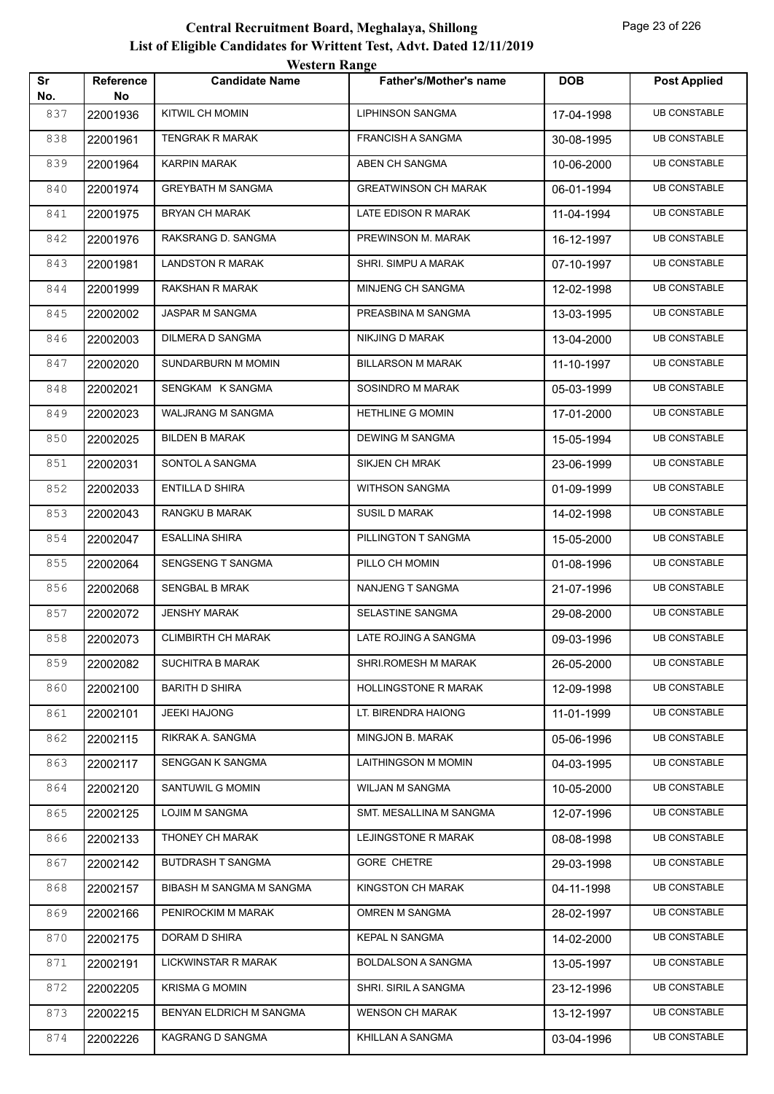|           |                        | <b>Western Range</b>      |                               |            |                     |
|-----------|------------------------|---------------------------|-------------------------------|------------|---------------------|
| Sr<br>No. | <b>Reference</b><br>No | <b>Candidate Name</b>     | <b>Father's/Mother's name</b> | <b>DOB</b> | <b>Post Applied</b> |
| 837       | 22001936               | <b>KITWIL CH MOMIN</b>    | <b>LIPHINSON SANGMA</b>       | 17-04-1998 | <b>UB CONSTABLE</b> |
| 838       | 22001961               | <b>TENGRAK R MARAK</b>    | <b>FRANCISH A SANGMA</b>      | 30-08-1995 | <b>UB CONSTABLE</b> |
| 839       | 22001964               | <b>KARPIN MARAK</b>       | ABEN CH SANGMA                | 10-06-2000 | <b>UB CONSTABLE</b> |
| 840       | 22001974               | <b>GREYBATH M SANGMA</b>  | <b>GREATWINSON CH MARAK</b>   | 06-01-1994 | <b>UB CONSTABLE</b> |
| 841       | 22001975               | <b>BRYAN CH MARAK</b>     | LATE EDISON R MARAK           | 11-04-1994 | <b>UB CONSTABLE</b> |
| 842       | 22001976               | RAKSRANG D. SANGMA        | PREWINSON M. MARAK            | 16-12-1997 | <b>UB CONSTABLE</b> |
| 843       | 22001981               | <b>LANDSTON R MARAK</b>   | SHRI. SIMPU A MARAK           | 07-10-1997 | <b>UB CONSTABLE</b> |
| 844       | 22001999               | RAKSHAN R MARAK           | MINJENG CH SANGMA             | 12-02-1998 | <b>UB CONSTABLE</b> |
| 845       | 22002002               | JASPAR M SANGMA           | PREASBINA M SANGMA            | 13-03-1995 | <b>UB CONSTABLE</b> |
| 846       | 22002003               | DILMERA D SANGMA          | NIKJING D MARAK               | 13-04-2000 | <b>UB CONSTABLE</b> |
| 847       | 22002020               | SUNDARBURN M MOMIN        | <b>BILLARSON M MARAK</b>      | 11-10-1997 | <b>UB CONSTABLE</b> |
| 848       | 22002021               | SENGKAM K SANGMA          | SOSINDRO M MARAK              | 05-03-1999 | <b>UB CONSTABLE</b> |
| 849       | 22002023               | <b>WALJRANG M SANGMA</b>  | <b>HETHLINE G MOMIN</b>       | 17-01-2000 | <b>UB CONSTABLE</b> |
| 850       | 22002025               | <b>BILDEN B MARAK</b>     | <b>DEWING M SANGMA</b>        | 15-05-1994 | <b>UB CONSTABLE</b> |
| 851       | 22002031               | SONTOL A SANGMA           | <b>SIKJEN CH MRAK</b>         | 23-06-1999 | <b>UB CONSTABLE</b> |
| 852       | 22002033               | <b>ENTILLA D SHIRA</b>    | <b>WITHSON SANGMA</b>         | 01-09-1999 | <b>UB CONSTABLE</b> |
| 853       | 22002043               | <b>RANGKU B MARAK</b>     | <b>SUSIL D MARAK</b>          | 14-02-1998 | <b>UB CONSTABLE</b> |
| 854       | 22002047               | <b>ESALLINA SHIRA</b>     | PILLINGTON T SANGMA           | 15-05-2000 | <b>UB CONSTABLE</b> |
| 855       | 22002064               | <b>SENGSENG T SANGMA</b>  | PILLO CH MOMIN                | 01-08-1996 | <b>UB CONSTABLE</b> |
| 856       | 22002068               | <b>SENGBAL B MRAK</b>     | NANJENG T SANGMA              | 21-07-1996 | <b>UB CONSTABLE</b> |
| 857       | 22002072               | <b>JENSHY MARAK</b>       | SELASTINE SANGMA              | 29-08-2000 | <b>UB CONSTABLE</b> |
| 858       | 22002073               | <b>CLIMBIRTH CH MARAK</b> | LATE ROJING A SANGMA          | 09-03-1996 | <b>UB CONSTABLE</b> |
| 859       | 22002082               | <b>SUCHITRA B MARAK</b>   | SHRI.ROMESH M MARAK           | 26-05-2000 | <b>UB CONSTABLE</b> |
| 860       | 22002100               | <b>BARITH D SHIRA</b>     | HOLLINGSTONE R MARAK          | 12-09-1998 | <b>UB CONSTABLE</b> |
| 861       | 22002101               | JEEKI HAJONG              | LT. BIRENDRA HAIONG           | 11-01-1999 | <b>UB CONSTABLE</b> |
| 862       | 22002115               | RIKRAK A. SANGMA          | MINGJON B. MARAK              | 05-06-1996 | <b>UB CONSTABLE</b> |
| 863       | 22002117               | SENGGAN K SANGMA          | LAITHINGSON M MOMIN           | 04-03-1995 | <b>UB CONSTABLE</b> |
| 864       | 22002120               | SANTUWIL G MOMIN          | WILJAN M SANGMA               | 10-05-2000 | <b>UB CONSTABLE</b> |
| 865       | 22002125               | <b>LOJIM M SANGMA</b>     | SMT. MESALLINA M SANGMA       | 12-07-1996 | <b>UB CONSTABLE</b> |
| 866       | 22002133               | THONEY CH MARAK           | LEJINGSTONE R MARAK           | 08-08-1998 | <b>UB CONSTABLE</b> |
| 867       | 22002142               | BUTDRASH T SANGMA         | <b>GORE CHETRE</b>            | 29-03-1998 | <b>UB CONSTABLE</b> |
| 868       | 22002157               | BIBASH M SANGMA M SANGMA  | KINGSTON CH MARAK             | 04-11-1998 | <b>UB CONSTABLE</b> |
| 869       | 22002166               | PENIROCKIM M MARAK        | OMREN M SANGMA                | 28-02-1997 | <b>UB CONSTABLE</b> |
| 870       | 22002175               | DORAM D SHIRA             | <b>KEPAL N SANGMA</b>         | 14-02-2000 | <b>UB CONSTABLE</b> |
| 871       | 22002191               | LICKWINSTAR R MARAK       | <b>BOLDALSON A SANGMA</b>     | 13-05-1997 | <b>UB CONSTABLE</b> |
| 872       | 22002205               | <b>KRISMA G MOMIN</b>     | SHRI. SIRIL A SANGMA          | 23-12-1996 | <b>UB CONSTABLE</b> |
| 873       | 22002215               | BENYAN ELDRICH M SANGMA   | <b>WENSON CH MARAK</b>        | 13-12-1997 | <b>UB CONSTABLE</b> |
| 874       | 22002226               | KAGRANG D SANGMA          | KHILLAN A SANGMA              | 03-04-1996 | <b>UB CONSTABLE</b> |
|           |                        |                           |                               |            |                     |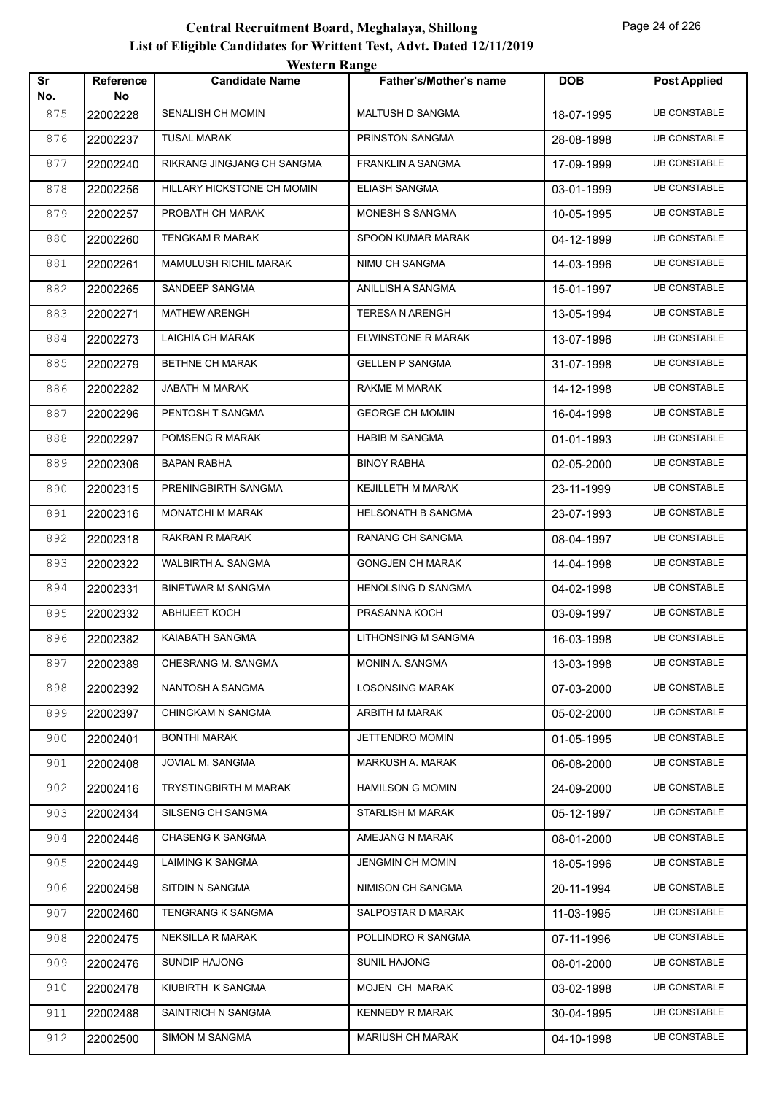| Sr         | Reference       | <i>Western Kange</i><br><b>Candidate Name</b> | <b>Father's/Mother's name</b> | <b>DOB</b> | <b>Post Applied</b> |
|------------|-----------------|-----------------------------------------------|-------------------------------|------------|---------------------|
| No.<br>875 | No.<br>22002228 | SENALISH CH MOMIN                             | MALTUSH D SANGMA              | 18-07-1995 | <b>UB CONSTABLE</b> |
| 876        | 22002237        | <b>TUSAL MARAK</b>                            | PRINSTON SANGMA               | 28-08-1998 | <b>UB CONSTABLE</b> |
|            |                 |                                               |                               |            |                     |
| 877        | 22002240        | RIKRANG JINGJANG CH SANGMA                    | <b>FRANKLIN A SANGMA</b>      | 17-09-1999 | <b>UB CONSTABLE</b> |
| 878        | 22002256        | HILLARY HICKSTONE CH MOMIN                    | ELIASH SANGMA                 | 03-01-1999 | <b>UB CONSTABLE</b> |
| 879        | 22002257        | PROBATH CH MARAK                              | MONESH S SANGMA               | 10-05-1995 | <b>UB CONSTABLE</b> |
| 880        | 22002260        | TENGKAM R MARAK                               | SPOON KUMAR MARAK             | 04-12-1999 | <b>UB CONSTABLE</b> |
| 881        | 22002261        | MAMULUSH RICHIL MARAK                         | NIMU CH SANGMA                | 14-03-1996 | <b>UB CONSTABLE</b> |
| 882        | 22002265        | SANDEEP SANGMA                                | ANILLISH A SANGMA             | 15-01-1997 | <b>UB CONSTABLE</b> |
| 883        | 22002271        | <b>MATHEW ARENGH</b>                          | <b>TERESA N ARENGH</b>        | 13-05-1994 | <b>UB CONSTABLE</b> |
| 884        | 22002273        | LAICHIA CH MARAK                              | ELWINSTONE R MARAK            | 13-07-1996 | <b>UB CONSTABLE</b> |
| 885        | 22002279        | BETHNE CH MARAK                               | <b>GELLEN P SANGMA</b>        | 31-07-1998 | <b>UB CONSTABLE</b> |
| 886        | 22002282        | JABATH M MARAK                                | RAKME M MARAK                 | 14-12-1998 | <b>UB CONSTABLE</b> |
| 887        | 22002296        | PENTOSH T SANGMA                              | <b>GEORGE CH MOMIN</b>        | 16-04-1998 | <b>UB CONSTABLE</b> |
| 888        | 22002297        | POMSENG R MARAK                               | <b>HABIB M SANGMA</b>         | 01-01-1993 | <b>UB CONSTABLE</b> |
| 889        | 22002306        | BAPAN RABHA                                   | <b>BINOY RABHA</b>            | 02-05-2000 | <b>UB CONSTABLE</b> |
| 890        | 22002315        | PRENINGBIRTH SANGMA                           | <b>KEJILLETH M MARAK</b>      | 23-11-1999 | <b>UB CONSTABLE</b> |
| 891        | 22002316        | <b>MONATCHI M MARAK</b>                       | <b>HELSONATH B SANGMA</b>     | 23-07-1993 | <b>UB CONSTABLE</b> |
| 892        | 22002318        | RAKRAN R MARAK                                | RANANG CH SANGMA              | 08-04-1997 | <b>UB CONSTABLE</b> |
| 893        | 22002322        | WALBIRTH A. SANGMA                            | <b>GONGJEN CH MARAK</b>       | 14-04-1998 | <b>UB CONSTABLE</b> |
| 894        | 22002331        | <b>BINETWAR M SANGMA</b>                      | <b>HENOLSING D SANGMA</b>     | 04-02-1998 | <b>UB CONSTABLE</b> |
| 895        | 22002332        | <b>ABHIJEET KOCH</b>                          | PRASANNA KOCH                 | 03-09-1997 | <b>UB CONSTABLE</b> |
| 896        | 22002382        | KAIABATH SANGMA                               | LITHONSING M SANGMA           | 16-03-1998 | <b>UB CONSTABLE</b> |
| 897        | 22002389        | CHESRANG M. SANGMA                            | MONIN A. SANGMA               | 13-03-1998 | <b>UB CONSTABLE</b> |
| 898        | 22002392        | NANTOSH A SANGMA                              | <b>LOSONSING MARAK</b>        | 07-03-2000 | <b>UB CONSTABLE</b> |
| 899        | 22002397        | <b>CHINGKAM N SANGMA</b>                      | ARBITH M MARAK                | 05-02-2000 | <b>UB CONSTABLE</b> |
| 900        | 22002401        | <b>BONTHI MARAK</b>                           | JETTENDRO MOMIN               | 01-05-1995 | <b>UB CONSTABLE</b> |
| 901        | 22002408        | JOVIAL M. SANGMA                              | MARKUSH A. MARAK              | 06-08-2000 | <b>UB CONSTABLE</b> |
| 902        | 22002416        | <b>TRYSTINGBIRTH M MARAK</b>                  | <b>HAMILSON G MOMIN</b>       | 24-09-2000 | <b>UB CONSTABLE</b> |
| 903        | 22002434        | SILSENG CH SANGMA                             | <b>STARLISH M MARAK</b>       | 05-12-1997 | <b>UB CONSTABLE</b> |
| 904        | 22002446        | <b>CHASENG K SANGMA</b>                       | AMEJANG N MARAK               | 08-01-2000 | <b>UB CONSTABLE</b> |
| 905        | 22002449        | LAIMING K SANGMA                              | <b>JENGMIN CH MOMIN</b>       | 18-05-1996 | <b>UB CONSTABLE</b> |
| 906        | 22002458        | SITDIN N SANGMA                               | NIMISON CH SANGMA             | 20-11-1994 | <b>UB CONSTABLE</b> |
| 907        | 22002460        | TENGRANG K SANGMA                             | SALPOSTAR D MARAK             | 11-03-1995 | <b>UB CONSTABLE</b> |
| 908        | 22002475        | <b>NEKSILLA R MARAK</b>                       | POLLINDRO R SANGMA            | 07-11-1996 | <b>UB CONSTABLE</b> |
| 909        | 22002476        | SUNDIP HAJONG                                 | SUNIL HAJONG                  | 08-01-2000 | <b>UB CONSTABLE</b> |
| 910        | 22002478        | KIUBIRTH K SANGMA                             | MOJEN CH MARAK                | 03-02-1998 | <b>UB CONSTABLE</b> |
| 911        | 22002488        | SAINTRICH N SANGMA                            | <b>KENNEDY R MARAK</b>        | 30-04-1995 | <b>UB CONSTABLE</b> |
| 912        | 22002500        | SIMON M SANGMA                                | MARIUSH CH MARAK              | 04-10-1998 | <b>UB CONSTABLE</b> |
|            |                 |                                               |                               |            |                     |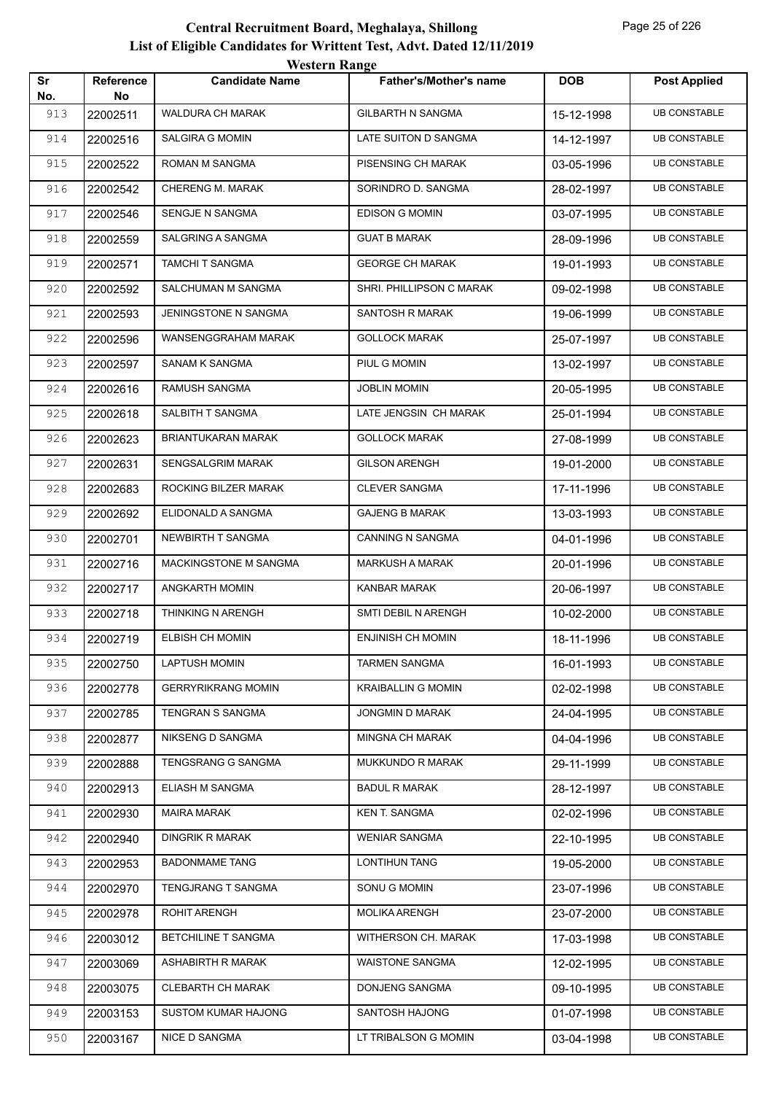|           |                        | <b>Western Range</b>         |                               |            |                     |
|-----------|------------------------|------------------------------|-------------------------------|------------|---------------------|
| Sr<br>No. | <b>Reference</b><br>No | <b>Candidate Name</b>        | <b>Father's/Mother's name</b> | <b>DOB</b> | <b>Post Applied</b> |
| 913       | 22002511               | WALDURA CH MARAK             | <b>GILBARTH N SANGMA</b>      | 15-12-1998 | <b>UB CONSTABLE</b> |
| 914       | 22002516               | <b>SALGIRA G MOMIN</b>       | LATE SUITON D SANGMA          | 14-12-1997 | <b>UB CONSTABLE</b> |
| 915       | 22002522               | ROMAN M SANGMA               | PISENSING CH MARAK            | 03-05-1996 | <b>UB CONSTABLE</b> |
| 916       | 22002542               | CHERENG M. MARAK             | SORINDRO D. SANGMA            | 28-02-1997 | <b>UB CONSTABLE</b> |
| 917       | 22002546               | SENGJE N SANGMA              | <b>EDISON G MOMIN</b>         | 03-07-1995 | <b>UB CONSTABLE</b> |
| 918       | 22002559               | <b>SALGRING A SANGMA</b>     | <b>GUAT B MARAK</b>           | 28-09-1996 | <b>UB CONSTABLE</b> |
| 919       | 22002571               | <b>TAMCHI T SANGMA</b>       | <b>GEORGE CH MARAK</b>        | 19-01-1993 | <b>UB CONSTABLE</b> |
| 920       | 22002592               | SALCHUMAN M SANGMA           | SHRI. PHILLIPSON C MARAK      | 09-02-1998 | <b>UB CONSTABLE</b> |
| 921       | 22002593               | JENINGSTONE N SANGMA         | SANTOSH R MARAK               | 19-06-1999 | <b>UB CONSTABLE</b> |
| 922       | 22002596               | WANSENGGRAHAM MARAK          | <b>GOLLOCK MARAK</b>          | 25-07-1997 | <b>UB CONSTABLE</b> |
| 923       | 22002597               | <b>SANAM K SANGMA</b>        | PIUL G MOMIN                  | 13-02-1997 | <b>UB CONSTABLE</b> |
| 924       | 22002616               | RAMUSH SANGMA                | <b>JOBLIN MOMIN</b>           | 20-05-1995 | <b>UB CONSTABLE</b> |
| 925       | 22002618               | SALBITH T SANGMA             | LATE JENGSIN CH MARAK         | 25-01-1994 | <b>UB CONSTABLE</b> |
| 926       | 22002623               | BRIANTUKARAN MARAK           | <b>GOLLOCK MARAK</b>          | 27-08-1999 | <b>UB CONSTABLE</b> |
| 927       | 22002631               | <b>SENGSALGRIM MARAK</b>     | <b>GILSON ARENGH</b>          | 19-01-2000 | <b>UB CONSTABLE</b> |
| 928       | 22002683               | ROCKING BILZER MARAK         | <b>CLEVER SANGMA</b>          | 17-11-1996 | <b>UB CONSTABLE</b> |
| 929       | 22002692               | ELIDONALD A SANGMA           | <b>GAJENG B MARAK</b>         | 13-03-1993 | <b>UB CONSTABLE</b> |
| 930       | 22002701               | NEWBIRTH T SANGMA            | <b>CANNING N SANGMA</b>       | 04-01-1996 | <b>UB CONSTABLE</b> |
| 931       | 22002716               | <b>MACKINGSTONE M SANGMA</b> | <b>MARKUSH A MARAK</b>        | 20-01-1996 | <b>UB CONSTABLE</b> |
| 932       | 22002717               | ANGKARTH MOMIN               | <b>KANBAR MARAK</b>           | 20-06-1997 | <b>UB CONSTABLE</b> |
| 933       | 22002718               | THINKING N ARENGH            | SMTI DEBIL N ARENGH           | 10-02-2000 | <b>UB CONSTABLE</b> |
| 934       | 22002719               | <b>ELBISH CH MOMIN</b>       | <b>ENJINISH CH MOMIN</b>      | 18-11-1996 | <b>UB CONSTABLE</b> |
| 935       | 22002750               | <b>LAPTUSH MOMIN</b>         | <b>TARMEN SANGMA</b>          | 16-01-1993 | <b>UB CONSTABLE</b> |
| 936       | 22002778               | <b>GERRYRIKRANG MOMIN</b>    | <b>KRAIBALLIN G MOMIN</b>     | 02-02-1998 | <b>UB CONSTABLE</b> |
| 937       | 22002785               | TENGRAN S SANGMA             | JONGMIN D MARAK               | 24-04-1995 | <b>UB CONSTABLE</b> |
| 938       | 22002877               | NIKSENG D SANGMA             | <b>MINGNA CH MARAK</b>        | 04-04-1996 | <b>UB CONSTABLE</b> |
| 939       | 22002888               | TENGSRANG G SANGMA           | MUKKUNDO R MARAK              | 29-11-1999 | <b>UB CONSTABLE</b> |
| 940       | 22002913               | ELIASH M SANGMA              | <b>BADUL R MARAK</b>          | 28-12-1997 | <b>UB CONSTABLE</b> |
| 941       | 22002930               | MAIRA MARAK                  | <b>KEN T. SANGMA</b>          | 02-02-1996 | <b>UB CONSTABLE</b> |
| 942       | 22002940               | <b>DINGRIK R MARAK</b>       | <b>WENIAR SANGMA</b>          | 22-10-1995 | <b>UB CONSTABLE</b> |
| 943       | 22002953               | <b>BADONMAME TANG</b>        | LONTIHUN TANG                 | 19-05-2000 | <b>UB CONSTABLE</b> |
| 944       | 22002970               | TENGJRANG T SANGMA           | SONU G MOMIN                  | 23-07-1996 | <b>UB CONSTABLE</b> |
| 945       | 22002978               | <b>ROHIT ARENGH</b>          | <b>MOLIKA ARENGH</b>          | 23-07-2000 | <b>UB CONSTABLE</b> |
| 946       | 22003012               | BETCHILINE T SANGMA          | WITHERSON CH. MARAK           | 17-03-1998 | <b>UB CONSTABLE</b> |
| 947       | 22003069               | <b>ASHABIRTH R MARAK</b>     | <b>WAISTONE SANGMA</b>        | 12-02-1995 | <b>UB CONSTABLE</b> |
| 948       | 22003075               | <b>CLEBARTH CH MARAK</b>     | DONJENG SANGMA                | 09-10-1995 | <b>UB CONSTABLE</b> |
| 949       | 22003153               | <b>SUSTOM KUMAR HAJONG</b>   | SANTOSH HAJONG                | 01-07-1998 | <b>UB CONSTABLE</b> |
| 950       | 22003167               | NICE D SANGMA                | LT TRIBALSON G MOMIN          | 03-04-1998 | <b>UB CONSTABLE</b> |
|           |                        |                              |                               |            |                     |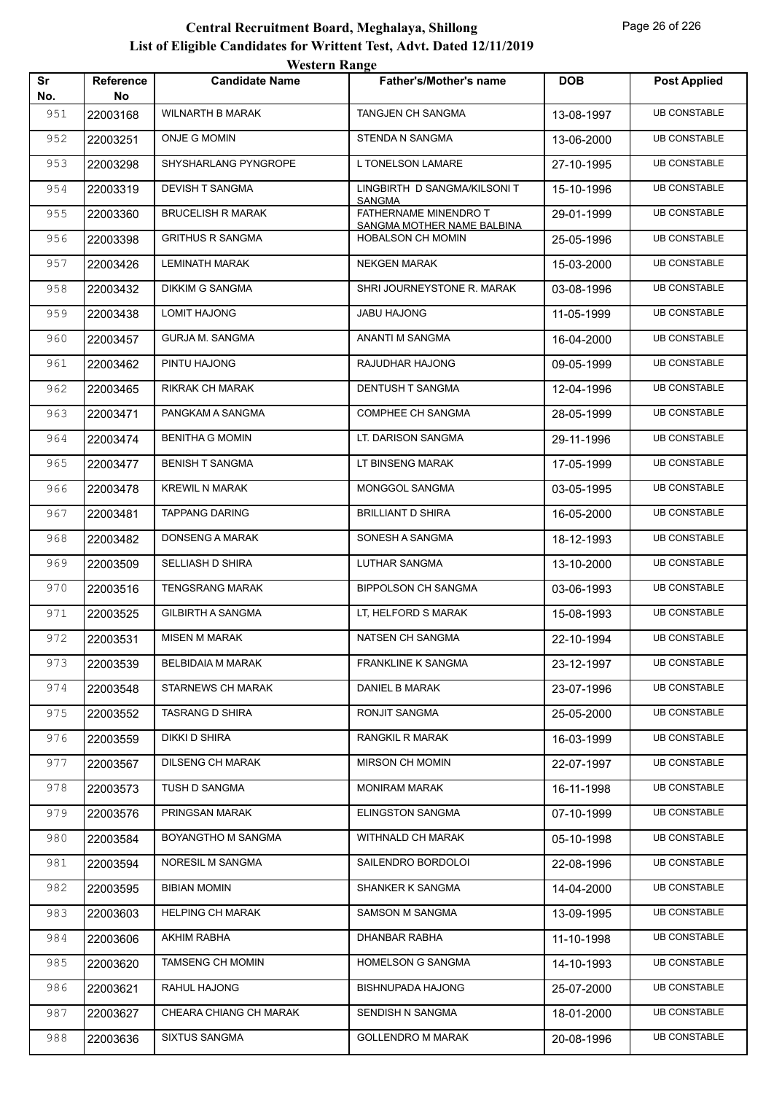|           |                        | <b>Western Range</b>     |                                                        |            |                     |
|-----------|------------------------|--------------------------|--------------------------------------------------------|------------|---------------------|
| Sr<br>No. | <b>Reference</b><br>No | <b>Candidate Name</b>    | <b>Father's/Mother's name</b>                          | <b>DOB</b> | <b>Post Applied</b> |
| 951       | 22003168               | <b>WILNARTH B MARAK</b>  | TANGJEN CH SANGMA                                      | 13-08-1997 | <b>UB CONSTABLE</b> |
| 952       | 22003251               | <b>ONJE G MOMIN</b>      | STENDA N SANGMA                                        | 13-06-2000 | <b>UB CONSTABLE</b> |
| 953       | 22003298               | SHYSHARLANG PYNGROPE     | L TONELSON LAMARE                                      | 27-10-1995 | <b>UB CONSTABLE</b> |
| 954       | 22003319               | <b>DEVISH T SANGMA</b>   | LINGBIRTH D SANGMA/KILSONI T                           | 15-10-1996 | <b>UB CONSTABLE</b> |
| 955       | 22003360               | <b>BRUCELISH R MARAK</b> | <b>SANGMA</b><br>FATHERNAME MINENDRO T                 | 29-01-1999 | <b>UB CONSTABLE</b> |
| 956       | 22003398               | <b>GRITHUS R SANGMA</b>  | SANGMA MOTHER NAME BALBINA<br><b>HOBALSON CH MOMIN</b> | 25-05-1996 | <b>UB CONSTABLE</b> |
| 957       | 22003426               | <b>LEMINATH MARAK</b>    | <b>NEKGEN MARAK</b>                                    | 15-03-2000 | <b>UB CONSTABLE</b> |
| 958       | 22003432               | <b>DIKKIM G SANGMA</b>   | SHRI JOURNEYSTONE R. MARAK                             | 03-08-1996 | <b>UB CONSTABLE</b> |
| 959       | 22003438               | <b>LOMIT HAJONG</b>      | JABU HAJONG                                            | 11-05-1999 | <b>UB CONSTABLE</b> |
| 960       | 22003457               | <b>GURJA M. SANGMA</b>   | ANANTI M SANGMA                                        | 16-04-2000 | <b>UB CONSTABLE</b> |
| 961       | 22003462               | PINTU HAJONG             | RAJUDHAR HAJONG                                        | 09-05-1999 | <b>UB CONSTABLE</b> |
| 962       | 22003465               | RIKRAK CH MARAK          | <b>DENTUSH T SANGMA</b>                                | 12-04-1996 | <b>UB CONSTABLE</b> |
| 963       | 22003471               | PANGKAM A SANGMA         | <b>COMPHEE CH SANGMA</b>                               | 28-05-1999 | <b>UB CONSTABLE</b> |
| 964       | 22003474               | <b>BENITHA G MOMIN</b>   | LT. DARISON SANGMA                                     | 29-11-1996 | <b>UB CONSTABLE</b> |
| 965       | 22003477               | <b>BENISH T SANGMA</b>   | LT BINSENG MARAK                                       | 17-05-1999 | <b>UB CONSTABLE</b> |
| 966       | 22003478               | <b>KREWIL N MARAK</b>    | MONGGOL SANGMA                                         | 03-05-1995 | <b>UB CONSTABLE</b> |
| 967       | 22003481               | <b>TAPPANG DARING</b>    | <b>BRILLIANT D SHIRA</b>                               | 16-05-2000 | <b>UB CONSTABLE</b> |
| 968       | 22003482               | <b>DONSENG A MARAK</b>   | SONESH A SANGMA                                        | 18-12-1993 | <b>UB CONSTABLE</b> |
| 969       | 22003509               | SELLIASH D SHIRA         | <b>LUTHAR SANGMA</b>                                   | 13-10-2000 | <b>UB CONSTABLE</b> |
| 970       | 22003516               | <b>TENGSRANG MARAK</b>   | <b>BIPPOLSON CH SANGMA</b>                             | 03-06-1993 | <b>UB CONSTABLE</b> |
| 971       | 22003525               | <b>GILBIRTH A SANGMA</b> | LT, HELFORD S MARAK                                    | 15-08-1993 | <b>UB CONSTABLE</b> |
| 972       | 22003531               | <b>MISEN M MARAK</b>     | NATSEN CH SANGMA                                       | 22-10-1994 | <b>UB CONSTABLE</b> |
| 973       | 22003539               | <b>BELBIDAIA M MARAK</b> | <b>FRANKLINE K SANGMA</b>                              | 23-12-1997 | <b>UB CONSTABLE</b> |
| 974       | 22003548               | STARNEWS CH MARAK        | DANIEL B MARAK                                         | 23-07-1996 | <b>UB CONSTABLE</b> |
| 975       | 22003552               | <b>TASRANG D SHIRA</b>   | RONJIT SANGMA                                          | 25-05-2000 | <b>UB CONSTABLE</b> |
| 976       | 22003559               | DIKKI D SHIRA            | RANGKIL R MARAK                                        | 16-03-1999 | <b>UB CONSTABLE</b> |
| 977       | 22003567               | <b>DILSENG CH MARAK</b>  | MIRSON CH MOMIN                                        | 22-07-1997 | <b>UB CONSTABLE</b> |
| 978       | 22003573               | TUSH D SANGMA            | <b>MONIRAM MARAK</b>                                   | 16-11-1998 | <b>UB CONSTABLE</b> |
| 979       | 22003576               | PRINGSAN MARAK           | ELINGSTON SANGMA                                       | 07-10-1999 | <b>UB CONSTABLE</b> |
| 980       | 22003584               | BOYANGTHO M SANGMA       | WITHNALD CH MARAK                                      | 05-10-1998 | <b>UB CONSTABLE</b> |
| 981       | 22003594               | NORESIL M SANGMA         | SAILENDRO BORDOLOI                                     | 22-08-1996 | <b>UB CONSTABLE</b> |
| 982       | 22003595               | <b>BIBIAN MOMIN</b>      | SHANKER K SANGMA                                       | 14-04-2000 | <b>UB CONSTABLE</b> |
| 983       | 22003603               | <b>HELPING CH MARAK</b>  | SAMSON M SANGMA                                        | 13-09-1995 | <b>UB CONSTABLE</b> |
| 984       | 22003606               | AKHIM RABHA              | DHANBAR RABHA                                          | 11-10-1998 | <b>UB CONSTABLE</b> |
| 985       | 22003620               | <b>TAMSENG CH MOMIN</b>  | HOMELSON G SANGMA                                      | 14-10-1993 | <b>UB CONSTABLE</b> |
| 986       | 22003621               | RAHUL HAJONG             | BISHNUPADA HAJONG                                      | 25-07-2000 | <b>UB CONSTABLE</b> |
| 987       | 22003627               | CHEARA CHIANG CH MARAK   | SENDISH N SANGMA                                       | 18-01-2000 | <b>UB CONSTABLE</b> |
| 988       | 22003636               | <b>SIXTUS SANGMA</b>     | <b>GOLLENDRO M MARAK</b>                               | 20-08-1996 | <b>UB CONSTABLE</b> |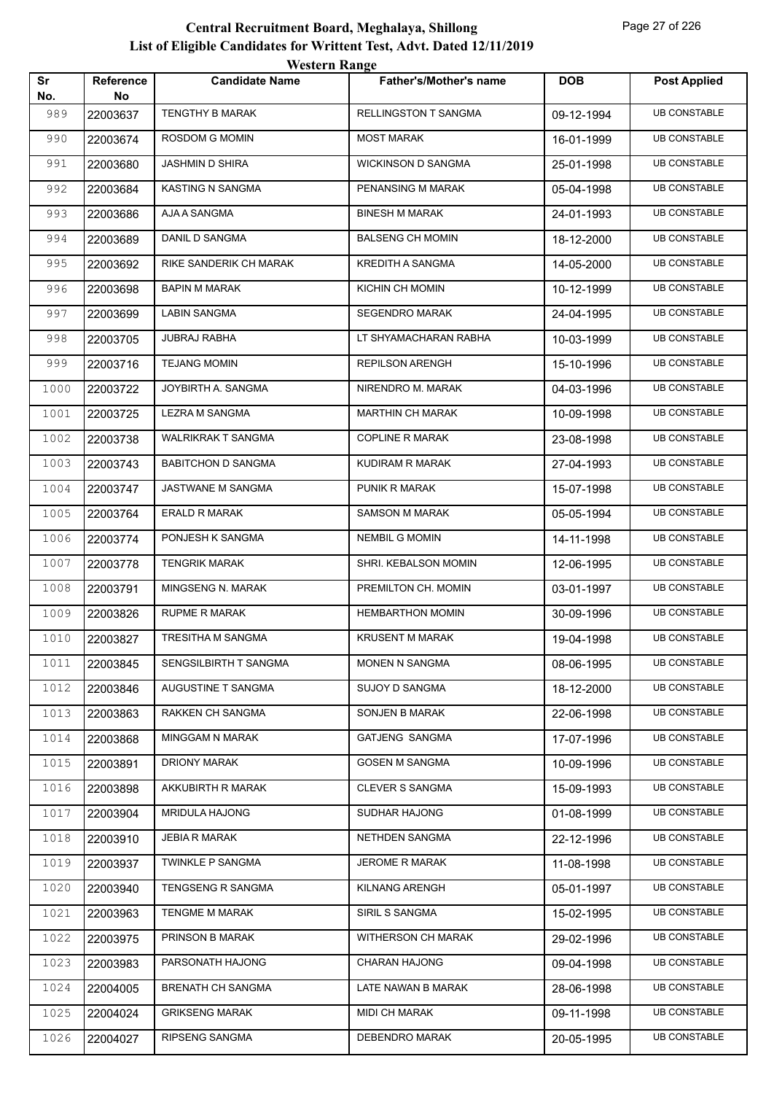|           |                        | <b>Western Range</b>      |                               |            |                     |
|-----------|------------------------|---------------------------|-------------------------------|------------|---------------------|
| Sr<br>No. | <b>Reference</b><br>No | <b>Candidate Name</b>     | <b>Father's/Mother's name</b> | <b>DOB</b> | <b>Post Applied</b> |
| 989       | 22003637               | <b>TENGTHY B MARAK</b>    | <b>RELLINGSTON T SANGMA</b>   | 09-12-1994 | <b>UB CONSTABLE</b> |
| 990       | 22003674               | ROSDOM G MOMIN            | <b>MOST MARAK</b>             | 16-01-1999 | <b>UB CONSTABLE</b> |
| 991       | 22003680               | <b>JASHMIN D SHIRA</b>    | <b>WICKINSON D SANGMA</b>     | 25-01-1998 | <b>UB CONSTABLE</b> |
| 992       | 22003684               | <b>KASTING N SANGMA</b>   | PENANSING M MARAK             | 05-04-1998 | <b>UB CONSTABLE</b> |
| 993       | 22003686               | AJA A SANGMA              | <b>BINESH M MARAK</b>         | 24-01-1993 | <b>UB CONSTABLE</b> |
| 994       | 22003689               | DANIL D SANGMA            | <b>BALSENG CH MOMIN</b>       | 18-12-2000 | <b>UB CONSTABLE</b> |
| 995       | 22003692               | RIKE SANDERIK CH MARAK    | <b>KREDITH A SANGMA</b>       | 14-05-2000 | <b>UB CONSTABLE</b> |
| 996       | 22003698               | <b>BAPIN M MARAK</b>      | KICHIN CH MOMIN               | 10-12-1999 | <b>UB CONSTABLE</b> |
| 997       | 22003699               | <b>LABIN SANGMA</b>       | <b>SEGENDRO MARAK</b>         | 24-04-1995 | <b>UB CONSTABLE</b> |
| 998       | 22003705               | <b>JUBRAJ RABHA</b>       | LT SHYAMACHARAN RABHA         | 10-03-1999 | <b>UB CONSTABLE</b> |
| 999       | 22003716               | <b>TEJANG MOMIN</b>       | <b>REPILSON ARENGH</b>        | 15-10-1996 | <b>UB CONSTABLE</b> |
| 1000      | 22003722               | JOYBIRTH A. SANGMA        | NIRENDRO M. MARAK             | 04-03-1996 | <b>UB CONSTABLE</b> |
| 1001      | 22003725               | LEZRA M SANGMA            | <b>MARTHIN CH MARAK</b>       | 10-09-1998 | <b>UB CONSTABLE</b> |
| 1002      | 22003738               | <b>WALRIKRAK T SANGMA</b> | <b>COPLINE R MARAK</b>        | 23-08-1998 | <b>UB CONSTABLE</b> |
| 1003      | 22003743               | <b>BABITCHON D SANGMA</b> | KUDIRAM R MARAK               | 27-04-1993 | <b>UB CONSTABLE</b> |
| 1004      | 22003747               | JASTWANE M SANGMA         | PUNIK R MARAK                 | 15-07-1998 | <b>UB CONSTABLE</b> |
| 1005      | 22003764               | <b>ERALD R MARAK</b>      | <b>SAMSON M MARAK</b>         | 05-05-1994 | <b>UB CONSTABLE</b> |
| 1006      | 22003774               | PONJESH K SANGMA          | <b>NEMBIL G MOMIN</b>         | 14-11-1998 | <b>UB CONSTABLE</b> |
| 1007      | 22003778               | <b>TENGRIK MARAK</b>      | SHRI. KEBALSON MOMIN          | 12-06-1995 | <b>UB CONSTABLE</b> |
| 1008      | 22003791               | MINGSENG N. MARAK         | PREMILTON CH. MOMIN           | 03-01-1997 | <b>UB CONSTABLE</b> |
| 1009      | 22003826               | <b>RUPME R MARAK</b>      | <b>HEMBARTHON MOMIN</b>       | 30-09-1996 | <b>UB CONSTABLE</b> |
| 1010      | 22003827               | <b>TRESITHA M SANGMA</b>  | <b>KRUSENT M MARAK</b>        | 19-04-1998 | <b>UB CONSTABLE</b> |
| 1011      | 22003845               | SENGSILBIRTH T SANGMA     | MONEN N SANGMA                | 08-06-1995 | <b>UB CONSTABLE</b> |
| 1012      | 22003846               | AUGUSTINE T SANGMA        | SUJOY D SANGMA                | 18-12-2000 | <b>UB CONSTABLE</b> |
| 1013      | 22003863               | RAKKEN CH SANGMA          | SONJEN B MARAK                | 22-06-1998 | <b>UB CONSTABLE</b> |
| 1014      | 22003868               | <b>MINGGAM N MARAK</b>    | GATJENG SANGMA                | 17-07-1996 | <b>UB CONSTABLE</b> |
| 1015      | 22003891               | <b>DRIONY MARAK</b>       | <b>GOSEN M SANGMA</b>         | 10-09-1996 | <b>UB CONSTABLE</b> |
| 1016      | 22003898               | AKKUBIRTH R MARAK         | <b>CLEVER S SANGMA</b>        | 15-09-1993 | <b>UB CONSTABLE</b> |
| 1017      | 22003904               | <b>MRIDULA HAJONG</b>     | SUDHAR HAJONG                 | 01-08-1999 | <b>UB CONSTABLE</b> |
| 1018      | 22003910               | <b>JEBIA R MARAK</b>      | NETHDEN SANGMA                | 22-12-1996 | <b>UB CONSTABLE</b> |
| 1019      | 22003937               | <b>TWINKLE P SANGMA</b>   | JEROME R MARAK                | 11-08-1998 | <b>UB CONSTABLE</b> |
| 1020      | 22003940               | TENGSENG R SANGMA         | <b>KILNANG ARENGH</b>         | 05-01-1997 | <b>UB CONSTABLE</b> |
| 1021      | 22003963               | TENGME M MARAK            | SIRIL S SANGMA                | 15-02-1995 | <b>UB CONSTABLE</b> |
| 1022      | 22003975               | PRINSON B MARAK           | WITHERSON CH MARAK            | 29-02-1996 | <b>UB CONSTABLE</b> |
| 1023      | 22003983               | PARSONATH HAJONG          | <b>CHARAN HAJONG</b>          | 09-04-1998 | <b>UB CONSTABLE</b> |
| 1024      | 22004005               | <b>BRENATH CH SANGMA</b>  | LATE NAWAN B MARAK            | 28-06-1998 | <b>UB CONSTABLE</b> |
| 1025      | 22004024               | <b>GRIKSENG MARAK</b>     | MIDI CH MARAK                 | 09-11-1998 | <b>UB CONSTABLE</b> |
| 1026      | 22004027               | RIPSENG SANGMA            | DEBENDRO MARAK                | 20-05-1995 | <b>UB CONSTABLE</b> |
|           |                        |                           |                               |            |                     |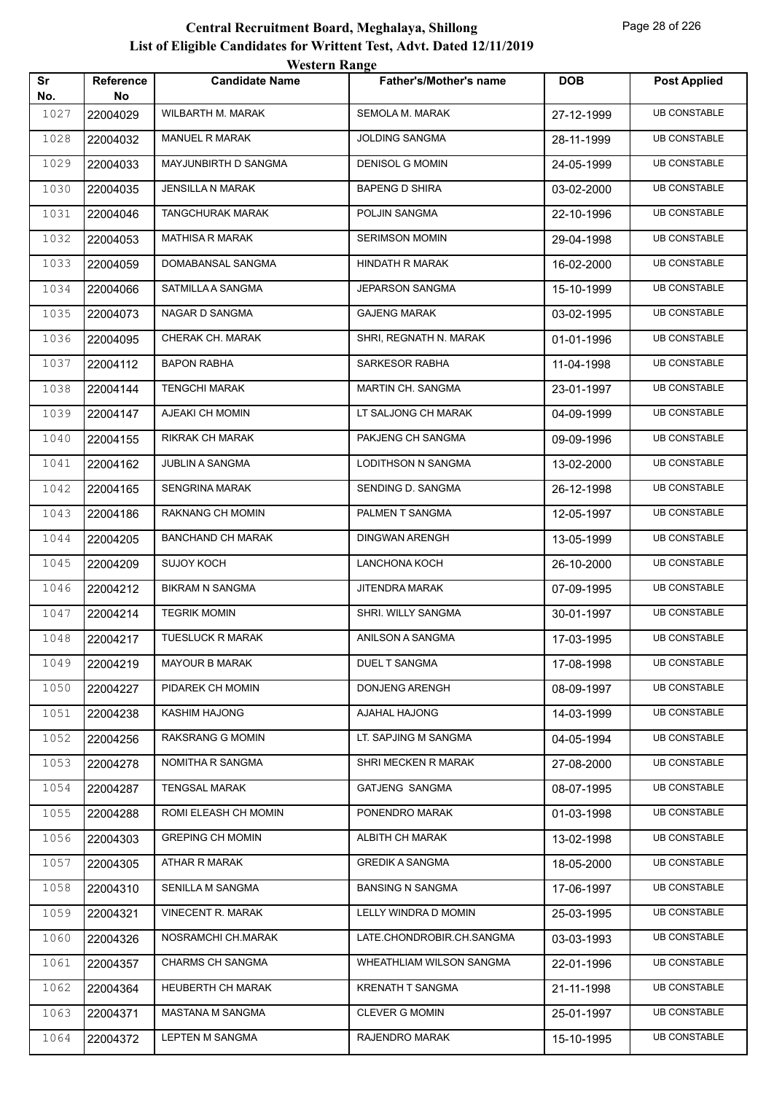|           |                        | <b>Western Range</b>     |                               |            |                     |
|-----------|------------------------|--------------------------|-------------------------------|------------|---------------------|
| Sr<br>No. | <b>Reference</b><br>No | <b>Candidate Name</b>    | <b>Father's/Mother's name</b> | <b>DOB</b> | <b>Post Applied</b> |
| 1027      | 22004029               | WILBARTH M. MARAK        | SEMOLA M. MARAK               | 27-12-1999 | <b>UB CONSTABLE</b> |
| 1028      | 22004032               | MANUEL R MARAK           | <b>JOLDING SANGMA</b>         | 28-11-1999 | <b>UB CONSTABLE</b> |
| 1029      | 22004033               | MAYJUNBIRTH D SANGMA     | <b>DENISOL G MOMIN</b>        | 24-05-1999 | <b>UB CONSTABLE</b> |
| 1030      | 22004035               | <b>JENSILLA N MARAK</b>  | <b>BAPENG D SHIRA</b>         | 03-02-2000 | <b>UB CONSTABLE</b> |
| 1031      | 22004046               | <b>TANGCHURAK MARAK</b>  | POLJIN SANGMA                 | 22-10-1996 | <b>UB CONSTABLE</b> |
| 1032      | 22004053               | <b>MATHISA R MARAK</b>   | <b>SERIMSON MOMIN</b>         | 29-04-1998 | <b>UB CONSTABLE</b> |
| 1033      | 22004059               | DOMABANSAL SANGMA        | HINDATH R MARAK               | 16-02-2000 | <b>UB CONSTABLE</b> |
| 1034      | 22004066               | SATMILLA A SANGMA        | <b>JEPARSON SANGMA</b>        | 15-10-1999 | <b>UB CONSTABLE</b> |
| 1035      | 22004073               | NAGAR D SANGMA           | <b>GAJENG MARAK</b>           | 03-02-1995 | <b>UB CONSTABLE</b> |
| 1036      | 22004095               | CHERAK CH. MARAK         | SHRI, REGNATH N. MARAK        | 01-01-1996 | <b>UB CONSTABLE</b> |
| 1037      | 22004112               | <b>BAPON RABHA</b>       | <b>SARKESOR RABHA</b>         | 11-04-1998 | <b>UB CONSTABLE</b> |
| 1038      | 22004144               | <b>TENGCHI MARAK</b>     | MARTIN CH. SANGMA             | 23-01-1997 | <b>UB CONSTABLE</b> |
| 1039      | 22004147               | AJEAKI CH MOMIN          | LT SALJONG CH MARAK           | 04-09-1999 | <b>UB CONSTABLE</b> |
| 1040      | 22004155               | RIKRAK CH MARAK          | PAKJENG CH SANGMA             | 09-09-1996 | <b>UB CONSTABLE</b> |
| 1041      | 22004162               | <b>JUBLIN A SANGMA</b>   | LODITHSON N SANGMA            | 13-02-2000 | <b>UB CONSTABLE</b> |
| 1042      | 22004165               | <b>SENGRINA MARAK</b>    | SENDING D. SANGMA             | 26-12-1998 | <b>UB CONSTABLE</b> |
| 1043      | 22004186               | RAKNANG CH MOMIN         | PALMEN T SANGMA               | 12-05-1997 | <b>UB CONSTABLE</b> |
| 1044      | 22004205               | <b>BANCHAND CH MARAK</b> | <b>DINGWAN ARENGH</b>         | 13-05-1999 | <b>UB CONSTABLE</b> |
| 1045      | 22004209               | <b>SUJOY KOCH</b>        | LANCHONA KOCH                 | 26-10-2000 | <b>UB CONSTABLE</b> |
| 1046      | 22004212               | <b>BIKRAM N SANGMA</b>   | <b>JITENDRA MARAK</b>         | 07-09-1995 | <b>UB CONSTABLE</b> |
| 1047      | 22004214               | <b>TEGRIK MOMIN</b>      | SHRI. WILLY SANGMA            | 30-01-1997 | <b>UB CONSTABLE</b> |
| 1048      | 22004217               | <b>TUESLUCK R MARAK</b>  | ANILSON A SANGMA              | 17-03-1995 | <b>UB CONSTABLE</b> |
| 1049      | 22004219               | <b>MAYOUR B MARAK</b>    | DUEL T SANGMA                 | 17-08-1998 | <b>UB CONSTABLE</b> |
| 1050      | 22004227               | PIDAREK CH MOMIN         | <b>DONJENG ARENGH</b>         | 08-09-1997 | <b>UB CONSTABLE</b> |
| 1051      | 22004238               | <b>KASHIM HAJONG</b>     | AJAHAL HAJONG                 | 14-03-1999 | <b>UB CONSTABLE</b> |
| 1052      | 22004256               | RAKSRANG G MOMIN         | LT. SAPJING M SANGMA          | 04-05-1994 | <b>UB CONSTABLE</b> |
| 1053      | 22004278               | NOMITHA R SANGMA         | SHRI MECKEN R MARAK           | 27-08-2000 | <b>UB CONSTABLE</b> |
| 1054      | 22004287               | <b>TENGSAL MARAK</b>     | GATJENG SANGMA                | 08-07-1995 | <b>UB CONSTABLE</b> |
| 1055      | 22004288               | ROMI ELEASH CH MOMIN     | PONENDRO MARAK                | 01-03-1998 | <b>UB CONSTABLE</b> |
| 1056      | 22004303               | <b>GREPING CH MOMIN</b>  | <b>ALBITH CH MARAK</b>        | 13-02-1998 | <b>UB CONSTABLE</b> |
| 1057      | 22004305               | ATHAR R MARAK            | <b>GREDIK A SANGMA</b>        | 18-05-2000 | <b>UB CONSTABLE</b> |
| 1058      | 22004310               | SENILLA M SANGMA         | <b>BANSING N SANGMA</b>       | 17-06-1997 | <b>UB CONSTABLE</b> |
| 1059      | 22004321               | <b>VINECENT R. MARAK</b> | LELLY WINDRA D MOMIN          | 25-03-1995 | <b>UB CONSTABLE</b> |
| 1060      | 22004326               | NOSRAMCHI CH.MARAK       | LATE.CHONDROBIR.CH.SANGMA     | 03-03-1993 | <b>UB CONSTABLE</b> |
| 1061      | 22004357               | <b>CHARMS CH SANGMA</b>  | WHEATHLIAM WILSON SANGMA      | 22-01-1996 | <b>UB CONSTABLE</b> |
| 1062      | 22004364               | <b>HEUBERTH CH MARAK</b> | <b>KRENATH T SANGMA</b>       | 21-11-1998 | <b>UB CONSTABLE</b> |
| 1063      | 22004371               | MASTANA M SANGMA         | <b>CLEVER G MOMIN</b>         | 25-01-1997 | <b>UB CONSTABLE</b> |
| 1064      | 22004372               | LEPTEN M SANGMA          | RAJENDRO MARAK                | 15-10-1995 | <b>UB CONSTABLE</b> |
|           |                        |                          |                               |            |                     |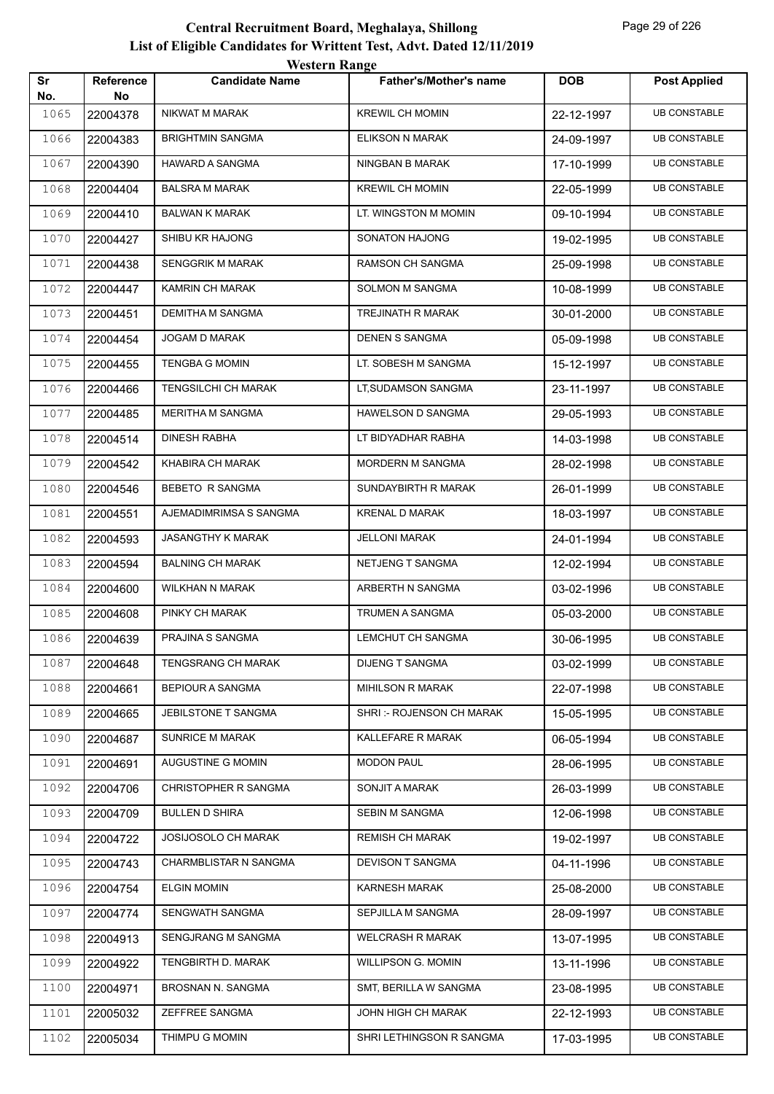|           |                        | <b>Western Range</b>       |                               |            |                     |
|-----------|------------------------|----------------------------|-------------------------------|------------|---------------------|
| Sr<br>No. | <b>Reference</b><br>No | <b>Candidate Name</b>      | <b>Father's/Mother's name</b> | <b>DOB</b> | <b>Post Applied</b> |
| 1065      | 22004378               | NIKWAT M MARAK             | <b>KREWIL CH MOMIN</b>        | 22-12-1997 | <b>UB CONSTABLE</b> |
| 1066      | 22004383               | <b>BRIGHTMIN SANGMA</b>    | ELIKSON N MARAK               | 24-09-1997 | <b>UB CONSTABLE</b> |
| 1067      | 22004390               | HAWARD A SANGMA            | NINGBAN B MARAK               | 17-10-1999 | <b>UB CONSTABLE</b> |
| 1068      | 22004404               | <b>BALSRA M MARAK</b>      | <b>KREWIL CH MOMIN</b>        | 22-05-1999 | <b>UB CONSTABLE</b> |
| 1069      | 22004410               | <b>BALWAN K MARAK</b>      | LT. WINGSTON M MOMIN          | 09-10-1994 | <b>UB CONSTABLE</b> |
| 1070      | 22004427               | SHIBU KR HAJONG            | SONATON HAJONG                | 19-02-1995 | <b>UB CONSTABLE</b> |
| 1071      | 22004438               | <b>SENGGRIK M MARAK</b>    | <b>RAMSON CH SANGMA</b>       | 25-09-1998 | <b>UB CONSTABLE</b> |
| 1072      | 22004447               | KAMRIN CH MARAK            | SOLMON M SANGMA               | 10-08-1999 | <b>UB CONSTABLE</b> |
| 1073      | 22004451               | DEMITHA M SANGMA           | TREJINATH R MARAK             | 30-01-2000 | <b>UB CONSTABLE</b> |
| 1074      | 22004454               | JOGAM D MARAK              | <b>DENEN S SANGMA</b>         | 05-09-1998 | <b>UB CONSTABLE</b> |
| 1075      | 22004455               | <b>TENGBA G MOMIN</b>      | LT. SOBESH M SANGMA           | 15-12-1997 | <b>UB CONSTABLE</b> |
| 1076      | 22004466               | <b>TENGSILCHI CH MARAK</b> | LT, SUDAMSON SANGMA           | 23-11-1997 | <b>UB CONSTABLE</b> |
| 1077      | 22004485               | <b>MERITHA M SANGMA</b>    | <b>HAWELSON D SANGMA</b>      | 29-05-1993 | <b>UB CONSTABLE</b> |
| 1078      | 22004514               | DINESH RABHA               | LT BIDYADHAR RABHA            | 14-03-1998 | <b>UB CONSTABLE</b> |
| 1079      | 22004542               | KHABIRA CH MARAK           | MORDERN M SANGMA              | 28-02-1998 | <b>UB CONSTABLE</b> |
| 1080      | 22004546               | <b>BEBETO R SANGMA</b>     | SUNDAYBIRTH R MARAK           | 26-01-1999 | <b>UB CONSTABLE</b> |
| 1081      | 22004551               | AJEMADIMRIMSA S SANGMA     | <b>KRENAL D MARAK</b>         | 18-03-1997 | <b>UB CONSTABLE</b> |
| 1082      | 22004593               | <b>JASANGTHY K MARAK</b>   | <b>JELLONI MARAK</b>          | 24-01-1994 | <b>UB CONSTABLE</b> |
| 1083      | 22004594               | <b>BALNING CH MARAK</b>    | NETJENG T SANGMA              | 12-02-1994 | <b>UB CONSTABLE</b> |
| 1084      | 22004600               | WILKHAN N MARAK            | ARBERTH N SANGMA              | 03-02-1996 | <b>UB CONSTABLE</b> |
| 1085      | 22004608               | PINKY CH MARAK             | TRUMEN A SANGMA               | 05-03-2000 | <b>UB CONSTABLE</b> |
| 1086      | 22004639               | PRAJINA S SANGMA           | LEMCHUT CH SANGMA             | 30-06-1995 | <b>UB CONSTABLE</b> |
| 1087      | 22004648               | <b>TENGSRANG CH MARAK</b>  | <b>DIJENG T SANGMA</b>        | 03-02-1999 | <b>UB CONSTABLE</b> |
| 1088      | 22004661               | <b>BEPIOUR A SANGMA</b>    | MIHILSON R MARAK              | 22-07-1998 | <b>UB CONSTABLE</b> |
| 1089      | 22004665               | JEBILSTONE T SANGMA        | SHRI: - ROJENSON CH MARAK     | 15-05-1995 | <b>UB CONSTABLE</b> |
| 1090      | 22004687               | <b>SUNRICE M MARAK</b>     | KALLEFARE R MARAK             | 06-05-1994 | <b>UB CONSTABLE</b> |
| 1091      | 22004691               | AUGUSTINE G MOMIN          | <b>MODON PAUL</b>             | 28-06-1995 | <b>UB CONSTABLE</b> |
| 1092      | 22004706               | CHRISTOPHER R SANGMA       | SONJIT A MARAK                | 26-03-1999 | <b>UB CONSTABLE</b> |
| 1093      | 22004709               | <b>BULLEN D SHIRA</b>      | SEBIN M SANGMA                | 12-06-1998 | <b>UB CONSTABLE</b> |
| 1094      | 22004722               | <b>JOSIJOSOLO CH MARAK</b> | <b>REMISH CH MARAK</b>        | 19-02-1997 | <b>UB CONSTABLE</b> |
| 1095      | 22004743               | CHARMBLISTAR N SANGMA      | DEVISON T SANGMA              | 04-11-1996 | <b>UB CONSTABLE</b> |
| 1096      | 22004754               | <b>ELGIN MOMIN</b>         | KARNESH MARAK                 | 25-08-2000 | <b>UB CONSTABLE</b> |
| 1097      | 22004774               | SENGWATH SANGMA            | SEPJILLA M SANGMA             | 28-09-1997 | <b>UB CONSTABLE</b> |
| 1098      | 22004913               | SENGJRANG M SANGMA         | <b>WELCRASH R MARAK</b>       | 13-07-1995 | <b>UB CONSTABLE</b> |
| 1099      | 22004922               | TENGBIRTH D. MARAK         | WILLIPSON G. MOMIN            | 13-11-1996 | <b>UB CONSTABLE</b> |
| 1100      | 22004971               | BROSNAN N. SANGMA          | SMT, BERILLA W SANGMA         | 23-08-1995 | <b>UB CONSTABLE</b> |
| 1101      | 22005032               | ZEFFREE SANGMA             | JOHN HIGH CH MARAK            | 22-12-1993 | <b>UB CONSTABLE</b> |
| 1102      | 22005034               | THIMPU G MOMIN             | SHRI LETHINGSON R SANGMA      | 17-03-1995 | <b>UB CONSTABLE</b> |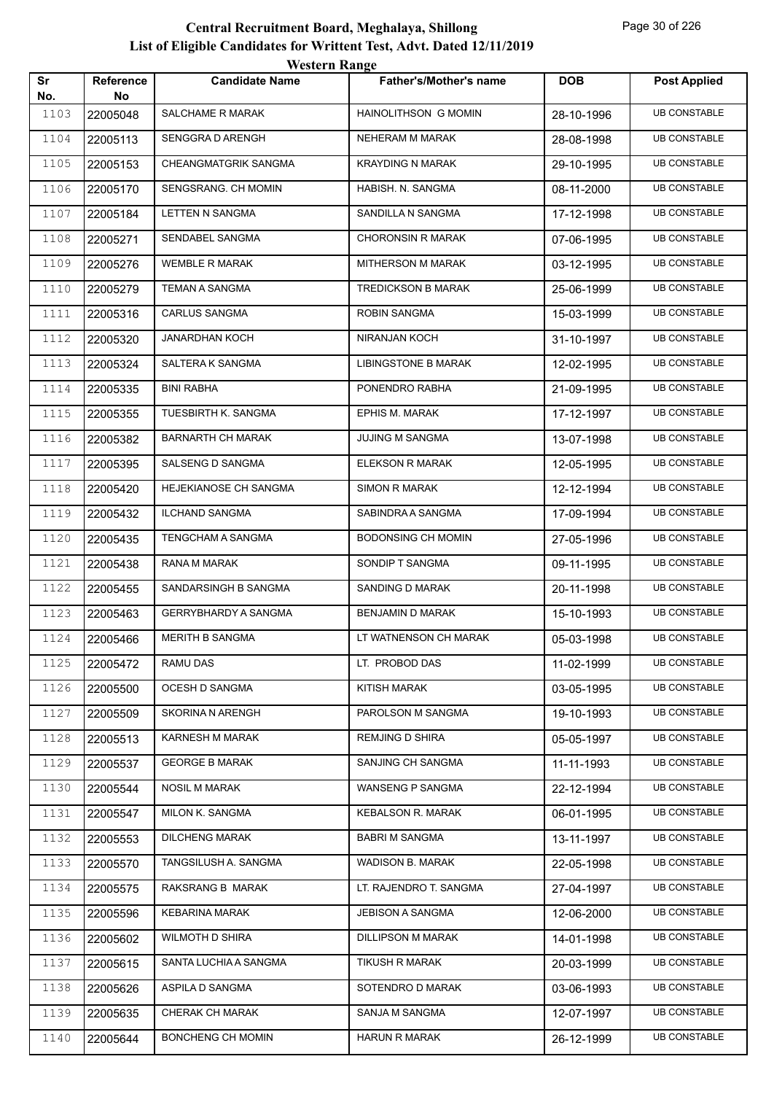|           |                        | <b>Western Range</b>        |                               |            |                     |
|-----------|------------------------|-----------------------------|-------------------------------|------------|---------------------|
| Sr<br>No. | <b>Reference</b><br>No | <b>Candidate Name</b>       | <b>Father's/Mother's name</b> | <b>DOB</b> | <b>Post Applied</b> |
| 1103      | 22005048               | SALCHAME R MARAK            | HAINOLITHSON G MOMIN          | 28-10-1996 | <b>UB CONSTABLE</b> |
| 1104      | 22005113               | SENGGRAD ARENGH             | NEHERAM M MARAK               | 28-08-1998 | <b>UB CONSTABLE</b> |
| 1105      | 22005153               | CHEANGMATGRIK SANGMA        | <b>KRAYDING N MARAK</b>       | 29-10-1995 | <b>UB CONSTABLE</b> |
| 1106      | 22005170               | SENGSRANG. CH MOMIN         | HABISH. N. SANGMA             | 08-11-2000 | <b>UB CONSTABLE</b> |
| 1107      | 22005184               | <b>LETTEN N SANGMA</b>      | SANDILLA N SANGMA             | 17-12-1998 | <b>UB CONSTABLE</b> |
| 1108      | 22005271               | SENDABEL SANGMA             | <b>CHORONSIN R MARAK</b>      | 07-06-1995 | <b>UB CONSTABLE</b> |
| 1109      | 22005276               | <b>WEMBLE R MARAK</b>       | MITHERSON M MARAK             | 03-12-1995 | <b>UB CONSTABLE</b> |
| 1110      | 22005279               | <b>TEMAN A SANGMA</b>       | <b>TREDICKSON B MARAK</b>     | 25-06-1999 | <b>UB CONSTABLE</b> |
| 1111      | 22005316               | <b>CARLUS SANGMA</b>        | ROBIN SANGMA                  | 15-03-1999 | <b>UB CONSTABLE</b> |
| 1112      | 22005320               | <b>JANARDHAN KOCH</b>       | <b>NIRANJAN KOCH</b>          | 31-10-1997 | <b>UB CONSTABLE</b> |
| 1113      | 22005324               | SALTERA K SANGMA            | <b>LIBINGSTONE B MARAK</b>    | 12-02-1995 | <b>UB CONSTABLE</b> |
| 1114      | 22005335               | <b>BINI RABHA</b>           | PONENDRO RABHA                | 21-09-1995 | <b>UB CONSTABLE</b> |
| 1115      | 22005355               | TUESBIRTH K. SANGMA         | EPHIS M. MARAK                | 17-12-1997 | <b>UB CONSTABLE</b> |
| 1116      | 22005382               | <b>BARNARTH CH MARAK</b>    | <b>JUJING M SANGMA</b>        | 13-07-1998 | <b>UB CONSTABLE</b> |
| 1117      | 22005395               | SALSENG D SANGMA            | <b>ELEKSON R MARAK</b>        | 12-05-1995 | <b>UB CONSTABLE</b> |
| 1118      | 22005420               | HEJEKIANOSE CH SANGMA       | <b>SIMON R MARAK</b>          | 12-12-1994 | <b>UB CONSTABLE</b> |
| 1119      | 22005432               | <b>ILCHAND SANGMA</b>       | SABINDRA A SANGMA             | 17-09-1994 | <b>UB CONSTABLE</b> |
| 1120      | 22005435               | TENGCHAM A SANGMA           | <b>BODONSING CH MOMIN</b>     | 27-05-1996 | <b>UB CONSTABLE</b> |
| 1121      | 22005438               | RANA M MARAK                | SONDIP T SANGMA               | 09-11-1995 | <b>UB CONSTABLE</b> |
| 1122      | 22005455               | SANDARSINGH B SANGMA        | SANDING D MARAK               | 20-11-1998 | <b>UB CONSTABLE</b> |
| 1123      | 22005463               | <b>GERRYBHARDY A SANGMA</b> | <b>BENJAMIN D MARAK</b>       | 15-10-1993 | <b>UB CONSTABLE</b> |
| 1124      | 22005466               | <b>MERITH B SANGMA</b>      | LT WATNENSON CH MARAK         | 05-03-1998 | <b>UB CONSTABLE</b> |
| 1125      | 22005472               | RAMU DAS                    | LT. PROBOD DAS                | 11-02-1999 | <b>UB CONSTABLE</b> |
| 1126      | 22005500               | OCESH D SANGMA              | KITISH MARAK                  | 03-05-1995 | <b>UB CONSTABLE</b> |
| 1127      | 22005509               | <b>SKORINA N ARENGH</b>     | PAROLSON M SANGMA             | 19-10-1993 | <b>UB CONSTABLE</b> |
| 1128      | 22005513               | KARNESH M MARAK             | <b>REMJING D SHIRA</b>        | 05-05-1997 | <b>UB CONSTABLE</b> |
| 1129      | 22005537               | <b>GEORGE B MARAK</b>       | SANJING CH SANGMA             | 11-11-1993 | <b>UB CONSTABLE</b> |
| 1130      | 22005544               | <b>NOSIL M MARAK</b>        | WANSENG P SANGMA              | 22-12-1994 | <b>UB CONSTABLE</b> |
| 1131      | 22005547               | MILON K. SANGMA             | <b>KEBALSON R. MARAK</b>      | 06-01-1995 | <b>UB CONSTABLE</b> |
| 1132      | 22005553               | <b>DILCHENG MARAK</b>       | <b>BABRI M SANGMA</b>         | 13-11-1997 | <b>UB CONSTABLE</b> |
| 1133      | 22005570               | TANGSILUSH A. SANGMA        | WADISON B. MARAK              | 22-05-1998 | <b>UB CONSTABLE</b> |
| 1134      | 22005575               | RAKSRANG B MARAK            | LT. RAJENDRO T. SANGMA        | 27-04-1997 | <b>UB CONSTABLE</b> |
| 1135      | 22005596               | KEBARINA MARAK              | JEBISON A SANGMA              | 12-06-2000 | <b>UB CONSTABLE</b> |
| 1136      | 22005602               | WILMOTH D SHIRA             | <b>DILLIPSON M MARAK</b>      | 14-01-1998 | <b>UB CONSTABLE</b> |
| 1137      | 22005615               | SANTA LUCHIA A SANGMA       | <b>TIKUSH R MARAK</b>         | 20-03-1999 | <b>UB CONSTABLE</b> |
| 1138      | 22005626               | ASPILA D SANGMA             | SOTENDRO D MARAK              | 03-06-1993 | <b>UB CONSTABLE</b> |
| 1139      | 22005635               | CHERAK CH MARAK             | SANJA M SANGMA                | 12-07-1997 | <b>UB CONSTABLE</b> |
| 1140      | 22005644               | BONCHENG CH MOMIN           | <b>HARUN R MARAK</b>          | 26-12-1999 | <b>UB CONSTABLE</b> |
|           |                        |                             |                               |            |                     |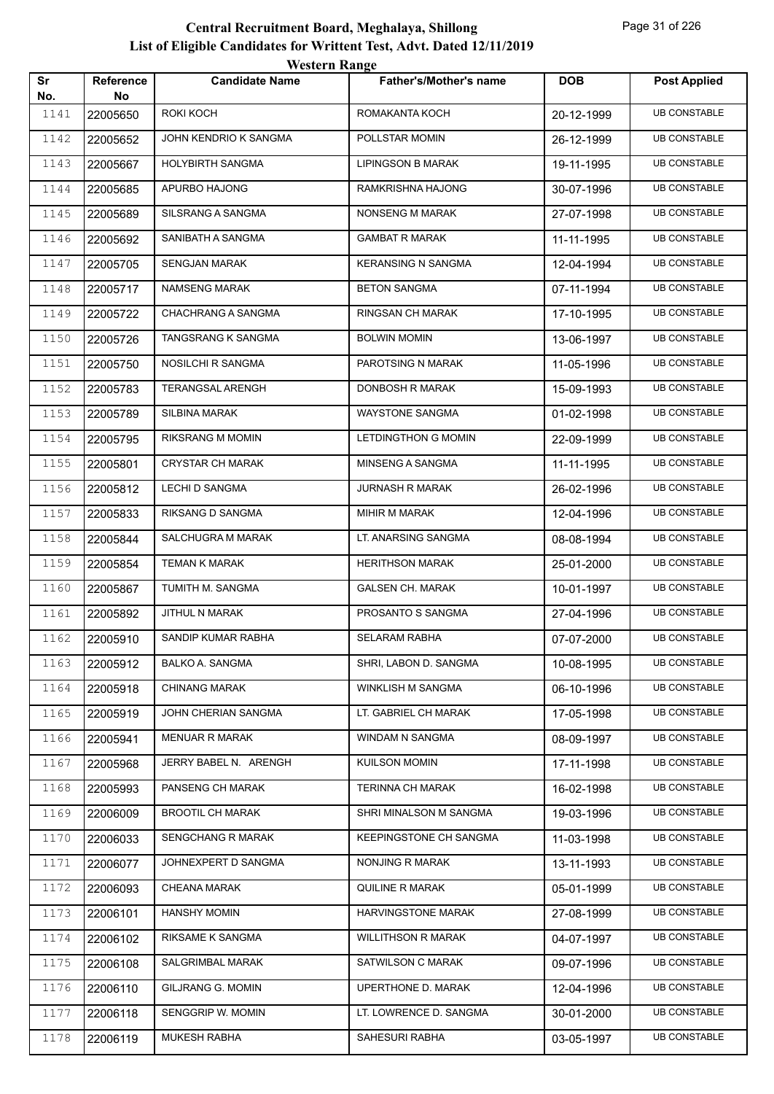|           |                 | western Range            |                               |            |                     |
|-----------|-----------------|--------------------------|-------------------------------|------------|---------------------|
| Sr<br>No. | Reference<br>No | <b>Candidate Name</b>    | <b>Father's/Mother's name</b> | <b>DOB</b> | <b>Post Applied</b> |
| 1141      | 22005650        | ROKI KOCH                | ROMAKANTA KOCH                | 20-12-1999 | <b>UB CONSTABLE</b> |
| 1142      | 22005652        | JOHN KENDRIO K SANGMA    | POLLSTAR MOMIN                | 26-12-1999 | <b>UB CONSTABLE</b> |
| 1143      | 22005667        | HOLYBIRTH SANGMA         | <b>LIPINGSON B MARAK</b>      | 19-11-1995 | <b>UB CONSTABLE</b> |
| 1144      | 22005685        | APURBO HAJONG            | RAMKRISHNA HAJONG             | 30-07-1996 | <b>UB CONSTABLE</b> |
| 1145      | 22005689        | <b>SILSRANG A SANGMA</b> | NONSENG M MARAK               | 27-07-1998 | <b>UB CONSTABLE</b> |
| 1146      | 22005692        | SANIBATH A SANGMA        | <b>GAMBAT R MARAK</b>         | 11-11-1995 | <b>UB CONSTABLE</b> |
| 1147      | 22005705        | <b>SENGJAN MARAK</b>     | <b>KERANSING N SANGMA</b>     | 12-04-1994 | <b>UB CONSTABLE</b> |
| 1148      | 22005717        | NAMSENG MARAK            | <b>BETON SANGMA</b>           | 07-11-1994 | <b>UB CONSTABLE</b> |
| 1149      | 22005722        | CHACHRANG A SANGMA       | RINGSAN CH MARAK              | 17-10-1995 | <b>UB CONSTABLE</b> |
| 1150      | 22005726        | TANGSRANG K SANGMA       | <b>BOLWIN MOMIN</b>           | 13-06-1997 | <b>UB CONSTABLE</b> |
| 1151      | 22005750        | NOSILCHI R SANGMA        | PAROTSING N MARAK             | 11-05-1996 | <b>UB CONSTABLE</b> |
| 1152      | 22005783        | <b>TERANGSAL ARENGH</b>  | DONBOSH R MARAK               | 15-09-1993 | <b>UB CONSTABLE</b> |
| 1153      | 22005789        | SILBINA MARAK            | WAYSTONE SANGMA               | 01-02-1998 | <b>UB CONSTABLE</b> |
| 1154      | 22005795        | <b>RIKSRANG M MOMIN</b>  | <b>LETDINGTHON G MOMIN</b>    | 22-09-1999 | <b>UB CONSTABLE</b> |
| 1155      | 22005801        | <b>CRYSTAR CH MARAK</b>  | MINSENG A SANGMA              | 11-11-1995 | <b>UB CONSTABLE</b> |
| 1156      | 22005812        | LECHI D SANGMA           | <b>JURNASH R MARAK</b>        | 26-02-1996 | <b>UB CONSTABLE</b> |
| 1157      | 22005833        | RIKSANG D SANGMA         | MIHIR M MARAK                 | 12-04-1996 | <b>UB CONSTABLE</b> |
| 1158      | 22005844        | SALCHUGRA M MARAK        | LT. ANARSING SANGMA           | 08-08-1994 | <b>UB CONSTABLE</b> |
| 1159      | 22005854        | <b>TEMAN K MARAK</b>     | <b>HERITHSON MARAK</b>        | 25-01-2000 | <b>UB CONSTABLE</b> |
| 1160      | 22005867        | TUMITH M. SANGMA         | <b>GALSEN CH. MARAK</b>       | 10-01-1997 | <b>UB CONSTABLE</b> |
| 1161      | 22005892        | JITHUL N MARAK           | PROSANTO S SANGMA             | 27-04-1996 | <b>UB CONSTABLE</b> |
| 1162      | 22005910        | SANDIP KUMAR RABHA       | <b>SELARAM RABHA</b>          | 07-07-2000 | <b>UB CONSTABLE</b> |
| 1163      | 22005912        | BALKO A. SANGMA          | SHRI, LABON D. SANGMA         | 10-08-1995 | <b>UB CONSTABLE</b> |
| 1164      | 22005918        | <b>CHINANG MARAK</b>     | WINKLISH M SANGMA             | 06-10-1996 | <b>UB CONSTABLE</b> |
| 1165      | 22005919        | JOHN CHERIAN SANGMA      | LT. GABRIEL CH MARAK          | 17-05-1998 | <b>UB CONSTABLE</b> |
| 1166      | 22005941        | <b>MENUAR R MARAK</b>    | WINDAM N SANGMA               | 08-09-1997 | <b>UB CONSTABLE</b> |
| 1167      | 22005968        | JERRY BABEL N. ARENGH    | <b>KUILSON MOMIN</b>          | 17-11-1998 | <b>UB CONSTABLE</b> |
| 1168      | 22005993        | PANSENG CH MARAK         | <b>TERINNA CH MARAK</b>       | 16-02-1998 | <b>UB CONSTABLE</b> |
| 1169      | 22006009        | <b>BROOTIL CH MARAK</b>  | SHRI MINALSON M SANGMA        | 19-03-1996 | <b>UB CONSTABLE</b> |
| 1170      | 22006033        | <b>SENGCHANG R MARAK</b> | KEEPINGSTONE CH SANGMA        | 11-03-1998 | <b>UB CONSTABLE</b> |
| 1171      | 22006077        | JOHNEXPERT D SANGMA      | NONJING R MARAK               | 13-11-1993 | <b>UB CONSTABLE</b> |
| 1172      | 22006093        | <b>CHEANA MARAK</b>      | QUILINE R MARAK               | 05-01-1999 | <b>UB CONSTABLE</b> |
| 1173      | 22006101        | <b>HANSHY MOMIN</b>      | HARVINGSTONE MARAK            | 27-08-1999 | <b>UB CONSTABLE</b> |
| 1174      | 22006102        | RIKSAME K SANGMA         | <b>WILLITHSON R MARAK</b>     | 04-07-1997 | <b>UB CONSTABLE</b> |
| 1175      | 22006108        | SALGRIMBAL MARAK         | SATWILSON C MARAK             | 09-07-1996 | <b>UB CONSTABLE</b> |
| 1176      | 22006110        | <b>GILJRANG G. MOMIN</b> | UPERTHONE D. MARAK            | 12-04-1996 | <b>UB CONSTABLE</b> |
| 1177      | 22006118        | SENGGRIP W. MOMIN        | LT. LOWRENCE D. SANGMA        | 30-01-2000 | <b>UB CONSTABLE</b> |
| 1178      | 22006119        | MUKESH RABHA             | SAHESURI RABHA                | 03-05-1997 | <b>UB CONSTABLE</b> |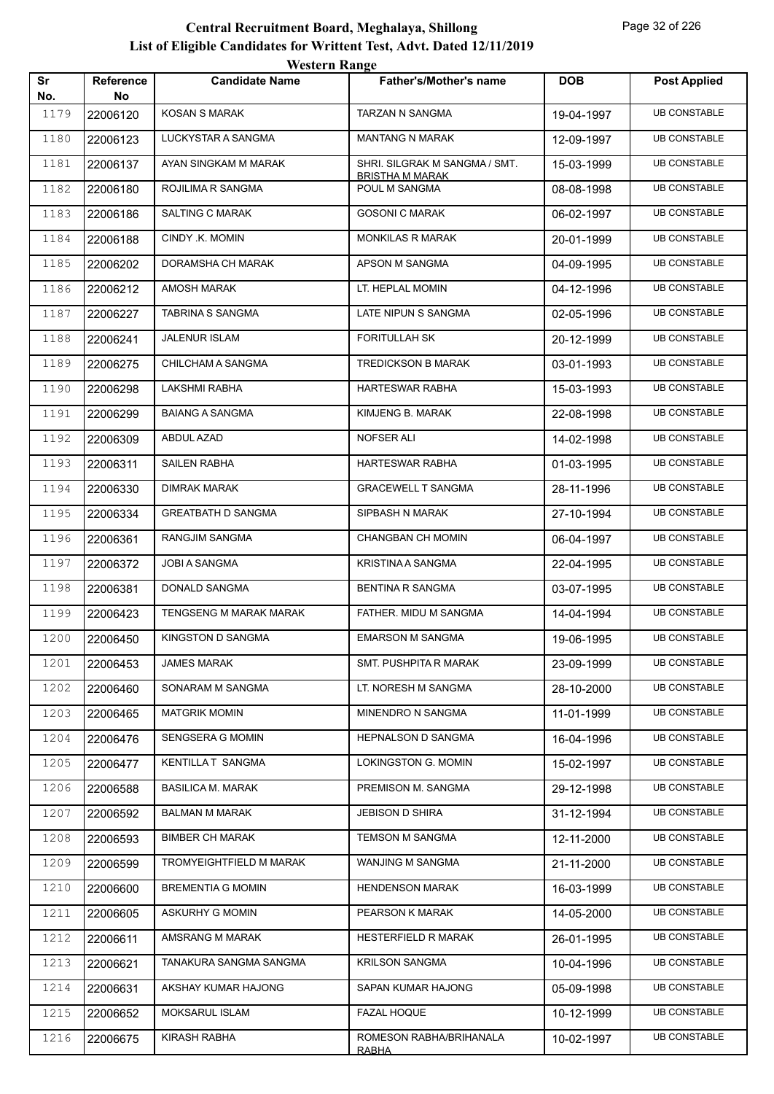|           |                 | western Kange             |                                                         |            |                     |
|-----------|-----------------|---------------------------|---------------------------------------------------------|------------|---------------------|
| Sr<br>No. | Reference<br>No | <b>Candidate Name</b>     | <b>Father's/Mother's name</b>                           | <b>DOB</b> | <b>Post Applied</b> |
| 1179      | 22006120        | <b>KOSAN S MARAK</b>      | <b>TARZAN N SANGMA</b>                                  | 19-04-1997 | <b>UB CONSTABLE</b> |
| 1180      | 22006123        | LUCKYSTAR A SANGMA        | <b>MANTANG N MARAK</b>                                  | 12-09-1997 | <b>UB CONSTABLE</b> |
| 1181      | 22006137        | AYAN SINGKAM M MARAK      | SHRI. SILGRAK M SANGMA / SMT.<br><b>BRISTHA M MARAK</b> | 15-03-1999 | <b>UB CONSTABLE</b> |
| 1182      | 22006180        | ROJILIMA R SANGMA         | POUL M SANGMA                                           | 08-08-1998 | <b>UB CONSTABLE</b> |
| 1183      | 22006186        | <b>SALTING C MARAK</b>    | <b>GOSONI C MARAK</b>                                   | 06-02-1997 | <b>UB CONSTABLE</b> |
| 1184      | 22006188        | CINDY .K. MOMIN           | <b>MONKILAS R MARAK</b>                                 | 20-01-1999 | <b>UB CONSTABLE</b> |
| 1185      | 22006202        | DORAMSHA CH MARAK         | APSON M SANGMA                                          | 04-09-1995 | <b>UB CONSTABLE</b> |
| 1186      | 22006212        | AMOSH MARAK               | LT. HEPLAL MOMIN                                        | 04-12-1996 | <b>UB CONSTABLE</b> |
| 1187      | 22006227        | TABRINA S SANGMA          | LATE NIPUN S SANGMA                                     | 02-05-1996 | <b>UB CONSTABLE</b> |
| 1188      | 22006241        | <b>JALENUR ISLAM</b>      | <b>FORITULLAH SK</b>                                    | 20-12-1999 | <b>UB CONSTABLE</b> |
| 1189      | 22006275        | CHILCHAM A SANGMA         | <b>TREDICKSON B MARAK</b>                               | 03-01-1993 | <b>UB CONSTABLE</b> |
| 1190      | 22006298        | LAKSHMI RABHA             | HARTESWAR RABHA                                         | 15-03-1993 | <b>UB CONSTABLE</b> |
| 1191      | 22006299        | <b>BAIANG A SANGMA</b>    | KIMJENG B. MARAK                                        | 22-08-1998 | <b>UB CONSTABLE</b> |
| 1192      | 22006309        | ABDUL AZAD                | <b>NOFSER ALI</b>                                       | 14-02-1998 | <b>UB CONSTABLE</b> |
| 1193      | 22006311        | SAILEN RABHA              | HARTESWAR RABHA                                         | 01-03-1995 | <b>UB CONSTABLE</b> |
| 1194      | 22006330        | <b>DIMRAK MARAK</b>       | <b>GRACEWELL T SANGMA</b>                               | 28-11-1996 | <b>UB CONSTABLE</b> |
| 1195      | 22006334        | <b>GREATBATH D SANGMA</b> | SIPBASH N MARAK                                         | 27-10-1994 | <b>UB CONSTABLE</b> |
| 1196      | 22006361        | RANGJIM SANGMA            | CHANGBAN CH MOMIN                                       | 06-04-1997 | <b>UB CONSTABLE</b> |
| 1197      | 22006372        | <b>JOBI A SANGMA</b>      | <b>KRISTINA A SANGMA</b>                                | 22-04-1995 | <b>UB CONSTABLE</b> |
| 1198      | 22006381        | DONALD SANGMA             | <b>BENTINA R SANGMA</b>                                 | 03-07-1995 | <b>UB CONSTABLE</b> |
| 1199      | 22006423        | TENGSENG M MARAK MARAK    | FATHER. MIDU M SANGMA                                   | 14-04-1994 | <b>UB CONSTABLE</b> |
| 1200      | 22006450        | KINGSTON D SANGMA         | <b>EMARSON M SANGMA</b>                                 | 19-06-1995 | <b>UB CONSTABLE</b> |
| 1201      | 22006453        | <b>JAMES MARAK</b>        | SMT. PUSHPITA R MARAK                                   | 23-09-1999 | <b>UB CONSTABLE</b> |
| 1202      | 22006460        | SONARAM M SANGMA          | LT. NORESH M SANGMA                                     | 28-10-2000 | <b>UB CONSTABLE</b> |
| 1203      | 22006465        | <b>MATGRIK MOMIN</b>      | MINENDRO N SANGMA                                       | 11-01-1999 | <b>UB CONSTABLE</b> |
| 1204      | 22006476        | SENGSERA G MOMIN          | HEPNALSON D SANGMA                                      | 16-04-1996 | <b>UB CONSTABLE</b> |
| 1205      | 22006477        | KENTILLAT SANGMA          | LOKINGSTON G. MOMIN                                     | 15-02-1997 | <b>UB CONSTABLE</b> |
| 1206      | 22006588        | <b>BASILICA M. MARAK</b>  | PREMISON M. SANGMA                                      | 29-12-1998 | <b>UB CONSTABLE</b> |
| 1207      | 22006592        | <b>BALMAN M MARAK</b>     | JEBISON D SHIRA                                         | 31-12-1994 | <b>UB CONSTABLE</b> |
| 1208      | 22006593        | <b>BIMBER CH MARAK</b>    | TEMSON M SANGMA                                         | 12-11-2000 | <b>UB CONSTABLE</b> |
| 1209      | 22006599        | TROMYEIGHTFIELD M MARAK   | WANJING M SANGMA                                        | 21-11-2000 | <b>UB CONSTABLE</b> |
| 1210      | 22006600        | <b>BREMENTIA G MOMIN</b>  | <b>HENDENSON MARAK</b>                                  | 16-03-1999 | <b>UB CONSTABLE</b> |
| 1211      | 22006605        | ASKURHY G MOMIN           | PEARSON K MARAK                                         | 14-05-2000 | <b>UB CONSTABLE</b> |
| 1212      | 22006611        | AMSRANG M MARAK           | HESTERFIELD R MARAK                                     | 26-01-1995 | <b>UB CONSTABLE</b> |
| 1213      | 22006621        | TANAKURA SANGMA SANGMA    | <b>KRILSON SANGMA</b>                                   | 10-04-1996 | <b>UB CONSTABLE</b> |
| 1214      | 22006631        | AKSHAY KUMAR HAJONG       | SAPAN KUMAR HAJONG                                      | 05-09-1998 | <b>UB CONSTABLE</b> |
| 1215      | 22006652        | MOKSARUL ISLAM            | <b>FAZAL HOQUE</b>                                      | 10-12-1999 | <b>UB CONSTABLE</b> |
| 1216      | 22006675        | KIRASH RABHA              | ROMESON RABHA/BRIHANALA<br><u>RABHA</u>                 | 10-02-1997 | <b>UB CONSTABLE</b> |
|           |                 |                           |                                                         |            |                     |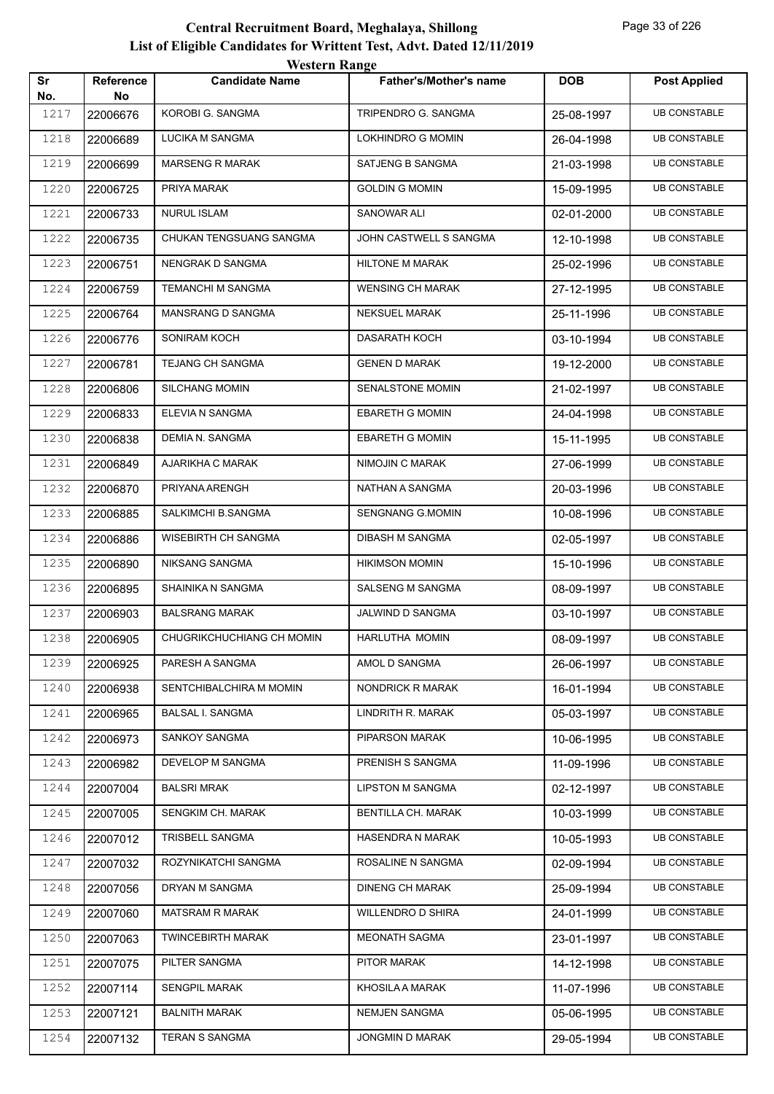|           |                 | western Range              |                               |            |                     |
|-----------|-----------------|----------------------------|-------------------------------|------------|---------------------|
| Sr<br>No. | Reference<br>No | <b>Candidate Name</b>      | <b>Father's/Mother's name</b> | <b>DOB</b> | <b>Post Applied</b> |
| 1217      | 22006676        | KOROBI G. SANGMA           | TRIPENDRO G. SANGMA           | 25-08-1997 | <b>UB CONSTABLE</b> |
| 1218      | 22006689        | LUCIKA M SANGMA            | LOKHINDRO G MOMIN             | 26-04-1998 | <b>UB CONSTABLE</b> |
| 1219      | 22006699        | <b>MARSENG R MARAK</b>     | SATJENG B SANGMA              | 21-03-1998 | <b>UB CONSTABLE</b> |
| 1220      | 22006725        | PRIYA MARAK                | <b>GOLDIN G MOMIN</b>         | 15-09-1995 | <b>UB CONSTABLE</b> |
| 1221      | 22006733        | <b>NURUL ISLAM</b>         | <b>SANOWAR ALI</b>            | 02-01-2000 | <b>UB CONSTABLE</b> |
| 1222      | 22006735        | CHUKAN TENGSUANG SANGMA    | JOHN CASTWELL S SANGMA        | 12-10-1998 | <b>UB CONSTABLE</b> |
| 1223      | 22006751        | NENGRAK D SANGMA           | HILTONE M MARAK               | 25-02-1996 | <b>UB CONSTABLE</b> |
| 1224      | 22006759        | TEMANCHI M SANGMA          | <b>WENSING CH MARAK</b>       | 27-12-1995 | <b>UB CONSTABLE</b> |
| 1225      | 22006764        | MANSRANG D SANGMA          | <b>NEKSUEL MARAK</b>          | 25-11-1996 | <b>UB CONSTABLE</b> |
| 1226      | 22006776        | SONIRAM KOCH               | <b>DASARATH KOCH</b>          | 03-10-1994 | <b>UB CONSTABLE</b> |
| 1227      | 22006781        | <b>TEJANG CH SANGMA</b>    | <b>GENEN D MARAK</b>          | 19-12-2000 | <b>UB CONSTABLE</b> |
| 1228      | 22006806        | <b>SILCHANG MOMIN</b>      | SENALSTONE MOMIN              | 21-02-1997 | <b>UB CONSTABLE</b> |
| 1229      | 22006833        | ELEVIA N SANGMA            | <b>EBARETH G MOMIN</b>        | 24-04-1998 | <b>UB CONSTABLE</b> |
| 1230      | 22006838        | DEMIA N. SANGMA            | <b>EBARETH G MOMIN</b>        | 15-11-1995 | <b>UB CONSTABLE</b> |
| 1231      | 22006849        | AJARIKHA C MARAK           | <b>NIMOJIN C MARAK</b>        | 27-06-1999 | <b>UB CONSTABLE</b> |
| 1232      | 22006870        | PRIYANA ARENGH             | NATHAN A SANGMA               | 20-03-1996 | <b>UB CONSTABLE</b> |
| 1233      | 22006885        | SALKIMCHI B.SANGMA         | SENGNANG G.MOMIN              | 10-08-1996 | <b>UB CONSTABLE</b> |
| 1234      | 22006886        | <b>WISEBIRTH CH SANGMA</b> | <b>DIBASH M SANGMA</b>        | 02-05-1997 | <b>UB CONSTABLE</b> |
| 1235      | 22006890        | NIKSANG SANGMA             | <b>HIKIMSON MOMIN</b>         | 15-10-1996 | <b>UB CONSTABLE</b> |
| 1236      | 22006895        | SHAINIKA N SANGMA          | <b>SALSENG M SANGMA</b>       | 08-09-1997 | <b>UB CONSTABLE</b> |
| 1237      | 22006903        | <b>BALSRANG MARAK</b>      | JALWIND D SANGMA              | 03-10-1997 | <b>UB CONSTABLE</b> |
| 1238      | 22006905        | CHUGRIKCHUCHIANG CH MOMIN  | HARLUTHA MOMIN                | 08-09-1997 | <b>UB CONSTABLE</b> |
| 1239      | 22006925        | PARESH A SANGMA            | AMOL D SANGMA                 | 26-06-1997 | <b>UB CONSTABLE</b> |
| 1240      | 22006938        | SENTCHIBALCHIRA M MOMIN    | NONDRICK R MARAK              | 16-01-1994 | <b>UB CONSTABLE</b> |
| 1241      | 22006965        | <b>BALSAL I. SANGMA</b>    | LINDRITH R. MARAK             | 05-03-1997 | <b>UB CONSTABLE</b> |
| 1242      | 22006973        | SANKOY SANGMA              | PIPARSON MARAK                | 10-06-1995 | <b>UB CONSTABLE</b> |
| 1243      | 22006982        | DEVELOP M SANGMA           | PRENISH S SANGMA              | 11-09-1996 | <b>UB CONSTABLE</b> |
| 1244      | 22007004        | <b>BALSRI MRAK</b>         | <b>LIPSTON M SANGMA</b>       | 02-12-1997 | <b>UB CONSTABLE</b> |
| 1245      | 22007005        | SENGKIM CH. MARAK          | BENTILLA CH. MARAK            | 10-03-1999 | <b>UB CONSTABLE</b> |
| 1246      | 22007012        | TRISBELL SANGMA            | HASENDRA N MARAK              | 10-05-1993 | <b>UB CONSTABLE</b> |
| 1247      | 22007032        | ROZYNIKATCHI SANGMA        | ROSALINE N SANGMA             | 02-09-1994 | <b>UB CONSTABLE</b> |
| 1248      | 22007056        | DRYAN M SANGMA             | <b>DINENG CH MARAK</b>        | 25-09-1994 | <b>UB CONSTABLE</b> |
| 1249      | 22007060        | <b>MATSRAM R MARAK</b>     | WILLENDRO D SHIRA             | 24-01-1999 | <b>UB CONSTABLE</b> |
| 1250      | 22007063        | <b>TWINCEBIRTH MARAK</b>   | MEONATH SAGMA                 | 23-01-1997 | <b>UB CONSTABLE</b> |
| 1251      | 22007075        | PILTER SANGMA              | PITOR MARAK                   | 14-12-1998 | <b>UB CONSTABLE</b> |
| 1252      | 22007114        | <b>SENGPIL MARAK</b>       | KHOSILA A MARAK               | 11-07-1996 | <b>UB CONSTABLE</b> |
| 1253      | 22007121        | <b>BALNITH MARAK</b>       | <b>NEMJEN SANGMA</b>          | 05-06-1995 | <b>UB CONSTABLE</b> |
| 1254      | 22007132        | TERAN S SANGMA             | JONGMIN D MARAK               | 29-05-1994 | <b>UB CONSTABLE</b> |
|           |                 |                            |                               |            |                     |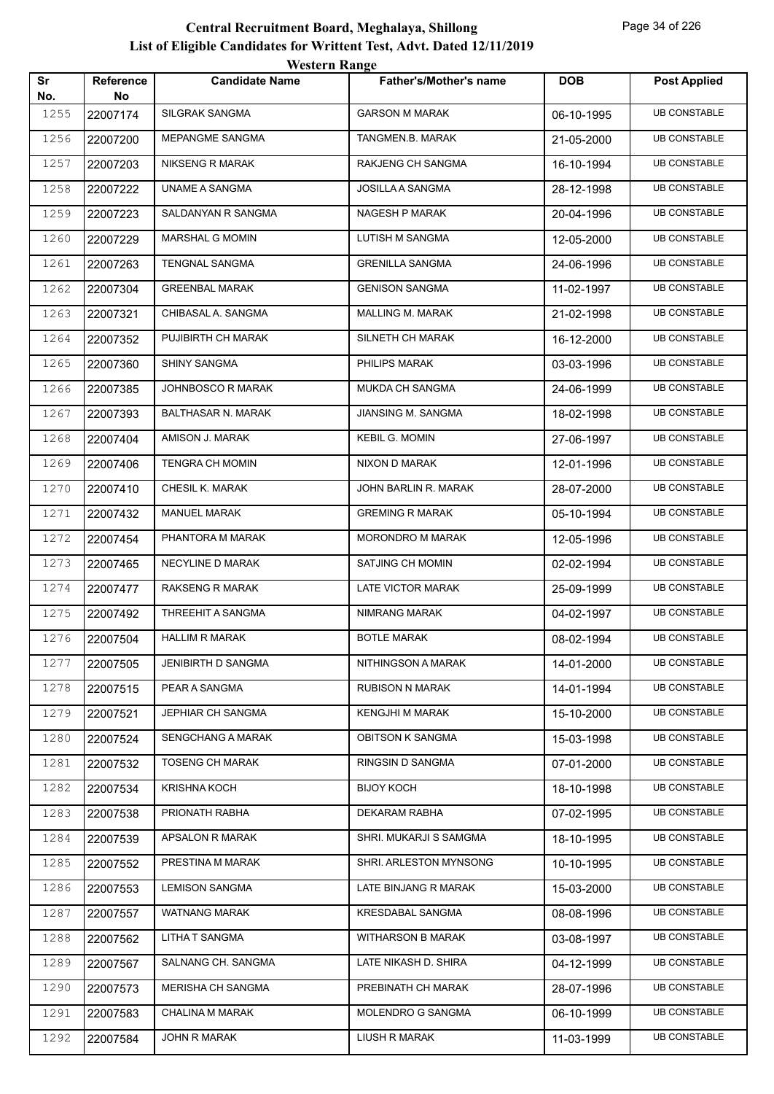|           |                        | <b>Western Range</b>      |                               |            |                     |
|-----------|------------------------|---------------------------|-------------------------------|------------|---------------------|
| Sr<br>No. | <b>Reference</b><br>No | <b>Candidate Name</b>     | <b>Father's/Mother's name</b> | <b>DOB</b> | <b>Post Applied</b> |
| 1255      | 22007174               | <b>SILGRAK SANGMA</b>     | <b>GARSON M MARAK</b>         | 06-10-1995 | <b>UB CONSTABLE</b> |
| 1256      | 22007200               | MEPANGME SANGMA           | TANGMEN.B. MARAK              | 21-05-2000 | <b>UB CONSTABLE</b> |
| 1257      | 22007203               | <b>NIKSENG R MARAK</b>    | RAKJENG CH SANGMA             | 16-10-1994 | <b>UB CONSTABLE</b> |
| 1258      | 22007222               | UNAME A SANGMA            | JOSILLA A SANGMA              | 28-12-1998 | <b>UB CONSTABLE</b> |
| 1259      | 22007223               | SALDANYAN R SANGMA        | <b>NAGESH P MARAK</b>         | 20-04-1996 | <b>UB CONSTABLE</b> |
| 1260      | 22007229               | MARSHAL G MOMIN           | <b>LUTISH M SANGMA</b>        | 12-05-2000 | <b>UB CONSTABLE</b> |
| 1261      | 22007263               | TENGNAL SANGMA            | <b>GRENILLA SANGMA</b>        | 24-06-1996 | <b>UB CONSTABLE</b> |
| 1262      | 22007304               | <b>GREENBAL MARAK</b>     | <b>GENISON SANGMA</b>         | 11-02-1997 | <b>UB CONSTABLE</b> |
| 1263      | 22007321               | CHIBASAL A. SANGMA        | MALLING M. MARAK              | 21-02-1998 | <b>UB CONSTABLE</b> |
| 1264      | 22007352               | PUJIBIRTH CH MARAK        | SILNETH CH MARAK              | 16-12-2000 | <b>UB CONSTABLE</b> |
| 1265      | 22007360               | <b>SHINY SANGMA</b>       | PHILIPS MARAK                 | 03-03-1996 | <b>UB CONSTABLE</b> |
| 1266      | 22007385               | JOHNBOSCO R MARAK         | MUKDA CH SANGMA               | 24-06-1999 | <b>UB CONSTABLE</b> |
| 1267      | 22007393               | <b>BALTHASAR N. MARAK</b> | JIANSING M. SANGMA            | 18-02-1998 | <b>UB CONSTABLE</b> |
| 1268      | 22007404               | AMISON J. MARAK           | <b>KEBIL G. MOMIN</b>         | 27-06-1997 | <b>UB CONSTABLE</b> |
| 1269      | 22007406               | <b>TENGRA CH MOMIN</b>    | NIXON D MARAK                 | 12-01-1996 | <b>UB CONSTABLE</b> |
| 1270      | 22007410               | CHESIL K. MARAK           | JOHN BARLIN R. MARAK          | 28-07-2000 | <b>UB CONSTABLE</b> |
| 1271      | 22007432               | <b>MANUEL MARAK</b>       | <b>GREMING R MARAK</b>        | 05-10-1994 | <b>UB CONSTABLE</b> |
| 1272      | 22007454               | PHANTORA M MARAK          | MORONDRO M MARAK              | 12-05-1996 | <b>UB CONSTABLE</b> |
| 1273      | 22007465               | NECYLINE D MARAK          | SATJING CH MOMIN              | 02-02-1994 | <b>UB CONSTABLE</b> |
| 1274      | 22007477               | <b>RAKSENG R MARAK</b>    | <b>LATE VICTOR MARAK</b>      | 25-09-1999 | <b>UB CONSTABLE</b> |
| 1275      | 22007492               | THREEHIT A SANGMA         | NIMRANG MARAK                 | 04-02-1997 | <b>UB CONSTABLE</b> |
| 1276      | 22007504               | <b>HALLIM R MARAK</b>     | <b>BOTLE MARAK</b>            | 08-02-1994 | <b>UB CONSTABLE</b> |
| 1277      | 22007505               | <b>JENIBIRTH D SANGMA</b> | NITHINGSON A MARAK            | 14-01-2000 | <b>UB CONSTABLE</b> |
| 1278      | 22007515               | PEAR A SANGMA             | <b>RUBISON N MARAK</b>        | 14-01-1994 | <b>UB CONSTABLE</b> |
| 1279      | 22007521               | <b>JEPHIAR CH SANGMA</b>  | <b>KENGJHI M MARAK</b>        | 15-10-2000 | <b>UB CONSTABLE</b> |
| 1280      | 22007524               | <b>SENGCHANG A MARAK</b>  | <b>OBITSON K SANGMA</b>       | 15-03-1998 | <b>UB CONSTABLE</b> |
| 1281      | 22007532               | <b>TOSENG CH MARAK</b>    | RINGSIN D SANGMA              | 07-01-2000 | <b>UB CONSTABLE</b> |
| 1282      | 22007534               | <b>KRISHNA KOCH</b>       | <b>BIJOY KOCH</b>             | 18-10-1998 | <b>UB CONSTABLE</b> |
| 1283      | 22007538               | PRIONATH RABHA            | DEKARAM RABHA                 | 07-02-1995 | <b>UB CONSTABLE</b> |
| 1284      | 22007539               | APSALON R MARAK           | SHRI. MUKARJI S SAMGMA        | 18-10-1995 | <b>UB CONSTABLE</b> |
| 1285      | 22007552               | PRESTINA M MARAK          | SHRI. ARLESTON MYNSONG        | 10-10-1995 | <b>UB CONSTABLE</b> |
| 1286      | 22007553               | <b>LEMISON SANGMA</b>     | LATE BINJANG R MARAK          | 15-03-2000 | <b>UB CONSTABLE</b> |
| 1287      | 22007557               | WATNANG MARAK             | KRESDABAL SANGMA              | 08-08-1996 | <b>UB CONSTABLE</b> |
| 1288      | 22007562               | <b>LITHA T SANGMA</b>     | <b>WITHARSON B MARAK</b>      | 03-08-1997 | <b>UB CONSTABLE</b> |
| 1289      | 22007567               | SALNANG CH. SANGMA        | LATE NIKASH D. SHIRA          | 04-12-1999 | <b>UB CONSTABLE</b> |
| 1290      | 22007573               | <b>MERISHA CH SANGMA</b>  | PREBINATH CH MARAK            | 28-07-1996 | <b>UB CONSTABLE</b> |
| 1291      | 22007583               | <b>CHALINA M MARAK</b>    | MOLENDRO G SANGMA             | 06-10-1999 | <b>UB CONSTABLE</b> |
| 1292      | 22007584               | JOHN R MARAK              | LIUSH R MARAK                 | 11-03-1999 | <b>UB CONSTABLE</b> |
|           |                        |                           |                               |            |                     |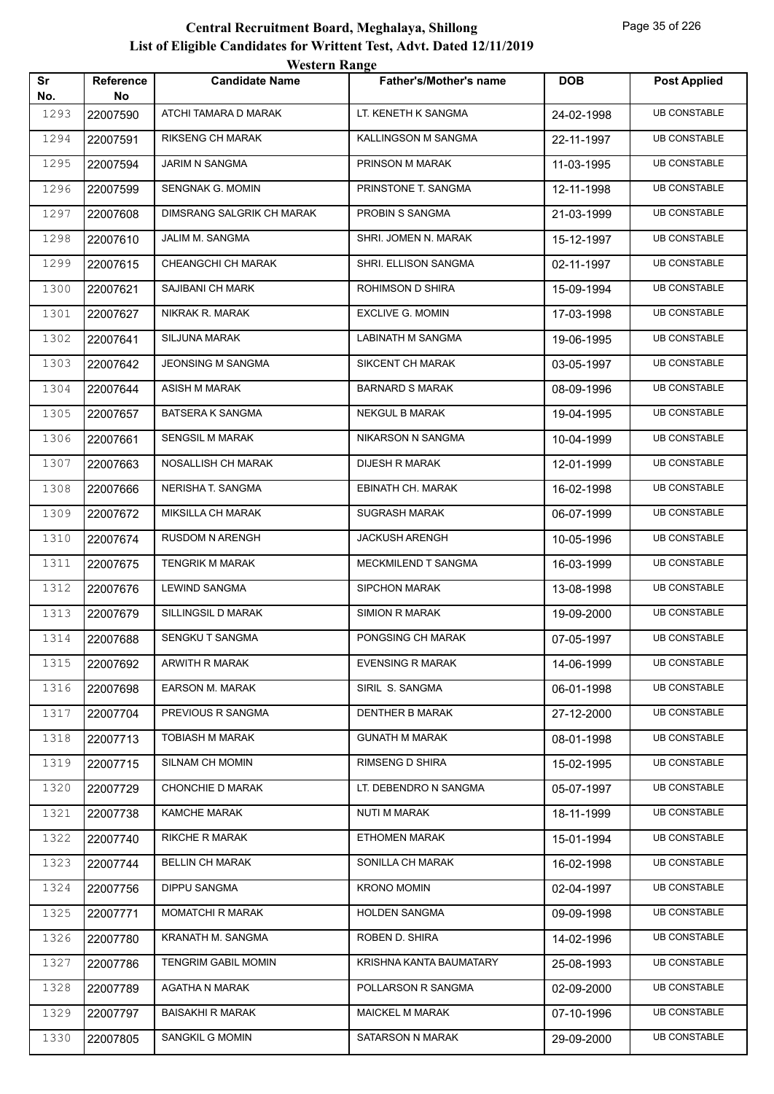|           |                        | <b>Western Range</b>             |                               |            |                     |
|-----------|------------------------|----------------------------------|-------------------------------|------------|---------------------|
| Sr<br>No. | <b>Reference</b><br>No | <b>Candidate Name</b>            | <b>Father's/Mother's name</b> | <b>DOB</b> | <b>Post Applied</b> |
| 1293      | 22007590               | ATCHI TAMARA D MARAK             | LT. KENETH K SANGMA           | 24-02-1998 | <b>UB CONSTABLE</b> |
| 1294      | 22007591               | <b>RIKSENG CH MARAK</b>          | KALLINGSON M SANGMA           | 22-11-1997 | <b>UB CONSTABLE</b> |
| 1295      | 22007594               | JARIM N SANGMA                   | PRINSON M MARAK               | 11-03-1995 | <b>UB CONSTABLE</b> |
| 1296      | 22007599               | <b>SENGNAK G. MOMIN</b>          | PRINSTONE T. SANGMA           | 12-11-1998 | <b>UB CONSTABLE</b> |
| 1297      | 22007608               | <b>DIMSRANG SALGRIK CH MARAK</b> | PROBIN S SANGMA               | 21-03-1999 | <b>UB CONSTABLE</b> |
| 1298      | 22007610               | JALIM M. SANGMA                  | SHRI. JOMEN N. MARAK          | 15-12-1997 | <b>UB CONSTABLE</b> |
| 1299      | 22007615               | CHEANGCHI CH MARAK               | SHRI. ELLISON SANGMA          | 02-11-1997 | <b>UB CONSTABLE</b> |
| 1300      | 22007621               | SAJIBANI CH MARK                 | ROHIMSON D SHIRA              | 15-09-1994 | <b>UB CONSTABLE</b> |
| 1301      | 22007627               | NIKRAK R. MARAK                  | <b>EXCLIVE G. MOMIN</b>       | 17-03-1998 | <b>UB CONSTABLE</b> |
| 1302      | 22007641               | <b>SILJUNA MARAK</b>             | <b>LABINATH M SANGMA</b>      | 19-06-1995 | <b>UB CONSTABLE</b> |
| 1303      | 22007642               | <b>JEONSING M SANGMA</b>         | SIKCENT CH MARAK              | 03-05-1997 | <b>UB CONSTABLE</b> |
| 1304      | 22007644               | <b>ASISH M MARAK</b>             | <b>BARNARD S MARAK</b>        | 08-09-1996 | <b>UB CONSTABLE</b> |
| 1305      | 22007657               | <b>BATSERA K SANGMA</b>          | <b>NEKGUL B MARAK</b>         | 19-04-1995 | <b>UB CONSTABLE</b> |
| 1306      | 22007661               | <b>SENGSIL M MARAK</b>           | NIKARSON N SANGMA             | 10-04-1999 | <b>UB CONSTABLE</b> |
| 1307      | 22007663               | NOSALLISH CH MARAK               | <b>DIJESH R MARAK</b>         | 12-01-1999 | <b>UB CONSTABLE</b> |
| 1308      | 22007666               | NERISHA T. SANGMA                | EBINATH CH. MARAK             | 16-02-1998 | <b>UB CONSTABLE</b> |
| 1309      | 22007672               | MIKSILLA CH MARAK                | <b>SUGRASH MARAK</b>          | 06-07-1999 | <b>UB CONSTABLE</b> |
| 1310      | 22007674               | RUSDOM N ARENGH                  | <b>JACKUSH ARENGH</b>         | 10-05-1996 | <b>UB CONSTABLE</b> |
| 1311      | 22007675               | <b>TENGRIK M MARAK</b>           | MECKMILEND T SANGMA           | 16-03-1999 | <b>UB CONSTABLE</b> |
| 1312      | 22007676               | <b>LEWIND SANGMA</b>             | <b>SIPCHON MARAK</b>          | 13-08-1998 | <b>UB CONSTABLE</b> |
| 1313      | 22007679               | SILLINGSIL D MARAK               | <b>SIMION R MARAK</b>         | 19-09-2000 | <b>UB CONSTABLE</b> |
| 1314      | 22007688               | SENGKU T SANGMA                  | PONGSING CH MARAK             | 07-05-1997 | <b>UB CONSTABLE</b> |
| 1315      | 22007692               | ARWITH R MARAK                   | <b>EVENSING R MARAK</b>       | 14-06-1999 | <b>UB CONSTABLE</b> |
| 1316      | 22007698               | <b>EARSON M. MARAK</b>           | SIRIL S. SANGMA               | 06-01-1998 | <b>UB CONSTABLE</b> |
| 1317      | 22007704               | PREVIOUS R SANGMA                | <b>DENTHER B MARAK</b>        | 27-12-2000 | <b>UB CONSTABLE</b> |
| 1318      | 22007713               | TOBIASH M MARAK                  | <b>GUNATH M MARAK</b>         | 08-01-1998 | <b>UB CONSTABLE</b> |
| 1319      | 22007715               | SILNAM CH MOMIN                  | RIMSENG D SHIRA               | 15-02-1995 | <b>UB CONSTABLE</b> |
| 1320      | 22007729               | CHONCHIE D MARAK                 | LT. DEBENDRO N SANGMA         | 05-07-1997 | <b>UB CONSTABLE</b> |
| 1321      | 22007738               | <b>KAMCHE MARAK</b>              | NUTI M MARAK                  | 18-11-1999 | <b>UB CONSTABLE</b> |
| 1322      | 22007740               | <b>RIKCHE R MARAK</b>            | <b>ETHOMEN MARAK</b>          | 15-01-1994 | <b>UB CONSTABLE</b> |
| 1323      | 22007744               | <b>BELLIN CH MARAK</b>           | SONILLA CH MARAK              | 16-02-1998 | <b>UB CONSTABLE</b> |
| 1324      | 22007756               | <b>DIPPU SANGMA</b>              | <b>KRONO MOMIN</b>            | 02-04-1997 | <b>UB CONSTABLE</b> |
| 1325      | 22007771               | <b>MOMATCHI R MARAK</b>          | <b>HOLDEN SANGMA</b>          | 09-09-1998 | <b>UB CONSTABLE</b> |
| 1326      | 22007780               | KRANATH M. SANGMA                | ROBEN D. SHIRA                | 14-02-1996 | <b>UB CONSTABLE</b> |
| 1327      | 22007786               | <b>TENGRIM GABIL MOMIN</b>       | KRISHNA KANTA BAUMATARY       | 25-08-1993 | <b>UB CONSTABLE</b> |
| 1328      | 22007789               | AGATHA N MARAK                   | POLLARSON R SANGMA            | 02-09-2000 | <b>UB CONSTABLE</b> |
| 1329      | 22007797               | <b>BAISAKHI R MARAK</b>          | <b>MAICKEL M MARAK</b>        | 07-10-1996 | <b>UB CONSTABLE</b> |
| 1330      | 22007805               | SANGKIL G MOMIN                  | SATARSON N MARAK              | 29-09-2000 | <b>UB CONSTABLE</b> |
|           |                        |                                  |                               |            |                     |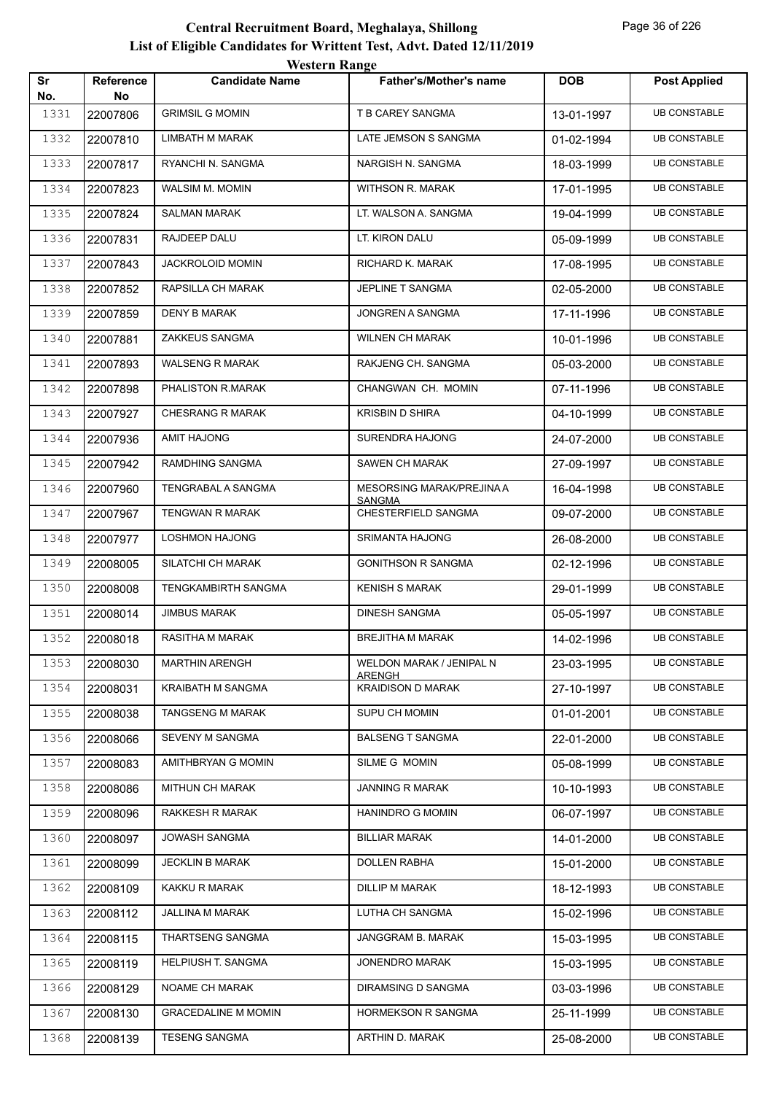|           |                        | western Range              |                                           |            |                     |
|-----------|------------------------|----------------------------|-------------------------------------------|------------|---------------------|
| Sr<br>No. | <b>Reference</b><br>No | <b>Candidate Name</b>      | <b>Father's/Mother's name</b>             | <b>DOB</b> | <b>Post Applied</b> |
| 1331      | 22007806               | <b>GRIMSIL G MOMIN</b>     | T B CAREY SANGMA                          | 13-01-1997 | <b>UB CONSTABLE</b> |
| 1332      | 22007810               | LIMBATH M MARAK            | LATE JEMSON S SANGMA                      | 01-02-1994 | <b>UB CONSTABLE</b> |
| 1333      | 22007817               | RYANCHI N. SANGMA          | NARGISH N. SANGMA                         | 18-03-1999 | <b>UB CONSTABLE</b> |
| 1334      | 22007823               | WALSIM M. MOMIN            | WITHSON R. MARAK                          | 17-01-1995 | <b>UB CONSTABLE</b> |
| 1335      | 22007824               | <b>SALMAN MARAK</b>        | LT. WALSON A. SANGMA                      | 19-04-1999 | <b>UB CONSTABLE</b> |
| 1336      | 22007831               | RAJDEEP DALU               | LT. KIRON DALU                            | 05-09-1999 | <b>UB CONSTABLE</b> |
| 1337      | 22007843               | JACKROLOID MOMIN           | RICHARD K. MARAK                          | 17-08-1995 | <b>UB CONSTABLE</b> |
| 1338      | 22007852               | RAPSILLA CH MARAK          | JEPLINE T SANGMA                          | 02-05-2000 | <b>UB CONSTABLE</b> |
| 1339      | 22007859               | <b>DENY B MARAK</b>        | JONGREN A SANGMA                          | 17-11-1996 | <b>UB CONSTABLE</b> |
| 1340      | 22007881               | ZAKKEUS SANGMA             | <b>WILNEN CH MARAK</b>                    | 10-01-1996 | <b>UB CONSTABLE</b> |
| 1341      | 22007893               | <b>WALSENG R MARAK</b>     | RAKJENG CH. SANGMA                        | 05-03-2000 | <b>UB CONSTABLE</b> |
| 1342      | 22007898               | PHALISTON R.MARAK          | CHANGWAN CH. MOMIN                        | 07-11-1996 | <b>UB CONSTABLE</b> |
| 1343      | 22007927               | CHESRANG R MARAK           | <b>KRISBIN D SHIRA</b>                    | 04-10-1999 | <b>UB CONSTABLE</b> |
| 1344      | 22007936               | <b>AMIT HAJONG</b>         | <b>SURENDRA HAJONG</b>                    | 24-07-2000 | <b>UB CONSTABLE</b> |
| 1345      | 22007942               | RAMDHING SANGMA            | SAWEN CH MARAK                            | 27-09-1997 | <b>UB CONSTABLE</b> |
| 1346      | 22007960               | TENGRABAL A SANGMA         | MESORSING MARAK/PREJINA A                 | 16-04-1998 | <b>UB CONSTABLE</b> |
| 1347      | 22007967               | TENGWAN R MARAK            | <b>SANGMA</b><br>CHESTERFIELD SANGMA      | 09-07-2000 | <b>UB CONSTABLE</b> |
| 1348      | 22007977               | <b>LOSHMON HAJONG</b>      | SRIMANTA HAJONG                           | 26-08-2000 | <b>UB CONSTABLE</b> |
| 1349      | 22008005               | SILATCHI CH MARAK          | <b>GONITHSON R SANGMA</b>                 | 02-12-1996 | <b>UB CONSTABLE</b> |
| 1350      | 22008008               | TENGKAMBIRTH SANGMA        | <b>KENISH S MARAK</b>                     | 29-01-1999 | <b>UB CONSTABLE</b> |
| 1351      | 22008014               | <b>JIMBUS MARAK</b>        | <b>DINESH SANGMA</b>                      | 05-05-1997 | <b>UB CONSTABLE</b> |
| 1352      | 22008018               | RASITHA M MARAK            | <b>BREJITHA M MARAK</b>                   | 14-02-1996 | <b>UB CONSTABLE</b> |
| 1353      | 22008030               | <b>MARTHIN ARENGH</b>      | WELDON MARAK / JENIPAL N                  | 23-03-1995 | <b>UB CONSTABLE</b> |
| 1354      | 22008031               | KRAIBATH M SANGMA          | <u>ARENGH</u><br><b>KRAIDISON D MARAK</b> | 27-10-1997 | <b>UB CONSTABLE</b> |
| 1355      | 22008038               | <b>TANGSENG M MARAK</b>    | SUPU CH MOMIN                             | 01-01-2001 | <b>UB CONSTABLE</b> |
| 1356      | 22008066               | SEVENY M SANGMA            | <b>BALSENG T SANGMA</b>                   | 22-01-2000 | <b>UB CONSTABLE</b> |
| 1357      | 22008083               | AMITHBRYAN G MOMIN         | SILME G MOMIN                             | 05-08-1999 | <b>UB CONSTABLE</b> |
| 1358      | 22008086               | <b>MITHUN CH MARAK</b>     | <b>JANNING R MARAK</b>                    | 10-10-1993 | <b>UB CONSTABLE</b> |
| 1359      | 22008096               | RAKKESH R MARAK            | <b>HANINDRO G MOMIN</b>                   | 06-07-1997 | <b>UB CONSTABLE</b> |
| 1360      | 22008097               | JOWASH SANGMA              | <b>BILLIAR MARAK</b>                      | 14-01-2000 | <b>UB CONSTABLE</b> |
| 1361      | 22008099               | <b>JECKLIN B MARAK</b>     | <b>DOLLEN RABHA</b>                       | 15-01-2000 | <b>UB CONSTABLE</b> |
| 1362      | 22008109               | KAKKU R MARAK              | <b>DILLIP M MARAK</b>                     | 18-12-1993 | <b>UB CONSTABLE</b> |
| 1363      | 22008112               | JALLINA M MARAK            | LUTHA CH SANGMA                           | 15-02-1996 | <b>UB CONSTABLE</b> |
| 1364      | 22008115               | THARTSENG SANGMA           | JANGGRAM B. MARAK                         | 15-03-1995 | <b>UB CONSTABLE</b> |
| 1365      | 22008119               | HELPIUSH T. SANGMA         | <b>JONENDRO MARAK</b>                     | 15-03-1995 | <b>UB CONSTABLE</b> |
| 1366      | 22008129               | NOAME CH MARAK             | DIRAMSING D SANGMA                        | 03-03-1996 | <b>UB CONSTABLE</b> |
| 1367      | 22008130               | <b>GRACEDALINE M MOMIN</b> | HORMEKSON R SANGMA                        | 25-11-1999 | <b>UB CONSTABLE</b> |
| 1368      | 22008139               | <b>TESENG SANGMA</b>       | ARTHIN D. MARAK                           | 25-08-2000 | <b>UB CONSTABLE</b> |
|           |                        |                            |                                           |            |                     |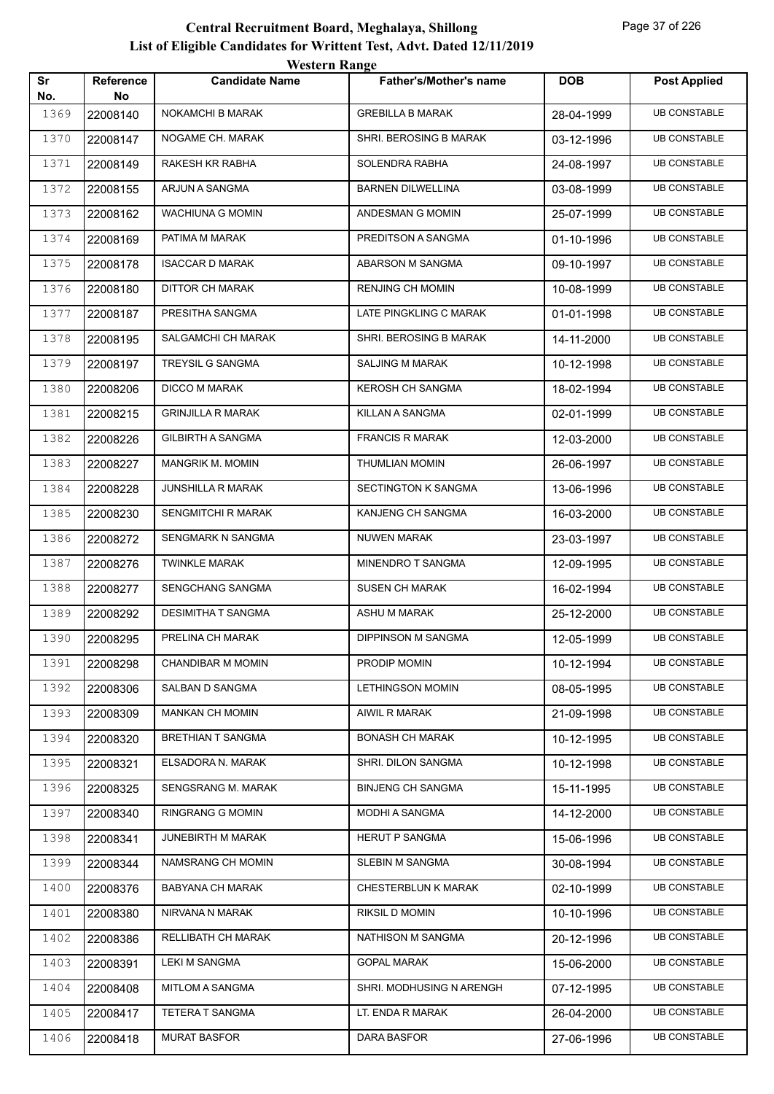|           |                        | <b>Western Range</b>      |                               |            |                     |  |  |
|-----------|------------------------|---------------------------|-------------------------------|------------|---------------------|--|--|
| Sr<br>No. | <b>Reference</b><br>No | <b>Candidate Name</b>     | <b>Father's/Mother's name</b> | <b>DOB</b> | <b>Post Applied</b> |  |  |
| 1369      | 22008140               | <b>NOKAMCHI B MARAK</b>   | <b>GREBILLA B MARAK</b>       | 28-04-1999 | <b>UB CONSTABLE</b> |  |  |
| 1370      | 22008147               | NOGAME CH. MARAK          | SHRI. BEROSING B MARAK        | 03-12-1996 | <b>UB CONSTABLE</b> |  |  |
| 1371      | 22008149               | RAKESH KR RABHA           | SOLENDRA RABHA                | 24-08-1997 | <b>UB CONSTABLE</b> |  |  |
| 1372      | 22008155               | ARJUN A SANGMA            | <b>BARNEN DILWELLINA</b>      | 03-08-1999 | <b>UB CONSTABLE</b> |  |  |
| 1373      | 22008162               | <b>WACHIUNA G MOMIN</b>   | ANDESMAN G MOMIN              | 25-07-1999 | <b>UB CONSTABLE</b> |  |  |
| 1374      | 22008169               | PATIMA M MARAK            | PREDITSON A SANGMA            | 01-10-1996 | <b>UB CONSTABLE</b> |  |  |
| 1375      | 22008178               | <b>ISACCAR D MARAK</b>    | ABARSON M SANGMA              | 09-10-1997 | <b>UB CONSTABLE</b> |  |  |
| 1376      | 22008180               | DITTOR CH MARAK           | <b>RENJING CH MOMIN</b>       | 10-08-1999 | <b>UB CONSTABLE</b> |  |  |
| 1377      | 22008187               | PRESITHA SANGMA           | LATE PINGKLING C MARAK        | 01-01-1998 | <b>UB CONSTABLE</b> |  |  |
| 1378      | 22008195               | SALGAMCHI CH MARAK        | SHRI. BEROSING B MARAK        | 14-11-2000 | <b>UB CONSTABLE</b> |  |  |
| 1379      | 22008197               | TREYSIL G SANGMA          | <b>SALJING M MARAK</b>        | 10-12-1998 | <b>UB CONSTABLE</b> |  |  |
| 1380      | 22008206               | <b>DICCO M MARAK</b>      | <b>KEROSH CH SANGMA</b>       | 18-02-1994 | <b>UB CONSTABLE</b> |  |  |
| 1381      | 22008215               | <b>GRINJILLA R MARAK</b>  | KILLAN A SANGMA               | 02-01-1999 | <b>UB CONSTABLE</b> |  |  |
| 1382      | 22008226               | <b>GILBIRTH A SANGMA</b>  | <b>FRANCIS R MARAK</b>        | 12-03-2000 | <b>UB CONSTABLE</b> |  |  |
| 1383      | 22008227               | <b>MANGRIK M. MOMIN</b>   | <b>THUMLIAN MOMIN</b>         | 26-06-1997 | <b>UB CONSTABLE</b> |  |  |
| 1384      | 22008228               | <b>JUNSHILLA R MARAK</b>  | <b>SECTINGTON K SANGMA</b>    | 13-06-1996 | <b>UB CONSTABLE</b> |  |  |
| 1385      | 22008230               | <b>SENGMITCHI R MARAK</b> | KANJENG CH SANGMA             | 16-03-2000 | <b>UB CONSTABLE</b> |  |  |
| 1386      | 22008272               | SENGMARK N SANGMA         | <b>NUWEN MARAK</b>            | 23-03-1997 | <b>UB CONSTABLE</b> |  |  |
| 1387      | 22008276               | <b>TWINKLE MARAK</b>      | MINENDRO T SANGMA             | 12-09-1995 | <b>UB CONSTABLE</b> |  |  |
| 1388      | 22008277               | SENGCHANG SANGMA          | <b>SUSEN CH MARAK</b>         | 16-02-1994 | <b>UB CONSTABLE</b> |  |  |
| 1389      | 22008292               | <b>DESIMITHA T SANGMA</b> | ASHU M MARAK                  | 25-12-2000 | <b>UB CONSTABLE</b> |  |  |
| 1390      | 22008295               | PRELINA CH MARAK          | <b>DIPPINSON M SANGMA</b>     | 12-05-1999 | <b>UB CONSTABLE</b> |  |  |
| 1391      | 22008298               | CHANDIBAR M MOMIN         | PRODIP MOMIN                  | 10-12-1994 | <b>UB CONSTABLE</b> |  |  |
| 1392      | 22008306               | SALBAN D SANGMA           | <b>LETHINGSON MOMIN</b>       | 08-05-1995 | <b>UB CONSTABLE</b> |  |  |
| 1393      | 22008309               | <b>MANKAN CH MOMIN</b>    | AIWIL R MARAK                 | 21-09-1998 | <b>UB CONSTABLE</b> |  |  |
| 1394      | 22008320               | <b>BRETHIAN T SANGMA</b>  | <b>BONASH CH MARAK</b>        | 10-12-1995 | <b>UB CONSTABLE</b> |  |  |
| 1395      | 22008321               | ELSADORA N. MARAK         | SHRI. DILON SANGMA            | 10-12-1998 | <b>UB CONSTABLE</b> |  |  |
| 1396      | 22008325               | SENGSRANG M. MARAK        | <b>BINJENG CH SANGMA</b>      | 15-11-1995 | <b>UB CONSTABLE</b> |  |  |
| 1397      | 22008340               | RINGRANG G MOMIN          | MODHI A SANGMA                | 14-12-2000 | <b>UB CONSTABLE</b> |  |  |
| 1398      | 22008341               | JUNEBIRTH M MARAK         | <b>HERUT P SANGMA</b>         | 15-06-1996 | <b>UB CONSTABLE</b> |  |  |
| 1399      | 22008344               | NAMSRANG CH MOMIN         | SLEBIN M SANGMA               | 30-08-1994 | <b>UB CONSTABLE</b> |  |  |
| 1400      | 22008376               | <b>BABYANA CH MARAK</b>   | <b>CHESTERBLUN K MARAK</b>    | 02-10-1999 | <b>UB CONSTABLE</b> |  |  |
| 1401      | 22008380               | NIRVANA N MARAK           | RIKSIL D MOMIN                | 10-10-1996 | <b>UB CONSTABLE</b> |  |  |
| 1402      | 22008386               | RELLIBATH CH MARAK        | NATHISON M SANGMA             | 20-12-1996 | <b>UB CONSTABLE</b> |  |  |
| 1403      | 22008391               | <b>LEKI M SANGMA</b>      | <b>GOPAL MARAK</b>            | 15-06-2000 | <b>UB CONSTABLE</b> |  |  |
| 1404      | 22008408               | MITLOM A SANGMA           | SHRI. MODHUSING N ARENGH      | 07-12-1995 | UB CONSTABLE        |  |  |
| 1405      | 22008417               | TETERA T SANGMA           | LT. ENDA R MARAK              | 26-04-2000 | <b>UB CONSTABLE</b> |  |  |
| 1406      | 22008418               | <b>MURAT BASFOR</b>       | DARA BASFOR                   | 27-06-1996 | <b>UB CONSTABLE</b> |  |  |
|           |                        |                           |                               |            |                     |  |  |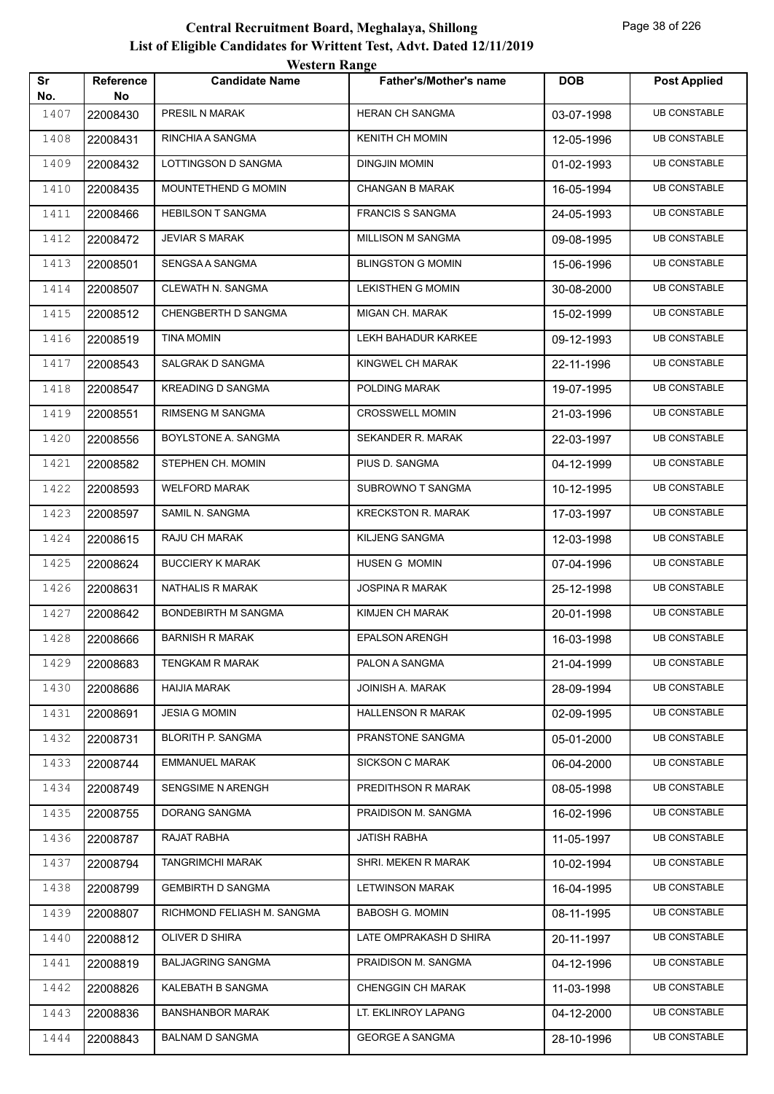|           |                        | <b>Western Range</b>       |                               |            |                     |  |  |
|-----------|------------------------|----------------------------|-------------------------------|------------|---------------------|--|--|
| Sr<br>No. | <b>Reference</b><br>No | <b>Candidate Name</b>      | <b>Father's/Mother's name</b> | <b>DOB</b> | <b>Post Applied</b> |  |  |
| 1407      | 22008430               | PRESIL N MARAK             | <b>HERAN CH SANGMA</b>        | 03-07-1998 | <b>UB CONSTABLE</b> |  |  |
| 1408      | 22008431               | RINCHIA A SANGMA           | <b>KENITH CH MOMIN</b>        | 12-05-1996 | <b>UB CONSTABLE</b> |  |  |
| 1409      | 22008432               | LOTTINGSON D SANGMA        | <b>DINGJIN MOMIN</b>          | 01-02-1993 | <b>UB CONSTABLE</b> |  |  |
| 1410      | 22008435               | <b>MOUNTETHEND G MOMIN</b> | <b>CHANGAN B MARAK</b>        | 16-05-1994 | <b>UB CONSTABLE</b> |  |  |
| 1411      | 22008466               | <b>HEBILSON T SANGMA</b>   | <b>FRANCIS S SANGMA</b>       | 24-05-1993 | <b>UB CONSTABLE</b> |  |  |
| 1412      | 22008472               | <b>JEVIAR S MARAK</b>      | MILLISON M SANGMA             | 09-08-1995 | <b>UB CONSTABLE</b> |  |  |
| 1413      | 22008501               | SENGSA A SANGMA            | <b>BLINGSTON G MOMIN</b>      | 15-06-1996 | <b>UB CONSTABLE</b> |  |  |
| 1414      | 22008507               | CLEWATH N. SANGMA          | <b>LEKISTHEN G MOMIN</b>      | 30-08-2000 | <b>UB CONSTABLE</b> |  |  |
| 1415      | 22008512               | CHENGBERTH D SANGMA        | MIGAN CH. MARAK               | 15-02-1999 | <b>UB CONSTABLE</b> |  |  |
| 1416      | 22008519               | TINA MOMIN                 | LEKH BAHADUR KARKEE           | 09-12-1993 | <b>UB CONSTABLE</b> |  |  |
| 1417      | 22008543               | SALGRAK D SANGMA           | KINGWEL CH MARAK              | 22-11-1996 | <b>UB CONSTABLE</b> |  |  |
| 1418      | 22008547               | <b>KREADING D SANGMA</b>   | POLDING MARAK                 | 19-07-1995 | <b>UB CONSTABLE</b> |  |  |
| 1419      | 22008551               | <b>RIMSENG M SANGMA</b>    | <b>CROSSWELL MOMIN</b>        | 21-03-1996 | <b>UB CONSTABLE</b> |  |  |
| 1420      | 22008556               | BOYLSTONE A. SANGMA        | SEKANDER R. MARAK             | 22-03-1997 | <b>UB CONSTABLE</b> |  |  |
| 1421      | 22008582               | STEPHEN CH. MOMIN          | PIUS D. SANGMA                | 04-12-1999 | <b>UB CONSTABLE</b> |  |  |
| 1422      | 22008593               | <b>WELFORD MARAK</b>       | SUBROWNO T SANGMA             | 10-12-1995 | <b>UB CONSTABLE</b> |  |  |
| 1423      | 22008597               | SAMIL N. SANGMA            | <b>KRECKSTON R. MARAK</b>     | 17-03-1997 | <b>UB CONSTABLE</b> |  |  |
| 1424      | 22008615               | RAJU CH MARAK              | <b>KILJENG SANGMA</b>         | 12-03-1998 | <b>UB CONSTABLE</b> |  |  |
| 1425      | 22008624               | <b>BUCCIERY K MARAK</b>    | <b>HUSEN G MOMIN</b>          | 07-04-1996 | <b>UB CONSTABLE</b> |  |  |
| 1426      | 22008631               | NATHALIS R MARAK           | <b>JOSPINA R MARAK</b>        | 25-12-1998 | <b>UB CONSTABLE</b> |  |  |
| 1427      | 22008642               | <b>BONDEBIRTH M SANGMA</b> | KIMJEN CH MARAK               | 20-01-1998 | <b>UB CONSTABLE</b> |  |  |
| 1428      | 22008666               | <b>BARNISH R MARAK</b>     | <b>EPALSON ARENGH</b>         | 16-03-1998 | <b>UB CONSTABLE</b> |  |  |
| 1429      | 22008683               | TENGKAM R MARAK            | PALON A SANGMA                | 21-04-1999 | <b>UB CONSTABLE</b> |  |  |
| 1430      | 22008686               | HAIJIA MARAK               | JOINISH A. MARAK              | 28-09-1994 | <b>UB CONSTABLE</b> |  |  |
| 1431      | 22008691               | <b>JESIA G MOMIN</b>       | <b>HALLENSON R MARAK</b>      | 02-09-1995 | <b>UB CONSTABLE</b> |  |  |
| 1432      | 22008731               | <b>BLORITH P. SANGMA</b>   | PRANSTONE SANGMA              | 05-01-2000 | <b>UB CONSTABLE</b> |  |  |
| 1433      | 22008744               | <b>EMMANUEL MARAK</b>      | <b>SICKSON C MARAK</b>        | 06-04-2000 | <b>UB CONSTABLE</b> |  |  |
| 1434      | 22008749               | SENGSIME N ARENGH          | PREDITHSON R MARAK            | 08-05-1998 | <b>UB CONSTABLE</b> |  |  |
| 1435      | 22008755               | DORANG SANGMA              | PRAIDISON M. SANGMA           | 16-02-1996 | <b>UB CONSTABLE</b> |  |  |
| 1436      | 22008787               | RAJAT RABHA                | <b>JATISH RABHA</b>           | 11-05-1997 | <b>UB CONSTABLE</b> |  |  |
| 1437      | 22008794               | <b>TANGRIMCHI MARAK</b>    | SHRI. MEKEN R MARAK           | 10-02-1994 | <b>UB CONSTABLE</b> |  |  |
| 1438      | 22008799               | <b>GEMBIRTH D SANGMA</b>   | <b>LETWINSON MARAK</b>        | 16-04-1995 | <b>UB CONSTABLE</b> |  |  |
| 1439      | 22008807               | RICHMOND FELIASH M. SANGMA | <b>BABOSH G. MOMIN</b>        | 08-11-1995 | <b>UB CONSTABLE</b> |  |  |
| 1440      | 22008812               | OLIVER D SHIRA             | LATE OMPRAKASH D SHIRA        | 20-11-1997 | <b>UB CONSTABLE</b> |  |  |
| 1441      | 22008819               | <b>BALJAGRING SANGMA</b>   | PRAIDISON M. SANGMA           | 04-12-1996 | <b>UB CONSTABLE</b> |  |  |
| 1442      | 22008826               | KALEBATH B SANGMA          | <b>CHENGGIN CH MARAK</b>      | 11-03-1998 | UB CONSTABLE        |  |  |
| 1443      | 22008836               | <b>BANSHANBOR MARAK</b>    | LT. EKLINROY LAPANG           | 04-12-2000 | <b>UB CONSTABLE</b> |  |  |
| 1444      | 22008843               | <b>BALNAM D SANGMA</b>     | <b>GEORGE A SANGMA</b>        | 28-10-1996 | <b>UB CONSTABLE</b> |  |  |
|           |                        |                            |                               |            |                     |  |  |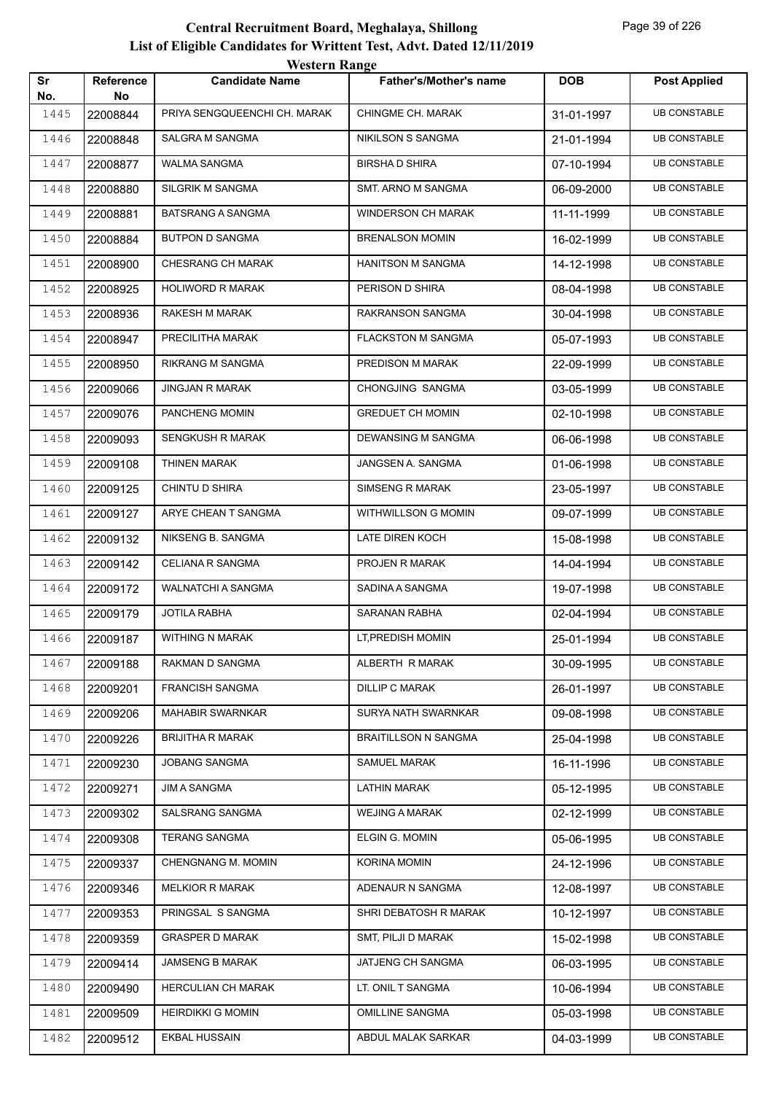|           |                 | western Range                |                               |            |                     |
|-----------|-----------------|------------------------------|-------------------------------|------------|---------------------|
| Sr<br>No. | Reference<br>No | <b>Candidate Name</b>        | <b>Father's/Mother's name</b> | <b>DOB</b> | <b>Post Applied</b> |
| 1445      | 22008844        | PRIYA SENGQUEENCHI CH. MARAK | <b>CHINGME CH. MARAK</b>      | 31-01-1997 | <b>UB CONSTABLE</b> |
| 1446      | 22008848        | SALGRA M SANGMA              | NIKILSON S SANGMA             | 21-01-1994 | <b>UB CONSTABLE</b> |
| 1447      | 22008877        | WALMA SANGMA                 | <b>BIRSHAD SHIRA</b>          | 07-10-1994 | <b>UB CONSTABLE</b> |
| 1448      | 22008880        | SILGRIK M SANGMA             | SMT. ARNO M SANGMA            | 06-09-2000 | <b>UB CONSTABLE</b> |
| 1449      | 22008881        | <b>BATSRANG A SANGMA</b>     | <b>WINDERSON CH MARAK</b>     | 11-11-1999 | <b>UB CONSTABLE</b> |
| 1450      | 22008884        | <b>BUTPON D SANGMA</b>       | <b>BRENALSON MOMIN</b>        | 16-02-1999 | <b>UB CONSTABLE</b> |
| 1451      | 22008900        | CHESRANG CH MARAK            | HANITSON M SANGMA             | 14-12-1998 | <b>UB CONSTABLE</b> |
| 1452      | 22008925        | HOLIWORD R MARAK             | PERISON D SHIRA               | 08-04-1998 | <b>UB CONSTABLE</b> |
| 1453      | 22008936        | RAKESH M MARAK               | RAKRANSON SANGMA              | 30-04-1998 | <b>UB CONSTABLE</b> |
| 1454      | 22008947        | PRECILITHA MARAK             | <b>FLACKSTON M SANGMA</b>     | 05-07-1993 | <b>UB CONSTABLE</b> |
| 1455      | 22008950        | <b>RIKRANG M SANGMA</b>      | PREDISON M MARAK              | 22-09-1999 | <b>UB CONSTABLE</b> |
| 1456      | 22009066        | <b>JINGJAN R MARAK</b>       | CHONGJING SANGMA              | 03-05-1999 | <b>UB CONSTABLE</b> |
| 1457      | 22009076        | PANCHENG MOMIN               | <b>GREDUET CH MOMIN</b>       | 02-10-1998 | <b>UB CONSTABLE</b> |
| 1458      | 22009093        | <b>SENGKUSH R MARAK</b>      | DEWANSING M SANGMA            | 06-06-1998 | <b>UB CONSTABLE</b> |
| 1459      | 22009108        | THINEN MARAK                 | JANGSEN A. SANGMA             | 01-06-1998 | <b>UB CONSTABLE</b> |
| 1460      | 22009125        | CHINTU D SHIRA               | <b>SIMSENG R MARAK</b>        | 23-05-1997 | <b>UB CONSTABLE</b> |
| 1461      | 22009127        | ARYE CHEAN T SANGMA          | WITHWILLSON G MOMIN           | 09-07-1999 | <b>UB CONSTABLE</b> |
| 1462      | 22009132        | NIKSENG B. SANGMA            | LATE DIREN KOCH               | 15-08-1998 | <b>UB CONSTABLE</b> |
| 1463      | 22009142        | CELIANA R SANGMA             | PROJEN R MARAK                | 14-04-1994 | <b>UB CONSTABLE</b> |
| 1464      | 22009172        | <b>WALNATCHI A SANGMA</b>    | SADINA A SANGMA               | 19-07-1998 | <b>UB CONSTABLE</b> |
| 1465      | 22009179        | JOTILA RABHA                 | SARANAN RABHA                 | 02-04-1994 | <b>UB CONSTABLE</b> |
| 1466      | 22009187        | <b>WITHING N MARAK</b>       | LT, PREDISH MOMIN             | 25-01-1994 | <b>UB CONSTABLE</b> |
| 1467      | 22009188        | RAKMAN D SANGMA              | ALBERTH R MARAK               | 30-09-1995 | <b>UB CONSTABLE</b> |
| 1468      | 22009201        | FRANCISH SANGMA              | DILLIP C MARAK                | 26-01-1997 | <b>UB CONSTABLE</b> |
| 1469      | 22009206        | <b>MAHABIR SWARNKAR</b>      | SURYA NATH SWARNKAR           | 09-08-1998 | <b>UB CONSTABLE</b> |
| 1470      | 22009226        | <b>BRIJITHA R MARAK</b>      | <b>BRAITILLSON N SANGMA</b>   | 25-04-1998 | <b>UB CONSTABLE</b> |
| 1471      | 22009230        | <b>JOBANG SANGMA</b>         | SAMUEL MARAK                  | 16-11-1996 | <b>UB CONSTABLE</b> |
| 1472      | 22009271        | JIM A SANGMA                 | LATHIN MARAK                  | 05-12-1995 | <b>UB CONSTABLE</b> |
| 1473      | 22009302        | SALSRANG SANGMA              | <b>WEJING A MARAK</b>         | 02-12-1999 | <b>UB CONSTABLE</b> |
| 1474      | 22009308        | <b>TERANG SANGMA</b>         | ELGIN G. MOMIN                | 05-06-1995 | <b>UB CONSTABLE</b> |
| 1475      | 22009337        | CHENGNANG M. MOMIN           | KORINA MOMIN                  | 24-12-1996 | <b>UB CONSTABLE</b> |
| 1476      | 22009346        | <b>MELKIOR R MARAK</b>       | ADENAUR N SANGMA              | 12-08-1997 | <b>UB CONSTABLE</b> |
| 1477      | 22009353        | PRINGSAL S SANGMA            | SHRI DEBATOSH R MARAK         | 10-12-1997 | <b>UB CONSTABLE</b> |
| 1478      | 22009359        | <b>GRASPER D MARAK</b>       | SMT, PILJI D MARAK            | 15-02-1998 | <b>UB CONSTABLE</b> |
| 1479      | 22009414        | JAMSENG B MARAK              | JATJENG CH SANGMA             | 06-03-1995 | <b>UB CONSTABLE</b> |
| 1480      | 22009490        | <b>HERCULIAN CH MARAK</b>    | LT. ONIL T SANGMA             | 10-06-1994 | <b>UB CONSTABLE</b> |
| 1481      | 22009509        | <b>HEIRDIKKI G MOMIN</b>     | <b>OMILLINE SANGMA</b>        | 05-03-1998 | <b>UB CONSTABLE</b> |
| 1482      | 22009512        | EKBAL HUSSAIN                | ABDUL MALAK SARKAR            | 04-03-1999 | <b>UB CONSTABLE</b> |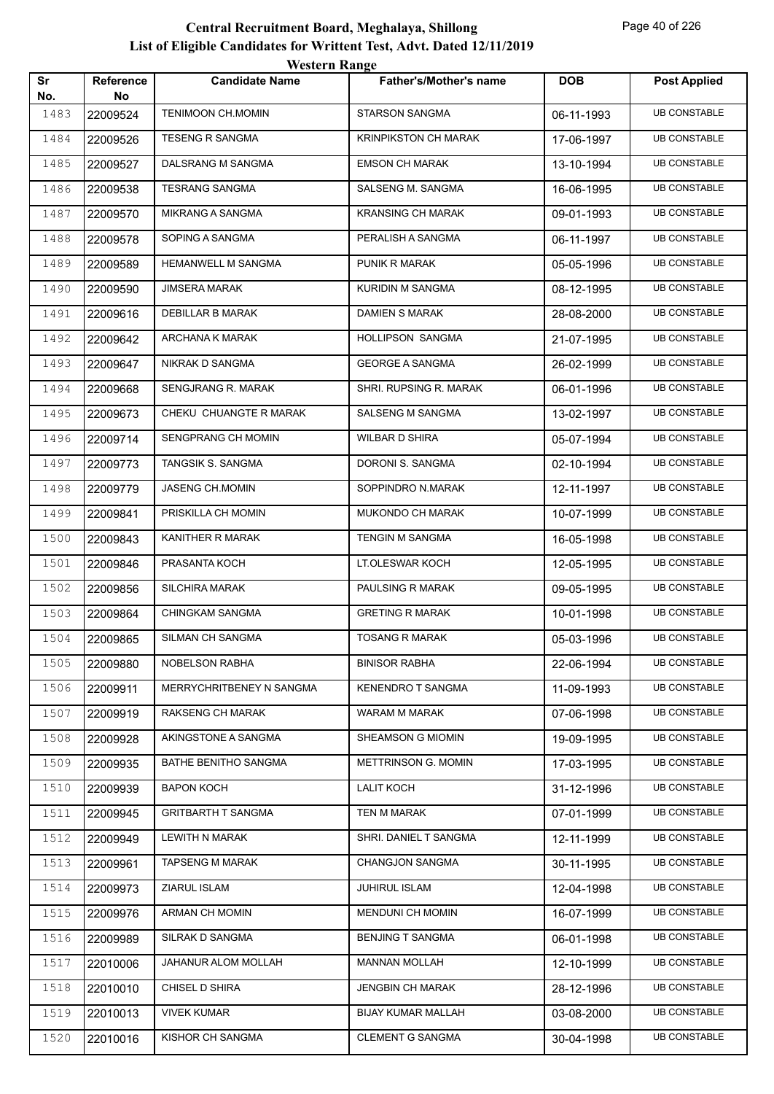| Sr   | Reference | <b><i>WESTER INARRY</i></b><br><b>Candidate Name</b> | <b>Father's/Mother's name</b> | <b>DOB</b> | <b>Post Applied</b> |
|------|-----------|------------------------------------------------------|-------------------------------|------------|---------------------|
| No.  | No        |                                                      |                               |            |                     |
| 1483 | 22009524  | <b>TENIMOON CH.MOMIN</b>                             | <b>STARSON SANGMA</b>         | 06-11-1993 | <b>UB CONSTABLE</b> |
| 1484 | 22009526  | <b>TESENG R SANGMA</b>                               | KRINPIKSTON CH MARAK          | 17-06-1997 | <b>UB CONSTABLE</b> |
| 1485 | 22009527  | DALSRANG M SANGMA                                    | <b>EMSON CH MARAK</b>         | 13-10-1994 | <b>UB CONSTABLE</b> |
| 1486 | 22009538  | <b>TESRANG SANGMA</b>                                | SALSENG M. SANGMA             | 16-06-1995 | <b>UB CONSTABLE</b> |
| 1487 | 22009570  | <b>MIKRANG A SANGMA</b>                              | <b>KRANSING CH MARAK</b>      | 09-01-1993 | <b>UB CONSTABLE</b> |
| 1488 | 22009578  | SOPING A SANGMA                                      | PERALISH A SANGMA             | 06-11-1997 | <b>UB CONSTABLE</b> |
| 1489 | 22009589  | <b>HEMANWELL M SANGMA</b>                            | PUNIK R MARAK                 | 05-05-1996 | <b>UB CONSTABLE</b> |
| 1490 | 22009590  | <b>JIMSERA MARAK</b>                                 | KURIDIN M SANGMA              | 08-12-1995 | <b>UB CONSTABLE</b> |
| 1491 | 22009616  | DEBILLAR B MARAK                                     | <b>DAMIEN S MARAK</b>         | 28-08-2000 | <b>UB CONSTABLE</b> |
| 1492 | 22009642  | ARCHANA K MARAK                                      | HOLLIPSON SANGMA              | 21-07-1995 | <b>UB CONSTABLE</b> |
| 1493 | 22009647  | NIKRAK D SANGMA                                      | <b>GEORGE A SANGMA</b>        | 26-02-1999 | <b>UB CONSTABLE</b> |
| 1494 | 22009668  | SENGJRANG R. MARAK                                   | SHRI. RUPSING R. MARAK        | 06-01-1996 | <b>UB CONSTABLE</b> |
| 1495 | 22009673  | CHEKU CHUANGTE R MARAK                               | SALSENG M SANGMA              | 13-02-1997 | <b>UB CONSTABLE</b> |
| 1496 | 22009714  | SENGPRANG CH MOMIN                                   | <b>WILBAR D SHIRA</b>         | 05-07-1994 | <b>UB CONSTABLE</b> |
| 1497 | 22009773  | TANGSIK S. SANGMA                                    | DORONI S. SANGMA              | 02-10-1994 | <b>UB CONSTABLE</b> |
| 1498 | 22009779  | JASENG CH.MOMIN                                      | SOPPINDRO N.MARAK             | 12-11-1997 | <b>UB CONSTABLE</b> |
| 1499 | 22009841  | PRISKILLA CH MOMIN                                   | MUKONDO CH MARAK              | 10-07-1999 | <b>UB CONSTABLE</b> |
| 1500 | 22009843  | KANITHER R MARAK                                     | <b>TENGIN M SANGMA</b>        | 16-05-1998 | <b>UB CONSTABLE</b> |
| 1501 | 22009846  | PRASANTA KOCH                                        | LT.OLESWAR KOCH               | 12-05-1995 | <b>UB CONSTABLE</b> |
| 1502 | 22009856  | <b>SILCHIRA MARAK</b>                                | PAULSING R MARAK              | 09-05-1995 | <b>UB CONSTABLE</b> |
| 1503 | 22009864  | <b>CHINGKAM SANGMA</b>                               | <b>GRETING R MARAK</b>        | 10-01-1998 | <b>UB CONSTABLE</b> |
| 1504 | 22009865  | SILMAN CH SANGMA                                     | <b>TOSANG R MARAK</b>         | 05-03-1996 | <b>UB CONSTABLE</b> |
| 1505 | 22009880  | NOBELSON RABHA                                       | <b>BINISOR RABHA</b>          | 22-06-1994 | <b>UB CONSTABLE</b> |
| 1506 | 22009911  | MERRYCHRITBENEY N SANGMA                             | <b>KENENDRO T SANGMA</b>      | 11-09-1993 | <b>UB CONSTABLE</b> |
| 1507 | 22009919  | <b>RAKSENG CH MARAK</b>                              | WARAM M MARAK                 | 07-06-1998 | <b>UB CONSTABLE</b> |
| 1508 | 22009928  | AKINGSTONE A SANGMA                                  | SHEAMSON G MIOMIN             | 19-09-1995 | <b>UB CONSTABLE</b> |
| 1509 | 22009935  | BATHE BENITHO SANGMA                                 | METTRINSON G. MOMIN           | 17-03-1995 | <b>UB CONSTABLE</b> |
| 1510 | 22009939  | <b>BAPON KOCH</b>                                    | <b>LALIT KOCH</b>             | 31-12-1996 | <b>UB CONSTABLE</b> |
| 1511 | 22009945  | <b>GRITBARTH T SANGMA</b>                            | TEN M MARAK                   | 07-01-1999 | <b>UB CONSTABLE</b> |
| 1512 | 22009949  | LEWITH N MARAK                                       | SHRI. DANIEL T SANGMA         | 12-11-1999 | <b>UB CONSTABLE</b> |
| 1513 | 22009961  | <b>TAPSENG M MARAK</b>                               | CHANGJON SANGMA               | 30-11-1995 | <b>UB CONSTABLE</b> |
| 1514 | 22009973  | ZIARUL ISLAM                                         | <b>JUHIRUL ISLAM</b>          | 12-04-1998 | <b>UB CONSTABLE</b> |
| 1515 | 22009976  | ARMAN CH MOMIN                                       | <b>MENDUNI CH MOMIN</b>       | 16-07-1999 | <b>UB CONSTABLE</b> |
| 1516 | 22009989  | SILRAK D SANGMA                                      | <b>BENJING T SANGMA</b>       | 06-01-1998 | <b>UB CONSTABLE</b> |
| 1517 | 22010006  | JAHANUR ALOM MOLLAH                                  | <b>MANNAN MOLLAH</b>          | 12-10-1999 | <b>UB CONSTABLE</b> |
| 1518 | 22010010  | CHISEL D SHIRA                                       | <b>JENGBIN CH MARAK</b>       | 28-12-1996 | <b>UB CONSTABLE</b> |
| 1519 | 22010013  | VIVEK KUMAR                                          | BIJAY KUMAR MALLAH            | 03-08-2000 | <b>UB CONSTABLE</b> |
| 1520 | 22010016  | KISHOR CH SANGMA                                     | <b>CLEMENT G SANGMA</b>       | 30-04-1998 | <b>UB CONSTABLE</b> |
|      |           |                                                      |                               |            |                     |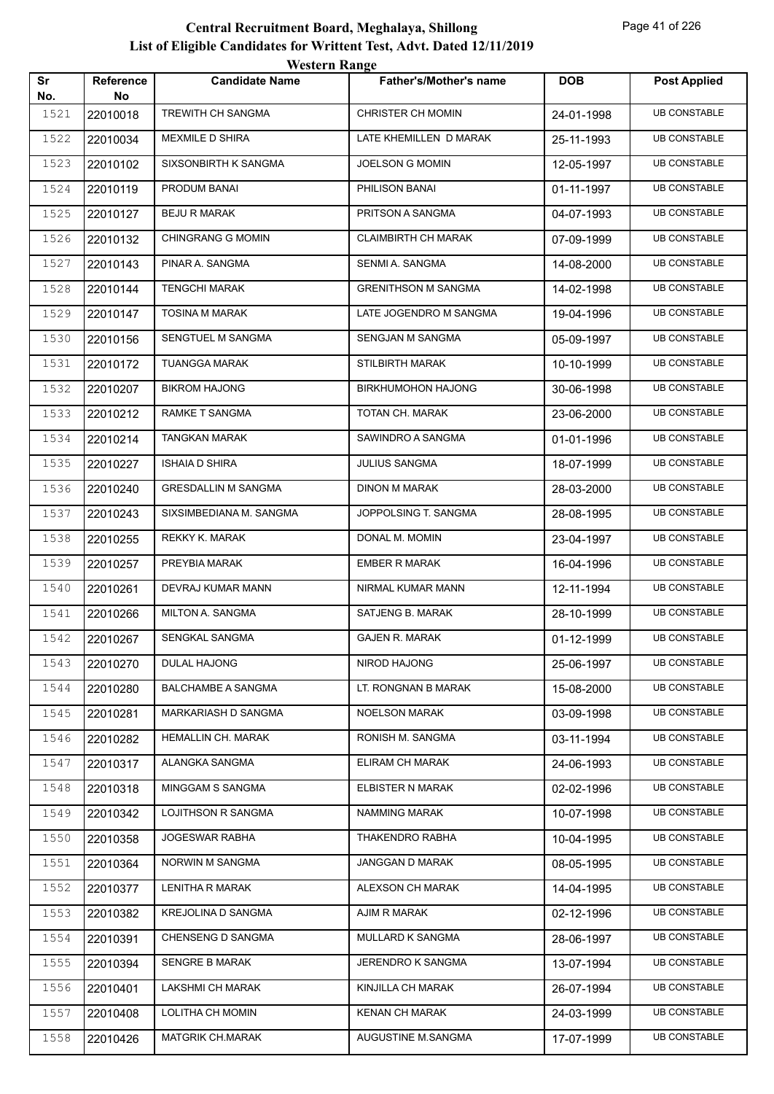|           |                 | western Kange              |                               |            |                     |
|-----------|-----------------|----------------------------|-------------------------------|------------|---------------------|
| Sr<br>No. | Reference<br>No | <b>Candidate Name</b>      | <b>Father's/Mother's name</b> | <b>DOB</b> | <b>Post Applied</b> |
| 1521      | 22010018        | <b>TREWITH CH SANGMA</b>   | <b>CHRISTER CH MOMIN</b>      | 24-01-1998 | <b>UB CONSTABLE</b> |
| 1522      | 22010034        | MEXMILE D SHIRA            | LATE KHEMILLEN D MARAK        | 25-11-1993 | <b>UB CONSTABLE</b> |
| 1523      | 22010102        | SIXSONBIRTH K SANGMA       | JOELSON G MOMIN               | 12-05-1997 | <b>UB CONSTABLE</b> |
| 1524      | 22010119        | PRODUM BANAI               | PHILISON BANAI                | 01-11-1997 | <b>UB CONSTABLE</b> |
| 1525      | 22010127        | <b>BEJU R MARAK</b>        | PRITSON A SANGMA              | 04-07-1993 | <b>UB CONSTABLE</b> |
| 1526      | 22010132        | <b>CHINGRANG G MOMIN</b>   | <b>CLAIMBIRTH CH MARAK</b>    | 07-09-1999 | <b>UB CONSTABLE</b> |
| 1527      | 22010143        | PINAR A. SANGMA            | SENMI A. SANGMA               | 14-08-2000 | <b>UB CONSTABLE</b> |
| 1528      | 22010144        | <b>TENGCHI MARAK</b>       | <b>GRENITHSON M SANGMA</b>    | 14-02-1998 | <b>UB CONSTABLE</b> |
| 1529      | 22010147        | <b>TOSINA M MARAK</b>      | LATE JOGENDRO M SANGMA        | 19-04-1996 | <b>UB CONSTABLE</b> |
| 1530      | 22010156        | SENGTUEL M SANGMA          | SENGJAN M SANGMA              | 05-09-1997 | <b>UB CONSTABLE</b> |
| 1531      | 22010172        | <b>TUANGGA MARAK</b>       | <b>STILBIRTH MARAK</b>        | 10-10-1999 | <b>UB CONSTABLE</b> |
| 1532      | 22010207        | <b>BIKROM HAJONG</b>       | <b>BIRKHUMOHON HAJONG</b>     | 30-06-1998 | <b>UB CONSTABLE</b> |
| 1533      | 22010212        | RAMKE T SANGMA             | TOTAN CH. MARAK               | 23-06-2000 | <b>UB CONSTABLE</b> |
| 1534      | 22010214        | <b>TANGKAN MARAK</b>       | SAWINDRO A SANGMA             | 01-01-1996 | <b>UB CONSTABLE</b> |
| 1535      | 22010227        | <b>ISHAIA D SHIRA</b>      | <b>JULIUS SANGMA</b>          | 18-07-1999 | <b>UB CONSTABLE</b> |
| 1536      | 22010240        | <b>GRESDALLIN M SANGMA</b> | DINON M MARAK                 | 28-03-2000 | <b>UB CONSTABLE</b> |
| 1537      | 22010243        | SIXSIMBEDIANA M. SANGMA    | JOPPOLSING T. SANGMA          | 28-08-1995 | <b>UB CONSTABLE</b> |
| 1538      | 22010255        | REKKY K. MARAK             | DONAL M. MOMIN                | 23-04-1997 | <b>UB CONSTABLE</b> |
| 1539      | 22010257        | PREYBIA MARAK              | <b>EMBER R MARAK</b>          | 16-04-1996 | <b>UB CONSTABLE</b> |
| 1540      | 22010261        | DEVRAJ KUMAR MANN          | NIRMAL KUMAR MANN             | 12-11-1994 | <b>UB CONSTABLE</b> |
| 1541      | 22010266        | <b>MILTON A. SANGMA</b>    | SATJENG B. MARAK              | 28-10-1999 | <b>UB CONSTABLE</b> |
| 1542      | 22010267        | SENGKAL SANGMA             | <b>GAJEN R. MARAK</b>         | 01-12-1999 | <b>UB CONSTABLE</b> |
| 1543      | 22010270        | DULAL HAJONG               | NIROD HAJONG                  | 25-06-1997 | <b>UB CONSTABLE</b> |
| 1544      | 22010280        | <b>BALCHAMBE A SANGMA</b>  | LT. RONGNAN B MARAK           | 15-08-2000 | <b>UB CONSTABLE</b> |
| 1545      | 22010281        | MARKARIASH D SANGMA        | <b>NOELSON MARAK</b>          | 03-09-1998 | <b>UB CONSTABLE</b> |
| 1546      | 22010282        | HEMALLIN CH. MARAK         | RONISH M. SANGMA              | 03-11-1994 | <b>UB CONSTABLE</b> |
| 1547      | 22010317        | ALANGKA SANGMA             | ELIRAM CH MARAK               | 24-06-1993 | <b>UB CONSTABLE</b> |
| 1548      | 22010318        | MINGGAM S SANGMA           | ELBISTER N MARAK              | 02-02-1996 | <b>UB CONSTABLE</b> |
| 1549      | 22010342        | LOJITHSON R SANGMA         | NAMMING MARAK                 | 10-07-1998 | <b>UB CONSTABLE</b> |
| 1550      | 22010358        | JOGESWAR RABHA             | THAKENDRO RABHA               | 10-04-1995 | <b>UB CONSTABLE</b> |
| 1551      | 22010364        | NORWIN M SANGMA            | JANGGAN D MARAK               | 08-05-1995 | <b>UB CONSTABLE</b> |
| 1552      | 22010377        | LENITHA R MARAK            | ALEXSON CH MARAK              | 14-04-1995 | <b>UB CONSTABLE</b> |
| 1553      | 22010382        | KREJOLINA D SANGMA         | AJIM R MARAK                  | 02-12-1996 | <b>UB CONSTABLE</b> |
| 1554      | 22010391        | CHENSENG D SANGMA          | MULLARD K SANGMA              | 28-06-1997 | <b>UB CONSTABLE</b> |
| 1555      | 22010394        | <b>SENGRE B MARAK</b>      | JERENDRO K SANGMA             | 13-07-1994 | <b>UB CONSTABLE</b> |
| 1556      | 22010401        | LAKSHMI CH MARAK           | KINJILLA CH MARAK             | 26-07-1994 | <b>UB CONSTABLE</b> |
| 1557      | 22010408        | LOLITHA CH MOMIN           | <b>KENAN CH MARAK</b>         | 24-03-1999 | <b>UB CONSTABLE</b> |
| 1558      | 22010426        | MATGRIK CH.MARAK           | AUGUSTINE M.SANGMA            | 17-07-1999 | <b>UB CONSTABLE</b> |
|           |                 |                            |                               |            |                     |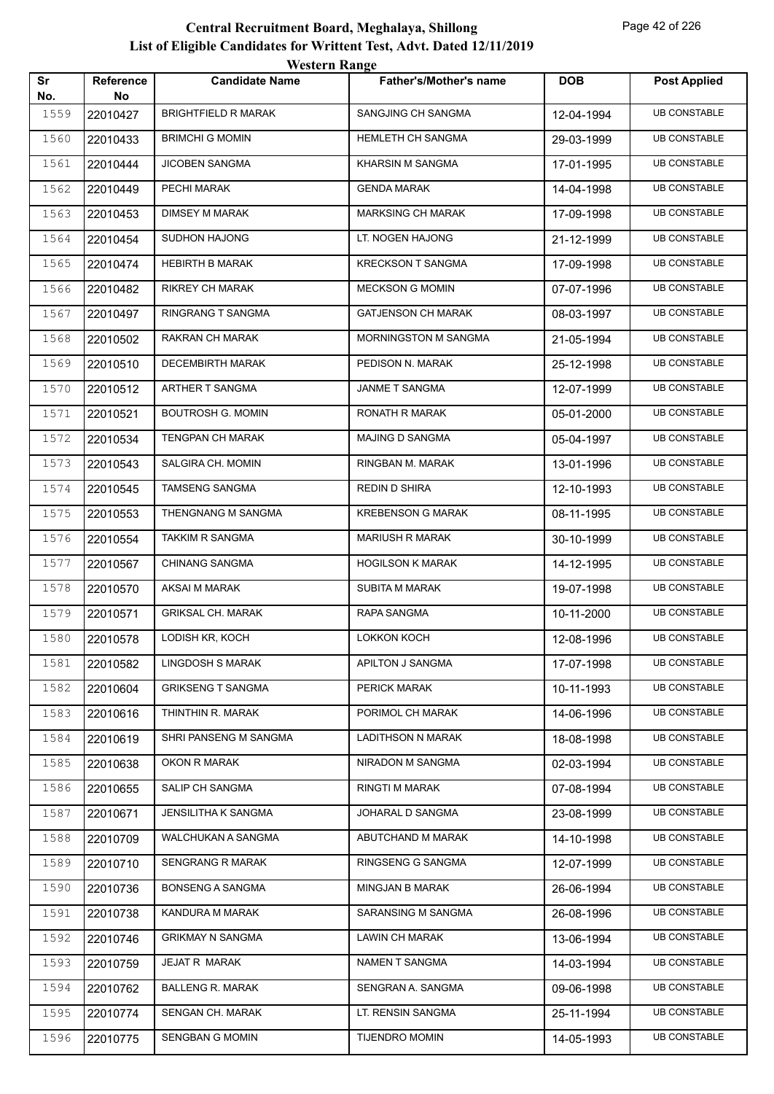|           |                 | western Kange              |                               |            |                     |
|-----------|-----------------|----------------------------|-------------------------------|------------|---------------------|
| Sr<br>No. | Reference<br>No | <b>Candidate Name</b>      | <b>Father's/Mother's name</b> | <b>DOB</b> | <b>Post Applied</b> |
| 1559      | 22010427        | <b>BRIGHTFIELD R MARAK</b> | SANGJING CH SANGMA            | 12-04-1994 | <b>UB CONSTABLE</b> |
| 1560      | 22010433        | <b>BRIMCHI G MOMIN</b>     | HEMLETH CH SANGMA             | 29-03-1999 | <b>UB CONSTABLE</b> |
| 1561      | 22010444        | JICOBEN SANGMA             | KHARSIN M SANGMA              | 17-01-1995 | <b>UB CONSTABLE</b> |
| 1562      | 22010449        | PECHI MARAK                | <b>GENDA MARAK</b>            | 14-04-1998 | <b>UB CONSTABLE</b> |
| 1563      | 22010453        | <b>DIMSEY M MARAK</b>      | <b>MARKSING CH MARAK</b>      | 17-09-1998 | <b>UB CONSTABLE</b> |
| 1564      | 22010454        | <b>SUDHON HAJONG</b>       | LT. NOGEN HAJONG              | 21-12-1999 | <b>UB CONSTABLE</b> |
| 1565      | 22010474        | <b>HEBIRTH B MARAK</b>     | <b>KRECKSON T SANGMA</b>      | 17-09-1998 | <b>UB CONSTABLE</b> |
| 1566      | 22010482        | <b>RIKREY CH MARAK</b>     | <b>MECKSON G MOMIN</b>        | 07-07-1996 | <b>UB CONSTABLE</b> |
| 1567      | 22010497        | RINGRANG T SANGMA          | <b>GATJENSON CH MARAK</b>     | 08-03-1997 | <b>UB CONSTABLE</b> |
| 1568      | 22010502        | RAKRAN CH MARAK            | <b>MORNINGSTON M SANGMA</b>   | 21-05-1994 | <b>UB CONSTABLE</b> |
| 1569      | 22010510        | <b>DECEMBIRTH MARAK</b>    | PEDISON N. MARAK              | 25-12-1998 | <b>UB CONSTABLE</b> |
| 1570      | 22010512        | ARTHER T SANGMA            | <b>JANME T SANGMA</b>         | 12-07-1999 | <b>UB CONSTABLE</b> |
| 1571      | 22010521        | <b>BOUTROSH G. MOMIN</b>   | RONATH R MARAK                | 05-01-2000 | <b>UB CONSTABLE</b> |
| 1572      | 22010534        | <b>TENGPAN CH MARAK</b>    | MAJING D SANGMA               | 05-04-1997 | <b>UB CONSTABLE</b> |
| 1573      | 22010543        | SALGIRA CH. MOMIN          | RINGBAN M. MARAK              | 13-01-1996 | <b>UB CONSTABLE</b> |
| 1574      | 22010545        | TAMSENG SANGMA             | REDIN D SHIRA                 | 12-10-1993 | <b>UB CONSTABLE</b> |
| 1575      | 22010553        | THENGNANG M SANGMA         | <b>KREBENSON G MARAK</b>      | 08-11-1995 | <b>UB CONSTABLE</b> |
| 1576      | 22010554        | <b>TAKKIM R SANGMA</b>     | <b>MARIUSH R MARAK</b>        | 30-10-1999 | <b>UB CONSTABLE</b> |
| 1577      | 22010567        | <b>CHINANG SANGMA</b>      | <b>HOGILSON K MARAK</b>       | 14-12-1995 | <b>UB CONSTABLE</b> |
| 1578      | 22010570        | AKSAI M MARAK              | <b>SUBITA M MARAK</b>         | 19-07-1998 | <b>UB CONSTABLE</b> |
| 1579      | 22010571        | <b>GRIKSAL CH. MARAK</b>   | RAPA SANGMA                   | 10-11-2000 | <b>UB CONSTABLE</b> |
| 1580      | 22010578        | LODISH KR, KOCH            | LOKKON KOCH                   | 12-08-1996 | <b>UB CONSTABLE</b> |
| 1581      | 22010582        | LINGDOSH S MARAK           | APILTON J SANGMA              | 17-07-1998 | <b>UB CONSTABLE</b> |
| 1582      | 22010604        | <b>GRIKSENG T SANGMA</b>   | PERICK MARAK                  | 10-11-1993 | <b>UB CONSTABLE</b> |
| 1583      | 22010616        | THINTHIN R. MARAK          | PORIMOL CH MARAK              | 14-06-1996 | <b>UB CONSTABLE</b> |
| 1584      | 22010619        | SHRI PANSENG M SANGMA      | <b>LADITHSON N MARAK</b>      | 18-08-1998 | <b>UB CONSTABLE</b> |
| 1585      | 22010638        | OKON R MARAK               | NIRADON M SANGMA              | 02-03-1994 | <b>UB CONSTABLE</b> |
| 1586      | 22010655        | SALIP CH SANGMA            | RINGTI M MARAK                | 07-08-1994 | <b>UB CONSTABLE</b> |
| 1587      | 22010671        | <b>JENSILITHA K SANGMA</b> | JOHARAL D SANGMA              | 23-08-1999 | <b>UB CONSTABLE</b> |
| 1588      | 22010709        | WALCHUKAN A SANGMA         | ABUTCHAND M MARAK             | 14-10-1998 | <b>UB CONSTABLE</b> |
| 1589      | 22010710        | SENGRANG R MARAK           | RINGSENG G SANGMA             | 12-07-1999 | <b>UB CONSTABLE</b> |
| 1590      | 22010736        | <b>BONSENG A SANGMA</b>    | MINGJAN B MARAK               | 26-06-1994 | <b>UB CONSTABLE</b> |
| 1591      | 22010738        | KANDURA M MARAK            | SARANSING M SANGMA            | 26-08-1996 | <b>UB CONSTABLE</b> |
| 1592      | 22010746        | <b>GRIKMAY N SANGMA</b>    | LAWIN CH MARAK                | 13-06-1994 | <b>UB CONSTABLE</b> |
| 1593      | 22010759        | JEJAT R MARAK              | NAMEN T SANGMA                | 14-03-1994 | <b>UB CONSTABLE</b> |
| 1594      | 22010762        | <b>BALLENG R. MARAK</b>    | SENGRAN A. SANGMA             | 09-06-1998 | <b>UB CONSTABLE</b> |
| 1595      | 22010774        | SENGAN CH. MARAK           | LT. RENSIN SANGMA             | 25-11-1994 | <b>UB CONSTABLE</b> |
| 1596      | 22010775        | SENGBAN G MOMIN            | <b>TIJENDRO MOMIN</b>         | 14-05-1993 | <b>UB CONSTABLE</b> |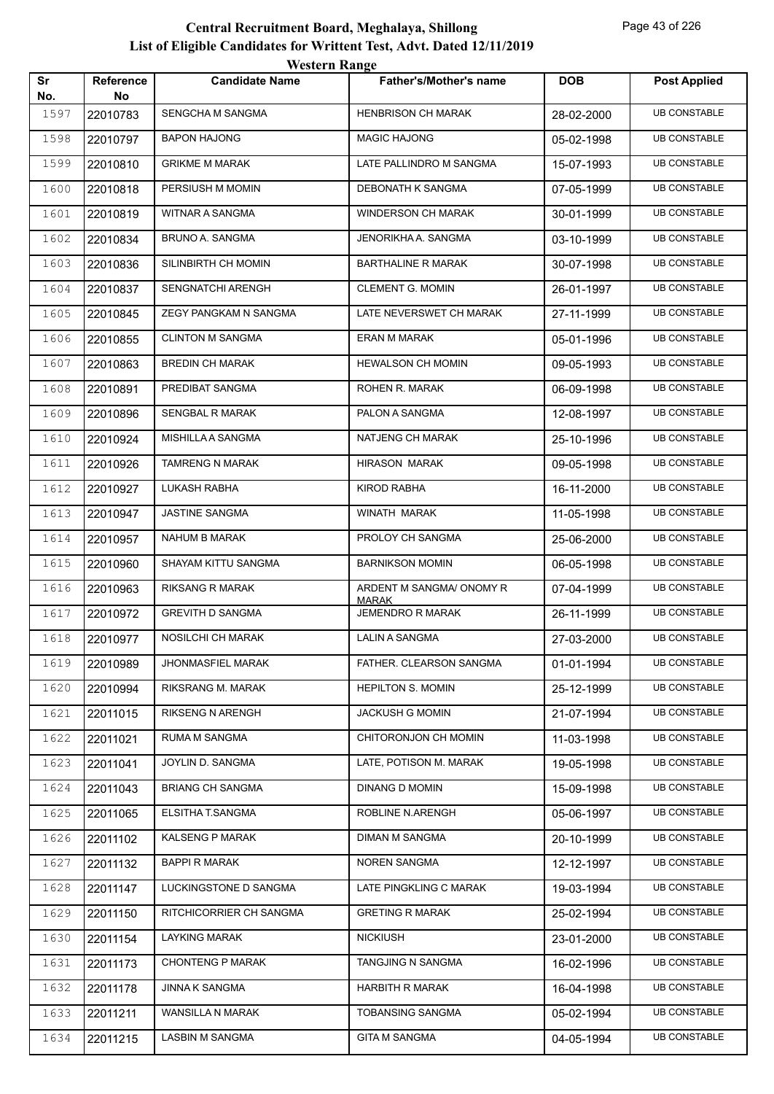| Sr   | Reference | <i>Western Kange</i><br><b>Candidate Name</b> | Father's/Mother's name                   | <b>DOB</b> | <b>Post Applied</b> |
|------|-----------|-----------------------------------------------|------------------------------------------|------------|---------------------|
| No.  | No.       |                                               |                                          |            |                     |
| 1597 | 22010783  | SENGCHA M SANGMA                              | <b>HENBRISON CH MARAK</b>                | 28-02-2000 | <b>UB CONSTABLE</b> |
| 1598 | 22010797  | <b>BAPON HAJONG</b>                           | <b>MAGIC HAJONG</b>                      | 05-02-1998 | <b>UB CONSTABLE</b> |
| 1599 | 22010810  | <b>GRIKME M MARAK</b>                         | LATE PALLINDRO M SANGMA                  | 15-07-1993 | <b>UB CONSTABLE</b> |
| 1600 | 22010818  | PERSIUSH M MOMIN                              | DEBONATH K SANGMA                        | 07-05-1999 | <b>UB CONSTABLE</b> |
| 1601 | 22010819  | WITNAR A SANGMA                               | <b>WINDERSON CH MARAK</b>                | 30-01-1999 | <b>UB CONSTABLE</b> |
| 1602 | 22010834  | <b>BRUNO A. SANGMA</b>                        | JENORIKHA A. SANGMA                      | 03-10-1999 | <b>UB CONSTABLE</b> |
| 1603 | 22010836  | SILINBIRTH CH MOMIN                           | <b>BARTHALINE R MARAK</b>                | 30-07-1998 | <b>UB CONSTABLE</b> |
| 1604 | 22010837  | <b>SENGNATCHI ARENGH</b>                      | <b>CLEMENT G. MOMIN</b>                  | 26-01-1997 | <b>UB CONSTABLE</b> |
| 1605 | 22010845  | ZEGY PANGKAM N SANGMA                         | LATE NEVERSWET CH MARAK                  | 27-11-1999 | <b>UB CONSTABLE</b> |
| 1606 | 22010855  | <b>CLINTON M SANGMA</b>                       | <b>ERAN M MARAK</b>                      | 05-01-1996 | <b>UB CONSTABLE</b> |
| 1607 | 22010863  | <b>BREDIN CH MARAK</b>                        | <b>HEWALSON CH MOMIN</b>                 | 09-05-1993 | <b>UB CONSTABLE</b> |
| 1608 | 22010891  | PREDIBAT SANGMA                               | ROHEN R. MARAK                           | 06-09-1998 | <b>UB CONSTABLE</b> |
| 1609 | 22010896  | <b>SENGBAL R MARAK</b>                        | PALON A SANGMA                           | 12-08-1997 | <b>UB CONSTABLE</b> |
| 1610 | 22010924  | MISHILLA A SANGMA                             | NATJENG CH MARAK                         | 25-10-1996 | <b>UB CONSTABLE</b> |
| 1611 | 22010926  | TAMRENG N MARAK                               | <b>HIRASON MARAK</b>                     | 09-05-1998 | <b>UB CONSTABLE</b> |
| 1612 | 22010927  | LUKASH RABHA                                  | <b>KIROD RABHA</b>                       | 16-11-2000 | <b>UB CONSTABLE</b> |
| 1613 | 22010947  | <b>JASTINE SANGMA</b>                         | WINATH MARAK                             | 11-05-1998 | <b>UB CONSTABLE</b> |
| 1614 | 22010957  | <b>NAHUM B MARAK</b>                          | PROLOY CH SANGMA                         | 25-06-2000 | <b>UB CONSTABLE</b> |
| 1615 | 22010960  | SHAYAM KITTU SANGMA                           | <b>BARNIKSON MOMIN</b>                   | 06-05-1998 | <b>UB CONSTABLE</b> |
| 1616 | 22010963  | RIKSANG R MARAK                               | ARDENT M SANGMA/ ONOMY R<br><b>MARAK</b> | 07-04-1999 | <b>UB CONSTABLE</b> |
| 1617 | 22010972  | <b>GREVITH D SANGMA</b>                       | <b>JEMENDRO R MARAK</b>                  | 26-11-1999 | <b>UB CONSTABLE</b> |
| 1618 | 22010977  | NOSILCHI CH MARAK                             | LALIN A SANGMA                           | 27-03-2000 | <b>UB CONSTABLE</b> |
| 1619 | 22010989  | JHONMASFIEL MARAK                             | FATHER. CLEARSON SANGMA                  | 01-01-1994 | <b>UB CONSTABLE</b> |
| 1620 | 22010994  | RIKSRANG M. MARAK                             | <b>HEPILTON S. MOMIN</b>                 | 25-12-1999 | <b>UB CONSTABLE</b> |
| 1621 | 22011015  | RIKSENG N ARENGH                              | <b>JACKUSH G MOMIN</b>                   | 21-07-1994 | <b>UB CONSTABLE</b> |
| 1622 | 22011021  | RUMA M SANGMA                                 | CHITORONJON CH MOMIN                     | 11-03-1998 | <b>UB CONSTABLE</b> |
| 1623 | 22011041  | JOYLIN D. SANGMA                              | LATE, POTISON M. MARAK                   | 19-05-1998 | <b>UB CONSTABLE</b> |
| 1624 | 22011043  | <b>BRIANG CH SANGMA</b>                       | <b>DINANG D MOMIN</b>                    | 15-09-1998 | <b>UB CONSTABLE</b> |
| 1625 | 22011065  | ELSITHA T.SANGMA                              | ROBLINE N.ARENGH                         | 05-06-1997 | <b>UB CONSTABLE</b> |
| 1626 | 22011102  | KALSENG P MARAK                               | DIMAN M SANGMA                           | 20-10-1999 | <b>UB CONSTABLE</b> |
| 1627 | 22011132  | <b>BAPPI R MARAK</b>                          | <b>NOREN SANGMA</b>                      | 12-12-1997 | <b>UB CONSTABLE</b> |
| 1628 | 22011147  | LUCKINGSTONE D SANGMA                         | LATE PINGKLING C MARAK                   | 19-03-1994 | <b>UB CONSTABLE</b> |
| 1629 | 22011150  | RITCHICORRIER CH SANGMA                       | <b>GRETING R MARAK</b>                   | 25-02-1994 | <b>UB CONSTABLE</b> |
| 1630 | 22011154  | <b>LAYKING MARAK</b>                          | <b>NICKIUSH</b>                          | 23-01-2000 | <b>UB CONSTABLE</b> |
| 1631 | 22011173  | <b>CHONTENG P MARAK</b>                       | TANGJING N SANGMA                        | 16-02-1996 | <b>UB CONSTABLE</b> |
| 1632 | 22011178  | <b>JINNA K SANGMA</b>                         | <b>HARBITH R MARAK</b>                   | 16-04-1998 | <b>UB CONSTABLE</b> |
| 1633 | 22011211  | WANSILLA N MARAK                              | TOBANSING SANGMA                         | 05-02-1994 | <b>UB CONSTABLE</b> |
| 1634 | 22011215  | LASBIN M SANGMA                               | <b>GITA M SANGMA</b>                     | 04-05-1994 | <b>UB CONSTABLE</b> |
|      |           |                                               |                                          |            |                     |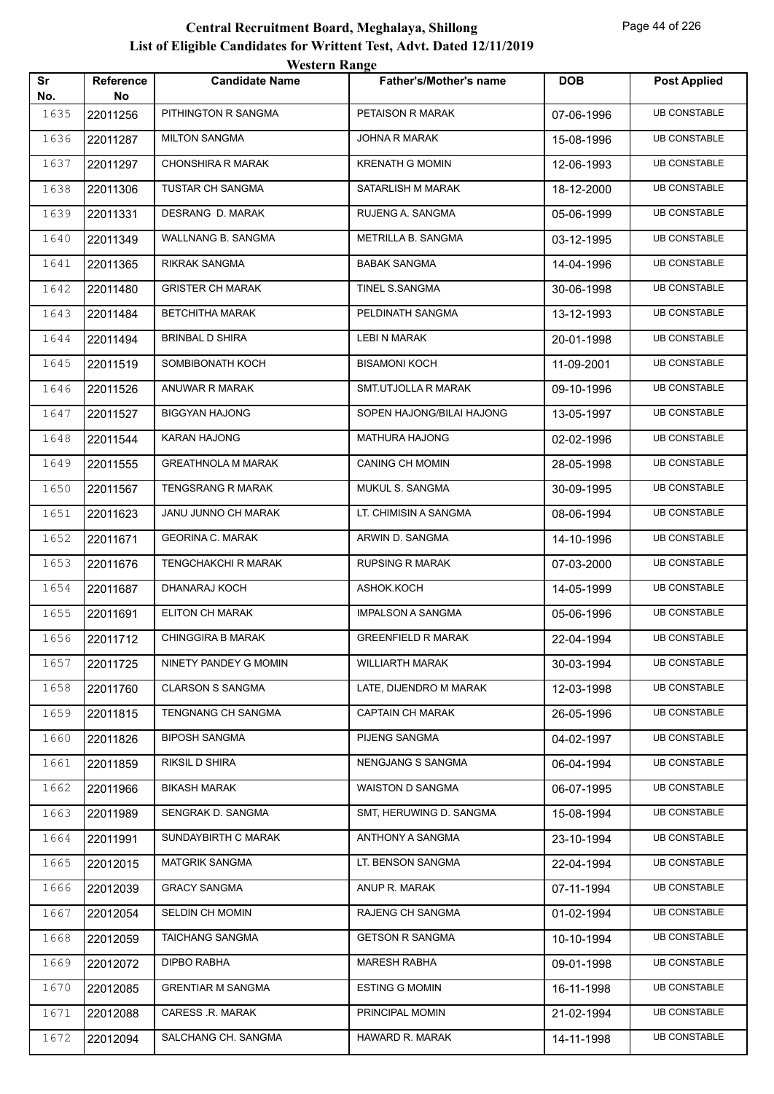| Sr          | Reference      | <b><i>HESKLE KAHEC</i></b><br><b>Candidate Name</b> | Father's/Mother's name    | <b>DOB</b> | <b>Post Applied</b> |
|-------------|----------------|-----------------------------------------------------|---------------------------|------------|---------------------|
| No.<br>1635 | No<br>22011256 | PITHINGTON R SANGMA                                 | PETAISON R MARAK          | 07-06-1996 | <b>UB CONSTABLE</b> |
| 1636        | 22011287       | <b>MILTON SANGMA</b>                                | <b>JOHNA R MARAK</b>      | 15-08-1996 | <b>UB CONSTABLE</b> |
| 1637        | 22011297       | CHONSHIRA R MARAK                                   | <b>KRENATH G MOMIN</b>    | 12-06-1993 | <b>UB CONSTABLE</b> |
| 1638        | 22011306       | TUSTAR CH SANGMA                                    | SATARLISH M MARAK         | 18-12-2000 | <b>UB CONSTABLE</b> |
| 1639        | 22011331       | DESRANG D. MARAK                                    | RUJENG A. SANGMA          | 05-06-1999 | <b>UB CONSTABLE</b> |
| 1640        | 22011349       | WALLNANG B. SANGMA                                  | METRILLA B. SANGMA        | 03-12-1995 | <b>UB CONSTABLE</b> |
| 1641        | 22011365       | <b>RIKRAK SANGMA</b>                                | <b>BABAK SANGMA</b>       | 14-04-1996 | <b>UB CONSTABLE</b> |
| 1642        | 22011480       | <b>GRISTER CH MARAK</b>                             | TINEL S.SANGMA            | 30-06-1998 | <b>UB CONSTABLE</b> |
| 1643        | 22011484       | BETCHITHA MARAK                                     | PELDINATH SANGMA          | 13-12-1993 | <b>UB CONSTABLE</b> |
| 1644        | 22011494       | BRINBAL D SHIRA                                     | LEBI N MARAK              | 20-01-1998 | <b>UB CONSTABLE</b> |
| 1645        | 22011519       | SOMBIBONATH KOCH                                    | <b>BISAMONI KOCH</b>      | 11-09-2001 | <b>UB CONSTABLE</b> |
| 1646        | 22011526       | ANUWAR R MARAK                                      | SMT.UTJOLLA R MARAK       | 09-10-1996 | <b>UB CONSTABLE</b> |
| 1647        | 22011527       | <b>BIGGYAN HAJONG</b>                               | SOPEN HAJONG/BILAI HAJONG | 13-05-1997 | <b>UB CONSTABLE</b> |
| 1648        | 22011544       | KARAN HAJONG                                        | MATHURA HAJONG            | 02-02-1996 | <b>UB CONSTABLE</b> |
| 1649        | 22011555       | <b>GREATHNOLA M MARAK</b>                           | <b>CANING CH MOMIN</b>    | 28-05-1998 | <b>UB CONSTABLE</b> |
| 1650        | 22011567       | TENGSRANG R MARAK                                   | MUKUL S. SANGMA           | 30-09-1995 | <b>UB CONSTABLE</b> |
| 1651        | 22011623       | JANU JUNNO CH MARAK                                 | LT. CHIMISIN A SANGMA     | 08-06-1994 | <b>UB CONSTABLE</b> |
| 1652        | 22011671       | <b>GEORINA C. MARAK</b>                             | ARWIN D. SANGMA           | 14-10-1996 | <b>UB CONSTABLE</b> |
| 1653        | 22011676       | TENGCHAKCHI R MARAK                                 | <b>RUPSING R MARAK</b>    | 07-03-2000 | <b>UB CONSTABLE</b> |
| 1654        | 22011687       | DHANARAJ KOCH                                       | ASHOK.KOCH                | 14-05-1999 | <b>UB CONSTABLE</b> |
| 1655        | 22011691       | <b>ELITON CH MARAK</b>                              | IMPALSON A SANGMA         | 05-06-1996 | <b>UB CONSTABLE</b> |
| 1656        | 22011712       | CHINGGIRA B MARAK                                   | <b>GREENFIELD R MARAK</b> | 22-04-1994 | <b>UB CONSTABLE</b> |
| 1657        | 22011725       | NINETY PANDEY G MOMIN                               | <b>WILLIARTH MARAK</b>    | 30-03-1994 | <b>UB CONSTABLE</b> |
| 1658        | 22011760       | <b>CLARSON S SANGMA</b>                             | LATE, DIJENDRO M MARAK    | 12-03-1998 | <b>UB CONSTABLE</b> |
| 1659        | 22011815       | TENGNANG CH SANGMA                                  | <b>CAPTAIN CH MARAK</b>   | 26-05-1996 | <b>UB CONSTABLE</b> |
| 1660        | 22011826       | <b>BIPOSH SANGMA</b>                                | PIJENG SANGMA             | 04-02-1997 | <b>UB CONSTABLE</b> |
| 1661        | 22011859       | RIKSIL D SHIRA                                      | NENGJANG S SANGMA         | 06-04-1994 | <b>UB CONSTABLE</b> |
| 1662        | 22011966       | <b>BIKASH MARAK</b>                                 | WAISTON D SANGMA          | 06-07-1995 | <b>UB CONSTABLE</b> |
| 1663        | 22011989       | SENGRAK D. SANGMA                                   | SMT, HERUWING D. SANGMA   | 15-08-1994 | <b>UB CONSTABLE</b> |
| 1664        | 22011991       | SUNDAYBIRTH C MARAK                                 | ANTHONY A SANGMA          | 23-10-1994 | <b>UB CONSTABLE</b> |
| 1665        | 22012015       | <b>MATGRIK SANGMA</b>                               | LT. BENSON SANGMA         | 22-04-1994 | <b>UB CONSTABLE</b> |
| 1666        | 22012039       | <b>GRACY SANGMA</b>                                 | ANUP R. MARAK             | 07-11-1994 | <b>UB CONSTABLE</b> |
| 1667        | 22012054       | SELDIN CH MOMIN                                     | RAJENG CH SANGMA          | 01-02-1994 | <b>UB CONSTABLE</b> |
| 1668        | 22012059       | TAICHANG SANGMA                                     | <b>GETSON R SANGMA</b>    | 10-10-1994 | <b>UB CONSTABLE</b> |
| 1669        | 22012072       | DIPBO RABHA                                         | <b>MARESH RABHA</b>       | 09-01-1998 | <b>UB CONSTABLE</b> |
| 1670        | 22012085       | <b>GRENTIAR M SANGMA</b>                            | <b>ESTING G MOMIN</b>     | 16-11-1998 | <b>UB CONSTABLE</b> |
| 1671        | 22012088       | CARESS .R. MARAK                                    | PRINCIPAL MOMIN           | 21-02-1994 | <b>UB CONSTABLE</b> |
| 1672        | 22012094       | SALCHANG CH. SANGMA                                 | HAWARD R. MARAK           | 14-11-1998 | <b>UB CONSTABLE</b> |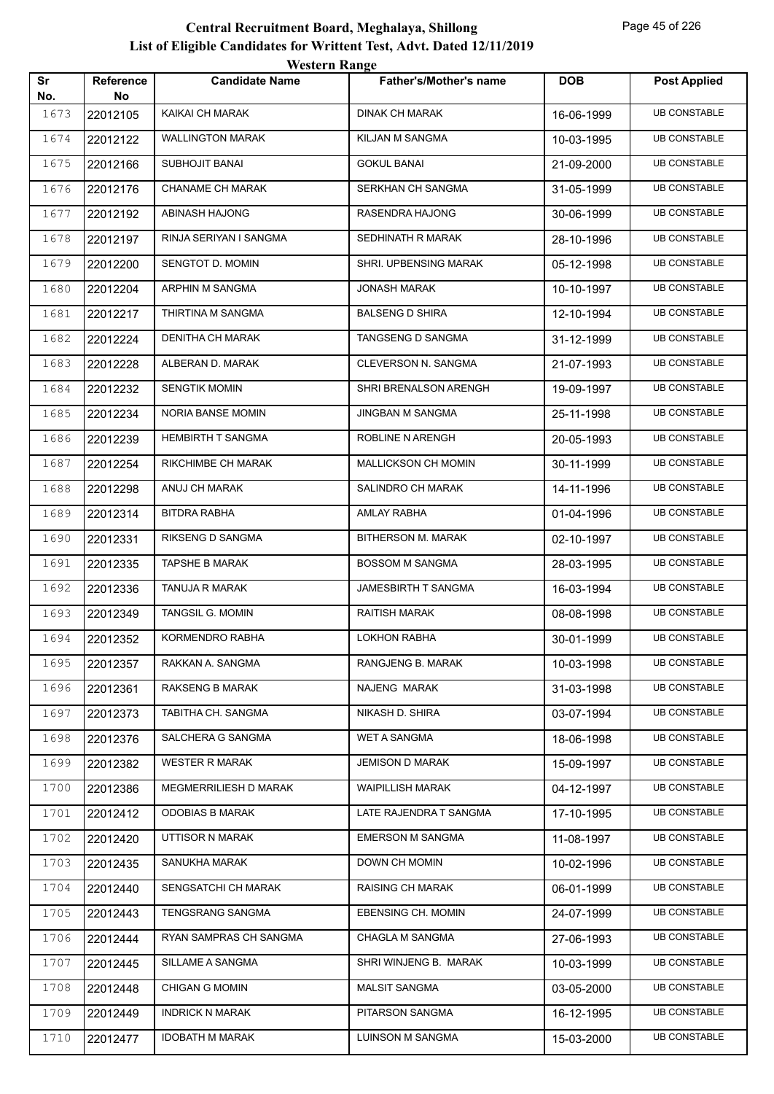|           |                 | western Kange            |                               |            |                     |
|-----------|-----------------|--------------------------|-------------------------------|------------|---------------------|
| Sr<br>No. | Reference<br>No | <b>Candidate Name</b>    | <b>Father's/Mother's name</b> | <b>DOB</b> | <b>Post Applied</b> |
| 1673      | 22012105        | KAIKAI CH MARAK          | <b>DINAK CH MARAK</b>         | 16-06-1999 | <b>UB CONSTABLE</b> |
| 1674      | 22012122        | WALLINGTON MARAK         | KILJAN M SANGMA               | 10-03-1995 | <b>UB CONSTABLE</b> |
| 1675      | 22012166        | <b>SUBHOJIT BANAI</b>    | <b>GOKUL BANAI</b>            | 21-09-2000 | <b>UB CONSTABLE</b> |
| 1676      | 22012176        | <b>CHANAME CH MARAK</b>  | SERKHAN CH SANGMA             | 31-05-1999 | <b>UB CONSTABLE</b> |
| 1677      | 22012192        | ABINASH HAJONG           | RASENDRA HAJONG               | 30-06-1999 | <b>UB CONSTABLE</b> |
| 1678      | 22012197        | RINJA SERIYAN I SANGMA   | SEDHINATH R MARAK             | 28-10-1996 | <b>UB CONSTABLE</b> |
| 1679      | 22012200        | SENGTOT D. MOMIN         | SHRI. UPBENSING MARAK         | 05-12-1998 | <b>UB CONSTABLE</b> |
| 1680      | 22012204        | ARPHIN M SANGMA          | <b>JONASH MARAK</b>           | 10-10-1997 | <b>UB CONSTABLE</b> |
| 1681      | 22012217        | THIRTINA M SANGMA        | <b>BALSENG D SHIRA</b>        | 12-10-1994 | <b>UB CONSTABLE</b> |
| 1682      | 22012224        | <b>DENITHA CH MARAK</b>  | <b>TANGSENG D SANGMA</b>      | 31-12-1999 | <b>UB CONSTABLE</b> |
| 1683      | 22012228        | ALBERAN D. MARAK         | CLEVERSON N. SANGMA           | 21-07-1993 | <b>UB CONSTABLE</b> |
| 1684      | 22012232        | <b>SENGTIK MOMIN</b>     | SHRI BRENALSON ARENGH         | 19-09-1997 | <b>UB CONSTABLE</b> |
| 1685      | 22012234        | NORIA BANSE MOMIN        | JINGBAN M SANGMA              | 25-11-1998 | <b>UB CONSTABLE</b> |
| 1686      | 22012239        | <b>HEMBIRTH T SANGMA</b> | ROBLINE N ARENGH              | 20-05-1993 | <b>UB CONSTABLE</b> |
| 1687      | 22012254        | RIKCHIMBE CH MARAK       | <b>MALLICKSON CH MOMIN</b>    | 30-11-1999 | <b>UB CONSTABLE</b> |
| 1688      | 22012298        | ANUJ CH MARAK            | SALINDRO CH MARAK             | 14-11-1996 | <b>UB CONSTABLE</b> |
| 1689      | 22012314        | BITDRA RABHA             | AMLAY RABHA                   | 01-04-1996 | <b>UB CONSTABLE</b> |
| 1690      | 22012331        | RIKSENG D SANGMA         | BITHERSON M. MARAK            | 02-10-1997 | <b>UB CONSTABLE</b> |
| 1691      | 22012335        | <b>TAPSHE B MARAK</b>    | <b>BOSSOM M SANGMA</b>        | 28-03-1995 | <b>UB CONSTABLE</b> |
| 1692      | 22012336        | <b>TANUJA R MARAK</b>    | <b>JAMESBIRTH T SANGMA</b>    | 16-03-1994 | <b>UB CONSTABLE</b> |
| 1693      | 22012349        | TANGSIL G. MOMIN         | <b>RAITISH MARAK</b>          | 08-08-1998 | <b>UB CONSTABLE</b> |
| 1694      | 22012352        | KORMENDRO RABHA          | <b>LOKHON RABHA</b>           | 30-01-1999 | <b>UB CONSTABLE</b> |
| 1695      | 22012357        | RAKKAN A. SANGMA         | RANGJENG B. MARAK             | 10-03-1998 | <b>UB CONSTABLE</b> |
| 1696      | 22012361        | RAKSENG B MARAK          | NAJENG MARAK                  | 31-03-1998 | <b>UB CONSTABLE</b> |
| 1697      | 22012373        | TABITHA CH. SANGMA       | NIKASH D. SHIRA               | 03-07-1994 | <b>UB CONSTABLE</b> |
| 1698      | 22012376        | SALCHERA G SANGMA        | <b>WET A SANGMA</b>           | 18-06-1998 | <b>UB CONSTABLE</b> |
| 1699      | 22012382        | WESTER R MARAK           | <b>JEMISON D MARAK</b>        | 15-09-1997 | <b>UB CONSTABLE</b> |
| 1700      | 22012386        | MEGMERRILIESH D MARAK    | <b>WAIPILLISH MARAK</b>       | 04-12-1997 | <b>UB CONSTABLE</b> |
| 1701      | 22012412        | <b>ODOBIAS B MARAK</b>   | LATE RAJENDRA T SANGMA        | 17-10-1995 | <b>UB CONSTABLE</b> |
| 1702      | 22012420        | UTTISOR N MARAK          | <b>EMERSON M SANGMA</b>       | 11-08-1997 | <b>UB CONSTABLE</b> |
| 1703      | 22012435        | SANUKHA MARAK            | DOWN CH MOMIN                 | 10-02-1996 | <b>UB CONSTABLE</b> |
| 1704      | 22012440        | SENGSATCHI CH MARAK      | <b>RAISING CH MARAK</b>       | 06-01-1999 | <b>UB CONSTABLE</b> |
| 1705      | 22012443        | TENGSRANG SANGMA         | EBENSING CH. MOMIN            | 24-07-1999 | <b>UB CONSTABLE</b> |
| 1706      | 22012444        | RYAN SAMPRAS CH SANGMA   | CHAGLA M SANGMA               | 27-06-1993 | <b>UB CONSTABLE</b> |
| 1707      | 22012445        | SILLAME A SANGMA         | SHRI WINJENG B. MARAK         | 10-03-1999 | <b>UB CONSTABLE</b> |
| 1708      | 22012448        | <b>CHIGAN G MOMIN</b>    | <b>MALSIT SANGMA</b>          | 03-05-2000 | <b>UB CONSTABLE</b> |
| 1709      | 22012449        | <b>INDRICK N MARAK</b>   | PITARSON SANGMA               | 16-12-1995 | <b>UB CONSTABLE</b> |
| 1710      | 22012477        | IDOBATH M MARAK          | LUINSON M SANGMA              | 15-03-2000 | <b>UB CONSTABLE</b> |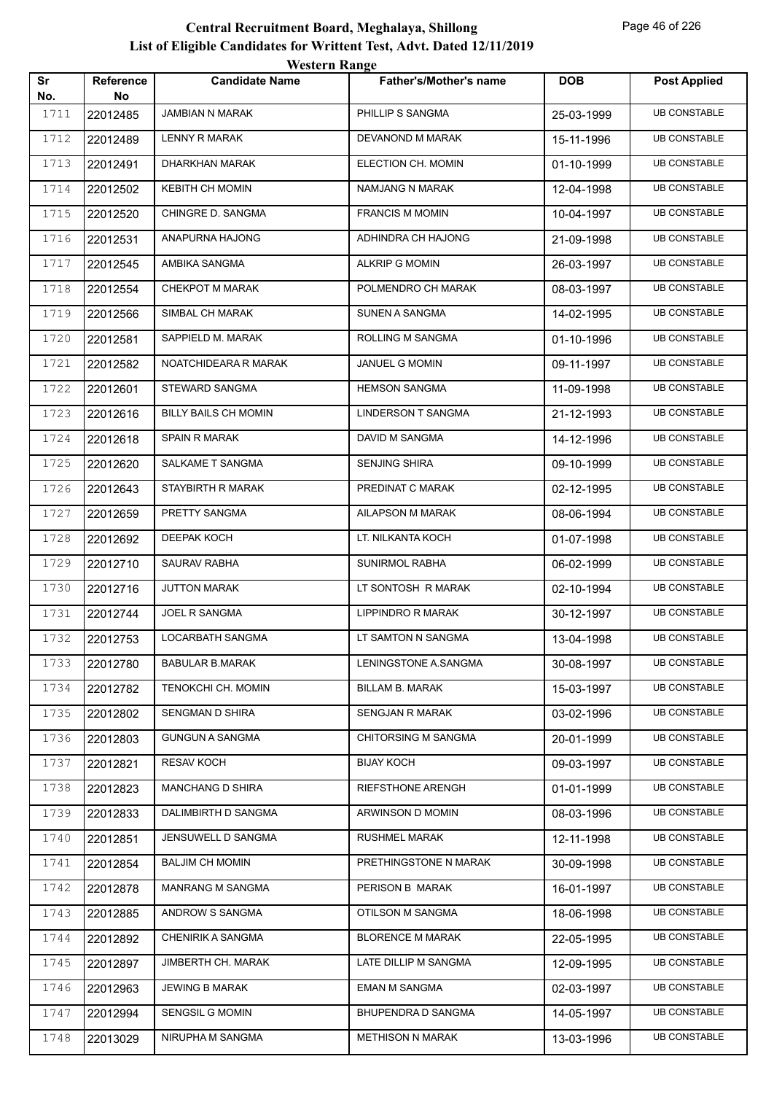|           |                        | <b>Western Range</b>        |                               |            |                     |
|-----------|------------------------|-----------------------------|-------------------------------|------------|---------------------|
| Sr<br>No. | <b>Reference</b><br>No | <b>Candidate Name</b>       | <b>Father's/Mother's name</b> | <b>DOB</b> | <b>Post Applied</b> |
| 1711      | 22012485               | <b>JAMBIAN N MARAK</b>      | PHILLIP S SANGMA              | 25-03-1999 | <b>UB CONSTABLE</b> |
| 1712      | 22012489               | <b>LENNY R MARAK</b>        | DEVANOND M MARAK              | 15-11-1996 | <b>UB CONSTABLE</b> |
| 1713      | 22012491               | DHARKHAN MARAK              | ELECTION CH. MOMIN            | 01-10-1999 | <b>UB CONSTABLE</b> |
| 1714      | 22012502               | <b>KEBITH CH MOMIN</b>      | NAMJANG N MARAK               | 12-04-1998 | <b>UB CONSTABLE</b> |
| 1715      | 22012520               | CHINGRE D. SANGMA           | <b>FRANCIS M MOMIN</b>        | 10-04-1997 | <b>UB CONSTABLE</b> |
| 1716      | 22012531               | ANAPURNA HAJONG             | ADHINDRA CH HAJONG            | 21-09-1998 | <b>UB CONSTABLE</b> |
| 1717      | 22012545               | AMBIKA SANGMA               | <b>ALKRIP G MOMIN</b>         | 26-03-1997 | <b>UB CONSTABLE</b> |
| 1718      | 22012554               | <b>CHEKPOT M MARAK</b>      | POLMENDRO CH MARAK            | 08-03-1997 | <b>UB CONSTABLE</b> |
| 1719      | 22012566               | SIMBAL CH MARAK             | SUNEN A SANGMA                | 14-02-1995 | <b>UB CONSTABLE</b> |
| 1720      | 22012581               | SAPPIELD M. MARAK           | ROLLING M SANGMA              | 01-10-1996 | <b>UB CONSTABLE</b> |
| 1721      | 22012582               | NOATCHIDEARA R MARAK        | <b>JANUEL G MOMIN</b>         | 09-11-1997 | <b>UB CONSTABLE</b> |
| 1722      | 22012601               | STEWARD SANGMA              | <b>HEMSON SANGMA</b>          | 11-09-1998 | <b>UB CONSTABLE</b> |
| 1723      | 22012616               | <b>BILLY BAILS CH MOMIN</b> | <b>LINDERSON T SANGMA</b>     | 21-12-1993 | <b>UB CONSTABLE</b> |
| 1724      | 22012618               | <b>SPAIN R MARAK</b>        | DAVID M SANGMA                | 14-12-1996 | <b>UB CONSTABLE</b> |
| 1725      | 22012620               | <b>SALKAME T SANGMA</b>     | <b>SENJING SHIRA</b>          | 09-10-1999 | <b>UB CONSTABLE</b> |
| 1726      | 22012643               | STAYBIRTH R MARAK           | PREDINAT C MARAK              | 02-12-1995 | <b>UB CONSTABLE</b> |
| 1727      | 22012659               | PRETTY SANGMA               | AILAPSON M MARAK              | 08-06-1994 | <b>UB CONSTABLE</b> |
| 1728      | 22012692               | <b>DEEPAK KOCH</b>          | LT. NILKANTA KOCH             | 01-07-1998 | <b>UB CONSTABLE</b> |
| 1729      | 22012710               | <b>SAURAV RABHA</b>         | SUNIRMOL RABHA                | 06-02-1999 | <b>UB CONSTABLE</b> |
| 1730      | 22012716               | <b>JUTTON MARAK</b>         | LT SONTOSH R MARAK            | 02-10-1994 | <b>UB CONSTABLE</b> |
| 1731      | 22012744               | <b>JOEL R SANGMA</b>        | LIPPINDRO R MARAK             | 30-12-1997 | <b>UB CONSTABLE</b> |
| 1732      | 22012753               | LOCARBATH SANGMA            | LT SAMTON N SANGMA            | 13-04-1998 | <b>UB CONSTABLE</b> |
| 1733      | 22012780               | <b>BABULAR B.MARAK</b>      | LENINGSTONE A.SANGMA          | 30-08-1997 | <b>UB CONSTABLE</b> |
| 1734      | 22012782               | TENOKCHI CH. MOMIN          | BILLAM B. MARAK               | 15-03-1997 | <b>UB CONSTABLE</b> |
| 1735      | 22012802               | <b>SENGMAN D SHIRA</b>      | <b>SENGJAN R MARAK</b>        | 03-02-1996 | <b>UB CONSTABLE</b> |
| 1736      | 22012803               | <b>GUNGUN A SANGMA</b>      | <b>CHITORSING M SANGMA</b>    | 20-01-1999 | <b>UB CONSTABLE</b> |
| 1737      | 22012821               | <b>RESAV KOCH</b>           | <b>BIJAY KOCH</b>             | 09-03-1997 | <b>UB CONSTABLE</b> |
| 1738      | 22012823               | <b>MANCHANG D SHIRA</b>     | RIEFSTHONE ARENGH             | 01-01-1999 | <b>UB CONSTABLE</b> |
| 1739      | 22012833               | DALIMBIRTH D SANGMA         | ARWINSON D MOMIN              | 08-03-1996 | <b>UB CONSTABLE</b> |
| 1740      | 22012851               | JENSUWELL D SANGMA          | <b>RUSHMEL MARAK</b>          | 12-11-1998 | <b>UB CONSTABLE</b> |
| 1741      | 22012854               | <b>BALJIM CH MOMIN</b>      | PRETHINGSTONE N MARAK         | 30-09-1998 | <b>UB CONSTABLE</b> |
| 1742      | 22012878               | <b>MANRANG M SANGMA</b>     | PERISON B MARAK               | 16-01-1997 | <b>UB CONSTABLE</b> |
| 1743      | 22012885               | ANDROW S SANGMA             | OTILSON M SANGMA              | 18-06-1998 | <b>UB CONSTABLE</b> |
| 1744      | 22012892               | CHENIRIK A SANGMA           | <b>BLORENCE M MARAK</b>       | 22-05-1995 | <b>UB CONSTABLE</b> |
| 1745      | 22012897               | <b>JIMBERTH CH. MARAK</b>   | LATE DILLIP M SANGMA          | 12-09-1995 | <b>UB CONSTABLE</b> |
| 1746      | 22012963               | <b>JEWING B MARAK</b>       | <b>EMAN M SANGMA</b>          | 02-03-1997 | UB CONSTABLE        |
| 1747      | 22012994               | SENGSIL G MOMIN             | BHUPENDRA D SANGMA            | 14-05-1997 | <b>UB CONSTABLE</b> |
| 1748      | 22013029               | NIRUPHA M SANGMA            | <b>METHISON N MARAK</b>       | 13-03-1996 | <b>UB CONSTABLE</b> |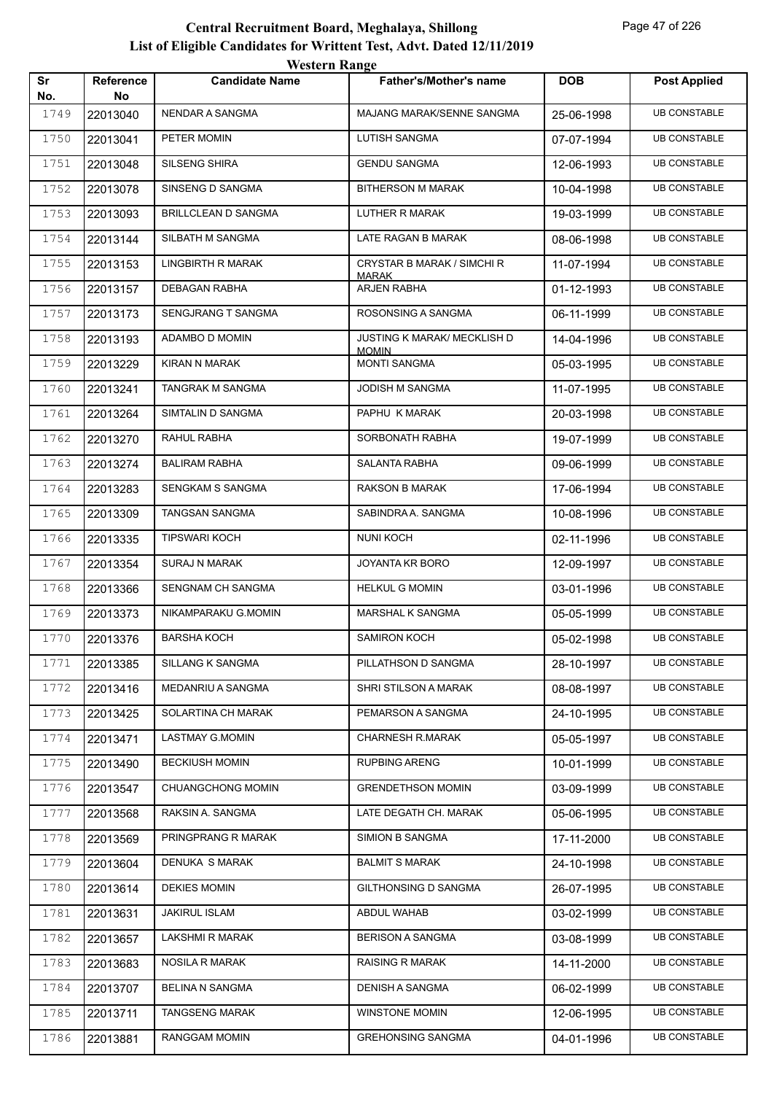|           |                        | <b>Western Range</b>     |                                                    |            |                     |
|-----------|------------------------|--------------------------|----------------------------------------------------|------------|---------------------|
| Sr<br>No. | <b>Reference</b><br>No | <b>Candidate Name</b>    | <b>Father's/Mother's name</b>                      | <b>DOB</b> | <b>Post Applied</b> |
| 1749      | 22013040               | NENDAR A SANGMA          | MAJANG MARAK/SENNE SANGMA                          | 25-06-1998 | <b>UB CONSTABLE</b> |
| 1750      | 22013041               | PETER MOMIN              | <b>LUTISH SANGMA</b>                               | 07-07-1994 | <b>UB CONSTABLE</b> |
| 1751      | 22013048               | SILSENG SHIRA            | <b>GENDU SANGMA</b>                                | 12-06-1993 | <b>UB CONSTABLE</b> |
| 1752      | 22013078               | SINSENG D SANGMA         | <b>BITHERSON M MARAK</b>                           | 10-04-1998 | <b>UB CONSTABLE</b> |
| 1753      | 22013093               | BRILLCLEAN D SANGMA      | LUTHER R MARAK                                     | 19-03-1999 | <b>UB CONSTABLE</b> |
| 1754      | 22013144               | SILBATH M SANGMA         | LATE RAGAN B MARAK                                 | 08-06-1998 | <b>UB CONSTABLE</b> |
| 1755      | 22013153               | <b>LINGBIRTH R MARAK</b> | CRYSTAR B MARAK / SIMCHI R<br><b>MARAK</b>         | 11-07-1994 | <b>UB CONSTABLE</b> |
| 1756      | 22013157               | <b>DEBAGAN RABHA</b>     | ARJEN RABHA                                        | 01-12-1993 | <b>UB CONSTABLE</b> |
| 1757      | 22013173               | SENGJRANG T SANGMA       | ROSONSING A SANGMA                                 | 06-11-1999 | <b>UB CONSTABLE</b> |
| 1758      | 22013193               | ADAMBO D MOMIN           | <b>JUSTING K MARAK/ MECKLISH D</b><br><b>MOMIN</b> | 14-04-1996 | <b>UB CONSTABLE</b> |
| 1759      | 22013229               | <b>KIRAN N MARAK</b>     | <b>MONTI SANGMA</b>                                | 05-03-1995 | <b>UB CONSTABLE</b> |
| 1760      | 22013241               | TANGRAK M SANGMA         | JODISH M SANGMA                                    | 11-07-1995 | <b>UB CONSTABLE</b> |
| 1761      | 22013264               | SIMTALIN D SANGMA        | PAPHU K MARAK                                      | 20-03-1998 | <b>UB CONSTABLE</b> |
| 1762      | 22013270               | RAHUL RABHA              | SORBONATH RABHA                                    | 19-07-1999 | <b>UB CONSTABLE</b> |
| 1763      | 22013274               | <b>BALIRAM RABHA</b>     | <b>SALANTA RABHA</b>                               | 09-06-1999 | <b>UB CONSTABLE</b> |
| 1764      | 22013283               | <b>SENGKAM S SANGMA</b>  | <b>RAKSON B MARAK</b>                              | 17-06-1994 | <b>UB CONSTABLE</b> |
| 1765      | 22013309               | <b>TANGSAN SANGMA</b>    | SABINDRA A. SANGMA                                 | 10-08-1996 | <b>UB CONSTABLE</b> |
| 1766      | 22013335               | <b>TIPSWARI KOCH</b>     | <b>NUNI KOCH</b>                                   | 02-11-1996 | <b>UB CONSTABLE</b> |
| 1767      | 22013354               | <b>SURAJ N MARAK</b>     | JOYANTA KR BORO                                    | 12-09-1997 | <b>UB CONSTABLE</b> |
| 1768      | 22013366               | SENGNAM CH SANGMA        | <b>HELKUL G MOMIN</b>                              | 03-01-1996 | <b>UB CONSTABLE</b> |
| 1769      | 22013373               | NIKAMPARAKU G.MOMIN      | <b>MARSHAL K SANGMA</b>                            | 05-05-1999 | <b>UB CONSTABLE</b> |
| 1770      | 22013376               | <b>BARSHA KOCH</b>       | <b>SAMIRON KOCH</b>                                | 05-02-1998 | <b>UB CONSTABLE</b> |
| 1771      | 22013385               | <b>SILLANG K SANGMA</b>  | PILLATHSON D SANGMA                                | 28-10-1997 | <b>UB CONSTABLE</b> |
| 1772      | 22013416               | MEDANRIU A SANGMA        | SHRI STILSON A MARAK                               | 08-08-1997 | <b>UB CONSTABLE</b> |
| 1773      | 22013425               | SOLARTINA CH MARAK       | PEMARSON A SANGMA                                  | 24-10-1995 | <b>UB CONSTABLE</b> |
| 1774      | 22013471               | LASTMAY G.MOMIN          | <b>CHARNESH R.MARAK</b>                            | 05-05-1997 | <b>UB CONSTABLE</b> |
| 1775      | 22013490               | <b>BECKIUSH MOMIN</b>    | <b>RUPBING ARENG</b>                               | 10-01-1999 | <b>UB CONSTABLE</b> |
| 1776      | 22013547               | CHUANGCHONG MOMIN        | <b>GRENDETHSON MOMIN</b>                           | 03-09-1999 | <b>UB CONSTABLE</b> |
| 1777      | 22013568               | RAKSIN A. SANGMA         | LATE DEGATH CH. MARAK                              | 05-06-1995 | <b>UB CONSTABLE</b> |
| 1778      | 22013569               | PRINGPRANG R MARAK       | SIMION B SANGMA                                    | 17-11-2000 | <b>UB CONSTABLE</b> |
| 1779      | 22013604               | DENUKA S MARAK           | <b>BALMIT S MARAK</b>                              | 24-10-1998 | <b>UB CONSTABLE</b> |
| 1780      | 22013614               | <b>DEKIES MOMIN</b>      | GILTHONSING D SANGMA                               | 26-07-1995 | <b>UB CONSTABLE</b> |
| 1781      | 22013631               | <b>JAKIRUL ISLAM</b>     | ABDUL WAHAB                                        | 03-02-1999 | <b>UB CONSTABLE</b> |
| 1782      | 22013657               | LAKSHMI R MARAK          | <b>BERISON A SANGMA</b>                            | 03-08-1999 | <b>UB CONSTABLE</b> |
| 1783      | 22013683               | <b>NOSILA R MARAK</b>    | <b>RAISING R MARAK</b>                             | 14-11-2000 | <b>UB CONSTABLE</b> |
| 1784      | 22013707               | <b>BELINA N SANGMA</b>   | DENISH A SANGMA                                    | 06-02-1999 | <b>UB CONSTABLE</b> |
| 1785      | 22013711               | <b>TANGSENG MARAK</b>    | <b>WINSTONE MOMIN</b>                              | 12-06-1995 | <b>UB CONSTABLE</b> |
| 1786      | 22013881               | RANGGAM MOMIN            | <b>GREHONSING SANGMA</b>                           | 04-01-1996 | <b>UB CONSTABLE</b> |
|           |                        |                          |                                                    |            |                     |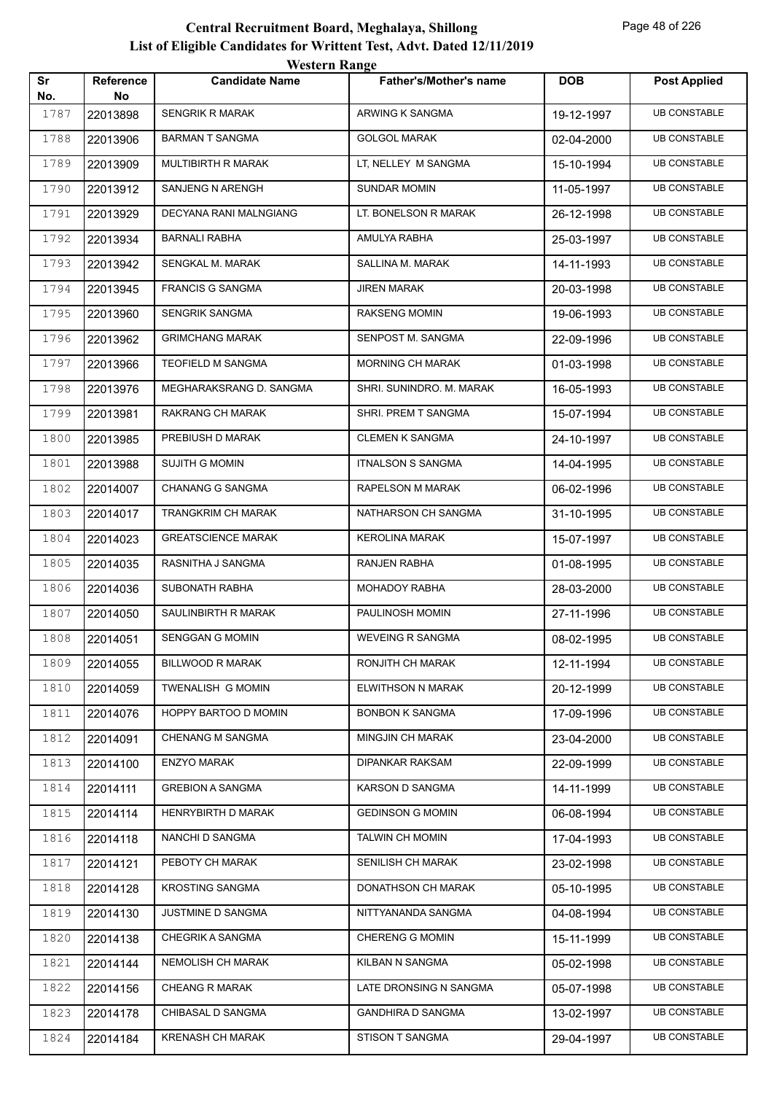|           |                        | <b>Western Range</b>      |                               |            |                     |  |
|-----------|------------------------|---------------------------|-------------------------------|------------|---------------------|--|
| Sr<br>No. | <b>Reference</b><br>No | <b>Candidate Name</b>     | <b>Father's/Mother's name</b> | <b>DOB</b> | <b>Post Applied</b> |  |
| 1787      | 22013898               | <b>SENGRIK R MARAK</b>    | ARWING K SANGMA               | 19-12-1997 | <b>UB CONSTABLE</b> |  |
| 1788      | 22013906               | <b>BARMAN T SANGMA</b>    | <b>GOLGOL MARAK</b>           | 02-04-2000 | <b>UB CONSTABLE</b> |  |
| 1789      | 22013909               | MULTIBIRTH R MARAK        | LT, NELLEY M SANGMA           | 15-10-1994 | <b>UB CONSTABLE</b> |  |
| 1790      | 22013912               | <b>SANJENG N ARENGH</b>   | <b>SUNDAR MOMIN</b>           | 11-05-1997 | <b>UB CONSTABLE</b> |  |
| 1791      | 22013929               | DECYANA RANI MALNGIANG    | LT. BONELSON R MARAK          | 26-12-1998 | <b>UB CONSTABLE</b> |  |
| 1792      | 22013934               | <b>BARNALI RABHA</b>      | AMULYA RABHA                  | 25-03-1997 | <b>UB CONSTABLE</b> |  |
| 1793      | 22013942               | SENGKAL M. MARAK          | SALLINA M. MARAK              | 14-11-1993 | <b>UB CONSTABLE</b> |  |
| 1794      | 22013945               | <b>FRANCIS G SANGMA</b>   | <b>JIREN MARAK</b>            | 20-03-1998 | <b>UB CONSTABLE</b> |  |
| 1795      | 22013960               | <b>SENGRIK SANGMA</b>     | <b>RAKSENG MOMIN</b>          | 19-06-1993 | <b>UB CONSTABLE</b> |  |
| 1796      | 22013962               | <b>GRIMCHANG MARAK</b>    | SENPOST M. SANGMA             | 22-09-1996 | <b>UB CONSTABLE</b> |  |
| 1797      | 22013966               | TEOFIELD M SANGMA         | <b>MORNING CH MARAK</b>       | 01-03-1998 | <b>UB CONSTABLE</b> |  |
| 1798      | 22013976               | MEGHARAKSRANG D. SANGMA   | SHRI. SUNINDRO. M. MARAK      | 16-05-1993 | <b>UB CONSTABLE</b> |  |
| 1799      | 22013981               | <b>RAKRANG CH MARAK</b>   | SHRI. PREM T SANGMA           | 15-07-1994 | <b>UB CONSTABLE</b> |  |
| 1800      | 22013985               | PREBIUSH D MARAK          | <b>CLEMEN K SANGMA</b>        | 24-10-1997 | <b>UB CONSTABLE</b> |  |
| 1801      | 22013988               | <b>SUJITH G MOMIN</b>     | <b>ITNALSON S SANGMA</b>      | 14-04-1995 | <b>UB CONSTABLE</b> |  |
| 1802      | 22014007               | <b>CHANANG G SANGMA</b>   | RAPELSON M MARAK              | 06-02-1996 | <b>UB CONSTABLE</b> |  |
| 1803      | 22014017               | <b>TRANGKRIM CH MARAK</b> | NATHARSON CH SANGMA           | 31-10-1995 | <b>UB CONSTABLE</b> |  |
| 1804      | 22014023               | <b>GREATSCIENCE MARAK</b> | <b>KEROLINA MARAK</b>         | 15-07-1997 | <b>UB CONSTABLE</b> |  |
| 1805      | 22014035               | RASNITHA J SANGMA         | <b>RANJEN RABHA</b>           | 01-08-1995 | <b>UB CONSTABLE</b> |  |
| 1806      | 22014036               | <b>SUBONATH RABHA</b>     | MOHADOY RABHA                 | 28-03-2000 | <b>UB CONSTABLE</b> |  |
| 1807      | 22014050               | SAULINBIRTH R MARAK       | PAULINOSH MOMIN               | 27-11-1996 | <b>UB CONSTABLE</b> |  |
| 1808      | 22014051               | <b>SENGGAN G MOMIN</b>    | <b>WEVEING R SANGMA</b>       | 08-02-1995 | <b>UB CONSTABLE</b> |  |
| 1809      | 22014055               | BILLWOOD R MARAK          | RONJITH CH MARAK              | 12-11-1994 | <b>UB CONSTABLE</b> |  |
| 1810      | 22014059               | TWENALISH G MOMIN         | <b>ELWITHSON N MARAK</b>      | 20-12-1999 | <b>UB CONSTABLE</b> |  |
| 1811      | 22014076               | HOPPY BARTOO D MOMIN      | <b>BONBON K SANGMA</b>        | 17-09-1996 | <b>UB CONSTABLE</b> |  |
| 1812      | 22014091               | <b>CHENANG M SANGMA</b>   | <b>MINGJIN CH MARAK</b>       | 23-04-2000 | <b>UB CONSTABLE</b> |  |
| 1813      | 22014100               | <b>ENZYO MARAK</b>        | <b>DIPANKAR RAKSAM</b>        | 22-09-1999 | <b>UB CONSTABLE</b> |  |
| 1814      | 22014111               | <b>GREBION A SANGMA</b>   | KARSON D SANGMA               | 14-11-1999 | <b>UB CONSTABLE</b> |  |
| 1815      | 22014114               | HENRYBIRTH D MARAK        | <b>GEDINSON G MOMIN</b>       | 06-08-1994 | <b>UB CONSTABLE</b> |  |
| 1816      | 22014118               | NANCHI D SANGMA           | <b>TALWIN CH MOMIN</b>        | 17-04-1993 | <b>UB CONSTABLE</b> |  |
| 1817      | 22014121               | PEBOTY CH MARAK           | <b>SENILISH CH MARAK</b>      | 23-02-1998 | <b>UB CONSTABLE</b> |  |
| 1818      | 22014128               | <b>KROSTING SANGMA</b>    | DONATHSON CH MARAK            | 05-10-1995 | <b>UB CONSTABLE</b> |  |
| 1819      | 22014130               | JUSTMINE D SANGMA         | NITTYANANDA SANGMA            | 04-08-1994 | <b>UB CONSTABLE</b> |  |
| 1820      | 22014138               | CHEGRIK A SANGMA          | <b>CHERENG G MOMIN</b>        | 15-11-1999 | <b>UB CONSTABLE</b> |  |
| 1821      | 22014144               | <b>NEMOLISH CH MARAK</b>  | KILBAN N SANGMA               | 05-02-1998 | <b>UB CONSTABLE</b> |  |
| 1822      | 22014156               | <b>CHEANG R MARAK</b>     | LATE DRONSING N SANGMA        | 05-07-1998 | UB CONSTABLE        |  |
| 1823      | 22014178               | CHIBASAL D SANGMA         | <b>GANDHIRA D SANGMA</b>      | 13-02-1997 | <b>UB CONSTABLE</b> |  |
| 1824      | 22014184               | <b>KRENASH CH MARAK</b>   | STISON T SANGMA               | 29-04-1997 | <b>UB CONSTABLE</b> |  |
|           |                        |                           |                               |            |                     |  |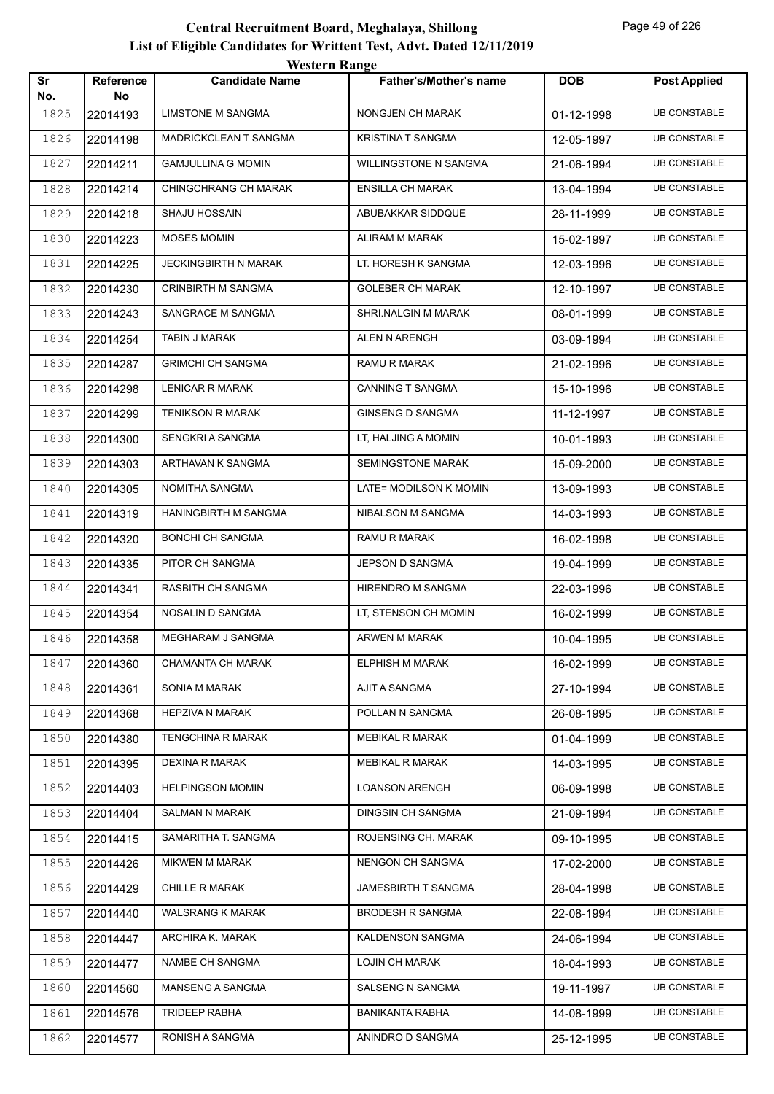|           |                 | western Kange             |                               |            |                     |
|-----------|-----------------|---------------------------|-------------------------------|------------|---------------------|
| Sr<br>No. | Reference<br>No | <b>Candidate Name</b>     | <b>Father's/Mother's name</b> | <b>DOB</b> | <b>Post Applied</b> |
| 1825      | 22014193        | <b>LIMSTONE M SANGMA</b>  | NONGJEN CH MARAK              | 01-12-1998 | <b>UB CONSTABLE</b> |
| 1826      | 22014198        | MADRICKCLEAN T SANGMA     | <b>KRISTINA T SANGMA</b>      | 12-05-1997 | <b>UB CONSTABLE</b> |
| 1827      | 22014211        | <b>GAMJULLINA G MOMIN</b> | WILLINGSTONE N SANGMA         | 21-06-1994 | <b>UB CONSTABLE</b> |
| 1828      | 22014214        | CHINGCHRANG CH MARAK      | <b>ENSILLA CH MARAK</b>       | 13-04-1994 | <b>UB CONSTABLE</b> |
| 1829      | 22014218        | <b>SHAJU HOSSAIN</b>      | ABUBAKKAR SIDDQUE             | 28-11-1999 | <b>UB CONSTABLE</b> |
| 1830      | 22014223        | <b>MOSES MOMIN</b>        | ALIRAM M MARAK                | 15-02-1997 | <b>UB CONSTABLE</b> |
| 1831      | 22014225        | JECKINGBIRTH N MARAK      | LT. HORESH K SANGMA           | 12-03-1996 | <b>UB CONSTABLE</b> |
| 1832      | 22014230        | <b>CRINBIRTH M SANGMA</b> | <b>GOLEBER CH MARAK</b>       | 12-10-1997 | <b>UB CONSTABLE</b> |
| 1833      | 22014243        | SANGRACE M SANGMA         | SHRI.NALGIN M MARAK           | 08-01-1999 | <b>UB CONSTABLE</b> |
| 1834      | 22014254        | TABIN J MARAK             | ALEN N ARENGH                 | 03-09-1994 | <b>UB CONSTABLE</b> |
| 1835      | 22014287        | <b>GRIMCHI CH SANGMA</b>  | RAMU R MARAK                  | 21-02-1996 | <b>UB CONSTABLE</b> |
| 1836      | 22014298        | <b>LENICAR R MARAK</b>    | <b>CANNING T SANGMA</b>       | 15-10-1996 | <b>UB CONSTABLE</b> |
| 1837      | 22014299        | <b>TENIKSON R MARAK</b>   | <b>GINSENG D SANGMA</b>       | 11-12-1997 | <b>UB CONSTABLE</b> |
| 1838      | 22014300        | SENGKRI A SANGMA          | LT, HALJING A MOMIN           | 10-01-1993 | <b>UB CONSTABLE</b> |
| 1839      | 22014303        | ARTHAVAN K SANGMA         | SEMINGSTONE MARAK             | 15-09-2000 | <b>UB CONSTABLE</b> |
| 1840      | 22014305        | NOMITHA SANGMA            | LATE= MODILSON K MOMIN        | 13-09-1993 | <b>UB CONSTABLE</b> |
| 1841      | 22014319        | HANINGBIRTH M SANGMA      | NIBALSON M SANGMA             | 14-03-1993 | <b>UB CONSTABLE</b> |
| 1842      | 22014320        | <b>BONCHI CH SANGMA</b>   | RAMU R MARAK                  | 16-02-1998 | <b>UB CONSTABLE</b> |
| 1843      | 22014335        | PITOR CH SANGMA           | JEPSON D SANGMA               | 19-04-1999 | <b>UB CONSTABLE</b> |
| 1844      | 22014341        | RASBITH CH SANGMA         | HIRENDRO M SANGMA             | 22-03-1996 | <b>UB CONSTABLE</b> |
| 1845      | 22014354        | NOSALIN D SANGMA          | LT, STENSON CH MOMIN          | 16-02-1999 | <b>UB CONSTABLE</b> |
| 1846      | 22014358        | MEGHARAM J SANGMA         | <b>ARWEN M MARAK</b>          | 10-04-1995 | <b>UB CONSTABLE</b> |
| 1847      | 22014360        | CHAMANTA CH MARAK         | ELPHISH M MARAK               | 16-02-1999 | <b>UB CONSTABLE</b> |
| 1848      | 22014361        | SONIA M MARAK             | AJIT A SANGMA                 | 27-10-1994 | <b>UB CONSTABLE</b> |
| 1849      | 22014368        | HEPZIVA N MARAK           | POLLAN N SANGMA               | 26-08-1995 | <b>UB CONSTABLE</b> |
| 1850      | 22014380        | TENGCHINA R MARAK         | <b>MEBIKAL R MARAK</b>        | 01-04-1999 | <b>UB CONSTABLE</b> |
| 1851      | 22014395        | <b>DEXINA R MARAK</b>     | <b>MEBIKAL R MARAK</b>        | 14-03-1995 | <b>UB CONSTABLE</b> |
| 1852      | 22014403        | <b>HELPINGSON MOMIN</b>   | <b>LOANSON ARENGH</b>         | 06-09-1998 | <b>UB CONSTABLE</b> |
| 1853      | 22014404        | SALMAN N MARAK            | DINGSIN CH SANGMA             | 21-09-1994 | <b>UB CONSTABLE</b> |
| 1854      | 22014415        | SAMARITHA T. SANGMA       | ROJENSING CH. MARAK           | 09-10-1995 | <b>UB CONSTABLE</b> |
| 1855      | 22014426        | <b>MIKWEN M MARAK</b>     | NENGON CH SANGMA              | 17-02-2000 | <b>UB CONSTABLE</b> |
| 1856      | 22014429        | CHILLE R MARAK            | JAMESBIRTH T SANGMA           | 28-04-1998 | <b>UB CONSTABLE</b> |
| 1857      | 22014440        | WALSRANG K MARAK          | <b>BRODESH R SANGMA</b>       | 22-08-1994 | <b>UB CONSTABLE</b> |
| 1858      | 22014447        | ARCHIRA K. MARAK          | KALDENSON SANGMA              | 24-06-1994 | <b>UB CONSTABLE</b> |
| 1859      | 22014477        | NAMBE CH SANGMA           | <b>LOJIN CH MARAK</b>         | 18-04-1993 | <b>UB CONSTABLE</b> |
| 1860      | 22014560        | MANSENG A SANGMA          | SALSENG N SANGMA              | 19-11-1997 | <b>UB CONSTABLE</b> |
| 1861      | 22014576        | <b>TRIDEEP RABHA</b>      | <b>BANIKANTA RABHA</b>        | 14-08-1999 | <b>UB CONSTABLE</b> |
| 1862      | 22014577        | RONISH A SANGMA           | ANINDRO D SANGMA              | 25-12-1995 | <b>UB CONSTABLE</b> |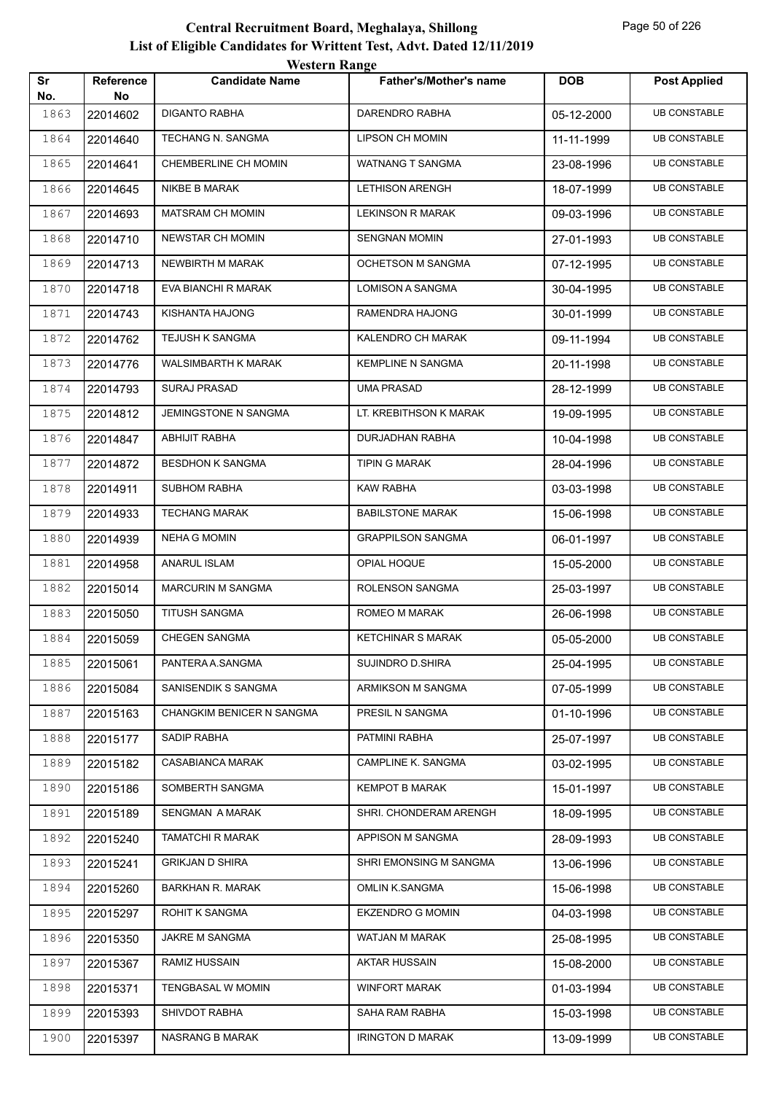|           |                        | <b>Western Range</b>      |                               |            |                     |
|-----------|------------------------|---------------------------|-------------------------------|------------|---------------------|
| Sr<br>No. | <b>Reference</b><br>No | <b>Candidate Name</b>     | <b>Father's/Mother's name</b> | <b>DOB</b> | <b>Post Applied</b> |
| 1863      | 22014602               | <b>DIGANTO RABHA</b>      | DARENDRO RABHA                | 05-12-2000 | <b>UB CONSTABLE</b> |
| 1864      | 22014640               | TECHANG N. SANGMA         | <b>LIPSON CH MOMIN</b>        | 11-11-1999 | <b>UB CONSTABLE</b> |
| 1865      | 22014641               | CHEMBERLINE CH MOMIN      | <b>WATNANG T SANGMA</b>       | 23-08-1996 | <b>UB CONSTABLE</b> |
| 1866      | 22014645               | <b>NIKBE B MARAK</b>      | <b>LETHISON ARENGH</b>        | 18-07-1999 | <b>UB CONSTABLE</b> |
| 1867      | 22014693               | <b>MATSRAM CH MOMIN</b>   | <b>LEKINSON R MARAK</b>       | 09-03-1996 | <b>UB CONSTABLE</b> |
| 1868      | 22014710               | <b>NEWSTAR CH MOMIN</b>   | <b>SENGNAN MOMIN</b>          | 27-01-1993 | <b>UB CONSTABLE</b> |
| 1869      | 22014713               | NEWBIRTH M MARAK          | <b>OCHETSON M SANGMA</b>      | 07-12-1995 | <b>UB CONSTABLE</b> |
| 1870      | 22014718               | EVA BIANCHI R MARAK       | <b>LOMISON A SANGMA</b>       | 30-04-1995 | <b>UB CONSTABLE</b> |
| 1871      | 22014743               | KISHANTA HAJONG           | RAMENDRA HAJONG               | 30-01-1999 | <b>UB CONSTABLE</b> |
| 1872      | 22014762               | <b>TEJUSH K SANGMA</b>    | KALENDRO CH MARAK             | 09-11-1994 | <b>UB CONSTABLE</b> |
| 1873      | 22014776               | WALSIMBARTH K MARAK       | <b>KEMPLINE N SANGMA</b>      | 20-11-1998 | <b>UB CONSTABLE</b> |
| 1874      | 22014793               | <b>SURAJ PRASAD</b>       | <b>UMA PRASAD</b>             | 28-12-1999 | <b>UB CONSTABLE</b> |
| 1875      | 22014812               | JEMINGSTONE N SANGMA      | LT. KREBITHSON K MARAK        | 19-09-1995 | <b>UB CONSTABLE</b> |
| 1876      | 22014847               | <b>ABHIJIT RABHA</b>      | DURJADHAN RABHA               | 10-04-1998 | <b>UB CONSTABLE</b> |
| 1877      | 22014872               | <b>BESDHON K SANGMA</b>   | TIPIN G MARAK                 | 28-04-1996 | <b>UB CONSTABLE</b> |
| 1878      | 22014911               | <b>SUBHOM RABHA</b>       | <b>KAW RABHA</b>              | 03-03-1998 | <b>UB CONSTABLE</b> |
| 1879      | 22014933               | <b>TECHANG MARAK</b>      | <b>BABILSTONE MARAK</b>       | 15-06-1998 | <b>UB CONSTABLE</b> |
| 1880      | 22014939               | <b>NEHA G MOMIN</b>       | <b>GRAPPILSON SANGMA</b>      | 06-01-1997 | <b>UB CONSTABLE</b> |
| 1881      | 22014958               | <b>ANARUL ISLAM</b>       | OPIAL HOQUE                   | 15-05-2000 | <b>UB CONSTABLE</b> |
| 1882      | 22015014               | <b>MARCURIN M SANGMA</b>  | ROLENSON SANGMA               | 25-03-1997 | <b>UB CONSTABLE</b> |
| 1883      | 22015050               | <b>TITUSH SANGMA</b>      | ROMEO M MARAK                 | 26-06-1998 | <b>UB CONSTABLE</b> |
| 1884      | 22015059               | <b>CHEGEN SANGMA</b>      | <b>KETCHINAR S MARAK</b>      | 05-05-2000 | <b>UB CONSTABLE</b> |
| 1885      | 22015061               | PANTERA A.SANGMA          | <b>SUJINDRO D.SHIRA</b>       | 25-04-1995 | <b>UB CONSTABLE</b> |
| 1886      | 22015084               | SANISENDIK S SANGMA       | ARMIKSON M SANGMA             | 07-05-1999 | <b>UB CONSTABLE</b> |
| 1887      | 22015163               | CHANGKIM BENICER N SANGMA | PRESIL N SANGMA               | 01-10-1996 | <b>UB CONSTABLE</b> |
| 1888      | 22015177               | SADIP RABHA               | PATMINI RABHA                 | 25-07-1997 | <b>UB CONSTABLE</b> |
| 1889      | 22015182               | CASABIANCA MARAK          | CAMPLINE K. SANGMA            | 03-02-1995 | <b>UB CONSTABLE</b> |
| 1890      | 22015186               | SOMBERTH SANGMA           | <b>KEMPOT B MARAK</b>         | 15-01-1997 | <b>UB CONSTABLE</b> |
| 1891      | 22015189               | SENGMAN A MARAK           | SHRI. CHONDERAM ARENGH        | 18-09-1995 | <b>UB CONSTABLE</b> |
| 1892      | 22015240               | <b>TAMATCHI R MARAK</b>   | APPISON M SANGMA              | 28-09-1993 | <b>UB CONSTABLE</b> |
| 1893      | 22015241               | <b>GRIKJAN D SHIRA</b>    | SHRI EMONSING M SANGMA        | 13-06-1996 | <b>UB CONSTABLE</b> |
| 1894      | 22015260               | <b>BARKHAN R. MARAK</b>   | OMLIN K.SANGMA                | 15-06-1998 | <b>UB CONSTABLE</b> |
| 1895      | 22015297               | ROHIT K SANGMA            | <b>EKZENDRO G MOMIN</b>       | 04-03-1998 | <b>UB CONSTABLE</b> |
| 1896      | 22015350               | JAKRE M SANGMA            | WATJAN M MARAK                | 25-08-1995 | <b>UB CONSTABLE</b> |
| 1897      | 22015367               | RAMIZ HUSSAIN             | AKTAR HUSSAIN                 | 15-08-2000 | <b>UB CONSTABLE</b> |
| 1898      | 22015371               | TENGBASAL W MOMIN         | <b>WINFORT MARAK</b>          | 01-03-1994 | <b>UB CONSTABLE</b> |
| 1899      | 22015393               | SHIVDOT RABHA             | SAHA RAM RABHA                | 15-03-1998 | <b>UB CONSTABLE</b> |
| 1900      | 22015397               | NASRANG B MARAK           | <b>IRINGTON D MARAK</b>       | 13-09-1999 | <b>UB CONSTABLE</b> |
|           |                        |                           |                               |            |                     |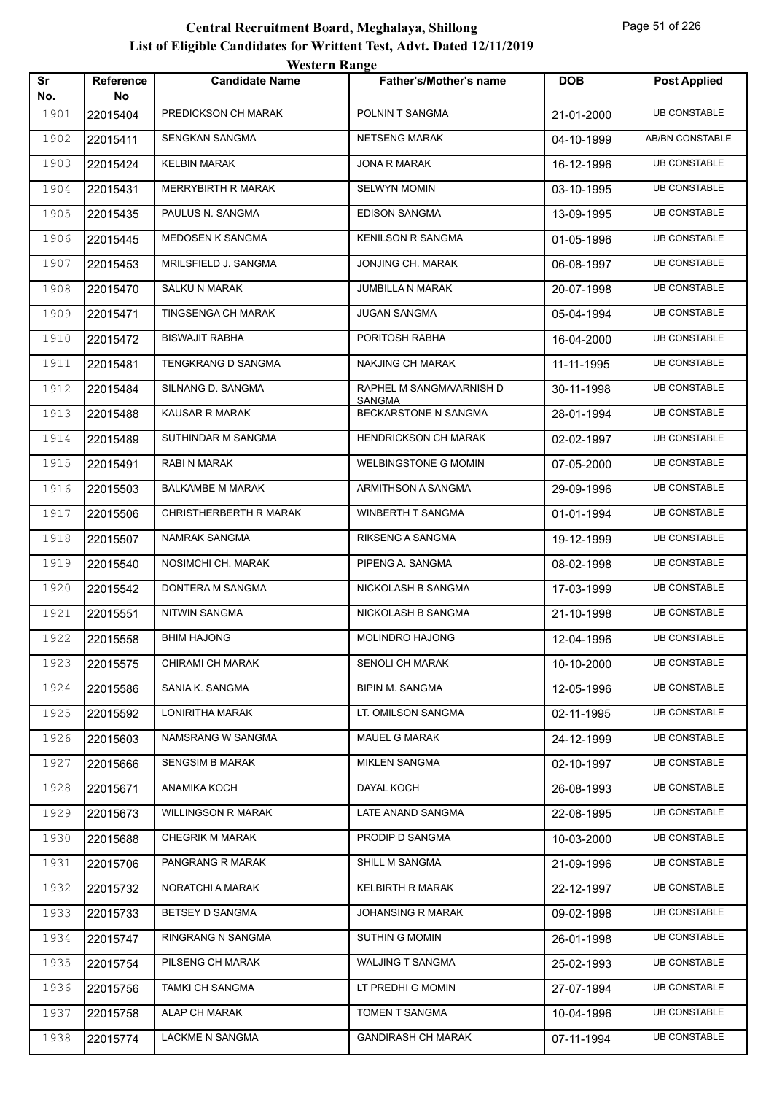|           |                        | <b>Western Range</b>      |                                           |            |                     |
|-----------|------------------------|---------------------------|-------------------------------------------|------------|---------------------|
| Sr<br>No. | <b>Reference</b><br>No | <b>Candidate Name</b>     | <b>Father's/Mother's name</b>             | <b>DOB</b> | <b>Post Applied</b> |
| 1901      | 22015404               | PREDICKSON CH MARAK       | POLNIN T SANGMA                           | 21-01-2000 | <b>UB CONSTABLE</b> |
| 1902      | 22015411               | SENGKAN SANGMA            | <b>NETSENG MARAK</b>                      | 04-10-1999 | AB/BN CONSTABLE     |
| 1903      | 22015424               | <b>KELBIN MARAK</b>       | <b>JONA R MARAK</b>                       | 16-12-1996 | <b>UB CONSTABLE</b> |
| 1904      | 22015431               | <b>MERRYBIRTH R MARAK</b> | <b>SELWYN MOMIN</b>                       | 03-10-1995 | <b>UB CONSTABLE</b> |
| 1905      | 22015435               | PAULUS N. SANGMA          | <b>EDISON SANGMA</b>                      | 13-09-1995 | <b>UB CONSTABLE</b> |
| 1906      | 22015445               | MEDOSEN K SANGMA          | <b>KENILSON R SANGMA</b>                  | 01-05-1996 | <b>UB CONSTABLE</b> |
| 1907      | 22015453               | MRILSFIELD J. SANGMA      | JONJING CH. MARAK                         | 06-08-1997 | <b>UB CONSTABLE</b> |
| 1908      | 22015470               | <b>SALKU N MARAK</b>      | <b>JUMBILLA N MARAK</b>                   | 20-07-1998 | <b>UB CONSTABLE</b> |
| 1909      | 22015471               | TINGSENGA CH MARAK        | <b>JUGAN SANGMA</b>                       | 05-04-1994 | <b>UB CONSTABLE</b> |
| 1910      | 22015472               | <b>BISWAJIT RABHA</b>     | PORITOSH RABHA                            | 16-04-2000 | <b>UB CONSTABLE</b> |
| 1911      | 22015481               | TENGKRANG D SANGMA        | NAKJING CH MARAK                          | 11-11-1995 | <b>UB CONSTABLE</b> |
| 1912      | 22015484               | SILNANG D. SANGMA         | RAPHEL M SANGMA/ARNISH D<br><b>SANGMA</b> | 30-11-1998 | <b>UB CONSTABLE</b> |
| 1913      | 22015488               | <b>KAUSAR R MARAK</b>     | BECKARSTONE N SANGMA                      | 28-01-1994 | <b>UB CONSTABLE</b> |
| 1914      | 22015489               | SUTHINDAR M SANGMA        | <b>HENDRICKSON CH MARAK</b>               | 02-02-1997 | <b>UB CONSTABLE</b> |
| 1915      | 22015491               | RABI N MARAK              | <b>WELBINGSTONE G MOMIN</b>               | 07-05-2000 | <b>UB CONSTABLE</b> |
| 1916      | 22015503               | <b>BALKAMBE M MARAK</b>   | ARMITHSON A SANGMA                        | 29-09-1996 | <b>UB CONSTABLE</b> |
| 1917      | 22015506               | CHRISTHERBERTH R MARAK    | WINBERTH T SANGMA                         | 01-01-1994 | <b>UB CONSTABLE</b> |
| 1918      | 22015507               | NAMRAK SANGMA             | <b>RIKSENG A SANGMA</b>                   | 19-12-1999 | <b>UB CONSTABLE</b> |
| 1919      | 22015540               | NOSIMCHI CH. MARAK        | PIPENG A. SANGMA                          | 08-02-1998 | <b>UB CONSTABLE</b> |
| 1920      | 22015542               | DONTERA M SANGMA          | NICKOLASH B SANGMA                        | 17-03-1999 | <b>UB CONSTABLE</b> |
| 1921      | 22015551               | <b>NITWIN SANGMA</b>      | NICKOLASH B SANGMA                        | 21-10-1998 | <b>UB CONSTABLE</b> |
| 1922      | 22015558               | <b>BHIM HAJONG</b>        | <b>MOLINDRO HAJONG</b>                    | 12-04-1996 | <b>UB CONSTABLE</b> |
| 1923      | 22015575               | CHIRAMI CH MARAK          | <b>SENOLI CH MARAK</b>                    | 10-10-2000 | <b>UB CONSTABLE</b> |
| 1924      | 22015586               | SANIA K. SANGMA           | <b>BIPIN M. SANGMA</b>                    | 12-05-1996 | <b>UB CONSTABLE</b> |
| 1925      | 22015592               | LONIRITHA MARAK           | LT. OMILSON SANGMA                        | 02-11-1995 | <b>UB CONSTABLE</b> |
| 1926      | 22015603               | NAMSRANG W SANGMA         | MAUEL G MARAK                             | 24-12-1999 | <b>UB CONSTABLE</b> |
| 1927      | 22015666               | <b>SENGSIM B MARAK</b>    | <b>MIKLEN SANGMA</b>                      | 02-10-1997 | <b>UB CONSTABLE</b> |
| 1928      | 22015671               | ANAMIKA KOCH              | DAYAL KOCH                                | 26-08-1993 | <b>UB CONSTABLE</b> |
| 1929      | 22015673               | <b>WILLINGSON R MARAK</b> | LATE ANAND SANGMA                         | 22-08-1995 | <b>UB CONSTABLE</b> |
| 1930      | 22015688               | <b>CHEGRIK M MARAK</b>    | PRODIP D SANGMA                           | 10-03-2000 | <b>UB CONSTABLE</b> |
| 1931      | 22015706               | PANGRANG R MARAK          | SHILL M SANGMA                            | 21-09-1996 | <b>UB CONSTABLE</b> |
| 1932      | 22015732               | NORATCHI A MARAK          | <b>KELBIRTH R MARAK</b>                   | 22-12-1997 | <b>UB CONSTABLE</b> |
| 1933      | 22015733               | BETSEY D SANGMA           | JOHANSING R MARAK                         | 09-02-1998 | <b>UB CONSTABLE</b> |
| 1934      | 22015747               | RINGRANG N SANGMA         | <b>SUTHIN G MOMIN</b>                     | 26-01-1998 | <b>UB CONSTABLE</b> |
| 1935      | 22015754               | PILSENG CH MARAK          | <b>WALJING T SANGMA</b>                   | 25-02-1993 | <b>UB CONSTABLE</b> |
| 1936      | 22015756               | TAMKI CH SANGMA           | LT PREDHI G MOMIN                         | 27-07-1994 | <b>UB CONSTABLE</b> |
| 1937      | 22015758               | ALAP CH MARAK             | TOMEN T SANGMA                            | 10-04-1996 | <b>UB CONSTABLE</b> |
| 1938      | 22015774               | LACKME N SANGMA           | <b>GANDIRASH CH MARAK</b>                 | 07-11-1994 | <b>UB CONSTABLE</b> |
|           |                        |                           |                                           |            |                     |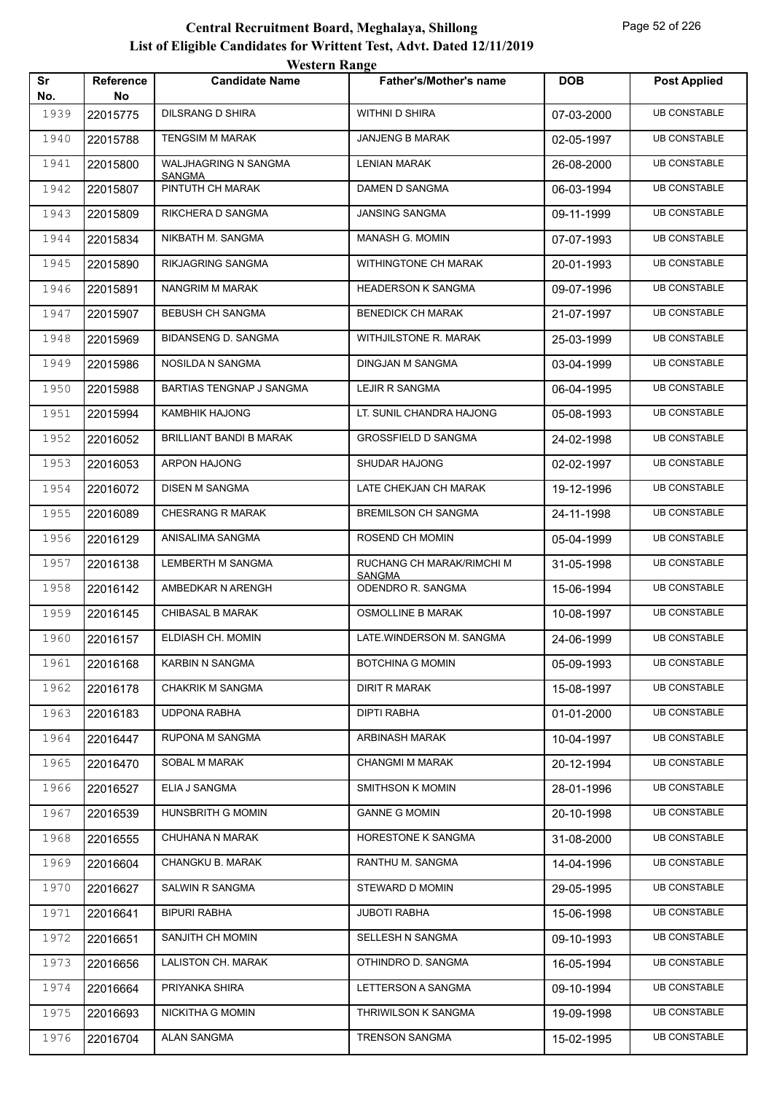|           |                 | <b>WESTERN MARGE</b>              |                                    |            |                     |
|-----------|-----------------|-----------------------------------|------------------------------------|------------|---------------------|
| Sr<br>No. | Reference<br>No | <b>Candidate Name</b>             | <b>Father's/Mother's name</b>      | <b>DOB</b> | <b>Post Applied</b> |
| 1939      | 22015775        | DILSRANG D SHIRA                  | WITHNI D SHIRA                     | 07-03-2000 | <b>UB CONSTABLE</b> |
| 1940      | 22015788        | <b>TENGSIM M MARAK</b>            | <b>JANJENG B MARAK</b>             | 02-05-1997 | <b>UB CONSTABLE</b> |
| 1941      | 22015800        | <b>WALJHAGRING N SANGMA</b>       | <b>LENIAN MARAK</b>                | 26-08-2000 | <b>UB CONSTABLE</b> |
| 1942      | 22015807        | <b>SANGMA</b><br>PINTUTH CH MARAK | DAMEN D SANGMA                     | 06-03-1994 | <b>UB CONSTABLE</b> |
| 1943      | 22015809        | RIKCHERA D SANGMA                 | <b>JANSING SANGMA</b>              | 09-11-1999 | <b>UB CONSTABLE</b> |
| 1944      | 22015834        | NIKBATH M. SANGMA                 | MANASH G. MOMIN                    | 07-07-1993 | <b>UB CONSTABLE</b> |
| 1945      | 22015890        | RIKJAGRING SANGMA                 | WITHINGTONE CH MARAK               | 20-01-1993 | <b>UB CONSTABLE</b> |
| 1946      | 22015891        | NANGRIM M MARAK                   | <b>HEADERSON K SANGMA</b>          | 09-07-1996 | <b>UB CONSTABLE</b> |
| 1947      | 22015907        | <b>BEBUSH CH SANGMA</b>           | <b>BENEDICK CH MARAK</b>           | 21-07-1997 | <b>UB CONSTABLE</b> |
| 1948      | 22015969        | <b>BIDANSENG D. SANGMA</b>        | WITHJILSTONE R. MARAK              | 25-03-1999 | <b>UB CONSTABLE</b> |
| 1949      | 22015986        | NOSILDA N SANGMA                  | DINGJAN M SANGMA                   | 03-04-1999 | <b>UB CONSTABLE</b> |
| 1950      | 22015988        | <b>BARTIAS TENGNAP J SANGMA</b>   | LEJIR R SANGMA                     | 06-04-1995 | <b>UB CONSTABLE</b> |
| 1951      | 22015994        | <b>KAMBHIK HAJONG</b>             | LT. SUNIL CHANDRA HAJONG           | 05-08-1993 | <b>UB CONSTABLE</b> |
| 1952      | 22016052        | <b>BRILLIANT BANDI B MARAK</b>    | <b>GROSSFIELD D SANGMA</b>         | 24-02-1998 | <b>UB CONSTABLE</b> |
| 1953      | 22016053        | ARPON HAJONG                      | <b>SHUDAR HAJONG</b>               | 02-02-1997 | <b>UB CONSTABLE</b> |
| 1954      | 22016072        | <b>DISEN M SANGMA</b>             | LATE CHEKJAN CH MARAK              | 19-12-1996 | <b>UB CONSTABLE</b> |
| 1955      | 22016089        | <b>CHESRANG R MARAK</b>           | <b>BREMILSON CH SANGMA</b>         | 24-11-1998 | <b>UB CONSTABLE</b> |
| 1956      | 22016129        | ANISALIMA SANGMA                  | ROSEND CH MOMIN                    | 05-04-1999 | <b>UB CONSTABLE</b> |
| 1957      | 22016138        | LEMBERTH M SANGMA                 | RUCHANG CH MARAK/RIMCHI M          | 31-05-1998 | <b>UB CONSTABLE</b> |
| 1958      | 22016142        | AMBEDKAR N ARENGH                 | <b>SANGMA</b><br>ODENDRO R. SANGMA | 15-06-1994 | <b>UB CONSTABLE</b> |
| 1959      | 22016145        | <b>CHIBASAL B MARAK</b>           | OSMOLLINE B MARAK                  | 10-08-1997 | <b>UB CONSTABLE</b> |
| 1960      | 22016157        | ELDIASH CH. MOMIN                 | LATE.WINDERSON M. SANGMA           | 24-06-1999 | <b>UB CONSTABLE</b> |
| 1961      | 22016168        | KARBIN N SANGMA                   | <b>BOTCHINA G MOMIN</b>            | 05-09-1993 | <b>UB CONSTABLE</b> |
| 1962      | 22016178        | <b>CHAKRIK M SANGMA</b>           | DIRIT R MARAK                      | 15-08-1997 | <b>UB CONSTABLE</b> |
| 1963      | 22016183        | <b>UDPONA RABHA</b>               | <b>DIPTI RABHA</b>                 | 01-01-2000 | <b>UB CONSTABLE</b> |
| 1964      | 22016447        | RUPONA M SANGMA                   | ARBINASH MARAK                     | 10-04-1997 | <b>UB CONSTABLE</b> |
| 1965      | 22016470        | SOBAL M MARAK                     | <b>CHANGMI M MARAK</b>             | 20-12-1994 | <b>UB CONSTABLE</b> |
| 1966      | 22016527        | ELIA J SANGMA                     | SMITHSON K MOMIN                   | 28-01-1996 | <b>UB CONSTABLE</b> |
| 1967      | 22016539        | HUNSBRITH G MOMIN                 | <b>GANNE G MOMIN</b>               | 20-10-1998 | <b>UB CONSTABLE</b> |
| 1968      | 22016555        | CHUHANA N MARAK                   | HORESTONE K SANGMA                 | 31-08-2000 | <b>UB CONSTABLE</b> |
| 1969      | 22016604        | CHANGKU B. MARAK                  | RANTHU M. SANGMA                   | 14-04-1996 | <b>UB CONSTABLE</b> |
| 1970      | 22016627        | SALWIN R SANGMA                   | STEWARD D MOMIN                    | 29-05-1995 | <b>UB CONSTABLE</b> |
| 1971      | 22016641        | <b>BIPURI RABHA</b>               | <b>JUBOTI RABHA</b>                | 15-06-1998 | <b>UB CONSTABLE</b> |
| 1972      | 22016651        | SANJITH CH MOMIN                  | SELLESH N SANGMA                   | 09-10-1993 | <b>UB CONSTABLE</b> |
| 1973      | 22016656        | LALISTON CH. MARAK                | OTHINDRO D. SANGMA                 | 16-05-1994 | <b>UB CONSTABLE</b> |
| 1974      | 22016664        | PRIYANKA SHIRA                    | LETTERSON A SANGMA                 | 09-10-1994 | <b>UB CONSTABLE</b> |
| 1975      | 22016693        | NICKITHA G MOMIN                  | THRIWILSON K SANGMA                | 19-09-1998 | <b>UB CONSTABLE</b> |
| 1976      | 22016704        | ALAN SANGMA                       | <b>TRENSON SANGMA</b>              | 15-02-1995 | <b>UB CONSTABLE</b> |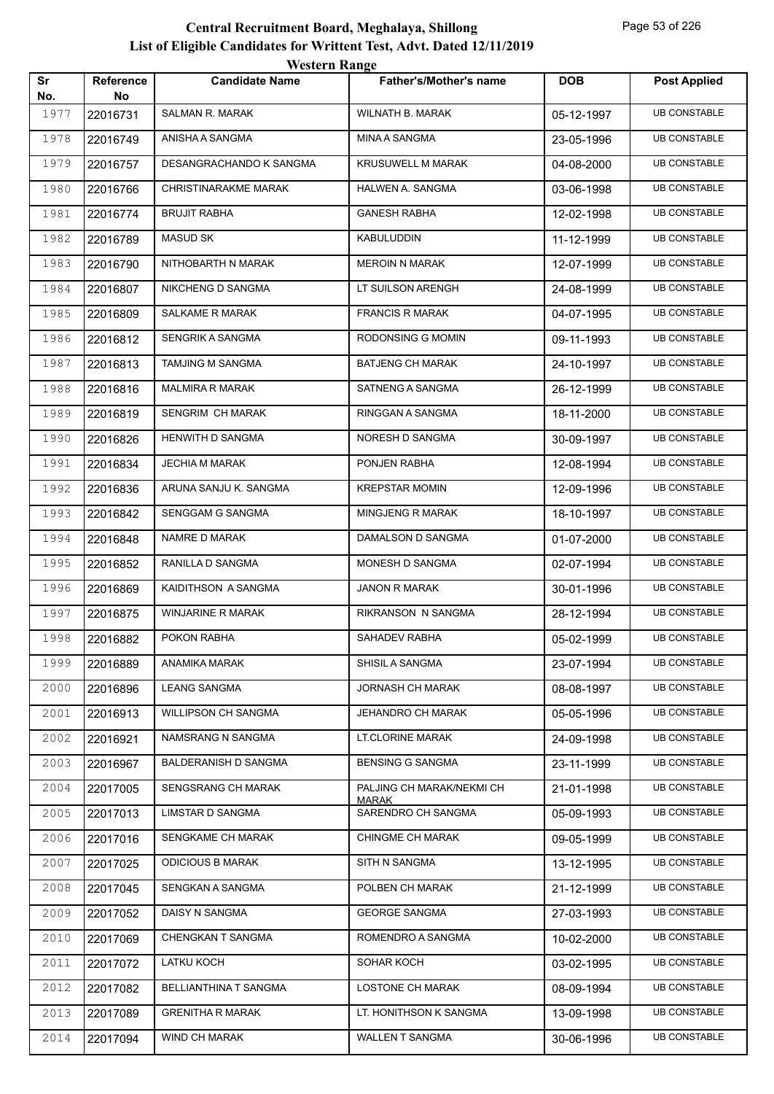|           |                  | WESTEL II INALIZE       |                                           |            |                     |
|-----------|------------------|-------------------------|-------------------------------------------|------------|---------------------|
| Sr<br>No. | Reference<br>No. | <b>Candidate Name</b>   | <b>Father's/Mother's name</b>             | <b>DOB</b> | <b>Post Applied</b> |
| 1977      | 22016731         | SALMAN R. MARAK         | WILNATH B. MARAK                          | 05-12-1997 | <b>UB CONSTABLE</b> |
| 1978      | 22016749         | ANISHA A SANGMA         | MINA A SANGMA                             | 23-05-1996 | <b>UB CONSTABLE</b> |
| 1979      | 22016757         | DESANGRACHANDO K SANGMA | <b>KRUSUWELL M MARAK</b>                  | 04-08-2000 | <b>UB CONSTABLE</b> |
| 1980      | 22016766         | CHRISTINARAKME MARAK    | HALWEN A. SANGMA                          | 03-06-1998 | <b>UB CONSTABLE</b> |
| 1981      | 22016774         | <b>BRUJIT RABHA</b>     | <b>GANESH RABHA</b>                       | 12-02-1998 | <b>UB CONSTABLE</b> |
| 1982      | 22016789         | MASUD SK                | KABULUDDIN                                | 11-12-1999 | <b>UB CONSTABLE</b> |
| 1983      | 22016790         | NITHOBARTH N MARAK      | <b>MEROIN N MARAK</b>                     | 12-07-1999 | <b>UB CONSTABLE</b> |
| 1984      | 22016807         | NIKCHENG D SANGMA       | LT SUILSON ARENGH                         | 24-08-1999 | <b>UB CONSTABLE</b> |
| 1985      | 22016809         | SALKAME R MARAK         | <b>FRANCIS R MARAK</b>                    | 04-07-1995 | <b>UB CONSTABLE</b> |
| 1986      | 22016812         | SENGRIK A SANGMA        | RODONSING G MOMIN                         | 09-11-1993 | <b>UB CONSTABLE</b> |
| 1987      | 22016813         | TAMJING M SANGMA        | <b>BATJENG CH MARAK</b>                   | 24-10-1997 | UB CONSTABLE        |
| 1988      | 22016816         | MALMIRA R MARAK         | SATNENG A SANGMA                          | 26-12-1999 | <b>UB CONSTABLE</b> |
| 1989      | 22016819         | SENGRIM CH MARAK        | RINGGAN A SANGMA                          | 18-11-2000 | <b>UB CONSTABLE</b> |
| 1990      | 22016826         | <b>HENWITH D SANGMA</b> | NORESH D SANGMA                           | 30-09-1997 | <b>UB CONSTABLE</b> |
| 1991      | 22016834         | <b>JECHIA M MARAK</b>   | PONJEN RABHA                              | 12-08-1994 | <b>UB CONSTABLE</b> |
| 1992      | 22016836         | ARUNA SANJU K. SANGMA   | <b>KREPSTAR MOMIN</b>                     | 12-09-1996 | UB CONSTABLE        |
| 1993      | 22016842         | SENGGAM G SANGMA        | MINGJENG R MARAK                          | 18-10-1997 | <b>UB CONSTABLE</b> |
| 1994      | 22016848         | NAMRE D MARAK           | DAMALSON D SANGMA                         | 01-07-2000 | <b>UB CONSTABLE</b> |
| 1995      | 22016852         | RANILLA D SANGMA        | MONESH D SANGMA                           | 02-07-1994 | <b>UB CONSTABLE</b> |
| 1996      | 22016869         | KAIDITHSON A SANGMA     | JANON R MARAK                             | 30-01-1996 | <b>UB CONSTABLE</b> |
| 1997      | 22016875         | WINJARINE R MARAK       | RIKRANSON N SANGMA                        | 28-12-1994 | UB CONSTABLE        |
| 1998      | 22016882         | POKON RABHA             | SAHADEV RABHA                             | 05-02-1999 | <b>UB CONSTABLE</b> |
| 1999      | 22016889         | ANAMIKA MARAK           | SHISIL A SANGMA                           | 23-07-1994 | <b>UB CONSTABLE</b> |
| 2000      | 22016896         | <b>LEANG SANGMA</b>     | JORNASH CH MARAK                          | 08-08-1997 | <b>UB CONSTABLE</b> |
| 2001      | 22016913         | WILLIPSON CH SANGMA     | <b>JEHANDRO CH MARAK</b>                  | 05-05-1996 | <b>UB CONSTABLE</b> |
| 2002      | 22016921         | NAMSRANG N SANGMA       | LT.CLORINE MARAK                          | 24-09-1998 | <b>UB CONSTABLE</b> |
| 2003      | 22016967         | BALDERANISH D SANGMA    | <b>BENSING G SANGMA</b>                   | 23-11-1999 | <b>UB CONSTABLE</b> |
| 2004      | 22017005         | SENGSRANG CH MARAK      | PALJING CH MARAK/NEKMI CH<br><b>MARAK</b> | 21-01-1998 | <b>UB CONSTABLE</b> |
| 2005      | 22017013         | LIMSTAR D SANGMA        | SARENDRO CH SANGMA                        | 05-09-1993 | <b>UB CONSTABLE</b> |
| 2006      | 22017016         | SENGKAME CH MARAK       | <b>CHINGME CH MARAK</b>                   | 09-05-1999 | <b>UB CONSTABLE</b> |
| 2007      | 22017025         | <b>ODICIOUS B MARAK</b> | SITH N SANGMA                             | 13-12-1995 | <b>UB CONSTABLE</b> |
| 2008      | 22017045         | SENGKAN A SANGMA        | POLBEN CH MARAK                           | 21-12-1999 | <b>UB CONSTABLE</b> |
| 2009      | 22017052         | DAISY N SANGMA          | <b>GEORGE SANGMA</b>                      | 27-03-1993 | <b>UB CONSTABLE</b> |
| 2010      | 22017069         | CHENGKAN T SANGMA       | ROMENDRO A SANGMA                         | 10-02-2000 | <b>UB CONSTABLE</b> |
| 2011      | 22017072         | LATKU KOCH              | SOHAR KOCH                                | 03-02-1995 | <b>UB CONSTABLE</b> |
| 2012      | 22017082         | BELLIANTHINA T SANGMA   | LOSTONE CH MARAK                          | 08-09-1994 | <b>UB CONSTABLE</b> |
| 2013      | 22017089         | <b>GRENITHA R MARAK</b> | LT. HONITHSON K SANGMA                    | 13-09-1998 | <b>UB CONSTABLE</b> |
| 2014      | 22017094         | WIND CH MARAK           | WALLEN T SANGMA                           | 30-06-1996 | <b>UB CONSTABLE</b> |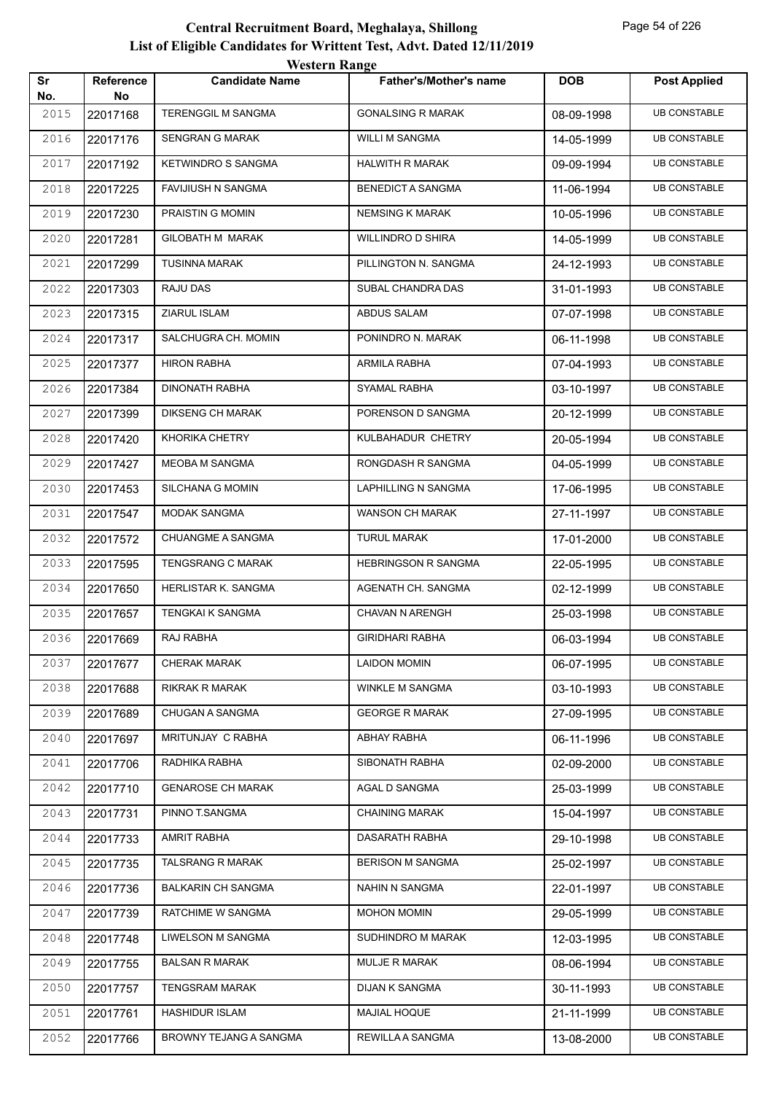|           |                        | <b>Western Range</b>      |                               |            |                     |
|-----------|------------------------|---------------------------|-------------------------------|------------|---------------------|
| Sr<br>No. | <b>Reference</b><br>No | <b>Candidate Name</b>     | <b>Father's/Mother's name</b> | <b>DOB</b> | <b>Post Applied</b> |
| 2015      | 22017168               | <b>TERENGGIL M SANGMA</b> | <b>GONALSING R MARAK</b>      | 08-09-1998 | <b>UB CONSTABLE</b> |
| 2016      | 22017176               | <b>SENGRAN G MARAK</b>    | <b>WILLI M SANGMA</b>         | 14-05-1999 | <b>UB CONSTABLE</b> |
| 2017      | 22017192               | <b>KETWINDRO S SANGMA</b> | <b>HALWITH R MARAK</b>        | 09-09-1994 | <b>UB CONSTABLE</b> |
| 2018      | 22017225               | <b>FAVIJIUSH N SANGMA</b> | <b>BENEDICT A SANGMA</b>      | 11-06-1994 | <b>UB CONSTABLE</b> |
| 2019      | 22017230               | PRAISTIN G MOMIN          | <b>NEMSING K MARAK</b>        | 10-05-1996 | <b>UB CONSTABLE</b> |
| 2020      | 22017281               | <b>GILOBATH M MARAK</b>   | <b>WILLINDRO D SHIRA</b>      | 14-05-1999 | <b>UB CONSTABLE</b> |
| 2021      | 22017299               | <b>TUSINNA MARAK</b>      | PILLINGTON N. SANGMA          | 24-12-1993 | <b>UB CONSTABLE</b> |
| 2022      | 22017303               | RAJU DAS                  | SUBAL CHANDRA DAS             | 31-01-1993 | <b>UB CONSTABLE</b> |
| 2023      | 22017315               | ZIARUL ISLAM              | ABDUS SALAM                   | 07-07-1998 | <b>UB CONSTABLE</b> |
| 2024      | 22017317               | SALCHUGRA CH. MOMIN       | PONINDRO N. MARAK             | 06-11-1998 | <b>UB CONSTABLE</b> |
| 2025      | 22017377               | <b>HIRON RABHA</b>        | ARMILA RABHA                  | 07-04-1993 | <b>UB CONSTABLE</b> |
| 2026      | 22017384               | <b>DINONATH RABHA</b>     | SYAMAL RABHA                  | 03-10-1997 | <b>UB CONSTABLE</b> |
| 2027      | 22017399               | <b>DIKSENG CH MARAK</b>   | PORENSON D SANGMA             | 20-12-1999 | <b>UB CONSTABLE</b> |
| 2028      | 22017420               | <b>KHORIKA CHETRY</b>     | KULBAHADUR CHETRY             | 20-05-1994 | <b>UB CONSTABLE</b> |
| 2029      | 22017427               | <b>MEOBA M SANGMA</b>     | RONGDASH R SANGMA             | 04-05-1999 | <b>UB CONSTABLE</b> |
| 2030      | 22017453               | SILCHANA G MOMIN          | LAPHILLING N SANGMA           | 17-06-1995 | <b>UB CONSTABLE</b> |
| 2031      | 22017547               | <b>MODAK SANGMA</b>       | WANSON CH MARAK               | 27-11-1997 | <b>UB CONSTABLE</b> |
| 2032      | 22017572               | <b>CHUANGME A SANGMA</b>  | <b>TURUL MARAK</b>            | 17-01-2000 | <b>UB CONSTABLE</b> |
| 2033      | 22017595               | <b>TENGSRANG C MARAK</b>  | <b>HEBRINGSON R SANGMA</b>    | 22-05-1995 | <b>UB CONSTABLE</b> |
| 2034      | 22017650               | HERLISTAR K. SANGMA       | AGENATH CH. SANGMA            | 02-12-1999 | <b>UB CONSTABLE</b> |
| 2035      | 22017657               | <b>TENGKAI K SANGMA</b>   | <b>CHAVAN N ARENGH</b>        | 25-03-1998 | <b>UB CONSTABLE</b> |
| 2036      | 22017669               | RAJ RABHA                 | <b>GIRIDHARI RABHA</b>        | 06-03-1994 | <b>UB CONSTABLE</b> |
| 2037      | 22017677               | <b>CHERAK MARAK</b>       | <b>LAIDON MOMIN</b>           | 06-07-1995 | <b>UB CONSTABLE</b> |
| 2038      | 22017688               | <b>RIKRAK R MARAK</b>     | <b>WINKLE M SANGMA</b>        | 03-10-1993 | <b>UB CONSTABLE</b> |
| 2039      | 22017689               | <b>CHUGAN A SANGMA</b>    | <b>GEORGE R MARAK</b>         | 27-09-1995 | <b>UB CONSTABLE</b> |
| 2040      | 22017697               | MRITUNJAY C RABHA         | ABHAY RABHA                   | 06-11-1996 | <b>UB CONSTABLE</b> |
| 2041      | 22017706               | RADHIKA RABHA             | SIBONATH RABHA                | 02-09-2000 | <b>UB CONSTABLE</b> |
| 2042      | 22017710               | <b>GENAROSE CH MARAK</b>  | AGAL D SANGMA                 | 25-03-1999 | <b>UB CONSTABLE</b> |
| 2043      | 22017731               | PINNO T.SANGMA            | <b>CHAINING MARAK</b>         | 15-04-1997 | <b>UB CONSTABLE</b> |
| 2044      | 22017733               | <b>AMRIT RABHA</b>        | DASARATH RABHA                | 29-10-1998 | <b>UB CONSTABLE</b> |
| 2045      | 22017735               | TALSRANG R MARAK          | <b>BERISON M SANGMA</b>       | 25-02-1997 | <b>UB CONSTABLE</b> |
| 2046      | 22017736               | <b>BALKARIN CH SANGMA</b> | NAHIN N SANGMA                | 22-01-1997 | <b>UB CONSTABLE</b> |
| 2047      | 22017739               | RATCHIME W SANGMA         | MOHON MOMIN                   | 29-05-1999 | <b>UB CONSTABLE</b> |
| 2048      | 22017748               | LIWELSON M SANGMA         | SUDHINDRO M MARAK             | 12-03-1995 | <b>UB CONSTABLE</b> |
| 2049      | 22017755               | <b>BALSAN R MARAK</b>     | <b>MULJE R MARAK</b>          | 08-06-1994 | <b>UB CONSTABLE</b> |
| 2050      | 22017757               | TENGSRAM MARAK            | DIJAN K SANGMA                | 30-11-1993 | <b>UB CONSTABLE</b> |
| 2051      | 22017761               | <b>HASHIDUR ISLAM</b>     | MAJIAL HOQUE                  | 21-11-1999 | <b>UB CONSTABLE</b> |
| 2052      | 22017766               | BROWNY TEJANG A SANGMA    | REWILLA A SANGMA              | 13-08-2000 | <b>UB CONSTABLE</b> |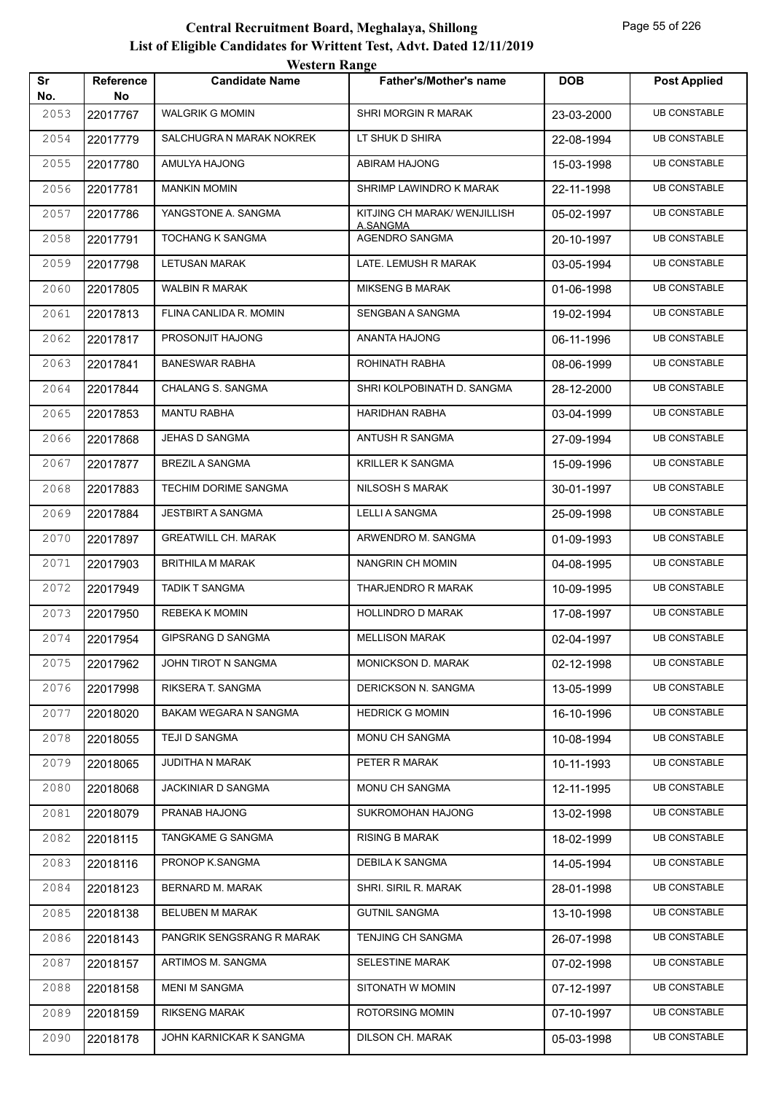|           |                        | <b>Western Range</b>       |                               |            |                     |
|-----------|------------------------|----------------------------|-------------------------------|------------|---------------------|
| Sr<br>No. | <b>Reference</b><br>No | <b>Candidate Name</b>      | <b>Father's/Mother's name</b> | <b>DOB</b> | <b>Post Applied</b> |
| 2053      | 22017767               | <b>WALGRIK G MOMIN</b>     | SHRI MORGIN R MARAK           | 23-03-2000 | <b>UB CONSTABLE</b> |
| 2054      | 22017779               | SALCHUGRA N MARAK NOKREK   | LT SHUK D SHIRA               | 22-08-1994 | <b>UB CONSTABLE</b> |
| 2055      | 22017780               | AMULYA HAJONG              | <b>ABIRAM HAJONG</b>          | 15-03-1998 | <b>UB CONSTABLE</b> |
| 2056      | 22017781               | <b>MANKIN MOMIN</b>        | SHRIMP LAWINDRO K MARAK       | 22-11-1998 | <b>UB CONSTABLE</b> |
| 2057      | 22017786               | YANGSTONE A. SANGMA        | KITJING CH MARAK/ WENJILLISH  | 05-02-1997 | <b>UB CONSTABLE</b> |
| 2058      | 22017791               | <b>TOCHANG K SANGMA</b>    | A.SANGMA<br>AGENDRO SANGMA    | 20-10-1997 | <b>UB CONSTABLE</b> |
| 2059      | 22017798               | <b>LETUSAN MARAK</b>       | LATE. LEMUSH R MARAK          | 03-05-1994 | <b>UB CONSTABLE</b> |
| 2060      | 22017805               | <b>WALBIN R MARAK</b>      | <b>MIKSENG B MARAK</b>        | 01-06-1998 | <b>UB CONSTABLE</b> |
| 2061      | 22017813               | FLINA CANLIDA R. MOMIN     | SENGBAN A SANGMA              | 19-02-1994 | <b>UB CONSTABLE</b> |
| 2062      | 22017817               | PROSONJIT HAJONG           | ANANTA HAJONG                 | 06-11-1996 | <b>UB CONSTABLE</b> |
| 2063      | 22017841               | <b>BANESWAR RABHA</b>      | ROHINATH RABHA                | 08-06-1999 | <b>UB CONSTABLE</b> |
| 2064      | 22017844               | CHALANG S. SANGMA          | SHRI KOLPOBINATH D. SANGMA    | 28-12-2000 | <b>UB CONSTABLE</b> |
| 2065      | 22017853               | <b>MANTU RABHA</b>         | <b>HARIDHAN RABHA</b>         | 03-04-1999 | <b>UB CONSTABLE</b> |
| 2066      | 22017868               | JEHAS D SANGMA             | ANTUSH R SANGMA               | 27-09-1994 | <b>UB CONSTABLE</b> |
| 2067      | 22017877               | <b>BREZIL A SANGMA</b>     | <b>KRILLER K SANGMA</b>       | 15-09-1996 | <b>UB CONSTABLE</b> |
| 2068      | 22017883               | TECHIM DORIME SANGMA       | <b>NILSOSH S MARAK</b>        | 30-01-1997 | <b>UB CONSTABLE</b> |
| 2069      | 22017884               | <b>JESTBIRT A SANGMA</b>   | <b>LELLI A SANGMA</b>         | 25-09-1998 | <b>UB CONSTABLE</b> |
| 2070      | 22017897               | <b>GREATWILL CH. MARAK</b> | ARWENDRO M. SANGMA            | 01-09-1993 | <b>UB CONSTABLE</b> |
| 2071      | 22017903               | <b>BRITHILA M MARAK</b>    | NANGRIN CH MOMIN              | 04-08-1995 | <b>UB CONSTABLE</b> |
| 2072      | 22017949               | <b>TADIK T SANGMA</b>      | THARJENDRO R MARAK            | 10-09-1995 | <b>UB CONSTABLE</b> |
| 2073      | 22017950               | REBEKA K MOMIN             | <b>HOLLINDRO D MARAK</b>      | 17-08-1997 | <b>UB CONSTABLE</b> |
| 2074      | 22017954               | <b>GIPSRANG D SANGMA</b>   | <b>MELLISON MARAK</b>         | 02-04-1997 | <b>UB CONSTABLE</b> |
| 2075      | 22017962               | JOHN TIROT N SANGMA        | <b>MONICKSON D. MARAK</b>     | 02-12-1998 | <b>UB CONSTABLE</b> |
| 2076      | 22017998               | RIKSERA T. SANGMA          | DERICKSON N. SANGMA           | 13-05-1999 | <b>UB CONSTABLE</b> |
| 2077      | 22018020               | BAKAM WEGARA N SANGMA      | <b>HEDRICK G MOMIN</b>        | 16-10-1996 | <b>UB CONSTABLE</b> |
| 2078      | 22018055               | TEJI D SANGMA              | <b>MONU CH SANGMA</b>         | 10-08-1994 | <b>UB CONSTABLE</b> |
| 2079      | 22018065               | JUDITHA N MARAK            | PETER R MARAK                 | 10-11-1993 | <b>UB CONSTABLE</b> |
| 2080      | 22018068               | <b>JACKINIAR D SANGMA</b>  | MONU CH SANGMA                | 12-11-1995 | <b>UB CONSTABLE</b> |
| 2081      | 22018079               | PRANAB HAJONG              | SUKROMOHAN HAJONG             | 13-02-1998 | <b>UB CONSTABLE</b> |
| 2082      | 22018115               | TANGKAME G SANGMA          | <b>RISING B MARAK</b>         | 18-02-1999 | <b>UB CONSTABLE</b> |
| 2083      | 22018116               | PRONOP K.SANGMA            | DEBILA K SANGMA               | 14-05-1994 | <b>UB CONSTABLE</b> |
| 2084      | 22018123               | <b>BERNARD M. MARAK</b>    | SHRI. SIRIL R. MARAK          | 28-01-1998 | <b>UB CONSTABLE</b> |
| 2085      | 22018138               | BELUBEN M MARAK            | <b>GUTNIL SANGMA</b>          | 13-10-1998 | <b>UB CONSTABLE</b> |
| 2086      | 22018143               | PANGRIK SENGSRANG R MARAK  | TENJING CH SANGMA             | 26-07-1998 | <b>UB CONSTABLE</b> |
| 2087      | 22018157               | ARTIMOS M. SANGMA          | SELESTINE MARAK               | 07-02-1998 | <b>UB CONSTABLE</b> |
| 2088      | 22018158               | <b>MENI M SANGMA</b>       | SITONATH W MOMIN              | 07-12-1997 | <b>UB CONSTABLE</b> |
| 2089      | 22018159               | <b>RIKSENG MARAK</b>       | ROTORSING MOMIN               | 07-10-1997 | <b>UB CONSTABLE</b> |
| 2090      | 22018178               | JOHN KARNICKAR K SANGMA    | DILSON CH. MARAK              | 05-03-1998 | <b>UB CONSTABLE</b> |
|           |                        |                            |                               |            |                     |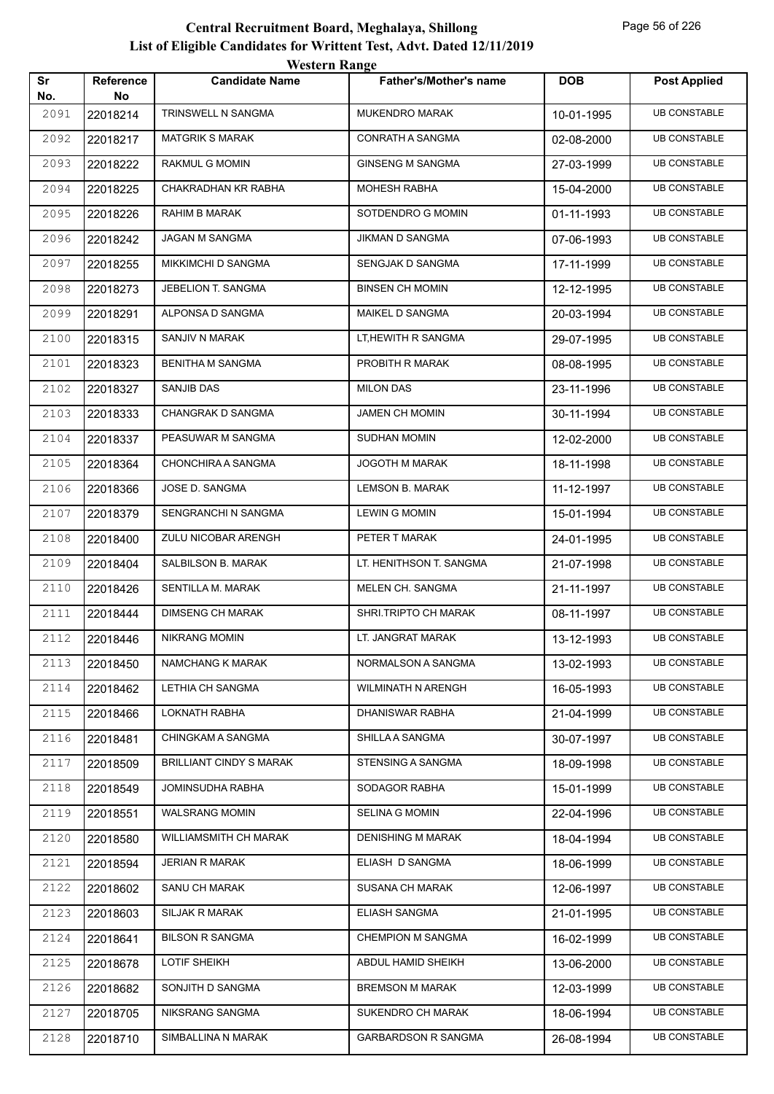|           |                        | <b>Western Range</b>           |                               |            |                     |
|-----------|------------------------|--------------------------------|-------------------------------|------------|---------------------|
| Sr<br>No. | <b>Reference</b><br>No | <b>Candidate Name</b>          | <b>Father's/Mother's name</b> | <b>DOB</b> | <b>Post Applied</b> |
| 2091      | 22018214               | TRINSWELL N SANGMA             | <b>MUKENDRO MARAK</b>         | 10-01-1995 | <b>UB CONSTABLE</b> |
| 2092      | 22018217               | <b>MATGRIK S MARAK</b>         | CONRATH A SANGMA              | 02-08-2000 | <b>UB CONSTABLE</b> |
| 2093      | 22018222               | RAKMUL G MOMIN                 | <b>GINSENG M SANGMA</b>       | 27-03-1999 | <b>UB CONSTABLE</b> |
| 2094      | 22018225               | CHAKRADHAN KR RABHA            | <b>MOHESH RABHA</b>           | 15-04-2000 | <b>UB CONSTABLE</b> |
| 2095      | 22018226               | RAHIM B MARAK                  | SOTDENDRO G MOMIN             | 01-11-1993 | <b>UB CONSTABLE</b> |
| 2096      | 22018242               | <b>JAGAN M SANGMA</b>          | <b>JIKMAN D SANGMA</b>        | 07-06-1993 | <b>UB CONSTABLE</b> |
| 2097      | 22018255               | MIKKIMCHI D SANGMA             | SENGJAK D SANGMA              | 17-11-1999 | <b>UB CONSTABLE</b> |
| 2098      | 22018273               | JEBELION T. SANGMA             | <b>BINSEN CH MOMIN</b>        | 12-12-1995 | <b>UB CONSTABLE</b> |
| 2099      | 22018291               | ALPONSA D SANGMA               | MAIKEL D SANGMA               | 20-03-1994 | <b>UB CONSTABLE</b> |
| 2100      | 22018315               | SANJIV N MARAK                 | LT, HEWITH R SANGMA           | 29-07-1995 | <b>UB CONSTABLE</b> |
| 2101      | 22018323               | <b>BENITHA M SANGMA</b>        | PROBITH R MARAK               | 08-08-1995 | <b>UB CONSTABLE</b> |
| 2102      | 22018327               | SANJIB DAS                     | <b>MILON DAS</b>              | 23-11-1996 | <b>UB CONSTABLE</b> |
| 2103      | 22018333               | CHANGRAK D SANGMA              | <b>JAMEN CH MOMIN</b>         | 30-11-1994 | <b>UB CONSTABLE</b> |
| 2104      | 22018337               | PEASUWAR M SANGMA              | <b>SUDHAN MOMIN</b>           | 12-02-2000 | <b>UB CONSTABLE</b> |
| 2105      | 22018364               | CHONCHIRA A SANGMA             | <b>JOGOTH M MARAK</b>         | 18-11-1998 | <b>UB CONSTABLE</b> |
| 2106      | 22018366               | JOSE D. SANGMA                 | <b>LEMSON B. MARAK</b>        | 11-12-1997 | <b>UB CONSTABLE</b> |
| 2107      | 22018379               | SENGRANCHI N SANGMA            | <b>LEWIN G MOMIN</b>          | 15-01-1994 | <b>UB CONSTABLE</b> |
| 2108      | 22018400               | ZULU NICOBAR ARENGH            | PETER T MARAK                 | 24-01-1995 | <b>UB CONSTABLE</b> |
| 2109      | 22018404               | SALBILSON B. MARAK             | LT. HENITHSON T. SANGMA       | 21-07-1998 | <b>UB CONSTABLE</b> |
| 2110      | 22018426               | SENTILLA M. MARAK              | MELEN CH. SANGMA              | 21-11-1997 | <b>UB CONSTABLE</b> |
| 2111      | 22018444               | <b>DIMSENG CH MARAK</b>        | SHRI.TRIPTO CH MARAK          | 08-11-1997 | <b>UB CONSTABLE</b> |
| 2112      | 22018446               | <b>NIKRANG MOMIN</b>           | LT. JANGRAT MARAK             | 13-12-1993 | <b>UB CONSTABLE</b> |
| 2113      | 22018450               | NAMCHANG K MARAK               | NORMALSON A SANGMA            | 13-02-1993 | <b>UB CONSTABLE</b> |
| 2114      | 22018462               | LETHIA CH SANGMA               | WILMINATH N ARENGH            | 16-05-1993 | <b>UB CONSTABLE</b> |
| 2115      | 22018466               | LOKNATH RABHA                  | <b>DHANISWAR RABHA</b>        | 21-04-1999 | <b>UB CONSTABLE</b> |
| 2116      | 22018481               | <b>CHINGKAM A SANGMA</b>       | SHILLA A SANGMA               | 30-07-1997 | <b>UB CONSTABLE</b> |
| 2117      | 22018509               | <b>BRILLIANT CINDY S MARAK</b> | <b>STENSING A SANGMA</b>      | 18-09-1998 | <b>UB CONSTABLE</b> |
| 2118      | 22018549               | JOMINSUDHA RABHA               | SODAGOR RABHA                 | 15-01-1999 | <b>UB CONSTABLE</b> |
| 2119      | 22018551               | <b>WALSRANG MOMIN</b>          | <b>SELINA G MOMIN</b>         | 22-04-1996 | <b>UB CONSTABLE</b> |
| 2120      | 22018580               | WILLIAMSMITH CH MARAK          | <b>DENISHING M MARAK</b>      | 18-04-1994 | <b>UB CONSTABLE</b> |
| 2121      | 22018594               | JERIAN R MARAK                 | ELIASH D SANGMA               | 18-06-1999 | <b>UB CONSTABLE</b> |
| 2122      | 22018602               | SANU CH MARAK                  | SUSANA CH MARAK               | 12-06-1997 | <b>UB CONSTABLE</b> |
| 2123      | 22018603               | SILJAK R MARAK                 | <b>ELIASH SANGMA</b>          | 21-01-1995 | <b>UB CONSTABLE</b> |
| 2124      | 22018641               | <b>BILSON R SANGMA</b>         | <b>CHEMPION M SANGMA</b>      | 16-02-1999 | <b>UB CONSTABLE</b> |
| 2125      | 22018678               | LOTIF SHEIKH                   | ABDUL HAMID SHEIKH            | 13-06-2000 | <b>UB CONSTABLE</b> |
| 2126      | 22018682               | SONJITH D SANGMA               | <b>BREMSON M MARAK</b>        | 12-03-1999 | UB CONSTABLE        |
| 2127      | 22018705               | NIKSRANG SANGMA                | SUKENDRO CH MARAK             | 18-06-1994 | <b>UB CONSTABLE</b> |
| 2128      | 22018710               | SIMBALLINA N MARAK             | <b>GARBARDSON R SANGMA</b>    | 26-08-1994 | <b>UB CONSTABLE</b> |
|           |                        |                                |                               |            |                     |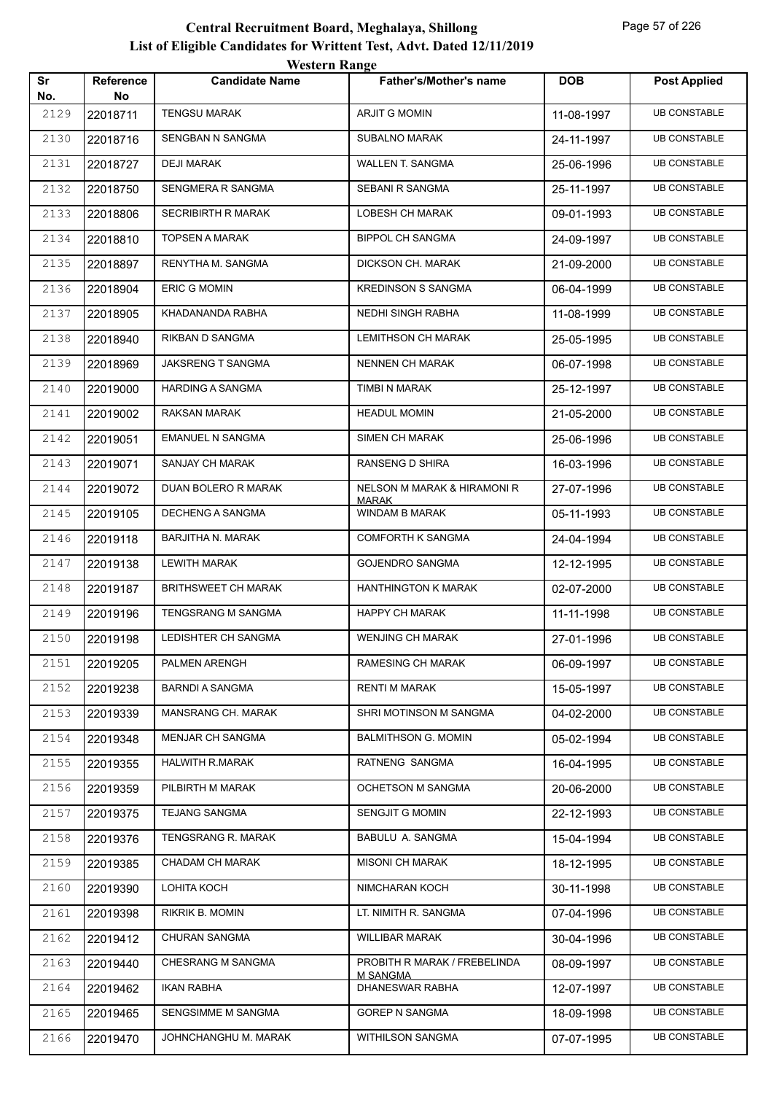| Sr<br>No. | <b>Reference</b><br>No | <b><i>HESKLE KAHEC</i></b><br><b>Candidate Name</b> | <b>Father's/Mother's name</b>                   | <b>DOB</b> | <b>Post Applied</b> |
|-----------|------------------------|-----------------------------------------------------|-------------------------------------------------|------------|---------------------|
| 2129      | 22018711               | <b>TENGSU MARAK</b>                                 | <b>ARJIT G MOMIN</b>                            | 11-08-1997 | <b>UB CONSTABLE</b> |
| 2130      | 22018716               | SENGBAN N SANGMA                                    | <b>SUBALNO MARAK</b>                            | 24-11-1997 | <b>UB CONSTABLE</b> |
| 2131      | 22018727               | <b>DEJI MARAK</b>                                   | <b>WALLEN T. SANGMA</b>                         | 25-06-1996 | <b>UB CONSTABLE</b> |
| 2132      | 22018750               | SENGMERA R SANGMA                                   | SEBANI R SANGMA                                 | 25-11-1997 | <b>UB CONSTABLE</b> |
| 2133      | 22018806               | <b>SECRIBIRTH R MARAK</b>                           | LOBESH CH MARAK                                 | 09-01-1993 | <b>UB CONSTABLE</b> |
| 2134      | 22018810               | <b>TOPSEN A MARAK</b>                               | <b>BIPPOL CH SANGMA</b>                         | 24-09-1997 | <b>UB CONSTABLE</b> |
| 2135      | 22018897               | RENYTHA M. SANGMA                                   | DICKSON CH. MARAK                               | 21-09-2000 | <b>UB CONSTABLE</b> |
| 2136      | 22018904               | <b>ERIC G MOMIN</b>                                 | <b>KREDINSON S SANGMA</b>                       | 06-04-1999 | <b>UB CONSTABLE</b> |
| 2137      | 22018905               | KHADANANDA RABHA                                    | NEDHI SINGH RABHA                               | 11-08-1999 | <b>UB CONSTABLE</b> |
| 2138      | 22018940               | RIKBAN D SANGMA                                     | <b>LEMITHSON CH MARAK</b>                       | 25-05-1995 | <b>UB CONSTABLE</b> |
| 2139      | 22018969               | JAKSRENG T SANGMA                                   | <b>NENNEN CH MARAK</b>                          | 06-07-1998 | <b>UB CONSTABLE</b> |
| 2140      | 22019000               | <b>HARDING A SANGMA</b>                             | TIMBI N MARAK                                   | 25-12-1997 | <b>UB CONSTABLE</b> |
| 2141      | 22019002               | RAKSAN MARAK                                        | <b>HEADUL MOMIN</b>                             | 21-05-2000 | <b>UB CONSTABLE</b> |
| 2142      | 22019051               | <b>EMANUEL N SANGMA</b>                             | <b>SIMEN CH MARAK</b>                           | 25-06-1996 | <b>UB CONSTABLE</b> |
| 2143      | 22019071               | SANJAY CH MARAK                                     | RANSENG D SHIRA                                 | 16-03-1996 | <b>UB CONSTABLE</b> |
| 2144      | 22019072               | DUAN BOLERO R MARAK                                 | NELSON M MARAK & HIRAMONI R                     | 27-07-1996 | <b>UB CONSTABLE</b> |
| 2145      | 22019105               | <b>DECHENG A SANGMA</b>                             | <b>MARAK</b><br>WINDAM B MARAK                  | 05-11-1993 | <b>UB CONSTABLE</b> |
| 2146      | 22019118               | <b>BARJITHA N. MARAK</b>                            | <b>COMFORTH K SANGMA</b>                        | 24-04-1994 | <b>UB CONSTABLE</b> |
| 2147      | 22019138               | <b>LEWITH MARAK</b>                                 | <b>GOJENDRO SANGMA</b>                          | 12-12-1995 | <b>UB CONSTABLE</b> |
| 2148      | 22019187               | <b>BRITHSWEET CH MARAK</b>                          | <b>HANTHINGTON K MARAK</b>                      | 02-07-2000 | <b>UB CONSTABLE</b> |
| 2149      | 22019196               | TENGSRANG M SANGMA                                  | <b>HAPPY CH MARAK</b>                           | 11-11-1998 | <b>UB CONSTABLE</b> |
| 2150      | 22019198               | LEDISHTER CH SANGMA                                 | <b>WENJING CH MARAK</b>                         | 27-01-1996 | <b>UB CONSTABLE</b> |
| 2151      | 22019205               | PALMEN ARENGH                                       | <b>RAMESING CH MARAK</b>                        | 06-09-1997 | <b>UB CONSTABLE</b> |
| 2152      | 22019238               | <b>BARNDI A SANGMA</b>                              | RENTI M MARAK                                   | 15-05-1997 | <b>UB CONSTABLE</b> |
| 2153      | 22019339               | MANSRANG CH. MARAK                                  | SHRI MOTINSON M SANGMA                          | 04-02-2000 | <b>UB CONSTABLE</b> |
| 2154      | 22019348               | <b>MENJAR CH SANGMA</b>                             | <b>BALMITHSON G. MOMIN</b>                      | 05-02-1994 | <b>UB CONSTABLE</b> |
| 2155      | 22019355               | HALWITH R.MARAK                                     | RATNENG SANGMA                                  | 16-04-1995 | <b>UB CONSTABLE</b> |
| 2156      | 22019359               | PILBIRTH M MARAK                                    | OCHETSON M SANGMA                               | 20-06-2000 | <b>UB CONSTABLE</b> |
| 2157      | 22019375               | <b>TEJANG SANGMA</b>                                | <b>SENGJIT G MOMIN</b>                          | 22-12-1993 | <b>UB CONSTABLE</b> |
| 2158      | 22019376               | TENGSRANG R. MARAK                                  | BABULU A. SANGMA                                | 15-04-1994 | <b>UB CONSTABLE</b> |
| 2159      | 22019385               | CHADAM CH MARAK                                     | <b>MISONI CH MARAK</b>                          | 18-12-1995 | <b>UB CONSTABLE</b> |
| 2160      | 22019390               | LOHITA KOCH                                         | NIMCHARAN KOCH                                  | 30-11-1998 | <b>UB CONSTABLE</b> |
| 2161      | 22019398               | RIKRIK B. MOMIN                                     | LT. NIMITH R. SANGMA                            | 07-04-1996 | <b>UB CONSTABLE</b> |
| 2162      | 22019412               | CHURAN SANGMA                                       | <b>WILLIBAR MARAK</b>                           | 30-04-1996 | <b>UB CONSTABLE</b> |
| 2163      | 22019440               | CHESRANG M SANGMA                                   | PROBITH R MARAK / FREBELINDA<br><b>M SANGMA</b> | 08-09-1997 | <b>UB CONSTABLE</b> |
| 2164      | 22019462               | <b>IKAN RABHA</b>                                   | DHANESWAR RABHA                                 | 12-07-1997 | <b>UB CONSTABLE</b> |
| 2165      | 22019465               | SENGSIMME M SANGMA                                  | <b>GOREP N SANGMA</b>                           | 18-09-1998 | <b>UB CONSTABLE</b> |
| 2166      | 22019470               | JOHNCHANGHU M. MARAK                                | WITHILSON SANGMA                                | 07-07-1995 | <b>UB CONSTABLE</b> |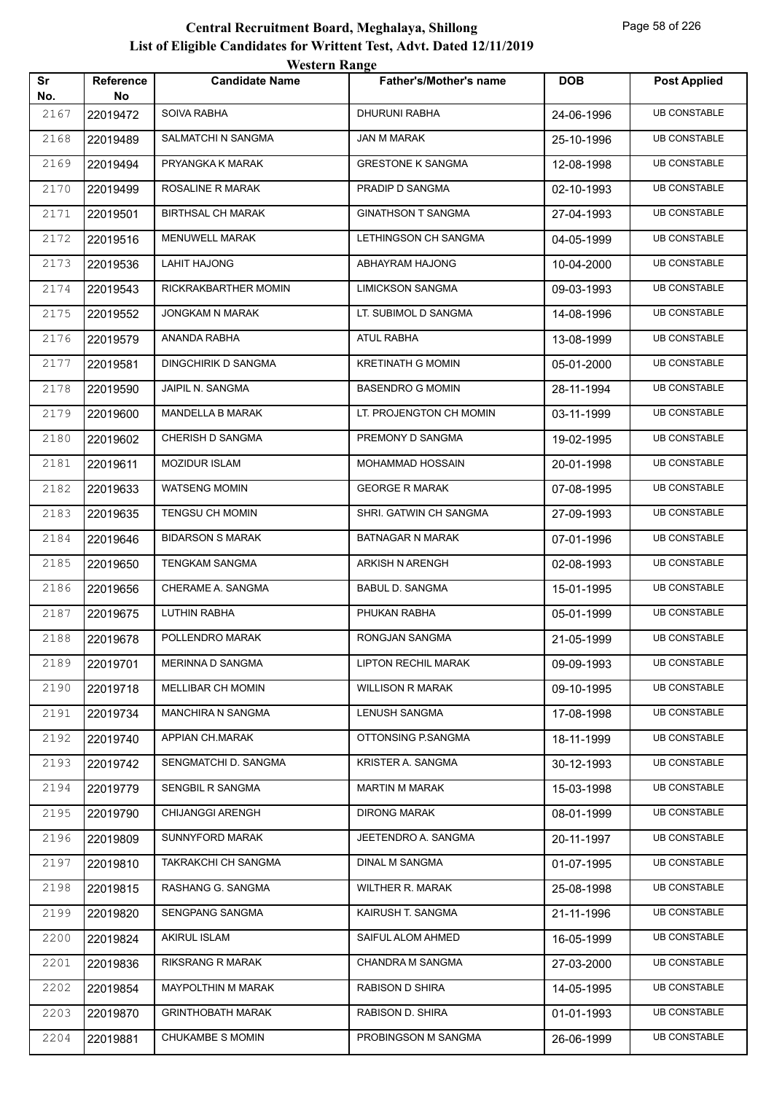|           |                         | <i>western</i> Kange       |                               |            |                     |
|-----------|-------------------------|----------------------------|-------------------------------|------------|---------------------|
| Sr<br>No. | <b>Reference</b><br>No. | <b>Candidate Name</b>      | <b>Father's/Mother's name</b> | <b>DOB</b> | <b>Post Applied</b> |
| 2167      | 22019472                | SOIVA RABHA                | DHURUNI RABHA                 | 24-06-1996 | <b>UB CONSTABLE</b> |
| 2168      | 22019489                | SALMATCHI N SANGMA         | JAN M MARAK                   | 25-10-1996 | <b>UB CONSTABLE</b> |
| 2169      | 22019494                | PRYANGKA K MARAK           | <b>GRESTONE K SANGMA</b>      | 12-08-1998 | <b>UB CONSTABLE</b> |
| 2170      | 22019499                | ROSALINE R MARAK           | PRADIP D SANGMA               | 02-10-1993 | UB CONSTABLE        |
| 2171      | 22019501                | <b>BIRTHSAL CH MARAK</b>   | <b>GINATHSON T SANGMA</b>     | 27-04-1993 | <b>UB CONSTABLE</b> |
| 2172      | 22019516                | MENUWELL MARAK             | LETHINGSON CH SANGMA          | 04-05-1999 | <b>UB CONSTABLE</b> |
| 2173      | 22019536                | LAHIT HAJONG               | ABHAYRAM HAJONG               | 10-04-2000 | <b>UB CONSTABLE</b> |
| 2174      | 22019543                | RICKRAKBARTHER MOMIN       | <b>LIMICKSON SANGMA</b>       | 09-03-1993 | <b>UB CONSTABLE</b> |
| 2175      | 22019552                | JONGKAM N MARAK            | LT. SUBIMOL D SANGMA          | 14-08-1996 | <b>UB CONSTABLE</b> |
| 2176      | 22019579                | ANANDA RABHA               | <b>ATUL RABHA</b>             | 13-08-1999 | <b>UB CONSTABLE</b> |
| 2177      | 22019581                | <b>DINGCHIRIK D SANGMA</b> | <b>KRETINATH G MOMIN</b>      | 05-01-2000 | <b>UB CONSTABLE</b> |
| 2178      | 22019590                | JAIPIL N. SANGMA           | <b>BASENDRO G MOMIN</b>       | 28-11-1994 | <b>UB CONSTABLE</b> |
| 2179      | 22019600                | <b>MANDELLA B MARAK</b>    | LT. PROJENGTON CH MOMIN       | 03-11-1999 | <b>UB CONSTABLE</b> |
| 2180      | 22019602                | CHERISH D SANGMA           | PREMONY D SANGMA              | 19-02-1995 | <b>UB CONSTABLE</b> |
| 2181      | 22019611                | <b>MOZIDUR ISLAM</b>       | MOHAMMAD HOSSAIN              | 20-01-1998 | <b>UB CONSTABLE</b> |
| 2182      | 22019633                | WATSENG MOMIN              | <b>GEORGE R MARAK</b>         | 07-08-1995 | <b>UB CONSTABLE</b> |
| 2183      | 22019635                | TENGSU CH MOMIN            | SHRI. GATWIN CH SANGMA        | 27-09-1993 | <b>UB CONSTABLE</b> |
| 2184      | 22019646                | <b>BIDARSON S MARAK</b>    | <b>BATNAGAR N MARAK</b>       | 07-01-1996 | <b>UB CONSTABLE</b> |
| 2185      | 22019650                | <b>TENGKAM SANGMA</b>      | ARKISH N ARENGH               | 02-08-1993 | <b>UB CONSTABLE</b> |
| 2186      | 22019656                | CHERAME A. SANGMA          | <b>BABUL D. SANGMA</b>        | 15-01-1995 | <b>UB CONSTABLE</b> |
| 2187      | 22019675                | LUTHIN RABHA               | PHUKAN RABHA                  | 05-01-1999 | <b>UB CONSTABLE</b> |
| 2188      | 22019678                | POLLENDRO MARAK            | RONGJAN SANGMA                | 21-05-1999 | <b>UB CONSTABLE</b> |
| 2189      | 22019701                | MERINNA D SANGMA           | <b>LIPTON RECHIL MARAK</b>    | 09-09-1993 | <b>UB CONSTABLE</b> |
| 2190      | 22019718                | MELLIBAR CH MOMIN          | <b>WILLISON R MARAK</b>       | 09-10-1995 | <b>UB CONSTABLE</b> |
| 2191      | 22019734                | <b>MANCHIRA N SANGMA</b>   | LENUSH SANGMA                 | 17-08-1998 | <b>UB CONSTABLE</b> |
| 2192      | 22019740                | APPIAN CH.MARAK            | OTTONSING P.SANGMA            | 18-11-1999 | <b>UB CONSTABLE</b> |
| 2193      | 22019742                | SENGMATCHI D. SANGMA       | KRISTER A. SANGMA             | 30-12-1993 | <b>UB CONSTABLE</b> |
| 2194      | 22019779                | SENGBIL R SANGMA           | <b>MARTIN M MARAK</b>         | 15-03-1998 | <b>UB CONSTABLE</b> |
| 2195      | 22019790                | <b>CHIJANGGI ARENGH</b>    | <b>DIRONG MARAK</b>           | 08-01-1999 | <b>UB CONSTABLE</b> |
| 2196      | 22019809                | SUNNYFORD MARAK            | JEETENDRO A. SANGMA           | 20-11-1997 | <b>UB CONSTABLE</b> |
| 2197      | 22019810                | TAKRAKCHI CH SANGMA        | DINAL M SANGMA                | 01-07-1995 | <b>UB CONSTABLE</b> |
| 2198      | 22019815                | RASHANG G. SANGMA          | WILTHER R. MARAK              | 25-08-1998 | <b>UB CONSTABLE</b> |
| 2199      | 22019820                | SENGPANG SANGMA            | KAIRUSH T. SANGMA             | 21-11-1996 | <b>UB CONSTABLE</b> |
| 2200      | 22019824                | <b>AKIRUL ISLAM</b>        | SAIFUL ALOM AHMED             | 16-05-1999 | <b>UB CONSTABLE</b> |
| 2201      | 22019836                | RIKSRANG R MARAK           | <b>CHANDRA M SANGMA</b>       | 27-03-2000 | <b>UB CONSTABLE</b> |
| 2202      | 22019854                | MAYPOLTHIN M MARAK         | RABISON D SHIRA               | 14-05-1995 | <b>UB CONSTABLE</b> |
| 2203      | 22019870                | <b>GRINTHOBATH MARAK</b>   | RABISON D. SHIRA              | 01-01-1993 | <b>UB CONSTABLE</b> |
| 2204      | 22019881                | CHUKAMBE S MOMIN           | PROBINGSON M SANGMA           | 26-06-1999 | <b>UB CONSTABLE</b> |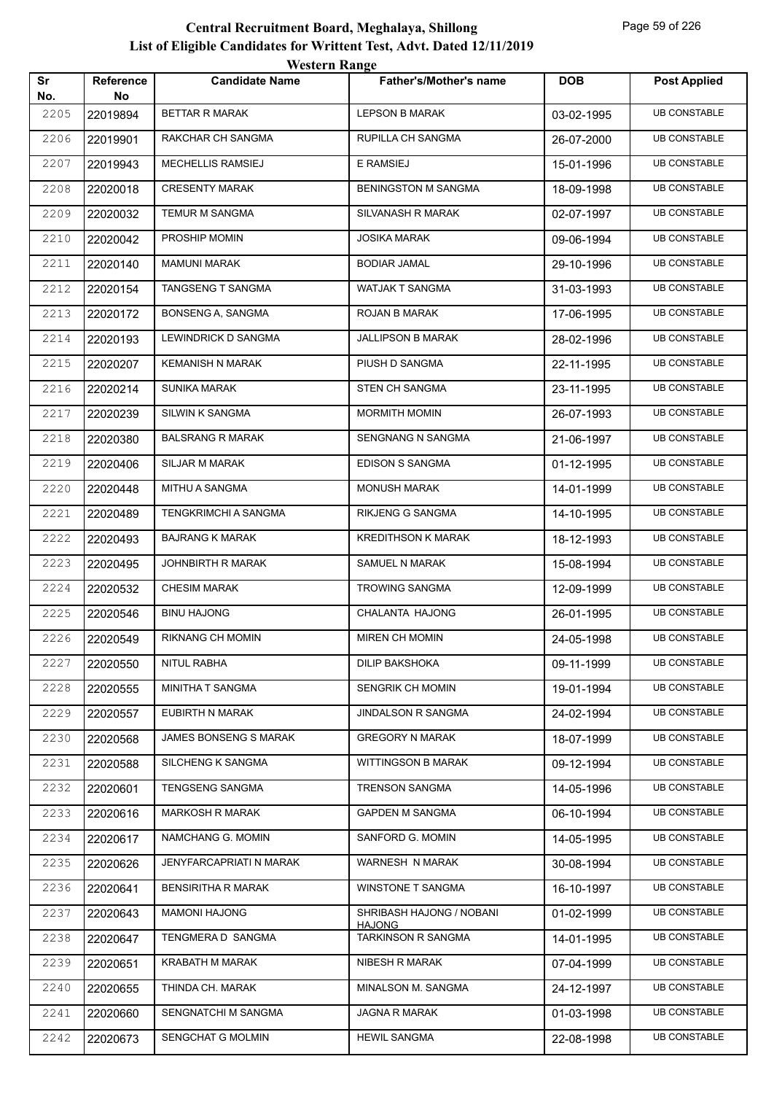|           |                        | <b>Western Range</b>         |                                     |            |                     |
|-----------|------------------------|------------------------------|-------------------------------------|------------|---------------------|
| Sr<br>No. | <b>Reference</b><br>No | <b>Candidate Name</b>        | <b>Father's/Mother's name</b>       | <b>DOB</b> | <b>Post Applied</b> |
| 2205      | 22019894               | <b>BETTAR R MARAK</b>        | <b>LEPSON B MARAK</b>               | 03-02-1995 | <b>UB CONSTABLE</b> |
| 2206      | 22019901               | <b>RAKCHAR CH SANGMA</b>     | <b>RUPILLA CH SANGMA</b>            | 26-07-2000 | <b>UB CONSTABLE</b> |
| 2207      | 22019943               | MECHELLIS RAMSIEJ            | <b>E RAMSIEJ</b>                    | 15-01-1996 | <b>UB CONSTABLE</b> |
| 2208      | 22020018               | <b>CRESENTY MARAK</b>        | <b>BENINGSTON M SANGMA</b>          | 18-09-1998 | <b>UB CONSTABLE</b> |
| 2209      | 22020032               | <b>TEMUR M SANGMA</b>        | SILVANASH R MARAK                   | 02-07-1997 | <b>UB CONSTABLE</b> |
| 2210      | 22020042               | PROSHIP MOMIN                | <b>JOSIKA MARAK</b>                 | 09-06-1994 | <b>UB CONSTABLE</b> |
| 2211      | 22020140               | <b>MAMUNI MARAK</b>          | <b>BODIAR JAMAL</b>                 | 29-10-1996 | <b>UB CONSTABLE</b> |
| 2212      | 22020154               | <b>TANGSENG T SANGMA</b>     | WATJAK T SANGMA                     | 31-03-1993 | <b>UB CONSTABLE</b> |
| 2213      | 22020172               | BONSENG A, SANGMA            | ROJAN B MARAK                       | 17-06-1995 | <b>UB CONSTABLE</b> |
| 2214      | 22020193               | <b>LEWINDRICK D SANGMA</b>   | <b>JALLIPSON B MARAK</b>            | 28-02-1996 | <b>UB CONSTABLE</b> |
| 2215      | 22020207               | <b>KEMANISH N MARAK</b>      | PIUSH D SANGMA                      | 22-11-1995 | <b>UB CONSTABLE</b> |
| 2216      | 22020214               | <b>SUNIKA MARAK</b>          | <b>STEN CH SANGMA</b>               | 23-11-1995 | <b>UB CONSTABLE</b> |
| 2217      | 22020239               | <b>SILWIN K SANGMA</b>       | <b>MORMITH MOMIN</b>                | 26-07-1993 | <b>UB CONSTABLE</b> |
| 2218      | 22020380               | <b>BALSRANG R MARAK</b>      | <b>SENGNANG N SANGMA</b>            | 21-06-1997 | <b>UB CONSTABLE</b> |
| 2219      | 22020406               | <b>SILJAR M MARAK</b>        | <b>EDISON S SANGMA</b>              | 01-12-1995 | <b>UB CONSTABLE</b> |
| 2220      | 22020448               | <b>MITHU A SANGMA</b>        | <b>MONUSH MARAK</b>                 | 14-01-1999 | <b>UB CONSTABLE</b> |
| 2221      | 22020489               | <b>TENGKRIMCHI A SANGMA</b>  | <b>RIKJENG G SANGMA</b>             | 14-10-1995 | <b>UB CONSTABLE</b> |
| 2222      | 22020493               | <b>BAJRANG K MARAK</b>       | <b>KREDITHSON K MARAK</b>           | 18-12-1993 | <b>UB CONSTABLE</b> |
| 2223      | 22020495               | JOHNBIRTH R MARAK            | <b>SAMUEL N MARAK</b>               | 15-08-1994 | <b>UB CONSTABLE</b> |
| 2224      | 22020532               | <b>CHESIM MARAK</b>          | <b>TROWING SANGMA</b>               | 12-09-1999 | <b>UB CONSTABLE</b> |
| 2225      | 22020546               | <b>BINU HAJONG</b>           | CHALANTA HAJONG                     | 26-01-1995 | <b>UB CONSTABLE</b> |
| 2226      | 22020549               | <b>RIKNANG CH MOMIN</b>      | <b>MIREN CH MOMIN</b>               | 24-05-1998 | <b>UB CONSTABLE</b> |
| 2227      | 22020550               | <b>NITUL RABHA</b>           | <b>DILIP BAKSHOKA</b>               | 09-11-1999 | <b>UB CONSTABLE</b> |
| 2228      | 22020555               | MINITHA T SANGMA             | SENGRIK CH MOMIN                    | 19-01-1994 | <b>UB CONSTABLE</b> |
| 2229      | 22020557               | EUBIRTH N MARAK              | <b>JINDALSON R SANGMA</b>           | 24-02-1994 | <b>UB CONSTABLE</b> |
| 2230      | 22020568               | <b>JAMES BONSENG S MARAK</b> | <b>GREGORY N MARAK</b>              | 18-07-1999 | <b>UB CONSTABLE</b> |
| 2231      | 22020588               | SILCHENG K SANGMA            | <b>WITTINGSON B MARAK</b>           | 09-12-1994 | <b>UB CONSTABLE</b> |
| 2232      | 22020601               | <b>TENGSENG SANGMA</b>       | <b>TRENSON SANGMA</b>               | 14-05-1996 | <b>UB CONSTABLE</b> |
| 2233      | 22020616               | <b>MARKOSH R MARAK</b>       | <b>GAPDEN M SANGMA</b>              | 06-10-1994 | <b>UB CONSTABLE</b> |
| 2234      | 22020617               | NAMCHANG G. MOMIN            | SANFORD G. MOMIN                    | 14-05-1995 | <b>UB CONSTABLE</b> |
| 2235      | 22020626               | JENYFARCAPRIATI N MARAK      | WARNESH N MARAK                     | 30-08-1994 | <b>UB CONSTABLE</b> |
| 2236      | 22020641               | <b>BENSIRITHA R MARAK</b>    | <b>WINSTONE T SANGMA</b>            | 16-10-1997 | <b>UB CONSTABLE</b> |
| 2237      | 22020643               | <b>MAMONI HAJONG</b>         | SHRIBASH HAJONG / NOBANI            | 01-02-1999 | <b>UB CONSTABLE</b> |
| 2238      | 22020647               | TENGMERA D SANGMA            | HAJONG<br><b>TARKINSON R SANGMA</b> | 14-01-1995 | <b>UB CONSTABLE</b> |
| 2239      | 22020651               | <b>KRABATH M MARAK</b>       | NIBESH R MARAK                      | 07-04-1999 | <b>UB CONSTABLE</b> |
| 2240      | 22020655               | THINDA CH. MARAK             | MINALSON M. SANGMA                  | 24-12-1997 | <b>UB CONSTABLE</b> |
| 2241      | 22020660               | SENGNATCHI M SANGMA          | <b>JAGNA R MARAK</b>                | 01-03-1998 | <b>UB CONSTABLE</b> |
| 2242      | 22020673               | SENGCHAT G MOLMIN            | <b>HEWIL SANGMA</b>                 | 22-08-1998 | <b>UB CONSTABLE</b> |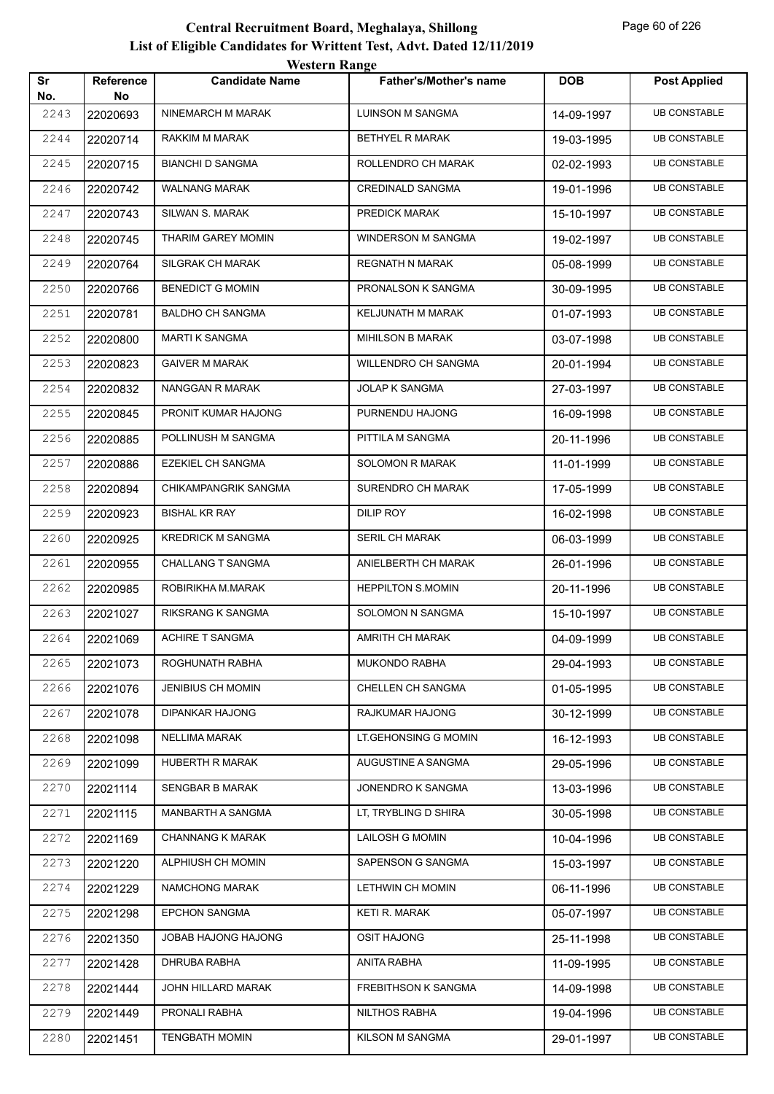|           |                        | <b>Western Range</b>     |                               |            |                     |  |
|-----------|------------------------|--------------------------|-------------------------------|------------|---------------------|--|
| Sr<br>No. | <b>Reference</b><br>No | <b>Candidate Name</b>    | <b>Father's/Mother's name</b> | <b>DOB</b> | <b>Post Applied</b> |  |
| 2243      | 22020693               | NINEMARCH M MARAK        | LUINSON M SANGMA              | 14-09-1997 | <b>UB CONSTABLE</b> |  |
| 2244      | 22020714               | RAKKIM M MARAK           | <b>BETHYEL R MARAK</b>        | 19-03-1995 | <b>UB CONSTABLE</b> |  |
| 2245      | 22020715               | <b>BIANCHI D SANGMA</b>  | ROLLENDRO CH MARAK            | 02-02-1993 | <b>UB CONSTABLE</b> |  |
| 2246      | 22020742               | <b>WALNANG MARAK</b>     | <b>CREDINALD SANGMA</b>       | 19-01-1996 | <b>UB CONSTABLE</b> |  |
| 2247      | 22020743               | SILWAN S. MARAK          | PREDICK MARAK                 | 15-10-1997 | <b>UB CONSTABLE</b> |  |
| 2248      | 22020745               | THARIM GAREY MOMIN       | WINDERSON M SANGMA            | 19-02-1997 | <b>UB CONSTABLE</b> |  |
| 2249      | 22020764               | SILGRAK CH MARAK         | <b>REGNATH N MARAK</b>        | 05-08-1999 | <b>UB CONSTABLE</b> |  |
| 2250      | 22020766               | <b>BENEDICT G MOMIN</b>  | PRONALSON K SANGMA            | 30-09-1995 | <b>UB CONSTABLE</b> |  |
| 2251      | 22020781               | <b>BALDHO CH SANGMA</b>  | KELJUNATH M MARAK             | 01-07-1993 | <b>UB CONSTABLE</b> |  |
| 2252      | 22020800               | <b>MARTI K SANGMA</b>    | <b>MIHILSON B MARAK</b>       | 03-07-1998 | <b>UB CONSTABLE</b> |  |
| 2253      | 22020823               | <b>GAIVER M MARAK</b>    | <b>WILLENDRO CH SANGMA</b>    | 20-01-1994 | <b>UB CONSTABLE</b> |  |
| 2254      | 22020832               | NANGGAN R MARAK          | <b>JOLAP K SANGMA</b>         | 27-03-1997 | <b>UB CONSTABLE</b> |  |
| 2255      | 22020845               | PRONIT KUMAR HAJONG      | PURNENDU HAJONG               | 16-09-1998 | <b>UB CONSTABLE</b> |  |
| 2256      | 22020885               | POLLINUSH M SANGMA       | PITTILA M SANGMA              | 20-11-1996 | <b>UB CONSTABLE</b> |  |
| 2257      | 22020886               | <b>EZEKIEL CH SANGMA</b> | <b>SOLOMON R MARAK</b>        | 11-01-1999 | <b>UB CONSTABLE</b> |  |
| 2258      | 22020894               | CHIKAMPANGRIK SANGMA     | SURENDRO CH MARAK             | 17-05-1999 | <b>UB CONSTABLE</b> |  |
| 2259      | 22020923               | <b>BISHAL KR RAY</b>     | <b>DILIP ROY</b>              | 16-02-1998 | <b>UB CONSTABLE</b> |  |
| 2260      | 22020925               | <b>KREDRICK M SANGMA</b> | <b>SERIL CH MARAK</b>         | 06-03-1999 | <b>UB CONSTABLE</b> |  |
| 2261      | 22020955               | <b>CHALLANG T SANGMA</b> | ANIELBERTH CH MARAK           | 26-01-1996 | <b>UB CONSTABLE</b> |  |
| 2262      | 22020985               | ROBIRIKHA M.MARAK        | <b>HEPPILTON S.MOMIN</b>      | 20-11-1996 | <b>UB CONSTABLE</b> |  |
| 2263      | 22021027               | RIKSRANG K SANGMA        | SOLOMON N SANGMA              | 15-10-1997 | <b>UB CONSTABLE</b> |  |
| 2264      | 22021069               | <b>ACHIRE T SANGMA</b>   | AMRITH CH MARAK               | 04-09-1999 | <b>UB CONSTABLE</b> |  |
| 2265      | 22021073               | ROGHUNATH RABHA          | <b>MUKONDO RABHA</b>          | 29-04-1993 | <b>UB CONSTABLE</b> |  |
| 2266      | 22021076               | <b>JENIBIUS CH MOMIN</b> | CHELLEN CH SANGMA             | 01-05-1995 | <b>UB CONSTABLE</b> |  |
| 2267      | 22021078               | <b>DIPANKAR HAJONG</b>   | RAJKUMAR HAJONG               | 30-12-1999 | <b>UB CONSTABLE</b> |  |
| 2268      | 22021098               | <b>NELLIMA MARAK</b>     | LT.GEHONSING G MOMIN          | 16-12-1993 | <b>UB CONSTABLE</b> |  |
| 2269      | 22021099               | HUBERTH R MARAK          | AUGUSTINE A SANGMA            | 29-05-1996 | <b>UB CONSTABLE</b> |  |
| 2270      | 22021114               | SENGBAR B MARAK          | JONENDRO K SANGMA             | 13-03-1996 | <b>UB CONSTABLE</b> |  |
| 2271      | 22021115               | MANBARTH A SANGMA        | LT, TRYBLING D SHIRA          | 30-05-1998 | <b>UB CONSTABLE</b> |  |
| 2272      | 22021169               | <b>CHANNANG K MARAK</b>  | <b>LAILOSH G MOMIN</b>        | 10-04-1996 | <b>UB CONSTABLE</b> |  |
| 2273      | 22021220               | ALPHIUSH CH MOMIN        | SAPENSON G SANGMA             | 15-03-1997 | <b>UB CONSTABLE</b> |  |
| 2274      | 22021229               | NAMCHONG MARAK           | LETHWIN CH MOMIN              | 06-11-1996 | <b>UB CONSTABLE</b> |  |
| 2275      | 22021298               | <b>EPCHON SANGMA</b>     | KETI R. MARAK                 | 05-07-1997 | <b>UB CONSTABLE</b> |  |
| 2276      | 22021350               | JOBAB HAJONG HAJONG      | <b>OSIT HAJONG</b>            | 25-11-1998 | <b>UB CONSTABLE</b> |  |
| 2277      | 22021428               | DHRUBA RABHA             | ANITA RABHA                   | 11-09-1995 | <b>UB CONSTABLE</b> |  |
| 2278      | 22021444               | JOHN HILLARD MARAK       | FREBITHSON K SANGMA           | 14-09-1998 | <b>UB CONSTABLE</b> |  |
| 2279      | 22021449               | PRONALI RABHA            | NILTHOS RABHA                 | 19-04-1996 | <b>UB CONSTABLE</b> |  |
| 2280      | 22021451               | <b>TENGBATH MOMIN</b>    | KILSON M SANGMA               | 29-01-1997 | <b>UB CONSTABLE</b> |  |
|           |                        |                          |                               |            |                     |  |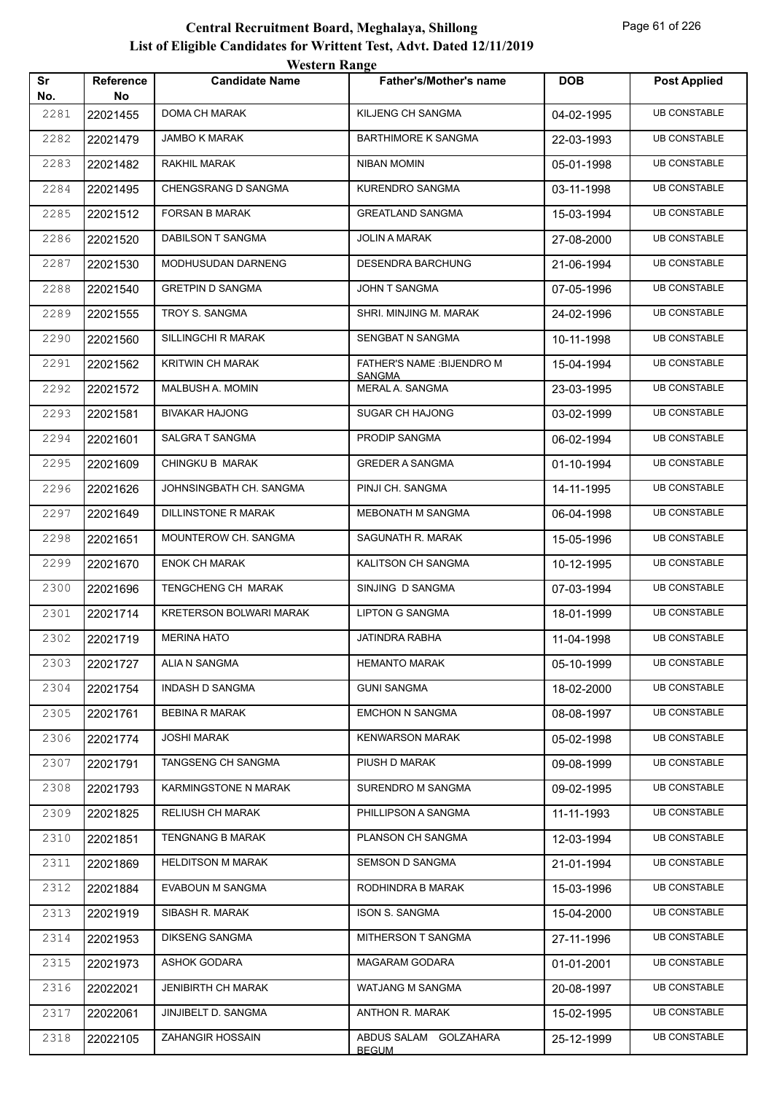| Sr   | Reference | <b>WUSIUL IVANGU</b><br><b>Candidate Name</b> | <b>Father's/Mother's name</b>        | <b>DOB</b> | <b>Post Applied</b> |
|------|-----------|-----------------------------------------------|--------------------------------------|------------|---------------------|
| No.  | No        |                                               |                                      |            |                     |
| 2281 | 22021455  | DOMA CH MARAK                                 | KILJENG CH SANGMA                    | 04-02-1995 | <b>UB CONSTABLE</b> |
| 2282 | 22021479  | <b>JAMBO K MARAK</b>                          | <b>BARTHIMORE K SANGMA</b>           | 22-03-1993 | <b>UB CONSTABLE</b> |
| 2283 | 22021482  | RAKHIL MARAK                                  | NIBAN MOMIN                          | 05-01-1998 | <b>UB CONSTABLE</b> |
| 2284 | 22021495  | CHENGSRANG D SANGMA                           | KURENDRO SANGMA                      | 03-11-1998 | <b>UB CONSTABLE</b> |
| 2285 | 22021512  | <b>FORSAN B MARAK</b>                         | <b>GREATLAND SANGMA</b>              | 15-03-1994 | <b>UB CONSTABLE</b> |
| 2286 | 22021520  | DABILSON T SANGMA                             | JOLIN A MARAK                        | 27-08-2000 | <b>UB CONSTABLE</b> |
| 2287 | 22021530  | MODHUSUDAN DARNENG                            | DESENDRA BARCHUNG                    | 21-06-1994 | <b>UB CONSTABLE</b> |
| 2288 | 22021540  | <b>GRETPIN D SANGMA</b>                       | JOHN T SANGMA                        | 07-05-1996 | <b>UB CONSTABLE</b> |
| 2289 | 22021555  | TROY S. SANGMA                                | SHRI. MINJING M. MARAK               | 24-02-1996 | <b>UB CONSTABLE</b> |
| 2290 | 22021560  | SILLINGCHI R MARAK                            | SENGBAT N SANGMA                     | 10-11-1998 | <b>UB CONSTABLE</b> |
| 2291 | 22021562  | <b>KRITWIN CH MARAK</b>                       | FATHER'S NAME : BIJENDRO M<br>SANGMA | 15-04-1994 | <b>UB CONSTABLE</b> |
| 2292 | 22021572  | MALBUSH A. MOMIN                              | MERAL A. SANGMA                      | 23-03-1995 | <b>UB CONSTABLE</b> |
| 2293 | 22021581  | <b>BIVAKAR HAJONG</b>                         | <b>SUGAR CH HAJONG</b>               | 03-02-1999 | <b>UB CONSTABLE</b> |
| 2294 | 22021601  | SALGRA T SANGMA                               | PRODIP SANGMA                        | 06-02-1994 | <b>UB CONSTABLE</b> |
| 2295 | 22021609  | CHINGKU B MARAK                               | <b>GREDER A SANGMA</b>               | 01-10-1994 | <b>UB CONSTABLE</b> |
| 2296 | 22021626  | JOHNSINGBATH CH. SANGMA                       | PINJI CH. SANGMA                     | 14-11-1995 | <b>UB CONSTABLE</b> |
| 2297 | 22021649  | DILLINSTONE R MARAK                           | MEBONATH M SANGMA                    | 06-04-1998 | <b>UB CONSTABLE</b> |
| 2298 | 22021651  | MOUNTEROW CH. SANGMA                          | SAGUNATH R. MARAK                    | 15-05-1996 | <b>UB CONSTABLE</b> |
| 2299 | 22021670  | <b>ENOK CH MARAK</b>                          | KALITSON CH SANGMA                   | 10-12-1995 | <b>UB CONSTABLE</b> |
| 2300 | 22021696  | TENGCHENG CH MARAK                            | SINJING D SANGMA                     | 07-03-1994 | <b>UB CONSTABLE</b> |
| 2301 | 22021714  | <b>KRETERSON BOLWARI MARAK</b>                | LIPTON G SANGMA                      | 18-01-1999 | <b>UB CONSTABLE</b> |
| 2302 | 22021719  | <b>MERINA HATO</b>                            | JATINDRA RABHA                       | 11-04-1998 | <b>UB CONSTABLE</b> |
| 2303 | 22021727  | ALIA N SANGMA                                 | <b>HEMANTO MARAK</b>                 | 05-10-1999 | <b>UB CONSTABLE</b> |
| 2304 | 22021754  | INDASH D SANGMA                               | <b>GUNI SANGMA</b>                   | 18-02-2000 | <b>UB CONSTABLE</b> |
| 2305 | 22021761  | <b>BEBINA R MARAK</b>                         | <b>EMCHON N SANGMA</b>               | 08-08-1997 | <b>UB CONSTABLE</b> |
| 2306 | 22021774  | <b>JOSHI MARAK</b>                            | <b>KENWARSON MARAK</b>               | 05-02-1998 | <b>UB CONSTABLE</b> |
| 2307 | 22021791  | TANGSENG CH SANGMA                            | PIUSH D MARAK                        | 09-08-1999 | <b>UB CONSTABLE</b> |
| 2308 | 22021793  | KARMINGSTONE N MARAK                          | SURENDRO M SANGMA                    | 09-02-1995 | <b>UB CONSTABLE</b> |
| 2309 | 22021825  | <b>RELIUSH CH MARAK</b>                       | PHILLIPSON A SANGMA                  | 11-11-1993 | <b>UB CONSTABLE</b> |
| 2310 | 22021851  | <b>TENGNANG B MARAK</b>                       | PLANSON CH SANGMA                    | 12-03-1994 | <b>UB CONSTABLE</b> |
| 2311 | 22021869  | <b>HELDITSON M MARAK</b>                      | SEMSON D SANGMA                      | 21-01-1994 | <b>UB CONSTABLE</b> |
| 2312 | 22021884  | EVABOUN M SANGMA                              | RODHINDRA B MARAK                    | 15-03-1996 | <b>UB CONSTABLE</b> |
| 2313 | 22021919  | SIBASH R. MARAK                               | <b>ISON S. SANGMA</b>                | 15-04-2000 | <b>UB CONSTABLE</b> |
| 2314 | 22021953  | <b>DIKSENG SANGMA</b>                         | MITHERSON T SANGMA                   | 27-11-1996 | <b>UB CONSTABLE</b> |
| 2315 | 22021973  | ASHOK GODARA                                  | MAGARAM GODARA                       | 01-01-2001 | <b>UB CONSTABLE</b> |
| 2316 | 22022021  | JENIBIRTH CH MARAK                            | WATJANG M SANGMA                     | 20-08-1997 | <b>UB CONSTABLE</b> |
| 2317 | 22022061  | JINJIBELT D. SANGMA                           | ANTHON R. MARAK                      | 15-02-1995 | <b>UB CONSTABLE</b> |
| 2318 | 22022105  | ZAHANGIR HOSSAIN                              | ABDUS SALAM GOLZAHARA                | 25-12-1999 | <b>UB CONSTABLE</b> |
|      |           |                                               | <b>BEGUM</b>                         |            |                     |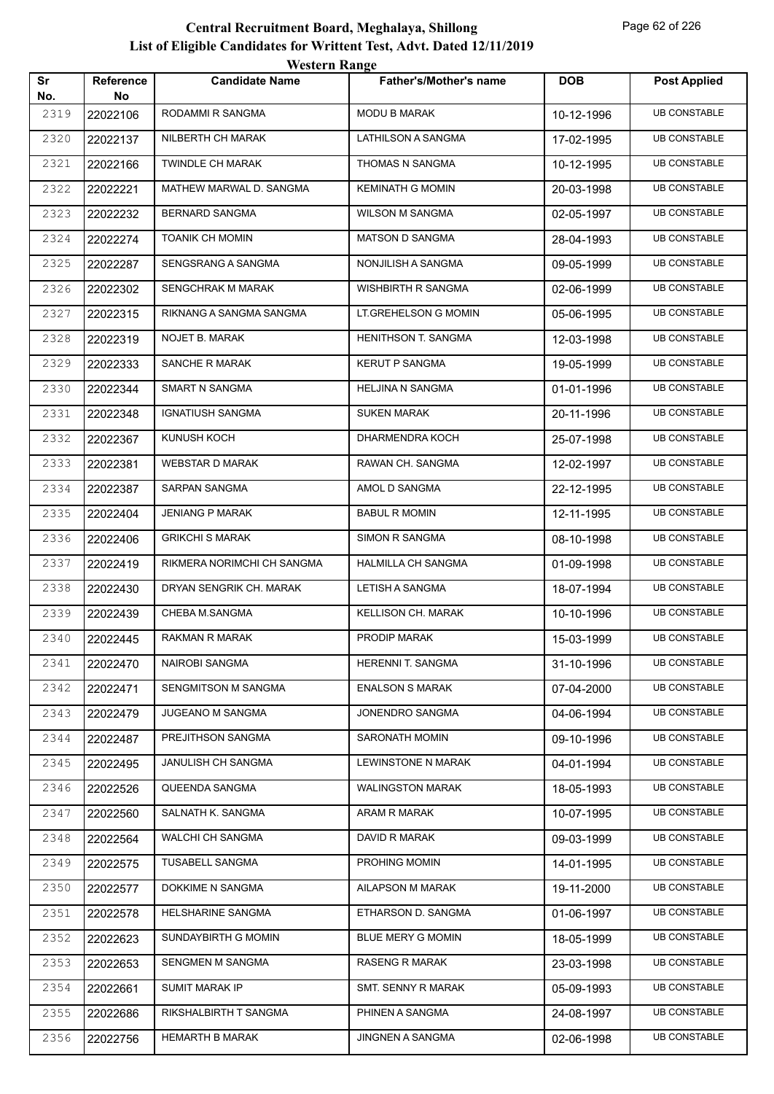|           |                        | western Kange              |                            |            |                     |
|-----------|------------------------|----------------------------|----------------------------|------------|---------------------|
| Sr<br>No. | <b>Reference</b><br>No | <b>Candidate Name</b>      | Father's/Mother's name     | <b>DOB</b> | <b>Post Applied</b> |
| 2319      | 22022106               | RODAMMI R SANGMA           | <b>MODU B MARAK</b>        | 10-12-1996 | <b>UB CONSTABLE</b> |
| 2320      | 22022137               | NILBERTH CH MARAK          | LATHILSON A SANGMA         | 17-02-1995 | <b>UB CONSTABLE</b> |
| 2321      | 22022166               | <b>TWINDLE CH MARAK</b>    | THOMAS N SANGMA            | 10-12-1995 | <b>UB CONSTABLE</b> |
| 2322      | 22022221               | MATHEW MARWAL D. SANGMA    | <b>KEMINATH G MOMIN</b>    | 20-03-1998 | <b>UB CONSTABLE</b> |
| 2323      | 22022232               | <b>BERNARD SANGMA</b>      | <b>WILSON M SANGMA</b>     | 02-05-1997 | <b>UB CONSTABLE</b> |
| 2324      | 22022274               | <b>TOANIK CH MOMIN</b>     | <b>MATSON D SANGMA</b>     | 28-04-1993 | <b>UB CONSTABLE</b> |
| 2325      | 22022287               | SENGSRANG A SANGMA         | NONJILISH A SANGMA         | 09-05-1999 | <b>UB CONSTABLE</b> |
| 2326      | 22022302               | SENGCHRAK M MARAK          | <b>WISHBIRTH R SANGMA</b>  | 02-06-1999 | <b>UB CONSTABLE</b> |
| 2327      | 22022315               | RIKNANG A SANGMA SANGMA    | LT.GREHELSON G MOMIN       | 05-06-1995 | <b>UB CONSTABLE</b> |
| 2328      | 22022319               | <b>NOJET B. MARAK</b>      | <b>HENITHSON T. SANGMA</b> | 12-03-1998 | <b>UB CONSTABLE</b> |
| 2329      | 22022333               | SANCHE R MARAK             | <b>KERUT P SANGMA</b>      | 19-05-1999 | <b>UB CONSTABLE</b> |
| 2330      | 22022344               | SMART N SANGMA             | <b>HELJINA N SANGMA</b>    | 01-01-1996 | <b>UB CONSTABLE</b> |
| 2331      | 22022348               | <b>IGNATIUSH SANGMA</b>    | <b>SUKEN MARAK</b>         | 20-11-1996 | <b>UB CONSTABLE</b> |
| 2332      | 22022367               | KUNUSH KOCH                | DHARMENDRA KOCH            | 25-07-1998 | <b>UB CONSTABLE</b> |
| 2333      | 22022381               | <b>WEBSTAR D MARAK</b>     | RAWAN CH. SANGMA           | 12-02-1997 | <b>UB CONSTABLE</b> |
| 2334      | 22022387               | SARPAN SANGMA              | AMOL D SANGMA              | 22-12-1995 | <b>UB CONSTABLE</b> |
| 2335      | 22022404               | <b>JENIANG P MARAK</b>     | <b>BABUL R MOMIN</b>       | 12-11-1995 | <b>UB CONSTABLE</b> |
| 2336      | 22022406               | <b>GRIKCHI S MARAK</b>     | SIMON R SANGMA             | 08-10-1998 | <b>UB CONSTABLE</b> |
| 2337      | 22022419               | RIKMERA NORIMCHI CH SANGMA | HALMILLA CH SANGMA         | 01-09-1998 | <b>UB CONSTABLE</b> |
| 2338      | 22022430               | DRYAN SENGRIK CH. MARAK    | LETISH A SANGMA            | 18-07-1994 | <b>UB CONSTABLE</b> |
| 2339      | 22022439               | CHEBA M.SANGMA             | KELLISON CH. MARAK         | 10-10-1996 | <b>UB CONSTABLE</b> |
| 2340      | 22022445               | RAKMAN R MARAK             | PRODIP MARAK               | 15-03-1999 | <b>UB CONSTABLE</b> |
| 2341      | 22022470               | NAIROBI SANGMA             | HERENNI T. SANGMA          | 31-10-1996 | <b>UB CONSTABLE</b> |
| 2342      | 22022471               | SENGMITSON M SANGMA        | <b>ENALSON S MARAK</b>     | 07-04-2000 | <b>UB CONSTABLE</b> |
| 2343      | 22022479               | <b>JUGEANO M SANGMA</b>    | JONENDRO SANGMA            | 04-06-1994 | <b>UB CONSTABLE</b> |
| 2344      | 22022487               | PREJITHSON SANGMA          | SARONATH MOMIN             | 09-10-1996 | <b>UB CONSTABLE</b> |
| 2345      | 22022495               | JANULISH CH SANGMA         | LEWINSTONE N MARAK         | 04-01-1994 | <b>UB CONSTABLE</b> |
| 2346      | 22022526               | QUEENDA SANGMA             | WALINGSTON MARAK           | 18-05-1993 | <b>UB CONSTABLE</b> |
| 2347      | 22022560               | SALNATH K. SANGMA          | ARAM R MARAK               | 10-07-1995 | <b>UB CONSTABLE</b> |
| 2348      | 22022564               | WALCHI CH SANGMA           | DAVID R MARAK              | 09-03-1999 | <b>UB CONSTABLE</b> |
| 2349      | 22022575               | TUSABELL SANGMA            | PROHING MOMIN              | 14-01-1995 | <b>UB CONSTABLE</b> |
| 2350      | 22022577               | DOKKIME N SANGMA           | AILAPSON M MARAK           | 19-11-2000 | <b>UB CONSTABLE</b> |
| 2351      | 22022578               | <b>HELSHARINE SANGMA</b>   | ETHARSON D. SANGMA         | 01-06-1997 | <b>UB CONSTABLE</b> |
| 2352      | 22022623               | SUNDAYBIRTH G MOMIN        | BLUE MERY G MOMIN          | 18-05-1999 | <b>UB CONSTABLE</b> |
| 2353      | 22022653               | SENGMEN M SANGMA           | RASENG R MARAK             | 23-03-1998 | <b>UB CONSTABLE</b> |
| 2354      | 22022661               | SUMIT MARAK IP             | SMT. SENNY R MARAK         | 05-09-1993 | <b>UB CONSTABLE</b> |
| 2355      | 22022686               | RIKSHALBIRTH T SANGMA      | PHINEN A SANGMA            | 24-08-1997 | <b>UB CONSTABLE</b> |
| 2356      | 22022756               | HEMARTH B MARAK            | JINGNEN A SANGMA           | 02-06-1998 | <b>UB CONSTABLE</b> |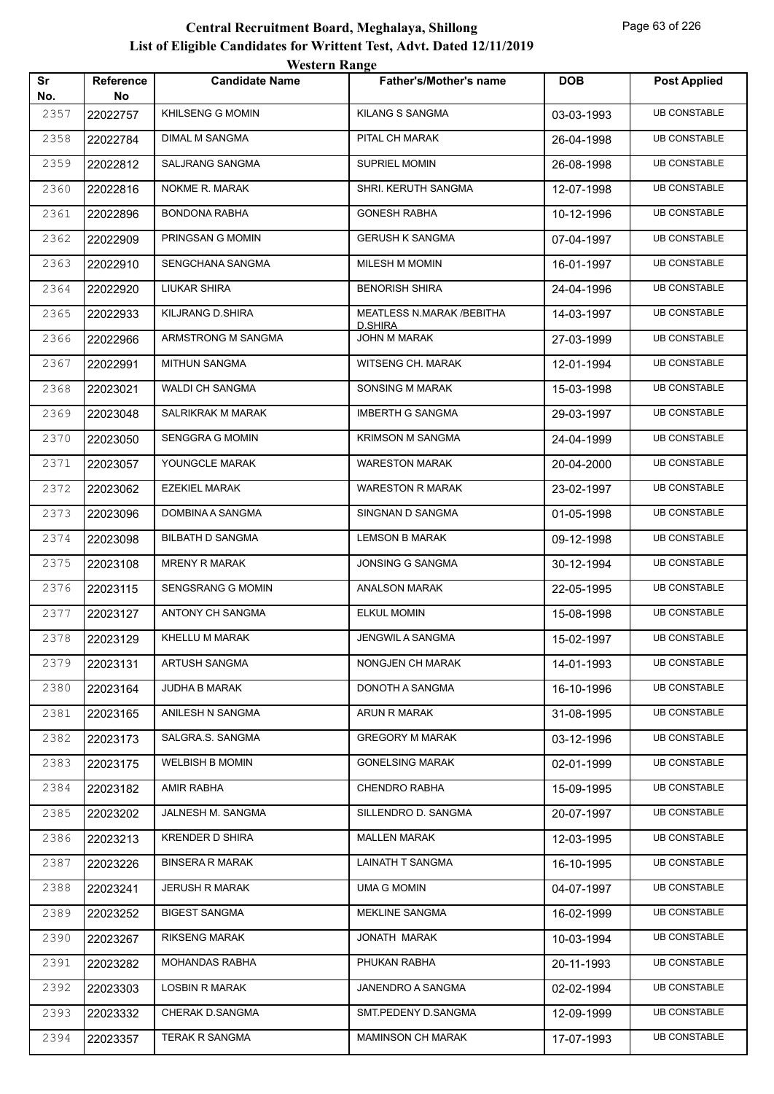|           |                        | <b>Western Range</b>     |                                       |            |                     |
|-----------|------------------------|--------------------------|---------------------------------------|------------|---------------------|
| Sr<br>No. | <b>Reference</b><br>No | <b>Candidate Name</b>    | <b>Father's/Mother's name</b>         | <b>DOB</b> | <b>Post Applied</b> |
| 2357      | 22022757               | <b>KHILSENG G MOMIN</b>  | <b>KILANG S SANGMA</b>                | 03-03-1993 | <b>UB CONSTABLE</b> |
| 2358      | 22022784               | <b>DIMAL M SANGMA</b>    | PITAL CH MARAK                        | 26-04-1998 | <b>UB CONSTABLE</b> |
| 2359      | 22022812               | SALJRANG SANGMA          | <b>SUPRIEL MOMIN</b>                  | 26-08-1998 | <b>UB CONSTABLE</b> |
| 2360      | 22022816               | NOKME R. MARAK           | SHRI. KERUTH SANGMA                   | 12-07-1998 | <b>UB CONSTABLE</b> |
| 2361      | 22022896               | <b>BONDONA RABHA</b>     | <b>GONESH RABHA</b>                   | 10-12-1996 | <b>UB CONSTABLE</b> |
| 2362      | 22022909               | PRINGSAN G MOMIN         | <b>GERUSH K SANGMA</b>                | 07-04-1997 | <b>UB CONSTABLE</b> |
| 2363      | 22022910               | SENGCHANA SANGMA         | MILESH M MOMIN                        | 16-01-1997 | <b>UB CONSTABLE</b> |
| 2364      | 22022920               | LIUKAR SHIRA             | <b>BENORISH SHIRA</b>                 | 24-04-1996 | <b>UB CONSTABLE</b> |
| 2365      | 22022933               | KILJRANG D.SHIRA         | MEATLESS N.MARAK / BEBITHA            | 14-03-1997 | <b>UB CONSTABLE</b> |
| 2366      | 22022966               | ARMSTRONG M SANGMA       | <b>D.SHIRA</b><br><b>JOHN M MARAK</b> | 27-03-1999 | <b>UB CONSTABLE</b> |
| 2367      | 22022991               | <b>MITHUN SANGMA</b>     | WITSENG CH. MARAK                     | 12-01-1994 | <b>UB CONSTABLE</b> |
| 2368      | 22023021               | WALDI CH SANGMA          | SONSING M MARAK                       | 15-03-1998 | <b>UB CONSTABLE</b> |
| 2369      | 22023048               | <b>SALRIKRAK M MARAK</b> | <b>IMBERTH G SANGMA</b>               | 29-03-1997 | <b>UB CONSTABLE</b> |
| 2370      | 22023050               | <b>SENGGRA G MOMIN</b>   | <b>KRIMSON M SANGMA</b>               | 24-04-1999 | <b>UB CONSTABLE</b> |
| 2371      | 22023057               | YOUNGCLE MARAK           | <b>WARESTON MARAK</b>                 | 20-04-2000 | <b>UB CONSTABLE</b> |
| 2372      | 22023062               | <b>EZEKIEL MARAK</b>     | <b>WARESTON R MARAK</b>               | 23-02-1997 | <b>UB CONSTABLE</b> |
| 2373      | 22023096               | DOMBINA A SANGMA         | SINGNAN D SANGMA                      | 01-05-1998 | <b>UB CONSTABLE</b> |
| 2374      | 22023098               | <b>BILBATH D SANGMA</b>  | <b>LEMSON B MARAK</b>                 | 09-12-1998 | <b>UB CONSTABLE</b> |
| 2375      | 22023108               | <b>MRENY R MARAK</b>     | <b>JONSING G SANGMA</b>               | 30-12-1994 | <b>UB CONSTABLE</b> |
| 2376      | 22023115               | SENGSRANG G MOMIN        | <b>ANALSON MARAK</b>                  | 22-05-1995 | <b>UB CONSTABLE</b> |
| 2377      | 22023127               | ANTONY CH SANGMA         | <b>ELKUL MOMIN</b>                    | 15-08-1998 | <b>UB CONSTABLE</b> |
| 2378      | 22023129               | KHELLU M MARAK           | JENGWIL A SANGMA                      | 15-02-1997 | <b>UB CONSTABLE</b> |
| 2379      | 22023131               | <b>ARTUSH SANGMA</b>     | NONGJEN CH MARAK                      | 14-01-1993 | <b>UB CONSTABLE</b> |
| 2380      | 22023164               | JUDHA B MARAK            | DONOTH A SANGMA                       | 16-10-1996 | <b>UB CONSTABLE</b> |
| 2381      | 22023165               | ANILESH N SANGMA         | ARUN R MARAK                          | 31-08-1995 | <b>UB CONSTABLE</b> |
| 2382      | 22023173               | SALGRA.S. SANGMA         | <b>GREGORY M MARAK</b>                | 03-12-1996 | <b>UB CONSTABLE</b> |
| 2383      | 22023175               | <b>WELBISH B MOMIN</b>   | <b>GONELSING MARAK</b>                | 02-01-1999 | <b>UB CONSTABLE</b> |
| 2384      | 22023182               | <b>AMIR RABHA</b>        | CHENDRO RABHA                         | 15-09-1995 | <b>UB CONSTABLE</b> |
| 2385      | 22023202               | JALNESH M. SANGMA        | SILLENDRO D. SANGMA                   | 20-07-1997 | <b>UB CONSTABLE</b> |
| 2386      | 22023213               | <b>KRENDER D SHIRA</b>   | <b>MALLEN MARAK</b>                   | 12-03-1995 | <b>UB CONSTABLE</b> |
| 2387      | 22023226               | <b>BINSERA R MARAK</b>   | LAINATH T SANGMA                      | 16-10-1995 | <b>UB CONSTABLE</b> |
| 2388      | 22023241               | <b>JERUSH R MARAK</b>    | UMA G MOMIN                           | 04-07-1997 | <b>UB CONSTABLE</b> |
| 2389      | 22023252               | <b>BIGEST SANGMA</b>     | MEKLINE SANGMA                        | 16-02-1999 | <b>UB CONSTABLE</b> |
| 2390      | 22023267               | <b>RIKSENG MARAK</b>     | JONATH MARAK                          | 10-03-1994 | <b>UB CONSTABLE</b> |
| 2391      | 22023282               | MOHANDAS RABHA           | PHUKAN RABHA                          | 20-11-1993 | <b>UB CONSTABLE</b> |
| 2392      | 22023303               | LOSBIN R MARAK           | JANENDRO A SANGMA                     | 02-02-1994 | <b>UB CONSTABLE</b> |
| 2393      | 22023332               | CHERAK D.SANGMA          | SMT.PEDENY D.SANGMA                   | 12-09-1999 | <b>UB CONSTABLE</b> |
| 2394      | 22023357               | <b>TERAK R SANGMA</b>    | <b>MAMINSON CH MARAK</b>              | 17-07-1993 | <b>UB CONSTABLE</b> |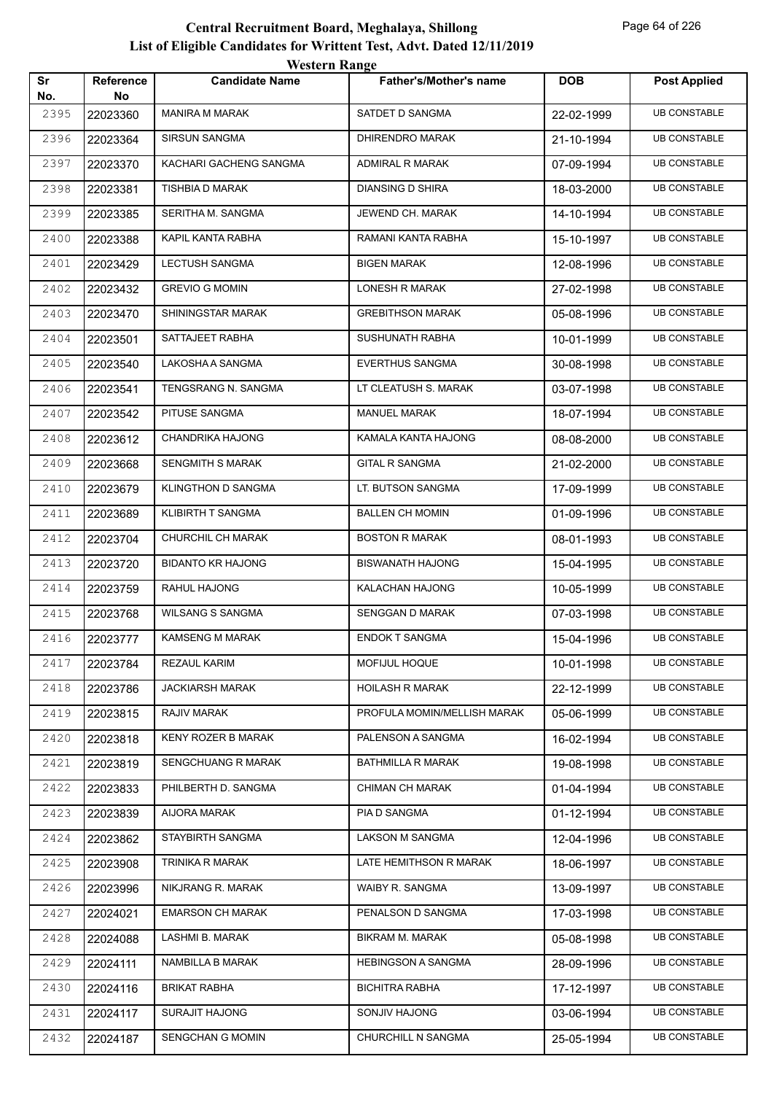|           |                 | western Kange             |                               |            |                     |
|-----------|-----------------|---------------------------|-------------------------------|------------|---------------------|
| Sr<br>No. | Reference<br>No | <b>Candidate Name</b>     | <b>Father's/Mother's name</b> | <b>DOB</b> | <b>Post Applied</b> |
| 2395      | 22023360        | <b>MANIRA M MARAK</b>     | SATDET D SANGMA               | 22-02-1999 | <b>UB CONSTABLE</b> |
| 2396      | 22023364        | SIRSUN SANGMA             | DHIRENDRO MARAK               | 21-10-1994 | <b>UB CONSTABLE</b> |
| 2397      | 22023370        | KACHARI GACHENG SANGMA    | ADMIRAL R MARAK               | 07-09-1994 | <b>UB CONSTABLE</b> |
| 2398      | 22023381        | TISHBIA D MARAK           | DIANSING D SHIRA              | 18-03-2000 | <b>UB CONSTABLE</b> |
| 2399      | 22023385        | SERITHA M. SANGMA         | JEWEND CH. MARAK              | 14-10-1994 | <b>UB CONSTABLE</b> |
| 2400      | 22023388        | KAPIL KANTA RABHA         | RAMANI KANTA RABHA            | 15-10-1997 | <b>UB CONSTABLE</b> |
| 2401      | 22023429        | LECTUSH SANGMA            | <b>BIGEN MARAK</b>            | 12-08-1996 | <b>UB CONSTABLE</b> |
| 2402      | 22023432        | <b>GREVIO G MOMIN</b>     | LONESH R MARAK                | 27-02-1998 | <b>UB CONSTABLE</b> |
| 2403      | 22023470        | SHININGSTAR MARAK         | <b>GREBITHSON MARAK</b>       | 05-08-1996 | <b>UB CONSTABLE</b> |
| 2404      | 22023501        | SATTAJEET RABHA           | SUSHUNATH RABHA               | 10-01-1999 | <b>UB CONSTABLE</b> |
| 2405      | 22023540        | LAKOSHA A SANGMA          | <b>EVERTHUS SANGMA</b>        | 30-08-1998 | <b>UB CONSTABLE</b> |
| 2406      | 22023541        | TENGSRANG N. SANGMA       | LT CLEATUSH S. MARAK          | 03-07-1998 | <b>UB CONSTABLE</b> |
| 2407      | 22023542        | PITUSE SANGMA             | <b>MANUEL MARAK</b>           | 18-07-1994 | <b>UB CONSTABLE</b> |
| 2408      | 22023612        | CHANDRIKA HAJONG          | KAMALA KANTA HAJONG           | 08-08-2000 | <b>UB CONSTABLE</b> |
| 2409      | 22023668        | <b>SENGMITH S MARAK</b>   | <b>GITAL R SANGMA</b>         | 21-02-2000 | <b>UB CONSTABLE</b> |
| 2410      | 22023679        | KLINGTHON D SANGMA        | LT. BUTSON SANGMA             | 17-09-1999 | <b>UB CONSTABLE</b> |
| 2411      | 22023689        | KLIBIRTH T SANGMA         | <b>BALLEN CH MOMIN</b>        | 01-09-1996 | <b>UB CONSTABLE</b> |
| 2412      | 22023704        | CHURCHIL CH MARAK         | <b>BOSTON R MARAK</b>         | 08-01-1993 | <b>UB CONSTABLE</b> |
| 2413      | 22023720        | <b>BIDANTO KR HAJONG</b>  | <b>BISWANATH HAJONG</b>       | 15-04-1995 | <b>UB CONSTABLE</b> |
| 2414      | 22023759        | RAHUL HAJONG              | KALACHAN HAJONG               | 10-05-1999 | <b>UB CONSTABLE</b> |
| 2415      | 22023768        | <b>WILSANG S SANGMA</b>   | SENGGAN D MARAK               | 07-03-1998 | <b>UB CONSTABLE</b> |
| 2416      | 22023777        | KAMSENG M MARAK           | <b>ENDOK T SANGMA</b>         | 15-04-1996 | <b>UB CONSTABLE</b> |
| 2417      | 22023784        | REZAUL KARIM              | MOFIJUL HOQUE                 | 10-01-1998 | <b>UB CONSTABLE</b> |
| 2418      | 22023786        | <b>JACKIARSH MARAK</b>    | <b>HOILASH R MARAK</b>        | 22-12-1999 | <b>UB CONSTABLE</b> |
| 2419      | 22023815        | RAJIV MARAK               | PROFULA MOMIN/MELLISH MARAK   | 05-06-1999 | <b>UB CONSTABLE</b> |
| 2420      | 22023818        | KENY ROZER B MARAK        | PALENSON A SANGMA             | 16-02-1994 | <b>UB CONSTABLE</b> |
| 2421      | 22023819        | <b>SENGCHUANG R MARAK</b> | BATHMILLA R MARAK             | 19-08-1998 | <b>UB CONSTABLE</b> |
| 2422      | 22023833        | PHILBERTH D. SANGMA       | CHIMAN CH MARAK               | 01-04-1994 | <b>UB CONSTABLE</b> |
| 2423      | 22023839        | AIJORA MARAK              | PIA D SANGMA                  | 01-12-1994 | <b>UB CONSTABLE</b> |
| 2424      | 22023862        | STAYBIRTH SANGMA          | LAKSON M SANGMA               | 12-04-1996 | <b>UB CONSTABLE</b> |
| 2425      | 22023908        | TRINIKA R MARAK           | LATE HEMITHSON R MARAK        | 18-06-1997 | <b>UB CONSTABLE</b> |
| 2426      | 22023996        | NIKJRANG R. MARAK         | WAIBY R. SANGMA               | 13-09-1997 | <b>UB CONSTABLE</b> |
| 2427      | 22024021        | <b>EMARSON CH MARAK</b>   | PENALSON D SANGMA             | 17-03-1998 | <b>UB CONSTABLE</b> |
| 2428      | 22024088        | LASHMI B. MARAK           | <b>BIKRAM M. MARAK</b>        | 05-08-1998 | <b>UB CONSTABLE</b> |
| 2429      | 22024111        | NAMBILLA B MARAK          | <b>HEBINGSON A SANGMA</b>     | 28-09-1996 | <b>UB CONSTABLE</b> |
| 2430      | 22024116        | BRIKAT RABHA              | <b>BICHITRA RABHA</b>         | 17-12-1997 | <b>UB CONSTABLE</b> |
| 2431      | 22024117        | <b>SURAJIT HAJONG</b>     | SONJIV HAJONG                 | 03-06-1994 | <b>UB CONSTABLE</b> |
| 2432      | 22024187        | <b>SENGCHAN G MOMIN</b>   | CHURCHILL N SANGMA            | 25-05-1994 | <b>UB CONSTABLE</b> |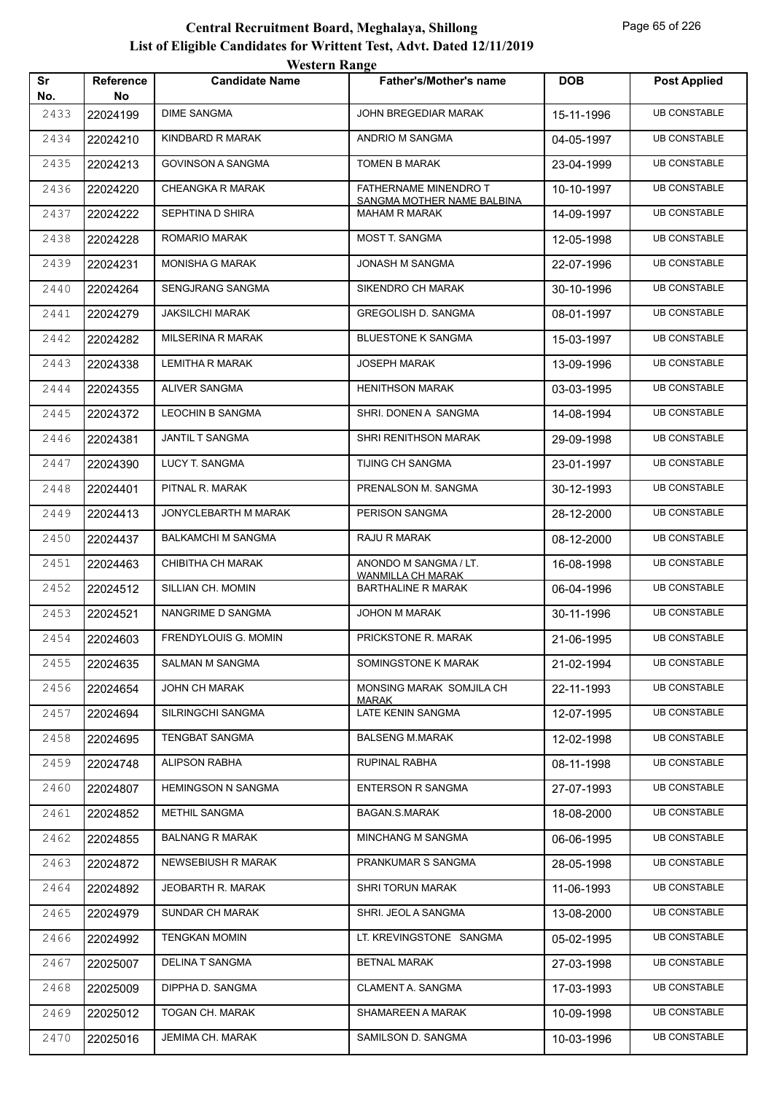|           |                        | <i><b>WEBULL WATER</b></i> |                                                       |            |                     |
|-----------|------------------------|----------------------------|-------------------------------------------------------|------------|---------------------|
| Sr<br>No. | <b>Reference</b><br>No | <b>Candidate Name</b>      | <b>Father's/Mother's name</b>                         | <b>DOB</b> | <b>Post Applied</b> |
| 2433      | 22024199               | <b>DIME SANGMA</b>         | JOHN BREGEDIAR MARAK                                  | 15-11-1996 | <b>UB CONSTABLE</b> |
| 2434      | 22024210               | KINDBARD R MARAK           | ANDRIO M SANGMA                                       | 04-05-1997 | <b>UB CONSTABLE</b> |
| 2435      | 22024213               | <b>GOVINSON A SANGMA</b>   | TOMEN B MARAK                                         | 23-04-1999 | <b>UB CONSTABLE</b> |
| 2436      | 22024220               | <b>CHEANGKA R MARAK</b>    | FATHERNAME MINENDRO T                                 | 10-10-1997 | <b>UB CONSTABLE</b> |
| 2437      | 22024222               | SEPHTINA D SHIRA           | SANGMA MOTHER NAME BALBINA<br><b>MAHAM R MARAK</b>    | 14-09-1997 | <b>UB CONSTABLE</b> |
| 2438      | 22024228               | ROMARIO MARAK              | MOST T. SANGMA                                        | 12-05-1998 | <b>UB CONSTABLE</b> |
| 2439      | 22024231               | <b>MONISHA G MARAK</b>     | JONASH M SANGMA                                       | 22-07-1996 | <b>UB CONSTABLE</b> |
| 2440      | 22024264               | SENGJRANG SANGMA           | SIKENDRO CH MARAK                                     | 30-10-1996 | <b>UB CONSTABLE</b> |
| 2441      | 22024279               | <b>JAKSILCHI MARAK</b>     | GREGOLISH D. SANGMA                                   | 08-01-1997 | <b>UB CONSTABLE</b> |
| 2442      | 22024282               | MILSERINA R MARAK          | <b>BLUESTONE K SANGMA</b>                             | 15-03-1997 | <b>UB CONSTABLE</b> |
| 2443      | 22024338               | LEMITHA R MARAK            | <b>JOSEPH MARAK</b>                                   | 13-09-1996 | <b>UB CONSTABLE</b> |
| 2444      | 22024355               | ALIVER SANGMA              | <b>HENITHSON MARAK</b>                                | 03-03-1995 | <b>UB CONSTABLE</b> |
| 2445      | 22024372               | <b>LEOCHIN B SANGMA</b>    | SHRI. DONEN A SANGMA                                  | 14-08-1994 | <b>UB CONSTABLE</b> |
| 2446      | 22024381               | <b>JANTIL T SANGMA</b>     | SHRI RENITHSON MARAK                                  | 29-09-1998 | <b>UB CONSTABLE</b> |
| 2447      | 22024390               | LUCY T. SANGMA             | TIJING CH SANGMA                                      | 23-01-1997 | <b>UB CONSTABLE</b> |
| 2448      | 22024401               | PITNAL R. MARAK            | PRENALSON M. SANGMA                                   | 30-12-1993 | <b>UB CONSTABLE</b> |
| 2449      | 22024413               | JONYCLEBARTH M MARAK       | PERISON SANGMA                                        | 28-12-2000 | <b>UB CONSTABLE</b> |
| 2450      | 22024437               | <b>BALKAMCHI M SANGMA</b>  | RAJU R MARAK                                          | 08-12-2000 | <b>UB CONSTABLE</b> |
| 2451      | 22024463               | CHIBITHA CH MARAK          | ANONDO M SANGMA / LT.                                 | 16-08-1998 | <b>UB CONSTABLE</b> |
| 2452      | 22024512               | SILLIAN CH. MOMIN          | <b>WANMILLA CH MARAK</b><br><b>BARTHALINE R MARAK</b> | 06-04-1996 | <b>UB CONSTABLE</b> |
| 2453      | 22024521               | NANGRIME D SANGMA          | JOHON M MARAK                                         | 30-11-1996 | <b>UB CONSTABLE</b> |
| 2454      | 22024603               | FRENDYLOUIS G. MOMIN       | PRICKSTONE R. MARAK                                   | 21-06-1995 | <b>UB CONSTABLE</b> |
| 2455      | 22024635               | <b>SALMAN M SANGMA</b>     | SOMINGSTONE K MARAK                                   | 21-02-1994 | <b>UB CONSTABLE</b> |
| 2456      | 22024654               | <b>JOHN CH MARAK</b>       | MONSING MARAK SOMJILA CH<br><b>MARAK</b>              | 22-11-1993 | <b>UB CONSTABLE</b> |
| 2457      | 22024694               | SILRINGCHI SANGMA          | LATE KENIN SANGMA                                     | 12-07-1995 | <b>UB CONSTABLE</b> |
| 2458      | 22024695               | <b>TENGBAT SANGMA</b>      | <b>BALSENG M.MARAK</b>                                | 12-02-1998 | <b>UB CONSTABLE</b> |
| 2459      | 22024748               | ALIPSON RABHA              | RUPINAL RABHA                                         | 08-11-1998 | <b>UB CONSTABLE</b> |
| 2460      | 22024807               | <b>HEMINGSON N SANGMA</b>  | <b>ENTERSON R SANGMA</b>                              | 27-07-1993 | <b>UB CONSTABLE</b> |
| 2461      | 22024852               | <b>METHIL SANGMA</b>       | <b>BAGAN.S.MARAK</b>                                  | 18-08-2000 | <b>UB CONSTABLE</b> |
| 2462      | 22024855               | <b>BALNANG R MARAK</b>     | MINCHANG M SANGMA                                     | 06-06-1995 | <b>UB CONSTABLE</b> |
| 2463      | 22024872               | NEWSEBIUSH R MARAK         | PRANKUMAR S SANGMA                                    | 28-05-1998 | <b>UB CONSTABLE</b> |
| 2464      | 22024892               | JEOBARTH R. MARAK          | <b>SHRI TORUN MARAK</b>                               | 11-06-1993 | <b>UB CONSTABLE</b> |
| 2465      | 22024979               | SUNDAR CH MARAK            | SHRI. JEOL A SANGMA                                   | 13-08-2000 | <b>UB CONSTABLE</b> |
| 2466      | 22024992               | <b>TENGKAN MOMIN</b>       | LT. KREVINGSTONE SANGMA                               | 05-02-1995 | <b>UB CONSTABLE</b> |
| 2467      | 22025007               | DELINA T SANGMA            | BETNAL MARAK                                          | 27-03-1998 | <b>UB CONSTABLE</b> |
| 2468      | 22025009               | DIPPHA D. SANGMA           | CLAMENT A. SANGMA                                     | 17-03-1993 | <b>UB CONSTABLE</b> |
| 2469      | 22025012               | TOGAN CH. MARAK            | SHAMAREEN A MARAK                                     | 10-09-1998 | <b>UB CONSTABLE</b> |
| 2470      | 22025016               | JEMIMA CH. MARAK           | SAMILSON D. SANGMA                                    | 10-03-1996 | <b>UB CONSTABLE</b> |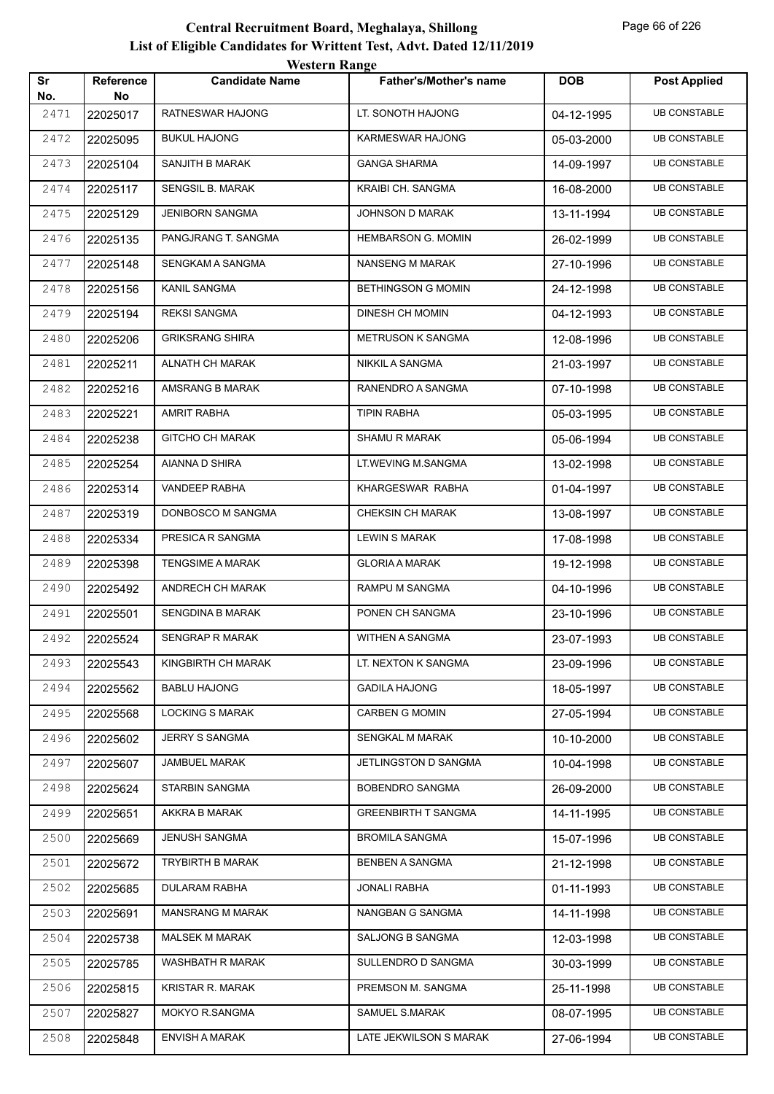|           |                        | <b>Western Range</b>    |                               |            |                     |
|-----------|------------------------|-------------------------|-------------------------------|------------|---------------------|
| Sr<br>No. | <b>Reference</b><br>No | <b>Candidate Name</b>   | <b>Father's/Mother's name</b> | <b>DOB</b> | <b>Post Applied</b> |
| 2471      | 22025017               | RATNESWAR HAJONG        | LT. SONOTH HAJONG             | 04-12-1995 | <b>UB CONSTABLE</b> |
| 2472      | 22025095               | <b>BUKUL HAJONG</b>     | KARMESWAR HAJONG              | 05-03-2000 | <b>UB CONSTABLE</b> |
| 2473      | 22025104               | SANJITH B MARAK         | <b>GANGA SHARMA</b>           | 14-09-1997 | <b>UB CONSTABLE</b> |
| 2474      | 22025117               | <b>SENGSIL B. MARAK</b> | KRAIBI CH. SANGMA             | 16-08-2000 | <b>UB CONSTABLE</b> |
| 2475      | 22025129               | <b>JENIBORN SANGMA</b>  | JOHNSON D MARAK               | 13-11-1994 | <b>UB CONSTABLE</b> |
| 2476      | 22025135               | PANGJRANG T. SANGMA     | <b>HEMBARSON G. MOMIN</b>     | 26-02-1999 | <b>UB CONSTABLE</b> |
| 2477      | 22025148               | SENGKAM A SANGMA        | <b>NANSENG M MARAK</b>        | 27-10-1996 | <b>UB CONSTABLE</b> |
| 2478      | 22025156               | KANIL SANGMA            | <b>BETHINGSON G MOMIN</b>     | 24-12-1998 | <b>UB CONSTABLE</b> |
| 2479      | 22025194               | <b>REKSI SANGMA</b>     | DINESH CH MOMIN               | 04-12-1993 | <b>UB CONSTABLE</b> |
| 2480      | 22025206               | <b>GRIKSRANG SHIRA</b>  | <b>METRUSON K SANGMA</b>      | 12-08-1996 | <b>UB CONSTABLE</b> |
| 2481      | 22025211               | <b>ALNATH CH MARAK</b>  | <b>NIKKIL A SANGMA</b>        | 21-03-1997 | <b>UB CONSTABLE</b> |
| 2482      | 22025216               | AMSRANG B MARAK         | RANENDRO A SANGMA             | 07-10-1998 | <b>UB CONSTABLE</b> |
| 2483      | 22025221               | <b>AMRIT RABHA</b>      | <b>TIPIN RABHA</b>            | 05-03-1995 | <b>UB CONSTABLE</b> |
| 2484      | 22025238               | <b>GITCHO CH MARAK</b>  | <b>SHAMU R MARAK</b>          | 05-06-1994 | <b>UB CONSTABLE</b> |
| 2485      | 22025254               | AIANNA D SHIRA          | LT.WEVING M.SANGMA            | 13-02-1998 | <b>UB CONSTABLE</b> |
| 2486      | 22025314               | VANDEEP RABHA           | KHARGESWAR RABHA              | 01-04-1997 | <b>UB CONSTABLE</b> |
| 2487      | 22025319               | DONBOSCO M SANGMA       | <b>CHEKSIN CH MARAK</b>       | 13-08-1997 | <b>UB CONSTABLE</b> |
| 2488      | 22025334               | PRESICA R SANGMA        | <b>LEWIN S MARAK</b>          | 17-08-1998 | <b>UB CONSTABLE</b> |
| 2489      | 22025398               | <b>TENGSIME A MARAK</b> | <b>GLORIA A MARAK</b>         | 19-12-1998 | <b>UB CONSTABLE</b> |
| 2490      | 22025492               | ANDRECH CH MARAK        | RAMPU M SANGMA                | 04-10-1996 | <b>UB CONSTABLE</b> |
| 2491      | 22025501               | <b>SENGDINA B MARAK</b> | PONEN CH SANGMA               | 23-10-1996 | <b>UB CONSTABLE</b> |
| 2492      | 22025524               | <b>SENGRAP R MARAK</b>  | WITHEN A SANGMA               | 23-07-1993 | <b>UB CONSTABLE</b> |
| 2493      | 22025543               | KINGBIRTH CH MARAK      | LT. NEXTON K SANGMA           | 23-09-1996 | <b>UB CONSTABLE</b> |
| 2494      | 22025562               | <b>BABLU HAJONG</b>     | <b>GADILA HAJONG</b>          | 18-05-1997 | <b>UB CONSTABLE</b> |
| 2495      | 22025568               | <b>LOCKING S MARAK</b>  | <b>CARBEN G MOMIN</b>         | 27-05-1994 | <b>UB CONSTABLE</b> |
| 2496      | 22025602               | <b>JERRY S SANGMA</b>   | <b>SENGKAL M MARAK</b>        | 10-10-2000 | <b>UB CONSTABLE</b> |
| 2497      | 22025607               | JAMBUEL MARAK           | JETLINGSTON D SANGMA          | 10-04-1998 | <b>UB CONSTABLE</b> |
| 2498      | 22025624               | STARBIN SANGMA          | BOBENDRO SANGMA               | 26-09-2000 | <b>UB CONSTABLE</b> |
| 2499      | 22025651               | AKKRA B MARAK           | <b>GREENBIRTH T SANGMA</b>    | 14-11-1995 | <b>UB CONSTABLE</b> |
| 2500      | 22025669               | <b>JENUSH SANGMA</b>    | <b>BROMILA SANGMA</b>         | 15-07-1996 | <b>UB CONSTABLE</b> |
| 2501      | 22025672               | TRYBIRTH B MARAK        | BENBEN A SANGMA               | 21-12-1998 | <b>UB CONSTABLE</b> |
| 2502      | 22025685               | DULARAM RABHA           | <b>JONALI RABHA</b>           | 01-11-1993 | <b>UB CONSTABLE</b> |
| 2503      | 22025691               | <b>MANSRANG M MARAK</b> | NANGBAN G SANGMA              | 14-11-1998 | <b>UB CONSTABLE</b> |
| 2504      | 22025738               | <b>MALSEK M MARAK</b>   | SALJONG B SANGMA              | 12-03-1998 | <b>UB CONSTABLE</b> |
| 2505      | 22025785               | WASHBATH R MARAK        | SULLENDRO D SANGMA            | 30-03-1999 | <b>UB CONSTABLE</b> |
| 2506      | 22025815               | KRISTAR R. MARAK        | PREMSON M. SANGMA             | 25-11-1998 | <b>UB CONSTABLE</b> |
| 2507      | 22025827               | MOKYO R.SANGMA          | SAMUEL S.MARAK                | 08-07-1995 | <b>UB CONSTABLE</b> |
| 2508      | 22025848               | <b>ENVISH A MARAK</b>   | LATE JEKWILSON S MARAK        | 27-06-1994 | <b>UB CONSTABLE</b> |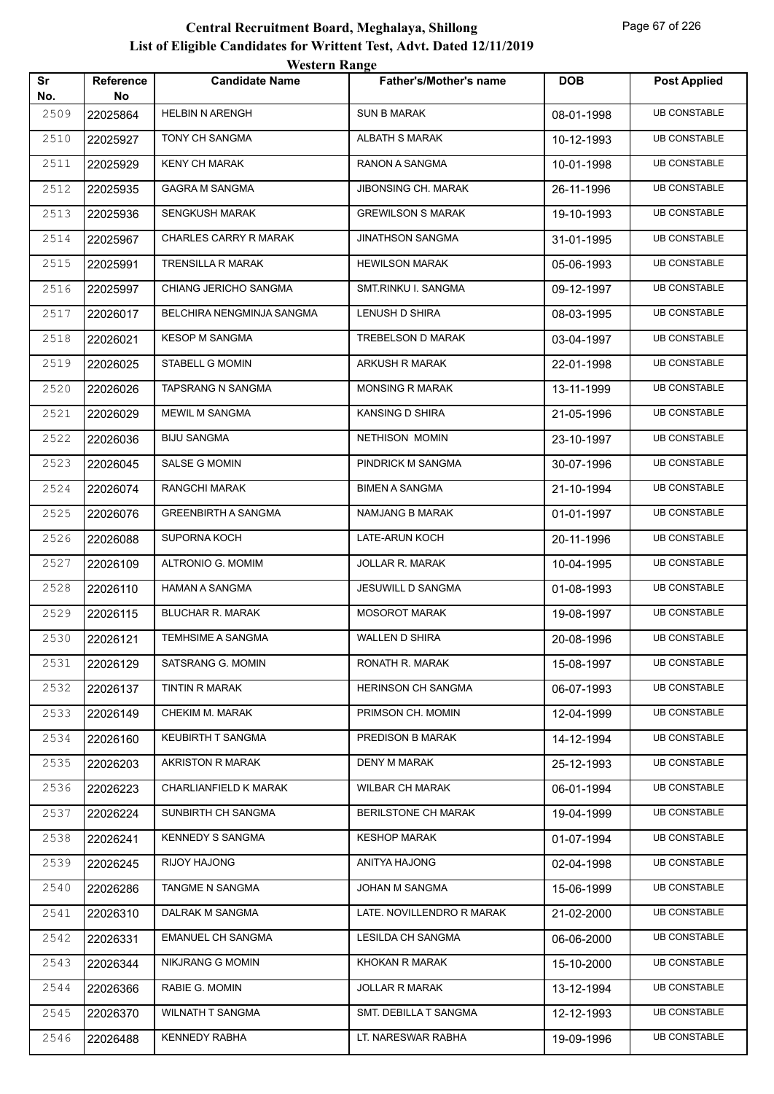| Sr          | Reference      | <i><b>WEBULL WALLET</b></i><br><b>Candidate Name</b> | <b>Father's/Mother's name</b> | <b>DOB</b> | <b>Post Applied</b> |
|-------------|----------------|------------------------------------------------------|-------------------------------|------------|---------------------|
| No.<br>2509 | No<br>22025864 | <b>HELBIN N ARENGH</b>                               | <b>SUN B MARAK</b>            | 08-01-1998 | <b>UB CONSTABLE</b> |
| 2510        | 22025927       | TONY CH SANGMA                                       | ALBATH S MARAK                | 10-12-1993 | <b>UB CONSTABLE</b> |
| 2511        | 22025929       | KENY CH MARAK                                        | RANON A SANGMA                | 10-01-1998 | <b>UB CONSTABLE</b> |
| 2512        | 22025935       | <b>GAGRA M SANGMA</b>                                | JIBONSING CH. MARAK           | 26-11-1996 | <b>UB CONSTABLE</b> |
| 2513        | 22025936       | <b>SENGKUSH MARAK</b>                                | <b>GREWILSON S MARAK</b>      | 19-10-1993 | <b>UB CONSTABLE</b> |
| 2514        | 22025967       | <b>CHARLES CARRY R MARAK</b>                         | <b>JINATHSON SANGMA</b>       | 31-01-1995 | <b>UB CONSTABLE</b> |
| 2515        | 22025991       | <b>TRENSILLA R MARAK</b>                             | <b>HEWILSON MARAK</b>         | 05-06-1993 | <b>UB CONSTABLE</b> |
| 2516        | 22025997       | CHIANG JERICHO SANGMA                                | SMT.RINKU I. SANGMA           | 09-12-1997 | <b>UB CONSTABLE</b> |
| 2517        | 22026017       | BELCHIRA NENGMINJA SANGMA                            | LENUSH D SHIRA                | 08-03-1995 | <b>UB CONSTABLE</b> |
| 2518        | 22026021       | <b>KESOP M SANGMA</b>                                | TREBELSON D MARAK             | 03-04-1997 | <b>UB CONSTABLE</b> |
| 2519        | 22026025       | STABELL G MOMIN                                      | ARKUSH R MARAK                | 22-01-1998 | <b>UB CONSTABLE</b> |
| 2520        | 22026026       | TAPSRANG N SANGMA                                    | <b>MONSING R MARAK</b>        | 13-11-1999 | <b>UB CONSTABLE</b> |
| 2521        | 22026029       | <b>MEWIL M SANGMA</b>                                | KANSING D SHIRA               | 21-05-1996 | <b>UB CONSTABLE</b> |
| 2522        | 22026036       | <b>BIJU SANGMA</b>                                   | NETHISON MOMIN                | 23-10-1997 | <b>UB CONSTABLE</b> |
| 2523        | 22026045       | SALSE G MOMIN                                        | PINDRICK M SANGMA             | 30-07-1996 | <b>UB CONSTABLE</b> |
| 2524        | 22026074       | RANGCHI MARAK                                        | <b>BIMEN A SANGMA</b>         | 21-10-1994 | <b>UB CONSTABLE</b> |
| 2525        | 22026076       | <b>GREENBIRTH A SANGMA</b>                           | NAMJANG B MARAK               | 01-01-1997 | <b>UB CONSTABLE</b> |
| 2526        | 22026088       | SUPORNA KOCH                                         | LATE-ARUN KOCH                | 20-11-1996 | <b>UB CONSTABLE</b> |
| 2527        | 22026109       | ALTRONIO G. MOMIM                                    | JOLLAR R. MARAK               | 10-04-1995 | <b>UB CONSTABLE</b> |
| 2528        | 22026110       | <b>HAMAN A SANGMA</b>                                | JESUWILL D SANGMA             | 01-08-1993 | <b>UB CONSTABLE</b> |
| 2529        | 22026115       | BLUCHAR R. MARAK                                     | <b>MOSOROT MARAK</b>          | 19-08-1997 | <b>UB CONSTABLE</b> |
| 2530        | 22026121       | TEMHSIME A SANGMA                                    | WALLEN D SHIRA                | 20-08-1996 | <b>UB CONSTABLE</b> |
| 2531        | 22026129       | SATSRANG G. MOMIN                                    | RONATH R. MARAK               | 15-08-1997 | <b>UB CONSTABLE</b> |
| 2532        | 22026137       | TINTIN R MARAK                                       | <b>HERINSON CH SANGMA</b>     | 06-07-1993 | <b>UB CONSTABLE</b> |
| 2533        | 22026149       | CHEKIM M. MARAK                                      | PRIMSON CH. MOMIN             | 12-04-1999 | <b>UB CONSTABLE</b> |
| 2534        | 22026160       | KEUBIRTH T SANGMA                                    | PREDISON B MARAK              | 14-12-1994 | <b>UB CONSTABLE</b> |
| 2535        | 22026203       | AKRISTON R MARAK                                     | DENY M MARAK                  | 25-12-1993 | <b>UB CONSTABLE</b> |
| 2536        | 22026223       | CHARLIANFIELD K MARAK                                | <b>WILBAR CH MARAK</b>        | 06-01-1994 | <b>UB CONSTABLE</b> |
| 2537        | 22026224       | SUNBIRTH CH SANGMA                                   | BERILSTONE CH MARAK           | 19-04-1999 | <b>UB CONSTABLE</b> |
| 2538        | 22026241       | <b>KENNEDY S SANGMA</b>                              | <b>KESHOP MARAK</b>           | 01-07-1994 | <b>UB CONSTABLE</b> |
| 2539        | 22026245       | RIJOY HAJONG                                         | ANITYA HAJONG                 | 02-04-1998 | <b>UB CONSTABLE</b> |
| 2540        | 22026286       | TANGME N SANGMA                                      | JOHAN M SANGMA                | 15-06-1999 | <b>UB CONSTABLE</b> |
| 2541        | 22026310       | DALRAK M SANGMA                                      | LATE. NOVILLENDRO R MARAK     | 21-02-2000 | <b>UB CONSTABLE</b> |
| 2542        | 22026331       | <b>EMANUEL CH SANGMA</b>                             | LESILDA CH SANGMA             | 06-06-2000 | <b>UB CONSTABLE</b> |
| 2543        | 22026344       | NIKJRANG G MOMIN                                     | KHOKAN R MARAK                | 15-10-2000 | <b>UB CONSTABLE</b> |
| 2544        | 22026366       | RABIE G. MOMIN                                       | <b>JOLLAR R MARAK</b>         | 13-12-1994 | <b>UB CONSTABLE</b> |
| 2545        | 22026370       | <b>WILNATH T SANGMA</b>                              | SMT. DEBILLA T SANGMA         | 12-12-1993 | <b>UB CONSTABLE</b> |
| 2546        | 22026488       | <b>KENNEDY RABHA</b>                                 | LT. NARESWAR RABHA            | 19-09-1996 | <b>UB CONSTABLE</b> |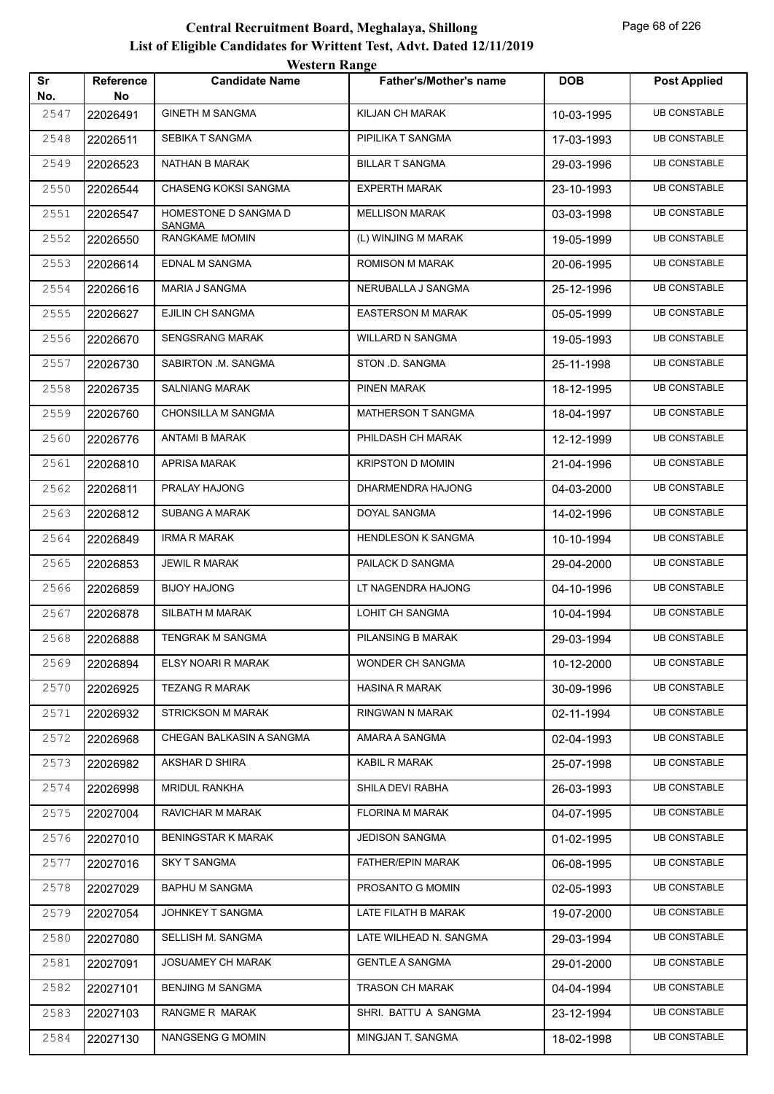| Sr<br>DOB<br><b>Reference</b><br><b>Candidate Name</b><br><b>Father's/Mother's name</b>  | <b>Post Applied</b> |
|------------------------------------------------------------------------------------------|---------------------|
| No.<br>No                                                                                |                     |
| 2547<br><b>GINETH M SANGMA</b><br><b>KILJAN CH MARAK</b><br>22026491<br>10-03-1995       | <b>UB CONSTABLE</b> |
| 2548<br>SEBIKA T SANGMA<br>PIPILIKA T SANGMA<br>22026511<br>17-03-1993                   | <b>UB CONSTABLE</b> |
| <b>BILLAR T SANGMA</b><br>2549<br>NATHAN B MARAK<br>22026523<br>29-03-1996               | <b>UB CONSTABLE</b> |
| 2550<br><b>CHASENG KOKSI SANGMA</b><br><b>EXPERTH MARAK</b><br>22026544<br>23-10-1993    | <b>UB CONSTABLE</b> |
| 2551<br>HOMESTONE D SANGMA D<br><b>MELLISON MARAK</b><br>22026547<br>03-03-1998          | <b>UB CONSTABLE</b> |
| <b>SANGMA</b><br>RANGKAME MOMIN<br>2552<br>(L) WINJING M MARAK<br>22026550<br>19-05-1999 | <b>UB CONSTABLE</b> |
| EDNAL M SANGMA<br><b>ROMISON M MARAK</b><br>2553<br>22026614<br>20-06-1995               | <b>UB CONSTABLE</b> |
| 2554<br><b>MARIA J SANGMA</b><br>NERUBALLA J SANGMA<br>22026616<br>25-12-1996            | <b>UB CONSTABLE</b> |
| 2555<br>EJILIN CH SANGMA<br><b>EASTERSON M MARAK</b><br>22026627<br>05-05-1999           | <b>UB CONSTABLE</b> |
| 2556<br><b>SENGSRANG MARAK</b><br><b>WILLARD N SANGMA</b><br>22026670<br>19-05-1993      | <b>UB CONSTABLE</b> |
| SABIRTON .M. SANGMA<br>STON .D. SANGMA<br>2557<br>22026730<br>25-11-1998                 | <b>UB CONSTABLE</b> |
| <b>SALNIANG MARAK</b><br>PINEN MARAK<br>2558<br>22026735<br>18-12-1995                   | <b>UB CONSTABLE</b> |
| <b>CHONSILLA M SANGMA</b><br>2559<br><b>MATHERSON T SANGMA</b><br>22026760<br>18-04-1997 | <b>UB CONSTABLE</b> |
| 2560<br><b>ANTAMI B MARAK</b><br>PHILDASH CH MARAK<br>22026776<br>12-12-1999             | <b>UB CONSTABLE</b> |
| 2561<br><b>APRISA MARAK</b><br><b>KRIPSTON D MOMIN</b><br>22026810<br>21-04-1996         | <b>UB CONSTABLE</b> |
| DHARMENDRA HAJONG<br>2562<br>PRALAY HAJONG<br>22026811<br>04-03-2000                     | <b>UB CONSTABLE</b> |
| <b>SUBANG A MARAK</b><br>DOYAL SANGMA<br>2563<br>22026812<br>14-02-1996                  | <b>UB CONSTABLE</b> |
| <b>IRMA R MARAK</b><br>2564<br><b>HENDLESON K SANGMA</b><br>22026849<br>10-10-1994       | <b>UB CONSTABLE</b> |
| 2565<br><b>JEWIL R MARAK</b><br>PAILACK D SANGMA<br>22026853<br>29-04-2000               | <b>UB CONSTABLE</b> |
| 2566<br><b>BIJOY HAJONG</b><br>LT NAGENDRA HAJONG<br>22026859<br>04-10-1996              | <b>UB CONSTABLE</b> |
| LOHIT CH SANGMA<br>SILBATH M MARAK<br>2567<br>22026878<br>10-04-1994                     | <b>UB CONSTABLE</b> |
| 2568<br>22026888<br>TENGRAK M SANGMA<br>PILANSING B MARAK<br>29-03-1994                  | <b>UB CONSTABLE</b> |
| 2569<br>ELSY NOARI R MARAK<br><b>WONDER CH SANGMA</b><br>22026894<br>10-12-2000          | <b>UB CONSTABLE</b> |
| 2570<br><b>TEZANG R MARAK</b><br><b>HASINA R MARAK</b><br>22026925<br>30-09-1996         | <b>UB CONSTABLE</b> |
| 2571<br><b>STRICKSON M MARAK</b><br>RINGWAN N MARAK<br>22026932<br>02-11-1994            | <b>UB CONSTABLE</b> |
| CHEGAN BALKASIN A SANGMA<br>2572<br>AMARA A SANGMA<br>22026968<br>02-04-1993             | <b>UB CONSTABLE</b> |
| AKSHAR D SHIRA<br>KABIL R MARAK<br>2573<br>22026982<br>25-07-1998                        | <b>UB CONSTABLE</b> |
| <b>MRIDUL RANKHA</b><br>SHILA DEVI RABHA<br>2574<br>22026998<br>26-03-1993               | <b>UB CONSTABLE</b> |
| 2575<br>RAVICHAR M MARAK<br><b>FLORINA M MARAK</b><br>22027004<br>04-07-1995             | <b>UB CONSTABLE</b> |
| 2576<br><b>BENINGSTAR K MARAK</b><br><b>JEDISON SANGMA</b><br>22027010<br>01-02-1995     | <b>UB CONSTABLE</b> |
| 2577<br><b>SKY T SANGMA</b><br><b>FATHER/EPIN MARAK</b><br>22027016<br>06-08-1995        | <b>UB CONSTABLE</b> |
| <b>BAPHU M SANGMA</b><br>PROSANTO G MOMIN<br>2578<br>22027029<br>02-05-1993              | <b>UB CONSTABLE</b> |
| JOHNKEY T SANGMA<br>LATE FILATH B MARAK<br>2579<br>19-07-2000<br>22027054                | <b>UB CONSTABLE</b> |
| 2580<br>SELLISH M. SANGMA<br>LATE WILHEAD N. SANGMA<br>22027080<br>29-03-1994            | <b>UB CONSTABLE</b> |
| 2581<br><b>JOSUAMEY CH MARAK</b><br><b>GENTLE A SANGMA</b><br>22027091<br>29-01-2000     | <b>UB CONSTABLE</b> |
| <b>BENJING M SANGMA</b><br>TRASON CH MARAK<br>2582<br>22027101<br>04-04-1994             | <b>UB CONSTABLE</b> |
| RANGME R MARAK<br>SHRI. BATTU A SANGMA<br>2583<br>22027103<br>23-12-1994                 | <b>UB CONSTABLE</b> |
| NANGSENG G MOMIN<br>MINGJAN T. SANGMA<br>2584<br>22027130<br>18-02-1998                  | <b>UB CONSTABLE</b> |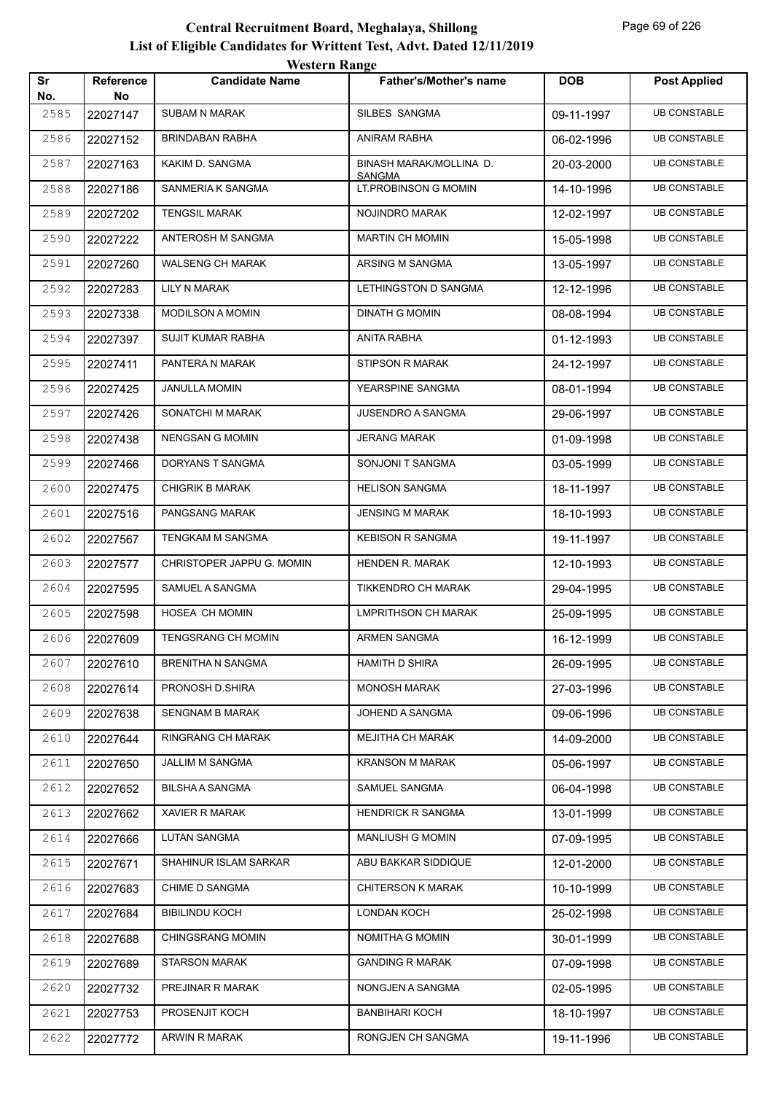| Sr          | <b>Reference</b> | <b><i>HUSIGER INAILEE</i></b><br><b>Candidate Name</b> | <b>Father's/Mother's name</b>                | <b>DOB</b> | <b>Post Applied</b> |
|-------------|------------------|--------------------------------------------------------|----------------------------------------------|------------|---------------------|
| No.<br>2585 | No<br>22027147   | <b>SUBAM N MARAK</b>                                   | SILBES SANGMA                                | 09-11-1997 | <b>UB CONSTABLE</b> |
| 2586        | 22027152         | <b>BRINDABAN RABHA</b>                                 | ANIRAM RABHA                                 | 06-02-1996 | <b>UB CONSTABLE</b> |
| 2587        | 22027163         | KAKIM D. SANGMA                                        | BINASH MARAK/MOLLINA D.                      | 20-03-2000 | <b>UB CONSTABLE</b> |
| 2588        | 22027186         | SANMERIA K SANGMA                                      | <b>SANGMA</b><br><b>LT.PROBINSON G MOMIN</b> | 14-10-1996 | <b>UB CONSTABLE</b> |
| 2589        | 22027202         | <b>TENGSIL MARAK</b>                                   | NOJINDRO MARAK                               | 12-02-1997 | <b>UB CONSTABLE</b> |
| 2590        | 22027222         | ANTEROSH M SANGMA                                      | <b>MARTIN CH MOMIN</b>                       | 15-05-1998 | <b>UB CONSTABLE</b> |
| 2591        | 22027260         | <b>WALSENG CH MARAK</b>                                | ARSING M SANGMA                              | 13-05-1997 | <b>UB CONSTABLE</b> |
| 2592        | 22027283         | LILY N MARAK                                           | LETHINGSTON D SANGMA                         | 12-12-1996 | <b>UB CONSTABLE</b> |
| 2593        | 22027338         | MODILSON A MOMIN                                       | <b>DINATH G MOMIN</b>                        | 08-08-1994 | <b>UB CONSTABLE</b> |
| 2594        | 22027397         | SUJIT KUMAR RABHA                                      | ANITA RABHA                                  | 01-12-1993 | <b>UB CONSTABLE</b> |
| 2595        | 22027411         | PANTERA N MARAK                                        | STIPSON R MARAK                              | 24-12-1997 | <b>UB CONSTABLE</b> |
| 2596        | 22027425         | <b>JANULLA MOMIN</b>                                   | YEARSPINE SANGMA                             | 08-01-1994 | <b>UB CONSTABLE</b> |
| 2597        | 22027426         | SONATCHI M MARAK                                       | <b>JUSENDRO A SANGMA</b>                     | 29-06-1997 | <b>UB CONSTABLE</b> |
| 2598        | 22027438         | NENGSAN G MOMIN                                        | <b>JERANG MARAK</b>                          | 01-09-1998 | <b>UB CONSTABLE</b> |
| 2599        | 22027466         | DORYANS T SANGMA                                       | SONJONI T SANGMA                             | 03-05-1999 | <b>UB CONSTABLE</b> |
| 2600        | 22027475         | <b>CHIGRIK B MARAK</b>                                 | <b>HELISON SANGMA</b>                        | 18-11-1997 | <b>UB CONSTABLE</b> |
| 2601        | 22027516         | PANGSANG MARAK                                         | <b>JENSING M MARAK</b>                       | 18-10-1993 | <b>UB CONSTABLE</b> |
| 2602        | 22027567         | TENGKAM M SANGMA                                       | <b>KEBISON R SANGMA</b>                      | 19-11-1997 | <b>UB CONSTABLE</b> |
| 2603        | 22027577         | CHRISTOPER JAPPU G. MOMIN                              | HENDEN R. MARAK                              | 12-10-1993 | <b>UB CONSTABLE</b> |
| 2604        | 22027595         | SAMUEL A SANGMA                                        | TIKKENDRO CH MARAK                           | 29-04-1995 | <b>UB CONSTABLE</b> |
| 2605        | 22027598         | HOSEA CH MOMIN                                         | <b>LMPRITHSON CH MARAK</b>                   | 25-09-1995 | <b>UB CONSTABLE</b> |
| 2606        | 22027609         | TENGSRANG CH MOMIN                                     | ARMEN SANGMA                                 | 16-12-1999 | <b>UB CONSTABLE</b> |
| 2607        | 22027610         | <b>BRENITHA N SANGMA</b>                               | <b>HAMITH D SHIRA</b>                        | 26-09-1995 | <b>UB CONSTABLE</b> |
| 2608        | 22027614         | PRONOSH D.SHIRA                                        | <b>MONOSH MARAK</b>                          | 27-03-1996 | <b>UB CONSTABLE</b> |
| 2609        | 22027638         | <b>SENGNAM B MARAK</b>                                 | JOHEND A SANGMA                              | 09-06-1996 | <b>UB CONSTABLE</b> |
| 2610        | 22027644         | RINGRANG CH MARAK                                      | <b>MEJITHA CH MARAK</b>                      | 14-09-2000 | <b>UB CONSTABLE</b> |
| 2611        | 22027650         | JALLIM M SANGMA                                        | <b>KRANSON M MARAK</b>                       | 05-06-1997 | <b>UB CONSTABLE</b> |
| 2612        | 22027652         | <b>BILSHA A SANGMA</b>                                 | SAMUEL SANGMA                                | 06-04-1998 | <b>UB CONSTABLE</b> |
| 2613        | 22027662         | <b>XAVIER R MARAK</b>                                  | <b>HENDRICK R SANGMA</b>                     | 13-01-1999 | <b>UB CONSTABLE</b> |
| 2614        | 22027666         | <b>LUTAN SANGMA</b>                                    | <b>MANLIUSH G MOMIN</b>                      | 07-09-1995 | <b>UB CONSTABLE</b> |
| 2615        | 22027671         | SHAHINUR ISLAM SARKAR                                  | ABU BAKKAR SIDDIQUE                          | 12-01-2000 | <b>UB CONSTABLE</b> |
| 2616        | 22027683         | <b>CHIME D SANGMA</b>                                  | <b>CHITERSON K MARAK</b>                     | 10-10-1999 | <b>UB CONSTABLE</b> |
| 2617        | 22027684         | <b>BIBILINDU KOCH</b>                                  | <b>LONDAN KOCH</b>                           | 25-02-1998 | <b>UB CONSTABLE</b> |
| 2618        | 22027688         | <b>CHINGSRANG MOMIN</b>                                | NOMITHA G MOMIN                              | 30-01-1999 | <b>UB CONSTABLE</b> |
| 2619        | 22027689         | <b>STARSON MARAK</b>                                   | <b>GANDING R MARAK</b>                       | 07-09-1998 | <b>UB CONSTABLE</b> |
| 2620        | 22027732         | PREJINAR R MARAK                                       | NONGJEN A SANGMA                             | 02-05-1995 | <b>UB CONSTABLE</b> |
| 2621        | 22027753         | PROSENJIT KOCH                                         | <b>BANBIHARI KOCH</b>                        | 18-10-1997 | <b>UB CONSTABLE</b> |
| 2622        | 22027772         | ARWIN R MARAK                                          | RONGJEN CH SANGMA                            | 19-11-1996 | <b>UB CONSTABLE</b> |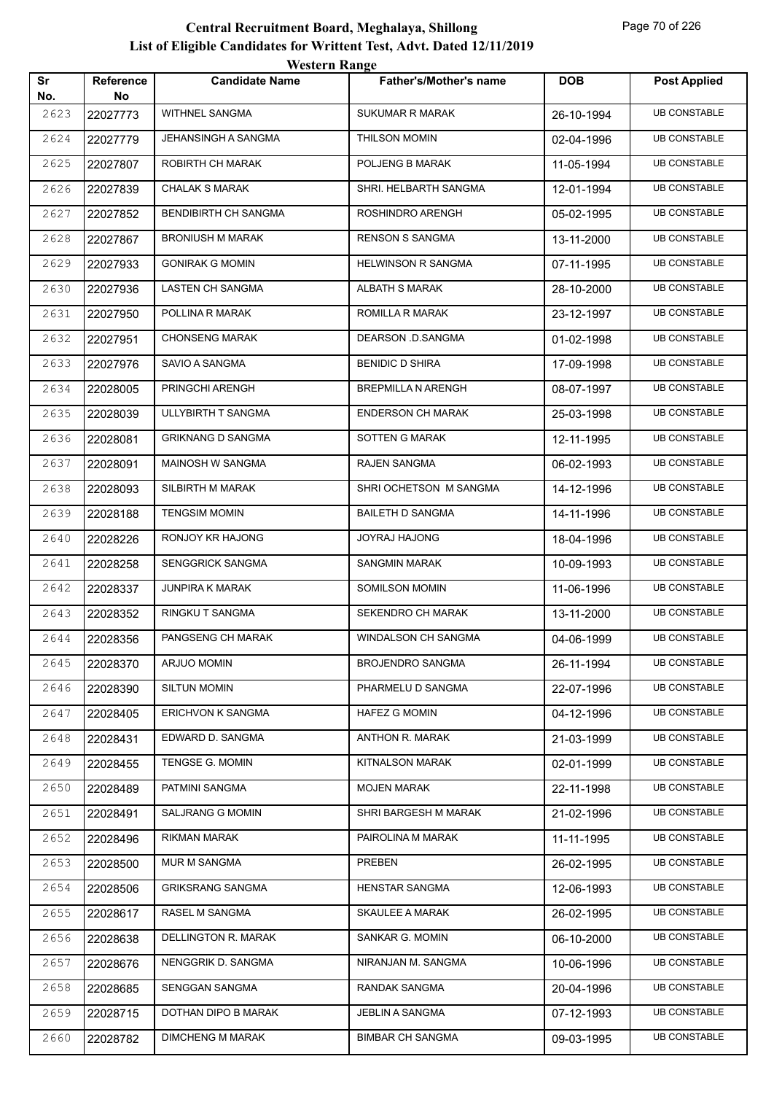| Sr          | <b>Reference</b> | <b>TUGILI II IXAIIZU</b><br><b>Candidate Name</b> | <b>Father's/Mother's name</b> | <b>DOB</b> | <b>Post Applied</b> |
|-------------|------------------|---------------------------------------------------|-------------------------------|------------|---------------------|
| No.<br>2623 | No<br>22027773   | WITHNEL SANGMA                                    | <b>SUKUMAR R MARAK</b>        | 26-10-1994 | <b>UB CONSTABLE</b> |
| 2624        | 22027779         | JEHANSINGH A SANGMA                               | THILSON MOMIN                 | 02-04-1996 | <b>UB CONSTABLE</b> |
| 2625        | 22027807         | ROBIRTH CH MARAK                                  | POLJENG B MARAK               | 11-05-1994 | <b>UB CONSTABLE</b> |
| 2626        | 22027839         | <b>CHALAK S MARAK</b>                             | SHRI. HELBARTH SANGMA         | 12-01-1994 | <b>UB CONSTABLE</b> |
| 2627        | 22027852         | <b>BENDIBIRTH CH SANGMA</b>                       | ROSHINDRO ARENGH              | 05-02-1995 | <b>UB CONSTABLE</b> |
| 2628        | 22027867         | <b>BRONIUSH M MARAK</b>                           | <b>RENSON S SANGMA</b>        | 13-11-2000 | <b>UB CONSTABLE</b> |
| 2629        | 22027933         | <b>GONIRAK G MOMIN</b>                            | <b>HELWINSON R SANGMA</b>     | 07-11-1995 | <b>UB CONSTABLE</b> |
| 2630        | 22027936         | LASTEN CH SANGMA                                  | ALBATH S MARAK                | 28-10-2000 | <b>UB CONSTABLE</b> |
| 2631        | 22027950         | POLLINA R MARAK                                   | ROMILLA R MARAK               | 23-12-1997 | <b>UB CONSTABLE</b> |
| 2632        | 22027951         | <b>CHONSENG MARAK</b>                             | DEARSON D.SANGMA              | 01-02-1998 | <b>UB CONSTABLE</b> |
| 2633        | 22027976         | SAVIO A SANGMA                                    | <b>BENIDIC D SHIRA</b>        | 17-09-1998 | <b>UB CONSTABLE</b> |
| 2634        | 22028005         | PRINGCHI ARENGH                                   | <b>BREPMILLA N ARENGH</b>     | 08-07-1997 | <b>UB CONSTABLE</b> |
| 2635        | 22028039         | ULLYBIRTH T SANGMA                                | <b>ENDERSON CH MARAK</b>      | 25-03-1998 | <b>UB CONSTABLE</b> |
| 2636        | 22028081         | <b>GRIKNANG D SANGMA</b>                          | SOTTEN G MARAK                | 12-11-1995 | <b>UB CONSTABLE</b> |
| 2637        | 22028091         | <b>MAINOSH W SANGMA</b>                           | RAJEN SANGMA                  | 06-02-1993 | <b>UB CONSTABLE</b> |
| 2638        | 22028093         | SILBIRTH M MARAK                                  | SHRI OCHETSON M SANGMA        | 14-12-1996 | <b>UB CONSTABLE</b> |
| 2639        | 22028188         | <b>TENGSIM MOMIN</b>                              | BAILETH D SANGMA              | 14-11-1996 | <b>UB CONSTABLE</b> |
| 2640        | 22028226         | RONJOY KR HAJONG                                  | JOYRAJ HAJONG                 | 18-04-1996 | <b>UB CONSTABLE</b> |
| 2641        | 22028258         | SENGGRICK SANGMA                                  | <b>SANGMIN MARAK</b>          | 10-09-1993 | <b>UB CONSTABLE</b> |
| 2642        | 22028337         | <b>JUNPIRA K MARAK</b>                            | SOMILSON MOMIN                | 11-06-1996 | <b>UB CONSTABLE</b> |
| 2643        | 22028352         | RINGKU T SANGMA                                   | SEKENDRO CH MARAK             | 13-11-2000 | <b>UB CONSTABLE</b> |
| 2644        | 22028356         | PANGSENG CH MARAK                                 | WINDALSON CH SANGMA           | 04-06-1999 | <b>UB CONSTABLE</b> |
| 2645        | 22028370         | ARJUO MOMIN                                       | <b>BROJENDRO SANGMA</b>       | 26-11-1994 | <b>UB CONSTABLE</b> |
| 2646        | 22028390         | <b>SILTUN MOMIN</b>                               | PHARMELU D SANGMA             | 22-07-1996 | <b>UB CONSTABLE</b> |
| 2647        | 22028405         | <b>ERICHVON K SANGMA</b>                          | HAFEZ G MOMIN                 | 04-12-1996 | <b>UB CONSTABLE</b> |
| 2648        | 22028431         | EDWARD D. SANGMA                                  | ANTHON R. MARAK               | 21-03-1999 | <b>UB CONSTABLE</b> |
| 2649        | 22028455         | TENGSE G. MOMIN                                   | KITNALSON MARAK               | 02-01-1999 | <b>UB CONSTABLE</b> |
| 2650        | 22028489         | PATMINI SANGMA                                    | <b>MOJEN MARAK</b>            | 22-11-1998 | <b>UB CONSTABLE</b> |
| 2651        | 22028491         | SALJRANG G MOMIN                                  | SHRI BARGESH M MARAK          | 21-02-1996 | <b>UB CONSTABLE</b> |
| 2652        | 22028496         | RIKMAN MARAK                                      | PAIROLINA M MARAK             | 11-11-1995 | <b>UB CONSTABLE</b> |
| 2653        | 22028500         | MUR M SANGMA                                      | PREBEN                        | 26-02-1995 | <b>UB CONSTABLE</b> |
| 2654        | 22028506         | <b>GRIKSRANG SANGMA</b>                           | HENSTAR SANGMA                | 12-06-1993 | <b>UB CONSTABLE</b> |
| 2655        | 22028617         | RASEL M SANGMA                                    | SKAULEE A MARAK               | 26-02-1995 | <b>UB CONSTABLE</b> |
| 2656        | 22028638         | DELLINGTON R. MARAK                               | SANKAR G. MOMIN               | 06-10-2000 | <b>UB CONSTABLE</b> |
| 2657        | 22028676         | NENGGRIK D. SANGMA                                | NIRANJAN M. SANGMA            | 10-06-1996 | <b>UB CONSTABLE</b> |
| 2658        | 22028685         | SENGGAN SANGMA                                    | RANDAK SANGMA                 | 20-04-1996 | <b>UB CONSTABLE</b> |
| 2659        | 22028715         | DOTHAN DIPO B MARAK                               | JEBLIN A SANGMA               | 07-12-1993 | <b>UB CONSTABLE</b> |
| 2660        | 22028782         | <b>DIMCHENG M MARAK</b>                           | <b>BIMBAR CH SANGMA</b>       | 09-03-1995 | <b>UB CONSTABLE</b> |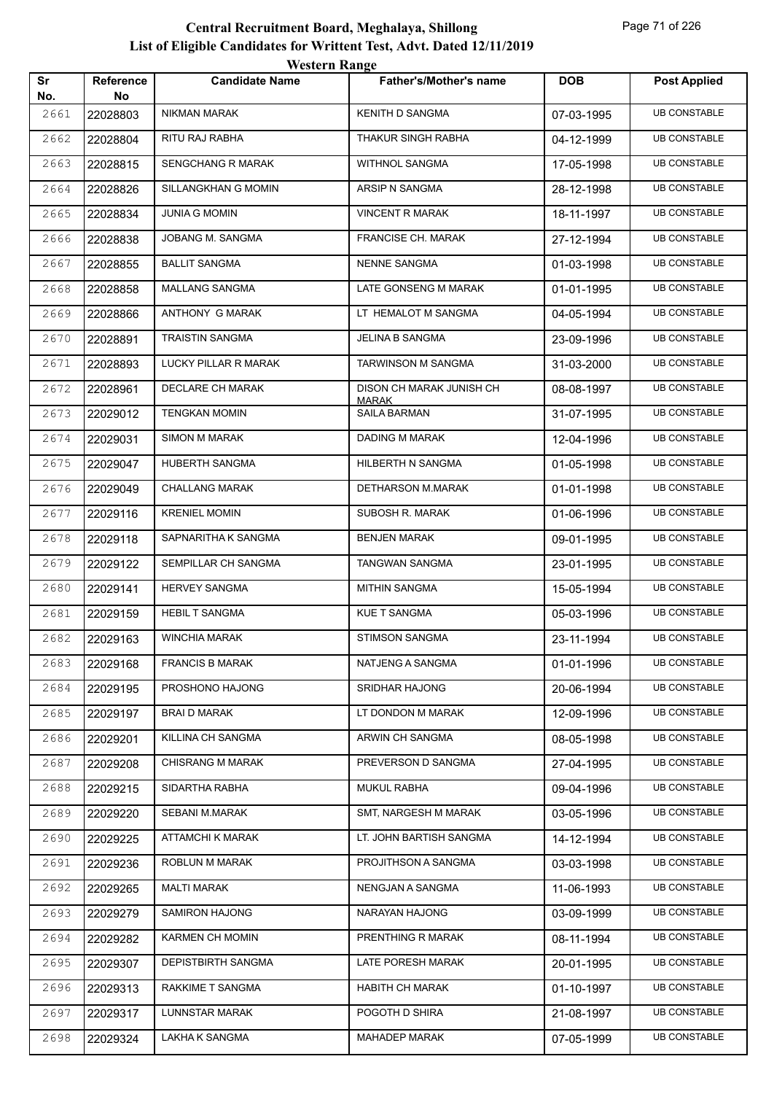| Sr          | Reference      | <b>Candidate Name</b>    | <b>Father's/Mother's name</b> | <b>DOB</b> | <b>Post Applied</b> |
|-------------|----------------|--------------------------|-------------------------------|------------|---------------------|
| No.<br>2661 | No<br>22028803 | NIKMAN MARAK             | KENITH D SANGMA               | 07-03-1995 | <b>UB CONSTABLE</b> |
| 2662        | 22028804       | RITU RAJ RABHA           | THAKUR SINGH RABHA            | 04-12-1999 | <b>UB CONSTABLE</b> |
| 2663        | 22028815       | <b>SENGCHANG R MARAK</b> | WITHNOL SANGMA                | 17-05-1998 | <b>UB CONSTABLE</b> |
| 2664        | 22028826       | SILLANGKHAN G MOMIN      | ARSIP N SANGMA                | 28-12-1998 | <b>UB CONSTABLE</b> |
| 2665        | 22028834       | <b>JUNIA G MOMIN</b>     | <b>VINCENT R MARAK</b>        | 18-11-1997 | <b>UB CONSTABLE</b> |
| 2666        | 22028838       | JOBANG M. SANGMA         | <b>FRANCISE CH. MARAK</b>     | 27-12-1994 | <b>UB CONSTABLE</b> |
| 2667        | 22028855       | <b>BALLIT SANGMA</b>     | <b>NENNE SANGMA</b>           | 01-03-1998 | <b>UB CONSTABLE</b> |
| 2668        | 22028858       | MALLANG SANGMA           | LATE GONSENG M MARAK          | 01-01-1995 | <b>UB CONSTABLE</b> |
| 2669        | 22028866       | ANTHONY G MARAK          | LT HEMALOT M SANGMA           | 04-05-1994 | <b>UB CONSTABLE</b> |
| 2670        | 22028891       | <b>TRAISTIN SANGMA</b>   | JELINA B SANGMA               | 23-09-1996 | <b>UB CONSTABLE</b> |
| 2671        | 22028893       | LUCKY PILLAR R MARAK     | TARWINSON M SANGMA            | 31-03-2000 | <b>UB CONSTABLE</b> |
| 2672        | 22028961       | DECLARE CH MARAK         | DISON CH MARAK JUNISH CH      | 08-08-1997 | <b>UB CONSTABLE</b> |
| 2673        | 22029012       | <b>TENGKAN MOMIN</b>     | <b>MARAK</b><br>SAILA BARMAN  | 31-07-1995 | <b>UB CONSTABLE</b> |
| 2674        |                | <b>SIMON M MARAK</b>     | DADING M MARAK                |            | <b>UB CONSTABLE</b> |
|             | 22029031       | HUBERTH SANGMA           | HILBERTH N SANGMA             | 12-04-1996 | <b>UB CONSTABLE</b> |
| 2675        | 22029047       |                          |                               | 01-05-1998 |                     |
| 2676        | 22029049       | <b>CHALLANG MARAK</b>    | DETHARSON M.MARAK             | 01-01-1998 | <b>UB CONSTABLE</b> |
| 2677        | 22029116       | <b>KRENIEL MOMIN</b>     | SUBOSH R. MARAK               | 01-06-1996 | <b>UB CONSTABLE</b> |
| 2678        | 22029118       | SAPNARITHA K SANGMA      | <b>BENJEN MARAK</b>           | 09-01-1995 | <b>UB CONSTABLE</b> |
| 2679        | 22029122       | SEMPILLAR CH SANGMA      | TANGWAN SANGMA                | 23-01-1995 | <b>UB CONSTABLE</b> |
| 2680        | 22029141       | <b>HERVEY SANGMA</b>     | <b>MITHIN SANGMA</b>          | 15-05-1994 | <b>UB CONSTABLE</b> |
| 2681        | 22029159       | <b>HEBIL T SANGMA</b>    | <b>KUE T SANGMA</b>           | 05-03-1996 | <b>UB CONSTABLE</b> |
| 2682        | 22029163       | <b>WINCHIA MARAK</b>     | <b>STIMSON SANGMA</b>         | 23-11-1994 | <b>UB CONSTABLE</b> |
| 2683        | 22029168       | <b>FRANCIS B MARAK</b>   | NATJENG A SANGMA              | 01-01-1996 | <b>UB CONSTABLE</b> |
| 2684        | 22029195       | PROSHONO HAJONG          | SRIDHAR HAJONG                | 20-06-1994 | <b>UB CONSTABLE</b> |
| 2685        | 22029197       | <b>BRAI D MARAK</b>      | LT DONDON M MARAK             | 12-09-1996 | <b>UB CONSTABLE</b> |
| 2686        | 22029201       | KILLINA CH SANGMA        | ARWIN CH SANGMA               | 08-05-1998 | <b>UB CONSTABLE</b> |
| 2687        | 22029208       | <b>CHISRANG M MARAK</b>  | PREVERSON D SANGMA            | 27-04-1995 | <b>UB CONSTABLE</b> |
| 2688        | 22029215       | SIDARTHA RABHA           | <b>MUKUL RABHA</b>            | 09-04-1996 | <b>UB CONSTABLE</b> |
| 2689        | 22029220       | SEBANI M.MARAK           | SMT, NARGESH M MARAK          | 03-05-1996 | <b>UB CONSTABLE</b> |
| 2690        | 22029225       | <b>ATTAMCHI K MARAK</b>  | LT. JOHN BARTISH SANGMA       | 14-12-1994 | <b>UB CONSTABLE</b> |
| 2691        | 22029236       | ROBLUN M MARAK           | PROJITHSON A SANGMA           | 03-03-1998 | <b>UB CONSTABLE</b> |
| 2692        | 22029265       | MALTI MARAK              | NENGJAN A SANGMA              | 11-06-1993 | <b>UB CONSTABLE</b> |
| 2693        | 22029279       | SAMIRON HAJONG           | NARAYAN HAJONG                | 03-09-1999 | <b>UB CONSTABLE</b> |
| 2694        | 22029282       | KARMEN CH MOMIN          | PRENTHING R MARAK             | 08-11-1994 | <b>UB CONSTABLE</b> |
| 2695        | 22029307       | DEPISTBIRTH SANGMA       | LATE PORESH MARAK             | 20-01-1995 | <b>UB CONSTABLE</b> |
| 2696        | 22029313       | RAKKIME T SANGMA         | <b>HABITH CH MARAK</b>        | 01-10-1997 | <b>UB CONSTABLE</b> |
| 2697        | 22029317       | LUNNSTAR MARAK           | POGOTH D SHIRA                | 21-08-1997 | <b>UB CONSTABLE</b> |
| 2698        | 22029324       | LAKHA K SANGMA           | <b>MAHADEP MARAK</b>          | 07-05-1999 | <b>UB CONSTABLE</b> |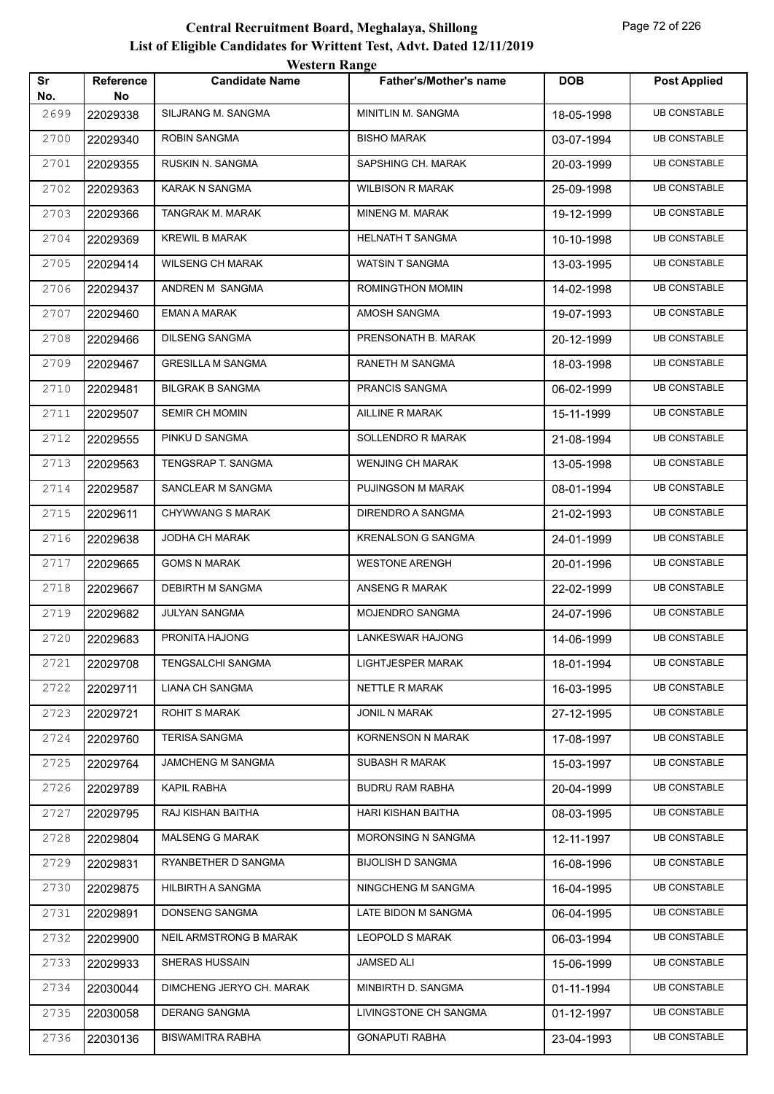|           |                        | <b>Western Range</b>     |                               |            |                     |
|-----------|------------------------|--------------------------|-------------------------------|------------|---------------------|
| Sr<br>No. | <b>Reference</b><br>No | <b>Candidate Name</b>    | <b>Father's/Mother's name</b> | <b>DOB</b> | <b>Post Applied</b> |
| 2699      | 22029338               | SILJRANG M. SANGMA       | MINITLIN M. SANGMA            | 18-05-1998 | <b>UB CONSTABLE</b> |
| 2700      | 22029340               | <b>ROBIN SANGMA</b>      | <b>BISHO MARAK</b>            | 03-07-1994 | <b>UB CONSTABLE</b> |
| 2701      | 22029355               | RUSKIN N. SANGMA         | SAPSHING CH. MARAK            | 20-03-1999 | <b>UB CONSTABLE</b> |
| 2702      | 22029363               | <b>KARAK N SANGMA</b>    | <b>WILBISON R MARAK</b>       | 25-09-1998 | <b>UB CONSTABLE</b> |
| 2703      | 22029366               | TANGRAK M. MARAK         | <b>MINENG M. MARAK</b>        | 19-12-1999 | <b>UB CONSTABLE</b> |
| 2704      | 22029369               | <b>KREWIL B MARAK</b>    | <b>HELNATH T SANGMA</b>       | 10-10-1998 | <b>UB CONSTABLE</b> |
| 2705      | 22029414               | <b>WILSENG CH MARAK</b>  | <b>WATSIN T SANGMA</b>        | 13-03-1995 | <b>UB CONSTABLE</b> |
| 2706      | 22029437               | ANDREN M SANGMA          | ROMINGTHON MOMIN              | 14-02-1998 | <b>UB CONSTABLE</b> |
| 2707      | 22029460               | <b>EMAN A MARAK</b>      | AMOSH SANGMA                  | 19-07-1993 | <b>UB CONSTABLE</b> |
| 2708      | 22029466               | <b>DILSENG SANGMA</b>    | PRENSONATH B. MARAK           | 20-12-1999 | <b>UB CONSTABLE</b> |
| 2709      | 22029467               | <b>GRESILLA M SANGMA</b> | RANETH M SANGMA               | 18-03-1998 | <b>UB CONSTABLE</b> |
| 2710      | 22029481               | <b>BILGRAK B SANGMA</b>  | PRANCIS SANGMA                | 06-02-1999 | <b>UB CONSTABLE</b> |
| 2711      | 22029507               | <b>SEMIR CH MOMIN</b>    | AILLINE R MARAK               | 15-11-1999 | <b>UB CONSTABLE</b> |
| 2712      | 22029555               | PINKU D SANGMA           | SOLLENDRO R MARAK             | 21-08-1994 | <b>UB CONSTABLE</b> |
| 2713      | 22029563               | TENGSRAP T. SANGMA       | <b>WENJING CH MARAK</b>       | 13-05-1998 | <b>UB CONSTABLE</b> |
| 2714      | 22029587               | SANCLEAR M SANGMA        | PUJINGSON M MARAK             | 08-01-1994 | <b>UB CONSTABLE</b> |
| 2715      | 22029611               | <b>CHYWWANG S MARAK</b>  | DIRENDRO A SANGMA             | 21-02-1993 | <b>UB CONSTABLE</b> |
| 2716      | 22029638               | JODHA CH MARAK           | <b>KRENALSON G SANGMA</b>     | 24-01-1999 | <b>UB CONSTABLE</b> |
| 2717      | 22029665               | <b>GOMS N MARAK</b>      | <b>WESTONE ARENGH</b>         | 20-01-1996 | <b>UB CONSTABLE</b> |
| 2718      | 22029667               | <b>DEBIRTH M SANGMA</b>  | ANSENG R MARAK                | 22-02-1999 | <b>UB CONSTABLE</b> |
| 2719      | 22029682               | <b>JULYAN SANGMA</b>     | MOJENDRO SANGMA               | 24-07-1996 | <b>UB CONSTABLE</b> |
| 2720      | 22029683               | PRONITA HAJONG           | LANKESWAR HAJONG              | 14-06-1999 | <b>UB CONSTABLE</b> |
| 2721      | 22029708               | <b>TENGSALCHI SANGMA</b> | LIGHTJESPER MARAK             | 18-01-1994 | <b>UB CONSTABLE</b> |
| 2722      | 22029711               | LIANA CH SANGMA          | NETTLE R MARAK                | 16-03-1995 | <b>UB CONSTABLE</b> |
| 2723      | 22029721               | <b>ROHIT S MARAK</b>     | <b>JONIL N MARAK</b>          | 27-12-1995 | <b>UB CONSTABLE</b> |
| 2724      | 22029760               | <b>TERISA SANGMA</b>     | <b>KORNENSON N MARAK</b>      | 17-08-1997 | <b>UB CONSTABLE</b> |
| 2725      | 22029764               | JAMCHENG M SANGMA        | SUBASH R MARAK                | 15-03-1997 | <b>UB CONSTABLE</b> |
| 2726      | 22029789               | KAPIL RABHA              | <b>BUDRU RAM RABHA</b>        | 20-04-1999 | <b>UB CONSTABLE</b> |
| 2727      | 22029795               | RAJ KISHAN BAITHA        | HARI KISHAN BAITHA            | 08-03-1995 | <b>UB CONSTABLE</b> |
| 2728      | 22029804               | <b>MALSENG G MARAK</b>   | MORONSING N SANGMA            | 12-11-1997 | <b>UB CONSTABLE</b> |
| 2729      | 22029831               | RYANBETHER D SANGMA      | <b>BIJOLISH D SANGMA</b>      | 16-08-1996 | <b>UB CONSTABLE</b> |
| 2730      | 22029875               | HILBIRTH A SANGMA        | NINGCHENG M SANGMA            | 16-04-1995 | <b>UB CONSTABLE</b> |
| 2731      | 22029891               | DONSENG SANGMA           | LATE BIDON M SANGMA           | 06-04-1995 | <b>UB CONSTABLE</b> |
| 2732      | 22029900               | NEIL ARMSTRONG B MARAK   | <b>LEOPOLD S MARAK</b>        | 06-03-1994 | <b>UB CONSTABLE</b> |
| 2733      | 22029933               | SHERAS HUSSAIN           | JAMSED ALI                    | 15-06-1999 | <b>UB CONSTABLE</b> |
| 2734      | 22030044               | DIMCHENG JERYO CH. MARAK | MINBIRTH D. SANGMA            | 01-11-1994 | <b>UB CONSTABLE</b> |
| 2735      | 22030058               | <b>DERANG SANGMA</b>     | LIVINGSTONE CH SANGMA         | 01-12-1997 | <b>UB CONSTABLE</b> |
| 2736      | 22030136               | <b>BISWAMITRA RABHA</b>  | <b>GONAPUTI RABHA</b>         | 23-04-1993 | <b>UB CONSTABLE</b> |
|           |                        |                          |                               |            |                     |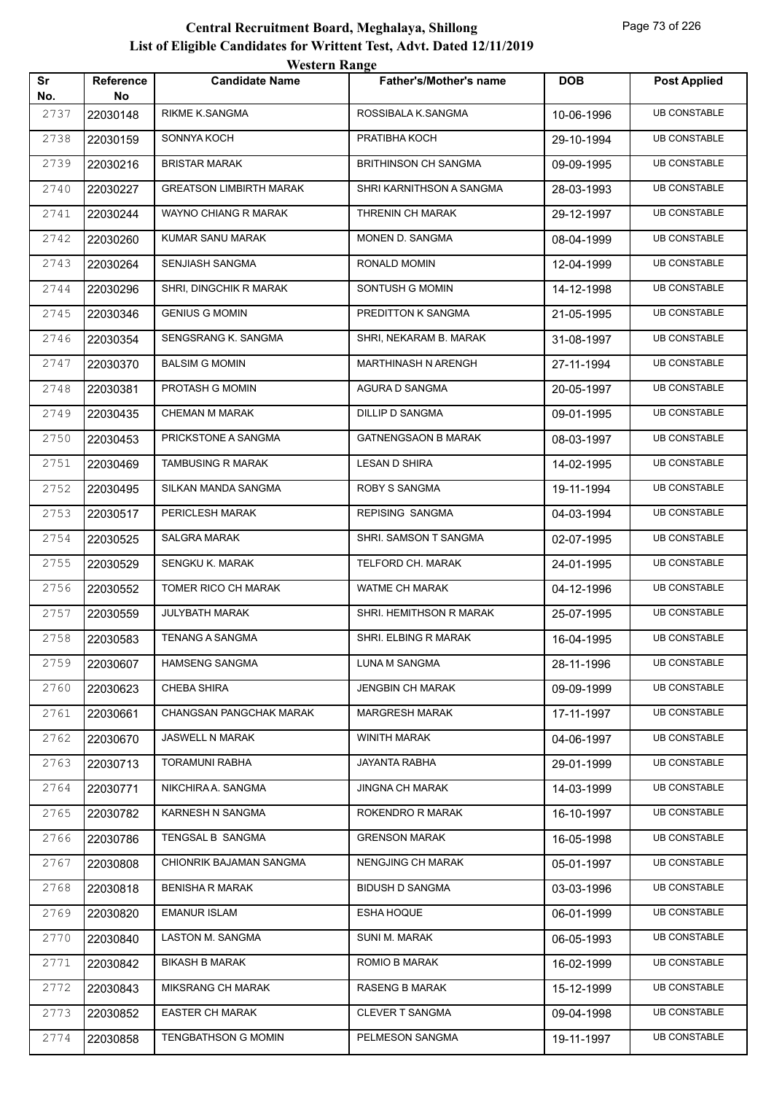| Sr<br>No. | Reference<br>No | $\mathbf{v}$ color in Trange<br><b>Candidate Name</b> | <b>Father's/Mother's name</b> | <b>DOB</b> | <b>Post Applied</b> |
|-----------|-----------------|-------------------------------------------------------|-------------------------------|------------|---------------------|
| 2737      | 22030148        | RIKME K.SANGMA                                        | ROSSIBALA K.SANGMA            | 10-06-1996 | <b>UB CONSTABLE</b> |
| 2738      | 22030159        | SONNYA KOCH                                           | PRATIBHA KOCH                 | 29-10-1994 | <b>UB CONSTABLE</b> |
| 2739      | 22030216        | <b>BRISTAR MARAK</b>                                  | <b>BRITHINSON CH SANGMA</b>   | 09-09-1995 | <b>UB CONSTABLE</b> |
| 2740      | 22030227        | <b>GREATSON LIMBIRTH MARAK</b>                        | SHRI KARNITHSON A SANGMA      | 28-03-1993 | <b>UB CONSTABLE</b> |
| 2741      | 22030244        | WAYNO CHIANG R MARAK                                  | THRENIN CH MARAK              | 29-12-1997 | <b>UB CONSTABLE</b> |
| 2742      | 22030260        | KUMAR SANU MARAK                                      | MONEN D. SANGMA               | 08-04-1999 | <b>UB CONSTABLE</b> |
| 2743      | 22030264        | SENJIASH SANGMA                                       | RONALD MOMIN                  | 12-04-1999 | <b>UB CONSTABLE</b> |
| 2744      | 22030296        | SHRI, DINGCHIK R MARAK                                | SONTUSH G MOMIN               | 14-12-1998 | <b>UB CONSTABLE</b> |
| 2745      | 22030346        | <b>GENIUS G MOMIN</b>                                 | PREDITTON K SANGMA            | 21-05-1995 | <b>UB CONSTABLE</b> |
| 2746      | 22030354        | SENGSRANG K. SANGMA                                   | SHRI, NEKARAM B. MARAK        | 31-08-1997 | <b>UB CONSTABLE</b> |
| 2747      | 22030370        | <b>BALSIM G MOMIN</b>                                 | <b>MARTHINASH N ARENGH</b>    | 27-11-1994 | <b>UB CONSTABLE</b> |
| 2748      | 22030381        | PROTASH G MOMIN                                       | AGURA D SANGMA                | 20-05-1997 | <b>UB CONSTABLE</b> |
| 2749      | 22030435        | CHEMAN M MARAK                                        | DILLIP D SANGMA               | 09-01-1995 | <b>UB CONSTABLE</b> |
| 2750      | 22030453        | PRICKSTONE A SANGMA                                   | <b>GATNENGSAON B MARAK</b>    | 08-03-1997 | <b>UB CONSTABLE</b> |
| 2751      | 22030469        | TAMBUSING R MARAK                                     | LESAN D SHIRA                 | 14-02-1995 | <b>UB CONSTABLE</b> |
| 2752      | 22030495        | SILKAN MANDA SANGMA                                   | ROBY S SANGMA                 | 19-11-1994 | <b>UB CONSTABLE</b> |
| 2753      | 22030517        | PERICLESH MARAK                                       | REPISING SANGMA               | 04-03-1994 | <b>UB CONSTABLE</b> |
| 2754      | 22030525        | <b>SALGRA MARAK</b>                                   | SHRI. SAMSON T SANGMA         | 02-07-1995 | <b>UB CONSTABLE</b> |
| 2755      | 22030529        | SENGKU K. MARAK                                       | TELFORD CH. MARAK             | 24-01-1995 | <b>UB CONSTABLE</b> |
| 2756      | 22030552        | TOMER RICO CH MARAK                                   | WATME CH MARAK                | 04-12-1996 | <b>UB CONSTABLE</b> |
| 2757      | 22030559        | JULYBATH MARAK                                        | SHRI. HEMITHSON R MARAK       | 25-07-1995 | <b>UB CONSTABLE</b> |
| 2758      | 22030583        | TENANG A SANGMA                                       | SHRI. ELBING R MARAK          | 16-04-1995 | <b>UB CONSTABLE</b> |
| 2759      | 22030607        | <b>HAMSENG SANGMA</b>                                 | LUNA M SANGMA                 | 28-11-1996 | <b>UB CONSTABLE</b> |
| 2760      | 22030623        | <b>CHEBA SHIRA</b>                                    | <b>JENGBIN CH MARAK</b>       | 09-09-1999 | <b>UB CONSTABLE</b> |
| 2761      | 22030661        | CHANGSAN PANGCHAK MARAK                               | <b>MARGRESH MARAK</b>         | 17-11-1997 | <b>UB CONSTABLE</b> |
| 2762      | 22030670        | JASWELL N MARAK                                       | <b>WINITH MARAK</b>           | 04-06-1997 | <b>UB CONSTABLE</b> |
| 2763      | 22030713        | <b>TORAMUNI RABHA</b>                                 | JAYANTA RABHA                 | 29-01-1999 | <b>UB CONSTABLE</b> |
| 2764      | 22030771        | NIKCHIRA A. SANGMA                                    | <b>JINGNA CH MARAK</b>        | 14-03-1999 | <b>UB CONSTABLE</b> |
| 2765      | 22030782        | KARNESH N SANGMA                                      | ROKENDRO R MARAK              | 16-10-1997 | <b>UB CONSTABLE</b> |
| 2766      | 22030786        | TENGSAL B SANGMA                                      | <b>GRENSON MARAK</b>          | 16-05-1998 | <b>UB CONSTABLE</b> |
| 2767      | 22030808        | CHIONRIK BAJAMAN SANGMA                               | <b>NENGJING CH MARAK</b>      | 05-01-1997 | <b>UB CONSTABLE</b> |
| 2768      | 22030818        | <b>BENISHA R MARAK</b>                                | <b>BIDUSH D SANGMA</b>        | 03-03-1996 | <b>UB CONSTABLE</b> |
| 2769      | 22030820        | <b>EMANUR ISLAM</b>                                   | <b>ESHA HOQUE</b>             | 06-01-1999 | <b>UB CONSTABLE</b> |
| 2770      | 22030840        | LASTON M. SANGMA                                      | SUNI M. MARAK                 | 06-05-1993 | <b>UB CONSTABLE</b> |
| 2771      | 22030842        | <b>BIKASH B MARAK</b>                                 | ROMIO B MARAK                 | 16-02-1999 | <b>UB CONSTABLE</b> |
| 2772      | 22030843        | <b>MIKSRANG CH MARAK</b>                              | <b>RASENG B MARAK</b>         | 15-12-1999 | <b>UB CONSTABLE</b> |
| 2773      | 22030852        | <b>EASTER CH MARAK</b>                                | CLEVER T SANGMA               | 09-04-1998 | <b>UB CONSTABLE</b> |
| 2774      | 22030858        | TENGBATHSON G MOMIN                                   | PELMESON SANGMA               | 19-11-1997 | <b>UB CONSTABLE</b> |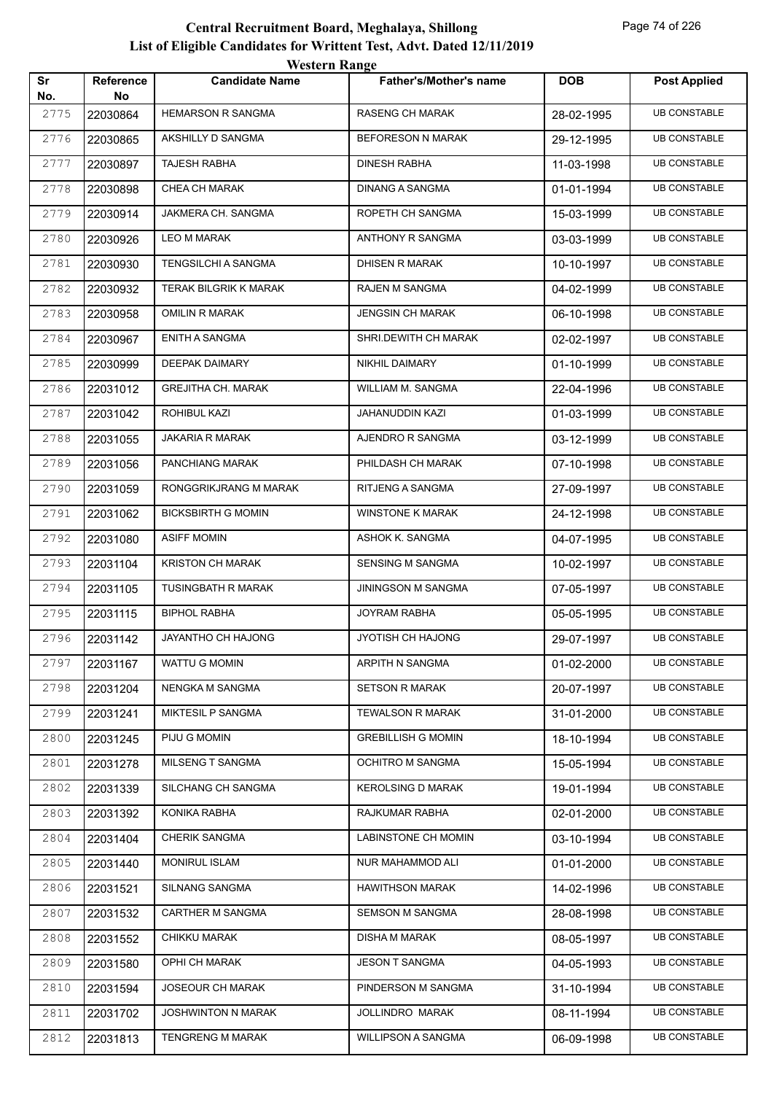| Sr          | Reference       | WESTEL II INALIZE<br><b>Candidate Name</b> | <b>Father's/Mother's name</b> | <b>DOB</b> | <b>Post Applied</b> |
|-------------|-----------------|--------------------------------------------|-------------------------------|------------|---------------------|
| No.<br>2775 | No.<br>22030864 | <b>HEMARSON R SANGMA</b>                   | <b>RASENG CH MARAK</b>        | 28-02-1995 | <b>UB CONSTABLE</b> |
| 2776        | 22030865        | AKSHILLY D SANGMA                          | <b>BEFORESON N MARAK</b>      | 29-12-1995 | <b>UB CONSTABLE</b> |
| 2777        | 22030897        | <b>TAJESH RABHA</b>                        | <b>DINESH RABHA</b>           | 11-03-1998 | <b>UB CONSTABLE</b> |
| 2778        | 22030898        | CHEA CH MARAK                              | DINANG A SANGMA               | 01-01-1994 | <b>UB CONSTABLE</b> |
| 2779        | 22030914        | JAKMERA CH. SANGMA                         | ROPETH CH SANGMA              | 15-03-1999 | <b>UB CONSTABLE</b> |
| 2780        | 22030926        | LEO M MARAK                                | <b>ANTHONY R SANGMA</b>       | 03-03-1999 | <b>UB CONSTABLE</b> |
| 2781        | 22030930        | <b>TENGSILCHI A SANGMA</b>                 | DHISEN R MARAK                | 10-10-1997 | <b>UB CONSTABLE</b> |
| 2782        | 22030932        | <b>TERAK BILGRIK K MARAK</b>               | RAJEN M SANGMA                | 04-02-1999 | <b>UB CONSTABLE</b> |
| 2783        | 22030958        | OMILIN R MARAK                             | JENGSIN CH MARAK              | 06-10-1998 | <b>UB CONSTABLE</b> |
| 2784        | 22030967        | ENITH A SANGMA                             | SHRI.DEWITH CH MARAK          | 02-02-1997 | <b>UB CONSTABLE</b> |
| 2785        | 22030999        | DEEPAK DAIMARY                             | NIKHIL DAIMARY                | 01-10-1999 | <b>UB CONSTABLE</b> |
| 2786        | 22031012        | <b>GREJITHA CH. MARAK</b>                  | WILLIAM M. SANGMA             | 22-04-1996 | <b>UB CONSTABLE</b> |
| 2787        | 22031042        | ROHIBUL KAZI                               | JAHANUDDIN KAZI               | 01-03-1999 | <b>UB CONSTABLE</b> |
| 2788        | 22031055        | JAKARIA R MARAK                            | AJENDRO R SANGMA              | 03-12-1999 | <b>UB CONSTABLE</b> |
| 2789        | 22031056        | PANCHIANG MARAK                            | PHILDASH CH MARAK             | 07-10-1998 | <b>UB CONSTABLE</b> |
| 2790        | 22031059        | RONGGRIKJRANG M MARAK                      | RITJENG A SANGMA              | 27-09-1997 | <b>UB CONSTABLE</b> |
| 2791        | 22031062        | <b>BICKSBIRTH G MOMIN</b>                  | <b>WINSTONE K MARAK</b>       | 24-12-1998 | <b>UB CONSTABLE</b> |
| 2792        | 22031080        | <b>ASIFF MOMIN</b>                         | ASHOK K. SANGMA               | 04-07-1995 | <b>UB CONSTABLE</b> |
| 2793        | 22031104        | <b>KRISTON CH MARAK</b>                    | SENSING M SANGMA              | 10-02-1997 | <b>UB CONSTABLE</b> |
| 2794        | 22031105        | TUSINGBATH R MARAK                         | <b>JININGSON M SANGMA</b>     | 07-05-1997 | <b>UB CONSTABLE</b> |
| 2795        | 22031115        | <b>BIPHOL RABHA</b>                        | <b>JOYRAM RABHA</b>           | 05-05-1995 | <b>UB CONSTABLE</b> |
| 2796        | 22031142        | JAYANTHO CH HAJONG                         | JYOTISH CH HAJONG             | 29-07-1997 | <b>UB CONSTABLE</b> |
| 2797        | 22031167        | WATTU G MOMIN                              | ARPITH N SANGMA               | 01-02-2000 | <b>UB CONSTABLE</b> |
| 2798        | 22031204        | NENGKA M SANGMA                            | <b>SETSON R MARAK</b>         | 20-07-1997 | <b>UB CONSTABLE</b> |
| 2799        | 22031241        | MIKTESIL P SANGMA                          | <b>TEWALSON R MARAK</b>       | 31-01-2000 | <b>UB CONSTABLE</b> |
| 2800        | 22031245        | PIJU G MOMIN                               | <b>GREBILLISH G MOMIN</b>     | 18-10-1994 | <b>UB CONSTABLE</b> |
| 2801        | 22031278        | MILSENG T SANGMA                           | OCHITRO M SANGMA              | 15-05-1994 | <b>UB CONSTABLE</b> |
| 2802        | 22031339        | SILCHANG CH SANGMA                         | <b>KEROLSING D MARAK</b>      | 19-01-1994 | <b>UB CONSTABLE</b> |
| 2803        | 22031392        | KONIKA RABHA                               | RAJKUMAR RABHA                | 02-01-2000 | <b>UB CONSTABLE</b> |
| 2804        | 22031404        | <b>CHERIK SANGMA</b>                       | LABINSTONE CH MOMIN           | 03-10-1994 | <b>UB CONSTABLE</b> |
| 2805        | 22031440        | <b>MONIRUL ISLAM</b>                       | NUR MAHAMMOD ALI              | 01-01-2000 | <b>UB CONSTABLE</b> |
| 2806        | 22031521        | SILNANG SANGMA                             | <b>HAWITHSON MARAK</b>        | 14-02-1996 | <b>UB CONSTABLE</b> |
| 2807        | 22031532        | CARTHER M SANGMA                           | <b>SEMSON M SANGMA</b>        | 28-08-1998 | <b>UB CONSTABLE</b> |
| 2808        | 22031552        | CHIKKU MARAK                               | <b>DISHA M MARAK</b>          | 08-05-1997 | <b>UB CONSTABLE</b> |
| 2809        | 22031580        | OPHI CH MARAK                              | <b>JESON T SANGMA</b>         | 04-05-1993 | <b>UB CONSTABLE</b> |
| 2810        | 22031594        | JOSEOUR CH MARAK                           | PINDERSON M SANGMA            | 31-10-1994 | <b>UB CONSTABLE</b> |
| 2811        | 22031702        | JOSHWINTON N MARAK                         | JOLLINDRO MARAK               | 08-11-1994 | <b>UB CONSTABLE</b> |
| 2812        | 22031813        | <b>TENGRENG M MARAK</b>                    | <b>WILLIPSON A SANGMA</b>     | 06-09-1998 | <b>UB CONSTABLE</b> |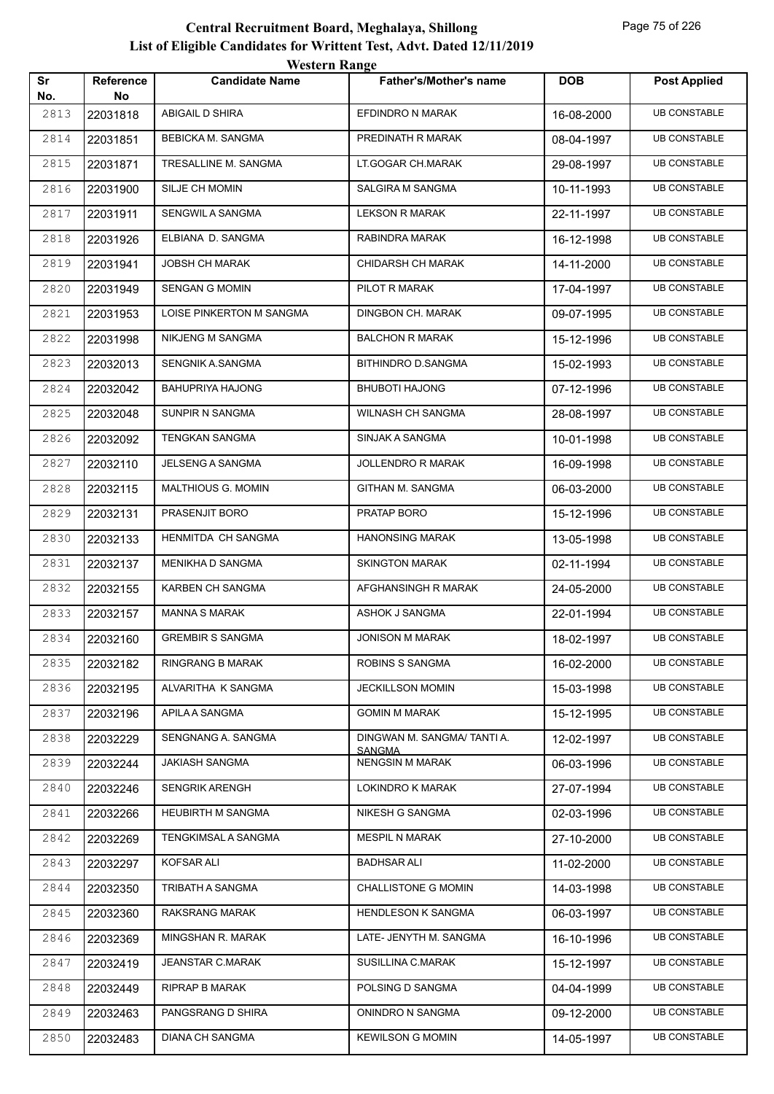|           |                        | <b>Western Range</b>     |                                       |            |                     |
|-----------|------------------------|--------------------------|---------------------------------------|------------|---------------------|
| Sr<br>No. | <b>Reference</b><br>No | <b>Candidate Name</b>    | <b>Father's/Mother's name</b>         | <b>DOB</b> | <b>Post Applied</b> |
| 2813      | 22031818               | ABIGAIL D SHIRA          | EFDINDRO N MARAK                      | 16-08-2000 | <b>UB CONSTABLE</b> |
| 2814      | 22031851               | BEBICKA M. SANGMA        | PREDINATH R MARAK                     | 08-04-1997 | <b>UB CONSTABLE</b> |
| 2815      | 22031871               | TRESALLINE M. SANGMA     | LT.GOGAR CH.MARAK                     | 29-08-1997 | <b>UB CONSTABLE</b> |
| 2816      | 22031900               | SILJE CH MOMIN           | SALGIRA M SANGMA                      | 10-11-1993 | <b>UB CONSTABLE</b> |
| 2817      | 22031911               | SENGWIL A SANGMA         | <b>LEKSON R MARAK</b>                 | 22-11-1997 | <b>UB CONSTABLE</b> |
| 2818      | 22031926               | ELBIANA D. SANGMA        | RABINDRA MARAK                        | 16-12-1998 | <b>UB CONSTABLE</b> |
| 2819      | 22031941               | <b>JOBSH CH MARAK</b>    | <b>CHIDARSH CH MARAK</b>              | 14-11-2000 | <b>UB CONSTABLE</b> |
| 2820      | 22031949               | <b>SENGAN G MOMIN</b>    | PILOT R MARAK                         | 17-04-1997 | <b>UB CONSTABLE</b> |
| 2821      | 22031953               | LOISE PINKERTON M SANGMA | DINGBON CH. MARAK                     | 09-07-1995 | <b>UB CONSTABLE</b> |
| 2822      | 22031998               | NIKJENG M SANGMA         | <b>BALCHON R MARAK</b>                | 15-12-1996 | <b>UB CONSTABLE</b> |
| 2823      | 22032013               | SENGNIK A.SANGMA         | <b>BITHINDRO D.SANGMA</b>             | 15-02-1993 | <b>UB CONSTABLE</b> |
| 2824      | 22032042               | <b>BAHUPRIYA HAJONG</b>  | <b>BHUBOTI HAJONG</b>                 | 07-12-1996 | <b>UB CONSTABLE</b> |
| 2825      | 22032048               | SUNPIR N SANGMA          | WILNASH CH SANGMA                     | 28-08-1997 | <b>UB CONSTABLE</b> |
| 2826      | 22032092               | <b>TENGKAN SANGMA</b>    | SINJAK A SANGMA                       | 10-01-1998 | <b>UB CONSTABLE</b> |
| 2827      | 22032110               | <b>JELSENG A SANGMA</b>  | <b>JOLLENDRO R MARAK</b>              | 16-09-1998 | <b>UB CONSTABLE</b> |
| 2828      | 22032115               | MALTHIOUS G. MOMIN       | GITHAN M. SANGMA                      | 06-03-2000 | <b>UB CONSTABLE</b> |
| 2829      | 22032131               | PRASENJIT BORO           | PRATAP BORO                           | 15-12-1996 | <b>UB CONSTABLE</b> |
| 2830      | 22032133               | HENMITDA CH SANGMA       | <b>HANONSING MARAK</b>                | 13-05-1998 | <b>UB CONSTABLE</b> |
| 2831      | 22032137               | MENIKHA D SANGMA         | <b>SKINGTON MARAK</b>                 | 02-11-1994 | <b>UB CONSTABLE</b> |
| 2832      | 22032155               | <b>KARBEN CH SANGMA</b>  | AFGHANSINGH R MARAK                   | 24-05-2000 | <b>UB CONSTABLE</b> |
| 2833      | 22032157               | <b>MANNA S MARAK</b>     | ASHOK J SANGMA                        | 22-01-1994 | <b>UB CONSTABLE</b> |
| 2834      | 22032160               | <b>GREMBIR S SANGMA</b>  | <b>JONISON M MARAK</b>                | 18-02-1997 | <b>UB CONSTABLE</b> |
| 2835      | 22032182               | <b>RINGRANG B MARAK</b>  | ROBINS S SANGMA                       | 16-02-2000 | <b>UB CONSTABLE</b> |
| 2836      | 22032195               | ALVARITHA K SANGMA       | <b>JECKILLSON MOMIN</b>               | 15-03-1998 | <b>UB CONSTABLE</b> |
| 2837      | 22032196               | APILA A SANGMA           | <b>GOMIN M MARAK</b>                  | 15-12-1995 | <b>UB CONSTABLE</b> |
| 2838      | 22032229               | SENGNANG A. SANGMA       | DINGWAN M. SANGMA/ TANTI A.<br>SANGMA | 12-02-1997 | <b>UB CONSTABLE</b> |
| 2839      | 22032244               | <b>JAKIASH SANGMA</b>    | <b>NENGSIN M MARAK</b>                | 06-03-1996 | <b>UB CONSTABLE</b> |
| 2840      | 22032246               | <b>SENGRIK ARENGH</b>    | <b>LOKINDRO K MARAK</b>               | 27-07-1994 | <b>UB CONSTABLE</b> |
| 2841      | 22032266               | HEUBIRTH M SANGMA        | NIKESH G SANGMA                       | 02-03-1996 | <b>UB CONSTABLE</b> |
| 2842      | 22032269               | TENGKIMSAL A SANGMA      | <b>MESPIL N MARAK</b>                 | 27-10-2000 | <b>UB CONSTABLE</b> |
| 2843      | 22032297               | KOFSAR ALI               | <b>BADHSAR ALI</b>                    | 11-02-2000 | <b>UB CONSTABLE</b> |
| 2844      | 22032350               | TRIBATH A SANGMA         | <b>CHALLISTONE G MOMIN</b>            | 14-03-1998 | <b>UB CONSTABLE</b> |
| 2845      | 22032360               | RAKSRANG MARAK           | HENDLESON K SANGMA                    | 06-03-1997 | <b>UB CONSTABLE</b> |
| 2846      | 22032369               | MINGSHAN R. MARAK        | LATE- JENYTH M. SANGMA                | 16-10-1996 | <b>UB CONSTABLE</b> |
| 2847      | 22032419               | JEANSTAR C.MARAK         | SUSILLINA C.MARAK                     | 15-12-1997 | <b>UB CONSTABLE</b> |
| 2848      | 22032449               | RIPRAP B MARAK           | POLSING D SANGMA                      | 04-04-1999 | <b>UB CONSTABLE</b> |
| 2849      | 22032463               | PANGSRANG D SHIRA        | ONINDRO N SANGMA                      | 09-12-2000 | <b>UB CONSTABLE</b> |
| 2850      | 22032483               | DIANA CH SANGMA          | <b>KEWILSON G MOMIN</b>               | 14-05-1997 | <b>UB CONSTABLE</b> |
|           |                        |                          |                                       |            |                     |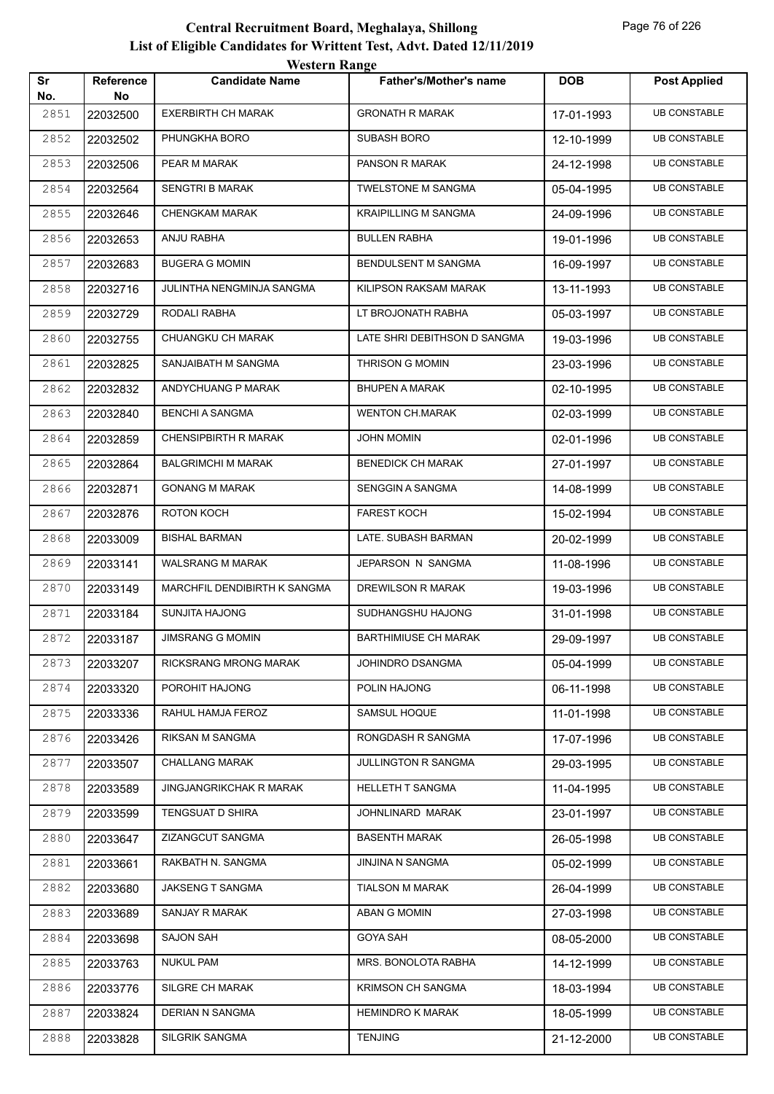|           |                        | <b>Western Range</b>         |                               |            |                     |
|-----------|------------------------|------------------------------|-------------------------------|------------|---------------------|
| Sr<br>No. | <b>Reference</b><br>No | <b>Candidate Name</b>        | <b>Father's/Mother's name</b> | <b>DOB</b> | <b>Post Applied</b> |
| 2851      | 22032500               | <b>EXERBIRTH CH MARAK</b>    | <b>GRONATH R MARAK</b>        | 17-01-1993 | <b>UB CONSTABLE</b> |
| 2852      | 22032502               | PHUNGKHA BORO                | <b>SUBASH BORO</b>            | 12-10-1999 | <b>UB CONSTABLE</b> |
| 2853      | 22032506               | PEAR M MARAK                 | PANSON R MARAK                | 24-12-1998 | <b>UB CONSTABLE</b> |
| 2854      | 22032564               | <b>SENGTRI B MARAK</b>       | <b>TWELSTONE M SANGMA</b>     | 05-04-1995 | <b>UB CONSTABLE</b> |
| 2855      | 22032646               | <b>CHENGKAM MARAK</b>        | <b>KRAIPILLING M SANGMA</b>   | 24-09-1996 | <b>UB CONSTABLE</b> |
| 2856      | 22032653               | ANJU RABHA                   | <b>BULLEN RABHA</b>           | 19-01-1996 | <b>UB CONSTABLE</b> |
| 2857      | 22032683               | <b>BUGERA G MOMIN</b>        | BENDULSENT M SANGMA           | 16-09-1997 | <b>UB CONSTABLE</b> |
| 2858      | 22032716               | JULINTHA NENGMINJA SANGMA    | KILIPSON RAKSAM MARAK         | 13-11-1993 | <b>UB CONSTABLE</b> |
| 2859      | 22032729               | RODALI RABHA                 | LT BROJONATH RABHA            | 05-03-1997 | <b>UB CONSTABLE</b> |
| 2860      | 22032755               | CHUANGKU CH MARAK            | LATE SHRI DEBITHSON D SANGMA  | 19-03-1996 | <b>UB CONSTABLE</b> |
| 2861      | 22032825               | SANJAIBATH M SANGMA          | <b>THRISON G MOMIN</b>        | 23-03-1996 | <b>UB CONSTABLE</b> |
| 2862      | 22032832               | ANDYCHUANG P MARAK           | <b>BHUPEN A MARAK</b>         | 02-10-1995 | <b>UB CONSTABLE</b> |
| 2863      | 22032840               | <b>BENCHI A SANGMA</b>       | <b>WENTON CH.MARAK</b>        | 02-03-1999 | <b>UB CONSTABLE</b> |
| 2864      | 22032859               | <b>CHENSIPBIRTH R MARAK</b>  | <b>JOHN MOMIN</b>             | 02-01-1996 | <b>UB CONSTABLE</b> |
| 2865      | 22032864               | <b>BALGRIMCHI M MARAK</b>    | <b>BENEDICK CH MARAK</b>      | 27-01-1997 | <b>UB CONSTABLE</b> |
| 2866      | 22032871               | <b>GONANG M MARAK</b>        | SENGGIN A SANGMA              | 14-08-1999 | <b>UB CONSTABLE</b> |
| 2867      | 22032876               | ROTON KOCH                   | <b>FAREST KOCH</b>            | 15-02-1994 | <b>UB CONSTABLE</b> |
| 2868      | 22033009               | <b>BISHAL BARMAN</b>         | LATE. SUBASH BARMAN           | 20-02-1999 | <b>UB CONSTABLE</b> |
| 2869      | 22033141               | WALSRANG M MARAK             | JEPARSON N SANGMA             | 11-08-1996 | <b>UB CONSTABLE</b> |
| 2870      | 22033149               | MARCHFIL DENDIBIRTH K SANGMA | DREWILSON R MARAK             | 19-03-1996 | <b>UB CONSTABLE</b> |
| 2871      | 22033184               | <b>SUNJITA HAJONG</b>        | SUDHANGSHU HAJONG             | 31-01-1998 | <b>UB CONSTABLE</b> |
| 2872      | 22033187               | <b>JIMSRANG G MOMIN</b>      | <b>BARTHIMIUSE CH MARAK</b>   | 29-09-1997 | <b>UB CONSTABLE</b> |
| 2873      | 22033207               | RICKSRANG MRONG MARAK        | <b>JOHINDRO DSANGMA</b>       | 05-04-1999 | <b>UB CONSTABLE</b> |
| 2874      | 22033320               | POROHIT HAJONG               | POLIN HAJONG                  | 06-11-1998 | <b>UB CONSTABLE</b> |
| 2875      | 22033336               | RAHUL HAMJA FEROZ            | <b>SAMSUL HOQUE</b>           | 11-01-1998 | <b>UB CONSTABLE</b> |
| 2876      | 22033426               | RIKSAN M SANGMA              | RONGDASH R SANGMA             | 17-07-1996 | <b>UB CONSTABLE</b> |
| 2877      | 22033507               | <b>CHALLANG MARAK</b>        | JULLINGTON R SANGMA           | 29-03-1995 | <b>UB CONSTABLE</b> |
| 2878      | 22033589               | JINGJANGRIKCHAK R MARAK      | HELLETH T SANGMA              | 11-04-1995 | <b>UB CONSTABLE</b> |
| 2879      | 22033599               | TENGSUAT D SHIRA             | JOHNLINARD MARAK              | 23-01-1997 | <b>UB CONSTABLE</b> |
| 2880      | 22033647               | ZIZANGCUT SANGMA             | <b>BASENTH MARAK</b>          | 26-05-1998 | <b>UB CONSTABLE</b> |
| 2881      | 22033661               | RAKBATH N. SANGMA            | JINJINA N SANGMA              | 05-02-1999 | <b>UB CONSTABLE</b> |
| 2882      | 22033680               | JAKSENG T SANGMA             | <b>TIALSON M MARAK</b>        | 26-04-1999 | <b>UB CONSTABLE</b> |
| 2883      | 22033689               | SANJAY R MARAK               | ABAN G MOMIN                  | 27-03-1998 | <b>UB CONSTABLE</b> |
| 2884      | 22033698               | <b>SAJON SAH</b>             | <b>GOYA SAH</b>               | 08-05-2000 | <b>UB CONSTABLE</b> |
| 2885      | 22033763               | <b>NUKUL PAM</b>             | MRS. BONOLOTA RABHA           | 14-12-1999 | <b>UB CONSTABLE</b> |
| 2886      | 22033776               | SILGRE CH MARAK              | <b>KRIMSON CH SANGMA</b>      | 18-03-1994 | <b>UB CONSTABLE</b> |
| 2887      | 22033824               | DERIAN N SANGMA              | <b>HEMINDRO K MARAK</b>       | 18-05-1999 | <b>UB CONSTABLE</b> |
| 2888      | 22033828               | SILGRIK SANGMA               | <b>TENJING</b>                | 21-12-2000 | <b>UB CONSTABLE</b> |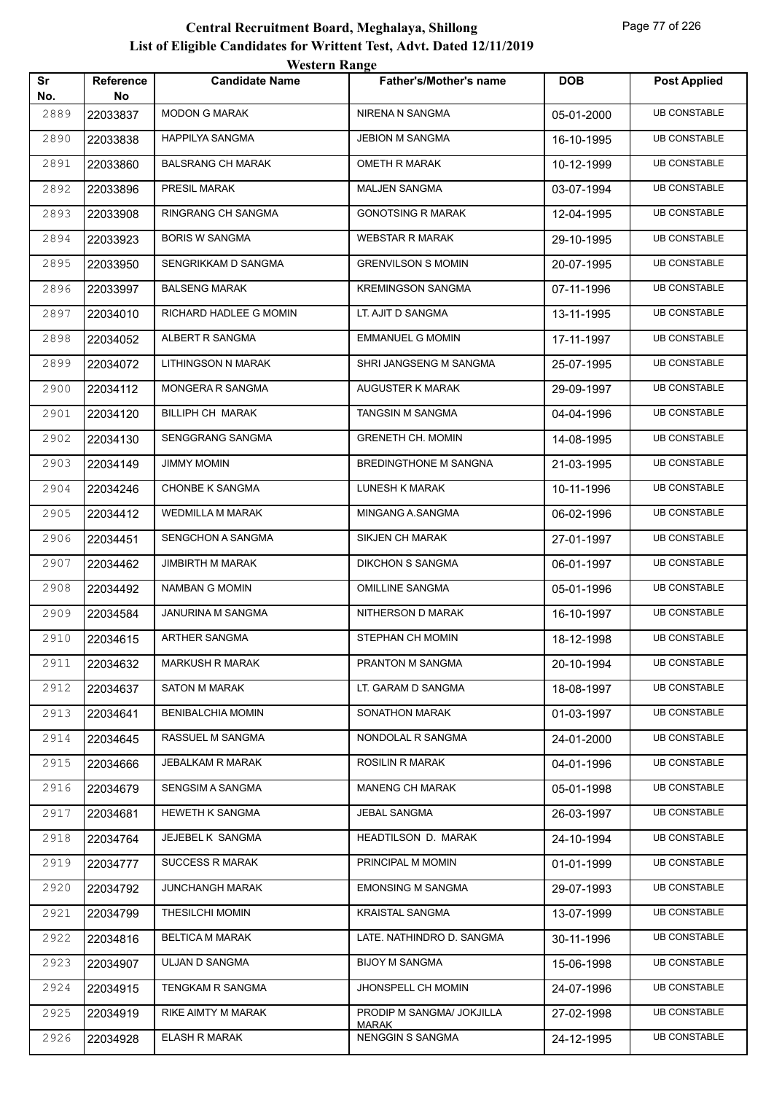|           |                        | <b>Western Range</b>     |                                           |            |                     |
|-----------|------------------------|--------------------------|-------------------------------------------|------------|---------------------|
| Sr<br>No. | <b>Reference</b><br>No | <b>Candidate Name</b>    | <b>Father's/Mother's name</b>             | <b>DOB</b> | <b>Post Applied</b> |
| 2889      | 22033837               | <b>MODON G MARAK</b>     | NIRENA N SANGMA                           | 05-01-2000 | <b>UB CONSTABLE</b> |
| 2890      | 22033838               | <b>HAPPILYA SANGMA</b>   | <b>JEBION M SANGMA</b>                    | 16-10-1995 | <b>UB CONSTABLE</b> |
| 2891      | 22033860               | <b>BALSRANG CH MARAK</b> | <b>OMETH R MARAK</b>                      | 10-12-1999 | <b>UB CONSTABLE</b> |
| 2892      | 22033896               | PRESIL MARAK             | <b>MALJEN SANGMA</b>                      | 03-07-1994 | <b>UB CONSTABLE</b> |
| 2893      | 22033908               | RINGRANG CH SANGMA       | <b>GONOTSING R MARAK</b>                  | 12-04-1995 | <b>UB CONSTABLE</b> |
| 2894      | 22033923               | <b>BORIS W SANGMA</b>    | <b>WEBSTAR R MARAK</b>                    | 29-10-1995 | <b>UB CONSTABLE</b> |
| 2895      | 22033950               | SENGRIKKAM D SANGMA      | <b>GRENVILSON S MOMIN</b>                 | 20-07-1995 | <b>UB CONSTABLE</b> |
| 2896      | 22033997               | <b>BALSENG MARAK</b>     | <b>KREMINGSON SANGMA</b>                  | 07-11-1996 | <b>UB CONSTABLE</b> |
| 2897      | 22034010               | RICHARD HADLEE G MOMIN   | LT. AJIT D SANGMA                         | 13-11-1995 | <b>UB CONSTABLE</b> |
| 2898      | 22034052               | ALBERT R SANGMA          | <b>EMMANUEL G MOMIN</b>                   | 17-11-1997 | <b>UB CONSTABLE</b> |
| 2899      | 22034072               | LITHINGSON N MARAK       | SHRI JANGSENG M SANGMA                    | 25-07-1995 | <b>UB CONSTABLE</b> |
| 2900      | 22034112               | MONGERA R SANGMA         | AUGUSTER K MARAK                          | 29-09-1997 | <b>UB CONSTABLE</b> |
| 2901      | 22034120               | <b>BILLIPH CH MARAK</b>  | TANGSIN M SANGMA                          | 04-04-1996 | <b>UB CONSTABLE</b> |
| 2902      | 22034130               | SENGGRANG SANGMA         | <b>GRENETH CH. MOMIN</b>                  | 14-08-1995 | <b>UB CONSTABLE</b> |
| 2903      | 22034149               | <b>JIMMY MOMIN</b>       | BREDINGTHONE M SANGNA                     | 21-03-1995 | <b>UB CONSTABLE</b> |
| 2904      | 22034246               | <b>CHONBE K SANGMA</b>   | LUNESH K MARAK                            | 10-11-1996 | <b>UB CONSTABLE</b> |
| 2905      | 22034412               | <b>WEDMILLA M MARAK</b>  | MINGANG A.SANGMA                          | 06-02-1996 | <b>UB CONSTABLE</b> |
| 2906      | 22034451               | SENGCHON A SANGMA        | <b>SIKJEN CH MARAK</b>                    | 27-01-1997 | <b>UB CONSTABLE</b> |
| 2907      | 22034462               | <b>JIMBIRTH M MARAK</b>  | <b>DIKCHON S SANGMA</b>                   | 06-01-1997 | <b>UB CONSTABLE</b> |
| 2908      | 22034492               | <b>NAMBAN G MOMIN</b>    | <b>OMILLINE SANGMA</b>                    | 05-01-1996 | <b>UB CONSTABLE</b> |
| 2909      | 22034584               | JANURINA M SANGMA        | NITHERSON D MARAK                         | 16-10-1997 | <b>UB CONSTABLE</b> |
| 2910      | 22034615               | ARTHER SANGMA            | STEPHAN CH MOMIN                          | 18-12-1998 | <b>UB CONSTABLE</b> |
| 2911      | 22034632               | <b>MARKUSH R MARAK</b>   | PRANTON M SANGMA                          | 20-10-1994 | <b>UB CONSTABLE</b> |
| 2912      | 22034637               | <b>SATON M MARAK</b>     | LT. GARAM D SANGMA                        | 18-08-1997 | <b>UB CONSTABLE</b> |
| 2913      | 22034641               | <b>BENIBALCHIA MOMIN</b> | <b>SONATHON MARAK</b>                     | 01-03-1997 | <b>UB CONSTABLE</b> |
| 2914      | 22034645               | <b>RASSUEL M SANGMA</b>  | NONDOLAL R SANGMA                         | 24-01-2000 | <b>UB CONSTABLE</b> |
| 2915      | 22034666               | JEBALKAM R MARAK         | <b>ROSILIN R MARAK</b>                    | 04-01-1996 | <b>UB CONSTABLE</b> |
| 2916      | 22034679               | <b>SENGSIM A SANGMA</b>  | <b>MANENG CH MARAK</b>                    | 05-01-1998 | <b>UB CONSTABLE</b> |
| 2917      | 22034681               | <b>HEWETH K SANGMA</b>   | JEBAL SANGMA                              | 26-03-1997 | <b>UB CONSTABLE</b> |
| 2918      | 22034764               | JEJEBEL K SANGMA         | HEADTILSON D. MARAK                       | 24-10-1994 | <b>UB CONSTABLE</b> |
| 2919      | 22034777               | <b>SUCCESS R MARAK</b>   | PRINCIPAL M MOMIN                         | 01-01-1999 | <b>UB CONSTABLE</b> |
| 2920      | 22034792               | <b>JUNCHANGH MARAK</b>   | <b>EMONSING M SANGMA</b>                  | 29-07-1993 | <b>UB CONSTABLE</b> |
| 2921      | 22034799               | THESILCHI MOMIN          | <b>KRAISTAL SANGMA</b>                    | 13-07-1999 | <b>UB CONSTABLE</b> |
| 2922      | 22034816               | <b>BELTICA M MARAK</b>   | LATE. NATHINDRO D. SANGMA                 | 30-11-1996 | <b>UB CONSTABLE</b> |
| 2923      | 22034907               | ULJAN D SANGMA           | <b>BIJOY M SANGMA</b>                     | 15-06-1998 | <b>UB CONSTABLE</b> |
| 2924      | 22034915               | TENGKAM R SANGMA         | <b>JHONSPELL CH MOMIN</b>                 | 24-07-1996 | <b>UB CONSTABLE</b> |
| 2925      | 22034919               | RIKE AIMTY M MARAK       | PRODIP M SANGMA/ JOKJILLA<br><b>MARAK</b> | 27-02-1998 | <b>UB CONSTABLE</b> |
| 2926      | 22034928               | <b>ELASH R MARAK</b>     | NENGGIN S SANGMA                          | 24-12-1995 | <b>UB CONSTABLE</b> |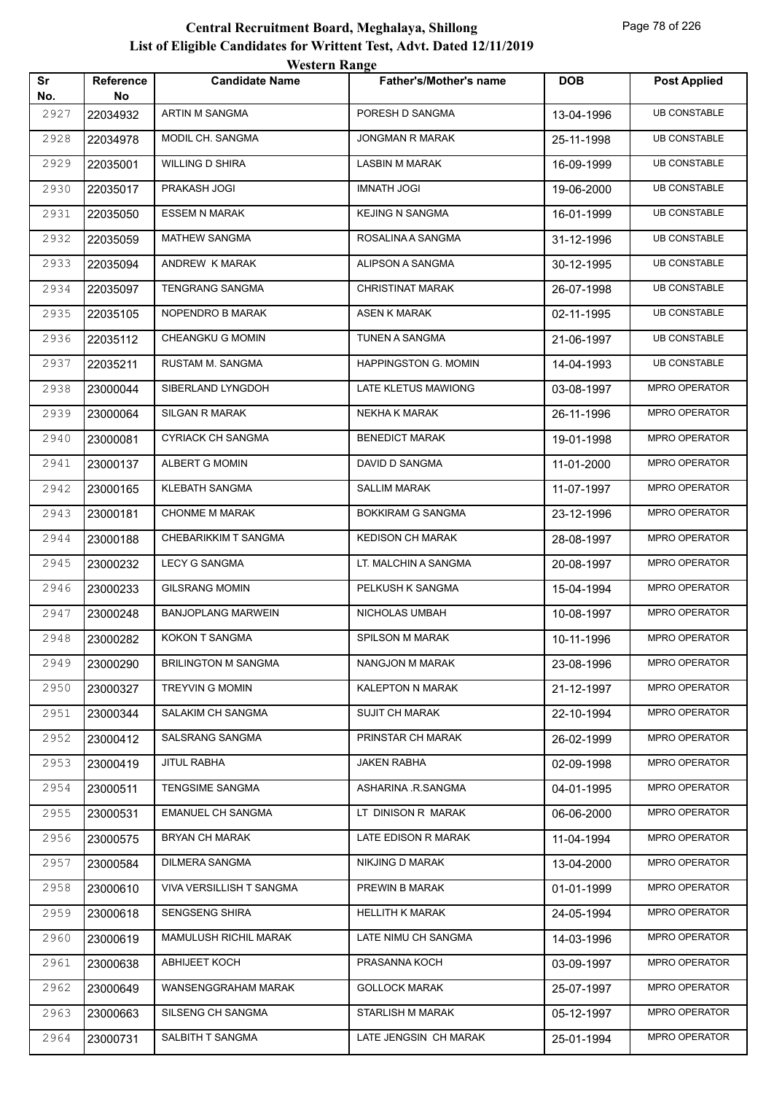|           |                        | <b>Western Range</b>       |                          |            |                     |
|-----------|------------------------|----------------------------|--------------------------|------------|---------------------|
| Sr<br>No. | <b>Reference</b><br>No | <b>Candidate Name</b>      | Father's/Mother's name   | <b>DOB</b> | <b>Post Applied</b> |
| 2927      | 22034932               | ARTIN M SANGMA             | PORESH D SANGMA          | 13-04-1996 | <b>UB CONSTABLE</b> |
| 2928      | 22034978               | MODIL CH. SANGMA           | <b>JONGMAN R MARAK</b>   | 25-11-1998 | <b>UB CONSTABLE</b> |
| 2929      | 22035001               | <b>WILLING D SHIRA</b>     | <b>LASBIN M MARAK</b>    | 16-09-1999 | <b>UB CONSTABLE</b> |
| 2930      | 22035017               | PRAKASH JOGI               | <b>IMNATH JOGI</b>       | 19-06-2000 | <b>UB CONSTABLE</b> |
| 2931      | 22035050               | <b>ESSEM N MARAK</b>       | <b>KEJING N SANGMA</b>   | 16-01-1999 | <b>UB CONSTABLE</b> |
| 2932      | 22035059               | <b>MATHEW SANGMA</b>       | ROSALINA A SANGMA        | 31-12-1996 | <b>UB CONSTABLE</b> |
| 2933      | 22035094               | ANDREW K MARAK             | ALIPSON A SANGMA         | 30-12-1995 | <b>UB CONSTABLE</b> |
| 2934      | 22035097               | <b>TENGRANG SANGMA</b>     | <b>CHRISTINAT MARAK</b>  | 26-07-1998 | <b>UB CONSTABLE</b> |
| 2935      | 22035105               | NOPENDRO B MARAK           | <b>ASEN K MARAK</b>      | 02-11-1995 | <b>UB CONSTABLE</b> |
| 2936      | 22035112               | CHEANGKU G MOMIN           | <b>TUNEN A SANGMA</b>    | 21-06-1997 | <b>UB CONSTABLE</b> |
| 2937      | 22035211               | RUSTAM M. SANGMA           | HAPPINGSTON G. MOMIN     | 14-04-1993 | <b>UB CONSTABLE</b> |
| 2938      | 23000044               | SIBERLAND LYNGDOH          | LATE KLETUS MAWIONG      | 03-08-1997 | MPRO OPERATOR       |
| 2939      | 23000064               | <b>SILGAN R MARAK</b>      | <b>NEKHA K MARAK</b>     | 26-11-1996 | MPRO OPERATOR       |
| 2940      | 23000081               | <b>CYRIACK CH SANGMA</b>   | <b>BENEDICT MARAK</b>    | 19-01-1998 | MPRO OPERATOR       |
| 2941      | 23000137               | ALBERT G MOMIN             | DAVID D SANGMA           | 11-01-2000 | MPRO OPERATOR       |
| 2942      | 23000165               | <b>KLEBATH SANGMA</b>      | <b>SALLIM MARAK</b>      | 11-07-1997 | MPRO OPERATOR       |
| 2943      | 23000181               | <b>CHONME M MARAK</b>      | <b>BOKKIRAM G SANGMA</b> | 23-12-1996 | MPRO OPERATOR       |
| 2944      | 23000188               | CHEBARIKKIM T SANGMA       | <b>KEDISON CH MARAK</b>  | 28-08-1997 | MPRO OPERATOR       |
| 2945      | 23000232               | <b>LECY G SANGMA</b>       | LT. MALCHIN A SANGMA     | 20-08-1997 | MPRO OPERATOR       |
| 2946      | 23000233               | <b>GILSRANG MOMIN</b>      | PELKUSH K SANGMA         | 15-04-1994 | MPRO OPERATOR       |
| 2947      | 23000248               | <b>BANJOPLANG MARWEIN</b>  | NICHOLAS UMBAH           | 10-08-1997 | MPRO OPERATOR       |
| 2948      | 23000282               | KOKON T SANGMA             | <b>SPILSON M MARAK</b>   | 10-11-1996 | MPRO OPERATOR       |
| 2949      | 23000290               | <b>BRILINGTON M SANGMA</b> | <b>NANGJON M MARAK</b>   | 23-08-1996 | MPRO OPERATOR       |
| 2950      | 23000327               | TREYVIN G MOMIN            | KALEPTON N MARAK         | 21-12-1997 | MPRO OPERATOR       |
| 2951      | 23000344               | SALAKIM CH SANGMA          | <b>SUJIT CH MARAK</b>    | 22-10-1994 | MPRO OPERATOR       |
| 2952      | 23000412               | SALSRANG SANGMA            | PRINSTAR CH MARAK        | 26-02-1999 | MPRO OPERATOR       |
| 2953      | 23000419               | <b>JITUL RABHA</b>         | <b>JAKEN RABHA</b>       | 02-09-1998 | MPRO OPERATOR       |
| 2954      | 23000511               | TENGSIME SANGMA            | ASHARINA .R.SANGMA       | 04-01-1995 | MPRO OPERATOR       |
| 2955      | 23000531               | <b>EMANUEL CH SANGMA</b>   | LT DINISON R MARAK       | 06-06-2000 | MPRO OPERATOR       |
| 2956      | 23000575               | <b>BRYAN CH MARAK</b>      | LATE EDISON R MARAK      | 11-04-1994 | MPRO OPERATOR       |
| 2957      | 23000584               | DILMERA SANGMA             | NIKJING D MARAK          | 13-04-2000 | MPRO OPERATOR       |
| 2958      | 23000610               | VIVA VERSILLISH T SANGMA   | PREWIN B MARAK           | 01-01-1999 | MPRO OPERATOR       |
| 2959      | 23000618               | SENGSENG SHIRA             | <b>HELLITH K MARAK</b>   | 24-05-1994 | MPRO OPERATOR       |
| 2960      | 23000619               | MAMULUSH RICHIL MARAK      | LATE NIMU CH SANGMA      | 14-03-1996 | MPRO OPERATOR       |
| 2961      | 23000638               | <b>ABHIJEET KOCH</b>       | PRASANNA KOCH            | 03-09-1997 | MPRO OPERATOR       |
| 2962      | 23000649               | WANSENGGRAHAM MARAK        | <b>GOLLOCK MARAK</b>     | 25-07-1997 | MPRO OPERATOR       |
| 2963      | 23000663               | SILSENG CH SANGMA          | STARLISH M MARAK         | 05-12-1997 | MPRO OPERATOR       |
| 2964      | 23000731               | SALBITH T SANGMA           | LATE JENGSIN CH MARAK    | 25-01-1994 | MPRO OPERATOR       |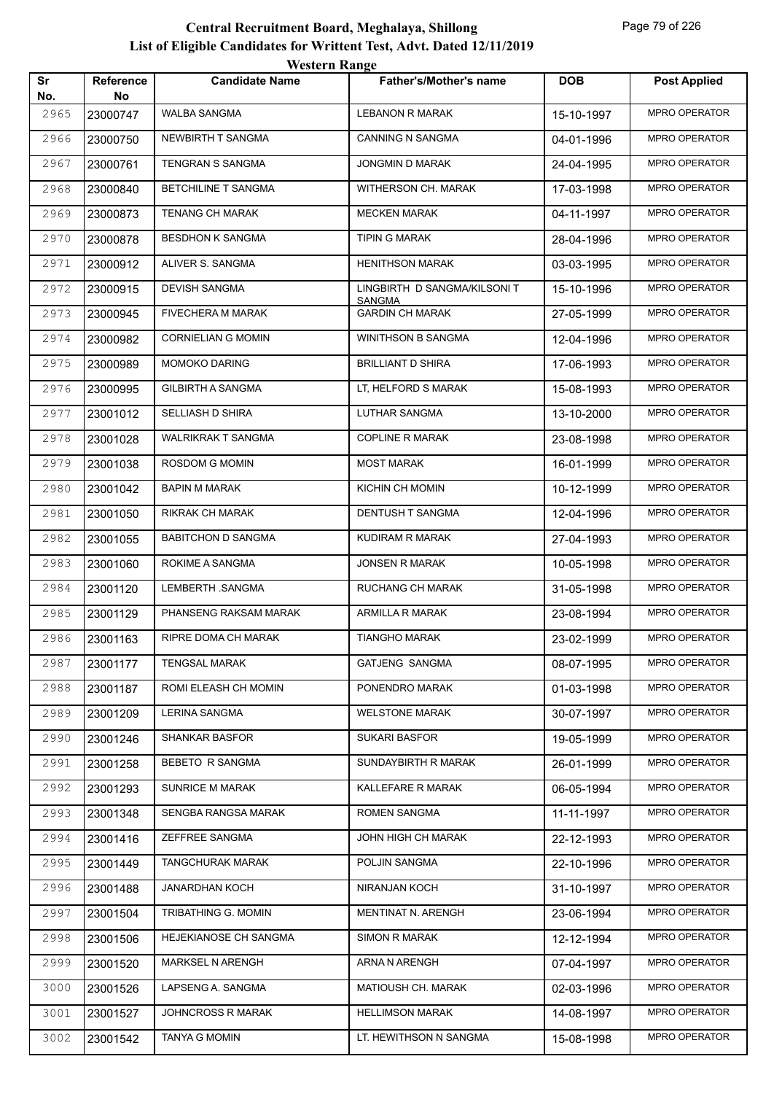| Sr<br>No. | Reference<br>No | <b>Candidate Name</b>     | <b>Father's/Mother's name</b>           | <b>DOB</b> | <b>Post Applied</b>  |
|-----------|-----------------|---------------------------|-----------------------------------------|------------|----------------------|
| 2965      | 23000747        | <b>WALBA SANGMA</b>       | <b>LEBANON R MARAK</b>                  | 15-10-1997 | MPRO OPERATOR        |
| 2966      | 23000750        | NEWBIRTH T SANGMA         | <b>CANNING N SANGMA</b>                 | 04-01-1996 | MPRO OPERATOR        |
| 2967      | 23000761        | TENGRAN S SANGMA          | JONGMIN D MARAK                         | 24-04-1995 | MPRO OPERATOR        |
| 2968      | 23000840        | BETCHILINE T SANGMA       | WITHERSON CH. MARAK                     | 17-03-1998 | MPRO OPERATOR        |
| 2969      | 23000873        | <b>TENANG CH MARAK</b>    | <b>MECKEN MARAK</b>                     | 04-11-1997 | MPRO OPERATOR        |
| 2970      | 23000878        | <b>BESDHON K SANGMA</b>   | <b>TIPIN G MARAK</b>                    | 28-04-1996 | <b>MPRO OPERATOR</b> |
| 2971      | 23000912        | ALIVER S. SANGMA          | <b>HENITHSON MARAK</b>                  | 03-03-1995 | MPRO OPERATOR        |
| 2972      | 23000915        | <b>DEVISH SANGMA</b>      | LINGBIRTH D SANGMA/KILSONIT             | 15-10-1996 | MPRO OPERATOR        |
| 2973      | 23000945        | FIVECHERA M MARAK         | <b>SANGMA</b><br><b>GARDIN CH MARAK</b> | 27-05-1999 | MPRO OPERATOR        |
| 2974      | 23000982        | <b>CORNIELIAN G MOMIN</b> | WINITHSON B SANGMA                      | 12-04-1996 | <b>MPRO OPERATOR</b> |
| 2975      | 23000989        | MOMOKO DARING             | <b>BRILLIANT D SHIRA</b>                | 17-06-1993 | MPRO OPERATOR        |
| 2976      | 23000995        | <b>GILBIRTH A SANGMA</b>  | LT, HELFORD S MARAK                     | 15-08-1993 | MPRO OPERATOR        |
| 2977      | 23001012        | SELLIASH D SHIRA          | <b>LUTHAR SANGMA</b>                    | 13-10-2000 | MPRO OPERATOR        |
| 2978      | 23001028        | <b>WALRIKRAK T SANGMA</b> | <b>COPLINE R MARAK</b>                  | 23-08-1998 | MPRO OPERATOR        |
| 2979      | 23001038        | ROSDOM G MOMIN            | <b>MOST MARAK</b>                       | 16-01-1999 | MPRO OPERATOR        |
| 2980      | 23001042        | <b>BAPIN M MARAK</b>      | KICHIN CH MOMIN                         | 10-12-1999 | MPRO OPERATOR        |
| 2981      | 23001050        | RIKRAK CH MARAK           | DENTUSH T SANGMA                        | 12-04-1996 | MPRO OPERATOR        |
| 2982      | 23001055        | <b>BABITCHON D SANGMA</b> | KUDIRAM R MARAK                         | 27-04-1993 | MPRO OPERATOR        |
| 2983      | 23001060        | ROKIME A SANGMA           | JONSEN R MARAK                          | 10-05-1998 | MPRO OPERATOR        |
| 2984      | 23001120        | LEMBERTH .SANGMA          | RUCHANG CH MARAK                        | 31-05-1998 | MPRO OPERATOR        |
| 2985      | 23001129        | PHANSENG RAKSAM MARAK     | ARMILLA R MARAK                         | 23-08-1994 | <b>MPRO OPERATOR</b> |
| 2986      | 23001163        | RIPRE DOMA CH MARAK       | <b>TIANGHO MARAK</b>                    | 23-02-1999 | MPRO OPERATOR        |
| 2987      | 23001177        | <b>TENGSAL MARAK</b>      | <b>GATJENG SANGMA</b>                   | 08-07-1995 | <b>MPRO OPERATOR</b> |
| 2988      | 23001187        | ROMI ELEASH CH MOMIN      | PONENDRO MARAK                          | 01-03-1998 | MPRO OPERATOR        |
| 2989      | 23001209        | <b>LERINA SANGMA</b>      | <b>WELSTONE MARAK</b>                   | 30-07-1997 | MPRO OPERATOR        |
| 2990      | 23001246        | <b>SHANKAR BASFOR</b>     | <b>SUKARI BASFOR</b>                    | 19-05-1999 | MPRO OPERATOR        |
| 2991      | 23001258        | BEBETO R SANGMA           | SUNDAYBIRTH R MARAK                     | 26-01-1999 | MPRO OPERATOR        |
| 2992      | 23001293        | <b>SUNRICE M MARAK</b>    | KALLEFARE R MARAK                       | 06-05-1994 | MPRO OPERATOR        |
| 2993      | 23001348        | SENGBA RANGSA MARAK       | <b>ROMEN SANGMA</b>                     | 11-11-1997 | MPRO OPERATOR        |
| 2994      | 23001416        | ZEFFREE SANGMA            | JOHN HIGH CH MARAK                      | 22-12-1993 | MPRO OPERATOR        |
| 2995      | 23001449        | <b>TANGCHURAK MARAK</b>   | POLJIN SANGMA                           | 22-10-1996 | MPRO OPERATOR        |
| 2996      | 23001488        | JANARDHAN KOCH            | NIRANJAN KOCH                           | 31-10-1997 | MPRO OPERATOR        |
| 2997      | 23001504        | TRIBATHING G. MOMIN       | MENTINAT N. ARENGH                      | 23-06-1994 | MPRO OPERATOR        |
| 2998      | 23001506        | HEJEKIANOSE CH SANGMA     | <b>SIMON R MARAK</b>                    | 12-12-1994 | MPRO OPERATOR        |
| 2999      | 23001520        | MARKSEL N ARENGH          | ARNA N ARENGH                           | 07-04-1997 | MPRO OPERATOR        |
| 3000      | 23001526        | LAPSENG A. SANGMA         | MATIOUSH CH. MARAK                      | 02-03-1996 | MPRO OPERATOR        |
| 3001      | 23001527        | JOHNCROSS R MARAK         | <b>HELLIMSON MARAK</b>                  | 14-08-1997 | MPRO OPERATOR        |
| 3002      | 23001542        | <b>TANYA G MOMIN</b>      | LT. HEWITHSON N SANGMA                  | 15-08-1998 | MPRO OPERATOR        |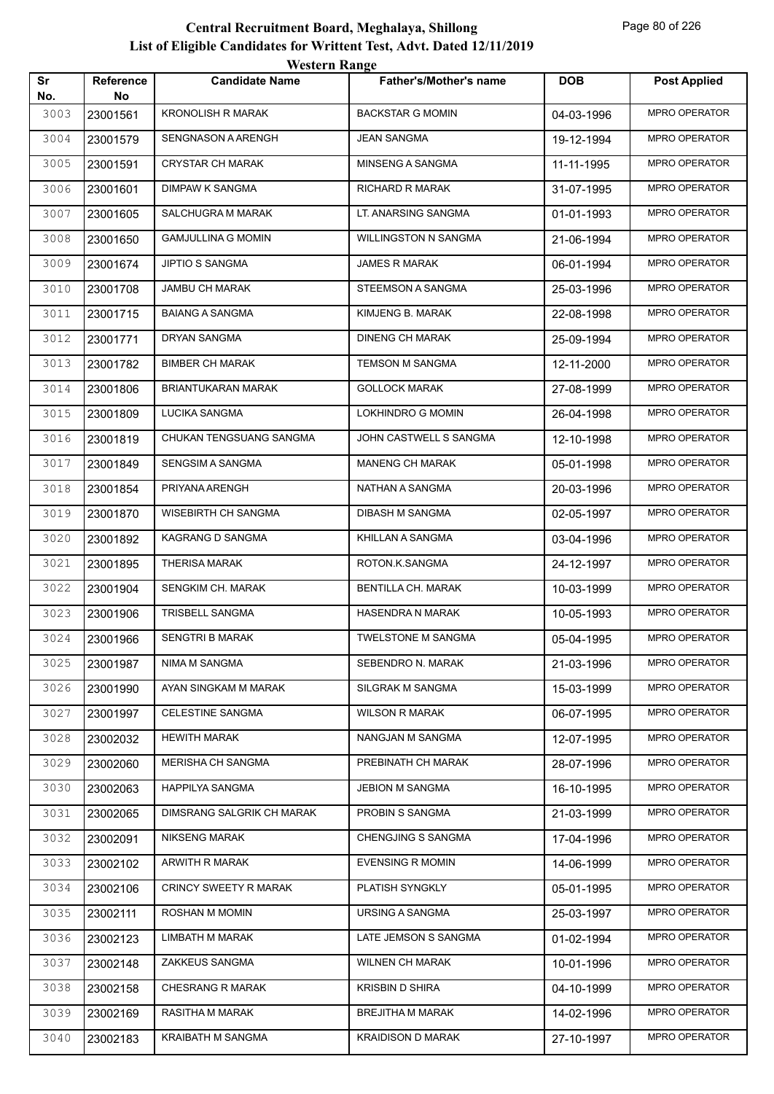| Sr<br>No. | Reference<br>No | <b>Candidate Name</b>        | <b>Father's/Mother's name</b> | <b>DOB</b> | <b>Post Applied</b>  |
|-----------|-----------------|------------------------------|-------------------------------|------------|----------------------|
| 3003      | 23001561        | <b>KRONOLISH R MARAK</b>     | <b>BACKSTAR G MOMIN</b>       | 04-03-1996 | MPRO OPERATOR        |
| 3004      | 23001579        | SENGNASON A ARENGH           | <b>JEAN SANGMA</b>            | 19-12-1994 | MPRO OPERATOR        |
| 3005      | 23001591        | <b>CRYSTAR CH MARAK</b>      | MINSENG A SANGMA              | 11-11-1995 | MPRO OPERATOR        |
| 3006      | 23001601        | <b>DIMPAW K SANGMA</b>       | RICHARD R MARAK               | 31-07-1995 | MPRO OPERATOR        |
| 3007      | 23001605        | SALCHUGRA M MARAK            | LT. ANARSING SANGMA           | 01-01-1993 | MPRO OPERATOR        |
| 3008      | 23001650        | <b>GAMJULLINA G MOMIN</b>    | <b>WILLINGSTON N SANGMA</b>   | 21-06-1994 | <b>MPRO OPERATOR</b> |
| 3009      | 23001674        | JIPTIO S SANGMA              | <b>JAMES R MARAK</b>          | 06-01-1994 | MPRO OPERATOR        |
| 3010      | 23001708        | <b>JAMBU CH MARAK</b>        | STEEMSON A SANGMA             | 25-03-1996 | MPRO OPERATOR        |
| 3011      | 23001715        | <b>BAIANG A SANGMA</b>       | KIMJENG B. MARAK              | 22-08-1998 | MPRO OPERATOR        |
| 3012      | 23001771        | DRYAN SANGMA                 | <b>DINENG CH MARAK</b>        | 25-09-1994 | <b>MPRO OPERATOR</b> |
| 3013      | 23001782        | <b>BIMBER CH MARAK</b>       | TEMSON M SANGMA               | 12-11-2000 | MPRO OPERATOR        |
| 3014      | 23001806        | BRIANTUKARAN MARAK           | <b>GOLLOCK MARAK</b>          | 27-08-1999 | MPRO OPERATOR        |
| 3015      | 23001809        | LUCIKA SANGMA                | LOKHINDRO G MOMIN             | 26-04-1998 | MPRO OPERATOR        |
| 3016      | 23001819        | CHUKAN TENGSUANG SANGMA      | JOHN CASTWELL S SANGMA        | 12-10-1998 | MPRO OPERATOR        |
| 3017      | 23001849        | SENGSIM A SANGMA             | <b>MANENG CH MARAK</b>        | 05-01-1998 | MPRO OPERATOR        |
| 3018      | 23001854        | PRIYANA ARENGH               | NATHAN A SANGMA               | 20-03-1996 | MPRO OPERATOR        |
| 3019      | 23001870        | <b>WISEBIRTH CH SANGMA</b>   | <b>DIBASH M SANGMA</b>        | 02-05-1997 | MPRO OPERATOR        |
| 3020      | 23001892        | KAGRANG D SANGMA             | KHILLAN A SANGMA              | 03-04-1996 | MPRO OPERATOR        |
| 3021      | 23001895        | <b>THERISA MARAK</b>         | ROTON.K.SANGMA                | 24-12-1997 | MPRO OPERATOR        |
| 3022      | 23001904        | SENGKIM CH. MARAK            | BENTILLA CH. MARAK            | 10-03-1999 | MPRO OPERATOR        |
| 3023      | 23001906        | TRISBELL SANGMA              | <b>HASENDRA N MARAK</b>       | 10-05-1993 | MPRO OPERATOR        |
| 3024      | 23001966        | <b>SENGTRI B MARAK</b>       | <b>TWELSTONE M SANGMA</b>     | 05-04-1995 | MPRO OPERATOR        |
| 3025      | 23001987        | NIMA M SANGMA                | SEBENDRO N. MARAK             | 21-03-1996 | <b>MPRO OPERATOR</b> |
| 3026      | 23001990        | AYAN SINGKAM M MARAK         | SILGRAK M SANGMA              | 15-03-1999 | MPRO OPERATOR        |
| 3027      | 23001997        | CELESTINE SANGMA             | <b>WILSON R MARAK</b>         | 06-07-1995 | MPRO OPERATOR        |
| 3028      | 23002032        | <b>HEWITH MARAK</b>          | NANGJAN M SANGMA              | 12-07-1995 | MPRO OPERATOR        |
| 3029      | 23002060        | MERISHA CH SANGMA            | PREBINATH CH MARAK            | 28-07-1996 | MPRO OPERATOR        |
| 3030      | 23002063        | HAPPILYA SANGMA              | <b>JEBION M SANGMA</b>        | 16-10-1995 | MPRO OPERATOR        |
| 3031      | 23002065        | DIMSRANG SALGRIK CH MARAK    | PROBIN S SANGMA               | 21-03-1999 | MPRO OPERATOR        |
| 3032      | 23002091        | <b>NIKSENG MARAK</b>         | CHENGJING S SANGMA            | 17-04-1996 | MPRO OPERATOR        |
| 3033      | 23002102        | ARWITH R MARAK               | <b>EVENSING R MOMIN</b>       | 14-06-1999 | MPRO OPERATOR        |
| 3034      | 23002106        | <b>CRINCY SWEETY R MARAK</b> | PLATISH SYNGKLY               | 05-01-1995 | MPRO OPERATOR        |
| 3035      | 23002111        | ROSHAN M MOMIN               | URSING A SANGMA               | 25-03-1997 | MPRO OPERATOR        |
| 3036      | 23002123        | <b>LIMBATH M MARAK</b>       | LATE JEMSON S SANGMA          | 01-02-1994 | MPRO OPERATOR        |
| 3037      | 23002148        | ZAKKEUS SANGMA               | <b>WILNEN CH MARAK</b>        | 10-01-1996 | MPRO OPERATOR        |
| 3038      | 23002158        | <b>CHESRANG R MARAK</b>      | <b>KRISBIN D SHIRA</b>        | 04-10-1999 | MPRO OPERATOR        |
| 3039      | 23002169        | RASITHA M MARAK              | BREJITHA M MARAK              | 14-02-1996 | MPRO OPERATOR        |
| 3040      | 23002183        | KRAIBATH M SANGMA            | <b>KRAIDISON D MARAK</b>      | 27-10-1997 | MPRO OPERATOR        |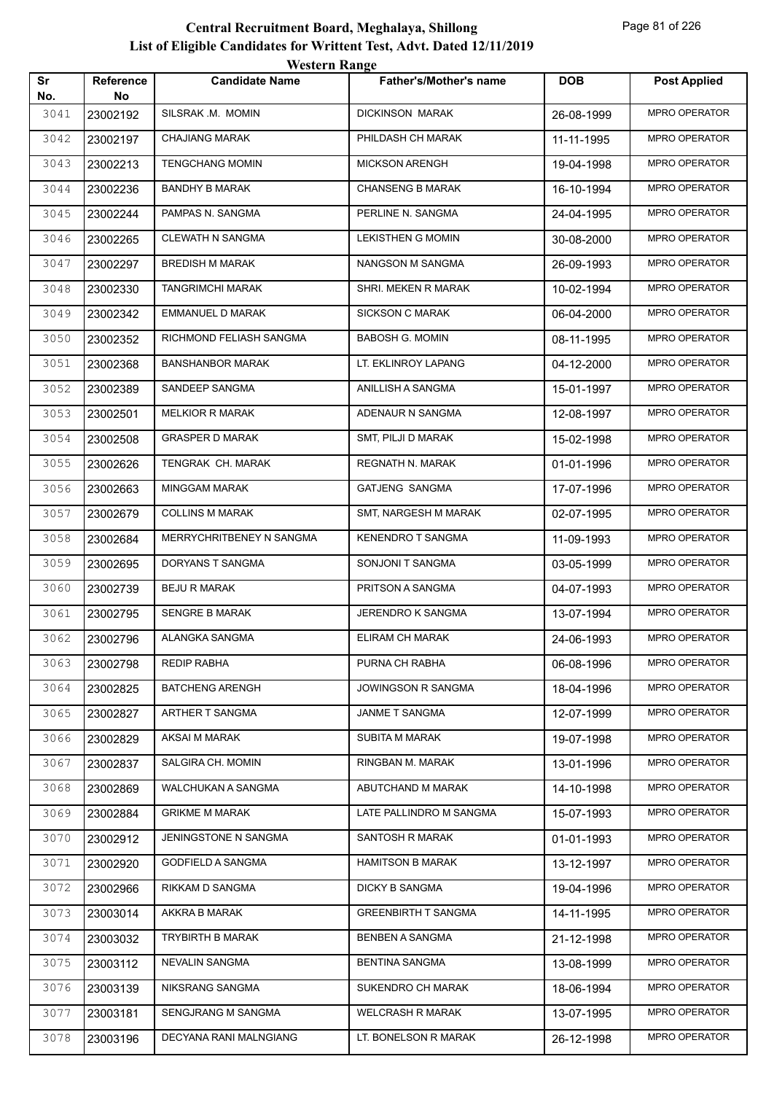| Sr<br>No. | <b>Reference</b><br>No | <b>Candidate Name</b>    | <b>Father's/Mother's name</b> | <b>DOB</b> | <b>Post Applied</b>  |
|-----------|------------------------|--------------------------|-------------------------------|------------|----------------------|
| 3041      | 23002192               | SILSRAK .M. MOMIN        | <b>DICKINSON MARAK</b>        | 26-08-1999 | MPRO OPERATOR        |
| 3042      | 23002197               | <b>CHAJIANG MARAK</b>    | PHILDASH CH MARAK             | 11-11-1995 | MPRO OPERATOR        |
| 3043      | 23002213               | <b>TENGCHANG MOMIN</b>   | <b>MICKSON ARENGH</b>         | 19-04-1998 | MPRO OPERATOR        |
| 3044      | 23002236               | <b>BANDHY B MARAK</b>    | <b>CHANSENG B MARAK</b>       | 16-10-1994 | MPRO OPERATOR        |
| 3045      | 23002244               | PAMPAS N. SANGMA         | PERLINE N. SANGMA             | 24-04-1995 | <b>MPRO OPERATOR</b> |
| 3046      | 23002265               | <b>CLEWATH N SANGMA</b>  | LEKISTHEN G MOMIN             | 30-08-2000 | <b>MPRO OPERATOR</b> |
| 3047      | 23002297               | <b>BREDISH M MARAK</b>   | NANGSON M SANGMA              | 26-09-1993 | MPRO OPERATOR        |
| 3048      | 23002330               | TANGRIMCHI MARAK         | SHRI. MEKEN R MARAK           | 10-02-1994 | MPRO OPERATOR        |
| 3049      | 23002342               | EMMANUEL D MARAK         | <b>SICKSON C MARAK</b>        | 06-04-2000 | MPRO OPERATOR        |
| 3050      | 23002352               | RICHMOND FELIASH SANGMA  | <b>BABOSH G. MOMIN</b>        | 08-11-1995 | MPRO OPERATOR        |
| 3051      | 23002368               | <b>BANSHANBOR MARAK</b>  | LT. EKLINROY LAPANG           | 04-12-2000 | MPRO OPERATOR        |
| 3052      | 23002389               | SANDEEP SANGMA           | ANILLISH A SANGMA             | 15-01-1997 | <b>MPRO OPERATOR</b> |
| 3053      | 23002501               | <b>MELKIOR R MARAK</b>   | ADENAUR N SANGMA              | 12-08-1997 | MPRO OPERATOR        |
| 3054      | 23002508               | <b>GRASPER D MARAK</b>   | SMT, PILJI D MARAK            | 15-02-1998 | <b>MPRO OPERATOR</b> |
| 3055      | 23002626               | TENGRAK CH. MARAK        | <b>REGNATH N. MARAK</b>       | 01-01-1996 | MPRO OPERATOR        |
| 3056      | 23002663               | <b>MINGGAM MARAK</b>     | GATJENG SANGMA                | 17-07-1996 | MPRO OPERATOR        |
| 3057      | 23002679               | <b>COLLINS M MARAK</b>   | SMT, NARGESH M MARAK          | 02-07-1995 | MPRO OPERATOR        |
| 3058      | 23002684               | MERRYCHRITBENEY N SANGMA | <b>KENENDRO T SANGMA</b>      | 11-09-1993 | MPRO OPERATOR        |
| 3059      | 23002695               | DORYANS T SANGMA         | SONJONI T SANGMA              | 03-05-1999 | MPRO OPERATOR        |
| 3060      | 23002739               | <b>BEJU R MARAK</b>      | PRITSON A SANGMA              | 04-07-1993 | MPRO OPERATOR        |
| 3061      | 23002795               | SENGRE B MARAK           | JERENDRO K SANGMA             | 13-07-1994 | <b>MPRO OPERATOR</b> |
| 3062      | 23002796               | ALANGKA SANGMA           | ELIRAM CH MARAK               | 24-06-1993 | MPRO OPERATOR        |
| 3063      | 23002798               | REDIP RABHA              | PURNA CH RABHA                | 06-08-1996 | <b>MPRO OPERATOR</b> |
| 3064      | 23002825               | <b>BATCHENG ARENGH</b>   | JOWINGSON R SANGMA            | 18-04-1996 | MPRO OPERATOR        |
| 3065      | 23002827               | ARTHER T SANGMA          | JANME T SANGMA                | 12-07-1999 | MPRO OPERATOR        |
| 3066      | 23002829               | AKSAI M MARAK            | <b>SUBITA M MARAK</b>         | 19-07-1998 | MPRO OPERATOR        |
| 3067      | 23002837               | SALGIRA CH. MOMIN        | RINGBAN M. MARAK              | 13-01-1996 | MPRO OPERATOR        |
| 3068      | 23002869               | WALCHUKAN A SANGMA       | ABUTCHAND M MARAK             | 14-10-1998 | MPRO OPERATOR        |
| 3069      | 23002884               | <b>GRIKME M MARAK</b>    | LATE PALLINDRO M SANGMA       | 15-07-1993 | MPRO OPERATOR        |
| 3070      | 23002912               | JENINGSTONE N SANGMA     | SANTOSH R MARAK               | 01-01-1993 | MPRO OPERATOR        |
| 3071      | 23002920               | <b>GODFIELD A SANGMA</b> | <b>HAMITSON B MARAK</b>       | 13-12-1997 | MPRO OPERATOR        |
| 3072      | 23002966               | RIKKAM D SANGMA          | <b>DICKY B SANGMA</b>         | 19-04-1996 | MPRO OPERATOR        |
| 3073      | 23003014               | AKKRA B MARAK            | <b>GREENBIRTH T SANGMA</b>    | 14-11-1995 | MPRO OPERATOR        |
| 3074      | 23003032               | TRYBIRTH B MARAK         | BENBEN A SANGMA               | 21-12-1998 | MPRO OPERATOR        |
| 3075      | 23003112               | NEVALIN SANGMA           | <b>BENTINA SANGMA</b>         | 13-08-1999 | MPRO OPERATOR        |
| 3076      | 23003139               | NIKSRANG SANGMA          | SUKENDRO CH MARAK             | 18-06-1994 | MPRO OPERATOR        |
| 3077      | 23003181               | SENGJRANG M SANGMA       | <b>WELCRASH R MARAK</b>       | 13-07-1995 | MPRO OPERATOR        |
| 3078      | 23003196               | DECYANA RANI MALNGIANG   | LT. BONELSON R MARAK          | 26-12-1998 | MPRO OPERATOR        |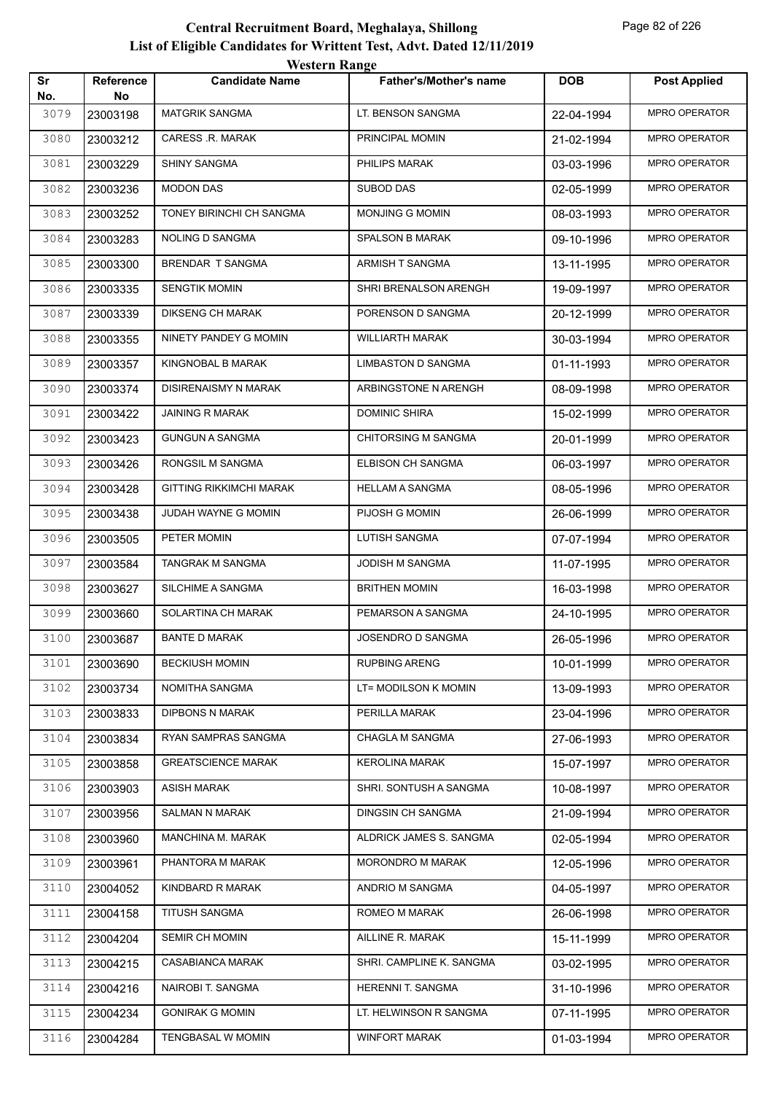|           | <b>Western Range</b>   |                                |                            |            |                      |  |
|-----------|------------------------|--------------------------------|----------------------------|------------|----------------------|--|
| Sr<br>No. | <b>Reference</b><br>No | <b>Candidate Name</b>          | Father's/Mother's name     | <b>DOB</b> | <b>Post Applied</b>  |  |
| 3079      | 23003198               | <b>MATGRIK SANGMA</b>          | LT. BENSON SANGMA          | 22-04-1994 | MPRO OPERATOR        |  |
| 3080      | 23003212               | CARESS .R. MARAK               | PRINCIPAL MOMIN            | 21-02-1994 | <b>MPRO OPERATOR</b> |  |
| 3081      | 23003229               | <b>SHINY SANGMA</b>            | PHILIPS MARAK              | 03-03-1996 | MPRO OPERATOR        |  |
| 3082      | 23003236               | <b>MODON DAS</b>               | <b>SUBOD DAS</b>           | 02-05-1999 | MPRO OPERATOR        |  |
| 3083      | 23003252               | TONEY BIRINCHI CH SANGMA       | <b>MONJING G MOMIN</b>     | 08-03-1993 | <b>MPRO OPERATOR</b> |  |
| 3084      | 23003283               | NOLING D SANGMA                | SPALSON B MARAK            | 09-10-1996 | MPRO OPERATOR        |  |
| 3085      | 23003300               | BRENDAR T SANGMA               | ARMISH T SANGMA            | 13-11-1995 | MPRO OPERATOR        |  |
| 3086      | 23003335               | <b>SENGTIK MOMIN</b>           | SHRI BRENALSON ARENGH      | 19-09-1997 | MPRO OPERATOR        |  |
| 3087      | 23003339               | <b>DIKSENG CH MARAK</b>        | PORENSON D SANGMA          | 20-12-1999 | <b>MPRO OPERATOR</b> |  |
| 3088      | 23003355               | NINETY PANDEY G MOMIN          | <b>WILLIARTH MARAK</b>     | 30-03-1994 | MPRO OPERATOR        |  |
| 3089      | 23003357               | KINGNOBAL B MARAK              | <b>LIMBASTON D SANGMA</b>  | 01-11-1993 | MPRO OPERATOR        |  |
| 3090      | 23003374               | <b>DISIRENAISMY N MARAK</b>    | ARBINGSTONE N ARENGH       | 08-09-1998 | MPRO OPERATOR        |  |
| 3091      | 23003422               | <b>JAINING R MARAK</b>         | <b>DOMINIC SHIRA</b>       | 15-02-1999 | MPRO OPERATOR        |  |
| 3092      | 23003423               | <b>GUNGUN A SANGMA</b>         | <b>CHITORSING M SANGMA</b> | 20-01-1999 | MPRO OPERATOR        |  |
| 3093      | 23003426               | RONGSIL M SANGMA               | ELBISON CH SANGMA          | 06-03-1997 | MPRO OPERATOR        |  |
| 3094      | 23003428               | <b>GITTING RIKKIMCHI MARAK</b> | <b>HELLAM A SANGMA</b>     | 08-05-1996 | MPRO OPERATOR        |  |
| 3095      | 23003438               | JUDAH WAYNE G MOMIN            | PIJOSH G MOMIN             | 26-06-1999 | MPRO OPERATOR        |  |
| 3096      | 23003505               | PETER MOMIN                    | <b>LUTISH SANGMA</b>       | 07-07-1994 | MPRO OPERATOR        |  |
| 3097      | 23003584               | TANGRAK M SANGMA               | JODISH M SANGMA            | 11-07-1995 | MPRO OPERATOR        |  |
| 3098      | 23003627               | SILCHIME A SANGMA              | <b>BRITHEN MOMIN</b>       | 16-03-1998 | MPRO OPERATOR        |  |
| 3099      | 23003660               | SOLARTINA CH MARAK             | PEMARSON A SANGMA          | 24-10-1995 | MPRO OPERATOR        |  |
| 3100      | 23003687               | <b>BANTE D MARAK</b>           | JOSENDRO D SANGMA          | 26-05-1996 | MPRO OPERATOR        |  |
| 3101      | 23003690               | <b>BECKIUSH MOMIN</b>          | <b>RUPBING ARENG</b>       | 10-01-1999 | MPRO OPERATOR        |  |
| 3102      | 23003734               | NOMITHA SANGMA                 | LT= MODILSON K MOMIN       | 13-09-1993 | MPRO OPERATOR        |  |
| 3103      | 23003833               | <b>DIPBONS N MARAK</b>         | PERILLA MARAK              | 23-04-1996 | MPRO OPERATOR        |  |
| 3104      | 23003834               | RYAN SAMPRAS SANGMA            | <b>CHAGLA M SANGMA</b>     | 27-06-1993 | MPRO OPERATOR        |  |
| 3105      | 23003858               | <b>GREATSCIENCE MARAK</b>      | <b>KEROLINA MARAK</b>      | 15-07-1997 | MPRO OPERATOR        |  |
| 3106      | 23003903               | <b>ASISH MARAK</b>             | SHRI. SONTUSH A SANGMA     | 10-08-1997 | MPRO OPERATOR        |  |
| 3107      | 23003956               | SALMAN N MARAK                 | DINGSIN CH SANGMA          | 21-09-1994 | MPRO OPERATOR        |  |
| 3108      | 23003960               | MANCHINA M. MARAK              | ALDRICK JAMES S. SANGMA    | 02-05-1994 | MPRO OPERATOR        |  |
| 3109      | 23003961               | PHANTORA M MARAK               | <b>MORONDRO M MARAK</b>    | 12-05-1996 | MPRO OPERATOR        |  |
| 3110      | 23004052               | KINDBARD R MARAK               | ANDRIO M SANGMA            | 04-05-1997 | MPRO OPERATOR        |  |
| 3111      | 23004158               | <b>TITUSH SANGMA</b>           | ROMEO M MARAK              | 26-06-1998 | MPRO OPERATOR        |  |
| 3112      | 23004204               | SEMIR CH MOMIN                 | AILLINE R. MARAK           | 15-11-1999 | MPRO OPERATOR        |  |
| 3113      | 23004215               | <b>CASABIANCA MARAK</b>        | SHRI. CAMPLINE K. SANGMA   | 03-02-1995 | MPRO OPERATOR        |  |
| 3114      | 23004216               | NAIROBI T. SANGMA              | HERENNI T. SANGMA          | 31-10-1996 | MPRO OPERATOR        |  |
| 3115      | 23004234               | <b>GONIRAK G MOMIN</b>         | LT. HELWINSON R SANGMA     | 07-11-1995 | MPRO OPERATOR        |  |
| 3116      | 23004284               | TENGBASAL W MOMIN              | <b>WINFORT MARAK</b>       | 01-03-1994 | MPRO OPERATOR        |  |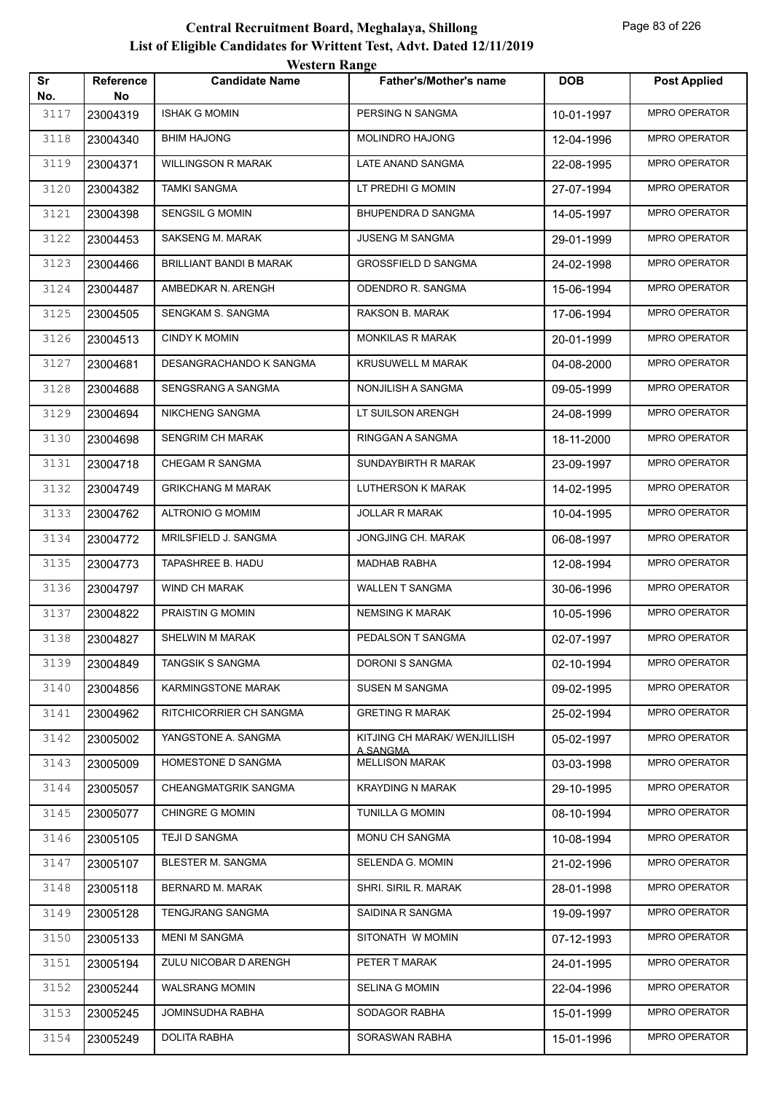| Sr          | Reference      | <b>Candidate Name</b>    | <b>Father's/Mother's name</b>                   | <b>DOB</b> | <b>Post Applied</b>  |
|-------------|----------------|--------------------------|-------------------------------------------------|------------|----------------------|
| No.<br>3117 | No<br>23004319 | <b>ISHAK G MOMIN</b>     | PERSING N SANGMA                                | 10-01-1997 | MPRO OPERATOR        |
| 3118        | 23004340       | <b>BHIM HAJONG</b>       | MOLINDRO HAJONG                                 | 12-04-1996 | MPRO OPERATOR        |
| 3119        | 23004371       | WILLINGSON R MARAK       | LATE ANAND SANGMA                               | 22-08-1995 | <b>MPRO OPERATOR</b> |
| 3120        | 23004382       | <b>TAMKI SANGMA</b>      | LT PREDHI G MOMIN                               | 27-07-1994 | <b>MPRO OPERATOR</b> |
| 3121        | 23004398       | SENGSIL G MOMIN          | BHUPENDRA D SANGMA                              | 14-05-1997 | <b>MPRO OPERATOR</b> |
| 3122        | 23004453       | <b>SAKSENG M. MARAK</b>  | <b>JUSENG M SANGMA</b>                          | 29-01-1999 | <b>MPRO OPERATOR</b> |
| 3123        | 23004466       | BRILLIANT BANDI B MARAK  | <b>GROSSFIELD D SANGMA</b>                      | 24-02-1998 | <b>MPRO OPERATOR</b> |
| 3124        | 23004487       | AMBEDKAR N. ARENGH       | ODENDRO R. SANGMA                               | 15-06-1994 | <b>MPRO OPERATOR</b> |
| 3125        | 23004505       | SENGKAM S. SANGMA        | RAKSON B. MARAK                                 | 17-06-1994 | <b>MPRO OPERATOR</b> |
| 3126        | 23004513       | <b>CINDY K MOMIN</b>     | MONKILAS R MARAK                                | 20-01-1999 | <b>MPRO OPERATOR</b> |
| 3127        | 23004681       | DESANGRACHANDO K SANGMA  | KRUSUWELL M MARAK                               | 04-08-2000 | <b>MPRO OPERATOR</b> |
| 3128        | 23004688       | SENGSRANG A SANGMA       | NONJILISH A SANGMA                              | 09-05-1999 | <b>MPRO OPERATOR</b> |
| 3129        | 23004694       | <b>NIKCHENG SANGMA</b>   | LT SUILSON ARENGH                               | 24-08-1999 | <b>MPRO OPERATOR</b> |
| 3130        | 23004698       | SENGRIM CH MARAK         | RINGGAN A SANGMA                                | 18-11-2000 | <b>MPRO OPERATOR</b> |
| 3131        | 23004718       | CHEGAM R SANGMA          | SUNDAYBIRTH R MARAK                             | 23-09-1997 | <b>MPRO OPERATOR</b> |
| 3132        | 23004749       | <b>GRIKCHANG M MARAK</b> | LUTHERSON K MARAK                               | 14-02-1995 | <b>MPRO OPERATOR</b> |
| 3133        | 23004762       | <b>ALTRONIO G MOMIM</b>  | JOLLAR R MARAK                                  | 10-04-1995 | <b>MPRO OPERATOR</b> |
| 3134        | 23004772       | MRILSFIELD J. SANGMA     | JONGJING CH. MARAK                              | 06-08-1997 | <b>MPRO OPERATOR</b> |
| 3135        | 23004773       | TAPASHREE B. HADU        | <b>MADHAB RABHA</b>                             | 12-08-1994 | <b>MPRO OPERATOR</b> |
| 3136        | 23004797       | WIND CH MARAK            | WALLEN T SANGMA                                 | 30-06-1996 | <b>MPRO OPERATOR</b> |
| 3137        | 23004822       | PRAISTIN G MOMIN         | NEMSING K MARAK                                 | 10-05-1996 | MPRO OPERATOR        |
| 3138        | 23004827       | SHELWIN M MARAK          | PEDALSON T SANGMA                               | 02-07-1997 | <b>MPRO OPERATOR</b> |
| 3139        | 23004849       | TANGSIK S SANGMA         | DORONI S SANGMA                                 | 02-10-1994 | <b>MPRO OPERATOR</b> |
| 3140        | 23004856       | KARMINGSTONE MARAK       | <b>SUSEN M SANGMA</b>                           | 09-02-1995 | <b>MPRO OPERATOR</b> |
| 3141        | 23004962       | RITCHICORRIER CH SANGMA  | <b>GRETING R MARAK</b>                          | 25-02-1994 | MPRO OPERATOR        |
| 3142        | 23005002       | YANGSTONE A. SANGMA      | KITJING CH MARAK/ WENJILLISH<br><u>A.SANGMA</u> | 05-02-1997 | MPRO OPERATOR        |
| 3143        | 23005009       | HOMESTONE D SANGMA       | <b>MELLISON MARAK</b>                           | 03-03-1998 | <b>MPRO OPERATOR</b> |
| 3144        | 23005057       | CHEANGMATGRIK SANGMA     | <b>KRAYDING N MARAK</b>                         | 29-10-1995 | MPRO OPERATOR        |
| 3145        | 23005077       | <b>CHINGRE G MOMIN</b>   | <b>TUNILLA G MOMIN</b>                          | 08-10-1994 | MPRO OPERATOR        |
| 3146        | 23005105       | TEJI D SANGMA            | MONU CH SANGMA                                  | 10-08-1994 | MPRO OPERATOR        |
| 3147        | 23005107       | BLESTER M. SANGMA        | SELENDA G. MOMIN                                | 21-02-1996 | MPRO OPERATOR        |
| 3148        | 23005118       | BERNARD M. MARAK         | SHRI. SIRIL R. MARAK                            | 28-01-1998 | MPRO OPERATOR        |
| 3149        | 23005128       | TENGJRANG SANGMA         | SAIDINA R SANGMA                                | 19-09-1997 | MPRO OPERATOR        |
| 3150        | 23005133       | <b>MENI M SANGMA</b>     | SITONATH W MOMIN                                | 07-12-1993 | MPRO OPERATOR        |
| 3151        | 23005194       | ZULU NICOBAR D ARENGH    | PETER T MARAK                                   | 24-01-1995 | MPRO OPERATOR        |
| 3152        | 23005244       | WALSRANG MOMIN           | SELINA G MOMIN                                  | 22-04-1996 | MPRO OPERATOR        |
| 3153        | 23005245       | JOMINSUDHA RABHA         | SODAGOR RABHA                                   | 15-01-1999 | MPRO OPERATOR        |
| 3154        | 23005249       | DOLITA RABHA             | SORASWAN RABHA                                  | 15-01-1996 | MPRO OPERATOR        |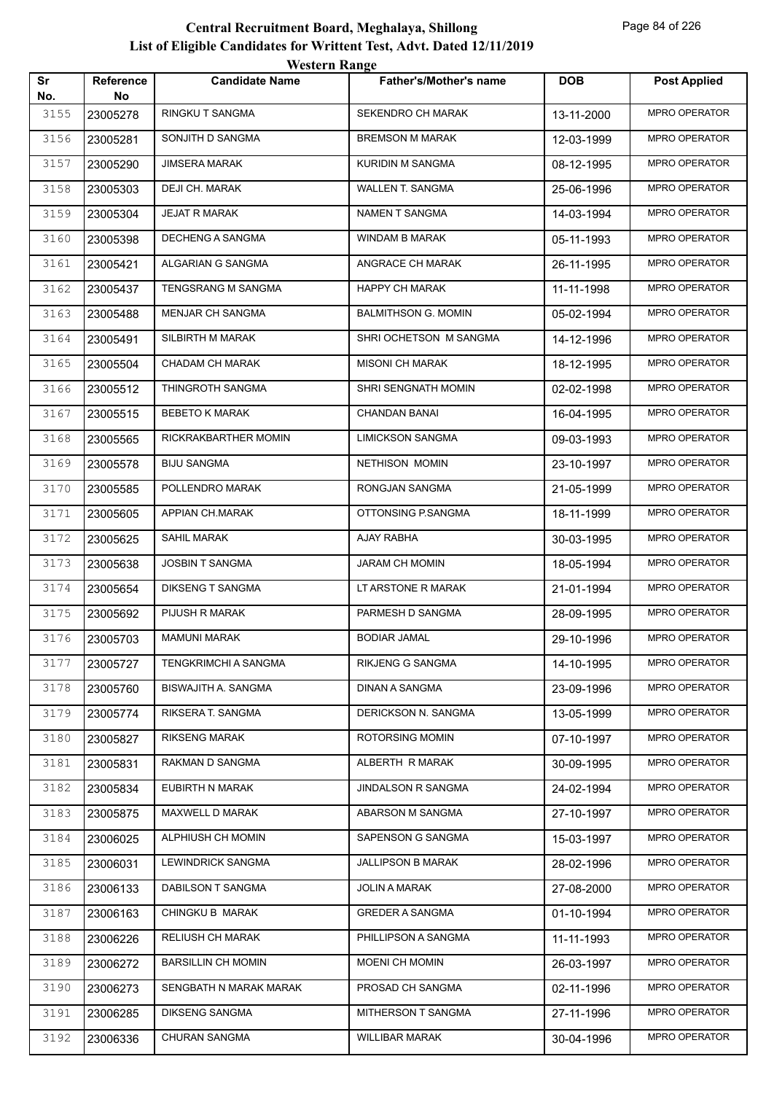| Sr          | Reference      | <b>Candidate Name</b>     | Father's/Mother's name     | <b>DOB</b> | <b>Post Applied</b>  |
|-------------|----------------|---------------------------|----------------------------|------------|----------------------|
| No.<br>3155 | No<br>23005278 | RINGKU T SANGMA           | SEKENDRO CH MARAK          | 13-11-2000 | MPRO OPERATOR        |
| 3156        | 23005281       | SONJITH D SANGMA          | <b>BREMSON M MARAK</b>     | 12-03-1999 | MPRO OPERATOR        |
| 3157        | 23005290       | JIMSERA MARAK             | KURIDIN M SANGMA           | 08-12-1995 | <b>MPRO OPERATOR</b> |
| 3158        | 23005303       | DEJI CH. MARAK            | WALLEN T. SANGMA           | 25-06-1996 | MPRO OPERATOR        |
| 3159        | 23005304       | <b>JEJAT R MARAK</b>      | NAMEN T SANGMA             | 14-03-1994 | <b>MPRO OPERATOR</b> |
| 3160        | 23005398       | DECHENG A SANGMA          | WINDAM B MARAK             | 05-11-1993 | <b>MPRO OPERATOR</b> |
| 3161        | 23005421       | ALGARIAN G SANGMA         | ANGRACE CH MARAK           | 26-11-1995 | <b>MPRO OPERATOR</b> |
| 3162        | 23005437       | TENGSRANG M SANGMA        | HAPPY CH MARAK             | 11-11-1998 | <b>MPRO OPERATOR</b> |
| 3163        | 23005488       | MENJAR CH SANGMA          | <b>BALMITHSON G. MOMIN</b> | 05-02-1994 | <b>MPRO OPERATOR</b> |
| 3164        | 23005491       | SILBIRTH M MARAK          | SHRI OCHETSON M SANGMA     | 14-12-1996 | <b>MPRO OPERATOR</b> |
| 3165        | 23005504       | CHADAM CH MARAK           | <b>MISONI CH MARAK</b>     | 18-12-1995 | <b>MPRO OPERATOR</b> |
| 3166        | 23005512       | THINGROTH SANGMA          | SHRI SENGNATH MOMIN        | 02-02-1998 | <b>MPRO OPERATOR</b> |
| 3167        | 23005515       | <b>BEBETO K MARAK</b>     | <b>CHANDAN BANAI</b>       | 16-04-1995 | <b>MPRO OPERATOR</b> |
| 3168        | 23005565       | RICKRAKBARTHER MOMIN      | <b>LIMICKSON SANGMA</b>    | 09-03-1993 | <b>MPRO OPERATOR</b> |
| 3169        | 23005578       | <b>BIJU SANGMA</b>        | <b>NETHISON MOMIN</b>      | 23-10-1997 | <b>MPRO OPERATOR</b> |
| 3170        | 23005585       | POLLENDRO MARAK           | RONGJAN SANGMA             | 21-05-1999 | <b>MPRO OPERATOR</b> |
| 3171        | 23005605       | APPIAN CH.MARAK           | OTTONSING P.SANGMA         | 18-11-1999 | <b>MPRO OPERATOR</b> |
| 3172        | 23005625       | SAHIL MARAK               | AJAY RABHA                 | 30-03-1995 | <b>MPRO OPERATOR</b> |
| 3173        | 23005638       | JOSBIN T SANGMA           | JARAM CH MOMIN             | 18-05-1994 | <b>MPRO OPERATOR</b> |
| 3174        | 23005654       | <b>DIKSENG T SANGMA</b>   | LT ARSTONE R MARAK         | 21-01-1994 | MPRO OPERATOR        |
| 3175        | 23005692       | PIJUSH R MARAK            | PARMESH D SANGMA           | 28-09-1995 | MPRO OPERATOR        |
| 3176        | 23005703       | <b>MAMUNI MARAK</b>       | <b>BODIAR JAMAL</b>        | 29-10-1996 | <b>MPRO OPERATOR</b> |
| 3177        | 23005727       | TENGKRIMCHI A SANGMA      | RIKJENG G SANGMA           | 14-10-1995 | <b>MPRO OPERATOR</b> |
| 3178        | 23005760       | BISWAJITH A. SANGMA       | DINAN A SANGMA             | 23-09-1996 | MPRO OPERATOR        |
| 3179        | 23005774       | RIKSERA T. SANGMA         | DERICKSON N. SANGMA        | 13-05-1999 | MPRO OPERATOR        |
| 3180        | 23005827       | <b>RIKSENG MARAK</b>      | ROTORSING MOMIN            | 07-10-1997 | MPRO OPERATOR        |
| 3181        | 23005831       | RAKMAN D SANGMA           | ALBERTH R MARAK            | 30-09-1995 | MPRO OPERATOR        |
| 3182        | 23005834       | EUBIRTH N MARAK           | JINDALSON R SANGMA         | 24-02-1994 | MPRO OPERATOR        |
| 3183        | 23005875       | MAXWELL D MARAK           | ABARSON M SANGMA           | 27-10-1997 | MPRO OPERATOR        |
| 3184        | 23006025       | ALPHIUSH CH MOMIN         | SAPENSON G SANGMA          | 15-03-1997 | MPRO OPERATOR        |
| 3185        | 23006031       | LEWINDRICK SANGMA         | <b>JALLIPSON B MARAK</b>   | 28-02-1996 | MPRO OPERATOR        |
| 3186        | 23006133       | DABILSON T SANGMA         | JOLIN A MARAK              | 27-08-2000 | MPRO OPERATOR        |
| 3187        | 23006163       | CHINGKU B MARAK           | <b>GREDER A SANGMA</b>     | 01-10-1994 | MPRO OPERATOR        |
| 3188        | 23006226       | <b>RELIUSH CH MARAK</b>   | PHILLIPSON A SANGMA        | 11-11-1993 | MPRO OPERATOR        |
| 3189        | 23006272       | <b>BARSILLIN CH MOMIN</b> | <b>MOENI CH MOMIN</b>      | 26-03-1997 | MPRO OPERATOR        |
| 3190        | 23006273       | SENGBATH N MARAK MARAK    | PROSAD CH SANGMA           | 02-11-1996 | MPRO OPERATOR        |
| 3191        | 23006285       | DIKSENG SANGMA            | MITHERSON T SANGMA         | 27-11-1996 | MPRO OPERATOR        |
| 3192        | 23006336       | CHURAN SANGMA             | <b>WILLIBAR MARAK</b>      | 30-04-1996 | MPRO OPERATOR        |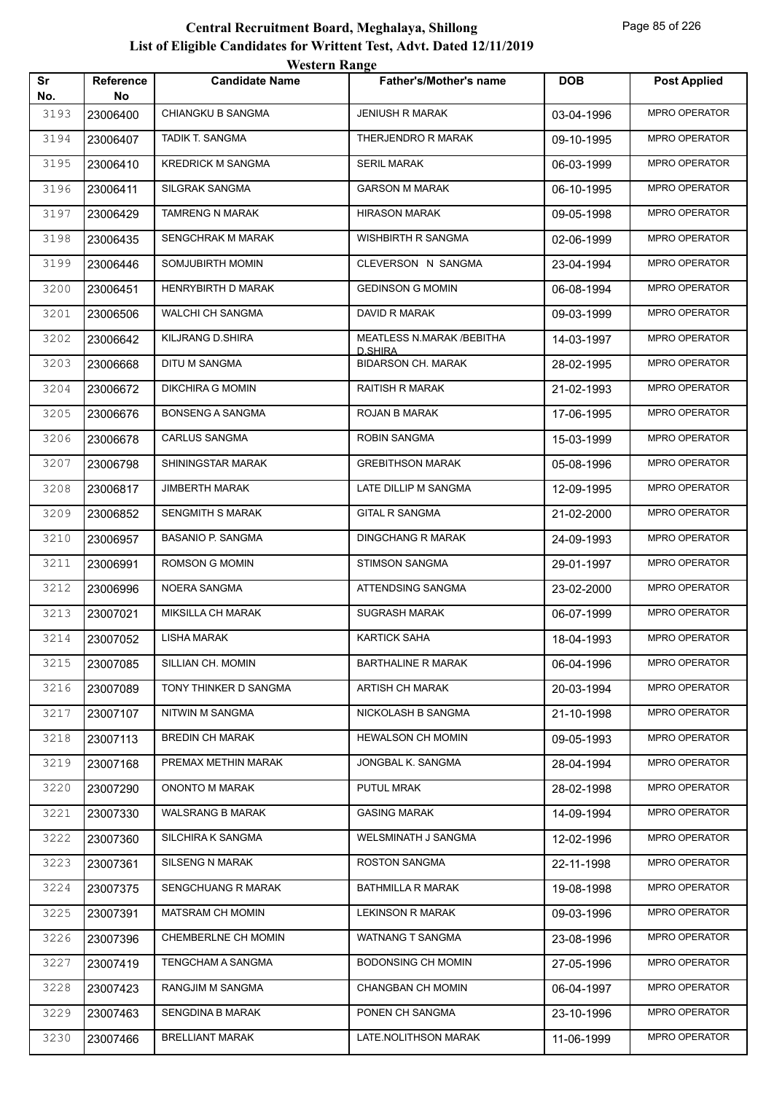| Sr          | Reference      | <b>Candidate Name</b>     | <b>Father's/Mother's name</b>        | <b>DOB</b> | <b>Post Applied</b>  |
|-------------|----------------|---------------------------|--------------------------------------|------------|----------------------|
| No.<br>3193 | No<br>23006400 | CHIANGKU B SANGMA         | <b>JENIUSH R MARAK</b>               | 03-04-1996 | MPRO OPERATOR        |
| 3194        | 23006407       | TADIK T. SANGMA           | THERJENDRO R MARAK                   | 09-10-1995 | MPRO OPERATOR        |
| 3195        | 23006410       | <b>KREDRICK M SANGMA</b>  | SERIL MARAK                          | 06-03-1999 | <b>MPRO OPERATOR</b> |
| 3196        | 23006411       | SILGRAK SANGMA            | <b>GARSON M MARAK</b>                | 06-10-1995 | <b>MPRO OPERATOR</b> |
| 3197        | 23006429       | <b>TAMRENG N MARAK</b>    | <b>HIRASON MARAK</b>                 | 09-05-1998 | <b>MPRO OPERATOR</b> |
| 3198        | 23006435       | SENGCHRAK M MARAK         | WISHBIRTH R SANGMA                   | 02-06-1999 | <b>MPRO OPERATOR</b> |
| 3199        | 23006446       | SOMJUBIRTH MOMIN          | CLEVERSON N SANGMA                   | 23-04-1994 | <b>MPRO OPERATOR</b> |
| 3200        | 23006451       | HENRYBIRTH D MARAK        | <b>GEDINSON G MOMIN</b>              | 06-08-1994 | <b>MPRO OPERATOR</b> |
| 3201        | 23006506       | WALCHI CH SANGMA          | DAVID R MARAK                        | 09-03-1999 | <b>MPRO OPERATOR</b> |
| 3202        | 23006642       | KILJRANG D.SHIRA          | MEATLESS N.MARAK / BEBITHA           | 14-03-1997 | <b>MPRO OPERATOR</b> |
| 3203        | 23006668       | DITU M SANGMA             | D.SHIRA<br><b>BIDARSON CH. MARAK</b> | 28-02-1995 | MPRO OPERATOR        |
| 3204        | 23006672       | <b>DIKCHIRA G MOMIN</b>   | <b>RAITISH R MARAK</b>               | 21-02-1993 | <b>MPRO OPERATOR</b> |
| 3205        | 23006676       | <b>BONSENG A SANGMA</b>   | ROJAN B MARAK                        | 17-06-1995 | <b>MPRO OPERATOR</b> |
| 3206        | 23006678       | <b>CARLUS SANGMA</b>      | <b>ROBIN SANGMA</b>                  | 15-03-1999 | <b>MPRO OPERATOR</b> |
| 3207        | 23006798       | SHININGSTAR MARAK         | <b>GREBITHSON MARAK</b>              | 05-08-1996 | <b>MPRO OPERATOR</b> |
| 3208        | 23006817       | <b>JIMBERTH MARAK</b>     | LATE DILLIP M SANGMA                 | 12-09-1995 | MPRO OPERATOR        |
| 3209        | 23006852       | <b>SENGMITH S MARAK</b>   | <b>GITAL R SANGMA</b>                | 21-02-2000 | <b>MPRO OPERATOR</b> |
| 3210        | 23006957       | <b>BASANIO P. SANGMA</b>  | <b>DINGCHANG R MARAK</b>             | 24-09-1993 | <b>MPRO OPERATOR</b> |
| 3211        | 23006991       | ROMSON G MOMIN            | <b>STIMSON SANGMA</b>                | 29-01-1997 | <b>MPRO OPERATOR</b> |
| 3212        | 23006996       | NOERA SANGMA              | ATTENDSING SANGMA                    | 23-02-2000 | MPRO OPERATOR        |
| 3213        | 23007021       | <b>MIKSILLA CH MARAK</b>  | <b>SUGRASH MARAK</b>                 | 06-07-1999 | MPRO OPERATOR        |
| 3214        | 23007052       | LISHA MARAK               | <b>KARTICK SAHA</b>                  | 18-04-1993 | MPRO OPERATOR        |
| 3215        | 23007085       | SILLIAN CH. MOMIN         | <b>BARTHALINE R MARAK</b>            | 06-04-1996 | <b>MPRO OPERATOR</b> |
| 3216        | 23007089       | TONY THINKER D SANGMA     | <b>ARTISH CH MARAK</b>               | 20-03-1994 | MPRO OPERATOR        |
| 3217        | 23007107       | NITWIN M SANGMA           | NICKOLASH B SANGMA                   | 21-10-1998 | MPRO OPERATOR        |
| 3218        | 23007113       | <b>BREDIN CH MARAK</b>    | <b>HEWALSON CH MOMIN</b>             | 09-05-1993 | MPRO OPERATOR        |
| 3219        | 23007168       | PREMAX METHIN MARAK       | JONGBAL K. SANGMA                    | 28-04-1994 | MPRO OPERATOR        |
| 3220        | 23007290       | ONONTO M MARAK            | PUTUL MRAK                           | 28-02-1998 | MPRO OPERATOR        |
| 3221        | 23007330       | <b>WALSRANG B MARAK</b>   | <b>GASING MARAK</b>                  | 14-09-1994 | MPRO OPERATOR        |
| 3222        | 23007360       | SILCHIRA K SANGMA         | WELSMINATH J SANGMA                  | 12-02-1996 | MPRO OPERATOR        |
| 3223        | 23007361       | SILSENG N MARAK           | ROSTON SANGMA                        | 22-11-1998 | MPRO OPERATOR        |
| 3224        | 23007375       | <b>SENGCHUANG R MARAK</b> | BATHMILLA R MARAK                    | 19-08-1998 | MPRO OPERATOR        |
| 3225        | 23007391       | MATSRAM CH MOMIN          | <b>LEKINSON R MARAK</b>              | 09-03-1996 | MPRO OPERATOR        |
| 3226        | 23007396       | CHEMBERLNE CH MOMIN       | <b>WATNANG T SANGMA</b>              | 23-08-1996 | MPRO OPERATOR        |
| 3227        | 23007419       | TENGCHAM A SANGMA         | <b>BODONSING CH MOMIN</b>            | 27-05-1996 | MPRO OPERATOR        |
| 3228        | 23007423       | RANGJIM M SANGMA          | CHANGBAN CH MOMIN                    | 06-04-1997 | MPRO OPERATOR        |
| 3229        | 23007463       | SENGDINA B MARAK          | PONEN CH SANGMA                      | 23-10-1996 | MPRO OPERATOR        |
| 3230        | 23007466       | <b>BRELLIANT MARAK</b>    | LATE.NOLITHSON MARAK                 | 11-06-1999 | MPRO OPERATOR        |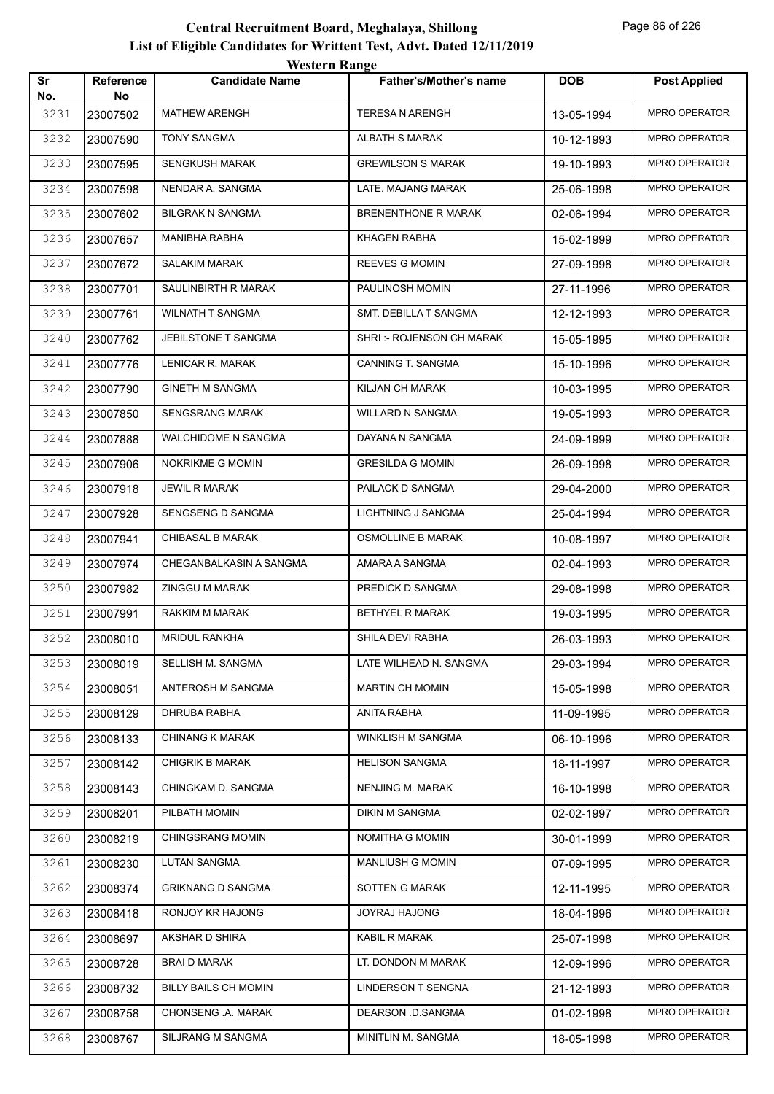|           |                        | <b>Western Range</b>        |                               |            |                      |
|-----------|------------------------|-----------------------------|-------------------------------|------------|----------------------|
| Sr<br>No. | <b>Reference</b><br>No | <b>Candidate Name</b>       | <b>Father's/Mother's name</b> | <b>DOB</b> | <b>Post Applied</b>  |
| 3231      | 23007502               | <b>MATHEW ARENGH</b>        | TERESA N ARENGH               | 13-05-1994 | MPRO OPERATOR        |
| 3232      | 23007590               | <b>TONY SANGMA</b>          | <b>ALBATH S MARAK</b>         | 10-12-1993 | MPRO OPERATOR        |
| 3233      | 23007595               | <b>SENGKUSH MARAK</b>       | <b>GREWILSON S MARAK</b>      | 19-10-1993 | MPRO OPERATOR        |
| 3234      | 23007598               | NENDAR A. SANGMA            | LATE. MAJANG MARAK            | 25-06-1998 | MPRO OPERATOR        |
| 3235      | 23007602               | <b>BILGRAK N SANGMA</b>     | <b>BRENENTHONE R MARAK</b>    | 02-06-1994 | <b>MPRO OPERATOR</b> |
| 3236      | 23007657               | <b>MANIBHA RABHA</b>        | KHAGEN RABHA                  | 15-02-1999 | MPRO OPERATOR        |
| 3237      | 23007672               | <b>SALAKIM MARAK</b>        | <b>REEVES G MOMIN</b>         | 27-09-1998 | MPRO OPERATOR        |
| 3238      | 23007701               | SAULINBIRTH R MARAK         | PAULINOSH MOMIN               | 27-11-1996 | MPRO OPERATOR        |
| 3239      | 23007761               | <b>WILNATH T SANGMA</b>     | SMT. DEBILLA T SANGMA         | 12-12-1993 | <b>MPRO OPERATOR</b> |
| 3240      | 23007762               | JEBILSTONE T SANGMA         | SHRI: - ROJENSON CH MARAK     | 15-05-1995 | <b>MPRO OPERATOR</b> |
| 3241      | 23007776               | LENICAR R. MARAK            | CANNING T. SANGMA             | 15-10-1996 | MPRO OPERATOR        |
| 3242      | 23007790               | <b>GINETH M SANGMA</b>      | KILJAN CH MARAK               | 10-03-1995 | MPRO OPERATOR        |
| 3243      | 23007850               | SENGSRANG MARAK             | <b>WILLARD N SANGMA</b>       | 19-05-1993 | MPRO OPERATOR        |
| 3244      | 23007888               | <b>WALCHIDOME N SANGMA</b>  | DAYANA N SANGMA               | 24-09-1999 | MPRO OPERATOR        |
| 3245      | 23007906               | <b>NOKRIKME G MOMIN</b>     | <b>GRESILDA G MOMIN</b>       | 26-09-1998 | MPRO OPERATOR        |
| 3246      | 23007918               | <b>JEWIL R MARAK</b>        | PAILACK D SANGMA              | 29-04-2000 | MPRO OPERATOR        |
| 3247      | 23007928               | SENGSENG D SANGMA           | <b>LIGHTNING J SANGMA</b>     | 25-04-1994 | MPRO OPERATOR        |
| 3248      | 23007941               | <b>CHIBASAL B MARAK</b>     | <b>OSMOLLINE B MARAK</b>      | 10-08-1997 | MPRO OPERATOR        |
| 3249      | 23007974               | CHEGANBALKASIN A SANGMA     | AMARA A SANGMA                | 02-04-1993 | MPRO OPERATOR        |
| 3250      | 23007982               | <b>ZINGGU M MARAK</b>       | PREDICK D SANGMA              | 29-08-1998 | MPRO OPERATOR        |
| 3251      | 23007991               | RAKKIM M MARAK              | <b>BETHYEL R MARAK</b>        | 19-03-1995 | MPRO OPERATOR        |
| 3252      | 23008010               | <b>MRIDUL RANKHA</b>        | SHILA DEVI RABHA              | 26-03-1993 | MPRO OPERATOR        |
| 3253      | 23008019               | SELLISH M. SANGMA           | LATE WILHEAD N. SANGMA        | 29-03-1994 | MPRO OPERATOR        |
| 3254      | 23008051               | ANTEROSH M SANGMA           | <b>MARTIN CH MOMIN</b>        | 15-05-1998 | MPRO OPERATOR        |
| 3255      | 23008129               | DHRUBA RABHA                | ANITA RABHA                   | 11-09-1995 | MPRO OPERATOR        |
| 3256      | 23008133               | <b>CHINANG K MARAK</b>      | WINKLISH M SANGMA             | 06-10-1996 | MPRO OPERATOR        |
| 3257      | 23008142               | <b>CHIGRIK B MARAK</b>      | <b>HELISON SANGMA</b>         | 18-11-1997 | MPRO OPERATOR        |
| 3258      | 23008143               | CHINGKAM D. SANGMA          | NENJING M. MARAK              | 16-10-1998 | MPRO OPERATOR        |
| 3259      | 23008201               | PILBATH MOMIN               | DIKIN M SANGMA                | 02-02-1997 | MPRO OPERATOR        |
| 3260      | 23008219               | <b>CHINGSRANG MOMIN</b>     | NOMITHA G MOMIN               | 30-01-1999 | MPRO OPERATOR        |
| 3261      | 23008230               | LUTAN SANGMA                | <b>MANLIUSH G MOMIN</b>       | 07-09-1995 | MPRO OPERATOR        |
| 3262      | 23008374               | <b>GRIKNANG D SANGMA</b>    | SOTTEN G MARAK                | 12-11-1995 | MPRO OPERATOR        |
| 3263      | 23008418               | RONJOY KR HAJONG            | JOYRAJ HAJONG                 | 18-04-1996 | MPRO OPERATOR        |
| 3264      | 23008697               | AKSHAR D SHIRA              | KABIL R MARAK                 | 25-07-1998 | MPRO OPERATOR        |
| 3265      | 23008728               | <b>BRAID MARAK</b>          | LT. DONDON M MARAK            | 12-09-1996 | MPRO OPERATOR        |
| 3266      | 23008732               | <b>BILLY BAILS CH MOMIN</b> | LINDERSON T SENGNA            | 21-12-1993 | MPRO OPERATOR        |
| 3267      | 23008758               | CHONSENG .A. MARAK          | DEARSON .D.SANGMA             | 01-02-1998 | MPRO OPERATOR        |
| 3268      | 23008767               | SILJRANG M SANGMA           | MINITLIN M. SANGMA            | 18-05-1998 | MPRO OPERATOR        |
|           |                        |                             |                               |            |                      |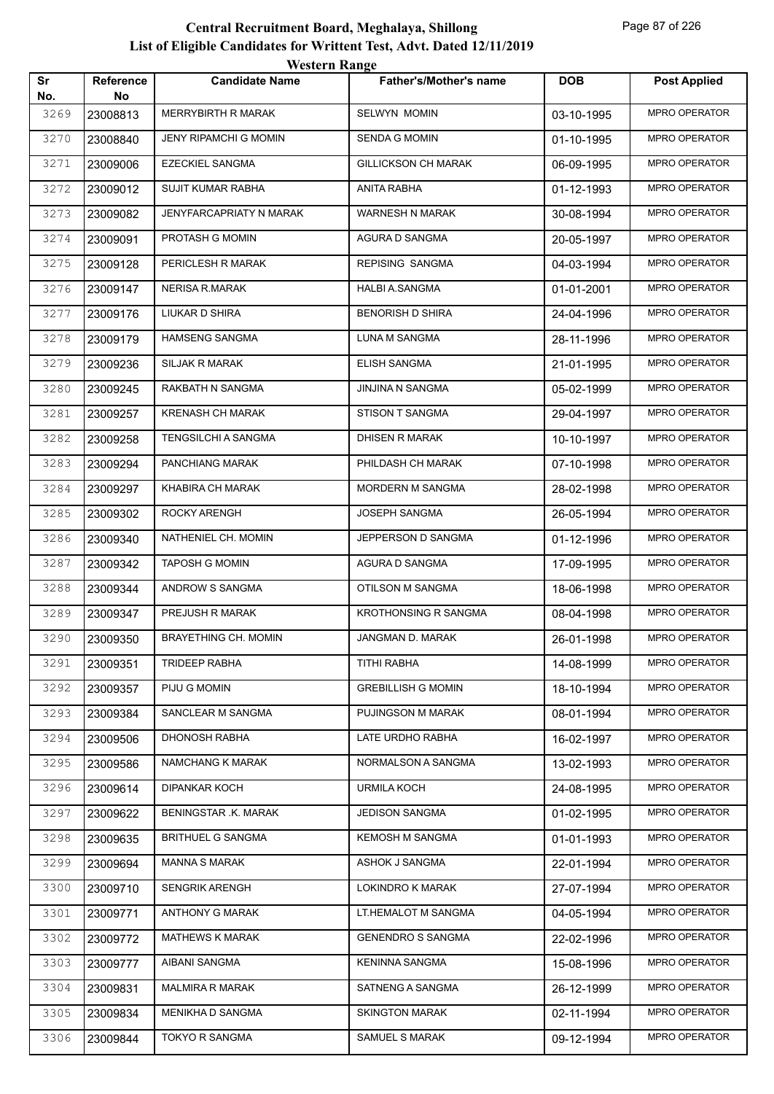| Sr<br>No. | <b>Reference</b><br>No | $\cdots$<br><b>Candidate Name</b> | Father's/Mother's name      | <b>DOB</b> | <b>Post Applied</b>  |
|-----------|------------------------|-----------------------------------|-----------------------------|------------|----------------------|
| 3269      | 23008813               | <b>MERRYBIRTH R MARAK</b>         | <b>SELWYN MOMIN</b>         | 03-10-1995 | MPRO OPERATOR        |
| 3270      | 23008840               | <b>JENY RIPAMCHI G MOMIN</b>      | <b>SENDA G MOMIN</b>        | 01-10-1995 | MPRO OPERATOR        |
| 3271      | 23009006               | EZECKIEL SANGMA                   | <b>GILLICKSON CH MARAK</b>  | 06-09-1995 | <b>MPRO OPERATOR</b> |
| 3272      | 23009012               | SUJIT KUMAR RABHA                 | ANITA RABHA                 | 01-12-1993 | MPRO OPERATOR        |
| 3273      | 23009082               | JENYFARCAPRIATY N MARAK           | WARNESH N MARAK             | 30-08-1994 | MPRO OPERATOR        |
| 3274      | 23009091               | PROTASH G MOMIN                   | AGURA D SANGMA              | 20-05-1997 | MPRO OPERATOR        |
| 3275      | 23009128               | PERICLESH R MARAK                 | <b>REPISING SANGMA</b>      | 04-03-1994 | MPRO OPERATOR        |
| 3276      | 23009147               | NERISA R.MARAK                    | HALBI A.SANGMA              | 01-01-2001 | <b>MPRO OPERATOR</b> |
| 3277      | 23009176               | LIUKAR D SHIRA                    | <b>BENORISH D SHIRA</b>     | 24-04-1996 | MPRO OPERATOR        |
| 3278      | 23009179               | <b>HAMSENG SANGMA</b>             | LUNA M SANGMA               | 28-11-1996 | MPRO OPERATOR        |
| 3279      | 23009236               | SILJAK R MARAK                    | ELISH SANGMA                | 21-01-1995 | <b>MPRO OPERATOR</b> |
| 3280      | 23009245               | RAKBATH N SANGMA                  | <b>JINJINA N SANGMA</b>     | 05-02-1999 | <b>MPRO OPERATOR</b> |
| 3281      | 23009257               | <b>KRENASH CH MARAK</b>           | STISON T SANGMA             | 29-04-1997 | <b>MPRO OPERATOR</b> |
| 3282      | 23009258               | TENGSILCHI A SANGMA               | DHISEN R MARAK              | 10-10-1997 | MPRO OPERATOR        |
| 3283      | 23009294               | PANCHIANG MARAK                   | PHILDASH CH MARAK           | 07-10-1998 | MPRO OPERATOR        |
| 3284      | 23009297               | KHABIRA CH MARAK                  | MORDERN M SANGMA            | 28-02-1998 | MPRO OPERATOR        |
| 3285      | 23009302               | ROCKY ARENGH                      | JOSEPH SANGMA               | 26-05-1994 | <b>MPRO OPERATOR</b> |
| 3286      | 23009340               | NATHENIEL CH. MOMIN               | JEPPERSON D SANGMA          | 01-12-1996 | <b>MPRO OPERATOR</b> |
| 3287      | 23009342               | <b>TAPOSH G MOMIN</b>             | AGURA D SANGMA              | 17-09-1995 | MPRO OPERATOR        |
| 3288      | 23009344               | ANDROW S SANGMA                   | OTILSON M SANGMA            | 18-06-1998 | MPRO OPERATOR        |
| 3289      | 23009347               | PREJUSH R MARAK                   | <b>KROTHONSING R SANGMA</b> | 08-04-1998 | MPRO OPERATOR        |
| 3290      | 23009350               | <b>BRAYETHING CH. MOMIN</b>       | JANGMAN D. MARAK            | 26-01-1998 | MPRO OPERATOR        |
| 3291      | 23009351               | <b>TRIDEEP RABHA</b>              | TITHI RABHA                 | 14-08-1999 | MPRO OPERATOR        |
| 3292      | 23009357               | PIJU G MOMIN                      | <b>GREBILLISH G MOMIN</b>   | 18-10-1994 | MPRO OPERATOR        |
| 3293      | 23009384               | SANCLEAR M SANGMA                 | PUJINGSON M MARAK           | 08-01-1994 | MPRO OPERATOR        |
| 3294      | 23009506               | <b>DHONOSH RABHA</b>              | LATE URDHO RABHA            | 16-02-1997 | MPRO OPERATOR        |
| 3295      | 23009586               | NAMCHANG K MARAK                  | NORMALSON A SANGMA          | 13-02-1993 | MPRO OPERATOR        |
| 3296      | 23009614               | <b>DIPANKAR KOCH</b>              | <b>URMILA KOCH</b>          | 24-08-1995 | MPRO OPERATOR        |
| 3297      | 23009622               | BENINGSTAR .K. MARAK              | <b>JEDISON SANGMA</b>       | 01-02-1995 | MPRO OPERATOR        |
| 3298      | 23009635               | <b>BRITHUEL G SANGMA</b>          | <b>KEMOSH M SANGMA</b>      | 01-01-1993 | MPRO OPERATOR        |
| 3299      | 23009694               | <b>MANNA S MARAK</b>              | ASHOK J SANGMA              | 22-01-1994 | MPRO OPERATOR        |
| 3300      | 23009710               | <b>SENGRIK ARENGH</b>             | LOKINDRO K MARAK            | 27-07-1994 | MPRO OPERATOR        |
| 3301      | 23009771               | ANTHONY G MARAK                   | LT.HEMALOT M SANGMA         | 04-05-1994 | MPRO OPERATOR        |
| 3302      | 23009772               | <b>MATHEWS K MARAK</b>            | <b>GENENDRO S SANGMA</b>    | 22-02-1996 | MPRO OPERATOR        |
| 3303      | 23009777               | AIBANI SANGMA                     | <b>KENINNA SANGMA</b>       | 15-08-1996 | MPRO OPERATOR        |
| 3304      | 23009831               | <b>MALMIRA R MARAK</b>            | SATNENG A SANGMA            | 26-12-1999 | MPRO OPERATOR        |
| 3305      | 23009834               | MENIKHA D SANGMA                  | <b>SKINGTON MARAK</b>       | 02-11-1994 | MPRO OPERATOR        |
| 3306      | 23009844               | TOKYO R SANGMA                    | SAMUEL S MARAK              | 09-12-1994 | MPRO OPERATOR        |
|           |                        |                                   |                             |            |                      |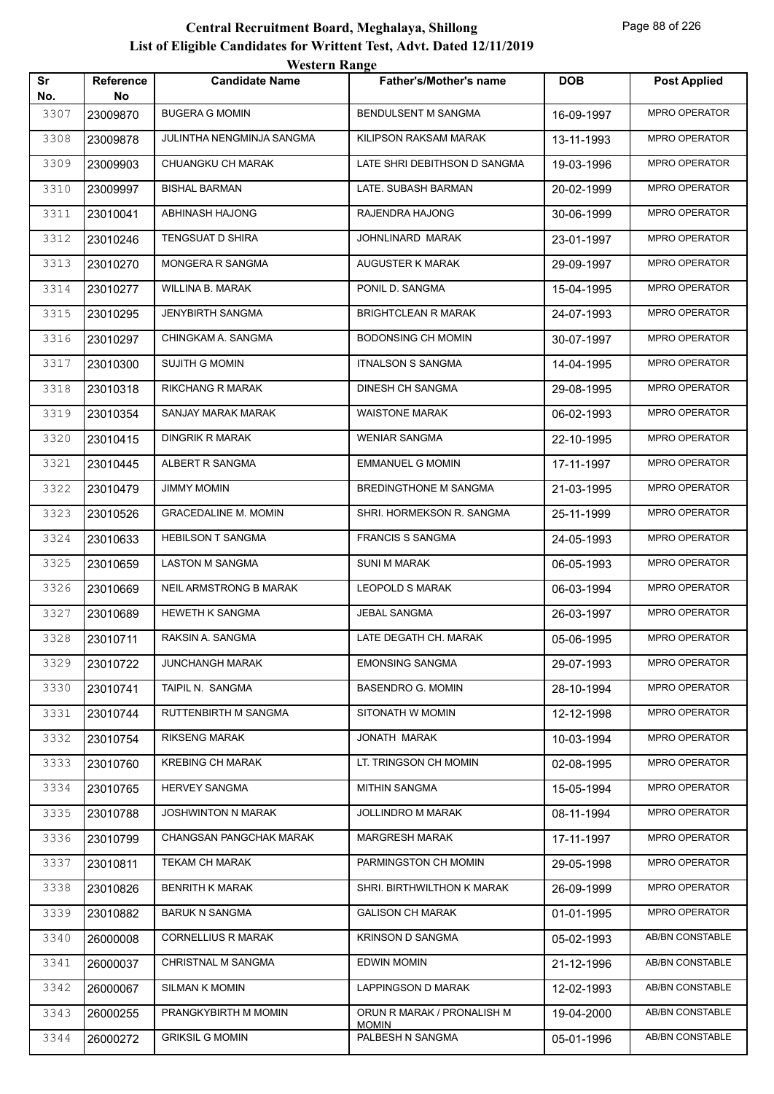|           |                        | <i>Western Kange</i>          |                                            |            |                      |
|-----------|------------------------|-------------------------------|--------------------------------------------|------------|----------------------|
| Sr<br>No. | <b>Reference</b><br>No | <b>Candidate Name</b>         | <b>Father's/Mother's name</b>              | <b>DOB</b> | <b>Post Applied</b>  |
| 3307      | 23009870               | <b>BUGERA G MOMIN</b>         | BENDULSENT M SANGMA                        | 16-09-1997 | <b>MPRO OPERATOR</b> |
| 3308      | 23009878               | JULINTHA NENGMINJA SANGMA     | KILIPSON RAKSAM MARAK                      | 13-11-1993 | <b>MPRO OPERATOR</b> |
| 3309      | 23009903               | CHUANGKU CH MARAK             | LATE SHRI DEBITHSON D SANGMA               | 19-03-1996 | <b>MPRO OPERATOR</b> |
| 3310      | 23009997               | <b>BISHAL BARMAN</b>          | LATE. SUBASH BARMAN                        | 20-02-1999 | <b>MPRO OPERATOR</b> |
| 3311      | 23010041               | ABHINASH HAJONG               | RAJENDRA HAJONG                            | 30-06-1999 | <b>MPRO OPERATOR</b> |
| 3312      | 23010246               | TENGSUAT D SHIRA              | JOHNLINARD MARAK                           | 23-01-1997 | <b>MPRO OPERATOR</b> |
| 3313      | 23010270               | MONGERA R SANGMA              | AUGUSTER K MARAK                           | 29-09-1997 | <b>MPRO OPERATOR</b> |
| 3314      | 23010277               | WILLINA B. MARAK              | PONIL D. SANGMA                            | 15-04-1995 | <b>MPRO OPERATOR</b> |
| 3315      | 23010295               | JENYBIRTH SANGMA              | BRIGHTCLEAN R MARAK                        | 24-07-1993 | <b>MPRO OPERATOR</b> |
| 3316      | 23010297               | CHINGKAM A. SANGMA            | <b>BODONSING CH MOMIN</b>                  | 30-07-1997 | <b>MPRO OPERATOR</b> |
| 3317      | 23010300               | SUJITH G MOMIN                | <b>ITNALSON S SANGMA</b>                   | 14-04-1995 | <b>MPRO OPERATOR</b> |
| 3318      | 23010318               | RIKCHANG R MARAK              | <b>DINESH CH SANGMA</b>                    | 29-08-1995 | <b>MPRO OPERATOR</b> |
| 3319      | 23010354               | SANJAY MARAK MARAK            | <b>WAISTONE MARAK</b>                      | 06-02-1993 | <b>MPRO OPERATOR</b> |
| 3320      | 23010415               | DINGRIK R MARAK               | <b>WENIAR SANGMA</b>                       | 22-10-1995 | <b>MPRO OPERATOR</b> |
| 3321      | 23010445               | ALBERT R SANGMA               | <b>EMMANUEL G MOMIN</b>                    | 17-11-1997 | <b>MPRO OPERATOR</b> |
| 3322      | 23010479               | <b>JIMMY MOMIN</b>            | BREDINGTHONE M SANGMA                      | 21-03-1995 | <b>MPRO OPERATOR</b> |
| 3323      | 23010526               | <b>GRACEDALINE M. MOMIN</b>   | SHRI. HORMEKSON R. SANGMA                  | 25-11-1999 | <b>MPRO OPERATOR</b> |
| 3324      | 23010633               | <b>HEBILSON T SANGMA</b>      | <b>FRANCIS S SANGMA</b>                    | 24-05-1993 | <b>MPRO OPERATOR</b> |
| 3325      | 23010659               | LASTON M SANGMA               | <b>SUNI M MARAK</b>                        | 06-05-1993 | <b>MPRO OPERATOR</b> |
| 3326      | 23010669               | <b>NEIL ARMSTRONG B MARAK</b> | <b>LEOPOLD S MARAK</b>                     | 06-03-1994 | <b>MPRO OPERATOR</b> |
| 3327      | 23010689               | <b>HEWETH K SANGMA</b>        | JEBAL SANGMA                               | 26-03-1997 | <b>MPRO OPERATOR</b> |
| 3328      | 23010711               | RAKSIN A. SANGMA              | LATE DEGATH CH. MARAK                      | 05-06-1995 | <b>MPRO OPERATOR</b> |
| 3329      | 23010722               | <b>JUNCHANGH MARAK</b>        | <b>EMONSING SANGMA</b>                     | 29-07-1993 | <b>MPRO OPERATOR</b> |
| 3330      | 23010741               | TAIPIL N. SANGMA              | <b>BASENDRO G. MOMIN</b>                   | 28-10-1994 | MPRO OPERATOR        |
| 3331      | 23010744               | RUTTENBIRTH M SANGMA          | SITONATH W MOMIN                           | 12-12-1998 | MPRO OPERATOR        |
| 3332      | 23010754               | <b>RIKSENG MARAK</b>          | JONATH MARAK                               | 10-03-1994 | MPRO OPERATOR        |
| 3333      | 23010760               | <b>KREBING CH MARAK</b>       | LT. TRINGSON CH MOMIN                      | 02-08-1995 | MPRO OPERATOR        |
| 3334      | 23010765               | <b>HERVEY SANGMA</b>          | <b>MITHIN SANGMA</b>                       | 15-05-1994 | MPRO OPERATOR        |
| 3335      | 23010788               | JOSHWINTON N MARAK            | JOLLINDRO M MARAK                          | 08-11-1994 | MPRO OPERATOR        |
| 3336      | 23010799               | CHANGSAN PANGCHAK MARAK       | MARGRESH MARAK                             | 17-11-1997 | MPRO OPERATOR        |
| 3337      | 23010811               | TEKAM CH MARAK                | PARMINGSTON CH MOMIN                       | 29-05-1998 | MPRO OPERATOR        |
| 3338      | 23010826               | BENRITH K MARAK               | SHRI. BIRTHWILTHON K MARAK                 | 26-09-1999 | MPRO OPERATOR        |
| 3339      | 23010882               | <b>BARUK N SANGMA</b>         | <b>GALISON CH MARAK</b>                    | 01-01-1995 | MPRO OPERATOR        |
| 3340      | 26000008               | <b>CORNELLIUS R MARAK</b>     | KRINSON D SANGMA                           | 05-02-1993 | AB/BN CONSTABLE      |
| 3341      | 26000037               | <b>CHRISTNAL M SANGMA</b>     | EDWIN MOMIN                                | 21-12-1996 | AB/BN CONSTABLE      |
| 3342      | 26000067               | <b>SILMAN K MOMIN</b>         | LAPPINGSON D MARAK                         | 12-02-1993 | AB/BN CONSTABLE      |
| 3343      | 26000255               | PRANGKYBIRTH M MOMIN          | ORUN R MARAK / PRONALISH M<br><b>MOMIN</b> | 19-04-2000 | AB/BN CONSTABLE      |
| 3344      | 26000272               | <b>GRIKSIL G MOMIN</b>        | PALBESH N SANGMA                           | 05-01-1996 | AB/BN CONSTABLE      |
|           |                        |                               |                                            |            |                      |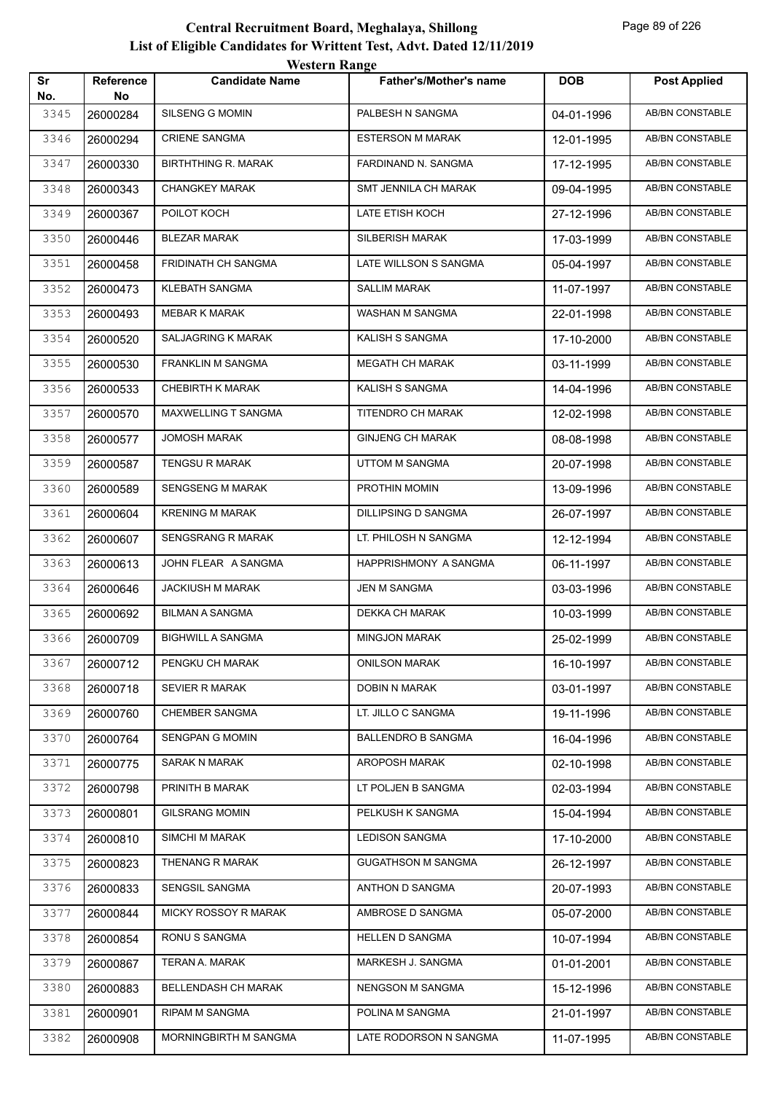|           |                 | <b>WUSIUL IVANGU</b>       |                               |            |                        |
|-----------|-----------------|----------------------------|-------------------------------|------------|------------------------|
| Sr<br>No. | Reference<br>No | <b>Candidate Name</b>      | <b>Father's/Mother's name</b> | <b>DOB</b> | <b>Post Applied</b>    |
| 3345      | 26000284        | SILSENG G MOMIN            | PALBESH N SANGMA              | 04-01-1996 | AB/BN CONSTABLE        |
| 3346      | 26000294        | <b>CRIENE SANGMA</b>       | <b>ESTERSON M MARAK</b>       | 12-01-1995 | AB/BN CONSTABLE        |
| 3347      | 26000330        | <b>BIRTHTHING R. MARAK</b> | FARDINAND N. SANGMA           | 17-12-1995 | AB/BN CONSTABLE        |
| 3348      | 26000343        | <b>CHANGKEY MARAK</b>      | SMT JENNILA CH MARAK          | 09-04-1995 | AB/BN CONSTABLE        |
| 3349      | 26000367        | POILOT KOCH                | LATE ETISH KOCH               | 27-12-1996 | AB/BN CONSTABLE        |
| 3350      | 26000446        | <b>BLEZAR MARAK</b>        | SILBERISH MARAK               | 17-03-1999 | AB/BN CONSTABLE        |
| 3351      | 26000458        | FRIDINATH CH SANGMA        | LATE WILLSON S SANGMA         | 05-04-1997 | AB/BN CONSTABLE        |
| 3352      | 26000473        | KLEBATH SANGMA             | SALLIM MARAK                  | 11-07-1997 | AB/BN CONSTABLE        |
| 3353      | 26000493        | <b>MEBAR K MARAK</b>       | WASHAN M SANGMA               | 22-01-1998 | AB/BN CONSTABLE        |
| 3354      | 26000520        | SALJAGRING K MARAK         | KALISH S SANGMA               | 17-10-2000 | AB/BN CONSTABLE        |
| 3355      | 26000530        | FRANKLIN M SANGMA          | <b>MEGATH CH MARAK</b>        | 03-11-1999 | <b>AB/BN CONSTABLE</b> |
| 3356      | 26000533        | CHEBIRTH K MARAK           | KALISH S SANGMA               | 14-04-1996 | AB/BN CONSTABLE        |
| 3357      | 26000570        | MAXWELLING T SANGMA        | TITENDRO CH MARAK             | 12-02-1998 | AB/BN CONSTABLE        |
| 3358      | 26000577        | <b>JOMOSH MARAK</b>        | <b>GINJENG CH MARAK</b>       | 08-08-1998 | AB/BN CONSTABLE        |
| 3359      | 26000587        | <b>TENGSU R MARAK</b>      | <b>UTTOM M SANGMA</b>         | 20-07-1998 | AB/BN CONSTABLE        |
| 3360      | 26000589        | <b>SENGSENG M MARAK</b>    | PROTHIN MOMIN                 | 13-09-1996 | <b>AB/BN CONSTABLE</b> |
| 3361      | 26000604        | <b>KRENING M MARAK</b>     | DILLIPSING D SANGMA           | 26-07-1997 | AB/BN CONSTABLE        |
| 3362      | 26000607        | <b>SENGSRANG R MARAK</b>   | LT. PHILOSH N SANGMA          | 12-12-1994 | AB/BN CONSTABLE        |
| 3363      | 26000613        | JOHN FLEAR A SANGMA        | HAPPRISHMONY A SANGMA         | 06-11-1997 | AB/BN CONSTABLE        |
| 3364      | 26000646        | <b>JACKIUSH M MARAK</b>    | JEN M SANGMA                  | 03-03-1996 | AB/BN CONSTABLE        |
| 3365      | 26000692        | <b>BILMAN A SANGMA</b>     | DEKKA CH MARAK                | 10-03-1999 | AB/BN CONSTABLE        |
| 3366      | 26000709        | <b>BIGHWILL A SANGMA</b>   | <b>MINGJON MARAK</b>          | 25-02-1999 | AB/BN CONSTABLE        |
| 3367      | 26000712        | PENGKU CH MARAK            | <b>ONILSON MARAK</b>          | 16-10-1997 | AB/BN CONSTABLE        |
| 3368      | 26000718        | <b>SEVIER R MARAK</b>      | DOBIN N MARAK                 | 03-01-1997 | AB/BN CONSTABLE        |
| 3369      | 26000760        | CHEMBER SANGMA             | LT. JILLO C SANGMA            | 19-11-1996 | AB/BN CONSTABLE        |
| 3370      | 26000764        | SENGPAN G MOMIN            | <b>BALLENDRO B SANGMA</b>     | 16-04-1996 | AB/BN CONSTABLE        |
| 3371      | 26000775        | <b>SARAK N MARAK</b>       | AROPOSH MARAK                 | 02-10-1998 | AB/BN CONSTABLE        |
| 3372      | 26000798        | PRINITH B MARAK            | LT POLJEN B SANGMA            | 02-03-1994 | AB/BN CONSTABLE        |
| 3373      | 26000801        | <b>GILSRANG MOMIN</b>      | PELKUSH K SANGMA              | 15-04-1994 | AB/BN CONSTABLE        |
| 3374      | 26000810        | SIMCHI M MARAK             | <b>LEDISON SANGMA</b>         | 17-10-2000 | AB/BN CONSTABLE        |
| 3375      | 26000823        | THENANG R MARAK            | <b>GUGATHSON M SANGMA</b>     | 26-12-1997 | AB/BN CONSTABLE        |
| 3376      | 26000833        | SENGSIL SANGMA             | ANTHON D SANGMA               | 20-07-1993 | AB/BN CONSTABLE        |
| 3377      | 26000844        | MICKY ROSSOY R MARAK       | AMBROSE D SANGMA              | 05-07-2000 | AB/BN CONSTABLE        |
| 3378      | 26000854        | RONU S SANGMA              | <b>HELLEN D SANGMA</b>        | 10-07-1994 | AB/BN CONSTABLE        |
| 3379      | 26000867        | TERAN A. MARAK             | MARKESH J. SANGMA             | 01-01-2001 | AB/BN CONSTABLE        |
| 3380      | 26000883        | BELLENDASH CH MARAK        | NENGSON M SANGMA              | 15-12-1996 | AB/BN CONSTABLE        |
| 3381      | 26000901        | RIPAM M SANGMA             | POLINA M SANGMA               | 21-01-1997 | AB/BN CONSTABLE        |
| 3382      | 26000908        | MORNINGBIRTH M SANGMA      | LATE RODORSON N SANGMA        | 11-07-1995 | AB/BN CONSTABLE        |
|           |                 |                            |                               |            |                        |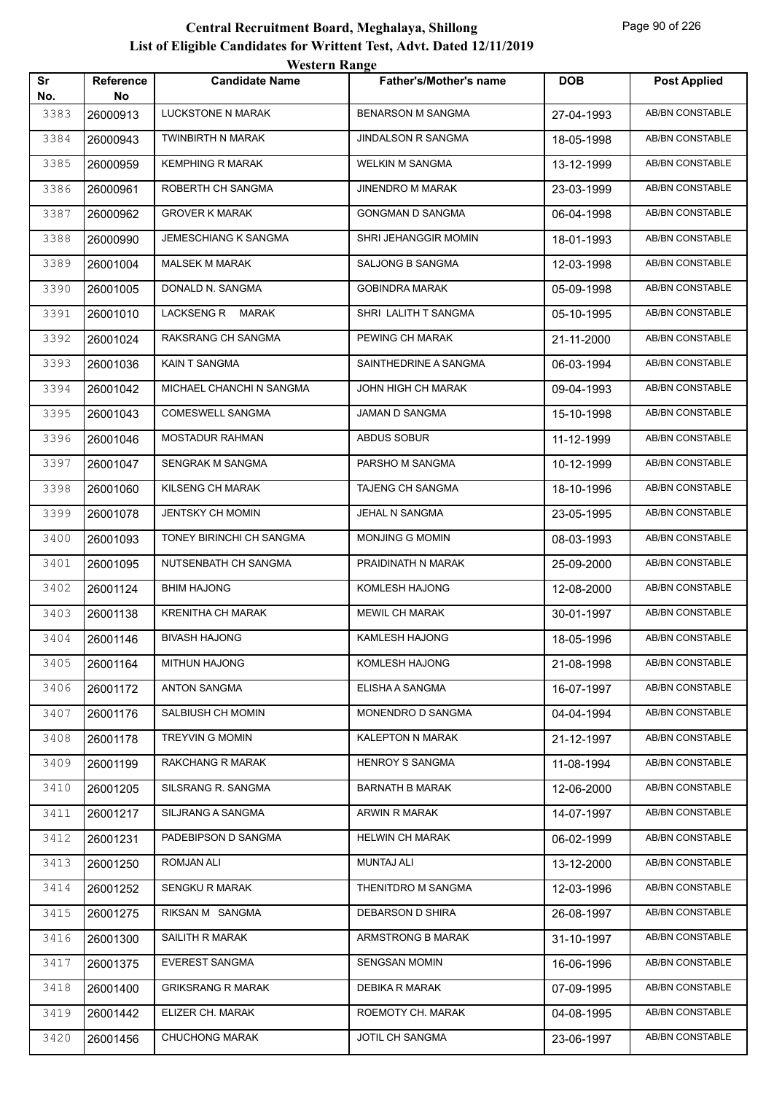|           |                 | <i>Western Kange</i>     |                               |            |                        |
|-----------|-----------------|--------------------------|-------------------------------|------------|------------------------|
| Sr<br>No. | Reference<br>No | <b>Candidate Name</b>    | <b>Father's/Mother's name</b> | <b>DOB</b> | <b>Post Applied</b>    |
| 3383      | 26000913        | <b>LUCKSTONE N MARAK</b> | <b>BENARSON M SANGMA</b>      | 27-04-1993 | <b>AB/BN CONSTABLE</b> |
| 3384      | 26000943        | <b>TWINBIRTH N MARAK</b> | JINDALSON R SANGMA            | 18-05-1998 | <b>AB/BN CONSTABLE</b> |
| 3385      | 26000959        | <b>KEMPHING R MARAK</b>  | <b>WELKIN M SANGMA</b>        | 13-12-1999 | <b>AB/BN CONSTABLE</b> |
| 3386      | 26000961        | ROBERTH CH SANGMA        | <b>JINENDRO M MARAK</b>       | 23-03-1999 | AB/BN CONSTABLE        |
| 3387      | 26000962        | <b>GROVER K MARAK</b>    | <b>GONGMAN D SANGMA</b>       | 06-04-1998 | AB/BN CONSTABLE        |
| 3388      | 26000990        | JEMESCHIANG K SANGMA     | SHRI JEHANGGIR MOMIN          | 18-01-1993 | AB/BN CONSTABLE        |
| 3389      | 26001004        | <b>MALSEK M MARAK</b>    | SALJONG B SANGMA              | 12-03-1998 | AB/BN CONSTABLE        |
| 3390      | 26001005        | DONALD N. SANGMA         | <b>GOBINDRA MARAK</b>         | 05-09-1998 | AB/BN CONSTABLE        |
| 3391      | 26001010        | LACKSENG R MARAK         | SHRI LALITH T SANGMA          | 05-10-1995 | AB/BN CONSTABLE        |
| 3392      | 26001024        | RAKSRANG CH SANGMA       | PEWING CH MARAK               | 21-11-2000 | AB/BN CONSTABLE        |
| 3393      | 26001036        | KAIN T SANGMA            | SAINTHEDRINE A SANGMA         | 06-03-1994 | AB/BN CONSTABLE        |
| 3394      | 26001042        | MICHAEL CHANCHI N SANGMA | <b>JOHN HIGH CH MARAK</b>     | 09-04-1993 | AB/BN CONSTABLE        |
| 3395      | 26001043        | <b>COMESWELL SANGMA</b>  | JAMAN D SANGMA                | 15-10-1998 | AB/BN CONSTABLE        |
| 3396      | 26001046        | <b>MOSTADUR RAHMAN</b>   | ABDUS SOBUR                   | 11-12-1999 | AB/BN CONSTABLE        |
| 3397      | 26001047        | SENGRAK M SANGMA         | PARSHO M SANGMA               | 10-12-1999 | <b>AB/BN CONSTABLE</b> |
| 3398      | 26001060        | KILSENG CH MARAK         | TAJENG CH SANGMA              | 18-10-1996 | AB/BN CONSTABLE        |
| 3399      | 26001078        | <b>JENTSKY CH MOMIN</b>  | JEHAL N SANGMA                | 23-05-1995 | AB/BN CONSTABLE        |
| 3400      | 26001093        | TONEY BIRINCHI CH SANGMA | MONJING G MOMIN               | 08-03-1993 | AB/BN CONSTABLE        |
| 3401      | 26001095        | NUTSENBATH CH SANGMA     | PRAIDINATH N MARAK            | 25-09-2000 | AB/BN CONSTABLE        |
| 3402      | 26001124        | <b>BHIM HAJONG</b>       | KOMLESH HAJONG                | 12-08-2000 | AB/BN CONSTABLE        |
| 3403      | 26001138        | KRENITHA CH MARAK        | <b>MEWIL CH MARAK</b>         | 30-01-1997 | AB/BN CONSTABLE        |
| 3404      | 26001146        | <b>BIVASH HAJONG</b>     | KAMLESH HAJONG                | 18-05-1996 | AB/BN CONSTABLE        |
| 3405      | 26001164        | MITHUN HAJONG            | KOMLESH HAJONG                | 21-08-1998 | <b>AB/BN CONSTABLE</b> |
| 3406      | 26001172        | <b>ANTON SANGMA</b>      | ELISHA A SANGMA               | 16-07-1997 | AB/BN CONSTABLE        |
| 3407      | 26001176        | SALBIUSH CH MOMIN        | MONENDRO D SANGMA             | 04-04-1994 | AB/BN CONSTABLE        |
| 3408      | 26001178        | <b>TREYVIN G MOMIN</b>   | KALEPTON N MARAK              | 21-12-1997 | AB/BN CONSTABLE        |
| 3409      | 26001199        | RAKCHANG R MARAK         | <b>HENROY S SANGMA</b>        | 11-08-1994 | AB/BN CONSTABLE        |
| 3410      | 26001205        | SILSRANG R. SANGMA       | <b>BARNATH B MARAK</b>        | 12-06-2000 | AB/BN CONSTABLE        |
| 3411      | 26001217        | SILJRANG A SANGMA        | ARWIN R MARAK                 | 14-07-1997 | AB/BN CONSTABLE        |
| 3412      | 26001231        | PADEBIPSON D SANGMA      | <b>HELWIN CH MARAK</b>        | 06-02-1999 | AB/BN CONSTABLE        |
| 3413      | 26001250        | ROMJAN ALI               | <b>MUNTAJ ALI</b>             | 13-12-2000 | AB/BN CONSTABLE        |
| 3414      | 26001252        | SENGKU R MARAK           | THENITDRO M SANGMA            | 12-03-1996 | AB/BN CONSTABLE        |
| 3415      | 26001275        | RIKSAN M SANGMA          | DEBARSON D SHIRA              | 26-08-1997 | AB/BN CONSTABLE        |
| 3416      | 26001300        | SAILITH R MARAK          | ARMSTRONG B MARAK             | 31-10-1997 | AB/BN CONSTABLE        |
| 3417      | 26001375        | <b>EVEREST SANGMA</b>    | <b>SENGSAN MOMIN</b>          | 16-06-1996 | AB/BN CONSTABLE        |
| 3418      | 26001400        | <b>GRIKSRANG R MARAK</b> | <b>DEBIKA R MARAK</b>         | 07-09-1995 | AB/BN CONSTABLE        |
| 3419      | 26001442        | ELIZER CH. MARAK         | ROEMOTY CH. MARAK             | 04-08-1995 | AB/BN CONSTABLE        |
| 3420      | 26001456        | <b>CHUCHONG MARAK</b>    | JOTIL CH SANGMA               | 23-06-1997 | AB/BN CONSTABLE        |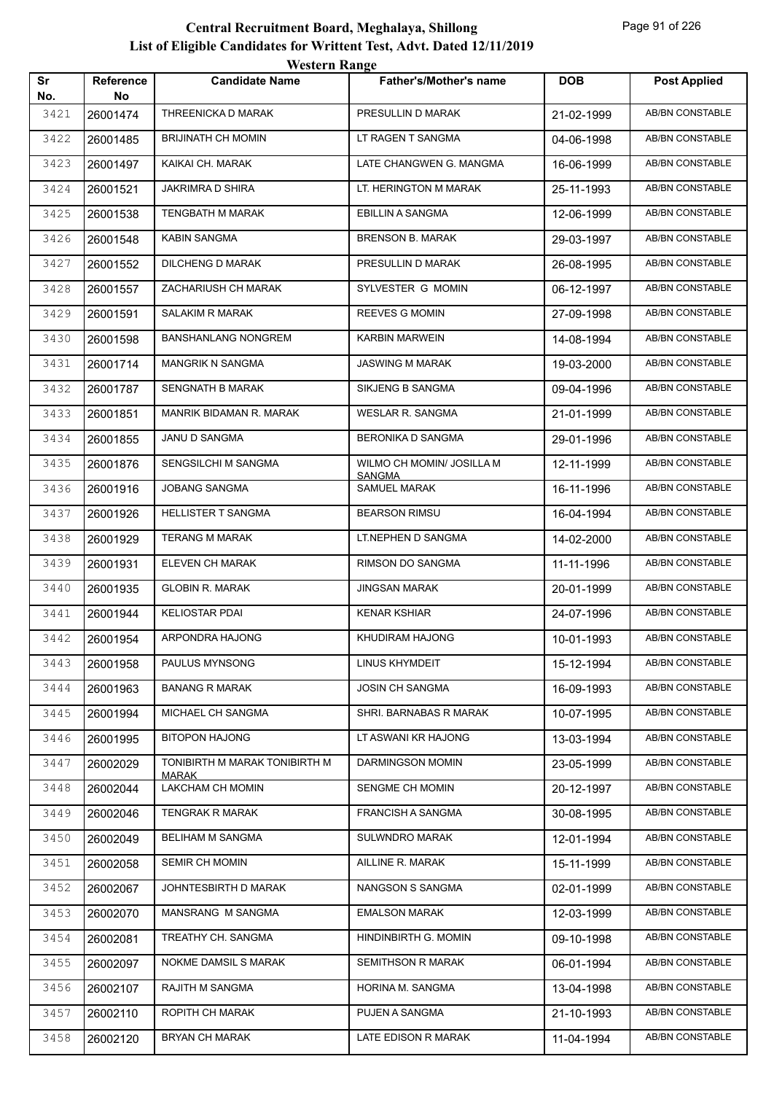| Sr   | <b>Reference</b> | WESTEL II INALIZE<br><b>Candidate Name</b> | <b>Father's/Mother's name</b>        | <b>DOB</b> | <b>Post Applied</b>    |
|------|------------------|--------------------------------------------|--------------------------------------|------------|------------------------|
| No.  | No               |                                            |                                      |            |                        |
| 3421 | 26001474         | THREENICKA D MARAK                         | PRESULLIN D MARAK                    | 21-02-1999 | <b>AB/BN CONSTABLE</b> |
| 3422 | 26001485         | <b>BRIJINATH CH MOMIN</b>                  | LT RAGEN T SANGMA                    | 04-06-1998 | AB/BN CONSTABLE        |
| 3423 | 26001497         | KAIKAI CH. MARAK                           | LATE CHANGWEN G. MANGMA              | 16-06-1999 | AB/BN CONSTABLE        |
| 3424 | 26001521         | JAKRIMRA D SHIRA                           | LT. HERINGTON M MARAK                | 25-11-1993 | AB/BN CONSTABLE        |
| 3425 | 26001538         | <b>TENGBATH M MARAK</b>                    | EBILLIN A SANGMA                     | 12-06-1999 | AB/BN CONSTABLE        |
| 3426 | 26001548         | KABIN SANGMA                               | <b>BRENSON B. MARAK</b>              | 29-03-1997 | <b>AB/BN CONSTABLE</b> |
| 3427 | 26001552         | DILCHENG D MARAK                           | PRESULLIN D MARAK                    | 26-08-1995 | AB/BN CONSTABLE        |
| 3428 | 26001557         | ZACHARIUSH CH MARAK                        | SYLVESTER G MOMIN                    | 06-12-1997 | AB/BN CONSTABLE        |
| 3429 | 26001591         | SALAKIM R MARAK                            | REEVES G MOMIN                       | 27-09-1998 | AB/BN CONSTABLE        |
| 3430 | 26001598         | <b>BANSHANLANG NONGREM</b>                 | <b>KARBIN MARWEIN</b>                | 14-08-1994 | <b>AB/BN CONSTABLE</b> |
| 3431 | 26001714         | <b>MANGRIK N SANGMA</b>                    | <b>JASWING M MARAK</b>               | 19-03-2000 | AB/BN CONSTABLE        |
| 3432 | 26001787         | SENGNATH B MARAK                           | SIKJENG B SANGMA                     | 09-04-1996 | AB/BN CONSTABLE        |
| 3433 | 26001851         | MANRIK BIDAMAN R. MARAK                    | <b>WESLAR R. SANGMA</b>              | 21-01-1999 | AB/BN CONSTABLE        |
| 3434 | 26001855         | JANU D SANGMA                              | <b>BERONIKA D SANGMA</b>             | 29-01-1996 | AB/BN CONSTABLE        |
| 3435 | 26001876         | SENGSILCHI M SANGMA                        | WILMO CH MOMIN/ JOSILLA M            | 12-11-1999 | <b>AB/BN CONSTABLE</b> |
| 3436 | 26001916         | <b>JOBANG SANGMA</b>                       | <b>SANGMA</b><br><b>SAMUEL MARAK</b> | 16-11-1996 | AB/BN CONSTABLE        |
| 3437 | 26001926         | <b>HELLISTER T SANGMA</b>                  | <b>BEARSON RIMSU</b>                 | 16-04-1994 | AB/BN CONSTABLE        |
| 3438 | 26001929         | <b>TERANG M MARAK</b>                      | LT.NEPHEN D SANGMA                   | 14-02-2000 | AB/BN CONSTABLE        |
| 3439 | 26001931         | ELEVEN CH MARAK                            | RIMSON DO SANGMA                     | 11-11-1996 | AB/BN CONSTABLE        |
| 3440 | 26001935         | <b>GLOBIN R. MARAK</b>                     | <b>JINGSAN MARAK</b>                 | 20-01-1999 | AB/BN CONSTABLE        |
| 3441 | 26001944         | <b>KELIOSTAR PDAI</b>                      | <b>KENAR KSHIAR</b>                  | 24-07-1996 | AB/BN CONSTABLE        |
| 3442 | 26001954         | ARPONDRA HAJONG                            | KHUDIRAM HAJONG                      | 10-01-1993 | AB/BN CONSTABLE        |
| 3443 | 26001958         | PAULUS MYNSONG                             | LINUS KHYMDEIT                       | 15-12-1994 | AB/BN CONSTABLE        |
| 3444 | 26001963         | <b>BANANG R MARAK</b>                      | JOSIN CH SANGMA                      | 16-09-1993 | AB/BN CONSTABLE        |
| 3445 | 26001994         | MICHAEL CH SANGMA                          | SHRI. BARNABAS R MARAK               | 10-07-1995 | AB/BN CONSTABLE        |
| 3446 | 26001995         | <b>BITOPON HAJONG</b>                      | LT ASWANI KR HAJONG                  | 13-03-1994 | AB/BN CONSTABLE        |
| 3447 | 26002029         | TONIBIRTH M MARAK TONIBIRTH M              | DARMINGSON MOMIN                     | 23-05-1999 | AB/BN CONSTABLE        |
| 3448 | 26002044         | <b>MARAK</b><br>LAKCHAM CH MOMIN           | SENGME CH MOMIN                      | 20-12-1997 | AB/BN CONSTABLE        |
| 3449 | 26002046         | <b>TENGRAK R MARAK</b>                     | <b>FRANCISH A SANGMA</b>             | 30-08-1995 | AB/BN CONSTABLE        |
| 3450 | 26002049         | BELIHAM M SANGMA                           | SULWNDRO MARAK                       | 12-01-1994 | AB/BN CONSTABLE        |
| 3451 | 26002058         | SEMIR CH MOMIN                             | AILLINE R. MARAK                     | 15-11-1999 | AB/BN CONSTABLE        |
| 3452 | 26002067         | JOHNTESBIRTH D MARAK                       | NANGSON S SANGMA                     | 02-01-1999 | AB/BN CONSTABLE        |
| 3453 | 26002070         | MANSRANG M SANGMA                          | <b>EMALSON MARAK</b>                 | 12-03-1999 | AB/BN CONSTABLE        |
| 3454 | 26002081         | TREATHY CH. SANGMA                         | HINDINBIRTH G. MOMIN                 | 09-10-1998 | AB/BN CONSTABLE        |
| 3455 | 26002097         | NOKME DAMSIL S MARAK                       | <b>SEMITHSON R MARAK</b>             | 06-01-1994 | AB/BN CONSTABLE        |
| 3456 | 26002107         | RAJITH M SANGMA                            | HORINA M. SANGMA                     | 13-04-1998 | AB/BN CONSTABLE        |
| 3457 | 26002110         | ROPITH CH MARAK                            | PUJEN A SANGMA                       | 21-10-1993 | AB/BN CONSTABLE        |
| 3458 | 26002120         | <b>BRYAN CH MARAK</b>                      | LATE EDISON R MARAK                  | 11-04-1994 | AB/BN CONSTABLE        |
|      |                  |                                            |                                      |            |                        |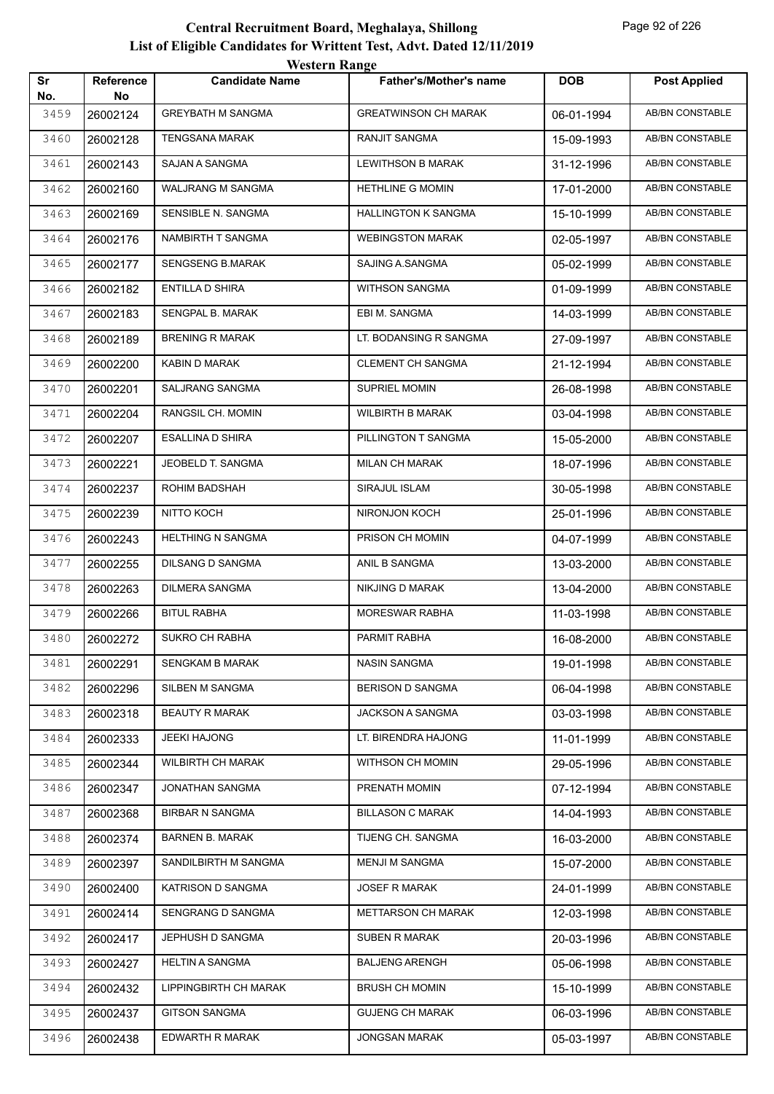| <b>Western Range</b> |                        |                          |                               |            |                        |  |
|----------------------|------------------------|--------------------------|-------------------------------|------------|------------------------|--|
| Sr<br>No.            | <b>Reference</b><br>No | <b>Candidate Name</b>    | <b>Father's/Mother's name</b> | <b>DOB</b> | <b>Post Applied</b>    |  |
| 3459                 | 26002124               | <b>GREYBATH M SANGMA</b> | <b>GREATWINSON CH MARAK</b>   | 06-01-1994 | <b>AB/BN CONSTABLE</b> |  |
| 3460                 | 26002128               | <b>TENGSANA MARAK</b>    | <b>RANJIT SANGMA</b>          | 15-09-1993 | <b>AB/BN CONSTABLE</b> |  |
| 3461                 | 26002143               | SAJAN A SANGMA           | <b>LEWITHSON B MARAK</b>      | 31-12-1996 | AB/BN CONSTABLE        |  |
| 3462                 | 26002160               | WALJRANG M SANGMA        | <b>HETHLINE G MOMIN</b>       | 17-01-2000 | <b>AB/BN CONSTABLE</b> |  |
| 3463                 | 26002169               | SENSIBLE N. SANGMA       | <b>HALLINGTON K SANGMA</b>    | 15-10-1999 | <b>AB/BN CONSTABLE</b> |  |
| 3464                 | 26002176               | NAMBIRTH T SANGMA        | <b>WEBINGSTON MARAK</b>       | 02-05-1997 | <b>AB/BN CONSTABLE</b> |  |
| 3465                 | 26002177               | <b>SENGSENG B.MARAK</b>  | SAJING A.SANGMA               | 05-02-1999 | AB/BN CONSTABLE        |  |
| 3466                 | 26002182               | <b>ENTILLA D SHIRA</b>   | WITHSON SANGMA                | 01-09-1999 | <b>AB/BN CONSTABLE</b> |  |
| 3467                 | 26002183               | SENGPAL B. MARAK         | EBI M. SANGMA                 | 14-03-1999 | <b>AB/BN CONSTABLE</b> |  |
| 3468                 | 26002189               | <b>BRENING R MARAK</b>   | LT. BODANSING R SANGMA        | 27-09-1997 | <b>AB/BN CONSTABLE</b> |  |
| 3469                 | 26002200               | <b>KABIN D MARAK</b>     | <b>CLEMENT CH SANGMA</b>      | 21-12-1994 | <b>AB/BN CONSTABLE</b> |  |
| 3470                 | 26002201               | SALJRANG SANGMA          | SUPRIEL MOMIN                 | 26-08-1998 | AB/BN CONSTABLE        |  |
| 3471                 | 26002204               | RANGSIL CH. MOMIN        | <b>WILBIRTH B MARAK</b>       | 03-04-1998 | <b>AB/BN CONSTABLE</b> |  |
| 3472                 | 26002207               | <b>ESALLINA D SHIRA</b>  | PILLINGTON T SANGMA           | 15-05-2000 | <b>AB/BN CONSTABLE</b> |  |
| 3473                 | 26002221               | JEOBELD T. SANGMA        | <b>MILAN CH MARAK</b>         | 18-07-1996 | <b>AB/BN CONSTABLE</b> |  |
| 3474                 | 26002237               | ROHIM BADSHAH            | SIRAJUL ISLAM                 | 30-05-1998 | <b>AB/BN CONSTABLE</b> |  |
| 3475                 | 26002239               | NITTO KOCH               | NIRONJON KOCH                 | 25-01-1996 | AB/BN CONSTABLE        |  |
| 3476                 | 26002243               | <b>HELTHING N SANGMA</b> | PRISON CH MOMIN               | 04-07-1999 | <b>AB/BN CONSTABLE</b> |  |
| 3477                 | 26002255               | <b>DILSANG D SANGMA</b>  | ANIL B SANGMA                 | 13-03-2000 | <b>AB/BN CONSTABLE</b> |  |
| 3478                 | 26002263               | <b>DILMERA SANGMA</b>    | <b>NIKJING D MARAK</b>        | 13-04-2000 | <b>AB/BN CONSTABLE</b> |  |
| 3479                 | 26002266               | <b>BITUL RABHA</b>       | <b>MORESWAR RABHA</b>         | 11-03-1998 | AB/BN CONSTABLE        |  |
| 3480                 | 26002272               | SUKRO CH RABHA           | PARMIT RABHA                  | 16-08-2000 | <b>AB/BN CONSTABLE</b> |  |
| 3481                 | 26002291               | <b>SENGKAM B MARAK</b>   | <b>NASIN SANGMA</b>           | 19-01-1998 | AB/BN CONSTABLE        |  |
| 3482                 | 26002296               | SILBEN M SANGMA          | <b>BERISON D SANGMA</b>       | 06-04-1998 | AB/BN CONSTABLE        |  |
| 3483                 | 26002318               | <b>BEAUTY R MARAK</b>    | JACKSON A SANGMA              | 03-03-1998 | AB/BN CONSTABLE        |  |
| 3484                 | 26002333               | JEEKI HAJONG             | LT. BIRENDRA HAJONG           | 11-01-1999 | AB/BN CONSTABLE        |  |
| 3485                 | 26002344               | <b>WILBIRTH CH MARAK</b> | WITHSON CH MOMIN              | 29-05-1996 | AB/BN CONSTABLE        |  |
| 3486                 | 26002347               | JONATHAN SANGMA          | PRENATH MOMIN                 | 07-12-1994 | AB/BN CONSTABLE        |  |
| 3487                 | 26002368               | <b>BIRBAR N SANGMA</b>   | <b>BILLASON C MARAK</b>       | 14-04-1993 | AB/BN CONSTABLE        |  |
| 3488                 | 26002374               | <b>BARNEN B. MARAK</b>   | TIJENG CH. SANGMA             | 16-03-2000 | AB/BN CONSTABLE        |  |
| 3489                 | 26002397               | SANDILBIRTH M SANGMA     | <b>MENJI M SANGMA</b>         | 15-07-2000 | AB/BN CONSTABLE        |  |
| 3490                 | 26002400               | KATRISON D SANGMA        | <b>JOSEF R MARAK</b>          | 24-01-1999 | AB/BN CONSTABLE        |  |
| 3491                 | 26002414               | SENGRANG D SANGMA        | <b>METTARSON CH MARAK</b>     | 12-03-1998 | AB/BN CONSTABLE        |  |
| 3492                 | 26002417               | JEPHUSH D SANGMA         | SUBEN R MARAK                 | 20-03-1996 | AB/BN CONSTABLE        |  |
| 3493                 | 26002427               | <b>HELTIN A SANGMA</b>   | <b>BALJENG ARENGH</b>         | 05-06-1998 | AB/BN CONSTABLE        |  |
| 3494                 | 26002432               | LIPPINGBIRTH CH MARAK    | <b>BRUSH CH MOMIN</b>         | 15-10-1999 | AB/BN CONSTABLE        |  |
| 3495                 | 26002437               | <b>GITSON SANGMA</b>     | <b>GUJENG CH MARAK</b>        | 06-03-1996 | AB/BN CONSTABLE        |  |
| 3496                 | 26002438               | EDWARTH R MARAK          | <b>JONGSAN MARAK</b>          | 05-03-1997 | AB/BN CONSTABLE        |  |
|                      |                        |                          |                               |            |                        |  |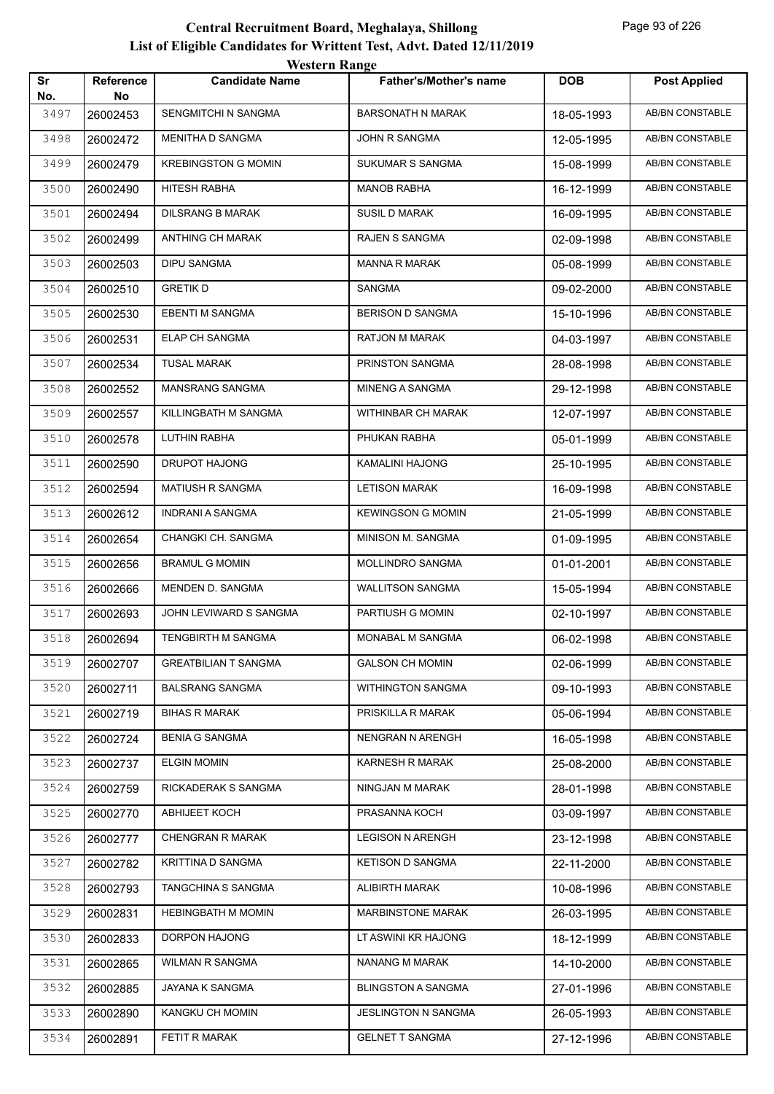|           |                        | <b>Western Range</b>        |                               |            |                        |
|-----------|------------------------|-----------------------------|-------------------------------|------------|------------------------|
| Sr<br>No. | <b>Reference</b><br>No | <b>Candidate Name</b>       | <b>Father's/Mother's name</b> | <b>DOB</b> | <b>Post Applied</b>    |
| 3497      | 26002453               | SENGMITCHI N SANGMA         | <b>BARSONATH N MARAK</b>      | 18-05-1993 | <b>AB/BN CONSTABLE</b> |
| 3498      | 26002472               | MENITHA D SANGMA            | <b>JOHN R SANGMA</b>          | 12-05-1995 | <b>AB/BN CONSTABLE</b> |
| 3499      | 26002479               | <b>KREBINGSTON G MOMIN</b>  | SUKUMAR S SANGMA              | 15-08-1999 | <b>AB/BN CONSTABLE</b> |
| 3500      | 26002490               | <b>HITESH RABHA</b>         | <b>MANOB RABHA</b>            | 16-12-1999 | <b>AB/BN CONSTABLE</b> |
| 3501      | 26002494               | <b>DILSRANG B MARAK</b>     | <b>SUSIL D MARAK</b>          | 16-09-1995 | AB/BN CONSTABLE        |
| 3502      | 26002499               | <b>ANTHING CH MARAK</b>     | <b>RAJEN S SANGMA</b>         | 02-09-1998 | AB/BN CONSTABLE        |
| 3503      | 26002503               | <b>DIPU SANGMA</b>          | <b>MANNA R MARAK</b>          | 05-08-1999 | AB/BN CONSTABLE        |
| 3504      | 26002510               | <b>GRETIK D</b>             | SANGMA                        | 09-02-2000 | <b>AB/BN CONSTABLE</b> |
| 3505      | 26002530               | <b>EBENTI M SANGMA</b>      | <b>BERISON D SANGMA</b>       | 15-10-1996 | <b>AB/BN CONSTABLE</b> |
| 3506      | 26002531               | <b>ELAP CH SANGMA</b>       | <b>RATJON M MARAK</b>         | 04-03-1997 | <b>AB/BN CONSTABLE</b> |
| 3507      | 26002534               | <b>TUSAL MARAK</b>          | PRINSTON SANGMA               | 28-08-1998 | AB/BN CONSTABLE        |
| 3508      | 26002552               | MANSRANG SANGMA             | <b>MINENG A SANGMA</b>        | 29-12-1998 | AB/BN CONSTABLE        |
| 3509      | 26002557               | KILLINGBATH M SANGMA        | WITHINBAR CH MARAK            | 12-07-1997 | AB/BN CONSTABLE        |
| 3510      | 26002578               | <b>LUTHIN RABHA</b>         | PHUKAN RABHA                  | 05-01-1999 | <b>AB/BN CONSTABLE</b> |
| 3511      | 26002590               | <b>DRUPOT HAJONG</b>        | KAMALINI HAJONG               | 25-10-1995 | AB/BN CONSTABLE        |
| 3512      | 26002594               | <b>MATIUSH R SANGMA</b>     | <b>LETISON MARAK</b>          | 16-09-1998 | <b>AB/BN CONSTABLE</b> |
| 3513      | 26002612               | <b>INDRANI A SANGMA</b>     | <b>KEWINGSON G MOMIN</b>      | 21-05-1999 | AB/BN CONSTABLE        |
| 3514      | 26002654               | CHANGKI CH. SANGMA          | MINISON M. SANGMA             | 01-09-1995 | <b>AB/BN CONSTABLE</b> |
| 3515      | 26002656               | <b>BRAMUL G MOMIN</b>       | MOLLINDRO SANGMA              | 01-01-2001 | <b>AB/BN CONSTABLE</b> |
| 3516      | 26002666               | MENDEN D. SANGMA            | <b>WALLITSON SANGMA</b>       | 15-05-1994 | <b>AB/BN CONSTABLE</b> |
| 3517      | 26002693               | JOHN LEVIWARD S SANGMA      | PARTIUSH G MOMIN              | 02-10-1997 | AB/BN CONSTABLE        |
| 3518      | 26002694               | <b>TENGBIRTH M SANGMA</b>   | MONABAL M SANGMA              | 06-02-1998 | <b>AB/BN CONSTABLE</b> |
| 3519      | 26002707               | <b>GREATBILIAN T SANGMA</b> | <b>GALSON CH MOMIN</b>        | 02-06-1999 | AB/BN CONSTABLE        |
| 3520      | 26002711               | <b>BALSRANG SANGMA</b>      | <b>WITHINGTON SANGMA</b>      | 09-10-1993 | AB/BN CONSTABLE        |
| 3521      | 26002719               | <b>BIHAS R MARAK</b>        | PRISKILLA R MARAK             | 05-06-1994 | AB/BN CONSTABLE        |
| 3522      | 26002724               | <b>BENIA G SANGMA</b>       | NENGRAN N ARENGH              | 16-05-1998 | AB/BN CONSTABLE        |
| 3523      | 26002737               | <b>ELGIN MOMIN</b>          | KARNESH R MARAK               | 25-08-2000 | AB/BN CONSTABLE        |
| 3524      | 26002759               | RICKADERAK S SANGMA         | NINGJAN M MARAK               | 28-01-1998 | AB/BN CONSTABLE        |
| 3525      | 26002770               | <b>ABHIJEET KOCH</b>        | PRASANNA KOCH                 | 03-09-1997 | AB/BN CONSTABLE        |
| 3526      | 26002777               | CHENGRAN R MARAK            | <b>LEGISON N ARENGH</b>       | 23-12-1998 | AB/BN CONSTABLE        |
| 3527      | 26002782               | KRITTINA D SANGMA           | <b>KETISON D SANGMA</b>       | 22-11-2000 | AB/BN CONSTABLE        |
| 3528      | 26002793               | TANGCHINA S SANGMA          | ALIBIRTH MARAK                | 10-08-1996 | AB/BN CONSTABLE        |
| 3529      | 26002831               | <b>HEBINGBATH M MOMIN</b>   | <b>MARBINSTONE MARAK</b>      | 26-03-1995 | AB/BN CONSTABLE        |
| 3530      | 26002833               | DORPON HAJONG               | LT ASWINI KR HAJONG           | 18-12-1999 | AB/BN CONSTABLE        |
| 3531      | 26002865               | WILMAN R SANGMA             | <b>NANANG M MARAK</b>         | 14-10-2000 | AB/BN CONSTABLE        |
| 3532      | 26002885               | JAYANA K SANGMA             | <b>BLINGSTON A SANGMA</b>     | 27-01-1996 | AB/BN CONSTABLE        |
| 3533      | 26002890               | KANGKU CH MOMIN             | JESLINGTON N SANGMA           | 26-05-1993 | AB/BN CONSTABLE        |
| 3534      | 26002891               | FETIT R MARAK               | <b>GELNET T SANGMA</b>        | 27-12-1996 | AB/BN CONSTABLE        |
|           |                        |                             |                               |            |                        |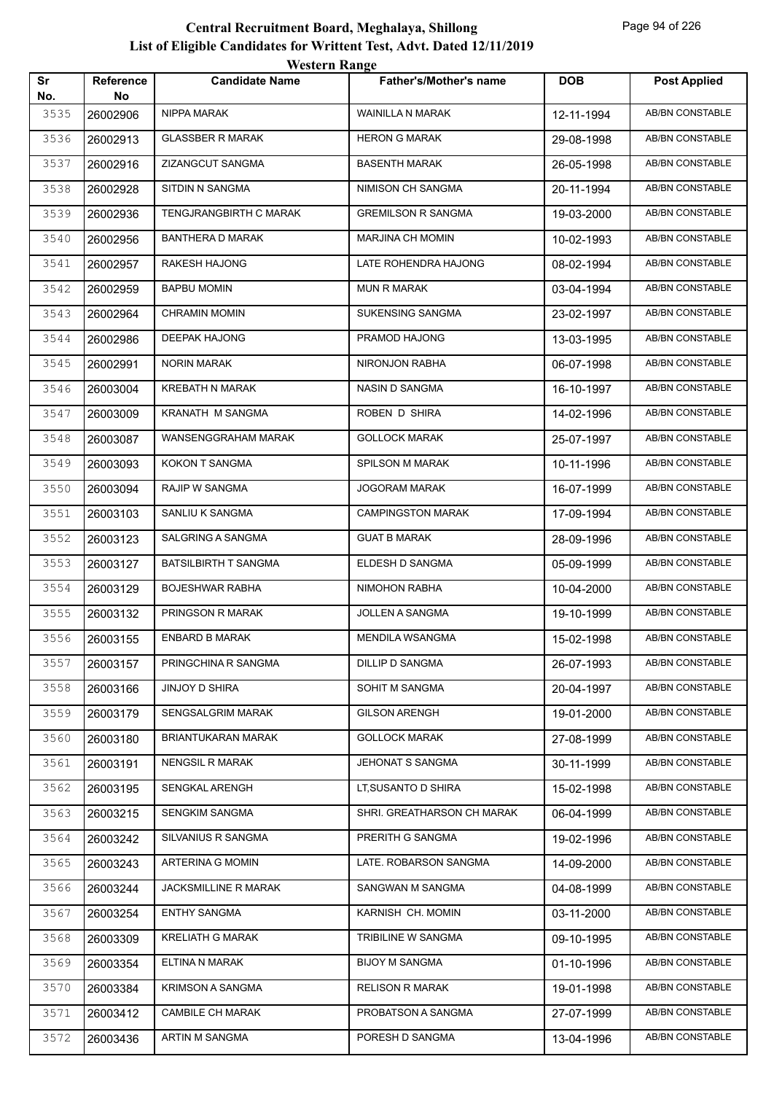| Sr<br>No. | Reference<br>No | <b>Candidate Name</b>       | <b>Father's/Mother's name</b> | <b>DOB</b> | <b>Post Applied</b>    |
|-----------|-----------------|-----------------------------|-------------------------------|------------|------------------------|
| 3535      | 26002906        | NIPPA MARAK                 | WAINILLA N MARAK              | 12-11-1994 | AB/BN CONSTABLE        |
| 3536      | 26002913        | <b>GLASSBER R MARAK</b>     | <b>HERON G MARAK</b>          | 29-08-1998 | AB/BN CONSTABLE        |
| 3537      | 26002916        | ZIZANGCUT SANGMA            | <b>BASENTH MARAK</b>          | 26-05-1998 | AB/BN CONSTABLE        |
| 3538      | 26002928        | SITDIN N SANGMA             | NIMISON CH SANGMA             | 20-11-1994 | AB/BN CONSTABLE        |
| 3539      | 26002936        | TENGJRANGBIRTH C MARAK      | <b>GREMILSON R SANGMA</b>     | 19-03-2000 | AB/BN CONSTABLE        |
| 3540      | 26002956        | <b>BANTHERA D MARAK</b>     | MARJINA CH MOMIN              | 10-02-1993 | <b>AB/BN CONSTABLE</b> |
| 3541      | 26002957        | RAKESH HAJONG               | LATE ROHENDRA HAJONG          | 08-02-1994 | AB/BN CONSTABLE        |
| 3542      | 26002959        | <b>BAPBU MOMIN</b>          | <b>MUN R MARAK</b>            | 03-04-1994 | AB/BN CONSTABLE        |
| 3543      | 26002964        | <b>CHRAMIN MOMIN</b>        | SUKENSING SANGMA              | 23-02-1997 | AB/BN CONSTABLE        |
| 3544      | 26002986        | <b>DEEPAK HAJONG</b>        | PRAMOD HAJONG                 | 13-03-1995 | AB/BN CONSTABLE        |
| 3545      | 26002991        | <b>NORIN MARAK</b>          | NIRONJON RABHA                | 06-07-1998 | <b>AB/BN CONSTABLE</b> |
| 3546      | 26003004        | <b>KREBATH N MARAK</b>      | NASIN D SANGMA                | 16-10-1997 | AB/BN CONSTABLE        |
| 3547      | 26003009        | <b>KRANATH M SANGMA</b>     | ROBEN D SHIRA                 | 14-02-1996 | AB/BN CONSTABLE        |
| 3548      | 26003087        | WANSENGGRAHAM MARAK         | <b>GOLLOCK MARAK</b>          | 25-07-1997 | AB/BN CONSTABLE        |
| 3549      | 26003093        | KOKON T SANGMA              | SPILSON M MARAK               | 10-11-1996 | AB/BN CONSTABLE        |
| 3550      | 26003094        | RAJIP W SANGMA              | <b>JOGORAM MARAK</b>          | 16-07-1999 | AB/BN CONSTABLE        |
| 3551      | 26003103        | SANLIU K SANGMA             | <b>CAMPINGSTON MARAK</b>      | 17-09-1994 | AB/BN CONSTABLE        |
| 3552      | 26003123        | <b>SALGRING A SANGMA</b>    | <b>GUAT B MARAK</b>           | 28-09-1996 | AB/BN CONSTABLE        |
| 3553      | 26003127        | <b>BATSILBIRTH T SANGMA</b> | ELDESH D SANGMA               | 05-09-1999 | AB/BN CONSTABLE        |
| 3554      | 26003129        | <b>BOJESHWAR RABHA</b>      | NIMOHON RABHA                 | 10-04-2000 | <b>AB/BN CONSTABLE</b> |
| 3555      | 26003132        | PRINGSON R MARAK            | JOLLEN A SANGMA               | 19-10-1999 | AB/BN CONSTABLE        |
| 3556      | 26003155        | <b>ENBARD B MARAK</b>       | <b>MENDILA WSANGMA</b>        | 15-02-1998 | AB/BN CONSTABLE        |
| 3557      | 26003157        | PRINGCHINA R SANGMA         | DILLIP D SANGMA               | 26-07-1993 | AB/BN CONSTABLE        |
| 3558      | 26003166        | JINJOY D SHIRA              | SOHIT M SANGMA                | 20-04-1997 | AB/BN CONSTABLE        |
| 3559      | 26003179        | SENGSALGRIM MARAK           | <b>GILSON ARENGH</b>          | 19-01-2000 | <b>AB/BN CONSTABLE</b> |
| 3560      | 26003180        | BRIANTUKARAN MARAK          | <b>GOLLOCK MARAK</b>          | 27-08-1999 | AB/BN CONSTABLE        |
| 3561      | 26003191        | <b>NENGSIL R MARAK</b>      | JEHONAT S SANGMA              | 30-11-1999 | AB/BN CONSTABLE        |
| 3562      | 26003195        | SENGKAL ARENGH              | LT, SUSANTO D SHIRA           | 15-02-1998 | AB/BN CONSTABLE        |
| 3563      | 26003215        | SENGKIM SANGMA              | SHRI. GREATHARSON CH MARAK    | 06-04-1999 | AB/BN CONSTABLE        |
| 3564      | 26003242        | SILVANIUS R SANGMA          | PRERITH G SANGMA              | 19-02-1996 | AB/BN CONSTABLE        |
| 3565      | 26003243        | ARTERINA G MOMIN            | LATE. ROBARSON SANGMA         | 14-09-2000 | AB/BN CONSTABLE        |
| 3566      | 26003244        | JACKSMILLINE R MARAK        | SANGWAN M SANGMA              | 04-08-1999 | AB/BN CONSTABLE        |
| 3567      | 26003254        | <b>ENTHY SANGMA</b>         | KARNISH CH. MOMIN             | 03-11-2000 | AB/BN CONSTABLE        |
| 3568      | 26003309        | KRELIATH G MARAK            | TRIBILINE W SANGMA            | 09-10-1995 | AB/BN CONSTABLE        |
| 3569      | 26003354        | ELTINA N MARAK              | <b>BIJOY M SANGMA</b>         | 01-10-1996 | AB/BN CONSTABLE        |
| 3570      | 26003384        | <b>KRIMSON A SANGMA</b>     | <b>RELISON R MARAK</b>        | 19-01-1998 | AB/BN CONSTABLE        |
| 3571      | 26003412        | <b>CAMBILE CH MARAK</b>     | PROBATSON A SANGMA            | 27-07-1999 | AB/BN CONSTABLE        |
| 3572      | 26003436        | ARTIN M SANGMA              | PORESH D SANGMA               | 13-04-1996 | AB/BN CONSTABLE        |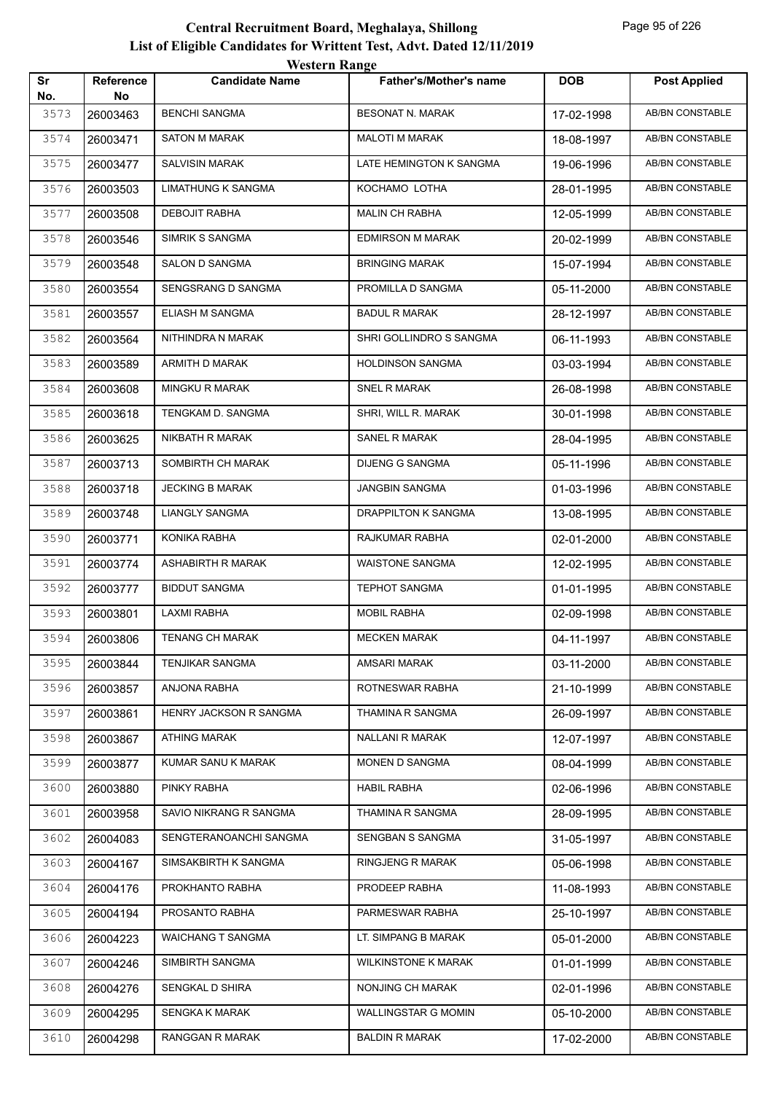| Sr<br>No. | <b>Reference</b><br>No | <b>Candidate Name</b>     | <b>Father's/Mother's name</b> | <b>DOB</b> | <b>Post Applied</b>    |
|-----------|------------------------|---------------------------|-------------------------------|------------|------------------------|
| 3573      | 26003463               | <b>BENCHI SANGMA</b>      | <b>BESONAT N. MARAK</b>       | 17-02-1998 | AB/BN CONSTABLE        |
| 3574      | 26003471               | <b>SATON M MARAK</b>      | <b>MALOTI M MARAK</b>         | 18-08-1997 | AB/BN CONSTABLE        |
| 3575      | 26003477               | <b>SALVISIN MARAK</b>     | LATE HEMINGTON K SANGMA       | 19-06-1996 | AB/BN CONSTABLE        |
| 3576      | 26003503               | <b>LIMATHUNG K SANGMA</b> | KOCHAMO LOTHA                 | 28-01-1995 | AB/BN CONSTABLE        |
| 3577      | 26003508               | <b>DEBOJIT RABHA</b>      | <b>MALIN CH RABHA</b>         | 12-05-1999 | AB/BN CONSTABLE        |
| 3578      | 26003546               | SIMRIK S SANGMA           | <b>EDMIRSON M MARAK</b>       | 20-02-1999 | AB/BN CONSTABLE        |
| 3579      | 26003548               | SALON D SANGMA            | <b>BRINGING MARAK</b>         | 15-07-1994 | AB/BN CONSTABLE        |
| 3580      | 26003554               | SENGSRANG D SANGMA        | PROMILLA D SANGMA             | 05-11-2000 | AB/BN CONSTABLE        |
| 3581      | 26003557               | ELIASH M SANGMA           | <b>BADUL R MARAK</b>          | 28-12-1997 | AB/BN CONSTABLE        |
| 3582      | 26003564               | NITHINDRA N MARAK         | SHRI GOLLINDRO S SANGMA       | 06-11-1993 | <b>AB/BN CONSTABLE</b> |
| 3583      | 26003589               | ARMITH D MARAK            | <b>HOLDINSON SANGMA</b>       | 03-03-1994 | AB/BN CONSTABLE        |
| 3584      | 26003608               | MINGKU R MARAK            | <b>SNEL R MARAK</b>           | 26-08-1998 | <b>AB/BN CONSTABLE</b> |
| 3585      | 26003618               | TENGKAM D. SANGMA         | SHRI, WILL R. MARAK           | 30-01-1998 | AB/BN CONSTABLE        |
| 3586      | 26003625               | NIKBATH R MARAK           | SANEL R MARAK                 | 28-04-1995 | AB/BN CONSTABLE        |
| 3587      | 26003713               | SOMBIRTH CH MARAK         | <b>DIJENG G SANGMA</b>        | 05-11-1996 | AB/BN CONSTABLE        |
| 3588      | 26003718               | <b>JECKING B MARAK</b>    | JANGBIN SANGMA                | 01-03-1996 | AB/BN CONSTABLE        |
| 3589      | 26003748               | <b>LIANGLY SANGMA</b>     | DRAPPILTON K SANGMA           | 13-08-1995 | AB/BN CONSTABLE        |
| 3590      | 26003771               | KONIKA RABHA              | RAJKUMAR RABHA                | 02-01-2000 | AB/BN CONSTABLE        |
| 3591      | 26003774               | ASHABIRTH R MARAK         | <b>WAISTONE SANGMA</b>        | 12-02-1995 | AB/BN CONSTABLE        |
| 3592      | 26003777               | <b>BIDDUT SANGMA</b>      | <b>TEPHOT SANGMA</b>          | 01-01-1995 | AB/BN CONSTABLE        |
| 3593      | 26003801               | <b>LAXMI RABHA</b>        | MOBIL RABHA                   | 02-09-1998 | AB/BN CONSTABLE        |
| 3594      | 26003806               | <b>TENANG CH MARAK</b>    | <b>MECKEN MARAK</b>           | 04-11-1997 | <b>AB/BN CONSTABLE</b> |
| 3595      | 26003844               | <b>TENJIKAR SANGMA</b>    | AMSARI MARAK                  | 03-11-2000 | AB/BN CONSTABLE        |
| 3596      | 26003857               | ANJONA RABHA              | ROTNESWAR RABHA               | 21-10-1999 | AB/BN CONSTABLE        |
| 3597      | 26003861               | HENRY JACKSON R SANGMA    | THAMINA R SANGMA              | 26-09-1997 | AB/BN CONSTABLE        |
| 3598      | 26003867               | <b>ATHING MARAK</b>       | <b>NALLANI R MARAK</b>        | 12-07-1997 | AB/BN CONSTABLE        |
| 3599      | 26003877               | KUMAR SANU K MARAK        | MONEN D SANGMA                | 08-04-1999 | AB/BN CONSTABLE        |
| 3600      | 26003880               | PINKY RABHA               | <b>HABIL RABHA</b>            | 02-06-1996 | AB/BN CONSTABLE        |
| 3601      | 26003958               | SAVIO NIKRANG R SANGMA    | THAMINA R SANGMA              | 28-09-1995 | AB/BN CONSTABLE        |
| 3602      | 26004083               | SENGTERANOANCHI SANGMA    | SENGBAN S SANGMA              | 31-05-1997 | AB/BN CONSTABLE        |
| 3603      | 26004167               | SIMSAKBIRTH K SANGMA      | <b>RINGJENG R MARAK</b>       | 05-06-1998 | AB/BN CONSTABLE        |
| 3604      | 26004176               | PROKHANTO RABHA           | PRODEEP RABHA                 | 11-08-1993 | AB/BN CONSTABLE        |
| 3605      | 26004194               | PROSANTO RABHA            | PARMESWAR RABHA               | 25-10-1997 | AB/BN CONSTABLE        |
| 3606      | 26004223               | <b>WAICHANG T SANGMA</b>  | LT. SIMPANG B MARAK           | 05-01-2000 | AB/BN CONSTABLE        |
| 3607      | 26004246               | SIMBIRTH SANGMA           | <b>WILKINSTONE K MARAK</b>    | 01-01-1999 | AB/BN CONSTABLE        |
| 3608      | 26004276               | SENGKAL D SHIRA           | NONJING CH MARAK              | 02-01-1996 | AB/BN CONSTABLE        |
| 3609      | 26004295               | <b>SENGKA K MARAK</b>     | WALLINGSTAR G MOMIN           | 05-10-2000 | AB/BN CONSTABLE        |
| 3610      | 26004298               | RANGGAN R MARAK           | <b>BALDIN R MARAK</b>         | 17-02-2000 | AB/BN CONSTABLE        |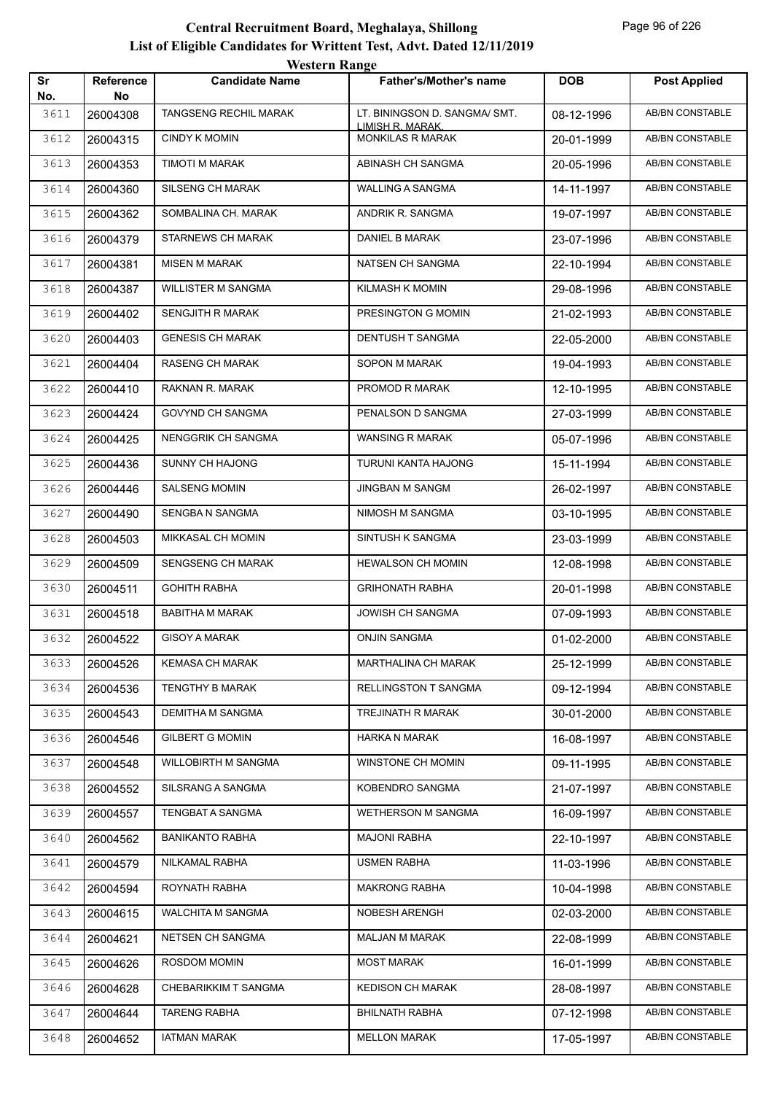|           |                        | <b>Western Range</b>      |                                                   |            |                        |
|-----------|------------------------|---------------------------|---------------------------------------------------|------------|------------------------|
| Sr<br>No. | <b>Reference</b><br>No | <b>Candidate Name</b>     | <b>Father's/Mother's name</b>                     | <b>DOB</b> | <b>Post Applied</b>    |
| 3611      | 26004308               | TANGSENG RECHIL MARAK     | LT. BININGSON D. SANGMA/ SMT.<br>LIMISH R. MARAK. | 08-12-1996 | <b>AB/BN CONSTABLE</b> |
| 3612      | 26004315               | <b>CINDY K MOMIN</b>      | <b>MONKILAS R MARAK</b>                           | 20-01-1999 | AB/BN CONSTABLE        |
| 3613      | 26004353               | TIMOTI M MARAK            | ABINASH CH SANGMA                                 | 20-05-1996 | AB/BN CONSTABLE        |
| 3614      | 26004360               | SILSENG CH MARAK          | WALLING A SANGMA                                  | 14-11-1997 | <b>AB/BN CONSTABLE</b> |
| 3615      | 26004362               | SOMBALINA CH. MARAK       | ANDRIK R. SANGMA                                  | 19-07-1997 | AB/BN CONSTABLE        |
| 3616      | 26004379               | <b>STARNEWS CH MARAK</b>  | <b>DANIEL B MARAK</b>                             | 23-07-1996 | AB/BN CONSTABLE        |
| 3617      | 26004381               | <b>MISEN M MARAK</b>      | NATSEN CH SANGMA                                  | 22-10-1994 | AB/BN CONSTABLE        |
| 3618      | 26004387               | <b>WILLISTER M SANGMA</b> | <b>KILMASH K MOMIN</b>                            | 29-08-1996 | <b>AB/BN CONSTABLE</b> |
| 3619      | 26004402               | <b>SENGJITH R MARAK</b>   | PRESINGTON G MOMIN                                | 21-02-1993 | <b>AB/BN CONSTABLE</b> |
| 3620      | 26004403               | <b>GENESIS CH MARAK</b>   | DENTUSH T SANGMA                                  | 22-05-2000 | <b>AB/BN CONSTABLE</b> |
| 3621      | 26004404               | <b>RASENG CH MARAK</b>    | <b>SOPON M MARAK</b>                              | 19-04-1993 | <b>AB/BN CONSTABLE</b> |
| 3622      | 26004410               | RAKNAN R. MARAK           | PROMOD R MARAK                                    | 12-10-1995 | <b>AB/BN CONSTABLE</b> |
| 3623      | 26004424               | GOVYND CH SANGMA          | PENALSON D SANGMA                                 | 27-03-1999 | <b>AB/BN CONSTABLE</b> |
| 3624      | 26004425               | <b>NENGGRIK CH SANGMA</b> | <b>WANSING R MARAK</b>                            | 05-07-1996 | <b>AB/BN CONSTABLE</b> |
| 3625      | 26004436               | SUNNY CH HAJONG           | TURUNI KANTA HAJONG                               | 15-11-1994 | AB/BN CONSTABLE        |
| 3626      | 26004446               | <b>SALSENG MOMIN</b>      | <b>JINGBAN M SANGM</b>                            | 26-02-1997 | <b>AB/BN CONSTABLE</b> |
| 3627      | 26004490               | SENGBA N SANGMA           | NIMOSH M SANGMA                                   | 03-10-1995 | AB/BN CONSTABLE        |
| 3628      | 26004503               | MIKKASAL CH MOMIN         | SINTUSH K SANGMA                                  | 23-03-1999 | <b>AB/BN CONSTABLE</b> |
| 3629      | 26004509               | SENGSENG CH MARAK         | <b>HEWALSON CH MOMIN</b>                          | 12-08-1998 | <b>AB/BN CONSTABLE</b> |
| 3630      | 26004511               | <b>GOHITH RABHA</b>       | <b>GRIHONATH RABHA</b>                            | 20-01-1998 | AB/BN CONSTABLE        |
| 3631      | 26004518               | <b>BABITHA M MARAK</b>    | <b>JOWISH CH SANGMA</b>                           | 07-09-1993 | AB/BN CONSTABLE        |
| 3632      | 26004522               | <b>GISOY A MARAK</b>      | <b>ONJIN SANGMA</b>                               | 01-02-2000 | <b>AB/BN CONSTABLE</b> |
| 3633      | 26004526               | KEMASA CH MARAK           | <b>MARTHALINA CH MARAK</b>                        | 25-12-1999 | AB/BN CONSTABLE        |
| 3634      | 26004536               | TENGTHY B MARAK           | RELLINGSTON T SANGMA                              | 09-12-1994 | AB/BN CONSTABLE        |
| 3635      | 26004543               | DEMITHA M SANGMA          | TREJINATH R MARAK                                 | 30-01-2000 | AB/BN CONSTABLE        |
| 3636      | 26004546               | <b>GILBERT G MOMIN</b>    | HARKA N MARAK                                     | 16-08-1997 | AB/BN CONSTABLE        |
| 3637      | 26004548               | WILLOBIRTH M SANGMA       | WINSTONE CH MOMIN                                 | 09-11-1995 | AB/BN CONSTABLE        |
| 3638      | 26004552               | SILSRANG A SANGMA         | KOBENDRO SANGMA                                   | 21-07-1997 | AB/BN CONSTABLE        |
| 3639      | 26004557               | <b>TENGBAT A SANGMA</b>   | WETHERSON M SANGMA                                | 16-09-1997 | AB/BN CONSTABLE        |
| 3640      | 26004562               | <b>BANIKANTO RABHA</b>    | <b>MAJONI RABHA</b>                               | 22-10-1997 | AB/BN CONSTABLE        |
| 3641      | 26004579               | NILKAMAL RABHA            | USMEN RABHA                                       | 11-03-1996 | AB/BN CONSTABLE        |
| 3642      | 26004594               | ROYNATH RABHA             | <b>MAKRONG RABHA</b>                              | 10-04-1998 | AB/BN CONSTABLE        |
| 3643      | 26004615               | WALCHITA M SANGMA         | NOBESH ARENGH                                     | 02-03-2000 | AB/BN CONSTABLE        |
| 3644      | 26004621               | NETSEN CH SANGMA          | <b>MALJAN M MARAK</b>                             | 22-08-1999 | AB/BN CONSTABLE        |
| 3645      | 26004626               | ROSDOM MOMIN              | <b>MOST MARAK</b>                                 | 16-01-1999 | AB/BN CONSTABLE        |
| 3646      | 26004628               | CHEBARIKKIM T SANGMA      | <b>KEDISON CH MARAK</b>                           | 28-08-1997 | AB/BN CONSTABLE        |
| 3647      | 26004644               | <b>TARENG RABHA</b>       | <b>BHILNATH RABHA</b>                             | 07-12-1998 | AB/BN CONSTABLE        |
| 3648      | 26004652               | <b>IATMAN MARAK</b>       | <b>MELLON MARAK</b>                               | 17-05-1997 | AB/BN CONSTABLE        |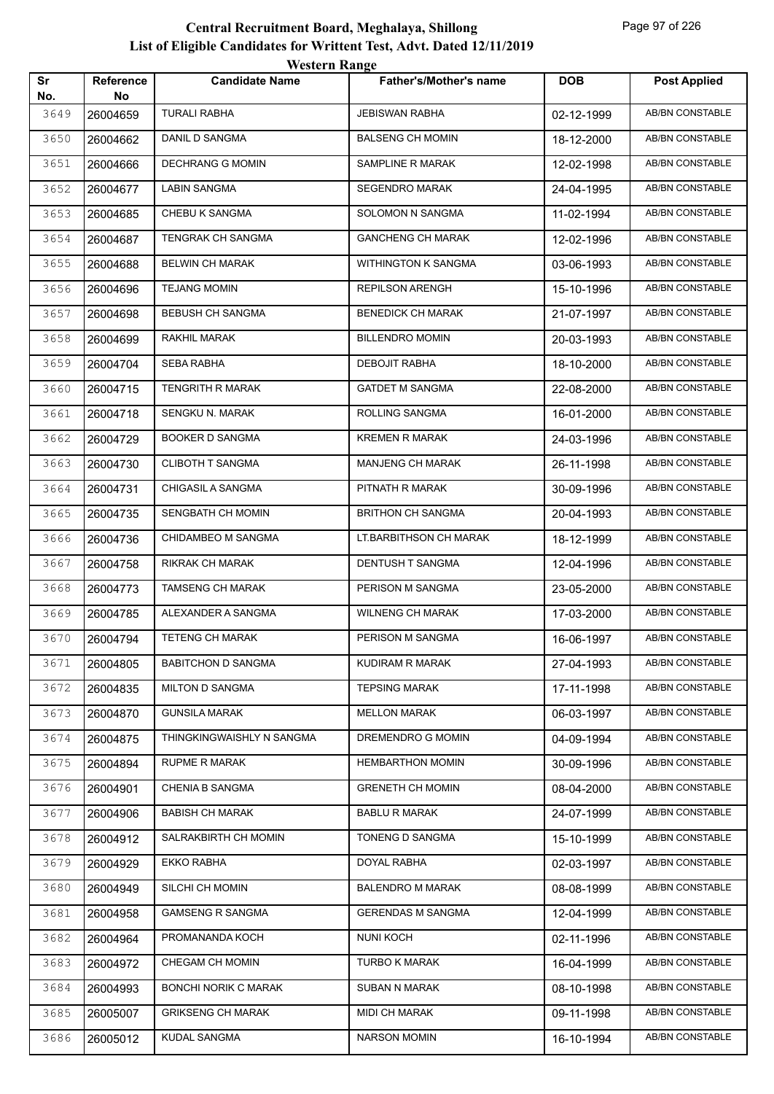|           |                  | <i><b>WESTELL INAILLY</b></i> |                               |            |                        |
|-----------|------------------|-------------------------------|-------------------------------|------------|------------------------|
| Sr<br>No. | Reference<br>No. | <b>Candidate Name</b>         | <b>Father's/Mother's name</b> | <b>DOB</b> | <b>Post Applied</b>    |
| 3649      | 26004659         | <b>TURALI RABHA</b>           | <b>JEBISWAN RABHA</b>         | 02-12-1999 | <b>AB/BN CONSTABLE</b> |
| 3650      | 26004662         | <b>DANIL D SANGMA</b>         | <b>BALSENG CH MOMIN</b>       | 18-12-2000 | AB/BN CONSTABLE        |
| 3651      | 26004666         | <b>DECHRANG G MOMIN</b>       | SAMPLINE R MARAK              | 12-02-1998 | <b>AB/BN CONSTABLE</b> |
| 3652      | 26004677         | LABIN SANGMA                  | <b>SEGENDRO MARAK</b>         | 24-04-1995 | AB/BN CONSTABLE        |
| 3653      | 26004685         | <b>CHEBU K SANGMA</b>         | SOLOMON N SANGMA              | 11-02-1994 | <b>AB/BN CONSTABLE</b> |
| 3654      | 26004687         | TENGRAK CH SANGMA             | <b>GANCHENG CH MARAK</b>      | 12-02-1996 | <b>AB/BN CONSTABLE</b> |
| 3655      | 26004688         | <b>BELWIN CH MARAK</b>        | <b>WITHINGTON K SANGMA</b>    | 03-06-1993 | AB/BN CONSTABLE        |
| 3656      | 26004696         | <b>TEJANG MOMIN</b>           | <b>REPILSON ARENGH</b>        | 15-10-1996 | <b>AB/BN CONSTABLE</b> |
| 3657      | 26004698         | <b>BEBUSH CH SANGMA</b>       | <b>BENEDICK CH MARAK</b>      | 21-07-1997 | AB/BN CONSTABLE        |
| 3658      | 26004699         | RAKHIL MARAK                  | <b>BILLENDRO MOMIN</b>        | 20-03-1993 | <b>AB/BN CONSTABLE</b> |
| 3659      | 26004704         | SEBA RABHA                    | DEBOJIT RABHA                 | 18-10-2000 | <b>AB/BN CONSTABLE</b> |
| 3660      | 26004715         | TENGRITH R MARAK              | <b>GATDET M SANGMA</b>        | 22-08-2000 | AB/BN CONSTABLE        |
| 3661      | 26004718         | SENGKU N. MARAK               | ROLLING SANGMA                | 16-01-2000 | <b>AB/BN CONSTABLE</b> |
| 3662      | 26004729         | BOOKER D SANGMA               | <b>KREMEN R MARAK</b>         | 24-03-1996 | AB/BN CONSTABLE        |
| 3663      | 26004730         | <b>CLIBOTH T SANGMA</b>       | <b>MANJENG CH MARAK</b>       | 26-11-1998 | <b>AB/BN CONSTABLE</b> |
| 3664      | 26004731         | CHIGASIL A SANGMA             | PITNATH R MARAK               | 30-09-1996 | <b>AB/BN CONSTABLE</b> |
| 3665      | 26004735         | SENGBATH CH MOMIN             | <b>BRITHON CH SANGMA</b>      | 20-04-1993 | <b>AB/BN CONSTABLE</b> |
| 3666      | 26004736         | CHIDAMBEO M SANGMA            | LT.BARBITHSON CH MARAK        | 18-12-1999 | <b>AB/BN CONSTABLE</b> |
| 3667      | 26004758         | RIKRAK CH MARAK               | DENTUSH T SANGMA              | 12-04-1996 | AB/BN CONSTABLE        |
| 3668      | 26004773         | TAMSENG CH MARAK              | PERISON M SANGMA              | 23-05-2000 | <b>AB/BN CONSTABLE</b> |
| 3669      | 26004785         | ALEXANDER A SANGMA            | <b>WILNENG CH MARAK</b>       | 17-03-2000 | <b>AB/BN CONSTABLE</b> |
| 3670      | 26004794         | TETENG CH MARAK               | PERISON M SANGMA              | 16-06-1997 | AB/BN CONSTABLE        |
| 3671      | 26004805         | <b>BABITCHON D SANGMA</b>     | KUDIRAM R MARAK               | 27-04-1993 | AB/BN CONSTABLE        |
| 3672      | 26004835         | <b>MILTON D SANGMA</b>        | <b>TEPSING MARAK</b>          | 17-11-1998 | AB/BN CONSTABLE        |
| 3673      | 26004870         | <b>GUNSILA MARAK</b>          | <b>MELLON MARAK</b>           | 06-03-1997 | AB/BN CONSTABLE        |
| 3674      | 26004875         | THINGKINGWAISHLY N SANGMA     | DREMENDRO G MOMIN             | 04-09-1994 | AB/BN CONSTABLE        |
| 3675      | 26004894         | RUPME R MARAK                 | <b>HEMBARTHON MOMIN</b>       | 30-09-1996 | AB/BN CONSTABLE        |
| 3676      | 26004901         | <b>CHENIA B SANGMA</b>        | <b>GRENETH CH MOMIN</b>       | 08-04-2000 | AB/BN CONSTABLE        |
| 3677      | 26004906         | <b>BABISH CH MARAK</b>        | <b>BABLU R MARAK</b>          | 24-07-1999 | AB/BN CONSTABLE        |
| 3678      | 26004912         | SALRAKBIRTH CH MOMIN          | TONENG D SANGMA               | 15-10-1999 | AB/BN CONSTABLE        |
| 3679      | 26004929         | EKKO RABHA                    | DOYAL RABHA                   | 02-03-1997 | AB/BN CONSTABLE        |
| 3680      | 26004949         | SILCHI CH MOMIN               | <b>BALENDRO M MARAK</b>       | 08-08-1999 | AB/BN CONSTABLE        |
| 3681      | 26004958         | <b>GAMSENG R SANGMA</b>       | <b>GERENDAS M SANGMA</b>      | 12-04-1999 | AB/BN CONSTABLE        |
| 3682      | 26004964         | PROMANANDA KOCH               | <b>NUNI KOCH</b>              | 02-11-1996 | AB/BN CONSTABLE        |
| 3683      | 26004972         | CHEGAM CH MOMIN               | TURBO K MARAK                 | 16-04-1999 | AB/BN CONSTABLE        |
| 3684      | 26004993         | <b>BONCHI NORIK C MARAK</b>   | <b>SUBAN N MARAK</b>          | 08-10-1998 | AB/BN CONSTABLE        |
| 3685      | 26005007         | <b>GRIKSENG CH MARAK</b>      | MIDI CH MARAK                 | 09-11-1998 | AB/BN CONSTABLE        |
| 3686      | 26005012         | <b>KUDAL SANGMA</b>           | <b>NARSON MOMIN</b>           | 16-10-1994 | AB/BN CONSTABLE        |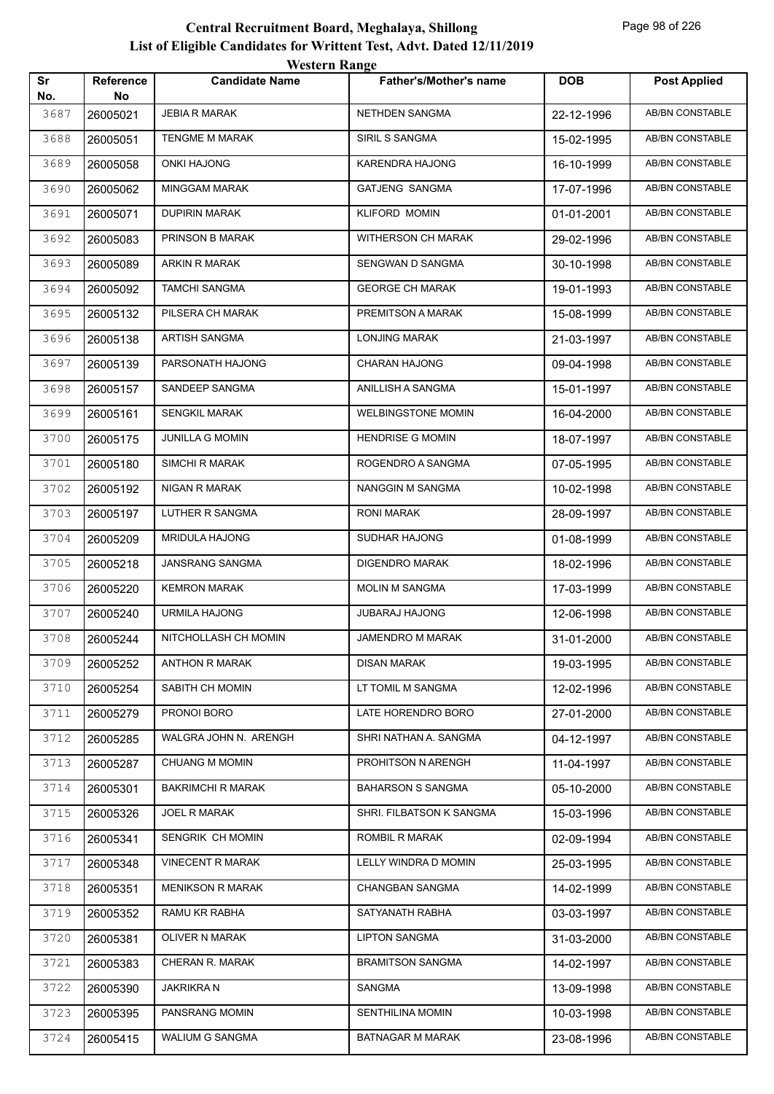| Sr<br>No. | Reference<br>No | <b>Candidate Name</b>    | <b>Father's/Mother's name</b> | <b>DOB</b>               | <b>Post Applied</b>    |
|-----------|-----------------|--------------------------|-------------------------------|--------------------------|------------------------|
| 3687      | 26005021        | <b>JEBIA R MARAK</b>     | NETHDEN SANGMA                | 22-12-1996               | AB/BN CONSTABLE        |
| 3688      | 26005051        | TENGME M MARAK           | SIRIL S SANGMA                | 15-02-1995               | AB/BN CONSTABLE        |
| 3689      | 26005058        | <b>ONKI HAJONG</b>       | KARENDRA HAJONG               | 16-10-1999               | <b>AB/BN CONSTABLE</b> |
| 3690      | 26005062        | <b>MINGGAM MARAK</b>     | <b>GATJENG SANGMA</b>         | 17-07-1996               | AB/BN CONSTABLE        |
| 3691      | 26005071        | <b>DUPIRIN MARAK</b>     | <b>KLIFORD MOMIN</b>          | 01-01-2001               | AB/BN CONSTABLE        |
| 3692      | 26005083        | PRINSON B MARAK          | WITHERSON CH MARAK            | 29-02-1996               | AB/BN CONSTABLE        |
| 3693      | 26005089        | <b>ARKIN R MARAK</b>     | SENGWAN D SANGMA              | 30-10-1998               | AB/BN CONSTABLE        |
| 3694      | 26005092        | TAMCHI SANGMA            | <b>GEORGE CH MARAK</b>        | 19-01-1993               | AB/BN CONSTABLE        |
| 3695      | 26005132        | PILSERA CH MARAK         | PREMITSON A MARAK             | 15-08-1999               | AB/BN CONSTABLE        |
| 3696      | 26005138        | <b>ARTISH SANGMA</b>     | <b>LONJING MARAK</b>          | 21-03-1997               | <b>AB/BN CONSTABLE</b> |
| 3697      | 26005139        | PARSONATH HAJONG         | <b>CHARAN HAJONG</b>          | 09-04-1998               | AB/BN CONSTABLE        |
| 3698      | 26005157        | SANDEEP SANGMA           | ANILLISH A SANGMA             | 15-01-1997               | AB/BN CONSTABLE        |
| 3699      | 26005161        | <b>SENGKIL MARAK</b>     | <b>WELBINGSTONE MOMIN</b>     | 16-04-2000               | AB/BN CONSTABLE        |
| 3700      | 26005175        | JUNILLA G MOMIN          | <b>HENDRISE G MOMIN</b>       | 18-07-1997               | AB/BN CONSTABLE        |
| 3701      | 26005180        | SIMCHI R MARAK           | ROGENDRO A SANGMA             | 07-05-1995               | AB/BN CONSTABLE        |
| 3702      | 26005192        | NIGAN R MARAK            | NANGGIN M SANGMA              | 10-02-1998               | <b>AB/BN CONSTABLE</b> |
| 3703      | 26005197        | LUTHER R SANGMA          | <b>RONI MARAK</b>             | 28-09-1997               | AB/BN CONSTABLE        |
| 3704      | 26005209        | <b>MRIDULA HAJONG</b>    | SUDHAR HAJONG                 | 01-08-1999               | AB/BN CONSTABLE        |
| 3705      | 26005218        | JANSRANG SANGMA          | <b>DIGENDRO MARAK</b>         | 18-02-1996               | AB/BN CONSTABLE        |
| 3706      | 26005220        | <b>KEMRON MARAK</b>      | MOLIN M SANGMA                | 17-03-1999               | AB/BN CONSTABLE        |
| 3707      | 26005240        | URMILA HAJONG            | <b>JUBARAJ HAJONG</b>         | 12-06-1998               | AB/BN CONSTABLE        |
| 3708      | 26005244        | NITCHOLLASH CH MOMIN     | <b>JAMENDRO M MARAK</b>       | 31-01-2000               | AB/BN CONSTABLE        |
| 3709      | 26005252        | <b>ANTHON R MARAK</b>    | <b>DISAN MARAK</b>            | 19-03-1995               | AB/BN CONSTABLE        |
| 3710      | 26005254        | SABITH CH MOMIN          | LT TOMIL M SANGMA             | 12-02-1996               | AB/BN CONSTABLE        |
| 3711      | 26005279        | PRONOI BORO              | LATE HORENDRO BORO            | 27-01-2000               | AB/BN CONSTABLE        |
| 3712      | 26005285        | WALGRA JOHN N. ARENGH    | SHRI NATHAN A. SANGMA         | 04-12-1997               | AB/BN CONSTABLE        |
| 3713      | 26005287        | <b>CHUANG M MOMIN</b>    | PROHITSON N ARENGH            | 11-04-1997               | AB/BN CONSTABLE        |
| 3714      | 26005301        | <b>BAKRIMCHI R MARAK</b> | <b>BAHARSON S SANGMA</b>      | 05-10-2000               | AB/BN CONSTABLE        |
| 3715      | 26005326        | JOEL R MARAK             | SHRI. FILBATSON K SANGMA      | 15-03-1996               | AB/BN CONSTABLE        |
| 3716      | 26005341        | SENGRIK CH MOMIN         | ROMBIL R MARAK                | 02-09-1994               | AB/BN CONSTABLE        |
| 3717      | 26005348        | <b>VINECENT R MARAK</b>  | LELLY WINDRA D MOMIN          | 25-03-1995               | AB/BN CONSTABLE        |
| 3718      | 26005351        | <b>MENIKSON R MARAK</b>  | <b>CHANGBAN SANGMA</b>        | 14-02-1999               | AB/BN CONSTABLE        |
| 3719      | 26005352        | RAMU KR RABHA            | SATYANATH RABHA               | 03-03-1997               | AB/BN CONSTABLE        |
| 3720      | 26005381        | OLIVER N MARAK           | <b>LIPTON SANGMA</b>          | 31-03-2000               | AB/BN CONSTABLE        |
| 3721      |                 | CHERAN R. MARAK          | <b>BRAMITSON SANGMA</b>       |                          | AB/BN CONSTABLE        |
| 3722      | 26005383        | <b>JAKRIKRAN</b>         | SANGMA                        | 14-02-1997               | AB/BN CONSTABLE        |
| 3723      | 26005390        | PANSRANG MOMIN           | SENTHILINA MOMIN              | 13-09-1998<br>10-03-1998 | AB/BN CONSTABLE        |
| 3724      | 26005395        | WALIUM G SANGMA          | <b>BATNAGAR M MARAK</b>       |                          | AB/BN CONSTABLE        |
|           | 26005415        |                          |                               | 23-08-1996               |                        |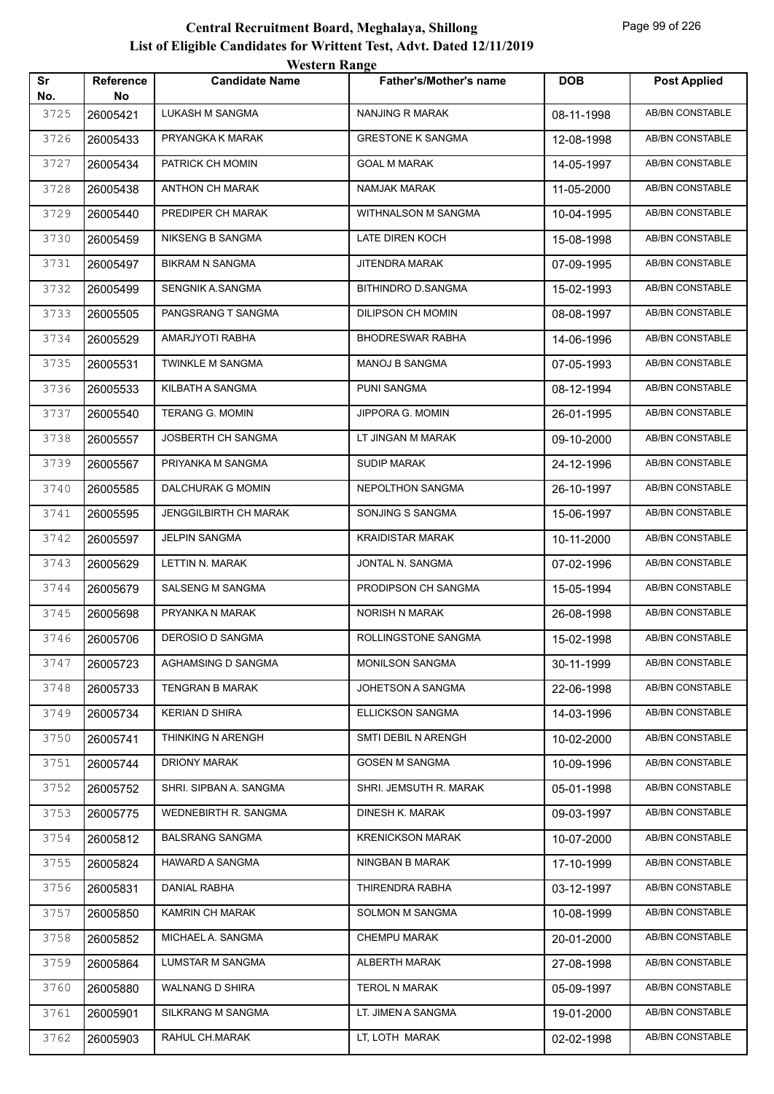| Sr          | Reference      | $\mathbf{v}$ color in Trange<br><b>Candidate Name</b> | <b>Father's/Mother's name</b> | <b>DOB</b> | <b>Post Applied</b>    |
|-------------|----------------|-------------------------------------------------------|-------------------------------|------------|------------------------|
| No.<br>3725 | No<br>26005421 | LUKASH M SANGMA                                       | NANJING R MARAK               | 08-11-1998 | <b>AB/BN CONSTABLE</b> |
| 3726        | 26005433       | PRYANGKA K MARAK                                      | <b>GRESTONE K SANGMA</b>      | 12-08-1998 | AB/BN CONSTABLE        |
| 3727        | 26005434       | PATRICK CH MOMIN                                      | <b>GOAL M MARAK</b>           | 14-05-1997 | AB/BN CONSTABLE        |
| 3728        | 26005438       | ANTHON CH MARAK                                       | NAMJAK MARAK                  | 11-05-2000 | AB/BN CONSTABLE        |
| 3729        | 26005440       | PREDIPER CH MARAK                                     | WITHNALSON M SANGMA           | 10-04-1995 | AB/BN CONSTABLE        |
| 3730        | 26005459       | NIKSENG B SANGMA                                      | LATE DIREN KOCH               | 15-08-1998 | <b>AB/BN CONSTABLE</b> |
| 3731        | 26005497       | <b>BIKRAM N SANGMA</b>                                | JITENDRA MARAK                | 07-09-1995 | AB/BN CONSTABLE        |
| 3732        | 26005499       | SENGNIK A.SANGMA                                      | BITHINDRO D.SANGMA            | 15-02-1993 | <b>AB/BN CONSTABLE</b> |
| 3733        | 26005505       | PANGSRANG T SANGMA                                    | DILIPSON CH MOMIN             | 08-08-1997 | AB/BN CONSTABLE        |
| 3734        | 26005529       | AMARJYOTI RABHA                                       | <b>BHODRESWAR RABHA</b>       | 14-06-1996 | AB/BN CONSTABLE        |
| 3735        | 26005531       | <b>TWINKLE M SANGMA</b>                               | MANOJ B SANGMA                | 07-05-1993 | <b>AB/BN CONSTABLE</b> |
| 3736        | 26005533       | KILBATH A SANGMA                                      | PUNI SANGMA                   | 08-12-1994 | AB/BN CONSTABLE        |
| 3737        | 26005540       | <b>TERANG G. MOMIN</b>                                | JIPPORA G. MOMIN              | 26-01-1995 | AB/BN CONSTABLE        |
| 3738        | 26005557       | JOSBERTH CH SANGMA                                    | LT JINGAN M MARAK             | 09-10-2000 | AB/BN CONSTABLE        |
| 3739        | 26005567       | PRIYANKA M SANGMA                                     | <b>SUDIP MARAK</b>            | 24-12-1996 | AB/BN CONSTABLE        |
| 3740        | 26005585       | DALCHURAK G MOMIN                                     | NEPOLTHON SANGMA              | 26-10-1997 | AB/BN CONSTABLE        |
| 3741        | 26005595       | JENGGILBIRTH CH MARAK                                 | SONJING S SANGMA              | 15-06-1997 | AB/BN CONSTABLE        |
| 3742        | 26005597       | <b>JELPIN SANGMA</b>                                  | <b>KRAIDISTAR MARAK</b>       | 10-11-2000 | AB/BN CONSTABLE        |
| 3743        | 26005629       | LETTIN N. MARAK                                       | JONTAL N. SANGMA              | 07-02-1996 | AB/BN CONSTABLE        |
| 3744        | 26005679       | SALSENG M SANGMA                                      | PRODIPSON CH SANGMA           | 15-05-1994 | AB/BN CONSTABLE        |
| 3745        | 26005698       | PRYANKA N MARAK                                       | NORISH N MARAK                | 26-08-1998 | AB/BN CONSTABLE        |
| 3746        | 26005706       | DEROSIO D SANGMA                                      | ROLLINGSTONE SANGMA           | 15-02-1998 | AB/BN CONSTABLE        |
| 3747        | 26005723       | AGHAMSING D SANGMA                                    | MONILSON SANGMA               | 30-11-1999 | AB/BN CONSTABLE        |
| 3748        | 26005733       | <b>TENGRAN B MARAK</b>                                | JOHETSON A SANGMA             | 22-06-1998 | AB/BN CONSTABLE        |
| 3749        | 26005734       | <b>KERIAN D SHIRA</b>                                 | ELLICKSON SANGMA              | 14-03-1996 | AB/BN CONSTABLE        |
| 3750        | 26005741       | THINKING N ARENGH                                     | SMTI DEBIL N ARENGH           | 10-02-2000 | AB/BN CONSTABLE        |
| 3751        | 26005744       | DRIONY MARAK                                          | <b>GOSEN M SANGMA</b>         | 10-09-1996 | AB/BN CONSTABLE        |
| 3752        | 26005752       | SHRI. SIPBAN A. SANGMA                                | SHRI. JEMSUTH R. MARAK        | 05-01-1998 | AB/BN CONSTABLE        |
| 3753        | 26005775       | WEDNEBIRTH R. SANGMA                                  | DINESH K. MARAK               | 09-03-1997 | AB/BN CONSTABLE        |
| 3754        | 26005812       | BALSRANG SANGMA                                       | <b>KRENICKSON MARAK</b>       | 10-07-2000 | AB/BN CONSTABLE        |
| 3755        | 26005824       | HAWARD A SANGMA                                       | NINGBAN B MARAK               | 17-10-1999 | AB/BN CONSTABLE        |
| 3756        | 26005831       | DANIAL RABHA                                          | THIRENDRA RABHA               | 03-12-1997 | AB/BN CONSTABLE        |
| 3757        | 26005850       | KAMRIN CH MARAK                                       | SOLMON M SANGMA               | 10-08-1999 | AB/BN CONSTABLE        |
| 3758        | 26005852       | MICHAEL A. SANGMA                                     | CHEMPU MARAK                  | 20-01-2000 | AB/BN CONSTABLE        |
| 3759        | 26005864       | LUMSTAR M SANGMA                                      | ALBERTH MARAK                 | 27-08-1998 | AB/BN CONSTABLE        |
| 3760        | 26005880       | WALNANG D SHIRA                                       | <b>TEROL N MARAK</b>          | 05-09-1997 | AB/BN CONSTABLE        |
| 3761        | 26005901       | SILKRANG M SANGMA                                     | LT. JIMEN A SANGMA            | 19-01-2000 | AB/BN CONSTABLE        |
| 3762        | 26005903       | RAHUL CH.MARAK                                        | LT, LOTH MARAK                | 02-02-1998 | AB/BN CONSTABLE        |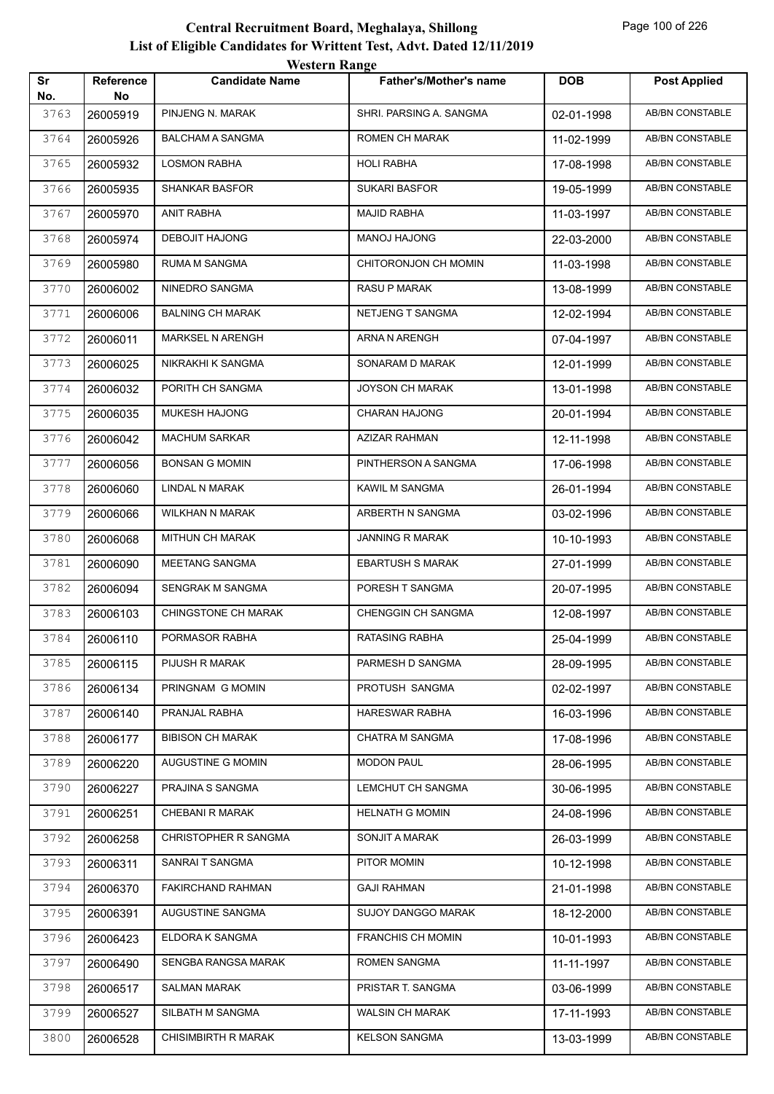|           |                        | <i>western</i> Kange       |                               |            |                        |
|-----------|------------------------|----------------------------|-------------------------------|------------|------------------------|
| Sr<br>No. | <b>Reference</b><br>No | <b>Candidate Name</b>      | <b>Father's/Mother's name</b> | <b>DOB</b> | <b>Post Applied</b>    |
| 3763      | 26005919               | PINJENG N. MARAK           | SHRI. PARSING A. SANGMA       | 02-01-1998 | <b>AB/BN CONSTABLE</b> |
| 3764      | 26005926               | <b>BALCHAM A SANGMA</b>    | <b>ROMEN CH MARAK</b>         | 11-02-1999 | AB/BN CONSTABLE        |
| 3765      | 26005932               | <b>LOSMON RABHA</b>        | <b>HOLI RABHA</b>             | 17-08-1998 | <b>AB/BN CONSTABLE</b> |
| 3766      | 26005935               | <b>SHANKAR BASFOR</b>      | <b>SUKARI BASFOR</b>          | 19-05-1999 | AB/BN CONSTABLE        |
| 3767      | 26005970               | <b>ANIT RABHA</b>          | <b>MAJID RABHA</b>            | 11-03-1997 | AB/BN CONSTABLE        |
| 3768      | 26005974               | DEBOJIT HAJONG             | MANOJ HAJONG                  | 22-03-2000 | <b>AB/BN CONSTABLE</b> |
| 3769      | 26005980               | RUMA M SANGMA              | CHITORONJON CH MOMIN          | 11-03-1998 | AB/BN CONSTABLE        |
| 3770      | 26006002               | NINEDRO SANGMA             | <b>RASU P MARAK</b>           | 13-08-1999 | AB/BN CONSTABLE        |
| 3771      | 26006006               | <b>BALNING CH MARAK</b>    | NETJENG T SANGMA              | 12-02-1994 | AB/BN CONSTABLE        |
| 3772      | 26006011               | <b>MARKSEL N ARENGH</b>    | ARNA N ARENGH                 | 07-04-1997 | AB/BN CONSTABLE        |
| 3773      | 26006025               | NIKRAKHI K SANGMA          | SONARAM D MARAK               | 12-01-1999 | <b>AB/BN CONSTABLE</b> |
| 3774      | 26006032               | PORITH CH SANGMA           | JOYSON CH MARAK               | 13-01-1998 | AB/BN CONSTABLE        |
| 3775      | 26006035               | <b>MUKESH HAJONG</b>       | <b>CHARAN HAJONG</b>          | 20-01-1994 | AB/BN CONSTABLE        |
| 3776      | 26006042               | <b>MACHUM SARKAR</b>       | AZIZAR RAHMAN                 | 12-11-1998 | AB/BN CONSTABLE        |
| 3777      | 26006056               | <b>BONSAN G MOMIN</b>      | PINTHERSON A SANGMA           | 17-06-1998 | <b>AB/BN CONSTABLE</b> |
| 3778      | 26006060               | LINDAL N MARAK             | KAWIL M SANGMA                | 26-01-1994 | <b>AB/BN CONSTABLE</b> |
| 3779      | 26006066               | <b>WILKHAN N MARAK</b>     | ARBERTH N SANGMA              | 03-02-1996 | AB/BN CONSTABLE        |
| 3780      | 26006068               | <b>MITHUN CH MARAK</b>     | <b>JANNING R MARAK</b>        | 10-10-1993 | AB/BN CONSTABLE        |
| 3781      | 26006090               | MEETANG SANGMA             | <b>EBARTUSH S MARAK</b>       | 27-01-1999 | AB/BN CONSTABLE        |
| 3782      | 26006094               | SENGRAK M SANGMA           | PORESH T SANGMA               | 20-07-1995 | <b>AB/BN CONSTABLE</b> |
| 3783      | 26006103               | <b>CHINGSTONE CH MARAK</b> | <b>CHENGGIN CH SANGMA</b>     | 12-08-1997 | <b>AB/BN CONSTABLE</b> |
| 3784      | 26006110               | PORMASOR RABHA             | <b>RATASING RABHA</b>         | 25-04-1999 | <b>AB/BN CONSTABLE</b> |
| 3785      | 26006115               | PIJUSH R MARAK             | PARMESH D SANGMA              | 28-09-1995 | AB/BN CONSTABLE        |
| 3786      | 26006134               | PRINGNAM G MOMIN           | PROTUSH SANGMA                | 02-02-1997 | AB/BN CONSTABLE        |
| 3787      | 26006140               | PRANJAL RABHA              | <b>HARESWAR RABHA</b>         | 16-03-1996 | AB/BN CONSTABLE        |
| 3788      | 26006177               | <b>BIBISON CH MARAK</b>    | CHATRA M SANGMA               | 17-08-1996 | AB/BN CONSTABLE        |
| 3789      | 26006220               | AUGUSTINE G MOMIN          | <b>MODON PAUL</b>             | 28-06-1995 | AB/BN CONSTABLE        |
| 3790      | 26006227               | PRAJINA S SANGMA           | LEMCHUT CH SANGMA             | 30-06-1995 | AB/BN CONSTABLE        |
| 3791      | 26006251               | CHEBANI R MARAK            | <b>HELNATH G MOMIN</b>        | 24-08-1996 | AB/BN CONSTABLE        |
| 3792      | 26006258               | CHRISTOPHER R SANGMA       | SONJIT A MARAK                | 26-03-1999 | AB/BN CONSTABLE        |
| 3793      | 26006311               | SANRAIT SANGMA             | PITOR MOMIN                   | 10-12-1998 | AB/BN CONSTABLE        |
| 3794      | 26006370               | FAKIRCHAND RAHMAN          | <b>GAJI RAHMAN</b>            | 21-01-1998 | AB/BN CONSTABLE        |
| 3795      | 26006391               | AUGUSTINE SANGMA           | SUJOY DANGGO MARAK            | 18-12-2000 | AB/BN CONSTABLE        |
| 3796      | 26006423               | ELDORA K SANGMA            | <b>FRANCHIS CH MOMIN</b>      | 10-01-1993 | AB/BN CONSTABLE        |
| 3797      | 26006490               | SENGBA RANGSA MARAK        | ROMEN SANGMA                  | 11-11-1997 | AB/BN CONSTABLE        |
| 3798      | 26006517               | <b>SALMAN MARAK</b>        | PRISTAR T. SANGMA             | 03-06-1999 | AB/BN CONSTABLE        |
| 3799      | 26006527               | SILBATH M SANGMA           | <b>WALSIN CH MARAK</b>        | 17-11-1993 | AB/BN CONSTABLE        |
| 3800      | 26006528               | <b>CHISIMBIRTH R MARAK</b> | <b>KELSON SANGMA</b>          | 13-03-1999 | AB/BN CONSTABLE        |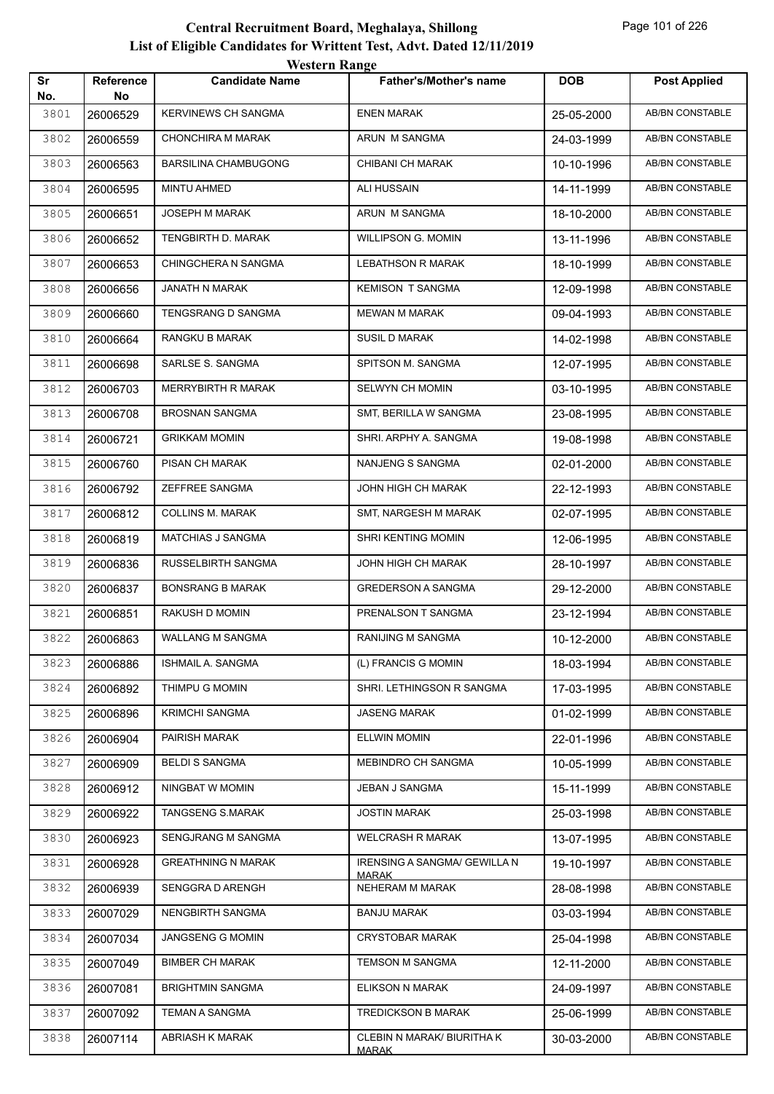| Sr<br>No. | <b>Reference</b><br>No | <b>Candidate Name</b>       | <b>Father's/Mother's name</b>                | <b>DOB</b> | <b>Post Applied</b>    |
|-----------|------------------------|-----------------------------|----------------------------------------------|------------|------------------------|
| 3801      | 26006529               | <b>KERVINEWS CH SANGMA</b>  | <b>ENEN MARAK</b>                            | 25-05-2000 | <b>AB/BN CONSTABLE</b> |
| 3802      | 26006559               | CHONCHIRA M MARAK           | ARUN M SANGMA                                | 24-03-1999 | AB/BN CONSTABLE        |
| 3803      | 26006563               | <b>BARSILINA CHAMBUGONG</b> | CHIBANI CH MARAK                             | 10-10-1996 | AB/BN CONSTABLE        |
| 3804      | 26006595               | MINTU AHMED                 | ALI HUSSAIN                                  | 14-11-1999 | AB/BN CONSTABLE        |
| 3805      | 26006651               | JOSEPH M MARAK              | ARUN M SANGMA                                | 18-10-2000 | <b>AB/BN CONSTABLE</b> |
| 3806      | 26006652               | TENGBIRTH D. MARAK          | <b>WILLIPSON G. MOMIN</b>                    | 13-11-1996 | AB/BN CONSTABLE        |
| 3807      | 26006653               | CHINGCHERA N SANGMA         | <b>LEBATHSON R MARAK</b>                     | 18-10-1999 | AB/BN CONSTABLE        |
| 3808      | 26006656               | JANATH N MARAK              | <b>KEMISON T SANGMA</b>                      | 12-09-1998 | AB/BN CONSTABLE        |
| 3809      | 26006660               | TENGSRANG D SANGMA          | <b>MEWAN M MARAK</b>                         | 09-04-1993 | AB/BN CONSTABLE        |
| 3810      | 26006664               | RANGKU B MARAK              | <b>SUSIL D MARAK</b>                         | 14-02-1998 | <b>AB/BN CONSTABLE</b> |
| 3811      | 26006698               | SARLSE S. SANGMA            | SPITSON M. SANGMA                            | 12-07-1995 | AB/BN CONSTABLE        |
| 3812      | 26006703               | MERRYBIRTH R MARAK          | SELWYN CH MOMIN                              | 03-10-1995 | <b>AB/BN CONSTABLE</b> |
| 3813      | 26006708               | <b>BROSNAN SANGMA</b>       | SMT, BERILLA W SANGMA                        | 23-08-1995 | AB/BN CONSTABLE        |
| 3814      | 26006721               | <b>GRIKKAM MOMIN</b>        | SHRI. ARPHY A. SANGMA                        | 19-08-1998 | <b>AB/BN CONSTABLE</b> |
| 3815      | 26006760               | PISAN CH MARAK              | NANJENG S SANGMA                             | 02-01-2000 | AB/BN CONSTABLE        |
| 3816      | 26006792               | ZEFFREE SANGMA              | JOHN HIGH CH MARAK                           | 22-12-1993 | AB/BN CONSTABLE        |
| 3817      | 26006812               | <b>COLLINS M. MARAK</b>     | SMT, NARGESH M MARAK                         | 02-07-1995 | AB/BN CONSTABLE        |
| 3818      | 26006819               | MATCHIAS J SANGMA           | SHRI KENTING MOMIN                           | 12-06-1995 | AB/BN CONSTABLE        |
| 3819      | 26006836               | RUSSELBIRTH SANGMA          | JOHN HIGH CH MARAK                           | 28-10-1997 | <b>AB/BN CONSTABLE</b> |
| 3820      | 26006837               | <b>BONSRANG B MARAK</b>     | <b>GREDERSON A SANGMA</b>                    | 29-12-2000 | AB/BN CONSTABLE        |
| 3821      | 26006851               | RAKUSH D MOMIN              | PRENALSON T SANGMA                           | 23-12-1994 | AB/BN CONSTABLE        |
| 3822      | 26006863               | <b>WALLANG M SANGMA</b>     | <b>RANIJING M SANGMA</b>                     | 10-12-2000 | <b>AB/BN CONSTABLE</b> |
| 3823      | 26006886               | ISHMAIL A. SANGMA           | (L) FRANCIS G MOMIN                          | 18-03-1994 | AB/BN CONSTABLE        |
| 3824      | 26006892               | THIMPU G MOMIN              | SHRI. LETHINGSON R SANGMA                    | 17-03-1995 | AB/BN CONSTABLE        |
| 3825      | 26006896               | <b>KRIMCHI SANGMA</b>       | <b>JASENG MARAK</b>                          | 01-02-1999 | AB/BN CONSTABLE        |
| 3826      | 26006904               | PAIRISH MARAK               | <b>ELLWIN MOMIN</b>                          | 22-01-1996 | AB/BN CONSTABLE        |
| 3827      | 26006909               | <b>BELDI S SANGMA</b>       | MEBINDRO CH SANGMA                           | 10-05-1999 | AB/BN CONSTABLE        |
| 3828      | 26006912               | NINGBAT W MOMIN             | JEBAN J SANGMA                               | 15-11-1999 | AB/BN CONSTABLE        |
| 3829      | 26006922               | TANGSENG S.MARAK            | <b>JOSTIN MARAK</b>                          | 25-03-1998 | AB/BN CONSTABLE        |
| 3830      | 26006923               | SENGJRANG M SANGMA          | <b>WELCRASH R MARAK</b>                      | 13-07-1995 | AB/BN CONSTABLE        |
| 3831      | 26006928               | <b>GREATHNING N MARAK</b>   | IRENSING A SANGMA/ GEWILLA N<br><b>MARAK</b> | 19-10-1997 | AB/BN CONSTABLE        |
| 3832      | 26006939               | SENGGRAD ARENGH             | NEHERAM M MARAK                              | 28-08-1998 | AB/BN CONSTABLE        |
| 3833      | 26007029               | NENGBIRTH SANGMA            | <b>BANJU MARAK</b>                           | 03-03-1994 | AB/BN CONSTABLE        |
| 3834      | 26007034               | JANGSENG G MOMIN            | <b>CRYSTOBAR MARAK</b>                       | 25-04-1998 | AB/BN CONSTABLE        |
| 3835      | 26007049               | <b>BIMBER CH MARAK</b>      | TEMSON M SANGMA                              | 12-11-2000 | AB/BN CONSTABLE        |
| 3836      | 26007081               | <b>BRIGHTMIN SANGMA</b>     | ELIKSON N MARAK                              | 24-09-1997 | AB/BN CONSTABLE        |
| 3837      | 26007092               | TEMAN A SANGMA              | TREDICKSON B MARAK                           | 25-06-1999 | AB/BN CONSTABLE        |
| 3838      | 26007114               | ABRIASH K MARAK             | CLEBIN N MARAK/ BIURITHA K<br><b>MARAK</b>   | 30-03-2000 | AB/BN CONSTABLE        |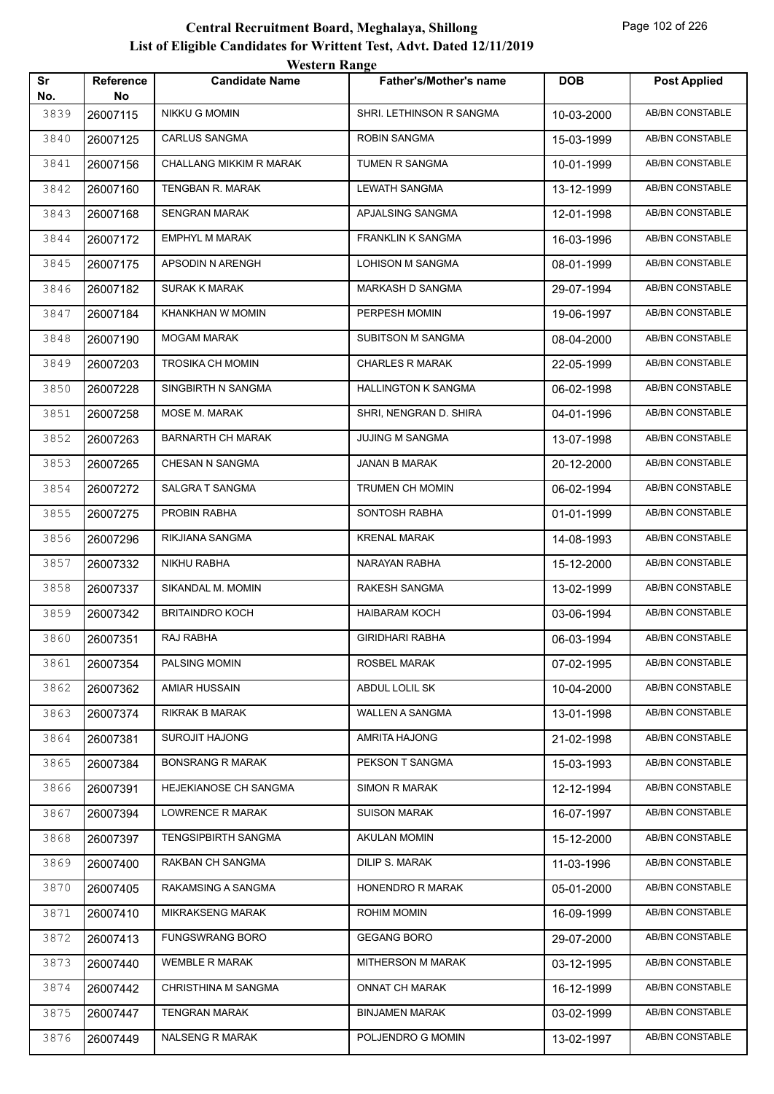| Sr          | Reference      | <b>TUGILLE IMARGU</b><br><b>Candidate Name</b> | <b>Father's/Mother's name</b> | <b>DOB</b> | <b>Post Applied</b>    |
|-------------|----------------|------------------------------------------------|-------------------------------|------------|------------------------|
| No.<br>3839 | No<br>26007115 | <b>NIKKU G MOMIN</b>                           | SHRI. LETHINSON R SANGMA      | 10-03-2000 | <b>AB/BN CONSTABLE</b> |
| 3840        | 26007125       | CARLUS SANGMA                                  | <b>ROBIN SANGMA</b>           | 15-03-1999 | AB/BN CONSTABLE        |
| 3841        | 26007156       | CHALLANG MIKKIM R MARAK                        | TUMEN R SANGMA                | 10-01-1999 | AB/BN CONSTABLE        |
| 3842        |                | TENGBAN R. MARAK                               | <b>LEWATH SANGMA</b>          |            | AB/BN CONSTABLE        |
|             | 26007160       | <b>SENGRAN MARAK</b>                           | APJALSING SANGMA              | 13-12-1999 | AB/BN CONSTABLE        |
| 3843        | 26007168       |                                                |                               | 12-01-1998 |                        |
| 3844        | 26007172       | <b>EMPHYL M MARAK</b>                          | <b>FRANKLIN K SANGMA</b>      | 16-03-1996 | AB/BN CONSTABLE        |
| 3845        | 26007175       | APSODIN N ARENGH                               | LOHISON M SANGMA              | 08-01-1999 | AB/BN CONSTABLE        |
| 3846        | 26007182       | SURAK K MARAK                                  | MARKASH D SANGMA              | 29-07-1994 | AB/BN CONSTABLE        |
| 3847        | 26007184       | KHANKHAN W MOMIN                               | PERPESH MOMIN                 | 19-06-1997 | AB/BN CONSTABLE        |
| 3848        | 26007190       | <b>MOGAM MARAK</b>                             | <b>SUBITSON M SANGMA</b>      | 08-04-2000 | AB/BN CONSTABLE        |
| 3849        | 26007203       | <b>TROSIKA CH MOMIN</b>                        | <b>CHARLES R MARAK</b>        | 22-05-1999 | AB/BN CONSTABLE        |
| 3850        | 26007228       | SINGBIRTH N SANGMA                             | <b>HALLINGTON K SANGMA</b>    | 06-02-1998 | AB/BN CONSTABLE        |
| 3851        | 26007258       | MOSE M. MARAK                                  | SHRI, NENGRAN D. SHIRA        | 04-01-1996 | AB/BN CONSTABLE        |
| 3852        | 26007263       | <b>BARNARTH CH MARAK</b>                       | <b>JUJING M SANGMA</b>        | 13-07-1998 | AB/BN CONSTABLE        |
| 3853        | 26007265       | CHESAN N SANGMA                                | JANAN B MARAK                 | 20-12-2000 | AB/BN CONSTABLE        |
| 3854        | 26007272       | SALGRA T SANGMA                                | TRUMEN CH MOMIN               | 06-02-1994 | AB/BN CONSTABLE        |
| 3855        | 26007275       | PROBIN RABHA                                   | SONTOSH RABHA                 | 01-01-1999 | AB/BN CONSTABLE        |
| 3856        | 26007296       | RIKJIANA SANGMA                                | <b>KRENAL MARAK</b>           | 14-08-1993 | AB/BN CONSTABLE        |
| 3857        | 26007332       | NIKHU RABHA                                    | NARAYAN RABHA                 | 15-12-2000 | AB/BN CONSTABLE        |
| 3858        | 26007337       | SIKANDAL M. MOMIN                              | <b>RAKESH SANGMA</b>          | 13-02-1999 | AB/BN CONSTABLE        |
| 3859        | 26007342       | <b>BRITAINDRO KOCH</b>                         | HAIBARAM KOCH                 | 03-06-1994 | AB/BN CONSTABLE        |
| 3860        | 26007351       | RAJ RABHA                                      | <b>GIRIDHARI RABHA</b>        | 06-03-1994 | <b>AB/BN CONSTABLE</b> |
| 3861        | 26007354       | PALSING MOMIN                                  | ROSBEL MARAK                  | 07-02-1995 | AB/BN CONSTABLE        |
| 3862        | 26007362       | <b>AMIAR HUSSAIN</b>                           | ABDUL LOLIL SK                | 10-04-2000 | AB/BN CONSTABLE        |
| 3863        | 26007374       | RIKRAK B MARAK                                 | WALLEN A SANGMA               | 13-01-1998 | AB/BN CONSTABLE        |
| 3864        | 26007381       | <b>SUROJIT HAJONG</b>                          | AMRITA HAJONG                 | 21-02-1998 | AB/BN CONSTABLE        |
| 3865        | 26007384       | <b>BONSRANG R MARAK</b>                        | PEKSON T SANGMA               | 15-03-1993 | AB/BN CONSTABLE        |
| 3866        | 26007391       | HEJEKIANOSE CH SANGMA                          | <b>SIMON R MARAK</b>          | 12-12-1994 | AB/BN CONSTABLE        |
| 3867        | 26007394       | LOWRENCE R MARAK                               | <b>SUISON MARAK</b>           | 16-07-1997 | AB/BN CONSTABLE        |
| 3868        | 26007397       | <b>TENGSIPBIRTH SANGMA</b>                     | AKULAN MOMIN                  | 15-12-2000 | AB/BN CONSTABLE        |
| 3869        | 26007400       | RAKBAN CH SANGMA                               | DILIP S. MARAK                | 11-03-1996 | AB/BN CONSTABLE        |
| 3870        | 26007405       | RAKAMSING A SANGMA                             | HONENDRO R MARAK              | 05-01-2000 | AB/BN CONSTABLE        |
| 3871        | 26007410       | <b>MIKRAKSENG MARAK</b>                        | ROHIM MOMIN                   | 16-09-1999 | AB/BN CONSTABLE        |
| 3872        | 26007413       | <b>FUNGSWRANG BORO</b>                         | <b>GEGANG BORO</b>            | 29-07-2000 | AB/BN CONSTABLE        |
| 3873        | 26007440       | <b>WEMBLE R MARAK</b>                          | MITHERSON M MARAK             | 03-12-1995 | AB/BN CONSTABLE        |
| 3874        | 26007442       | CHRISTHINA M SANGMA                            | <b>ONNAT CH MARAK</b>         | 16-12-1999 | AB/BN CONSTABLE        |
| 3875        | 26007447       | TENGRAN MARAK                                  | <b>BINJAMEN MARAK</b>         |            | AB/BN CONSTABLE        |
|             |                | NALSENG R MARAK                                | POLJENDRO G MOMIN             | 03-02-1999 | AB/BN CONSTABLE        |
| 3876        | 26007449       |                                                |                               | 13-02-1997 |                        |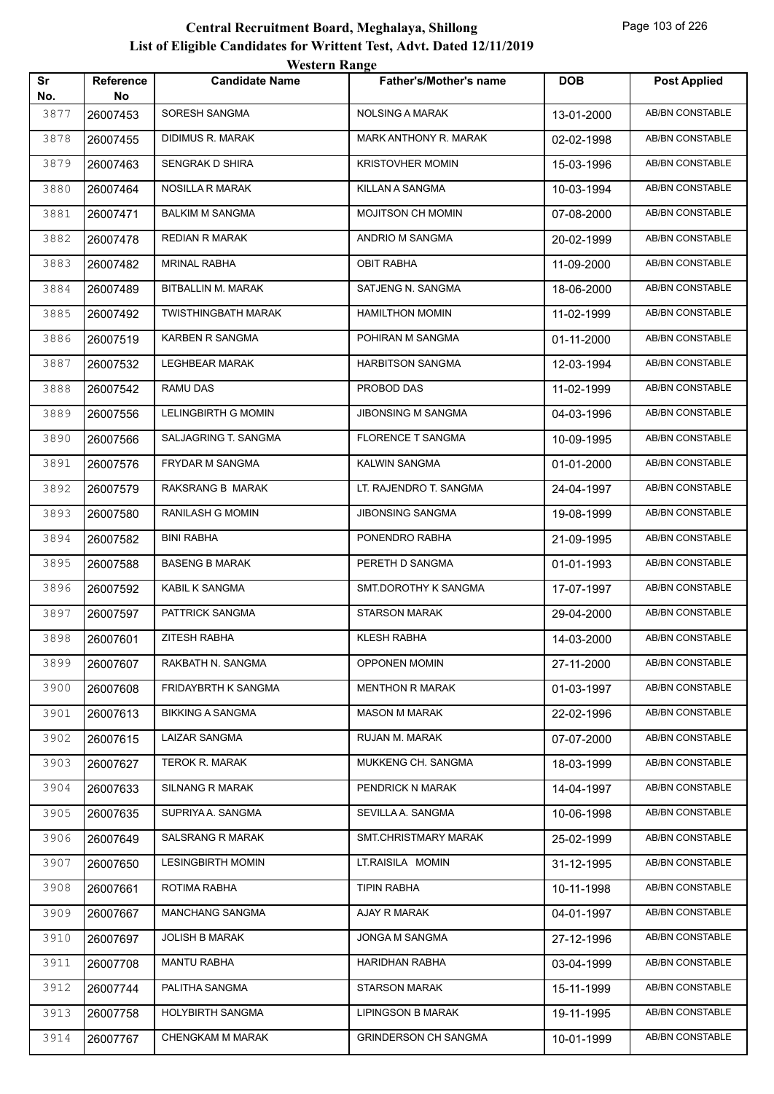| Sr   | <b>Reference</b> | western Kange<br><b>Candidate Name</b> | Father's/Mother's name      | <b>DOB</b> | <b>Post Applied</b>    |
|------|------------------|----------------------------------------|-----------------------------|------------|------------------------|
| No.  | No               |                                        |                             |            |                        |
| 3877 | 26007453         | SORESH SANGMA                          | <b>NOLSING A MARAK</b>      | 13-01-2000 | <b>AB/BN CONSTABLE</b> |
| 3878 | 26007455         | <b>DIDIMUS R. MARAK</b>                | MARK ANTHONY R. MARAK       | 02-02-1998 | AB/BN CONSTABLE        |
| 3879 | 26007463         | SENGRAK D SHIRA                        | <b>KRISTOVHER MOMIN</b>     | 15-03-1996 | AB/BN CONSTABLE        |
| 3880 | 26007464         | <b>NOSILLA R MARAK</b>                 | KILLAN A SANGMA             | 10-03-1994 | <b>AB/BN CONSTABLE</b> |
| 3881 | 26007471         | <b>BALKIM M SANGMA</b>                 | <b>MOJITSON CH MOMIN</b>    | 07-08-2000 | AB/BN CONSTABLE        |
| 3882 | 26007478         | REDIAN R MARAK                         | ANDRIO M SANGMA             | 20-02-1999 | AB/BN CONSTABLE        |
| 3883 | 26007482         | <b>MRINAL RABHA</b>                    | <b>OBIT RABHA</b>           | 11-09-2000 | AB/BN CONSTABLE        |
| 3884 | 26007489         | BITBALLIN M. MARAK                     | SATJENG N. SANGMA           | 18-06-2000 | AB/BN CONSTABLE        |
| 3885 | 26007492         | TWISTHINGBATH MARAK                    | <b>HAMILTHON MOMIN</b>      | 11-02-1999 | <b>AB/BN CONSTABLE</b> |
| 3886 | 26007519         | KARBEN R SANGMA                        | POHIRAN M SANGMA            | 01-11-2000 | AB/BN CONSTABLE        |
| 3887 | 26007532         | <b>LEGHBEAR MARAK</b>                  | <b>HARBITSON SANGMA</b>     | 12-03-1994 | AB/BN CONSTABLE        |
| 3888 | 26007542         | RAMU DAS                               | PROBOD DAS                  | 11-02-1999 | AB/BN CONSTABLE        |
| 3889 | 26007556         | <b>LELINGBIRTH G MOMIN</b>             | JIBONSING M SANGMA          | 04-03-1996 | AB/BN CONSTABLE        |
| 3890 | 26007566         | SALJAGRING T. SANGMA                   | <b>FLORENCE T SANGMA</b>    | 10-09-1995 | <b>AB/BN CONSTABLE</b> |
| 3891 | 26007576         | FRYDAR M SANGMA                        | <b>KALWIN SANGMA</b>        | 01-01-2000 | AB/BN CONSTABLE        |
| 3892 | 26007579         | RAKSRANG B MARAK                       | LT. RAJENDRO T. SANGMA      | 24-04-1997 | AB/BN CONSTABLE        |
| 3893 | 26007580         | RANILASH G MOMIN                       | JIBONSING SANGMA            | 19-08-1999 | AB/BN CONSTABLE        |
| 3894 | 26007582         | <b>BINI RABHA</b>                      | PONENDRO RABHA              | 21-09-1995 | AB/BN CONSTABLE        |
| 3895 | 26007588         | <b>BASENG B MARAK</b>                  | PERETH D SANGMA             | 01-01-1993 | AB/BN CONSTABLE        |
| 3896 | 26007592         | KABIL K SANGMA                         | SMT.DOROTHY K SANGMA        | 17-07-1997 | AB/BN CONSTABLE        |
| 3897 | 26007597         | PATTRICK SANGMA                        | <b>STARSON MARAK</b>        | 29-04-2000 | AB/BN CONSTABLE        |
| 3898 | 26007601         | <b>ZITESH RABHA</b>                    | <b>KLESH RABHA</b>          | 14-03-2000 | AB/BN CONSTABLE        |
| 3899 | 26007607         | RAKBATH N. SANGMA                      | <b>OPPONEN MOMIN</b>        | 27-11-2000 | AB/BN CONSTABLE        |
| 3900 | 26007608         | FRIDAYBRTH K SANGMA                    | <b>MENTHON R MARAK</b>      | 01-03-1997 | AB/BN CONSTABLE        |
| 3901 | 26007613         | <b>BIKKING A SANGMA</b>                | <b>MASON M MARAK</b>        | 22-02-1996 | AB/BN CONSTABLE        |
| 3902 | 26007615         | <b>LAIZAR SANGMA</b>                   | RUJAN M. MARAK              | 07-07-2000 | AB/BN CONSTABLE        |
| 3903 | 26007627         | <b>TEROK R. MARAK</b>                  | MUKKENG CH. SANGMA          | 18-03-1999 | AB/BN CONSTABLE        |
| 3904 | 26007633         | <b>SILNANG R MARAK</b>                 | PENDRICK N MARAK            | 14-04-1997 | AB/BN CONSTABLE        |
| 3905 | 26007635         | SUPRIYA A. SANGMA                      | SEVILLA A. SANGMA           | 10-06-1998 | AB/BN CONSTABLE        |
| 3906 | 26007649         | <b>SALSRANG R MARAK</b>                | SMT.CHRISTMARY MARAK        | 25-02-1999 | AB/BN CONSTABLE        |
| 3907 | 26007650         | <b>LESINGBIRTH MOMIN</b>               | LT.RAISILA MOMIN            | 31-12-1995 | AB/BN CONSTABLE        |
| 3908 | 26007661         | ROTIMA RABHA                           | <b>TIPIN RABHA</b>          | 10-11-1998 | AB/BN CONSTABLE        |
| 3909 | 26007667         | <b>MANCHANG SANGMA</b>                 | AJAY R MARAK                | 04-01-1997 | AB/BN CONSTABLE        |
| 3910 | 26007697         | <b>JOLISH B MARAK</b>                  | JONGA M SANGMA              | 27-12-1996 | AB/BN CONSTABLE        |
| 3911 | 26007708         | <b>MANTU RABHA</b>                     | HARIDHAN RABHA              | 03-04-1999 | AB/BN CONSTABLE        |
| 3912 | 26007744         | PALITHA SANGMA                         | <b>STARSON MARAK</b>        | 15-11-1999 | AB/BN CONSTABLE        |
| 3913 | 26007758         | HOLYBIRTH SANGMA                       | <b>LIPINGSON B MARAK</b>    | 19-11-1995 | AB/BN CONSTABLE        |
| 3914 | 26007767         | CHENGKAM M MARAK                       | <b>GRINDERSON CH SANGMA</b> | 10-01-1999 | AB/BN CONSTABLE        |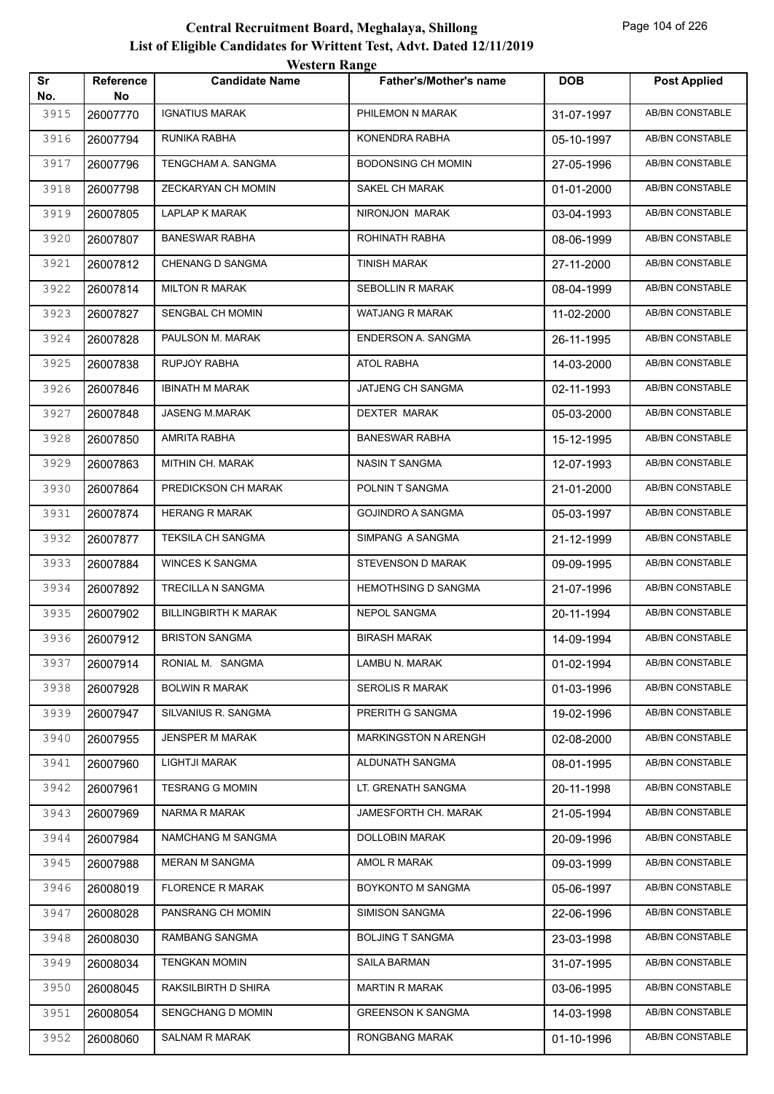|           |                        | WESTEL II INALIZE           |                               |            |                        |
|-----------|------------------------|-----------------------------|-------------------------------|------------|------------------------|
| Sr<br>No. | <b>Reference</b><br>No | <b>Candidate Name</b>       | <b>Father's/Mother's name</b> | <b>DOB</b> | <b>Post Applied</b>    |
| 3915      | 26007770               | <b>IGNATIUS MARAK</b>       | PHILEMON N MARAK              | 31-07-1997 | <b>AB/BN CONSTABLE</b> |
| 3916      | 26007794               | RUNIKA RABHA                | KONENDRA RABHA                | 05-10-1997 | AB/BN CONSTABLE        |
| 3917      | 26007796               | TENGCHAM A. SANGMA          | <b>BODONSING CH MOMIN</b>     | 27-05-1996 | AB/BN CONSTABLE        |
| 3918      | 26007798               | ZECKARYAN CH MOMIN          | SAKEL CH MARAK                | 01-01-2000 | AB/BN CONSTABLE        |
| 3919      | 26007805               | LAPLAP K MARAK              | NIRONJON MARAK                | 03-04-1993 | AB/BN CONSTABLE        |
| 3920      | 26007807               | <b>BANESWAR RABHA</b>       | ROHINATH RABHA                | 08-06-1999 | <b>AB/BN CONSTABLE</b> |
| 3921      | 26007812               | <b>CHENANG D SANGMA</b>     | TINISH MARAK                  | 27-11-2000 | AB/BN CONSTABLE        |
| 3922      | 26007814               | <b>MILTON R MARAK</b>       | <b>SEBOLLIN R MARAK</b>       | 08-04-1999 | AB/BN CONSTABLE        |
| 3923      | 26007827               | SENGBAL CH MOMIN            | WATJANG R MARAK               | 11-02-2000 | AB/BN CONSTABLE        |
| 3924      | 26007828               | PAULSON M. MARAK            | ENDERSON A. SANGMA            | 26-11-1995 | <b>AB/BN CONSTABLE</b> |
| 3925      | 26007838               | RUPJOY RABHA                | ATOL RABHA                    | 14-03-2000 | AB/BN CONSTABLE        |
| 3926      | 26007846               | <b>IBINATH M MARAK</b>      | JATJENG CH SANGMA             | 02-11-1993 | AB/BN CONSTABLE        |
| 3927      | 26007848               | JASENG M.MARAK              | <b>DEXTER MARAK</b>           | 05-03-2000 | AB/BN CONSTABLE        |
| 3928      | 26007850               | AMRITA RABHA                | <b>BANESWAR RABHA</b>         | 15-12-1995 | AB/BN CONSTABLE        |
| 3929      | 26007863               | MITHIN CH. MARAK            | NASIN T SANGMA                | 12-07-1993 | <b>AB/BN CONSTABLE</b> |
| 3930      | 26007864               | PREDICKSON CH MARAK         | POLNIN T SANGMA               | 21-01-2000 | <b>AB/BN CONSTABLE</b> |
| 3931      | 26007874               | <b>HERANG R MARAK</b>       | <b>GOJINDRO A SANGMA</b>      | 05-03-1997 | AB/BN CONSTABLE        |
| 3932      | 26007877               | TEKSILA CH SANGMA           | SIMPANG A SANGMA              | 21-12-1999 | AB/BN CONSTABLE        |
| 3933      | 26007884               | <b>WINCES K SANGMA</b>      | STEVENSON D MARAK             | 09-09-1995 | AB/BN CONSTABLE        |
| 3934      | 26007892               | TRECILLA N SANGMA           | <b>HEMOTHSING D SANGMA</b>    | 21-07-1996 | AB/BN CONSTABLE        |
| 3935      | 26007902               | <b>BILLINGBIRTH K MARAK</b> | NEPOL SANGMA                  | 20-11-1994 | AB/BN CONSTABLE        |
| 3936      | 26007912               | <b>BRISTON SANGMA</b>       | <b>BIRASH MARAK</b>           | 14-09-1994 | AB/BN CONSTABLE        |
| 3937      | 26007914               | RONIAL M. SANGMA            | LAMBU N. MARAK                | 01-02-1994 | AB/BN CONSTABLE        |
| 3938      | 26007928               | <b>BOLWIN R MARAK</b>       | <b>SEROLIS R MARAK</b>        | 01-03-1996 | AB/BN CONSTABLE        |
| 3939      | 26007947               | SILVANIUS R. SANGMA         | PRERITH G SANGMA              | 19-02-1996 | AB/BN CONSTABLE        |
| 3940      | 26007955               | JENSPER M MARAK             | MARKINGSTON N ARENGH          | 02-08-2000 | AB/BN CONSTABLE        |
| 3941      | 26007960               | <b>LIGHTJI MARAK</b>        | ALDUNATH SANGMA               | 08-01-1995 | AB/BN CONSTABLE        |
| 3942      | 26007961               | <b>TESRANG G MOMIN</b>      | LT. GRENATH SANGMA            | 20-11-1998 | AB/BN CONSTABLE        |
| 3943      | 26007969               | NARMA R MARAK               | JAMESFORTH CH. MARAK          | 21-05-1994 | AB/BN CONSTABLE        |
| 3944      | 26007984               | NAMCHANG M SANGMA           | DOLLOBIN MARAK                | 20-09-1996 | AB/BN CONSTABLE        |
| 3945      | 26007988               | MERAN M SANGMA              | AMOL R MARAK                  | 09-03-1999 | AB/BN CONSTABLE        |
| 3946      | 26008019               | <b>FLORENCE R MARAK</b>     | BOYKONTO M SANGMA             | 05-06-1997 | AB/BN CONSTABLE        |
| 3947      | 26008028               | PANSRANG CH MOMIN           | SIMISON SANGMA                | 22-06-1996 | AB/BN CONSTABLE        |
| 3948      | 26008030               | RAMBANG SANGMA              | <b>BOLJING T SANGMA</b>       | 23-03-1998 | AB/BN CONSTABLE        |
| 3949      | 26008034               | <b>TENGKAN MOMIN</b>        | SAILA BARMAN                  | 31-07-1995 | AB/BN CONSTABLE        |
| 3950      | 26008045               | RAKSILBIRTH D SHIRA         | <b>MARTIN R MARAK</b>         | 03-06-1995 | AB/BN CONSTABLE        |
| 3951      | 26008054               | SENGCHANG D MOMIN           | <b>GREENSON K SANGMA</b>      | 14-03-1998 | AB/BN CONSTABLE        |
| 3952      | 26008060               | SALNAM R MARAK              | RONGBANG MARAK                | 01-10-1996 | AB/BN CONSTABLE        |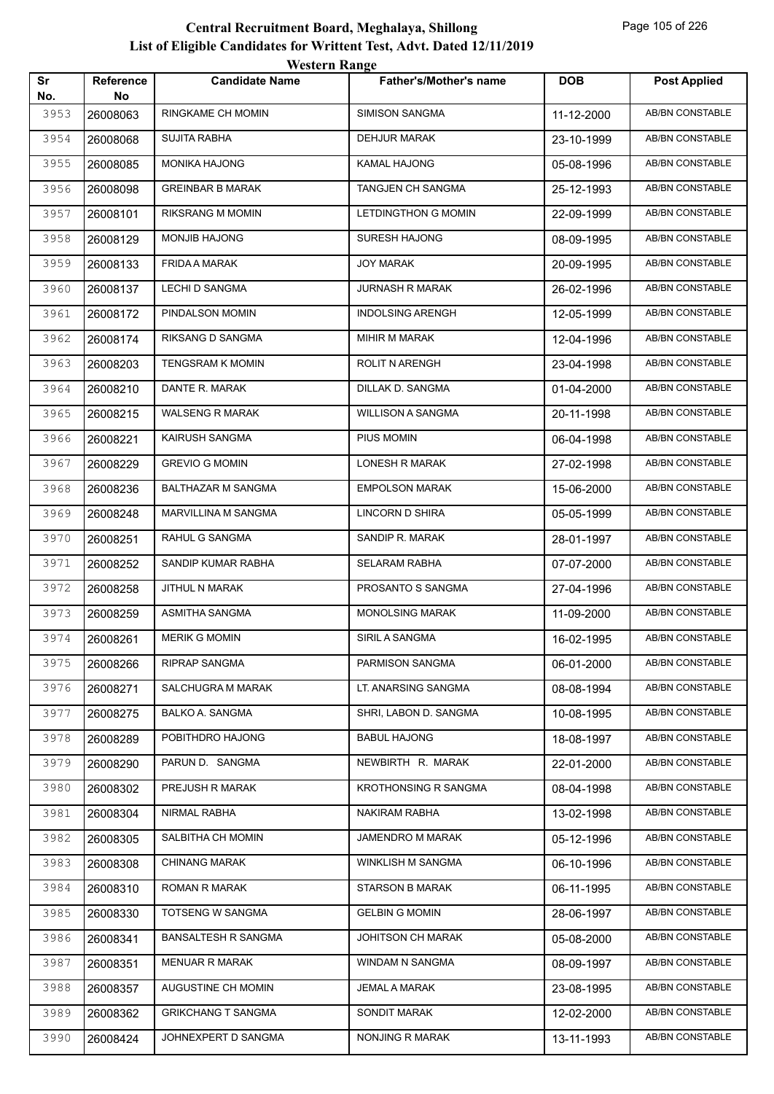|           |                        | western Kange              |                             |            |                        |
|-----------|------------------------|----------------------------|-----------------------------|------------|------------------------|
| Sr<br>No. | <b>Reference</b><br>No | <b>Candidate Name</b>      | Father's/Mother's name      | <b>DOB</b> | <b>Post Applied</b>    |
| 3953      | 26008063               | <b>RINGKAME CH MOMIN</b>   | <b>SIMISON SANGMA</b>       | 11-12-2000 | AB/BN CONSTABLE        |
| 3954      | 26008068               | <b>SUJITA RABHA</b>        | <b>DEHJUR MARAK</b>         | 23-10-1999 | AB/BN CONSTABLE        |
| 3955      | 26008085               | <b>MONIKA HAJONG</b>       | <b>KAMAL HAJONG</b>         | 05-08-1996 | AB/BN CONSTABLE        |
| 3956      | 26008098               | <b>GREINBAR B MARAK</b>    | TANGJEN CH SANGMA           | 25-12-1993 | <b>AB/BN CONSTABLE</b> |
| 3957      | 26008101               | <b>RIKSRANG M MOMIN</b>    | LETDINGTHON G MOMIN         | 22-09-1999 | AB/BN CONSTABLE        |
| 3958      | 26008129               | <b>MONJIB HAJONG</b>       | <b>SURESH HAJONG</b>        | 08-09-1995 | AB/BN CONSTABLE        |
| 3959      | 26008133               | FRIDA A MARAK              | <b>JOY MARAK</b>            | 20-09-1995 | AB/BN CONSTABLE        |
| 3960      | 26008137               | <b>LECHI D SANGMA</b>      | <b>JURNASH R MARAK</b>      | 26-02-1996 | AB/BN CONSTABLE        |
| 3961      | 26008172               | PINDALSON MOMIN            | <b>INDOLSING ARENGH</b>     | 12-05-1999 | <b>AB/BN CONSTABLE</b> |
| 3962      | 26008174               | RIKSANG D SANGMA           | MIHIR M MARAK               | 12-04-1996 | AB/BN CONSTABLE        |
| 3963      | 26008203               | <b>TENGSRAM K MOMIN</b>    | <b>ROLIT N ARENGH</b>       | 23-04-1998 | AB/BN CONSTABLE        |
| 3964      | 26008210               | DANTE R. MARAK             | DILLAK D. SANGMA            | 01-04-2000 | AB/BN CONSTABLE        |
| 3965      | 26008215               | <b>WALSENG R MARAK</b>     | <b>WILLISON A SANGMA</b>    | 20-11-1998 | AB/BN CONSTABLE        |
| 3966      | 26008221               | <b>KAIRUSH SANGMA</b>      | PIUS MOMIN                  | 06-04-1998 | <b>AB/BN CONSTABLE</b> |
| 3967      | 26008229               | <b>GREVIO G MOMIN</b>      | <b>LONESH R MARAK</b>       | 27-02-1998 | AB/BN CONSTABLE        |
| 3968      | 26008236               | BALTHAZAR M SANGMA         | <b>EMPOLSON MARAK</b>       | 15-06-2000 | AB/BN CONSTABLE        |
| 3969      | 26008248               | MARVILLINA M SANGMA        | LINCORN D SHIRA             | 05-05-1999 | AB/BN CONSTABLE        |
| 3970      | 26008251               | RAHUL G SANGMA             | SANDIP R. MARAK             | 28-01-1997 | AB/BN CONSTABLE        |
| 3971      | 26008252               | SANDIP KUMAR RABHA         | <b>SELARAM RABHA</b>        | 07-07-2000 | <b>AB/BN CONSTABLE</b> |
| 3972      | 26008258               | JITHUL N MARAK             | PROSANTO S SANGMA           | 27-04-1996 | AB/BN CONSTABLE        |
| 3973      | 26008259               | ASMITHA SANGMA             | <b>MONOLSING MARAK</b>      | 11-09-2000 | AB/BN CONSTABLE        |
| 3974      | 26008261               | <b>MERIK G MOMIN</b>       | SIRIL A SANGMA              | 16-02-1995 | AB/BN CONSTABLE        |
| 3975      | 26008266               | RIPRAP SANGMA              | PARMISON SANGMA             | 06-01-2000 | AB/BN CONSTABLE        |
| 3976      | 26008271               | SALCHUGRA M MARAK          | LT. ANARSING SANGMA         | 08-08-1994 | AB/BN CONSTABLE        |
| 3977      | 26008275               | BALKO A. SANGMA            | SHRI, LABON D. SANGMA       | 10-08-1995 | AB/BN CONSTABLE        |
| 3978      | 26008289               | POBITHDRO HAJONG           | <b>BABUL HAJONG</b>         | 18-08-1997 | AB/BN CONSTABLE        |
| 3979      | 26008290               | PARUN D. SANGMA            | NEWBIRTH R. MARAK           | 22-01-2000 | AB/BN CONSTABLE        |
| 3980      | 26008302               | PREJUSH R MARAK            | <b>KROTHONSING R SANGMA</b> | 08-04-1998 | AB/BN CONSTABLE        |
| 3981      | 26008304               | NIRMAL RABHA               | NAKIRAM RABHA               | 13-02-1998 | AB/BN CONSTABLE        |
| 3982      | 26008305               | SALBITHA CH MOMIN          | JAMENDRO M MARAK            | 05-12-1996 | AB/BN CONSTABLE        |
| 3983      | 26008308               | <b>CHINANG MARAK</b>       | WINKLISH M SANGMA           | 06-10-1996 | AB/BN CONSTABLE        |
| 3984      | 26008310               | ROMAN R MARAK              | <b>STARSON B MARAK</b>      | 06-11-1995 | AB/BN CONSTABLE        |
| 3985      | 26008330               | <b>TOTSENG W SANGMA</b>    | <b>GELBIN G MOMIN</b>       | 28-06-1997 | AB/BN CONSTABLE        |
| 3986      | 26008341               | <b>BANSALTESH R SANGMA</b> | JOHITSON CH MARAK           | 05-08-2000 | AB/BN CONSTABLE        |
| 3987      | 26008351               | <b>MENUAR R MARAK</b>      | WINDAM N SANGMA             | 08-09-1997 | AB/BN CONSTABLE        |
| 3988      | 26008357               | AUGUSTINE CH MOMIN         | <b>JEMAL A MARAK</b>        | 23-08-1995 | AB/BN CONSTABLE        |
| 3989      | 26008362               | <b>GRIKCHANG T SANGMA</b>  | SONDIT MARAK                | 12-02-2000 | AB/BN CONSTABLE        |
| 3990      | 26008424               | JOHNEXPERT D SANGMA        | NONJING R MARAK             | 13-11-1993 | AB/BN CONSTABLE        |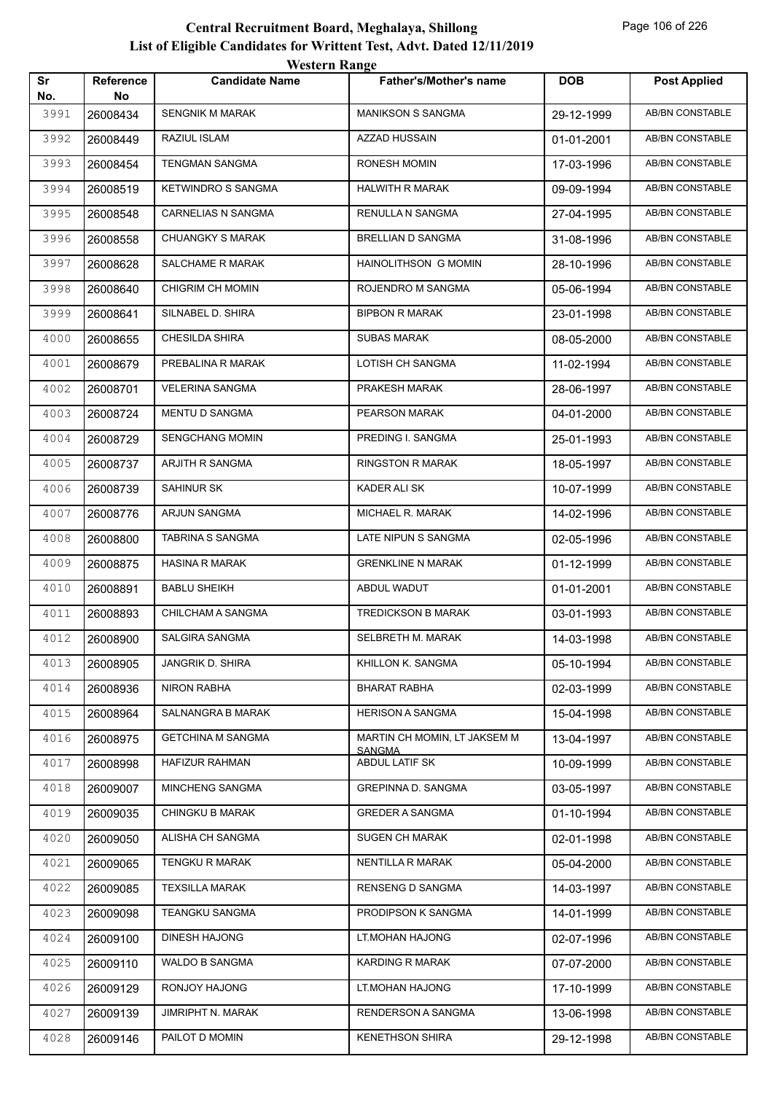|           |                 | western Range             |                                               |            |                        |
|-----------|-----------------|---------------------------|-----------------------------------------------|------------|------------------------|
| Sr<br>No. | Reference<br>No | <b>Candidate Name</b>     | <b>Father's/Mother's name</b>                 | <b>DOB</b> | <b>Post Applied</b>    |
| 3991      | 26008434        | <b>SENGNIK M MARAK</b>    | <b>MANIKSON S SANGMA</b>                      | 29-12-1999 | AB/BN CONSTABLE        |
| 3992      | 26008449        | RAZIUL ISLAM              | <b>AZZAD HUSSAIN</b>                          | 01-01-2001 | AB/BN CONSTABLE        |
| 3993      | 26008454        | <b>TENGMAN SANGMA</b>     | <b>RONESH MOMIN</b>                           | 17-03-1996 | AB/BN CONSTABLE        |
| 3994      | 26008519        | <b>KETWINDRO S SANGMA</b> | <b>HALWITH R MARAK</b>                        | 09-09-1994 | <b>AB/BN CONSTABLE</b> |
| 3995      | 26008548        | <b>CARNELIAS N SANGMA</b> | RENULLA N SANGMA                              | 27-04-1995 | AB/BN CONSTABLE        |
| 3996      | 26008558        | <b>CHUANGKY S MARAK</b>   | <b>BRELLIAN D SANGMA</b>                      | 31-08-1996 | <b>AB/BN CONSTABLE</b> |
| 3997      | 26008628        | SALCHAME R MARAK          | HAINOLITHSON G MOMIN                          | 28-10-1996 | <b>AB/BN CONSTABLE</b> |
| 3998      | 26008640        | CHIGRIM CH MOMIN          | ROJENDRO M SANGMA                             | 05-06-1994 | AB/BN CONSTABLE        |
| 3999      | 26008641        | SILNABEL D. SHIRA         | <b>BIPBON R MARAK</b>                         | 23-01-1998 | <b>AB/BN CONSTABLE</b> |
| 4000      | 26008655        | <b>CHESILDA SHIRA</b>     | <b>SUBAS MARAK</b>                            | 08-05-2000 | AB/BN CONSTABLE        |
| 4001      | 26008679        | PREBALINA R MARAK         | LOTISH CH SANGMA                              | 11-02-1994 | AB/BN CONSTABLE        |
| 4002      | 26008701        | VELERINA SANGMA           | PRAKESH MARAK                                 | 28-06-1997 | AB/BN CONSTABLE        |
| 4003      | 26008724        | MENTU D SANGMA            | PEARSON MARAK                                 | 04-01-2000 | AB/BN CONSTABLE        |
| 4004      | 26008729        | <b>SENGCHANG MOMIN</b>    | PREDING I. SANGMA                             | 25-01-1993 | <b>AB/BN CONSTABLE</b> |
| 4005      | 26008737        | ARJITH R SANGMA           | <b>RINGSTON R MARAK</b>                       | 18-05-1997 | AB/BN CONSTABLE        |
| 4006      | 26008739        | <b>SAHINUR SK</b>         | KADER ALI SK                                  | 10-07-1999 | AB/BN CONSTABLE        |
| 4007      | 26008776        | ARJUN SANGMA              | MICHAEL R. MARAK                              | 14-02-1996 | AB/BN CONSTABLE        |
| 4008      | 26008800        | TABRINA S SANGMA          | LATE NIPUN S SANGMA                           | 02-05-1996 | AB/BN CONSTABLE        |
| 4009      | 26008875        | <b>HASINA R MARAK</b>     | <b>GRENKLINE N MARAK</b>                      | 01-12-1999 | <b>AB/BN CONSTABLE</b> |
| 4010      | 26008891        | <b>BABLU SHEIKH</b>       | ABDUL WADUT                                   | 01-01-2001 | AB/BN CONSTABLE        |
| 4011      | 26008893        | CHILCHAM A SANGMA         | <b>TREDICKSON B MARAK</b>                     | 03-01-1993 | AB/BN CONSTABLE        |
| 4012      | 26008900        | SALGIRA SANGMA            | SELBRETH M. MARAK                             | 14-03-1998 | AB/BN CONSTABLE        |
| 4013      | 26008905        | JANGRIK D. SHIRA          | KHILLON K. SANGMA                             | 05-10-1994 | AB/BN CONSTABLE        |
| 4014      | 26008936        | NIRON RABHA               | <b>BHARAT RABHA</b>                           | 02-03-1999 | AB/BN CONSTABLE        |
| 4015      | 26008964        | SALNANGRA B MARAK         | <b>HERISON A SANGMA</b>                       | 15-04-1998 | AB/BN CONSTABLE        |
| 4016      | 26008975        | <b>GETCHINA M SANGMA</b>  | MARTIN CH MOMIN, LT JAKSEM M<br><b>SANGMA</b> | 13-04-1997 | AB/BN CONSTABLE        |
| 4017      | 26008998        | HAFIZUR RAHMAN            | ABDUL LATIF SK                                | 10-09-1999 | AB/BN CONSTABLE        |
| 4018      | 26009007        | MINCHENG SANGMA           | <b>GREPINNA D. SANGMA</b>                     | 03-05-1997 | AB/BN CONSTABLE        |
| 4019      | 26009035        | <b>CHINGKU B MARAK</b>    | <b>GREDER A SANGMA</b>                        | 01-10-1994 | AB/BN CONSTABLE        |
| 4020      | 26009050        | ALISHA CH SANGMA          | <b>SUGEN CH MARAK</b>                         | 02-01-1998 | AB/BN CONSTABLE        |
| 4021      | 26009065        | TENGKU R MARAK            | <b>NENTILLA R MARAK</b>                       | 05-04-2000 | AB/BN CONSTABLE        |
| 4022      | 26009085        | <b>TEXSILLA MARAK</b>     | <b>RENSENG D SANGMA</b>                       | 14-03-1997 | AB/BN CONSTABLE        |
| 4023      | 26009098        | TEANGKU SANGMA            | PRODIPSON K SANGMA                            | 14-01-1999 | AB/BN CONSTABLE        |
| 4024      | 26009100        | <b>DINESH HAJONG</b>      | LT.MOHAN HAJONG                               | 02-07-1996 | AB/BN CONSTABLE        |
| 4025      | 26009110        | WALDO B SANGMA            | KARDING R MARAK                               | 07-07-2000 | AB/BN CONSTABLE        |
| 4026      | 26009129        | RONJOY HAJONG             | LT.MOHAN HAJONG                               | 17-10-1999 | AB/BN CONSTABLE        |
| 4027      | 26009139        | JIMRIPHT N. MARAK         | RENDERSON A SANGMA                            | 13-06-1998 | AB/BN CONSTABLE        |
| 4028      | 26009146        | PAILOT D MOMIN            | <b>KENETHSON SHIRA</b>                        | 29-12-1998 | AB/BN CONSTABLE        |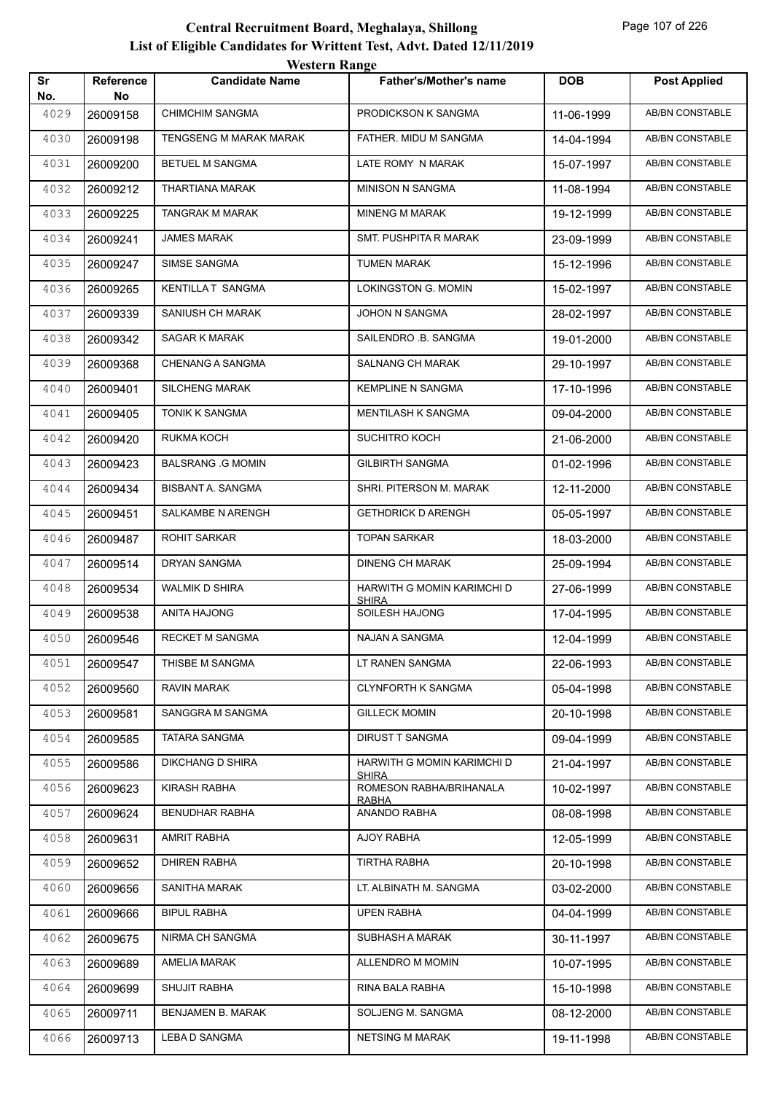|           |                        | <b>WESTEL II INALIZE</b> |                                            |            |                        |
|-----------|------------------------|--------------------------|--------------------------------------------|------------|------------------------|
| Sr<br>No. | <b>Reference</b><br>No | <b>Candidate Name</b>    | <b>Father's/Mother's name</b>              | <b>DOB</b> | <b>Post Applied</b>    |
| 4029      | 26009158               | <b>CHIMCHIM SANGMA</b>   | PRODICKSON K SANGMA                        | 11-06-1999 | <b>AB/BN CONSTABLE</b> |
| 4030      | 26009198               | TENGSENG M MARAK MARAK   | FATHER. MIDU M SANGMA                      | 14-04-1994 | AB/BN CONSTABLE        |
| 4031      | 26009200               | <b>BETUEL M SANGMA</b>   | LATE ROMY N MARAK                          | 15-07-1997 | AB/BN CONSTABLE        |
| 4032      | 26009212               | THARTIANA MARAK          | <b>MINISON N SANGMA</b>                    | 11-08-1994 | AB/BN CONSTABLE        |
| 4033      | 26009225               | TANGRAK M MARAK          | <b>MINENG M MARAK</b>                      | 19-12-1999 | AB/BN CONSTABLE        |
| 4034      | 26009241               | JAMES MARAK              | SMT. PUSHPITA R MARAK                      | 23-09-1999 | AB/BN CONSTABLE        |
| 4035      | 26009247               | SIMSE SANGMA             | <b>TUMEN MARAK</b>                         | 15-12-1996 | AB/BN CONSTABLE        |
| 4036      | 26009265               | KENTILLA T SANGMA        | LOKINGSTON G. MOMIN                        | 15-02-1997 | AB/BN CONSTABLE        |
| 4037      | 26009339               | SANIUSH CH MARAK         | JOHON N SANGMA                             | 28-02-1997 | AB/BN CONSTABLE        |
| 4038      | 26009342               | SAGAR K MARAK            | SAILENDRO .B. SANGMA                       | 19-01-2000 | <b>AB/BN CONSTABLE</b> |
| 4039      | 26009368               | <b>CHENANG A SANGMA</b>  | <b>SALNANG CH MARAK</b>                    | 29-10-1997 | AB/BN CONSTABLE        |
| 4040      | 26009401               | <b>SILCHENG MARAK</b>    | <b>KEMPLINE N SANGMA</b>                   | 17-10-1996 | AB/BN CONSTABLE        |
| 4041      | 26009405               | TONIK K SANGMA           | <b>MENTILASH K SANGMA</b>                  | 09-04-2000 | AB/BN CONSTABLE        |
| 4042      | 26009420               | RUKMA KOCH               | SUCHITRO KOCH                              | 21-06-2000 | AB/BN CONSTABLE        |
| 4043      | 26009423               | <b>BALSRANG .G MOMIN</b> | <b>GILBIRTH SANGMA</b>                     | 01-02-1996 | <b>AB/BN CONSTABLE</b> |
| 4044      | 26009434               | BISBANT A. SANGMA        | SHRI. PITERSON M. MARAK                    | 12-11-2000 | AB/BN CONSTABLE        |
| 4045      | 26009451               | SALKAMBE N ARENGH        | <b>GETHDRICK D ARENGH</b>                  | 05-05-1997 | AB/BN CONSTABLE        |
| 4046      | 26009487               | <b>ROHIT SARKAR</b>      | <b>TOPAN SARKAR</b>                        | 18-03-2000 | AB/BN CONSTABLE        |
| 4047      | 26009514               | DRYAN SANGMA             | <b>DINENG CH MARAK</b>                     | 25-09-1994 | AB/BN CONSTABLE        |
| 4048      | 26009534               | WALMIK D SHIRA           | HARWITH G MOMIN KARIMCHI D<br><b>SHIRA</b> | 27-06-1999 | AB/BN CONSTABLE        |
| 4049      | 26009538               | ANITA HAJONG             | SOILESH HAJONG                             | 17-04-1995 | AB/BN CONSTABLE        |
| 4050      | 26009546               | <b>RECKET M SANGMA</b>   | NAJAN A SANGMA                             | 12-04-1999 | AB/BN CONSTABLE        |
| 4051      | 26009547               | THISBE M SANGMA          | LT RANEN SANGMA                            | 22-06-1993 | AB/BN CONSTABLE        |
| 4052      | 26009560               | RAVIN MARAK              | <b>CLYNFORTH K SANGMA</b>                  | 05-04-1998 | AB/BN CONSTABLE        |
| 4053      | 26009581               | SANGGRA M SANGMA         | <b>GILLECK MOMIN</b>                       | 20-10-1998 | AB/BN CONSTABLE        |
| 4054      | 26009585               | <b>TATARA SANGMA</b>     | DIRUST T SANGMA                            | 09-04-1999 | AB/BN CONSTABLE        |
| 4055      | 26009586               | <b>DIKCHANG D SHIRA</b>  | HARWITH G MOMIN KARIMCHI D<br><b>SHIRA</b> | 21-04-1997 | AB/BN CONSTABLE        |
| 4056      | 26009623               | KIRASH RABHA             | ROMESON RABHA/BRIHANALA<br>RABHA           | 10-02-1997 | AB/BN CONSTABLE        |
| 4057      | 26009624               | <b>BENUDHAR RABHA</b>    | ANANDO RABHA                               | 08-08-1998 | <b>AB/BN CONSTABLE</b> |
| 4058      | 26009631               | AMRIT RABHA              | AJOY RABHA                                 | 12-05-1999 | AB/BN CONSTABLE        |
| 4059      | 26009652               | <b>DHIREN RABHA</b>      | <b>TIRTHA RABHA</b>                        | 20-10-1998 | AB/BN CONSTABLE        |
| 4060      | 26009656               | SANITHA MARAK            | LT. ALBINATH M. SANGMA                     | 03-02-2000 | AB/BN CONSTABLE        |
| 4061      | 26009666               | <b>BIPUL RABHA</b>       | <b>UPEN RABHA</b>                          | 04-04-1999 | AB/BN CONSTABLE        |
| 4062      | 26009675               | NIRMA CH SANGMA          | SUBHASH A MARAK                            | 30-11-1997 | AB/BN CONSTABLE        |
| 4063      | 26009689               | AMELIA MARAK             | ALLENDRO M MOMIN                           | 10-07-1995 | AB/BN CONSTABLE        |
| 4064      | 26009699               | SHUJIT RABHA             | RINA BALA RABHA                            | 15-10-1998 | AB/BN CONSTABLE        |
| 4065      | 26009711               | BENJAMEN B. MARAK        | SOLJENG M. SANGMA                          | 08-12-2000 | AB/BN CONSTABLE        |
| 4066      | 26009713               | <b>LEBA D SANGMA</b>     | <b>NETSING M MARAK</b>                     | 19-11-1998 | AB/BN CONSTABLE        |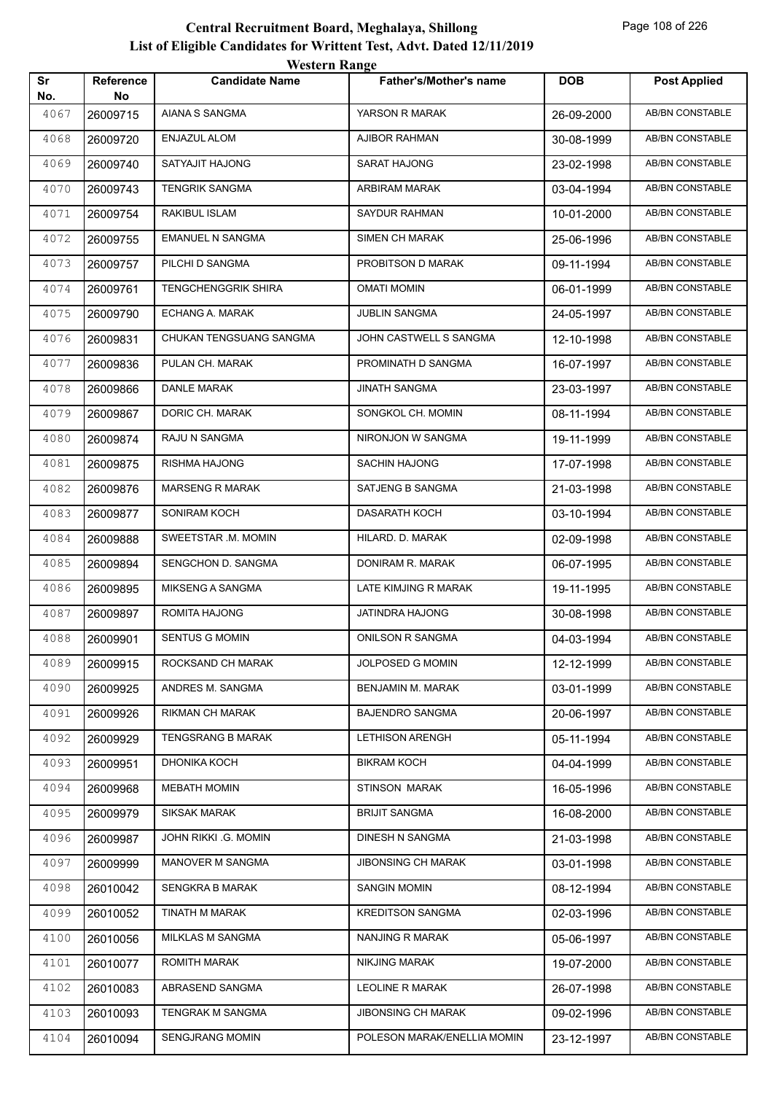|           |                        | western Kange           |                             |            |                        |
|-----------|------------------------|-------------------------|-----------------------------|------------|------------------------|
| Sr<br>No. | <b>Reference</b><br>No | <b>Candidate Name</b>   | Father's/Mother's name      | <b>DOB</b> | <b>Post Applied</b>    |
| 4067      | 26009715               | AIANA S SANGMA          | YARSON R MARAK              | 26-09-2000 | AB/BN CONSTABLE        |
| 4068      | 26009720               | <b>ENJAZUL ALOM</b>     | <b>AJIBOR RAHMAN</b>        | 30-08-1999 | AB/BN CONSTABLE        |
| 4069      | 26009740               | SATYAJIT HAJONG         | <b>SARAT HAJONG</b>         | 23-02-1998 | AB/BN CONSTABLE        |
| 4070      | 26009743               | <b>TENGRIK SANGMA</b>   | ARBIRAM MARAK               | 03-04-1994 | AB/BN CONSTABLE        |
| 4071      | 26009754               | RAKIBUL ISLAM           | SAYDUR RAHMAN               | 10-01-2000 | <b>AB/BN CONSTABLE</b> |
| 4072      | 26009755               | <b>EMANUEL N SANGMA</b> | <b>SIMEN CH MARAK</b>       | 25-06-1996 | <b>AB/BN CONSTABLE</b> |
| 4073      | 26009757               | PILCHI D SANGMA         | PROBITSON D MARAK           | 09-11-1994 | AB/BN CONSTABLE        |
| 4074      | 26009761               | TENGCHENGGRIK SHIRA     | <b>OMATI MOMIN</b>          | 06-01-1999 | AB/BN CONSTABLE        |
| 4075      | 26009790               | ECHANG A. MARAK         | <b>JUBLIN SANGMA</b>        | 24-05-1997 | AB/BN CONSTABLE        |
| 4076      | 26009831               | CHUKAN TENGSUANG SANGMA | JOHN CASTWELL S SANGMA      | 12-10-1998 | AB/BN CONSTABLE        |
| 4077      | 26009836               | PULAN CH. MARAK         | PROMINATH D SANGMA          | 16-07-1997 | <b>AB/BN CONSTABLE</b> |
| 4078      | 26009866               | <b>DANLE MARAK</b>      | <b>JINATH SANGMA</b>        | 23-03-1997 | AB/BN CONSTABLE        |
| 4079      | 26009867               | DORIC CH. MARAK         | SONGKOL CH. MOMIN           | 08-11-1994 | <b>AB/BN CONSTABLE</b> |
| 4080      | 26009874               | RAJU N SANGMA           | NIRONJON W SANGMA           | 19-11-1999 | <b>AB/BN CONSTABLE</b> |
| 4081      | 26009875               | RISHMA HAJONG           | <b>SACHIN HAJONG</b>        | 17-07-1998 | AB/BN CONSTABLE        |
| 4082      | 26009876               | <b>MARSENG R MARAK</b>  | SATJENG B SANGMA            | 21-03-1998 | <b>AB/BN CONSTABLE</b> |
| 4083      | 26009877               | SONIRAM KOCH            | <b>DASARATH KOCH</b>        | 03-10-1994 | <b>AB/BN CONSTABLE</b> |
| 4084      | 26009888               | SWEETSTAR .M. MOMIN     | HILARD. D. MARAK            | 02-09-1998 | AB/BN CONSTABLE        |
| 4085      | 26009894               | SENGCHON D. SANGMA      | DONIRAM R. MARAK            | 06-07-1995 | AB/BN CONSTABLE        |
| 4086      | 26009895               | MIKSENG A SANGMA        | LATE KIMJING R MARAK        | 19-11-1995 | AB/BN CONSTABLE        |
| 4087      | 26009897               | ROMITA HAJONG           | JATINDRA HAJONG             | 30-08-1998 | AB/BN CONSTABLE        |
| 4088      | 26009901               | <b>SENTUS G MOMIN</b>   | <b>ONILSON R SANGMA</b>     | 04-03-1994 | <b>AB/BN CONSTABLE</b> |
| 4089      | 26009915               | ROCKSAND CH MARAK       | JOLPOSED G MOMIN            | 12-12-1999 | AB/BN CONSTABLE        |
| 4090      | 26009925               | ANDRES M. SANGMA        | BENJAMIN M. MARAK           | 03-01-1999 | AB/BN CONSTABLE        |
| 4091      | 26009926               | RIKMAN CH MARAK         | <b>BAJENDRO SANGMA</b>      | 20-06-1997 | AB/BN CONSTABLE        |
| 4092      | 26009929               | TENGSRANG B MARAK       | <b>LETHISON ARENGH</b>      | 05-11-1994 | AB/BN CONSTABLE        |
| 4093      | 26009951               | DHONIKA KOCH            | <b>BIKRAM KOCH</b>          | 04-04-1999 | AB/BN CONSTABLE        |
| 4094      | 26009968               | <b>MEBATH MOMIN</b>     | <b>STINSON MARAK</b>        | 16-05-1996 | AB/BN CONSTABLE        |
| 4095      | 26009979               | <b>SIKSAK MARAK</b>     | <b>BRIJIT SANGMA</b>        | 16-08-2000 | AB/BN CONSTABLE        |
| 4096      | 26009987               | JOHN RIKKI .G. MOMIN    | DINESH N SANGMA             | 21-03-1998 | AB/BN CONSTABLE        |
| 4097      | 26009999               | MANOVER M SANGMA        | <b>JIBONSING CH MARAK</b>   | 03-01-1998 | AB/BN CONSTABLE        |
| 4098      | 26010042               | <b>SENGKRA B MARAK</b>  | <b>SANGIN MOMIN</b>         | 08-12-1994 | AB/BN CONSTABLE        |
| 4099      | 26010052               | TINATH M MARAK          | <b>KREDITSON SANGMA</b>     | 02-03-1996 | AB/BN CONSTABLE        |
| 4100      | 26010056               | MILKLAS M SANGMA        | NANJING R MARAK             | 05-06-1997 | AB/BN CONSTABLE        |
| 4101      | 26010077               | ROMITH MARAK            | NIKJING MARAK               | 19-07-2000 | AB/BN CONSTABLE        |
| 4102      | 26010083               | ABRASEND SANGMA         | <b>LEOLINE R MARAK</b>      | 26-07-1998 | AB/BN CONSTABLE        |
| 4103      | 26010093               | TENGRAK M SANGMA        | <b>JIBONSING CH MARAK</b>   | 09-02-1996 | AB/BN CONSTABLE        |
| 4104      | 26010094               | <b>SENGJRANG MOMIN</b>  | POLESON MARAK/ENELLIA MOMIN | 23-12-1997 | AB/BN CONSTABLE        |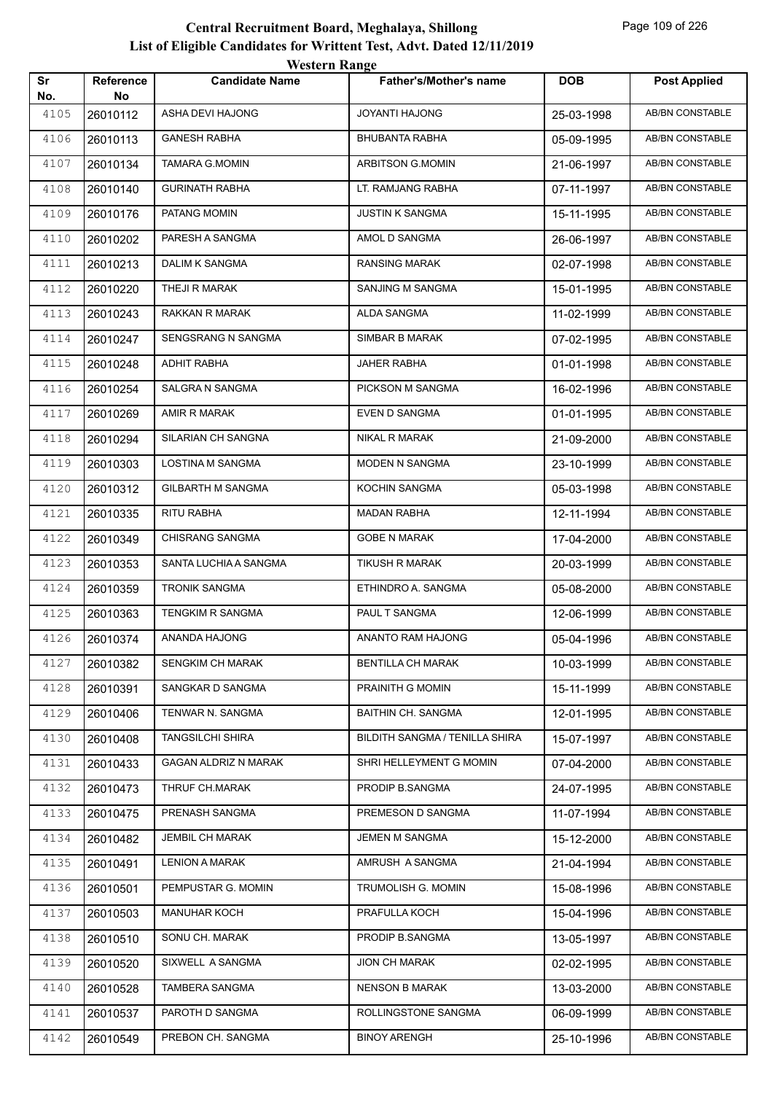|           |                 | western Kange               |                                |            |                        |
|-----------|-----------------|-----------------------------|--------------------------------|------------|------------------------|
| Sr<br>No. | Reference<br>No | <b>Candidate Name</b>       | Father's/Mother's name         | <b>DOB</b> | <b>Post Applied</b>    |
| 4105      | 26010112        | ASHA DEVI HAJONG            | <b>JOYANTI HAJONG</b>          | 25-03-1998 | <b>AB/BN CONSTABLE</b> |
| 4106      | 26010113        | <b>GANESH RABHA</b>         | <b>BHUBANTA RABHA</b>          | 05-09-1995 | AB/BN CONSTABLE        |
| 4107      | 26010134        | <b>TAMARA G.MOMIN</b>       | ARBITSON G.MOMIN               | 21-06-1997 | AB/BN CONSTABLE        |
| 4108      | 26010140        | <b>GURINATH RABHA</b>       | LT. RAMJANG RABHA              | 07-11-1997 | <b>AB/BN CONSTABLE</b> |
| 4109      | 26010176        | PATANG MOMIN                | <b>JUSTIN K SANGMA</b>         | 15-11-1995 | <b>AB/BN CONSTABLE</b> |
| 4110      | 26010202        | PARESH A SANGMA             | AMOL D SANGMA                  | 26-06-1997 | AB/BN CONSTABLE        |
| 4111      | 26010213        | DALIM K SANGMA              | <b>RANSING MARAK</b>           | 02-07-1998 | AB/BN CONSTABLE        |
| 4112      | 26010220        | THEJI R MARAK               | SANJING M SANGMA               | 15-01-1995 | AB/BN CONSTABLE        |
| 4113      | 26010243        | RAKKAN R MARAK              | ALDA SANGMA                    | 11-02-1999 | <b>AB/BN CONSTABLE</b> |
| 4114      | 26010247        | SENGSRANG N SANGMA          | SIMBAR B MARAK                 | 07-02-1995 | AB/BN CONSTABLE        |
| 4115      | 26010248        | <b>ADHIT RABHA</b>          | <b>JAHER RABHA</b>             | 01-01-1998 | AB/BN CONSTABLE        |
| 4116      | 26010254        | SALGRA N SANGMA             | PICKSON M SANGMA               | 16-02-1996 | AB/BN CONSTABLE        |
| 4117      | 26010269        | AMIR R MARAK                | EVEN D SANGMA                  | 01-01-1995 | AB/BN CONSTABLE        |
| 4118      | 26010294        | SILARIAN CH SANGNA          | NIKAL R MARAK                  | 21-09-2000 | <b>AB/BN CONSTABLE</b> |
| 4119      | 26010303        | LOSTINA M SANGMA            | MODEN N SANGMA                 | 23-10-1999 | AB/BN CONSTABLE        |
| 4120      | 26010312        | <b>GILBARTH M SANGMA</b>    | KOCHIN SANGMA                  | 05-03-1998 | AB/BN CONSTABLE        |
| 4121      | 26010335        | RITU RABHA                  | <b>MADAN RABHA</b>             | 12-11-1994 | AB/BN CONSTABLE        |
| 4122      | 26010349        | CHISRANG SANGMA             | <b>GOBE N MARAK</b>            | 17-04-2000 | AB/BN CONSTABLE        |
| 4123      | 26010353        | SANTA LUCHIA A SANGMA       | <b>TIKUSH R MARAK</b>          | 20-03-1999 | <b>AB/BN CONSTABLE</b> |
| 4124      | 26010359        | <b>TRONIK SANGMA</b>        | ETHINDRO A. SANGMA             | 05-08-2000 | AB/BN CONSTABLE        |
| 4125      | 26010363        | <b>TENGKIM R SANGMA</b>     | PAUL T SANGMA                  | 12-06-1999 | AB/BN CONSTABLE        |
| 4126      | 26010374        | ANANDA HAJONG               | ANANTO RAM HAJONG              | 05-04-1996 | AB/BN CONSTABLE        |
| 4127      | 26010382        | <b>SENGKIM CH MARAK</b>     | <b>BENTILLA CH MARAK</b>       | 10-03-1999 | AB/BN CONSTABLE        |
| 4128      | 26010391        | SANGKAR D SANGMA            | PRAINITH G MOMIN               | 15-11-1999 | AB/BN CONSTABLE        |
| 4129      | 26010406        | TENWAR N. SANGMA            | <b>BAITHIN CH. SANGMA</b>      | 12-01-1995 | AB/BN CONSTABLE        |
| 4130      | 26010408        | <b>TANGSILCHI SHIRA</b>     | BILDITH SANGMA / TENILLA SHIRA | 15-07-1997 | AB/BN CONSTABLE        |
| 4131      | 26010433        | <b>GAGAN ALDRIZ N MARAK</b> | SHRI HELLEYMENT G MOMIN        | 07-04-2000 | AB/BN CONSTABLE        |
| 4132      | 26010473        | THRUF CH.MARAK              | PRODIP B.SANGMA                | 24-07-1995 | AB/BN CONSTABLE        |
| 4133      | 26010475        | PRENASH SANGMA              | PREMESON D SANGMA              | 11-07-1994 | AB/BN CONSTABLE        |
| 4134      | 26010482        | JEMBIL CH MARAK             | JEMEN M SANGMA                 | 15-12-2000 | AB/BN CONSTABLE        |
| 4135      | 26010491        | <b>LENION A MARAK</b>       | AMRUSH A SANGMA                | 21-04-1994 | AB/BN CONSTABLE        |
| 4136      | 26010501        | PEMPUSTAR G. MOMIN          | TRUMOLISH G. MOMIN             | 15-08-1996 | AB/BN CONSTABLE        |
| 4137      | 26010503        | <b>MANUHAR KOCH</b>         | PRAFULLA KOCH                  | 15-04-1996 | AB/BN CONSTABLE        |
| 4138      | 26010510        | SONU CH. MARAK              | PRODIP B.SANGMA                | 13-05-1997 | AB/BN CONSTABLE        |
| 4139      | 26010520        | SIXWELL A SANGMA            | <b>JION CH MARAK</b>           | 02-02-1995 | AB/BN CONSTABLE        |
| 4140      | 26010528        | TAMBERA SANGMA              | <b>NENSON B MARAK</b>          | 13-03-2000 | AB/BN CONSTABLE        |
| 4141      | 26010537        | PAROTH D SANGMA             | ROLLINGSTONE SANGMA            | 06-09-1999 | AB/BN CONSTABLE        |
| 4142      | 26010549        | PREBON CH. SANGMA           | <b>BINOY ARENGH</b>            | 25-10-1996 | AB/BN CONSTABLE        |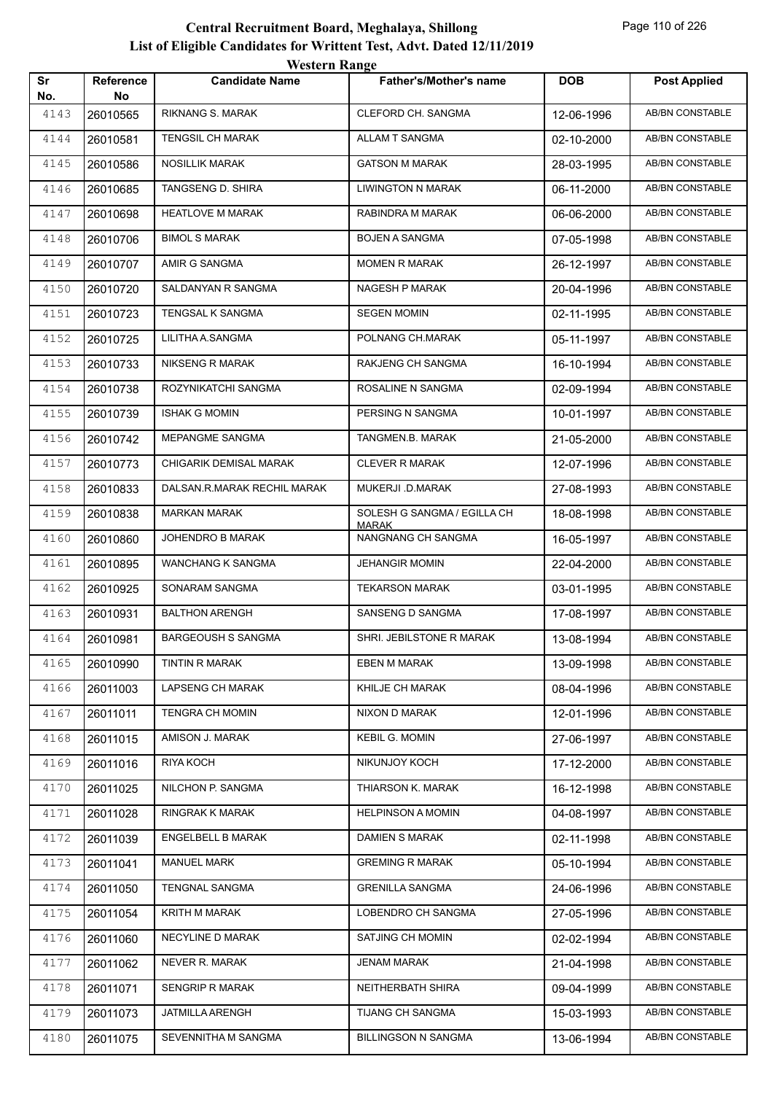| Sr          | Reference | <i>W</i> USIUL IVANGU<br><b>Candidate Name</b> | <b>Father's/Mother's name</b>      | <b>DOB</b> | <b>Post Applied</b>    |
|-------------|-----------|------------------------------------------------|------------------------------------|------------|------------------------|
| No.<br>4143 | No.       | RIKNANG S. MARAK                               | <b>CLEFORD CH. SANGMA</b>          |            | AB/BN CONSTABLE        |
|             | 26010565  | <b>TENGSIL CH MARAK</b>                        | ALLAM T SANGMA                     | 12-06-1996 | AB/BN CONSTABLE        |
| 4144        | 26010581  |                                                |                                    | 02-10-2000 |                        |
| 4145        | 26010586  | <b>NOSILLIK MARAK</b>                          | <b>GATSON M MARAK</b>              | 28-03-1995 | AB/BN CONSTABLE        |
| 4146        | 26010685  | TANGSENG D. SHIRA                              | <b>LIWINGTON N MARAK</b>           | 06-11-2000 | AB/BN CONSTABLE        |
| 4147        | 26010698  | <b>HEATLOVE M MARAK</b>                        | RABINDRA M MARAK                   | 06-06-2000 | AB/BN CONSTABLE        |
| 4148        | 26010706  | <b>BIMOL S MARAK</b>                           | <b>BOJEN A SANGMA</b>              | 07-05-1998 | AB/BN CONSTABLE        |
| 4149        | 26010707  | AMIR G SANGMA                                  | <b>MOMEN R MARAK</b>               | 26-12-1997 | AB/BN CONSTABLE        |
| 4150        | 26010720  | SALDANYAN R SANGMA                             | NAGESH P MARAK                     | 20-04-1996 | AB/BN CONSTABLE        |
| 4151        | 26010723  | TENGSAL K SANGMA                               | <b>SEGEN MOMIN</b>                 | 02-11-1995 | AB/BN CONSTABLE        |
| 4152        | 26010725  | LILITHA A.SANGMA                               | POLNANG CH.MARAK                   | 05-11-1997 | AB/BN CONSTABLE        |
| 4153        | 26010733  | <b>NIKSENG R MARAK</b>                         | RAKJENG CH SANGMA                  | 16-10-1994 | AB/BN CONSTABLE        |
| 4154        | 26010738  | ROZYNIKATCHI SANGMA                            | ROSALINE N SANGMA                  | 02-09-1994 | AB/BN CONSTABLE        |
| 4155        | 26010739  | <b>ISHAK G MOMIN</b>                           | PERSING N SANGMA                   | 10-01-1997 | AB/BN CONSTABLE        |
| 4156        | 26010742  | MEPANGME SANGMA                                | TANGMEN.B. MARAK                   | 21-05-2000 | <b>AB/BN CONSTABLE</b> |
| 4157        | 26010773  | CHIGARIK DEMISAL MARAK                         | <b>CLEVER R MARAK</b>              | 12-07-1996 | AB/BN CONSTABLE        |
| 4158        | 26010833  | DALSAN.R.MARAK RECHIL MARAK                    | MUKERJI .D.MARAK                   | 27-08-1993 | <b>AB/BN CONSTABLE</b> |
| 4159        | 26010838  | <b>MARKAN MARAK</b>                            | SOLESH G SANGMA / EGILLA CH        | 18-08-1998 | AB/BN CONSTABLE        |
| 4160        | 26010860  | JOHENDRO B MARAK                               | <b>MARAK</b><br>NANGNANG CH SANGMA | 16-05-1997 | AB/BN CONSTABLE        |
| 4161        | 26010895  | WANCHANG K SANGMA                              | <b>JEHANGIR MOMIN</b>              | 22-04-2000 | AB/BN CONSTABLE        |
| 4162        | 26010925  | SONARAM SANGMA                                 | <b>TEKARSON MARAK</b>              | 03-01-1995 | AB/BN CONSTABLE        |
| 4163        | 26010931  | <b>BALTHON ARENGH</b>                          | SANSENG D SANGMA                   | 17-08-1997 | AB/BN CONSTABLE        |
| 4164        | 26010981  | <b>BARGEOUSH S SANGMA</b>                      | SHRI. JEBILSTONE R MARAK           | 13-08-1994 | AB/BN CONSTABLE        |
| 4165        | 26010990  | TINTIN R MARAK                                 | EBEN M MARAK                       | 13-09-1998 | AB/BN CONSTABLE        |
| 4166        | 26011003  | <b>LAPSENG CH MARAK</b>                        | KHILJE CH MARAK                    | 08-04-1996 | AB/BN CONSTABLE        |
| 4167        | 26011011  | TENGRA CH MOMIN                                | NIXON D MARAK                      | 12-01-1996 | AB/BN CONSTABLE        |
| 4168        | 26011015  | AMISON J. MARAK                                | <b>KEBIL G. MOMIN</b>              | 27-06-1997 | AB/BN CONSTABLE        |
| 4169        | 26011016  | RIYA KOCH                                      | NIKUNJOY KOCH                      | 17-12-2000 | AB/BN CONSTABLE        |
| 4170        | 26011025  | NILCHON P. SANGMA                              | THIARSON K. MARAK                  | 16-12-1998 | AB/BN CONSTABLE        |
| 4171        | 26011028  | RINGRAK K MARAK                                | <b>HELPINSON A MOMIN</b>           | 04-08-1997 | <b>AB/BN CONSTABLE</b> |
| 4172        | 26011039  | ENGELBELL B MARAK                              | DAMIEN S MARAK                     | 02-11-1998 | AB/BN CONSTABLE        |
| 4173        | 26011041  | <b>MANUEL MARK</b>                             | <b>GREMING R MARAK</b>             | 05-10-1994 | AB/BN CONSTABLE        |
| 4174        | 26011050  | TENGNAL SANGMA                                 | <b>GRENILLA SANGMA</b>             | 24-06-1996 | AB/BN CONSTABLE        |
| 4175        | 26011054  | KRITH M MARAK                                  | LOBENDRO CH SANGMA                 | 27-05-1996 | AB/BN CONSTABLE        |
| 4176        | 26011060  | NECYLINE D MARAK                               | SATJING CH MOMIN                   | 02-02-1994 | AB/BN CONSTABLE        |
| 4177        | 26011062  | NEVER R. MARAK                                 | JENAM MARAK                        | 21-04-1998 | AB/BN CONSTABLE        |
| 4178        | 26011071  | SENGRIP R MARAK                                | NEITHERBATH SHIRA                  | 09-04-1999 | AB/BN CONSTABLE        |
| 4179        | 26011073  | JATMILLA ARENGH                                | TIJANG CH SANGMA                   | 15-03-1993 | AB/BN CONSTABLE        |
| 4180        | 26011075  | SEVENNITHA M SANGMA                            | <b>BILLINGSON N SANGMA</b>         | 13-06-1994 | AB/BN CONSTABLE        |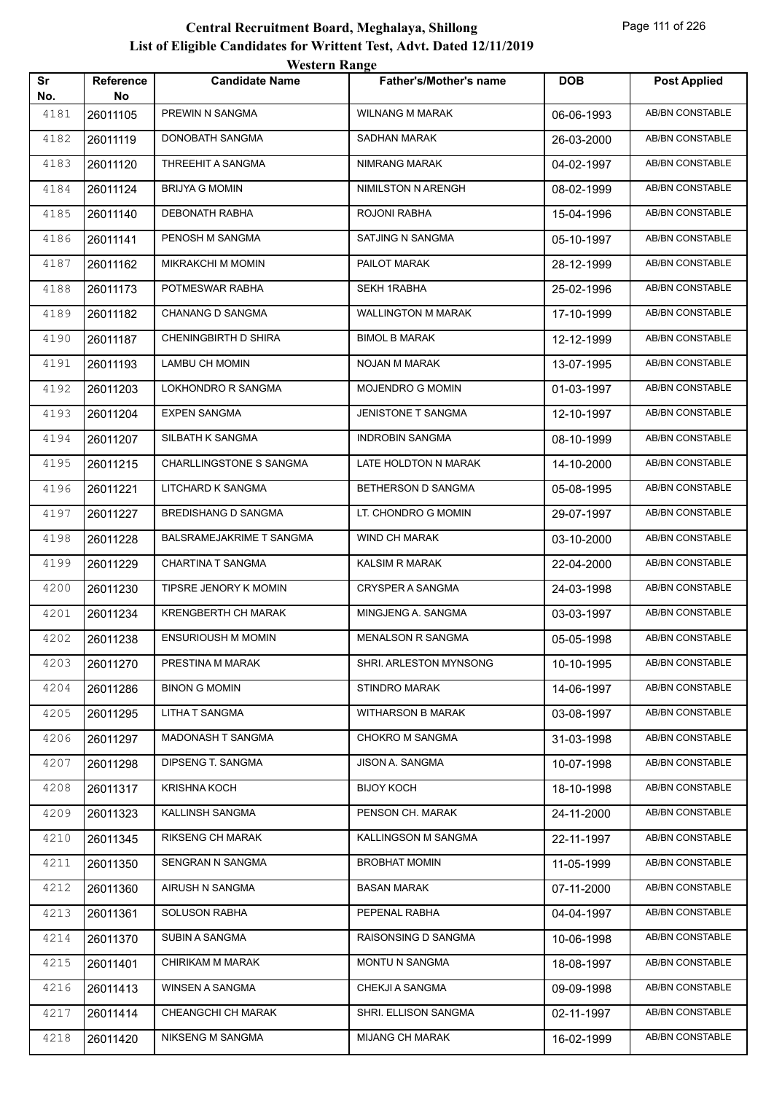|           |                 | <i>Western Kange</i>           |                               |            |                        |
|-----------|-----------------|--------------------------------|-------------------------------|------------|------------------------|
| Sr<br>No. | Reference<br>No | <b>Candidate Name</b>          | <b>Father's/Mother's name</b> | <b>DOB</b> | <b>Post Applied</b>    |
| 4181      | 26011105        | PREWIN N SANGMA                | <b>WILNANG M MARAK</b>        | 06-06-1993 | <b>AB/BN CONSTABLE</b> |
| 4182      | 26011119        | <b>DONOBATH SANGMA</b>         | <b>SADHAN MARAK</b>           | 26-03-2000 | <b>AB/BN CONSTABLE</b> |
| 4183      | 26011120        | THREEHIT A SANGMA              | NIMRANG MARAK                 | 04-02-1997 | <b>AB/BN CONSTABLE</b> |
| 4184      | 26011124        | <b>BRIJYA G MOMIN</b>          | NIMILSTON N ARENGH            | 08-02-1999 | AB/BN CONSTABLE        |
| 4185      | 26011140        | DEBONATH RABHA                 | ROJONI RABHA                  | 15-04-1996 | AB/BN CONSTABLE        |
| 4186      | 26011141        | PENOSH M SANGMA                | SATJING N SANGMA              | 05-10-1997 | AB/BN CONSTABLE        |
| 4187      | 26011162        | <b>MIKRAKCHI M MOMIN</b>       | PAILOT MARAK                  | 28-12-1999 | AB/BN CONSTABLE        |
| 4188      | 26011173        | POTMESWAR RABHA                | <b>SEKH 1RABHA</b>            | 25-02-1996 | AB/BN CONSTABLE        |
| 4189      | 26011182        | <b>CHANANG D SANGMA</b>        | <b>WALLINGTON M MARAK</b>     | 17-10-1999 | AB/BN CONSTABLE        |
| 4190      | 26011187        | CHENINGBIRTH D SHIRA           | <b>BIMOL B MARAK</b>          | 12-12-1999 | AB/BN CONSTABLE        |
| 4191      | 26011193        | LAMBU CH MOMIN                 | <b>NOJAN M MARAK</b>          | 13-07-1995 | AB/BN CONSTABLE        |
| 4192      | 26011203        | LOKHONDRO R SANGMA             | <b>MOJENDRO G MOMIN</b>       | 01-03-1997 | AB/BN CONSTABLE        |
| 4193      | 26011204        | <b>EXPEN SANGMA</b>            | JENISTONE T SANGMA            | 12-10-1997 | AB/BN CONSTABLE        |
| 4194      | 26011207        | SILBATH K SANGMA               | <b>INDROBIN SANGMA</b>        | 08-10-1999 | AB/BN CONSTABLE        |
| 4195      | 26011215        | <b>CHARLLINGSTONE S SANGMA</b> | LATE HOLDTON N MARAK          | 14-10-2000 | <b>AB/BN CONSTABLE</b> |
| 4196      | 26011221        | LITCHARD K SANGMA              | BETHERSON D SANGMA            | 05-08-1995 | AB/BN CONSTABLE        |
| 4197      | 26011227        | <b>BREDISHANG D SANGMA</b>     | LT. CHONDRO G MOMIN           | 29-07-1997 | AB/BN CONSTABLE        |
| 4198      | 26011228        | BALSRAMEJAKRIME T SANGMA       | WIND CH MARAK                 | 03-10-2000 | AB/BN CONSTABLE        |
| 4199      | 26011229        | CHARTINA T SANGMA              | KALSIM R MARAK                | 22-04-2000 | AB/BN CONSTABLE        |
| 4200      | 26011230        | TIPSRE JENORY K MOMIN          | CRYSPER A SANGMA              | 24-03-1998 | AB/BN CONSTABLE        |
| 4201      | 26011234        | KRENGBERTH CH MARAK            | MINGJENG A. SANGMA            | 03-03-1997 | AB/BN CONSTABLE        |
| 4202      | 26011238        | <b>ENSURIOUSH M MOMIN</b>      | <b>MENALSON R SANGMA</b>      | 05-05-1998 | AB/BN CONSTABLE        |
| 4203      | 26011270        | PRESTINA M MARAK               | SHRI. ARLESTON MYNSONG        | 10-10-1995 | AB/BN CONSTABLE        |
| 4204      | 26011286        | <b>BINON G MOMIN</b>           | STINDRO MARAK                 | 14-06-1997 | AB/BN CONSTABLE        |
| 4205      | 26011295        | LITHA T SANGMA                 | <b>WITHARSON B MARAK</b>      | 03-08-1997 | AB/BN CONSTABLE        |
| 4206      | 26011297        | MADONASH T SANGMA              | CHOKRO M SANGMA               | 31-03-1998 | AB/BN CONSTABLE        |
| 4207      | 26011298        | DIPSENG T. SANGMA              | JISON A. SANGMA               | 10-07-1998 | AB/BN CONSTABLE        |
| 4208      | 26011317        | <b>KRISHNA KOCH</b>            | <b>BIJOY KOCH</b>             | 18-10-1998 | AB/BN CONSTABLE        |
| 4209      | 26011323        | KALLINSH SANGMA                | PENSON CH. MARAK              | 24-11-2000 | AB/BN CONSTABLE        |
| 4210      | 26011345        | RIKSENG CH MARAK               | KALLINGSON M SANGMA           | 22-11-1997 | AB/BN CONSTABLE        |
| 4211      | 26011350        | SENGRAN N SANGMA               | <b>BROBHAT MOMIN</b>          | 11-05-1999 | AB/BN CONSTABLE        |
| 4212      | 26011360        | AIRUSH N SANGMA                | BASAN MARAK                   | 07-11-2000 | AB/BN CONSTABLE        |
| 4213      | 26011361        | <b>SOLUSON RABHA</b>           | PEPENAL RABHA                 | 04-04-1997 | AB/BN CONSTABLE        |
| 4214      | 26011370        | SUBIN A SANGMA                 | RAISONSING D SANGMA           | 10-06-1998 | AB/BN CONSTABLE        |
| 4215      | 26011401        | CHIRIKAM M MARAK               | MONTU N SANGMA                | 18-08-1997 | AB/BN CONSTABLE        |
| 4216      | 26011413        | WINSEN A SANGMA                | CHEKJI A SANGMA               | 09-09-1998 | AB/BN CONSTABLE        |
| 4217      | 26011414        | CHEANGCHI CH MARAK             | SHRI. ELLISON SANGMA          | 02-11-1997 | AB/BN CONSTABLE        |
| 4218      | 26011420        | NIKSENG M SANGMA               | <b>MIJANG CH MARAK</b>        | 16-02-1999 | AB/BN CONSTABLE        |
|           |                 |                                |                               |            |                        |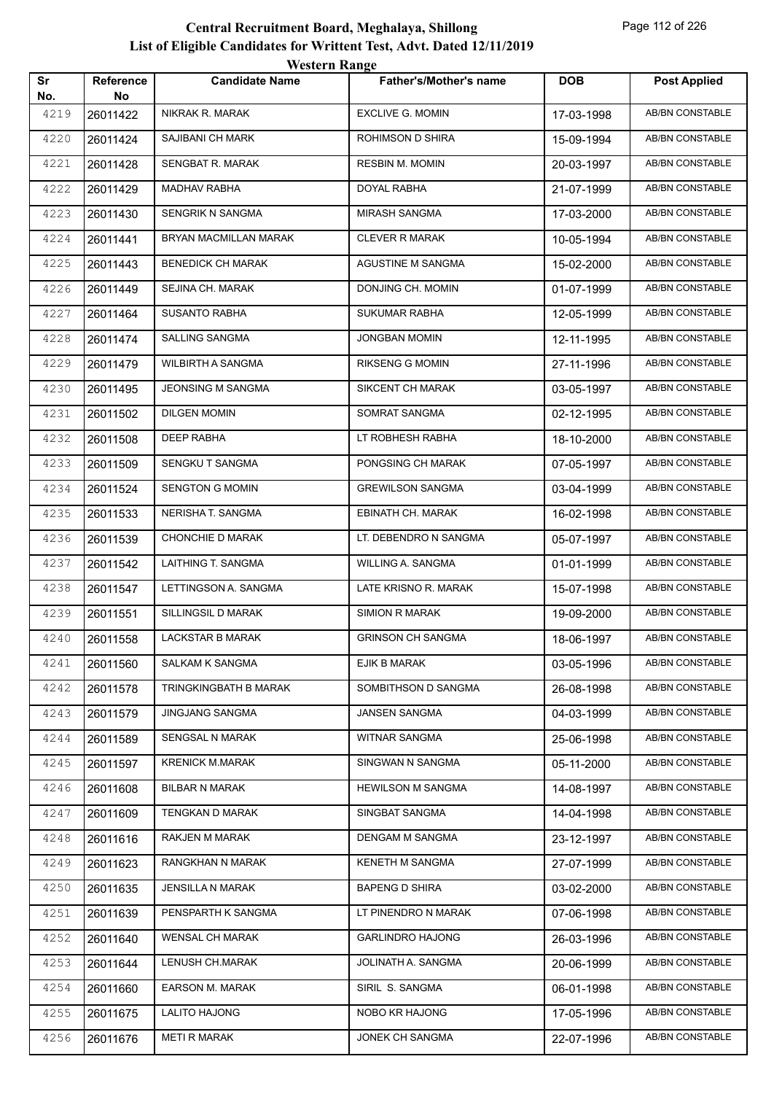|           |                        | WESTEL II INALIZE        |                               |            |                        |
|-----------|------------------------|--------------------------|-------------------------------|------------|------------------------|
| Sr<br>No. | <b>Reference</b><br>No | <b>Candidate Name</b>    | <b>Father's/Mother's name</b> | <b>DOB</b> | <b>Post Applied</b>    |
| 4219      | 26011422               | <b>NIKRAK R. MARAK</b>   | <b>EXCLIVE G. MOMIN</b>       | 17-03-1998 | <b>AB/BN CONSTABLE</b> |
| 4220      | 26011424               | SAJIBANI CH MARK         | ROHIMSON D SHIRA              | 15-09-1994 | <b>AB/BN CONSTABLE</b> |
| 4221      | 26011428               | SENGBAT R. MARAK         | <b>RESBIN M. MOMIN</b>        | 20-03-1997 | AB/BN CONSTABLE        |
| 4222      | 26011429               | MADHAV RABHA             | DOYAL RABHA                   | 21-07-1999 | AB/BN CONSTABLE        |
| 4223      | 26011430               | SENGRIK N SANGMA         | <b>MIRASH SANGMA</b>          | 17-03-2000 | AB/BN CONSTABLE        |
| 4224      | 26011441               | BRYAN MACMILLAN MARAK    | <b>CLEVER R MARAK</b>         | 10-05-1994 | AB/BN CONSTABLE        |
| 4225      | 26011443               | <b>BENEDICK CH MARAK</b> | AGUSTINE M SANGMA             | 15-02-2000 | <b>AB/BN CONSTABLE</b> |
| 4226      | 26011449               | SEJINA CH. MARAK         | DONJING CH. MOMIN             | 01-07-1999 | AB/BN CONSTABLE        |
| 4227      | 26011464               | <b>SUSANTO RABHA</b>     | <b>SUKUMAR RABHA</b>          | 12-05-1999 | <b>AB/BN CONSTABLE</b> |
| 4228      | 26011474               | SALLING SANGMA           | <b>JONGBAN MOMIN</b>          | 12-11-1995 | <b>AB/BN CONSTABLE</b> |
| 4229      | 26011479               | WILBIRTH A SANGMA        | <b>RIKSENG G MOMIN</b>        | 27-11-1996 | AB/BN CONSTABLE        |
| 4230      | 26011495               | <b>JEONSING M SANGMA</b> | SIKCENT CH MARAK              | 03-05-1997 | AB/BN CONSTABLE        |
| 4231      | 26011502               | <b>DILGEN MOMIN</b>      | SOMRAT SANGMA                 | 02-12-1995 | AB/BN CONSTABLE        |
| 4232      | 26011508               | DEEP RABHA               | LT ROBHESH RABHA              | 18-10-2000 | AB/BN CONSTABLE        |
| 4233      | 26011509               | SENGKU T SANGMA          | PONGSING CH MARAK             | 07-05-1997 | AB/BN CONSTABLE        |
| 4234      | 26011524               | <b>SENGTON G MOMIN</b>   | <b>GREWILSON SANGMA</b>       | 03-04-1999 | AB/BN CONSTABLE        |
| 4235      | 26011533               | NERISHA T. SANGMA        | EBINATH CH. MARAK             | 16-02-1998 | <b>AB/BN CONSTABLE</b> |
| 4236      | 26011539               | CHONCHIE D MARAK         | LT. DEBENDRO N SANGMA         | 05-07-1997 | AB/BN CONSTABLE        |
| 4237      | 26011542               | LAITHING T. SANGMA       | WILLING A. SANGMA             | 01-01-1999 | AB/BN CONSTABLE        |
| 4238      | 26011547               | LETTINGSON A. SANGMA     | LATE KRISNO R. MARAK          | 15-07-1998 | AB/BN CONSTABLE        |
| 4239      | 26011551               | SILLINGSIL D MARAK       | <b>SIMION R MARAK</b>         | 19-09-2000 | AB/BN CONSTABLE        |
| 4240      | 26011558               | LACKSTAR B MARAK         | <b>GRINSON CH SANGMA</b>      | 18-06-1997 | AB/BN CONSTABLE        |
| 4241      | 26011560               | SALKAM K SANGMA          | EJIK B MARAK                  | 03-05-1996 | AB/BN CONSTABLE        |
| 4242      | 26011578               | TRINGKINGBATH B MARAK    | SOMBITHSON D SANGMA           | 26-08-1998 | AB/BN CONSTABLE        |
| 4243      | 26011579               | <b>JINGJANG SANGMA</b>   | JANSEN SANGMA                 | 04-03-1999 | AB/BN CONSTABLE        |
| 4244      | 26011589               | SENGSAL N MARAK          | WITNAR SANGMA                 | 25-06-1998 | AB/BN CONSTABLE        |
| 4245      | 26011597               | <b>KRENICK M.MARAK</b>   | SINGWAN N SANGMA              | 05-11-2000 | AB/BN CONSTABLE        |
| 4246      | 26011608               | <b>BILBAR N MARAK</b>    | <b>HEWILSON M SANGMA</b>      | 14-08-1997 | AB/BN CONSTABLE        |
| 4247      | 26011609               | TENGKAN D MARAK          | SINGBAT SANGMA                | 14-04-1998 | AB/BN CONSTABLE        |
| 4248      | 26011616               | RAKJEN M MARAK           | DENGAM M SANGMA               | 23-12-1997 | AB/BN CONSTABLE        |
| 4249      | 26011623               | RANGKHAN N MARAK         | KENETH M SANGMA               | 27-07-1999 | AB/BN CONSTABLE        |
| 4250      | 26011635               | JENSILLA N MARAK         | <b>BAPENG D SHIRA</b>         | 03-02-2000 | AB/BN CONSTABLE        |
| 4251      | 26011639               | PENSPARTH K SANGMA       | LT PINENDRO N MARAK           | 07-06-1998 | AB/BN CONSTABLE        |
| 4252      | 26011640               | <b>WENSAL CH MARAK</b>   | <b>GARLINDRO HAJONG</b>       | 26-03-1996 | AB/BN CONSTABLE        |
| 4253      | 26011644               | LENUSH CH.MARAK          | JOLINATH A. SANGMA            | 20-06-1999 | AB/BN CONSTABLE        |
| 4254      | 26011660               | <b>EARSON M. MARAK</b>   | SIRIL S. SANGMA               | 06-01-1998 | AB/BN CONSTABLE        |
| 4255      | 26011675               | <b>LALITO HAJONG</b>     | NOBO KR HAJONG                | 17-05-1996 | AB/BN CONSTABLE        |
| 4256      | 26011676               | <b>METI R MARAK</b>      | JONEK CH SANGMA               | 22-07-1996 | AB/BN CONSTABLE        |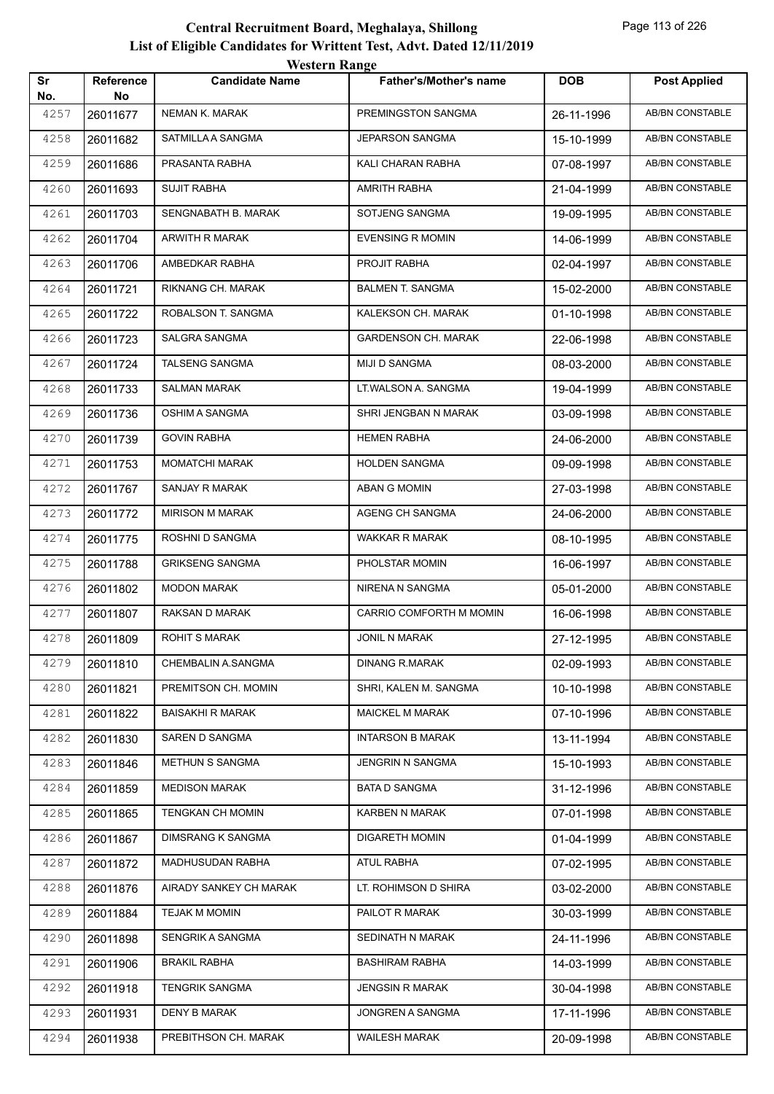|           |                        | <b>Western Range</b>     |                               |            |                        |
|-----------|------------------------|--------------------------|-------------------------------|------------|------------------------|
| Sr<br>No. | <b>Reference</b><br>No | <b>Candidate Name</b>    | <b>Father's/Mother's name</b> | <b>DOB</b> | <b>Post Applied</b>    |
| 4257      | 26011677               | <b>NEMAN K. MARAK</b>    | PREMINGSTON SANGMA            | 26-11-1996 | <b>AB/BN CONSTABLE</b> |
| 4258      | 26011682               | SATMILLA A SANGMA        | <b>JEPARSON SANGMA</b>        | 15-10-1999 | <b>AB/BN CONSTABLE</b> |
| 4259      | 26011686               | PRASANTA RABHA           | KALI CHARAN RABHA             | 07-08-1997 | AB/BN CONSTABLE        |
| 4260      | 26011693               | <b>SUJIT RABHA</b>       | AMRITH RABHA                  | 21-04-1999 | <b>AB/BN CONSTABLE</b> |
| 4261      | 26011703               | SENGNABATH B. MARAK      | SOTJENG SANGMA                | 19-09-1995 | AB/BN CONSTABLE        |
| 4262      | 26011704               | <b>ARWITH R MARAK</b>    | <b>EVENSING R MOMIN</b>       | 14-06-1999 | <b>AB/BN CONSTABLE</b> |
| 4263      | 26011706               | AMBEDKAR RABHA           | PROJIT RABHA                  | 02-04-1997 | AB/BN CONSTABLE        |
| 4264      | 26011721               | RIKNANG CH. MARAK        | <b>BALMEN T. SANGMA</b>       | 15-02-2000 | <b>AB/BN CONSTABLE</b> |
| 4265      | 26011722               | ROBALSON T. SANGMA       | KALEKSON CH. MARAK            | 01-10-1998 | <b>AB/BN CONSTABLE</b> |
| 4266      | 26011723               | SALGRA SANGMA            | <b>GARDENSON CH. MARAK</b>    | 22-06-1998 | <b>AB/BN CONSTABLE</b> |
| 4267      | 26011724               | <b>TALSENG SANGMA</b>    | MIJI D SANGMA                 | 08-03-2000 | <b>AB/BN CONSTABLE</b> |
| 4268      | 26011733               | <b>SALMAN MARAK</b>      | LT.WALSON A. SANGMA           | 19-04-1999 | <b>AB/BN CONSTABLE</b> |
| 4269      | 26011736               | OSHIM A SANGMA           | SHRI JENGBAN N MARAK          | 03-09-1998 | <b>AB/BN CONSTABLE</b> |
| 4270      | 26011739               | <b>GOVIN RABHA</b>       | <b>HEMEN RABHA</b>            | 24-06-2000 | <b>AB/BN CONSTABLE</b> |
| 4271      | 26011753               | <b>MOMATCHI MARAK</b>    | <b>HOLDEN SANGMA</b>          | 09-09-1998 | AB/BN CONSTABLE        |
| 4272      | 26011767               | <b>SANJAY R MARAK</b>    | <b>ABAN G MOMIN</b>           | 27-03-1998 | <b>AB/BN CONSTABLE</b> |
| 4273      | 26011772               | <b>MIRISON M MARAK</b>   | AGENG CH SANGMA               | 24-06-2000 | AB/BN CONSTABLE        |
| 4274      | 26011775               | ROSHNI D SANGMA          | <b>WAKKAR R MARAK</b>         | 08-10-1995 | <b>AB/BN CONSTABLE</b> |
| 4275      | 26011788               | <b>GRIKSENG SANGMA</b>   | PHOLSTAR MOMIN                | 16-06-1997 | <b>AB/BN CONSTABLE</b> |
| 4276      | 26011802               | <b>MODON MARAK</b>       | NIRENA N SANGMA               | 05-01-2000 | AB/BN CONSTABLE        |
| 4277      | 26011807               | RAKSAN D MARAK           | CARRIO COMFORTH M MOMIN       | 16-06-1998 | AB/BN CONSTABLE        |
| 4278      | 26011809               | <b>ROHIT S MARAK</b>     | <b>JONIL N MARAK</b>          | 27-12-1995 | AB/BN CONSTABLE        |
| 4279      | 26011810               | CHEMBALIN A.SANGMA       | DINANG R.MARAK                | 02-09-1993 | AB/BN CONSTABLE        |
| 4280      | 26011821               | PREMITSON CH. MOMIN      | SHRI, KALEN M. SANGMA         | 10-10-1998 | AB/BN CONSTABLE        |
| 4281      | 26011822               | <b>BAISAKHI R MARAK</b>  | <b>MAICKEL M MARAK</b>        | 07-10-1996 | AB/BN CONSTABLE        |
| 4282      | 26011830               | SAREN D SANGMA           | <b>INTARSON B MARAK</b>       | 13-11-1994 | AB/BN CONSTABLE        |
| 4283      | 26011846               | METHUN S SANGMA          | JENGRIN N SANGMA              | 15-10-1993 | AB/BN CONSTABLE        |
| 4284      | 26011859               | <b>MEDISON MARAK</b>     | <b>BATA D SANGMA</b>          | 31-12-1996 | AB/BN CONSTABLE        |
| 4285      | 26011865               | TENGKAN CH MOMIN         | KARBEN N MARAK                | 07-01-1998 | AB/BN CONSTABLE        |
| 4286      | 26011867               | <b>DIMSRANG K SANGMA</b> | <b>DIGARETH MOMIN</b>         | 01-04-1999 | AB/BN CONSTABLE        |
| 4287      | 26011872               | MADHUSUDAN RABHA         | ATUL RABHA                    | 07-02-1995 | AB/BN CONSTABLE        |
| 4288      | 26011876               | AIRADY SANKEY CH MARAK   | LT. ROHIMSON D SHIRA          | 03-02-2000 | AB/BN CONSTABLE        |
| 4289      | 26011884               | TEJAK M MOMIN            | PAILOT R MARAK                | 30-03-1999 | AB/BN CONSTABLE        |
| 4290      | 26011898               | SENGRIK A SANGMA         | SEDINATH N MARAK              | 24-11-1996 | AB/BN CONSTABLE        |
| 4291      | 26011906               | <b>BRAKIL RABHA</b>      | <b>BASHIRAM RABHA</b>         | 14-03-1999 | AB/BN CONSTABLE        |
| 4292      | 26011918               | <b>TENGRIK SANGMA</b>    | <b>JENGSIN R MARAK</b>        | 30-04-1998 | AB/BN CONSTABLE        |
| 4293      | 26011931               | <b>DENY B MARAK</b>      | JONGREN A SANGMA              | 17-11-1996 | AB/BN CONSTABLE        |
| 4294      | 26011938               | PREBITHSON CH. MARAK     | <b>WAILESH MARAK</b>          | 20-09-1998 | AB/BN CONSTABLE        |
|           |                        |                          |                               |            |                        |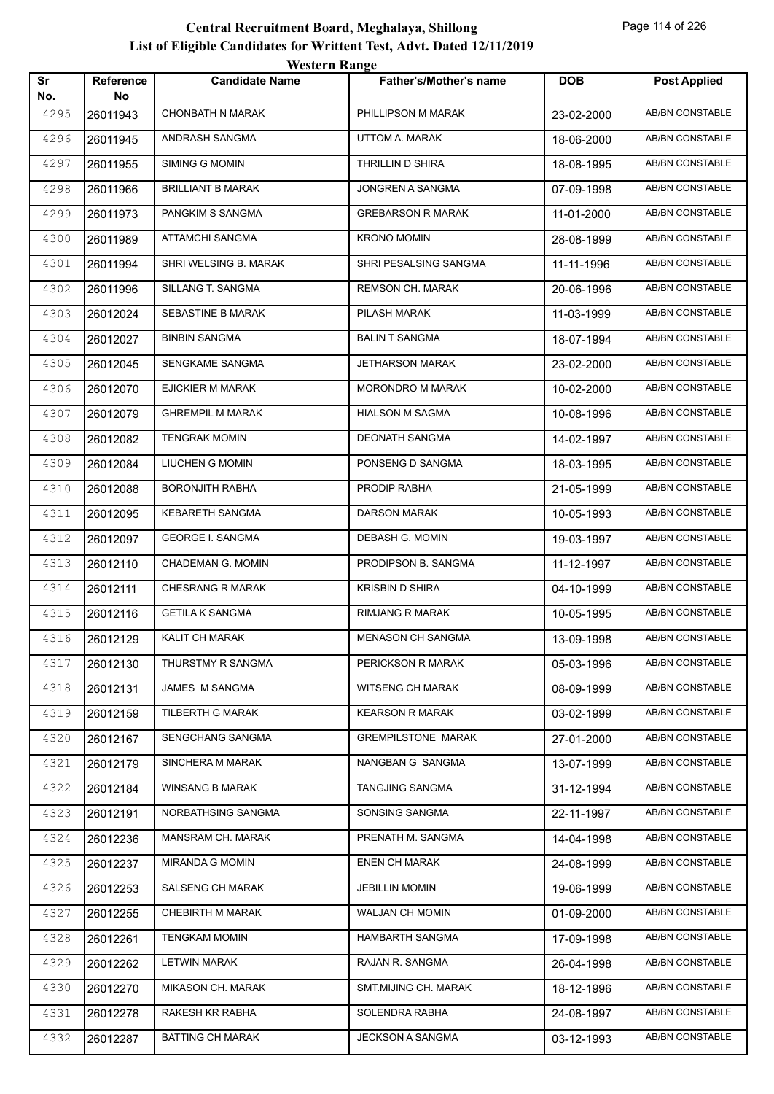|           |                        | WESTEL II INALIZE        |                               |            |                        |
|-----------|------------------------|--------------------------|-------------------------------|------------|------------------------|
| Sr<br>No. | <b>Reference</b><br>No | <b>Candidate Name</b>    | <b>Father's/Mother's name</b> | <b>DOB</b> | <b>Post Applied</b>    |
| 4295      | 26011943               | <b>CHONBATH N MARAK</b>  | PHILLIPSON M MARAK            | 23-02-2000 | <b>AB/BN CONSTABLE</b> |
| 4296      | 26011945               | ANDRASH SANGMA           | UTTOM A. MARAK                | 18-06-2000 | AB/BN CONSTABLE        |
| 4297      | 26011955               | <b>SIMING G MOMIN</b>    | THRILLIN D SHIRA              | 18-08-1995 | AB/BN CONSTABLE        |
| 4298      | 26011966               | <b>BRILLIANT B MARAK</b> | JONGREN A SANGMA              | 07-09-1998 | AB/BN CONSTABLE        |
| 4299      | 26011973               | PANGKIM S SANGMA         | <b>GREBARSON R MARAK</b>      | 11-01-2000 | AB/BN CONSTABLE        |
| 4300      | 26011989               | ATTAMCHI SANGMA          | <b>KRONO MOMIN</b>            | 28-08-1999 | AB/BN CONSTABLE        |
| 4301      | 26011994               | SHRI WELSING B. MARAK    | SHRI PESALSING SANGMA         | 11-11-1996 | AB/BN CONSTABLE        |
| 4302      | 26011996               | SILLANG T. SANGMA        | <b>REMSON CH. MARAK</b>       | 20-06-1996 | AB/BN CONSTABLE        |
| 4303      | 26012024               | SEBASTINE B MARAK        | PILASH MARAK                  | 11-03-1999 | AB/BN CONSTABLE        |
| 4304      | 26012027               | <b>BINBIN SANGMA</b>     | <b>BALIN T SANGMA</b>         | 18-07-1994 | <b>AB/BN CONSTABLE</b> |
| 4305      | 26012045               | SENGKAME SANGMA          | JETHARSON MARAK               | 23-02-2000 | AB/BN CONSTABLE        |
| 4306      | 26012070               | EJICKIER M MARAK         | <b>MORONDRO M MARAK</b>       | 10-02-2000 | AB/BN CONSTABLE        |
| 4307      | 26012079               | <b>GHREMPIL M MARAK</b>  | <b>HIALSON M SAGMA</b>        | 10-08-1996 | AB/BN CONSTABLE        |
| 4308      | 26012082               | <b>TENGRAK MOMIN</b>     | DEONATH SANGMA                | 14-02-1997 | AB/BN CONSTABLE        |
| 4309      | 26012084               | LIUCHEN G MOMIN          | PONSENG D SANGMA              | 18-03-1995 | <b>AB/BN CONSTABLE</b> |
| 4310      | 26012088               | <b>BORONJITH RABHA</b>   | PRODIP RABHA                  | 21-05-1999 | AB/BN CONSTABLE        |
| 4311      | 26012095               | <b>KEBARETH SANGMA</b>   | <b>DARSON MARAK</b>           | 10-05-1993 | <b>AB/BN CONSTABLE</b> |
| 4312      | 26012097               | <b>GEORGE I. SANGMA</b>  | DEBASH G. MOMIN               | 19-03-1997 | AB/BN CONSTABLE        |
| 4313      | 26012110               | CHADEMAN G. MOMIN        | PRODIPSON B. SANGMA           | 11-12-1997 | AB/BN CONSTABLE        |
| 4314      | 26012111               | <b>CHESRANG R MARAK</b>  | <b>KRISBIN D SHIRA</b>        | 04-10-1999 | AB/BN CONSTABLE        |
| 4315      | 26012116               | <b>GETILA K SANGMA</b>   | <b>RIMJANG R MARAK</b>        | 10-05-1995 | AB/BN CONSTABLE        |
| 4316      | 26012129               | KALIT CH MARAK           | <b>MENASON CH SANGMA</b>      | 13-09-1998 | AB/BN CONSTABLE        |
| 4317      | 26012130               | THURSTMY R SANGMA        | PERICKSON R MARAK             | 05-03-1996 | AB/BN CONSTABLE        |
| 4318      | 26012131               | JAMES M SANGMA           | WITSENG CH MARAK              | 08-09-1999 | AB/BN CONSTABLE        |
| 4319      | 26012159               | TILBERTH G MARAK         | <b>KEARSON R MARAK</b>        | 03-02-1999 | AB/BN CONSTABLE        |
| 4320      | 26012167               | SENGCHANG SANGMA         | <b>GREMPILSTONE MARAK</b>     | 27-01-2000 | AB/BN CONSTABLE        |
| 4321      | 26012179               | SINCHERA M MARAK         | NANGBAN G SANGMA              | 13-07-1999 | AB/BN CONSTABLE        |
| 4322      | 26012184               | <b>WINSANG B MARAK</b>   | TANGJING SANGMA               | 31-12-1994 | AB/BN CONSTABLE        |
| 4323      | 26012191               | NORBATHSING SANGMA       | SONSING SANGMA                | 22-11-1997 | AB/BN CONSTABLE        |
| 4324      | 26012236               | MANSRAM CH. MARAK        | PRENATH M. SANGMA             | 14-04-1998 | AB/BN CONSTABLE        |
| 4325      | 26012237               | <b>MIRANDA G MOMIN</b>   | <b>ENEN CH MARAK</b>          | 24-08-1999 | AB/BN CONSTABLE        |
| 4326      | 26012253               | SALSENG CH MARAK         | <b>JEBILLIN MOMIN</b>         | 19-06-1999 | AB/BN CONSTABLE        |
| 4327      | 26012255               | CHEBIRTH M MARAK         | WALJAN CH MOMIN               | 01-09-2000 | AB/BN CONSTABLE        |
| 4328      | 26012261               | <b>TENGKAM MOMIN</b>     | HAMBARTH SANGMA               | 17-09-1998 | AB/BN CONSTABLE        |
| 4329      | 26012262               | LETWIN MARAK             | RAJAN R. SANGMA               | 26-04-1998 | AB/BN CONSTABLE        |
| 4330      | 26012270               | MIKASON CH. MARAK        | SMT.MIJING CH. MARAK          | 18-12-1996 | AB/BN CONSTABLE        |
| 4331      | 26012278               | RAKESH KR RABHA          | SOLENDRA RABHA                | 24-08-1997 | AB/BN CONSTABLE        |
| 4332      | 26012287               | <b>BATTING CH MARAK</b>  | JECKSON A SANGMA              | 03-12-1993 | AB/BN CONSTABLE        |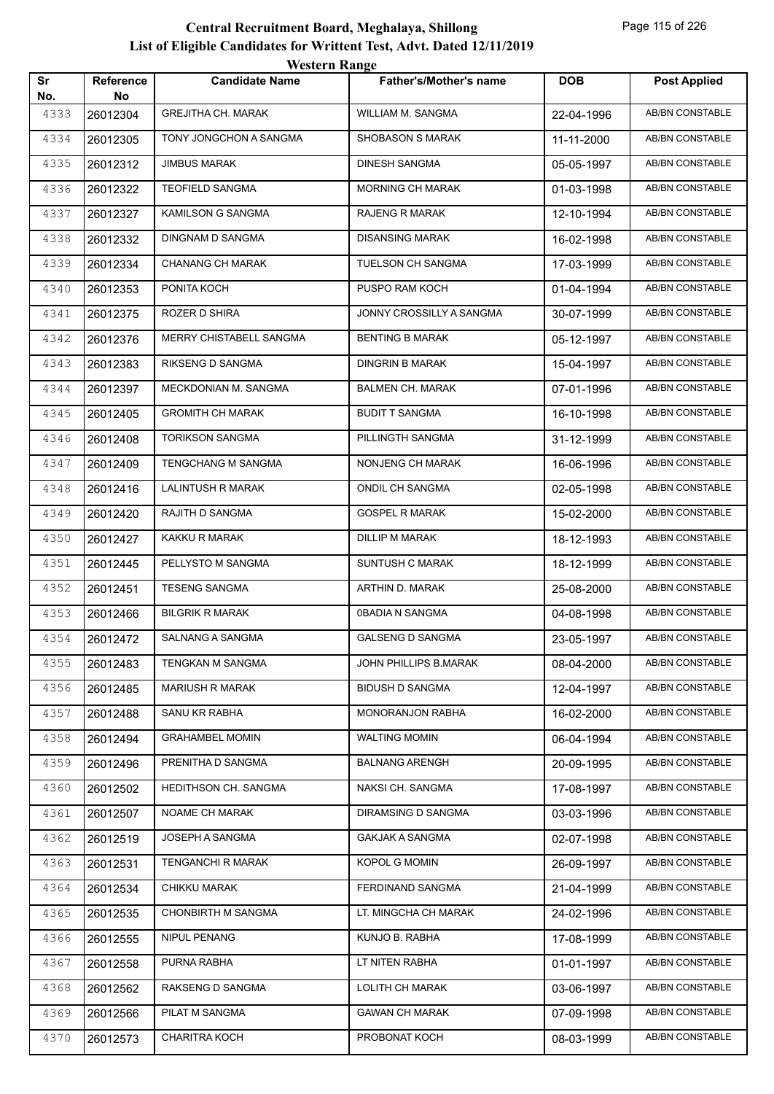| Sr          | <b>Reference</b> | $\cdots$<br><b>Candidate Name</b> | <b>Father's/Mother's name</b> | <b>DOB</b> | <b>Post Applied</b>    |
|-------------|------------------|-----------------------------------|-------------------------------|------------|------------------------|
| No.<br>4333 | No<br>26012304   | <b>GREJITHA CH. MARAK</b>         | WILLIAM M. SANGMA             | 22-04-1996 | <b>AB/BN CONSTABLE</b> |
| 4334        | 26012305         | TONY JONGCHON A SANGMA            | <b>SHOBASON S MARAK</b>       | 11-11-2000 | <b>AB/BN CONSTABLE</b> |
| 4335        | 26012312         | JIMBUS MARAK                      | <b>DINESH SANGMA</b>          | 05-05-1997 | AB/BN CONSTABLE        |
| 4336        | 26012322         | <b>TEOFIELD SANGMA</b>            | <b>MORNING CH MARAK</b>       | 01-03-1998 | <b>AB/BN CONSTABLE</b> |
| 4337        | 26012327         | KAMILSON G SANGMA                 | RAJENG R MARAK                | 12-10-1994 | AB/BN CONSTABLE        |
| 4338        | 26012332         | DINGNAM D SANGMA                  | <b>DISANSING MARAK</b>        | 16-02-1998 | AB/BN CONSTABLE        |
| 4339        | 26012334         | <b>CHANANG CH MARAK</b>           | TUELSON CH SANGMA             | 17-03-1999 | <b>AB/BN CONSTABLE</b> |
| 4340        | 26012353         | PONITA KOCH                       | PUSPO RAM KOCH                | 01-04-1994 | AB/BN CONSTABLE        |
| 4341        | 26012375         | ROZER D SHIRA                     | JONNY CROSSILLY A SANGMA      | 30-07-1999 | <b>AB/BN CONSTABLE</b> |
| 4342        | 26012376         | MERRY CHISTABELL SANGMA           | <b>BENTING B MARAK</b>        | 05-12-1997 | AB/BN CONSTABLE        |
| 4343        | 26012383         | RIKSENG D SANGMA                  | <b>DINGRIN B MARAK</b>        | 15-04-1997 | AB/BN CONSTABLE        |
| 4344        | 26012397         | MECKDONIAN M. SANGMA              | <b>BALMEN CH. MARAK</b>       | 07-01-1996 | <b>AB/BN CONSTABLE</b> |
| 4345        | 26012405         | <b>GROMITH CH MARAK</b>           | <b>BUDIT T SANGMA</b>         | 16-10-1998 | AB/BN CONSTABLE        |
| 4346        | 26012408         | <b>TORIKSON SANGMA</b>            | PILLINGTH SANGMA              | 31-12-1999 | <b>AB/BN CONSTABLE</b> |
| 4347        | 26012409         | <b>TENGCHANG M SANGMA</b>         | NONJENG CH MARAK              | 16-06-1996 | <b>AB/BN CONSTABLE</b> |
| 4348        | 26012416         | LALINTUSH R MARAK                 | ONDIL CH SANGMA               | 02-05-1998 | AB/BN CONSTABLE        |
| 4349        | 26012420         | RAJITH D SANGMA                   | <b>GOSPEL R MARAK</b>         | 15-02-2000 | <b>AB/BN CONSTABLE</b> |
| 4350        | 26012427         | KAKKU R MARAK                     | DILLIP M MARAK                | 18-12-1993 | AB/BN CONSTABLE        |
| 4351        | 26012445         | PELLYSTO M SANGMA                 | SUNTUSH C MARAK               | 18-12-1999 | <b>AB/BN CONSTABLE</b> |
| 4352        | 26012451         | <b>TESENG SANGMA</b>              | ARTHIN D. MARAK               | 25-08-2000 | <b>AB/BN CONSTABLE</b> |
| 4353        | 26012466         | <b>BILGRIK R MARAK</b>            | 0BADIA N SANGMA               | 04-08-1998 | AB/BN CONSTABLE        |
| 4354        | 26012472         | SALNANG A SANGMA                  | <b>GALSENG D SANGMA</b>       | 23-05-1997 | AB/BN CONSTABLE        |
| 4355        | 26012483         | TENGKAN M SANGMA                  | JOHN PHILLIPS B.MARAK         | 08-04-2000 | AB/BN CONSTABLE        |
| 4356        | 26012485         | <b>MARIUSH R MARAK</b>            | <b>BIDUSH D SANGMA</b>        | 12-04-1997 | AB/BN CONSTABLE        |
| 4357        | 26012488         | SANU KR RABHA                     | MONORANJON RABHA              | 16-02-2000 | AB/BN CONSTABLE        |
| 4358        | 26012494         | <b>GRAHAMBEL MOMIN</b>            | <b>WALTING MOMIN</b>          | 06-04-1994 | AB/BN CONSTABLE        |
| 4359        | 26012496         | PRENITHA D SANGMA                 | <b>BALNANG ARENGH</b>         | 20-09-1995 | AB/BN CONSTABLE        |
| 4360        | 26012502         | HEDITHSON CH. SANGMA              | NAKSI CH. SANGMA              | 17-08-1997 | AB/BN CONSTABLE        |
| 4361        | 26012507         | NOAME CH MARAK                    | DIRAMSING D SANGMA            | 03-03-1996 | AB/BN CONSTABLE        |
| 4362        | 26012519         | JOSEPH A SANGMA                   | <b>GAKJAK A SANGMA</b>        | 02-07-1998 | AB/BN CONSTABLE        |
| 4363        | 26012531         | <b>TENGANCHI R MARAK</b>          | KOPOL G MOMIN                 | 26-09-1997 | AB/BN CONSTABLE        |
| 4364        | 26012534         | CHIKKU MARAK                      | FERDINAND SANGMA              | 21-04-1999 | AB/BN CONSTABLE        |
| 4365        | 26012535         | <b>CHONBIRTH M SANGMA</b>         | LT. MINGCHA CH MARAK          | 24-02-1996 | AB/BN CONSTABLE        |
| 4366        | 26012555         | NIPUL PENANG                      | KUNJO B. RABHA                | 17-08-1999 | AB/BN CONSTABLE        |
| 4367        | 26012558         | PURNA RABHA                       | LT NITEN RABHA                | 01-01-1997 | AB/BN CONSTABLE        |
| 4368        | 26012562         | RAKSENG D SANGMA                  | LOLITH CH MARAK               | 03-06-1997 | AB/BN CONSTABLE        |
| 4369        | 26012566         | PILAT M SANGMA                    | <b>GAWAN CH MARAK</b>         | 07-09-1998 | AB/BN CONSTABLE        |
| 4370        | 26012573         | CHARITRA KOCH                     | PROBONAT KOCH                 | 08-03-1999 | AB/BN CONSTABLE        |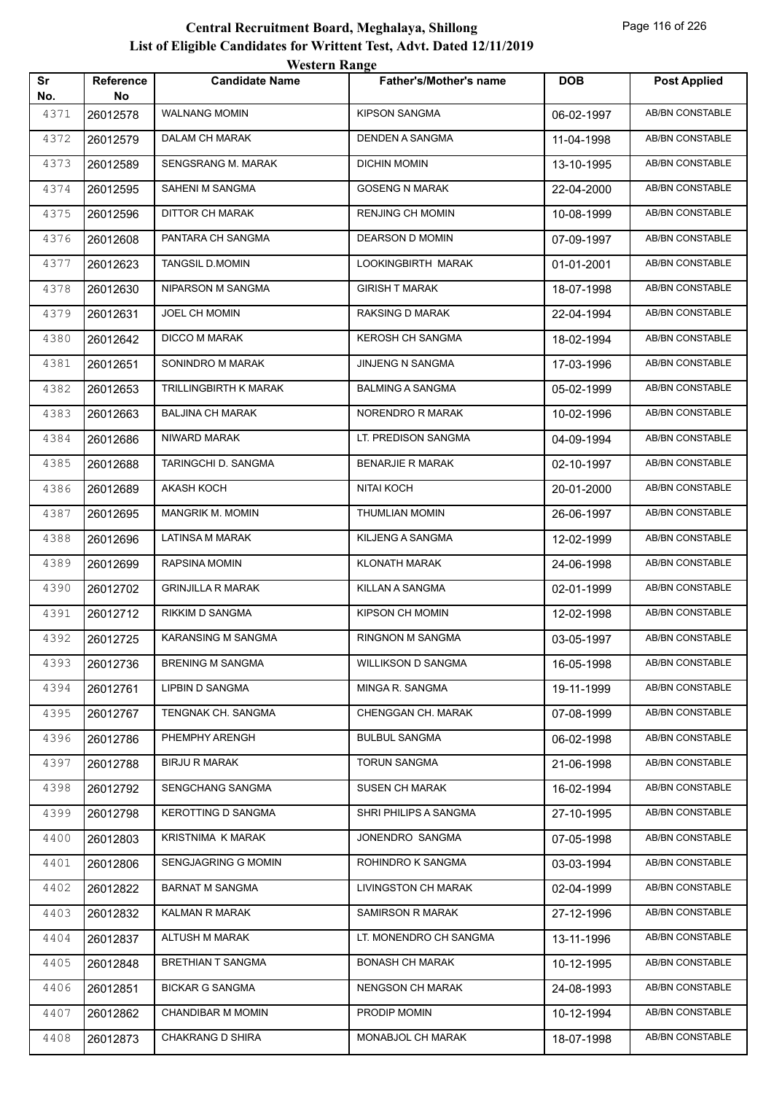| Sr          | Reference      | <b>Candidate Name</b>     | <b>Father's/Mother's name</b> | <b>DOB</b> | <b>Post Applied</b>    |
|-------------|----------------|---------------------------|-------------------------------|------------|------------------------|
| No.<br>4371 | No<br>26012578 | <b>WALNANG MOMIN</b>      | <b>KIPSON SANGMA</b>          | 06-02-1997 | <b>AB/BN CONSTABLE</b> |
| 4372        | 26012579       | DALAM CH MARAK            | DENDEN A SANGMA               | 11-04-1998 | AB/BN CONSTABLE        |
| 4373        | 26012589       | SENGSRANG M. MARAK        | DICHIN MOMIN                  | 13-10-1995 | <b>AB/BN CONSTABLE</b> |
| 4374        | 26012595       | SAHENI M SANGMA           | <b>GOSENG N MARAK</b>         | 22-04-2000 | AB/BN CONSTABLE        |
| 4375        | 26012596       | <b>DITTOR CH MARAK</b>    | <b>RENJING CH MOMIN</b>       | 10-08-1999 | AB/BN CONSTABLE        |
| 4376        | 26012608       | PANTARA CH SANGMA         | <b>DEARSON D MOMIN</b>        | 07-09-1997 | AB/BN CONSTABLE        |
| 4377        | 26012623       | <b>TANGSIL D.MOMIN</b>    | LOOKINGBIRTH MARAK            | 01-01-2001 | AB/BN CONSTABLE        |
| 4378        | 26012630       | NIPARSON M SANGMA         | <b>GIRISH T MARAK</b>         | 18-07-1998 | AB/BN CONSTABLE        |
| 4379        | 26012631       | JOEL CH MOMIN             | RAKSING D MARAK               | 22-04-1994 | AB/BN CONSTABLE        |
| 4380        | 26012642       | <b>DICCO M MARAK</b>      | <b>KEROSH CH SANGMA</b>       | 18-02-1994 | AB/BN CONSTABLE        |
| 4381        | 26012651       | SONINDRO M MARAK          | <b>JINJENG N SANGMA</b>       | 17-03-1996 | AB/BN CONSTABLE        |
| 4382        | 26012653       | TRILLINGBIRTH K MARAK     | <b>BALMING A SANGMA</b>       | 05-02-1999 | AB/BN CONSTABLE        |
| 4383        | 26012663       | <b>BALJINA CH MARAK</b>   | NORENDRO R MARAK              | 10-02-1996 | AB/BN CONSTABLE        |
| 4384        | 26012686       | NIWARD MARAK              | LT. PREDISON SANGMA           | 04-09-1994 | AB/BN CONSTABLE        |
| 4385        | 26012688       | TARINGCHI D. SANGMA       | <b>BENARJIE R MARAK</b>       | 02-10-1997 | AB/BN CONSTABLE        |
| 4386        | 26012689       | AKASH KOCH                | NITAI KOCH                    | 20-01-2000 | AB/BN CONSTABLE        |
| 4387        | 26012695       | MANGRIK M. MOMIN          | <b>THUMLIAN MOMIN</b>         | 26-06-1997 | AB/BN CONSTABLE        |
| 4388        | 26012696       | LATINSA M MARAK           | KILJENG A SANGMA              | 12-02-1999 | AB/BN CONSTABLE        |
| 4389        | 26012699       | RAPSINA MOMIN             | <b>KLONATH MARAK</b>          | 24-06-1998 | AB/BN CONSTABLE        |
| 4390        | 26012702       | <b>GRINJILLA R MARAK</b>  | KILLAN A SANGMA               | 02-01-1999 | AB/BN CONSTABLE        |
| 4391        | 26012712       | RIKKIM D SANGMA           | <b>KIPSON CH MOMIN</b>        | 12-02-1998 | AB/BN CONSTABLE        |
| 4392        | 26012725       | KARANSING M SANGMA        | <b>RINGNON M SANGMA</b>       | 03-05-1997 | <b>AB/BN CONSTABLE</b> |
| 4393        | 26012736       | <b>BRENING M SANGMA</b>   | <b>WILLIKSON D SANGMA</b>     | 16-05-1998 | AB/BN CONSTABLE        |
| 4394        | 26012761       | LIPBIN D SANGMA           | MINGA R. SANGMA               | 19-11-1999 | AB/BN CONSTABLE        |
| 4395        | 26012767       | TENGNAK CH. SANGMA        | CHENGGAN CH. MARAK            | 07-08-1999 | AB/BN CONSTABLE        |
| 4396        | 26012786       | PHEMPHY ARENGH            | <b>BULBUL SANGMA</b>          | 06-02-1998 | AB/BN CONSTABLE        |
| 4397        | 26012788       | <b>BIRJU R MARAK</b>      | <b>TORUN SANGMA</b>           | 21-06-1998 | AB/BN CONSTABLE        |
| 4398        | 26012792       | SENGCHANG SANGMA          | <b>SUSEN CH MARAK</b>         | 16-02-1994 | AB/BN CONSTABLE        |
| 4399        | 26012798       | <b>KEROTTING D SANGMA</b> | SHRI PHILIPS A SANGMA         | 27-10-1995 | AB/BN CONSTABLE        |
| 4400        | 26012803       | KRISTNIMA K MARAK         | JONENDRO SANGMA               | 07-05-1998 | AB/BN CONSTABLE        |
| 4401        | 26012806       | SENGJAGRING G MOMIN       | ROHINDRO K SANGMA             | 03-03-1994 | AB/BN CONSTABLE        |
| 4402        | 26012822       | <b>BARNAT M SANGMA</b>    | LIVINGSTON CH MARAK           | 02-04-1999 | AB/BN CONSTABLE        |
| 4403        | 26012832       | KALMAN R MARAK            | <b>SAMIRSON R MARAK</b>       | 27-12-1996 | AB/BN CONSTABLE        |
| 4404        | 26012837       | <b>ALTUSH M MARAK</b>     | LT. MONENDRO CH SANGMA        |            | AB/BN CONSTABLE        |
| 4405        |                | <b>BRETHIAN T SANGMA</b>  | <b>BONASH CH MARAK</b>        | 13-11-1996 | AB/BN CONSTABLE        |
| 4406        | 26012848       | <b>BICKAR G SANGMA</b>    | NENGSON CH MARAK              | 10-12-1995 | AB/BN CONSTABLE        |
| 4407        | 26012851       | CHANDIBAR M MOMIN         | PRODIP MOMIN                  | 24-08-1993 | AB/BN CONSTABLE        |
|             | 26012862       |                           |                               | 10-12-1994 |                        |
| 4408        | 26012873       | <b>CHAKRANG D SHIRA</b>   | MONABJOL CH MARAK             | 18-07-1998 | AB/BN CONSTABLE        |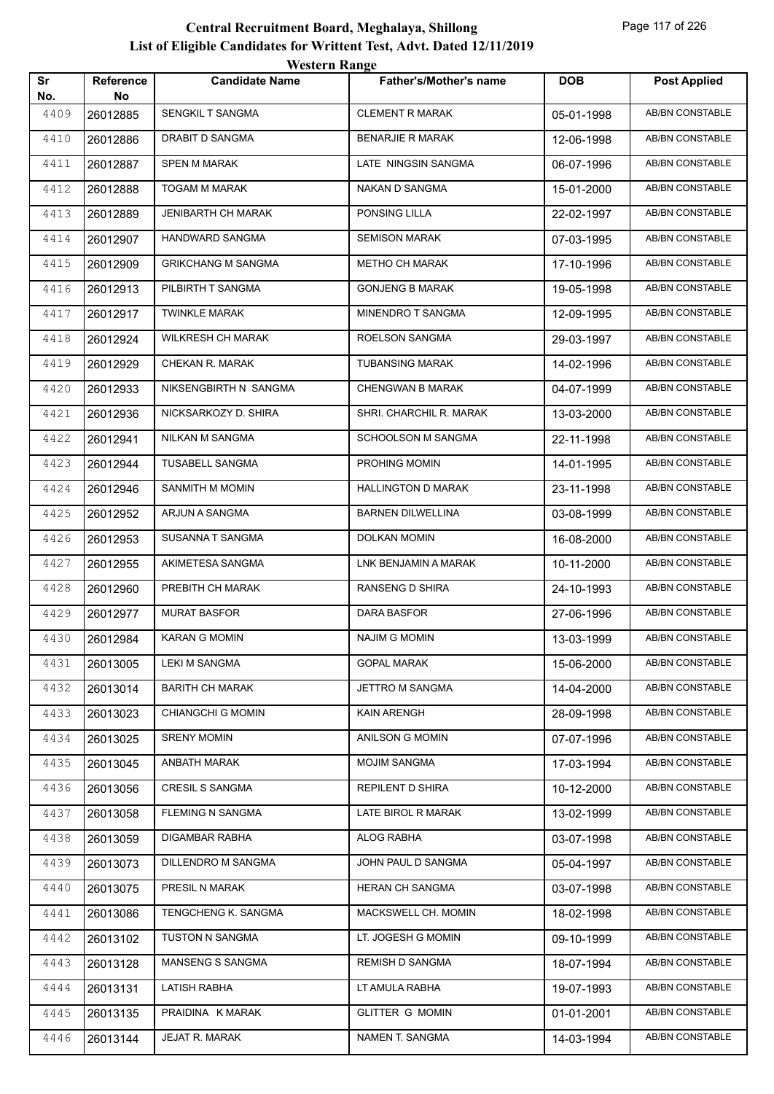|           |                        | WESTEL II INALIZE         |                               |            |                        |
|-----------|------------------------|---------------------------|-------------------------------|------------|------------------------|
| Sr<br>No. | <b>Reference</b><br>No | <b>Candidate Name</b>     | <b>Father's/Mother's name</b> | <b>DOB</b> | <b>Post Applied</b>    |
| 4409      | 26012885               | SENGKIL T SANGMA          | <b>CLEMENT R MARAK</b>        | 05-01-1998 | <b>AB/BN CONSTABLE</b> |
| 4410      | 26012886               | DRABIT D SANGMA           | <b>BENARJIE R MARAK</b>       | 12-06-1998 | <b>AB/BN CONSTABLE</b> |
| 4411      | 26012887               | <b>SPEN M MARAK</b>       | LATE NINGSIN SANGMA           | 06-07-1996 | AB/BN CONSTABLE        |
| 4412      | 26012888               | TOGAM M MARAK             | NAKAN D SANGMA                | 15-01-2000 | AB/BN CONSTABLE        |
| 4413      | 26012889               | <b>JENIBARTH CH MARAK</b> | PONSING LILLA                 | 22-02-1997 | AB/BN CONSTABLE        |
| 4414      | 26012907               | <b>HANDWARD SANGMA</b>    | <b>SEMISON MARAK</b>          | 07-03-1995 | <b>AB/BN CONSTABLE</b> |
| 4415      | 26012909               | <b>GRIKCHANG M SANGMA</b> | <b>METHO CH MARAK</b>         | 17-10-1996 | <b>AB/BN CONSTABLE</b> |
| 4416      | 26012913               | PILBIRTH T SANGMA         | <b>GONJENG B MARAK</b>        | 19-05-1998 | AB/BN CONSTABLE        |
| 4417      | 26012917               | <b>TWINKLE MARAK</b>      | MINENDRO T SANGMA             | 12-09-1995 | <b>AB/BN CONSTABLE</b> |
| 4418      | 26012924               | <b>WILKRESH CH MARAK</b>  | ROELSON SANGMA                | 29-03-1997 | <b>AB/BN CONSTABLE</b> |
| 4419      | 26012929               | CHEKAN R. MARAK           | <b>TUBANSING MARAK</b>        | 14-02-1996 | AB/BN CONSTABLE        |
| 4420      | 26012933               | NIKSENGBIRTH N SANGMA     | <b>CHENGWAN B MARAK</b>       | 04-07-1999 | AB/BN CONSTABLE        |
| 4421      | 26012936               | NICKSARKOZY D. SHIRA      | SHRI. CHARCHIL R. MARAK       | 13-03-2000 | AB/BN CONSTABLE        |
| 4422      | 26012941               | NILKAN M SANGMA           | SCHOOLSON M SANGMA            | 22-11-1998 | AB/BN CONSTABLE        |
| 4423      | 26012944               | TUSABELL SANGMA           | PROHING MOMIN                 | 14-01-1995 | AB/BN CONSTABLE        |
| 4424      | 26012946               | SANMITH M MOMIN           | <b>HALLINGTON D MARAK</b>     | 23-11-1998 | AB/BN CONSTABLE        |
| 4425      | 26012952               | ARJUN A SANGMA            | <b>BARNEN DILWELLINA</b>      | 03-08-1999 | <b>AB/BN CONSTABLE</b> |
| 4426      | 26012953               | SUSANNA T SANGMA          | <b>DOLKAN MOMIN</b>           | 16-08-2000 | AB/BN CONSTABLE        |
| 4427      | 26012955               | AKIMETESA SANGMA          | LNK BENJAMIN A MARAK          | 10-11-2000 | AB/BN CONSTABLE        |
| 4428      | 26012960               | PREBITH CH MARAK          | RANSENG D SHIRA               | 24-10-1993 | AB/BN CONSTABLE        |
| 4429      | 26012977               | <b>MURAT BASFOR</b>       | DARA BASFOR                   | 27-06-1996 | AB/BN CONSTABLE        |
| 4430      | 26012984               | <b>KARAN G MOMIN</b>      | <b>NAJIM G MOMIN</b>          | 13-03-1999 | AB/BN CONSTABLE        |
| 4431      | 26013005               | <b>LEKI M SANGMA</b>      | <b>GOPAL MARAK</b>            | 15-06-2000 | AB/BN CONSTABLE        |
| 4432      | 26013014               | <b>BARITH CH MARAK</b>    | JETTRO M SANGMA               | 14-04-2000 | AB/BN CONSTABLE        |
| 4433      | 26013023               | <b>CHIANGCHI G MOMIN</b>  | KAIN ARENGH                   | 28-09-1998 | AB/BN CONSTABLE        |
| 4434      | 26013025               | <b>SRENY MOMIN</b>        | ANILSON G MOMIN               | 07-07-1996 | AB/BN CONSTABLE        |
| 4435      | 26013045               | ANBATH MARAK              | <b>MOJIM SANGMA</b>           | 17-03-1994 | AB/BN CONSTABLE        |
| 4436      | 26013056               | <b>CRESIL S SANGMA</b>    | REPILENT D SHIRA              | 10-12-2000 | AB/BN CONSTABLE        |
| 4437      | 26013058               | FLEMING N SANGMA          | LATE BIROL R MARAK            | 13-02-1999 | AB/BN CONSTABLE        |
| 4438      | 26013059               | DIGAMBAR RABHA            | ALOG RABHA                    | 03-07-1998 | AB/BN CONSTABLE        |
| 4439      | 26013073               | DILLENDRO M SANGMA        | JOHN PAUL D SANGMA            | 05-04-1997 | AB/BN CONSTABLE        |
| 4440      | 26013075               | PRESIL N MARAK            | HERAN CH SANGMA               | 03-07-1998 | AB/BN CONSTABLE        |
| 4441      | 26013086               | TENGCHENG K. SANGMA       | MACKSWELL CH. MOMIN           | 18-02-1998 | AB/BN CONSTABLE        |
| 4442      | 26013102               | TUSTON N SANGMA           | LT. JOGESH G MOMIN            | 09-10-1999 | AB/BN CONSTABLE        |
| 4443      | 26013128               | <b>MANSENG S SANGMA</b>   | <b>REMISH D SANGMA</b>        | 18-07-1994 | AB/BN CONSTABLE        |
| 4444      | 26013131               | LATISH RABHA              | LT AMULA RABHA                | 19-07-1993 | AB/BN CONSTABLE        |
| 4445      | 26013135               | PRAIDINA K MARAK          | <b>GLITTER G MOMIN</b>        | 01-01-2001 | AB/BN CONSTABLE        |
| 4446      | 26013144               | JEJAT R. MARAK            | NAMEN T. SANGMA               | 14-03-1994 | AB/BN CONSTABLE        |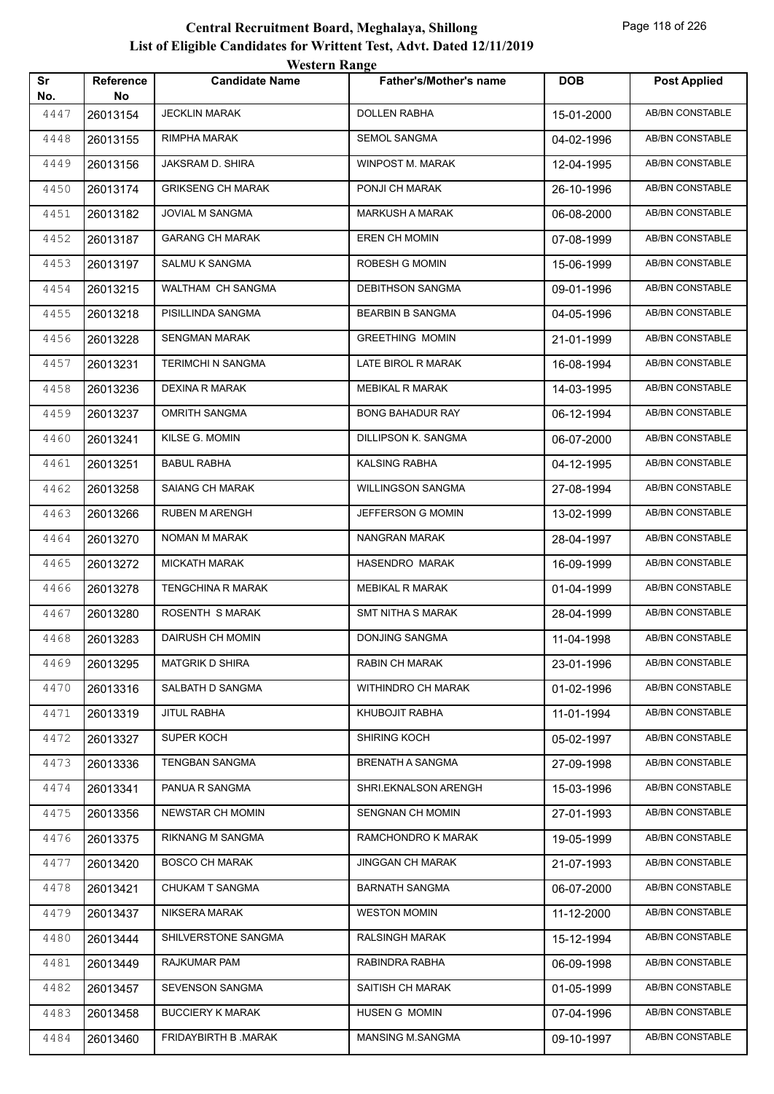| Sr          | <b>Reference</b> | <b>Candidate Name</b>    | <b>Father's/Mother's name</b> | <b>DOB</b> | <b>Post Applied</b> |
|-------------|------------------|--------------------------|-------------------------------|------------|---------------------|
| No.<br>4447 | No<br>26013154   | <b>JECKLIN MARAK</b>     | <b>DOLLEN RABHA</b>           | 15-01-2000 | AB/BN CONSTABLE     |
| 4448        | 26013155         | RIMPHA MARAK             | SEMOL SANGMA                  | 04-02-1996 | AB/BN CONSTABLE     |
| 4449        | 26013156         | JAKSRAM D. SHIRA         | WINPOST M. MARAK              | 12-04-1995 | AB/BN CONSTABLE     |
| 4450        | 26013174         | <b>GRIKSENG CH MARAK</b> | PONJI CH MARAK                | 26-10-1996 | AB/BN CONSTABLE     |
| 4451        | 26013182         | JOVIAL M SANGMA          | <b>MARKUSH A MARAK</b>        | 06-08-2000 | AB/BN CONSTABLE     |
| 4452        | 26013187         | <b>GARANG CH MARAK</b>   | <b>EREN CH MOMIN</b>          | 07-08-1999 | AB/BN CONSTABLE     |
| 4453        | 26013197         | SALMU K SANGMA           | ROBESH G MOMIN                | 15-06-1999 | AB/BN CONSTABLE     |
| 4454        | 26013215         | WALTHAM CH SANGMA        | <b>DEBITHSON SANGMA</b>       | 09-01-1996 | AB/BN CONSTABLE     |
| 4455        | 26013218         | PISILLINDA SANGMA        | <b>BEARBIN B SANGMA</b>       | 04-05-1996 | AB/BN CONSTABLE     |
| 4456        | 26013228         | <b>SENGMAN MARAK</b>     | <b>GREETHING MOMIN</b>        | 21-01-1999 | AB/BN CONSTABLE     |
| 4457        | 26013231         | <b>TERIMCHI N SANGMA</b> | LATE BIROL R MARAK            | 16-08-1994 | AB/BN CONSTABLE     |
| 4458        | 26013236         | <b>DEXINA R MARAK</b>    | <b>MEBIKAL R MARAK</b>        | 14-03-1995 | AB/BN CONSTABLE     |
| 4459        | 26013237         | <b>OMRITH SANGMA</b>     | <b>BONG BAHADUR RAY</b>       | 06-12-1994 | AB/BN CONSTABLE     |
| 4460        | 26013241         | KILSE G. MOMIN           | DILLIPSON K. SANGMA           | 06-07-2000 | AB/BN CONSTABLE     |
| 4461        | 26013251         | <b>BABUL RABHA</b>       | <b>KALSING RABHA</b>          | 04-12-1995 | AB/BN CONSTABLE     |
| 4462        | 26013258         | SAIANG CH MARAK          | <b>WILLINGSON SANGMA</b>      | 27-08-1994 | AB/BN CONSTABLE     |
| 4463        | 26013266         | <b>RUBEN M ARENGH</b>    | JEFFERSON G MOMIN             | 13-02-1999 | AB/BN CONSTABLE     |
| 4464        | 26013270         | NOMAN M MARAK            | NANGRAN MARAK                 | 28-04-1997 | AB/BN CONSTABLE     |
| 4465        | 26013272         | <b>MICKATH MARAK</b>     | HASENDRO MARAK                | 16-09-1999 | AB/BN CONSTABLE     |
| 4466        | 26013278         | <b>TENGCHINA R MARAK</b> | <b>MEBIKAL R MARAK</b>        | 01-04-1999 | AB/BN CONSTABLE     |
| 4467        | 26013280         | ROSENTH S MARAK          | <b>SMT NITHA S MARAK</b>      | 28-04-1999 | AB/BN CONSTABLE     |
| 4468        | 26013283         | <b>DAIRUSH CH MOMIN</b>  | DONJING SANGMA                | 11-04-1998 | AB/BN CONSTABLE     |
| 4469        | 26013295         | <b>MATGRIK D SHIRA</b>   | RABIN CH MARAK                | 23-01-1996 | AB/BN CONSTABLE     |
| 4470        | 26013316         | SALBATH D SANGMA         | WITHINDRO CH MARAK            | 01-02-1996 | AB/BN CONSTABLE     |
| 4471        | 26013319         | JITUL RABHA              | KHUBOJIT RABHA                | 11-01-1994 | AB/BN CONSTABLE     |
| 4472        | 26013327         | SUPER KOCH               | SHIRING KOCH                  | 05-02-1997 | AB/BN CONSTABLE     |
| 4473        | 26013336         | TENGBAN SANGMA           | <b>BRENATH A SANGMA</b>       | 27-09-1998 | AB/BN CONSTABLE     |
| 4474        | 26013341         | PANUA R SANGMA           | SHRI.EKNALSON ARENGH          | 15-03-1996 | AB/BN CONSTABLE     |
| 4475        | 26013356         | <b>NEWSTAR CH MOMIN</b>  | SENGNAN CH MOMIN              | 27-01-1993 | AB/BN CONSTABLE     |
| 4476        | 26013375         | RIKNANG M SANGMA         | RAMCHONDRO K MARAK            | 19-05-1999 | AB/BN CONSTABLE     |
| 4477        | 26013420         | <b>BOSCO CH MARAK</b>    | <b>JINGGAN CH MARAK</b>       | 21-07-1993 | AB/BN CONSTABLE     |
| 4478        | 26013421         | CHUKAM T SANGMA          | BARNATH SANGMA                | 06-07-2000 | AB/BN CONSTABLE     |
| 4479        | 26013437         | NIKSERA MARAK            | <b>WESTON MOMIN</b>           | 11-12-2000 | AB/BN CONSTABLE     |
| 4480        | 26013444         | SHILVERSTONE SANGMA      | <b>RALSINGH MARAK</b>         | 15-12-1994 | AB/BN CONSTABLE     |
| 4481        | 26013449         | RAJKUMAR PAM             | RABINDRA RABHA                | 06-09-1998 | AB/BN CONSTABLE     |
| 4482        | 26013457         | SEVENSON SANGMA          | SAITISH CH MARAK              | 01-05-1999 | AB/BN CONSTABLE     |
| 4483        | 26013458         | <b>BUCCIERY K MARAK</b>  | HUSEN G MOMIN                 | 07-04-1996 | AB/BN CONSTABLE     |
| 4484        | 26013460         | FRIDAYBIRTH B .MARAK     | MANSING M.SANGMA              | 09-10-1997 | AB/BN CONSTABLE     |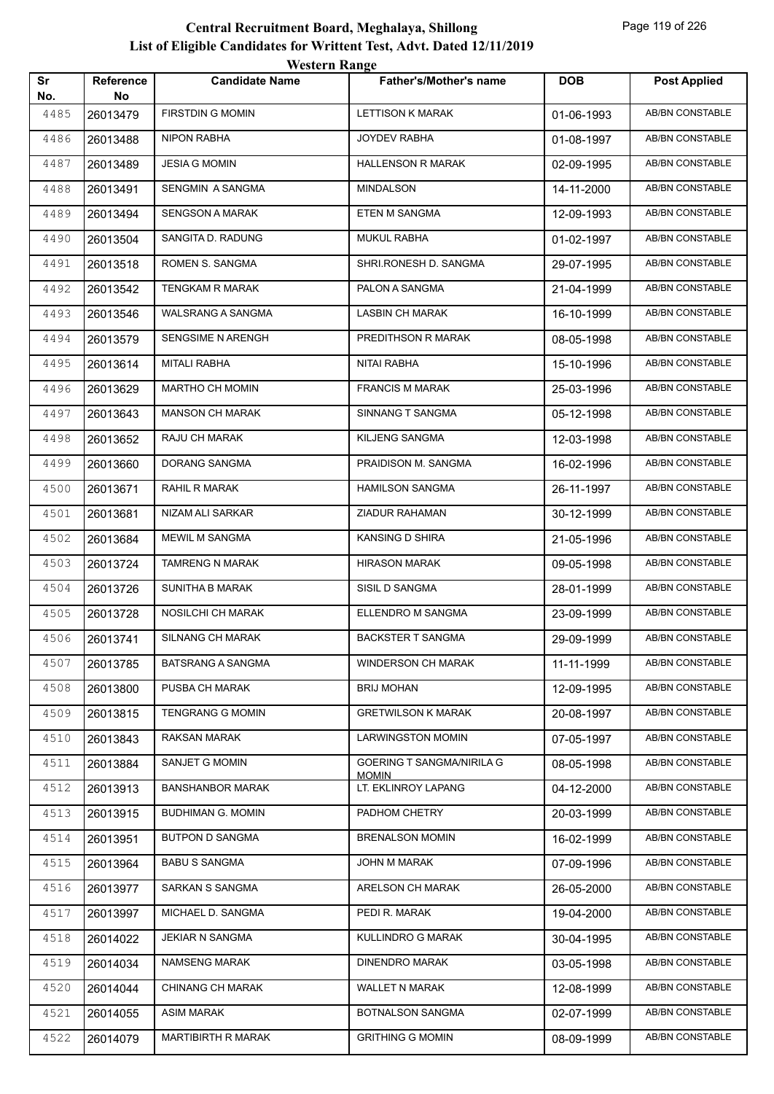|           |                 | western Kange            |                                     |            |                        |
|-----------|-----------------|--------------------------|-------------------------------------|------------|------------------------|
| Sr<br>No. | Reference<br>No | <b>Candidate Name</b>    | <b>Father's/Mother's name</b>       | <b>DOB</b> | <b>Post Applied</b>    |
| 4485      | 26013479        | <b>FIRSTDIN G MOMIN</b>  | LETTISON K MARAK                    | 01-06-1993 | AB/BN CONSTABLE        |
| 4486      | 26013488        | NIPON RABHA              | <b>JOYDEV RABHA</b>                 | 01-08-1997 | AB/BN CONSTABLE        |
| 4487      | 26013489        | <b>JESIA G MOMIN</b>     | <b>HALLENSON R MARAK</b>            | 02-09-1995 | AB/BN CONSTABLE        |
| 4488      | 26013491        | SENGMIN A SANGMA         | <b>MINDALSON</b>                    | 14-11-2000 | AB/BN CONSTABLE        |
| 4489      | 26013494        | <b>SENGSON A MARAK</b>   | <b>ETEN M SANGMA</b>                | 12-09-1993 | AB/BN CONSTABLE        |
| 4490      | 26013504        | SANGITA D. RADUNG        | <b>MUKUL RABHA</b>                  | 01-02-1997 | AB/BN CONSTABLE        |
| 4491      | 26013518        | ROMEN S. SANGMA          | SHRI.RONESH D. SANGMA               | 29-07-1995 | AB/BN CONSTABLE        |
| 4492      | 26013542        | <b>TENGKAM R MARAK</b>   | PALON A SANGMA                      | 21-04-1999 | AB/BN CONSTABLE        |
| 4493      | 26013546        | WALSRANG A SANGMA        | LASBIN CH MARAK                     | 16-10-1999 | AB/BN CONSTABLE        |
| 4494      | 26013579        | <b>SENGSIME N ARENGH</b> | PREDITHSON R MARAK                  | 08-05-1998 | AB/BN CONSTABLE        |
| 4495      | 26013614        | MITALI RABHA             | NITAI RABHA                         | 15-10-1996 | AB/BN CONSTABLE        |
| 4496      | 26013629        | MARTHO CH MOMIN          | <b>FRANCIS M MARAK</b>              | 25-03-1996 | AB/BN CONSTABLE        |
| 4497      | 26013643        | <b>MANSON CH MARAK</b>   | SINNANG T SANGMA                    | 05-12-1998 | AB/BN CONSTABLE        |
| 4498      | 26013652        | RAJU CH MARAK            | KILJENG SANGMA                      | 12-03-1998 | AB/BN CONSTABLE        |
| 4499      | 26013660        | DORANG SANGMA            | PRAIDISON M. SANGMA                 | 16-02-1996 | AB/BN CONSTABLE        |
| 4500      | 26013671        | RAHIL R MARAK            | <b>HAMILSON SANGMA</b>              | 26-11-1997 | AB/BN CONSTABLE        |
| 4501      | 26013681        | NIZAM ALI SARKAR         | ZIADUR RAHAMAN                      | 30-12-1999 | AB/BN CONSTABLE        |
| 4502      | 26013684        | MEWIL M SANGMA           | KANSING D SHIRA                     | 21-05-1996 | AB/BN CONSTABLE        |
| 4503      | 26013724        | <b>TAMRENG N MARAK</b>   | <b>HIRASON MARAK</b>                | 09-05-1998 | AB/BN CONSTABLE        |
| 4504      | 26013726        | <b>SUNITHA B MARAK</b>   | SISIL D SANGMA                      | 28-01-1999 | AB/BN CONSTABLE        |
| 4505      | 26013728        | NOSILCHI CH MARAK        | ELLENDRO M SANGMA                   | 23-09-1999 | <b>AB/BN CONSTABLE</b> |
| 4506      | 26013741        | <b>SILNANG CH MARAK</b>  | <b>BACKSTER T SANGMA</b>            | 29-09-1999 | AB/BN CONSTABLE        |
| 4507      | 26013785        | <b>BATSRANG A SANGMA</b> | <b>WINDERSON CH MARAK</b>           | 11-11-1999 | AB/BN CONSTABLE        |
| 4508      | 26013800        | PUSBA CH MARAK           | <b>BRIJ MOHAN</b>                   | 12-09-1995 | AB/BN CONSTABLE        |
| 4509      | 26013815        | <b>TENGRANG G MOMIN</b>  | <b>GRETWILSON K MARAK</b>           | 20-08-1997 | AB/BN CONSTABLE        |
| 4510      | 26013843        | RAKSAN MARAK             | <b>LARWINGSTON MOMIN</b>            | 07-05-1997 | AB/BN CONSTABLE        |
| 4511      | 26013884        | <b>SANJET G MOMIN</b>    | GOERING T SANGMA/NIRILA G           | 08-05-1998 | AB/BN CONSTABLE        |
| 4512      | 26013913        | <b>BANSHANBOR MARAK</b>  | <b>MOMIN</b><br>LT. EKLINROY LAPANG | 04-12-2000 | AB/BN CONSTABLE        |
| 4513      | 26013915        | <b>BUDHIMAN G. MOMIN</b> | PADHOM CHETRY                       | 20-03-1999 | AB/BN CONSTABLE        |
| 4514      | 26013951        | <b>BUTPON D SANGMA</b>   | <b>BRENALSON MOMIN</b>              | 16-02-1999 | AB/BN CONSTABLE        |
| 4515      | 26013964        | <b>BABU S SANGMA</b>     | JOHN M MARAK                        | 07-09-1996 | AB/BN CONSTABLE        |
| 4516      | 26013977        | SARKAN S SANGMA          | ARELSON CH MARAK                    | 26-05-2000 | AB/BN CONSTABLE        |
| 4517      | 26013997        | MICHAEL D. SANGMA        | PEDI R. MARAK                       | 19-04-2000 | AB/BN CONSTABLE        |
| 4518      | 26014022        | <b>JEKIAR N SANGMA</b>   | KULLINDRO G MARAK                   | 30-04-1995 | AB/BN CONSTABLE        |
| 4519      | 26014034        | NAMSENG MARAK            | <b>DINENDRO MARAK</b>               | 03-05-1998 | AB/BN CONSTABLE        |
| 4520      | 26014044        | CHINANG CH MARAK         | WALLET N MARAK                      | 12-08-1999 | AB/BN CONSTABLE        |
| 4521      | 26014055        | ASIM MARAK               | BOTNALSON SANGMA                    | 02-07-1999 | AB/BN CONSTABLE        |
| 4522      | 26014079        | MARTIBIRTH R MARAK       | <b>GRITHING G MOMIN</b>             | 08-09-1999 | AB/BN CONSTABLE        |
|           |                 |                          |                                     |            |                        |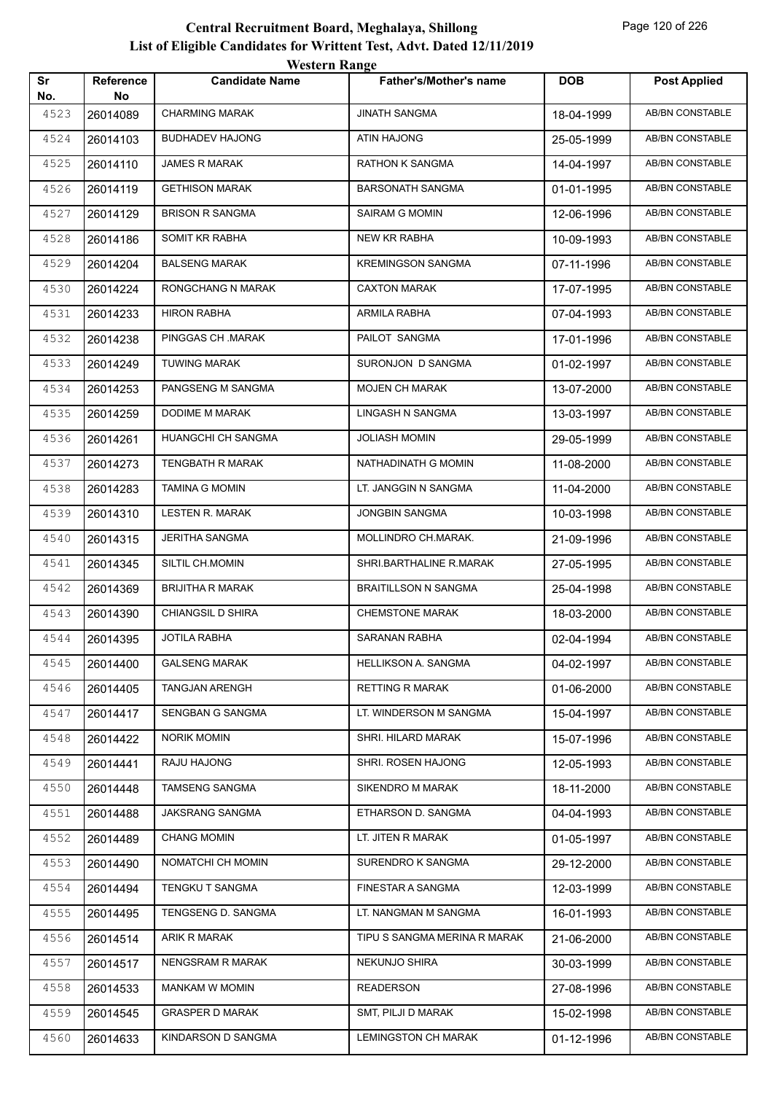|           |                  | <i>Western Kange</i>    |                               |            |                        |
|-----------|------------------|-------------------------|-------------------------------|------------|------------------------|
| Sr<br>No. | Reference<br>No. | <b>Candidate Name</b>   | <b>Father's/Mother's name</b> | <b>DOB</b> | <b>Post Applied</b>    |
| 4523      | 26014089         | <b>CHARMING MARAK</b>   | <b>JINATH SANGMA</b>          | 18-04-1999 | <b>AB/BN CONSTABLE</b> |
| 4524      | 26014103         | <b>BUDHADEV HAJONG</b>  | ATIN HAJONG                   | 25-05-1999 | AB/BN CONSTABLE        |
| 4525      | 26014110         | <b>JAMES R MARAK</b>    | <b>RATHON K SANGMA</b>        | 14-04-1997 | AB/BN CONSTABLE        |
| 4526      | 26014119         | <b>GETHISON MARAK</b>   | <b>BARSONATH SANGMA</b>       | 01-01-1995 | AB/BN CONSTABLE        |
| 4527      | 26014129         | <b>BRISON R SANGMA</b>  | SAIRAM G MOMIN                | 12-06-1996 | <b>AB/BN CONSTABLE</b> |
| 4528      | 26014186         | SOMIT KR RABHA          | NEW KR RABHA                  | 10-09-1993 | <b>AB/BN CONSTABLE</b> |
| 4529      | 26014204         | <b>BALSENG MARAK</b>    | <b>KREMINGSON SANGMA</b>      | 07-11-1996 | AB/BN CONSTABLE        |
| 4530      | 26014224         | RONGCHANG N MARAK       | <b>CAXTON MARAK</b>           | 17-07-1995 | AB/BN CONSTABLE        |
| 4531      | 26014233         | HIRON RABHA             | ARMILA RABHA                  | 07-04-1993 | AB/BN CONSTABLE        |
| 4532      | 26014238         | PINGGAS CH.MARAK        | PAILOT SANGMA                 | 17-01-1996 | <b>AB/BN CONSTABLE</b> |
| 4533      | 26014249         | <b>TUWING MARAK</b>     | SURONJON D SANGMA             | 01-02-1997 | <b>AB/BN CONSTABLE</b> |
| 4534      | 26014253         | PANGSENG M SANGMA       | <b>MOJEN CH MARAK</b>         | 13-07-2000 | AB/BN CONSTABLE        |
| 4535      | 26014259         | DODIME M MARAK          | LINGASH N SANGMA              | 13-03-1997 | AB/BN CONSTABLE        |
| 4536      | 26014261         | HUANGCHI CH SANGMA      | <b>JOLIASH MOMIN</b>          | 29-05-1999 | AB/BN CONSTABLE        |
| 4537      | 26014273         | TENGBATH R MARAK        | NATHADINATH G MOMIN           | 11-08-2000 | <b>AB/BN CONSTABLE</b> |
| 4538      | 26014283         | TAMINA G MOMIN          | LT. JANGGIN N SANGMA          | 11-04-2000 | <b>AB/BN CONSTABLE</b> |
| 4539      | 26014310         | LESTEN R. MARAK         | <b>JONGBIN SANGMA</b>         | 10-03-1998 | <b>AB/BN CONSTABLE</b> |
| 4540      | 26014315         | <b>JERITHA SANGMA</b>   | MOLLINDRO CH.MARAK.           | 21-09-1996 | <b>AB/BN CONSTABLE</b> |
| 4541      | 26014345         | SILTIL CH.MOMIN         | SHRI.BARTHALINE R.MARAK       | 27-05-1995 | AB/BN CONSTABLE        |
| 4542      | 26014369         | <b>BRIJITHA R MARAK</b> | <b>BRAITILLSON N SANGMA</b>   | 25-04-1998 | <b>AB/BN CONSTABLE</b> |
| 4543      | 26014390         | CHIANGSIL D SHIRA       | <b>CHEMSTONE MARAK</b>        | 18-03-2000 | <b>AB/BN CONSTABLE</b> |
| 4544      | 26014395         | <b>JOTILA RABHA</b>     | SARANAN RABHA                 | 02-04-1994 | AB/BN CONSTABLE        |
| 4545      | 26014400         | <b>GALSENG MARAK</b>    | HELLIKSON A. SANGMA           | 04-02-1997 | AB/BN CONSTABLE        |
| 4546      | 26014405         | <b>TANGJAN ARENGH</b>   | <b>RETTING R MARAK</b>        | 01-06-2000 | <b>AB/BN CONSTABLE</b> |
| 4547      | 26014417         | SENGBAN G SANGMA        | LT. WINDERSON M SANGMA        | 15-04-1997 | AB/BN CONSTABLE        |
| 4548      | 26014422         | <b>NORIK MOMIN</b>      | SHRI. HILARD MARAK            | 15-07-1996 | AB/BN CONSTABLE        |
| 4549      | 26014441         | RAJU HAJONG             | SHRI. ROSEN HAJONG            | 12-05-1993 | AB/BN CONSTABLE        |
| 4550      | 26014448         | TAMSENG SANGMA          | SIKENDRO M MARAK              | 18-11-2000 | AB/BN CONSTABLE        |
| 4551      | 26014488         | JAKSRANG SANGMA         | ETHARSON D. SANGMA            | 04-04-1993 | AB/BN CONSTABLE        |
| 4552      | 26014489         | <b>CHANG MOMIN</b>      | LT. JITEN R MARAK             | 01-05-1997 | AB/BN CONSTABLE        |
| 4553      | 26014490         | NOMATCHI CH MOMIN       | SURENDRO K SANGMA             | 29-12-2000 | AB/BN CONSTABLE        |
| 4554      | 26014494         | TENGKU T SANGMA         | FINESTAR A SANGMA             | 12-03-1999 | AB/BN CONSTABLE        |
| 4555      | 26014495         | TENGSENG D. SANGMA      | LT. NANGMAN M SANGMA          | 16-01-1993 | AB/BN CONSTABLE        |
| 4556      | 26014514         | ARIK R MARAK            | TIPU S SANGMA MERINA R MARAK  | 21-06-2000 | AB/BN CONSTABLE        |
| 4557      | 26014517         | NENGSRAM R MARAK        | NEKUNJO SHIRA                 | 30-03-1999 | AB/BN CONSTABLE        |
| 4558      | 26014533         | MANKAM W MOMIN          | <b>READERSON</b>              | 27-08-1996 | AB/BN CONSTABLE        |
| 4559      | 26014545         | <b>GRASPER D MARAK</b>  | SMT, PILJI D MARAK            | 15-02-1998 | AB/BN CONSTABLE        |
| 4560      | 26014633         | KINDARSON D SANGMA      | <b>LEMINGSTON CH MARAK</b>    | 01-12-1996 | AB/BN CONSTABLE        |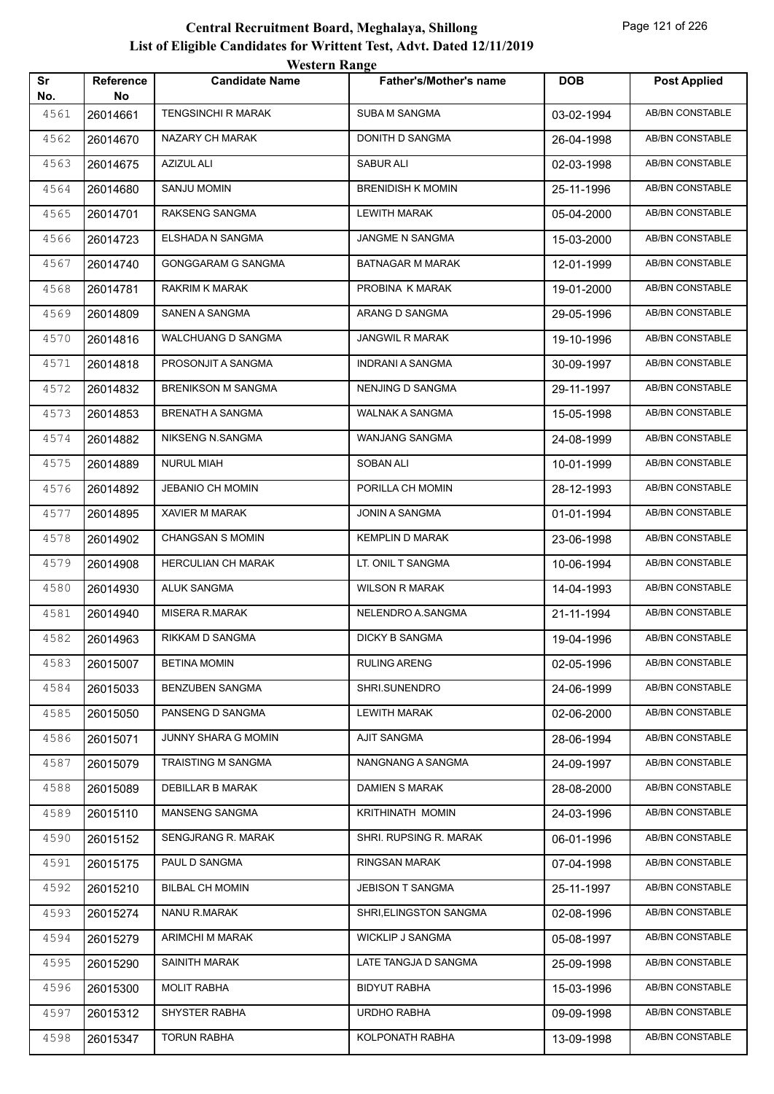|           |                 | WUSULI RAHEU              |                               |            |                        |
|-----------|-----------------|---------------------------|-------------------------------|------------|------------------------|
| Sr<br>No. | Reference<br>No | <b>Candidate Name</b>     | <b>Father's/Mother's name</b> | <b>DOB</b> | <b>Post Applied</b>    |
| 4561      | 26014661        | <b>TENGSINCHI R MARAK</b> | <b>SUBA M SANGMA</b>          | 03-02-1994 | <b>AB/BN CONSTABLE</b> |
| 4562      | 26014670        | NAZARY CH MARAK           | DONITH D SANGMA               | 26-04-1998 | AB/BN CONSTABLE        |
| 4563      | 26014675        | <b>AZIZUL ALI</b>         | SABUR ALI                     | 02-03-1998 | AB/BN CONSTABLE        |
| 4564      | 26014680        | <b>SANJU MOMIN</b>        | <b>BRENIDISH K MOMIN</b>      | 25-11-1996 | AB/BN CONSTABLE        |
| 4565      | 26014701        | RAKSENG SANGMA            | <b>LEWITH MARAK</b>           | 05-04-2000 | AB/BN CONSTABLE        |
| 4566      | 26014723        | ELSHADA N SANGMA          | JANGME N SANGMA               | 15-03-2000 | <b>AB/BN CONSTABLE</b> |
| 4567      | 26014740        | GONGGARAM G SANGMA        | BATNAGAR M MARAK              | 12-01-1999 | AB/BN CONSTABLE        |
| 4568      | 26014781        | RAKRIM K MARAK            | PROBINA K MARAK               | 19-01-2000 | AB/BN CONSTABLE        |
| 4569      | 26014809        | SANEN A SANGMA            | ARANG D SANGMA                | 29-05-1996 | AB/BN CONSTABLE        |
| 4570      | 26014816        | WALCHUANG D SANGMA        | <b>JANGWIL R MARAK</b>        | 19-10-1996 | <b>AB/BN CONSTABLE</b> |
| 4571      | 26014818        | PROSONJIT A SANGMA        | <b>INDRANI A SANGMA</b>       | 30-09-1997 | <b>AB/BN CONSTABLE</b> |
| 4572      | 26014832        | <b>BRENIKSON M SANGMA</b> | NENJING D SANGMA              | 29-11-1997 | AB/BN CONSTABLE        |
| 4573      | 26014853        | <b>BRENATH A SANGMA</b>   | WALNAK A SANGMA               | 15-05-1998 | AB/BN CONSTABLE        |
| 4574      | 26014882        | NIKSENG N.SANGMA          | WANJANG SANGMA                | 24-08-1999 | <b>AB/BN CONSTABLE</b> |
| 4575      | 26014889        | <b>NURUL MIAH</b>         | SOBAN ALI                     | 10-01-1999 | AB/BN CONSTABLE        |
| 4576      | 26014892        | JEBANIO CH MOMIN          | PORILLA CH MOMIN              | 28-12-1993 | AB/BN CONSTABLE        |
| 4577      | 26014895        | <b>XAVIER M MARAK</b>     | JONIN A SANGMA                | 01-01-1994 | AB/BN CONSTABLE        |
| 4578      | 26014902        | <b>CHANGSAN S MOMIN</b>   | <b>KEMPLIN D MARAK</b>        | 23-06-1998 | AB/BN CONSTABLE        |
| 4579      | 26014908        | HERCULIAN CH MARAK        | LT. ONIL T SANGMA             | 10-06-1994 | <b>AB/BN CONSTABLE</b> |
| 4580      | 26014930        | ALUK SANGMA               | <b>WILSON R MARAK</b>         | 14-04-1993 | AB/BN CONSTABLE        |
| 4581      | 26014940        | MISERA R.MARAK            | NELENDRO A.SANGMA             | 21-11-1994 | AB/BN CONSTABLE        |
| 4582      | 26014963        | RIKKAM D SANGMA           | <b>DICKY B SANGMA</b>         | 19-04-1996 | AB/BN CONSTABLE        |
| 4583      | 26015007        | <b>BETINA MOMIN</b>       | <b>RULING ARENG</b>           | 02-05-1996 | AB/BN CONSTABLE        |
| 4584      | 26015033        | BENZUBEN SANGMA           | SHRI.SUNENDRO                 | 24-06-1999 | AB/BN CONSTABLE        |
| 4585      | 26015050        | PANSENG D SANGMA          | LEWITH MARAK                  | 02-06-2000 | AB/BN CONSTABLE        |
| 4586      | 26015071        | JUNNY SHARA G MOMIN       | <b>AJIT SANGMA</b>            | 28-06-1994 | AB/BN CONSTABLE        |
| 4587      | 26015079        | TRAISTING M SANGMA        | NANGNANG A SANGMA             | 24-09-1997 | AB/BN CONSTABLE        |
| 4588      | 26015089        | DEBILLAR B MARAK          | <b>DAMIEN S MARAK</b>         | 28-08-2000 | AB/BN CONSTABLE        |
| 4589      | 26015110        | MANSENG SANGMA            | KRITHINATH MOMIN              | 24-03-1996 | <b>AB/BN CONSTABLE</b> |
| 4590      | 26015152        | SENGJRANG R. MARAK        | SHRI. RUPSING R. MARAK        | 06-01-1996 | AB/BN CONSTABLE        |
| 4591      | 26015175        | PAUL D SANGMA             | <b>RINGSAN MARAK</b>          | 07-04-1998 | AB/BN CONSTABLE        |
| 4592      | 26015210        | <b>BILBAL CH MOMIN</b>    | <b>JEBISON T SANGMA</b>       | 25-11-1997 | AB/BN CONSTABLE        |
| 4593      | 26015274        | NANU R.MARAK              | SHRI, ELINGSTON SANGMA        | 02-08-1996 | AB/BN CONSTABLE        |
| 4594      | 26015279        | ARIMCHI M MARAK           | WICKLIP J SANGMA              | 05-08-1997 | AB/BN CONSTABLE        |
| 4595      | 26015290        | SAINITH MARAK             | LATE TANGJA D SANGMA          | 25-09-1998 | AB/BN CONSTABLE        |
| 4596      | 26015300        | <b>MOLIT RABHA</b>        | <b>BIDYUT RABHA</b>           | 15-03-1996 | AB/BN CONSTABLE        |
| 4597      | 26015312        | SHYSTER RABHA             | URDHO RABHA                   | 09-09-1998 | AB/BN CONSTABLE        |
| 4598      | 26015347        | <b>TORUN RABHA</b>        | KOLPONATH RABHA               | 13-09-1998 | AB/BN CONSTABLE        |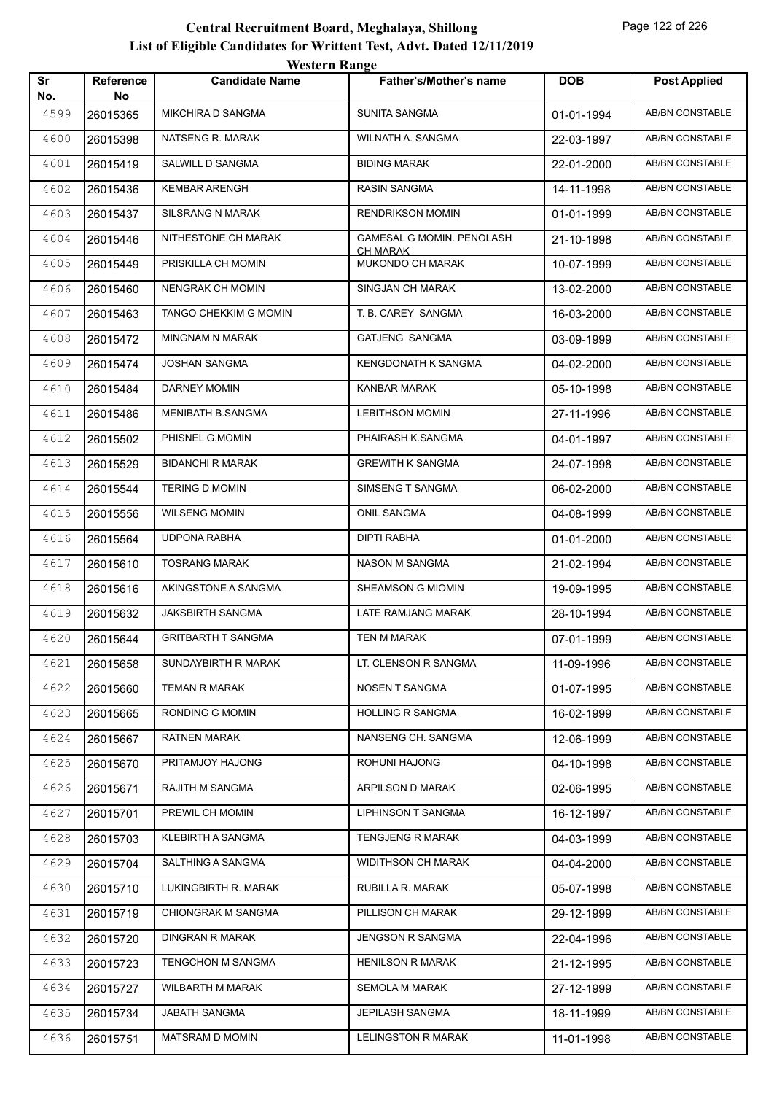|           |                         | WESTEL II INALIZE         |                                  |            |                        |
|-----------|-------------------------|---------------------------|----------------------------------|------------|------------------------|
| Sr<br>No. | <b>Reference</b><br>No. | <b>Candidate Name</b>     | <b>Father's/Mother's name</b>    | <b>DOB</b> | <b>Post Applied</b>    |
| 4599      | 26015365                | MIKCHIRA D SANGMA         | <b>SUNITA SANGMA</b>             | 01-01-1994 | <b>AB/BN CONSTABLE</b> |
| 4600      | 26015398                | NATSENG R. MARAK          | WILNATH A. SANGMA                | 22-03-1997 | AB/BN CONSTABLE        |
| 4601      | 26015419                | SALWILL D SANGMA          | <b>BIDING MARAK</b>              | 22-01-2000 | AB/BN CONSTABLE        |
| 4602      | 26015436                | <b>KEMBAR ARENGH</b>      | RASIN SANGMA                     | 14-11-1998 | AB/BN CONSTABLE        |
| 4603      | 26015437                | <b>SILSRANG N MARAK</b>   | <b>RENDRIKSON MOMIN</b>          | 01-01-1999 | <b>AB/BN CONSTABLE</b> |
| 4604      | 26015446                | NITHESTONE CH MARAK       | <b>GAMESAL G MOMIN. PENOLASH</b> | 21-10-1998 | AB/BN CONSTABLE        |
| 4605      | 26015449                | PRISKILLA CH MOMIN        | CH MARAK<br>MUKONDO CH MARAK     | 10-07-1999 | AB/BN CONSTABLE        |
| 4606      | 26015460                | NENGRAK CH MOMIN          | SINGJAN CH MARAK                 | 13-02-2000 | AB/BN CONSTABLE        |
| 4607      | 26015463                | TANGO CHEKKIM G MOMIN     | T. B. CAREY SANGMA               | 16-03-2000 | AB/BN CONSTABLE        |
| 4608      | 26015472                | <b>MINGNAM N MARAK</b>    | <b>GATJENG SANGMA</b>            | 03-09-1999 | <b>AB/BN CONSTABLE</b> |
| 4609      | 26015474                | <b>JOSHAN SANGMA</b>      | KENGDONATH K SANGMA              | 04-02-2000 | AB/BN CONSTABLE        |
| 4610      | 26015484                | <b>DARNEY MOMIN</b>       | KANBAR MARAK                     | 05-10-1998 | AB/BN CONSTABLE        |
| 4611      | 26015486                | <b>MENIBATH B.SANGMA</b>  | <b>LEBITHSON MOMIN</b>           | 27-11-1996 | AB/BN CONSTABLE        |
| 4612      | 26015502                | PHISNEL G.MOMIN           | PHAIRASH K.SANGMA                | 04-01-1997 | AB/BN CONSTABLE        |
| 4613      | 26015529                | <b>BIDANCHI R MARAK</b>   | <b>GREWITH K SANGMA</b>          | 24-07-1998 | <b>AB/BN CONSTABLE</b> |
| 4614      | 26015544                | <b>TERING D MOMIN</b>     | SIMSENG T SANGMA                 | 06-02-2000 | AB/BN CONSTABLE        |
| 4615      | 26015556                | <b>WILSENG MOMIN</b>      | ONIL SANGMA                      | 04-08-1999 | AB/BN CONSTABLE        |
| 4616      | 26015564                | <b>UDPONA RABHA</b>       | DIPTI RABHA                      | 01-01-2000 | AB/BN CONSTABLE        |
| 4617      | 26015610                | <b>TOSRANG MARAK</b>      | NASON M SANGMA                   | 21-02-1994 | AB/BN CONSTABLE        |
| 4618      | 26015616                | AKINGSTONE A SANGMA       | SHEAMSON G MIOMIN                | 19-09-1995 | AB/BN CONSTABLE        |
| 4619      | 26015632                | <b>JAKSBIRTH SANGMA</b>   | LATE RAMJANG MARAK               | 28-10-1994 | AB/BN CONSTABLE        |
| 4620      | 26015644                | <b>GRITBARTH T SANGMA</b> | TEN M MARAK                      | 07-01-1999 | AB/BN CONSTABLE        |
| 4621      | 26015658                | SUNDAYBIRTH R MARAK       | LT. CLENSON R SANGMA             | 11-09-1996 | AB/BN CONSTABLE        |
| 4622      | 26015660                | <b>TEMAN R MARAK</b>      | NOSEN T SANGMA                   | 01-07-1995 | AB/BN CONSTABLE        |
| 4623      | 26015665                | RONDING G MOMIN           | <b>HOLLING R SANGMA</b>          | 16-02-1999 | AB/BN CONSTABLE        |
| 4624      | 26015667                | <b>RATNEN MARAK</b>       | NANSENG CH. SANGMA               | 12-06-1999 | AB/BN CONSTABLE        |
| 4625      | 26015670                | PRITAMJOY HAJONG          | ROHUNI HAJONG                    | 04-10-1998 | AB/BN CONSTABLE        |
| 4626      | 26015671                | RAJITH M SANGMA           | ARPILSON D MARAK                 | 02-06-1995 | AB/BN CONSTABLE        |
| 4627      | 26015701                | PREWIL CH MOMIN           | <b>LIPHINSON T SANGMA</b>        | 16-12-1997 | AB/BN CONSTABLE        |
| 4628      | 26015703                | KLEBIRTH A SANGMA         | <b>TENGJENG R MARAK</b>          | 04-03-1999 | AB/BN CONSTABLE        |
| 4629      | 26015704                | SALTHING A SANGMA         | <b>WIDITHSON CH MARAK</b>        | 04-04-2000 | AB/BN CONSTABLE        |
| 4630      | 26015710                | LUKINGBIRTH R. MARAK      | RUBILLA R. MARAK                 | 05-07-1998 | AB/BN CONSTABLE        |
| 4631      | 26015719                | CHIONGRAK M SANGMA        | PILLISON CH MARAK                | 29-12-1999 | AB/BN CONSTABLE        |
| 4632      | 26015720                | <b>DINGRAN R MARAK</b>    | JENGSON R SANGMA                 | 22-04-1996 | AB/BN CONSTABLE        |
| 4633      | 26015723                | TENGCHON M SANGMA         | <b>HENILSON R MARAK</b>          | 21-12-1995 | AB/BN CONSTABLE        |
| 4634      | 26015727                | <b>WILBARTH M MARAK</b>   | <b>SEMOLA M MARAK</b>            | 27-12-1999 | AB/BN CONSTABLE        |
| 4635      | 26015734                | <b>JABATH SANGMA</b>      | JEPILASH SANGMA                  | 18-11-1999 | AB/BN CONSTABLE        |
| 4636      | 26015751                | MATSRAM D MOMIN           | <b>LELINGSTON R MARAK</b>        | 11-01-1998 | AB/BN CONSTABLE        |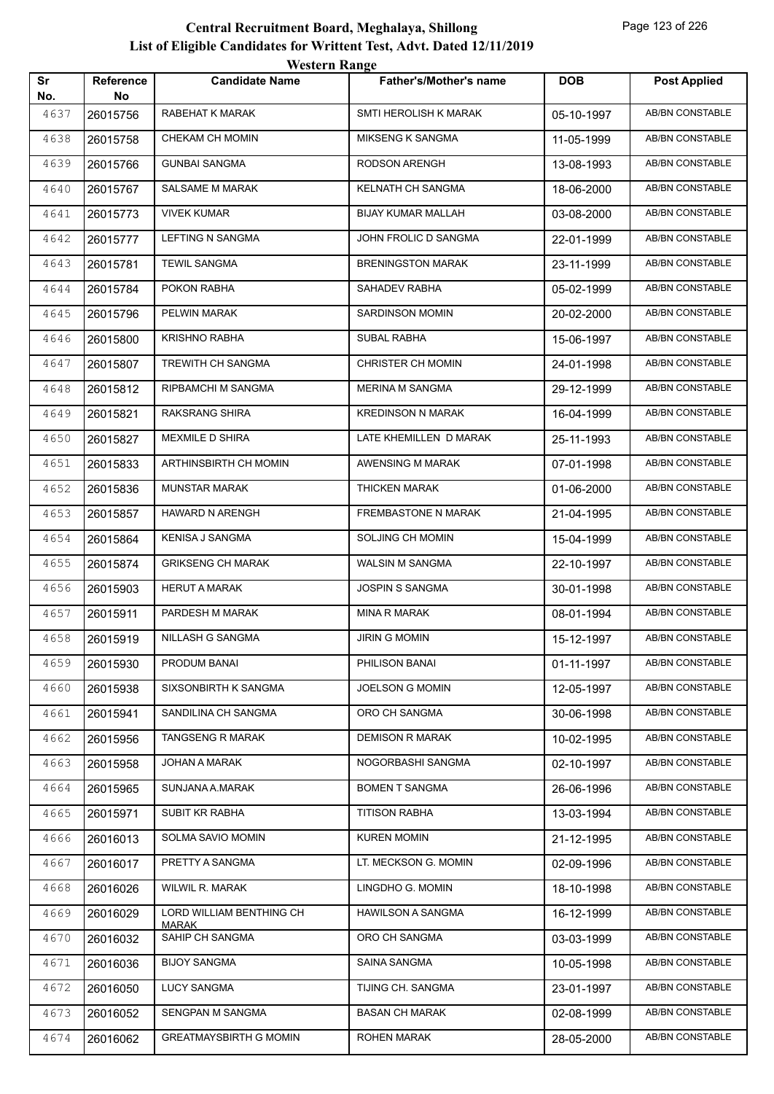| Sr          | Reference      | <b>TUGILLE INALIZE</b><br><b>Candidate Name</b> | <b>Father's/Mother's name</b> | <b>DOB</b> | <b>Post Applied</b>    |
|-------------|----------------|-------------------------------------------------|-------------------------------|------------|------------------------|
| No.<br>4637 | No<br>26015756 | RABEHAT K MARAK                                 | SMTI HEROLISH K MARAK         | 05-10-1997 | <b>AB/BN CONSTABLE</b> |
| 4638        | 26015758       | CHEKAM CH MOMIN                                 | <b>MIKSENG K SANGMA</b>       | 11-05-1999 | <b>AB/BN CONSTABLE</b> |
| 4639        | 26015766       | <b>GUNBAI SANGMA</b>                            | RODSON ARENGH                 | 13-08-1993 | <b>AB/BN CONSTABLE</b> |
| 4640        | 26015767       | SALSAME M MARAK                                 | KELNATH CH SANGMA             | 18-06-2000 | <b>AB/BN CONSTABLE</b> |
| 4641        | 26015773       | <b>VIVEK KUMAR</b>                              | BIJAY KUMAR MALLAH            | 03-08-2000 | AB/BN CONSTABLE        |
| 4642        | 26015777       | LEFTING N SANGMA                                | JOHN FROLIC D SANGMA          | 22-01-1999 | <b>AB/BN CONSTABLE</b> |
| 4643        | 26015781       | <b>TEWIL SANGMA</b>                             | <b>BRENINGSTON MARAK</b>      | 23-11-1999 | <b>AB/BN CONSTABLE</b> |
| 4644        | 26015784       | POKON RABHA                                     | SAHADEV RABHA                 | 05-02-1999 | <b>AB/BN CONSTABLE</b> |
| 4645        | 26015796       | PELWIN MARAK                                    | <b>SARDINSON MOMIN</b>        | 20-02-2000 | <b>AB/BN CONSTABLE</b> |
| 4646        | 26015800       | <b>KRISHNO RABHA</b>                            | SUBAL RABHA                   | 15-06-1997 | AB/BN CONSTABLE        |
| 4647        | 26015807       | TREWITH CH SANGMA                               | <b>CHRISTER CH MOMIN</b>      | 24-01-1998 | AB/BN CONSTABLE        |
| 4648        | 26015812       | RIPBAMCHI M SANGMA                              | <b>MERINA M SANGMA</b>        | 29-12-1999 | <b>AB/BN CONSTABLE</b> |
| 4649        | 26015821       | RAKSRANG SHIRA                                  | <b>KREDINSON N MARAK</b>      | 16-04-1999 | <b>AB/BN CONSTABLE</b> |
| 4650        | 26015827       | MEXMILE D SHIRA                                 | LATE KHEMILLEN D MARAK        | 25-11-1993 | <b>AB/BN CONSTABLE</b> |
| 4651        | 26015833       | ARTHINSBIRTH CH MOMIN                           | AWENSING M MARAK              | 07-01-1998 | AB/BN CONSTABLE        |
| 4652        | 26015836       | <b>MUNSTAR MARAK</b>                            | THICKEN MARAK                 | 01-06-2000 | AB/BN CONSTABLE        |
| 4653        | 26015857       | HAWARD N ARENGH                                 | FREMBASTONE N MARAK           | 21-04-1995 | AB/BN CONSTABLE        |
| 4654        | 26015864       | KENISA J SANGMA                                 | SOLJING CH MOMIN              | 15-04-1999 | <b>AB/BN CONSTABLE</b> |
| 4655        | 26015874       | <b>GRIKSENG CH MARAK</b>                        | WALSIN M SANGMA               | 22-10-1997 | AB/BN CONSTABLE        |
| 4656        | 26015903       | <b>HERUT A MARAK</b>                            | <b>JOSPIN S SANGMA</b>        | 30-01-1998 | AB/BN CONSTABLE        |
| 4657        | 26015911       | PARDESH M MARAK                                 | MINA R MARAK                  | 08-01-1994 | AB/BN CONSTABLE        |
| 4658        | 26015919       | NILLASH G SANGMA                                | <b>JIRIN G MOMIN</b>          | 15-12-1997 | <b>AB/BN CONSTABLE</b> |
| 4659        | 26015930       | PRODUM BANAI                                    | PHILISON BANAI                | 01-11-1997 | AB/BN CONSTABLE        |
| 4660        | 26015938       | SIXSONBIRTH K SANGMA                            | <b>JOELSON G MOMIN</b>        | 12-05-1997 | AB/BN CONSTABLE        |
| 4661        | 26015941       | SANDILINA CH SANGMA                             | ORO CH SANGMA                 | 30-06-1998 | AB/BN CONSTABLE        |
| 4662        | 26015956       | <b>TANGSENG R MARAK</b>                         | <b>DEMISON R MARAK</b>        | 10-02-1995 | AB/BN CONSTABLE        |
| 4663        | 26015958       | JOHAN A MARAK                                   | NOGORBASHI SANGMA             | 02-10-1997 | AB/BN CONSTABLE        |
| 4664        | 26015965       | SUNJANA A.MARAK                                 | <b>BOMEN T SANGMA</b>         | 26-06-1996 | AB/BN CONSTABLE        |
| 4665        | 26015971       | SUBIT KR RABHA                                  | <b>TITISON RABHA</b>          | 13-03-1994 | AB/BN CONSTABLE        |
| 4666        | 26016013       | SOLMA SAVIO MOMIN                               | <b>KUREN MOMIN</b>            | 21-12-1995 | AB/BN CONSTABLE        |
| 4667        | 26016017       | PRETTY A SANGMA                                 | LT. MECKSON G. MOMIN          | 02-09-1996 | AB/BN CONSTABLE        |
| 4668        | 26016026       | WILWIL R. MARAK                                 | LINGDHO G. MOMIN              | 18-10-1998 | AB/BN CONSTABLE        |
| 4669        | 26016029       | LORD WILLIAM BENTHING CH<br><b>MARAK</b>        | <b>HAWILSON A SANGMA</b>      | 16-12-1999 | AB/BN CONSTABLE        |
| 4670        | 26016032       | SAHIP CH SANGMA                                 | ORO CH SANGMA                 | 03-03-1999 | AB/BN CONSTABLE        |
| 4671        | 26016036       | <b>BIJOY SANGMA</b>                             | SAINA SANGMA                  | 10-05-1998 | AB/BN CONSTABLE        |
| 4672        | 26016050       | <b>LUCY SANGMA</b>                              | TIJING CH. SANGMA             | 23-01-1997 | AB/BN CONSTABLE        |
| 4673        | 26016052       | SENGPAN M SANGMA                                | <b>BASAN CH MARAK</b>         | 02-08-1999 | AB/BN CONSTABLE        |
| 4674        | 26016062       | <b>GREATMAYSBIRTH G MOMIN</b>                   | <b>ROHEN MARAK</b>            | 28-05-2000 | AB/BN CONSTABLE        |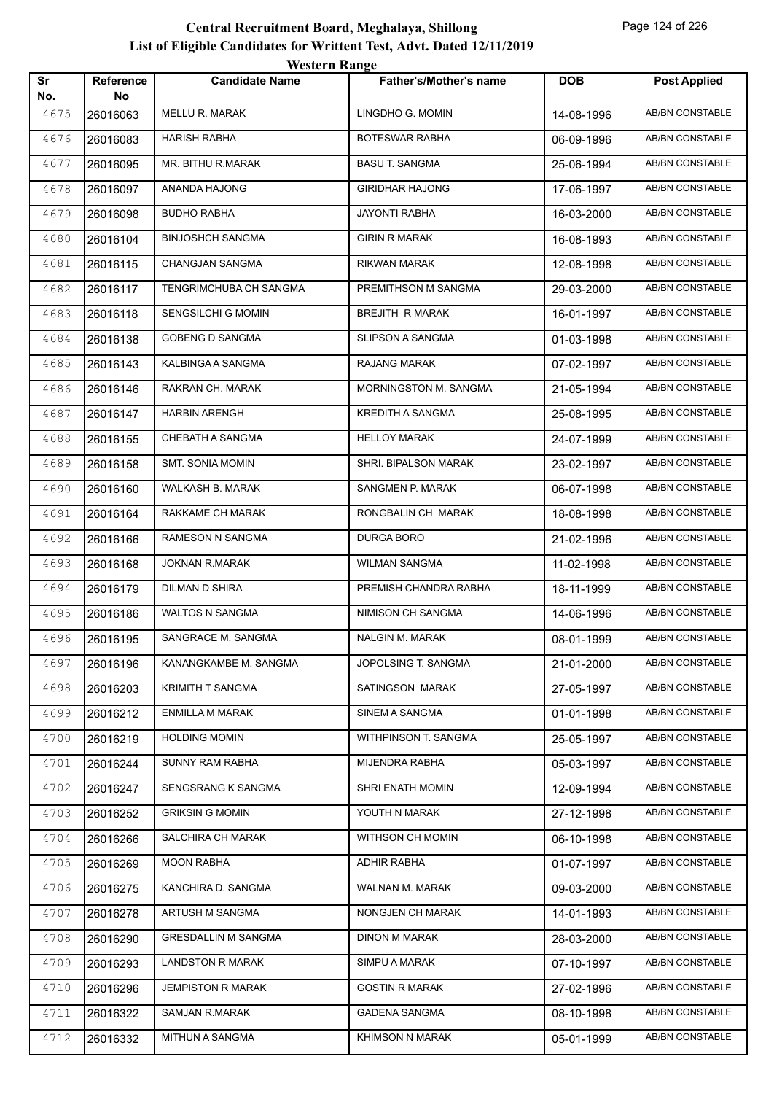|           |                 | western Range              |                               |            |                        |
|-----------|-----------------|----------------------------|-------------------------------|------------|------------------------|
| Sr<br>No. | Reference<br>No | <b>Candidate Name</b>      | <b>Father's/Mother's name</b> | <b>DOB</b> | <b>Post Applied</b>    |
| 4675      | 26016063        | <b>MELLU R. MARAK</b>      | LINGDHO G. MOMIN              | 14-08-1996 | AB/BN CONSTABLE        |
| 4676      | 26016083        | <b>HARISH RABHA</b>        | BOTESWAR RABHA                | 06-09-1996 | AB/BN CONSTABLE        |
| 4677      | 26016095        | MR. BITHU R.MARAK          | <b>BASU T. SANGMA</b>         | 25-06-1994 | AB/BN CONSTABLE        |
| 4678      | 26016097        | ANANDA HAJONG              | <b>GIRIDHAR HAJONG</b>        | 17-06-1997 | <b>AB/BN CONSTABLE</b> |
| 4679      | 26016098        | <b>BUDHO RABHA</b>         | <b>JAYONTI RABHA</b>          | 16-03-2000 | AB/BN CONSTABLE        |
| 4680      | 26016104        | <b>BINJOSHCH SANGMA</b>    | <b>GIRIN R MARAK</b>          | 16-08-1993 | AB/BN CONSTABLE        |
| 4681      | 26016115        | CHANGJAN SANGMA            | RIKWAN MARAK                  | 12-08-1998 | AB/BN CONSTABLE        |
| 4682      | 26016117        | TENGRIMCHUBA CH SANGMA     | PREMITHSON M SANGMA           | 29-03-2000 | AB/BN CONSTABLE        |
| 4683      | 26016118        | <b>SENGSILCHI G MOMIN</b>  | <b>BREJITH R MARAK</b>        | 16-01-1997 | AB/BN CONSTABLE        |
| 4684      | 26016138        | <b>GOBENG D SANGMA</b>     | <b>SLIPSON A SANGMA</b>       | 01-03-1998 | AB/BN CONSTABLE        |
| 4685      | 26016143        | KALBINGA A SANGMA          | <b>RAJANG MARAK</b>           | 07-02-1997 | AB/BN CONSTABLE        |
| 4686      | 26016146        | RAKRAN CH. MARAK           | MORNINGSTON M. SANGMA         | 21-05-1994 | AB/BN CONSTABLE        |
| 4687      | 26016147        | <b>HARBIN ARENGH</b>       | <b>KREDITH A SANGMA</b>       | 25-08-1995 | AB/BN CONSTABLE        |
| 4688      | 26016155        | CHEBATH A SANGMA           | <b>HELLOY MARAK</b>           | 24-07-1999 | AB/BN CONSTABLE        |
| 4689      | 26016158        | <b>SMT. SONIA MOMIN</b>    | SHRI. BIPALSON MARAK          | 23-02-1997 | AB/BN CONSTABLE        |
| 4690      | 26016160        | WALKASH B. MARAK           | SANGMEN P. MARAK              | 06-07-1998 | AB/BN CONSTABLE        |
| 4691      | 26016164        | RAKKAME CH MARAK           | RONGBALIN CH MARAK            | 18-08-1998 | AB/BN CONSTABLE        |
| 4692      | 26016166        | RAMESON N SANGMA           | DURGA BORO                    | 21-02-1996 | AB/BN CONSTABLE        |
| 4693      | 26016168        | <b>JOKNAN R.MARAK</b>      | <b>WILMAN SANGMA</b>          | 11-02-1998 | <b>AB/BN CONSTABLE</b> |
| 4694      | 26016179        | DILMAN D SHIRA             | PREMISH CHANDRA RABHA         | 18-11-1999 | AB/BN CONSTABLE        |
| 4695      | 26016186        | WALTOS N SANGMA            | NIMISON CH SANGMA             | 14-06-1996 | AB/BN CONSTABLE        |
| 4696      | 26016195        | SANGRACE M. SANGMA         | <b>NALGIN M. MARAK</b>        | 08-01-1999 | AB/BN CONSTABLE        |
| 4697      | 26016196        | KANANGKAMBE M. SANGMA      | JOPOLSING T. SANGMA           | 21-01-2000 | AB/BN CONSTABLE        |
| 4698      | 26016203        | <b>KRIMITH T SANGMA</b>    | SATINGSON MARAK               | 27-05-1997 | <b>AB/BN CONSTABLE</b> |
| 4699      | 26016212        | ENMILLA M MARAK            | SINEM A SANGMA                | 01-01-1998 | AB/BN CONSTABLE        |
| 4700      | 26016219        | <b>HOLDING MOMIN</b>       | WITHPINSON T. SANGMA          | 25-05-1997 | AB/BN CONSTABLE        |
| 4701      | 26016244        | SUNNY RAM RABHA            | <b>MIJENDRA RABHA</b>         | 05-03-1997 | AB/BN CONSTABLE        |
| 4702      | 26016247        | SENGSRANG K SANGMA         | SHRI ENATH MOMIN              | 12-09-1994 | AB/BN CONSTABLE        |
| 4703      | 26016252        | <b>GRIKSIN G MOMIN</b>     | YOUTH N MARAK                 | 27-12-1998 | AB/BN CONSTABLE        |
| 4704      | 26016266        | SALCHIRA CH MARAK          | WITHSON CH MOMIN              | 06-10-1998 | AB/BN CONSTABLE        |
| 4705      | 26016269        | <b>MOON RABHA</b>          | <b>ADHIR RABHA</b>            | 01-07-1997 | AB/BN CONSTABLE        |
| 4706      | 26016275        | KANCHIRA D. SANGMA         | WALNAN M. MARAK               | 09-03-2000 | AB/BN CONSTABLE        |
| 4707      | 26016278        | ARTUSH M SANGMA            | NONGJEN CH MARAK              | 14-01-1993 | AB/BN CONSTABLE        |
| 4708      | 26016290        | <b>GRESDALLIN M SANGMA</b> | <b>DINON M MARAK</b>          | 28-03-2000 | AB/BN CONSTABLE        |
| 4709      | 26016293        | <b>LANDSTON R MARAK</b>    | SIMPU A MARAK                 | 07-10-1997 | AB/BN CONSTABLE        |
| 4710      | 26016296        | <b>JEMPISTON R MARAK</b>   | <b>GOSTIN R MARAK</b>         | 27-02-1996 | AB/BN CONSTABLE        |
| 4711      | 26016322        | SAMJAN R.MARAK             | <b>GADENA SANGMA</b>          | 08-10-1998 | AB/BN CONSTABLE        |
| 4712      | 26016332        | MITHUN A SANGMA            | KHIMSON N MARAK               | 05-01-1999 | AB/BN CONSTABLE        |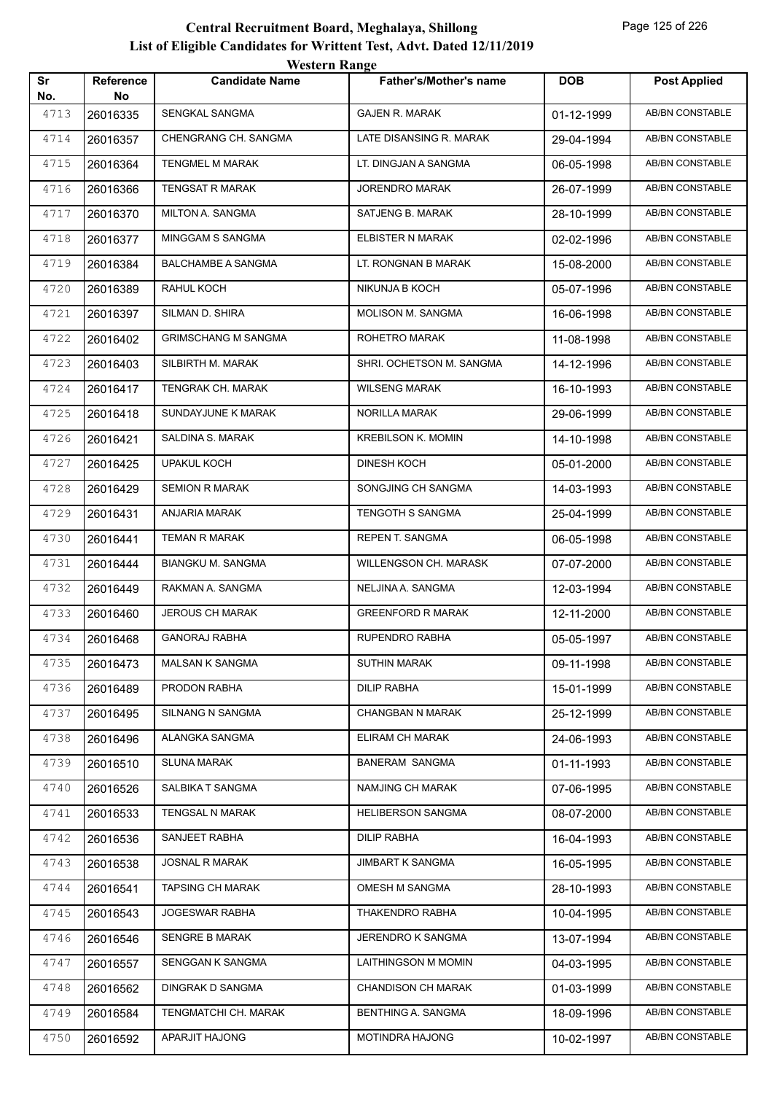| Sr<br>No. | Reference<br>No | $\cdots$<br><b>Candidate Name</b> | <b>Father's/Mother's name</b> | <b>DOB</b> | <b>Post Applied</b>    |
|-----------|-----------------|-----------------------------------|-------------------------------|------------|------------------------|
| 4713      | 26016335        | SENGKAL SANGMA                    | <b>GAJEN R. MARAK</b>         | 01-12-1999 | <b>AB/BN CONSTABLE</b> |
| 4714      | 26016357        | CHENGRANG CH. SANGMA              | LATE DISANSING R. MARAK       | 29-04-1994 | AB/BN CONSTABLE        |
| 4715      | 26016364        | <b>TENGMEL M MARAK</b>            | LT. DINGJAN A SANGMA          | 06-05-1998 | <b>AB/BN CONSTABLE</b> |
| 4716      | 26016366        | <b>TENGSAT R MARAK</b>            | <b>JORENDRO MARAK</b>         | 26-07-1999 | AB/BN CONSTABLE        |
| 4717      | 26016370        | MILTON A. SANGMA                  | SATJENG B. MARAK              | 28-10-1999 | AB/BN CONSTABLE        |
| 4718      | 26016377        | MINGGAM S SANGMA                  | ELBISTER N MARAK              | 02-02-1996 | AB/BN CONSTABLE        |
| 4719      | 26016384        | <b>BALCHAMBE A SANGMA</b>         | LT. RONGNAN B MARAK           | 15-08-2000 | AB/BN CONSTABLE        |
| 4720      | 26016389        | RAHUL KOCH                        | NIKUNJA B KOCH                | 05-07-1996 | AB/BN CONSTABLE        |
| 4721      | 26016397        | SILMAN D. SHIRA                   | MOLISON M. SANGMA             | 16-06-1998 | <b>AB/BN CONSTABLE</b> |
| 4722      | 26016402        | <b>GRIMSCHANG M SANGMA</b>        | ROHETRO MARAK                 | 11-08-1998 | AB/BN CONSTABLE        |
| 4723      | 26016403        | SILBIRTH M. MARAK                 | SHRI. OCHETSON M. SANGMA      | 14-12-1996 | AB/BN CONSTABLE        |
| 4724      | 26016417        | TENGRAK CH. MARAK                 | <b>WILSENG MARAK</b>          | 16-10-1993 | AB/BN CONSTABLE        |
| 4725      | 26016418        | SUNDAYJUNE K MARAK                | NORILLA MARAK                 | 29-06-1999 | AB/BN CONSTABLE        |
| 4726      | 26016421        | SALDINA S. MARAK                  | <b>KREBILSON K. MOMIN</b>     | 14-10-1998 | AB/BN CONSTABLE        |
| 4727      | 26016425        | <b>UPAKUL KOCH</b>                | <b>DINESH KOCH</b>            | 05-01-2000 | AB/BN CONSTABLE        |
| 4728      | 26016429        | <b>SEMION R MARAK</b>             | SONGJING CH SANGMA            | 14-03-1993 | AB/BN CONSTABLE        |
| 4729      | 26016431        | ANJARIA MARAK                     | TENGOTH S SANGMA              | 25-04-1999 | <b>AB/BN CONSTABLE</b> |
| 4730      | 26016441        | <b>TEMAN R MARAK</b>              | REPEN T. SANGMA               | 06-05-1998 | <b>AB/BN CONSTABLE</b> |
| 4731      | 26016444        | BIANGKU M. SANGMA                 | <b>WILLENGSON CH. MARASK</b>  | 07-07-2000 | AB/BN CONSTABLE        |
| 4732      | 26016449        | RAKMAN A. SANGMA                  | NELJINA A. SANGMA             | 12-03-1994 | AB/BN CONSTABLE        |
| 4733      | 26016460        | <b>JEROUS CH MARAK</b>            | <b>GREENFORD R MARAK</b>      | 12-11-2000 | AB/BN CONSTABLE        |
| 4734      | 26016468        | <b>GANORAJ RABHA</b>              | RUPENDRO RABHA                | 05-05-1997 | AB/BN CONSTABLE        |
| 4735      | 26016473        | MALSAN K SANGMA                   | <b>SUTHIN MARAK</b>           | 09-11-1998 | AB/BN CONSTABLE        |
| 4736      | 26016489        | PRODON RABHA                      | DILIP RABHA                   | 15-01-1999 | AB/BN CONSTABLE        |
| 4737      | 26016495        | SILNANG N SANGMA                  | CHANGBAN N MARAK              | 25-12-1999 | AB/BN CONSTABLE        |
| 4738      | 26016496        | ALANGKA SANGMA                    | ELIRAM CH MARAK               | 24-06-1993 | AB/BN CONSTABLE        |
| 4739      | 26016510        | <b>SLUNA MARAK</b>                | <b>BANERAM SANGMA</b>         | 01-11-1993 | AB/BN CONSTABLE        |
| 4740      | 26016526        | SALBIKA T SANGMA                  | NAMJING CH MARAK              | 07-06-1995 | AB/BN CONSTABLE        |
| 4741      | 26016533        | TENGSAL N MARAK                   | HELIBERSON SANGMA             | 08-07-2000 | AB/BN CONSTABLE        |
| 4742      | 26016536        | SANJEET RABHA                     | <b>DILIP RABHA</b>            | 16-04-1993 | AB/BN CONSTABLE        |
| 4743      | 26016538        | <b>JOSNAL R MARAK</b>             | <b>JIMBART K SANGMA</b>       | 16-05-1995 | AB/BN CONSTABLE        |
| 4744      | 26016541        | <b>TAPSING CH MARAK</b>           | OMESH M SANGMA                | 28-10-1993 | AB/BN CONSTABLE        |
| 4745      | 26016543        | JOGESWAR RABHA                    | THAKENDRO RABHA               | 10-04-1995 | AB/BN CONSTABLE        |
| 4746      | 26016546        | SENGRE B MARAK                    | JERENDRO K SANGMA             | 13-07-1994 | AB/BN CONSTABLE        |
| 4747      | 26016557        | SENGGAN K SANGMA                  | LAITHINGSON M MOMIN           | 04-03-1995 | AB/BN CONSTABLE        |
| 4748      | 26016562        | DINGRAK D SANGMA                  | <b>CHANDISON CH MARAK</b>     | 01-03-1999 | AB/BN CONSTABLE        |
| 4749      | 26016584        | TENGMATCHI CH. MARAK              | BENTHING A. SANGMA            | 18-09-1996 | AB/BN CONSTABLE        |
| 4750      | 26016592        | APARJIT HAJONG                    | MOTINDRA HAJONG               | 10-02-1997 | AB/BN CONSTABLE        |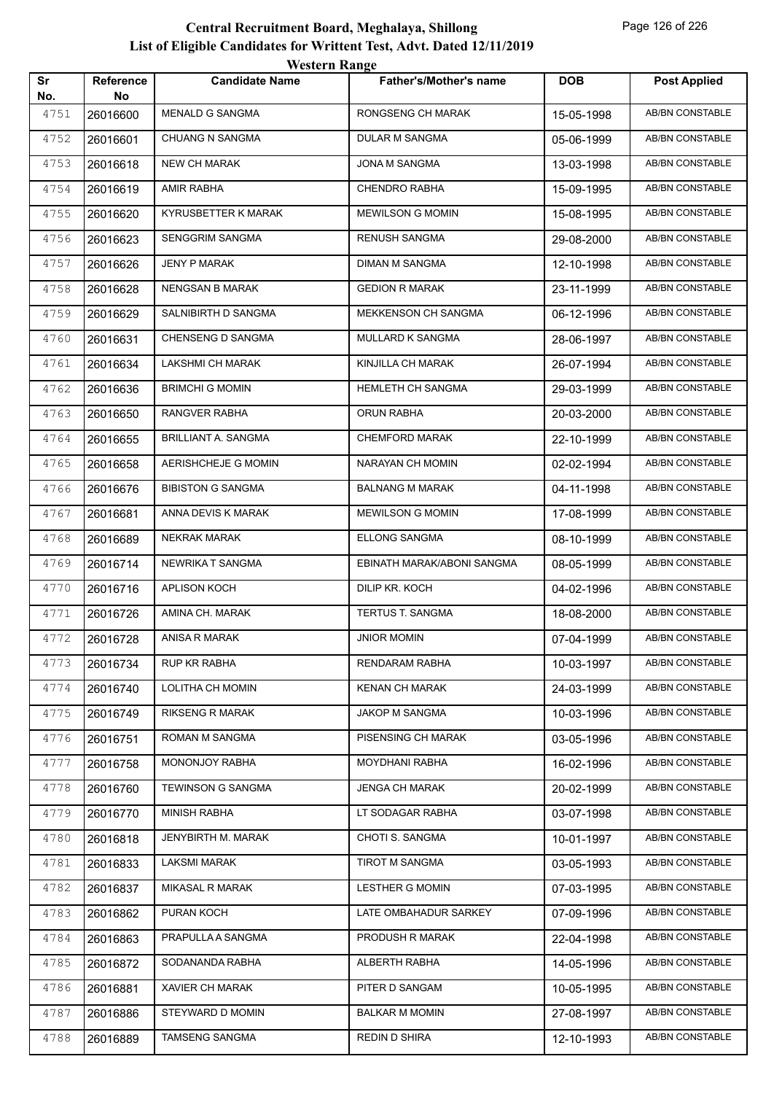|           |                        | <b>Western Range</b>       |                               |            |                        |
|-----------|------------------------|----------------------------|-------------------------------|------------|------------------------|
| Sr<br>No. | <b>Reference</b><br>No | <b>Candidate Name</b>      | <b>Father's/Mother's name</b> | <b>DOB</b> | <b>Post Applied</b>    |
| 4751      | 26016600               | <b>MENALD G SANGMA</b>     | RONGSENG CH MARAK             | 15-05-1998 | <b>AB/BN CONSTABLE</b> |
| 4752      | 26016601               | <b>CHUANG N SANGMA</b>     | <b>DULAR M SANGMA</b>         | 05-06-1999 | <b>AB/BN CONSTABLE</b> |
| 4753      | 26016618               | <b>NEW CH MARAK</b>        | JONA M SANGMA                 | 13-03-1998 | AB/BN CONSTABLE        |
| 4754      | 26016619               | <b>AMIR RABHA</b>          | CHENDRO RABHA                 | 15-09-1995 | <b>AB/BN CONSTABLE</b> |
| 4755      | 26016620               | KYRUSBETTER K MARAK        | <b>MEWILSON G MOMIN</b>       | 15-08-1995 | <b>AB/BN CONSTABLE</b> |
| 4756      | 26016623               | <b>SENGGRIM SANGMA</b>     | <b>RENUSH SANGMA</b>          | 29-08-2000 | <b>AB/BN CONSTABLE</b> |
| 4757      | 26016626               | <b>JENY P MARAK</b>        | <b>DIMAN M SANGMA</b>         | 12-10-1998 | AB/BN CONSTABLE        |
| 4758      | 26016628               | <b>NENGSAN B MARAK</b>     | <b>GEDION R MARAK</b>         | 23-11-1999 | <b>AB/BN CONSTABLE</b> |
| 4759      | 26016629               | SALNIBIRTH D SANGMA        | MEKKENSON CH SANGMA           | 06-12-1996 | <b>AB/BN CONSTABLE</b> |
| 4760      | 26016631               | <b>CHENSENG D SANGMA</b>   | <b>MULLARD K SANGMA</b>       | 28-06-1997 | <b>AB/BN CONSTABLE</b> |
| 4761      | 26016634               | <b>LAKSHMI CH MARAK</b>    | KINJILLA CH MARAK             | 26-07-1994 | <b>AB/BN CONSTABLE</b> |
| 4762      | 26016636               | <b>BRIMCHI G MOMIN</b>     | HEMLETH CH SANGMA             | 29-03-1999 | AB/BN CONSTABLE        |
| 4763      | 26016650               | RANGVER RABHA              | <b>ORUN RABHA</b>             | 20-03-2000 | <b>AB/BN CONSTABLE</b> |
| 4764      | 26016655               | <b>BRILLIANT A. SANGMA</b> | <b>CHEMFORD MARAK</b>         | 22-10-1999 | <b>AB/BN CONSTABLE</b> |
| 4765      | 26016658               | AERISHCHEJE G MOMIN        | NARAYAN CH MOMIN              | 02-02-1994 | AB/BN CONSTABLE        |
| 4766      | 26016676               | <b>BIBISTON G SANGMA</b>   | <b>BALNANG M MARAK</b>        | 04-11-1998 | <b>AB/BN CONSTABLE</b> |
| 4767      | 26016681               | ANNA DEVIS K MARAK         | <b>MEWILSON G MOMIN</b>       | 17-08-1999 | AB/BN CONSTABLE        |
| 4768      | 26016689               | <b>NEKRAK MARAK</b>        | ELLONG SANGMA                 | 08-10-1999 | <b>AB/BN CONSTABLE</b> |
| 4769      | 26016714               | <b>NEWRIKA T SANGMA</b>    | EBINATH MARAK/ABONI SANGMA    | 08-05-1999 | <b>AB/BN CONSTABLE</b> |
| 4770      | 26016716               | APLISON KOCH               | DILIP KR. KOCH                | 04-02-1996 | AB/BN CONSTABLE        |
| 4771      | 26016726               | AMINA CH. MARAK            | TERTUS T. SANGMA              | 18-08-2000 | AB/BN CONSTABLE        |
| 4772      | 26016728               | ANISA R MARAK              | <b>JNIOR MOMIN</b>            | 07-04-1999 | <b>AB/BN CONSTABLE</b> |
| 4773      | 26016734               | RUP KR RABHA               | RENDARAM RABHA                | 10-03-1997 | AB/BN CONSTABLE        |
| 4774      | 26016740               | LOLITHA CH MOMIN           | <b>KENAN CH MARAK</b>         | 24-03-1999 | AB/BN CONSTABLE        |
| 4775      | 26016749               | <b>RIKSENG R MARAK</b>     | <b>JAKOP M SANGMA</b>         | 10-03-1996 | AB/BN CONSTABLE        |
| 4776      | 26016751               | ROMAN M SANGMA             | PISENSING CH MARAK            | 03-05-1996 | AB/BN CONSTABLE        |
| 4777      | 26016758               | MONONJOY RABHA             | MOYDHANI RABHA                | 16-02-1996 | AB/BN CONSTABLE        |
| 4778      | 26016760               | TEWINSON G SANGMA          | <b>JENGA CH MARAK</b>         | 20-02-1999 | AB/BN CONSTABLE        |
| 4779      | 26016770               | <b>MINISH RABHA</b>        | LT SODAGAR RABHA              | 03-07-1998 | AB/BN CONSTABLE        |
| 4780      | 26016818               | <b>JENYBIRTH M. MARAK</b>  | CHOTI S. SANGMA               | 10-01-1997 | AB/BN CONSTABLE        |
| 4781      | 26016833               | LAKSMI MARAK               | TIROT M SANGMA                | 03-05-1993 | AB/BN CONSTABLE        |
| 4782      | 26016837               | <b>MIKASAL R MARAK</b>     | <b>LESTHER G MOMIN</b>        | 07-03-1995 | AB/BN CONSTABLE        |
| 4783      | 26016862               | PURAN KOCH                 | LATE OMBAHADUR SARKEY         | 07-09-1996 | AB/BN CONSTABLE        |
| 4784      | 26016863               | PRAPULLA A SANGMA          | PRODUSH R MARAK               | 22-04-1998 | AB/BN CONSTABLE        |
| 4785      | 26016872               | SODANANDA RABHA            | ALBERTH RABHA                 | 14-05-1996 | AB/BN CONSTABLE        |
| 4786      | 26016881               | XAVIER CH MARAK            | PITER D SANGAM                | 10-05-1995 | AB/BN CONSTABLE        |
| 4787      | 26016886               | STEYWARD D MOMIN           | <b>BALKAR M MOMIN</b>         | 27-08-1997 | AB/BN CONSTABLE        |
| 4788      | 26016889               | TAMSENG SANGMA             | REDIN D SHIRA                 | 12-10-1993 | AB/BN CONSTABLE        |
|           |                        |                            |                               |            |                        |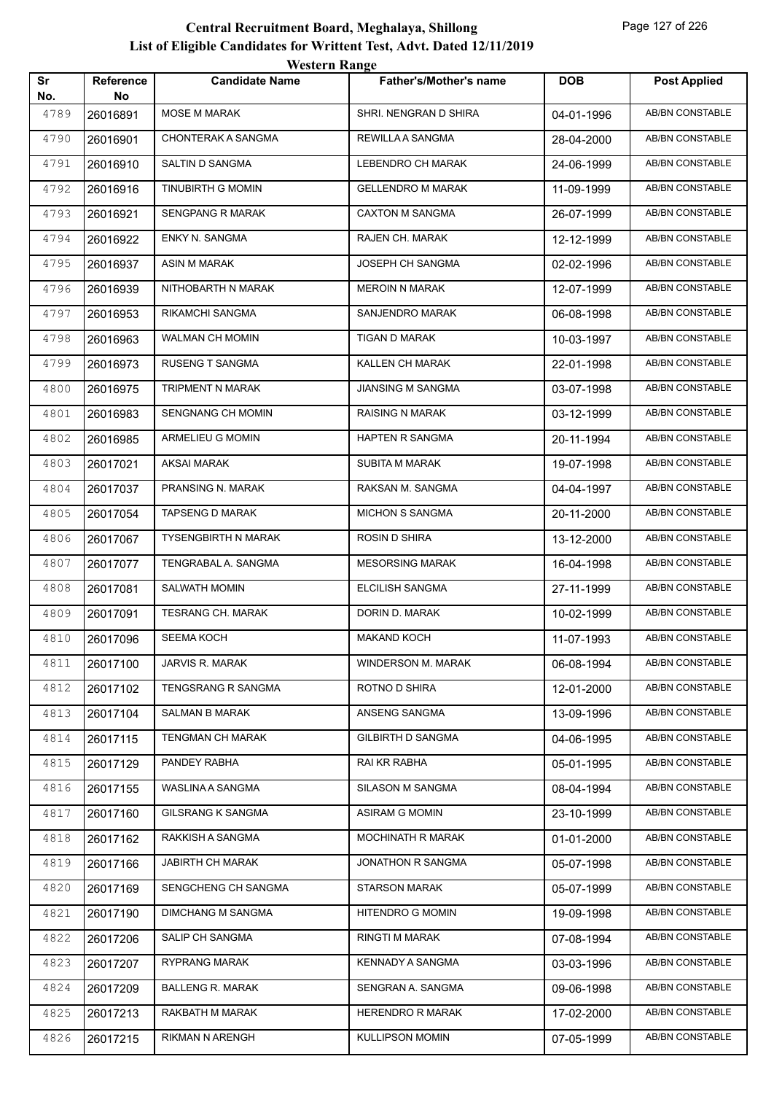| Sr          | Reference      | <b>Candidate Name</b>    | <b>Father's/Mother's name</b> | <b>DOB</b> | <b>Post Applied</b>    |
|-------------|----------------|--------------------------|-------------------------------|------------|------------------------|
| No.<br>4789 | No<br>26016891 | MOSE M MARAK             | SHRI. NENGRAN D SHIRA         | 04-01-1996 | AB/BN CONSTABLE        |
| 4790        | 26016901       | CHONTERAK A SANGMA       | REWILLA A SANGMA              | 28-04-2000 | <b>AB/BN CONSTABLE</b> |
| 4791        | 26016910       | SALTIN D SANGMA          | LEBENDRO CH MARAK             | 24-06-1999 | <b>AB/BN CONSTABLE</b> |
| 4792        | 26016916       | TINUBIRTH G MOMIN        | <b>GELLENDRO M MARAK</b>      | 11-09-1999 | AB/BN CONSTABLE        |
| 4793        | 26016921       | SENGPANG R MARAK         | <b>CAXTON M SANGMA</b>        | 26-07-1999 | <b>AB/BN CONSTABLE</b> |
| 4794        | 26016922       | ENKY N. SANGMA           | RAJEN CH. MARAK               | 12-12-1999 | AB/BN CONSTABLE        |
| 4795        | 26016937       | ASIN M MARAK             | JOSEPH CH SANGMA              | 02-02-1996 | <b>AB/BN CONSTABLE</b> |
| 4796        | 26016939       | NITHOBARTH N MARAK       | <b>MEROIN N MARAK</b>         | 12-07-1999 | AB/BN CONSTABLE        |
| 4797        | 26016953       | RIKAMCHI SANGMA          | SANJENDRO MARAK               | 06-08-1998 | AB/BN CONSTABLE        |
| 4798        | 26016963       | WALMAN CH MOMIN          | TIGAN D MARAK                 | 10-03-1997 | <b>AB/BN CONSTABLE</b> |
| 4799        | 26016973       | RUSENG T SANGMA          | KALLEN CH MARAK               | 22-01-1998 | AB/BN CONSTABLE        |
| 4800        | 26016975       | TRIPMENT N MARAK         | JIANSING M SANGMA             | 03-07-1998 | <b>AB/BN CONSTABLE</b> |
| 4801        | 26016983       | <b>SENGNANG CH MOMIN</b> | RAISING N MARAK               | 03-12-1999 | AB/BN CONSTABLE        |
| 4802        | 26016985       | ARMELIEU G MOMIN         | <b>HAPTEN R SANGMA</b>        | 20-11-1994 | AB/BN CONSTABLE        |
| 4803        | 26017021       | <b>AKSAI MARAK</b>       | <b>SUBITA M MARAK</b>         | 19-07-1998 | <b>AB/BN CONSTABLE</b> |
| 4804        | 26017037       | PRANSING N. MARAK        | RAKSAN M. SANGMA              | 04-04-1997 | AB/BN CONSTABLE        |
| 4805        | 26017054       | <b>TAPSENG D MARAK</b>   | <b>MICHON S SANGMA</b>        | 20-11-2000 | <b>AB/BN CONSTABLE</b> |
| 4806        | 26017067       | TYSENGBIRTH N MARAK      | ROSIN D SHIRA                 | 13-12-2000 | AB/BN CONSTABLE        |
| 4807        | 26017077       | TENGRABAL A. SANGMA      | <b>MESORSING MARAK</b>        | 16-04-1998 | AB/BN CONSTABLE        |
| 4808        | 26017081       | SALWATH MOMIN            | ELCILISH SANGMA               | 27-11-1999 | <b>AB/BN CONSTABLE</b> |
| 4809        | 26017091       | TESRANG CH. MARAK        | DORIN D. MARAK                | 10-02-1999 | AB/BN CONSTABLE        |
| 4810        | 26017096       | <b>SEEMA KOCH</b>        | <b>MAKAND KOCH</b>            | 11-07-1993 | <b>AB/BN CONSTABLE</b> |
| 4811        | 26017100       | JARVIS R. MARAK          | WINDERSON M. MARAK            | 06-08-1994 | AB/BN CONSTABLE        |
| 4812        | 26017102       | TENGSRANG R SANGMA       | ROTNO D SHIRA                 | 12-01-2000 | AB/BN CONSTABLE        |
| 4813        | 26017104       | SALMAN B MARAK           | ANSENG SANGMA                 | 13-09-1996 | AB/BN CONSTABLE        |
| 4814        | 26017115       | TENGMAN CH MARAK         | <b>GILBIRTH D SANGMA</b>      | 04-06-1995 | AB/BN CONSTABLE        |
| 4815        | 26017129       | PANDEY RABHA             | RAI KR RABHA                  | 05-01-1995 | AB/BN CONSTABLE        |
| 4816        | 26017155       | WASLINA A SANGMA         | SILASON M SANGMA              | 08-04-1994 | AB/BN CONSTABLE        |
| 4817        | 26017160       | <b>GILSRANG K SANGMA</b> | ASIRAM G MOMIN                | 23-10-1999 | AB/BN CONSTABLE        |
| 4818        | 26017162       | RAKKISH A SANGMA         | MOCHINATH R MARAK             | 01-01-2000 | AB/BN CONSTABLE        |
| 4819        | 26017166       | JABIRTH CH MARAK         | JONATHON R SANGMA             | 05-07-1998 | AB/BN CONSTABLE        |
| 4820        | 26017169       | SENGCHENG CH SANGMA      | STARSON MARAK                 | 05-07-1999 | AB/BN CONSTABLE        |
| 4821        | 26017190       | <b>DIMCHANG M SANGMA</b> | HITENDRO G MOMIN              | 19-09-1998 | AB/BN CONSTABLE        |
| 4822        | 26017206       | SALIP CH SANGMA          | <b>RINGTI M MARAK</b>         | 07-08-1994 | AB/BN CONSTABLE        |
| 4823        | 26017207       | <b>RYPRANG MARAK</b>     | <b>KENNADY A SANGMA</b>       | 03-03-1996 | AB/BN CONSTABLE        |
| 4824        | 26017209       | <b>BALLENG R. MARAK</b>  | SENGRAN A. SANGMA             | 09-06-1998 | AB/BN CONSTABLE        |
| 4825        | 26017213       | RAKBATH M MARAK          | <b>HERENDRO R MARAK</b>       | 17-02-2000 | AB/BN CONSTABLE        |
| 4826        | 26017215       | RIKMAN N ARENGH          | <b>KULLIPSON MOMIN</b>        | 07-05-1999 | AB/BN CONSTABLE        |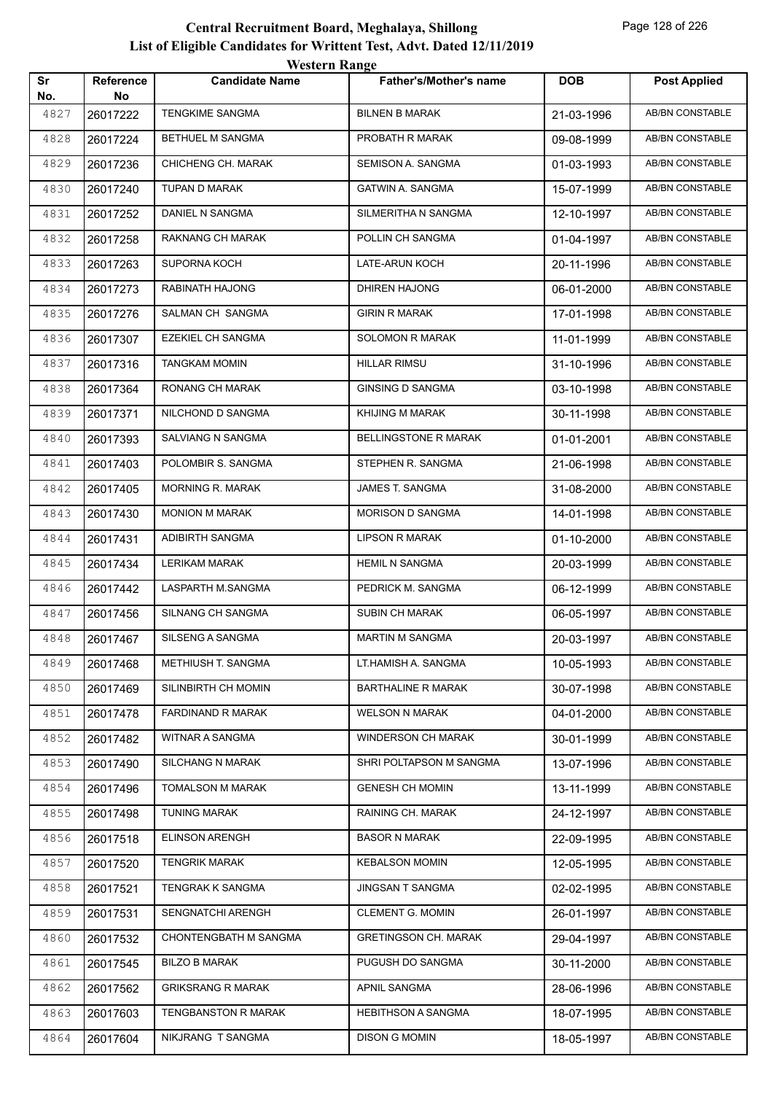|           |                 | <i>Western Kange</i>     |                               |            |                        |
|-----------|-----------------|--------------------------|-------------------------------|------------|------------------------|
| Sr<br>No. | Reference<br>No | <b>Candidate Name</b>    | <b>Father's/Mother's name</b> | <b>DOB</b> | <b>Post Applied</b>    |
| 4827      | 26017222        | <b>TENGKIME SANGMA</b>   | <b>BILNEN B MARAK</b>         | 21-03-1996 | <b>AB/BN CONSTABLE</b> |
| 4828      | 26017224        | BETHUEL M SANGMA         | PROBATH R MARAK               | 09-08-1999 | AB/BN CONSTABLE        |
| 4829      | 26017236        | CHICHENG CH. MARAK       | SEMISON A. SANGMA             | 01-03-1993 | AB/BN CONSTABLE        |
| 4830      | 26017240        | TUPAN D MARAK            | GATWIN A. SANGMA              | 15-07-1999 | AB/BN CONSTABLE        |
| 4831      | 26017252        | DANIEL N SANGMA          | SILMERITHA N SANGMA           | 12-10-1997 | AB/BN CONSTABLE        |
| 4832      | 26017258        | RAKNANG CH MARAK         | POLLIN CH SANGMA              | 01-04-1997 | <b>AB/BN CONSTABLE</b> |
| 4833      | 26017263        | SUPORNA KOCH             | LATE-ARUN KOCH                | 20-11-1996 | AB/BN CONSTABLE        |
| 4834      | 26017273        | RABINATH HAJONG          | DHIREN HAJONG                 | 06-01-2000 | AB/BN CONSTABLE        |
| 4835      | 26017276        | SALMAN CH SANGMA         | <b>GIRIN R MARAK</b>          | 17-01-1998 | AB/BN CONSTABLE        |
| 4836      | 26017307        | EZEKIEL CH SANGMA        | SOLOMON R MARAK               | 11-01-1999 | <b>AB/BN CONSTABLE</b> |
| 4837      | 26017316        | <b>TANGKAM MOMIN</b>     | <b>HILLAR RIMSU</b>           | 31-10-1996 | <b>AB/BN CONSTABLE</b> |
| 4838      | 26017364        | RONANG CH MARAK          | <b>GINSING D SANGMA</b>       | 03-10-1998 | AB/BN CONSTABLE        |
| 4839      | 26017371        | NILCHOND D SANGMA        | KHIJING M MARAK               | 30-11-1998 | AB/BN CONSTABLE        |
| 4840      | 26017393        | SALVIANG N SANGMA        | <b>BELLINGSTONE R MARAK</b>   | 01-01-2001 | AB/BN CONSTABLE        |
| 4841      | 26017403        | POLOMBIR S. SANGMA       | STEPHEN R. SANGMA             | 21-06-1998 | <b>AB/BN CONSTABLE</b> |
| 4842      | 26017405        | <b>MORNING R. MARAK</b>  | JAMES T. SANGMA               | 31-08-2000 | <b>AB/BN CONSTABLE</b> |
| 4843      | 26017430        | MONION M MARAK           | <b>MORISON D SANGMA</b>       | 14-01-1998 | AB/BN CONSTABLE        |
| 4844      | 26017431        | ADIBIRTH SANGMA          | <b>LIPSON R MARAK</b>         | 01-10-2000 | AB/BN CONSTABLE        |
| 4845      | 26017434        | <b>LERIKAM MARAK</b>     | <b>HEMIL N SANGMA</b>         | 20-03-1999 | AB/BN CONSTABLE        |
| 4846      | 26017442        | LASPARTH M.SANGMA        | PEDRICK M. SANGMA             | 06-12-1999 | AB/BN CONSTABLE        |
| 4847      | 26017456        | SILNANG CH SANGMA        | SUBIN CH MARAK                | 06-05-1997 | <b>AB/BN CONSTABLE</b> |
| 4848      | 26017467        | SILSENG A SANGMA         | <b>MARTIN M SANGMA</b>        | 20-03-1997 | AB/BN CONSTABLE        |
| 4849      | 26017468        | METHIUSH T. SANGMA       | LT.HAMISH A. SANGMA           | 10-05-1993 | AB/BN CONSTABLE        |
| 4850      | 26017469        | SILINBIRTH CH MOMIN      | <b>BARTHALINE R MARAK</b>     | 30-07-1998 | AB/BN CONSTABLE        |
| 4851      | 26017478        | FARDINAND R MARAK        | <b>WELSON N MARAK</b>         | 04-01-2000 | AB/BN CONSTABLE        |
| 4852      | 26017482        | WITNAR A SANGMA          | WINDERSON CH MARAK            | 30-01-1999 | AB/BN CONSTABLE        |
| 4853      | 26017490        | <b>SILCHANG N MARAK</b>  | SHRI POLTAPSON M SANGMA       | 13-07-1996 | AB/BN CONSTABLE        |
| 4854      | 26017496        | <b>TOMALSON M MARAK</b>  | <b>GENESH CH MOMIN</b>        | 13-11-1999 | AB/BN CONSTABLE        |
| 4855      | 26017498        | <b>TUNING MARAK</b>      | RAINING CH. MARAK             | 24-12-1997 | AB/BN CONSTABLE        |
| 4856      | 26017518        | <b>ELINSON ARENGH</b>    | <b>BASOR N MARAK</b>          | 22-09-1995 | AB/BN CONSTABLE        |
| 4857      | 26017520        | <b>TENGRIK MARAK</b>     | <b>KEBALSON MOMIN</b>         | 12-05-1995 | AB/BN CONSTABLE        |
| 4858      | 26017521        | TENGRAK K SANGMA         | JINGSAN T SANGMA              | 02-02-1995 | AB/BN CONSTABLE        |
| 4859      | 26017531        | SENGNATCHI ARENGH        | <b>CLEMENT G. MOMIN</b>       | 26-01-1997 | AB/BN CONSTABLE        |
| 4860      | 26017532        | CHONTENGBATH M SANGMA    | <b>GRETINGSON CH. MARAK</b>   | 29-04-1997 | AB/BN CONSTABLE        |
| 4861      | 26017545        | <b>BILZO B MARAK</b>     | PUGUSH DO SANGMA              | 30-11-2000 | AB/BN CONSTABLE        |
| 4862      | 26017562        | <b>GRIKSRANG R MARAK</b> | APNIL SANGMA                  | 28-06-1996 | AB/BN CONSTABLE        |
| 4863      | 26017603        | TENGBANSTON R MARAK      | <b>HEBITHSON A SANGMA</b>     | 18-07-1995 | AB/BN CONSTABLE        |
| 4864      | 26017604        | NIKJRANG T SANGMA        | <b>DISON G MOMIN</b>          | 18-05-1997 | AB/BN CONSTABLE        |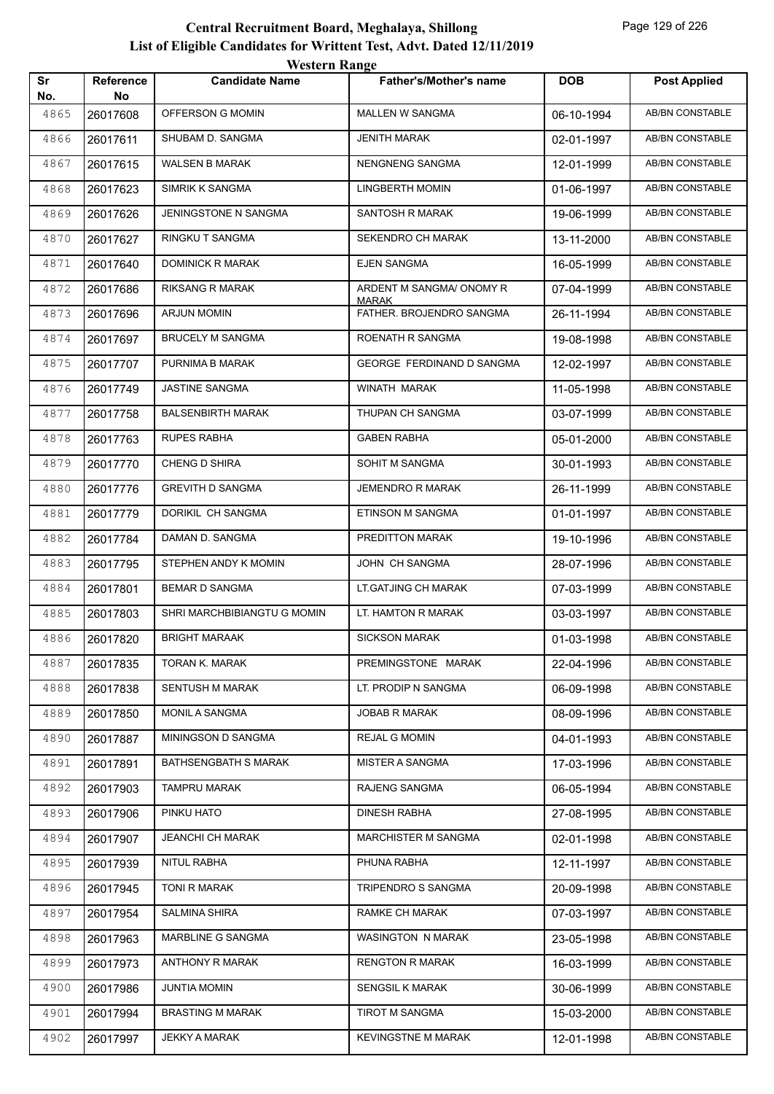|           |                        | <b>Western Range</b>        |                                          |            |                        |
|-----------|------------------------|-----------------------------|------------------------------------------|------------|------------------------|
| Sr<br>No. | <b>Reference</b><br>No | <b>Candidate Name</b>       | <b>Father's/Mother's name</b>            | <b>DOB</b> | <b>Post Applied</b>    |
| 4865      | 26017608               | OFFERSON G MOMIN            | <b>MALLEN W SANGMA</b>                   | 06-10-1994 | AB/BN CONSTABLE        |
| 4866      | 26017611               | SHUBAM D. SANGMA            | <b>JENITH MARAK</b>                      | 02-01-1997 | AB/BN CONSTABLE        |
| 4867      | 26017615               | <b>WALSEN B MARAK</b>       | NENGNENG SANGMA                          | 12-01-1999 | AB/BN CONSTABLE        |
| 4868      | 26017623               | SIMRIK K SANGMA             | <b>LINGBERTH MOMIN</b>                   | 01-06-1997 | AB/BN CONSTABLE        |
| 4869      | 26017626               | JENINGSTONE N SANGMA        | <b>SANTOSH R MARAK</b>                   | 19-06-1999 | <b>AB/BN CONSTABLE</b> |
| 4870      | 26017627               | <b>RINGKU T SANGMA</b>      | SEKENDRO CH MARAK                        | 13-11-2000 | <b>AB/BN CONSTABLE</b> |
| 4871      | 26017640               | DOMINICK R MARAK            | <b>EJEN SANGMA</b>                       | 16-05-1999 | AB/BN CONSTABLE        |
| 4872      | 26017686               | <b>RIKSANG R MARAK</b>      | ARDENT M SANGMA/ ONOMY R                 | 07-04-1999 | AB/BN CONSTABLE        |
| 4873      | 26017696               | <b>ARJUN MOMIN</b>          | <b>MARAK</b><br>FATHER. BROJENDRO SANGMA | 26-11-1994 | AB/BN CONSTABLE        |
| 4874      | 26017697               | <b>BRUCELY M SANGMA</b>     | ROENATH R SANGMA                         | 19-08-1998 | AB/BN CONSTABLE        |
| 4875      | 26017707               | PURNIMA B MARAK             | <b>GEORGE FERDINAND D SANGMA</b>         | 12-02-1997 | AB/BN CONSTABLE        |
| 4876      | 26017749               | <b>JASTINE SANGMA</b>       | WINATH MARAK                             | 11-05-1998 | AB/BN CONSTABLE        |
| 4877      | 26017758               | <b>BALSENBIRTH MARAK</b>    | THUPAN CH SANGMA                         | 03-07-1999 | <b>AB/BN CONSTABLE</b> |
| 4878      | 26017763               | <b>RUPES RABHA</b>          | <b>GABEN RABHA</b>                       | 05-01-2000 | AB/BN CONSTABLE        |
| 4879      | 26017770               | <b>CHENG D SHIRA</b>        | SOHIT M SANGMA                           | 30-01-1993 | AB/BN CONSTABLE        |
| 4880      | 26017776               | <b>GREVITH D SANGMA</b>     | <b>JEMENDRO R MARAK</b>                  | 26-11-1999 | AB/BN CONSTABLE        |
| 4881      | 26017779               | DORIKIL CH SANGMA           | ETINSON M SANGMA                         | 01-01-1997 | AB/BN CONSTABLE        |
| 4882      | 26017784               | DAMAN D. SANGMA             | PREDITTON MARAK                          | 19-10-1996 | AB/BN CONSTABLE        |
| 4883      | 26017795               | STEPHEN ANDY K MOMIN        | JOHN CH SANGMA                           | 28-07-1996 | AB/BN CONSTABLE        |
| 4884      | 26017801               | <b>BEMAR D SANGMA</b>       | LT.GATJING CH MARAK                      | 07-03-1999 | AB/BN CONSTABLE        |
| 4885      | 26017803               | SHRI MARCHBIBIANGTU G MOMIN | LT. HAMTON R MARAK                       | 03-03-1997 | AB/BN CONSTABLE        |
| 4886      | 26017820               | <b>BRIGHT MARAAK</b>        | <b>SICKSON MARAK</b>                     | 01-03-1998 | AB/BN CONSTABLE        |
| 4887      | 26017835               | TORAN K. MARAK              | PREMINGSTONE MARAK                       | 22-04-1996 | AB/BN CONSTABLE        |
| 4888      | 26017838               | <b>SENTUSH M MARAK</b>      | LT. PRODIP N SANGMA                      | 06-09-1998 | AB/BN CONSTABLE        |
| 4889      | 26017850               | <b>MONIL A SANGMA</b>       | <b>JOBAB R MARAK</b>                     | 08-09-1996 | AB/BN CONSTABLE        |
| 4890      | 26017887               | MININGSON D SANGMA          | <b>REJAL G MOMIN</b>                     | 04-01-1993 | AB/BN CONSTABLE        |
| 4891      | 26017891               | <b>BATHSENGBATH S MARAK</b> | <b>MISTER A SANGMA</b>                   | 17-03-1996 | AB/BN CONSTABLE        |
| 4892      | 26017903               | <b>TAMPRU MARAK</b>         | RAJENG SANGMA                            | 06-05-1994 | AB/BN CONSTABLE        |
| 4893      | 26017906               | PINKU HATO                  | DINESH RABHA                             | 27-08-1995 | AB/BN CONSTABLE        |
| 4894      | 26017907               | <b>JEANCHI CH MARAK</b>     | <b>MARCHISTER M SANGMA</b>               | 02-01-1998 | AB/BN CONSTABLE        |
| 4895      | 26017939               | NITUL RABHA                 | PHUNA RABHA                              | 12-11-1997 | AB/BN CONSTABLE        |
| 4896      | 26017945               | TONI R MARAK                | TRIPENDRO S SANGMA                       | 20-09-1998 | AB/BN CONSTABLE        |
| 4897      | 26017954               | <b>SALMINA SHIRA</b>        | RAMKE CH MARAK                           | 07-03-1997 | AB/BN CONSTABLE        |
| 4898      | 26017963               | MARBLINE G SANGMA           | WASINGTON N MARAK                        | 23-05-1998 | AB/BN CONSTABLE        |
| 4899      | 26017973               | ANTHONY R MARAK             | <b>RENGTON R MARAK</b>                   | 16-03-1999 | AB/BN CONSTABLE        |
| 4900      | 26017986               | <b>JUNTIA MOMIN</b>         | <b>SENGSIL K MARAK</b>                   | 30-06-1999 | AB/BN CONSTABLE        |
| 4901      | 26017994               | <b>BRASTING M MARAK</b>     | TIROT M SANGMA                           | 15-03-2000 | AB/BN CONSTABLE        |
| 4902      | 26017997               | <b>JEKKY A MARAK</b>        | <b>KEVINGSTNE M MARAK</b>                | 12-01-1998 | AB/BN CONSTABLE        |
|           |                        |                             |                                          |            |                        |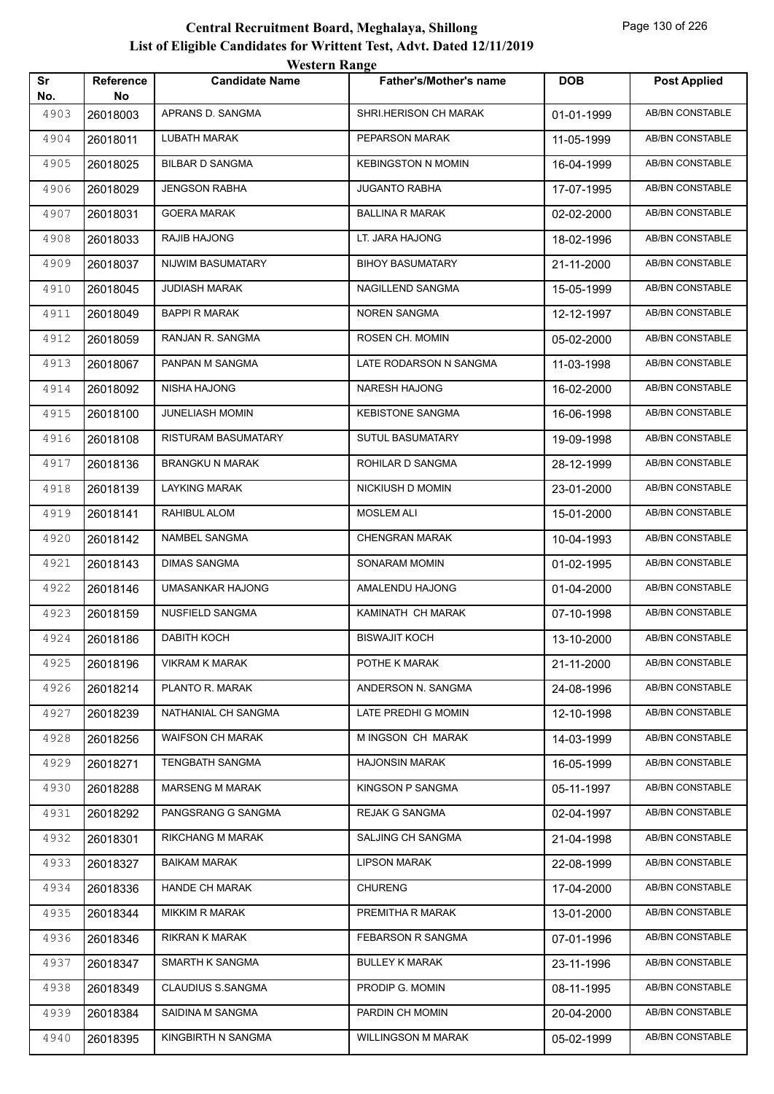|           |                        | WESTEL II INALIZE       |                               |            |                        |
|-----------|------------------------|-------------------------|-------------------------------|------------|------------------------|
| Sr<br>No. | <b>Reference</b><br>No | <b>Candidate Name</b>   | <b>Father's/Mother's name</b> | <b>DOB</b> | <b>Post Applied</b>    |
| 4903      | 26018003               | APRANS D. SANGMA        | SHRI.HERISON CH MARAK         | 01-01-1999 | <b>AB/BN CONSTABLE</b> |
| 4904      | 26018011               | LUBATH MARAK            | PEPARSON MARAK                | 11-05-1999 | AB/BN CONSTABLE        |
| 4905      | 26018025               | <b>BILBAR D SANGMA</b>  | <b>KEBINGSTON N MOMIN</b>     | 16-04-1999 | AB/BN CONSTABLE        |
| 4906      | 26018029               | <b>JENGSON RABHA</b>    | <b>JUGANTO RABHA</b>          | 17-07-1995 | <b>AB/BN CONSTABLE</b> |
| 4907      | 26018031               | <b>GOERA MARAK</b>      | <b>BALLINA R MARAK</b>        | 02-02-2000 | <b>AB/BN CONSTABLE</b> |
| 4908      | 26018033               | RAJIB HAJONG            | LT. JARA HAJONG               | 18-02-1996 | <b>AB/BN CONSTABLE</b> |
| 4909      | 26018037               | NIJWIM BASUMATARY       | <b>BIHOY BASUMATARY</b>       | 21-11-2000 | <b>AB/BN CONSTABLE</b> |
| 4910      | 26018045               | <b>JUDIASH MARAK</b>    | NAGILLEND SANGMA              | 15-05-1999 | AB/BN CONSTABLE        |
| 4911      | 26018049               | BAPPI R MARAK           | NOREN SANGMA                  | 12-12-1997 | <b>AB/BN CONSTABLE</b> |
| 4912      | 26018059               | RANJAN R. SANGMA        | ROSEN CH. MOMIN               | 05-02-2000 | <b>AB/BN CONSTABLE</b> |
| 4913      | 26018067               | PANPAN M SANGMA         | LATE RODARSON N SANGMA        | 11-03-1998 | <b>AB/BN CONSTABLE</b> |
| 4914      | 26018092               | NISHA HAJONG            | <b>NARESH HAJONG</b>          | 16-02-2000 | <b>AB/BN CONSTABLE</b> |
| 4915      | 26018100               | <b>JUNELIASH MOMIN</b>  | <b>KEBISTONE SANGMA</b>       | 16-06-1998 | AB/BN CONSTABLE        |
| 4916      | 26018108               | RISTURAM BASUMATARY     | <b>SUTUL BASUMATARY</b>       | 19-09-1998 | <b>AB/BN CONSTABLE</b> |
| 4917      | 26018136               | BRANGKU N MARAK         | ROHILAR D SANGMA              | 28-12-1999 | <b>AB/BN CONSTABLE</b> |
| 4918      | 26018139               | LAYKING MARAK           | NICKIUSH D MOMIN              | 23-01-2000 | <b>AB/BN CONSTABLE</b> |
| 4919      | 26018141               | RAHIBUL ALOM            | <b>MOSLEM ALI</b>             | 15-01-2000 | <b>AB/BN CONSTABLE</b> |
| 4920      | 26018142               | NAMBEL SANGMA           | <b>CHENGRAN MARAK</b>         | 10-04-1993 | AB/BN CONSTABLE        |
| 4921      | 26018143               | DIMAS SANGMA            | SONARAM MOMIN                 | 01-02-1995 | <b>AB/BN CONSTABLE</b> |
| 4922      | 26018146               | UMASANKAR HAJONG        | AMALENDU HAJONG               | 01-04-2000 | <b>AB/BN CONSTABLE</b> |
| 4923      | 26018159               | NUSFIELD SANGMA         | KAMINATH CH MARAK             | 07-10-1998 | <b>AB/BN CONSTABLE</b> |
| 4924      | 26018186               | <b>DABITH KOCH</b>      | <b>BISWAJIT KOCH</b>          | 13-10-2000 | AB/BN CONSTABLE        |
| 4925      | 26018196               | <b>VIKRAM K MARAK</b>   | POTHE K MARAK                 | 21-11-2000 | AB/BN CONSTABLE        |
| 4926      | 26018214               | PLANTO R. MARAK         | ANDERSON N. SANGMA            | 24-08-1996 | AB/BN CONSTABLE        |
| 4927      | 26018239               | NATHANIAL CH SANGMA     | LATE PREDHI G MOMIN           | 12-10-1998 | AB/BN CONSTABLE        |
| 4928      | 26018256               | <b>WAIFSON CH MARAK</b> | M INGSON CH MARAK             | 14-03-1999 | AB/BN CONSTABLE        |
| 4929      | 26018271               | <b>TENGBATH SANGMA</b>  | <b>HAJONSIN MARAK</b>         | 16-05-1999 | AB/BN CONSTABLE        |
| 4930      | 26018288               | <b>MARSENG M MARAK</b>  | <b>KINGSON P SANGMA</b>       | 05-11-1997 | AB/BN CONSTABLE        |
| 4931      | 26018292               | PANGSRANG G SANGMA      | <b>REJAK G SANGMA</b>         | 02-04-1997 | AB/BN CONSTABLE        |
| 4932      | 26018301               | RIKCHANG M MARAK        | SALJING CH SANGMA             | 21-04-1998 | AB/BN CONSTABLE        |
| 4933      | 26018327               | <b>BAIKAM MARAK</b>     | <b>LIPSON MARAK</b>           | 22-08-1999 | AB/BN CONSTABLE        |
| 4934      | 26018336               | <b>HANDE CH MARAK</b>   | <b>CHURENG</b>                | 17-04-2000 | AB/BN CONSTABLE        |
| 4935      | 26018344               | <b>MIKKIM R MARAK</b>   | PREMITHA R MARAK              | 13-01-2000 | AB/BN CONSTABLE        |
| 4936      | 26018346               | <b>RIKRAN K MARAK</b>   | FEBARSON R SANGMA             | 07-01-1996 | AB/BN CONSTABLE        |
| 4937      | 26018347               | SMARTH K SANGMA         | <b>BULLEY K MARAK</b>         | 23-11-1996 | AB/BN CONSTABLE        |
| 4938      | 26018349               | CLAUDIUS S.SANGMA       | PRODIP G. MOMIN               | 08-11-1995 | AB/BN CONSTABLE        |
| 4939      | 26018384               | SAIDINA M SANGMA        | PARDIN CH MOMIN               | 20-04-2000 | AB/BN CONSTABLE        |
| 4940      | 26018395               | KINGBIRTH N SANGMA      | <b>WILLINGSON M MARAK</b>     | 05-02-1999 | AB/BN CONSTABLE        |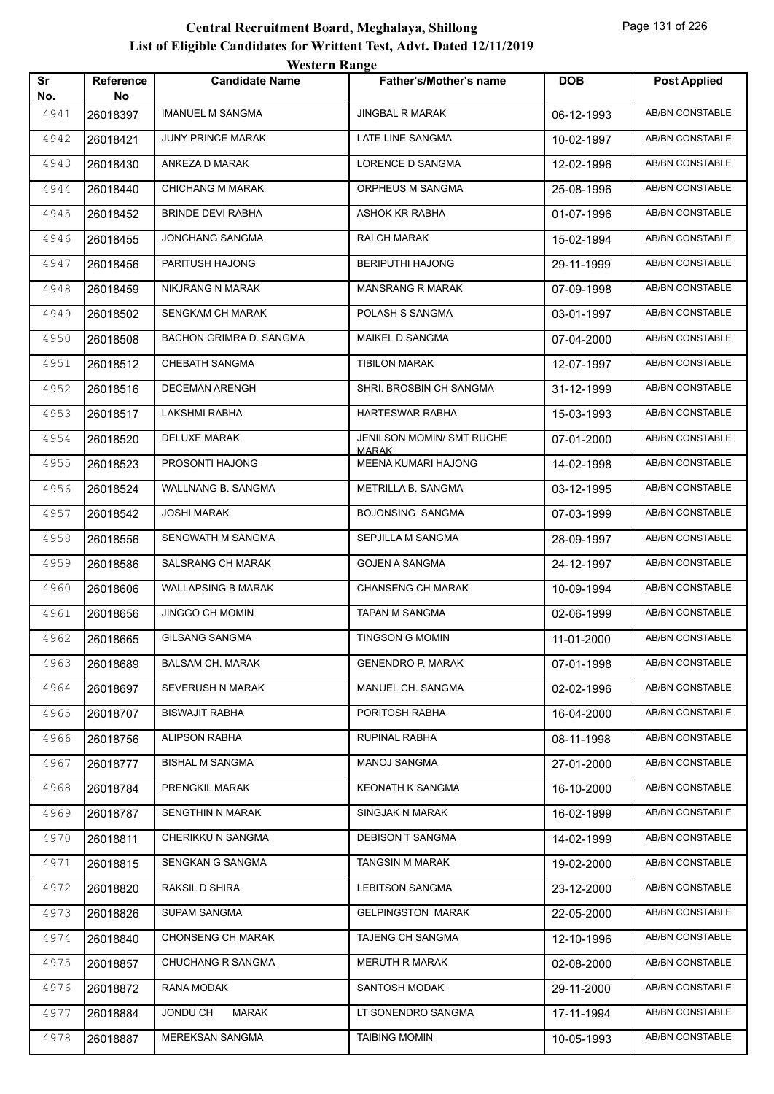|           |                  | <i>Western Kange</i>      |                                     |            |                        |
|-----------|------------------|---------------------------|-------------------------------------|------------|------------------------|
| Sr<br>No. | Reference<br>No. | <b>Candidate Name</b>     | <b>Father's/Mother's name</b>       | <b>DOB</b> | <b>Post Applied</b>    |
| 4941      | 26018397         | <b>IMANUEL M SANGMA</b>   | <b>JINGBAL R MARAK</b>              | 06-12-1993 | <b>AB/BN CONSTABLE</b> |
| 4942      | 26018421         | <b>JUNY PRINCE MARAK</b>  | LATE LINE SANGMA                    | 10-02-1997 | AB/BN CONSTABLE        |
| 4943      | 26018430         | ANKEZA D MARAK            | LORENCE D SANGMA                    | 12-02-1996 | <b>AB/BN CONSTABLE</b> |
| 4944      | 26018440         | <b>CHICHANG M MARAK</b>   | ORPHEUS M SANGMA                    | 25-08-1996 | AB/BN CONSTABLE        |
| 4945      | 26018452         | <b>BRINDE DEVI RABHA</b>  | ASHOK KR RABHA                      | 01-07-1996 | <b>AB/BN CONSTABLE</b> |
| 4946      | 26018455         | <b>JONCHANG SANGMA</b>    | RAI CH MARAK                        | 15-02-1994 | <b>AB/BN CONSTABLE</b> |
| 4947      | 26018456         | PARITUSH HAJONG           | <b>BERIPUTHI HAJONG</b>             | 29-11-1999 | AB/BN CONSTABLE        |
| 4948      | 26018459         | NIKJRANG N MARAK          | <b>MANSRANG R MARAK</b>             | 07-09-1998 | <b>AB/BN CONSTABLE</b> |
| 4949      | 26018502         | SENGKAM CH MARAK          | POLASH S SANGMA                     | 03-01-1997 | AB/BN CONSTABLE        |
| 4950      | 26018508         | BACHON GRIMRA D. SANGMA   | MAIKEL D.SANGMA                     | 07-04-2000 | <b>AB/BN CONSTABLE</b> |
| 4951      | 26018512         | <b>CHEBATH SANGMA</b>     | <b>TIBILON MARAK</b>                | 12-07-1997 | <b>AB/BN CONSTABLE</b> |
| 4952      | 26018516         | <b>DECEMAN ARENGH</b>     | SHRI. BROSBIN CH SANGMA             | 31-12-1999 | AB/BN CONSTABLE        |
| 4953      | 26018517         | <b>LAKSHMI RABHA</b>      | HARTESWAR RABHA                     | 15-03-1993 | <b>AB/BN CONSTABLE</b> |
| 4954      | 26018520         | DELUXE MARAK              | <b>JENILSON MOMIN/ SMT RUCHE</b>    | 07-01-2000 | AB/BN CONSTABLE        |
| 4955      | 26018523         | PROSONTI HAJONG           | <b>MARAK</b><br>MEENA KUMARI HAJONG | 14-02-1998 | <b>AB/BN CONSTABLE</b> |
| 4956      | 26018524         | WALLNANG B. SANGMA        | METRILLA B. SANGMA                  | 03-12-1995 | <b>AB/BN CONSTABLE</b> |
| 4957      | 26018542         | <b>JOSHI MARAK</b>        | <b>BOJONSING SANGMA</b>             | 07-03-1999 | <b>AB/BN CONSTABLE</b> |
| 4958      | 26018556         | SENGWATH M SANGMA         | SEPJILLA M SANGMA                   | 28-09-1997 | AB/BN CONSTABLE        |
| 4959      | 26018586         | SALSRANG CH MARAK         | <b>GOJEN A SANGMA</b>               | 24-12-1997 | AB/BN CONSTABLE        |
| 4960      | 26018606         | <b>WALLAPSING B MARAK</b> | <b>CHANSENG CH MARAK</b>            | 10-09-1994 | <b>AB/BN CONSTABLE</b> |
| 4961      | 26018656         | <b>JINGGO CH MOMIN</b>    | TAPAN M SANGMA                      | 02-06-1999 | <b>AB/BN CONSTABLE</b> |
| 4962      | 26018665         | <b>GILSANG SANGMA</b>     | <b>TINGSON G MOMIN</b>              | 11-01-2000 | AB/BN CONSTABLE        |
| 4963      | 26018689         | <b>BALSAM CH. MARAK</b>   | <b>GENENDRO P. MARAK</b>            | 07-01-1998 | AB/BN CONSTABLE        |
| 4964      | 26018697         | SEVERUSH N MARAK          | MANUEL CH. SANGMA                   | 02-02-1996 | AB/BN CONSTABLE        |
| 4965      | 26018707         | <b>BISWAJIT RABHA</b>     | PORITOSH RABHA                      | 16-04-2000 | AB/BN CONSTABLE        |
| 4966      | 26018756         | <b>ALIPSON RABHA</b>      | RUPINAL RABHA                       | 08-11-1998 | AB/BN CONSTABLE        |
| 4967      | 26018777         | <b>BISHAL M SANGMA</b>    | <b>MANOJ SANGMA</b>                 | 27-01-2000 | AB/BN CONSTABLE        |
| 4968      | 26018784         | PRENGKIL MARAK            | <b>KEONATH K SANGMA</b>             | 16-10-2000 | AB/BN CONSTABLE        |
| 4969      | 26018787         | SENGTHIN N MARAK          | SINGJAK N MARAK                     | 16-02-1999 | AB/BN CONSTABLE        |
| 4970      | 26018811         | CHERIKKU N SANGMA         | <b>DEBISON T SANGMA</b>             | 14-02-1999 | AB/BN CONSTABLE        |
| 4971      | 26018815         | SENGKAN G SANGMA          | TANGSIN M MARAK                     | 19-02-2000 | AB/BN CONSTABLE        |
| 4972      | 26018820         | RAKSIL D SHIRA            | <b>LEBITSON SANGMA</b>              | 23-12-2000 | AB/BN CONSTABLE        |
| 4973      | 26018826         | <b>SUPAM SANGMA</b>       | <b>GELPINGSTON MARAK</b>            | 22-05-2000 | AB/BN CONSTABLE        |
| 4974      | 26018840         | <b>CHONSENG CH MARAK</b>  | TAJENG CH SANGMA                    | 12-10-1996 | AB/BN CONSTABLE        |
| 4975      | 26018857         | CHUCHANG R SANGMA         | <b>MERUTH R MARAK</b>               | 02-08-2000 | AB/BN CONSTABLE        |
| 4976      | 26018872         | RANA MODAK                | SANTOSH MODAK                       | 29-11-2000 | AB/BN CONSTABLE        |
| 4977      | 26018884         | JONDU CH<br>MARAK         | LT SONENDRO SANGMA                  | 17-11-1994 | AB/BN CONSTABLE        |
| 4978      | 26018887         | MEREKSAN SANGMA           | <b>TAIBING MOMIN</b>                | 10-05-1993 | AB/BN CONSTABLE        |
|           |                  |                           |                                     |            |                        |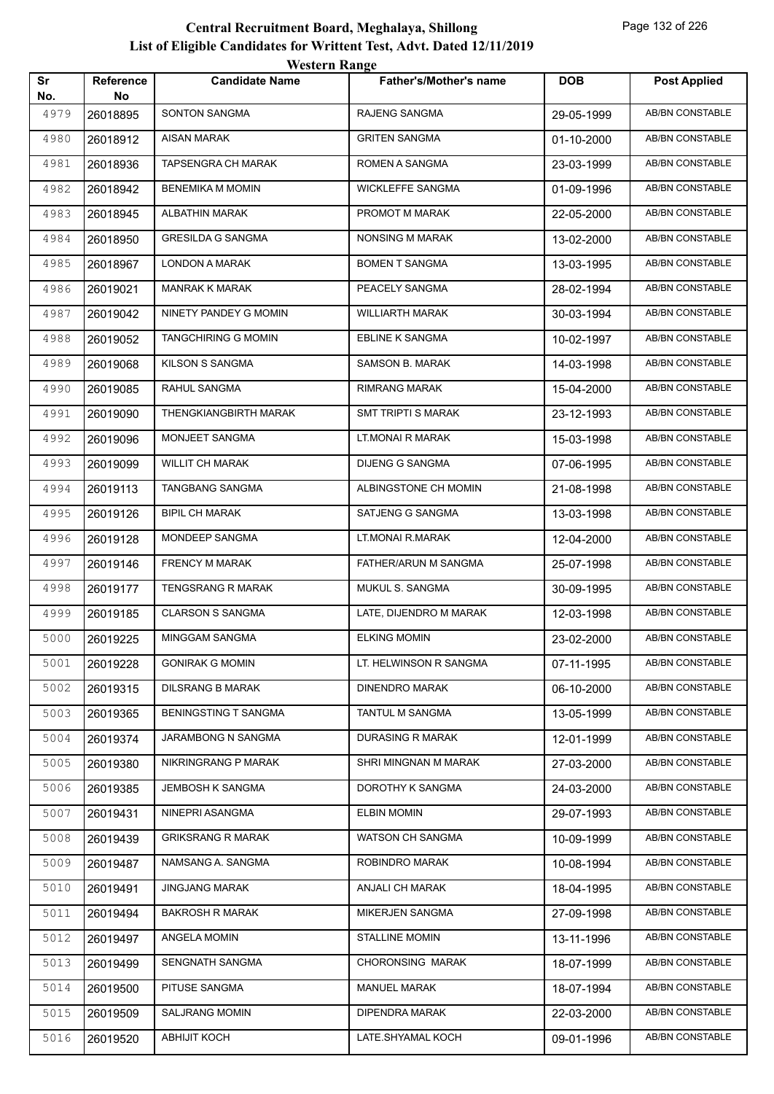|           |                        | WESTEL II INALIZE           |                               |            |                        |
|-----------|------------------------|-----------------------------|-------------------------------|------------|------------------------|
| Sr<br>No. | <b>Reference</b><br>No | <b>Candidate Name</b>       | <b>Father's/Mother's name</b> | <b>DOB</b> | <b>Post Applied</b>    |
| 4979      | 26018895               | <b>SONTON SANGMA</b>        | RAJENG SANGMA                 | 29-05-1999 | <b>AB/BN CONSTABLE</b> |
| 4980      | 26018912               | AISAN MARAK                 | <b>GRITEN SANGMA</b>          | 01-10-2000 | AB/BN CONSTABLE        |
| 4981      | 26018936               | <b>TAPSENGRA CH MARAK</b>   | ROMEN A SANGMA                | 23-03-1999 | AB/BN CONSTABLE        |
| 4982      | 26018942               | <b>BENEMIKA M MOMIN</b>     | <b>WICKLEFFE SANGMA</b>       | 01-09-1996 | AB/BN CONSTABLE        |
| 4983      | 26018945               | ALBATHIN MARAK              | PROMOT M MARAK                | 22-05-2000 | AB/BN CONSTABLE        |
| 4984      | 26018950               | <b>GRESILDA G SANGMA</b>    | NONSING M MARAK               | 13-02-2000 | <b>AB/BN CONSTABLE</b> |
| 4985      | 26018967               | LONDON A MARAK              | <b>BOMEN T SANGMA</b>         | 13-03-1995 | AB/BN CONSTABLE        |
| 4986      | 26019021               | <b>MANRAK K MARAK</b>       | PEACELY SANGMA                | 28-02-1994 | AB/BN CONSTABLE        |
| 4987      | 26019042               | NINETY PANDEY G MOMIN       | <b>WILLIARTH MARAK</b>        | 30-03-1994 | AB/BN CONSTABLE        |
| 4988      | 26019052               | <b>TANGCHIRING G MOMIN</b>  | <b>EBLINE K SANGMA</b>        | 10-02-1997 | <b>AB/BN CONSTABLE</b> |
| 4989      | 26019068               | KILSON S SANGMA             | SAMSON B. MARAK               | 14-03-1998 | AB/BN CONSTABLE        |
| 4990      | 26019085               | RAHUL SANGMA                | <b>RIMRANG MARAK</b>          | 15-04-2000 | AB/BN CONSTABLE        |
| 4991      | 26019090               | THENGKIANGBIRTH MARAK       | <b>SMT TRIPTI S MARAK</b>     | 23-12-1993 | AB/BN CONSTABLE        |
| 4992      | 26019096               | MONJEET SANGMA              | LT.MONAI R MARAK              | 15-03-1998 | AB/BN CONSTABLE        |
| 4993      | 26019099               | <b>WILLIT CH MARAK</b>      | DIJENG G SANGMA               | 07-06-1995 | <b>AB/BN CONSTABLE</b> |
| 4994      | 26019113               | TANGBANG SANGMA             | ALBINGSTONE CH MOMIN          | 21-08-1998 | AB/BN CONSTABLE        |
| 4995      | 26019126               | <b>BIPIL CH MARAK</b>       | SATJENG G SANGMA              | 13-03-1998 | AB/BN CONSTABLE        |
| 4996      | 26019128               | MONDEEP SANGMA              | LT.MONAI R.MARAK              | 12-04-2000 | AB/BN CONSTABLE        |
| 4997      | 26019146               | FRENCY M MARAK              | FATHER/ARUN M SANGMA          | 25-07-1998 | AB/BN CONSTABLE        |
| 4998      | 26019177               | <b>TENGSRANG R MARAK</b>    | MUKUL S. SANGMA               | 30-09-1995 | AB/BN CONSTABLE        |
| 4999      | 26019185               | <b>CLARSON S SANGMA</b>     | LATE, DIJENDRO M MARAK        | 12-03-1998 | AB/BN CONSTABLE        |
| 5000      | 26019225               | MINGGAM SANGMA              | <b>ELKING MOMIN</b>           | 23-02-2000 | AB/BN CONSTABLE        |
| 5001      | 26019228               | <b>GONIRAK G MOMIN</b>      | LT. HELWINSON R SANGMA        | 07-11-1995 | AB/BN CONSTABLE        |
| 5002      | 26019315               | <b>DILSRANG B MARAK</b>     | <b>DINENDRO MARAK</b>         | 06-10-2000 | AB/BN CONSTABLE        |
| 5003      | 26019365               | <b>BENINGSTING T SANGMA</b> | TANTUL M SANGMA               | 13-05-1999 | AB/BN CONSTABLE        |
| 5004      | 26019374               | JARAMBONG N SANGMA          | <b>DURASING R MARAK</b>       | 12-01-1999 | AB/BN CONSTABLE        |
| 5005      | 26019380               | NIKRINGRANG P MARAK         | SHRI MINGNAN M MARAK          | 27-03-2000 | AB/BN CONSTABLE        |
| 5006      | 26019385               | JEMBOSH K SANGMA            | DOROTHY K SANGMA              | 24-03-2000 | AB/BN CONSTABLE        |
| 5007      | 26019431               | NINEPRI ASANGMA             | <b>ELBIN MOMIN</b>            | 29-07-1993 | AB/BN CONSTABLE        |
| 5008      | 26019439               | <b>GRIKSRANG R MARAK</b>    | WATSON CH SANGMA              | 10-09-1999 | AB/BN CONSTABLE        |
| 5009      | 26019487               | NAMSANG A. SANGMA           | ROBINDRO MARAK                | 10-08-1994 | AB/BN CONSTABLE        |
| 5010      | 26019491               | <b>JINGJANG MARAK</b>       | ANJALI CH MARAK               | 18-04-1995 | AB/BN CONSTABLE        |
| 5011      | 26019494               | <b>BAKROSH R MARAK</b>      | MIKERJEN SANGMA               | 27-09-1998 | AB/BN CONSTABLE        |
| 5012      | 26019497               | ANGELA MOMIN                | <b>STALLINE MOMIN</b>         | 13-11-1996 | AB/BN CONSTABLE        |
| 5013      | 26019499               | SENGNATH SANGMA             | CHORONSING MARAK              | 18-07-1999 | AB/BN CONSTABLE        |
| 5014      | 26019500               | PITUSE SANGMA               | <b>MANUEL MARAK</b>           | 18-07-1994 | AB/BN CONSTABLE        |
| 5015      | 26019509               | SALJRANG MOMIN              | DIPENDRA MARAK                | 22-03-2000 | AB/BN CONSTABLE        |
| 5016      | 26019520               | <b>ABHIJIT KOCH</b>         | LATE.SHYAMAL KOCH             | 09-01-1996 | AB/BN CONSTABLE        |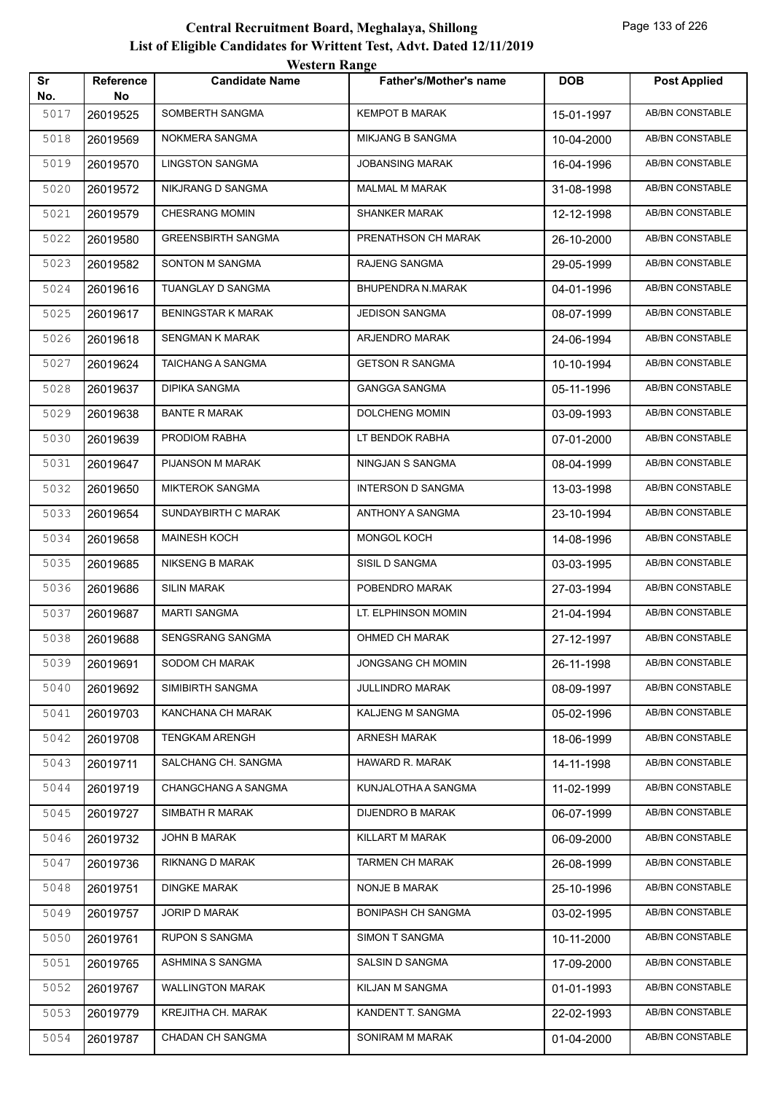|           |                 | western Range             |                           |            |                        |
|-----------|-----------------|---------------------------|---------------------------|------------|------------------------|
| Sr<br>No. | Reference<br>No | <b>Candidate Name</b>     | Father's/Mother's name    | <b>DOB</b> | <b>Post Applied</b>    |
| 5017      | 26019525        | SOMBERTH SANGMA           | <b>KEMPOT B MARAK</b>     | 15-01-1997 | <b>AB/BN CONSTABLE</b> |
| 5018      | 26019569        | NOKMERA SANGMA            | <b>MIKJANG B SANGMA</b>   | 10-04-2000 | AB/BN CONSTABLE        |
| 5019      | 26019570        | <b>LINGSTON SANGMA</b>    | <b>JOBANSING MARAK</b>    | 16-04-1996 | AB/BN CONSTABLE        |
| 5020      | 26019572        | NIKJRANG D SANGMA         | <b>MALMAL M MARAK</b>     | 31-08-1998 | AB/BN CONSTABLE        |
| 5021      | 26019579        | <b>CHESRANG MOMIN</b>     | <b>SHANKER MARAK</b>      | 12-12-1998 | <b>AB/BN CONSTABLE</b> |
| 5022      | 26019580        | <b>GREENSBIRTH SANGMA</b> | PRENATHSON CH MARAK       | 26-10-2000 | AB/BN CONSTABLE        |
| 5023      | 26019582        | SONTON M SANGMA           | RAJENG SANGMA             | 29-05-1999 | AB/BN CONSTABLE        |
| 5024      | 26019616        | TUANGLAY D SANGMA         | BHUPENDRA N.MARAK         | 04-01-1996 | AB/BN CONSTABLE        |
| 5025      | 26019617        | <b>BENINGSTAR K MARAK</b> | <b>JEDISON SANGMA</b>     | 08-07-1999 | AB/BN CONSTABLE        |
| 5026      | 26019618        | <b>SENGMAN K MARAK</b>    | ARJENDRO MARAK            | 24-06-1994 | <b>AB/BN CONSTABLE</b> |
| 5027      | 26019624        | <b>TAICHANG A SANGMA</b>  | <b>GETSON R SANGMA</b>    | 10-10-1994 | AB/BN CONSTABLE        |
| 5028      | 26019637        | <b>DIPIKA SANGMA</b>      | <b>GANGGA SANGMA</b>      | 05-11-1996 | AB/BN CONSTABLE        |
| 5029      | 26019638        | <b>BANTE R MARAK</b>      | DOLCHENG MOMIN            | 03-09-1993 | <b>AB/BN CONSTABLE</b> |
| 5030      | 26019639        | PRODIOM RABHA             | LT BENDOK RABHA           | 07-01-2000 | AB/BN CONSTABLE        |
| 5031      | 26019647        | PIJANSON M MARAK          | NINGJAN S SANGMA          | 08-04-1999 | <b>AB/BN CONSTABLE</b> |
| 5032      | 26019650        | <b>MIKTEROK SANGMA</b>    | <b>INTERSON D SANGMA</b>  | 13-03-1998 | AB/BN CONSTABLE        |
| 5033      | 26019654        | SUNDAYBIRTH C MARAK       | ANTHONY A SANGMA          | 23-10-1994 | AB/BN CONSTABLE        |
| 5034      | 26019658        | <b>MAINESH KOCH</b>       | <b>MONGOL KOCH</b>        | 14-08-1996 | AB/BN CONSTABLE        |
| 5035      | 26019685        | <b>NIKSENG B MARAK</b>    | SISIL D SANGMA            | 03-03-1995 | AB/BN CONSTABLE        |
| 5036      | 26019686        | <b>SILIN MARAK</b>        | POBENDRO MARAK            | 27-03-1994 | <b>AB/BN CONSTABLE</b> |
| 5037      | 26019687        | <b>MARTI SANGMA</b>       | LT. ELPHINSON MOMIN       | 21-04-1994 | AB/BN CONSTABLE        |
| 5038      | 26019688        | <b>SENGSRANG SANGMA</b>   | OHMED CH MARAK            | 27-12-1997 | AB/BN CONSTABLE        |
| 5039      | 26019691        | SODOM CH MARAK            | JONGSANG CH MOMIN         | 26-11-1998 | AB/BN CONSTABLE        |
| 5040      | 26019692        | SIMIBIRTH SANGMA          | JULLINDRO MARAK           | 08-09-1997 | AB/BN CONSTABLE        |
| 5041      | 26019703        | KANCHANA CH MARAK         | KALJENG M SANGMA          | 05-02-1996 | AB/BN CONSTABLE        |
| 5042      | 26019708        | <b>TENGKAM ARENGH</b>     | ARNESH MARAK              | 18-06-1999 | AB/BN CONSTABLE        |
| 5043      | 26019711        | SALCHANG CH. SANGMA       | <b>HAWARD R. MARAK</b>    | 14-11-1998 | AB/BN CONSTABLE        |
| 5044      | 26019719        | CHANGCHANG A SANGMA       | KUNJALOTHA A SANGMA       | 11-02-1999 | AB/BN CONSTABLE        |
| 5045      | 26019727        | SIMBATH R MARAK           | <b>DIJENDRO B MARAK</b>   | 06-07-1999 | AB/BN CONSTABLE        |
| 5046      | 26019732        | JOHN B MARAK              | KILLART M MARAK           | 06-09-2000 | AB/BN CONSTABLE        |
| 5047      | 26019736        | RIKNANG D MARAK           | <b>TARMEN CH MARAK</b>    | 26-08-1999 | AB/BN CONSTABLE        |
| 5048      | 26019751        | <b>DINGKE MARAK</b>       | NONJE B MARAK             | 25-10-1996 | AB/BN CONSTABLE        |
| 5049      | 26019757        | JORIP D MARAK             | <b>BONIPASH CH SANGMA</b> | 03-02-1995 | AB/BN CONSTABLE        |
| 5050      | 26019761        | <b>RUPON S SANGMA</b>     | SIMON T SANGMA            | 10-11-2000 | AB/BN CONSTABLE        |
| 5051      | 26019765        | ASHMINA S SANGMA          | SALSIN D SANGMA           | 17-09-2000 | AB/BN CONSTABLE        |
| 5052      | 26019767        | <b>WALLINGTON MARAK</b>   | KILJAN M SANGMA           | 01-01-1993 | AB/BN CONSTABLE        |
| 5053      | 26019779        | KREJITHA CH. MARAK        | KANDENT T. SANGMA         | 22-02-1993 | AB/BN CONSTABLE        |
| 5054      | 26019787        | CHADAN CH SANGMA          | SONIRAM M MARAK           | 01-04-2000 | AB/BN CONSTABLE        |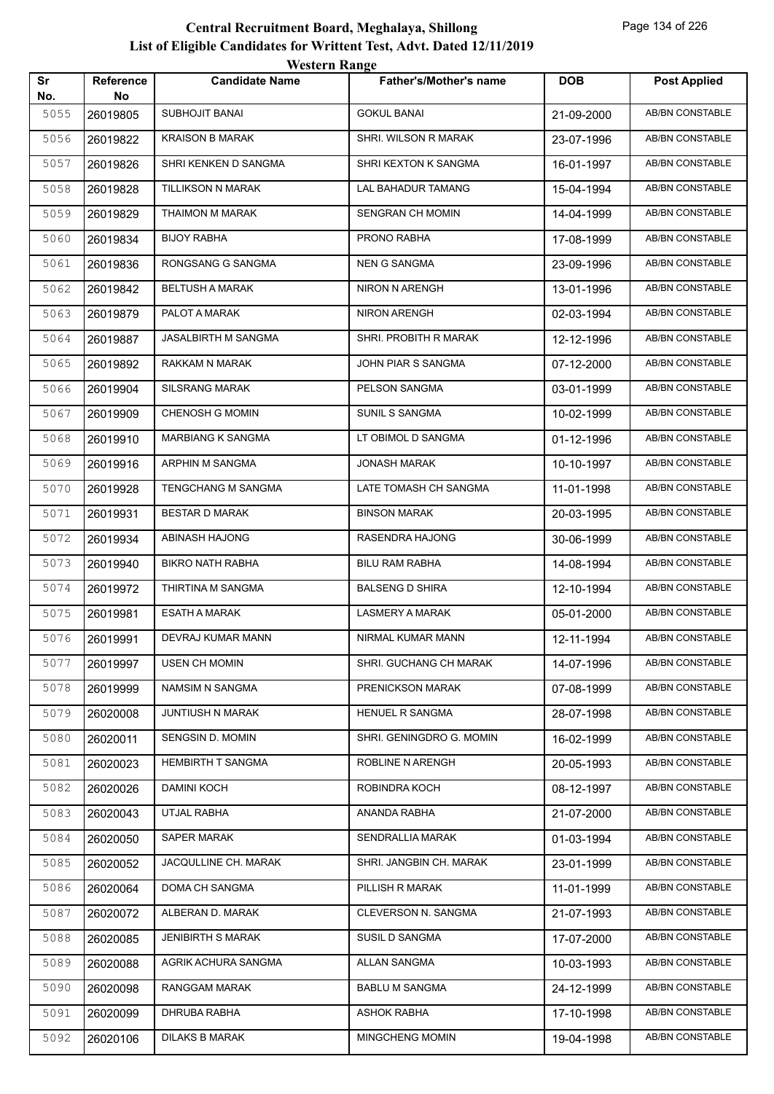| Sr          | Reference      | <b>Candidate Name</b>    | <b>Father's/Mother's name</b> | <b>DOB</b> | <b>Post Applied</b>    |
|-------------|----------------|--------------------------|-------------------------------|------------|------------------------|
| No.<br>5055 | No<br>26019805 | <b>SUBHOJIT BANAI</b>    | <b>GOKUL BANAI</b>            | 21-09-2000 | <b>AB/BN CONSTABLE</b> |
| 5056        | 26019822       | <b>KRAISON B MARAK</b>   | SHRI. WILSON R MARAK          | 23-07-1996 | AB/BN CONSTABLE        |
| 5057        | 26019826       | SHRI KENKEN D SANGMA     | SHRI KEXTON K SANGMA          | 16-01-1997 | <b>AB/BN CONSTABLE</b> |
| 5058        | 26019828       | TILLIKSON N MARAK        | LAL BAHADUR TAMANG            | 15-04-1994 | <b>AB/BN CONSTABLE</b> |
| 5059        | 26019829       | THAIMON M MARAK          | SENGRAN CH MOMIN              | 14-04-1999 | AB/BN CONSTABLE        |
| 5060        | 26019834       | <b>BIJOY RABHA</b>       | PRONO RABHA                   | 17-08-1999 | AB/BN CONSTABLE        |
| 5061        | 26019836       | RONGSANG G SANGMA        | <b>NEN G SANGMA</b>           | 23-09-1996 | AB/BN CONSTABLE        |
| 5062        | 26019842       | <b>BELTUSH A MARAK</b>   | NIRON N ARENGH                | 13-01-1996 | AB/BN CONSTABLE        |
| 5063        | 26019879       | PALOT A MARAK            | NIRON ARENGH                  | 02-03-1994 | <b>AB/BN CONSTABLE</b> |
| 5064        | 26019887       | JASALBIRTH M SANGMA      | SHRI. PROBITH R MARAK         | 12-12-1996 | AB/BN CONSTABLE        |
| 5065        | 26019892       | RAKKAM N MARAK           | JOHN PIAR S SANGMA            | 07-12-2000 | AB/BN CONSTABLE        |
| 5066        | 26019904       | <b>SILSRANG MARAK</b>    | PELSON SANGMA                 | 03-01-1999 | AB/BN CONSTABLE        |
| 5067        | 26019909       | <b>CHENOSH G MOMIN</b>   | <b>SUNIL S SANGMA</b>         | 10-02-1999 | AB/BN CONSTABLE        |
| 5068        | 26019910       | <b>MARBIANG K SANGMA</b> | LT OBIMOL D SANGMA            | 01-12-1996 | <b>AB/BN CONSTABLE</b> |
| 5069        | 26019916       | ARPHIN M SANGMA          | <b>JONASH MARAK</b>           | 10-10-1997 | AB/BN CONSTABLE        |
| 5070        | 26019928       | TENGCHANG M SANGMA       | LATE TOMASH CH SANGMA         | 11-01-1998 | AB/BN CONSTABLE        |
| 5071        | 26019931       | <b>BESTAR D MARAK</b>    | <b>BINSON MARAK</b>           | 20-03-1995 | AB/BN CONSTABLE        |
| 5072        | 26019934       | ABINASH HAJONG           | RASENDRA HAJONG               | 30-06-1999 | AB/BN CONSTABLE        |
| 5073        | 26019940       | <b>BIKRO NATH RABHA</b>  | <b>BILU RAM RABHA</b>         | 14-08-1994 | <b>AB/BN CONSTABLE</b> |
| 5074        | 26019972       | THIRTINA M SANGMA        | <b>BALSENG D SHIRA</b>        | 12-10-1994 | AB/BN CONSTABLE        |
| 5075        | 26019981       | ESATH A MARAK            | LASMERY A MARAK               | 05-01-2000 | AB/BN CONSTABLE        |
| 5076        | 26019991       | <b>DEVRAJ KUMAR MANN</b> | NIRMAL KUMAR MANN             | 12-11-1994 | AB/BN CONSTABLE        |
| 5077        | 26019997       | USEN CH MOMIN            | SHRI. GUCHANG CH MARAK        | 14-07-1996 | AB/BN CONSTABLE        |
| 5078        | 26019999       | NAMSIM N SANGMA          | PRENICKSON MARAK              | 07-08-1999 | AB/BN CONSTABLE        |
| 5079        | 26020008       | JUNTIUSH N MARAK         | HENUEL R SANGMA               | 28-07-1998 | AB/BN CONSTABLE        |
| 5080        | 26020011       | SENGSIN D. MOMIN         | SHRI. GENINGDRO G. MOMIN      | 16-02-1999 | AB/BN CONSTABLE        |
| 5081        | 26020023       | HEMBIRTH T SANGMA        | ROBLINE N ARENGH              | 20-05-1993 | AB/BN CONSTABLE        |
| 5082        | 26020026       | <b>DAMINI KOCH</b>       | ROBINDRA KOCH                 | 08-12-1997 | AB/BN CONSTABLE        |
| 5083        | 26020043       | UTJAL RABHA              | ANANDA RABHA                  | 21-07-2000 | AB/BN CONSTABLE        |
| 5084        | 26020050       | SAPER MARAK              | SENDRALLIA MARAK              | 01-03-1994 | AB/BN CONSTABLE        |
| 5085        | 26020052       | JACQULLINE CH. MARAK     | SHRI. JANGBIN CH. MARAK       | 23-01-1999 | AB/BN CONSTABLE        |
| 5086        | 26020064       | DOMA CH SANGMA           | PILLISH R MARAK               | 11-01-1999 | AB/BN CONSTABLE        |
| 5087        | 26020072       | ALBERAN D. MARAK         | CLEVERSON N. SANGMA           | 21-07-1993 | AB/BN CONSTABLE        |
| 5088        | 26020085       | <b>JENIBIRTH S MARAK</b> | SUSIL D SANGMA                | 17-07-2000 | AB/BN CONSTABLE        |
| 5089        | 26020088       | AGRIK ACHURA SANGMA      | ALLAN SANGMA                  | 10-03-1993 | AB/BN CONSTABLE        |
| 5090        | 26020098       | RANGGAM MARAK            | <b>BABLU M SANGMA</b>         | 24-12-1999 | AB/BN CONSTABLE        |
| 5091        | 26020099       | DHRUBA RABHA             | ASHOK RABHA                   | 17-10-1998 | AB/BN CONSTABLE        |
| 5092        | 26020106       | <b>DILAKS B MARAK</b>    | MINGCHENG MOMIN               | 19-04-1998 | AB/BN CONSTABLE        |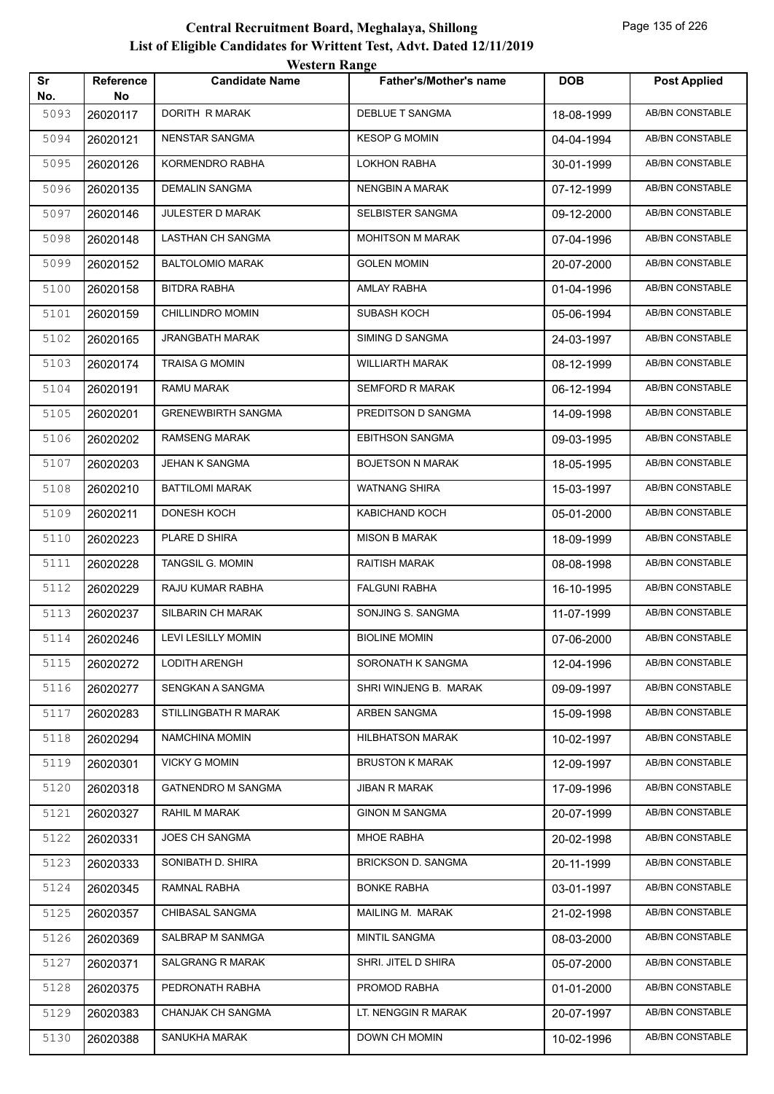|           |                         | western Kange             |                               |            |                        |
|-----------|-------------------------|---------------------------|-------------------------------|------------|------------------------|
| Sr<br>No. | <b>Reference</b><br>No. | <b>Candidate Name</b>     | <b>Father's/Mother's name</b> | <b>DOB</b> | <b>Post Applied</b>    |
| 5093      | 26020117                | DORITH R MARAK            | <b>DEBLUE T SANGMA</b>        | 18-08-1999 | <b>AB/BN CONSTABLE</b> |
| 5094      | 26020121                | <b>NENSTAR SANGMA</b>     | <b>KESOP G MOMIN</b>          | 04-04-1994 | AB/BN CONSTABLE        |
| 5095      | 26020126                | KORMENDRO RABHA           | <b>LOKHON RABHA</b>           | 30-01-1999 | AB/BN CONSTABLE        |
| 5096      | 26020135                | <b>DEMALIN SANGMA</b>     | NENGBIN A MARAK               | 07-12-1999 | <b>AB/BN CONSTABLE</b> |
| 5097      | 26020146                | JULESTER D MARAK          | SELBISTER SANGMA              | 09-12-2000 | AB/BN CONSTABLE        |
| 5098      | 26020148                | <b>LASTHAN CH SANGMA</b>  | <b>MOHITSON M MARAK</b>       | 07-04-1996 | AB/BN CONSTABLE        |
| 5099      | 26020152                | <b>BALTOLOMIO MARAK</b>   | <b>GOLEN MOMIN</b>            | 20-07-2000 | AB/BN CONSTABLE        |
| 5100      | 26020158                | <b>BITDRA RABHA</b>       | AMLAY RABHA                   | 01-04-1996 | AB/BN CONSTABLE        |
| 5101      | 26020159                | CHILLINDRO MOMIN          | <b>SUBASH KOCH</b>            | 05-06-1994 | <b>AB/BN CONSTABLE</b> |
| 5102      | 26020165                | <b>JRANGBATH MARAK</b>    | SIMING D SANGMA               | 24-03-1997 | AB/BN CONSTABLE        |
| 5103      | 26020174                | <b>TRAISA G MOMIN</b>     | <b>WILLIARTH MARAK</b>        | 08-12-1999 | AB/BN CONSTABLE        |
| 5104      | 26020191                | <b>RAMU MARAK</b>         | <b>SEMFORD R MARAK</b>        | 06-12-1994 | AB/BN CONSTABLE        |
| 5105      | 26020201                | <b>GRENEWBIRTH SANGMA</b> | PREDITSON D SANGMA            | 14-09-1998 | AB/BN CONSTABLE        |
| 5106      | 26020202                | <b>RAMSENG MARAK</b>      | <b>EBITHSON SANGMA</b>        | 09-03-1995 | <b>AB/BN CONSTABLE</b> |
| 5107      | 26020203                | <b>JEHAN K SANGMA</b>     | <b>BOJETSON N MARAK</b>       | 18-05-1995 | <b>AB/BN CONSTABLE</b> |
| 5108      | 26020210                | <b>BATTILOMI MARAK</b>    | <b>WATNANG SHIRA</b>          | 15-03-1997 | AB/BN CONSTABLE        |
| 5109      | 26020211                | DONESH KOCH               | KABICHAND KOCH                | 05-01-2000 | AB/BN CONSTABLE        |
| 5110      | 26020223                | PLARE D SHIRA             | <b>MISON B MARAK</b>          | 18-09-1999 | AB/BN CONSTABLE        |
| 5111      | 26020228                | TANGSIL G. MOMIN          | RAITISH MARAK                 | 08-08-1998 | AB/BN CONSTABLE        |
| 5112      | 26020229                | RAJU KUMAR RABHA          | <b>FALGUNI RABHA</b>          | 16-10-1995 | AB/BN CONSTABLE        |
| 5113      | 26020237                | SILBARIN CH MARAK         | SONJING S. SANGMA             | 11-07-1999 | AB/BN CONSTABLE        |
| 5114      | 26020246                | <b>LEVI LESILLY MOMIN</b> | <b>BIOLINE MOMIN</b>          | 07-06-2000 | AB/BN CONSTABLE        |
| 5115      | 26020272                | LODITH ARENGH             | SORONATH K SANGMA             | 12-04-1996 | AB/BN CONSTABLE        |
| 5116      | 26020277                | SENGKAN A SANGMA          | SHRI WINJENG B. MARAK         | 09-09-1997 | AB/BN CONSTABLE        |
| 5117      | 26020283                | STILLINGBATH R MARAK      | ARBEN SANGMA                  | 15-09-1998 | AB/BN CONSTABLE        |
| 5118      | 26020294                | NAMCHINA MOMIN            | <b>HILBHATSON MARAK</b>       | 10-02-1997 | AB/BN CONSTABLE        |
| 5119      | 26020301                | <b>VICKY G MOMIN</b>      | <b>BRUSTON K MARAK</b>        | 12-09-1997 | AB/BN CONSTABLE        |
| 5120      | 26020318                | <b>GATNENDRO M SANGMA</b> | <b>JIBAN R MARAK</b>          | 17-09-1996 | AB/BN CONSTABLE        |
| 5121      | 26020327                | RAHIL M MARAK             | <b>GINON M SANGMA</b>         | 20-07-1999 | AB/BN CONSTABLE        |
| 5122      | 26020331                | JOES CH SANGMA            | MHOE RABHA                    | 20-02-1998 | AB/BN CONSTABLE        |
| 5123      | 26020333                | SONIBATH D. SHIRA         | <b>BRICKSON D. SANGMA</b>     | 20-11-1999 | AB/BN CONSTABLE        |
| 5124      | 26020345                | RAMNAL RABHA              | <b>BONKE RABHA</b>            | 03-01-1997 | AB/BN CONSTABLE        |
| 5125      | 26020357                | CHIBASAL SANGMA           | MAILING M. MARAK              | 21-02-1998 | AB/BN CONSTABLE        |
| 5126      | 26020369                | SALBRAP M SANMGA          | <b>MINTIL SANGMA</b>          | 08-03-2000 | AB/BN CONSTABLE        |
| 5127      | 26020371                | <b>SALGRANG R MARAK</b>   | SHRI. JITEL D SHIRA           | 05-07-2000 | AB/BN CONSTABLE        |
| 5128      | 26020375                | PEDRONATH RABHA           | PROMOD RABHA                  | 01-01-2000 | AB/BN CONSTABLE        |
| 5129      | 26020383                | CHANJAK CH SANGMA         | LT. NENGGIN R MARAK           | 20-07-1997 | AB/BN CONSTABLE        |
| 5130      | 26020388                | SANUKHA MARAK             | DOWN CH MOMIN                 | 10-02-1996 | AB/BN CONSTABLE        |
|           |                         |                           |                               |            |                        |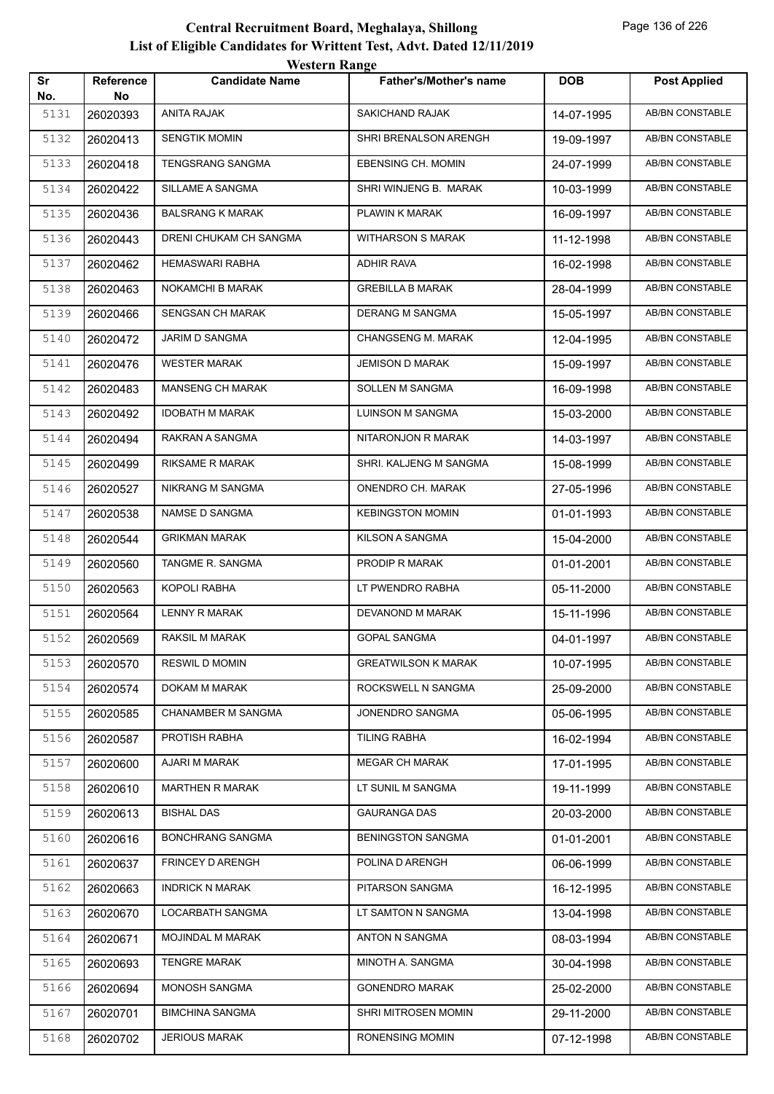|                                                                                                                                   |                        | western Range             |                               |            |                        |
|-----------------------------------------------------------------------------------------------------------------------------------|------------------------|---------------------------|-------------------------------|------------|------------------------|
|                                                                                                                                   | <b>Reference</b><br>No | <b>Candidate Name</b>     | <b>Father's/Mother's name</b> | <b>DOB</b> | <b>Post Applied</b>    |
|                                                                                                                                   | 26020393               | <b>ANITA RAJAK</b>        | SAKICHAND RAJAK               | 14-07-1995 | AB/BN CONSTABLE        |
|                                                                                                                                   | 26020413               | <b>SENGTIK MOMIN</b>      | SHRI BRENALSON ARENGH         | 19-09-1997 | AB/BN CONSTABLE        |
|                                                                                                                                   | 26020418               | <b>TENGSRANG SANGMA</b>   | EBENSING CH. MOMIN            | 24-07-1999 | AB/BN CONSTABLE        |
|                                                                                                                                   | 26020422               | SILLAME A SANGMA          | SHRI WINJENG B. MARAK         | 10-03-1999 | AB/BN CONSTABLE        |
| Sr<br>No.<br>5131<br>5132<br>5133<br>5134<br>5135<br>26020436<br>5136<br>26020443<br>5137<br>26020462<br>5138<br>26020463<br>5139 |                        | <b>BALSRANG K MARAK</b>   | PLAWIN K MARAK                | 16-09-1997 | AB/BN CONSTABLE        |
|                                                                                                                                   |                        | DRENI CHUKAM CH SANGMA    | <b>WITHARSON S MARAK</b>      | 11-12-1998 | AB/BN CONSTABLE        |
|                                                                                                                                   |                        | <b>HEMASWARI RABHA</b>    | <b>ADHIR RAVA</b>             | 16-02-1998 | AB/BN CONSTABLE        |
|                                                                                                                                   |                        | NOKAMCHI B MARAK          | <b>GREBILLA B MARAK</b>       | 28-04-1999 | AB/BN CONSTABLE        |
|                                                                                                                                   | 26020466               | <b>SENGSAN CH MARAK</b>   | <b>DERANG M SANGMA</b>        | 15-05-1997 | AB/BN CONSTABLE        |
| 5140                                                                                                                              | 26020472               | JARIM D SANGMA            | <b>CHANGSENG M. MARAK</b>     | 12-04-1995 | AB/BN CONSTABLE        |
| 5141                                                                                                                              | 26020476               | <b>WESTER MARAK</b>       | <b>JEMISON D MARAK</b>        | 15-09-1997 | AB/BN CONSTABLE        |
| 5142                                                                                                                              | 26020483               | <b>MANSENG CH MARAK</b>   | SOLLEN M SANGMA               | 16-09-1998 | AB/BN CONSTABLE        |
| 5143                                                                                                                              | 26020492               | <b>IDOBATH M MARAK</b>    | LUINSON M SANGMA              | 15-03-2000 | AB/BN CONSTABLE        |
| 5144                                                                                                                              | 26020494               | RAKRAN A SANGMA           | NITARONJON R MARAK            | 14-03-1997 | <b>AB/BN CONSTABLE</b> |
| 5145                                                                                                                              | 26020499               | RIKSAME R MARAK           | SHRI. KALJENG M SANGMA        | 15-08-1999 | <b>AB/BN CONSTABLE</b> |
| 5146                                                                                                                              | 26020527               | NIKRANG M SANGMA          | ONENDRO CH. MARAK             | 27-05-1996 | AB/BN CONSTABLE        |
| 5147                                                                                                                              | 26020538               | NAMSE D SANGMA            | <b>KEBINGSTON MOMIN</b>       | 01-01-1993 | AB/BN CONSTABLE        |
| 5148                                                                                                                              | 26020544               | <b>GRIKMAN MARAK</b>      | KILSON A SANGMA               | 15-04-2000 | AB/BN CONSTABLE        |
| 5149                                                                                                                              | 26020560               | TANGME R. SANGMA          | PRODIP R MARAK                | 01-01-2001 | AB/BN CONSTABLE        |
| 5150                                                                                                                              | 26020563               | KOPOLI RABHA              | LT PWENDRO RABHA              | 05-11-2000 | AB/BN CONSTABLE        |
| 5151                                                                                                                              | 26020564               | <b>LENNY R MARAK</b>      | DEVANOND M MARAK              | 15-11-1996 | AB/BN CONSTABLE        |
| 5152                                                                                                                              | 26020569               | <b>RAKSIL M MARAK</b>     | <b>GOPAL SANGMA</b>           | 04-01-1997 | AB/BN CONSTABLE        |
| 5153                                                                                                                              | 26020570               | <b>RESWILD MOMIN</b>      | <b>GREATWILSON K MARAK</b>    | 10-07-1995 | AB/BN CONSTABLE        |
| 5154                                                                                                                              | 26020574               | DOKAM M MARAK             | ROCKSWELL N SANGMA            | 25-09-2000 | AB/BN CONSTABLE        |
| 5155                                                                                                                              | 26020585               | <b>CHANAMBER M SANGMA</b> | JONENDRO SANGMA               | 05-06-1995 | AB/BN CONSTABLE        |
| 5156                                                                                                                              | 26020587               | PROTISH RABHA             | <b>TILING RABHA</b>           | 16-02-1994 | AB/BN CONSTABLE        |
| 5157                                                                                                                              | 26020600               | AJARI M MARAK             | <b>MEGAR CH MARAK</b>         | 17-01-1995 | AB/BN CONSTABLE        |
| 5158                                                                                                                              | 26020610               | <b>MARTHEN R MARAK</b>    | LT SUNIL M SANGMA             | 19-11-1999 | AB/BN CONSTABLE        |
| 5159                                                                                                                              | 26020613               | <b>BISHAL DAS</b>         | <b>GAURANGA DAS</b>           | 20-03-2000 | AB/BN CONSTABLE        |
| 5160                                                                                                                              | 26020616               | <b>BONCHRANG SANGMA</b>   | <b>BENINGSTON SANGMA</b>      | 01-01-2001 | AB/BN CONSTABLE        |
| 5161                                                                                                                              | 26020637               | FRINCEY D ARENGH          | POLINA D ARENGH               | 06-06-1999 | AB/BN CONSTABLE        |
| 5162                                                                                                                              | 26020663               | <b>INDRICK N MARAK</b>    | PITARSON SANGMA               | 16-12-1995 | AB/BN CONSTABLE        |
| 5163                                                                                                                              | 26020670               | LOCARBATH SANGMA          | LT SAMTON N SANGMA            | 13-04-1998 | AB/BN CONSTABLE        |
| 5164                                                                                                                              | 26020671               | MOJINDAL M MARAK          | ANTON N SANGMA                | 08-03-1994 | AB/BN CONSTABLE        |
| 5165                                                                                                                              | 26020693               | <b>TENGRE MARAK</b>       | MINOTH A. SANGMA              | 30-04-1998 | AB/BN CONSTABLE        |
| 5166                                                                                                                              | 26020694               | MONOSH SANGMA             | <b>GONENDRO MARAK</b>         | 25-02-2000 | AB/BN CONSTABLE        |
| 5167                                                                                                                              | 26020701               | <b>BIMCHINA SANGMA</b>    | SHRI MITROSEN MOMIN           | 29-11-2000 | AB/BN CONSTABLE        |
| 5168                                                                                                                              | 26020702               | <b>JERIOUS MARAK</b>      | RONENSING MOMIN               | 07-12-1998 | AB/BN CONSTABLE        |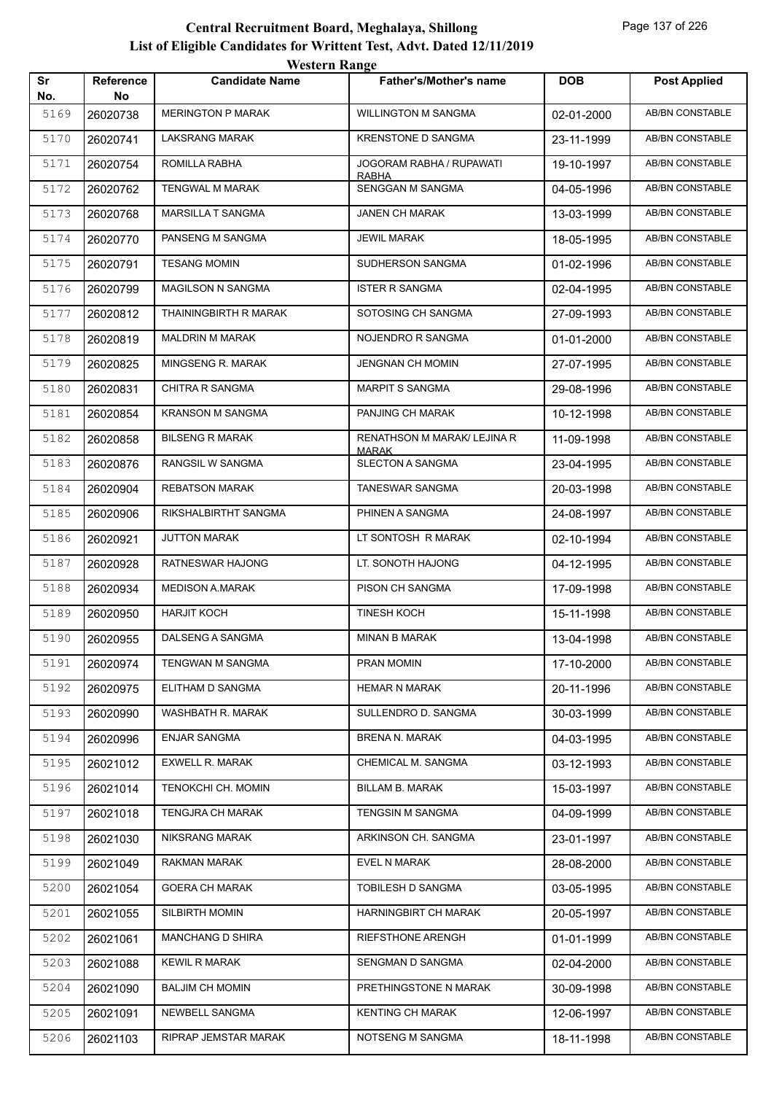|           |                 | western Range            |                                          |            |                        |
|-----------|-----------------|--------------------------|------------------------------------------|------------|------------------------|
| Sr<br>No. | Reference<br>No | <b>Candidate Name</b>    | Father's/Mother's name                   | <b>DOB</b> | <b>Post Applied</b>    |
| 5169      | 26020738        | <b>MERINGTON P MARAK</b> | <b>WILLINGTON M SANGMA</b>               | 02-01-2000 | AB/BN CONSTABLE        |
| 5170      | 26020741        | <b>LAKSRANG MARAK</b>    | <b>KRENSTONE D SANGMA</b>                | 23-11-1999 | AB/BN CONSTABLE        |
| 5171      | 26020754        | ROMILLA RABHA            | JOGORAM RABHA / RUPAWATI<br><b>RABHA</b> | 19-10-1997 | AB/BN CONSTABLE        |
| 5172      | 26020762        | <b>TENGWAL M MARAK</b>   | SENGGAN M SANGMA                         | 04-05-1996 | AB/BN CONSTABLE        |
| 5173      | 26020768        | <b>MARSILLA T SANGMA</b> | <b>JANEN CH MARAK</b>                    | 13-03-1999 | AB/BN CONSTABLE        |
| 5174      | 26020770        | PANSENG M SANGMA         | <b>JEWIL MARAK</b>                       | 18-05-1995 | AB/BN CONSTABLE        |
| 5175      | 26020791        | <b>TESANG MOMIN</b>      | SUDHERSON SANGMA                         | 01-02-1996 | AB/BN CONSTABLE        |
| 5176      | 26020799        | <b>MAGILSON N SANGMA</b> | <b>ISTER R SANGMA</b>                    | 02-04-1995 | AB/BN CONSTABLE        |
| 5177      | 26020812        | THAININGBIRTH R MARAK    | SOTOSING CH SANGMA                       | 27-09-1993 | AB/BN CONSTABLE        |
| 5178      | 26020819        | <b>MALDRIN M MARAK</b>   | NOJENDRO R SANGMA                        | 01-01-2000 | AB/BN CONSTABLE        |
| 5179      | 26020825        | MINGSENG R. MARAK        | <b>JENGNAN CH MOMIN</b>                  | 27-07-1995 | AB/BN CONSTABLE        |
| 5180      | 26020831        | <b>CHITRA R SANGMA</b>   | <b>MARPIT S SANGMA</b>                   | 29-08-1996 | AB/BN CONSTABLE        |
| 5181      | 26020854        | <b>KRANSON M SANGMA</b>  | PANJING CH MARAK                         | 10-12-1998 | <b>AB/BN CONSTABLE</b> |
| 5182      | 26020858        | <b>BILSENG R MARAK</b>   | <b>RENATHSON M MARAK/ LEJINA R</b>       | 11-09-1998 | AB/BN CONSTABLE        |
| 5183      | 26020876        | RANGSIL W SANGMA         | <b>MARAK</b><br>SLECTON A SANGMA         | 23-04-1995 | <b>AB/BN CONSTABLE</b> |
| 5184      | 26020904        | <b>REBATSON MARAK</b>    | TANESWAR SANGMA                          | 20-03-1998 | AB/BN CONSTABLE        |
| 5185      | 26020906        | RIKSHALBIRTHT SANGMA     | PHINEN A SANGMA                          | 24-08-1997 | AB/BN CONSTABLE        |
| 5186      | 26020921        | <b>JUTTON MARAK</b>      | LT SONTOSH R MARAK                       | 02-10-1994 | AB/BN CONSTABLE        |
| 5187      | 26020928        | RATNESWAR HAJONG         | LT. SONOTH HAJONG                        | 04-12-1995 | AB/BN CONSTABLE        |
| 5188      | 26020934        | <b>MEDISON A.MARAK</b>   | PISON CH SANGMA                          | 17-09-1998 | <b>AB/BN CONSTABLE</b> |
| 5189      | 26020950        | <b>HARJIT KOCH</b>       | <b>TINESH KOCH</b>                       | 15-11-1998 | AB/BN CONSTABLE        |
| 5190      | 26020955        | DALSENG A SANGMA         | <b>MINAN B MARAK</b>                     | 13-04-1998 | AB/BN CONSTABLE        |
| 5191      | 26020974        | TENGWAN M SANGMA         | PRAN MOMIN                               | 17-10-2000 | AB/BN CONSTABLE        |
| 5192      | 26020975        | ELITHAM D SANGMA         | <b>HEMAR N MARAK</b>                     | 20-11-1996 | AB/BN CONSTABLE        |
| 5193      | 26020990        | WASHBATH R. MARAK        | SULLENDRO D. SANGMA                      | 30-03-1999 | AB/BN CONSTABLE        |
| 5194      | 26020996        | <b>ENJAR SANGMA</b>      | <b>BRENA N. MARAK</b>                    | 04-03-1995 | AB/BN CONSTABLE        |
| 5195      | 26021012        | <b>EXWELL R. MARAK</b>   | CHEMICAL M. SANGMA                       | 03-12-1993 | AB/BN CONSTABLE        |
| 5196      | 26021014        | TENOKCHI CH. MOMIN       | BILLAM B. MARAK                          | 15-03-1997 | AB/BN CONSTABLE        |
| 5197      | 26021018        | <b>TENGJRA CH MARAK</b>  | TENGSIN M SANGMA                         | 04-09-1999 | AB/BN CONSTABLE        |
| 5198      | 26021030        | NIKSRANG MARAK           | ARKINSON CH. SANGMA                      | 23-01-1997 | AB/BN CONSTABLE        |
| 5199      | 26021049        | RAKMAN MARAK             | EVEL N MARAK                             | 28-08-2000 | AB/BN CONSTABLE        |
| 5200      | 26021054        | <b>GOERA CH MARAK</b>    | TOBILESH D SANGMA                        | 03-05-1995 | AB/BN CONSTABLE        |
| 5201      | 26021055        | SILBIRTH MOMIN           | HARNINGBIRT CH MARAK                     | 20-05-1997 | AB/BN CONSTABLE        |
| 5202      | 26021061        | <b>MANCHANG D SHIRA</b>  | <b>RIEFSTHONE ARENGH</b>                 | 01-01-1999 | AB/BN CONSTABLE        |
| 5203      | 26021088        | KEWIL R MARAK            | SENGMAN D SANGMA                         | 02-04-2000 | AB/BN CONSTABLE        |
| 5204      | 26021090        | <b>BALJIM CH MOMIN</b>   | PRETHINGSTONE N MARAK                    | 30-09-1998 | AB/BN CONSTABLE        |
| 5205      | 26021091        | NEWBELL SANGMA           | <b>KENTING CH MARAK</b>                  | 12-06-1997 | AB/BN CONSTABLE        |
| 5206      | 26021103        | RIPRAP JEMSTAR MARAK     | NOTSENG M SANGMA                         | 18-11-1998 | AB/BN CONSTABLE        |
|           |                 |                          |                                          |            |                        |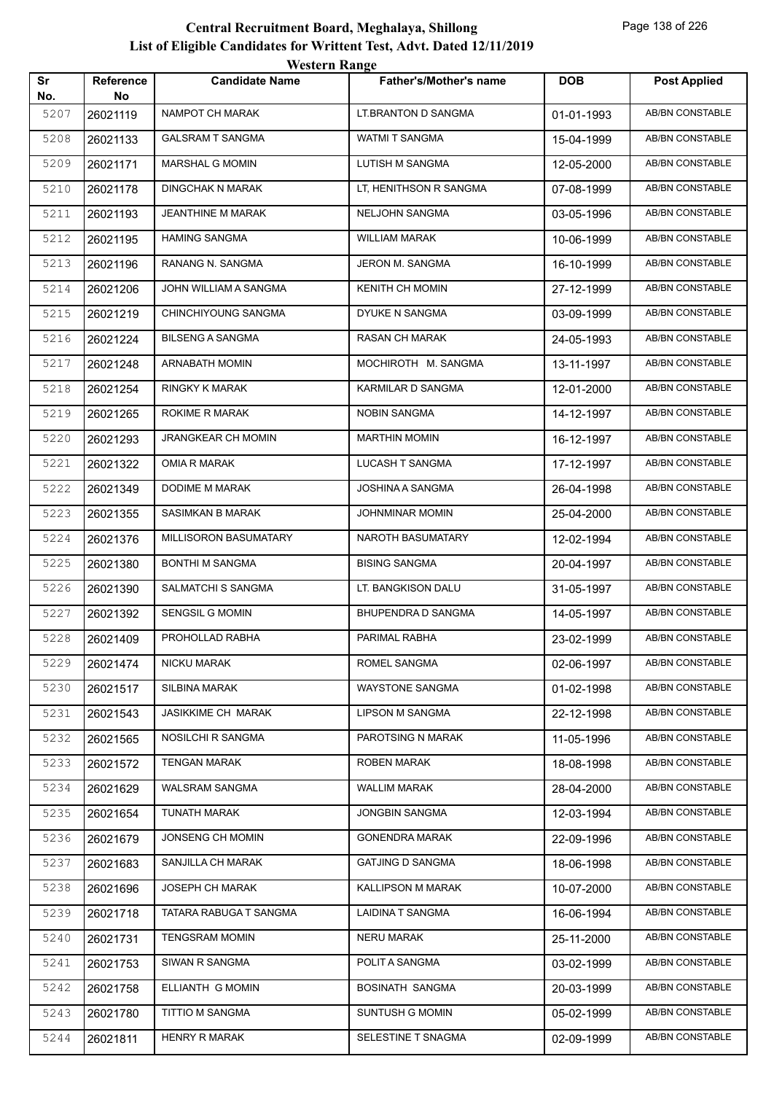|           |                        | <b>Western Range</b>      |                               |            |                        |
|-----------|------------------------|---------------------------|-------------------------------|------------|------------------------|
| Sr<br>No. | <b>Reference</b><br>No | <b>Candidate Name</b>     | <b>Father's/Mother's name</b> | <b>DOB</b> | <b>Post Applied</b>    |
| 5207      | 26021119               | <b>NAMPOT CH MARAK</b>    | LT.BRANTON D SANGMA           | 01-01-1993 | <b>AB/BN CONSTABLE</b> |
| 5208      | 26021133               | <b>GALSRAM T SANGMA</b>   | <b>WATMI T SANGMA</b>         | 15-04-1999 | AB/BN CONSTABLE        |
| 5209      | 26021171               | MARSHAL G MOMIN           | LUTISH M SANGMA               | 12-05-2000 | AB/BN CONSTABLE        |
| 5210      | 26021178               | <b>DINGCHAK N MARAK</b>   | LT, HENITHSON R SANGMA        | 07-08-1999 | <b>AB/BN CONSTABLE</b> |
| 5211      | 26021193               | <b>JEANTHINE M MARAK</b>  | NELJOHN SANGMA                | 03-05-1996 | AB/BN CONSTABLE        |
| 5212      | 26021195               | <b>HAMING SANGMA</b>      | <b>WILLIAM MARAK</b>          | 10-06-1999 | AB/BN CONSTABLE        |
| 5213      | 26021196               | RANANG N. SANGMA          | JERON M. SANGMA               | 16-10-1999 | AB/BN CONSTABLE        |
| 5214      | 26021206               | JOHN WILLIAM A SANGMA     | <b>KENITH CH MOMIN</b>        | 27-12-1999 | <b>AB/BN CONSTABLE</b> |
| 5215      | 26021219               | CHINCHIYOUNG SANGMA       | DYUKE N SANGMA                | 03-09-1999 | <b>AB/BN CONSTABLE</b> |
| 5216      | 26021224               | <b>BILSENG A SANGMA</b>   | <b>RASAN CH MARAK</b>         | 24-05-1993 | AB/BN CONSTABLE        |
| 5217      | 26021248               | <b>ARNABATH MOMIN</b>     | MOCHIROTH M. SANGMA           | 13-11-1997 | <b>AB/BN CONSTABLE</b> |
| 5218      | 26021254               | <b>RINGKY K MARAK</b>     | KARMILAR D SANGMA             | 12-01-2000 | AB/BN CONSTABLE        |
| 5219      | 26021265               | ROKIME R MARAK            | <b>NOBIN SANGMA</b>           | 14-12-1997 | <b>AB/BN CONSTABLE</b> |
| 5220      | 26021293               | JRANGKEAR CH MOMIN        | <b>MARTHIN MOMIN</b>          | 16-12-1997 | <b>AB/BN CONSTABLE</b> |
| 5221      | 26021322               | OMIA R MARAK              | LUCASH T SANGMA               | 17-12-1997 | AB/BN CONSTABLE        |
| 5222      | 26021349               | <b>DODIME M MARAK</b>     | JOSHINA A SANGMA              | 26-04-1998 | <b>AB/BN CONSTABLE</b> |
| 5223      | 26021355               | <b>SASIMKAN B MARAK</b>   | <b>JOHNMINAR MOMIN</b>        | 25-04-2000 | AB/BN CONSTABLE        |
| 5224      | 26021376               | MILLISORON BASUMATARY     | NAROTH BASUMATARY             | 12-02-1994 | <b>AB/BN CONSTABLE</b> |
| 5225      | 26021380               | <b>BONTHI M SANGMA</b>    | <b>BISING SANGMA</b>          | 20-04-1997 | <b>AB/BN CONSTABLE</b> |
| 5226      | 26021390               | SALMATCHI S SANGMA        | LT. BANGKISON DALU            | 31-05-1997 | <b>AB/BN CONSTABLE</b> |
| 5227      | 26021392               | <b>SENGSIL G MOMIN</b>    | BHUPENDRA D SANGMA            | 14-05-1997 | AB/BN CONSTABLE        |
| 5228      | 26021409               | PROHOLLAD RABHA           | PARIMAL RABHA                 | 23-02-1999 | AB/BN CONSTABLE        |
| 5229      | 26021474               | NICKU MARAK               | ROMEL SANGMA                  | 02-06-1997 | AB/BN CONSTABLE        |
| 5230      | 26021517               | SILBINA MARAK             | WAYSTONE SANGMA               | 01-02-1998 | AB/BN CONSTABLE        |
| 5231      | 26021543               | <b>JASIKKIME CH MARAK</b> | <b>LIPSON M SANGMA</b>        | 22-12-1998 | AB/BN CONSTABLE        |
| 5232      | 26021565               | NOSILCHI R SANGMA         | PAROTSING N MARAK             | 11-05-1996 | AB/BN CONSTABLE        |
| 5233      | 26021572               | <b>TENGAN MARAK</b>       | ROBEN MARAK                   | 18-08-1998 | AB/BN CONSTABLE        |
| 5234      | 26021629               | WALSRAM SANGMA            | <b>WALLIM MARAK</b>           | 28-04-2000 | AB/BN CONSTABLE        |
| 5235      | 26021654               | <b>TUNATH MARAK</b>       | JONGBIN SANGMA                | 12-03-1994 | AB/BN CONSTABLE        |
| 5236      | 26021679               | JONSENG CH MOMIN          | <b>GONENDRA MARAK</b>         | 22-09-1996 | AB/BN CONSTABLE        |
| 5237      | 26021683               | SANJILLA CH MARAK         | <b>GATJING D SANGMA</b>       | 18-06-1998 | AB/BN CONSTABLE        |
| 5238      | 26021696               | JOSEPH CH MARAK           | KALLIPSON M MARAK             | 10-07-2000 | AB/BN CONSTABLE        |
| 5239      | 26021718               | TATARA RABUGA T SANGMA    | LAIDINA T SANGMA              | 16-06-1994 | AB/BN CONSTABLE        |
| 5240      | 26021731               | <b>TENGSRAM MOMIN</b>     | NERU MARAK                    | 25-11-2000 | AB/BN CONSTABLE        |
| 5241      | 26021753               | SIWAN R SANGMA            | POLIT A SANGMA                | 03-02-1999 | AB/BN CONSTABLE        |
| 5242      | 26021758               | ELLIANTH G MOMIN          | BOSINATH SANGMA               | 20-03-1999 | AB/BN CONSTABLE        |
| 5243      | 26021780               | TITTIO M SANGMA           | SUNTUSH G MOMIN               | 05-02-1999 | AB/BN CONSTABLE        |
| 5244      | 26021811               | <b>HENRY R MARAK</b>      | SELESTINE T SNAGMA            | 02-09-1999 | AB/BN CONSTABLE        |
|           |                        |                           |                               |            |                        |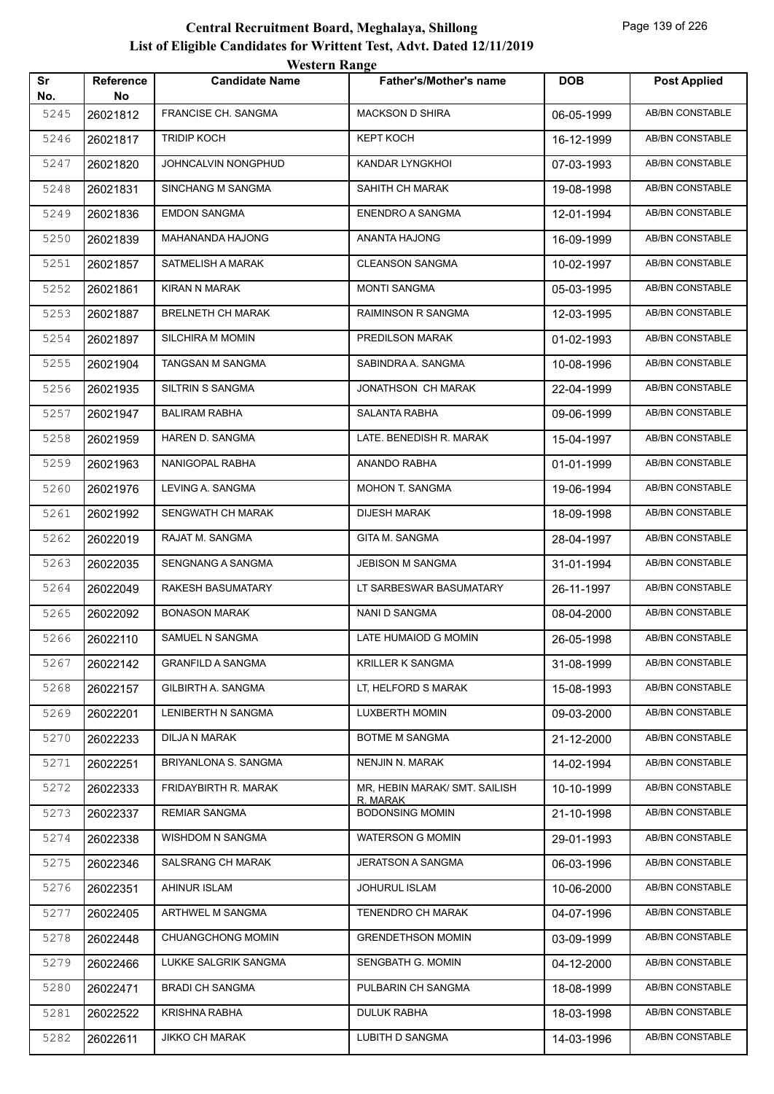|           |                 | western Kange            |                                    |            |                        |
|-----------|-----------------|--------------------------|------------------------------------|------------|------------------------|
| Sr<br>No. | Reference<br>No | <b>Candidate Name</b>    | Father's/Mother's name             | <b>DOB</b> | <b>Post Applied</b>    |
| 5245      | 26021812        | FRANCISE CH. SANGMA      | <b>MACKSON D SHIRA</b>             | 06-05-1999 | <b>AB/BN CONSTABLE</b> |
| 5246      | 26021817        | <b>TRIDIP KOCH</b>       | <b>KEPT KOCH</b>                   | 16-12-1999 | <b>AB/BN CONSTABLE</b> |
| 5247      | 26021820        | JOHNCALVIN NONGPHUD      | KANDAR LYNGKHOI                    | 07-03-1993 | <b>AB/BN CONSTABLE</b> |
| 5248      | 26021831        | SINCHANG M SANGMA        | SAHITH CH MARAK                    | 19-08-1998 | AB/BN CONSTABLE        |
| 5249      | 26021836        | <b>EMDON SANGMA</b>      | <b>ENENDRO A SANGMA</b>            | 12-01-1994 | AB/BN CONSTABLE        |
| 5250      | 26021839        | MAHANANDA HAJONG         | ANANTA HAJONG                      | 16-09-1999 | AB/BN CONSTABLE        |
| 5251      | 26021857        | SATMELISH A MARAK        | <b>CLEANSON SANGMA</b>             | 10-02-1997 | AB/BN CONSTABLE        |
| 5252      | 26021861        | KIRAN N MARAK            | <b>MONTI SANGMA</b>                | 05-03-1995 | <b>AB/BN CONSTABLE</b> |
| 5253      | 26021887        | <b>BRELNETH CH MARAK</b> | RAIMINSON R SANGMA                 | 12-03-1995 | AB/BN CONSTABLE        |
| 5254      | 26021897        | <b>SILCHIRA M MOMIN</b>  | PREDILSON MARAK                    | 01-02-1993 | AB/BN CONSTABLE        |
| 5255      | 26021904        | TANGSAN M SANGMA         | SABINDRA A. SANGMA                 | 10-08-1996 | <b>AB/BN CONSTABLE</b> |
| 5256      | 26021935        | SILTRIN S SANGMA         | JONATHSON CH MARAK                 | 22-04-1999 | AB/BN CONSTABLE        |
| 5257      | 26021947        | <b>BALIRAM RABHA</b>     | <b>SALANTA RABHA</b>               | 09-06-1999 | AB/BN CONSTABLE        |
| 5258      | 26021959        | HAREN D. SANGMA          | LATE. BENEDISH R. MARAK            | 15-04-1997 | AB/BN CONSTABLE        |
| 5259      | 26021963        | NANIGOPAL RABHA          | ANANDO RABHA                       | 01-01-1999 | AB/BN CONSTABLE        |
| 5260      | 26021976        | LEVING A. SANGMA         | MOHON T. SANGMA                    | 19-06-1994 | AB/BN CONSTABLE        |
| 5261      | 26021992        | SENGWATH CH MARAK        | <b>DIJESH MARAK</b>                | 18-09-1998 | <b>AB/BN CONSTABLE</b> |
| 5262      | 26022019        | RAJAT M. SANGMA          | GITA M. SANGMA                     | 28-04-1997 | AB/BN CONSTABLE        |
| 5263      | 26022035        | SENGNANG A SANGMA        | <b>JEBISON M SANGMA</b>            | 31-01-1994 | AB/BN CONSTABLE        |
| 5264      | 26022049        | <b>RAKESH BASUMATARY</b> | LT SARBESWAR BASUMATARY            | 26-11-1997 | AB/BN CONSTABLE        |
| 5265      | 26022092        | <b>BONASON MARAK</b>     | NANI D SANGMA                      | 08-04-2000 | AB/BN CONSTABLE        |
| 5266      | 26022110        | SAMUEL N SANGMA          | LATE HUMAIOD G MOMIN               | 26-05-1998 | AB/BN CONSTABLE        |
| 5267      | 26022142        | <b>GRANFILD A SANGMA</b> | KRILLER K SANGMA                   | 31-08-1999 | AB/BN CONSTABLE        |
| 5268      | 26022157        | GILBIRTH A. SANGMA       | LT. HELFORD S MARAK                | 15-08-1993 | AB/BN CONSTABLE        |
| 5269      | 26022201        | LENIBERTH N SANGMA       | <b>LUXBERTH MOMIN</b>              | 09-03-2000 | AB/BN CONSTABLE        |
| 5270      | 26022233        | DILJA N MARAK            | BOTME M SANGMA                     | 21-12-2000 | AB/BN CONSTABLE        |
| 5271      | 26022251        | BRIYANLONA S. SANGMA     | NENJIN N. MARAK                    | 14-02-1994 | AB/BN CONSTABLE        |
| 5272      | 26022333        | FRIDAYBIRTH R. MARAK     | MR, HEBIN MARAK/ SMT. SAILISH      | 10-10-1999 | AB/BN CONSTABLE        |
| 5273      | 26022337        | <b>REMIAR SANGMA</b>     | R. MARAK<br><b>BODONSING MOMIN</b> | 21-10-1998 | AB/BN CONSTABLE        |
| 5274      | 26022338        | WISHDOM N SANGMA         | <b>WATERSON G MOMIN</b>            | 29-01-1993 | AB/BN CONSTABLE        |
| 5275      | 26022346        | SALSRANG CH MARAK        | JERATSON A SANGMA                  | 06-03-1996 | AB/BN CONSTABLE        |
| 5276      | 26022351        | AHINUR ISLAM             | JOHURUL ISLAM                      | 10-06-2000 | AB/BN CONSTABLE        |
| 5277      | 26022405        | ARTHWEL M SANGMA         | TENENDRO CH MARAK                  | 04-07-1996 | AB/BN CONSTABLE        |
| 5278      | 26022448        | CHUANGCHONG MOMIN        | <b>GRENDETHSON MOMIN</b>           | 03-09-1999 | AB/BN CONSTABLE        |
| 5279      | 26022466        | LUKKE SALGRIK SANGMA     | SENGBATH G. MOMIN                  | 04-12-2000 | AB/BN CONSTABLE        |
| 5280      | 26022471        | <b>BRADI CH SANGMA</b>   | PULBARIN CH SANGMA                 | 18-08-1999 | AB/BN CONSTABLE        |
| 5281      | 26022522        | <b>KRISHNA RABHA</b>     | <b>DULUK RABHA</b>                 | 18-03-1998 | AB/BN CONSTABLE        |
| 5282      | 26022611        | <b>JIKKO CH MARAK</b>    | LUBITH D SANGMA                    | 14-03-1996 | AB/BN CONSTABLE        |
|           |                 |                          |                                    |            |                        |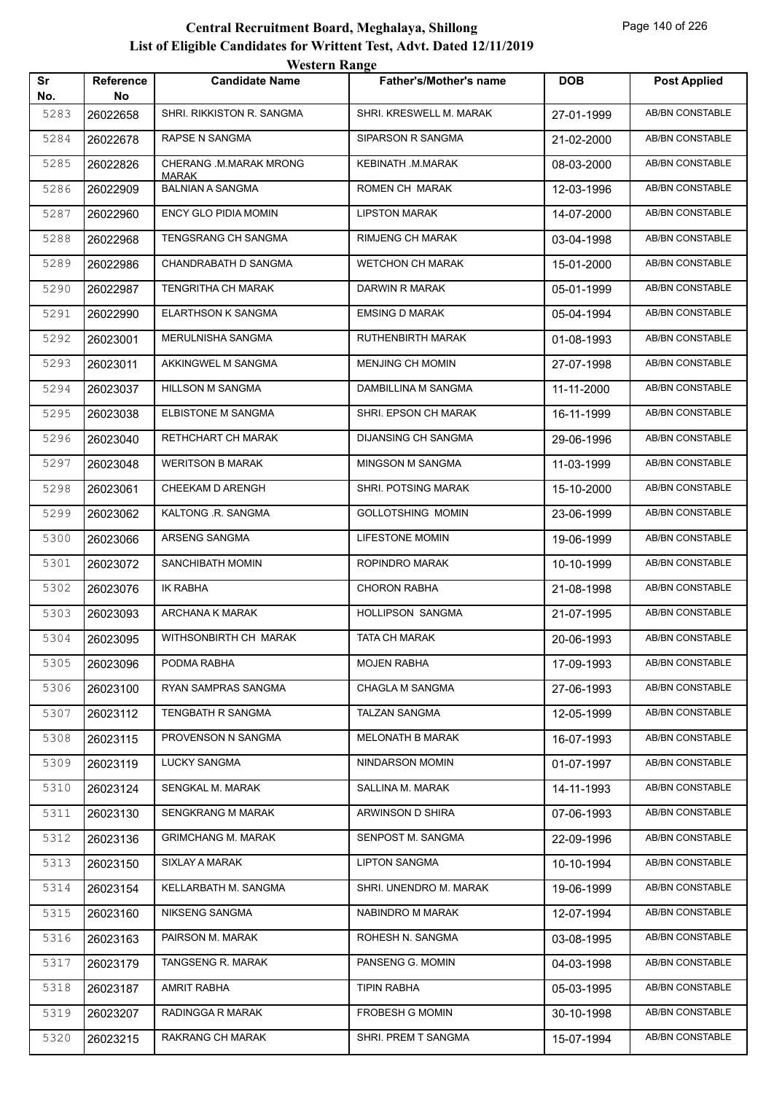|           |                        | <b>Western Range</b>                    |                               |            |                        |
|-----------|------------------------|-----------------------------------------|-------------------------------|------------|------------------------|
| Sr<br>No. | <b>Reference</b><br>No | <b>Candidate Name</b>                   | <b>Father's/Mother's name</b> | <b>DOB</b> | <b>Post Applied</b>    |
| 5283      | 26022658               | SHRI. RIKKISTON R. SANGMA               | SHRI. KRESWELL M. MARAK       | 27-01-1999 | <b>AB/BN CONSTABLE</b> |
| 5284      | 26022678               | RAPSE N SANGMA                          | SIPARSON R SANGMA             | 21-02-2000 | <b>AB/BN CONSTABLE</b> |
| 5285      | 26022826               | CHERANG .M.MARAK MRONG                  | KEBINATH .M.MARAK             | 08-03-2000 | <b>AB/BN CONSTABLE</b> |
| 5286      | 26022909               | <b>MARAK</b><br><b>BALNIAN A SANGMA</b> | ROMEN CH MARAK                | 12-03-1996 | <b>AB/BN CONSTABLE</b> |
| 5287      | 26022960               | <b>ENCY GLO PIDIA MOMIN</b>             | <b>LIPSTON MARAK</b>          | 14-07-2000 | AB/BN CONSTABLE        |
| 5288      | 26022968               | <b>TENGSRANG CH SANGMA</b>              | <b>RIMJENG CH MARAK</b>       | 03-04-1998 | AB/BN CONSTABLE        |
| 5289      | 26022986               | CHANDRABATH D SANGMA                    | <b>WETCHON CH MARAK</b>       | 15-01-2000 | AB/BN CONSTABLE        |
| 5290      | 26022987               | <b>TENGRITHA CH MARAK</b>               | DARWIN R MARAK                | 05-01-1999 | <b>AB/BN CONSTABLE</b> |
| 5291      | 26022990               | <b>ELARTHSON K SANGMA</b>               | <b>EMSING D MARAK</b>         | 05-04-1994 | <b>AB/BN CONSTABLE</b> |
| 5292      | 26023001               | MERULNISHA SANGMA                       | <b>RUTHENBIRTH MARAK</b>      | 01-08-1993 | <b>AB/BN CONSTABLE</b> |
| 5293      | 26023011               | AKKINGWEL M SANGMA                      | <b>MENJING CH MOMIN</b>       | 27-07-1998 | AB/BN CONSTABLE        |
| 5294      | 26023037               | HILLSON M SANGMA                        | DAMBILLINA M SANGMA           | 11-11-2000 | AB/BN CONSTABLE        |
| 5295      | 26023038               | ELBISTONE M SANGMA                      | SHRI. EPSON CH MARAK          | 16-11-1999 | AB/BN CONSTABLE        |
| 5296      | 26023040               | RETHCHART CH MARAK                      | DIJANSING CH SANGMA           | 29-06-1996 | <b>AB/BN CONSTABLE</b> |
| 5297      | 26023048               | <b>WERITSON B MARAK</b>                 | MINGSON M SANGMA              | 11-03-1999 | AB/BN CONSTABLE        |
| 5298      | 26023061               | CHEEKAM D ARENGH                        | SHRI. POTSING MARAK           | 15-10-2000 | <b>AB/BN CONSTABLE</b> |
| 5299      | 26023062               | KALTONG .R. SANGMA                      | <b>GOLLOTSHING MOMIN</b>      | 23-06-1999 | AB/BN CONSTABLE        |
| 5300      | 26023066               | ARSENG SANGMA                           | <b>LIFESTONE MOMIN</b>        | 19-06-1999 | <b>AB/BN CONSTABLE</b> |
| 5301      | 26023072               | SANCHIBATH MOMIN                        | ROPINDRO MARAK                | 10-10-1999 | <b>AB/BN CONSTABLE</b> |
| 5302      | 26023076               | <b>IK RABHA</b>                         | <b>CHORON RABHA</b>           | 21-08-1998 | AB/BN CONSTABLE        |
| 5303      | 26023093               | ARCHANA K MARAK                         | <b>HOLLIPSON SANGMA</b>       | 21-07-1995 | AB/BN CONSTABLE        |
| 5304      | 26023095               | WITHSONBIRTH CH MARAK                   | <b>TATA CH MARAK</b>          | 20-06-1993 | AB/BN CONSTABLE        |
| 5305      | 26023096               | PODMA RABHA                             | MOJEN RABHA                   | 17-09-1993 | AB/BN CONSTABLE        |
| 5306      | 26023100               | RYAN SAMPRAS SANGMA                     | CHAGLA M SANGMA               | 27-06-1993 | AB/BN CONSTABLE        |
| 5307      | 26023112               | TENGBATH R SANGMA                       | <b>TALZAN SANGMA</b>          | 12-05-1999 | AB/BN CONSTABLE        |
| 5308      | 26023115               | PROVENSON N SANGMA                      | MELONATH B MARAK              | 16-07-1993 | AB/BN CONSTABLE        |
| 5309      | 26023119               | <b>LUCKY SANGMA</b>                     | NINDARSON MOMIN               | 01-07-1997 | AB/BN CONSTABLE        |
| 5310      | 26023124               | SENGKAL M. MARAK                        | SALLINA M. MARAK              | 14-11-1993 | AB/BN CONSTABLE        |
| 5311      | 26023130               | SENGKRANG M MARAK                       | ARWINSON D SHIRA              | 07-06-1993 | AB/BN CONSTABLE        |
| 5312      | 26023136               | <b>GRIMCHANG M. MARAK</b>               | SENPOST M. SANGMA             | 22-09-1996 | AB/BN CONSTABLE        |
| 5313      | 26023150               | SIXLAY A MARAK                          | <b>LIPTON SANGMA</b>          | 10-10-1994 | AB/BN CONSTABLE        |
| 5314      | 26023154               | KELLARBATH M. SANGMA                    | SHRI. UNENDRO M. MARAK        | 19-06-1999 | AB/BN CONSTABLE        |
| 5315      | 26023160               | NIKSENG SANGMA                          | NABINDRO M MARAK              | 12-07-1994 | AB/BN CONSTABLE        |
| 5316      | 26023163               | PAIRSON M. MARAK                        | ROHESH N. SANGMA              | 03-08-1995 | AB/BN CONSTABLE        |
| 5317      | 26023179               | TANGSENG R. MARAK                       | PANSENG G. MOMIN              | 04-03-1998 | AB/BN CONSTABLE        |
| 5318      | 26023187               | AMRIT RABHA                             | <b>TIPIN RABHA</b>            | 05-03-1995 | AB/BN CONSTABLE        |
| 5319      | 26023207               | RADINGGA R MARAK                        | FROBESH G MOMIN               | 30-10-1998 | AB/BN CONSTABLE        |
| 5320      | 26023215               | RAKRANG CH MARAK                        | SHRI. PREM T SANGMA           | 15-07-1994 | AB/BN CONSTABLE        |
|           |                        |                                         |                               |            |                        |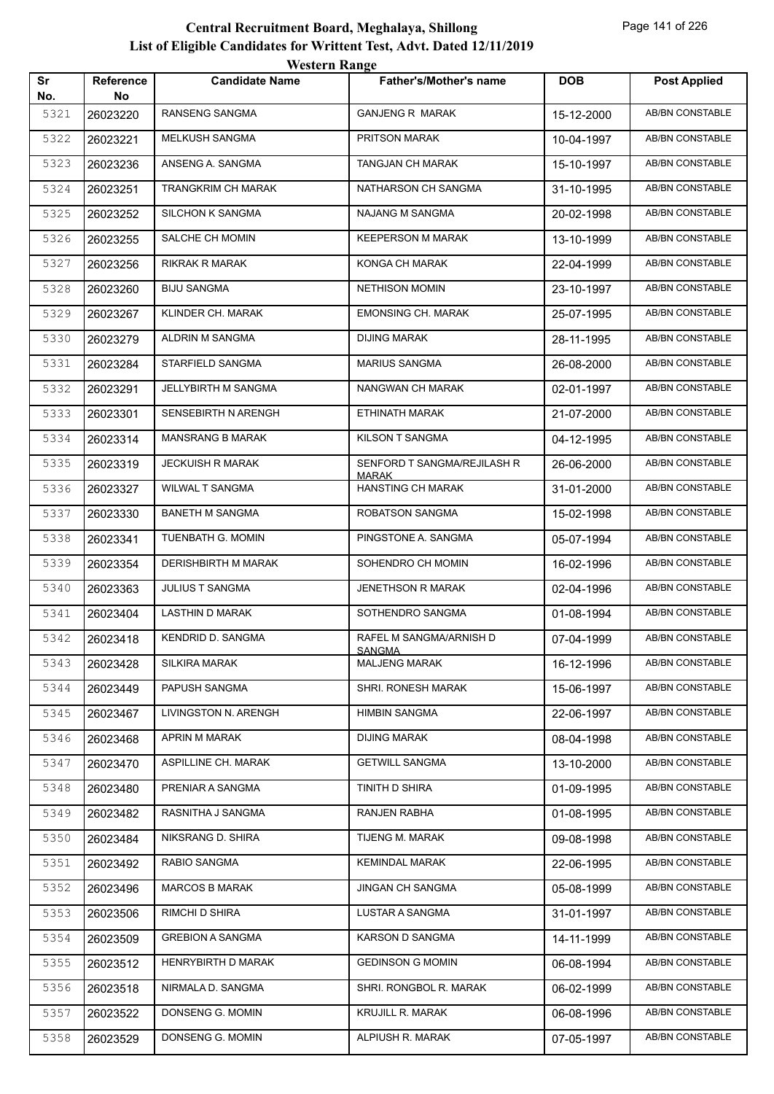| Sr          | Reference      | <b>Candidate Name</b>      | <b>Father's/Mother's name</b>     | <b>DOB</b> | <b>Post Applied</b>    |
|-------------|----------------|----------------------------|-----------------------------------|------------|------------------------|
| No.<br>5321 | No<br>26023220 | RANSENG SANGMA             | <b>GANJENG R MARAK</b>            | 15-12-2000 | AB/BN CONSTABLE        |
| 5322        | 26023221       | MELKUSH SANGMA             | PRITSON MARAK                     | 10-04-1997 | AB/BN CONSTABLE        |
| 5323        | 26023236       | ANSENG A. SANGMA           | TANGJAN CH MARAK                  | 15-10-1997 | <b>AB/BN CONSTABLE</b> |
| 5324        | 26023251       | TRANGKRIM CH MARAK         | NATHARSON CH SANGMA               | 31-10-1995 | AB/BN CONSTABLE        |
| 5325        | 26023252       | SILCHON K SANGMA           | <b>NAJANG M SANGMA</b>            | 20-02-1998 | AB/BN CONSTABLE        |
| 5326        | 26023255       | SALCHE CH MOMIN            | <b>KEEPERSON M MARAK</b>          | 13-10-1999 | AB/BN CONSTABLE        |
| 5327        | 26023256       | <b>RIKRAK R MARAK</b>      | KONGA CH MARAK                    | 22-04-1999 | <b>AB/BN CONSTABLE</b> |
| 5328        | 26023260       | <b>BIJU SANGMA</b>         | <b>NETHISON MOMIN</b>             | 23-10-1997 | AB/BN CONSTABLE        |
| 5329        | 26023267       | KLINDER CH. MARAK          | <b>EMONSING CH. MARAK</b>         | 25-07-1995 | AB/BN CONSTABLE        |
| 5330        | 26023279       | ALDRIN M SANGMA            | <b>DIJING MARAK</b>               | 28-11-1995 | AB/BN CONSTABLE        |
| 5331        | 26023284       | STARFIELD SANGMA           | <b>MARIUS SANGMA</b>              | 26-08-2000 | AB/BN CONSTABLE        |
| 5332        | 26023291       | JELLYBIRTH M SANGMA        | NANGWAN CH MARAK                  | 02-01-1997 | <b>AB/BN CONSTABLE</b> |
| 5333        | 26023301       | <b>SENSEBIRTH N ARENGH</b> | ETHINATH MARAK                    | 21-07-2000 | AB/BN CONSTABLE        |
| 5334        | 26023314       | <b>MANSRANG B MARAK</b>    | KILSON T SANGMA                   | 04-12-1995 | AB/BN CONSTABLE        |
| 5335        | 26023319       | <b>JECKUISH R MARAK</b>    | SENFORD T SANGMA/REJILASH R       | 26-06-2000 | AB/BN CONSTABLE        |
| 5336        | 26023327       | WILWAL T SANGMA            | <b>MARAK</b><br>HANSTING CH MARAK | 31-01-2000 | AB/BN CONSTABLE        |
| 5337        | 26023330       | <b>BANETH M SANGMA</b>     | ROBATSON SANGMA                   | 15-02-1998 | <b>AB/BN CONSTABLE</b> |
| 5338        | 26023341       | TUENBATH G. MOMIN          | PINGSTONE A. SANGMA               | 05-07-1994 | <b>AB/BN CONSTABLE</b> |
| 5339        |                | DERISHBIRTH M MARAK        | SOHENDRO CH MOMIN                 |            | AB/BN CONSTABLE        |
| 5340        | 26023354       | <b>JULIUS T SANGMA</b>     | <b>JENETHSON R MARAK</b>          | 16-02-1996 | AB/BN CONSTABLE        |
| 5341        | 26023363       | <b>LASTHIN D MARAK</b>     | SOTHENDRO SANGMA                  | 02-04-1996 | AB/BN CONSTABLE        |
|             | 26023404       |                            |                                   | 01-08-1994 | AB/BN CONSTABLE        |
| 5342        | 26023418       | <b>KENDRID D. SANGMA</b>   | RAFEL M SANGMA/ARNISH D<br>SANGMA | 07-04-1999 |                        |
| 5343        | 26023428       | <b>SILKIRA MARAK</b>       | <b>MALJENG MARAK</b>              | 16-12-1996 | AB/BN CONSTABLE        |
| 5344        | 26023449       | PAPUSH SANGMA              | SHRI. RONESH MARAK                | 15-06-1997 | AB/BN CONSTABLE        |
| 5345        | 26023467       | LIVINGSTON N. ARENGH       | <b>HIMBIN SANGMA</b>              | 22-06-1997 | AB/BN CONSTABLE        |
| 5346        | 26023468       | APRIN M MARAK              | <b>DIJING MARAK</b>               | 08-04-1998 | AB/BN CONSTABLE        |
| 5347        | 26023470       | ASPILLINE CH. MARAK        | <b>GETWILL SANGMA</b>             | 13-10-2000 | AB/BN CONSTABLE        |
| 5348        | 26023480       | PRENIAR A SANGMA           | TINITH D SHIRA                    | 01-09-1995 | AB/BN CONSTABLE        |
| 5349        | 26023482       | RASNITHA J SANGMA          | RANJEN RABHA                      | 01-08-1995 | AB/BN CONSTABLE        |
| 5350        | 26023484       | NIKSRANG D. SHIRA          | TIJENG M. MARAK                   | 09-08-1998 | AB/BN CONSTABLE        |
| 5351        | 26023492       | RABIO SANGMA               | <b>KEMINDAL MARAK</b>             | 22-06-1995 | AB/BN CONSTABLE        |
| 5352        | 26023496       | <b>MARCOS B MARAK</b>      | JINGAN CH SANGMA                  | 05-08-1999 | AB/BN CONSTABLE        |
| 5353        | 26023506       | RIMCHI D SHIRA             | LUSTAR A SANGMA                   | 31-01-1997 | AB/BN CONSTABLE        |
| 5354        | 26023509       | <b>GREBION A SANGMA</b>    | KARSON D SANGMA                   | 14-11-1999 | AB/BN CONSTABLE        |
| 5355        | 26023512       | HENRYBIRTH D MARAK         | <b>GEDINSON G MOMIN</b>           | 06-08-1994 | AB/BN CONSTABLE        |
| 5356        | 26023518       | NIRMALA D. SANGMA          | SHRI. RONGBOL R. MARAK            | 06-02-1999 | AB/BN CONSTABLE        |
| 5357        | 26023522       | DONSENG G. MOMIN           | <b>KRUJILL R. MARAK</b>           | 06-08-1996 | AB/BN CONSTABLE        |
| 5358        | 26023529       | DONSENG G. MOMIN           | ALPIUSH R. MARAK                  | 07-05-1997 | AB/BN CONSTABLE        |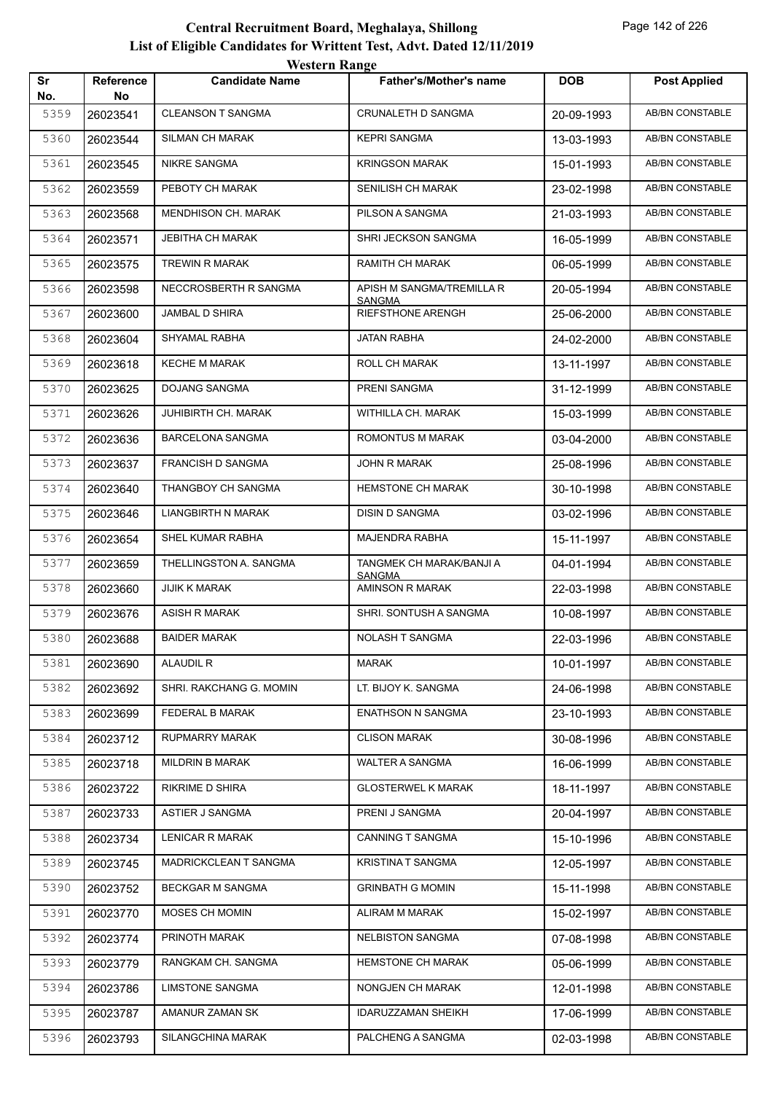|           |                        | <b>Western Range</b>       |                                           |            |                        |
|-----------|------------------------|----------------------------|-------------------------------------------|------------|------------------------|
| Sr<br>No. | <b>Reference</b><br>No | <b>Candidate Name</b>      | <b>Father's/Mother's name</b>             | <b>DOB</b> | <b>Post Applied</b>    |
| 5359      | 26023541               | <b>CLEANSON T SANGMA</b>   | CRUNALETH D SANGMA                        | 20-09-1993 | <b>AB/BN CONSTABLE</b> |
| 5360      | 26023544               | <b>SILMAN CH MARAK</b>     | <b>KEPRI SANGMA</b>                       | 13-03-1993 | AB/BN CONSTABLE        |
| 5361      | 26023545               | <b>NIKRE SANGMA</b>        | <b>KRINGSON MARAK</b>                     | 15-01-1993 | <b>AB/BN CONSTABLE</b> |
| 5362      | 26023559               | PEBOTY CH MARAK            | <b>SENILISH CH MARAK</b>                  | 23-02-1998 | <b>AB/BN CONSTABLE</b> |
| 5363      | 26023568               | <b>MENDHISON CH. MARAK</b> | PILSON A SANGMA                           | 21-03-1993 | AB/BN CONSTABLE        |
| 5364      | 26023571               | <b>JEBITHA CH MARAK</b>    | SHRI JECKSON SANGMA                       | 16-05-1999 | <b>AB/BN CONSTABLE</b> |
| 5365      | 26023575               | <b>TREWIN R MARAK</b>      | <b>RAMITH CH MARAK</b>                    | 06-05-1999 | AB/BN CONSTABLE        |
| 5366      | 26023598               | NECCROSBERTH R SANGMA      | APISH M SANGMA/TREMILLA R                 | 20-05-1994 | <b>AB/BN CONSTABLE</b> |
| 5367      | 26023600               | JAMBAL D SHIRA             | <b>SANGMA</b><br><b>RIEFSTHONE ARENGH</b> | 25-06-2000 | <b>AB/BN CONSTABLE</b> |
| 5368      | 26023604               | SHYAMAL RABHA              | <b>JATAN RABHA</b>                        | 24-02-2000 | AB/BN CONSTABLE        |
| 5369      | 26023618               | <b>KECHE M MARAK</b>       | <b>ROLL CH MARAK</b>                      | 13-11-1997 | <b>AB/BN CONSTABLE</b> |
| 5370      | 26023625               | <b>DOJANG SANGMA</b>       | PRENI SANGMA                              | 31-12-1999 | <b>AB/BN CONSTABLE</b> |
| 5371      | 26023626               | <b>JUHIBIRTH CH. MARAK</b> | WITHILLA CH. MARAK                        | 15-03-1999 | <b>AB/BN CONSTABLE</b> |
| 5372      | 26023636               | <b>BARCELONA SANGMA</b>    | ROMONTUS M MARAK                          | 03-04-2000 | <b>AB/BN CONSTABLE</b> |
| 5373      | 26023637               | <b>FRANCISH D SANGMA</b>   | <b>JOHN R MARAK</b>                       | 25-08-1996 | AB/BN CONSTABLE        |
| 5374      | 26023640               | THANGBOY CH SANGMA         | <b>HEMSTONE CH MARAK</b>                  | 30-10-1998 | <b>AB/BN CONSTABLE</b> |
| 5375      | 26023646               | <b>LIANGBIRTH N MARAK</b>  | <b>DISIN D SANGMA</b>                     | 03-02-1996 | AB/BN CONSTABLE        |
| 5376      | 26023654               | SHEL KUMAR RABHA           | MAJENDRA RABHA                            | 15-11-1997 | <b>AB/BN CONSTABLE</b> |
| 5377      | 26023659               | THELLINGSTON A. SANGMA     | TANGMEK CH MARAK/BANJI A                  | 04-01-1994 | <b>AB/BN CONSTABLE</b> |
| 5378      | 26023660               | <b>JIJIK K MARAK</b>       | <b>SANGMA</b><br>AMINSON R MARAK          | 22-03-1998 | <b>AB/BN CONSTABLE</b> |
| 5379      | 26023676               | <b>ASISH R MARAK</b>       | SHRI. SONTUSH A SANGMA                    | 10-08-1997 | <b>AB/BN CONSTABLE</b> |
| 5380      | 26023688               | <b>BAIDER MARAK</b>        | NOLASH T SANGMA                           | 22-03-1996 | AB/BN CONSTABLE        |
| 5381      | 26023690               | ALAUDIL R                  | MARAK                                     | 10-01-1997 | AB/BN CONSTABLE        |
| 5382      | 26023692               | SHRI. RAKCHANG G. MOMIN    | LT. BIJOY K. SANGMA                       | 24-06-1998 | AB/BN CONSTABLE        |
| 5383      | 26023699               | <b>FEDERAL B MARAK</b>     | <b>ENATHSON N SANGMA</b>                  | 23-10-1993 | AB/BN CONSTABLE        |
| 5384      | 26023712               | RUPMARRY MARAK             | <b>CLISON MARAK</b>                       | 30-08-1996 | AB/BN CONSTABLE        |
| 5385      | 26023718               | <b>MILDRIN B MARAK</b>     | <b>WALTER A SANGMA</b>                    | 16-06-1999 | AB/BN CONSTABLE        |
| 5386      | 26023722               | <b>RIKRIME D SHIRA</b>     | <b>GLOSTERWEL K MARAK</b>                 | 18-11-1997 | AB/BN CONSTABLE        |
| 5387      | 26023733               | ASTIER J SANGMA            | PRENI J SANGMA                            | 20-04-1997 | AB/BN CONSTABLE        |
| 5388      | 26023734               | <b>LENICAR R MARAK</b>     | CANNING T SANGMA                          | 15-10-1996 | AB/BN CONSTABLE        |
| 5389      | 26023745               | MADRICKCLEAN T SANGMA      | <b>KRISTINA T SANGMA</b>                  | 12-05-1997 | AB/BN CONSTABLE        |
| 5390      | 26023752               | <b>BECKGAR M SANGMA</b>    | <b>GRINBATH G MOMIN</b>                   | 15-11-1998 | AB/BN CONSTABLE        |
| 5391      | 26023770               | MOSES CH MOMIN             | ALIRAM M MARAK                            | 15-02-1997 | AB/BN CONSTABLE        |
| 5392      | 26023774               | PRINOTH MARAK              | <b>NELBISTON SANGMA</b>                   | 07-08-1998 | AB/BN CONSTABLE        |
| 5393      | 26023779               | RANGKAM CH. SANGMA         | <b>HEMSTONE CH MARAK</b>                  | 05-06-1999 | AB/BN CONSTABLE        |
| 5394      | 26023786               | <b>LIMSTONE SANGMA</b>     | NONGJEN CH MARAK                          | 12-01-1998 | AB/BN CONSTABLE        |
| 5395      | 26023787               | AMANUR ZAMAN SK            | <b>IDARUZZAMAN SHEIKH</b>                 | 17-06-1999 | AB/BN CONSTABLE        |
| 5396      | 26023793               | SILANGCHINA MARAK          | PALCHENG A SANGMA                         | 02-03-1998 | AB/BN CONSTABLE        |
|           |                        |                            |                                           |            |                        |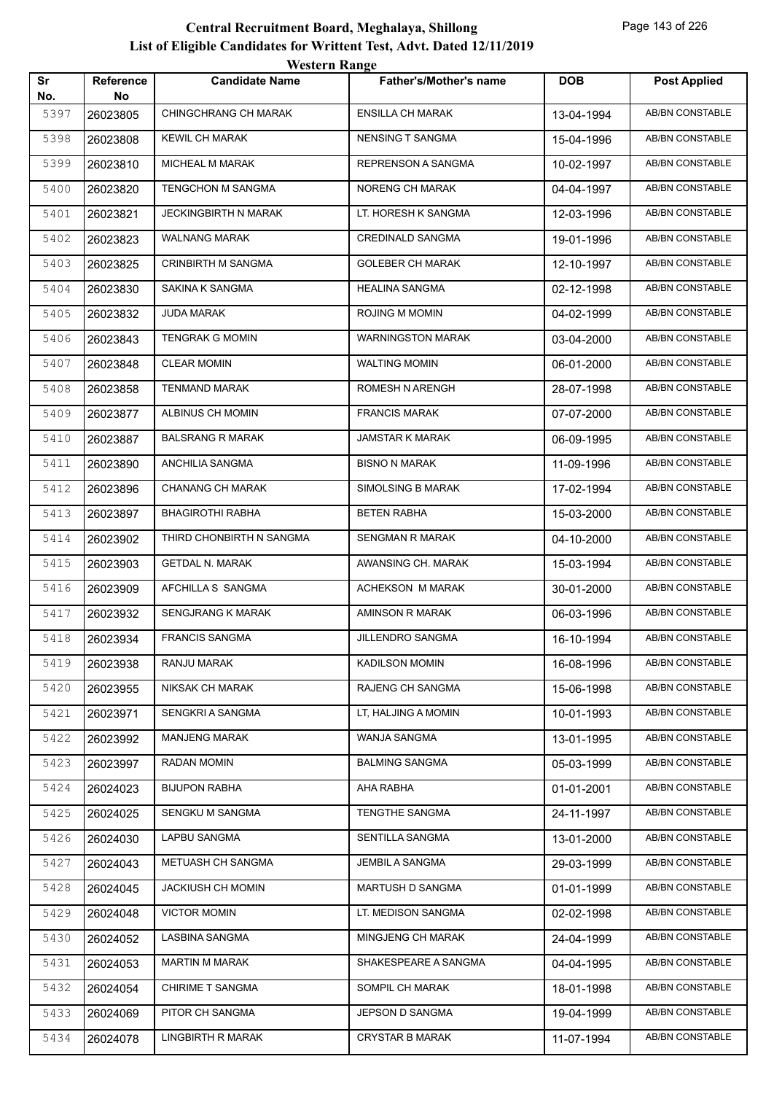|           |                 | <i>Western Kange</i>      |                               |            |                        |
|-----------|-----------------|---------------------------|-------------------------------|------------|------------------------|
| Sr<br>No. | Reference<br>No | <b>Candidate Name</b>     | <b>Father's/Mother's name</b> | <b>DOB</b> | <b>Post Applied</b>    |
| 5397      | 26023805        | CHINGCHRANG CH MARAK      | <b>ENSILLA CH MARAK</b>       | 13-04-1994 | <b>AB/BN CONSTABLE</b> |
| 5398      | 26023808        | <b>KEWIL CH MARAK</b>     | <b>NENSING T SANGMA</b>       | 15-04-1996 | AB/BN CONSTABLE        |
| 5399      | 26023810        | MICHEAL M MARAK           | REPRENSON A SANGMA            | 10-02-1997 | <b>AB/BN CONSTABLE</b> |
| 5400      | 26023820        | <b>TENGCHON M SANGMA</b>  | NORENG CH MARAK               | 04-04-1997 | AB/BN CONSTABLE        |
| 5401      | 26023821        | JECKINGBIRTH N MARAK      | LT. HORESH K SANGMA           | 12-03-1996 | AB/BN CONSTABLE        |
| 5402      | 26023823        | WALNANG MARAK             | <b>CREDINALD SANGMA</b>       | 19-01-1996 | <b>AB/BN CONSTABLE</b> |
| 5403      | 26023825        | <b>CRINBIRTH M SANGMA</b> | <b>GOLEBER CH MARAK</b>       | 12-10-1997 | AB/BN CONSTABLE        |
| 5404      | 26023830        | SAKINA K SANGMA           | <b>HEALINA SANGMA</b>         | 02-12-1998 | AB/BN CONSTABLE        |
| 5405      | 26023832        | JUDA MARAK                | ROJING M MOMIN                | 04-02-1999 | AB/BN CONSTABLE        |
| 5406      | 26023843        | <b>TENGRAK G MOMIN</b>    | <b>WARNINGSTON MARAK</b>      | 03-04-2000 | AB/BN CONSTABLE        |
| 5407      | 26023848        | <b>CLEAR MOMIN</b>        | <b>WALTING MOMIN</b>          | 06-01-2000 | AB/BN CONSTABLE        |
| 5408      | 26023858        | TENMAND MARAK             | ROMESH N ARENGH               | 28-07-1998 | AB/BN CONSTABLE        |
| 5409      | 26023877        | ALBINUS CH MOMIN          | <b>FRANCIS MARAK</b>          | 07-07-2000 | AB/BN CONSTABLE        |
| 5410      | 26023887        | <b>BALSRANG R MARAK</b>   | <b>JAMSTAR K MARAK</b>        | 06-09-1995 | AB/BN CONSTABLE        |
| 5411      | 26023890        | ANCHILIA SANGMA           | <b>BISNO N MARAK</b>          | 11-09-1996 | AB/BN CONSTABLE        |
| 5412      | 26023896        | <b>CHANANG CH MARAK</b>   | SIMOLSING B MARAK             | 17-02-1994 | AB/BN CONSTABLE        |
| 5413      | 26023897        | <b>BHAGIROTHI RABHA</b>   | <b>BETEN RABHA</b>            | 15-03-2000 | AB/BN CONSTABLE        |
| 5414      | 26023902        | THIRD CHONBIRTH N SANGMA  | <b>SENGMAN R MARAK</b>        | 04-10-2000 | AB/BN CONSTABLE        |
| 5415      | 26023903        | <b>GETDAL N. MARAK</b>    | AWANSING CH. MARAK            | 15-03-1994 | AB/BN CONSTABLE        |
| 5416      | 26023909        | AFCHILLA S SANGMA         | ACHEKSON M MARAK              | 30-01-2000 | AB/BN CONSTABLE        |
| 5417      | 26023932        | SENGJRANG K MARAK         | AMINSON R MARAK               | 06-03-1996 | AB/BN CONSTABLE        |
| 5418      | 26023934        | <b>FRANCIS SANGMA</b>     | <b>JILLENDRO SANGMA</b>       | 16-10-1994 | AB/BN CONSTABLE        |
| 5419      | 26023938        | RANJU MARAK               | <b>KADILSON MOMIN</b>         | 16-08-1996 | AB/BN CONSTABLE        |
| 5420      | 26023955        | NIKSAK CH MARAK           | RAJENG CH SANGMA              | 15-06-1998 | AB/BN CONSTABLE        |
| 5421      | 26023971        | SENGKRI A SANGMA          | LT, HALJING A MOMIN           | 10-01-1993 | AB/BN CONSTABLE        |
| 5422      | 26023992        | <b>MANJENG MARAK</b>      | WANJA SANGMA                  | 13-01-1995 | AB/BN CONSTABLE        |
| 5423      | 26023997        | RADAN MOMIN               | <b>BALMING SANGMA</b>         | 05-03-1999 | AB/BN CONSTABLE        |
| 5424      | 26024023        | <b>BIJUPON RABHA</b>      | AHA RABHA                     | 01-01-2001 | AB/BN CONSTABLE        |
| 5425      | 26024025        | SENGKU M SANGMA           | TENGTHE SANGMA                | 24-11-1997 | AB/BN CONSTABLE        |
| 5426      | 26024030        | LAPBU SANGMA              | SENTILLA SANGMA               | 13-01-2000 | AB/BN CONSTABLE        |
| 5427      | 26024043        | METUASH CH SANGMA         | JEMBIL A SANGMA               | 29-03-1999 | AB/BN CONSTABLE        |
| 5428      | 26024045        | <b>JACKIUSH CH MOMIN</b>  | MARTUSH D SANGMA              | 01-01-1999 | AB/BN CONSTABLE        |
| 5429      | 26024048        | <b>VICTOR MOMIN</b>       | LT. MEDISON SANGMA            | 02-02-1998 | AB/BN CONSTABLE        |
| 5430      | 26024052        | LASBINA SANGMA            | MINGJENG CH MARAK             | 24-04-1999 | AB/BN CONSTABLE        |
| 5431      | 26024053        | <b>MARTIN M MARAK</b>     | SHAKESPEARE A SANGMA          | 04-04-1995 | AB/BN CONSTABLE        |
| 5432      | 26024054        | CHIRIME T SANGMA          | SOMPIL CH MARAK               | 18-01-1998 | AB/BN CONSTABLE        |
| 5433      | 26024069        | PITOR CH SANGMA           | JEPSON D SANGMA               | 19-04-1999 | AB/BN CONSTABLE        |
| 5434      | 26024078        | LINGBIRTH R MARAK         | <b>CRYSTAR B MARAK</b>        | 11-07-1994 | AB/BN CONSTABLE        |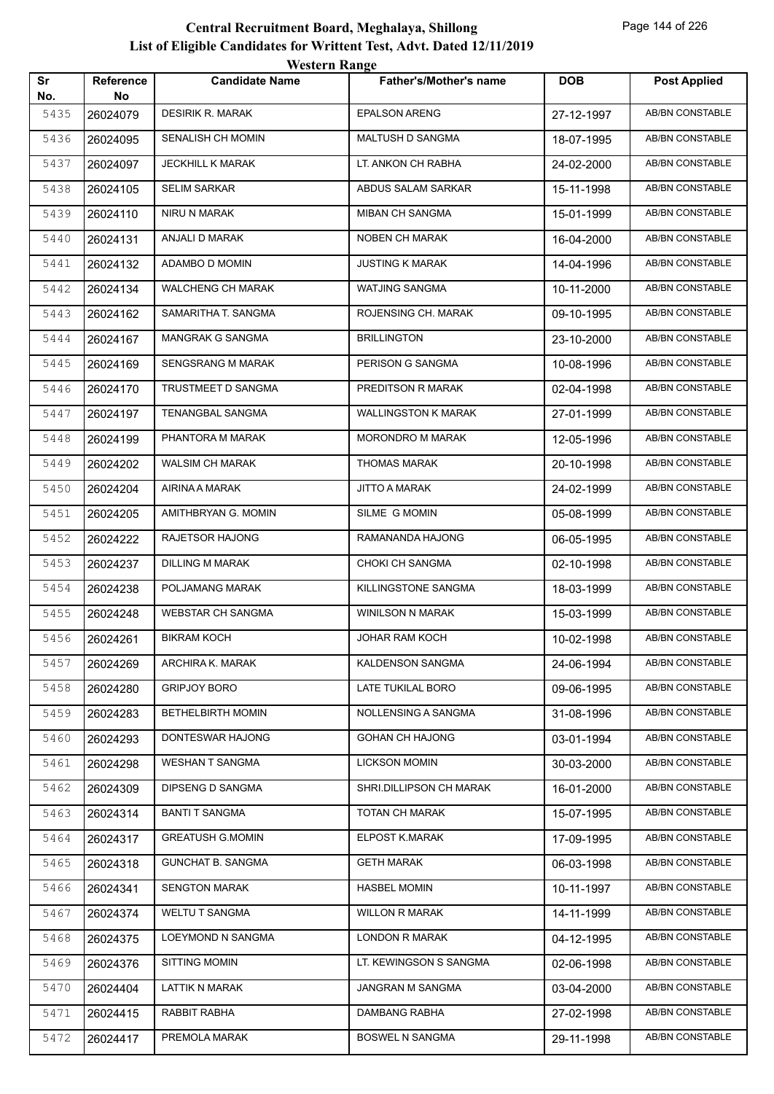|           |                 | western Kange            |                            |            |                        |
|-----------|-----------------|--------------------------|----------------------------|------------|------------------------|
| Sr<br>No. | Reference<br>No | <b>Candidate Name</b>    | Father's/Mother's name     | <b>DOB</b> | <b>Post Applied</b>    |
| 5435      | 26024079        | <b>DESIRIK R. MARAK</b>  | <b>EPALSON ARENG</b>       | 27-12-1997 | AB/BN CONSTABLE        |
| 5436      | 26024095        | <b>SENALISH CH MOMIN</b> | MALTUSH D SANGMA           | 18-07-1995 | AB/BN CONSTABLE        |
| 5437      | 26024097        | <b>JECKHILL K MARAK</b>  | LT. ANKON CH RABHA         | 24-02-2000 | AB/BN CONSTABLE        |
| 5438      | 26024105        | <b>SELIM SARKAR</b>      | ABDUS SALAM SARKAR         | 15-11-1998 | AB/BN CONSTABLE        |
| 5439      | 26024110        | NIRU N MARAK             | <b>MIBAN CH SANGMA</b>     | 15-01-1999 | AB/BN CONSTABLE        |
| 5440      | 26024131        | ANJALI D MARAK           | NOBEN CH MARAK             | 16-04-2000 | AB/BN CONSTABLE        |
| 5441      | 26024132        | ADAMBO D MOMIN           | <b>JUSTING K MARAK</b>     | 14-04-1996 | AB/BN CONSTABLE        |
| 5442      | 26024134        | WALCHENG CH MARAK        | WATJING SANGMA             | 10-11-2000 | AB/BN CONSTABLE        |
| 5443      | 26024162        | SAMARITHA T. SANGMA      | ROJENSING CH. MARAK        | 09-10-1995 | AB/BN CONSTABLE        |
| 5444      | 26024167        | <b>MANGRAK G SANGMA</b>  | <b>BRILLINGTON</b>         | 23-10-2000 | AB/BN CONSTABLE        |
| 5445      | 26024169        | SENGSRANG M MARAK        | PERISON G SANGMA           | 10-08-1996 | AB/BN CONSTABLE        |
| 5446      | 26024170        | TRUSTMEET D SANGMA       | PREDITSON R MARAK          | 02-04-1998 | AB/BN CONSTABLE        |
| 5447      | 26024197        | TENANGBAL SANGMA         | <b>WALLINGSTON K MARAK</b> | 27-01-1999 | AB/BN CONSTABLE        |
| 5448      | 26024199        | PHANTORA M MARAK         | <b>MORONDRO M MARAK</b>    | 12-05-1996 | AB/BN CONSTABLE        |
| 5449      | 26024202        | <b>WALSIM CH MARAK</b>   | <b>THOMAS MARAK</b>        | 20-10-1998 | AB/BN CONSTABLE        |
| 5450      | 26024204        | AIRINA A MARAK           | <b>JITTO A MARAK</b>       | 24-02-1999 | AB/BN CONSTABLE        |
| 5451      | 26024205        | AMITHBRYAN G. MOMIN      | SILME G MOMIN              | 05-08-1999 | AB/BN CONSTABLE        |
| 5452      | 26024222        | RAJETSOR HAJONG          | RAMANANDA HAJONG           | 06-05-1995 | AB/BN CONSTABLE        |
| 5453      | 26024237        | DILLING M MARAK          | CHOKI CH SANGMA            | 02-10-1998 | AB/BN CONSTABLE        |
| 5454      | 26024238        | POLJAMANG MARAK          | KILLINGSTONE SANGMA        | 18-03-1999 | AB/BN CONSTABLE        |
| 5455      | 26024248        | <b>WEBSTAR CH SANGMA</b> | WINILSON N MARAK           | 15-03-1999 | <b>AB/BN CONSTABLE</b> |
| 5456      | 26024261        | <b>BIKRAM KOCH</b>       | <b>JOHAR RAM KOCH</b>      | 10-02-1998 | <b>AB/BN CONSTABLE</b> |
| 5457      | 26024269        | ARCHIRA K. MARAK         | KALDENSON SANGMA           | 24-06-1994 | AB/BN CONSTABLE        |
| 5458      | 26024280        | <b>GRIPJOY BORO</b>      | LATE TUKILAL BORO          | 09-06-1995 | AB/BN CONSTABLE        |
| 5459      | 26024283        | <b>BETHELBIRTH MOMIN</b> | NOLLENSING A SANGMA        | 31-08-1996 | AB/BN CONSTABLE        |
| 5460      | 26024293        | DONTESWAR HAJONG         | <b>GOHAN CH HAJONG</b>     | 03-01-1994 | AB/BN CONSTABLE        |
| 5461      | 26024298        | WESHAN T SANGMA          | <b>LICKSON MOMIN</b>       | 30-03-2000 | AB/BN CONSTABLE        |
| 5462      | 26024309        | DIPSENG D SANGMA         | SHRI.DILLIPSON CH MARAK    | 16-01-2000 | AB/BN CONSTABLE        |
| 5463      | 26024314        | <b>BANTI T SANGMA</b>    | TOTAN CH MARAK             | 15-07-1995 | AB/BN CONSTABLE        |
| 5464      | 26024317        | <b>GREATUSH G.MOMIN</b>  | ELPOST K.MARAK             | 17-09-1995 | AB/BN CONSTABLE        |
| 5465      | 26024318        | <b>GUNCHAT B. SANGMA</b> | <b>GETH MARAK</b>          | 06-03-1998 | AB/BN CONSTABLE        |
| 5466      | 26024341        | <b>SENGTON MARAK</b>     | <b>HASBEL MOMIN</b>        | 10-11-1997 | AB/BN CONSTABLE        |
| 5467      | 26024374        | <b>WELTU T SANGMA</b>    | <b>WILLON R MARAK</b>      | 14-11-1999 | AB/BN CONSTABLE        |
| 5468      | 26024375        | LOEYMOND N SANGMA        | LONDON R MARAK             | 04-12-1995 | AB/BN CONSTABLE        |
| 5469      | 26024376        | <b>SITTING MOMIN</b>     | LT. KEWINGSON S SANGMA     | 02-06-1998 | AB/BN CONSTABLE        |
| 5470      | 26024404        | LATTIK N MARAK           | JANGRAN M SANGMA           | 03-04-2000 | AB/BN CONSTABLE        |
| 5471      | 26024415        | RABBIT RABHA             | DAMBANG RABHA              | 27-02-1998 | AB/BN CONSTABLE        |
| 5472      | 26024417        | PREMOLA MARAK            | <b>BOSWEL N SANGMA</b>     | 29-11-1998 | AB/BN CONSTABLE        |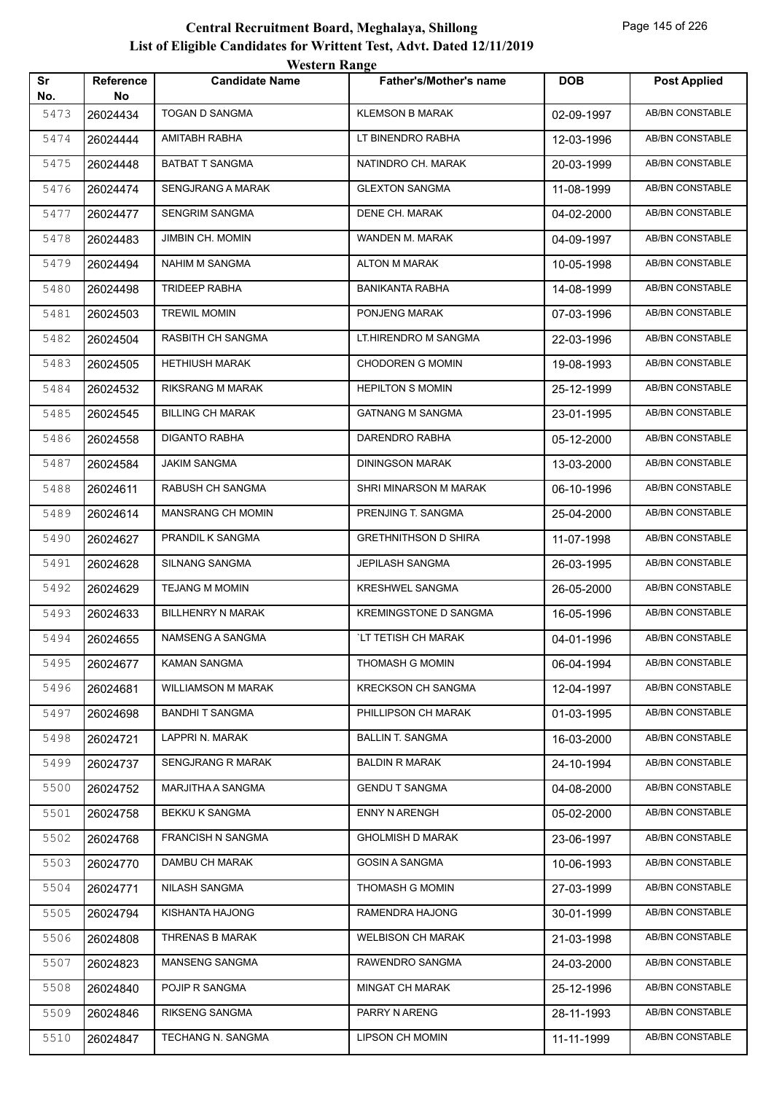|           |                        | <b>Western Range</b>      |                               |            |                        |
|-----------|------------------------|---------------------------|-------------------------------|------------|------------------------|
| Sr<br>No. | <b>Reference</b><br>No | <b>Candidate Name</b>     | <b>Father's/Mother's name</b> | <b>DOB</b> | <b>Post Applied</b>    |
| 5473      | 26024434               | <b>TOGAN D SANGMA</b>     | <b>KLEMSON B MARAK</b>        | 02-09-1997 | <b>AB/BN CONSTABLE</b> |
| 5474      | 26024444               | AMITABH RABHA             | LT BINENDRO RABHA             | 12-03-1996 | <b>AB/BN CONSTABLE</b> |
| 5475      | 26024448               | <b>BATBAT T SANGMA</b>    | NATINDRO CH. MARAK            | 20-03-1999 | AB/BN CONSTABLE        |
| 5476      | 26024474               | <b>SENGJRANG A MARAK</b>  | <b>GLEXTON SANGMA</b>         | 11-08-1999 | <b>AB/BN CONSTABLE</b> |
| 5477      | 26024477               | <b>SENGRIM SANGMA</b>     | DENE CH. MARAK                | 04-02-2000 | <b>AB/BN CONSTABLE</b> |
| 5478      | 26024483               | JIMBIN CH. MOMIN          | WANDEN M. MARAK               | 04-09-1997 | <b>AB/BN CONSTABLE</b> |
| 5479      | 26024494               | NAHIM M SANGMA            | <b>ALTON M MARAK</b>          | 10-05-1998 | AB/BN CONSTABLE        |
| 5480      | 26024498               | <b>TRIDEEP RABHA</b>      | <b>BANIKANTA RABHA</b>        | 14-08-1999 | <b>AB/BN CONSTABLE</b> |
| 5481      | 26024503               | <b>TREWIL MOMIN</b>       | PONJENG MARAK                 | 07-03-1996 | <b>AB/BN CONSTABLE</b> |
| 5482      | 26024504               | RASBITH CH SANGMA         | LT.HIRENDRO M SANGMA          | 22-03-1996 | <b>AB/BN CONSTABLE</b> |
| 5483      | 26024505               | <b>HETHIUSH MARAK</b>     | <b>CHODOREN G MOMIN</b>       | 19-08-1993 | <b>AB/BN CONSTABLE</b> |
| 5484      | 26024532               | RIKSRANG M MARAK          | <b>HEPILTON S MOMIN</b>       | 25-12-1999 | <b>AB/BN CONSTABLE</b> |
| 5485      | 26024545               | <b>BILLING CH MARAK</b>   | <b>GATNANG M SANGMA</b>       | 23-01-1995 | <b>AB/BN CONSTABLE</b> |
| 5486      | 26024558               | <b>DIGANTO RABHA</b>      | DARENDRO RABHA                | 05-12-2000 | <b>AB/BN CONSTABLE</b> |
| 5487      | 26024584               | <b>JAKIM SANGMA</b>       | <b>DININGSON MARAK</b>        | 13-03-2000 | AB/BN CONSTABLE        |
| 5488      | 26024611               | RABUSH CH SANGMA          | SHRI MINARSON M MARAK         | 06-10-1996 | <b>AB/BN CONSTABLE</b> |
| 5489      | 26024614               | MANSRANG CH MOMIN         | PRENJING T. SANGMA            | 25-04-2000 | AB/BN CONSTABLE        |
| 5490      | 26024627               | PRANDIL K SANGMA          | <b>GRETHNITHSON D SHIRA</b>   | 11-07-1998 | <b>AB/BN CONSTABLE</b> |
| 5491      | 26024628               | SILNANG SANGMA            | <b>JEPILASH SANGMA</b>        | 26-03-1995 | <b>AB/BN CONSTABLE</b> |
| 5492      | 26024629               | <b>TEJANG M MOMIN</b>     | <b>KRESHWEL SANGMA</b>        | 26-05-2000 | <b>AB/BN CONSTABLE</b> |
| 5493      | 26024633               | <b>BILLHENRY N MARAK</b>  | <b>KREMINGSTONE D SANGMA</b>  | 16-05-1996 | AB/BN CONSTABLE        |
| 5494      | 26024655               | NAMSENG A SANGMA          | `LT TETISH CH MARAK           | 04-01-1996 | <b>AB/BN CONSTABLE</b> |
| 5495      | 26024677               | KAMAN SANGMA              | THOMASH G MOMIN               | 06-04-1994 | AB/BN CONSTABLE        |
| 5496      | 26024681               | <b>WILLIAMSON M MARAK</b> | <b>KRECKSON CH SANGMA</b>     | 12-04-1997 | AB/BN CONSTABLE        |
| 5497      | 26024698               | <b>BANDHIT SANGMA</b>     | PHILLIPSON CH MARAK           | 01-03-1995 | AB/BN CONSTABLE        |
| 5498      | 26024721               | LAPPRI N. MARAK           | <b>BALLIN T. SANGMA</b>       | 16-03-2000 | AB/BN CONSTABLE        |
| 5499      | 26024737               | SENGJRANG R MARAK         | <b>BALDIN R MARAK</b>         | 24-10-1994 | AB/BN CONSTABLE        |
| 5500      | 26024752               | MARJITHA A SANGMA         | <b>GENDU T SANGMA</b>         | 04-08-2000 | AB/BN CONSTABLE        |
| 5501      | 26024758               | BEKKU K SANGMA            | <b>ENNY N ARENGH</b>          | 05-02-2000 | AB/BN CONSTABLE        |
| 5502      | 26024768               | <b>FRANCISH N SANGMA</b>  | <b>GHOLMISH D MARAK</b>       | 23-06-1997 | AB/BN CONSTABLE        |
| 5503      | 26024770               | DAMBU CH MARAK            | <b>GOSIN A SANGMA</b>         | 10-06-1993 | AB/BN CONSTABLE        |
| 5504      | 26024771               | NILASH SANGMA             | THOMASH G MOMIN               | 27-03-1999 | AB/BN CONSTABLE        |
| 5505      | 26024794               | KISHANTA HAJONG           | RAMENDRA HAJONG               | 30-01-1999 | AB/BN CONSTABLE        |
| 5506      | 26024808               | THRENAS B MARAK           | <b>WELBISON CH MARAK</b>      | 21-03-1998 | AB/BN CONSTABLE        |
| 5507      | 26024823               | MANSENG SANGMA            | RAWENDRO SANGMA               | 24-03-2000 | AB/BN CONSTABLE        |
| 5508      | 26024840               | POJIP R SANGMA            | MINGAT CH MARAK               | 25-12-1996 | AB/BN CONSTABLE        |
| 5509      | 26024846               | RIKSENG SANGMA            | PARRY N ARENG                 | 28-11-1993 | AB/BN CONSTABLE        |
| 5510      | 26024847               | TECHANG N. SANGMA         | <b>LIPSON CH MOMIN</b>        | 11-11-1999 | AB/BN CONSTABLE        |
|           |                        |                           |                               |            |                        |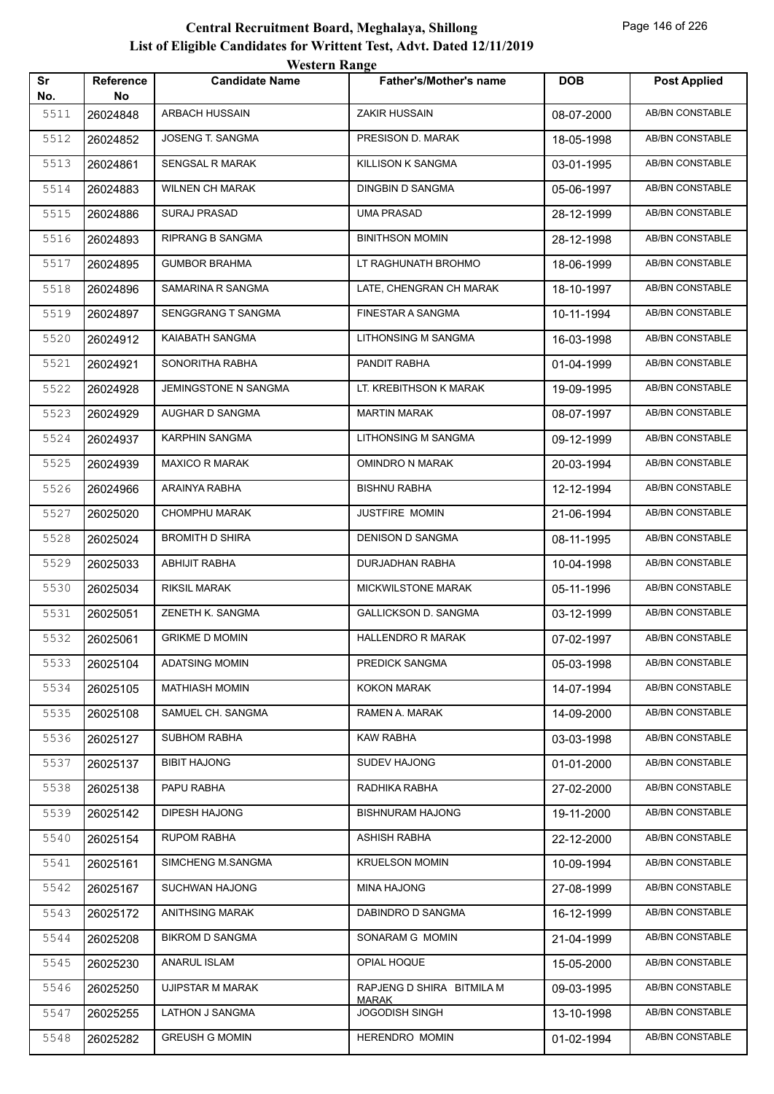|           |                  | <i><b>WESTELL INAILLY</b></i> |                                           |            |                        |
|-----------|------------------|-------------------------------|-------------------------------------------|------------|------------------------|
| Sr<br>No. | Reference<br>No. | <b>Candidate Name</b>         | <b>Father's/Mother's name</b>             | <b>DOB</b> | <b>Post Applied</b>    |
| 5511      | 26024848         | <b>ARBACH HUSSAIN</b>         | <b>ZAKIR HUSSAIN</b>                      | 08-07-2000 | <b>AB/BN CONSTABLE</b> |
| 5512      | 26024852         | JOSENG T. SANGMA              | PRESISON D. MARAK                         | 18-05-1998 | AB/BN CONSTABLE        |
| 5513      | 26024861         | SENGSAL R MARAK               | KILLISON K SANGMA                         | 03-01-1995 | AB/BN CONSTABLE        |
| 5514      | 26024883         | <b>WILNEN CH MARAK</b>        | DINGBIN D SANGMA                          | 05-06-1997 | AB/BN CONSTABLE        |
| 5515      | 26024886         | <b>SURAJ PRASAD</b>           | UMA PRASAD                                | 28-12-1999 | AB/BN CONSTABLE        |
| 5516      | 26024893         | RIPRANG B SANGMA              | <b>BINITHSON MOMIN</b>                    | 28-12-1998 | AB/BN CONSTABLE        |
| 5517      | 26024895         | <b>GUMBOR BRAHMA</b>          | LT RAGHUNATH BROHMO                       | 18-06-1999 | AB/BN CONSTABLE        |
| 5518      | 26024896         | SAMARINA R SANGMA             | LATE, CHENGRAN CH MARAK                   | 18-10-1997 | AB/BN CONSTABLE        |
| 5519      | 26024897         | SENGGRANG T SANGMA            | FINESTAR A SANGMA                         | 10-11-1994 | AB/BN CONSTABLE        |
| 5520      | 26024912         | KAIABATH SANGMA               | LITHONSING M SANGMA                       | 16-03-1998 | <b>AB/BN CONSTABLE</b> |
| 5521      | 26024921         | SONORITHA RABHA               | PANDIT RABHA                              | 01-04-1999 | <b>AB/BN CONSTABLE</b> |
| 5522      | 26024928         | JEMINGSTONE N SANGMA          | LT. KREBITHSON K MARAK                    | 19-09-1995 | AB/BN CONSTABLE        |
| 5523      | 26024929         | AUGHAR D SANGMA               | <b>MARTIN MARAK</b>                       | 08-07-1997 | AB/BN CONSTABLE        |
| 5524      | 26024937         | KARPHIN SANGMA                | LITHONSING M SANGMA                       | 09-12-1999 | AB/BN CONSTABLE        |
| 5525      | 26024939         | <b>MAXICO R MARAK</b>         | OMINDRO N MARAK                           | 20-03-1994 | <b>AB/BN CONSTABLE</b> |
| 5526      | 26024966         | ARAINYA RABHA                 | <b>BISHNU RABHA</b>                       | 12-12-1994 | AB/BN CONSTABLE        |
| 5527      | 26025020         | <b>CHOMPHU MARAK</b>          | <b>JUSTFIRE MOMIN</b>                     | 21-06-1994 | AB/BN CONSTABLE        |
| 5528      | 26025024         | <b>BROMITH D SHIRA</b>        | DENISON D SANGMA                          | 08-11-1995 | <b>AB/BN CONSTABLE</b> |
| 5529      | 26025033         | ABHIJIT RABHA                 | DURJADHAN RABHA                           | 10-04-1998 | AB/BN CONSTABLE        |
| 5530      | 26025034         | <b>RIKSIL MARAK</b>           | <b>MICKWILSTONE MARAK</b>                 | 05-11-1996 | AB/BN CONSTABLE        |
| 5531      | 26025051         | ZENETH K. SANGMA              | <b>GALLICKSON D. SANGMA</b>               | 03-12-1999 | <b>AB/BN CONSTABLE</b> |
| 5532      | 26025061         | <b>GRIKME D MOMIN</b>         | <b>HALLENDRO R MARAK</b>                  | 07-02-1997 | AB/BN CONSTABLE        |
| 5533      | 26025104         | <b>ADATSING MOMIN</b>         | PREDICK SANGMA                            | 05-03-1998 | AB/BN CONSTABLE        |
| 5534      | 26025105         | <b>MATHIASH MOMIN</b>         | KOKON MARAK                               | 14-07-1994 | AB/BN CONSTABLE        |
| 5535      | 26025108         | SAMUEL CH. SANGMA             | RAMEN A. MARAK                            | 14-09-2000 | AB/BN CONSTABLE        |
| 5536      | 26025127         | <b>SUBHOM RABHA</b>           | <b>KAW RABHA</b>                          | 03-03-1998 | AB/BN CONSTABLE        |
| 5537      | 26025137         | <b>BIBIT HAJONG</b>           | <b>SUDEV HAJONG</b>                       | 01-01-2000 | AB/BN CONSTABLE        |
| 5538      | 26025138         | PAPU RABHA                    | RADHIKA RABHA                             | 27-02-2000 | AB/BN CONSTABLE        |
| 5539      | 26025142         | DIPESH HAJONG                 | <b>BISHNURAM HAJONG</b>                   | 19-11-2000 | AB/BN CONSTABLE        |
| 5540      | 26025154         | <b>RUPOM RABHA</b>            | ASHISH RABHA                              | 22-12-2000 | AB/BN CONSTABLE        |
| 5541      | 26025161         | SIMCHENG M.SANGMA             | <b>KRUELSON MOMIN</b>                     | 10-09-1994 | AB/BN CONSTABLE        |
| 5542      | 26025167         | SUCHWAN HAJONG                | MINA HAJONG                               | 27-08-1999 | AB/BN CONSTABLE        |
| 5543      | 26025172         | ANITHSING MARAK               | DABINDRO D SANGMA                         | 16-12-1999 | AB/BN CONSTABLE        |
| 5544      | 26025208         | <b>BIKROM D SANGMA</b>        | SONARAM G MOMIN                           | 21-04-1999 | AB/BN CONSTABLE        |
| 5545      | 26025230         | ANARUL ISLAM                  | OPIAL HOQUE                               | 15-05-2000 | AB/BN CONSTABLE        |
| 5546      | 26025250         | UJIPSTAR M MARAK              | RAPJENG D SHIRA BITMILA M<br><b>MARAK</b> | 09-03-1995 | AB/BN CONSTABLE        |
| 5547      | 26025255         | LATHON J SANGMA               | <b>JOGODISH SINGH</b>                     | 13-10-1998 | AB/BN CONSTABLE        |
| 5548      | 26025282         | <b>GREUSH G MOMIN</b>         | HERENDRO MOMIN                            | 01-02-1994 | AB/BN CONSTABLE        |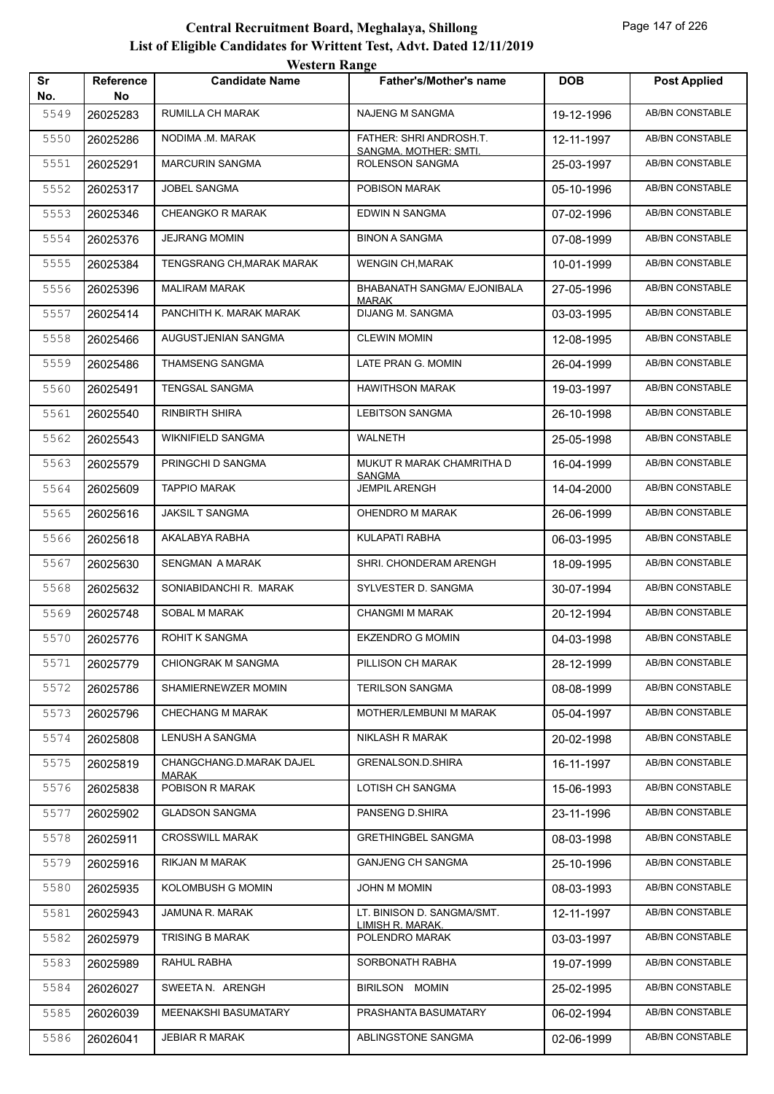|           |                        | <b>Western Range</b>            |                                                  |            |                        |
|-----------|------------------------|---------------------------------|--------------------------------------------------|------------|------------------------|
| Sr<br>No. | <b>Reference</b><br>No | <b>Candidate Name</b>           | <b>Father's/Mother's name</b>                    | <b>DOB</b> | <b>Post Applied</b>    |
| 5549      | 26025283               | RUMILLA CH MARAK                | <b>NAJENG M SANGMA</b>                           | 19-12-1996 | AB/BN CONSTABLE        |
| 5550      | 26025286               | NODIMA .M. MARAK                | FATHER: SHRI ANDROSH.T.<br>SANGMA. MOTHER: SMTI. | 12-11-1997 | AB/BN CONSTABLE        |
| 5551      | 26025291               | <b>MARCURIN SANGMA</b>          | ROLENSON SANGMA                                  | 25-03-1997 | AB/BN CONSTABLE        |
| 5552      | 26025317               | <b>JOBEL SANGMA</b>             | POBISON MARAK                                    | 05-10-1996 | AB/BN CONSTABLE        |
| 5553      | 26025346               | <b>CHEANGKO R MARAK</b>         | EDWIN N SANGMA                                   | 07-02-1996 | AB/BN CONSTABLE        |
| 5554      | 26025376               | <b>JEJRANG MOMIN</b>            | <b>BINON A SANGMA</b>                            | 07-08-1999 | AB/BN CONSTABLE        |
| 5555      | 26025384               | TENGSRANG CH, MARAK MARAK       | <b>WENGIN CH, MARAK</b>                          | 10-01-1999 | AB/BN CONSTABLE        |
| 5556      | 26025396               | <b>MALIRAM MARAK</b>            | BHABANATH SANGMA/ EJONIBALA<br><b>MARAK</b>      | 27-05-1996 | AB/BN CONSTABLE        |
| 5557      | 26025414               | PANCHITH K. MARAK MARAK         | DIJANG M. SANGMA                                 | 03-03-1995 | AB/BN CONSTABLE        |
| 5558      | 26025466               | AUGUSTJENIAN SANGMA             | <b>CLEWIN MOMIN</b>                              | 12-08-1995 | AB/BN CONSTABLE        |
| 5559      | 26025486               | THAMSENG SANGMA                 | LATE PRAN G. MOMIN                               | 26-04-1999 | AB/BN CONSTABLE        |
| 5560      | 26025491               | <b>TENGSAL SANGMA</b>           | <b>HAWITHSON MARAK</b>                           | 19-03-1997 | AB/BN CONSTABLE        |
| 5561      | 26025540               | <b>RINBIRTH SHIRA</b>           | <b>LEBITSON SANGMA</b>                           | 26-10-1998 | AB/BN CONSTABLE        |
| 5562      | 26025543               | <b>WIKNIFIELD SANGMA</b>        | <b>WALNETH</b>                                   | 25-05-1998 | AB/BN CONSTABLE        |
| 5563      | 26025579               | PRINGCHI D SANGMA               | MUKUT R MARAK CHAMRITHA D                        | 16-04-1999 | AB/BN CONSTABLE        |
| 5564      | 26025609               | <b>TAPPIO MARAK</b>             | <b>SANGMA</b><br><b>JEMPIL ARENGH</b>            | 14-04-2000 | AB/BN CONSTABLE        |
| 5565      | 26025616               | <b>JAKSIL T SANGMA</b>          | OHENDRO M MARAK                                  | 26-06-1999 | AB/BN CONSTABLE        |
| 5566      | 26025618               | AKALABYA RABHA                  | KULAPATI RABHA                                   | 06-03-1995 | AB/BN CONSTABLE        |
| 5567      | 26025630               | <b>SENGMAN A MARAK</b>          | SHRI. CHONDERAM ARENGH                           | 18-09-1995 | AB/BN CONSTABLE        |
| 5568      | 26025632               | SONIABIDANCHI R. MARAK          | SYLVESTER D. SANGMA                              | 30-07-1994 | AB/BN CONSTABLE        |
| 5569      | 26025748               | SOBAL M MARAK                   | <b>CHANGMI M MARAK</b>                           | 20-12-1994 | <b>AB/BN CONSTABLE</b> |
| 5570      | 26025776               | <b>ROHIT K SANGMA</b>           | <b>EKZENDRO G MOMIN</b>                          | 04-03-1998 | AB/BN CONSTABLE        |
| 5571      | 26025779               | CHIONGRAK M SANGMA              | PILLISON CH MARAK                                | 28-12-1999 | <b>AB/BN CONSTABLE</b> |
| 5572      | 26025786               | SHAMIERNEWZER MOMIN             | <b>TERILSON SANGMA</b>                           | 08-08-1999 | AB/BN CONSTABLE        |
| 5573      | 26025796               | <b>CHECHANG M MARAK</b>         | MOTHER/LEMBUNI M MARAK                           | 05-04-1997 | AB/BN CONSTABLE        |
| 5574      | 26025808               | LENUSH A SANGMA                 | <b>NIKLASH R MARAK</b>                           | 20-02-1998 | AB/BN CONSTABLE        |
| 5575      | 26025819               | CHANGCHANG.D.MARAK DAJEL        | <b>GRENALSON.D.SHIRA</b>                         | 16-11-1997 | AB/BN CONSTABLE        |
| 5576      | 26025838               | <b>MARAK</b><br>POBISON R MARAK | LOTISH CH SANGMA                                 | 15-06-1993 | AB/BN CONSTABLE        |
| 5577      | 26025902               | <b>GLADSON SANGMA</b>           | PANSENG D.SHIRA                                  | 23-11-1996 | AB/BN CONSTABLE        |
| 5578      | 26025911               | <b>CROSSWILL MARAK</b>          | <b>GRETHINGBEL SANGMA</b>                        | 08-03-1998 | AB/BN CONSTABLE        |
| 5579      | 26025916               | <b>RIKJAN M MARAK</b>           | <b>GANJENG CH SANGMA</b>                         | 25-10-1996 | AB/BN CONSTABLE        |
| 5580      | 26025935               | KOLOMBUSH G MOMIN               | JOHN M MOMIN                                     | 08-03-1993 | AB/BN CONSTABLE        |
| 5581      | 26025943               | JAMUNA R. MARAK                 | LT. BINISON D. SANGMA/SMT.                       | 12-11-1997 | AB/BN CONSTABLE        |
| 5582      | 26025979               | <b>TRISING B MARAK</b>          | <u>LIMISH R. MARAK.</u><br>POLENDRO MARAK        | 03-03-1997 | AB/BN CONSTABLE        |
| 5583      | 26025989               | RAHUL RABHA                     | SORBONATH RABHA                                  | 19-07-1999 | AB/BN CONSTABLE        |
| 5584      | 26026027               | SWEETAN. ARENGH                 | BIRILSON MOMIN                                   | 25-02-1995 | AB/BN CONSTABLE        |
| 5585      | 26026039               | MEENAKSHI BASUMATARY            | PRASHANTA BASUMATARY                             | 06-02-1994 | AB/BN CONSTABLE        |
| 5586      | 26026041               | <b>JEBIAR R MARAK</b>           | ABLINGSTONE SANGMA                               | 02-06-1999 | AB/BN CONSTABLE        |
|           |                        |                                 |                                                  |            |                        |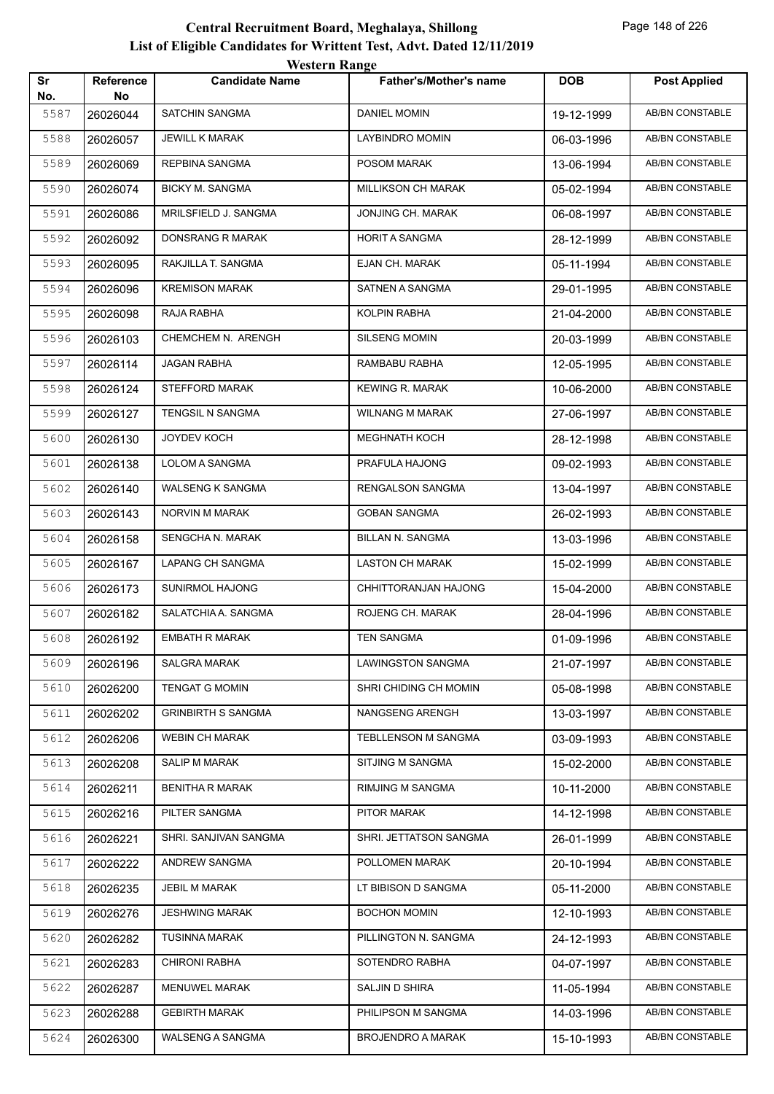| <b>Reference</b> | <b><i>HESKLE IMANGU</i></b><br><b>Candidate Name</b> | <b>Father's/Mother's name</b> | <b>DOB</b> | <b>Post Applied</b>    |
|------------------|------------------------------------------------------|-------------------------------|------------|------------------------|
| No               |                                                      |                               |            |                        |
| 26026044         | <b>SATCHIN SANGMA</b>                                | <b>DANIEL MOMIN</b>           | 19-12-1999 | <b>AB/BN CONSTABLE</b> |
| 26026057         | JEWILL K MARAK                                       | LAYBINDRO MOMIN               | 06-03-1996 | AB/BN CONSTABLE        |
| 26026069         | REPBINA SANGMA                                       | POSOM MARAK                   | 13-06-1994 | AB/BN CONSTABLE        |
| 26026074         | <b>BICKY M. SANGMA</b>                               | MILLIKSON CH MARAK            | 05-02-1994 | AB/BN CONSTABLE        |
| 26026086         | MRILSFIELD J. SANGMA                                 | JONJING CH. MARAK             | 06-08-1997 | AB/BN CONSTABLE        |
| 26026092         | DONSRANG R MARAK                                     | <b>HORIT A SANGMA</b>         | 28-12-1999 | <b>AB/BN CONSTABLE</b> |
| 26026095         | RAKJILLA T. SANGMA                                   | EJAN CH. MARAK                | 05-11-1994 | AB/BN CONSTABLE        |
| 26026096         | <b>KREMISON MARAK</b>                                | SATNEN A SANGMA               | 29-01-1995 | AB/BN CONSTABLE        |
| 26026098         | RAJA RABHA                                           | KOLPIN RABHA                  | 21-04-2000 | AB/BN CONSTABLE        |
| 26026103         | CHEMCHEM N. ARENGH                                   | SILSENG MOMIN                 | 20-03-1999 | AB/BN CONSTABLE        |
| 26026114         | <b>JAGAN RABHA</b>                                   | RAMBABU RABHA                 | 12-05-1995 | <b>AB/BN CONSTABLE</b> |
| 26026124         | <b>STEFFORD MARAK</b>                                | <b>KEWING R. MARAK</b>        | 10-06-2000 | AB/BN CONSTABLE        |
| 26026127         | TENGSIL N SANGMA                                     | WILNANG M MARAK               | 27-06-1997 | AB/BN CONSTABLE        |
| 26026130         | JOYDEV KOCH                                          | <b>MEGHNATH KOCH</b>          | 28-12-1998 | AB/BN CONSTABLE        |
| 26026138         | LOLOM A SANGMA                                       | PRAFULA HAJONG                | 09-02-1993 | AB/BN CONSTABLE        |
| 26026140         | WALSENG K SANGMA                                     | RENGALSON SANGMA              | 13-04-1997 | <b>AB/BN CONSTABLE</b> |
| 26026143         | NORVIN M MARAK                                       | <b>GOBAN SANGMA</b>           | 26-02-1993 | AB/BN CONSTABLE        |
| 26026158         | SENGCHA N. MARAK                                     | BILLAN N. SANGMA              | 13-03-1996 | AB/BN CONSTABLE        |
| 26026167         | LAPANG CH SANGMA                                     | <b>LASTON CH MARAK</b>        | 15-02-1999 | AB/BN CONSTABLE        |
| 26026173         | <b>SUNIRMOL HAJONG</b>                               | CHHITTORANJAN HAJONG          | 15-04-2000 | AB/BN CONSTABLE        |
| 26026182         | SALATCHIA A. SANGMA                                  | ROJENG CH. MARAK              | 28-04-1996 | <b>AB/BN CONSTABLE</b> |
| 26026192         | <b>EMBATH R MARAK</b>                                | TEN SANGMA                    | 01-09-1996 | AB/BN CONSTABLE        |
| 26026196         | <b>SALGRA MARAK</b>                                  | <b>LAWINGSTON SANGMA</b>      | 21-07-1997 | AB/BN CONSTABLE        |
| 26026200         | <b>TENGAT G MOMIN</b>                                | SHRI CHIDING CH MOMIN         | 05-08-1998 | AB/BN CONSTABLE        |
| 26026202         | <b>GRINBIRTH S SANGMA</b>                            | NANGSENG ARENGH               | 13-03-1997 | AB/BN CONSTABLE        |
| 26026206         | <b>WEBIN CH MARAK</b>                                | TEBLLENSON M SANGMA           | 03-09-1993 | AB/BN CONSTABLE        |
| 26026208         | SALIP M MARAK                                        | SITJING M SANGMA              | 15-02-2000 | AB/BN CONSTABLE        |
| 26026211         | <b>BENITHA R MARAK</b>                               | <b>RIMJING M SANGMA</b>       | 10-11-2000 | <b>AB/BN CONSTABLE</b> |
| 26026216         | PILTER SANGMA                                        | PITOR MARAK                   | 14-12-1998 | AB/BN CONSTABLE        |
| 26026221         | SHRI. SANJIVAN SANGMA                                | SHRI. JETTATSON SANGMA        | 26-01-1999 | AB/BN CONSTABLE        |
| 26026222         | ANDREW SANGMA                                        | POLLOMEN MARAK                | 20-10-1994 | AB/BN CONSTABLE        |
| 26026235         | JEBIL M MARAK                                        | LT BIBISON D SANGMA           | 05-11-2000 | AB/BN CONSTABLE        |
| 26026276         | <b>JESHWING MARAK</b>                                | <b>BOCHON MOMIN</b>           | 12-10-1993 | AB/BN CONSTABLE        |
| 26026282         | <b>TUSINNA MARAK</b>                                 | PILLINGTON N. SANGMA          | 24-12-1993 | AB/BN CONSTABLE        |
| 26026283         | <b>CHIRONI RABHA</b>                                 | SOTENDRO RABHA                | 04-07-1997 | AB/BN CONSTABLE        |
| 26026287         | MENUWEL MARAK                                        | SALJIN D SHIRA                | 11-05-1994 | AB/BN CONSTABLE        |
| 26026288         | <b>GEBIRTH MARAK</b>                                 | PHILIPSON M SANGMA            | 14-03-1996 | AB/BN CONSTABLE        |
| 26026300         | WALSENG A SANGMA                                     | <b>BROJENDRO A MARAK</b>      | 15-10-1993 | AB/BN CONSTABLE        |
|                  |                                                      |                               |            |                        |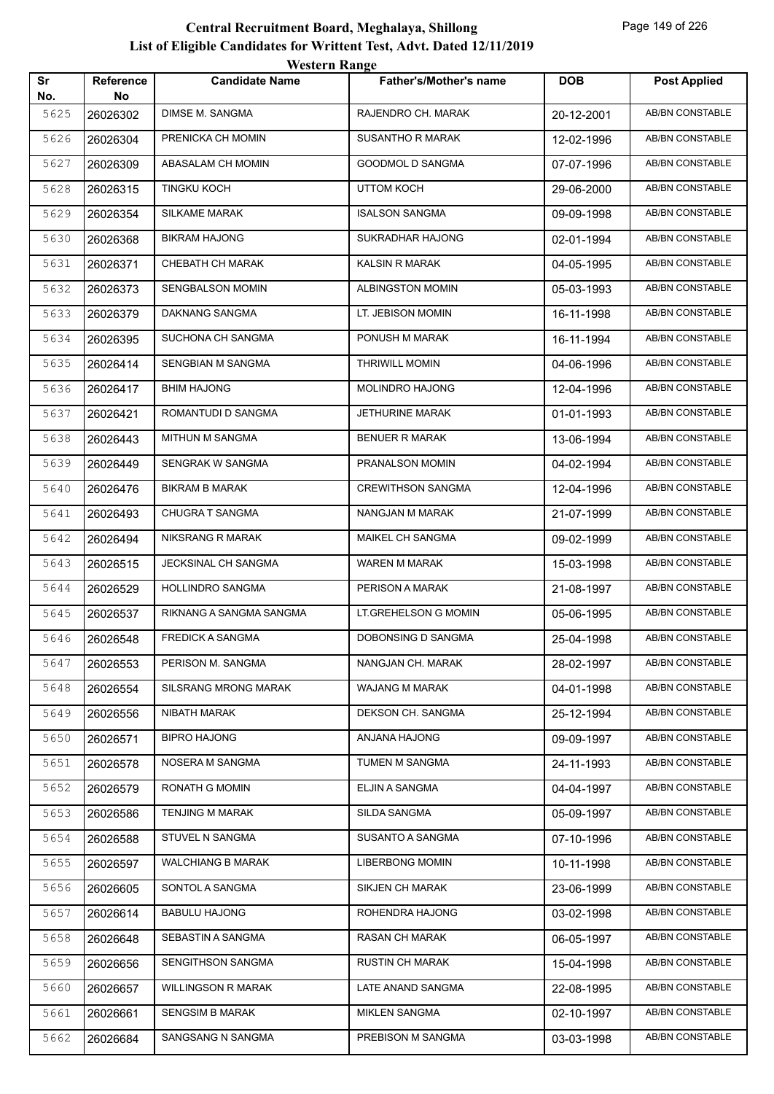| Sr   | Reference | <b>TUGILLE IMARGU</b><br><b>Candidate Name</b> | <b>Father's/Mother's name</b> | <b>DOB</b> | <b>Post Applied</b>    |
|------|-----------|------------------------------------------------|-------------------------------|------------|------------------------|
| No.  | No        |                                                |                               |            |                        |
| 5625 | 26026302  | DIMSE M. SANGMA                                | RAJENDRO CH. MARAK            | 20-12-2001 | <b>AB/BN CONSTABLE</b> |
| 5626 | 26026304  | PRENICKA CH MOMIN                              | SUSANTHO R MARAK              | 12-02-1996 | <b>AB/BN CONSTABLE</b> |
| 5627 | 26026309  | ABASALAM CH MOMIN                              | <b>GOODMOL D SANGMA</b>       | 07-07-1996 | AB/BN CONSTABLE        |
| 5628 | 26026315  | TINGKU KOCH                                    | UTTOM KOCH                    | 29-06-2000 | AB/BN CONSTABLE        |
| 5629 | 26026354  | <b>SILKAME MARAK</b>                           | <b>ISALSON SANGMA</b>         | 09-09-1998 | AB/BN CONSTABLE        |
| 5630 | 26026368  | <b>BIKRAM HAJONG</b>                           | <b>SUKRADHAR HAJONG</b>       | 02-01-1994 | AB/BN CONSTABLE        |
| 5631 | 26026371  | CHEBATH CH MARAK                               | KALSIN R MARAK                | 04-05-1995 | AB/BN CONSTABLE        |
| 5632 | 26026373  | <b>SENGBALSON MOMIN</b>                        | ALBINGSTON MOMIN              | 05-03-1993 | AB/BN CONSTABLE        |
| 5633 | 26026379  | DAKNANG SANGMA                                 | LT. JEBISON MOMIN             | 16-11-1998 | AB/BN CONSTABLE        |
| 5634 | 26026395  | SUCHONA CH SANGMA                              | PONUSH M MARAK                | 16-11-1994 | AB/BN CONSTABLE        |
| 5635 | 26026414  | SENGBIAN M SANGMA                              | <b>THRIWILL MOMIN</b>         | 04-06-1996 | <b>AB/BN CONSTABLE</b> |
| 5636 | 26026417  | <b>BHIM HAJONG</b>                             | MOLINDRO HAJONG               | 12-04-1996 | AB/BN CONSTABLE        |
| 5637 | 26026421  | ROMANTUDI D SANGMA                             | <b>JETHURINE MARAK</b>        | 01-01-1993 | AB/BN CONSTABLE        |
| 5638 | 26026443  | MITHUN M SANGMA                                | <b>BENUER R MARAK</b>         | 13-06-1994 | AB/BN CONSTABLE        |
| 5639 | 26026449  | SENGRAK W SANGMA                               | PRANALSON MOMIN               | 04-02-1994 | AB/BN CONSTABLE        |
| 5640 | 26026476  | <b>BIKRAM B MARAK</b>                          | <b>CREWITHSON SANGMA</b>      | 12-04-1996 | AB/BN CONSTABLE        |
| 5641 | 26026493  | CHUGRA T SANGMA                                | NANGJAN M MARAK               | 21-07-1999 | AB/BN CONSTABLE        |
| 5642 | 26026494  | NIKSRANG R MARAK                               | MAIKEL CH SANGMA              | 09-02-1999 | AB/BN CONSTABLE        |
| 5643 | 26026515  | JECKSINAL CH SANGMA                            | WAREN M MARAK                 | 15-03-1998 | AB/BN CONSTABLE        |
| 5644 | 26026529  | <b>HOLLINDRO SANGMA</b>                        | PERISON A MARAK               | 21-08-1997 | AB/BN CONSTABLE        |
| 5645 | 26026537  | RIKNANG A SANGMA SANGMA                        | LT.GREHELSON G MOMIN          | 05-06-1995 | AB/BN CONSTABLE        |
| 5646 | 26026548  | <b>FREDICK A SANGMA</b>                        | DOBONSING D SANGMA            | 25-04-1998 | AB/BN CONSTABLE        |
| 5647 | 26026553  | PERISON M. SANGMA                              | NANGJAN CH. MARAK             | 28-02-1997 | AB/BN CONSTABLE        |
| 5648 | 26026554  | <b>SILSRANG MRONG MARAK</b>                    | <b>WAJANG M MARAK</b>         | 04-01-1998 | AB/BN CONSTABLE        |
| 5649 | 26026556  | NIBATH MARAK                                   | DEKSON CH. SANGMA             | 25-12-1994 | AB/BN CONSTABLE        |
| 5650 | 26026571  | <b>BIPRO HAJONG</b>                            | ANJANA HAJONG                 | 09-09-1997 | AB/BN CONSTABLE        |
| 5651 | 26026578  | NOSERA M SANGMA                                | TUMEN M SANGMA                | 24-11-1993 | AB/BN CONSTABLE        |
| 5652 | 26026579  | RONATH G MOMIN                                 | ELJIN A SANGMA                | 04-04-1997 | AB/BN CONSTABLE        |
| 5653 | 26026586  | <b>TENJING M MARAK</b>                         | SILDA SANGMA                  | 05-09-1997 | AB/BN CONSTABLE        |
| 5654 | 26026588  | STUVEL N SANGMA                                | SUSANTO A SANGMA              | 07-10-1996 | AB/BN CONSTABLE        |
| 5655 | 26026597  | <b>WALCHIANG B MARAK</b>                       | <b>LIBERBONG MOMIN</b>        | 10-11-1998 | AB/BN CONSTABLE        |
| 5656 | 26026605  | SONTOL A SANGMA                                | <b>SIKJEN CH MARAK</b>        | 23-06-1999 | AB/BN CONSTABLE        |
| 5657 | 26026614  | <b>BABULU HAJONG</b>                           | ROHENDRA HAJONG               | 03-02-1998 | AB/BN CONSTABLE        |
| 5658 | 26026648  | SEBASTIN A SANGMA                              | <b>RASAN CH MARAK</b>         | 06-05-1997 | AB/BN CONSTABLE        |
| 5659 | 26026656  | SENGITHSON SANGMA                              | <b>RUSTIN CH MARAK</b>        | 15-04-1998 | AB/BN CONSTABLE        |
| 5660 | 26026657  | <b>WILLINGSON R MARAK</b>                      | LATE ANAND SANGMA             | 22-08-1995 | AB/BN CONSTABLE        |
| 5661 | 26026661  | <b>SENGSIM B MARAK</b>                         | <b>MIKLEN SANGMA</b>          | 02-10-1997 | AB/BN CONSTABLE        |
| 5662 | 26026684  | SANGSANG N SANGMA                              | PREBISON M SANGMA             | 03-03-1998 | AB/BN CONSTABLE        |
|      |           |                                                |                               |            |                        |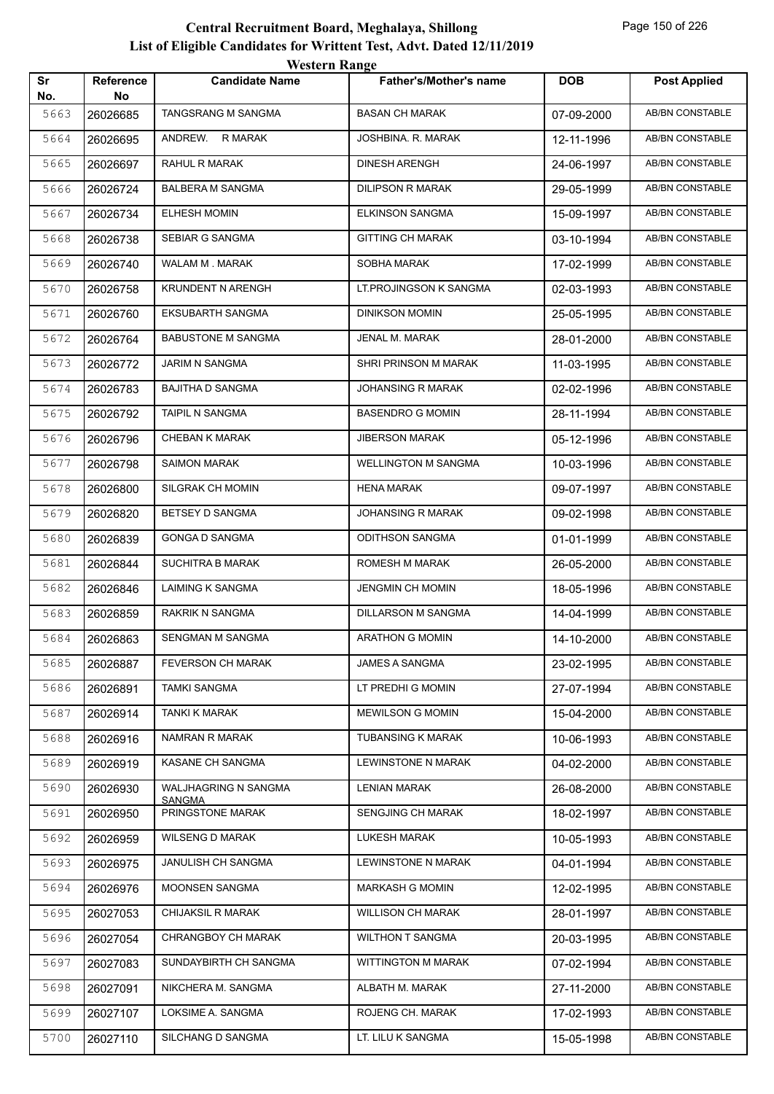| western Kange<br>Sr<br><b>DOB</b><br><b>Candidate Name</b><br>Father's/Mother's name<br><b>Reference</b><br>No.<br>No<br>5663<br>TANGSRANG M SANGMA<br><b>BASAN CH MARAK</b><br>26026685<br>07-09-2000<br>5664<br>ANDREW. R MARAK<br>JOSHBINA. R. MARAK<br>26026695<br>12-11-1996<br>RAHUL R MARAK<br><b>DINESH ARENGH</b><br>5665<br>26026697<br>24-06-1997<br><b>BALBERA M SANGMA</b><br><b>DILIPSON R MARAK</b><br>5666<br>26026724<br>29-05-1999<br><b>ELHESH MOMIN</b><br><b>ELKINSON SANGMA</b><br>5667<br>26026734<br>15-09-1997<br>SEBIAR G SANGMA<br><b>GITTING CH MARAK</b><br>5668<br>26026738<br>03-10-1994<br>WALAM M. MARAK<br>SOBHA MARAK<br>5669<br>26026740<br>17-02-1999<br>KRUNDENT N ARENGH<br>LT.PROJINGSON K SANGMA<br>5670<br>26026758<br>02-03-1993<br>5671<br><b>EKSUBARTH SANGMA</b><br>26026760<br><b>DINIKSON MOMIN</b><br>25-05-1995<br><b>BABUSTONE M SANGMA</b><br>JENAL M. MARAK<br>5672<br>26026764<br>28-01-2000<br>5673<br><b>JARIM N SANGMA</b><br>SHRI PRINSON M MARAK<br>26026772<br>11-03-1995<br><b>BAJITHA D SANGMA</b><br>JOHANSING R MARAK<br>5674<br>26026783<br>02-02-1996<br>5675<br>TAIPIL N SANGMA<br><b>BASENDRO G MOMIN</b><br>28-11-1994<br>26026792<br>5676<br><b>CHEBAN K MARAK</b><br><b>JIBERSON MARAK</b><br>05-12-1996<br>26026796 | <b>Post Applied</b><br><b>AB/BN CONSTABLE</b><br>AB/BN CONSTABLE<br>AB/BN CONSTABLE<br>AB/BN CONSTABLE<br>AB/BN CONSTABLE<br><b>AB/BN CONSTABLE</b><br>AB/BN CONSTABLE<br>AB/BN CONSTABLE<br>AB/BN CONSTABLE<br>AB/BN CONSTABLE<br><b>AB/BN CONSTABLE</b><br>AB/BN CONSTABLE |
|---------------------------------------------------------------------------------------------------------------------------------------------------------------------------------------------------------------------------------------------------------------------------------------------------------------------------------------------------------------------------------------------------------------------------------------------------------------------------------------------------------------------------------------------------------------------------------------------------------------------------------------------------------------------------------------------------------------------------------------------------------------------------------------------------------------------------------------------------------------------------------------------------------------------------------------------------------------------------------------------------------------------------------------------------------------------------------------------------------------------------------------------------------------------------------------------------------------------------------------------------------------------------------------------|------------------------------------------------------------------------------------------------------------------------------------------------------------------------------------------------------------------------------------------------------------------------------|
|                                                                                                                                                                                                                                                                                                                                                                                                                                                                                                                                                                                                                                                                                                                                                                                                                                                                                                                                                                                                                                                                                                                                                                                                                                                                                             |                                                                                                                                                                                                                                                                              |
|                                                                                                                                                                                                                                                                                                                                                                                                                                                                                                                                                                                                                                                                                                                                                                                                                                                                                                                                                                                                                                                                                                                                                                                                                                                                                             |                                                                                                                                                                                                                                                                              |
|                                                                                                                                                                                                                                                                                                                                                                                                                                                                                                                                                                                                                                                                                                                                                                                                                                                                                                                                                                                                                                                                                                                                                                                                                                                                                             |                                                                                                                                                                                                                                                                              |
|                                                                                                                                                                                                                                                                                                                                                                                                                                                                                                                                                                                                                                                                                                                                                                                                                                                                                                                                                                                                                                                                                                                                                                                                                                                                                             |                                                                                                                                                                                                                                                                              |
|                                                                                                                                                                                                                                                                                                                                                                                                                                                                                                                                                                                                                                                                                                                                                                                                                                                                                                                                                                                                                                                                                                                                                                                                                                                                                             |                                                                                                                                                                                                                                                                              |
|                                                                                                                                                                                                                                                                                                                                                                                                                                                                                                                                                                                                                                                                                                                                                                                                                                                                                                                                                                                                                                                                                                                                                                                                                                                                                             |                                                                                                                                                                                                                                                                              |
|                                                                                                                                                                                                                                                                                                                                                                                                                                                                                                                                                                                                                                                                                                                                                                                                                                                                                                                                                                                                                                                                                                                                                                                                                                                                                             |                                                                                                                                                                                                                                                                              |
|                                                                                                                                                                                                                                                                                                                                                                                                                                                                                                                                                                                                                                                                                                                                                                                                                                                                                                                                                                                                                                                                                                                                                                                                                                                                                             |                                                                                                                                                                                                                                                                              |
|                                                                                                                                                                                                                                                                                                                                                                                                                                                                                                                                                                                                                                                                                                                                                                                                                                                                                                                                                                                                                                                                                                                                                                                                                                                                                             |                                                                                                                                                                                                                                                                              |
|                                                                                                                                                                                                                                                                                                                                                                                                                                                                                                                                                                                                                                                                                                                                                                                                                                                                                                                                                                                                                                                                                                                                                                                                                                                                                             |                                                                                                                                                                                                                                                                              |
|                                                                                                                                                                                                                                                                                                                                                                                                                                                                                                                                                                                                                                                                                                                                                                                                                                                                                                                                                                                                                                                                                                                                                                                                                                                                                             |                                                                                                                                                                                                                                                                              |
|                                                                                                                                                                                                                                                                                                                                                                                                                                                                                                                                                                                                                                                                                                                                                                                                                                                                                                                                                                                                                                                                                                                                                                                                                                                                                             |                                                                                                                                                                                                                                                                              |
|                                                                                                                                                                                                                                                                                                                                                                                                                                                                                                                                                                                                                                                                                                                                                                                                                                                                                                                                                                                                                                                                                                                                                                                                                                                                                             |                                                                                                                                                                                                                                                                              |
|                                                                                                                                                                                                                                                                                                                                                                                                                                                                                                                                                                                                                                                                                                                                                                                                                                                                                                                                                                                                                                                                                                                                                                                                                                                                                             | AB/BN CONSTABLE                                                                                                                                                                                                                                                              |
|                                                                                                                                                                                                                                                                                                                                                                                                                                                                                                                                                                                                                                                                                                                                                                                                                                                                                                                                                                                                                                                                                                                                                                                                                                                                                             | AB/BN CONSTABLE                                                                                                                                                                                                                                                              |
| <b>SAIMON MARAK</b><br><b>WELLINGTON M SANGMA</b><br>5677<br>26026798<br>10-03-1996                                                                                                                                                                                                                                                                                                                                                                                                                                                                                                                                                                                                                                                                                                                                                                                                                                                                                                                                                                                                                                                                                                                                                                                                         | AB/BN CONSTABLE                                                                                                                                                                                                                                                              |
| 5678<br>SILGRAK CH MOMIN<br>HENA MARAK<br>26026800<br>09-07-1997                                                                                                                                                                                                                                                                                                                                                                                                                                                                                                                                                                                                                                                                                                                                                                                                                                                                                                                                                                                                                                                                                                                                                                                                                            | <b>AB/BN CONSTABLE</b>                                                                                                                                                                                                                                                       |
| BETSEY D SANGMA<br><b>JOHANSING R MARAK</b><br>5679<br>26026820<br>09-02-1998                                                                                                                                                                                                                                                                                                                                                                                                                                                                                                                                                                                                                                                                                                                                                                                                                                                                                                                                                                                                                                                                                                                                                                                                               | <b>AB/BN CONSTABLE</b>                                                                                                                                                                                                                                                       |
| <b>GONGA D SANGMA</b><br><b>ODITHSON SANGMA</b><br>5680<br>26026839<br>01-01-1999                                                                                                                                                                                                                                                                                                                                                                                                                                                                                                                                                                                                                                                                                                                                                                                                                                                                                                                                                                                                                                                                                                                                                                                                           | AB/BN CONSTABLE                                                                                                                                                                                                                                                              |
| 5681<br><b>SUCHITRA B MARAK</b><br>ROMESH M MARAK<br>26026844<br>26-05-2000                                                                                                                                                                                                                                                                                                                                                                                                                                                                                                                                                                                                                                                                                                                                                                                                                                                                                                                                                                                                                                                                                                                                                                                                                 | AB/BN CONSTABLE                                                                                                                                                                                                                                                              |
| LAIMING K SANGMA<br>JENGMIN CH MOMIN<br>5682<br>26026846<br>18-05-1996                                                                                                                                                                                                                                                                                                                                                                                                                                                                                                                                                                                                                                                                                                                                                                                                                                                                                                                                                                                                                                                                                                                                                                                                                      | <b>AB/BN CONSTABLE</b>                                                                                                                                                                                                                                                       |
| 5683<br>RAKRIK N SANGMA<br>DILLARSON M SANGMA<br>26026859<br>14-04-1999                                                                                                                                                                                                                                                                                                                                                                                                                                                                                                                                                                                                                                                                                                                                                                                                                                                                                                                                                                                                                                                                                                                                                                                                                     | <b>AB/BN CONSTABLE</b>                                                                                                                                                                                                                                                       |
| 5684<br>SENGMAN M SANGMA<br>26026863<br><b>ARATHON G MOMIN</b><br>14-10-2000                                                                                                                                                                                                                                                                                                                                                                                                                                                                                                                                                                                                                                                                                                                                                                                                                                                                                                                                                                                                                                                                                                                                                                                                                | <b>AB/BN CONSTABLE</b>                                                                                                                                                                                                                                                       |
| 5685<br><b>FEVERSON CH MARAK</b><br>JAMES A SANGMA<br>26026887<br>23-02-1995                                                                                                                                                                                                                                                                                                                                                                                                                                                                                                                                                                                                                                                                                                                                                                                                                                                                                                                                                                                                                                                                                                                                                                                                                | AB/BN CONSTABLE                                                                                                                                                                                                                                                              |
| LT PREDHI G MOMIN<br>5686<br><b>TAMKI SANGMA</b><br>26026891<br>27-07-1994                                                                                                                                                                                                                                                                                                                                                                                                                                                                                                                                                                                                                                                                                                                                                                                                                                                                                                                                                                                                                                                                                                                                                                                                                  | AB/BN CONSTABLE                                                                                                                                                                                                                                                              |
| 5687<br>TANKI K MARAK<br><b>MEWILSON G MOMIN</b><br>26026914<br>15-04-2000                                                                                                                                                                                                                                                                                                                                                                                                                                                                                                                                                                                                                                                                                                                                                                                                                                                                                                                                                                                                                                                                                                                                                                                                                  | AB/BN CONSTABLE                                                                                                                                                                                                                                                              |
| NAMRAN R MARAK<br>TUBANSING K MARAK<br>5688<br>26026916<br>10-06-1993                                                                                                                                                                                                                                                                                                                                                                                                                                                                                                                                                                                                                                                                                                                                                                                                                                                                                                                                                                                                                                                                                                                                                                                                                       | AB/BN CONSTABLE                                                                                                                                                                                                                                                              |
| KASANE CH SANGMA<br>LEWINSTONE N MARAK<br>5689<br>26026919<br>04-02-2000                                                                                                                                                                                                                                                                                                                                                                                                                                                                                                                                                                                                                                                                                                                                                                                                                                                                                                                                                                                                                                                                                                                                                                                                                    | AB/BN CONSTABLE                                                                                                                                                                                                                                                              |
| WALJHAGRING N SANGMA<br>5690<br>LENIAN MARAK<br>26026930<br>26-08-2000<br><b>SANGMA</b>                                                                                                                                                                                                                                                                                                                                                                                                                                                                                                                                                                                                                                                                                                                                                                                                                                                                                                                                                                                                                                                                                                                                                                                                     | AB/BN CONSTABLE                                                                                                                                                                                                                                                              |
| PRINGSTONE MARAK<br>SENGJING CH MARAK<br>5691<br>26026950<br>18-02-1997                                                                                                                                                                                                                                                                                                                                                                                                                                                                                                                                                                                                                                                                                                                                                                                                                                                                                                                                                                                                                                                                                                                                                                                                                     | AB/BN CONSTABLE                                                                                                                                                                                                                                                              |
| 5692<br>WILSENG D MARAK<br>LUKESH MARAK<br>26026959<br>10-05-1993                                                                                                                                                                                                                                                                                                                                                                                                                                                                                                                                                                                                                                                                                                                                                                                                                                                                                                                                                                                                                                                                                                                                                                                                                           | AB/BN CONSTABLE                                                                                                                                                                                                                                                              |
| JANULISH CH SANGMA<br>LEWINSTONE N MARAK<br>5693<br>26026975<br>04-01-1994                                                                                                                                                                                                                                                                                                                                                                                                                                                                                                                                                                                                                                                                                                                                                                                                                                                                                                                                                                                                                                                                                                                                                                                                                  | AB/BN CONSTABLE                                                                                                                                                                                                                                                              |
| MOONSEN SANGMA<br><b>MARKASH G MOMIN</b><br>5694<br>26026976<br>12-02-1995                                                                                                                                                                                                                                                                                                                                                                                                                                                                                                                                                                                                                                                                                                                                                                                                                                                                                                                                                                                                                                                                                                                                                                                                                  | AB/BN CONSTABLE                                                                                                                                                                                                                                                              |
| <b>CHIJAKSIL R MARAK</b><br><b>WILLISON CH MARAK</b><br>5695<br>28-01-1997<br>26027053                                                                                                                                                                                                                                                                                                                                                                                                                                                                                                                                                                                                                                                                                                                                                                                                                                                                                                                                                                                                                                                                                                                                                                                                      | AB/BN CONSTABLE                                                                                                                                                                                                                                                              |
| CHRANGBOY CH MARAK<br><b>WILTHON T SANGMA</b><br>5696<br>26027054<br>20-03-1995                                                                                                                                                                                                                                                                                                                                                                                                                                                                                                                                                                                                                                                                                                                                                                                                                                                                                                                                                                                                                                                                                                                                                                                                             | AB/BN CONSTABLE                                                                                                                                                                                                                                                              |
| 5697<br>SUNDAYBIRTH CH SANGMA<br>WITTINGTON M MARAK<br>26027083<br>07-02-1994                                                                                                                                                                                                                                                                                                                                                                                                                                                                                                                                                                                                                                                                                                                                                                                                                                                                                                                                                                                                                                                                                                                                                                                                               | AB/BN CONSTABLE                                                                                                                                                                                                                                                              |
| NIKCHERA M. SANGMA<br>ALBATH M. MARAK<br>5698<br>27-11-2000<br>26027091                                                                                                                                                                                                                                                                                                                                                                                                                                                                                                                                                                                                                                                                                                                                                                                                                                                                                                                                                                                                                                                                                                                                                                                                                     |                                                                                                                                                                                                                                                                              |
| LOKSIME A. SANGMA<br>ROJENG CH. MARAK<br>5699<br>26027107<br>17-02-1993                                                                                                                                                                                                                                                                                                                                                                                                                                                                                                                                                                                                                                                                                                                                                                                                                                                                                                                                                                                                                                                                                                                                                                                                                     | AB/BN CONSTABLE                                                                                                                                                                                                                                                              |
| SILCHANG D SANGMA<br>LT. LILU K SANGMA<br>5700<br>26027110<br>15-05-1998                                                                                                                                                                                                                                                                                                                                                                                                                                                                                                                                                                                                                                                                                                                                                                                                                                                                                                                                                                                                                                                                                                                                                                                                                    | AB/BN CONSTABLE                                                                                                                                                                                                                                                              |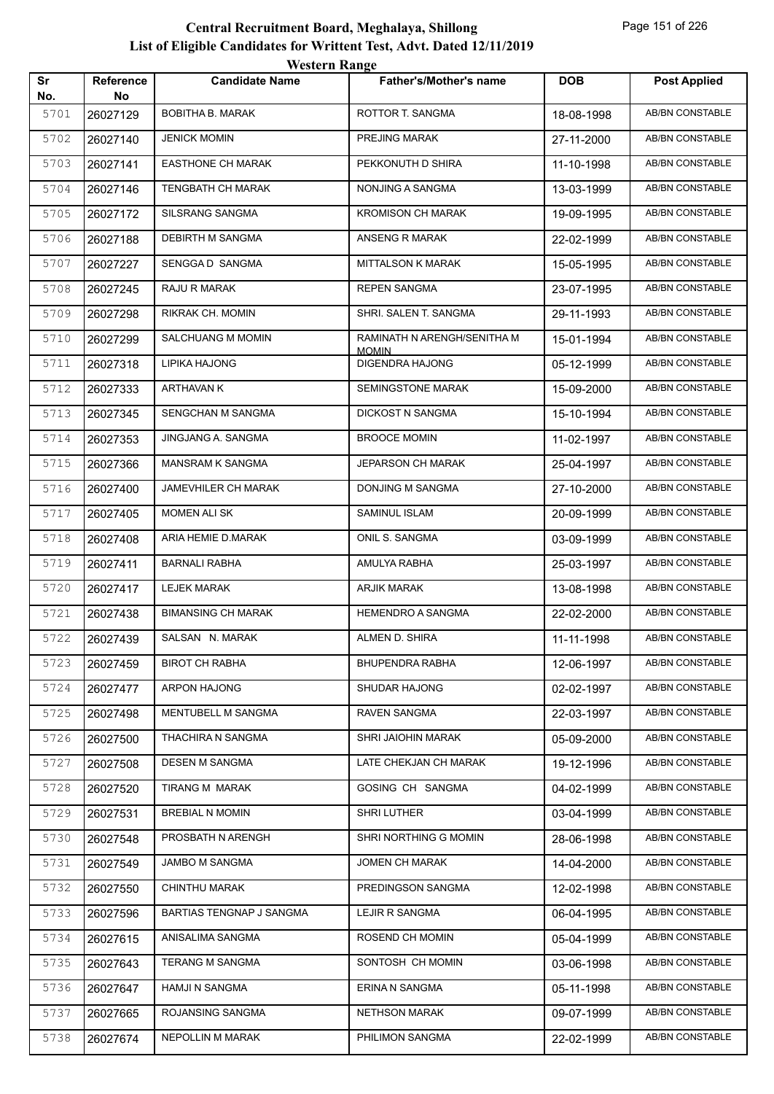|           |                        | western Kange             |                                        |            |                        |
|-----------|------------------------|---------------------------|----------------------------------------|------------|------------------------|
| Sr<br>No. | <b>Reference</b><br>No | <b>Candidate Name</b>     | Father's/Mother's name                 | <b>DOB</b> | <b>Post Applied</b>    |
| 5701      | 26027129               | <b>BOBITHA B. MARAK</b>   | ROTTOR T. SANGMA                       | 18-08-1998 | <b>AB/BN CONSTABLE</b> |
| 5702      | 26027140               | <b>JENICK MOMIN</b>       | PREJING MARAK                          | 27-11-2000 | AB/BN CONSTABLE        |
| 5703      | 26027141               | <b>EASTHONE CH MARAK</b>  | PEKKONUTH D SHIRA                      | 11-10-1998 | <b>AB/BN CONSTABLE</b> |
| 5704      | 26027146               | TENGBATH CH MARAK         | NONJING A SANGMA                       | 13-03-1999 | AB/BN CONSTABLE        |
| 5705      | 26027172               | SILSRANG SANGMA           | <b>KROMISON CH MARAK</b>               | 19-09-1995 | AB/BN CONSTABLE        |
| 5706      | 26027188               | DEBIRTH M SANGMA          | ANSENG R MARAK                         | 22-02-1999 | AB/BN CONSTABLE        |
| 5707      | 26027227               | SENGGA D SANGMA           | MITTALSON K MARAK                      | 15-05-1995 | AB/BN CONSTABLE        |
| 5708      | 26027245               | RAJU R MARAK              | <b>REPEN SANGMA</b>                    | 23-07-1995 | AB/BN CONSTABLE        |
| 5709      | 26027298               | <b>RIKRAK CH. MOMIN</b>   | SHRI. SALEN T. SANGMA                  | 29-11-1993 | AB/BN CONSTABLE        |
| 5710      | 26027299               | <b>SALCHUANG M MOMIN</b>  | RAMINATH N ARENGH/SENITHA M            | 15-01-1994 | AB/BN CONSTABLE        |
| 5711      | 26027318               | LIPIKA HAJONG             | <b>MOMIN</b><br><b>DIGENDRA HAJONG</b> | 05-12-1999 | AB/BN CONSTABLE        |
| 5712      | 26027333               | ARTHAVAN K                | <b>SEMINGSTONE MARAK</b>               | 15-09-2000 | <b>AB/BN CONSTABLE</b> |
| 5713      | 26027345               | SENGCHAN M SANGMA         | DICKOST N SANGMA                       | 15-10-1994 | AB/BN CONSTABLE        |
| 5714      | 26027353               | JINGJANG A. SANGMA        | <b>BROOCE MOMIN</b>                    | 11-02-1997 | AB/BN CONSTABLE        |
| 5715      | 26027366               | <b>MANSRAM K SANGMA</b>   | <b>JEPARSON CH MARAK</b>               | 25-04-1997 | AB/BN CONSTABLE        |
| 5716      | 26027400               | JAMEVHILER CH MARAK       | DONJING M SANGMA                       | 27-10-2000 | AB/BN CONSTABLE        |
| 5717      | 26027405               | <b>MOMEN ALI SK</b>       | SAMINUL ISLAM                          | 20-09-1999 | <b>AB/BN CONSTABLE</b> |
| 5718      | 26027408               | ARIA HEMIE D.MARAK        | ONIL S. SANGMA                         | 03-09-1999 | AB/BN CONSTABLE        |
| 5719      | 26027411               | <b>BARNALI RABHA</b>      | AMULYA RABHA                           | 25-03-1997 | AB/BN CONSTABLE        |
| 5720      | 26027417               | <b>LEJEK MARAK</b>        | <b>ARJIK MARAK</b>                     | 13-08-1998 | AB/BN CONSTABLE        |
| 5721      | 26027438               | <b>BIMANSING CH MARAK</b> | HEMENDRO A SANGMA                      | 22-02-2000 | AB/BN CONSTABLE        |
| 5722      | 26027439               | SALSAN N. MARAK           | ALMEN D. SHIRA                         | 11-11-1998 | <b>AB/BN CONSTABLE</b> |
| 5723      | 26027459               | <b>BIROT CH RABHA</b>     | BHUPENDRA RABHA                        | 12-06-1997 | AB/BN CONSTABLE        |
| 5724      | 26027477               | ARPON HAJONG              | SHUDAR HAJONG                          | 02-02-1997 | AB/BN CONSTABLE        |
| 5725      | 26027498               | MENTUBELL M SANGMA        | RAVEN SANGMA                           | 22-03-1997 | AB/BN CONSTABLE        |
| 5726      | 26027500               | THACHIRA N SANGMA         | SHRI JAIOHIN MARAK                     | 05-09-2000 | AB/BN CONSTABLE        |
| 5727      | 26027508               | DESEN M SANGMA            | LATE CHEKJAN CH MARAK                  | 19-12-1996 | AB/BN CONSTABLE        |
| 5728      | 26027520               | TIRANG M MARAK            | GOSING CH SANGMA                       | 04-02-1999 | AB/BN CONSTABLE        |
| 5729      | 26027531               | <b>BREBIAL N MOMIN</b>    | SHRI LUTHER                            | 03-04-1999 | AB/BN CONSTABLE        |
| 5730      | 26027548               | PROSBATH N ARENGH         | SHRI NORTHING G MOMIN                  | 28-06-1998 | AB/BN CONSTABLE        |
| 5731      | 26027549               | JAMBO M SANGMA            | JOMEN CH MARAK                         | 14-04-2000 | AB/BN CONSTABLE        |
| 5732      | 26027550               | CHINTHU MARAK             | PREDINGSON SANGMA                      | 12-02-1998 | AB/BN CONSTABLE        |
| 5733      | 26027596               | BARTIAS TENGNAP J SANGMA  | LEJIR R SANGMA                         | 06-04-1995 | AB/BN CONSTABLE        |
| 5734      | 26027615               | ANISALIMA SANGMA          | ROSEND CH MOMIN                        | 05-04-1999 | AB/BN CONSTABLE        |
| 5735      | 26027643               | <b>TERANG M SANGMA</b>    | SONTOSH CH MOMIN                       | 03-06-1998 | AB/BN CONSTABLE        |
| 5736      | 26027647               | <b>HAMJI N SANGMA</b>     | ERINA N SANGMA                         | 05-11-1998 | AB/BN CONSTABLE        |
| 5737      | 26027665               | ROJANSING SANGMA          | <b>NETHSON MARAK</b>                   | 09-07-1999 | AB/BN CONSTABLE        |
| 5738      | 26027674               | NEPOLLIN M MARAK          | PHILIMON SANGMA                        | 22-02-1999 | AB/BN CONSTABLE        |
|           |                        |                           |                                        |            |                        |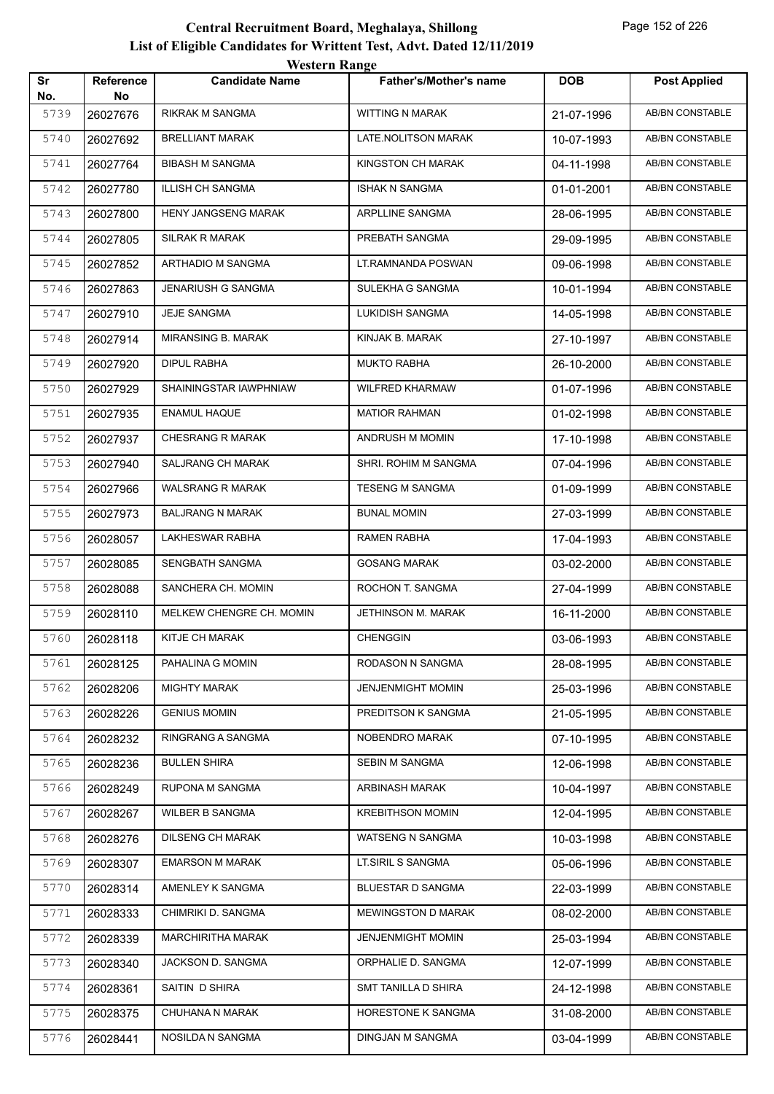|           |                        | <b>Western Range</b>       |                               |            |                        |
|-----------|------------------------|----------------------------|-------------------------------|------------|------------------------|
| Sr<br>No. | <b>Reference</b><br>No | <b>Candidate Name</b>      | <b>Father's/Mother's name</b> | <b>DOB</b> | <b>Post Applied</b>    |
| 5739      | 26027676               | RIKRAK M SANGMA            | <b>WITTING N MARAK</b>        | 21-07-1996 | <b>AB/BN CONSTABLE</b> |
| 5740      | 26027692               | <b>BRELLIANT MARAK</b>     | LATE.NOLITSON MARAK           | 10-07-1993 | AB/BN CONSTABLE        |
| 5741      | 26027764               | <b>BIBASH M SANGMA</b>     | KINGSTON CH MARAK             | 04-11-1998 | AB/BN CONSTABLE        |
| 5742      | 26027780               | <b>ILLISH CH SANGMA</b>    | <b>ISHAK N SANGMA</b>         | 01-01-2001 | <b>AB/BN CONSTABLE</b> |
| 5743      | 26027800               | <b>HENY JANGSENG MARAK</b> | ARPLLINE SANGMA               | 28-06-1995 | AB/BN CONSTABLE        |
| 5744      | 26027805               | <b>SILRAK R MARAK</b>      | PREBATH SANGMA                | 29-09-1995 | AB/BN CONSTABLE        |
| 5745      | 26027852               | ARTHADIO M SANGMA          | LT.RAMNANDA POSWAN            | 09-06-1998 | AB/BN CONSTABLE        |
| 5746      | 26027863               | <b>JENARIUSH G SANGMA</b>  | SULEKHA G SANGMA              | 10-01-1994 | <b>AB/BN CONSTABLE</b> |
| 5747      | 26027910               | <b>JEJE SANGMA</b>         | LUKIDISH SANGMA               | 14-05-1998 | <b>AB/BN CONSTABLE</b> |
| 5748      | 26027914               | MIRANSING B. MARAK         | KINJAK B. MARAK               | 27-10-1997 | <b>AB/BN CONSTABLE</b> |
| 5749      | 26027920               | <b>DIPUL RABHA</b>         | <b>MUKTO RABHA</b>            | 26-10-2000 | AB/BN CONSTABLE        |
| 5750      | 26027929               | SHAININGSTAR IAWPHNIAW     | <b>WILFRED KHARMAW</b>        | 01-07-1996 | <b>AB/BN CONSTABLE</b> |
| 5751      | 26027935               | <b>ENAMUL HAQUE</b>        | <b>MATIOR RAHMAN</b>          | 01-02-1998 | <b>AB/BN CONSTABLE</b> |
| 5752      | 26027937               | CHESRANG R MARAK           | ANDRUSH M MOMIN               | 17-10-1998 | <b>AB/BN CONSTABLE</b> |
| 5753      | 26027940               | <b>SALJRANG CH MARAK</b>   | SHRI. ROHIM M SANGMA          | 07-04-1996 | AB/BN CONSTABLE        |
| 5754      | 26027966               | <b>WALSRANG R MARAK</b>    | <b>TESENG M SANGMA</b>        | 01-09-1999 | <b>AB/BN CONSTABLE</b> |
| 5755      | 26027973               | <b>BALJRANG N MARAK</b>    | <b>BUNAL MOMIN</b>            | 27-03-1999 | AB/BN CONSTABLE        |
| 5756      | 26028057               | <b>LAKHESWAR RABHA</b>     | <b>RAMEN RABHA</b>            | 17-04-1993 | <b>AB/BN CONSTABLE</b> |
| 5757      | 26028085               | SENGBATH SANGMA            | <b>GOSANG MARAK</b>           | 03-02-2000 | <b>AB/BN CONSTABLE</b> |
| 5758      | 26028088               | SANCHERA CH. MOMIN         | ROCHON T. SANGMA              | 27-04-1999 | AB/BN CONSTABLE        |
| 5759      | 26028110               | MELKEW CHENGRE CH. MOMIN   | <b>JETHINSON M. MARAK</b>     | 16-11-2000 | AB/BN CONSTABLE        |
| 5760      | 26028118               | KITJE CH MARAK             | <b>CHENGGIN</b>               | 03-06-1993 | AB/BN CONSTABLE        |
| 5761      | 26028125               | PAHALINA G MOMIN           | RODASON N SANGMA              | 28-08-1995 | AB/BN CONSTABLE        |
| 5762      | 26028206               | <b>MIGHTY MARAK</b>        | JENJENMIGHT MOMIN             | 25-03-1996 | AB/BN CONSTABLE        |
| 5763      | 26028226               | <b>GENIUS MOMIN</b>        | PREDITSON K SANGMA            | 21-05-1995 | AB/BN CONSTABLE        |
| 5764      | 26028232               | RINGRANG A SANGMA          | NOBENDRO MARAK                | 07-10-1995 | AB/BN CONSTABLE        |
| 5765      | 26028236               | <b>BULLEN SHIRA</b>        | SEBIN M SANGMA                | 12-06-1998 | AB/BN CONSTABLE        |
| 5766      | 26028249               | RUPONA M SANGMA            | ARBINASH MARAK                | 10-04-1997 | AB/BN CONSTABLE        |
| 5767      | 26028267               | WILBER B SANGMA            | <b>KREBITHSON MOMIN</b>       | 12-04-1995 | AB/BN CONSTABLE        |
| 5768      | 26028276               | <b>DILSENG CH MARAK</b>    | <b>WATSENG N SANGMA</b>       | 10-03-1998 | AB/BN CONSTABLE        |
| 5769      | 26028307               | <b>EMARSON M MARAK</b>     | LT.SIRIL S SANGMA             | 05-06-1996 | AB/BN CONSTABLE        |
| 5770      | 26028314               | AMENLEY K SANGMA           | BLUESTAR D SANGMA             | 22-03-1999 | AB/BN CONSTABLE        |
| 5771      | 26028333               | CHIMRIKI D. SANGMA         | <b>MEWINGSTON D MARAK</b>     | 08-02-2000 | AB/BN CONSTABLE        |
| 5772      | 26028339               | <b>MARCHIRITHA MARAK</b>   | JENJENMIGHT MOMIN             | 25-03-1994 | AB/BN CONSTABLE        |
| 5773      | 26028340               | JACKSON D. SANGMA          | ORPHALIE D. SANGMA            | 12-07-1999 | AB/BN CONSTABLE        |
| 5774      | 26028361               | SAITIN D SHIRA             | SMT TANILLA D SHIRA           | 24-12-1998 | AB/BN CONSTABLE        |
| 5775      | 26028375               | CHUHANA N MARAK            | HORESTONE K SANGMA            | 31-08-2000 | AB/BN CONSTABLE        |
| 5776      | 26028441               | NOSILDA N SANGMA           | DINGJAN M SANGMA              | 03-04-1999 | AB/BN CONSTABLE        |
|           |                        |                            |                               |            |                        |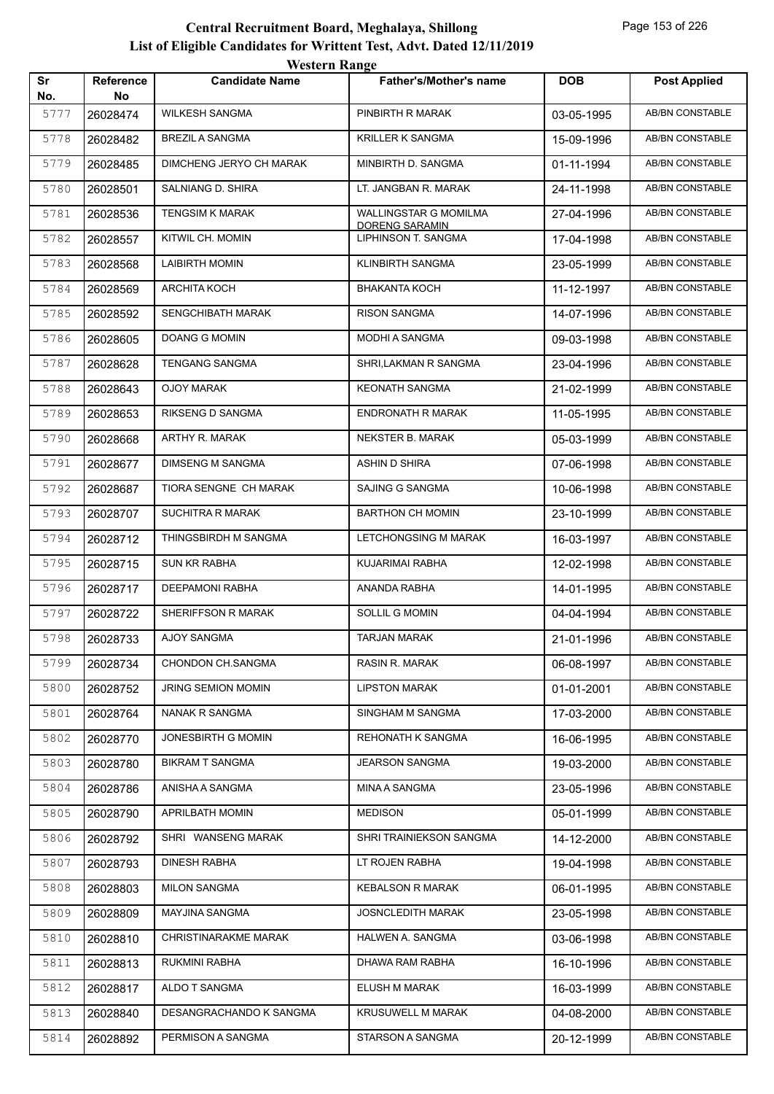| Sr   | Reference | <b>WESTERN MARGE</b><br><b>Candidate Name</b> | <b>Father's/Mother's name</b>           | <b>DOB</b> | <b>Post Applied</b>    |
|------|-----------|-----------------------------------------------|-----------------------------------------|------------|------------------------|
| No.  | No        |                                               |                                         |            |                        |
| 5777 | 26028474  | <b>WILKESH SANGMA</b>                         | PINBIRTH R MARAK                        | 03-05-1995 | AB/BN CONSTABLE        |
| 5778 | 26028482  | <b>BREZIL A SANGMA</b>                        | KRILLER K SANGMA                        | 15-09-1996 | <b>AB/BN CONSTABLE</b> |
| 5779 | 26028485  | DIMCHENG JERYO CH MARAK                       | MINBIRTH D. SANGMA                      | 01-11-1994 | AB/BN CONSTABLE        |
| 5780 | 26028501  | SALNIANG D. SHIRA                             | LT. JANGBAN R. MARAK                    | 24-11-1998 | AB/BN CONSTABLE        |
| 5781 | 26028536  | <b>TENGSIM K MARAK</b>                        | WALLINGSTAR G MOMILMA<br>DORENG SARAMIN | 27-04-1996 | AB/BN CONSTABLE        |
| 5782 | 26028557  | KITWIL CH. MOMIN                              | LIPHINSON T. SANGMA                     | 17-04-1998 | <b>AB/BN CONSTABLE</b> |
| 5783 | 26028568  | <b>LAIBIRTH MOMIN</b>                         | KLINBIRTH SANGMA                        | 23-05-1999 | AB/BN CONSTABLE        |
| 5784 | 26028569  | ARCHITA KOCH                                  | <b>BHAKANTA KOCH</b>                    | 11-12-1997 | <b>AB/BN CONSTABLE</b> |
| 5785 | 26028592  | <b>SENGCHIBATH MARAK</b>                      | <b>RISON SANGMA</b>                     | 14-07-1996 | AB/BN CONSTABLE        |
| 5786 | 26028605  | DOANG G MOMIN                                 | <b>MODHI A SANGMA</b>                   | 09-03-1998 | AB/BN CONSTABLE        |
| 5787 | 26028628  | TENGANG SANGMA                                | SHRI,LAKMAN R SANGMA                    | 23-04-1996 | AB/BN CONSTABLE        |
| 5788 | 26028643  | <b>OJOY MARAK</b>                             | <b>KEONATH SANGMA</b>                   | 21-02-1999 | <b>AB/BN CONSTABLE</b> |
| 5789 | 26028653  | RIKSENG D SANGMA                              | <b>ENDRONATH R MARAK</b>                | 11-05-1995 | AB/BN CONSTABLE        |
| 5790 | 26028668  | ARTHY R. MARAK                                | NEKSTER B. MARAK                        | 05-03-1999 | AB/BN CONSTABLE        |
| 5791 | 26028677  | <b>DIMSENG M SANGMA</b>                       | <b>ASHIN D SHIRA</b>                    | 07-06-1998 | AB/BN CONSTABLE        |
| 5792 | 26028687  | TIORA SENGNE CH MARAK                         | SAJING G SANGMA                         | 10-06-1998 | AB/BN CONSTABLE        |
| 5793 | 26028707  | SUCHITRA R MARAK                              | <b>BARTHON CH MOMIN</b>                 | 23-10-1999 | AB/BN CONSTABLE        |
| 5794 | 26028712  | THINGSBIRDH M SANGMA                          | <b>LETCHONGSING M MARAK</b>             | 16-03-1997 | AB/BN CONSTABLE        |
| 5795 | 26028715  | SUN KR RABHA                                  | KUJARIMAI RABHA                         | 12-02-1998 | AB/BN CONSTABLE        |
| 5796 | 26028717  | <b>DEEPAMONI RABHA</b>                        | ANANDA RABHA                            | 14-01-1995 | AB/BN CONSTABLE        |
| 5797 | 26028722  | SHERIFFSON R MARAK                            | <b>SOLLIL G MOMIN</b>                   | 04-04-1994 | AB/BN CONSTABLE        |
| 5798 | 26028733  | AJOY SANGMA                                   | TARJAN MARAK                            | 21-01-1996 | AB/BN CONSTABLE        |
| 5799 | 26028734  | CHONDON CH.SANGMA                             | RASIN R. MARAK                          | 06-08-1997 | AB/BN CONSTABLE        |
| 5800 | 26028752  | <b>JRING SEMION MOMIN</b>                     | <b>LIPSTON MARAK</b>                    | 01-01-2001 | AB/BN CONSTABLE        |
| 5801 | 26028764  | NANAK R SANGMA                                | SINGHAM M SANGMA                        | 17-03-2000 | AB/BN CONSTABLE        |
| 5802 | 26028770  | JONESBIRTH G MOMIN                            | REHONATH K SANGMA                       | 16-06-1995 | AB/BN CONSTABLE        |
| 5803 | 26028780  | <b>BIKRAM T SANGMA</b>                        | <b>JEARSON SANGMA</b>                   | 19-03-2000 | AB/BN CONSTABLE        |
| 5804 | 26028786  | ANISHA A SANGMA                               | MINA A SANGMA                           | 23-05-1996 | AB/BN CONSTABLE        |
| 5805 | 26028790  | APRILBATH MOMIN                               | <b>MEDISON</b>                          | 05-01-1999 | AB/BN CONSTABLE        |
| 5806 | 26028792  | SHRI WANSENG MARAK                            | SHRI TRAINIEKSON SANGMA                 | 14-12-2000 | AB/BN CONSTABLE        |
| 5807 | 26028793  | <b>DINESH RABHA</b>                           | LT ROJEN RABHA                          | 19-04-1998 | AB/BN CONSTABLE        |
| 5808 | 26028803  | <b>MILON SANGMA</b>                           | <b>KEBALSON R MARAK</b>                 | 06-01-1995 | AB/BN CONSTABLE        |
| 5809 | 26028809  | MAYJINA SANGMA                                | <b>JOSNCLEDITH MARAK</b>                | 23-05-1998 | AB/BN CONSTABLE        |
| 5810 | 26028810  | CHRISTINARAKME MARAK                          | HALWEN A. SANGMA                        | 03-06-1998 | AB/BN CONSTABLE        |
| 5811 | 26028813  | RUKMINI RABHA                                 | DHAWA RAM RABHA                         | 16-10-1996 | AB/BN CONSTABLE        |
| 5812 | 26028817  | ALDO T SANGMA                                 | ELUSH M MARAK                           | 16-03-1999 | AB/BN CONSTABLE        |
| 5813 | 26028840  | DESANGRACHANDO K SANGMA                       | <b>KRUSUWELL M MARAK</b>                | 04-08-2000 | AB/BN CONSTABLE        |
| 5814 | 26028892  | PERMISON A SANGMA                             | STARSON A SANGMA                        | 20-12-1999 | AB/BN CONSTABLE        |
|      |           |                                               |                                         |            |                        |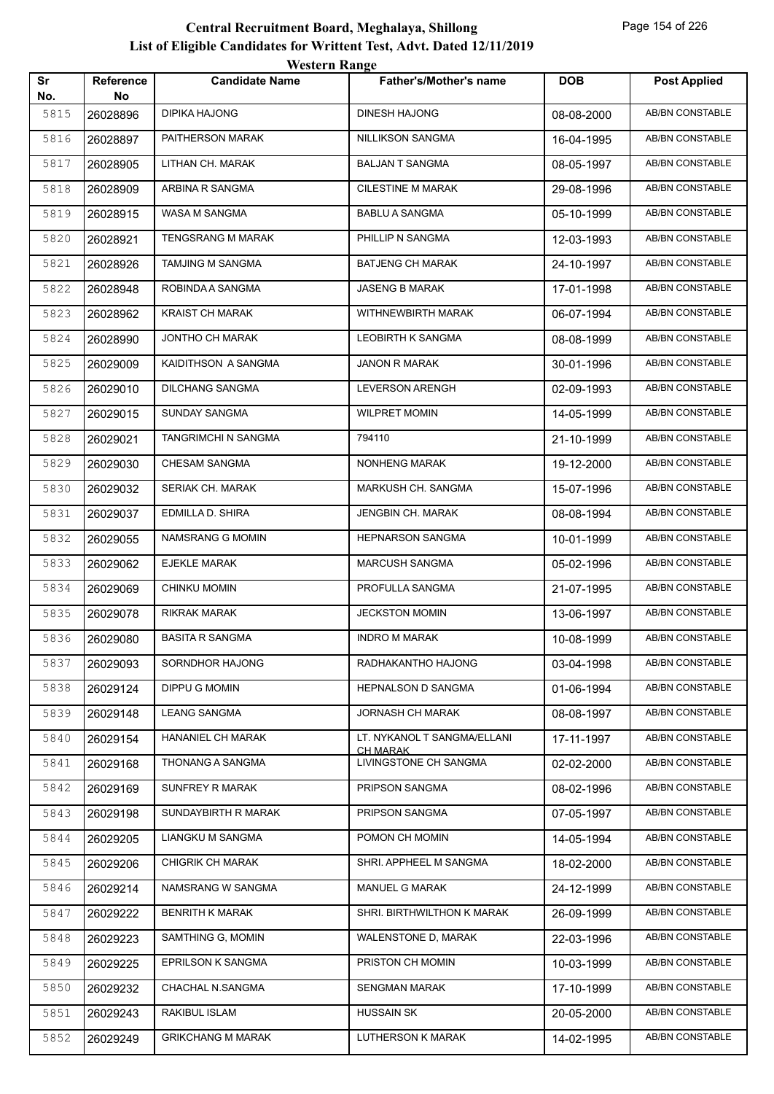|           |                 | <b>TUGILLE IMARGU</b>    |                                                |            |                        |
|-----------|-----------------|--------------------------|------------------------------------------------|------------|------------------------|
| Sr<br>No. | Reference<br>No | <b>Candidate Name</b>    | <b>Father's/Mother's name</b>                  | <b>DOB</b> | <b>Post Applied</b>    |
| 5815      | 26028896        | DIPIKA HAJONG            | DINESH HAJONG                                  | 08-08-2000 | <b>AB/BN CONSTABLE</b> |
| 5816      | 26028897        | PAITHERSON MARAK         | NILLIKSON SANGMA                               | 16-04-1995 | AB/BN CONSTABLE        |
| 5817      | 26028905        | LITHAN CH. MARAK         | <b>BALJAN T SANGMA</b>                         | 08-05-1997 | AB/BN CONSTABLE        |
| 5818      | 26028909        | ARBINA R SANGMA          | <b>CILESTINE M MARAK</b>                       | 29-08-1996 | AB/BN CONSTABLE        |
| 5819      | 26028915        | WASA M SANGMA            | <b>BABLU A SANGMA</b>                          | 05-10-1999 | AB/BN CONSTABLE        |
| 5820      | 26028921        | <b>TENGSRANG M MARAK</b> | PHILLIP N SANGMA                               | 12-03-1993 | AB/BN CONSTABLE        |
| 5821      | 26028926        | TAMJING M SANGMA         | <b>BATJENG CH MARAK</b>                        | 24-10-1997 | AB/BN CONSTABLE        |
| 5822      | 26028948        | ROBINDA A SANGMA         | JASENG B MARAK                                 | 17-01-1998 | AB/BN CONSTABLE        |
| 5823      | 26028962        | <b>KRAIST CH MARAK</b>   | WITHNEWBIRTH MARAK                             | 06-07-1994 | AB/BN CONSTABLE        |
| 5824      | 26028990        | JONTHO CH MARAK          | LEOBIRTH K SANGMA                              | 08-08-1999 | AB/BN CONSTABLE        |
| 5825      | 26029009        | KAIDITHSON A SANGMA      | JANON R MARAK                                  | 30-01-1996 | AB/BN CONSTABLE        |
| 5826      | 26029010        | <b>DILCHANG SANGMA</b>   | LEVERSON ARENGH                                | 02-09-1993 | AB/BN CONSTABLE        |
| 5827      | 26029015        | <b>SUNDAY SANGMA</b>     | <b>WILPRET MOMIN</b>                           | 14-05-1999 | <b>AB/BN CONSTABLE</b> |
| 5828      | 26029021        | TANGRIMCHI N SANGMA      | 794110                                         | 21-10-1999 | AB/BN CONSTABLE        |
| 5829      | 26029030        | <b>CHESAM SANGMA</b>     | NONHENG MARAK                                  | 19-12-2000 | AB/BN CONSTABLE        |
| 5830      | 26029032        | SERIAK CH. MARAK         | MARKUSH CH. SANGMA                             | 15-07-1996 | AB/BN CONSTABLE        |
| 5831      | 26029037        | EDMILLA D. SHIRA         | JENGBIN CH. MARAK                              | 08-08-1994 | AB/BN CONSTABLE        |
| 5832      | 26029055        | NAMSRANG G MOMIN         | <b>HEPNARSON SANGMA</b>                        | 10-01-1999 | AB/BN CONSTABLE        |
| 5833      | 26029062        | EJEKLE MARAK             | MARCUSH SANGMA                                 | 05-02-1996 | AB/BN CONSTABLE        |
| 5834      | 26029069        | <b>CHINKU MOMIN</b>      | PROFULLA SANGMA                                | 21-07-1995 | AB/BN CONSTABLE        |
| 5835      | 26029078        | RIKRAK MARAK             | <b>JECKSTON MOMIN</b>                          | 13-06-1997 | AB/BN CONSTABLE        |
| 5836      | 26029080        | <b>BASITA R SANGMA</b>   | <b>INDRO M MARAK</b>                           | 10-08-1999 | AB/BN CONSTABLE        |
| 5837      | 26029093        | SORNDHOR HAJONG          | RADHAKANTHO HAJONG                             | 03-04-1998 | AB/BN CONSTABLE        |
| 5838      | 26029124        | DIPPU G MOMIN            | <b>HEPNALSON D SANGMA</b>                      | 01-06-1994 | AB/BN CONSTABLE        |
| 5839      | 26029148        | <b>LEANG SANGMA</b>      | JORNASH CH MARAK                               | 08-08-1997 | AB/BN CONSTABLE        |
| 5840      | 26029154        | HANANIEL CH MARAK        | LT. NYKANOL T SANGMA/ELLANI<br><b>CH MARAK</b> | 17-11-1997 | AB/BN CONSTABLE        |
| 5841      | 26029168        | THONANG A SANGMA         | LIVINGSTONE CH SANGMA                          | 02-02-2000 | AB/BN CONSTABLE        |
| 5842      | 26029169        | SUNFREY R MARAK          | PRIPSON SANGMA                                 | 08-02-1996 | AB/BN CONSTABLE        |
| 5843      | 26029198        | SUNDAYBIRTH R MARAK      | PRIPSON SANGMA                                 | 07-05-1997 | AB/BN CONSTABLE        |
| 5844      | 26029205        | LIANGKU M SANGMA         | POMON CH MOMIN                                 | 14-05-1994 | AB/BN CONSTABLE        |
| 5845      | 26029206        | <b>CHIGRIK CH MARAK</b>  | SHRI. APPHEEL M SANGMA                         | 18-02-2000 | AB/BN CONSTABLE        |
| 5846      | 26029214        | NAMSRANG W SANGMA        | <b>MANUEL G MARAK</b>                          | 24-12-1999 | AB/BN CONSTABLE        |
| 5847      | 26029222        | <b>BENRITH K MARAK</b>   | SHRI. BIRTHWILTHON K MARAK                     | 26-09-1999 | AB/BN CONSTABLE        |
| 5848      | 26029223        | SAMTHING G, MOMIN        | WALENSTONE D, MARAK                            | 22-03-1996 | AB/BN CONSTABLE        |
| 5849      | 26029225        | <b>EPRILSON K SANGMA</b> | PRISTON CH MOMIN                               | 10-03-1999 | AB/BN CONSTABLE        |
| 5850      | 26029232        | CHACHAL N.SANGMA         | <b>SENGMAN MARAK</b>                           | 17-10-1999 | AB/BN CONSTABLE        |
| 5851      | 26029243        | RAKIBUL ISLAM            | <b>HUSSAIN SK</b>                              | 20-05-2000 | AB/BN CONSTABLE        |
| 5852      | 26029249        | <b>GRIKCHANG M MARAK</b> | LUTHERSON K MARAK                              | 14-02-1995 | AB/BN CONSTABLE        |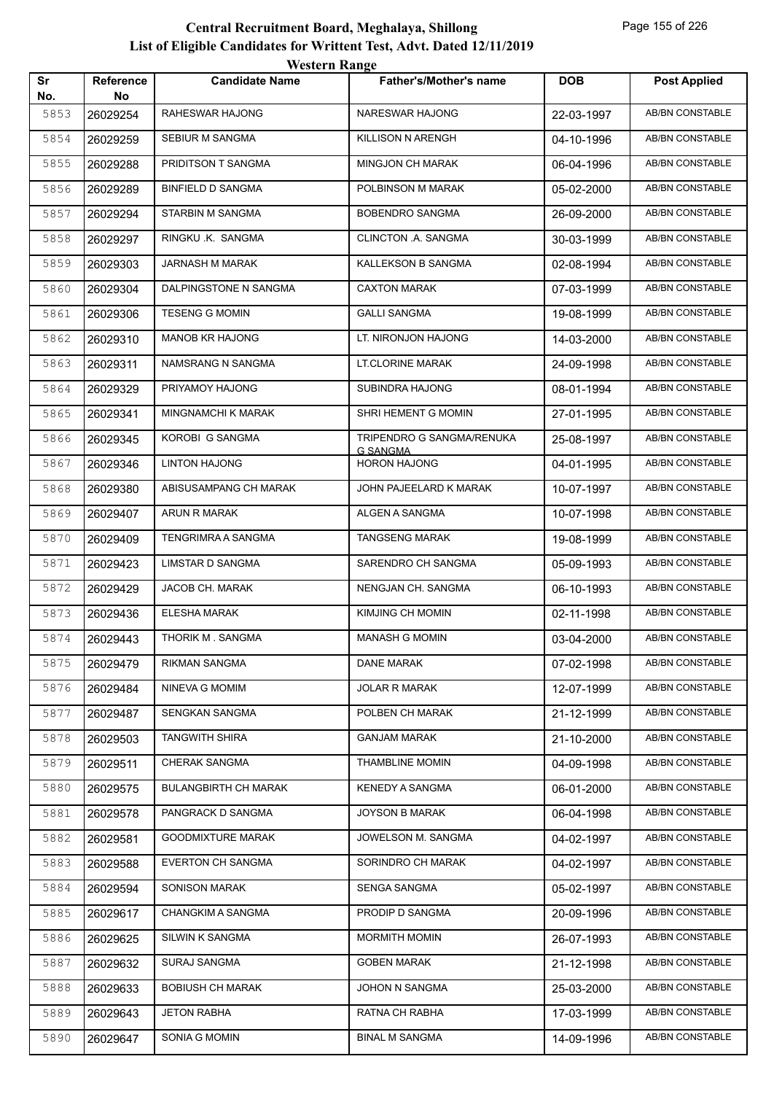|           |                        | <b>Western Range</b>        |                                        |            |                        |
|-----------|------------------------|-----------------------------|----------------------------------------|------------|------------------------|
| Sr<br>No. | <b>Reference</b><br>No | <b>Candidate Name</b>       | <b>Father's/Mother's name</b>          | <b>DOB</b> | <b>Post Applied</b>    |
| 5853      | 26029254               | RAHESWAR HAJONG             | NARESWAR HAJONG                        | 22-03-1997 | <b>AB/BN CONSTABLE</b> |
| 5854      | 26029259               | <b>SEBIUR M SANGMA</b>      | KILLISON N ARENGH                      | 04-10-1996 | AB/BN CONSTABLE        |
| 5855      | 26029288               | PRIDITSON T SANGMA          | <b>MINGJON CH MARAK</b>                | 06-04-1996 | <b>AB/BN CONSTABLE</b> |
| 5856      | 26029289               | <b>BINFIELD D SANGMA</b>    | POLBINSON M MARAK                      | 05-02-2000 | <b>AB/BN CONSTABLE</b> |
| 5857      | 26029294               | STARBIN M SANGMA            | <b>BOBENDRO SANGMA</b>                 | 26-09-2000 | AB/BN CONSTABLE        |
| 5858      | 26029297               | RINGKU .K. SANGMA           | CLINCTON .A. SANGMA                    | 30-03-1999 | <b>AB/BN CONSTABLE</b> |
| 5859      | 26029303               | JARNASH M MARAK             | KALLEKSON B SANGMA                     | 02-08-1994 | AB/BN CONSTABLE        |
| 5860      | 26029304               | DALPINGSTONE N SANGMA       | <b>CAXTON MARAK</b>                    | 07-03-1999 | <b>AB/BN CONSTABLE</b> |
| 5861      | 26029306               | <b>TESENG G MOMIN</b>       | <b>GALLI SANGMA</b>                    | 19-08-1999 | <b>AB/BN CONSTABLE</b> |
| 5862      | 26029310               | <b>MANOB KR HAJONG</b>      | LT. NIRONJON HAJONG                    | 14-03-2000 | AB/BN CONSTABLE        |
| 5863      | 26029311               | NAMSRANG N SANGMA           | <b>LT.CLORINE MARAK</b>                | 24-09-1998 | AB/BN CONSTABLE        |
| 5864      | 26029329               | PRIYAMOY HAJONG             | SUBINDRA HAJONG                        | 08-01-1994 | AB/BN CONSTABLE        |
| 5865      | 26029341               | <b>MINGNAMCHI K MARAK</b>   | SHRI HEMENT G MOMIN                    | 27-01-1995 | <b>AB/BN CONSTABLE</b> |
| 5866      | 26029345               | KOROBI G SANGMA             | TRIPENDRO G SANGMA/RENUKA              | 25-08-1997 | <b>AB/BN CONSTABLE</b> |
| 5867      | 26029346               | <b>LINTON HAJONG</b>        | <b>G SANGMA</b><br><b>HORON HAJONG</b> | 04-01-1995 | AB/BN CONSTABLE        |
| 5868      | 26029380               | ABISUSAMPANG CH MARAK       | JOHN PAJEELARD K MARAK                 | 10-07-1997 | <b>AB/BN CONSTABLE</b> |
| 5869      | 26029407               | ARUN R MARAK                | ALGEN A SANGMA                         | 10-07-1998 | AB/BN CONSTABLE        |
| 5870      | 26029409               | TENGRIMRA A SANGMA          | <b>TANGSENG MARAK</b>                  | 19-08-1999 | <b>AB/BN CONSTABLE</b> |
| 5871      | 26029423               | LIMSTAR D SANGMA            | SARENDRO CH SANGMA                     | 05-09-1993 | <b>AB/BN CONSTABLE</b> |
| 5872      | 26029429               | JACOB CH. MARAK             | NENGJAN CH. SANGMA                     | 06-10-1993 | <b>AB/BN CONSTABLE</b> |
| 5873      | 26029436               | <b>ELESHA MARAK</b>         | KIMJING CH MOMIN                       | 02-11-1998 | <b>AB/BN CONSTABLE</b> |
| 5874      | 26029443               | <b>THORIK M. SANGMA</b>     | <b>MANASH G MOMIN</b>                  | 03-04-2000 | AB/BN CONSTABLE        |
| 5875      | 26029479               | RIKMAN SANGMA               | DANE MARAK                             | 07-02-1998 | AB/BN CONSTABLE        |
| 5876      | 26029484               | NINEVA G MOMIM              | <b>JOLAR R MARAK</b>                   | 12-07-1999 | AB/BN CONSTABLE        |
| 5877      | 26029487               | SENGKAN SANGMA              | POLBEN CH MARAK                        | 21-12-1999 | AB/BN CONSTABLE        |
| 5878      | 26029503               | <b>TANGWITH SHIRA</b>       | <b>GANJAM MARAK</b>                    | 21-10-2000 | AB/BN CONSTABLE        |
| 5879      | 26029511               | CHERAK SANGMA               | <b>THAMBLINE MOMIN</b>                 | 04-09-1998 | AB/BN CONSTABLE        |
| 5880      | 26029575               | <b>BULANGBIRTH CH MARAK</b> | <b>KENEDY A SANGMA</b>                 | 06-01-2000 | AB/BN CONSTABLE        |
| 5881      | 26029578               | PANGRACK D SANGMA           | <b>JOYSON B MARAK</b>                  | 06-04-1998 | AB/BN CONSTABLE        |
| 5882      | 26029581               | <b>GOODMIXTURE MARAK</b>    | JOWELSON M. SANGMA                     | 04-02-1997 | AB/BN CONSTABLE        |
| 5883      | 26029588               | <b>EVERTON CH SANGMA</b>    | SORINDRO CH MARAK                      | 04-02-1997 | AB/BN CONSTABLE        |
| 5884      | 26029594               | SONISON MARAK               | SENGA SANGMA                           | 05-02-1997 | AB/BN CONSTABLE        |
| 5885      | 26029617               | CHANGKIM A SANGMA           | PRODIP D SANGMA                        | 20-09-1996 | AB/BN CONSTABLE        |
| 5886      | 26029625               | SILWIN K SANGMA             | <b>MORMITH MOMIN</b>                   | 26-07-1993 | AB/BN CONSTABLE        |
| 5887      | 26029632               | SURAJ SANGMA                | <b>GOBEN MARAK</b>                     | 21-12-1998 | AB/BN CONSTABLE        |
| 5888      | 26029633               | <b>BOBIUSH CH MARAK</b>     | JOHON N SANGMA                         | 25-03-2000 | AB/BN CONSTABLE        |
| 5889      | 26029643               | <b>JETON RABHA</b>          | RATNA CH RABHA                         | 17-03-1999 | AB/BN CONSTABLE        |
| 5890      | 26029647               | SONIA G MOMIN               | <b>BINAL M SANGMA</b>                  | 14-09-1996 | AB/BN CONSTABLE        |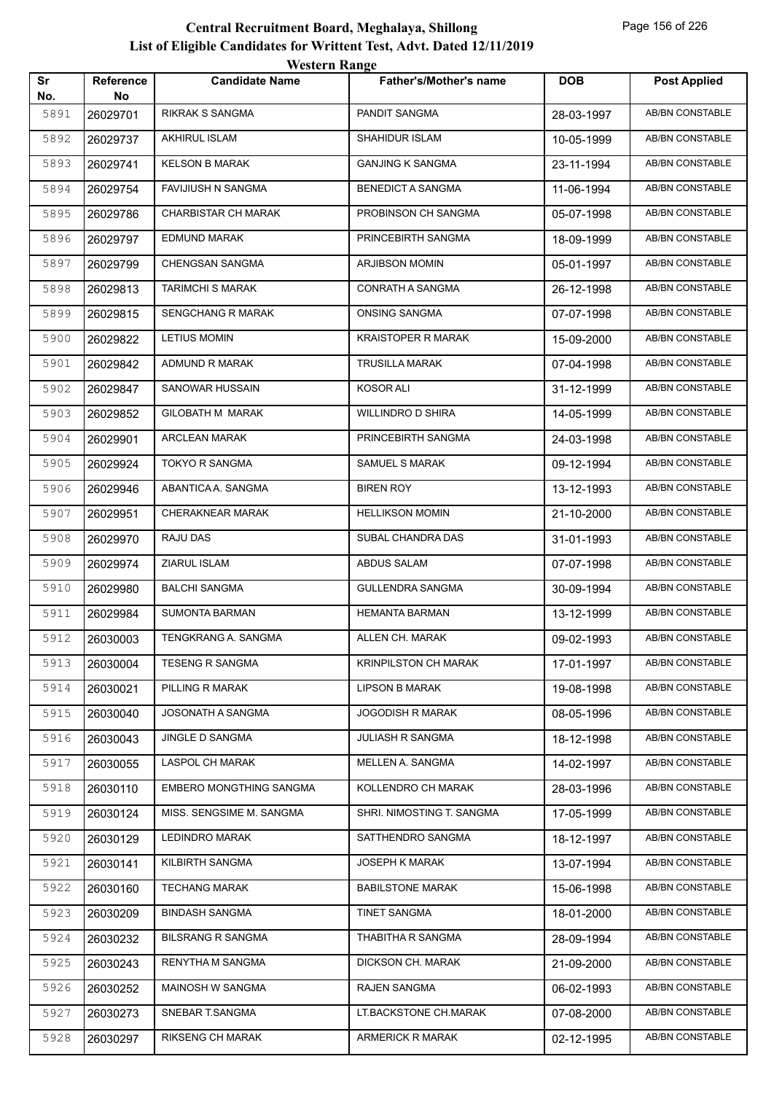|           |                 | western Range              |                               |            |                        |
|-----------|-----------------|----------------------------|-------------------------------|------------|------------------------|
| Sr<br>No. | Reference<br>No | <b>Candidate Name</b>      | <b>Father's/Mother's name</b> | <b>DOB</b> | <b>Post Applied</b>    |
| 5891      | 26029701        | RIKRAK S SANGMA            | PANDIT SANGMA                 | 28-03-1997 | AB/BN CONSTABLE        |
| 5892      | 26029737        | <b>AKHIRUL ISLAM</b>       | SHAHIDUR ISLAM                | 10-05-1999 | AB/BN CONSTABLE        |
| 5893      | 26029741        | <b>KELSON B MARAK</b>      | <b>GANJING K SANGMA</b>       | 23-11-1994 | AB/BN CONSTABLE        |
| 5894      | 26029754        | <b>FAVIJIUSH N SANGMA</b>  | <b>BENEDICT A SANGMA</b>      | 11-06-1994 | <b>AB/BN CONSTABLE</b> |
| 5895      | 26029786        | <b>CHARBISTAR CH MARAK</b> | PROBINSON CH SANGMA           | 05-07-1998 | AB/BN CONSTABLE        |
| 5896      | 26029797        | <b>EDMUND MARAK</b>        | PRINCEBIRTH SANGMA            | 18-09-1999 | AB/BN CONSTABLE        |
| 5897      | 26029799        | CHENGSAN SANGMA            | ARJIBSON MOMIN                | 05-01-1997 | <b>AB/BN CONSTABLE</b> |
| 5898      | 26029813        | <b>TARIMCHI S MARAK</b>    | CONRATH A SANGMA              | 26-12-1998 | AB/BN CONSTABLE        |
| 5899      | 26029815        | <b>SENGCHANG R MARAK</b>   | <b>ONSING SANGMA</b>          | 07-07-1998 | <b>AB/BN CONSTABLE</b> |
| 5900      | 26029822        | <b>LETIUS MOMIN</b>        | <b>KRAISTOPER R MARAK</b>     | 15-09-2000 | AB/BN CONSTABLE        |
| 5901      | 26029842        | ADMUND R MARAK             | <b>TRUSILLA MARAK</b>         | 07-04-1998 | AB/BN CONSTABLE        |
| 5902      | 26029847        | SANOWAR HUSSAIN            | <b>KOSOR ALI</b>              | 31-12-1999 | <b>AB/BN CONSTABLE</b> |
| 5903      | 26029852        | GILOBATH M MARAK           | <b>WILLINDRO D SHIRA</b>      | 14-05-1999 | AB/BN CONSTABLE        |
| 5904      | 26029901        | <b>ARCLEAN MARAK</b>       | PRINCEBIRTH SANGMA            | 24-03-1998 | AB/BN CONSTABLE        |
| 5905      | 26029924        | <b>TOKYO R SANGMA</b>      | <b>SAMUEL S MARAK</b>         | 09-12-1994 | AB/BN CONSTABLE        |
| 5906      | 26029946        | ABANTICA A. SANGMA         | <b>BIREN ROY</b>              | 13-12-1993 | AB/BN CONSTABLE        |
| 5907      | 26029951        | CHERAKNEAR MARAK           | <b>HELLIKSON MOMIN</b>        | 21-10-2000 | AB/BN CONSTABLE        |
| 5908      | 26029970        | RAJU DAS                   | SUBAL CHANDRA DAS             | 31-01-1993 | AB/BN CONSTABLE        |
| 5909      | 26029974        | ZIARUL ISLAM               | ABDUS SALAM                   | 07-07-1998 | <b>AB/BN CONSTABLE</b> |
| 5910      | 26029980        | <b>BALCHI SANGMA</b>       | <b>GULLENDRA SANGMA</b>       | 30-09-1994 | AB/BN CONSTABLE        |
| 5911      | 26029984        | <b>SUMONTA BARMAN</b>      | <b>HEMANTA BARMAN</b>         | 13-12-1999 | AB/BN CONSTABLE        |
| 5912      | 26030003        | TENGKRANG A. SANGMA        | ALLEN CH. MARAK               | 09-02-1993 | AB/BN CONSTABLE        |
| 5913      | 26030004        | <b>TESENG R SANGMA</b>     | <b>KRINPILSTON CH MARAK</b>   | 17-01-1997 | AB/BN CONSTABLE        |
| 5914      | 26030021        | PILLING R MARAK            | <b>LIPSON B MARAK</b>         | 19-08-1998 | AB/BN CONSTABLE        |
| 5915      | 26030040        | JOSONATH A SANGMA          | <b>JOGODISH R MARAK</b>       | 08-05-1996 | AB/BN CONSTABLE        |
| 5916      | 26030043        | <b>JINGLE D SANGMA</b>     | JULIASH R SANGMA              | 18-12-1998 | AB/BN CONSTABLE        |
| 5917      | 26030055        | LASPOL CH MARAK            | MELLEN A. SANGMA              | 14-02-1997 | AB/BN CONSTABLE        |
| 5918      | 26030110        | EMBERO MONGTHING SANGMA    | KOLLENDRO CH MARAK            | 28-03-1996 | AB/BN CONSTABLE        |
| 5919      | 26030124        | MISS. SENGSIME M. SANGMA   | SHRI. NIMOSTING T. SANGMA     | 17-05-1999 | AB/BN CONSTABLE        |
| 5920      | 26030129        | <b>LEDINDRO MARAK</b>      | SATTHENDRO SANGMA             | 18-12-1997 | AB/BN CONSTABLE        |
| 5921      | 26030141        | KILBIRTH SANGMA            | <b>JOSEPH K MARAK</b>         | 13-07-1994 | AB/BN CONSTABLE        |
| 5922      | 26030160        | <b>TECHANG MARAK</b>       | <b>BABILSTONE MARAK</b>       | 15-06-1998 | AB/BN CONSTABLE        |
| 5923      | 26030209        | <b>BINDASH SANGMA</b>      | TINET SANGMA                  | 18-01-2000 | AB/BN CONSTABLE        |
| 5924      | 26030232        | <b>BILSRANG R SANGMA</b>   | THABITHA R SANGMA             | 28-09-1994 | AB/BN CONSTABLE        |
| 5925      | 26030243        | RENYTHA M SANGMA           | DICKSON CH. MARAK             | 21-09-2000 | AB/BN CONSTABLE        |
| 5926      | 26030252        | MAINOSH W SANGMA           | RAJEN SANGMA                  | 06-02-1993 | AB/BN CONSTABLE        |
| 5927      | 26030273        | SNEBAR T.SANGMA            | LT.BACKSTONE CH.MARAK         | 07-08-2000 | AB/BN CONSTABLE        |
| 5928      | 26030297        | RIKSENG CH MARAK           | ARMERICK R MARAK              | 02-12-1995 | AB/BN CONSTABLE        |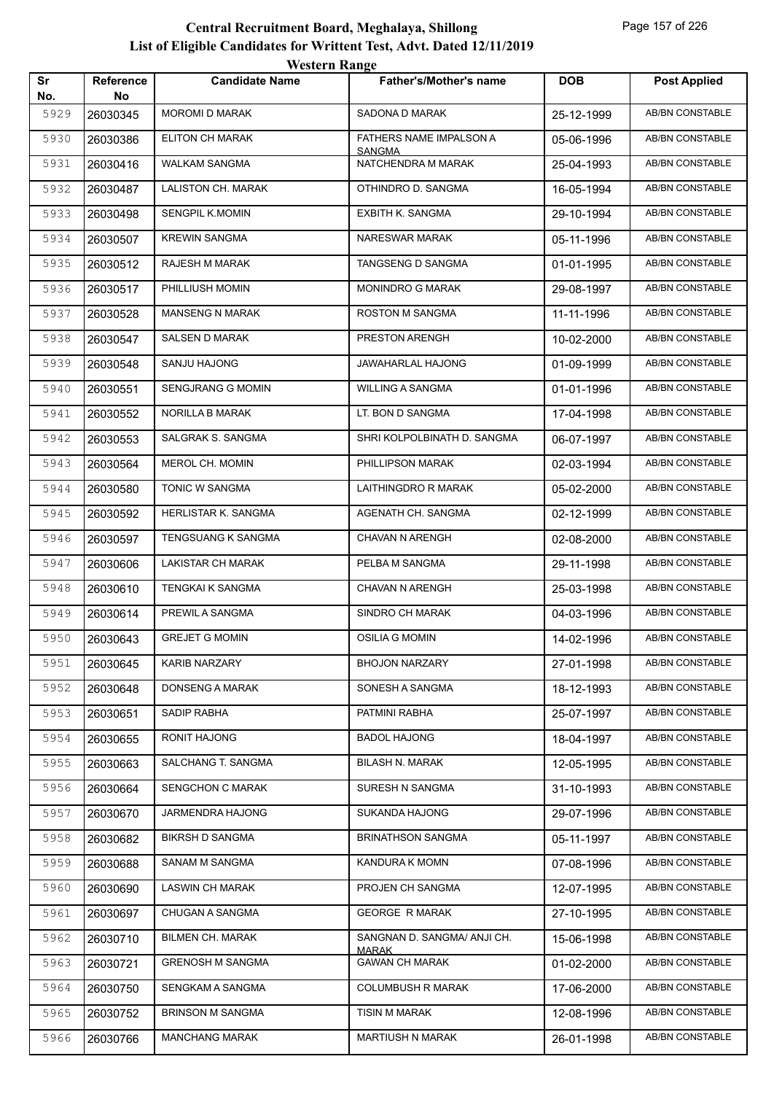|           |                        | WESTEL II INALIZE        |                                             |            |                        |
|-----------|------------------------|--------------------------|---------------------------------------------|------------|------------------------|
| Sr<br>No. | <b>Reference</b><br>No | <b>Candidate Name</b>    | <b>Father's/Mother's name</b>               | <b>DOB</b> | <b>Post Applied</b>    |
| 5929      | 26030345               | <b>MOROMI D MARAK</b>    | SADONA D MARAK                              | 25-12-1999 | <b>AB/BN CONSTABLE</b> |
| 5930      | 26030386               | ELITON CH MARAK          | FATHERS NAME IMPALSON A                     | 05-06-1996 | AB/BN CONSTABLE        |
| 5931      | 26030416               | WALKAM SANGMA            | <b>SANGMA</b><br>NATCHENDRA M MARAK         | 25-04-1993 | AB/BN CONSTABLE        |
| 5932      | 26030487               | LALISTON CH. MARAK       | OTHINDRO D. SANGMA                          | 16-05-1994 | AB/BN CONSTABLE        |
| 5933      | 26030498               | SENGPIL K.MOMIN          | EXBITH K. SANGMA                            | 29-10-1994 | <b>AB/BN CONSTABLE</b> |
| 5934      | 26030507               | <b>KREWIN SANGMA</b>     | NARESWAR MARAK                              | 05-11-1996 | AB/BN CONSTABLE        |
| 5935      | 26030512               | RAJESH M MARAK           | TANGSENG D SANGMA                           | 01-01-1995 | AB/BN CONSTABLE        |
| 5936      | 26030517               | PHILLIUSH MOMIN          | <b>MONINDRO G MARAK</b>                     | 29-08-1997 | AB/BN CONSTABLE        |
| 5937      | 26030528               | <b>MANSENG N MARAK</b>   | ROSTON M SANGMA                             | 11-11-1996 | AB/BN CONSTABLE        |
| 5938      | 26030547               | <b>SALSEN D MARAK</b>    | PRESTON ARENGH                              | 10-02-2000 | <b>AB/BN CONSTABLE</b> |
| 5939      | 26030548               | SANJU HAJONG             | JAWAHARLAL HAJONG                           | 01-09-1999 | AB/BN CONSTABLE        |
| 5940      | 26030551               | <b>SENGJRANG G MOMIN</b> | <b>WILLING A SANGMA</b>                     | 01-01-1996 | AB/BN CONSTABLE        |
| 5941      | 26030552               | NORILLA B MARAK          | LT. BON D SANGMA                            | 17-04-1998 | <b>AB/BN CONSTABLE</b> |
| 5942      | 26030553               | SALGRAK S. SANGMA        | SHRI KOLPOLBINATH D. SANGMA                 | 06-07-1997 | AB/BN CONSTABLE        |
| 5943      | 26030564               | MEROL CH. MOMIN          | PHILLIPSON MARAK                            | 02-03-1994 | <b>AB/BN CONSTABLE</b> |
| 5944      | 26030580               | TONIC W SANGMA           | LAITHINGDRO R MARAK                         | 05-02-2000 | AB/BN CONSTABLE        |
| 5945      | 26030592               | HERLISTAR K. SANGMA      | AGENATH CH. SANGMA                          | 02-12-1999 | AB/BN CONSTABLE        |
| 5946      | 26030597               | TENGSUANG K SANGMA       | CHAVAN N ARENGH                             | 02-08-2000 | AB/BN CONSTABLE        |
| 5947      | 26030606               | LAKISTAR CH MARAK        | PELBA M SANGMA                              | 29-11-1998 | AB/BN CONSTABLE        |
| 5948      | 26030610               | TENGKAI K SANGMA         | <b>CHAVAN N ARENGH</b>                      | 25-03-1998 | AB/BN CONSTABLE        |
| 5949      | 26030614               | PREWIL A SANGMA          | SINDRO CH MARAK                             | 04-03-1996 | AB/BN CONSTABLE        |
| 5950      | 26030643               | <b>GREJET G MOMIN</b>    | OSILIA G MOMIN                              | 14-02-1996 | AB/BN CONSTABLE        |
| 5951      | 26030645               | KARIB NARZARY            | <b>BHOJON NARZARY</b>                       | 27-01-1998 | AB/BN CONSTABLE        |
| 5952      | 26030648               | DONSENG A MARAK          | SONESH A SANGMA                             | 18-12-1993 | AB/BN CONSTABLE        |
| 5953      | 26030651               | SADIP RABHA              | PATMINI RABHA                               | 25-07-1997 | AB/BN CONSTABLE        |
| 5954      | 26030655               | RONIT HAJONG             | <b>BADOL HAJONG</b>                         | 18-04-1997 | AB/BN CONSTABLE        |
| 5955      | 26030663               | SALCHANG T. SANGMA       | <b>BILASH N. MARAK</b>                      | 12-05-1995 | AB/BN CONSTABLE        |
| 5956      | 26030664               | SENGCHON C MARAK         | SURESH N SANGMA                             | 31-10-1993 | AB/BN CONSTABLE        |
| 5957      | 26030670               | JARMENDRA HAJONG         | SUKANDA HAJONG                              | 29-07-1996 | AB/BN CONSTABLE        |
| 5958      | 26030682               | <b>BIKRSH D SANGMA</b>   | <b>BRINATHSON SANGMA</b>                    | 05-11-1997 | AB/BN CONSTABLE        |
| 5959      | 26030688               | SANAM M SANGMA           | KANDURA K MOMN                              | 07-08-1996 | AB/BN CONSTABLE        |
| 5960      | 26030690               | <b>LASWIN CH MARAK</b>   | PROJEN CH SANGMA                            | 12-07-1995 | AB/BN CONSTABLE        |
| 5961      | 26030697               | CHUGAN A SANGMA          | <b>GEORGE R MARAK</b>                       | 27-10-1995 | AB/BN CONSTABLE        |
| 5962      | 26030710               | <b>BILMEN CH. MARAK</b>  | SANGNAN D. SANGMA/ ANJI CH.<br><u>MARAK</u> | 15-06-1998 | AB/BN CONSTABLE        |
| 5963      | 26030721               | <b>GRENOSH M SANGMA</b>  | <b>GAWAN CH MARAK</b>                       | 01-02-2000 | AB/BN CONSTABLE        |
| 5964      | 26030750               | SENGKAM A SANGMA         | <b>COLUMBUSH R MARAK</b>                    | 17-06-2000 | AB/BN CONSTABLE        |
| 5965      | 26030752               | <b>BRINSON M SANGMA</b>  | TISIN M MARAK                               | 12-08-1996 | AB/BN CONSTABLE        |
| 5966      | 26030766               | <b>MANCHANG MARAK</b>    | MARTIUSH N MARAK                            | 26-01-1998 | AB/BN CONSTABLE        |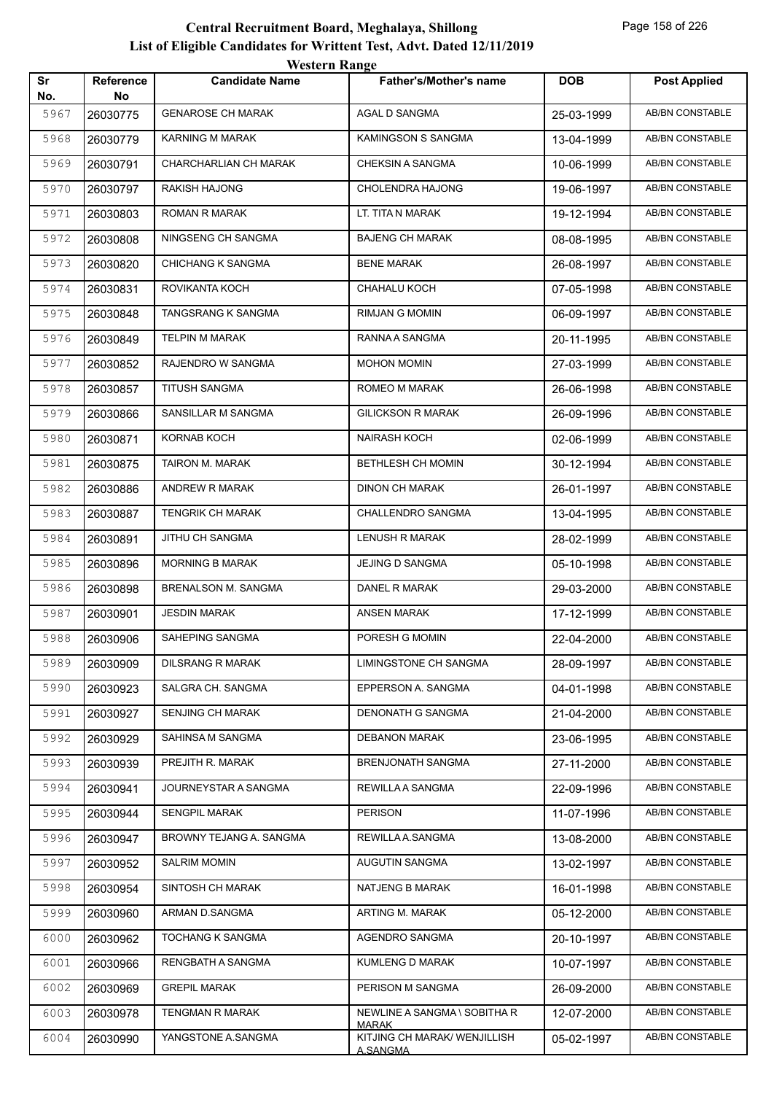|           |                        | <i><b>WEBULL WALLET</b></i> |                                                 |            |                        |
|-----------|------------------------|-----------------------------|-------------------------------------------------|------------|------------------------|
| Sr<br>No. | <b>Reference</b><br>No | <b>Candidate Name</b>       | <b>Father's/Mother's name</b>                   | <b>DOB</b> | <b>Post Applied</b>    |
| 5967      | 26030775               | <b>GENAROSE CH MARAK</b>    | AGAL D SANGMA                                   | 25-03-1999 | AB/BN CONSTABLE        |
| 5968      | 26030779               | <b>KARNING M MARAK</b>      | KAMINGSON S SANGMA                              | 13-04-1999 | <b>AB/BN CONSTABLE</b> |
| 5969      | 26030791               | CHARCHARLIAN CH MARAK       | <b>CHEKSIN A SANGMA</b>                         | 10-06-1999 | <b>AB/BN CONSTABLE</b> |
| 5970      | 26030797               | RAKISH HAJONG               | <b>CHOLENDRA HAJONG</b>                         | 19-06-1997 | <b>AB/BN CONSTABLE</b> |
| 5971      | 26030803               | ROMAN R MARAK               | LT. TITA N MARAK                                | 19-12-1994 | AB/BN CONSTABLE        |
| 5972      | 26030808               | NINGSENG CH SANGMA          | <b>BAJENG CH MARAK</b>                          | 08-08-1995 | AB/BN CONSTABLE        |
| 5973      | 26030820               | <b>CHICHANG K SANGMA</b>    | <b>BENE MARAK</b>                               | 26-08-1997 | AB/BN CONSTABLE        |
| 5974      | 26030831               | ROVIKANTA KOCH              | CHAHALU KOCH                                    | 07-05-1998 | <b>AB/BN CONSTABLE</b> |
| 5975      | 26030848               | TANGSRANG K SANGMA          | RIMJAN G MOMIN                                  | 06-09-1997 | AB/BN CONSTABLE        |
| 5976      | 26030849               | TELPIN M MARAK              | RANNA A SANGMA                                  | 20-11-1995 | AB/BN CONSTABLE        |
| 5977      | 26030852               | RAJENDRO W SANGMA           | MOHON MOMIN                                     | 27-03-1999 | AB/BN CONSTABLE        |
| 5978      | 26030857               | <b>TITUSH SANGMA</b>        | ROMEO M MARAK                                   | 26-06-1998 | <b>AB/BN CONSTABLE</b> |
| 5979      | 26030866               | SANSILLAR M SANGMA          | <b>GILICKSON R MARAK</b>                        | 26-09-1996 | <b>AB/BN CONSTABLE</b> |
| 5980      | 26030871               | KORNAB KOCH                 | <b>NAIRASH KOCH</b>                             | 02-06-1999 | AB/BN CONSTABLE        |
| 5981      | 26030875               | TAIRON M. MARAK             | BETHLESH CH MOMIN                               | 30-12-1994 | AB/BN CONSTABLE        |
| 5982      | 26030886               | ANDREW R MARAK              | DINON CH MARAK                                  | 26-01-1997 | AB/BN CONSTABLE        |
| 5983      | 26030887               | <b>TENGRIK CH MARAK</b>     | CHALLENDRO SANGMA                               | 13-04-1995 | <b>AB/BN CONSTABLE</b> |
| 5984      | 26030891               | JITHU CH SANGMA             | LENUSH R MARAK                                  | 28-02-1999 | <b>AB/BN CONSTABLE</b> |
| 5985      | 26030896               | <b>MORNING B MARAK</b>      | JEJING D SANGMA                                 | 05-10-1998 | AB/BN CONSTABLE        |
| 5986      | 26030898               | <b>BRENALSON M. SANGMA</b>  | DANEL R MARAK                                   | 29-03-2000 | AB/BN CONSTABLE        |
| 5987      | 26030901               | <b>JESDIN MARAK</b>         | ANSEN MARAK                                     | 17-12-1999 | AB/BN CONSTABLE        |
| 5988      | 26030906               | SAHEPING SANGMA             | PORESH G MOMIN                                  | 22-04-2000 | AB/BN CONSTABLE        |
| 5989      | 26030909               | <b>DILSRANG R MARAK</b>     | LIMINGSTONE CH SANGMA                           | 28-09-1997 | AB/BN CONSTABLE        |
| 5990      | 26030923               | SALGRA CH. SANGMA           | EPPERSON A. SANGMA                              | 04-01-1998 | AB/BN CONSTABLE        |
| 5991      | 26030927               | <b>SENJING CH MARAK</b>     | DENONATH G SANGMA                               | 21-04-2000 | AB/BN CONSTABLE        |
| 5992      | 26030929               | SAHINSA M SANGMA            | <b>DEBANON MARAK</b>                            | 23-06-1995 | AB/BN CONSTABLE        |
| 5993      | 26030939               | PREJITH R. MARAK            | <b>BRENJONATH SANGMA</b>                        | 27-11-2000 | AB/BN CONSTABLE        |
| 5994      | 26030941               | JOURNEYSTAR A SANGMA        | REWILLA A SANGMA                                | 22-09-1996 | <b>AB/BN CONSTABLE</b> |
| 5995      | 26030944               | <b>SENGPIL MARAK</b>        | <b>PERISON</b>                                  | 11-07-1996 | AB/BN CONSTABLE        |
| 5996      | 26030947               | BROWNY TEJANG A. SANGMA     | REWILLA A.SANGMA                                | 13-08-2000 | AB/BN CONSTABLE        |
| 5997      | 26030952               | <b>SALRIM MOMIN</b>         | AUGUTIN SANGMA                                  | 13-02-1997 | AB/BN CONSTABLE        |
| 5998      | 26030954               | SINTOSH CH MARAK            | NATJENG B MARAK                                 | 16-01-1998 | AB/BN CONSTABLE        |
| 5999      | 26030960               | ARMAN D.SANGMA              | ARTING M. MARAK                                 | 05-12-2000 | AB/BN CONSTABLE        |
| 6000      | 26030962               | TOCHANG K SANGMA            | AGENDRO SANGMA                                  | 20-10-1997 | AB/BN CONSTABLE        |
| 6001      | 26030966               | RENGBATH A SANGMA           | KUMLENG D MARAK                                 | 10-07-1997 | AB/BN CONSTABLE        |
| 6002      | 26030969               | <b>GREPIL MARAK</b>         | PERISON M SANGMA                                | 26-09-2000 | AB/BN CONSTABLE        |
| 6003      | 26030978               | TENGMAN R MARAK             | NEWLINE A SANGMA \ SOBITHA R<br><b>MARAK</b>    | 12-07-2000 | AB/BN CONSTABLE        |
| 6004      | 26030990               | YANGSTONE A.SANGMA          | KITJING CH MARAK/ WENJILLISH<br><u>A.SANGMA</u> | 05-02-1997 | AB/BN CONSTABLE        |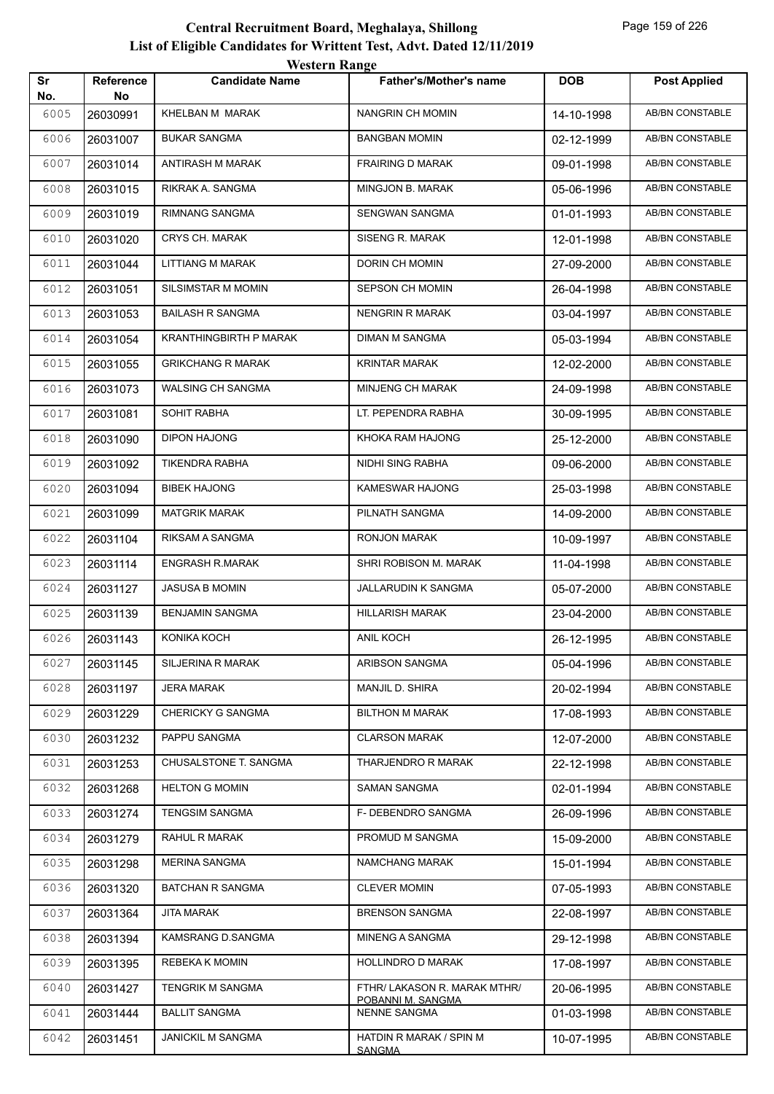|           |                        | western Kange                 |                                          |            |                        |
|-----------|------------------------|-------------------------------|------------------------------------------|------------|------------------------|
| Sr<br>No. | <b>Reference</b><br>No | <b>Candidate Name</b>         | Father's/Mother's name                   | <b>DOB</b> | <b>Post Applied</b>    |
| 6005      | 26030991               | KHELBAN M MARAK               | NANGRIN CH MOMIN                         | 14-10-1998 | AB/BN CONSTABLE        |
| 6006      | 26031007               | <b>BUKAR SANGMA</b>           | <b>BANGBAN MOMIN</b>                     | 02-12-1999 | AB/BN CONSTABLE        |
| 6007      | 26031014               | ANTIRASH M MARAK              | <b>FRAIRING D MARAK</b>                  | 09-01-1998 | AB/BN CONSTABLE        |
| 6008      | 26031015               | RIKRAK A. SANGMA              | MINGJON B. MARAK                         | 05-06-1996 | <b>AB/BN CONSTABLE</b> |
| 6009      | 26031019               | RIMNANG SANGMA                | <b>SENGWAN SANGMA</b>                    | 01-01-1993 | AB/BN CONSTABLE        |
| 6010      | 26031020               | CRYS CH. MARAK                | SISENG R. MARAK                          | 12-01-1998 | AB/BN CONSTABLE        |
| 6011      | 26031044               | <b>LITTIANG M MARAK</b>       | DORIN CH MOMIN                           | 27-09-2000 | AB/BN CONSTABLE        |
| 6012      | 26031051               | SILSIMSTAR M MOMIN            | SEPSON CH MOMIN                          | 26-04-1998 | AB/BN CONSTABLE        |
| 6013      | 26031053               | <b>BAILASH R SANGMA</b>       | <b>NENGRIN R MARAK</b>                   | 03-04-1997 | <b>AB/BN CONSTABLE</b> |
| 6014      | 26031054               | <b>KRANTHINGBIRTH P MARAK</b> | <b>DIMAN M SANGMA</b>                    | 05-03-1994 | AB/BN CONSTABLE        |
| 6015      | 26031055               | <b>GRIKCHANG R MARAK</b>      | <b>KRINTAR MARAK</b>                     | 12-02-2000 | <b>AB/BN CONSTABLE</b> |
| 6016      | 26031073               | WALSING CH SANGMA             | MINJENG CH MARAK                         | 24-09-1998 | AB/BN CONSTABLE        |
| 6017      | 26031081               | <b>SOHIT RABHA</b>            | LT. PEPENDRA RABHA                       | 30-09-1995 | AB/BN CONSTABLE        |
| 6018      | 26031090               | <b>DIPON HAJONG</b>           | KHOKA RAM HAJONG                         | 25-12-2000 | <b>AB/BN CONSTABLE</b> |
| 6019      | 26031092               | <b>TIKENDRA RABHA</b>         | NIDHI SING RABHA                         | 09-06-2000 | AB/BN CONSTABLE        |
| 6020      | 26031094               | <b>BIBEK HAJONG</b>           | KAMESWAR HAJONG                          | 25-03-1998 | AB/BN CONSTABLE        |
| 6021      | 26031099               | <b>MATGRIK MARAK</b>          | PILNATH SANGMA                           | 14-09-2000 | AB/BN CONSTABLE        |
| 6022      | 26031104               | RIKSAM A SANGMA               | RONJON MARAK                             | 10-09-1997 | AB/BN CONSTABLE        |
| 6023      | 26031114               | <b>ENGRASH R.MARAK</b>        | SHRI ROBISON M. MARAK                    | 11-04-1998 | <b>AB/BN CONSTABLE</b> |
| 6024      | 26031127               | JASUSA B MOMIN                | <b>JALLARUDIN K SANGMA</b>               | 05-07-2000 | AB/BN CONSTABLE        |
| 6025      | 26031139               | <b>BENJAMIN SANGMA</b>        | <b>HILLARISH MARAK</b>                   | 23-04-2000 | AB/BN CONSTABLE        |
| 6026      | 26031143               | KONIKA KOCH                   | ANIL KOCH                                | 26-12-1995 | AB/BN CONSTABLE        |
| 6027      | 26031145               | SILJERINA R MARAK             | ARIBSON SANGMA                           | 05-04-1996 | AB/BN CONSTABLE        |
| 6028      | 26031197               | <b>JERA MARAK</b>             | MANJIL D. SHIRA                          | 20-02-1994 | <b>AB/BN CONSTABLE</b> |
| 6029      | 26031229               | CHERICKY G SANGMA             | <b>BILTHON M MARAK</b>                   | 17-08-1993 | AB/BN CONSTABLE        |
| 6030      | 26031232               | PAPPU SANGMA                  | <b>CLARSON MARAK</b>                     | 12-07-2000 | AB/BN CONSTABLE        |
| 6031      | 26031253               | CHUSALSTONE T. SANGMA         | THARJENDRO R MARAK                       | 22-12-1998 | AB/BN CONSTABLE        |
| 6032      | 26031268               | <b>HELTON G MOMIN</b>         | SAMAN SANGMA                             | 02-01-1994 | AB/BN CONSTABLE        |
| 6033      | 26031274               | <b>TENGSIM SANGMA</b>         | F- DEBENDRO SANGMA                       | 26-09-1996 | AB/BN CONSTABLE        |
| 6034      | 26031279               | RAHUL R MARAK                 | PROMUD M SANGMA                          | 15-09-2000 | AB/BN CONSTABLE        |
| 6035      | 26031298               | <b>MERINA SANGMA</b>          | NAMCHANG MARAK                           | 15-01-1994 | AB/BN CONSTABLE        |
| 6036      | 26031320               | <b>BATCHAN R SANGMA</b>       | <b>CLEVER MOMIN</b>                      | 07-05-1993 | AB/BN CONSTABLE        |
| 6037      | 26031364               | JITA MARAK                    | <b>BRENSON SANGMA</b>                    | 22-08-1997 | AB/BN CONSTABLE        |
| 6038      | 26031394               | KAMSRANG D.SANGMA             | MINENG A SANGMA                          | 29-12-1998 | AB/BN CONSTABLE        |
| 6039      | 26031395               | REBEKA K MOMIN                | HOLLINDRO D MARAK                        | 17-08-1997 | AB/BN CONSTABLE        |
| 6040      | 26031427               | TENGRIK M SANGMA              | FTHR/ LAKASON R. MARAK MTHR/             | 20-06-1995 | AB/BN CONSTABLE        |
| 6041      | 26031444               | <b>BALLIT SANGMA</b>          | POBANNI M. SANGMA<br><b>NENNE SANGMA</b> | 01-03-1998 | AB/BN CONSTABLE        |
| 6042      | 26031451               | <b>JANICKIL M SANGMA</b>      | HATDIN R MARAK / SPIN M                  | 10-07-1995 | AB/BN CONSTABLE        |
|           |                        |                               | <b>SANGMA</b>                            |            |                        |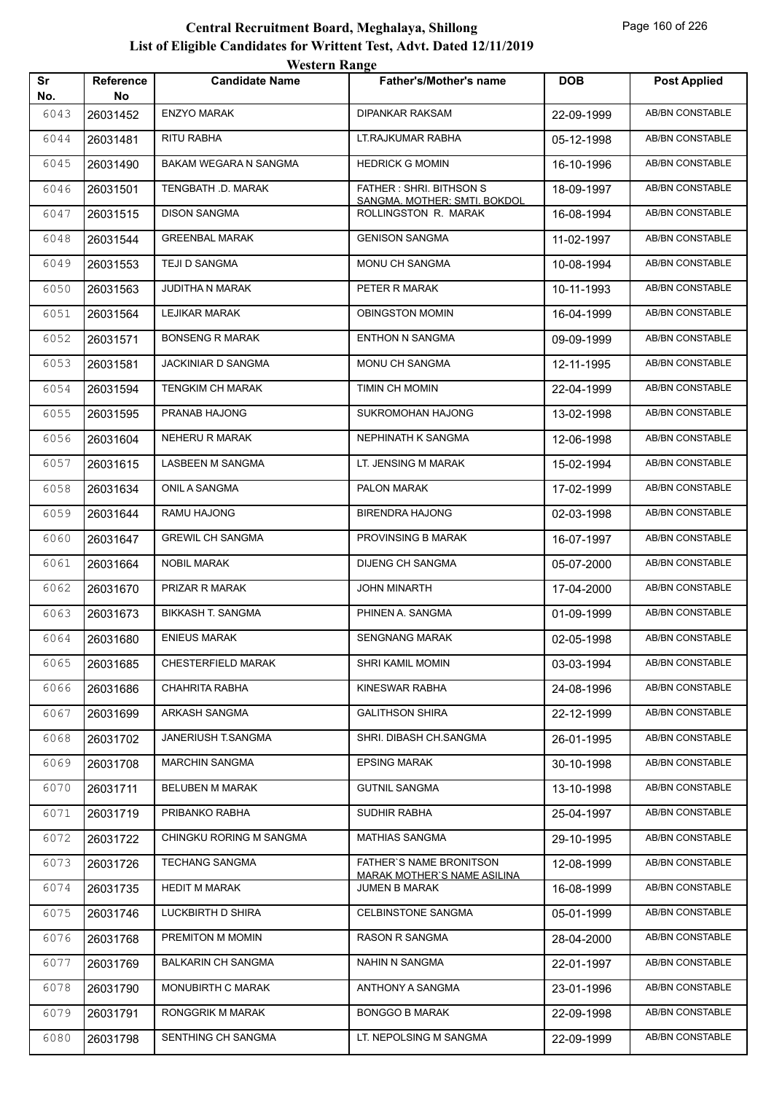| Sr   | Reference | WUSULI RAHEU<br><b>Candidate Name</b> | Father's/Mother's name                                        | <b>DOB</b> | <b>Post Applied</b> |
|------|-----------|---------------------------------------|---------------------------------------------------------------|------------|---------------------|
| No.  | No.       |                                       |                                                               |            |                     |
| 6043 | 26031452  | <b>ENZYO MARAK</b>                    | <b>DIPANKAR RAKSAM</b>                                        | 22-09-1999 | AB/BN CONSTABLE     |
| 6044 | 26031481  | RITU RABHA                            | LT.RAJKUMAR RABHA                                             | 05-12-1998 | AB/BN CONSTABLE     |
| 6045 | 26031490  | BAKAM WEGARA N SANGMA                 | <b>HEDRICK G MOMIN</b>                                        | 16-10-1996 | AB/BN CONSTABLE     |
| 6046 | 26031501  | TENGBATH .D. MARAK                    | FATHER: SHRI. BITHSON S<br>SANGMA. MOTHER: SMTI. BOKDOL       | 18-09-1997 | AB/BN CONSTABLE     |
| 6047 | 26031515  | <b>DISON SANGMA</b>                   | ROLLINGSTON R. MARAK                                          | 16-08-1994 | AB/BN CONSTABLE     |
| 6048 | 26031544  | <b>GREENBAL MARAK</b>                 | <b>GENISON SANGMA</b>                                         | 11-02-1997 | AB/BN CONSTABLE     |
| 6049 | 26031553  | TEJI D SANGMA                         | MONU CH SANGMA                                                | 10-08-1994 | AB/BN CONSTABLE     |
| 6050 | 26031563  | JUDITHA N MARAK                       | PETER R MARAK                                                 | 10-11-1993 | AB/BN CONSTABLE     |
| 6051 | 26031564  | <b>LEJIKAR MARAK</b>                  | <b>OBINGSTON MOMIN</b>                                        | 16-04-1999 | AB/BN CONSTABLE     |
| 6052 | 26031571  | <b>BONSENG R MARAK</b>                | <b>ENTHON N SANGMA</b>                                        | 09-09-1999 | AB/BN CONSTABLE     |
| 6053 | 26031581  | JACKINIAR D SANGMA                    | MONU CH SANGMA                                                | 12-11-1995 | AB/BN CONSTABLE     |
| 6054 | 26031594  | TENGKIM CH MARAK                      | TIMIN CH MOMIN                                                | 22-04-1999 | AB/BN CONSTABLE     |
| 6055 | 26031595  | PRANAB HAJONG                         | SUKROMOHAN HAJONG                                             | 13-02-1998 | AB/BN CONSTABLE     |
| 6056 | 26031604  | NEHERU R MARAK                        | NEPHINATH K SANGMA                                            | 12-06-1998 | AB/BN CONSTABLE     |
| 6057 | 26031615  | LASBEEN M SANGMA                      | LT. JENSING M MARAK                                           | 15-02-1994 | AB/BN CONSTABLE     |
| 6058 | 26031634  | ONIL A SANGMA                         | PALON MARAK                                                   | 17-02-1999 | AB/BN CONSTABLE     |
| 6059 | 26031644  | RAMU HAJONG                           | <b>BIRENDRA HAJONG</b>                                        | 02-03-1998 | AB/BN CONSTABLE     |
| 6060 | 26031647  | <b>GREWIL CH SANGMA</b>               | PROVINSING B MARAK                                            | 16-07-1997 | AB/BN CONSTABLE     |
| 6061 | 26031664  | <b>NOBIL MARAK</b>                    | <b>DIJENG CH SANGMA</b>                                       | 05-07-2000 | AB/BN CONSTABLE     |
| 6062 | 26031670  | PRIZAR R MARAK                        | JOHN MINARTH                                                  | 17-04-2000 | AB/BN CONSTABLE     |
| 6063 | 26031673  | <b>BIKKASH T. SANGMA</b>              | PHINEN A. SANGMA                                              | 01-09-1999 | AB/BN CONSTABLE     |
| 6064 | 26031680  | <b>ENIEUS MARAK</b>                   | <b>SENGNANG MARAK</b>                                         | 02-05-1998 | AB/BN CONSTABLE     |
| 6065 | 26031685  | <b>CHESTERFIELD MARAK</b>             | SHRI KAMIL MOMIN                                              | 03-03-1994 | AB/BN CONSTABLE     |
| 6066 | 26031686  | CHAHRITA RABHA                        | KINESWAR RABHA                                                | 24-08-1996 | AB/BN CONSTABLE     |
| 6067 | 26031699  | ARKASH SANGMA                         | <b>GALITHSON SHIRA</b>                                        | 22-12-1999 | AB/BN CONSTABLE     |
| 6068 | 26031702  | JANERIUSH T.SANGMA                    | SHRI. DIBASH CH.SANGMA                                        | 26-01-1995 | AB/BN CONSTABLE     |
| 6069 | 26031708  | <b>MARCHIN SANGMA</b>                 | <b>EPSING MARAK</b>                                           | 30-10-1998 | AB/BN CONSTABLE     |
| 6070 | 26031711  | BELUBEN M MARAK                       | <b>GUTNIL SANGMA</b>                                          | 13-10-1998 | AB/BN CONSTABLE     |
| 6071 | 26031719  | PRIBANKO RABHA                        | SUDHIR RABHA                                                  | 25-04-1997 | AB/BN CONSTABLE     |
| 6072 | 26031722  | CHINGKU RORING M SANGMA               | <b>MATHIAS SANGMA</b>                                         | 29-10-1995 | AB/BN CONSTABLE     |
| 6073 | 26031726  | <b>TECHANG SANGMA</b>                 | FATHER'S NAME BRONITSON<br><b>MARAK MOTHER'S NAME ASILINA</b> | 12-08-1999 | AB/BN CONSTABLE     |
| 6074 | 26031735  | <b>HEDIT M MARAK</b>                  | JUMEN B MARAK                                                 | 16-08-1999 | AB/BN CONSTABLE     |
| 6075 | 26031746  | LUCKBIRTH D SHIRA                     | CELBINSTONE SANGMA                                            | 05-01-1999 | AB/BN CONSTABLE     |
| 6076 | 26031768  | PREMITON M MOMIN                      | <b>RASON R SANGMA</b>                                         | 28-04-2000 | AB/BN CONSTABLE     |
| 6077 | 26031769  | <b>BALKARIN CH SANGMA</b>             | NAHIN N SANGMA                                                | 22-01-1997 | AB/BN CONSTABLE     |
| 6078 | 26031790  | MONUBIRTH C MARAK                     | ANTHONY A SANGMA                                              | 23-01-1996 | AB/BN CONSTABLE     |
| 6079 | 26031791  | RONGGRIK M MARAK                      | <b>BONGGO B MARAK</b>                                         | 22-09-1998 | AB/BN CONSTABLE     |
| 6080 | 26031798  | SENTHING CH SANGMA                    | LT. NEPOLSING M SANGMA                                        | 22-09-1999 | AB/BN CONSTABLE     |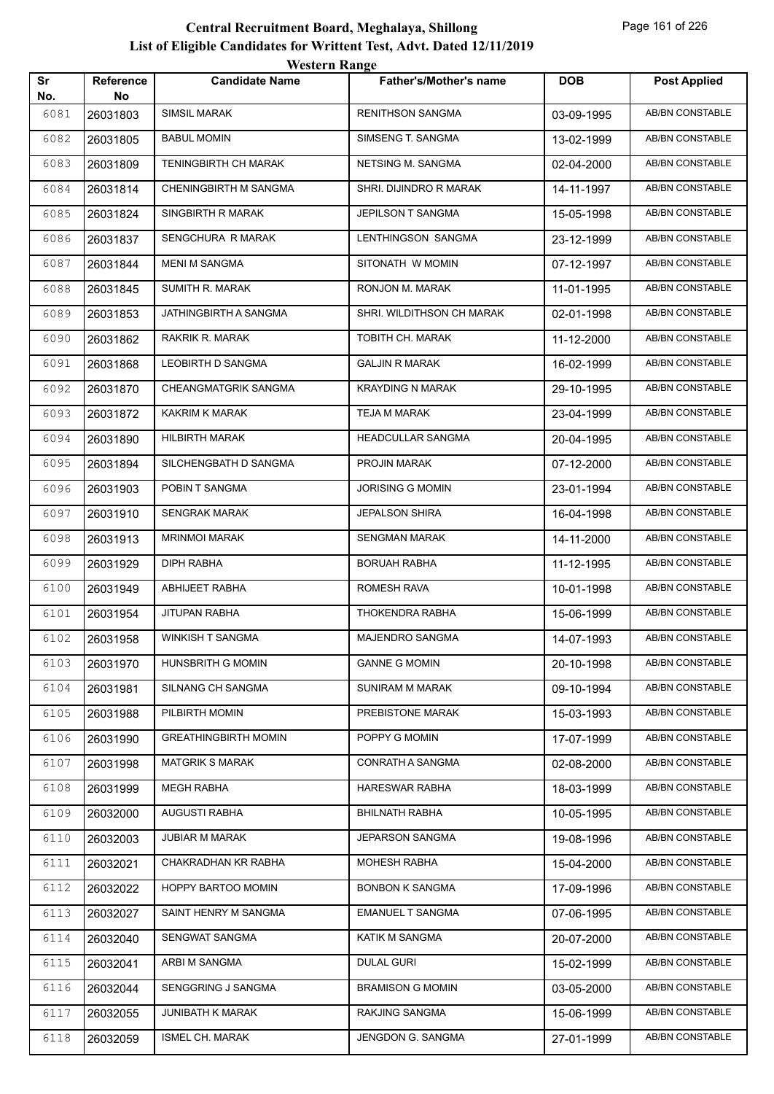| Sr          | Reference      | <b>Candidate Name</b>       | <b>Father's/Mother's name</b> | <b>DOB</b> | <b>Post Applied</b>    |
|-------------|----------------|-----------------------------|-------------------------------|------------|------------------------|
| No.<br>6081 | No<br>26031803 | SIMSIL MARAK                | <b>RENITHSON SANGMA</b>       | 03-09-1995 | AB/BN CONSTABLE        |
| 6082        | 26031805       | <b>BABUL MOMIN</b>          | SIMSENG T. SANGMA             | 13-02-1999 | <b>AB/BN CONSTABLE</b> |
| 6083        | 26031809       | TENINGBIRTH CH MARAK        | NETSING M. SANGMA             | 02-04-2000 | <b>AB/BN CONSTABLE</b> |
| 6084        | 26031814       | CHENINGBIRTH M SANGMA       | SHRI. DIJINDRO R MARAK        | 14-11-1997 | AB/BN CONSTABLE        |
| 6085        | 26031824       | SINGBIRTH R MARAK           | JEPILSON T SANGMA             | 15-05-1998 | AB/BN CONSTABLE        |
| 6086        | 26031837       | SENGCHURA R MARAK           | LENTHINGSON SANGMA            | 23-12-1999 | AB/BN CONSTABLE        |
| 6087        | 26031844       | <b>MENI M SANGMA</b>        | SITONATH W MOMIN              | 07-12-1997 | <b>AB/BN CONSTABLE</b> |
| 6088        | 26031845       | SUMITH R. MARAK             | RONJON M. MARAK               | 11-01-1995 | <b>AB/BN CONSTABLE</b> |
| 6089        | 26031853       | JATHINGBIRTH A SANGMA       | SHRI. WILDITHSON CH MARAK     | 02-01-1998 | AB/BN CONSTABLE        |
| 6090        | 26031862       | RAKRIK R. MARAK             | TOBITH CH. MARAK              | 11-12-2000 | AB/BN CONSTABLE        |
| 6091        | 26031868       | LEOBIRTH D SANGMA           | <b>GALJIN R MARAK</b>         | 16-02-1999 | AB/BN CONSTABLE        |
| 6092        | 26031870       | CHEANGMATGRIK SANGMA        | <b>KRAYDING N MARAK</b>       | 29-10-1995 | <b>AB/BN CONSTABLE</b> |
| 6093        | 26031872       | KAKRIM K MARAK              | TEJA M MARAK                  | 23-04-1999 | <b>AB/BN CONSTABLE</b> |
| 6094        | 26031890       | <b>HILBIRTH MARAK</b>       | <b>HEADCULLAR SANGMA</b>      | 20-04-1995 | AB/BN CONSTABLE        |
| 6095        | 26031894       | SILCHENGBATH D SANGMA       | PROJIN MARAK                  | 07-12-2000 | AB/BN CONSTABLE        |
| 6096        | 26031903       | POBIN T SANGMA              | <b>JORISING G MOMIN</b>       | 23-01-1994 | AB/BN CONSTABLE        |
| 6097        | 26031910       | <b>SENGRAK MARAK</b>        | <b>JEPALSON SHIRA</b>         | 16-04-1998 | AB/BN CONSTABLE        |
| 6098        | 26031913       | <b>MRINMOI MARAK</b>        | <b>SENGMAN MARAK</b>          | 14-11-2000 | <b>AB/BN CONSTABLE</b> |
| 6099        | 26031929       | DIPH RABHA                  | <b>BORUAH RABHA</b>           | 11-12-1995 | AB/BN CONSTABLE        |
| 6100        | 26031949       | ABHIJEET RABHA              | <b>ROMESH RAVA</b>            | 10-01-1998 | AB/BN CONSTABLE        |
| 6101        | 26031954       | JITUPAN RABHA               | THOKENDRA RABHA               | 15-06-1999 | AB/BN CONSTABLE        |
| 6102        | 26031958       | WINKISH T SANGMA            | <b>MAJENDRO SANGMA</b>        | 14-07-1993 | <b>AB/BN CONSTABLE</b> |
| 6103        | 26031970       | HUNSBRITH G MOMIN           | <b>GANNE G MOMIN</b>          | 20-10-1998 | AB/BN CONSTABLE        |
| 6104        | 26031981       | SILNANG CH SANGMA           | <b>SUNIRAM M MARAK</b>        | 09-10-1994 | AB/BN CONSTABLE        |
| 6105        | 26031988       | PILBIRTH MOMIN              | PREBISTONE MARAK              | 15-03-1993 | AB/BN CONSTABLE        |
| 6106        | 26031990       | <b>GREATHINGBIRTH MOMIN</b> | POPPY G MOMIN                 | 17-07-1999 | AB/BN CONSTABLE        |
| 6107        | 26031998       | <b>MATGRIK S MARAK</b>      | CONRATH A SANGMA              | 02-08-2000 | AB/BN CONSTABLE        |
| 6108        | 26031999       | <b>MEGH RABHA</b>           | HARESWAR RABHA                | 18-03-1999 | AB/BN CONSTABLE        |
| 6109        | 26032000       | <b>AUGUSTI RABHA</b>        | <b>BHILNATH RABHA</b>         | 10-05-1995 | AB/BN CONSTABLE        |
| 6110        | 26032003       | <b>JUBIAR M MARAK</b>       | JEPARSON SANGMA               | 19-08-1996 | AB/BN CONSTABLE        |
| 6111        | 26032021       | CHAKRADHAN KR RABHA         | <b>MOHESH RABHA</b>           | 15-04-2000 | AB/BN CONSTABLE        |
| 6112        | 26032022       | HOPPY BARTOO MOMIN          | <b>BONBON K SANGMA</b>        | 17-09-1996 | AB/BN CONSTABLE        |
| 6113        | 26032027       | SAINT HENRY M SANGMA        | <b>EMANUEL T SANGMA</b>       | 07-06-1995 | AB/BN CONSTABLE        |
| 6114        | 26032040       | SENGWAT SANGMA              | KATIK M SANGMA                | 20-07-2000 | AB/BN CONSTABLE        |
| 6115        | 26032041       | ARBI M SANGMA               | <b>DULAL GURI</b>             | 15-02-1999 | AB/BN CONSTABLE        |
| 6116        | 26032044       | SENGGRING J SANGMA          | <b>BRAMISON G MOMIN</b>       | 03-05-2000 | AB/BN CONSTABLE        |
| 6117        | 26032055       | <b>JUNIBATH K MARAK</b>     | RAKJING SANGMA                | 15-06-1999 | AB/BN CONSTABLE        |
| 6118        | 26032059       | <b>ISMEL CH. MARAK</b>      | JENGDON G. SANGMA             | 27-01-1999 | AB/BN CONSTABLE        |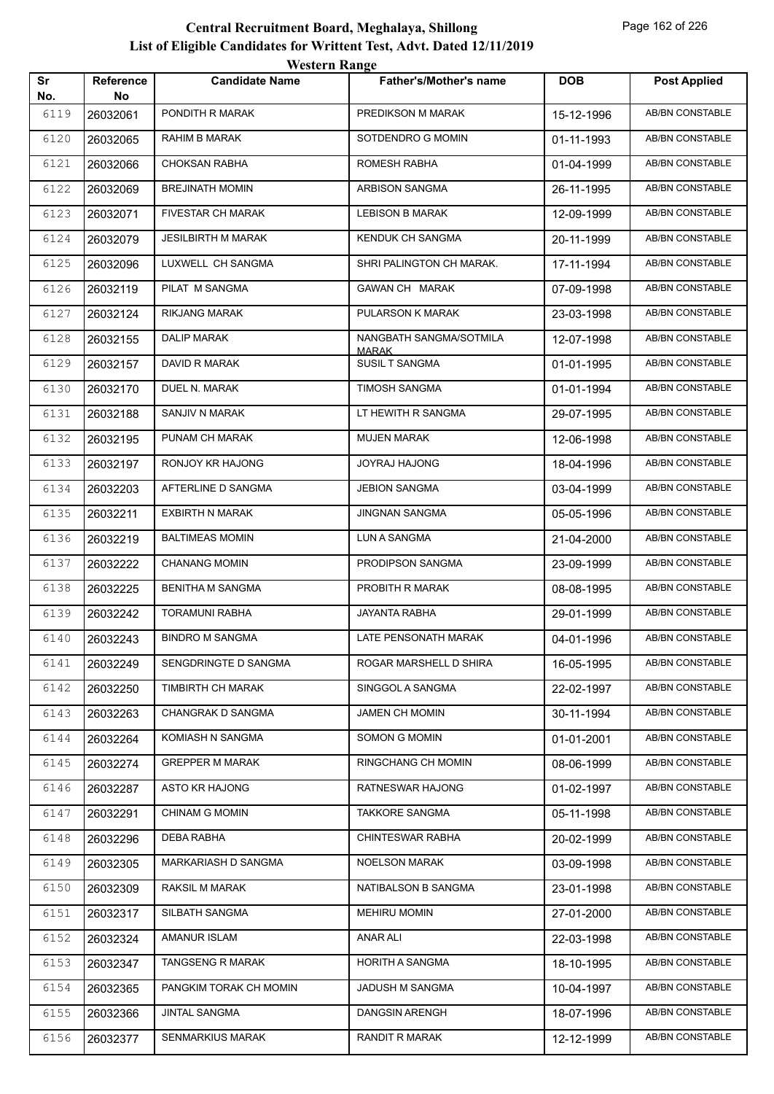| Sr          | Reference      | <b>Candidate Name</b>     | <b>Father's/Mother's name</b>         | <b>DOB</b> | <b>Post Applied</b>    |
|-------------|----------------|---------------------------|---------------------------------------|------------|------------------------|
| No.<br>6119 | No<br>26032061 | PONDITH R MARAK           | PREDIKSON M MARAK                     | 15-12-1996 | AB/BN CONSTABLE        |
| 6120        | 26032065       | RAHIM B MARAK             | SOTDENDRO G MOMIN                     | 01-11-1993 | <b>AB/BN CONSTABLE</b> |
| 6121        | 26032066       | <b>CHOKSAN RABHA</b>      | ROMESH RABHA                          | 01-04-1999 | AB/BN CONSTABLE        |
| 6122        | 26032069       | <b>BREJINATH MOMIN</b>    | ARBISON SANGMA                        | 26-11-1995 | AB/BN CONSTABLE        |
| 6123        | 26032071       | <b>FIVESTAR CH MARAK</b>  | <b>LEBISON B MARAK</b>                | 12-09-1999 | AB/BN CONSTABLE        |
| 6124        | 26032079       | <b>JESILBIRTH M MARAK</b> | KENDUK CH SANGMA                      | 20-11-1999 | AB/BN CONSTABLE        |
| 6125        | 26032096       | LUXWELL CH SANGMA         | SHRI PALINGTON CH MARAK.              | 17-11-1994 | AB/BN CONSTABLE        |
| 6126        | 26032119       | PILAT M SANGMA            | GAWAN CH MARAK                        | 07-09-1998 | AB/BN CONSTABLE        |
| 6127        | 26032124       | <b>RIKJANG MARAK</b>      | PULARSON K MARAK                      | 23-03-1998 | AB/BN CONSTABLE        |
| 6128        | 26032155       | <b>DALIP MARAK</b>        | NANGBATH SANGMA/SOTMILA               | 12-07-1998 | AB/BN CONSTABLE        |
| 6129        | 26032157       | DAVID R MARAK             | <b>MARAK</b><br><b>SUSIL T SANGMA</b> | 01-01-1995 | AB/BN CONSTABLE        |
| 6130        | 26032170       | DUEL N. MARAK             | <b>TIMOSH SANGMA</b>                  | 01-01-1994 | AB/BN CONSTABLE        |
| 6131        | 26032188       | SANJIV N MARAK            | LT HEWITH R SANGMA                    | 29-07-1995 | AB/BN CONSTABLE        |
| 6132        | 26032195       | PUNAM CH MARAK            | <b>MUJEN MARAK</b>                    | 12-06-1998 | AB/BN CONSTABLE        |
| 6133        | 26032197       | RONJOY KR HAJONG          | JOYRAJ HAJONG                         | 18-04-1996 | AB/BN CONSTABLE        |
| 6134        | 26032203       | AFTERLINE D SANGMA        | <b>JEBION SANGMA</b>                  | 03-04-1999 | AB/BN CONSTABLE        |
| 6135        | 26032211       | <b>EXBIRTH N MARAK</b>    | <b>JINGNAN SANGMA</b>                 | 05-05-1996 | AB/BN CONSTABLE        |
| 6136        | 26032219       | <b>BALTIMEAS MOMIN</b>    | LUN A SANGMA                          | 21-04-2000 | AB/BN CONSTABLE        |
| 6137        | 26032222       | <b>CHANANG MOMIN</b>      | PRODIPSON SANGMA                      | 23-09-1999 | AB/BN CONSTABLE        |
| 6138        | 26032225       | <b>BENITHA M SANGMA</b>   | PROBITH R MARAK                       | 08-08-1995 | AB/BN CONSTABLE        |
| 6139        | 26032242       | <b>TORAMUNI RABHA</b>     | JAYANTA RABHA                         | 29-01-1999 | AB/BN CONSTABLE        |
| 6140        | 26032243       | <b>BINDRO M SANGMA</b>    | LATE PENSONATH MARAK                  | 04-01-1996 | AB/BN CONSTABLE        |
| 6141        | 26032249       | SENGDRINGTE D SANGMA      | ROGAR MARSHELL D SHIRA                | 16-05-1995 | <b>AB/BN CONSTABLE</b> |
| 6142        | 26032250       | TIMBIRTH CH MARAK         | SINGGOL A SANGMA                      | 22-02-1997 | AB/BN CONSTABLE        |
| 6143        | 26032263       | CHANGRAK D SANGMA         | <b>JAMEN CH MOMIN</b>                 | 30-11-1994 | AB/BN CONSTABLE        |
| 6144        | 26032264       | KOMIASH N SANGMA          | SOMON G MOMIN                         | 01-01-2001 | AB/BN CONSTABLE        |
| 6145        | 26032274       | <b>GREPPER M MARAK</b>    | RINGCHANG CH MOMIN                    | 08-06-1999 | AB/BN CONSTABLE        |
| 6146        | 26032287       | ASTO KR HAJONG            | RATNESWAR HAJONG                      | 01-02-1997 | AB/BN CONSTABLE        |
| 6147        | 26032291       | <b>CHINAM G MOMIN</b>     | <b>TAKKORE SANGMA</b>                 | 05-11-1998 | AB/BN CONSTABLE        |
| 6148        | 26032296       | DEBA RABHA                | CHINTESWAR RABHA                      | 20-02-1999 | AB/BN CONSTABLE        |
| 6149        | 26032305       | MARKARIASH D SANGMA       | NOELSON MARAK                         | 03-09-1998 | AB/BN CONSTABLE        |
| 6150        | 26032309       | RAKSIL M MARAK            | NATIBALSON B SANGMA                   | 23-01-1998 | AB/BN CONSTABLE        |
| 6151        | 26032317       | SILBATH SANGMA            | <b>MEHIRU MOMIN</b>                   | 27-01-2000 | AB/BN CONSTABLE        |
| 6152        | 26032324       | <b>AMANUR ISLAM</b>       | ANAR ALI                              | 22-03-1998 | AB/BN CONSTABLE        |
| 6153        | 26032347       | <b>TANGSENG R MARAK</b>   | HORITH A SANGMA                       | 18-10-1995 | AB/BN CONSTABLE        |
| 6154        | 26032365       | PANGKIM TORAK CH MOMIN    | JADUSH M SANGMA                       | 10-04-1997 | AB/BN CONSTABLE        |
| 6155        | 26032366       | <b>JINTAL SANGMA</b>      | <b>DANGSIN ARENGH</b>                 | 18-07-1996 | AB/BN CONSTABLE        |
| 6156        | 26032377       | SENMARKIUS MARAK          | <b>RANDIT R MARAK</b>                 | 12-12-1999 | AB/BN CONSTABLE        |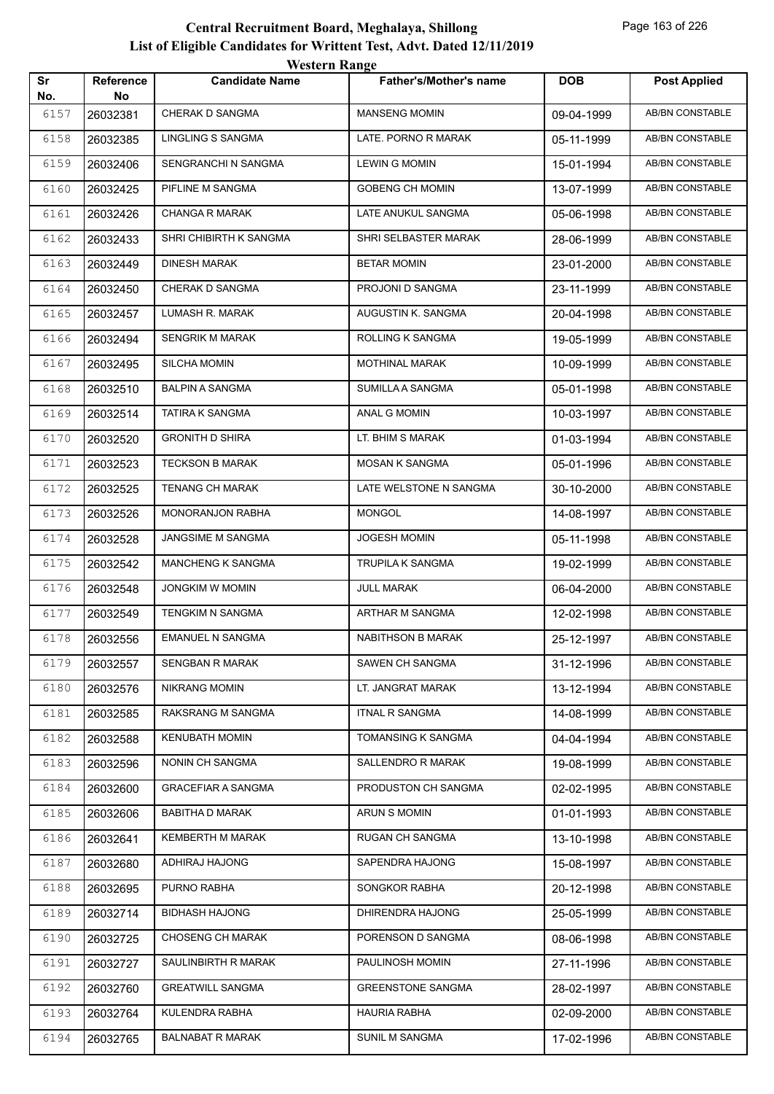|           |                        | WUSULI RAHEU              |                               |            |                        |
|-----------|------------------------|---------------------------|-------------------------------|------------|------------------------|
| Sr<br>No. | <b>Reference</b><br>No | <b>Candidate Name</b>     | <b>Father's/Mother's name</b> | <b>DOB</b> | <b>Post Applied</b>    |
| 6157      | 26032381               | CHERAK D SANGMA           | <b>MANSENG MOMIN</b>          | 09-04-1999 | AB/BN CONSTABLE        |
| 6158      | 26032385               | LINGLING S SANGMA         | LATE. PORNO R MARAK           | 05-11-1999 | AB/BN CONSTABLE        |
| 6159      | 26032406               | SENGRANCHI N SANGMA       | <b>LEWIN G MOMIN</b>          | 15-01-1994 | AB/BN CONSTABLE        |
| 6160      | 26032425               | PIFLINE M SANGMA          | GOBENG CH MOMIN               | 13-07-1999 | AB/BN CONSTABLE        |
| 6161      | 26032426               | <b>CHANGA R MARAK</b>     | LATE ANUKUL SANGMA            | 05-06-1998 | AB/BN CONSTABLE        |
| 6162      | 26032433               | SHRI CHIBIRTH K SANGMA    | SHRI SELBASTER MARAK          | 28-06-1999 | <b>AB/BN CONSTABLE</b> |
| 6163      | 26032449               | <b>DINESH MARAK</b>       | <b>BETAR MOMIN</b>            | 23-01-2000 | AB/BN CONSTABLE        |
| 6164      | 26032450               | CHERAK D SANGMA           | PROJONI D SANGMA              | 23-11-1999 | AB/BN CONSTABLE        |
| 6165      | 26032457               | LUMASH R. MARAK           | AUGUSTIN K. SANGMA            | 20-04-1998 | AB/BN CONSTABLE        |
| 6166      | 26032494               | <b>SENGRIK M MARAK</b>    | ROLLING K SANGMA              | 19-05-1999 | AB/BN CONSTABLE        |
| 6167      | 26032495               | SILCHA MOMIN              | <b>MOTHINAL MARAK</b>         | 10-09-1999 | <b>AB/BN CONSTABLE</b> |
| 6168      | 26032510               | <b>BALPIN A SANGMA</b>    | SUMILLA A SANGMA              | 05-01-1998 | AB/BN CONSTABLE        |
| 6169      | 26032514               | TATIRA K SANGMA           | ANAL G MOMIN                  | 10-03-1997 | AB/BN CONSTABLE        |
| 6170      | 26032520               | <b>GRONITH D SHIRA</b>    | LT. BHIM S MARAK              | 01-03-1994 | <b>AB/BN CONSTABLE</b> |
| 6171      | 26032523               | <b>TECKSON B MARAK</b>    | MOSAN K SANGMA                | 05-01-1996 | AB/BN CONSTABLE        |
| 6172      | 26032525               | <b>TENANG CH MARAK</b>    | LATE WELSTONE N SANGMA        | 30-10-2000 | AB/BN CONSTABLE        |
| 6173      | 26032526               | <b>MONORANJON RABHA</b>   | <b>MONGOL</b>                 | 14-08-1997 | AB/BN CONSTABLE        |
| 6174      | 26032528               | JANGSIME M SANGMA         | <b>JOGESH MOMIN</b>           | 05-11-1998 | AB/BN CONSTABLE        |
| 6175      | 26032542               | MANCHENG K SANGMA         | TRUPILA K SANGMA              | 19-02-1999 | <b>AB/BN CONSTABLE</b> |
| 6176      | 26032548               | <b>JONGKIM W MOMIN</b>    | JULL MARAK                    | 06-04-2000 | AB/BN CONSTABLE        |
| 6177      | 26032549               | TENGKIM N SANGMA          | ARTHAR M SANGMA               | 12-02-1998 | AB/BN CONSTABLE        |
| 6178      | 26032556               | <b>EMANUEL N SANGMA</b>   | <b>NABITHSON B MARAK</b>      | 25-12-1997 | AB/BN CONSTABLE        |
| 6179      | 26032557               | <b>SENGBAN R MARAK</b>    | SAWEN CH SANGMA               | 31-12-1996 | AB/BN CONSTABLE        |
| 6180      | 26032576               | <b>NIKRANG MOMIN</b>      | LT. JANGRAT MARAK             | 13-12-1994 | AB/BN CONSTABLE        |
| 6181      | 26032585               | RAKSRANG M SANGMA         | <b>ITNAL R SANGMA</b>         | 14-08-1999 | AB/BN CONSTABLE        |
| 6182      | 26032588               | <b>KENUBATH MOMIN</b>     | TOMANSING K SANGMA            | 04-04-1994 | AB/BN CONSTABLE        |
| 6183      | 26032596               | NONIN CH SANGMA           | SALLENDRO R MARAK             | 19-08-1999 | AB/BN CONSTABLE        |
| 6184      | 26032600               | <b>GRACEFIAR A SANGMA</b> | PRODUSTON CH SANGMA           | 02-02-1995 | AB/BN CONSTABLE        |
| 6185      | 26032606               | <b>BABITHA D MARAK</b>    | ARUN S MOMIN                  | 01-01-1993 | AB/BN CONSTABLE        |
| 6186      | 26032641               | KEMBERTH M MARAK          | RUGAN CH SANGMA               | 13-10-1998 | AB/BN CONSTABLE        |
| 6187      | 26032680               | ADHIRAJ HAJONG            | SAPENDRA HAJONG               | 15-08-1997 | AB/BN CONSTABLE        |
| 6188      | 26032695               | PURNO RABHA               | SONGKOR RABHA                 | 20-12-1998 | AB/BN CONSTABLE        |
| 6189      | 26032714               | <b>BIDHASH HAJONG</b>     | DHIRENDRA HAJONG              | 25-05-1999 | AB/BN CONSTABLE        |
| 6190      | 26032725               | <b>CHOSENG CH MARAK</b>   | PORENSON D SANGMA             | 08-06-1998 | AB/BN CONSTABLE        |
| 6191      | 26032727               | SAULINBIRTH R MARAK       | PAULINOSH MOMIN               | 27-11-1996 | AB/BN CONSTABLE        |
| 6192      | 26032760               | <b>GREATWILL SANGMA</b>   | <b>GREENSTONE SANGMA</b>      | 28-02-1997 | AB/BN CONSTABLE        |
| 6193      | 26032764               | KULENDRA RABHA            | HAURIA RABHA                  | 02-09-2000 | AB/BN CONSTABLE        |
| 6194      | 26032765               | <b>BALNABAT R MARAK</b>   | SUNIL M SANGMA                | 17-02-1996 | AB/BN CONSTABLE        |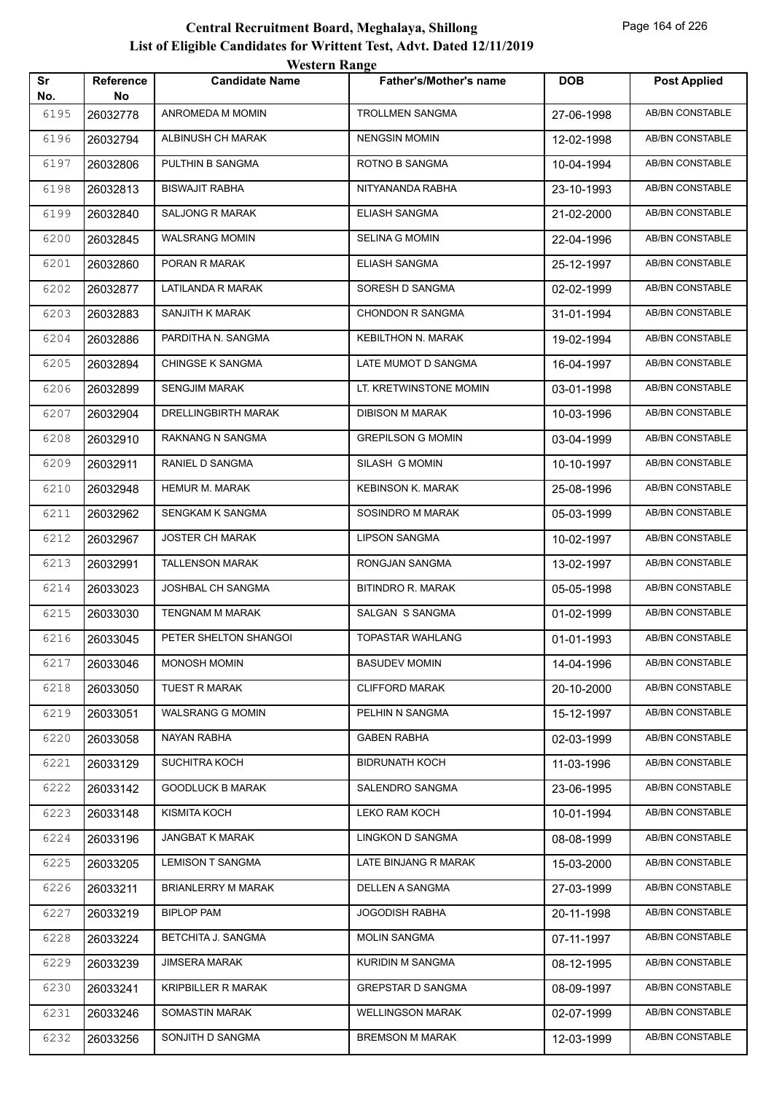|           |                        | <b>Western Range</b>      |                               |            |                        |
|-----------|------------------------|---------------------------|-------------------------------|------------|------------------------|
| Sr<br>No. | <b>Reference</b><br>No | <b>Candidate Name</b>     | <b>Father's/Mother's name</b> | <b>DOB</b> | <b>Post Applied</b>    |
| 6195      | 26032778               | ANROMEDA M MOMIN          | <b>TROLLMEN SANGMA</b>        | 27-06-1998 | <b>AB/BN CONSTABLE</b> |
| 6196      | 26032794               | ALBINUSH CH MARAK         | <b>NENGSIN MOMIN</b>          | 12-02-1998 | <b>AB/BN CONSTABLE</b> |
| 6197      | 26032806               | PULTHIN B SANGMA          | ROTNO B SANGMA                | 10-04-1994 | AB/BN CONSTABLE        |
| 6198      | 26032813               | <b>BISWAJIT RABHA</b>     | NITYANANDA RABHA              | 23-10-1993 | <b>AB/BN CONSTABLE</b> |
| 6199      | 26032840               | <b>SALJONG R MARAK</b>    | <b>ELIASH SANGMA</b>          | 21-02-2000 | AB/BN CONSTABLE        |
| 6200      | 26032845               | <b>WALSRANG MOMIN</b>     | <b>SELINA G MOMIN</b>         | 22-04-1996 | <b>AB/BN CONSTABLE</b> |
| 6201      | 26032860               | PORAN R MARAK             | <b>ELIASH SANGMA</b>          | 25-12-1997 | AB/BN CONSTABLE        |
| 6202      | 26032877               | LATILANDA R MARAK         | SORESH D SANGMA               | 02-02-1999 | <b>AB/BN CONSTABLE</b> |
| 6203      | 26032883               | SANJITH K MARAK           | <b>CHONDON R SANGMA</b>       | 31-01-1994 | <b>AB/BN CONSTABLE</b> |
| 6204      | 26032886               | PARDITHA N. SANGMA        | <b>KEBILTHON N. MARAK</b>     | 19-02-1994 | AB/BN CONSTABLE        |
| 6205      | 26032894               | <b>CHINGSE K SANGMA</b>   | LATE MUMOT D SANGMA           | 16-04-1997 | <b>AB/BN CONSTABLE</b> |
| 6206      | 26032899               | <b>SENGJIM MARAK</b>      | LT. KRETWINSTONE MOMIN        | 03-01-1998 | <b>AB/BN CONSTABLE</b> |
| 6207      | 26032904               | DRELLINGBIRTH MARAK       | <b>DIBISON M MARAK</b>        | 10-03-1996 | <b>AB/BN CONSTABLE</b> |
| 6208      | 26032910               | RAKNANG N SANGMA          | <b>GREPILSON G MOMIN</b>      | 03-04-1999 | <b>AB/BN CONSTABLE</b> |
| 6209      | 26032911               | RANIEL D SANGMA           | SILASH G MOMIN                | 10-10-1997 | AB/BN CONSTABLE        |
| 6210      | 26032948               | <b>HEMUR M. MARAK</b>     | <b>KEBINSON K. MARAK</b>      | 25-08-1996 | AB/BN CONSTABLE        |
| 6211      | 26032962               | SENGKAM K SANGMA          | SOSINDRO M MARAK              | 05-03-1999 | AB/BN CONSTABLE        |
| 6212      | 26032967               | <b>JOSTER CH MARAK</b>    | <b>LIPSON SANGMA</b>          | 10-02-1997 | <b>AB/BN CONSTABLE</b> |
| 6213      | 26032991               | <b>TALLENSON MARAK</b>    | RONGJAN SANGMA                | 13-02-1997 | <b>AB/BN CONSTABLE</b> |
| 6214      | 26033023               | <b>JOSHBAL CH SANGMA</b>  | <b>BITINDRO R. MARAK</b>      | 05-05-1998 | <b>AB/BN CONSTABLE</b> |
| 6215      | 26033030               | <b>TENGNAM M MARAK</b>    | SALGAN S SANGMA               | 01-02-1999 | <b>AB/BN CONSTABLE</b> |
| 6216      | 26033045               | PETER SHELTON SHANGOI     | TOPASTAR WAHLANG              | 01-01-1993 | <b>AB/BN CONSTABLE</b> |
| 6217      | 26033046               | MONOSH MOMIN              | <b>BASUDEV MOMIN</b>          | 14-04-1996 | AB/BN CONSTABLE        |
| 6218      | 26033050               | <b>TUEST R MARAK</b>      | <b>CLIFFORD MARAK</b>         | 20-10-2000 | AB/BN CONSTABLE        |
| 6219      | 26033051               | <b>WALSRANG G MOMIN</b>   | PELHIN N SANGMA               | 15-12-1997 | AB/BN CONSTABLE        |
| 6220      | 26033058               | NAYAN RABHA               | <b>GABEN RABHA</b>            | 02-03-1999 | AB/BN CONSTABLE        |
| 6221      | 26033129               | SUCHITRA KOCH             | <b>BIDRUNATH KOCH</b>         | 11-03-1996 | AB/BN CONSTABLE        |
| 6222      | 26033142               | <b>GOODLUCK B MARAK</b>   | SALENDRO SANGMA               | 23-06-1995 | AB/BN CONSTABLE        |
| 6223      | 26033148               | KISMITA KOCH              | LEKO RAM KOCH                 | 10-01-1994 | AB/BN CONSTABLE        |
| 6224      | 26033196               | <b>JANGBAT K MARAK</b>    | LINGKON D SANGMA              | 08-08-1999 | AB/BN CONSTABLE        |
| 6225      | 26033205               | <b>LEMISON T SANGMA</b>   | LATE BINJANG R MARAK          | 15-03-2000 | AB/BN CONSTABLE        |
| 6226      | 26033211               | <b>BRIANLERRY M MARAK</b> | DELLEN A SANGMA               | 27-03-1999 | AB/BN CONSTABLE        |
| 6227      | 26033219               | <b>BIPLOP PAM</b>         | <b>JOGODISH RABHA</b>         | 20-11-1998 | AB/BN CONSTABLE        |
| 6228      | 26033224               | BETCHITA J. SANGMA        | <b>MOLIN SANGMA</b>           | 07-11-1997 | AB/BN CONSTABLE        |
| 6229      | 26033239               | <b>JIMSERA MARAK</b>      | KURIDIN M SANGMA              | 08-12-1995 | AB/BN CONSTABLE        |
| 6230      | 26033241               | KRIPBILLER R MARAK        | <b>GREPSTAR D SANGMA</b>      | 08-09-1997 | AB/BN CONSTABLE        |
| 6231      | 26033246               | SOMASTIN MARAK            | <b>WELLINGSON MARAK</b>       | 02-07-1999 | AB/BN CONSTABLE        |
| 6232      | 26033256               | SONJITH D SANGMA          | <b>BREMSON M MARAK</b>        | 12-03-1999 | AB/BN CONSTABLE        |
|           |                        |                           |                               |            |                        |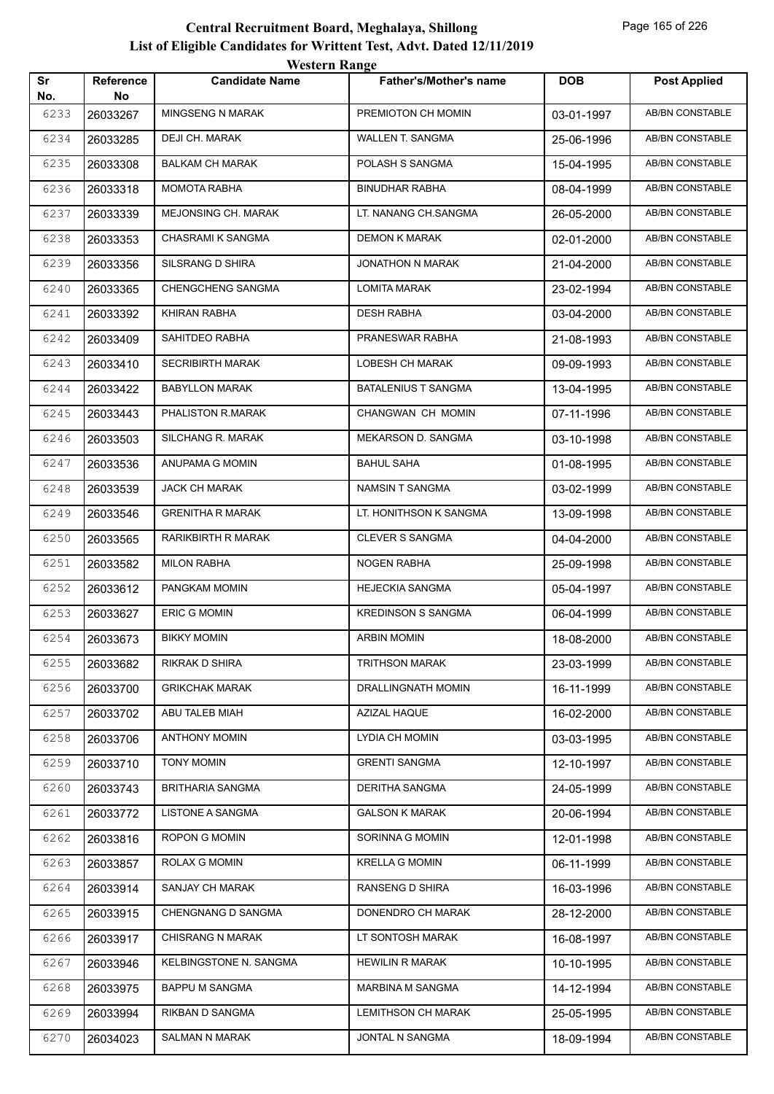|           |                        | <b>Western Range</b>    |                               |            |                        |
|-----------|------------------------|-------------------------|-------------------------------|------------|------------------------|
| Sr<br>No. | <b>Reference</b><br>No | <b>Candidate Name</b>   | <b>Father's/Mother's name</b> | <b>DOB</b> | <b>Post Applied</b>    |
| 6233      | 26033267               | <b>MINGSENG N MARAK</b> | PREMIOTON CH MOMIN            | 03-01-1997 | <b>AB/BN CONSTABLE</b> |
| 6234      | 26033285               | DEJI CH. MARAK          | WALLEN T. SANGMA              | 25-06-1996 | <b>AB/BN CONSTABLE</b> |
| 6235      | 26033308               | <b>BALKAM CH MARAK</b>  | POLASH S SANGMA               | 15-04-1995 | <b>AB/BN CONSTABLE</b> |
| 6236      | 26033318               | <b>MOMOTA RABHA</b>     | <b>BINUDHAR RABHA</b>         | 08-04-1999 | <b>AB/BN CONSTABLE</b> |
| 6237      | 26033339               | MEJONSING CH. MARAK     | LT. NANANG CH.SANGMA          | 26-05-2000 | AB/BN CONSTABLE        |
| 6238      | 26033353               | CHASRAMI K SANGMA       | <b>DEMON K MARAK</b>          | 02-01-2000 | <b>AB/BN CONSTABLE</b> |
| 6239      | 26033356               | SILSRANG D SHIRA        | <b>JONATHON N MARAK</b>       | 21-04-2000 | AB/BN CONSTABLE        |
| 6240      | 26033365               | CHENGCHENG SANGMA       | <b>LOMITA MARAK</b>           | 23-02-1994 | <b>AB/BN CONSTABLE</b> |
| 6241      | 26033392               | KHIRAN RABHA            | <b>DESH RABHA</b>             | 03-04-2000 | <b>AB/BN CONSTABLE</b> |
| 6242      | 26033409               | SAHITDEO RABHA          | PRANESWAR RABHA               | 21-08-1993 | AB/BN CONSTABLE        |
| 6243      | 26033410               | <b>SECRIBIRTH MARAK</b> | LOBESH CH MARAK               | 09-09-1993 | <b>AB/BN CONSTABLE</b> |
| 6244      | 26033422               | <b>BABYLLON MARAK</b>   | <b>BATALENIUS T SANGMA</b>    | 13-04-1995 | AB/BN CONSTABLE        |
| 6245      | 26033443               | PHALISTON R.MARAK       | CHANGWAN CH MOMIN             | 07-11-1996 | <b>AB/BN CONSTABLE</b> |
| 6246      | 26033503               | SILCHANG R. MARAK       | MEKARSON D. SANGMA            | 03-10-1998 | <b>AB/BN CONSTABLE</b> |
| 6247      | 26033536               | ANUPAMA G MOMIN         | <b>BAHUL SAHA</b>             | 01-08-1995 | AB/BN CONSTABLE        |
| 6248      | 26033539               | <b>JACK CH MARAK</b>    | <b>NAMSIN T SANGMA</b>        | 03-02-1999 | <b>AB/BN CONSTABLE</b> |
| 6249      | 26033546               | <b>GRENITHA R MARAK</b> | LT. HONITHSON K SANGMA        | 13-09-1998 | AB/BN CONSTABLE        |
| 6250      | 26033565               | RARIKBIRTH R MARAK      | <b>CLEVER S SANGMA</b>        | 04-04-2000 | <b>AB/BN CONSTABLE</b> |
| 6251      | 26033582               | <b>MILON RABHA</b>      | <b>NOGEN RABHA</b>            | 25-09-1998 | <b>AB/BN CONSTABLE</b> |
| 6252      | 26033612               | PANGKAM MOMIN           | <b>HEJECKIA SANGMA</b>        | 05-04-1997 | <b>AB/BN CONSTABLE</b> |
| 6253      | 26033627               | <b>ERIC G MOMIN</b>     | <b>KREDINSON S SANGMA</b>     | 06-04-1999 | AB/BN CONSTABLE        |
| 6254      | 26033673               | <b>BIKKY MOMIN</b>      | ARBIN MOMIN                   | 18-08-2000 | AB/BN CONSTABLE        |
| 6255      | 26033682               | RIKRAK D SHIRA          | <b>TRITHSON MARAK</b>         | 23-03-1999 | AB/BN CONSTABLE        |
| 6256      | 26033700               | <b>GRIKCHAK MARAK</b>   | DRALLINGNATH MOMIN            | 16-11-1999 | AB/BN CONSTABLE        |
| 6257      | 26033702               | ABU TALEB MIAH          | AZIZAL HAQUE                  | 16-02-2000 | AB/BN CONSTABLE        |
| 6258      | 26033706               | <b>ANTHONY MOMIN</b>    | LYDIA CH MOMIN                | 03-03-1995 | AB/BN CONSTABLE        |
| 6259      | 26033710               | <b>TONY MOMIN</b>       | <b>GRENTI SANGMA</b>          | 12-10-1997 | AB/BN CONSTABLE        |
| 6260      | 26033743               | <b>BRITHARIA SANGMA</b> | <b>DERITHA SANGMA</b>         | 24-05-1999 | AB/BN CONSTABLE        |
| 6261      | 26033772               | LISTONE A SANGMA        | <b>GALSON K MARAK</b>         | 20-06-1994 | AB/BN CONSTABLE        |
| 6262      | 26033816               | ROPON G MOMIN           | SORINNA G MOMIN               | 12-01-1998 | AB/BN CONSTABLE        |
| 6263      | 26033857               | ROLAX G MOMIN           | <b>KRELLA G MOMIN</b>         | 06-11-1999 | AB/BN CONSTABLE        |
| 6264      | 26033914               | SANJAY CH MARAK         | RANSENG D SHIRA               | 16-03-1996 | AB/BN CONSTABLE        |
| 6265      | 26033915               | CHENGNANG D SANGMA      | DONENDRO CH MARAK             | 28-12-2000 | AB/BN CONSTABLE        |
| 6266      | 26033917               | <b>CHISRANG N MARAK</b> | LT SONTOSH MARAK              | 16-08-1997 | AB/BN CONSTABLE        |
| 6267      | 26033946               | KELBINGSTONE N. SANGMA  | <b>HEWILIN R MARAK</b>        | 10-10-1995 | AB/BN CONSTABLE        |
| 6268      | 26033975               | <b>BAPPU M SANGMA</b>   | MARBINA M SANGMA              | 14-12-1994 | AB/BN CONSTABLE        |
| 6269      | 26033994               | RIKBAN D SANGMA         | <b>LEMITHSON CH MARAK</b>     | 25-05-1995 | AB/BN CONSTABLE        |
| 6270      | 26034023               | SALMAN N MARAK          | JONTAL N SANGMA               | 18-09-1994 | AB/BN CONSTABLE        |
|           |                        |                         |                               |            |                        |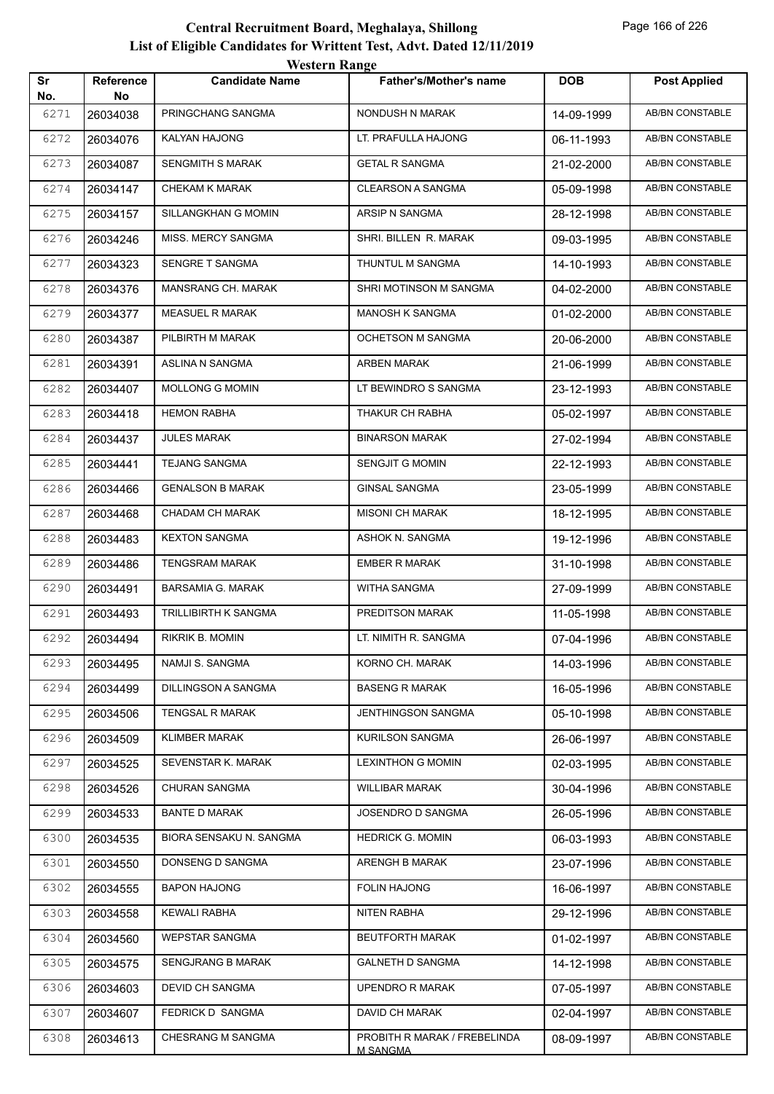|           |                        | <b>Western Range</b>        |                                                 |            |                        |
|-----------|------------------------|-----------------------------|-------------------------------------------------|------------|------------------------|
| Sr<br>No. | <b>Reference</b><br>No | <b>Candidate Name</b>       | <b>Father's/Mother's name</b>                   | <b>DOB</b> | <b>Post Applied</b>    |
| 6271      | 26034038               | PRINGCHANG SANGMA           | NONDUSH N MARAK                                 | 14-09-1999 | AB/BN CONSTABLE        |
| 6272      | 26034076               | KALYAN HAJONG               | LT. PRAFULLA HAJONG                             | 06-11-1993 | AB/BN CONSTABLE        |
| 6273      | 26034087               | SENGMITH S MARAK            | <b>GETAL R SANGMA</b>                           | 21-02-2000 | AB/BN CONSTABLE        |
| 6274      | 26034147               | <b>CHEKAM K MARAK</b>       | <b>CLEARSON A SANGMA</b>                        | 05-09-1998 | AB/BN CONSTABLE        |
| 6275      | 26034157               | SILLANGKHAN G MOMIN         | ARSIP N SANGMA                                  | 28-12-1998 | <b>AB/BN CONSTABLE</b> |
| 6276      | 26034246               | MISS. MERCY SANGMA          | SHRI. BILLEN R. MARAK                           | 09-03-1995 | <b>AB/BN CONSTABLE</b> |
| 6277      | 26034323               | SENGRE T SANGMA             | THUNTUL M SANGMA                                | 14-10-1993 | AB/BN CONSTABLE        |
| 6278      | 26034376               | MANSRANG CH. MARAK          | SHRI MOTINSON M SANGMA                          | 04-02-2000 | AB/BN CONSTABLE        |
| 6279      | 26034377               | <b>MEASUEL R MARAK</b>      | MANOSH K SANGMA                                 | 01-02-2000 | AB/BN CONSTABLE        |
| 6280      | 26034387               | PILBIRTH M MARAK            | <b>OCHETSON M SANGMA</b>                        | 20-06-2000 | AB/BN CONSTABLE        |
| 6281      | 26034391               | ASLINA N SANGMA             | ARBEN MARAK                                     | 21-06-1999 | <b>AB/BN CONSTABLE</b> |
| 6282      | 26034407               | <b>MOLLONG G MOMIN</b>      | LT BEWINDRO S SANGMA                            | 23-12-1993 | AB/BN CONSTABLE        |
| 6283      | 26034418               | <b>HEMON RABHA</b>          | THAKUR CH RABHA                                 | 05-02-1997 | <b>AB/BN CONSTABLE</b> |
| 6284      | 26034437               | <b>JULES MARAK</b>          | <b>BINARSON MARAK</b>                           | 27-02-1994 | AB/BN CONSTABLE        |
| 6285      | 26034441               | <b>TEJANG SANGMA</b>        | <b>SENGJIT G MOMIN</b>                          | 22-12-1993 | AB/BN CONSTABLE        |
| 6286      | 26034466               | <b>GENALSON B MARAK</b>     | <b>GINSAL SANGMA</b>                            | 23-05-1999 | AB/BN CONSTABLE        |
| 6287      | 26034468               | CHADAM CH MARAK             | <b>MISONI CH MARAK</b>                          | 18-12-1995 | AB/BN CONSTABLE        |
| 6288      | 26034483               | <b>KEXTON SANGMA</b>        | ASHOK N. SANGMA                                 | 19-12-1996 | AB/BN CONSTABLE        |
| 6289      | 26034486               | <b>TENGSRAM MARAK</b>       | <b>EMBER R MARAK</b>                            | 31-10-1998 | AB/BN CONSTABLE        |
| 6290      | 26034491               | <b>BARSAMIA G. MARAK</b>    | WITHA SANGMA                                    | 27-09-1999 | AB/BN CONSTABLE        |
| 6291      | 26034493               | <b>TRILLIBIRTH K SANGMA</b> | PREDITSON MARAK                                 | 11-05-1998 | AB/BN CONSTABLE        |
| 6292      | 26034494               | RIKRIK B. MOMIN             | LT. NIMITH R. SANGMA                            | 07-04-1996 | <b>AB/BN CONSTABLE</b> |
| 6293      | 26034495               | NAMJI S. SANGMA             | KORNO CH. MARAK                                 | 14-03-1996 | AB/BN CONSTABLE        |
| 6294      | 26034499               | DILLINGSON A SANGMA         | <b>BASENG R MARAK</b>                           | 16-05-1996 | AB/BN CONSTABLE        |
| 6295      | 26034506               | <b>TENGSAL R MARAK</b>      | JENTHINGSON SANGMA                              | 05-10-1998 | AB/BN CONSTABLE        |
| 6296      | 26034509               | <b>KLIMBER MARAK</b>        | <b>KURILSON SANGMA</b>                          | 26-06-1997 | AB/BN CONSTABLE        |
| 6297      | 26034525               | SEVENSTAR K. MARAK          | <b>LEXINTHON G MOMIN</b>                        | 02-03-1995 | AB/BN CONSTABLE        |
| 6298      | 26034526               | CHURAN SANGMA               | <b>WILLIBAR MARAK</b>                           | 30-04-1996 | AB/BN CONSTABLE        |
| 6299      | 26034533               | <b>BANTE D MARAK</b>        | JOSENDRO D SANGMA                               | 26-05-1996 | AB/BN CONSTABLE        |
| 6300      | 26034535               | BIORA SENSAKU N. SANGMA     | <b>HEDRICK G. MOMIN</b>                         | 06-03-1993 | AB/BN CONSTABLE        |
| 6301      | 26034550               | DONSENG D SANGMA            | ARENGH B MARAK                                  | 23-07-1996 | AB/BN CONSTABLE        |
| 6302      | 26034555               | <b>BAPON HAJONG</b>         | <b>FOLIN HAJONG</b>                             | 16-06-1997 | AB/BN CONSTABLE        |
| 6303      | 26034558               | <b>KEWALI RABHA</b>         | NITEN RABHA                                     | 29-12-1996 | AB/BN CONSTABLE        |
| 6304      | 26034560               | WEPSTAR SANGMA              | <b>BEUTFORTH MARAK</b>                          | 01-02-1997 | AB/BN CONSTABLE        |
| 6305      | 26034575               | <b>SENGJRANG B MARAK</b>    | <b>GALNETH D SANGMA</b>                         | 14-12-1998 | AB/BN CONSTABLE        |
| 6306      | 26034603               | DEVID CH SANGMA             | UPENDRO R MARAK                                 | 07-05-1997 | AB/BN CONSTABLE        |
| 6307      | 26034607               | FEDRICK D SANGMA            | DAVID CH MARAK                                  | 02-04-1997 | AB/BN CONSTABLE        |
| 6308      | 26034613               | CHESRANG M SANGMA           | PROBITH R MARAK / FREBELINDA<br><u>M SANGMA</u> | 08-09-1997 | AB/BN CONSTABLE        |
|           |                        |                             |                                                 |            |                        |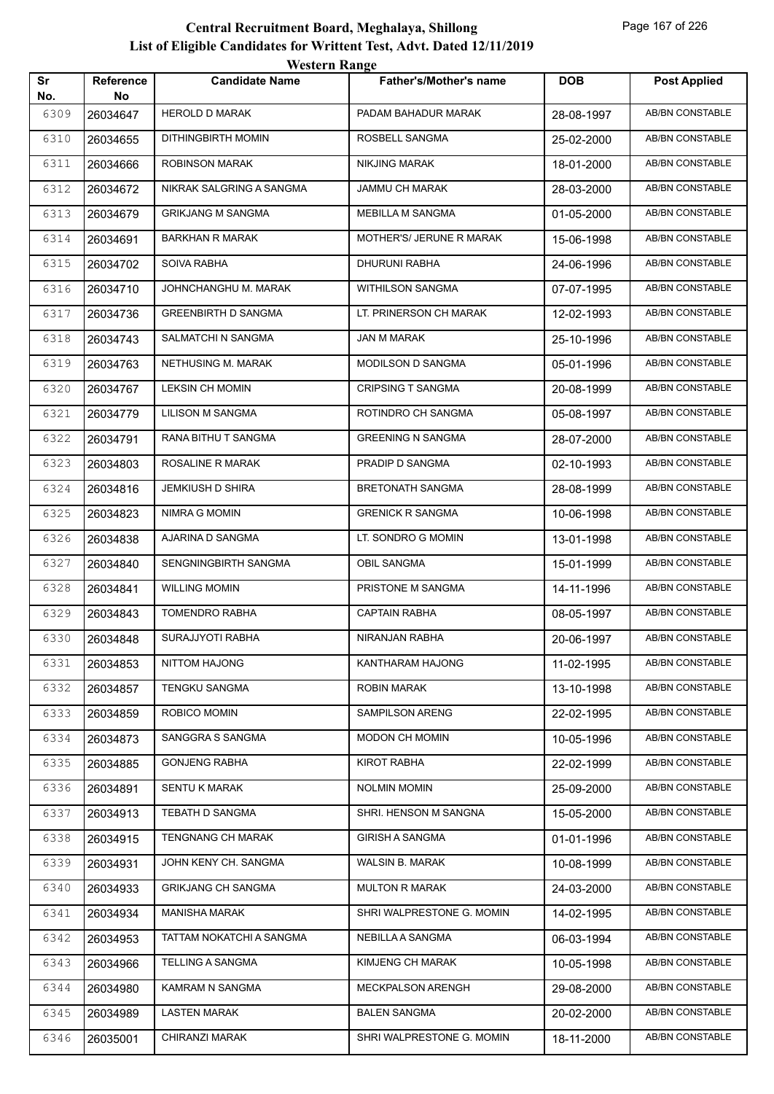|           |                 | $\mathbf{v}$ could negate  |                               |            |                        |
|-----------|-----------------|----------------------------|-------------------------------|------------|------------------------|
| Sr<br>No. | Reference<br>No | <b>Candidate Name</b>      | <b>Father's/Mother's name</b> | <b>DOB</b> | <b>Post Applied</b>    |
| 6309      | 26034647        | <b>HEROLD D MARAK</b>      | PADAM BAHADUR MARAK           | 28-08-1997 | <b>AB/BN CONSTABLE</b> |
| 6310      | 26034655        | DITHINGBIRTH MOMIN         | ROSBELL SANGMA                | 25-02-2000 | AB/BN CONSTABLE        |
| 6311      | 26034666        | ROBINSON MARAK             | <b>NIKJING MARAK</b>          | 18-01-2000 | AB/BN CONSTABLE        |
| 6312      | 26034672        | NIKRAK SALGRING A SANGMA   | JAMMU CH MARAK                | 28-03-2000 | AB/BN CONSTABLE        |
| 6313      | 26034679        | <b>GRIKJANG M SANGMA</b>   | MEBILLA M SANGMA              | 01-05-2000 | AB/BN CONSTABLE        |
| 6314      | 26034691        | BARKHAN R MARAK            | MOTHER'S/ JERUNE R MARAK      | 15-06-1998 | AB/BN CONSTABLE        |
| 6315      | 26034702        | SOIVA RABHA                | DHURUNI RABHA                 | 24-06-1996 | AB/BN CONSTABLE        |
| 6316      | 26034710        | JOHNCHANGHU M. MARAK       | <b>WITHILSON SANGMA</b>       | 07-07-1995 | AB/BN CONSTABLE        |
| 6317      | 26034736        | <b>GREENBIRTH D SANGMA</b> | LT. PRINERSON CH MARAK        | 12-02-1993 | AB/BN CONSTABLE        |
| 6318      | 26034743        | SALMATCHI N SANGMA         | JAN M MARAK                   | 25-10-1996 | AB/BN CONSTABLE        |
| 6319      | 26034763        | NETHUSING M. MARAK         | MODILSON D SANGMA             | 05-01-1996 | AB/BN CONSTABLE        |
| 6320      | 26034767        | <b>LEKSIN CH MOMIN</b>     | <b>CRIPSING T SANGMA</b>      | 20-08-1999 | AB/BN CONSTABLE        |
| 6321      | 26034779        | LILISON M SANGMA           | ROTINDRO CH SANGMA            | 05-08-1997 | AB/BN CONSTABLE        |
| 6322      | 26034791        | RANA BITHU T SANGMA        | <b>GREENING N SANGMA</b>      | 28-07-2000 | AB/BN CONSTABLE        |
| 6323      | 26034803        | ROSALINE R MARAK           | PRADIP D SANGMA               | 02-10-1993 | AB/BN CONSTABLE        |
| 6324      | 26034816        | JEMKIUSH D SHIRA           | <b>BRETONATH SANGMA</b>       | 28-08-1999 | AB/BN CONSTABLE        |
| 6325      | 26034823        | NIMRA G MOMIN              | <b>GRENICK R SANGMA</b>       | 10-06-1998 | AB/BN CONSTABLE        |
| 6326      | 26034838        | AJARINA D SANGMA           | LT. SONDRO G MOMIN            | 13-01-1998 | AB/BN CONSTABLE        |
| 6327      | 26034840        | SENGNINGBIRTH SANGMA       | OBIL SANGMA                   | 15-01-1999 | AB/BN CONSTABLE        |
| 6328      | 26034841        | <b>WILLING MOMIN</b>       | PRISTONE M SANGMA             | 14-11-1996 | AB/BN CONSTABLE        |
| 6329      | 26034843        | TOMENDRO RABHA             | CAPTAIN RABHA                 | 08-05-1997 | AB/BN CONSTABLE        |
| 6330      | 26034848        | SURAJJYOTI RABHA           | NIRANJAN RABHA                | 20-06-1997 | AB/BN CONSTABLE        |
| 6331      | 26034853        | NITTOM HAJONG              | KANTHARAM HAJONG              | 11-02-1995 | AB/BN CONSTABLE        |
| 6332      | 26034857        | TENGKU SANGMA              | <b>ROBIN MARAK</b>            | 13-10-1998 | AB/BN CONSTABLE        |
| 6333      | 26034859        | ROBICO MOMIN               | SAMPILSON ARENG               | 22-02-1995 | AB/BN CONSTABLE        |
| 6334      | 26034873        | SANGGRA S SANGMA           | <b>MODON CH MOMIN</b>         | 10-05-1996 | AB/BN CONSTABLE        |
| 6335      | 26034885        | <b>GONJENG RABHA</b>       | <b>KIROT RABHA</b>            | 22-02-1999 | AB/BN CONSTABLE        |
| 6336      | 26034891        | <b>SENTU K MARAK</b>       | <b>NOLMIN MOMIN</b>           | 25-09-2000 | AB/BN CONSTABLE        |
| 6337      | 26034913        | TEBATH D SANGMA            | SHRI. HENSON M SANGNA         | 15-05-2000 | AB/BN CONSTABLE        |
| 6338      | 26034915        | TENGNANG CH MARAK          | <b>GIRISH A SANGMA</b>        | 01-01-1996 | AB/BN CONSTABLE        |
| 6339      | 26034931        | JOHN KENY CH. SANGMA       | WALSIN B. MARAK               | 10-08-1999 | AB/BN CONSTABLE        |
| 6340      | 26034933        | <b>GRIKJANG CH SANGMA</b>  | <b>MULTON R MARAK</b>         | 24-03-2000 | AB/BN CONSTABLE        |
| 6341      | 26034934        | <b>MANISHA MARAK</b>       | SHRI WALPRESTONE G. MOMIN     | 14-02-1995 | AB/BN CONSTABLE        |
| 6342      | 26034953        | TATTAM NOKATCHI A SANGMA   | NEBILLA A SANGMA              | 06-03-1994 | AB/BN CONSTABLE        |
| 6343      | 26034966        | TELLING A SANGMA           | KIMJENG CH MARAK              | 10-05-1998 | AB/BN CONSTABLE        |
| 6344      | 26034980        | KAMRAM N SANGMA            | MECKPALSON ARENGH             | 29-08-2000 | AB/BN CONSTABLE        |
| 6345      | 26034989        | LASTEN MARAK               | <b>BALEN SANGMA</b>           | 20-02-2000 | AB/BN CONSTABLE        |
| 6346      | 26035001        | CHIRANZI MARAK             | SHRI WALPRESTONE G. MOMIN     | 18-11-2000 | AB/BN CONSTABLE        |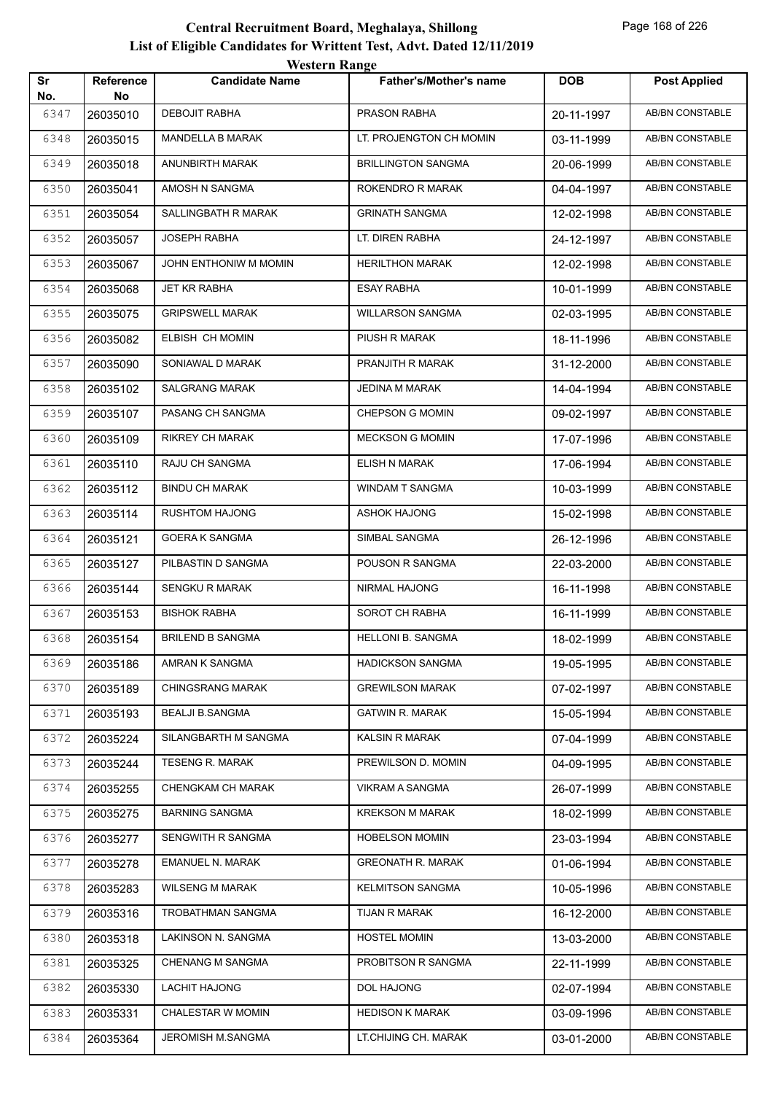|           |                 | western Kange           |                               |            |                        |
|-----------|-----------------|-------------------------|-------------------------------|------------|------------------------|
| Sr<br>No. | Reference<br>No | <b>Candidate Name</b>   | <b>Father's/Mother's name</b> | <b>DOB</b> | <b>Post Applied</b>    |
| 6347      | 26035010        | <b>DEBOJIT RABHA</b>    | PRASON RABHA                  | 20-11-1997 | AB/BN CONSTABLE        |
| 6348      | 26035015        | <b>MANDELLA B MARAK</b> | LT. PROJENGTON CH MOMIN       | 03-11-1999 | AB/BN CONSTABLE        |
| 6349      | 26035018        | ANUNBIRTH MARAK         | <b>BRILLINGTON SANGMA</b>     | 20-06-1999 | AB/BN CONSTABLE        |
| 6350      | 26035041        | AMOSH N SANGMA          | ROKENDRO R MARAK              | 04-04-1997 | AB/BN CONSTABLE        |
| 6351      | 26035054        | SALLINGBATH R MARAK     | <b>GRINATH SANGMA</b>         | 12-02-1998 | AB/BN CONSTABLE        |
| 6352      | 26035057        | <b>JOSEPH RABHA</b>     | LT. DIREN RABHA               | 24-12-1997 | AB/BN CONSTABLE        |
| 6353      | 26035067        | JOHN ENTHONIW M MOMIN   | <b>HERILTHON MARAK</b>        | 12-02-1998 | AB/BN CONSTABLE        |
| 6354      | 26035068        | JET KR RABHA            | <b>ESAY RABHA</b>             | 10-01-1999 | <b>AB/BN CONSTABLE</b> |
| 6355      | 26035075        | <b>GRIPSWELL MARAK</b>  | <b>WILLARSON SANGMA</b>       | 02-03-1995 | AB/BN CONSTABLE        |
| 6356      | 26035082        | ELBISH CH MOMIN         | PIUSH R MARAK                 | 18-11-1996 | AB/BN CONSTABLE        |
| 6357      | 26035090        | SONIAWAL D MARAK        | PRANJITH R MARAK              | 31-12-2000 | AB/BN CONSTABLE        |
| 6358      | 26035102        | <b>SALGRANG MARAK</b>   | <b>JEDINA M MARAK</b>         | 14-04-1994 | AB/BN CONSTABLE        |
| 6359      | 26035107        | PASANG CH SANGMA        | CHEPSON G MOMIN               | 09-02-1997 | AB/BN CONSTABLE        |
| 6360      | 26035109        | <b>RIKREY CH MARAK</b>  | <b>MECKSON G MOMIN</b>        | 17-07-1996 | AB/BN CONSTABLE        |
| 6361      | 26035110        | RAJU CH SANGMA          | ELISH N MARAK                 | 17-06-1994 | AB/BN CONSTABLE        |
| 6362      | 26035112        | <b>BINDU CH MARAK</b>   | WINDAM T SANGMA               | 10-03-1999 | AB/BN CONSTABLE        |
| 6363      | 26035114        | <b>RUSHTOM HAJONG</b>   | <b>ASHOK HAJONG</b>           | 15-02-1998 | AB/BN CONSTABLE        |
| 6364      | 26035121        | <b>GOERA K SANGMA</b>   | SIMBAL SANGMA                 | 26-12-1996 | AB/BN CONSTABLE        |
| 6365      | 26035127        | PILBASTIN D SANGMA      | POUSON R SANGMA               | 22-03-2000 | AB/BN CONSTABLE        |
| 6366      | 26035144        | <b>SENGKU R MARAK</b>   | NIRMAL HAJONG                 | 16-11-1998 | AB/BN CONSTABLE        |
| 6367      | 26035153        | <b>BISHOK RABHA</b>     | SOROT CH RABHA                | 16-11-1999 | <b>AB/BN CONSTABLE</b> |
| 6368      | 26035154        | <b>BRILEND B SANGMA</b> | <b>HELLONI B. SANGMA</b>      | 18-02-1999 | AB/BN CONSTABLE        |
| 6369      | 26035186        | AMRAN K SANGMA          | <b>HADICKSON SANGMA</b>       | 19-05-1995 | AB/BN CONSTABLE        |
| 6370      | 26035189        | <b>CHINGSRANG MARAK</b> | <b>GREWILSON MARAK</b>        | 07-02-1997 | AB/BN CONSTABLE        |
| 6371      | 26035193        | <b>BEALJI B.SANGMA</b>  | <b>GATWIN R. MARAK</b>        | 15-05-1994 | AB/BN CONSTABLE        |
| 6372      | 26035224        | SILANGBARTH M SANGMA    | <b>KALSIN R MARAK</b>         | 07-04-1999 | AB/BN CONSTABLE        |
| 6373      | 26035244        | <b>TESENG R. MARAK</b>  | PREWILSON D. MOMIN            | 04-09-1995 | AB/BN CONSTABLE        |
| 6374      | 26035255        | CHENGKAM CH MARAK       | VIKRAM A SANGMA               | 26-07-1999 | AB/BN CONSTABLE        |
| 6375      | 26035275        | <b>BARNING SANGMA</b>   | <b>KREKSON M MARAK</b>        | 18-02-1999 | AB/BN CONSTABLE        |
| 6376      | 26035277        | SENGWITH R SANGMA       | <b>HOBELSON MOMIN</b>         | 23-03-1994 | AB/BN CONSTABLE        |
| 6377      | 26035278        | EMANUEL N. MARAK        | <b>GREONATH R. MARAK</b>      | 01-06-1994 | AB/BN CONSTABLE        |
| 6378      | 26035283        | <b>WILSENG M MARAK</b>  | <b>KELMITSON SANGMA</b>       | 10-05-1996 | AB/BN CONSTABLE        |
| 6379      | 26035316        | TROBATHMAN SANGMA       | TIJAN R MARAK                 | 16-12-2000 | AB/BN CONSTABLE        |
| 6380      | 26035318        | LAKINSON N. SANGMA      | <b>HOSTEL MOMIN</b>           | 13-03-2000 | AB/BN CONSTABLE        |
| 6381      | 26035325        | <b>CHENANG M SANGMA</b> | PROBITSON R SANGMA            | 22-11-1999 | AB/BN CONSTABLE        |
| 6382      | 26035330        | <b>LACHIT HAJONG</b>    | DOL HAJONG                    | 02-07-1994 | AB/BN CONSTABLE        |
| 6383      | 26035331        | CHALESTAR W MOMIN       | <b>HEDISON K MARAK</b>        | 03-09-1996 | AB/BN CONSTABLE        |
| 6384      | 26035364        | JEROMISH M.SANGMA       | LT.CHIJING CH. MARAK          | 03-01-2000 | AB/BN CONSTABLE        |
|           |                 |                         |                               |            |                        |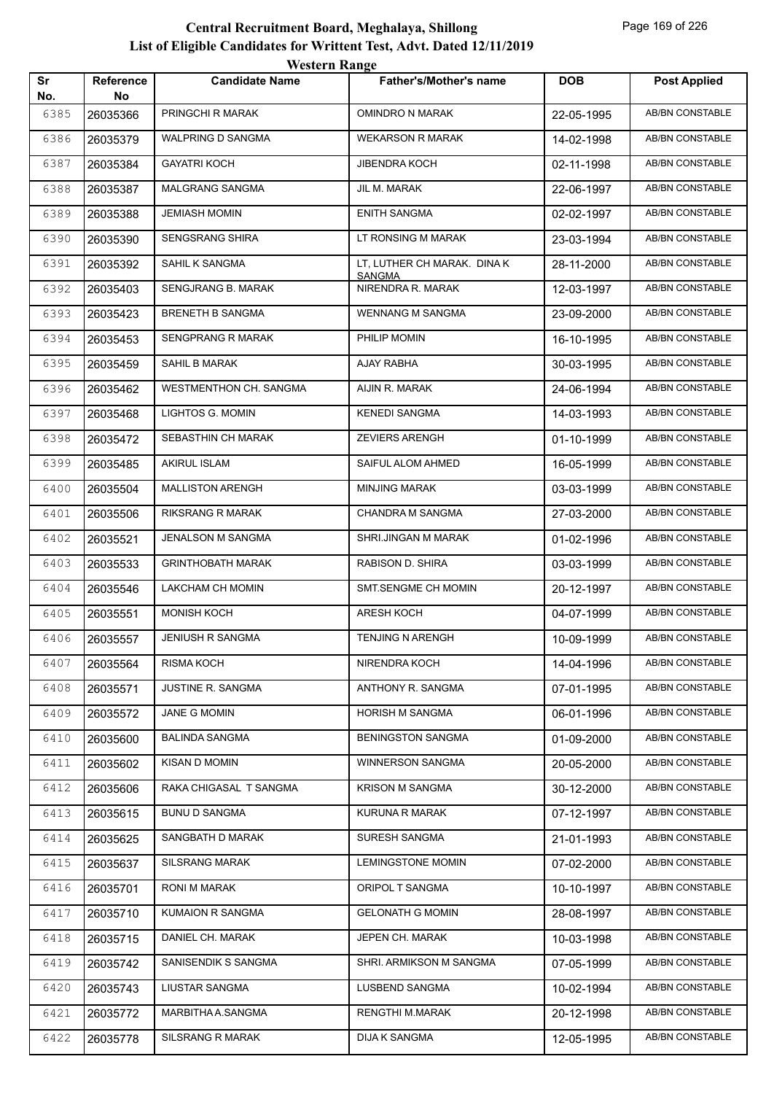|           |                 | western Kange            |                                    |            |                        |
|-----------|-----------------|--------------------------|------------------------------------|------------|------------------------|
| Sr<br>No. | Reference<br>No | <b>Candidate Name</b>    | Father's/Mother's name             | <b>DOB</b> | <b>Post Applied</b>    |
| 6385      | 26035366        | PRINGCHI R MARAK         | <b>OMINDRO N MARAK</b>             | 22-05-1995 | <b>AB/BN CONSTABLE</b> |
| 6386      | 26035379        | <b>WALPRING D SANGMA</b> | <b>WEKARSON R MARAK</b>            | 14-02-1998 | AB/BN CONSTABLE        |
| 6387      | 26035384        | <b>GAYATRI KOCH</b>      | <b>JIBENDRA KOCH</b>               | 02-11-1998 | <b>AB/BN CONSTABLE</b> |
| 6388      | 26035387        | <b>MALGRANG SANGMA</b>   | JIL M. MARAK                       | 22-06-1997 | AB/BN CONSTABLE        |
| 6389      | 26035388        | <b>JEMIASH MOMIN</b>     | <b>ENITH SANGMA</b>                | 02-02-1997 | AB/BN CONSTABLE        |
| 6390      | 26035390        | <b>SENGSRANG SHIRA</b>   | LT RONSING M MARAK                 | 23-03-1994 | AB/BN CONSTABLE        |
| 6391      | 26035392        | SAHIL K SANGMA           | LT, LUTHER CH MARAK. DINAK         | 28-11-2000 | AB/BN CONSTABLE        |
| 6392      | 26035403        | SENGJRANG B. MARAK       | <b>SANGMA</b><br>NIRENDRA R. MARAK | 12-03-1997 | AB/BN CONSTABLE        |
| 6393      | 26035423        | <b>BRENETH B SANGMA</b>  | <b>WENNANG M SANGMA</b>            | 23-09-2000 | AB/BN CONSTABLE        |
| 6394      | 26035453        | <b>SENGPRANG R MARAK</b> | PHILIP MOMIN                       | 16-10-1995 | AB/BN CONSTABLE        |
| 6395      | 26035459        | SAHIL B MARAK            | AJAY RABHA                         | 30-03-1995 | AB/BN CONSTABLE        |
| 6396      | 26035462        | WESTMENTHON CH. SANGMA   | AIJIN R. MARAK                     | 24-06-1994 | <b>AB/BN CONSTABLE</b> |
| 6397      | 26035468        | LIGHTOS G. MOMIN         | <b>KENEDI SANGMA</b>               | 14-03-1993 | AB/BN CONSTABLE        |
| 6398      | 26035472        | SEBASTHIN CH MARAK       | <b>ZEVIERS ARENGH</b>              | 01-10-1999 | AB/BN CONSTABLE        |
| 6399      | 26035485        | <b>AKIRUL ISLAM</b>      | SAIFUL ALOM AHMED                  | 16-05-1999 | AB/BN CONSTABLE        |
| 6400      | 26035504        | <b>MALLISTON ARENGH</b>  | <b>MINJING MARAK</b>               | 03-03-1999 | AB/BN CONSTABLE        |
| 6401      | 26035506        | <b>RIKSRANG R MARAK</b>  | <b>CHANDRA M SANGMA</b>            | 27-03-2000 | <b>AB/BN CONSTABLE</b> |
| 6402      | 26035521        | JENALSON M SANGMA        | SHRI.JINGAN M MARAK                | 01-02-1996 | <b>AB/BN CONSTABLE</b> |
| 6403      | 26035533        | <b>GRINTHOBATH MARAK</b> | RABISON D. SHIRA                   | 03-03-1999 | AB/BN CONSTABLE        |
| 6404      | 26035546        | LAKCHAM CH MOMIN         | SMT.SENGME CH MOMIN                | 20-12-1997 | AB/BN CONSTABLE        |
| 6405      | 26035551        | MONISH KOCH              | ARESH KOCH                         | 04-07-1999 | AB/BN CONSTABLE        |
| 6406      | 26035557        | <b>JENIUSH R SANGMA</b>  | <b>TENJING N ARENGH</b>            | 10-09-1999 | <b>AB/BN CONSTABLE</b> |
| 6407      | 26035564        | RISMA KOCH               | NIRENDRA KOCH                      | 14-04-1996 | AB/BN CONSTABLE        |
| 6408      | 26035571        | JUSTINE R. SANGMA        | ANTHONY R. SANGMA                  | 07-01-1995 | AB/BN CONSTABLE        |
| 6409      | 26035572        | JANE G MOMIN             | <b>HORISH M SANGMA</b>             | 06-01-1996 | AB/BN CONSTABLE        |
| 6410      | 26035600        | <b>BALINDA SANGMA</b>    | <b>BENINGSTON SANGMA</b>           | 01-09-2000 | AB/BN CONSTABLE        |
| 6411      | 26035602        | KISAN D MOMIN            | WINNERSON SANGMA                   | 20-05-2000 | AB/BN CONSTABLE        |
| 6412      | 26035606        | RAKA CHIGASAL T SANGMA   | <b>KRISON M SANGMA</b>             | 30-12-2000 | AB/BN CONSTABLE        |
| 6413      | 26035615        | <b>BUNU D SANGMA</b>     | KURUNA R MARAK                     | 07-12-1997 | AB/BN CONSTABLE        |
| 6414      | 26035625        | SANGBATH D MARAK         | SURESH SANGMA                      | 21-01-1993 | AB/BN CONSTABLE        |
| 6415      | 26035637        | <b>SILSRANG MARAK</b>    | <b>LEMINGSTONE MOMIN</b>           | 07-02-2000 | AB/BN CONSTABLE        |
| 6416      | 26035701        | RONI M MARAK             | ORIPOL T SANGMA                    | 10-10-1997 | AB/BN CONSTABLE        |
| 6417      | 26035710        | KUMAION R SANGMA         | <b>GELONATH G MOMIN</b>            | 28-08-1997 | AB/BN CONSTABLE        |
| 6418      | 26035715        | DANIEL CH. MARAK         | JEPEN CH. MARAK                    | 10-03-1998 | AB/BN CONSTABLE        |
| 6419      | 26035742        | SANISENDIK S SANGMA      | SHRI. ARMIKSON M SANGMA            | 07-05-1999 | AB/BN CONSTABLE        |
| 6420      | 26035743        | LIUSTAR SANGMA           | LUSBEND SANGMA                     | 10-02-1994 | AB/BN CONSTABLE        |
| 6421      | 26035772        | MARBITHA A.SANGMA        | RENGTHI M.MARAK                    | 20-12-1998 | AB/BN CONSTABLE        |
| 6422      | 26035778        | SILSRANG R MARAK         | DIJA K SANGMA                      | 12-05-1995 | AB/BN CONSTABLE        |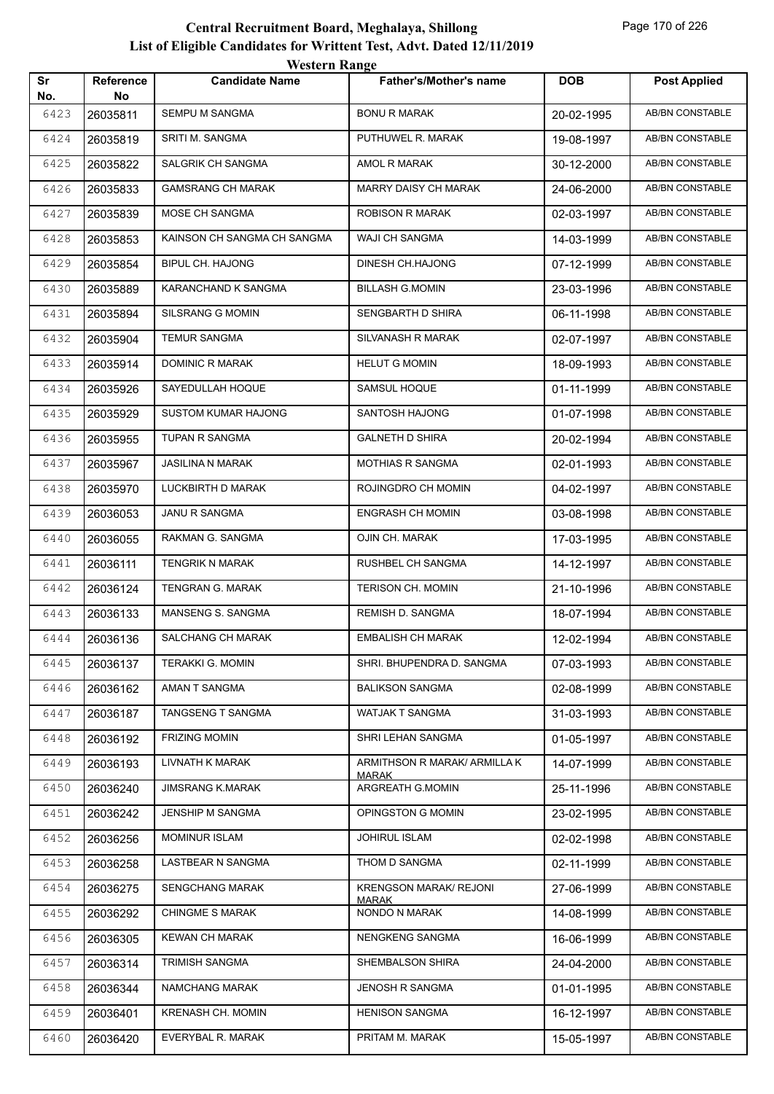|           |                  | <i>Western Kange</i>        |                                  |            |                        |
|-----------|------------------|-----------------------------|----------------------------------|------------|------------------------|
| Sr<br>No. | Reference<br>No. | <b>Candidate Name</b>       | <b>Father's/Mother's name</b>    | <b>DOB</b> | <b>Post Applied</b>    |
| 6423      | 26035811         | <b>SEMPU M SANGMA</b>       | <b>BONU R MARAK</b>              | 20-02-1995 | <b>AB/BN CONSTABLE</b> |
| 6424      | 26035819         | SRITI M. SANGMA             | PUTHUWEL R. MARAK                | 19-08-1997 | AB/BN CONSTABLE        |
| 6425      | 26035822         | SALGRIK CH SANGMA           | AMOL R MARAK                     | 30-12-2000 | <b>AB/BN CONSTABLE</b> |
| 6426      | 26035833         | <b>GAMSRANG CH MARAK</b>    | MARRY DAISY CH MARAK             | 24-06-2000 | AB/BN CONSTABLE        |
| 6427      | 26035839         | MOSE CH SANGMA              | ROBISON R MARAK                  | 02-03-1997 | AB/BN CONSTABLE        |
| 6428      | 26035853         | KAINSON CH SANGMA CH SANGMA | WAJI CH SANGMA                   | 14-03-1999 | AB/BN CONSTABLE        |
| 6429      | 26035854         | <b>BIPUL CH. HAJONG</b>     | DINESH CH.HAJONG                 | 07-12-1999 | AB/BN CONSTABLE        |
| 6430      | 26035889         | KARANCHAND K SANGMA         | <b>BILLASH G.MOMIN</b>           | 23-03-1996 | <b>AB/BN CONSTABLE</b> |
| 6431      | 26035894         | SILSRANG G MOMIN            | SENGBARTH D SHIRA                | 06-11-1998 | AB/BN CONSTABLE        |
| 6432      | 26035904         | <b>TEMUR SANGMA</b>         | SILVANASH R MARAK                | 02-07-1997 | AB/BN CONSTABLE        |
| 6433      | 26035914         | DOMINIC R MARAK             | <b>HELUT G MOMIN</b>             | 18-09-1993 | <b>AB/BN CONSTABLE</b> |
| 6434      | 26035926         | SAYEDULLAH HOQUE            | SAMSUL HOQUE                     | 01-11-1999 | AB/BN CONSTABLE        |
| 6435      | 26035929         | <b>SUSTOM KUMAR HAJONG</b>  | SANTOSH HAJONG                   | 01-07-1998 | <b>AB/BN CONSTABLE</b> |
| 6436      | 26035955         | TUPAN R SANGMA              | <b>GALNETH D SHIRA</b>           | 20-02-1994 | AB/BN CONSTABLE        |
| 6437      | 26035967         | <b>JASILINA N MARAK</b>     | MOTHIAS R SANGMA                 | 02-01-1993 | <b>AB/BN CONSTABLE</b> |
| 6438      | 26035970         | LUCKBIRTH D MARAK           | ROJINGDRO CH MOMIN               | 04-02-1997 | AB/BN CONSTABLE        |
| 6439      | 26036053         | <b>JANU R SANGMA</b>        | <b>ENGRASH CH MOMIN</b>          | 03-08-1998 | AB/BN CONSTABLE        |
| 6440      | 26036055         | RAKMAN G. SANGMA            | OJIN CH. MARAK                   | 17-03-1995 | <b>AB/BN CONSTABLE</b> |
| 6441      | 26036111         | TENGRIK N MARAK             | RUSHBEL CH SANGMA                | 14-12-1997 | AB/BN CONSTABLE        |
| 6442      | 26036124         | TENGRAN G. MARAK            | <b>TERISON CH. MOMIN</b>         | 21-10-1996 | <b>AB/BN CONSTABLE</b> |
| 6443      | 26036133         | MANSENG S. SANGMA           | REMISH D. SANGMA                 | 18-07-1994 | <b>AB/BN CONSTABLE</b> |
| 6444      | 26036136         | SALCHANG CH MARAK           | <b>EMBALISH CH MARAK</b>         | 12-02-1994 | AB/BN CONSTABLE        |
| 6445      | 26036137         | <b>TERAKKI G. MOMIN</b>     | SHRI. BHUPENDRA D. SANGMA        | 07-03-1993 | AB/BN CONSTABLE        |
| 6446      | 26036162         | AMAN T SANGMA               | <b>BALIKSON SANGMA</b>           | 02-08-1999 | AB/BN CONSTABLE        |
| 6447      | 26036187         | TANGSENG T SANGMA           | WATJAK T SANGMA                  | 31-03-1993 | AB/BN CONSTABLE        |
| 6448      | 26036192         | <b>FRIZING MOMIN</b>        | SHRI LEHAN SANGMA                | 01-05-1997 | AB/BN CONSTABLE        |
| 6449      | 26036193         | LIVNATH K MARAK             | ARMITHSON R MARAK/ ARMILLA K     | 14-07-1999 | AB/BN CONSTABLE        |
| 6450      | 26036240         | <b>JIMSRANG K.MARAK</b>     | <b>MARAK</b><br>ARGREATH G.MOMIN | 25-11-1996 | AB/BN CONSTABLE        |
| 6451      | 26036242         | JENSHIP M SANGMA            | OPINGSTON G MOMIN                | 23-02-1995 | AB/BN CONSTABLE        |
| 6452      | 26036256         | <b>MOMINUR ISLAM</b>        | <b>JOHIRUL ISLAM</b>             | 02-02-1998 | AB/BN CONSTABLE        |
| 6453      | 26036258         | LASTBEAR N SANGMA           | THOM D SANGMA                    | 02-11-1999 | AB/BN CONSTABLE        |
| 6454      | 26036275         | <b>SENGCHANG MARAK</b>      | <b>KRENGSON MARAK/ REJONI</b>    | 27-06-1999 | AB/BN CONSTABLE        |
| 6455      | 26036292         | <b>CHINGME S MARAK</b>      | <b>MARAK</b><br>NONDO N MARAK    | 14-08-1999 | AB/BN CONSTABLE        |
| 6456      | 26036305         | <b>KEWAN CH MARAK</b>       | NENGKENG SANGMA                  | 16-06-1999 | AB/BN CONSTABLE        |
| 6457      | 26036314         | <b>TRIMISH SANGMA</b>       | SHEMBALSON SHIRA                 | 24-04-2000 | AB/BN CONSTABLE        |
| 6458      | 26036344         | NAMCHANG MARAK              | JENOSH R SANGMA                  | 01-01-1995 | AB/BN CONSTABLE        |
| 6459      | 26036401         | <b>KRENASH CH. MOMIN</b>    | <b>HENISON SANGMA</b>            | 16-12-1997 | AB/BN CONSTABLE        |
| 6460      | 26036420         | EVERYBAL R. MARAK           | PRITAM M. MARAK                  | 15-05-1997 | AB/BN CONSTABLE        |
|           |                  |                             |                                  |            |                        |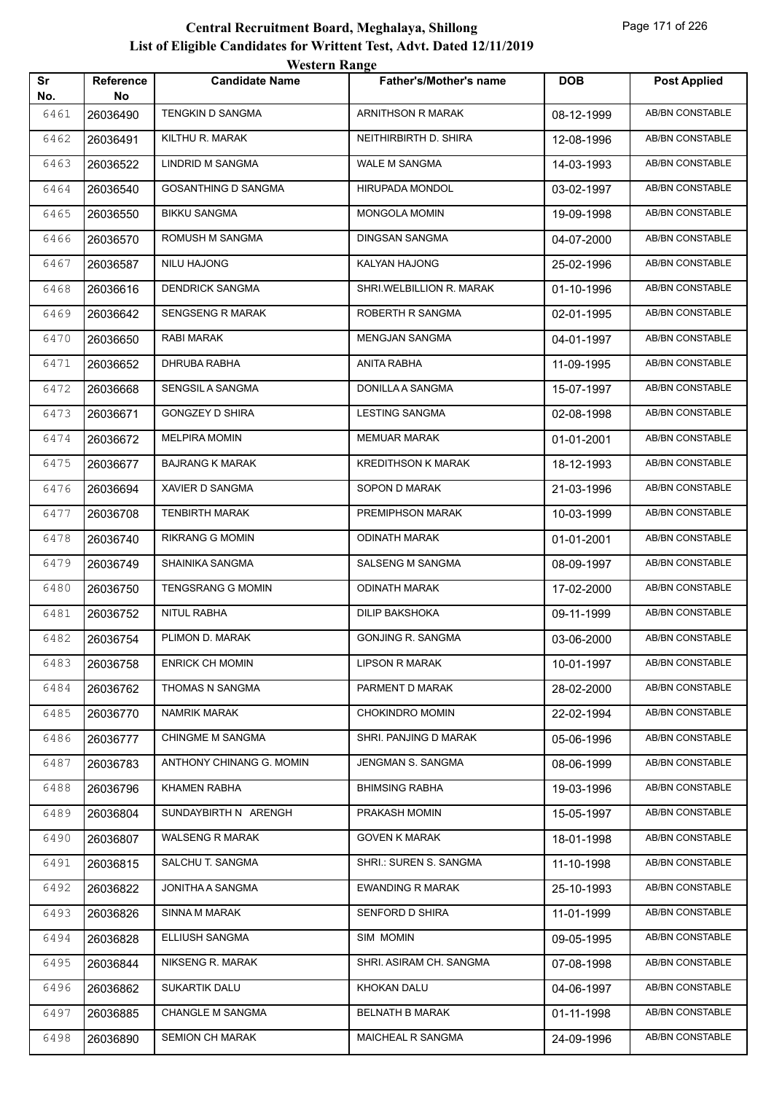| Sr           | <b>Reference</b> | <b>Candidate Name</b>      | <b>Father's/Mother's name</b> | <b>DOB</b> | <b>Post Applied</b>    |
|--------------|------------------|----------------------------|-------------------------------|------------|------------------------|
| No.<br>6461  | No<br>26036490   | TENGKIN D SANGMA           | ARNITHSON R MARAK             | 08-12-1999 | AB/BN CONSTABLE        |
| 6462         | 26036491         | KILTHU R. MARAK            | NEITHIRBIRTH D. SHIRA         | 12-08-1996 | <b>AB/BN CONSTABLE</b> |
| 6463         | 26036522         | LINDRID M SANGMA           | WALE M SANGMA                 | 14-03-1993 | <b>AB/BN CONSTABLE</b> |
| 6464         | 26036540         | <b>GOSANTHING D SANGMA</b> | HIRUPADA MONDOL               | 03-02-1997 | <b>AB/BN CONSTABLE</b> |
| 6465         | 26036550         | <b>BIKKU SANGMA</b>        | <b>MONGOLA MOMIN</b>          | 19-09-1998 | <b>AB/BN CONSTABLE</b> |
| 6466         | 26036570         | ROMUSH M SANGMA            | DINGSAN SANGMA                | 04-07-2000 | <b>AB/BN CONSTABLE</b> |
| 6467         | 26036587         | NILU HAJONG                | KALYAN HAJONG                 | 25-02-1996 | <b>AB/BN CONSTABLE</b> |
| 6468         | 26036616         | <b>DENDRICK SANGMA</b>     | SHRI.WELBILLION R. MARAK      | 01-10-1996 | <b>AB/BN CONSTABLE</b> |
| 6469         | 26036642         | <b>SENGSENG R MARAK</b>    | ROBERTH R SANGMA              | 02-01-1995 | <b>AB/BN CONSTABLE</b> |
| 6470         | 26036650         | RABI MARAK                 | <b>MENGJAN SANGMA</b>         | 04-01-1997 | AB/BN CONSTABLE        |
| 6471         | 26036652         | DHRUBA RABHA               | ANITA RABHA                   | 11-09-1995 | <b>AB/BN CONSTABLE</b> |
| 6472         | 26036668         | SENGSIL A SANGMA           | DONILLA A SANGMA              | 15-07-1997 | <b>AB/BN CONSTABLE</b> |
|              |                  | <b>GONGZEY D SHIRA</b>     | <b>LESTING SANGMA</b>         |            | <b>AB/BN CONSTABLE</b> |
| 6473<br>6474 | 26036671         | <b>MELPIRA MOMIN</b>       | <b>MEMUAR MARAK</b>           | 02-08-1998 | <b>AB/BN CONSTABLE</b> |
|              | 26036672         | <b>BAJRANG K MARAK</b>     | <b>KREDITHSON K MARAK</b>     | 01-01-2001 | AB/BN CONSTABLE        |
| 6475         | 26036677         |                            |                               | 18-12-1993 |                        |
| 6476         | 26036694         | XAVIER D SANGMA            | SOPON D MARAK                 | 21-03-1996 | AB/BN CONSTABLE        |
| 6477         | 26036708         | TENBIRTH MARAK             | PREMIPHSON MARAK              | 10-03-1999 | AB/BN CONSTABLE        |
| 6478         | 26036740         | RIKRANG G MOMIN            | ODINATH MARAK                 | 01-01-2001 | AB/BN CONSTABLE        |
| 6479         | 26036749         | SHAINIKA SANGMA            | SALSENG M SANGMA              | 08-09-1997 | <b>AB/BN CONSTABLE</b> |
| 6480         | 26036750         | TENGSRANG G MOMIN          | <b>ODINATH MARAK</b>          | 17-02-2000 | AB/BN CONSTABLE        |
| 6481         | 26036752         | NITUL RABHA                | DILIP BAKSHOKA                | 09-11-1999 | AB/BN CONSTABLE        |
| 6482         | 26036754         | PLIMON D. MARAK            | <b>GONJING R. SANGMA</b>      | 03-06-2000 | <b>AB/BN CONSTABLE</b> |
| 6483         | 26036758         | <b>ENRICK CH MOMIN</b>     | <b>LIPSON R MARAK</b>         | 10-01-1997 | AB/BN CONSTABLE        |
| 6484         | 26036762         | THOMAS N SANGMA            | PARMENT D MARAK               | 28-02-2000 | AB/BN CONSTABLE        |
| 6485         | 26036770         | <b>NAMRIK MARAK</b>        | CHOKINDRO MOMIN               | 22-02-1994 | AB/BN CONSTABLE        |
| 6486         | 26036777         | <b>CHINGME M SANGMA</b>    | SHRI. PANJING D MARAK         | 05-06-1996 | AB/BN CONSTABLE        |
| 6487         | 26036783         | ANTHONY CHINANG G. MOMIN   | JENGMAN S. SANGMA             | 08-06-1999 | AB/BN CONSTABLE        |
| 6488         | 26036796         | <b>KHAMEN RABHA</b>        | <b>BHIMSING RABHA</b>         | 19-03-1996 | AB/BN CONSTABLE        |
| 6489         | 26036804         | SUNDAYBIRTH N ARENGH       | PRAKASH MOMIN                 | 15-05-1997 | AB/BN CONSTABLE        |
| 6490         | 26036807         | <b>WALSENG R MARAK</b>     | <b>GOVEN K MARAK</b>          | 18-01-1998 | AB/BN CONSTABLE        |
| 6491         | 26036815         | SALCHU T. SANGMA           | SHRI.: SUREN S. SANGMA        | 11-10-1998 | AB/BN CONSTABLE        |
| 6492         | 26036822         | JONITHA A SANGMA           | <b>EWANDING R MARAK</b>       | 25-10-1993 | AB/BN CONSTABLE        |
| 6493         | 26036826         | SINNA M MARAK              | SENFORD D SHIRA               | 11-01-1999 | AB/BN CONSTABLE        |
| 6494         | 26036828         | ELLIUSH SANGMA             | SIM MOMIN                     | 09-05-1995 | AB/BN CONSTABLE        |
| 6495         | 26036844         | NIKSENG R. MARAK           | SHRI. ASIRAM CH. SANGMA       | 07-08-1998 | AB/BN CONSTABLE        |
| 6496         | 26036862         | SUKARTIK DALU              | KHOKAN DALU                   | 04-06-1997 | AB/BN CONSTABLE        |
| 6497         | 26036885         | <b>CHANGLE M SANGMA</b>    | <b>BELNATH B MARAK</b>        | 01-11-1998 | AB/BN CONSTABLE        |
| 6498         | 26036890         | <b>SEMION CH MARAK</b>     | MAICHEAL R SANGMA             | 24-09-1996 | AB/BN CONSTABLE        |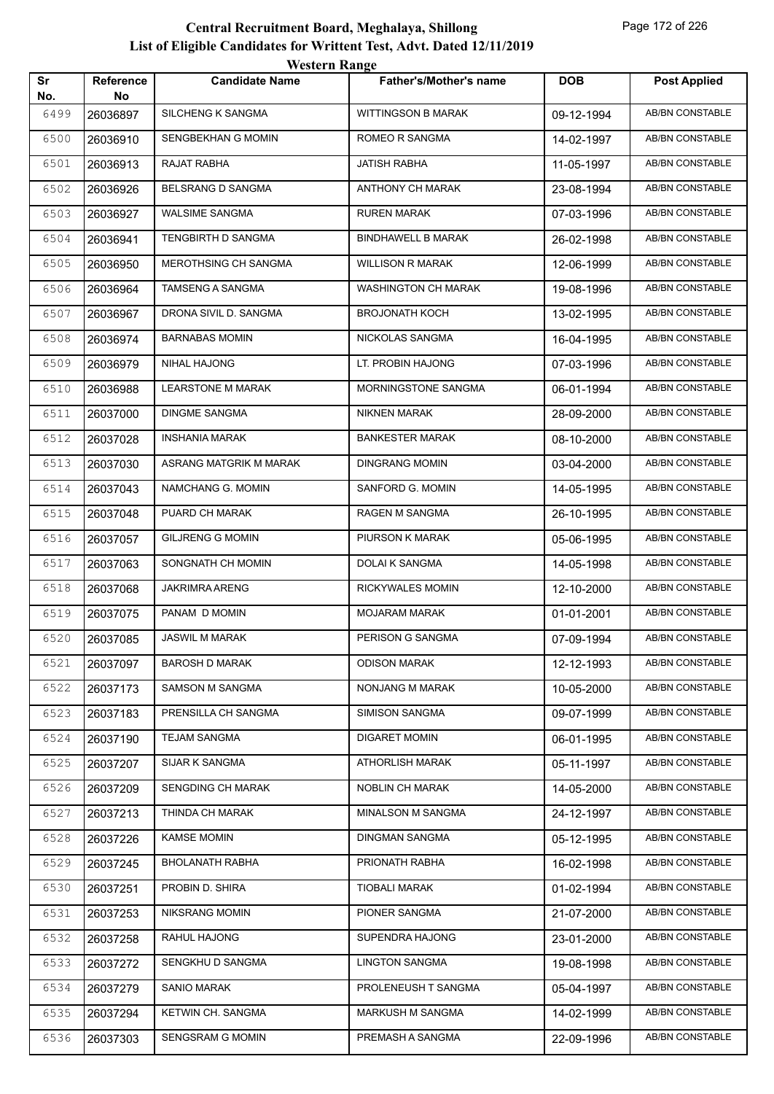|           |                        | western Kange             |                            |            |                        |
|-----------|------------------------|---------------------------|----------------------------|------------|------------------------|
| Sr<br>No. | <b>Reference</b><br>No | <b>Candidate Name</b>     | Father's/Mother's name     | <b>DOB</b> | <b>Post Applied</b>    |
| 6499      | 26036897               | <b>SILCHENG K SANGMA</b>  | <b>WITTINGSON B MARAK</b>  | 09-12-1994 | <b>AB/BN CONSTABLE</b> |
| 6500      | 26036910               | SENGBEKHAN G MOMIN        | <b>ROMEO R SANGMA</b>      | 14-02-1997 | AB/BN CONSTABLE        |
| 6501      | 26036913               | RAJAT RABHA               | <b>JATISH RABHA</b>        | 11-05-1997 | AB/BN CONSTABLE        |
| 6502      | 26036926               | BELSRANG D SANGMA         | ANTHONY CH MARAK           | 23-08-1994 | <b>AB/BN CONSTABLE</b> |
| 6503      | 26036927               | <b>WALSIME SANGMA</b>     | <b>RUREN MARAK</b>         | 07-03-1996 | AB/BN CONSTABLE        |
| 6504      | 26036941               | <b>TENGBIRTH D SANGMA</b> | <b>BINDHAWELL B MARAK</b>  | 26-02-1998 | AB/BN CONSTABLE        |
| 6505      | 26036950               | MEROTHSING CH SANGMA      | <b>WILLISON R MARAK</b>    | 12-06-1999 | AB/BN CONSTABLE        |
| 6506      | 26036964               | TAMSENG A SANGMA          | WASHINGTON CH MARAK        | 19-08-1996 | AB/BN CONSTABLE        |
| 6507      | 26036967               | DRONA SIVIL D. SANGMA     | <b>BROJONATH KOCH</b>      | 13-02-1995 | <b>AB/BN CONSTABLE</b> |
| 6508      | 26036974               | <b>BARNABAS MOMIN</b>     | NICKOLAS SANGMA            | 16-04-1995 | AB/BN CONSTABLE        |
| 6509      | 26036979               | NIHAL HAJONG              | LT. PROBIN HAJONG          | 07-03-1996 | AB/BN CONSTABLE        |
| 6510      | 26036988               | <b>LEARSTONE M MARAK</b>  | <b>MORNINGSTONE SANGMA</b> | 06-01-1994 | AB/BN CONSTABLE        |
| 6511      | 26037000               | <b>DINGME SANGMA</b>      | <b>NIKNEN MARAK</b>        | 28-09-2000 | AB/BN CONSTABLE        |
| 6512      | 26037028               | <b>INSHANIA MARAK</b>     | <b>BANKESTER MARAK</b>     | 08-10-2000 | <b>AB/BN CONSTABLE</b> |
| 6513      | 26037030               | ASRANG MATGRIK M MARAK    | <b>DINGRANG MOMIN</b>      | 03-04-2000 | AB/BN CONSTABLE        |
| 6514      | 26037043               | NAMCHANG G. MOMIN         | SANFORD G. MOMIN           | 14-05-1995 | AB/BN CONSTABLE        |
| 6515      | 26037048               | PUARD CH MARAK            | RAGEN M SANGMA             | 26-10-1995 | AB/BN CONSTABLE        |
| 6516      | 26037057               | <b>GILJRENG G MOMIN</b>   | PIURSON K MARAK            | 05-06-1995 | AB/BN CONSTABLE        |
| 6517      | 26037063               | SONGNATH CH MOMIN         | DOLAI K SANGMA             | 14-05-1998 | AB/BN CONSTABLE        |
| 6518      | 26037068               | JAKRIMRA ARENG            | RICKYWALES MOMIN           | 12-10-2000 | AB/BN CONSTABLE        |
| 6519      | 26037075               | PANAM D MOMIN             | <b>MOJARAM MARAK</b>       | 01-01-2001 | AB/BN CONSTABLE        |
| 6520      | 26037085               | <b>JASWIL M MARAK</b>     | PERISON G SANGMA           | 07-09-1994 | AB/BN CONSTABLE        |
| 6521      | 26037097               | BAROSH D MARAK            | <b>ODISON MARAK</b>        | 12-12-1993 | AB/BN CONSTABLE        |
| 6522      | 26037173               | <b>SAMSON M SANGMA</b>    | NONJANG M MARAK            | 10-05-2000 | AB/BN CONSTABLE        |
| 6523      | 26037183               | PRENSILLA CH SANGMA       | <b>SIMISON SANGMA</b>      | 09-07-1999 | AB/BN CONSTABLE        |
| 6524      | 26037190               | <b>TEJAM SANGMA</b>       | <b>DIGARET MOMIN</b>       | 06-01-1995 | AB/BN CONSTABLE        |
| 6525      | 26037207               | SIJAR K SANGMA            | <b>ATHORLISH MARAK</b>     | 05-11-1997 | AB/BN CONSTABLE        |
| 6526      | 26037209               | SENGDING CH MARAK         | NOBLIN CH MARAK            | 14-05-2000 | AB/BN CONSTABLE        |
| 6527      | 26037213               | THINDA CH MARAK           | MINALSON M SANGMA          | 24-12-1997 | AB/BN CONSTABLE        |
| 6528      | 26037226               | <b>KAMSE MOMIN</b>        | <b>DINGMAN SANGMA</b>      | 05-12-1995 | AB/BN CONSTABLE        |
| 6529      | 26037245               | <b>BHOLANATH RABHA</b>    | PRIONATH RABHA             | 16-02-1998 | AB/BN CONSTABLE        |
| 6530      | 26037251               | PROBIN D. SHIRA           | <b>TIOBALI MARAK</b>       | 01-02-1994 | AB/BN CONSTABLE        |
| 6531      | 26037253               | <b>NIKSRANG MOMIN</b>     | PIONER SANGMA              | 21-07-2000 | AB/BN CONSTABLE        |
| 6532      | 26037258               | RAHUL HAJONG              | SUPENDRA HAJONG            | 23-01-2000 | AB/BN CONSTABLE        |
| 6533      | 26037272               | SENGKHU D SANGMA          | <b>LINGTON SANGMA</b>      | 19-08-1998 | AB/BN CONSTABLE        |
| 6534      | 26037279               | SANIO MARAK               | PROLENEUSH T SANGMA        | 05-04-1997 | AB/BN CONSTABLE        |
| 6535      | 26037294               | KETWIN CH. SANGMA         | MARKUSH M SANGMA           | 14-02-1999 | AB/BN CONSTABLE        |
| 6536      | 26037303               | SENGSRAM G MOMIN          | PREMASH A SANGMA           | 22-09-1996 | AB/BN CONSTABLE        |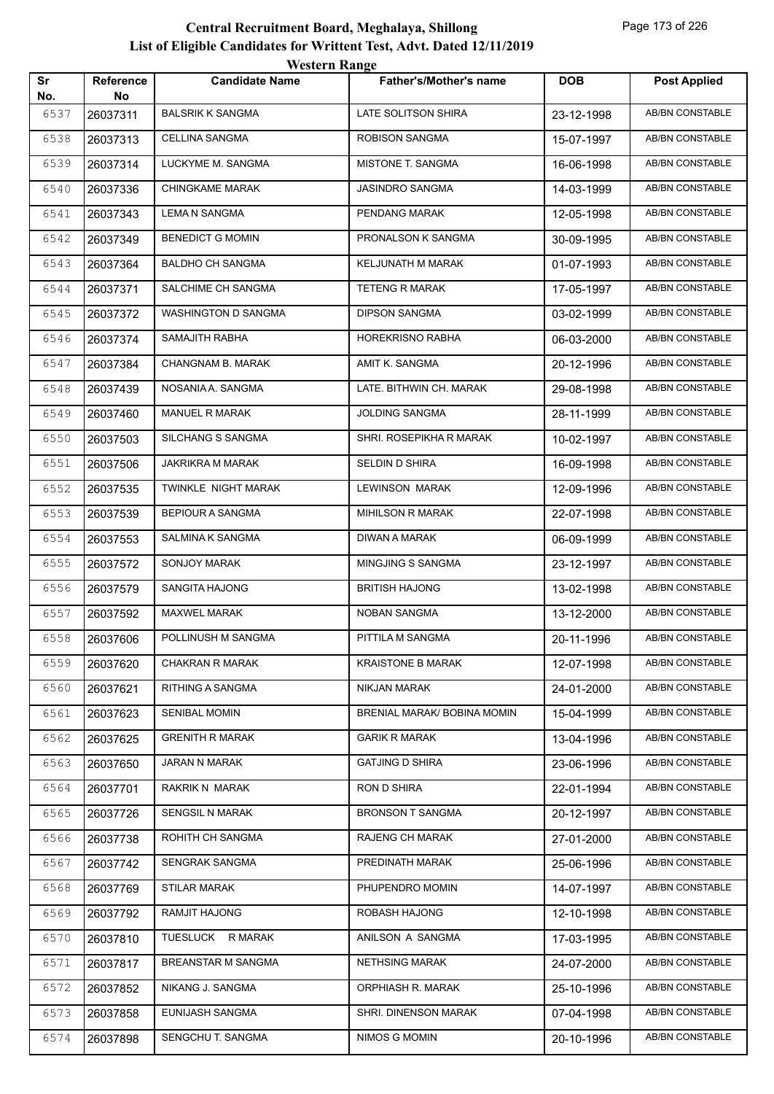| Sr   | Reference | WESTEL II INALIZE<br><b>Candidate Name</b> | <b>Father's/Mother's name</b> | <b>DOB</b> | <b>Post Applied</b>    |
|------|-----------|--------------------------------------------|-------------------------------|------------|------------------------|
| No.  | No.       |                                            |                               |            |                        |
| 6537 | 26037311  | <b>BALSRIK K SANGMA</b>                    | LATE SOLITSON SHIRA           | 23-12-1998 | <b>AB/BN CONSTABLE</b> |
| 6538 | 26037313  | CELLINA SANGMA                             | ROBISON SANGMA                | 15-07-1997 | AB/BN CONSTABLE        |
| 6539 | 26037314  | LUCKYME M. SANGMA                          | MISTONE T. SANGMA             | 16-06-1998 | AB/BN CONSTABLE        |
| 6540 | 26037336  | <b>CHINGKAME MARAK</b>                     | JASINDRO SANGMA               | 14-03-1999 | AB/BN CONSTABLE        |
| 6541 | 26037343  | <b>LEMA N SANGMA</b>                       | PENDANG MARAK                 | 12-05-1998 | <b>AB/BN CONSTABLE</b> |
| 6542 | 26037349  | <b>BENEDICT G MOMIN</b>                    | PRONALSON K SANGMA            | 30-09-1995 | AB/BN CONSTABLE        |
| 6543 | 26037364  | <b>BALDHO CH SANGMA</b>                    | KELJUNATH M MARAK             | 01-07-1993 | AB/BN CONSTABLE        |
| 6544 | 26037371  | SALCHIME CH SANGMA                         | <b>TETENG R MARAK</b>         | 17-05-1997 | AB/BN CONSTABLE        |
| 6545 | 26037372  | WASHINGTON D SANGMA                        | <b>DIPSON SANGMA</b>          | 03-02-1999 | AB/BN CONSTABLE        |
| 6546 | 26037374  | SAMAJITH RABHA                             | <b>HOREKRISNO RABHA</b>       | 06-03-2000 | <b>AB/BN CONSTABLE</b> |
| 6547 | 26037384  | CHANGNAM B. MARAK                          | AMIT K. SANGMA                | 20-12-1996 | AB/BN CONSTABLE        |
| 6548 | 26037439  | NOSANIA A. SANGMA                          | LATE. BITHWIN CH. MARAK       | 29-08-1998 | AB/BN CONSTABLE        |
| 6549 | 26037460  | MANUEL R MARAK                             | <b>JOLDING SANGMA</b>         | 28-11-1999 | AB/BN CONSTABLE        |
| 6550 | 26037503  | <b>SILCHANG S SANGMA</b>                   | SHRI. ROSEPIKHA R MARAK       | 10-02-1997 | AB/BN CONSTABLE        |
| 6551 | 26037506  | JAKRIKRA M MARAK                           | SELDIN D SHIRA                | 16-09-1998 | <b>AB/BN CONSTABLE</b> |
| 6552 | 26037535  | TWINKLE NIGHT MARAK                        | LEWINSON MARAK                | 12-09-1996 | AB/BN CONSTABLE        |
| 6553 | 26037539  | <b>BEPIOUR A SANGMA</b>                    | <b>MIHILSON R MARAK</b>       | 22-07-1998 | AB/BN CONSTABLE        |
| 6554 | 26037553  | SALMINA K SANGMA                           | DIWAN A MARAK                 | 06-09-1999 | AB/BN CONSTABLE        |
| 6555 | 26037572  | SONJOY MARAK                               | MINGJING S SANGMA             | 23-12-1997 | AB/BN CONSTABLE        |
| 6556 | 26037579  | SANGITA HAJONG                             | <b>BRITISH HAJONG</b>         | 13-02-1998 | <b>AB/BN CONSTABLE</b> |
| 6557 | 26037592  | <b>MAXWEL MARAK</b>                        | NOBAN SANGMA                  | 13-12-2000 | AB/BN CONSTABLE        |
| 6558 | 26037606  | POLLINUSH M SANGMA                         | PITTILA M SANGMA              | 20-11-1996 | AB/BN CONSTABLE        |
| 6559 | 26037620  | <b>CHAKRAN R MARAK</b>                     | <b>KRAISTONE B MARAK</b>      | 12-07-1998 | AB/BN CONSTABLE        |
| 6560 | 26037621  | RITHING A SANGMA                           | NIKJAN MARAK                  | 24-01-2000 | AB/BN CONSTABLE        |
| 6561 | 26037623  | <b>SENIBAL MOMIN</b>                       | BRENIAL MARAK/ BOBINA MOMIN   | 15-04-1999 | AB/BN CONSTABLE        |
| 6562 | 26037625  | <b>GRENITH R MARAK</b>                     | <b>GARIK R MARAK</b>          | 13-04-1996 | AB/BN CONSTABLE        |
| 6563 | 26037650  | JARAN N MARAK                              | <b>GATJING D SHIRA</b>        | 23-06-1996 | AB/BN CONSTABLE        |
| 6564 | 26037701  | RAKRIK N MARAK                             | RON D SHIRA                   | 22-01-1994 | AB/BN CONSTABLE        |
| 6565 | 26037726  | SENGSIL N MARAK                            | <b>BRONSON T SANGMA</b>       | 20-12-1997 | AB/BN CONSTABLE        |
| 6566 | 26037738  | ROHITH CH SANGMA                           | RAJENG CH MARAK               | 27-01-2000 | AB/BN CONSTABLE        |
| 6567 | 26037742  | SENGRAK SANGMA                             | PREDINATH MARAK               | 25-06-1996 | AB/BN CONSTABLE        |
| 6568 | 26037769  | <b>STILAR MARAK</b>                        | PHUPENDRO MOMIN               | 14-07-1997 | AB/BN CONSTABLE        |
| 6569 | 26037792  | RAMJIT HAJONG                              | ROBASH HAJONG                 | 12-10-1998 | AB/BN CONSTABLE        |
| 6570 | 26037810  | TUESLUCK R MARAK                           | ANILSON A SANGMA              | 17-03-1995 | AB/BN CONSTABLE        |
| 6571 | 26037817  | BREANSTAR M SANGMA                         | <b>NETHSING MARAK</b>         | 24-07-2000 | AB/BN CONSTABLE        |
| 6572 | 26037852  | NIKANG J. SANGMA                           | ORPHIASH R. MARAK             | 25-10-1996 | AB/BN CONSTABLE        |
| 6573 | 26037858  | EUNIJASH SANGMA                            | SHRI. DINENSON MARAK          | 07-04-1998 | AB/BN CONSTABLE        |
| 6574 | 26037898  | SENGCHU T. SANGMA                          | NIMOS G MOMIN                 | 20-10-1996 | AB/BN CONSTABLE        |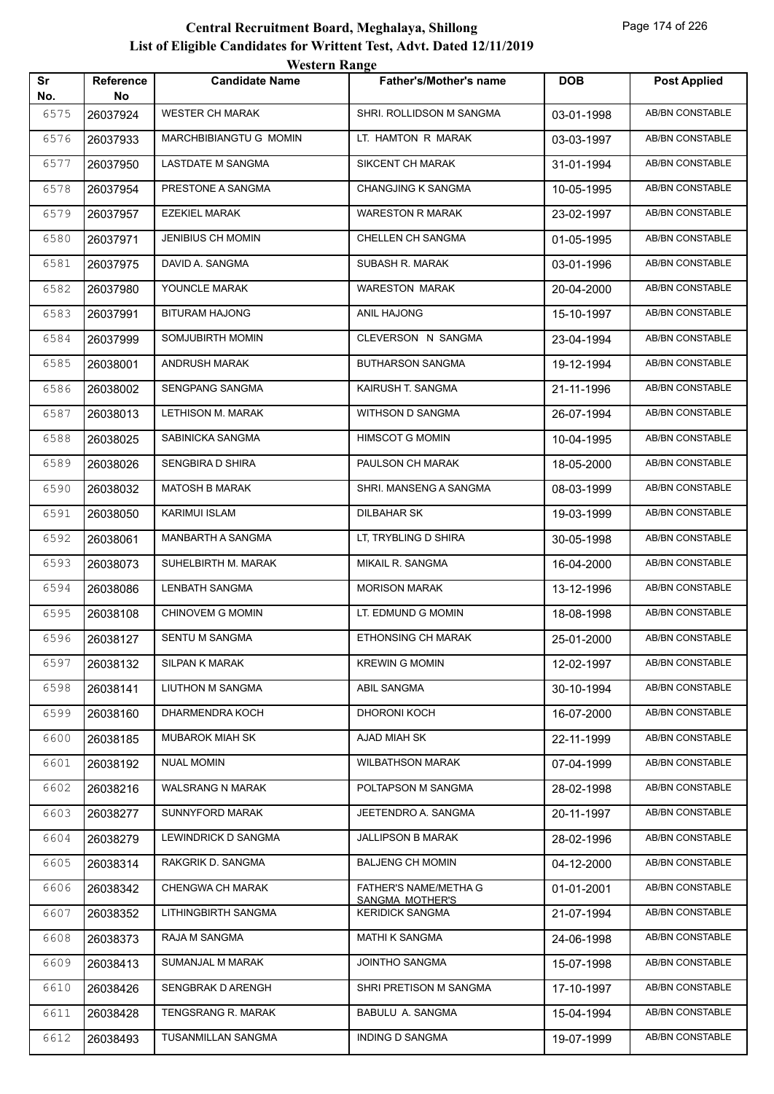| Sr   | <b>Reference</b> | <i><b>WEBULL WALLET</b></i><br><b>Candidate Name</b> | <b>Father's/Mother's name</b>            | <b>DOB</b> | <b>Post Applied</b>    |
|------|------------------|------------------------------------------------------|------------------------------------------|------------|------------------------|
| No.  | No               |                                                      |                                          |            |                        |
| 6575 | 26037924         | <b>WESTER CH MARAK</b>                               | SHRI. ROLLIDSON M SANGMA                 | 03-01-1998 | AB/BN CONSTABLE        |
| 6576 | 26037933         | MARCHBIBIANGTU G MOMIN                               | LT. HAMTON R MARAK                       | 03-03-1997 | AB/BN CONSTABLE        |
| 6577 | 26037950         | LASTDATE M SANGMA                                    | SIKCENT CH MARAK                         | 31-01-1994 | <b>AB/BN CONSTABLE</b> |
| 6578 | 26037954         | PRESTONE A SANGMA                                    | CHANGJING K SANGMA                       | 10-05-1995 | <b>AB/BN CONSTABLE</b> |
| 6579 | 26037957         | <b>EZEKIEL MARAK</b>                                 | <b>WARESTON R MARAK</b>                  | 23-02-1997 | AB/BN CONSTABLE        |
| 6580 | 26037971         | <b>JENIBIUS CH MOMIN</b>                             | <b>CHELLEN CH SANGMA</b>                 | 01-05-1995 | AB/BN CONSTABLE        |
| 6581 | 26037975         | DAVID A. SANGMA                                      | SUBASH R. MARAK                          | 03-01-1996 | AB/BN CONSTABLE        |
| 6582 | 26037980         | YOUNCLE MARAK                                        | <b>WARESTON MARAK</b>                    | 20-04-2000 | <b>AB/BN CONSTABLE</b> |
| 6583 | 26037991         | <b>BITURAM HAJONG</b>                                | ANIL HAJONG                              | 15-10-1997 | AB/BN CONSTABLE        |
| 6584 | 26037999         | SOMJUBIRTH MOMIN                                     | CLEVERSON N SANGMA                       | 23-04-1994 | AB/BN CONSTABLE        |
| 6585 | 26038001         | ANDRUSH MARAK                                        | <b>BUTHARSON SANGMA</b>                  | 19-12-1994 | AB/BN CONSTABLE        |
| 6586 | 26038002         | SENGPANG SANGMA                                      | KAIRUSH T. SANGMA                        | 21-11-1996 | AB/BN CONSTABLE        |
| 6587 | 26038013         | LETHISON M. MARAK                                    | WITHSON D SANGMA                         | 26-07-1994 | <b>AB/BN CONSTABLE</b> |
| 6588 | 26038025         | SABINICKA SANGMA                                     | <b>HIMSCOT G MOMIN</b>                   | 10-04-1995 | AB/BN CONSTABLE        |
| 6589 | 26038026         | SENGBIRA D SHIRA                                     | PAULSON CH MARAK                         | 18-05-2000 | AB/BN CONSTABLE        |
| 6590 | 26038032         | <b>MATOSH B MARAK</b>                                | SHRI. MANSENG A SANGMA                   | 08-03-1999 | AB/BN CONSTABLE        |
| 6591 | 26038050         | <b>KARIMUI ISLAM</b>                                 | DILBAHAR SK                              | 19-03-1999 | <b>AB/BN CONSTABLE</b> |
| 6592 | 26038061         | MANBARTH A SANGMA                                    | LT, TRYBLING D SHIRA                     | 30-05-1998 | <b>AB/BN CONSTABLE</b> |
| 6593 | 26038073         | SUHELBIRTH M. MARAK                                  | MIKAIL R. SANGMA                         | 16-04-2000 | AB/BN CONSTABLE        |
| 6594 | 26038086         | LENBATH SANGMA                                       | <b>MORISON MARAK</b>                     | 13-12-1996 | AB/BN CONSTABLE        |
| 6595 | 26038108         | CHINOVEM G MOMIN                                     | LT. EDMUND G MOMIN                       | 18-08-1998 | AB/BN CONSTABLE        |
| 6596 | 26038127         | SENTU M SANGMA                                       | ETHONSING CH MARAK                       | 25-01-2000 | AB/BN CONSTABLE        |
| 6597 | 26038132         | SILPAN K MARAK                                       | <b>KREWIN G MOMIN</b>                    | 12-02-1997 | AB/BN CONSTABLE        |
| 6598 | 26038141         | LIUTHON M SANGMA                                     | ABIL SANGMA                              | 30-10-1994 | AB/BN CONSTABLE        |
| 6599 | 26038160         | DHARMENDRA KOCH                                      | DHORONI KOCH                             | 16-07-2000 | AB/BN CONSTABLE        |
| 6600 | 26038185         | MUBAROK MIAH SK                                      | AJAD MIAH SK                             | 22-11-1999 | AB/BN CONSTABLE        |
| 6601 | 26038192         | NUAL MOMIN                                           | <b>WILBATHSON MARAK</b>                  | 07-04-1999 | AB/BN CONSTABLE        |
| 6602 | 26038216         | <b>WALSRANG N MARAK</b>                              | POLTAPSON M SANGMA                       | 28-02-1998 | AB/BN CONSTABLE        |
| 6603 | 26038277         | SUNNYFORD MARAK                                      | JEETENDRO A. SANGMA                      | 20-11-1997 | AB/BN CONSTABLE        |
| 6604 | 26038279         | LEWINDRICK D SANGMA                                  | <b>JALLIPSON B MARAK</b>                 | 28-02-1996 | AB/BN CONSTABLE        |
| 6605 | 26038314         | RAKGRIK D. SANGMA                                    | <b>BALJENG CH MOMIN</b>                  | 04-12-2000 | AB/BN CONSTABLE        |
| 6606 | 26038342         | CHENGWA CH MARAK                                     | FATHER'S NAME/METHA G<br>SANGMA MOTHER'S | 01-01-2001 | AB/BN CONSTABLE        |
| 6607 | 26038352         | LITHINGBIRTH SANGMA                                  | <b>KERIDICK SANGMA</b>                   | 21-07-1994 | AB/BN CONSTABLE        |
| 6608 | 26038373         | RAJA M SANGMA                                        | <b>MATHI K SANGMA</b>                    | 24-06-1998 | AB/BN CONSTABLE        |
| 6609 | 26038413         | SUMANJAL M MARAK                                     | JOINTHO SANGMA                           | 15-07-1998 | AB/BN CONSTABLE        |
| 6610 | 26038426         | SENGBRAK D ARENGH                                    | SHRI PRETISON M SANGMA                   | 17-10-1997 | AB/BN CONSTABLE        |
| 6611 | 26038428         | TENGSRANG R. MARAK                                   | BABULU A. SANGMA                         | 15-04-1994 | AB/BN CONSTABLE        |
| 6612 | 26038493         | TUSANMILLAN SANGMA                                   | INDING D SANGMA                          | 19-07-1999 | AB/BN CONSTABLE        |
|      |                  |                                                      |                                          |            |                        |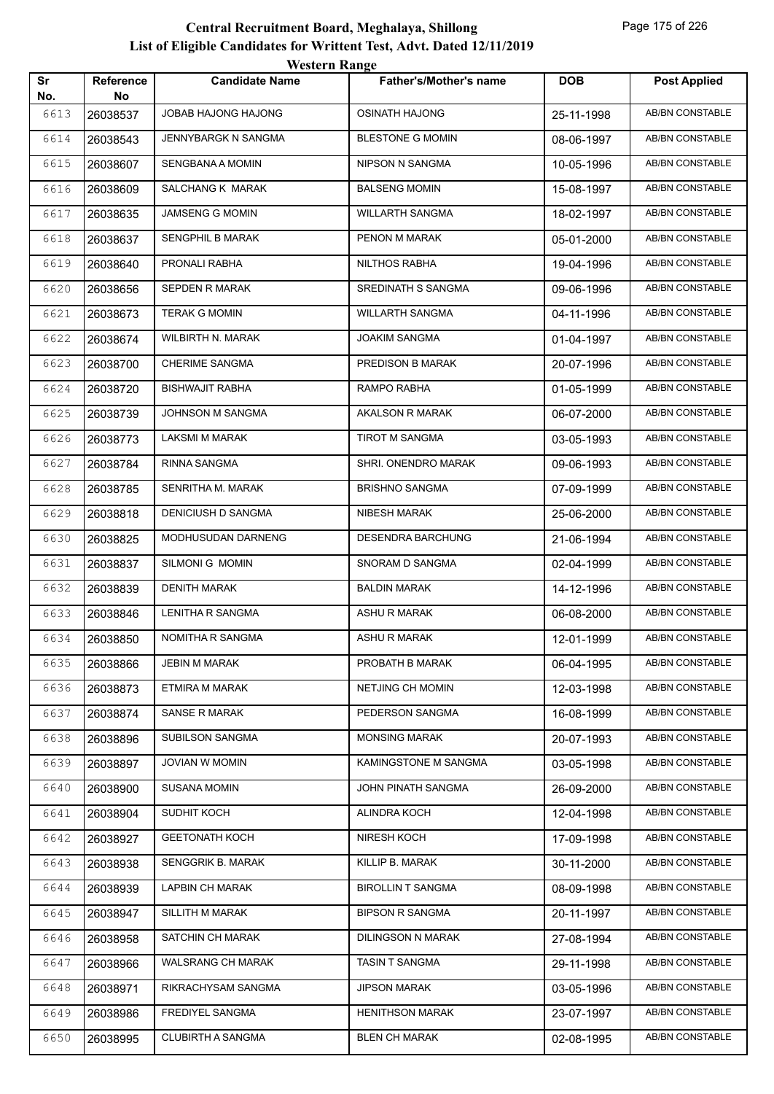| Sr   | <b>Reference</b> | <b><i>HESKLE KAHEC</i></b><br><b>Candidate Name</b> | <b>Father's/Mother's name</b> | <b>DOB</b> | <b>Post Applied</b>    |
|------|------------------|-----------------------------------------------------|-------------------------------|------------|------------------------|
| No.  | No               |                                                     |                               |            |                        |
| 6613 | 26038537         | JOBAB HAJONG HAJONG                                 | <b>OSINATH HAJONG</b>         | 25-11-1998 | <b>AB/BN CONSTABLE</b> |
| 6614 | 26038543         | JENNYBARGK N SANGMA                                 | <b>BLESTONE G MOMIN</b>       | 08-06-1997 | AB/BN CONSTABLE        |
| 6615 | 26038607         | SENGBANA A MOMIN                                    | NIPSON N SANGMA               | 10-05-1996 | AB/BN CONSTABLE        |
| 6616 | 26038609         | SALCHANG K MARAK                                    | <b>BALSENG MOMIN</b>          | 15-08-1997 | AB/BN CONSTABLE        |
| 6617 | 26038635         | JAMSENG G MOMIN                                     | <b>WILLARTH SANGMA</b>        | 18-02-1997 | AB/BN CONSTABLE        |
| 6618 | 26038637         | <b>SENGPHIL B MARAK</b>                             | PENON M MARAK                 | 05-01-2000 | <b>AB/BN CONSTABLE</b> |
| 6619 | 26038640         | PRONALI RABHA                                       | NILTHOS RABHA                 | 19-04-1996 | AB/BN CONSTABLE        |
| 6620 | 26038656         | SEPDEN R MARAK                                      | SREDINATH S SANGMA            | 09-06-1996 | AB/BN CONSTABLE        |
| 6621 | 26038673         | <b>TERAK G MOMIN</b>                                | <b>WILLARTH SANGMA</b>        | 04-11-1996 | AB/BN CONSTABLE        |
| 6622 | 26038674         | WILBIRTH N. MARAK                                   | JOAKIM SANGMA                 | 01-04-1997 | AB/BN CONSTABLE        |
| 6623 | 26038700         | <b>CHERIME SANGMA</b>                               | PREDISON B MARAK              | 20-07-1996 | <b>AB/BN CONSTABLE</b> |
| 6624 | 26038720         | <b>BISHWAJIT RABHA</b>                              | RAMPO RABHA                   | 01-05-1999 | <b>AB/BN CONSTABLE</b> |
| 6625 | 26038739         | JOHNSON M SANGMA                                    | AKALSON R MARAK               | 06-07-2000 | AB/BN CONSTABLE        |
| 6626 | 26038773         | LAKSMI M MARAK                                      | TIROT M SANGMA                | 03-05-1993 | <b>AB/BN CONSTABLE</b> |
| 6627 | 26038784         | RINNA SANGMA                                        | SHRI. ONENDRO MARAK           | 09-06-1993 | <b>AB/BN CONSTABLE</b> |
| 6628 | 26038785         | SENRITHA M. MARAK                                   | <b>BRISHNO SANGMA</b>         | 07-09-1999 | <b>AB/BN CONSTABLE</b> |
| 6629 | 26038818         | DENICIUSH D SANGMA                                  | NIBESH MARAK                  | 25-06-2000 | <b>AB/BN CONSTABLE</b> |
| 6630 | 26038825         | MODHUSUDAN DARNENG                                  | <b>DESENDRA BARCHUNG</b>      | 21-06-1994 | <b>AB/BN CONSTABLE</b> |
| 6631 | 26038837         | SILMONI G MOMIN                                     | SNORAM D SANGMA               | 02-04-1999 | AB/BN CONSTABLE        |
| 6632 | 26038839         | <b>DENITH MARAK</b>                                 | <b>BALDIN MARAK</b>           | 14-12-1996 | AB/BN CONSTABLE        |
| 6633 | 26038846         | LENITHA R SANGMA                                    | ASHU R MARAK                  | 06-08-2000 | <b>AB/BN CONSTABLE</b> |
| 6634 | 26038850         | NOMITHA R SANGMA                                    | ASHU R MARAK                  | 12-01-1999 | AB/BN CONSTABLE        |
| 6635 | 26038866         | <b>JEBIN M MARAK</b>                                | PROBATH B MARAK               | 06-04-1995 | AB/BN CONSTABLE        |
| 6636 | 26038873         | ETMIRA M MARAK                                      | NETJING CH MOMIN              | 12-03-1998 | AB/BN CONSTABLE        |
| 6637 | 26038874         | SANSE R MARAK                                       | PEDERSON SANGMA               | 16-08-1999 | AB/BN CONSTABLE        |
| 6638 | 26038896         | <b>SUBILSON SANGMA</b>                              | <b>MONSING MARAK</b>          | 20-07-1993 | AB/BN CONSTABLE        |
| 6639 | 26038897         | JOVIAN W MOMIN                                      | KAMINGSTONE M SANGMA          | 03-05-1998 | AB/BN CONSTABLE        |
| 6640 | 26038900         | <b>SUSANA MOMIN</b>                                 | JOHN PINATH SANGMA            | 26-09-2000 | <b>AB/BN CONSTABLE</b> |
| 6641 | 26038904         | SUDHIT KOCH                                         | ALINDRA KOCH                  | 12-04-1998 | AB/BN CONSTABLE        |
| 6642 | 26038927         | <b>GEETONATH KOCH</b>                               | NIRESH KOCH                   | 17-09-1998 | AB/BN CONSTABLE        |
| 6643 | 26038938         | SENGGRIK B. MARAK                                   | KILLIP B. MARAK               | 30-11-2000 | AB/BN CONSTABLE        |
| 6644 | 26038939         | LAPBIN CH MARAK                                     | <b>BIROLLIN T SANGMA</b>      | 08-09-1998 | AB/BN CONSTABLE        |
| 6645 | 26038947         | SILLITH M MARAK                                     | <b>BIPSON R SANGMA</b>        | 20-11-1997 | AB/BN CONSTABLE        |
| 6646 | 26038958         | SATCHIN CH MARAK                                    | <b>DILINGSON N MARAK</b>      | 27-08-1994 | AB/BN CONSTABLE        |
| 6647 | 26038966         | WALSRANG CH MARAK                                   | <b>TASIN T SANGMA</b>         | 29-11-1998 | AB/BN CONSTABLE        |
| 6648 | 26038971         | RIKRACHYSAM SANGMA                                  | <b>JIPSON MARAK</b>           | 03-05-1996 | AB/BN CONSTABLE        |
| 6649 | 26038986         | FREDIYEL SANGMA                                     | <b>HENITHSON MARAK</b>        | 23-07-1997 | AB/BN CONSTABLE        |
| 6650 | 26038995         | <b>CLUBIRTH A SANGMA</b>                            | <b>BLEN CH MARAK</b>          | 02-08-1995 | AB/BN CONSTABLE        |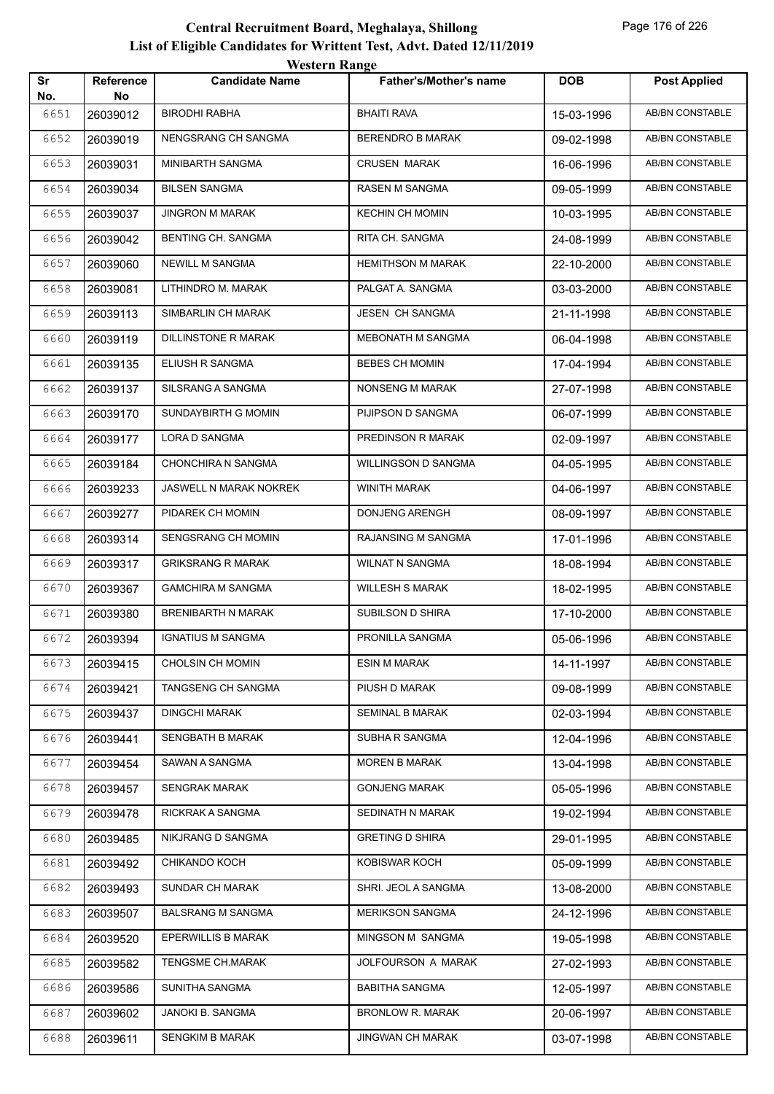| Sr          | Reference      | <b><i>HESKLE KAHEC</i></b><br><b>Candidate Name</b> | <b>Father's/Mother's name</b> | <b>DOB</b> | <b>Post Applied</b>    |
|-------------|----------------|-----------------------------------------------------|-------------------------------|------------|------------------------|
| No.<br>6651 | No<br>26039012 | <b>BIRODHI RABHA</b>                                | <b>BHAITI RAVA</b>            | 15-03-1996 | <b>AB/BN CONSTABLE</b> |
| 6652        | 26039019       | NENGSRANG CH SANGMA                                 | <b>BERENDRO B MARAK</b>       | 09-02-1998 | AB/BN CONSTABLE        |
| 6653        | 26039031       | MINIBARTH SANGMA                                    | <b>CRUSEN MARAK</b>           | 16-06-1996 | AB/BN CONSTABLE        |
| 6654        | 26039034       | <b>BILSEN SANGMA</b>                                | RASEN M SANGMA                | 09-05-1999 | AB/BN CONSTABLE        |
| 6655        |                | <b>JINGRON M MARAK</b>                              | <b>KECHIN CH MOMIN</b>        |            | AB/BN CONSTABLE        |
|             | 26039037       |                                                     |                               | 10-03-1995 |                        |
| 6656        | 26039042       | <b>BENTING CH. SANGMA</b>                           | RITA CH. SANGMA               | 24-08-1999 | <b>AB/BN CONSTABLE</b> |
| 6657        | 26039060       | NEWILL M SANGMA                                     | <b>HEMITHSON M MARAK</b>      | 22-10-2000 | AB/BN CONSTABLE        |
| 6658        | 26039081       | LITHINDRO M. MARAK                                  | PALGAT A. SANGMA              | 03-03-2000 | AB/BN CONSTABLE        |
| 6659        | 26039113       | SIMBARLIN CH MARAK                                  | JESEN CH SANGMA               | 21-11-1998 | AB/BN CONSTABLE        |
| 6660        | 26039119       | DILLINSTONE R MARAK                                 | MEBONATH M SANGMA             | 06-04-1998 | AB/BN CONSTABLE        |
| 6661        | 26039135       | ELIUSH R SANGMA                                     | <b>BEBES CH MOMIN</b>         | 17-04-1994 | <b>AB/BN CONSTABLE</b> |
| 6662        | 26039137       | SILSRANG A SANGMA                                   | NONSENG M MARAK               | 27-07-1998 | AB/BN CONSTABLE        |
| 6663        | 26039170       | SUNDAYBIRTH G MOMIN                                 | PIJIPSON D SANGMA             | 06-07-1999 | AB/BN CONSTABLE        |
| 6664        | 26039177       | LORA D SANGMA                                       | PREDINSON R MARAK             | 02-09-1997 | AB/BN CONSTABLE        |
| 6665        | 26039184       | CHONCHIRA N SANGMA                                  | WILLINGSON D SANGMA           | 04-05-1995 | AB/BN CONSTABLE        |
| 6666        | 26039233       | JASWELL N MARAK NOKREK                              | WINITH MARAK                  | 04-06-1997 | <b>AB/BN CONSTABLE</b> |
| 6667        | 26039277       | PIDAREK CH MOMIN                                    | DONJENG ARENGH                | 08-09-1997 | AB/BN CONSTABLE        |
| 6668        | 26039314       | SENGSRANG CH MOMIN                                  | RAJANSING M SANGMA            | 17-01-1996 | AB/BN CONSTABLE        |
| 6669        | 26039317       | <b>GRIKSRANG R MARAK</b>                            | <b>WILNAT N SANGMA</b>        | 18-08-1994 | AB/BN CONSTABLE        |
| 6670        | 26039367       | <b>GAMCHIRA M SANGMA</b>                            | <b>WILLESH S MARAK</b>        | 18-02-1995 | AB/BN CONSTABLE        |
| 6671        | 26039380       | BRENIBARTH N MARAK                                  | SUBILSON D SHIRA              | 17-10-2000 | <b>AB/BN CONSTABLE</b> |
| 6672        | 26039394       | <b>IGNATIUS M SANGMA</b>                            | PRONILLA SANGMA               | 05-06-1996 | AB/BN CONSTABLE        |
| 6673        | 26039415       | CHOLSIN CH MOMIN                                    | <b>ESIN M MARAK</b>           | 14-11-1997 | AB/BN CONSTABLE        |
| 6674        | 26039421       | TANGSENG CH SANGMA                                  | PIUSH D MARAK                 | 09-08-1999 | AB/BN CONSTABLE        |
| 6675        | 26039437       | <b>DINGCHI MARAK</b>                                | SEMINAL B MARAK               | 02-03-1994 | AB/BN CONSTABLE        |
| 6676        | 26039441       | SENGBATH B MARAK                                    | SUBHA R SANGMA                | 12-04-1996 | AB/BN CONSTABLE        |
| 6677        | 26039454       | SAWAN A SANGMA                                      | <b>MOREN B MARAK</b>          | 13-04-1998 | AB/BN CONSTABLE        |
| 6678        | 26039457       | <b>SENGRAK MARAK</b>                                | <b>GONJENG MARAK</b>          | 05-05-1996 | AB/BN CONSTABLE        |
| 6679        | 26039478       | RICKRAK A SANGMA                                    | SEDINATH N MARAK              | 19-02-1994 | AB/BN CONSTABLE        |
| 6680        | 26039485       | NIKJRANG D SANGMA                                   | <b>GRETING D SHIRA</b>        | 29-01-1995 | AB/BN CONSTABLE        |
| 6681        | 26039492       | CHIKANDO KOCH                                       | KOBISWAR KOCH                 | 05-09-1999 | AB/BN CONSTABLE        |
| 6682        | 26039493       | SUNDAR CH MARAK                                     | SHRI. JEOL A SANGMA           | 13-08-2000 | AB/BN CONSTABLE        |
| 6683        | 26039507       | <b>BALSRANG M SANGMA</b>                            | <b>MERIKSON SANGMA</b>        | 24-12-1996 | AB/BN CONSTABLE        |
| 6684        | 26039520       | EPERWILLIS B MARAK                                  | MINGSON M SANGMA              | 19-05-1998 | AB/BN CONSTABLE        |
| 6685        | 26039582       | <b>TENGSME CH.MARAK</b>                             | JOLFOURSON A MARAK            | 27-02-1993 | AB/BN CONSTABLE        |
| 6686        | 26039586       | SUNITHA SANGMA                                      | <b>BABITHA SANGMA</b>         | 12-05-1997 | AB/BN CONSTABLE        |
| 6687        | 26039602       | JANOKI B. SANGMA                                    | <b>BRONLOW R. MARAK</b>       | 20-06-1997 | AB/BN CONSTABLE        |
| 6688        | 26039611       | <b>SENGKIM B MARAK</b>                              | <b>JINGWAN CH MARAK</b>       | 03-07-1998 | AB/BN CONSTABLE        |
|             |                |                                                     |                               |            |                        |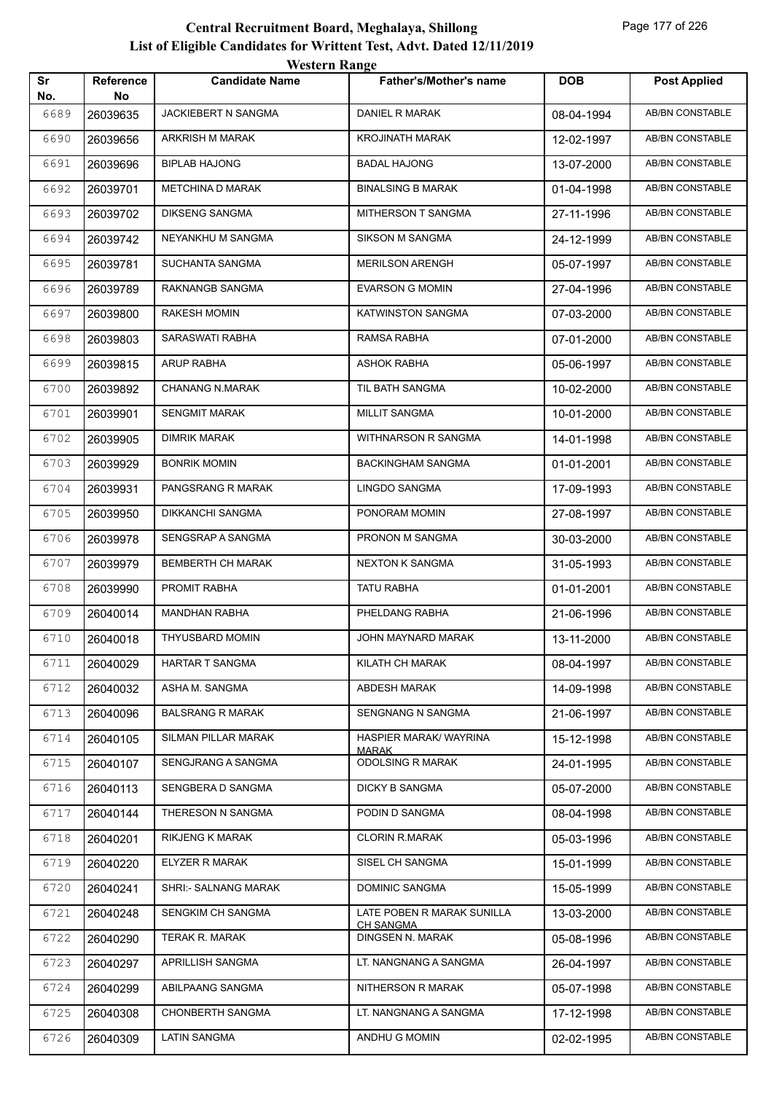|           |                        | western Kange            |                                                |            |                        |
|-----------|------------------------|--------------------------|------------------------------------------------|------------|------------------------|
| Sr<br>No. | <b>Reference</b><br>No | <b>Candidate Name</b>    | Father's/Mother's name                         | <b>DOB</b> | <b>Post Applied</b>    |
| 6689      | 26039635               | JACKIEBERT N SANGMA      | DANIEL R MARAK                                 | 08-04-1994 | AB/BN CONSTABLE        |
| 6690      | 26039656               | ARKRISH M MARAK          | <b>KROJINATH MARAK</b>                         | 12-02-1997 | AB/BN CONSTABLE        |
| 6691      | 26039696               | <b>BIPLAB HAJONG</b>     | <b>BADAL HAJONG</b>                            | 13-07-2000 | <b>AB/BN CONSTABLE</b> |
| 6692      | 26039701               | <b>METCHINA D MARAK</b>  | <b>BINALSING B MARAK</b>                       | 01-04-1998 | <b>AB/BN CONSTABLE</b> |
| 6693      | 26039702               | <b>DIKSENG SANGMA</b>    | MITHERSON T SANGMA                             | 27-11-1996 | AB/BN CONSTABLE        |
| 6694      | 26039742               | NEYANKHU M SANGMA        | <b>SIKSON M SANGMA</b>                         | 24-12-1999 | <b>AB/BN CONSTABLE</b> |
| 6695      | 26039781               | SUCHANTA SANGMA          | <b>MERILSON ARENGH</b>                         | 05-07-1997 | AB/BN CONSTABLE        |
| 6696      | 26039789               | RAKNANGB SANGMA          | <b>EVARSON G MOMIN</b>                         | 27-04-1996 | AB/BN CONSTABLE        |
| 6697      | 26039800               | RAKESH MOMIN             | <b>KATWINSTON SANGMA</b>                       | 07-03-2000 | <b>AB/BN CONSTABLE</b> |
| 6698      | 26039803               | <b>SARASWATI RABHA</b>   | RAMSA RABHA                                    | 07-01-2000 | AB/BN CONSTABLE        |
| 6699      | 26039815               | <b>ARUP RABHA</b>        | <b>ASHOK RABHA</b>                             | 05-06-1997 | AB/BN CONSTABLE        |
| 6700      | 26039892               | <b>CHANANG N.MARAK</b>   | TIL BATH SANGMA                                | 10-02-2000 | AB/BN CONSTABLE        |
| 6701      | 26039901               | <b>SENGMIT MARAK</b>     | <b>MILLIT SANGMA</b>                           | 10-01-2000 | AB/BN CONSTABLE        |
| 6702      | 26039905               | <b>DIMRIK MARAK</b>      | WITHNARSON R SANGMA                            | 14-01-1998 | <b>AB/BN CONSTABLE</b> |
| 6703      | 26039929               | <b>BONRIK MOMIN</b>      | <b>BACKINGHAM SANGMA</b>                       | 01-01-2001 | AB/BN CONSTABLE        |
| 6704      | 26039931               | PANGSRANG R MARAK        | LINGDO SANGMA                                  | 17-09-1993 | AB/BN CONSTABLE        |
| 6705      | 26039950               | DIKKANCHI SANGMA         | PONORAM MOMIN                                  | 27-08-1997 | AB/BN CONSTABLE        |
| 6706      | 26039978               | SENGSRAP A SANGMA        | PRONON M SANGMA                                | 30-03-2000 | AB/BN CONSTABLE        |
| 6707      | 26039979               | <b>BEMBERTH CH MARAK</b> | <b>NEXTON K SANGMA</b>                         | 31-05-1993 | <b>AB/BN CONSTABLE</b> |
| 6708      | 26039990               | PROMIT RABHA             | <b>TATU RABHA</b>                              | 01-01-2001 | AB/BN CONSTABLE        |
| 6709      | 26040014               | <b>MANDHAN RABHA</b>     | PHELDANG RABHA                                 | 21-06-1996 | AB/BN CONSTABLE        |
| 6710      | 26040018               | THYUSBARD MOMIN          | JOHN MAYNARD MARAK                             | 13-11-2000 | AB/BN CONSTABLE        |
| 6711      | 26040029               | HARTAR T SANGMA          | KILATH CH MARAK                                | 08-04-1997 | AB/BN CONSTABLE        |
| 6712      | 26040032               | ASHA M. SANGMA           | ABDESH MARAK                                   | 14-09-1998 | AB/BN CONSTABLE        |
| 6713      | 26040096               | <b>BALSRANG R MARAK</b>  | <b>SENGNANG N SANGMA</b>                       | 21-06-1997 | AB/BN CONSTABLE        |
| 6714      | 26040105               | SILMAN PILLAR MARAK      | HASPIER MARAK/ WAYRINA<br>MARAK                | 15-12-1998 | AB/BN CONSTABLE        |
| 6715      | 26040107               | SENGJRANG A SANGMA       | <b>ODOLSING R MARAK</b>                        | 24-01-1995 | AB/BN CONSTABLE        |
| 6716      | 26040113               | SENGBERA D SANGMA        | DICKY B SANGMA                                 | 05-07-2000 | AB/BN CONSTABLE        |
| 6717      | 26040144               | THERESON N SANGMA        | PODIN D SANGMA                                 | 08-04-1998 | AB/BN CONSTABLE        |
| 6718      | 26040201               | RIKJENG K MARAK          | <b>CLORIN R.MARAK</b>                          | 05-03-1996 | AB/BN CONSTABLE        |
| 6719      | 26040220               | <b>ELYZER R MARAK</b>    | SISEL CH SANGMA                                | 15-01-1999 | AB/BN CONSTABLE        |
| 6720      | 26040241               | SHRI:- SALNANG MARAK     | DOMINIC SANGMA                                 | 15-05-1999 | AB/BN CONSTABLE        |
| 6721      | 26040248               | SENGKIM CH SANGMA        | LATE POBEN R MARAK SUNILLA<br><b>CH SANGMA</b> | 13-03-2000 | AB/BN CONSTABLE        |
| 6722      | 26040290               | TERAK R. MARAK           | DINGSEN N. MARAK                               | 05-08-1996 | AB/BN CONSTABLE        |
| 6723      | 26040297               | APRILLISH SANGMA         | LT. NANGNANG A SANGMA                          | 26-04-1997 | AB/BN CONSTABLE        |
| 6724      | 26040299               | ABILPAANG SANGMA         | NITHERSON R MARAK                              | 05-07-1998 | AB/BN CONSTABLE        |
| 6725      | 26040308               | CHONBERTH SANGMA         | LT. NANGNANG A SANGMA                          | 17-12-1998 | AB/BN CONSTABLE        |
| 6726      | 26040309               | <b>LATIN SANGMA</b>      | ANDHU G MOMIN                                  | 02-02-1995 | AB/BN CONSTABLE        |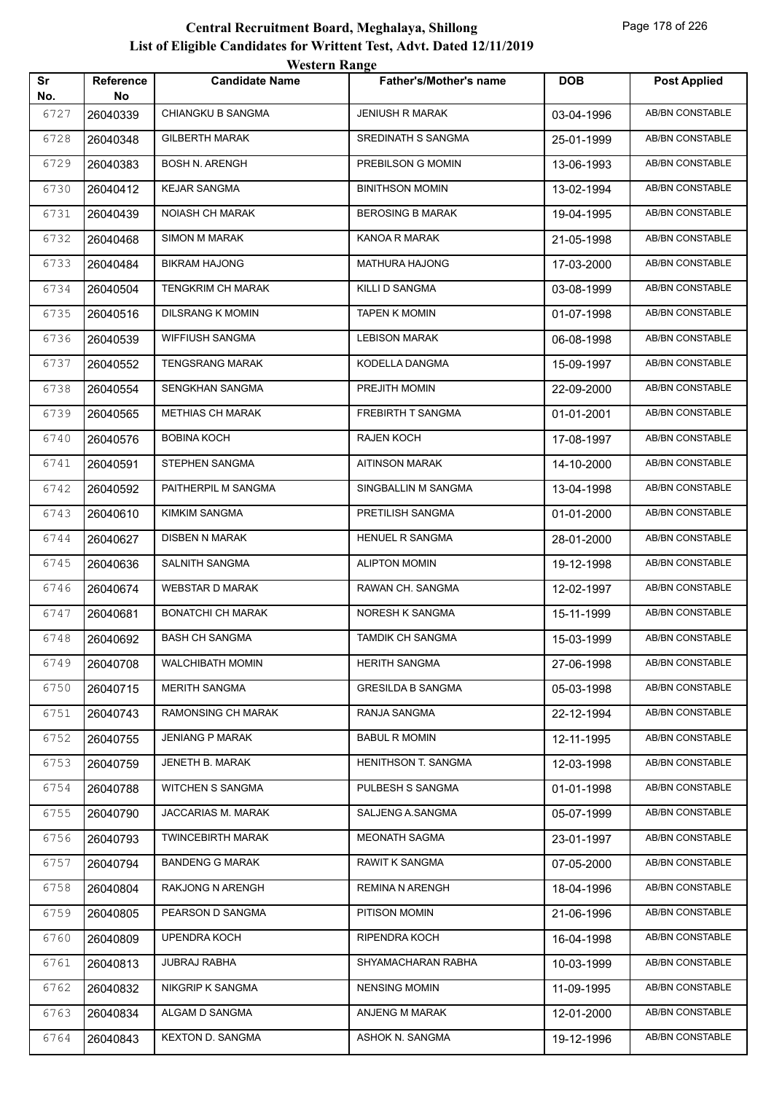|           |                        | western Kange            |                          |            |                        |
|-----------|------------------------|--------------------------|--------------------------|------------|------------------------|
| Sr<br>No. | <b>Reference</b><br>No | <b>Candidate Name</b>    | Father's/Mother's name   | <b>DOB</b> | <b>Post Applied</b>    |
| 6727      | 26040339               | <b>CHIANGKU B SANGMA</b> | <b>JENIUSH R MARAK</b>   | 03-04-1996 | AB/BN CONSTABLE        |
| 6728      | 26040348               | <b>GILBERTH MARAK</b>    | SREDINATH S SANGMA       | 25-01-1999 | AB/BN CONSTABLE        |
| 6729      | 26040383               | <b>BOSH N. ARENGH</b>    | PREBILSON G MOMIN        | 13-06-1993 | AB/BN CONSTABLE        |
| 6730      | 26040412               | <b>KEJAR SANGMA</b>      | <b>BINITHSON MOMIN</b>   | 13-02-1994 | <b>AB/BN CONSTABLE</b> |
| 6731      | 26040439               | <b>NOIASH CH MARAK</b>   | <b>BEROSING B MARAK</b>  | 19-04-1995 | AB/BN CONSTABLE        |
| 6732      | 26040468               | <b>SIMON M MARAK</b>     | KANOA R MARAK            | 21-05-1998 | AB/BN CONSTABLE        |
| 6733      | 26040484               | <b>BIKRAM HAJONG</b>     | MATHURA HAJONG           | 17-03-2000 | AB/BN CONSTABLE        |
| 6734      | 26040504               | TENGKRIM CH MARAK        | KILLI D SANGMA           | 03-08-1999 | AB/BN CONSTABLE        |
| 6735      | 26040516               | <b>DILSRANG K MOMIN</b>  | <b>TAPEN K MOMIN</b>     | 01-07-1998 | <b>AB/BN CONSTABLE</b> |
| 6736      | 26040539               | <b>WIFFIUSH SANGMA</b>   | <b>LEBISON MARAK</b>     | 06-08-1998 | AB/BN CONSTABLE        |
| 6737      | 26040552               | <b>TENGSRANG MARAK</b>   | KODELLA DANGMA           | 15-09-1997 | <b>AB/BN CONSTABLE</b> |
| 6738      | 26040554               | SENGKHAN SANGMA          | PREJITH MOMIN            | 22-09-2000 | AB/BN CONSTABLE        |
| 6739      | 26040565               | <b>METHIAS CH MARAK</b>  | FREBIRTH T SANGMA        | 01-01-2001 | AB/BN CONSTABLE        |
| 6740      | 26040576               | <b>BOBINA KOCH</b>       | <b>RAJEN KOCH</b>        | 17-08-1997 | <b>AB/BN CONSTABLE</b> |
| 6741      | 26040591               | STEPHEN SANGMA           | <b>AITINSON MARAK</b>    | 14-10-2000 | AB/BN CONSTABLE        |
| 6742      | 26040592               | PAITHERPIL M SANGMA      | SINGBALLIN M SANGMA      | 13-04-1998 | AB/BN CONSTABLE        |
| 6743      | 26040610               | <b>KIMKIM SANGMA</b>     | PRETILISH SANGMA         | 01-01-2000 | AB/BN CONSTABLE        |
| 6744      | 26040627               | <b>DISBEN N MARAK</b>    | HENUEL R SANGMA          | 28-01-2000 | AB/BN CONSTABLE        |
| 6745      | 26040636               | SALNITH SANGMA           | <b>ALIPTON MOMIN</b>     | 19-12-1998 | <b>AB/BN CONSTABLE</b> |
| 6746      | 26040674               | <b>WEBSTAR D MARAK</b>   | RAWAN CH. SANGMA         | 12-02-1997 | AB/BN CONSTABLE        |
| 6747      | 26040681               | <b>BONATCHI CH MARAK</b> | NORESH K SANGMA          | 15-11-1999 | AB/BN CONSTABLE        |
| 6748      | 26040692               | <b>BASH CH SANGMA</b>    | <b>TAMDIK CH SANGMA</b>  | 15-03-1999 | AB/BN CONSTABLE        |
| 6749      | 26040708               | <b>WALCHIBATH MOMIN</b>  | <b>HERITH SANGMA</b>     | 27-06-1998 | AB/BN CONSTABLE        |
| 6750      | 26040715               | <b>MERITH SANGMA</b>     | <b>GRESILDA B SANGMA</b> | 05-03-1998 | AB/BN CONSTABLE        |
| 6751      | 26040743               | RAMONSING CH MARAK       | RANJA SANGMA             | 22-12-1994 | AB/BN CONSTABLE        |
| 6752      | 26040755               | <b>JENIANG P MARAK</b>   | <b>BABUL R MOMIN</b>     | 12-11-1995 | AB/BN CONSTABLE        |
| 6753      | 26040759               | JENETH B. MARAK          | HENITHSON T. SANGMA      | 12-03-1998 | AB/BN CONSTABLE        |
| 6754      | 26040788               | WITCHEN S SANGMA         | PULBESH S SANGMA         | 01-01-1998 | AB/BN CONSTABLE        |
| 6755      | 26040790               | JACCARIAS M. MARAK       | SALJENG A.SANGMA         | 05-07-1999 | AB/BN CONSTABLE        |
| 6756      | 26040793               | TWINCEBIRTH MARAK        | MEONATH SAGMA            | 23-01-1997 | AB/BN CONSTABLE        |
| 6757      | 26040794               | <b>BANDENG G MARAK</b>   | <b>RAWIT K SANGMA</b>    | 07-05-2000 | AB/BN CONSTABLE        |
| 6758      | 26040804               | RAKJONG N ARENGH         | REMINA N ARENGH          | 18-04-1996 | AB/BN CONSTABLE        |
| 6759      | 26040805               | PEARSON D SANGMA         | PITISON MOMIN            | 21-06-1996 | AB/BN CONSTABLE        |
| 6760      | 26040809               | UPENDRA KOCH             | RIPENDRA KOCH            | 16-04-1998 | AB/BN CONSTABLE        |
| 6761      | 26040813               | JUBRAJ RABHA             | SHYAMACHARAN RABHA       | 10-03-1999 | AB/BN CONSTABLE        |
| 6762      | 26040832               | NIKGRIP K SANGMA         | <b>NENSING MOMIN</b>     | 11-09-1995 | AB/BN CONSTABLE        |
| 6763      | 26040834               | ALGAM D SANGMA           | ANJENG M MARAK           | 12-01-2000 | AB/BN CONSTABLE        |
| 6764      | 26040843               | <b>KEXTON D. SANGMA</b>  | ASHOK N. SANGMA          | 19-12-1996 | AB/BN CONSTABLE        |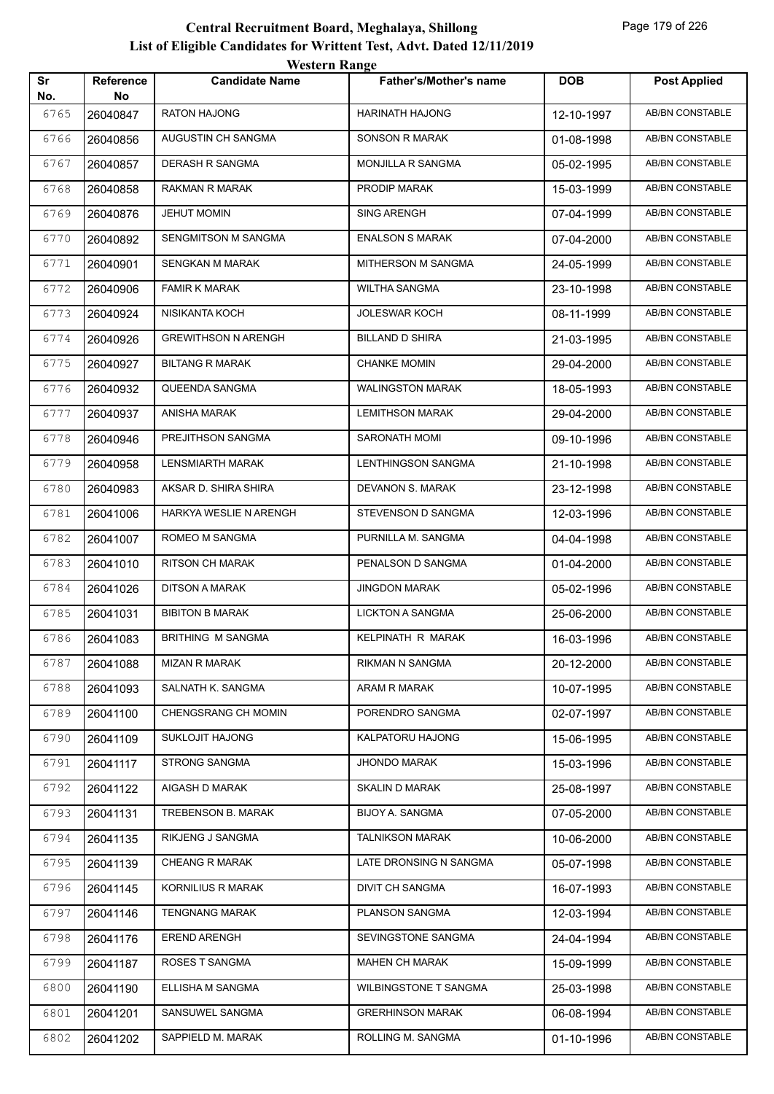| Sr<br>No. | Reference<br>No | <b>Candidate Name</b>      | <b>Father's/Mother's name</b> | <b>DOB</b> | <b>Post Applied</b>    |
|-----------|-----------------|----------------------------|-------------------------------|------------|------------------------|
| 6765      | 26040847        | RATON HAJONG               | HARINATH HAJONG               | 12-10-1997 | AB/BN CONSTABLE        |
| 6766      | 26040856        | AUGUSTIN CH SANGMA         | <b>SONSON R MARAK</b>         | 01-08-1998 | AB/BN CONSTABLE        |
| 6767      | 26040857        | DERASH R SANGMA            | MONJILLA R SANGMA             | 05-02-1995 | <b>AB/BN CONSTABLE</b> |
| 6768      | 26040858        | RAKMAN R MARAK             | PRODIP MARAK                  | 15-03-1999 | <b>AB/BN CONSTABLE</b> |
| 6769      | 26040876        | <b>JEHUT MOMIN</b>         | <b>SING ARENGH</b>            | 07-04-1999 | <b>AB/BN CONSTABLE</b> |
| 6770      | 26040892        | SENGMITSON M SANGMA        | <b>ENALSON S MARAK</b>        | 07-04-2000 | AB/BN CONSTABLE        |
| 6771      | 26040901        | SENGKAN M MARAK            | MITHERSON M SANGMA            | 24-05-1999 | AB/BN CONSTABLE        |
| 6772      | 26040906        | <b>FAMIR K MARAK</b>       | <b>WILTHA SANGMA</b>          | 23-10-1998 | AB/BN CONSTABLE        |
| 6773      | 26040924        | NISIKANTA KOCH             | <b>JOLESWAR KOCH</b>          | 08-11-1999 | AB/BN CONSTABLE        |
| 6774      | 26040926        | <b>GREWITHSON N ARENGH</b> | <b>BILLAND D SHIRA</b>        | 21-03-1995 | <b>AB/BN CONSTABLE</b> |
| 6775      | 26040927        | <b>BILTANG R MARAK</b>     | <b>CHANKE MOMIN</b>           | 29-04-2000 | AB/BN CONSTABLE        |
| 6776      | 26040932        | QUEENDA SANGMA             | WALINGSTON MARAK              | 18-05-1993 | AB/BN CONSTABLE        |
| 6777      | 26040937        | <b>ANISHA MARAK</b>        | <b>LEMITHSON MARAK</b>        | 29-04-2000 | AB/BN CONSTABLE        |
| 6778      | 26040946        | PREJITHSON SANGMA          | <b>SARONATH MOMI</b>          | 09-10-1996 | AB/BN CONSTABLE        |
| 6779      | 26040958        | <b>LENSMIARTH MARAK</b>    | LENTHINGSON SANGMA            | 21-10-1998 | <b>AB/BN CONSTABLE</b> |
| 6780      | 26040983        | AKSAR D. SHIRA SHIRA       | DEVANON S. MARAK              | 23-12-1998 | <b>AB/BN CONSTABLE</b> |
| 6781      | 26041006        | HARKYA WESLIE N ARENGH     | STEVENSON D SANGMA            | 12-03-1996 | AB/BN CONSTABLE        |
| 6782      | 26041007        | ROMEO M SANGMA             | PURNILLA M. SANGMA            | 04-04-1998 | AB/BN CONSTABLE        |
| 6783      | 26041010        | <b>RITSON CH MARAK</b>     | PENALSON D SANGMA             | 01-04-2000 | AB/BN CONSTABLE        |
| 6784      | 26041026        | <b>DITSON A MARAK</b>      | <b>JINGDON MARAK</b>          | 05-02-1996 | AB/BN CONSTABLE        |
| 6785      | 26041031        | <b>BIBITON B MARAK</b>     | <b>LICKTON A SANGMA</b>       | 25-06-2000 | AB/BN CONSTABLE        |
| 6786      | 26041083        | <b>BRITHING M SANGMA</b>   | KELPINATH R MARAK             | 16-03-1996 | AB/BN CONSTABLE        |
| 6787      | 26041088        | MIZAN R MARAK              | RIKMAN N SANGMA               | 20-12-2000 | AB/BN CONSTABLE        |
| 6788      | 26041093        | SALNATH K. SANGMA          | ARAM R MARAK                  | 10-07-1995 | AB/BN CONSTABLE        |
| 6789      | 26041100        | CHENGSRANG CH MOMIN        | PORENDRO SANGMA               | 02-07-1997 | AB/BN CONSTABLE        |
| 6790      | 26041109        | <b>SUKLOJIT HAJONG</b>     | KALPATORU HAJONG              | 15-06-1995 | AB/BN CONSTABLE        |
| 6791      | 26041117        | STRONG SANGMA              | <b>JHONDO MARAK</b>           | 15-03-1996 | AB/BN CONSTABLE        |
| 6792      | 26041122        | AIGASH D MARAK             | SKALIN D MARAK                | 25-08-1997 | AB/BN CONSTABLE        |
| 6793      | 26041131        | TREBENSON B. MARAK         | BIJOY A. SANGMA               | 07-05-2000 | AB/BN CONSTABLE        |
| 6794      | 26041135        | RIKJENG J SANGMA           | <b>TALNIKSON MARAK</b>        | 10-06-2000 | AB/BN CONSTABLE        |
| 6795      | 26041139        | <b>CHEANG R MARAK</b>      | LATE DRONSING N SANGMA        | 05-07-1998 | AB/BN CONSTABLE        |
| 6796      | 26041145        | KORNILIUS R MARAK          | DIVIT CH SANGMA               | 16-07-1993 | AB/BN CONSTABLE        |
| 6797      | 26041146        | <b>TENGNANG MARAK</b>      | PLANSON SANGMA                | 12-03-1994 | AB/BN CONSTABLE        |
| 6798      | 26041176        | <b>EREND ARENGH</b>        | SEVINGSTONE SANGMA            | 24-04-1994 | AB/BN CONSTABLE        |
| 6799      | 26041187        | ROSES T SANGMA             | <b>MAHEN CH MARAK</b>         | 15-09-1999 | AB/BN CONSTABLE        |
| 6800      | 26041190        | ELLISHA M SANGMA           | <b>WILBINGSTONE T SANGMA</b>  | 25-03-1998 | AB/BN CONSTABLE        |
| 6801      | 26041201        | SANSUWEL SANGMA            | <b>GRERHINSON MARAK</b>       | 06-08-1994 | AB/BN CONSTABLE        |
| 6802      | 26041202        | SAPPIELD M. MARAK          | ROLLING M. SANGMA             | 01-10-1996 | AB/BN CONSTABLE        |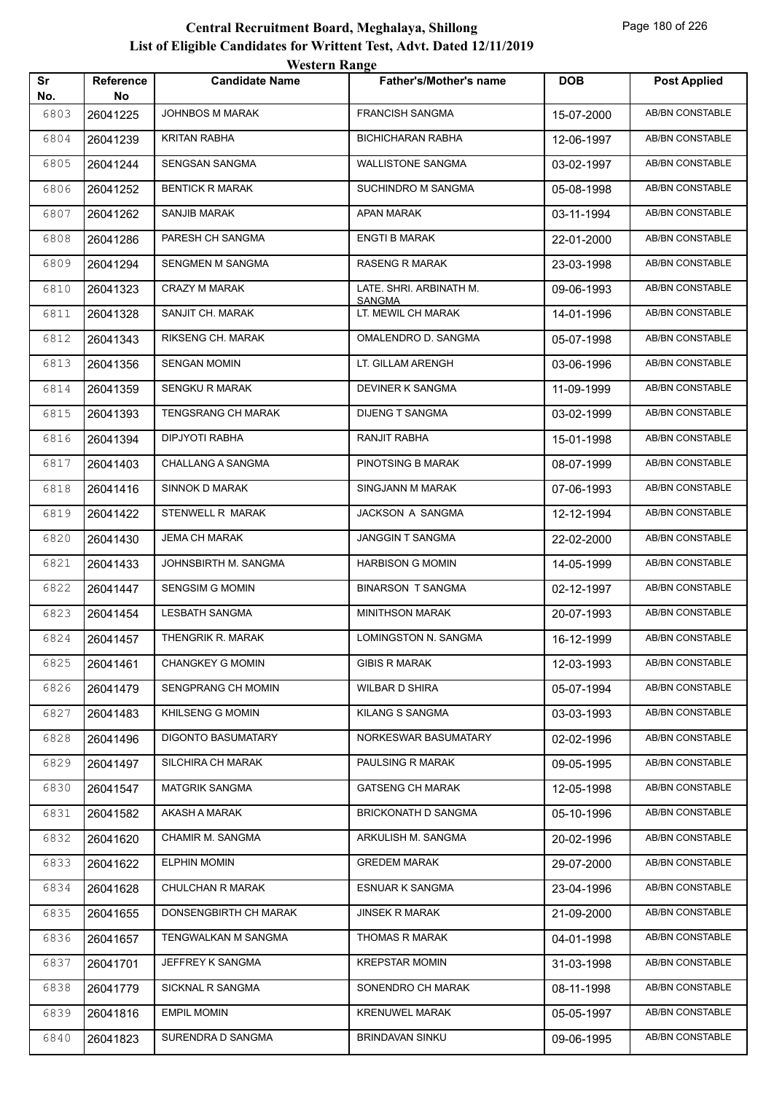|           |                 | <b>TUGILLE IMARGU</b>   |                                     |            |                        |
|-----------|-----------------|-------------------------|-------------------------------------|------------|------------------------|
| Sr<br>No. | Reference<br>No | <b>Candidate Name</b>   | <b>Father's/Mother's name</b>       | <b>DOB</b> | <b>Post Applied</b>    |
| 6803      | 26041225        | <b>JOHNBOS M MARAK</b>  | <b>FRANCISH SANGMA</b>              | 15-07-2000 | <b>AB/BN CONSTABLE</b> |
| 6804      | 26041239        | <b>KRITAN RABHA</b>     | <b>BICHICHARAN RABHA</b>            | 12-06-1997 | <b>AB/BN CONSTABLE</b> |
| 6805      | 26041244        | SENGSAN SANGMA          | <b>WALLISTONE SANGMA</b>            | 03-02-1997 | AB/BN CONSTABLE        |
| 6806      | 26041252        | <b>BENTICK R MARAK</b>  | SUCHINDRO M SANGMA                  | 05-08-1998 | AB/BN CONSTABLE        |
| 6807      | 26041262        | SANJIB MARAK            | APAN MARAK                          | 03-11-1994 | AB/BN CONSTABLE        |
| 6808      | 26041286        | PARESH CH SANGMA        | <b>ENGTI B MARAK</b>                | 22-01-2000 | AB/BN CONSTABLE        |
| 6809      | 26041294        | SENGMEN M SANGMA        | RASENG R MARAK                      | 23-03-1998 | AB/BN CONSTABLE        |
| 6810      | 26041323        | CRAZY M MARAK           | LATE. SHRI. ARBINATH M.             | 09-06-1993 | AB/BN CONSTABLE        |
| 6811      | 26041328        | SANJIT CH. MARAK        | <b>SANGMA</b><br>LT. MEWIL CH MARAK | 14-01-1996 | AB/BN CONSTABLE        |
| 6812      | 26041343        | RIKSENG CH. MARAK       | OMALENDRO D. SANGMA                 | 05-07-1998 | AB/BN CONSTABLE        |
| 6813      | 26041356        | <b>SENGAN MOMIN</b>     | LT. GILLAM ARENGH                   | 03-06-1996 | <b>AB/BN CONSTABLE</b> |
| 6814      | 26041359        | <b>SENGKU R MARAK</b>   | DEVINER K SANGMA                    | 11-09-1999 | AB/BN CONSTABLE        |
| 6815      | 26041393        | TENGSRANG CH MARAK      | <b>DIJENG T SANGMA</b>              | 03-02-1999 | AB/BN CONSTABLE        |
| 6816      | 26041394        | DIPJYOTI RABHA          | RANJIT RABHA                        | 15-01-1998 | AB/BN CONSTABLE        |
| 6817      | 26041403        | CHALLANG A SANGMA       | PINOTSING B MARAK                   | 08-07-1999 | AB/BN CONSTABLE        |
| 6818      | 26041416        | SINNOK D MARAK          | SINGJANN M MARAK                    | 07-06-1993 | AB/BN CONSTABLE        |
| 6819      | 26041422        | STENWELL R MARAK        | JACKSON A SANGMA                    | 12-12-1994 | AB/BN CONSTABLE        |
| 6820      | 26041430        | JEMA CH MARAK           | JANGGIN T SANGMA                    | 22-02-2000 | AB/BN CONSTABLE        |
| 6821      | 26041433        | JOHNSBIRTH M. SANGMA    | <b>HARBISON G MOMIN</b>             | 14-05-1999 | AB/BN CONSTABLE        |
| 6822      | 26041447        | <b>SENGSIM G MOMIN</b>  | <b>BINARSON T SANGMA</b>            | 02-12-1997 | AB/BN CONSTABLE        |
| 6823      | 26041454        | LESBATH SANGMA          | <b>MINITHSON MARAK</b>              | 20-07-1993 | AB/BN CONSTABLE        |
| 6824      | 26041457        | THENGRIK R. MARAK       | LOMINGSTON N. SANGMA                | 16-12-1999 | AB/BN CONSTABLE        |
| 6825      | 26041461        | <b>CHANGKEY G MOMIN</b> | <b>GIBIS R MARAK</b>                | 12-03-1993 | <b>AB/BN CONSTABLE</b> |
| 6826      | 26041479        | SENGPRANG CH MOMIN      | <b>WILBAR D SHIRA</b>               | 05-07-1994 | AB/BN CONSTABLE        |
| 6827      | 26041483        | KHILSENG G MOMIN        | KILANG S SANGMA                     | 03-03-1993 | AB/BN CONSTABLE        |
| 6828      | 26041496        | DIGONTO BASUMATARY      | NORKESWAR BASUMATARY                | 02-02-1996 | AB/BN CONSTABLE        |
| 6829      | 26041497        | SILCHIRA CH MARAK       | PAULSING R MARAK                    | 09-05-1995 | AB/BN CONSTABLE        |
| 6830      | 26041547        | <b>MATGRIK SANGMA</b>   | <b>GATSENG CH MARAK</b>             | 12-05-1998 | AB/BN CONSTABLE        |
| 6831      | 26041582        | AKASH A MARAK           | BRICKONATH D SANGMA                 | 05-10-1996 | AB/BN CONSTABLE        |
| 6832      | 26041620        | CHAMIR M. SANGMA        | ARKULISH M. SANGMA                  | 20-02-1996 | AB/BN CONSTABLE        |
| 6833      | 26041622        | <b>ELPHIN MOMIN</b>     | <b>GREDEM MARAK</b>                 | 29-07-2000 | AB/BN CONSTABLE        |
| 6834      | 26041628        | <b>CHULCHAN R MARAK</b> | ESNUAR K SANGMA                     | 23-04-1996 | AB/BN CONSTABLE        |
| 6835      | 26041655        | DONSENGBIRTH CH MARAK   | <b>JINSEK R MARAK</b>               | 21-09-2000 | AB/BN CONSTABLE        |
| 6836      | 26041657        | TENGWALKAN M SANGMA     | THOMAS R MARAK                      | 04-01-1998 | AB/BN CONSTABLE        |
| 6837      | 26041701        | JEFFREY K SANGMA        | <b>KREPSTAR MOMIN</b>               | 31-03-1998 | AB/BN CONSTABLE        |
| 6838      | 26041779        | SICKNAL R SANGMA        | SONENDRO CH MARAK                   | 08-11-1998 | AB/BN CONSTABLE        |
| 6839      | 26041816        | <b>EMPIL MOMIN</b>      | <b>KRENUWEL MARAK</b>               | 05-05-1997 | AB/BN CONSTABLE        |
| 6840      | 26041823        | SURENDRA D SANGMA       | <b>BRINDAVAN SINKU</b>              | 09-06-1995 | AB/BN CONSTABLE        |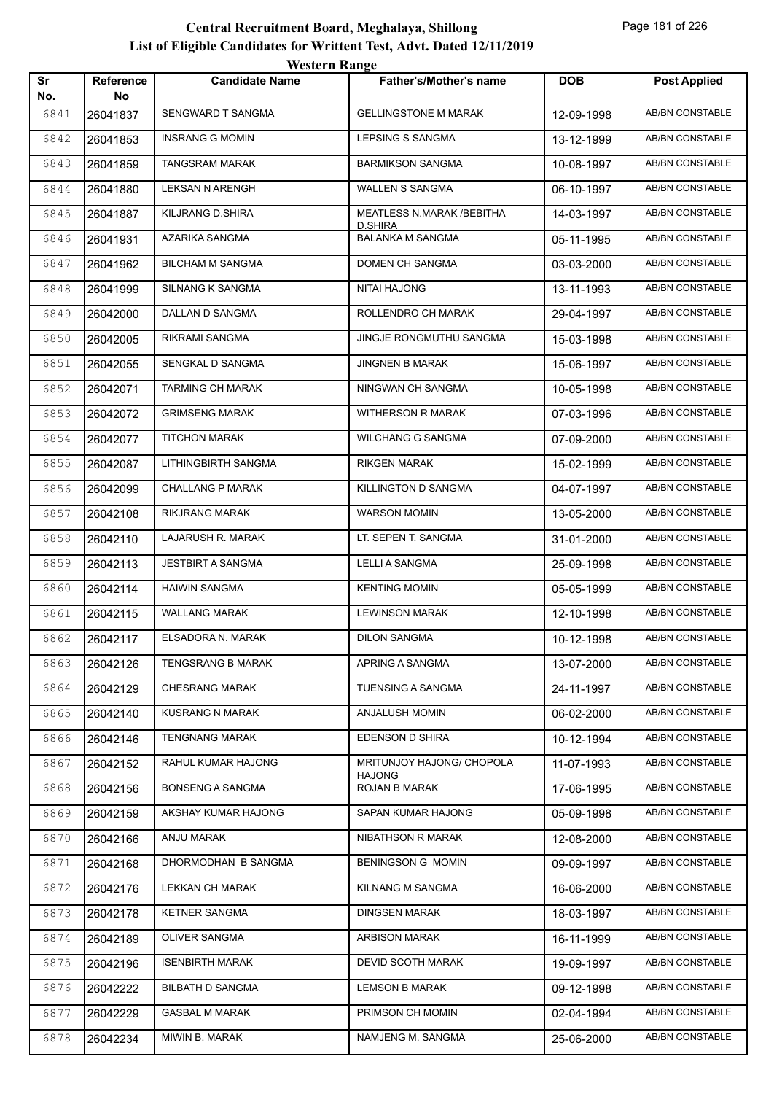|           |                  | <i>western</i> Kange     |                                            |            |                        |
|-----------|------------------|--------------------------|--------------------------------------------|------------|------------------------|
| Sr<br>No. | Reference<br>No. | <b>Candidate Name</b>    | <b>Father's/Mother's name</b>              | <b>DOB</b> | <b>Post Applied</b>    |
| 6841      | 26041837         | SENGWARD T SANGMA        | <b>GELLINGSTONE M MARAK</b>                | 12-09-1998 | <b>AB/BN CONSTABLE</b> |
| 6842      | 26041853         | <b>INSRANG G MOMIN</b>   | LEPSING S SANGMA                           | 13-12-1999 | AB/BN CONSTABLE        |
| 6843      | 26041859         | <b>TANGSRAM MARAK</b>    | <b>BARMIKSON SANGMA</b>                    | 10-08-1997 | AB/BN CONSTABLE        |
| 6844      | 26041880         | <b>LEKSAN N ARENGH</b>   | WALLEN S SANGMA                            | 06-10-1997 | AB/BN CONSTABLE        |
| 6845      | 26041887         | KILJRANG D.SHIRA         | MEATLESS N.MARAK / BEBITHA                 | 14-03-1997 | AB/BN CONSTABLE        |
| 6846      | 26041931         | AZARIKA SANGMA           | D.SHIRA<br><b>BALANKA M SANGMA</b>         | 05-11-1995 | <b>AB/BN CONSTABLE</b> |
| 6847      | 26041962         | <b>BILCHAM M SANGMA</b>  | DOMEN CH SANGMA                            | 03-03-2000 | AB/BN CONSTABLE        |
| 6848      | 26041999         | <b>SILNANG K SANGMA</b>  | NITAI HAJONG                               | 13-11-1993 | <b>AB/BN CONSTABLE</b> |
| 6849      | 26042000         | DALLAN D SANGMA          | ROLLENDRO CH MARAK                         | 29-04-1997 | AB/BN CONSTABLE        |
| 6850      | 26042005         | RIKRAMI SANGMA           | JINGJE RONGMUTHU SANGMA                    | 15-03-1998 | <b>AB/BN CONSTABLE</b> |
| 6851      | 26042055         | SENGKAL D SANGMA         | JINGNEN B MARAK                            | 15-06-1997 | <b>AB/BN CONSTABLE</b> |
| 6852      | 26042071         | <b>TARMING CH MARAK</b>  | NINGWAN CH SANGMA                          | 10-05-1998 | AB/BN CONSTABLE        |
| 6853      | 26042072         | <b>GRIMSENG MARAK</b>    | WITHERSON R MARAK                          | 07-03-1996 | <b>AB/BN CONSTABLE</b> |
| 6854      | 26042077         | <b>TITCHON MARAK</b>     | <b>WILCHANG G SANGMA</b>                   | 07-09-2000 | AB/BN CONSTABLE        |
| 6855      | 26042087         | LITHINGBIRTH SANGMA      | <b>RIKGEN MARAK</b>                        | 15-02-1999 | <b>AB/BN CONSTABLE</b> |
| 6856      | 26042099         | <b>CHALLANG P MARAK</b>  | KILLINGTON D SANGMA                        | 04-07-1997 | <b>AB/BN CONSTABLE</b> |
| 6857      | 26042108         | RIKJRANG MARAK           | <b>WARSON MOMIN</b>                        | 13-05-2000 | AB/BN CONSTABLE        |
| 6858      | 26042110         | LAJARUSH R. MARAK        | LT. SEPEN T. SANGMA                        | 31-01-2000 | <b>AB/BN CONSTABLE</b> |
| 6859      | 26042113         | <b>JESTBIRT A SANGMA</b> | LELLI A SANGMA                             | 25-09-1998 | AB/BN CONSTABLE        |
| 6860      | 26042114         | <b>HAIWIN SANGMA</b>     | <b>KENTING MOMIN</b>                       | 05-05-1999 | <b>AB/BN CONSTABLE</b> |
| 6861      | 26042115         | <b>WALLANG MARAK</b>     | <b>LEWINSON MARAK</b>                      | 12-10-1998 | <b>AB/BN CONSTABLE</b> |
| 6862      | 26042117         | ELSADORA N. MARAK        | <b>DILON SANGMA</b>                        | 10-12-1998 | AB/BN CONSTABLE        |
| 6863      | 26042126         | TENGSRANG B MARAK        | APRING A SANGMA                            | 13-07-2000 | AB/BN CONSTABLE        |
| 6864      | 26042129         | CHESRANG MARAK           | <b>TUENSING A SANGMA</b>                   | 24-11-1997 | AB/BN CONSTABLE        |
| 6865      | 26042140         | <b>KUSRANG N MARAK</b>   | ANJALUSH MOMIN                             | 06-02-2000 | AB/BN CONSTABLE        |
| 6866      | 26042146         | <b>TENGNANG MARAK</b>    | EDENSON D SHIRA                            | 10-12-1994 | AB/BN CONSTABLE        |
| 6867      | 26042152         | RAHUL KUMAR HAJONG       | MRITUNJOY HAJONG/ CHOPOLA<br><b>HAJONG</b> | 11-07-1993 | AB/BN CONSTABLE        |
| 6868      | 26042156         | <b>BONSENG A SANGMA</b>  | ROJAN B MARAK                              | 17-06-1995 | AB/BN CONSTABLE        |
| 6869      | 26042159         | AKSHAY KUMAR HAJONG      | SAPAN KUMAR HAJONG                         | 05-09-1998 | AB/BN CONSTABLE        |
| 6870      | 26042166         | ANJU MARAK               | NIBATHSON R MARAK                          | 12-08-2000 | AB/BN CONSTABLE        |
| 6871      | 26042168         | DHORMODHAN B SANGMA      | <b>BENINGSON G MOMIN</b>                   | 09-09-1997 | AB/BN CONSTABLE        |
| 6872      | 26042176         | LEKKAN CH MARAK          | KILNANG M SANGMA                           | 16-06-2000 | AB/BN CONSTABLE        |
| 6873      | 26042178         | <b>KETNER SANGMA</b>     | <b>DINGSEN MARAK</b>                       | 18-03-1997 | AB/BN CONSTABLE        |
| 6874      | 26042189         | OLIVER SANGMA            | <b>ARBISON MARAK</b>                       | 16-11-1999 | AB/BN CONSTABLE        |
| 6875      | 26042196         | <b>ISENBIRTH MARAK</b>   | DEVID SCOTH MARAK                          | 19-09-1997 | AB/BN CONSTABLE        |
| 6876      | 26042222         | <b>BILBATH D SANGMA</b>  | <b>LEMSON B MARAK</b>                      | 09-12-1998 | AB/BN CONSTABLE        |
| 6877      | 26042229         | <b>GASBAL M MARAK</b>    | PRIMSON CH MOMIN                           | 02-04-1994 | AB/BN CONSTABLE        |
| 6878      | 26042234         | MIWIN B. MARAK           | NAMJENG M. SANGMA                          | 25-06-2000 | AB/BN CONSTABLE        |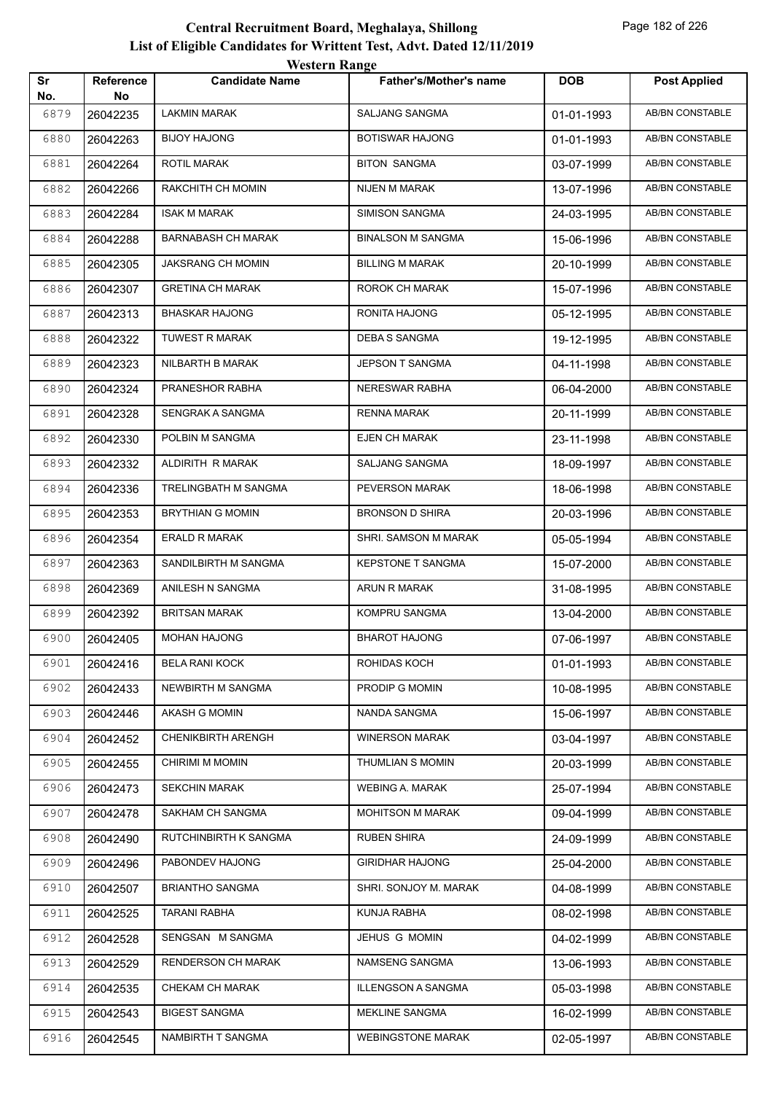|           |                        | WESTEL II INALIZE         |                               |            |                        |
|-----------|------------------------|---------------------------|-------------------------------|------------|------------------------|
| Sr<br>No. | <b>Reference</b><br>No | <b>Candidate Name</b>     | <b>Father's/Mother's name</b> | <b>DOB</b> | <b>Post Applied</b>    |
| 6879      | 26042235               | <b>LAKMIN MARAK</b>       | <b>SALJANG SANGMA</b>         | 01-01-1993 | <b>AB/BN CONSTABLE</b> |
| 6880      | 26042263               | <b>BIJOY HAJONG</b>       | BOTISWAR HAJONG               | 01-01-1993 | <b>AB/BN CONSTABLE</b> |
| 6881      | 26042264               | <b>ROTIL MARAK</b>        | <b>BITON SANGMA</b>           | 03-07-1999 | AB/BN CONSTABLE        |
| 6882      | 26042266               | RAKCHITH CH MOMIN         | NIJEN M MARAK                 | 13-07-1996 | AB/BN CONSTABLE        |
| 6883      | 26042284               | <b>ISAK M MARAK</b>       | SIMISON SANGMA                | 24-03-1995 | AB/BN CONSTABLE        |
| 6884      | 26042288               | <b>BARNABASH CH MARAK</b> | <b>BINALSON M SANGMA</b>      | 15-06-1996 | AB/BN CONSTABLE        |
| 6885      | 26042305               | <b>JAKSRANG CH MOMIN</b>  | <b>BILLING M MARAK</b>        | 20-10-1999 | <b>AB/BN CONSTABLE</b> |
| 6886      | 26042307               | <b>GRETINA CH MARAK</b>   | ROROK CH MARAK                | 15-07-1996 | AB/BN CONSTABLE        |
| 6887      | 26042313               | <b>BHASKAR HAJONG</b>     | RONITA HAJONG                 | 05-12-1995 | <b>AB/BN CONSTABLE</b> |
| 6888      | 26042322               | <b>TUWEST R MARAK</b>     | <b>DEBA S SANGMA</b>          | 19-12-1995 | <b>AB/BN CONSTABLE</b> |
| 6889      | 26042323               | NILBARTH B MARAK          | JEPSON T SANGMA               | 04-11-1998 | AB/BN CONSTABLE        |
| 6890      | 26042324               | PRANESHOR RABHA           | NERESWAR RABHA                | 06-04-2000 | AB/BN CONSTABLE        |
| 6891      | 26042328               | SENGRAK A SANGMA          | <b>RENNA MARAK</b>            | 20-11-1999 | AB/BN CONSTABLE        |
| 6892      | 26042330               | POLBIN M SANGMA           | <b>EJEN CH MARAK</b>          | 23-11-1998 | <b>AB/BN CONSTABLE</b> |
| 6893      | 26042332               | ALDIRITH R MARAK          | SALJANG SANGMA                | 18-09-1997 | <b>AB/BN CONSTABLE</b> |
| 6894      | 26042336               | TRELINGBATH M SANGMA      | PEVERSON MARAK                | 18-06-1998 | AB/BN CONSTABLE        |
| 6895      | 26042353               | <b>BRYTHIAN G MOMIN</b>   | <b>BRONSON D SHIRA</b>        | 20-03-1996 | <b>AB/BN CONSTABLE</b> |
| 6896      | 26042354               | <b>ERALD R MARAK</b>      | SHRI. SAMSON M MARAK          | 05-05-1994 | AB/BN CONSTABLE        |
| 6897      | 26042363               | SANDILBIRTH M SANGMA      | <b>KEPSTONE T SANGMA</b>      | 15-07-2000 | AB/BN CONSTABLE        |
| 6898      | 26042369               | ANILESH N SANGMA          | ARUN R MARAK                  | 31-08-1995 | AB/BN CONSTABLE        |
| 6899      | 26042392               | <b>BRITSAN MARAK</b>      | KOMPRU SANGMA                 | 13-04-2000 | AB/BN CONSTABLE        |
| 6900      | 26042405               | <b>MOHAN HAJONG</b>       | <b>BHAROT HAJONG</b>          | 07-06-1997 | AB/BN CONSTABLE        |
| 6901      | 26042416               | <b>BELA RANI KOCK</b>     | ROHIDAS KOCH                  | 01-01-1993 | AB/BN CONSTABLE        |
| 6902      | 26042433               | NEWBIRTH M SANGMA         | PRODIP G MOMIN                | 10-08-1995 | AB/BN CONSTABLE        |
| 6903      | 26042446               | AKASH G MOMIN             | NANDA SANGMA                  | 15-06-1997 | AB/BN CONSTABLE        |
| 6904      | 26042452               | <b>CHENIKBIRTH ARENGH</b> | <b>WINERSON MARAK</b>         | 03-04-1997 | AB/BN CONSTABLE        |
| 6905      | 26042455               | CHIRIMI M MOMIN           | THUMLIAN S MOMIN              | 20-03-1999 | AB/BN CONSTABLE        |
| 6906      | 26042473               | <b>SEKCHIN MARAK</b>      | <b>WEBING A. MARAK</b>        | 25-07-1994 | AB/BN CONSTABLE        |
| 6907      | 26042478               | SAKHAM CH SANGMA          | <b>MOHITSON M MARAK</b>       | 09-04-1999 | AB/BN CONSTABLE        |
| 6908      | 26042490               | RUTCHINBIRTH K SANGMA     | <b>RUBEN SHIRA</b>            | 24-09-1999 | AB/BN CONSTABLE        |
| 6909      | 26042496               | PABONDEV HAJONG           | <b>GIRIDHAR HAJONG</b>        | 25-04-2000 | AB/BN CONSTABLE        |
| 6910      | 26042507               | <b>BRIANTHO SANGMA</b>    | SHRI. SONJOY M. MARAK         | 04-08-1999 | AB/BN CONSTABLE        |
| 6911      | 26042525               | <b>TARANI RABHA</b>       | KUNJA RABHA                   | 08-02-1998 | AB/BN CONSTABLE        |
| 6912      | 26042528               | SENGSAN M SANGMA          | JEHUS G MOMIN                 | 04-02-1999 | AB/BN CONSTABLE        |
| 6913      | 26042529               | <b>RENDERSON CH MARAK</b> | NAMSENG SANGMA                | 13-06-1993 | AB/BN CONSTABLE        |
| 6914      | 26042535               | CHEKAM CH MARAK           | <b>ILLENGSON A SANGMA</b>     | 05-03-1998 | AB/BN CONSTABLE        |
| 6915      | 26042543               | <b>BIGEST SANGMA</b>      | MEKLINE SANGMA                | 16-02-1999 | AB/BN CONSTABLE        |
| 6916      | 26042545               | NAMBIRTH T SANGMA         | <b>WEBINGSTONE MARAK</b>      | 02-05-1997 | AB/BN CONSTABLE        |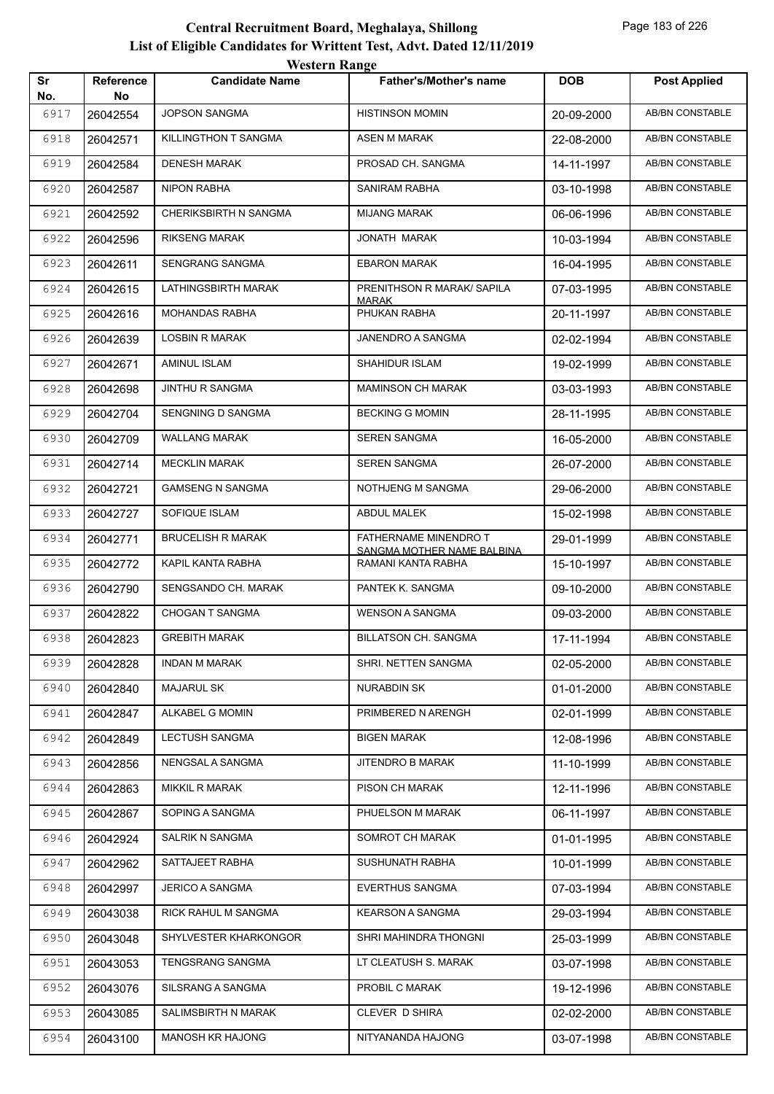|           |                 | western Kange            |                                                     |            |                        |
|-----------|-----------------|--------------------------|-----------------------------------------------------|------------|------------------------|
| Sr<br>No. | Reference<br>No | <b>Candidate Name</b>    | Father's/Mother's name                              | <b>DOB</b> | <b>Post Applied</b>    |
| 6917      | 26042554        | <b>JOPSON SANGMA</b>     | <b>HISTINSON MOMIN</b>                              | 20-09-2000 | <b>AB/BN CONSTABLE</b> |
| 6918      | 26042571        | KILLINGTHON T SANGMA     | <b>ASEN M MARAK</b>                                 | 22-08-2000 | <b>AB/BN CONSTABLE</b> |
| 6919      | 26042584        | <b>DENESH MARAK</b>      | PROSAD CH. SANGMA                                   | 14-11-1997 | AB/BN CONSTABLE        |
| 6920      | 26042587        | <b>NIPON RABHA</b>       | SANIRAM RABHA                                       | 03-10-1998 | <b>AB/BN CONSTABLE</b> |
| 6921      | 26042592        | CHERIKSBIRTH N SANGMA    | <b>MIJANG MARAK</b>                                 | 06-06-1996 | <b>AB/BN CONSTABLE</b> |
| 6922      | 26042596        | <b>RIKSENG MARAK</b>     | JONATH MARAK                                        | 10-03-1994 | AB/BN CONSTABLE        |
| 6923      | 26042611        | SENGRANG SANGMA          | <b>EBARON MARAK</b>                                 | 16-04-1995 | AB/BN CONSTABLE        |
| 6924      | 26042615        | LATHINGSBIRTH MARAK      | PRENITHSON R MARAK/ SAPILA<br><b>MARAK</b>          | 07-03-1995 | <b>AB/BN CONSTABLE</b> |
| 6925      | 26042616        | <b>MOHANDAS RABHA</b>    | PHUKAN RABHA                                        | 20-11-1997 | <b>AB/BN CONSTABLE</b> |
| 6926      | 26042639        | <b>LOSBIN R MARAK</b>    | JANENDRO A SANGMA                                   | 02-02-1994 | AB/BN CONSTABLE        |
| 6927      | 26042671        | AMINUL ISLAM             | SHAHIDUR ISLAM                                      | 19-02-1999 | AB/BN CONSTABLE        |
| 6928      | 26042698        | <b>JINTHU R SANGMA</b>   | <b>MAMINSON CH MARAK</b>                            | 03-03-1993 | <b>AB/BN CONSTABLE</b> |
| 6929      | 26042704        | <b>SENGNING D SANGMA</b> | <b>BECKING G MOMIN</b>                              | 28-11-1995 | AB/BN CONSTABLE        |
| 6930      | 26042709        | <b>WALLANG MARAK</b>     | <b>SEREN SANGMA</b>                                 | 16-05-2000 | <b>AB/BN CONSTABLE</b> |
| 6931      | 26042714        | <b>MECKLIN MARAK</b>     | <b>SEREN SANGMA</b>                                 | 26-07-2000 | AB/BN CONSTABLE        |
| 6932      | 26042721        | <b>GAMSENG N SANGMA</b>  | NOTHJENG M SANGMA                                   | 29-06-2000 | AB/BN CONSTABLE        |
| 6933      | 26042727        | SOFIQUE ISLAM            | <b>ABDUL MALEK</b>                                  | 15-02-1998 | AB/BN CONSTABLE        |
| 6934      | 26042771        | <b>BRUCELISH R MARAK</b> | FATHERNAME MINENDRO T<br>SANGMA MOTHER NAME BALBINA | 29-01-1999 | AB/BN CONSTABLE        |
| 6935      | 26042772        | KAPIL KANTA RABHA        | RAMANI KANTA RABHA                                  | 15-10-1997 | AB/BN CONSTABLE        |
| 6936      | 26042790        | SENGSANDO CH. MARAK      | PANTEK K. SANGMA                                    | 09-10-2000 | AB/BN CONSTABLE        |
| 6937      | 26042822        | <b>CHOGAN T SANGMA</b>   | <b>WENSON A SANGMA</b>                              | 09-03-2000 | AB/BN CONSTABLE        |
| 6938      | 26042823        | <b>GREBITH MARAK</b>     | <b>BILLATSON CH. SANGMA</b>                         | 17-11-1994 | AB/BN CONSTABLE        |
| 6939      | 26042828        | <b>INDAN M MARAK</b>     | SHRI. NETTEN SANGMA                                 | 02-05-2000 | AB/BN CONSTABLE        |
| 6940      | 26042840        | <b>MAJARUL SK</b>        | NURABDIN SK                                         | 01-01-2000 | AB/BN CONSTABLE        |
| 6941      | 26042847        | ALKABEL G MOMIN          | PRIMBERED N ARENGH                                  | 02-01-1999 | AB/BN CONSTABLE        |
| 6942      | 26042849        | <b>LECTUSH SANGMA</b>    | <b>BIGEN MARAK</b>                                  | 12-08-1996 | AB/BN CONSTABLE        |
| 6943      | 26042856        | NENGSAL A SANGMA         | JITENDRO B MARAK                                    | 11-10-1999 | AB/BN CONSTABLE        |
| 6944      | 26042863        | <b>MIKKIL R MARAK</b>    | PISON CH MARAK                                      | 12-11-1996 | AB/BN CONSTABLE        |
| 6945      | 26042867        | SOPING A SANGMA          | PHUELSON M MARAK                                    | 06-11-1997 | AB/BN CONSTABLE        |
| 6946      | 26042924        | SALRIK N SANGMA          | SOMROT CH MARAK                                     | 01-01-1995 | AB/BN CONSTABLE        |
| 6947      | 26042962        | SATTAJEET RABHA          | SUSHUNATH RABHA                                     | 10-01-1999 | AB/BN CONSTABLE        |
| 6948      | 26042997        | <b>JERICO A SANGMA</b>   | <b>EVERTHUS SANGMA</b>                              | 07-03-1994 | AB/BN CONSTABLE        |
| 6949      | 26043038        | RICK RAHUL M SANGMA      | <b>KEARSON A SANGMA</b>                             | 29-03-1994 | AB/BN CONSTABLE        |
| 6950      | 26043048        | SHYLVESTER KHARKONGOR    | SHRI MAHINDRA THONGNI                               | 25-03-1999 | AB/BN CONSTABLE        |
| 6951      | 26043053        | <b>TENGSRANG SANGMA</b>  | LT CLEATUSH S. MARAK                                | 03-07-1998 | AB/BN CONSTABLE        |
| 6952      | 26043076        | SILSRANG A SANGMA        | PROBIL C MARAK                                      | 19-12-1996 | AB/BN CONSTABLE        |
| 6953      | 26043085        | SALIMSBIRTH N MARAK      | CLEVER D SHIRA                                      | 02-02-2000 | AB/BN CONSTABLE        |
| 6954      | 26043100        | <b>MANOSH KR HAJONG</b>  | NITYANANDA HAJONG                                   | 03-07-1998 | AB/BN CONSTABLE        |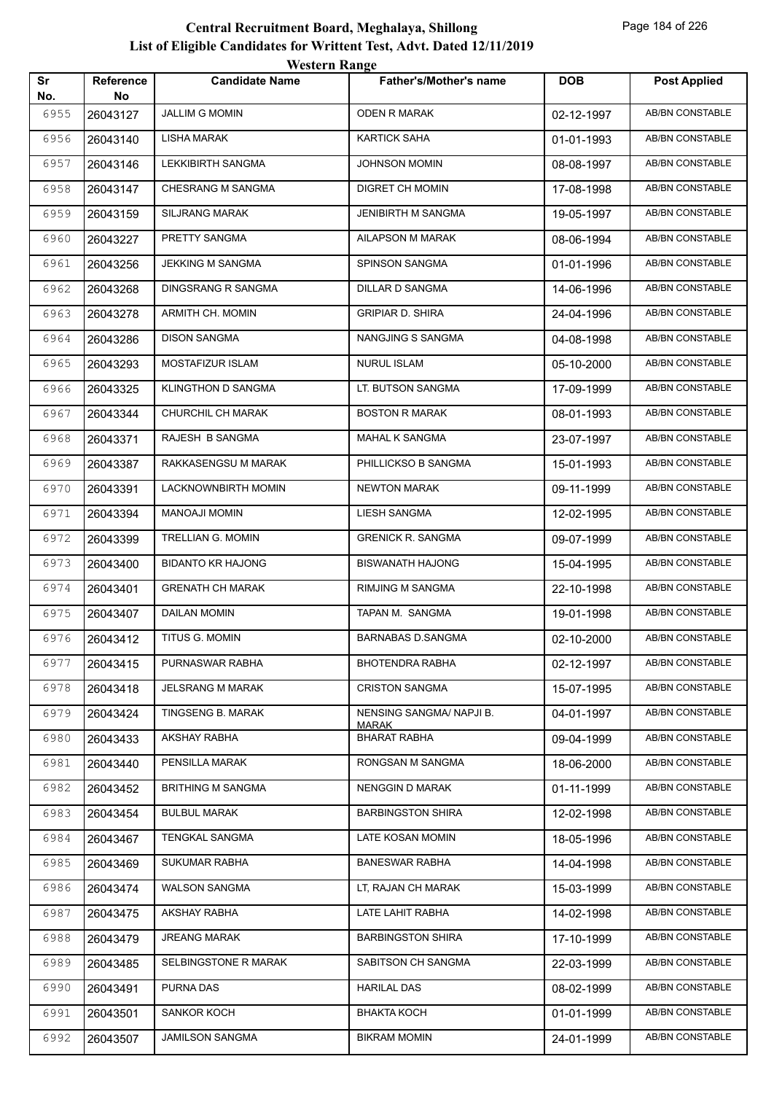| Sr   | Reference | <b><i>HESKLE IMANGU</i></b><br><b>Candidate Name</b> | <b>Father's/Mother's name</b>       | <b>DOB</b> | <b>Post Applied</b>    |
|------|-----------|------------------------------------------------------|-------------------------------------|------------|------------------------|
| No.  | No        |                                                      |                                     |            |                        |
| 6955 | 26043127  | <b>JALLIM G MOMIN</b>                                | <b>ODEN R MARAK</b>                 | 02-12-1997 | <b>AB/BN CONSTABLE</b> |
| 6956 | 26043140  | <b>LISHA MARAK</b>                                   | KARTICK SAHA                        | 01-01-1993 | AB/BN CONSTABLE        |
| 6957 | 26043146  | <b>LEKKIBIRTH SANGMA</b>                             | <b>JOHNSON MOMIN</b>                | 08-08-1997 | AB/BN CONSTABLE        |
| 6958 | 26043147  | CHESRANG M SANGMA                                    | DIGRET CH MOMIN                     | 17-08-1998 | AB/BN CONSTABLE        |
| 6959 | 26043159  | <b>SILJRANG MARAK</b>                                | JENIBIRTH M SANGMA                  | 19-05-1997 | AB/BN CONSTABLE        |
| 6960 | 26043227  | PRETTY SANGMA                                        | AILAPSON M MARAK                    | 08-06-1994 | <b>AB/BN CONSTABLE</b> |
| 6961 | 26043256  | <b>JEKKING M SANGMA</b>                              | <b>SPINSON SANGMA</b>               | 01-01-1996 | AB/BN CONSTABLE        |
| 6962 | 26043268  | DINGSRANG R SANGMA                                   | DILLAR D SANGMA                     | 14-06-1996 | AB/BN CONSTABLE        |
| 6963 | 26043278  | ARMITH CH. MOMIN                                     | <b>GRIPIAR D. SHIRA</b>             | 24-04-1996 | AB/BN CONSTABLE        |
| 6964 | 26043286  | <b>DISON SANGMA</b>                                  | NANGJING S SANGMA                   | 04-08-1998 | AB/BN CONSTABLE        |
| 6965 | 26043293  | MOSTAFIZUR ISLAM                                     | <b>NURUL ISLAM</b>                  | 05-10-2000 | <b>AB/BN CONSTABLE</b> |
| 6966 | 26043325  | <b>KLINGTHON D SANGMA</b>                            | LT. BUTSON SANGMA                   | 17-09-1999 | AB/BN CONSTABLE        |
| 6967 | 26043344  | CHURCHIL CH MARAK                                    | <b>BOSTON R MARAK</b>               | 08-01-1993 | AB/BN CONSTABLE        |
| 6968 | 26043371  | RAJESH B SANGMA                                      | MAHAL K SANGMA                      | 23-07-1997 | <b>AB/BN CONSTABLE</b> |
| 6969 | 26043387  | RAKKASENGSU M MARAK                                  | PHILLICKSO B SANGMA                 | 15-01-1993 | AB/BN CONSTABLE        |
| 6970 | 26043391  | LACKNOWNBIRTH MOMIN                                  | NEWTON MARAK                        | 09-11-1999 | <b>AB/BN CONSTABLE</b> |
| 6971 | 26043394  | MANOAJI MOMIN                                        | LIESH SANGMA                        | 12-02-1995 | AB/BN CONSTABLE        |
| 6972 | 26043399  | TRELLIAN G. MOMIN                                    | <b>GRENICK R. SANGMA</b>            | 09-07-1999 | <b>AB/BN CONSTABLE</b> |
| 6973 | 26043400  | <b>BIDANTO KR HAJONG</b>                             | <b>BISWANATH HAJONG</b>             | 15-04-1995 | AB/BN CONSTABLE        |
| 6974 | 26043401  | <b>GRENATH CH MARAK</b>                              | RIMJING M SANGMA                    | 22-10-1998 | AB/BN CONSTABLE        |
| 6975 | 26043407  | DAILAN MOMIN                                         | TAPAN M. SANGMA                     | 19-01-1998 | <b>AB/BN CONSTABLE</b> |
| 6976 | 26043412  | TITUS G. MOMIN                                       | <b>BARNABAS D.SANGMA</b>            | 02-10-2000 | AB/BN CONSTABLE        |
| 6977 | 26043415  | PURNASWAR RABHA                                      | <b>BHOTENDRA RABHA</b>              | 02-12-1997 | AB/BN CONSTABLE        |
| 6978 | 26043418  | <b>JELSRANG M MARAK</b>                              | <b>CRISTON SANGMA</b>               | 15-07-1995 | AB/BN CONSTABLE        |
| 6979 | 26043424  | TINGSENG B. MARAK                                    | NENSING SANGMA/ NAPJI B.            | 04-01-1997 | AB/BN CONSTABLE        |
| 6980 | 26043433  | AKSHAY RABHA                                         | <u>MARAK</u><br><b>BHARAT RABHA</b> | 09-04-1999 | AB/BN CONSTABLE        |
| 6981 | 26043440  | PENSILLA MARAK                                       | RONGSAN M SANGMA                    | 18-06-2000 | AB/BN CONSTABLE        |
| 6982 | 26043452  | <b>BRITHING M SANGMA</b>                             | NENGGIN D MARAK                     | 01-11-1999 | AB/BN CONSTABLE        |
| 6983 | 26043454  | <b>BULBUL MARAK</b>                                  | <b>BARBINGSTON SHIRA</b>            | 12-02-1998 | AB/BN CONSTABLE        |
| 6984 | 26043467  | <b>TENGKAL SANGMA</b>                                | LATE KOSAN MOMIN                    | 18-05-1996 | AB/BN CONSTABLE        |
| 6985 | 26043469  | <b>SUKUMAR RABHA</b>                                 | <b>BANESWAR RABHA</b>               | 14-04-1998 | AB/BN CONSTABLE        |
| 6986 | 26043474  | <b>WALSON SANGMA</b>                                 | LT, RAJAN CH MARAK                  | 15-03-1999 | AB/BN CONSTABLE        |
| 6987 | 26043475  | AKSHAY RABHA                                         | LATE LAHIT RABHA                    | 14-02-1998 | AB/BN CONSTABLE        |
| 6988 | 26043479  | <b>JREANG MARAK</b>                                  | <b>BARBINGSTON SHIRA</b>            | 17-10-1999 | AB/BN CONSTABLE        |
| 6989 | 26043485  | SELBINGSTONE R MARAK                                 | SABITSON CH SANGMA                  | 22-03-1999 | AB/BN CONSTABLE        |
| 6990 | 26043491  | PURNA DAS                                            | <b>HARILAL DAS</b>                  | 08-02-1999 | AB/BN CONSTABLE        |
| 6991 | 26043501  | SANKOR KOCH                                          | BHAKTA KOCH                         | 01-01-1999 | AB/BN CONSTABLE        |
| 6992 | 26043507  | JAMILSON SANGMA                                      | <b>BIKRAM MOMIN</b>                 | 24-01-1999 | AB/BN CONSTABLE        |
|      |           |                                                      |                                     |            |                        |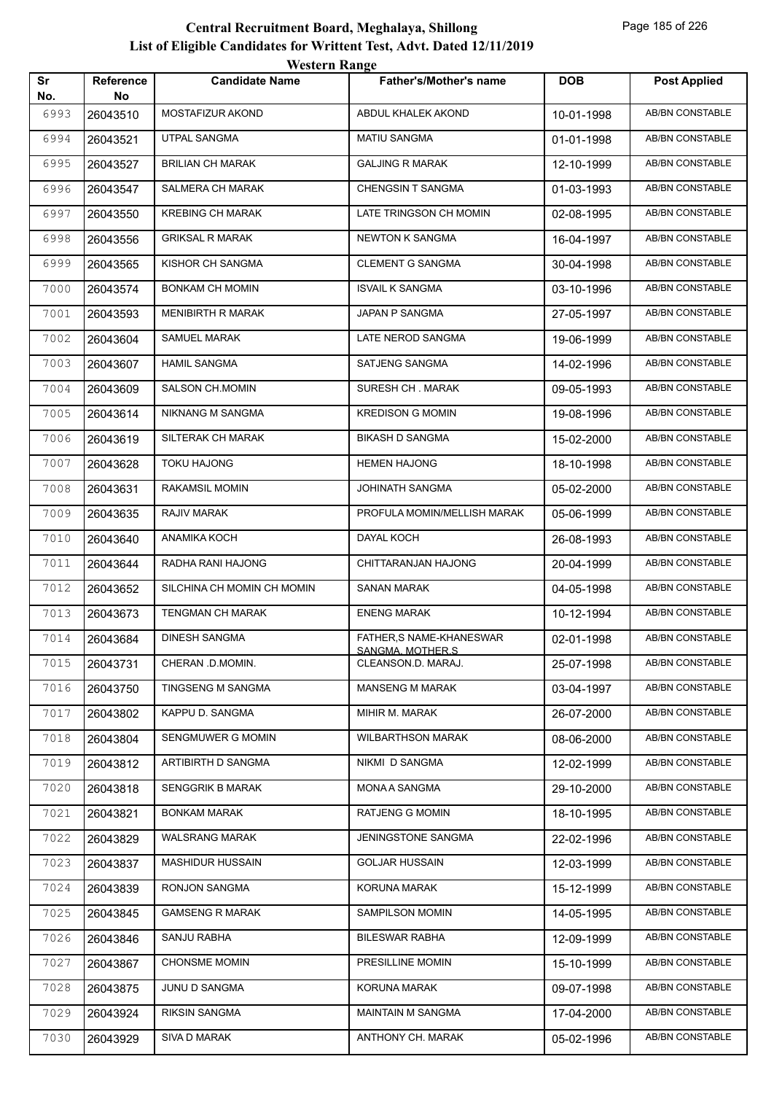|           |                        | western Range              |                                                |            |                        |
|-----------|------------------------|----------------------------|------------------------------------------------|------------|------------------------|
| Sr<br>No. | <b>Reference</b><br>No | <b>Candidate Name</b>      | <b>Father's/Mother's name</b>                  | <b>DOB</b> | <b>Post Applied</b>    |
| 6993      | 26043510               | MOSTAFIZUR AKOND           | ABDUL KHALEK AKOND                             | 10-01-1998 | AB/BN CONSTABLE        |
| 6994      | 26043521               | UTPAL SANGMA               | <b>MATIU SANGMA</b>                            | 01-01-1998 | AB/BN CONSTABLE        |
| 6995      | 26043527               | <b>BRILIAN CH MARAK</b>    | <b>GALJING R MARAK</b>                         | 12-10-1999 | AB/BN CONSTABLE        |
| 6996      | 26043547               | <b>SALMERA CH MARAK</b>    | <b>CHENGSIN T SANGMA</b>                       | 01-03-1993 | <b>AB/BN CONSTABLE</b> |
| 6997      | 26043550               | <b>KREBING CH MARAK</b>    | LATE TRINGSON CH MOMIN                         | 02-08-1995 | AB/BN CONSTABLE        |
| 6998      | 26043556               | <b>GRIKSAL R MARAK</b>     | <b>NEWTON K SANGMA</b>                         | 16-04-1997 | AB/BN CONSTABLE        |
| 6999      | 26043565               | KISHOR CH SANGMA           | <b>CLEMENT G SANGMA</b>                        | 30-04-1998 | AB/BN CONSTABLE        |
| 7000      | 26043574               | BONKAM CH MOMIN            | <b>ISVAIL K SANGMA</b>                         | 03-10-1996 | AB/BN CONSTABLE        |
| 7001      | 26043593               | <b>MENIBIRTH R MARAK</b>   | JAPAN P SANGMA                                 | 27-05-1997 | AB/BN CONSTABLE        |
| 7002      | 26043604               | <b>SAMUEL MARAK</b>        | <b>LATE NEROD SANGMA</b>                       | 19-06-1999 | AB/BN CONSTABLE        |
| 7003      | 26043607               | <b>HAMIL SANGMA</b>        | SATJENG SANGMA                                 | 14-02-1996 | AB/BN CONSTABLE        |
| 7004      | 26043609               | SALSON CH.MOMIN            | SURESH CH. MARAK                               | 09-05-1993 | AB/BN CONSTABLE        |
| 7005      | 26043614               | NIKNANG M SANGMA           | <b>KREDISON G MOMIN</b>                        | 19-08-1996 | AB/BN CONSTABLE        |
| 7006      | 26043619               | SILTERAK CH MARAK          | <b>BIKASH D SANGMA</b>                         | 15-02-2000 | AB/BN CONSTABLE        |
| 7007      | 26043628               | <b>TOKU HAJONG</b>         | <b>HEMEN HAJONG</b>                            | 18-10-1998 | AB/BN CONSTABLE        |
| 7008      | 26043631               | <b>RAKAMSIL MOMIN</b>      | JOHINATH SANGMA                                | 05-02-2000 | AB/BN CONSTABLE        |
| 7009      | 26043635               | <b>RAJIV MARAK</b>         | PROFULA MOMIN/MELLISH MARAK                    | 05-06-1999 | AB/BN CONSTABLE        |
| 7010      | 26043640               | ANAMIKA KOCH               | DAYAL KOCH                                     | 26-08-1993 | AB/BN CONSTABLE        |
| 7011      | 26043644               | RADHA RANI HAJONG          | CHITTARANJAN HAJONG                            | 20-04-1999 | <b>AB/BN CONSTABLE</b> |
| 7012      | 26043652               | SILCHINA CH MOMIN CH MOMIN | <b>SANAN MARAK</b>                             | 04-05-1998 | AB/BN CONSTABLE        |
| 7013      | 26043673               | TENGMAN CH MARAK           | <b>ENENG MARAK</b>                             | 10-12-1994 | AB/BN CONSTABLE        |
| 7014      | 26043684               | <b>DINESH SANGMA</b>       | FATHER.S NAME-KHANESWAR                        | 02-01-1998 | AB/BN CONSTABLE        |
| 7015      | 26043731               | CHERAN .D.MOMIN.           | <u>SANGMA, MOTHER.S.</u><br>CLEANSON.D. MARAJ. | 25-07-1998 | AB/BN CONSTABLE        |
| 7016      | 26043750               | TINGSENG M SANGMA          | <b>MANSENG M MARAK</b>                         | 03-04-1997 | AB/BN CONSTABLE        |
| 7017      | 26043802               | KAPPU D. SANGMA            | MIHIR M. MARAK                                 | 26-07-2000 | AB/BN CONSTABLE        |
| 7018      | 26043804               | SENGMUWER G MOMIN          | <b>WILBARTHSON MARAK</b>                       | 08-06-2000 | AB/BN CONSTABLE        |
| 7019      | 26043812               | ARTIBIRTH D SANGMA         | NIKMI D SANGMA                                 | 12-02-1999 | AB/BN CONSTABLE        |
| 7020      | 26043818               | SENGGRIK B MARAK           | MONA A SANGMA                                  | 29-10-2000 | AB/BN CONSTABLE        |
| 7021      | 26043821               | <b>BONKAM MARAK</b>        | <b>RATJENG G MOMIN</b>                         | 18-10-1995 | AB/BN CONSTABLE        |
| 7022      | 26043829               | WALSRANG MARAK             | JENINGSTONE SANGMA                             | 22-02-1996 | AB/BN CONSTABLE        |
| 7023      | 26043837               | <b>MASHIDUR HUSSAIN</b>    | <b>GOLJAR HUSSAIN</b>                          | 12-03-1999 | AB/BN CONSTABLE        |
| 7024      | 26043839               | RONJON SANGMA              | KORUNA MARAK                                   | 15-12-1999 | AB/BN CONSTABLE        |
| 7025      | 26043845               | <b>GAMSENG R MARAK</b>     | SAMPILSON MOMIN                                | 14-05-1995 | AB/BN CONSTABLE        |
| 7026      | 26043846               | SANJU RABHA                | <b>BILESWAR RABHA</b>                          | 12-09-1999 | AB/BN CONSTABLE        |
| 7027      | 26043867               | <b>CHONSME MOMIN</b>       | PRESILLINE MOMIN                               | 15-10-1999 | AB/BN CONSTABLE        |
| 7028      | 26043875               | JUNU D SANGMA              | KORUNA MARAK                                   | 09-07-1998 | AB/BN CONSTABLE        |
| 7029      | 26043924               | <b>RIKSIN SANGMA</b>       | MAINTAIN M SANGMA                              | 17-04-2000 | AB/BN CONSTABLE        |
| 7030      | 26043929               | SIVA D MARAK               | ANTHONY CH. MARAK                              | 05-02-1996 | AB/BN CONSTABLE        |
|           |                        |                            |                                                |            |                        |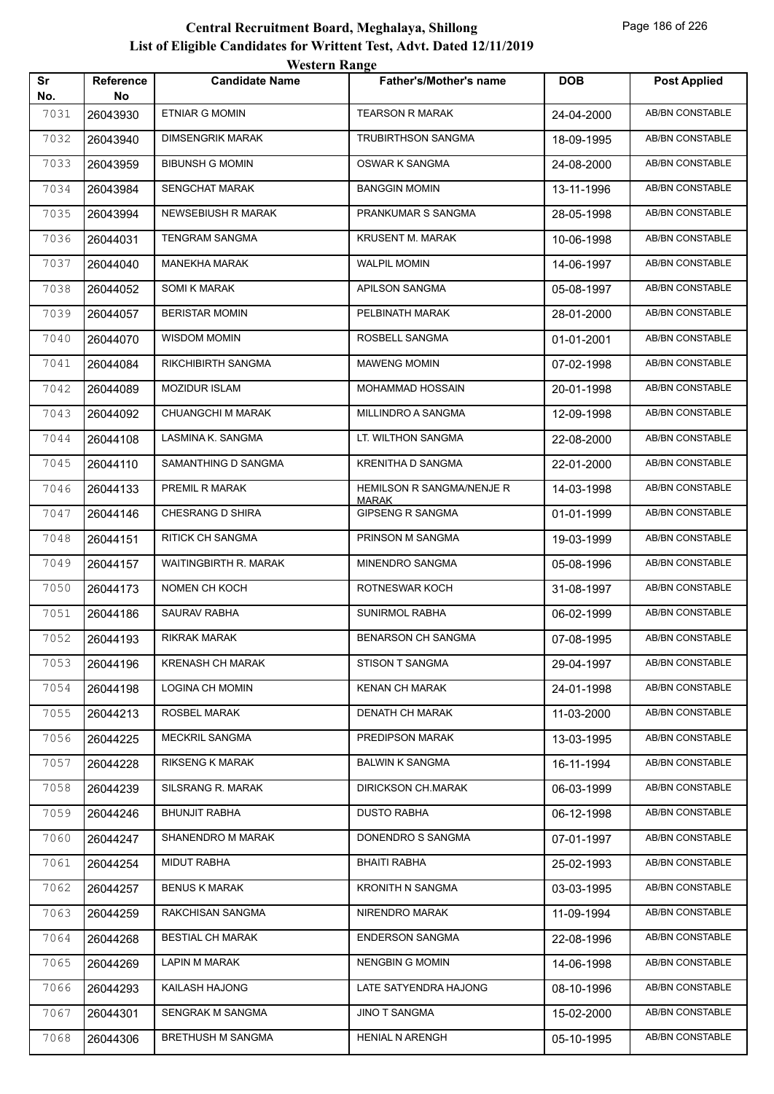|           |                        | WESTEL II INALIZE         |                                  |            |                        |
|-----------|------------------------|---------------------------|----------------------------------|------------|------------------------|
| Sr<br>No. | <b>Reference</b><br>No | <b>Candidate Name</b>     | <b>Father's/Mother's name</b>    | <b>DOB</b> | <b>Post Applied</b>    |
| 7031      | 26043930               | ETNIAR G MOMIN            | <b>TEARSON R MARAK</b>           | 24-04-2000 | <b>AB/BN CONSTABLE</b> |
| 7032      | 26043940               | <b>DIMSENGRIK MARAK</b>   | <b>TRUBIRTHSON SANGMA</b>        | 18-09-1995 | AB/BN CONSTABLE        |
| 7033      | 26043959               | <b>BIBUNSH G MOMIN</b>    | OSWAR K SANGMA                   | 24-08-2000 | AB/BN CONSTABLE        |
| 7034      | 26043984               | <b>SENGCHAT MARAK</b>     | <b>BANGGIN MOMIN</b>             | 13-11-1996 | AB/BN CONSTABLE        |
| 7035      | 26043994               | NEWSEBIUSH R MARAK        | PRANKUMAR S SANGMA               | 28-05-1998 | <b>AB/BN CONSTABLE</b> |
| 7036      | 26044031               | <b>TENGRAM SANGMA</b>     | <b>KRUSENT M. MARAK</b>          | 10-06-1998 | AB/BN CONSTABLE        |
| 7037      | 26044040               | <b>MANEKHA MARAK</b>      | <b>WALPIL MOMIN</b>              | 14-06-1997 | AB/BN CONSTABLE        |
| 7038      | 26044052               | <b>SOMI K MARAK</b>       | APILSON SANGMA                   | 05-08-1997 | AB/BN CONSTABLE        |
| 7039      | 26044057               | <b>BERISTAR MOMIN</b>     | PELBINATH MARAK                  | 28-01-2000 | AB/BN CONSTABLE        |
| 7040      | 26044070               | <b>WISDOM MOMIN</b>       | ROSBELL SANGMA                   | 01-01-2001 | <b>AB/BN CONSTABLE</b> |
| 7041      | 26044084               | <b>RIKCHIBIRTH SANGMA</b> | <b>MAWENG MOMIN</b>              | 07-02-1998 | AB/BN CONSTABLE        |
| 7042      | 26044089               | <b>MOZIDUR ISLAM</b>      | MOHAMMAD HOSSAIN                 | 20-01-1998 | AB/BN CONSTABLE        |
| 7043      | 26044092               | CHUANGCHI M MARAK         | MILLINDRO A SANGMA               | 12-09-1998 | AB/BN CONSTABLE        |
| 7044      | 26044108               | LASMINA K. SANGMA         | LT. WILTHON SANGMA               | 22-08-2000 | AB/BN CONSTABLE        |
| 7045      | 26044110               | SAMANTHING D SANGMA       | KRENITHA D SANGMA                | 22-01-2000 | <b>AB/BN CONSTABLE</b> |
| 7046      | 26044133               | PREMIL R MARAK            | HEMILSON R SANGMA/NENJE R        | 14-03-1998 | AB/BN CONSTABLE        |
| 7047      | 26044146               | CHESRANG D SHIRA          | MARAK<br><b>GIPSENG R SANGMA</b> | 01-01-1999 | AB/BN CONSTABLE        |
| 7048      | 26044151               | <b>RITICK CH SANGMA</b>   | PRINSON M SANGMA                 | 19-03-1999 | AB/BN CONSTABLE        |
| 7049      | 26044157               | WAITINGBIRTH R. MARAK     | MINENDRO SANGMA                  | 05-08-1996 | AB/BN CONSTABLE        |
| 7050      | 26044173               | NOMEN CH KOCH             | ROTNESWAR KOCH                   | 31-08-1997 | AB/BN CONSTABLE        |
| 7051      | 26044186               | SAURAV RABHA              | <b>SUNIRMOL RABHA</b>            | 06-02-1999 | AB/BN CONSTABLE        |
| 7052      | 26044193               | <b>RIKRAK MARAK</b>       | <b>BENARSON CH SANGMA</b>        | 07-08-1995 | AB/BN CONSTABLE        |
| 7053      | 26044196               | <b>KRENASH CH MARAK</b>   | STISON T SANGMA                  | 29-04-1997 | AB/BN CONSTABLE        |
| 7054      | 26044198               | LOGINA CH MOMIN           | <b>KENAN CH MARAK</b>            | 24-01-1998 | AB/BN CONSTABLE        |
| 7055      | 26044213               | ROSBEL MARAK              | <b>DENATH CH MARAK</b>           | 11-03-2000 | AB/BN CONSTABLE        |
| 7056      | 26044225               | <b>MECKRIL SANGMA</b>     | PREDIPSON MARAK                  | 13-03-1995 | AB/BN CONSTABLE        |
| 7057      | 26044228               | RIKSENG K MARAK           | <b>BALWIN K SANGMA</b>           | 16-11-1994 | AB/BN CONSTABLE        |
| 7058      | 26044239               | SILSRANG R. MARAK         | <b>DIRICKSON CH.MARAK</b>        | 06-03-1999 | AB/BN CONSTABLE        |
| 7059      | 26044246               | <b>BHUNJIT RABHA</b>      | <b>DUSTO RABHA</b>               | 06-12-1998 | AB/BN CONSTABLE        |
| 7060      | 26044247               | SHANENDRO M MARAK         | DONENDRO S SANGMA                | 07-01-1997 | AB/BN CONSTABLE        |
| 7061      | 26044254               | MIDUT RABHA               | <b>BHAITI RABHA</b>              | 25-02-1993 | AB/BN CONSTABLE        |
| 7062      | 26044257               | <b>BENUS K MARAK</b>      | <b>KRONITH N SANGMA</b>          | 03-03-1995 | AB/BN CONSTABLE        |
| 7063      | 26044259               | RAKCHISAN SANGMA          | NIRENDRO MARAK                   | 11-09-1994 | AB/BN CONSTABLE        |
| 7064      | 26044268               | <b>BESTIAL CH MARAK</b>   | <b>ENDERSON SANGMA</b>           | 22-08-1996 | AB/BN CONSTABLE        |
| 7065      | 26044269               | LAPIN M MARAK             | NENGBIN G MOMIN                  | 14-06-1998 | AB/BN CONSTABLE        |
| 7066      | 26044293               | KAILASH HAJONG            | LATE SATYENDRA HAJONG            | 08-10-1996 | AB/BN CONSTABLE        |
| 7067      | 26044301               | SENGRAK M SANGMA          | <b>JINO T SANGMA</b>             | 15-02-2000 | AB/BN CONSTABLE        |
| 7068      | 26044306               | <b>BRETHUSH M SANGMA</b>  | <b>HENIAL N ARENGH</b>           | 05-10-1995 | AB/BN CONSTABLE        |
|           |                        |                           |                                  |            |                        |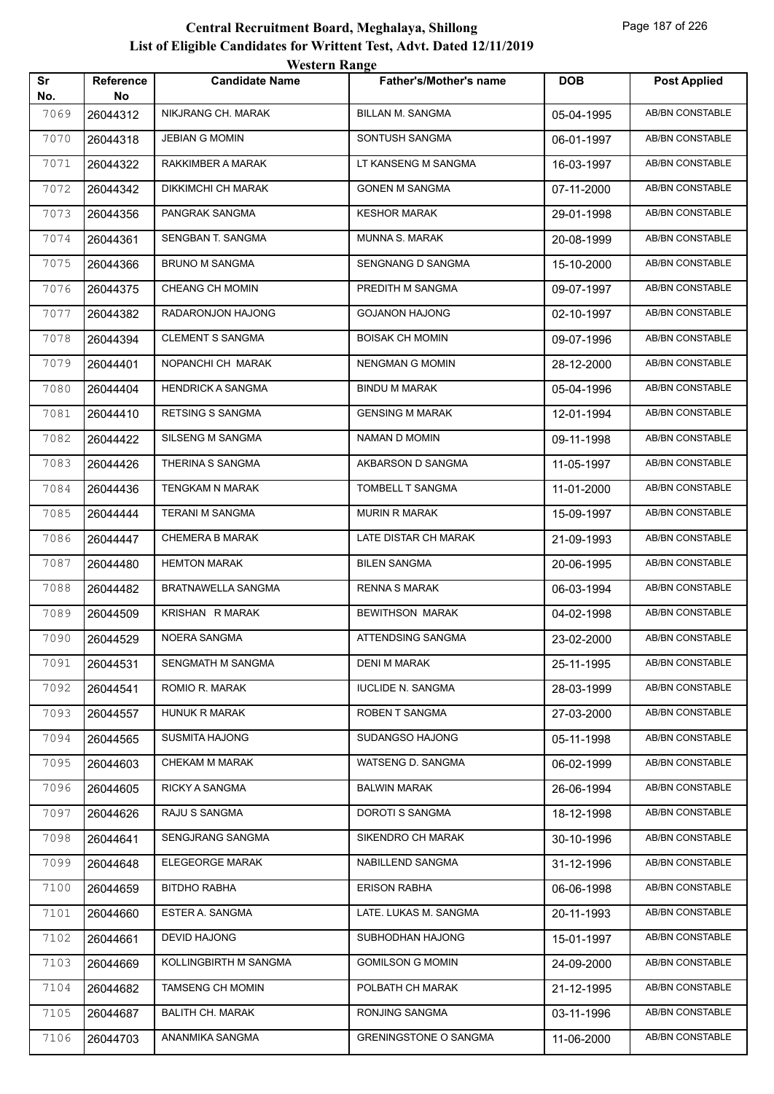|           |                        | <b>Western Range</b>      |                               |            |                        |
|-----------|------------------------|---------------------------|-------------------------------|------------|------------------------|
| Sr<br>No. | <b>Reference</b><br>No | <b>Candidate Name</b>     | <b>Father's/Mother's name</b> | <b>DOB</b> | <b>Post Applied</b>    |
| 7069      | 26044312               | NIKJRANG CH. MARAK        | <b>BILLAN M. SANGMA</b>       | 05-04-1995 | <b>AB/BN CONSTABLE</b> |
| 7070      | 26044318               | <b>JEBIAN G MOMIN</b>     | SONTUSH SANGMA                | 06-01-1997 | <b>AB/BN CONSTABLE</b> |
| 7071      | 26044322               | RAKKIMBER A MARAK         | LT KANSENG M SANGMA           | 16-03-1997 | <b>AB/BN CONSTABLE</b> |
| 7072      | 26044342               | <b>DIKKIMCHI CH MARAK</b> | <b>GONEN M SANGMA</b>         | 07-11-2000 | <b>AB/BN CONSTABLE</b> |
| 7073      | 26044356               | PANGRAK SANGMA            | <b>KESHOR MARAK</b>           | 29-01-1998 | <b>AB/BN CONSTABLE</b> |
| 7074      | 26044361               | SENGBAN T. SANGMA         | MUNNA S. MARAK                | 20-08-1999 | <b>AB/BN CONSTABLE</b> |
| 7075      | 26044366               | <b>BRUNO M SANGMA</b>     | <b>SENGNANG D SANGMA</b>      | 15-10-2000 | AB/BN CONSTABLE        |
| 7076      | 26044375               | CHEANG CH MOMIN           | PREDITH M SANGMA              | 09-07-1997 | <b>AB/BN CONSTABLE</b> |
| 7077      | 26044382               | RADARONJON HAJONG         | <b>GOJANON HAJONG</b>         | 02-10-1997 | <b>AB/BN CONSTABLE</b> |
| 7078      | 26044394               | <b>CLEMENT S SANGMA</b>   | <b>BOISAK CH MOMIN</b>        | 09-07-1996 | AB/BN CONSTABLE        |
| 7079      | 26044401               | NOPANCHI CH MARAK         | <b>NENGMAN G MOMIN</b>        | 28-12-2000 | <b>AB/BN CONSTABLE</b> |
| 7080      | 26044404               | <b>HENDRICK A SANGMA</b>  | <b>BINDU M MARAK</b>          | 05-04-1996 | AB/BN CONSTABLE        |
| 7081      | 26044410               | RETSING S SANGMA          | <b>GENSING M MARAK</b>        | 12-01-1994 | <b>AB/BN CONSTABLE</b> |
| 7082      | 26044422               | SILSENG M SANGMA          | NAMAN D MOMIN                 | 09-11-1998 | <b>AB/BN CONSTABLE</b> |
| 7083      | 26044426               | THERINA S SANGMA          | AKBARSON D SANGMA             | 11-05-1997 | AB/BN CONSTABLE        |
| 7084      | 26044436               | <b>TENGKAM N MARAK</b>    | TOMBELL T SANGMA              | 11-01-2000 | <b>AB/BN CONSTABLE</b> |
| 7085      | 26044444               | <b>TERANI M SANGMA</b>    | <b>MURIN R MARAK</b>          | 15-09-1997 | AB/BN CONSTABLE        |
| 7086      | 26044447               | <b>CHEMERA B MARAK</b>    | LATE DISTAR CH MARAK          | 21-09-1993 | <b>AB/BN CONSTABLE</b> |
| 7087      | 26044480               | <b>HEMTON MARAK</b>       | <b>BILEN SANGMA</b>           | 20-06-1995 | <b>AB/BN CONSTABLE</b> |
| 7088      | 26044482               | BRATNAWELLA SANGMA        | <b>RENNA S MARAK</b>          | 06-03-1994 | <b>AB/BN CONSTABLE</b> |
| 7089      | 26044509               | KRISHAN R MARAK           | <b>BEWITHSON MARAK</b>        | 04-02-1998 | AB/BN CONSTABLE        |
| 7090      | 26044529               | NOERA SANGMA              | ATTENDSING SANGMA             | 23-02-2000 | <b>AB/BN CONSTABLE</b> |
| 7091      | 26044531               | SENGMATH M SANGMA         | <b>DENI M MARAK</b>           | 25-11-1995 | AB/BN CONSTABLE        |
| 7092      | 26044541               | ROMIO R. MARAK            | <b>IUCLIDE N. SANGMA</b>      | 28-03-1999 | AB/BN CONSTABLE        |
| 7093      | 26044557               | <b>HUNUK R MARAK</b>      | ROBEN T SANGMA                | 27-03-2000 | AB/BN CONSTABLE        |
| 7094      | 26044565               | <b>SUSMITA HAJONG</b>     | SUDANGSO HAJONG               | 05-11-1998 | AB/BN CONSTABLE        |
| 7095      | 26044603               | CHEKAM M MARAK            | WATSENG D. SANGMA             | 06-02-1999 | AB/BN CONSTABLE        |
| 7096      | 26044605               | RICKY A SANGMA            | <b>BALWIN MARAK</b>           | 26-06-1994 | AB/BN CONSTABLE        |
| 7097      | 26044626               | RAJU S SANGMA             | DOROTI S SANGMA               | 18-12-1998 | AB/BN CONSTABLE        |
| 7098      | 26044641               | SENGJRANG SANGMA          | SIKENDRO CH MARAK             | 30-10-1996 | AB/BN CONSTABLE        |
| 7099      | 26044648               | ELEGEORGE MARAK           | NABILLEND SANGMA              | 31-12-1996 | AB/BN CONSTABLE        |
| 7100      | 26044659               | <b>BITDHO RABHA</b>       | <b>ERISON RABHA</b>           | 06-06-1998 | AB/BN CONSTABLE        |
| 7101      | 26044660               | ESTER A. SANGMA           | LATE. LUKAS M. SANGMA         | 20-11-1993 | AB/BN CONSTABLE        |
| 7102      | 26044661               | <b>DEVID HAJONG</b>       | SUBHODHAN HAJONG              | 15-01-1997 | AB/BN CONSTABLE        |
| 7103      | 26044669               | KOLLINGBIRTH M SANGMA     | <b>GOMILSON G MOMIN</b>       | 24-09-2000 | AB/BN CONSTABLE        |
| 7104      | 26044682               | <b>TAMSENG CH MOMIN</b>   | POLBATH CH MARAK              | 21-12-1995 | AB/BN CONSTABLE        |
| 7105      | 26044687               | <b>BALITH CH. MARAK</b>   | RONJING SANGMA                | 03-11-1996 | AB/BN CONSTABLE        |
| 7106      | 26044703               | ANANMIKA SANGMA           | <b>GRENINGSTONE O SANGMA</b>  | 11-06-2000 | AB/BN CONSTABLE        |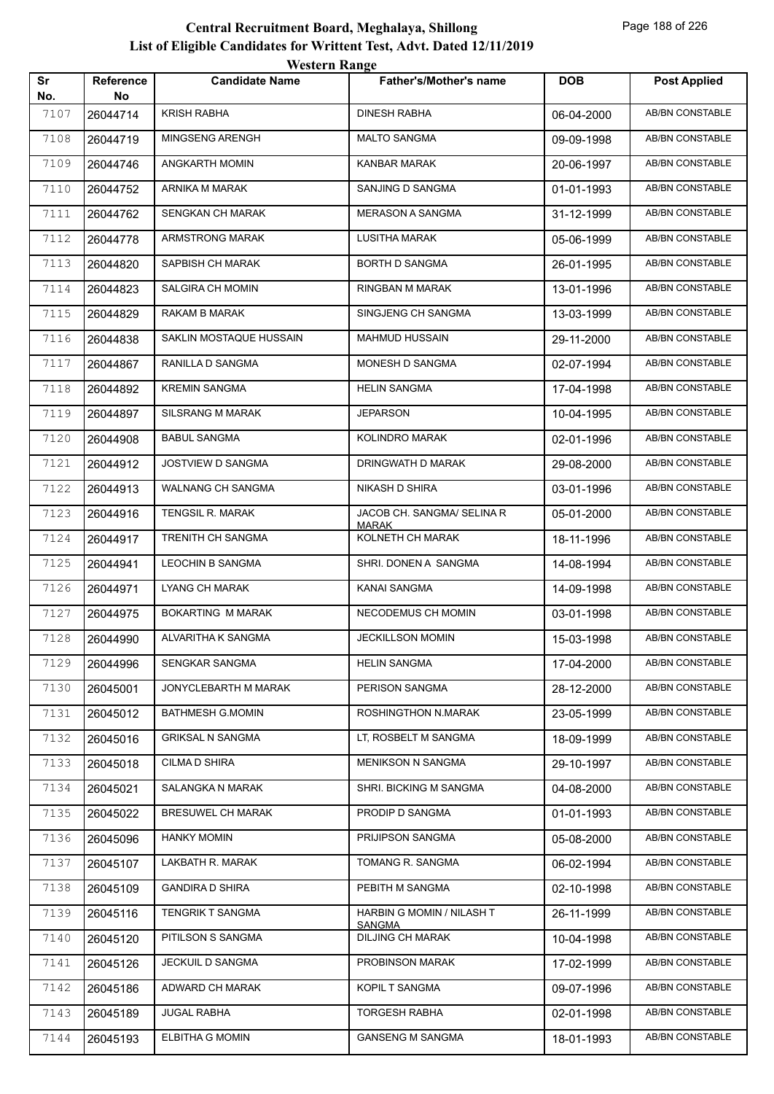| Sr          | Reference      | <b><i>HUSIGER RAREC</i></b><br><b>Candidate Name</b> | <b>Father's/Mother's name</b>              | <b>DOB</b> | <b>Post Applied</b>    |
|-------------|----------------|------------------------------------------------------|--------------------------------------------|------------|------------------------|
| No.<br>7107 | No<br>26044714 | <b>KRISH RABHA</b>                                   | <b>DINESH RABHA</b>                        | 06-04-2000 | <b>AB/BN CONSTABLE</b> |
| 7108        | 26044719       | MINGSENG ARENGH                                      | <b>MALTO SANGMA</b>                        | 09-09-1998 | AB/BN CONSTABLE        |
| 7109        | 26044746       | ANGKARTH MOMIN                                       | <b>KANBAR MARAK</b>                        | 20-06-1997 | AB/BN CONSTABLE        |
| 7110        | 26044752       | ARNIKA M MARAK                                       | SANJING D SANGMA                           | 01-01-1993 | AB/BN CONSTABLE        |
| 7111        | 26044762       | SENGKAN CH MARAK                                     | <b>MERASON A SANGMA</b>                    | 31-12-1999 | <b>AB/BN CONSTABLE</b> |
| 7112        | 26044778       | ARMSTRONG MARAK                                      | LUSITHA MARAK                              | 05-06-1999 | AB/BN CONSTABLE        |
| 7113        | 26044820       | SAPBISH CH MARAK                                     | BORTH D SANGMA                             | 26-01-1995 | AB/BN CONSTABLE        |
| 7114        | 26044823       | SALGIRA CH MOMIN                                     | RINGBAN M MARAK                            | 13-01-1996 | AB/BN CONSTABLE        |
| 7115        | 26044829       | RAKAM B MARAK                                        | SINGJENG CH SANGMA                         | 13-03-1999 | AB/BN CONSTABLE        |
| 7116        | 26044838       | SAKLIN MOSTAQUE HUSSAIN                              | <b>MAHMUD HUSSAIN</b>                      | 29-11-2000 | AB/BN CONSTABLE        |
| 7117        | 26044867       | RANILLA D SANGMA                                     | MONESH D SANGMA                            | 02-07-1994 | AB/BN CONSTABLE        |
|             |                | <b>KREMIN SANGMA</b>                                 | <b>HELIN SANGMA</b>                        |            | AB/BN CONSTABLE        |
| 7118        | 26044892       |                                                      |                                            | 17-04-1998 |                        |
| 7119        | 26044897       | <b>SILSRANG M MARAK</b>                              | <b>JEPARSON</b>                            | 10-04-1995 | AB/BN CONSTABLE        |
| 7120        | 26044908       | <b>BABUL SANGMA</b>                                  | KOLINDRO MARAK                             | 02-01-1996 | AB/BN CONSTABLE        |
| 7121        | 26044912       | <b>JOSTVIEW D SANGMA</b>                             | DRINGWATH D MARAK                          | 29-08-2000 | AB/BN CONSTABLE        |
| 7122        | 26044913       | WALNANG CH SANGMA                                    | NIKASH D SHIRA                             | 03-01-1996 | AB/BN CONSTABLE        |
| 7123        | 26044916       | TENGSIL R. MARAK                                     | JACOB CH. SANGMA/ SELINA R<br><b>MARAK</b> | 05-01-2000 | AB/BN CONSTABLE        |
| 7124        | 26044917       | TRENITH CH SANGMA                                    | KOLNETH CH MARAK                           | 18-11-1996 | AB/BN CONSTABLE        |
| 7125        | 26044941       | LEOCHIN B SANGMA                                     | SHRI. DONEN A SANGMA                       | 14-08-1994 | AB/BN CONSTABLE        |
| 7126        | 26044971       | <b>LYANG CH MARAK</b>                                | KANAI SANGMA                               | 14-09-1998 | AB/BN CONSTABLE        |
| 7127        | 26044975       | BOKARTING M MARAK                                    | NECODEMUS CH MOMIN                         | 03-01-1998 | AB/BN CONSTABLE        |
| 7128        | 26044990       | ALVARITHA K SANGMA                                   | JECKILLSON MOMIN                           | 15-03-1998 | AB/BN CONSTABLE        |
| 7129        | 26044996       | SENGKAR SANGMA                                       | <b>HELIN SANGMA</b>                        | 17-04-2000 | AB/BN CONSTABLE        |
| 7130        | 26045001       | JONYCLEBARTH M MARAK                                 | PERISON SANGMA                             | 28-12-2000 | AB/BN CONSTABLE        |
| 7131        | 26045012       | <b>BATHMESH G.MOMIN</b>                              | ROSHINGTHON N.MARAK                        | 23-05-1999 | AB/BN CONSTABLE        |
| 7132        | 26045016       | <b>GRIKSAL N SANGMA</b>                              | LT, ROSBELT M SANGMA                       | 18-09-1999 | AB/BN CONSTABLE        |
| 7133        | 26045018       | CILMA D SHIRA                                        | <b>MENIKSON N SANGMA</b>                   | 29-10-1997 | AB/BN CONSTABLE        |
| 7134        | 26045021       | SALANGKA N MARAK                                     | SHRI. BICKING M SANGMA                     | 04-08-2000 | AB/BN CONSTABLE        |
| 7135        | 26045022       | <b>BRESUWEL CH MARAK</b>                             | PRODIP D SANGMA                            | 01-01-1993 | AB/BN CONSTABLE        |
| 7136        | 26045096       | <b>HANKY MOMIN</b>                                   | PRIJIPSON SANGMA                           | 05-08-2000 | AB/BN CONSTABLE        |
| 7137        | 26045107       | LAKBATH R. MARAK                                     | TOMANG R. SANGMA                           | 06-02-1994 | AB/BN CONSTABLE        |
| 7138        | 26045109       | <b>GANDIRA D SHIRA</b>                               | PEBITH M SANGMA                            | 02-10-1998 | AB/BN CONSTABLE        |
| 7139        | 26045116       | TENGRIK T SANGMA                                     | HARBIN G MOMIN / NILASH T<br><b>SANGMA</b> | 26-11-1999 | AB/BN CONSTABLE        |
| 7140        | 26045120       | PITILSON S SANGMA                                    | <b>DILJING CH MARAK</b>                    | 10-04-1998 | AB/BN CONSTABLE        |
| 7141        | 26045126       | JECKUIL D SANGMA                                     | PROBINSON MARAK                            | 17-02-1999 | AB/BN CONSTABLE        |
| 7142        | 26045186       | ADWARD CH MARAK                                      | KOPIL T SANGMA                             | 09-07-1996 | AB/BN CONSTABLE        |
| 7143        | 26045189       | JUGAL RABHA                                          | <b>TORGESH RABHA</b>                       | 02-01-1998 | AB/BN CONSTABLE        |
| 7144        | 26045193       | <b>ELBITHA G MOMIN</b>                               | <b>GANSENG M SANGMA</b>                    | 18-01-1993 | AB/BN CONSTABLE        |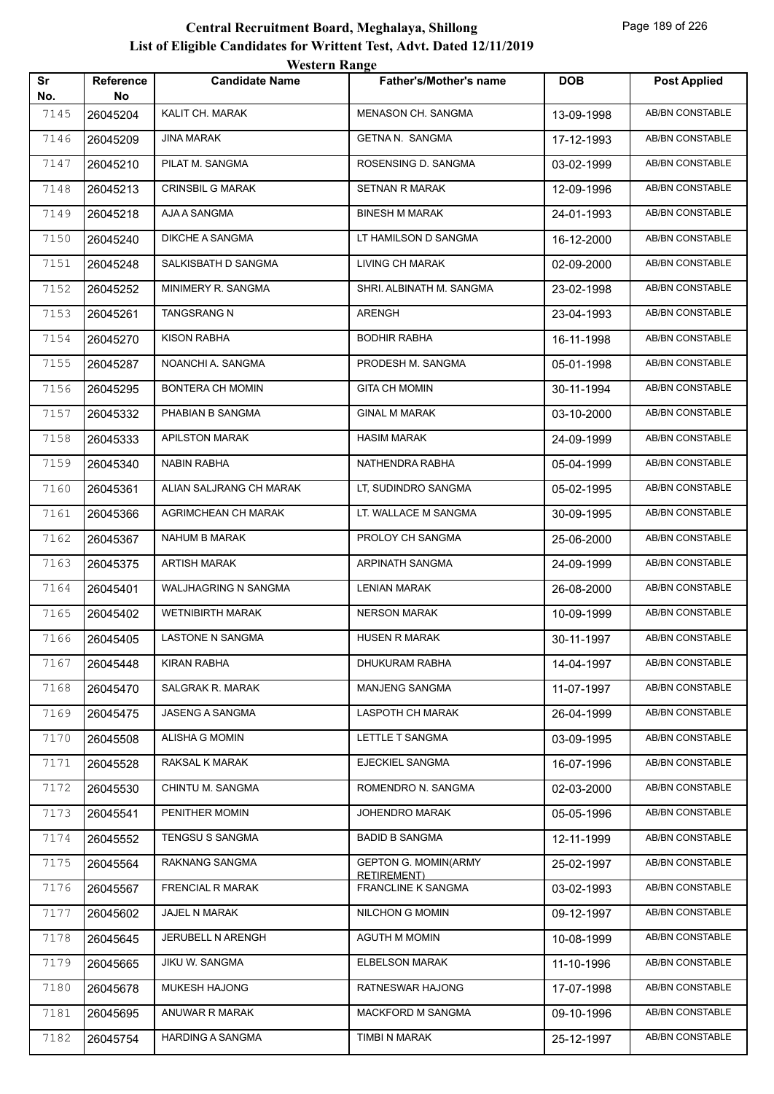| Sr          | <b>Reference</b> | <b>TUGILI IVANEL</b><br><b>Candidate Name</b> | <b>Father's/Mother's name</b>                     | <b>DOB</b> | <b>Post Applied</b>    |
|-------------|------------------|-----------------------------------------------|---------------------------------------------------|------------|------------------------|
| No.<br>7145 | No               | KALIT CH. MARAK                               | MENASON CH. SANGMA                                |            | AB/BN CONSTABLE        |
|             | 26045204         | <b>JINA MARAK</b>                             | GETNA N. SANGMA                                   | 13-09-1998 | AB/BN CONSTABLE        |
| 7146        | 26045209         |                                               |                                                   | 17-12-1993 |                        |
| 7147        | 26045210         | PILAT M. SANGMA                               | ROSENSING D. SANGMA                               | 03-02-1999 | AB/BN CONSTABLE        |
| 7148        | 26045213         | CRINSBIL G MARAK                              | SETNAN R MARAK                                    | 12-09-1996 | AB/BN CONSTABLE        |
| 7149        | 26045218         | AJA A SANGMA                                  | <b>BINESH M MARAK</b>                             | 24-01-1993 | AB/BN CONSTABLE        |
| 7150        | 26045240         | DIKCHE A SANGMA                               | LT HAMILSON D SANGMA                              | 16-12-2000 | <b>AB/BN CONSTABLE</b> |
| 7151        | 26045248         | SALKISBATH D SANGMA                           | <b>LIVING CH MARAK</b>                            | 02-09-2000 | <b>AB/BN CONSTABLE</b> |
| 7152        | 26045252         | MINIMERY R. SANGMA                            | SHRI. ALBINATH M. SANGMA                          | 23-02-1998 | AB/BN CONSTABLE        |
| 7153        | 26045261         | TANGSRANG N                                   | ARENGH                                            | 23-04-1993 | AB/BN CONSTABLE        |
| 7154        | 26045270         | KISON RABHA                                   | BODHIR RABHA                                      | 16-11-1998 | AB/BN CONSTABLE        |
| 7155        | 26045287         | NOANCHI A. SANGMA                             | PRODESH M. SANGMA                                 | 05-01-1998 | AB/BN CONSTABLE        |
| 7156        | 26045295         | BONTERA CH MOMIN                              | GITA CH MOMIN                                     | 30-11-1994 | AB/BN CONSTABLE        |
| 7157        | 26045332         | PHABIAN B SANGMA                              | <b>GINAL M MARAK</b>                              | 03-10-2000 | AB/BN CONSTABLE        |
| 7158        | 26045333         | <b>APILSTON MARAK</b>                         | <b>HASIM MARAK</b>                                | 24-09-1999 | AB/BN CONSTABLE        |
| 7159        | 26045340         | <b>NABIN RABHA</b>                            | NATHENDRA RABHA                                   | 05-04-1999 | AB/BN CONSTABLE        |
| 7160        | 26045361         | ALIAN SALJRANG CH MARAK                       | LT, SUDINDRO SANGMA                               | 05-02-1995 | <b>AB/BN CONSTABLE</b> |
| 7161        | 26045366         | AGRIMCHEAN CH MARAK                           | LT. WALLACE M SANGMA                              | 30-09-1995 | <b>AB/BN CONSTABLE</b> |
| 7162        | 26045367         | NAHUM B MARAK                                 | PROLOY CH SANGMA                                  | 25-06-2000 | <b>AB/BN CONSTABLE</b> |
| 7163        | 26045375         | <b>ARTISH MARAK</b>                           | ARPINATH SANGMA                                   | 24-09-1999 | AB/BN CONSTABLE        |
| 7164        | 26045401         | WALJHAGRING N SANGMA                          | LENIAN MARAK                                      | 26-08-2000 | AB/BN CONSTABLE        |
| 7165        | 26045402         | <b>WETNIBIRTH MARAK</b>                       | <b>NERSON MARAK</b>                               | 10-09-1999 | AB/BN CONSTABLE        |
| 7166        | 26045405         | LASTONE N SANGMA                              | <b>HUSEN R MARAK</b>                              | 30-11-1997 | AB/BN CONSTABLE        |
| 7167        | 26045448         | <b>KIRAN RABHA</b>                            | DHUKURAM RABHA                                    | 14-04-1997 | AB/BN CONSTABLE        |
| 7168        | 26045470         | SALGRAK R. MARAK                              | MANJENG SANGMA                                    | 11-07-1997 | AB/BN CONSTABLE        |
| 7169        | 26045475         | JASENG A SANGMA                               | LASPOTH CH MARAK                                  | 26-04-1999 | AB/BN CONSTABLE        |
| 7170        | 26045508         | ALISHA G MOMIN                                | LETTLE T SANGMA                                   | 03-09-1995 | AB/BN CONSTABLE        |
| 7171        | 26045528         | RAKSAL K MARAK                                | EJECKIEL SANGMA                                   | 16-07-1996 | AB/BN CONSTABLE        |
| 7172        | 26045530         | CHINTU M. SANGMA                              | ROMENDRO N. SANGMA                                | 02-03-2000 | AB/BN CONSTABLE        |
| 7173        | 26045541         | PENITHER MOMIN                                | JOHENDRO MARAK                                    | 05-05-1996 | AB/BN CONSTABLE        |
| 7174        | 26045552         | TENGSU S SANGMA                               | <b>BADID B SANGMA</b>                             | 12-11-1999 | AB/BN CONSTABLE        |
| 7175        | 26045564         | RAKNANG SANGMA                                | <b>GEPTON G. MOMIN(ARMY</b><br><b>RETIREMENT)</b> | 25-02-1997 | AB/BN CONSTABLE        |
| 7176        | 26045567         | <b>FRENCIAL R MARAK</b>                       | FRANCLINE K SANGMA                                | 03-02-1993 | AB/BN CONSTABLE        |
| 7177        | 26045602         | JAJEL N MARAK                                 | NILCHON G MOMIN                                   | 09-12-1997 | AB/BN CONSTABLE        |
| 7178        | 26045645         | JERUBELL N ARENGH                             | <b>AGUTH M MOMIN</b>                              | 10-08-1999 | AB/BN CONSTABLE        |
| 7179        | 26045665         | JIKU W. SANGMA                                | <b>ELBELSON MARAK</b>                             | 11-10-1996 | AB/BN CONSTABLE        |
| 7180        | 26045678         | MUKESH HAJONG                                 | RATNESWAR HAJONG                                  | 17-07-1998 | AB/BN CONSTABLE        |
| 7181        | 26045695         | ANUWAR R MARAK                                | <b>MACKFORD M SANGMA</b>                          | 09-10-1996 | AB/BN CONSTABLE        |
| 7182        | 26045754         | <b>HARDING A SANGMA</b>                       | TIMBI N MARAK                                     | 25-12-1997 | AB/BN CONSTABLE        |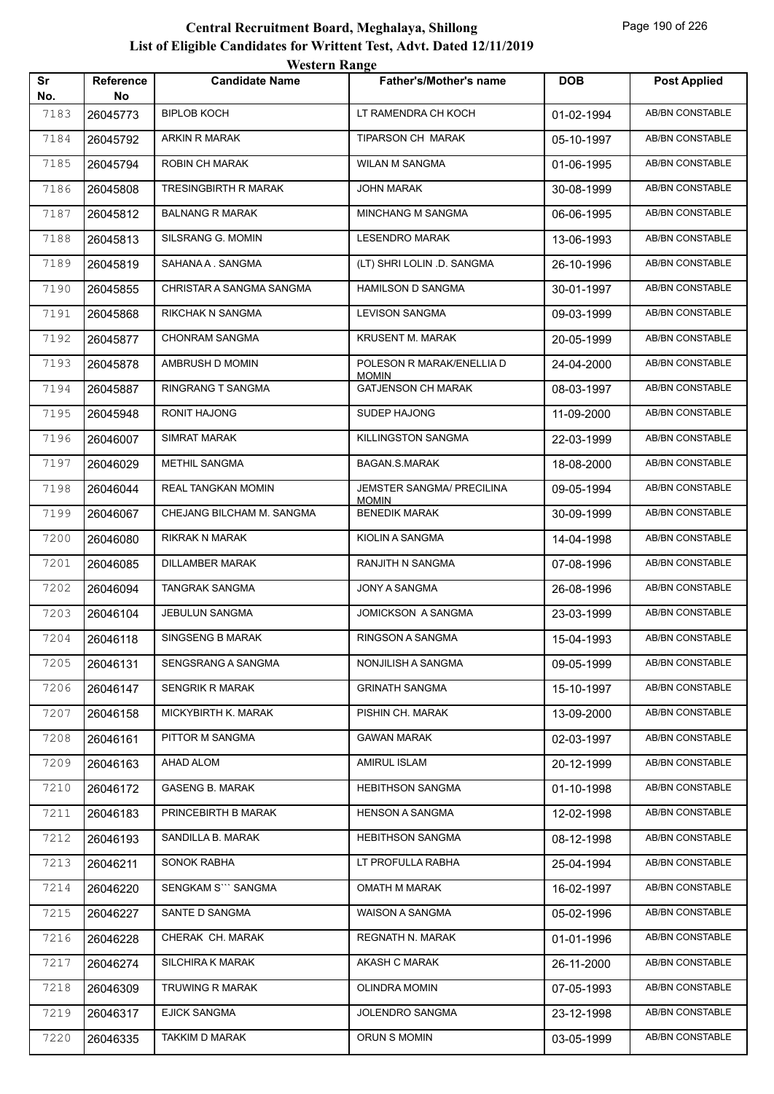| Sr<br>No. | Reference<br>No | <i>Western Kange</i><br><b>Candidate Name</b> | <b>Father's/Mother's name</b>             | <b>DOB</b> | <b>Post Applied</b>    |
|-----------|-----------------|-----------------------------------------------|-------------------------------------------|------------|------------------------|
| 7183      | 26045773        | <b>BIPLOB KOCH</b>                            | LT RAMENDRA CH KOCH                       | 01-02-1994 | <b>AB/BN CONSTABLE</b> |
| 7184      | 26045792        | ARKIN R MARAK                                 | TIPARSON CH MARAK                         | 05-10-1997 | AB/BN CONSTABLE        |
| 7185      | 26045794        | ROBIN CH MARAK                                | <b>WILAN M SANGMA</b>                     | 01-06-1995 | AB/BN CONSTABLE        |
| 7186      | 26045808        | <b>TRESINGBIRTH R MARAK</b>                   | JOHN MARAK                                | 30-08-1999 | AB/BN CONSTABLE        |
| 7187      | 26045812        | <b>BALNANG R MARAK</b>                        | <b>MINCHANG M SANGMA</b>                  | 06-06-1995 | <b>AB/BN CONSTABLE</b> |
| 7188      | 26045813        | SILSRANG G. MOMIN                             | <b>LESENDRO MARAK</b>                     | 13-06-1993 | AB/BN CONSTABLE        |
| 7189      | 26045819        | SAHANA A. SANGMA                              | (LT) SHRI LOLIN .D. SANGMA                | 26-10-1996 | AB/BN CONSTABLE        |
| 7190      | 26045855        | CHRISTAR A SANGMA SANGMA                      | <b>HAMILSON D SANGMA</b>                  | 30-01-1997 | AB/BN CONSTABLE        |
| 7191      | 26045868        | RIKCHAK N SANGMA                              | <b>LEVISON SANGMA</b>                     | 09-03-1999 | AB/BN CONSTABLE        |
| 7192      | 26045877        | <b>CHONRAM SANGMA</b>                         | <b>KRUSENT M. MARAK</b>                   | 20-05-1999 | AB/BN CONSTABLE        |
| 7193      | 26045878        | AMBRUSH D MOMIN                               | POLESON R MARAK/ENELLIA D                 | 24-04-2000 | AB/BN CONSTABLE        |
| 7194      | 26045887        | RINGRANG T SANGMA                             | <b>MOMIN</b><br><b>GATJENSON CH MARAK</b> | 08-03-1997 | AB/BN CONSTABLE        |
| 7195      | 26045948        | <b>RONIT HAJONG</b>                           | <b>SUDEP HAJONG</b>                       | 11-09-2000 | AB/BN CONSTABLE        |
| 7196      | 26046007        | <b>SIMRAT MARAK</b>                           | KILLINGSTON SANGMA                        | 22-03-1999 | AB/BN CONSTABLE        |
| 7197      | 26046029        | <b>METHIL SANGMA</b>                          | BAGAN.S.MARAK                             | 18-08-2000 | AB/BN CONSTABLE        |
| 7198      | 26046044        | REAL TANGKAN MOMIN                            | JEMSTER SANGMA/ PRECILINA<br><b>MOMIN</b> | 09-05-1994 | AB/BN CONSTABLE        |
| 7199      | 26046067        | CHEJANG BILCHAM M. SANGMA                     | <b>BENEDIK MARAK</b>                      | 30-09-1999 | AB/BN CONSTABLE        |
| 7200      | 26046080        | RIKRAK N MARAK                                | KIOLIN A SANGMA                           | 14-04-1998 | AB/BN CONSTABLE        |
| 7201      | 26046085        | DILLAMBER MARAK                               | RANJITH N SANGMA                          | 07-08-1996 | AB/BN CONSTABLE        |
| 7202      | 26046094        | TANGRAK SANGMA                                | <b>JONY A SANGMA</b>                      | 26-08-1996 | AB/BN CONSTABLE        |
| 7203      | 26046104        | JEBULUN SANGMA                                | <b>JOMICKSON A SANGMA</b>                 | 23-03-1999 | AB/BN CONSTABLE        |
| 7204      | 26046118        | <b>SINGSENG B MARAK</b>                       | RINGSON A SANGMA                          | 15-04-1993 | AB/BN CONSTABLE        |
| 7205      | 26046131        | SENGSRANG A SANGMA                            | NONJILISH A SANGMA                        | 09-05-1999 | AB/BN CONSTABLE        |
| 7206      | 26046147        | <b>SENGRIK R MARAK</b>                        | <b>GRINATH SANGMA</b>                     | 15-10-1997 | AB/BN CONSTABLE        |
| 7207      | 26046158        | MICKYBIRTH K. MARAK                           | PISHIN CH. MARAK                          | 13-09-2000 | AB/BN CONSTABLE        |
| 7208      | 26046161        | PITTOR M SANGMA                               | <b>GAWAN MARAK</b>                        | 02-03-1997 | AB/BN CONSTABLE        |
| 7209      | 26046163        | AHAD ALOM                                     | <b>AMIRUL ISLAM</b>                       | 20-12-1999 | AB/BN CONSTABLE        |
| 7210      | 26046172        | <b>GASENG B. MARAK</b>                        | <b>HEBITHSON SANGMA</b>                   | 01-10-1998 | AB/BN CONSTABLE        |
| 7211      | 26046183        | PRINCEBIRTH B MARAK                           | <b>HENSON A SANGMA</b>                    | 12-02-1998 | AB/BN CONSTABLE        |
| 7212      | 26046193        | SANDILLA B. MARAK                             | <b>HEBITHSON SANGMA</b>                   | 08-12-1998 | AB/BN CONSTABLE        |
| 7213      | 26046211        | SONOK RABHA                                   | LT PROFULLA RABHA                         | 25-04-1994 | AB/BN CONSTABLE        |
| 7214      | 26046220        | SENGKAM S``` SANGMA                           | OMATH M MARAK                             | 16-02-1997 | AB/BN CONSTABLE        |
| 7215      | 26046227        | SANTE D SANGMA                                | WAISON A SANGMA                           | 05-02-1996 | AB/BN CONSTABLE        |
| 7216      | 26046228        | CHERAK CH. MARAK                              | REGNATH N. MARAK                          | 01-01-1996 | AB/BN CONSTABLE        |
| 7217      | 26046274        | SILCHIRA K MARAK                              | AKASH C MARAK                             | 26-11-2000 | AB/BN CONSTABLE        |
| 7218      | 26046309        | TRUWING R MARAK                               | <b>OLINDRA MOMIN</b>                      | 07-05-1993 | AB/BN CONSTABLE        |
| 7219      | 26046317        | <b>EJICK SANGMA</b>                           | JOLENDRO SANGMA                           | 23-12-1998 | AB/BN CONSTABLE        |
| 7220      | 26046335        | TAKKIM D MARAK                                | ORUN S MOMIN                              | 03-05-1999 | AB/BN CONSTABLE        |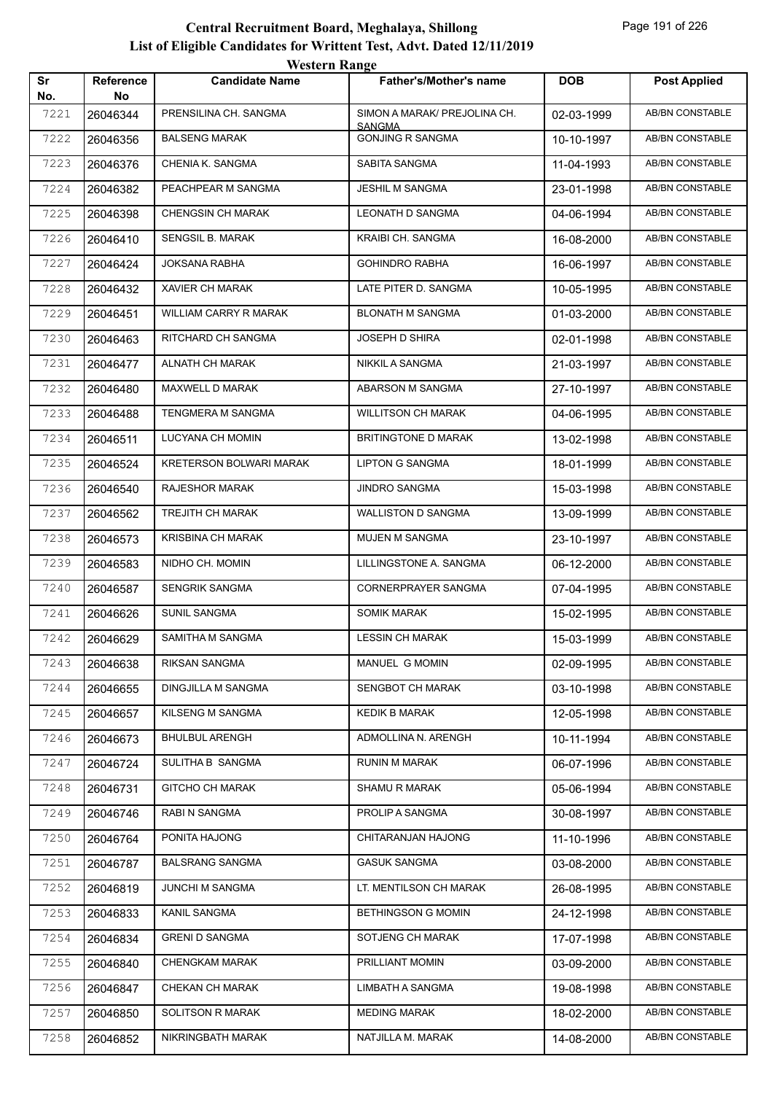|           |                        | <b>Western Range</b>           |                                               |            |                        |  |  |
|-----------|------------------------|--------------------------------|-----------------------------------------------|------------|------------------------|--|--|
| Sr<br>No. | <b>Reference</b><br>No | <b>Candidate Name</b>          | <b>Father's/Mother's name</b>                 | <b>DOB</b> | <b>Post Applied</b>    |  |  |
| 7221      | 26046344               | PRENSILINA CH. SANGMA          | SIMON A MARAK/ PREJOLINA CH.<br><b>SANGMA</b> | 02-03-1999 | <b>AB/BN CONSTABLE</b> |  |  |
| 7222      | 26046356               | <b>BALSENG MARAK</b>           | <b>GONJING R SANGMA</b>                       | 10-10-1997 | AB/BN CONSTABLE        |  |  |
| 7223      | 26046376               | CHENIA K. SANGMA               | SABITA SANGMA                                 | 11-04-1993 | <b>AB/BN CONSTABLE</b> |  |  |
| 7224      | 26046382               | PEACHPEAR M SANGMA             | <b>JESHIL M SANGMA</b>                        | 23-01-1998 | <b>AB/BN CONSTABLE</b> |  |  |
| 7225      | 26046398               | <b>CHENGSIN CH MARAK</b>       | <b>LEONATH D SANGMA</b>                       | 04-06-1994 | <b>AB/BN CONSTABLE</b> |  |  |
| 7226      | 26046410               | SENGSIL B. MARAK               | KRAIBI CH. SANGMA                             | 16-08-2000 | AB/BN CONSTABLE        |  |  |
| 7227      | 26046424               | <b>JOKSANA RABHA</b>           | <b>GOHINDRO RABHA</b>                         | 16-06-1997 | AB/BN CONSTABLE        |  |  |
| 7228      | 26046432               | <b>XAVIER CH MARAK</b>         | LATE PITER D. SANGMA                          | 10-05-1995 | <b>AB/BN CONSTABLE</b> |  |  |
| 7229      | 26046451               | WILLIAM CARRY R MARAK          | <b>BLONATH M SANGMA</b>                       | 01-03-2000 | <b>AB/BN CONSTABLE</b> |  |  |
| 7230      | 26046463               | RITCHARD CH SANGMA             | <b>JOSEPH D SHIRA</b>                         | 02-01-1998 | AB/BN CONSTABLE        |  |  |
| 7231      | 26046477               | <b>ALNATH CH MARAK</b>         | <b>NIKKIL A SANGMA</b>                        | 21-03-1997 | AB/BN CONSTABLE        |  |  |
| 7232      | 26046480               | MAXWELL D MARAK                | ABARSON M SANGMA                              | 27-10-1997 | <b>AB/BN CONSTABLE</b> |  |  |
| 7233      | 26046488               | TENGMERA M SANGMA              | <b>WILLITSON CH MARAK</b>                     | 04-06-1995 | <b>AB/BN CONSTABLE</b> |  |  |
| 7234      | 26046511               | LUCYANA CH MOMIN               | BRITINGTONE D MARAK                           | 13-02-1998 | <b>AB/BN CONSTABLE</b> |  |  |
| 7235      | 26046524               | <b>KRETERSON BOLWARI MARAK</b> | <b>LIPTON G SANGMA</b>                        | 18-01-1999 | AB/BN CONSTABLE        |  |  |
| 7236      | 26046540               | <b>RAJESHOR MARAK</b>          | <b>JINDRO SANGMA</b>                          | 15-03-1998 | <b>AB/BN CONSTABLE</b> |  |  |
| 7237      | 26046562               | <b>TREJITH CH MARAK</b>        | <b>WALLISTON D SANGMA</b>                     | 13-09-1999 | AB/BN CONSTABLE        |  |  |
| 7238      | 26046573               | <b>KRISBINA CH MARAK</b>       | <b>MUJEN M SANGMA</b>                         | 23-10-1997 | <b>AB/BN CONSTABLE</b> |  |  |
| 7239      | 26046583               | NIDHO CH. MOMIN                | LILLINGSTONE A. SANGMA                        | 06-12-2000 | <b>AB/BN CONSTABLE</b> |  |  |
| 7240      | 26046587               | <b>SENGRIK SANGMA</b>          | CORNERPRAYER SANGMA                           | 07-04-1995 | AB/BN CONSTABLE        |  |  |
| 7241      | 26046626               | <b>SUNIL SANGMA</b>            | <b>SOMIK MARAK</b>                            | 15-02-1995 | <b>AB/BN CONSTABLE</b> |  |  |
| 7242      | 26046629               | SAMITHA M SANGMA               | <b>LESSIN CH MARAK</b>                        | 15-03-1999 | AB/BN CONSTABLE        |  |  |
| 7243      | 26046638               | RIKSAN SANGMA                  | MANUEL G MOMIN                                | 02-09-1995 | AB/BN CONSTABLE        |  |  |
| 7244      | 26046655               | DINGJILLA M SANGMA             | SENGBOT CH MARAK                              | 03-10-1998 | AB/BN CONSTABLE        |  |  |
| 7245      | 26046657               | KILSENG M SANGMA               | <b>KEDIK B MARAK</b>                          | 12-05-1998 | AB/BN CONSTABLE        |  |  |
| 7246      | 26046673               | <b>BHULBUL ARENGH</b>          | ADMOLLINA N. ARENGH                           | 10-11-1994 | AB/BN CONSTABLE        |  |  |
| 7247      | 26046724               | SULITHA B SANGMA               | <b>RUNIN M MARAK</b>                          | 06-07-1996 | AB/BN CONSTABLE        |  |  |
| 7248      | 26046731               | <b>GITCHO CH MARAK</b>         | SHAMU R MARAK                                 | 05-06-1994 | AB/BN CONSTABLE        |  |  |
| 7249      | 26046746               | RABI N SANGMA                  | PROLIP A SANGMA                               | 30-08-1997 | AB/BN CONSTABLE        |  |  |
| 7250      | 26046764               | PONITA HAJONG                  | CHITARANJAN HAJONG                            | 11-10-1996 | AB/BN CONSTABLE        |  |  |
| 7251      | 26046787               | <b>BALSRANG SANGMA</b>         | <b>GASUK SANGMA</b>                           | 03-08-2000 | AB/BN CONSTABLE        |  |  |
| 7252      | 26046819               | JUNCHI M SANGMA                | LT. MENTILSON CH MARAK                        | 26-08-1995 | AB/BN CONSTABLE        |  |  |
| 7253      | 26046833               | KANIL SANGMA                   | <b>BETHINGSON G MOMIN</b>                     | 24-12-1998 | AB/BN CONSTABLE        |  |  |
| 7254      | 26046834               | <b>GRENI D SANGMA</b>          | SOTJENG CH MARAK                              | 17-07-1998 | AB/BN CONSTABLE        |  |  |
| 7255      | 26046840               | CHENGKAM MARAK                 | PRILLIANT MOMIN                               | 03-09-2000 | AB/BN CONSTABLE        |  |  |
| 7256      | 26046847               | CHEKAN CH MARAK                | LIMBATH A SANGMA                              | 19-08-1998 | AB/BN CONSTABLE        |  |  |
| 7257      | 26046850               | SOLITSON R MARAK               | <b>MEDING MARAK</b>                           | 18-02-2000 | AB/BN CONSTABLE        |  |  |
| 7258      | 26046852               | NIKRINGBATH MARAK              | NATJILLA M. MARAK                             | 14-08-2000 | AB/BN CONSTABLE        |  |  |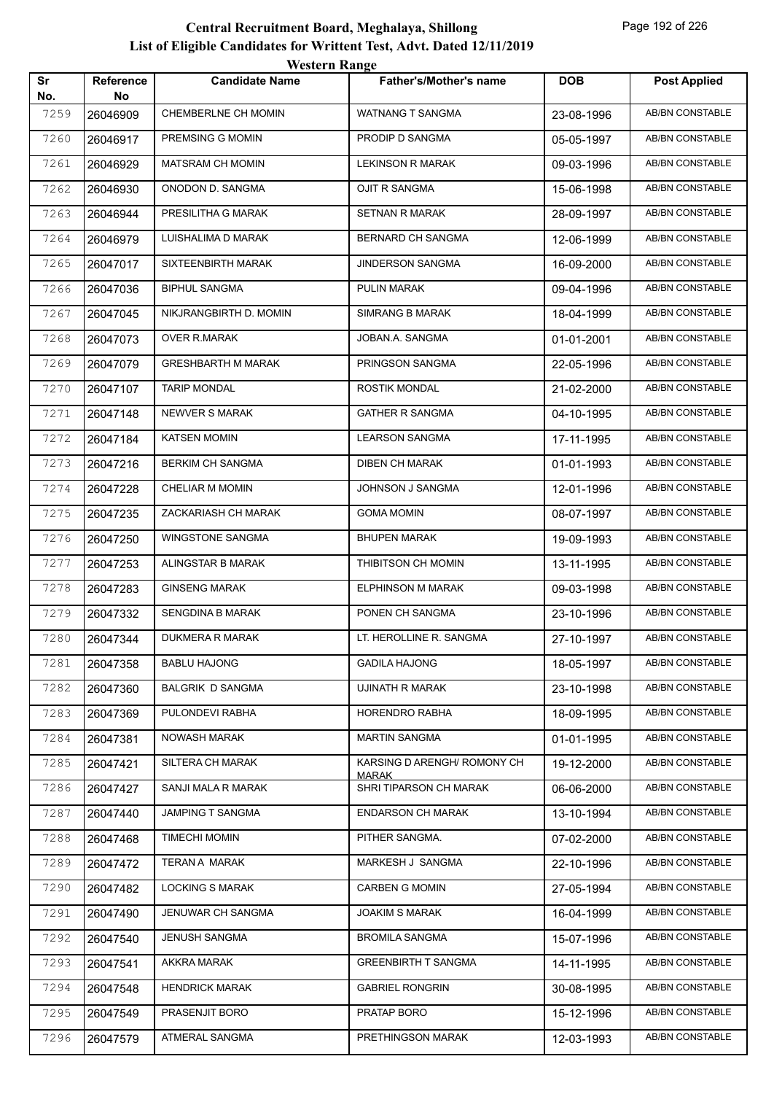|           |                        | WESTEL II INALIZE         |                                             |            |                        |
|-----------|------------------------|---------------------------|---------------------------------------------|------------|------------------------|
| Sr<br>No. | <b>Reference</b><br>No | <b>Candidate Name</b>     | <b>Father's/Mother's name</b>               | <b>DOB</b> | <b>Post Applied</b>    |
| 7259      | 26046909               | CHEMBERLNE CH MOMIN       | WATNANG T SANGMA                            | 23-08-1996 | <b>AB/BN CONSTABLE</b> |
| 7260      | 26046917               | PREMSING G MOMIN          | PRODIP D SANGMA                             | 05-05-1997 | AB/BN CONSTABLE        |
| 7261      | 26046929               | <b>MATSRAM CH MOMIN</b>   | <b>LEKINSON R MARAK</b>                     | 09-03-1996 | AB/BN CONSTABLE        |
| 7262      | 26046930               | ONODON D. SANGMA          | OJIT R SANGMA                               | 15-06-1998 | AB/BN CONSTABLE        |
| 7263      | 26046944               | PRESILITHA G MARAK        | SETNAN R MARAK                              | 28-09-1997 | AB/BN CONSTABLE        |
| 7264      | 26046979               | LUISHALIMA D MARAK        | <b>BERNARD CH SANGMA</b>                    | 12-06-1999 | AB/BN CONSTABLE        |
| 7265      | 26047017               | SIXTEENBIRTH MARAK        | <b>JINDERSON SANGMA</b>                     | 16-09-2000 | AB/BN CONSTABLE        |
| 7266      | 26047036               | <b>BIPHUL SANGMA</b>      | PULIN MARAK                                 | 09-04-1996 | AB/BN CONSTABLE        |
| 7267      | 26047045               | NIKJRANGBIRTH D. MOMIN    | <b>SIMRANG B MARAK</b>                      | 18-04-1999 | AB/BN CONSTABLE        |
| 7268      | 26047073               | OVER R.MARAK              | JOBAN.A. SANGMA                             | 01-01-2001 | <b>AB/BN CONSTABLE</b> |
| 7269      | 26047079               | <b>GRESHBARTH M MARAK</b> | PRINGSON SANGMA                             | 22-05-1996 | AB/BN CONSTABLE        |
| 7270      | 26047107               | <b>TARIP MONDAL</b>       | ROSTIK MONDAL                               | 21-02-2000 | AB/BN CONSTABLE        |
| 7271      | 26047148               | NEWVER S MARAK            | <b>GATHER R SANGMA</b>                      | 04-10-1995 | AB/BN CONSTABLE        |
| 7272      | 26047184               | <b>KATSEN MOMIN</b>       | <b>LEARSON SANGMA</b>                       | 17-11-1995 | <b>AB/BN CONSTABLE</b> |
| 7273      | 26047216               | <b>BERKIM CH SANGMA</b>   | <b>DIBEN CH MARAK</b>                       | 01-01-1993 | <b>AB/BN CONSTABLE</b> |
| 7274      | 26047228               | <b>CHELIAR M MOMIN</b>    | JOHNSON J SANGMA                            | 12-01-1996 | AB/BN CONSTABLE        |
| 7275      | 26047235               | ZACKARIASH CH MARAK       | <b>GOMA MOMIN</b>                           | 08-07-1997 | AB/BN CONSTABLE        |
| 7276      | 26047250               | <b>WINGSTONE SANGMA</b>   | <b>BHUPEN MARAK</b>                         | 19-09-1993 | AB/BN CONSTABLE        |
| 7277      | 26047253               | ALINGSTAR B MARAK         | THIBITSON CH MOMIN                          | 13-11-1995 | AB/BN CONSTABLE        |
| 7278      | 26047283               | <b>GINSENG MARAK</b>      | ELPHINSON M MARAK                           | 09-03-1998 | AB/BN CONSTABLE        |
| 7279      | 26047332               | SENGDINA B MARAK          | PONEN CH SANGMA                             | 23-10-1996 | AB/BN CONSTABLE        |
| 7280      | 26047344               | DUKMERA R MARAK           | LT. HEROLLINE R. SANGMA                     | 27-10-1997 | AB/BN CONSTABLE        |
| 7281      | 26047358               | <b>BABLU HAJONG</b>       | <b>GADILA HAJONG</b>                        | 18-05-1997 | AB/BN CONSTABLE        |
| 7282      | 26047360               | <b>BALGRIK D SANGMA</b>   | UJINATH R MARAK                             | 23-10-1998 | AB/BN CONSTABLE        |
| 7283      | 26047369               | PULONDEVI RABHA           | HORENDRO RABHA                              | 18-09-1995 | AB/BN CONSTABLE        |
| 7284      | 26047381               | NOWASH MARAK              | <b>MARTIN SANGMA</b>                        | 01-01-1995 | AB/BN CONSTABLE        |
| 7285      | 26047421               | SILTERA CH MARAK          | KARSING D ARENGH/ ROMONY CH<br><b>MARAK</b> | 19-12-2000 | AB/BN CONSTABLE        |
| 7286      | 26047427               | SANJI MALA R MARAK        | SHRI TIPARSON CH MARAK                      | 06-06-2000 | AB/BN CONSTABLE        |
| 7287      | 26047440               | JAMPING T SANGMA          | <b>ENDARSON CH MARAK</b>                    | 13-10-1994 | AB/BN CONSTABLE        |
| 7288      | 26047468               | <b>TIMECHI MOMIN</b>      | PITHER SANGMA.                              | 07-02-2000 | AB/BN CONSTABLE        |
| 7289      | 26047472               | TERAN A MARAK             | MARKESH J SANGMA                            | 22-10-1996 | AB/BN CONSTABLE        |
| 7290      | 26047482               | <b>LOCKING S MARAK</b>    | <b>CARBEN G MOMIN</b>                       | 27-05-1994 | AB/BN CONSTABLE        |
| 7291      | 26047490               | JENUWAR CH SANGMA         | <b>JOAKIM S MARAK</b>                       | 16-04-1999 | AB/BN CONSTABLE        |
| 7292      | 26047540               | JENUSH SANGMA             | <b>BROMILA SANGMA</b>                       | 15-07-1996 | AB/BN CONSTABLE        |
| 7293      | 26047541               | AKKRA MARAK               | <b>GREENBIRTH T SANGMA</b>                  | 14-11-1995 | AB/BN CONSTABLE        |
| 7294      | 26047548               | <b>HENDRICK MARAK</b>     | <b>GABRIEL RONGRIN</b>                      | 30-08-1995 | AB/BN CONSTABLE        |
| 7295      | 26047549               | PRASENJIT BORO            | PRATAP BORO                                 | 15-12-1996 | AB/BN CONSTABLE        |
| 7296      | 26047579               | ATMERAL SANGMA            | PRETHINGSON MARAK                           | 12-03-1993 | AB/BN CONSTABLE        |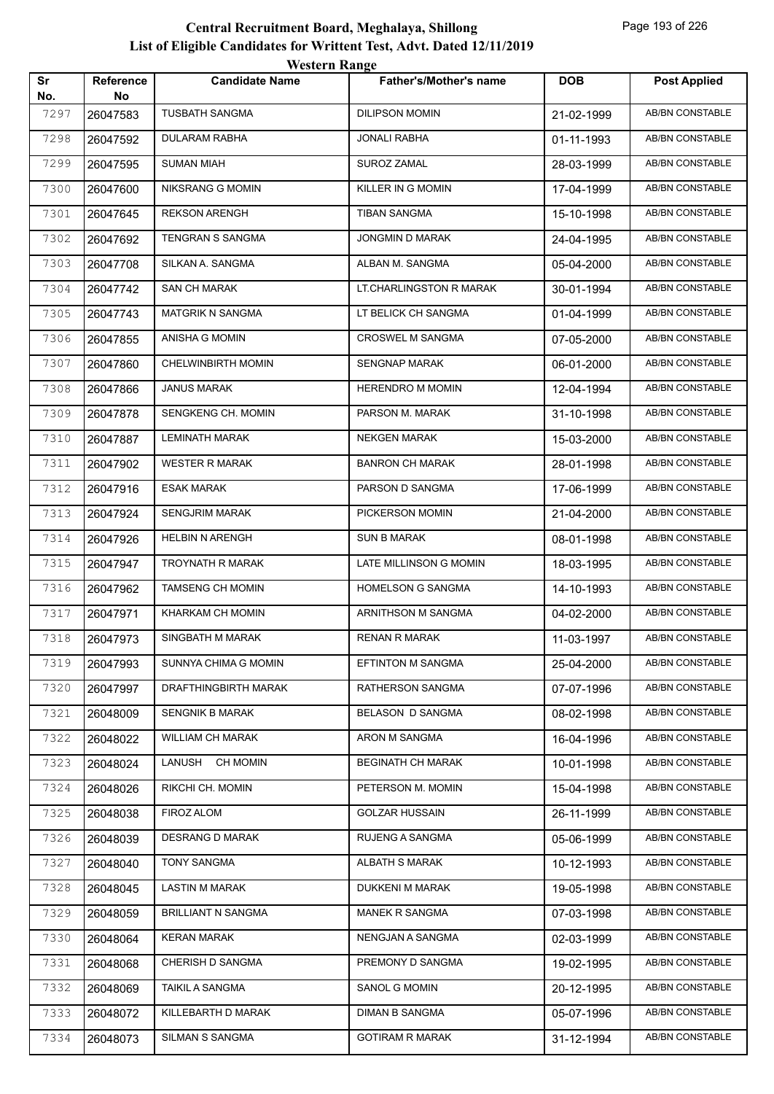| Sr          | Reference | <b>WESTER INANGE</b><br><b>Candidate Name</b> | Father's/Mother's name   | <b>DOB</b> | <b>Post Applied</b>    |
|-------------|-----------|-----------------------------------------------|--------------------------|------------|------------------------|
| No.<br>7297 | No        | <b>TUSBATH SANGMA</b>                         | <b>DILIPSON MOMIN</b>    |            | AB/BN CONSTABLE        |
|             | 26047583  |                                               | <b>JONALI RABHA</b>      | 21-02-1999 |                        |
| 7298        | 26047592  | DULARAM RABHA                                 |                          | 01-11-1993 | AB/BN CONSTABLE        |
| 7299        | 26047595  | SUMAN MIAH                                    | SUROZ ZAMAL              | 28-03-1999 | AB/BN CONSTABLE        |
| 7300        | 26047600  | NIKSRANG G MOMIN                              | KILLER IN G MOMIN        | 17-04-1999 | AB/BN CONSTABLE        |
| 7301        | 26047645  | <b>REKSON ARENGH</b>                          | TIBAN SANGMA             | 15-10-1998 | AB/BN CONSTABLE        |
| 7302        | 26047692  | TENGRAN S SANGMA                              | <b>JONGMIN D MARAK</b>   | 24-04-1995 | AB/BN CONSTABLE        |
| 7303        | 26047708  | SILKAN A. SANGMA                              | ALBAN M. SANGMA          | 05-04-2000 | AB/BN CONSTABLE        |
| 7304        | 26047742  | SAN CH MARAK                                  | LT.CHARLINGSTON R MARAK  | 30-01-1994 | AB/BN CONSTABLE        |
| 7305        | 26047743  | <b>MATGRIK N SANGMA</b>                       | LT BELICK CH SANGMA      | 01-04-1999 | AB/BN CONSTABLE        |
| 7306        | 26047855  | ANISHA G MOMIN                                | CROSWEL M SANGMA         | 07-05-2000 | AB/BN CONSTABLE        |
| 7307        | 26047860  | <b>CHELWINBIRTH MOMIN</b>                     | <b>SENGNAP MARAK</b>     | 06-01-2000 | AB/BN CONSTABLE        |
| 7308        | 26047866  | <b>JANUS MARAK</b>                            | <b>HERENDRO M MOMIN</b>  | 12-04-1994 | AB/BN CONSTABLE        |
| 7309        | 26047878  | SENGKENG CH. MOMIN                            | PARSON M. MARAK          | 31-10-1998 | AB/BN CONSTABLE        |
| 7310        | 26047887  | <b>LEMINATH MARAK</b>                         | <b>NEKGEN MARAK</b>      | 15-03-2000 | AB/BN CONSTABLE        |
| 7311        | 26047902  | <b>WESTER R MARAK</b>                         | <b>BANRON CH MARAK</b>   | 28-01-1998 | AB/BN CONSTABLE        |
| 7312        | 26047916  | ESAK MARAK                                    | PARSON D SANGMA          | 17-06-1999 | AB/BN CONSTABLE        |
| 7313        | 26047924  | <b>SENGJRIM MARAK</b>                         | PICKERSON MOMIN          | 21-04-2000 | AB/BN CONSTABLE        |
| 7314        | 26047926  | <b>HELBIN N ARENGH</b>                        | SUN B MARAK              | 08-01-1998 | AB/BN CONSTABLE        |
| 7315        | 26047947  | TROYNATH R MARAK                              | LATE MILLINSON G MOMIN   | 18-03-1995 | AB/BN CONSTABLE        |
| 7316        | 26047962  | <b>TAMSENG CH MOMIN</b>                       | HOMELSON G SANGMA        | 14-10-1993 | AB/BN CONSTABLE        |
| 7317        | 26047971  | KHARKAM CH MOMIN                              | ARNITHSON M SANGMA       | 04-02-2000 | AB/BN CONSTABLE        |
| 7318        | 26047973  | SINGBATH M MARAK                              | RENAN R MARAK            | 11-03-1997 | AB/BN CONSTABLE        |
| 7319        | 26047993  | SUNNYA CHIMA G MOMIN                          | <b>EFTINTON M SANGMA</b> | 25-04-2000 | <b>AB/BN CONSTABLE</b> |
| 7320        | 26047997  | DRAFTHINGBIRTH MARAK                          | RATHERSON SANGMA         | 07-07-1996 | AB/BN CONSTABLE        |
| 7321        | 26048009  | <b>SENGNIK B MARAK</b>                        | BELASON D SANGMA         | 08-02-1998 | AB/BN CONSTABLE        |
| 7322        | 26048022  | <b>WILLIAM CH MARAK</b>                       | ARON M SANGMA            | 16-04-1996 | AB/BN CONSTABLE        |
| 7323        | 26048024  | LANUSH CH MOMIN                               | <b>BEGINATH CH MARAK</b> | 10-01-1998 | AB/BN CONSTABLE        |
| 7324        | 26048026  | RIKCHI CH. MOMIN                              | PETERSON M. MOMIN        | 15-04-1998 | AB/BN CONSTABLE        |
| 7325        | 26048038  | FIROZ ALOM                                    | <b>GOLZAR HUSSAIN</b>    | 26-11-1999 | AB/BN CONSTABLE        |
| 7326        | 26048039  | <b>DESRANG D MARAK</b>                        | RUJENG A SANGMA          | 05-06-1999 | AB/BN CONSTABLE        |
| 7327        | 26048040  | <b>TONY SANGMA</b>                            | <b>ALBATH S MARAK</b>    | 10-12-1993 | AB/BN CONSTABLE        |
| 7328        | 26048045  | LASTIN M MARAK                                | DUKKENI M MARAK          | 19-05-1998 | AB/BN CONSTABLE        |
| 7329        | 26048059  | <b>BRILLIANT N SANGMA</b>                     | MANEK R SANGMA           | 07-03-1998 | AB/BN CONSTABLE        |
| 7330        | 26048064  | <b>KERAN MARAK</b>                            | NENGJAN A SANGMA         | 02-03-1999 | AB/BN CONSTABLE        |
| 7331        | 26048068  | <b>CHERISH D SANGMA</b>                       | PREMONY D SANGMA         | 19-02-1995 | AB/BN CONSTABLE        |
| 7332        | 26048069  | <b>TAIKIL A SANGMA</b>                        | SANOL G MOMIN            | 20-12-1995 | AB/BN CONSTABLE        |
| 7333        | 26048072  | KILLEBARTH D MARAK                            | DIMAN B SANGMA           | 05-07-1996 | AB/BN CONSTABLE        |
| 7334        | 26048073  | SILMAN S SANGMA                               | <b>GOTIRAM R MARAK</b>   | 31-12-1994 | AB/BN CONSTABLE        |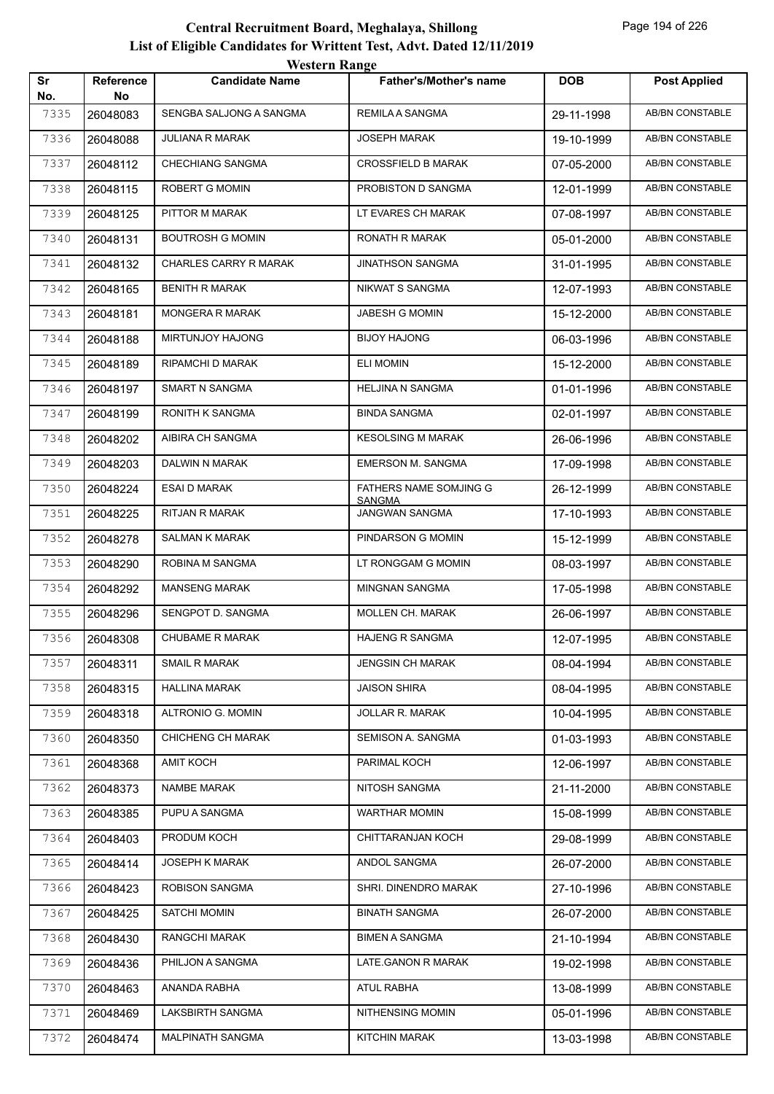| western Kange                                                                                        |                        |
|------------------------------------------------------------------------------------------------------|------------------------|
| Sr<br><b>DOB</b><br>Reference<br><b>Candidate Name</b><br><b>Father's/Mother's name</b><br>No.<br>No | <b>Post Applied</b>    |
| 7335<br>SENGBA SALJONG A SANGMA<br>REMILA A SANGMA<br>26048083<br>29-11-1998                         | <b>AB/BN CONSTABLE</b> |
| 7336<br><b>JOSEPH MARAK</b><br>JULIANA R MARAK<br>26048088<br>19-10-1999                             | <b>AB/BN CONSTABLE</b> |
| 7337<br>CHECHIANG SANGMA<br><b>CROSSFIELD B MARAK</b><br>26048112<br>07-05-2000                      | <b>AB/BN CONSTABLE</b> |
| 7338<br>26048115<br>ROBERT G MOMIN<br>PROBISTON D SANGMA<br>12-01-1999                               | AB/BN CONSTABLE        |
| 7339<br>PITTOR M MARAK<br>LT EVARES CH MARAK<br>26048125<br>07-08-1997                               | AB/BN CONSTABLE        |
| <b>BOUTROSH G MOMIN</b><br>RONATH R MARAK<br>7340<br>26048131<br>05-01-2000                          | AB/BN CONSTABLE        |
| CHARLES CARRY R MARAK<br><b>JINATHSON SANGMA</b><br>7341<br>26048132<br>31-01-1995                   | AB/BN CONSTABLE        |
| 7342<br><b>BENITH R MARAK</b><br>NIKWAT S SANGMA<br>26048165<br>12-07-1993                           | <b>AB/BN CONSTABLE</b> |
| <b>MONGERA R MARAK</b><br><b>JABESH G MOMIN</b><br>7343<br>26048181<br>15-12-2000                    | AB/BN CONSTABLE        |
| MIRTUNJOY HAJONG<br><b>BIJOY HAJONG</b><br>7344<br>26048188<br>06-03-1996                            | AB/BN CONSTABLE        |
| RIPAMCHI D MARAK<br><b>ELI MOMIN</b><br>7345<br>26048189<br>15-12-2000                               | AB/BN CONSTABLE        |
| SMART N SANGMA<br><b>HELJINA N SANGMA</b><br>7346<br>26048197<br>01-01-1996                          | <b>AB/BN CONSTABLE</b> |
| RONITH K SANGMA<br><b>BINDA SANGMA</b><br>7347<br>26048199<br>02-01-1997                             | AB/BN CONSTABLE        |
| 7348<br>AIBIRA CH SANGMA<br><b>KESOLSING M MARAK</b><br>26048202<br>26-06-1996                       | AB/BN CONSTABLE        |
| DALWIN N MARAK<br><b>EMERSON M. SANGMA</b><br>7349<br>26048203<br>17-09-1998                         | AB/BN CONSTABLE        |
| <b>ESAI D MARAK</b><br>FATHERS NAME SOMJING G<br>7350<br>26048224<br>26-12-1999                      | AB/BN CONSTABLE        |
| <b>SANGMA</b><br><b>JANGWAN SANGMA</b><br>RITJAN R MARAK<br>7351<br>26048225<br>17-10-1993           | <b>AB/BN CONSTABLE</b> |
| 7352<br><b>SALMAN K MARAK</b><br>PINDARSON G MOMIN<br>26048278<br>15-12-1999                         | AB/BN CONSTABLE        |
| 7353<br>ROBINA M SANGMA<br>LT RONGGAM G MOMIN<br>26048290<br>08-03-1997                              | AB/BN CONSTABLE        |
| 7354<br><b>MANSENG MARAK</b><br>MINGNAN SANGMA<br>26048292<br>17-05-1998                             | AB/BN CONSTABLE        |
| 7355<br>SENGPOT D. SANGMA<br>MOLLEN CH. MARAK<br>26048296<br>26-06-1997                              | AB/BN CONSTABLE        |
| 7356<br>CHUBAME R MARAK<br><b>HAJENG R SANGMA</b><br>26048308<br>12-07-1995                          | AB/BN CONSTABLE        |
| <b>JENGSIN CH MARAK</b><br>7357<br><b>SMAIL R MARAK</b><br>26048311<br>08-04-1994                    | AB/BN CONSTABLE        |
| <b>HALLINA MARAK</b><br><b>JAISON SHIRA</b><br>7358<br>26048315<br>08-04-1995                        | AB/BN CONSTABLE        |
| ALTRONIO G. MOMIN<br>JOLLAR R. MARAK<br>7359<br>26048318<br>10-04-1995                               | AB/BN CONSTABLE        |
| CHICHENG CH MARAK<br>SEMISON A. SANGMA<br>7360<br>01-03-1993<br>26048350                             | AB/BN CONSTABLE        |
| <b>AMIT KOCH</b><br>PARIMAL KOCH<br>7361<br>12-06-1997<br>26048368                                   | AB/BN CONSTABLE        |
| NAMBE MARAK<br>NITOSH SANGMA<br>7362<br>26048373<br>21-11-2000                                       | AB/BN CONSTABLE        |
| PUPU A SANGMA<br><b>WARTHAR MOMIN</b><br>7363<br>26048385<br>15-08-1999                              | AB/BN CONSTABLE        |
| 7364<br>PRODUM KOCH<br>CHITTARANJAN KOCH<br>29-08-1999<br>26048403                                   | AB/BN CONSTABLE        |
| JOSEPH K MARAK<br>ANDOL SANGMA<br>7365<br>26048414<br>26-07-2000                                     | AB/BN CONSTABLE        |
| ROBISON SANGMA<br>7366<br>26048423<br>SHRI. DINENDRO MARAK<br>27-10-1996                             | AB/BN CONSTABLE        |
| <b>SATCHI MOMIN</b><br>7367<br><b>BINATH SANGMA</b><br>26048425<br>26-07-2000                        | AB/BN CONSTABLE        |
| RANGCHI MARAK<br><b>BIMEN A SANGMA</b><br>7368<br>26048430<br>21-10-1994                             | AB/BN CONSTABLE        |
| PHILJON A SANGMA<br>LATE.GANON R MARAK<br>7369<br>26048436<br>19-02-1998                             | AB/BN CONSTABLE        |
| ANANDA RABHA<br><b>ATUL RABHA</b><br>7370<br>13-08-1999<br>26048463                                  | AB/BN CONSTABLE        |
|                                                                                                      |                        |
| LAKSBIRTH SANGMA<br>NITHENSING MOMIN<br>7371<br>05-01-1996<br>26048469                               | AB/BN CONSTABLE        |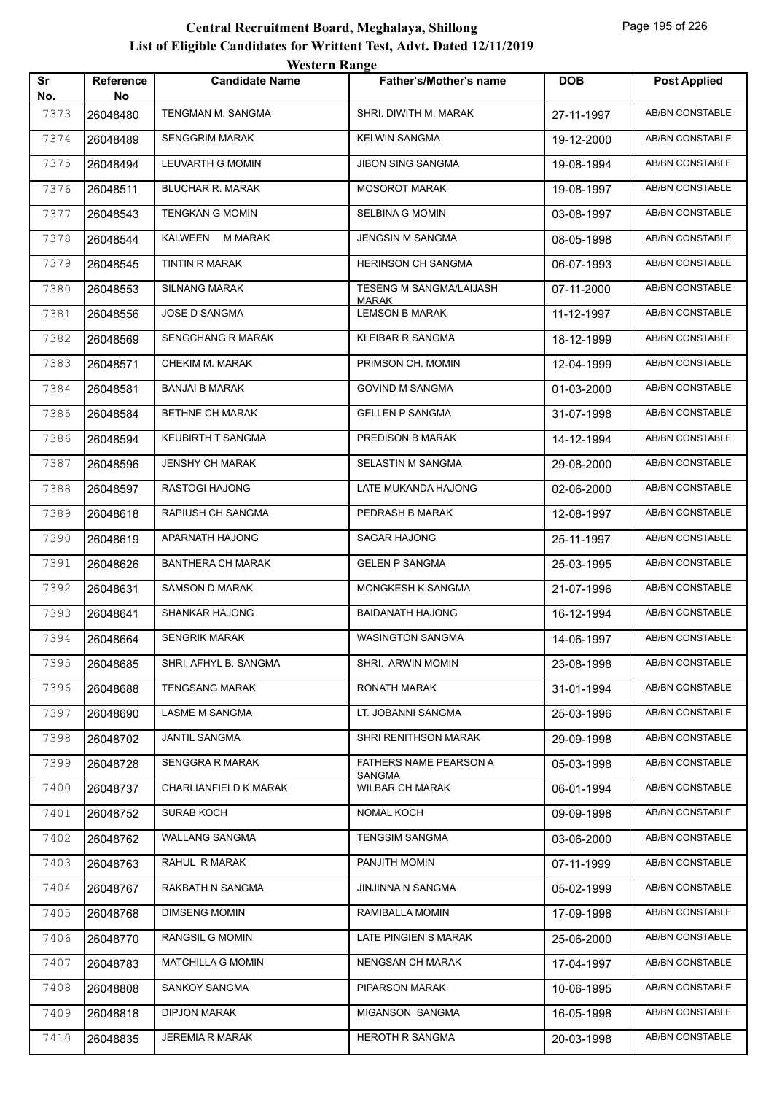|           |                        | western Range            |                                       |            |                        |
|-----------|------------------------|--------------------------|---------------------------------------|------------|------------------------|
| Sr<br>No. | <b>Reference</b><br>No | <b>Candidate Name</b>    | <b>Father's/Mother's name</b>         | <b>DOB</b> | <b>Post Applied</b>    |
| 7373      | 26048480               | TENGMAN M. SANGMA        | SHRI. DIWITH M. MARAK                 | 27-11-1997 | AB/BN CONSTABLE        |
| 7374      | 26048489               | <b>SENGGRIM MARAK</b>    | <b>KELWIN SANGMA</b>                  | 19-12-2000 | AB/BN CONSTABLE        |
| 7375      | 26048494               | LEUVARTH G MOMIN         | <b>JIBON SING SANGMA</b>              | 19-08-1994 | AB/BN CONSTABLE        |
| 7376      | 26048511               | <b>BLUCHAR R. MARAK</b>  | <b>MOSOROT MARAK</b>                  | 19-08-1997 | <b>AB/BN CONSTABLE</b> |
| 7377      | 26048543               | <b>TENGKAN G MOMIN</b>   | <b>SELBINA G MOMIN</b>                | 03-08-1997 | AB/BN CONSTABLE        |
| 7378      | 26048544               | KALWEEN M MARAK          | <b>JENGSIN M SANGMA</b>               | 08-05-1998 | AB/BN CONSTABLE        |
| 7379      | 26048545               | <b>TINTIN R MARAK</b>    | HERINSON CH SANGMA                    | 06-07-1993 | <b>AB/BN CONSTABLE</b> |
| 7380      | 26048553               | <b>SILNANG MARAK</b>     | TESENG M SANGMA/LAIJASH               | 07-11-2000 | AB/BN CONSTABLE        |
| 7381      | 26048556               | <b>JOSE D SANGMA</b>     | <b>MARAK</b><br><b>LEMSON B MARAK</b> | 11-12-1997 | <b>AB/BN CONSTABLE</b> |
| 7382      | 26048569               | SENGCHANG R MARAK        | <b>KLEIBAR R SANGMA</b>               | 18-12-1999 | AB/BN CONSTABLE        |
| 7383      | 26048571               | CHEKIM M. MARAK          | PRIMSON CH. MOMIN                     | 12-04-1999 | AB/BN CONSTABLE        |
| 7384      | 26048581               | <b>BANJAI B MARAK</b>    | <b>GOVIND M SANGMA</b>                | 01-03-2000 | <b>AB/BN CONSTABLE</b> |
| 7385      | 26048584               | BETHNE CH MARAK          | <b>GELLEN P SANGMA</b>                | 31-07-1998 | AB/BN CONSTABLE        |
| 7386      | 26048594               | <b>KEUBIRTH T SANGMA</b> | PREDISON B MARAK                      | 14-12-1994 | <b>AB/BN CONSTABLE</b> |
| 7387      | 26048596               | <b>JENSHY CH MARAK</b>   | SELASTIN M SANGMA                     | 29-08-2000 | AB/BN CONSTABLE        |
| 7388      | 26048597               | RASTOGI HAJONG           | LATE MUKANDA HAJONG                   | 02-06-2000 | AB/BN CONSTABLE        |
| 7389      | 26048618               | RAPIUSH CH SANGMA        | PEDRASH B MARAK                       | 12-08-1997 | AB/BN CONSTABLE        |
| 7390      | 26048619               | APARNATH HAJONG          | SAGAR HAJONG                          | 25-11-1997 | AB/BN CONSTABLE        |
| 7391      | 26048626               | <b>BANTHERA CH MARAK</b> | <b>GELEN P SANGMA</b>                 | 25-03-1995 | <b>AB/BN CONSTABLE</b> |
| 7392      | 26048631               | <b>SAMSON D.MARAK</b>    | MONGKESH K.SANGMA                     | 21-07-1996 | AB/BN CONSTABLE        |
| 7393      | 26048641               | <b>SHANKAR HAJONG</b>    | <b>BAIDANATH HAJONG</b>               | 16-12-1994 | AB/BN CONSTABLE        |
| 7394      | 26048664               | <b>SENGRIK MARAK</b>     | <b>WASINGTON SANGMA</b>               | 14-06-1997 | AB/BN CONSTABLE        |
| 7395      | 26048685               | SHRI, AFHYL B. SANGMA    | SHRI. ARWIN MOMIN                     | 23-08-1998 | AB/BN CONSTABLE        |
| 7396      | 26048688               | <b>TENGSANG MARAK</b>    | RONATH MARAK                          | 31-01-1994 | AB/BN CONSTABLE        |
| 7397      | 26048690               | LASME M SANGMA           | LT. JOBANNI SANGMA                    | 25-03-1996 | AB/BN CONSTABLE        |
| 7398      | 26048702               | <b>JANTIL SANGMA</b>     | SHRI RENITHSON MARAK                  | 29-09-1998 | AB/BN CONSTABLE        |
| 7399      | 26048728               | SENGGRA R MARAK          | FATHERS NAME PEARSON A                | 05-03-1998 | AB/BN CONSTABLE        |
| 7400      | 26048737               | CHARLIANFIELD K MARAK    | <b>SANGMA</b><br>WILBAR CH MARAK      | 06-01-1994 | AB/BN CONSTABLE        |
| 7401      | 26048752               | <b>SURAB KOCH</b>        | NOMAL KOCH                            | 09-09-1998 | AB/BN CONSTABLE        |
| 7402      | 26048762               | WALLANG SANGMA           | <b>TENGSIM SANGMA</b>                 | 03-06-2000 | AB/BN CONSTABLE        |
| 7403      | 26048763               | RAHUL R MARAK            | PANJITH MOMIN                         | 07-11-1999 | AB/BN CONSTABLE        |
| 7404      | 26048767               | RAKBATH N SANGMA         | JINJINNA N SANGMA                     | 05-02-1999 | AB/BN CONSTABLE        |
| 7405      | 26048768               | <b>DIMSENG MOMIN</b>     | RAMIBALLA MOMIN                       | 17-09-1998 | AB/BN CONSTABLE        |
| 7406      | 26048770               | <b>RANGSIL G MOMIN</b>   | LATE PINGIEN S MARAK                  | 25-06-2000 | AB/BN CONSTABLE        |
| 7407      | 26048783               | <b>MATCHILLA G MOMIN</b> | NENGSAN CH MARAK                      | 17-04-1997 | AB/BN CONSTABLE        |
| 7408      | 26048808               | SANKOY SANGMA            | PIPARSON MARAK                        | 10-06-1995 | AB/BN CONSTABLE        |
| 7409      | 26048818               | <b>DIPJON MARAK</b>      | MIGANSON SANGMA                       | 16-05-1998 | AB/BN CONSTABLE        |
| 7410      | 26048835               | JEREMIA R MARAK          | <b>HEROTH R SANGMA</b>                | 20-03-1998 | AB/BN CONSTABLE        |
|           |                        |                          |                                       |            |                        |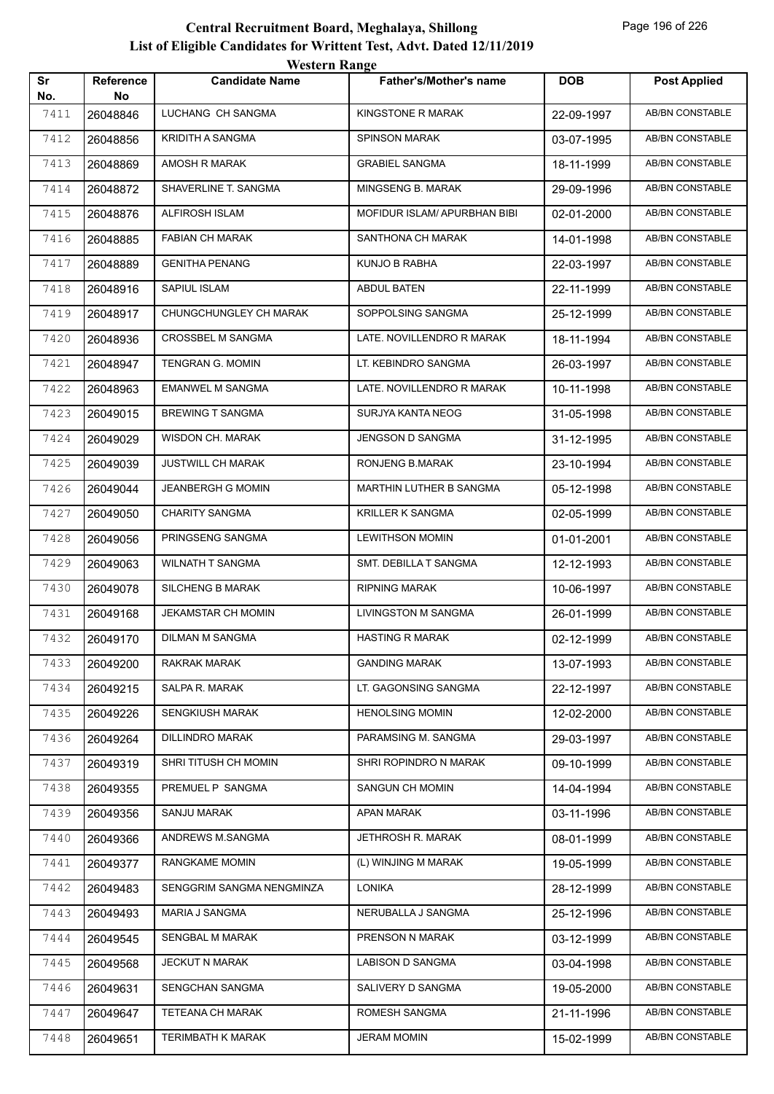| Sr   | <b>Reference</b> | <b>Western Range</b><br><b>Candidate Name</b> | <b>Father's/Mother's name</b> | <b>DOB</b> | <b>Post Applied</b>    |
|------|------------------|-----------------------------------------------|-------------------------------|------------|------------------------|
| No.  | No               |                                               |                               |            |                        |
| 7411 | 26048846         | LUCHANG CH SANGMA                             | KINGSTONE R MARAK             | 22-09-1997 | <b>AB/BN CONSTABLE</b> |
| 7412 | 26048856         | <b>KRIDITH A SANGMA</b>                       | <b>SPINSON MARAK</b>          | 03-07-1995 | <b>AB/BN CONSTABLE</b> |
| 7413 | 26048869         | AMOSH R MARAK                                 | <b>GRABIEL SANGMA</b>         | 18-11-1999 | <b>AB/BN CONSTABLE</b> |
| 7414 | 26048872         | SHAVERLINE T. SANGMA                          | MINGSENG B. MARAK             | 29-09-1996 | <b>AB/BN CONSTABLE</b> |
| 7415 | 26048876         | <b>ALFIROSH ISLAM</b>                         | MOFIDUR ISLAM/ APURBHAN BIBI  | 02-01-2000 | AB/BN CONSTABLE        |
| 7416 | 26048885         | <b>FABIAN CH MARAK</b>                        | SANTHONA CH MARAK             | 14-01-1998 | AB/BN CONSTABLE        |
| 7417 | 26048889         | <b>GENITHA PENANG</b>                         | KUNJO B RABHA                 | 22-03-1997 | AB/BN CONSTABLE        |
| 7418 | 26048916         | SAPIUL ISLAM                                  | <b>ABDUL BATEN</b>            | 22-11-1999 | <b>AB/BN CONSTABLE</b> |
| 7419 | 26048917         | CHUNGCHUNGLEY CH MARAK                        | SOPPOLSING SANGMA             | 25-12-1999 | <b>AB/BN CONSTABLE</b> |
| 7420 | 26048936         | <b>CROSSBEL M SANGMA</b>                      | LATE. NOVILLENDRO R MARAK     | 18-11-1994 | <b>AB/BN CONSTABLE</b> |
| 7421 | 26048947         | <b>TENGRAN G. MOMIN</b>                       | LT. KEBINDRO SANGMA           | 26-03-1997 | AB/BN CONSTABLE        |
| 7422 | 26048963         | <b>EMANWEL M SANGMA</b>                       | LATE. NOVILLENDRO R MARAK     | 10-11-1998 | AB/BN CONSTABLE        |
| 7423 | 26049015         | <b>BREWING T SANGMA</b>                       | SURJYA KANTA NEOG             | 31-05-1998 | AB/BN CONSTABLE        |
| 7424 | 26049029         | WISDON CH. MARAK                              | JENGSON D SANGMA              | 31-12-1995 | <b>AB/BN CONSTABLE</b> |
| 7425 | 26049039         | <b>JUSTWILL CH MARAK</b>                      | RONJENG B.MARAK               | 23-10-1994 | AB/BN CONSTABLE        |
| 7426 | 26049044         | <b>JEANBERGH G MOMIN</b>                      | MARTHIN LUTHER B SANGMA       | 05-12-1998 | <b>AB/BN CONSTABLE</b> |
| 7427 | 26049050         | <b>CHARITY SANGMA</b>                         | <b>KRILLER K SANGMA</b>       | 02-05-1999 | AB/BN CONSTABLE        |
| 7428 | 26049056         | PRINGSENG SANGMA                              | <b>LEWITHSON MOMIN</b>        | 01-01-2001 | <b>AB/BN CONSTABLE</b> |
| 7429 | 26049063         | <b>WILNATH T SANGMA</b>                       | SMT. DEBILLA T SANGMA         | 12-12-1993 | <b>AB/BN CONSTABLE</b> |
| 7430 | 26049078         | <b>SILCHENG B MARAK</b>                       | <b>RIPNING MARAK</b>          | 10-06-1997 | <b>AB/BN CONSTABLE</b> |
| 7431 | 26049168         | <b>JEKAMSTAR CH MOMIN</b>                     | LIVINGSTON M SANGMA           | 26-01-1999 | AB/BN CONSTABLE        |
| 7432 | 26049170         | DILMAN M SANGMA                               | <b>HASTING R MARAK</b>        | 02-12-1999 | AB/BN CONSTABLE        |
| 7433 | 26049200         | RAKRAK MARAK                                  | <b>GANDING MARAK</b>          | 13-07-1993 | AB/BN CONSTABLE        |
| 7434 | 26049215         | SALPA R. MARAK                                | LT. GAGONSING SANGMA          | 22-12-1997 | AB/BN CONSTABLE        |
| 7435 | 26049226         | <b>SENGKIUSH MARAK</b>                        | <b>HENOLSING MOMIN</b>        | 12-02-2000 | AB/BN CONSTABLE        |
| 7436 | 26049264         | <b>DILLINDRO MARAK</b>                        | PARAMSING M. SANGMA           | 29-03-1997 | AB/BN CONSTABLE        |
| 7437 | 26049319         | SHRI TITUSH CH MOMIN                          | SHRI ROPINDRO N MARAK         | 09-10-1999 | AB/BN CONSTABLE        |
| 7438 | 26049355         | PREMUEL P SANGMA                              | SANGUN CH MOMIN               | 14-04-1994 | AB/BN CONSTABLE        |
| 7439 | 26049356         | SANJU MARAK                                   | APAN MARAK                    | 03-11-1996 | AB/BN CONSTABLE        |
| 7440 | 26049366         | ANDREWS M.SANGMA                              | JETHROSH R. MARAK             | 08-01-1999 | AB/BN CONSTABLE        |
| 7441 | 26049377         | RANGKAME MOMIN                                | (L) WINJING M MARAK           | 19-05-1999 | AB/BN CONSTABLE        |
| 7442 | 26049483         | SENGGRIM SANGMA NENGMINZA                     | LONIKA                        | 28-12-1999 | AB/BN CONSTABLE        |
| 7443 | 26049493         | MARIA J SANGMA                                | NERUBALLA J SANGMA            | 25-12-1996 | AB/BN CONSTABLE        |
| 7444 | 26049545         | SENGBAL M MARAK                               | PRENSON N MARAK               | 03-12-1999 | AB/BN CONSTABLE        |
| 7445 | 26049568         | <b>JECKUT N MARAK</b>                         | LABISON D SANGMA              | 03-04-1998 | AB/BN CONSTABLE        |
| 7446 | 26049631         | SENGCHAN SANGMA                               | SALIVERY D SANGMA             | 19-05-2000 | AB/BN CONSTABLE        |
| 7447 | 26049647         | TETEANA CH MARAK                              | ROMESH SANGMA                 | 21-11-1996 | AB/BN CONSTABLE        |
| 7448 | 26049651         | <b>TERIMBATH K MARAK</b>                      | <b>JERAM MOMIN</b>            | 15-02-1999 | AB/BN CONSTABLE        |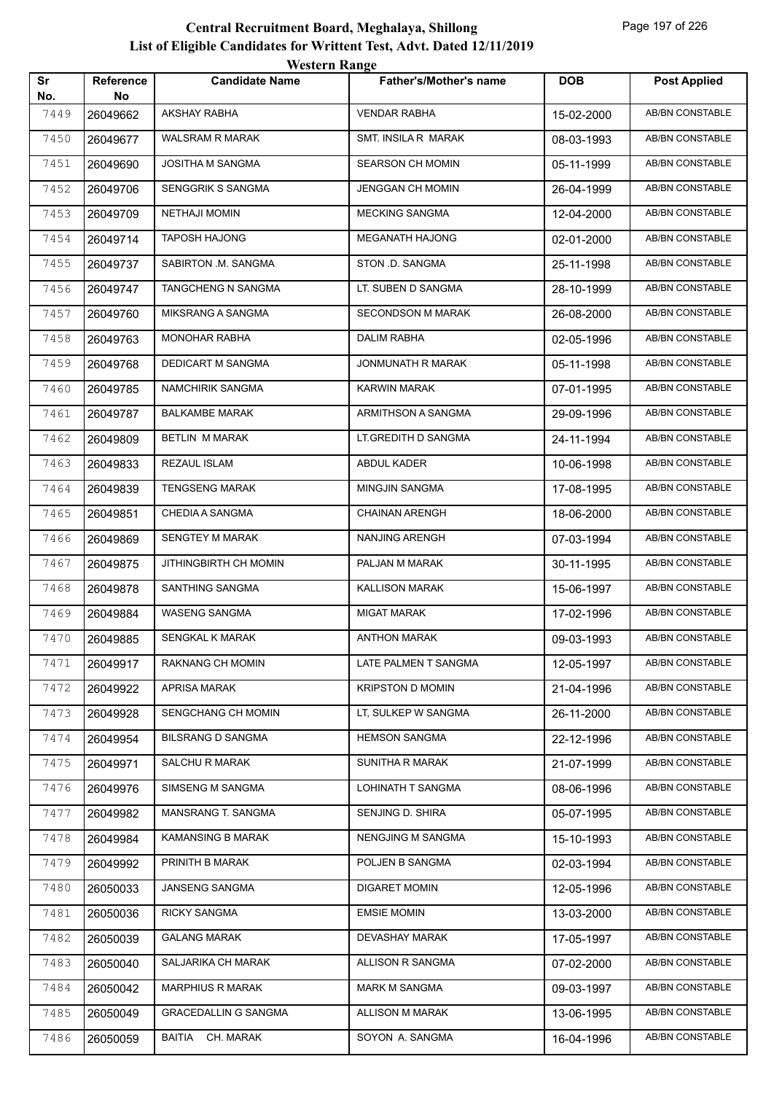| Sr          | Reference      | <b>WESTER INANGE</b><br><b>Candidate Name</b> | <b>Father's/Mother's name</b> | <b>DOB</b> | <b>Post Applied</b>    |
|-------------|----------------|-----------------------------------------------|-------------------------------|------------|------------------------|
| No.<br>7449 | No<br>26049662 | <b>AKSHAY RABHA</b>                           | <b>VENDAR RABHA</b>           | 15-02-2000 | AB/BN CONSTABLE        |
| 7450        | 26049677       | <b>WALSRAM R MARAK</b>                        | SMT. INSILA R MARAK           | 08-03-1993 | AB/BN CONSTABLE        |
| 7451        | 26049690       | JOSITHA M SANGMA                              | <b>SEARSON CH MOMIN</b>       | 05-11-1999 | AB/BN CONSTABLE        |
| 7452        | 26049706       | SENGGRIK S SANGMA                             | <b>JENGGAN CH MOMIN</b>       | 26-04-1999 | AB/BN CONSTABLE        |
| 7453        | 26049709       | <b>NETHAJI MOMIN</b>                          | <b>MECKING SANGMA</b>         | 12-04-2000 | AB/BN CONSTABLE        |
| 7454        | 26049714       | <b>TAPOSH HAJONG</b>                          | <b>MEGANATH HAJONG</b>        | 02-01-2000 | AB/BN CONSTABLE        |
| 7455        | 26049737       | SABIRTON .M. SANGMA                           | STON .D. SANGMA               | 25-11-1998 | AB/BN CONSTABLE        |
| 7456        | 26049747       | TANGCHENG N SANGMA                            | LT. SUBEN D SANGMA            | 28-10-1999 | AB/BN CONSTABLE        |
| 7457        | 26049760       | MIKSRANG A SANGMA                             | <b>SECONDSON M MARAK</b>      | 26-08-2000 | AB/BN CONSTABLE        |
| 7458        |                | <b>MONOHAR RABHA</b>                          | <b>DALIM RABHA</b>            |            | AB/BN CONSTABLE        |
|             | 26049763       | <b>DEDICART M SANGMA</b>                      | JONMUNATH R MARAK             | 02-05-1996 |                        |
| 7459        | 26049768       |                                               |                               | 05-11-1998 | <b>AB/BN CONSTABLE</b> |
| 7460        | 26049785       | <b>NAMCHIRIK SANGMA</b>                       | KARWIN MARAK                  | 07-01-1995 | AB/BN CONSTABLE        |
| 7461        | 26049787       | <b>BALKAMBE MARAK</b>                         | ARMITHSON A SANGMA            | 29-09-1996 | <b>AB/BN CONSTABLE</b> |
| 7462        | 26049809       | BETLIN M MARAK                                | LT.GREDITH D SANGMA           | 24-11-1994 | AB/BN CONSTABLE        |
| 7463        | 26049833       | REZAUL ISLAM                                  | ABDUL KADER                   | 10-06-1998 | AB/BN CONSTABLE        |
| 7464        | 26049839       | TENGSENG MARAK                                | <b>MINGJIN SANGMA</b>         | 17-08-1995 | AB/BN CONSTABLE        |
| 7465        | 26049851       | CHEDIA A SANGMA                               | <b>CHAINAN ARENGH</b>         | 18-06-2000 | AB/BN CONSTABLE        |
| 7466        | 26049869       | SENGTEY M MARAK                               | NANJING ARENGH                | 07-03-1994 | AB/BN CONSTABLE        |
| 7467        | 26049875       | JITHINGBIRTH CH MOMIN                         | PALJAN M MARAK                | 30-11-1995 | AB/BN CONSTABLE        |
| 7468        | 26049878       | SANTHING SANGMA                               | <b>KALLISON MARAK</b>         | 15-06-1997 | AB/BN CONSTABLE        |
| 7469        | 26049884       | <b>WASENG SANGMA</b>                          | MIGAT MARAK                   | 17-02-1996 | AB/BN CONSTABLE        |
| 7470        | 26049885       | SENGKAL K MARAK                               | <b>ANTHON MARAK</b>           | 09-03-1993 | AB/BN CONSTABLE        |
| 7471        | 26049917       | RAKNANG CH MOMIN                              | LATE PALMEN T SANGMA          | 12-05-1997 | AB/BN CONSTABLE        |
| 7472        | 26049922       | <b>APRISA MARAK</b>                           | <b>KRIPSTON D MOMIN</b>       | 21-04-1996 | AB/BN CONSTABLE        |
| 7473        | 26049928       | SENGCHANG CH MOMIN                            | LT, SULKEP W SANGMA           | 26-11-2000 | AB/BN CONSTABLE        |
| 7474        | 26049954       | <b>BILSRANG D SANGMA</b>                      | <b>HEMSON SANGMA</b>          | 22-12-1996 | AB/BN CONSTABLE        |
| 7475        | 26049971       | SALCHU R MARAK                                | SUNITHA R MARAK               | 21-07-1999 | AB/BN CONSTABLE        |
| 7476        | 26049976       | SIMSENG M SANGMA                              | LOHINATH T SANGMA             | 08-06-1996 | AB/BN CONSTABLE        |
| 7477        | 26049982       | MANSRANG T. SANGMA                            | SENJING D. SHIRA              | 05-07-1995 | AB/BN CONSTABLE        |
| 7478        | 26049984       | KAMANSING B MARAK                             | NENGJING M SANGMA             | 15-10-1993 | AB/BN CONSTABLE        |
| 7479        | 26049992       | PRINITH B MARAK                               | POLJEN B SANGMA               | 02-03-1994 | AB/BN CONSTABLE        |
| 7480        | 26050033       | JANSENG SANGMA                                | <b>DIGARET MOMIN</b>          | 12-05-1996 | AB/BN CONSTABLE        |
| 7481        | 26050036       | <b>RICKY SANGMA</b>                           | <b>EMSIE MOMIN</b>            | 13-03-2000 | AB/BN CONSTABLE        |
| 7482        | 26050039       | <b>GALANG MARAK</b>                           | DEVASHAY MARAK                | 17-05-1997 | AB/BN CONSTABLE        |
| 7483        | 26050040       | SALJARIKA CH MARAK                            | ALLISON R SANGMA              | 07-02-2000 | AB/BN CONSTABLE        |
| 7484        | 26050042       | <b>MARPHIUS R MARAK</b>                       | <b>MARK M SANGMA</b>          | 09-03-1997 | AB/BN CONSTABLE        |
| 7485        | 26050049       | <b>GRACEDALLIN G SANGMA</b>                   | ALLISON M MARAK               | 13-06-1995 | AB/BN CONSTABLE        |
| 7486        | 26050059       | BAITIA CH. MARAK                              | SOYON A. SANGMA               | 16-04-1996 | AB/BN CONSTABLE        |
|             |                |                                               |                               |            |                        |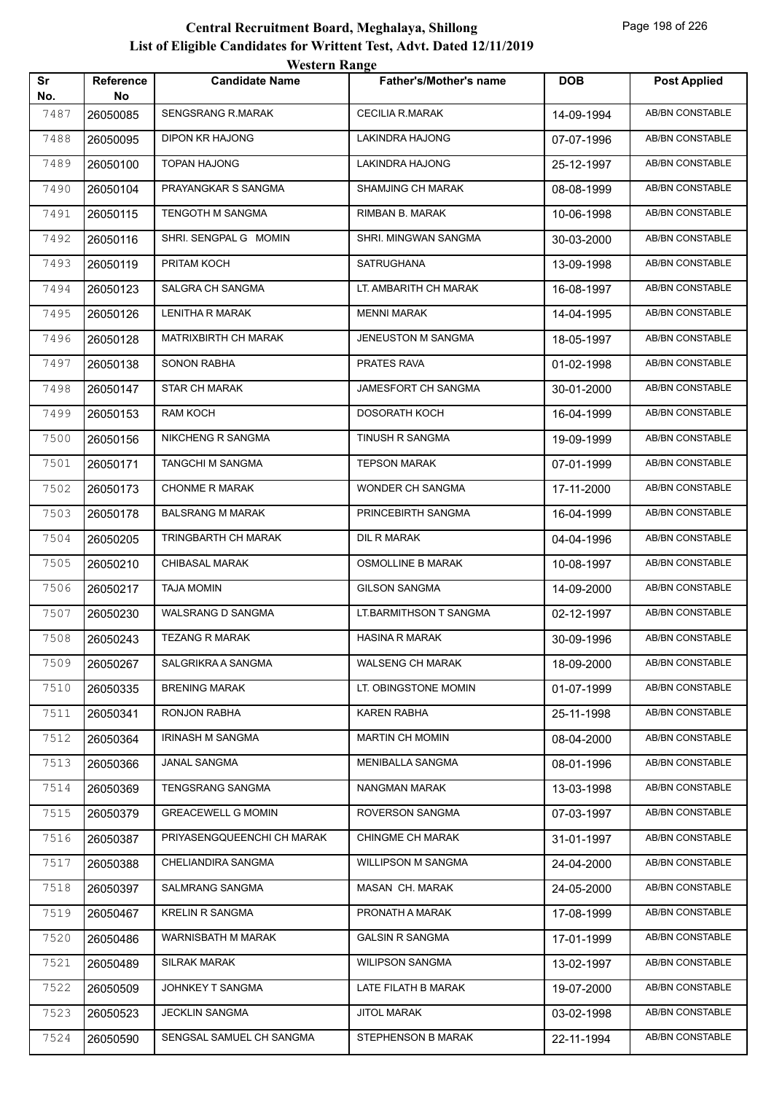|           |                        | western Range               |                               |            |                        |
|-----------|------------------------|-----------------------------|-------------------------------|------------|------------------------|
| Sr<br>No. | <b>Reference</b><br>No | <b>Candidate Name</b>       | <b>Father's/Mother's name</b> | <b>DOB</b> | <b>Post Applied</b>    |
| 7487      | 26050085               | <b>SENGSRANG R.MARAK</b>    | <b>CECILIA R.MARAK</b>        | 14-09-1994 | AB/BN CONSTABLE        |
| 7488      | 26050095               | <b>DIPON KR HAJONG</b>      | <b>LAKINDRA HAJONG</b>        | 07-07-1996 | AB/BN CONSTABLE        |
| 7489      | 26050100               | <b>TOPAN HAJONG</b>         | LAKINDRA HAJONG               | 25-12-1997 | AB/BN CONSTABLE        |
| 7490      | 26050104               | PRAYANGKAR S SANGMA         | <b>SHAMJING CH MARAK</b>      | 08-08-1999 | <b>AB/BN CONSTABLE</b> |
| 7491      | 26050115               | TENGOTH M SANGMA            | RIMBAN B. MARAK               | 10-06-1998 | AB/BN CONSTABLE        |
| 7492      | 26050116               | SHRI. SENGPAL G MOMIN       | SHRI. MINGWAN SANGMA          | 30-03-2000 | AB/BN CONSTABLE        |
| 7493      | 26050119               | PRITAM KOCH                 | <b>SATRUGHANA</b>             | 13-09-1998 | AB/BN CONSTABLE        |
| 7494      | 26050123               | SALGRA CH SANGMA            | LT. AMBARITH CH MARAK         | 16-08-1997 | AB/BN CONSTABLE        |
| 7495      | 26050126               | LENITHA R MARAK             | <b>MENNI MARAK</b>            | 14-04-1995 | AB/BN CONSTABLE        |
| 7496      | 26050128               | <b>MATRIXBIRTH CH MARAK</b> | JENEUSTON M SANGMA            | 18-05-1997 | AB/BN CONSTABLE        |
| 7497      | 26050138               | <b>SONON RABHA</b>          | PRATES RAVA                   | 01-02-1998 | AB/BN CONSTABLE        |
| 7498      | 26050147               | <b>STAR CH MARAK</b>        | JAMESFORT CH SANGMA           | 30-01-2000 | <b>AB/BN CONSTABLE</b> |
| 7499      | 26050153               | RAM KOCH                    | <b>DOSORATH KOCH</b>          | 16-04-1999 | <b>AB/BN CONSTABLE</b> |
| 7500      | 26050156               | NIKCHENG R SANGMA           | <b>TINUSH R SANGMA</b>        | 19-09-1999 | AB/BN CONSTABLE        |
| 7501      | 26050171               | TANGCHI M SANGMA            | <b>TEPSON MARAK</b>           | 07-01-1999 | AB/BN CONSTABLE        |
| 7502      | 26050173               | <b>CHONME R MARAK</b>       | WONDER CH SANGMA              | 17-11-2000 | AB/BN CONSTABLE        |
| 7503      | 26050178               | <b>BALSRANG M MARAK</b>     | PRINCEBIRTH SANGMA            | 16-04-1999 | AB/BN CONSTABLE        |
| 7504      | 26050205               | TRINGBARTH CH MARAK         | DIL R MARAK                   | 04-04-1996 | AB/BN CONSTABLE        |
| 7505      | 26050210               | <b>CHIBASAL MARAK</b>       | <b>OSMOLLINE B MARAK</b>      | 10-08-1997 | <b>AB/BN CONSTABLE</b> |
| 7506      | 26050217               | <b>TAJA MOMIN</b>           | <b>GILSON SANGMA</b>          | 14-09-2000 | AB/BN CONSTABLE        |
| 7507      | 26050230               | WALSRANG D SANGMA           | LT.BARMITHSON T SANGMA        | 02-12-1997 | AB/BN CONSTABLE        |
| 7508      | 26050243               | <b>TEZANG R MARAK</b>       | <b>HASINA R MARAK</b>         | 30-09-1996 | AB/BN CONSTABLE        |
| 7509      | 26050267               | SALGRIKRA A SANGMA          | <b>WALSENG CH MARAK</b>       | 18-09-2000 | AB/BN CONSTABLE        |
| 7510      | 26050335               | <b>BRENING MARAK</b>        | LT. OBINGSTONE MOMIN          | 01-07-1999 | AB/BN CONSTABLE        |
| 7511      | 26050341               | RONJON RABHA                | KAREN RABHA                   | 25-11-1998 | AB/BN CONSTABLE        |
| 7512      | 26050364               | <b>IRINASH M SANGMA</b>     | <b>MARTIN CH MOMIN</b>        | 08-04-2000 | AB/BN CONSTABLE        |
| 7513      | 26050366               | JANAL SANGMA                | MENIBALLA SANGMA              | 08-01-1996 | AB/BN CONSTABLE        |
| 7514      | 26050369               | <b>TENGSRANG SANGMA</b>     | NANGMAN MARAK                 | 13-03-1998 | AB/BN CONSTABLE        |
| 7515      | 26050379               | <b>GREACEWELL G MOMIN</b>   | ROVERSON SANGMA               | 07-03-1997 | AB/BN CONSTABLE        |
| 7516      | 26050387               | PRIYASENGQUEENCHI CH MARAK  | <b>CHINGME CH MARAK</b>       | 31-01-1997 | AB/BN CONSTABLE        |
| 7517      | 26050388               | CHELIANDIRA SANGMA          | <b>WILLIPSON M SANGMA</b>     | 24-04-2000 | AB/BN CONSTABLE        |
| 7518      | 26050397               | SALMRANG SANGMA             | MASAN CH. MARAK               | 24-05-2000 | AB/BN CONSTABLE        |
| 7519      | 26050467               | KRELIN R SANGMA             | PRONATH A MARAK               | 17-08-1999 | AB/BN CONSTABLE        |
| 7520      | 26050486               | WARNISBATH M MARAK          | <b>GALSIN R SANGMA</b>        | 17-01-1999 | AB/BN CONSTABLE        |
| 7521      | 26050489               | SILRAK MARAK                | <b>WILIPSON SANGMA</b>        | 13-02-1997 | AB/BN CONSTABLE        |
| 7522      | 26050509               | JOHNKEY T SANGMA            | LATE FILATH B MARAK           | 19-07-2000 | AB/BN CONSTABLE        |
| 7523      | 26050523               | <b>JECKLIN SANGMA</b>       | <b>JITOL MARAK</b>            | 03-02-1998 | AB/BN CONSTABLE        |
| 7524      | 26050590               | SENGSAL SAMUEL CH SANGMA    | STEPHENSON B MARAK            | 22-11-1994 | AB/BN CONSTABLE        |
|           |                        |                             |                               |            |                        |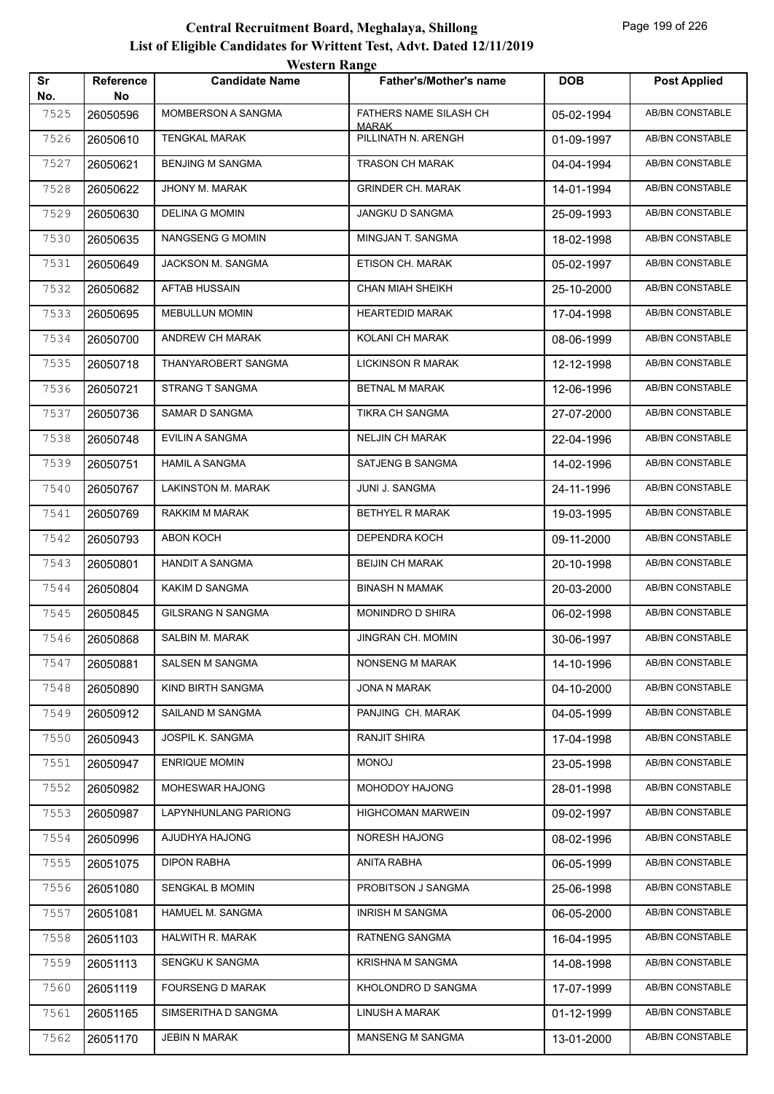|           |                        | <b>Western Range</b>     |                                        |            |                        |
|-----------|------------------------|--------------------------|----------------------------------------|------------|------------------------|
| Sr<br>No. | <b>Reference</b><br>No | <b>Candidate Name</b>    | <b>Father's/Mother's name</b>          | <b>DOB</b> | <b>Post Applied</b>    |
| 7525      | 26050596               | MOMBERSON A SANGMA       | FATHERS NAME SILASH CH<br><b>MARAK</b> | 05-02-1994 | <b>AB/BN CONSTABLE</b> |
| 7526      | 26050610               | <b>TENGKAL MARAK</b>     | PILLINATH N. ARENGH                    | 01-09-1997 | <b>AB/BN CONSTABLE</b> |
| 7527      | 26050621               | BENJING M SANGMA         | <b>TRASON CH MARAK</b>                 | 04-04-1994 | <b>AB/BN CONSTABLE</b> |
| 7528      | 26050622               | JHONY M. MARAK           | <b>GRINDER CH. MARAK</b>               | 14-01-1994 | <b>AB/BN CONSTABLE</b> |
| 7529      | 26050630               | <b>DELINA G MOMIN</b>    | JANGKU D SANGMA                        | 25-09-1993 | <b>AB/BN CONSTABLE</b> |
| 7530      | 26050635               | <b>NANGSENG G MOMIN</b>  | MINGJAN T. SANGMA                      | 18-02-1998 | <b>AB/BN CONSTABLE</b> |
| 7531      | 26050649               | JACKSON M. SANGMA        | ETISON CH. MARAK                       | 05-02-1997 | AB/BN CONSTABLE        |
| 7532      | 26050682               | <b>AFTAB HUSSAIN</b>     | <b>CHAN MIAH SHEIKH</b>                | 25-10-2000 | <b>AB/BN CONSTABLE</b> |
| 7533      | 26050695               | <b>MEBULLUN MOMIN</b>    | <b>HEARTEDID MARAK</b>                 | 17-04-1998 | <b>AB/BN CONSTABLE</b> |
| 7534      | 26050700               | ANDREW CH MARAK          | <b>KOLANI CH MARAK</b>                 | 08-06-1999 | <b>AB/BN CONSTABLE</b> |
| 7535      | 26050718               | THANYAROBERT SANGMA      | <b>LICKINSON R MARAK</b>               | 12-12-1998 | AB/BN CONSTABLE        |
| 7536      | 26050721               | <b>STRANG T SANGMA</b>   | <b>BETNAL M MARAK</b>                  | 12-06-1996 | AB/BN CONSTABLE        |
| 7537      | 26050736               | <b>SAMAR D SANGMA</b>    | <b>TIKRA CH SANGMA</b>                 | 27-07-2000 | AB/BN CONSTABLE        |
| 7538      | 26050748               | <b>EVILIN A SANGMA</b>   | <b>NELJIN CH MARAK</b>                 | 22-04-1996 | AB/BN CONSTABLE        |
| 7539      | 26050751               | <b>HAMIL A SANGMA</b>    | SATJENG B SANGMA                       | 14-02-1996 | <b>AB/BN CONSTABLE</b> |
| 7540      | 26050767               | LAKINSTON M. MARAK       | JUNI J. SANGMA                         | 24-11-1996 | <b>AB/BN CONSTABLE</b> |
| 7541      | 26050769               | RAKKIM M MARAK           | BETHYEL R MARAK                        | 19-03-1995 | <b>AB/BN CONSTABLE</b> |
| 7542      | 26050793               | <b>ABON KOCH</b>         | DEPENDRA KOCH                          | 09-11-2000 | <b>AB/BN CONSTABLE</b> |
| 7543      | 26050801               | <b>HANDIT A SANGMA</b>   | <b>BEIJIN CH MARAK</b>                 | 20-10-1998 | <b>AB/BN CONSTABLE</b> |
| 7544      | 26050804               | <b>KAKIM D SANGMA</b>    | <b>BINASH N MAMAK</b>                  | 20-03-2000 | AB/BN CONSTABLE        |
| 7545      | 26050845               | <b>GILSRANG N SANGMA</b> | MONINDRO D SHIRA                       | 06-02-1998 | AB/BN CONSTABLE        |
| 7546      | 26050868               | SALBIN M. MARAK          | <b>JINGRAN CH. MOMIN</b>               | 30-06-1997 | <b>AB/BN CONSTABLE</b> |
| 7547      | 26050881               | SALSEN M SANGMA          | NONSENG M MARAK                        | 14-10-1996 | AB/BN CONSTABLE        |
| 7548      | 26050890               | KIND BIRTH SANGMA        | JONA N MARAK                           | 04-10-2000 | <b>AB/BN CONSTABLE</b> |
| 7549      | 26050912               | SAILAND M SANGMA         | PANJING CH. MARAK                      | 04-05-1999 | AB/BN CONSTABLE        |
| 7550      | 26050943               | JOSPIL K. SANGMA         | RANJIT SHIRA                           | 17-04-1998 | AB/BN CONSTABLE        |
| 7551      | 26050947               | <b>ENRIQUE MOMIN</b>     | <b>MONOJ</b>                           | 23-05-1998 | AB/BN CONSTABLE        |
| 7552      | 26050982               | MOHESWAR HAJONG          | MOHODOY HAJONG                         | 28-01-1998 | AB/BN CONSTABLE        |
| 7553      | 26050987               | LAPYNHUNLANG PARIONG     | <b>HIGHCOMAN MARWEIN</b>               | 09-02-1997 | AB/BN CONSTABLE        |
| 7554      | 26050996               | AJUDHYA HAJONG           | <b>NORESH HAJONG</b>                   | 08-02-1996 | AB/BN CONSTABLE        |
| 7555      | 26051075               | DIPON RABHA              | ANITA RABHA                            | 06-05-1999 | AB/BN CONSTABLE        |
| 7556      | 26051080               | SENGKAL B MOMIN          | PROBITSON J SANGMA                     | 25-06-1998 | AB/BN CONSTABLE        |
| 7557      | 26051081               | HAMUEL M. SANGMA         | <b>INRISH M SANGMA</b>                 | 06-05-2000 | AB/BN CONSTABLE        |
| 7558      | 26051103               | HALWITH R. MARAK         | RATNENG SANGMA                         | 16-04-1995 | AB/BN CONSTABLE        |
| 7559      | 26051113               | SENGKU K SANGMA          | <b>KRISHNA M SANGMA</b>                | 14-08-1998 | AB/BN CONSTABLE        |
| 7560      | 26051119               | <b>FOURSENG D MARAK</b>  | KHOLONDRO D SANGMA                     | 17-07-1999 | AB/BN CONSTABLE        |
| 7561      | 26051165               | SIMSERITHA D SANGMA      | <b>LINUSH A MARAK</b>                  | 01-12-1999 | AB/BN CONSTABLE        |
| 7562      | 26051170               | <b>JEBIN N MARAK</b>     | MANSENG M SANGMA                       | 13-01-2000 | AB/BN CONSTABLE        |
|           |                        |                          |                                        |            |                        |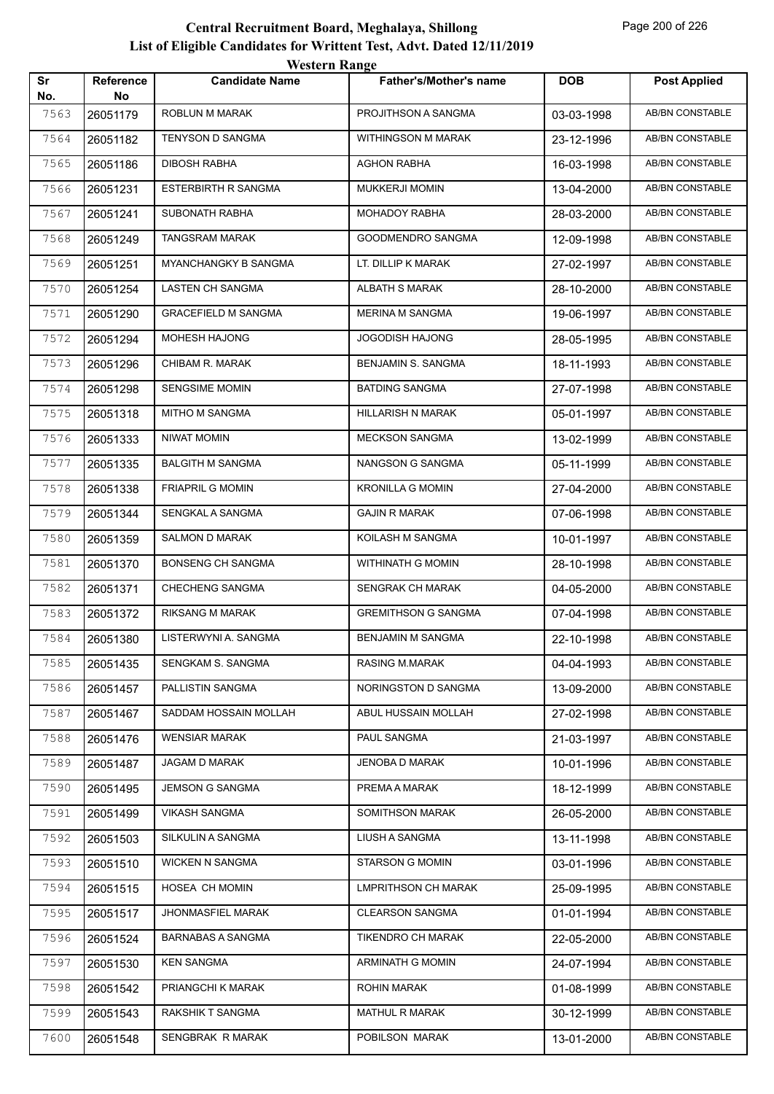|           |                        | western Range              |                               |            |                        |
|-----------|------------------------|----------------------------|-------------------------------|------------|------------------------|
| Sr<br>No. | <b>Reference</b><br>No | <b>Candidate Name</b>      | <b>Father's/Mother's name</b> | <b>DOB</b> | <b>Post Applied</b>    |
| 7563      | 26051179               | ROBLUN M MARAK             | PROJITHSON A SANGMA           | 03-03-1998 | AB/BN CONSTABLE        |
| 7564      | 26051182               | <b>TENYSON D SANGMA</b>    | WITHINGSON M MARAK            | 23-12-1996 | AB/BN CONSTABLE        |
| 7565      | 26051186               | <b>DIBOSH RABHA</b>        | <b>AGHON RABHA</b>            | 16-03-1998 | AB/BN CONSTABLE        |
| 7566      | 26051231               | ESTERBIRTH R SANGMA        | <b>MUKKERJI MOMIN</b>         | 13-04-2000 | <b>AB/BN CONSTABLE</b> |
| 7567      | 26051241               | <b>SUBONATH RABHA</b>      | <b>MOHADOY RABHA</b>          | 28-03-2000 | AB/BN CONSTABLE        |
| 7568      | 26051249               | TANGSRAM MARAK             | GOODMENDRO SANGMA             | 12-09-1998 | AB/BN CONSTABLE        |
| 7569      | 26051251               | MYANCHANGKY B SANGMA       | LT. DILLIP K MARAK            | 27-02-1997 | AB/BN CONSTABLE        |
| 7570      | 26051254               | LASTEN CH SANGMA           | <b>ALBATH S MARAK</b>         | 28-10-2000 | AB/BN CONSTABLE        |
| 7571      | 26051290               | <b>GRACEFIELD M SANGMA</b> | <b>MERINA M SANGMA</b>        | 19-06-1997 | AB/BN CONSTABLE        |
| 7572      | 26051294               | MOHESH HAJONG              | JOGODISH HAJONG               | 28-05-1995 | AB/BN CONSTABLE        |
| 7573      | 26051296               | CHIBAM R. MARAK            | BENJAMIN S. SANGMA            | 18-11-1993 | AB/BN CONSTABLE        |
| 7574      | 26051298               | SENGSIME MOMIN             | <b>BATDING SANGMA</b>         | 27-07-1998 | AB/BN CONSTABLE        |
| 7575      | 26051318               | MITHO M SANGMA             | HILLARISH N MARAK             | 05-01-1997 | AB/BN CONSTABLE        |
| 7576      | 26051333               | <b>NIWAT MOMIN</b>         | <b>MECKSON SANGMA</b>         | 13-02-1999 | AB/BN CONSTABLE        |
| 7577      | 26051335               | <b>BALGITH M SANGMA</b>    | NANGSON G SANGMA              | 05-11-1999 | AB/BN CONSTABLE        |
| 7578      | 26051338               | <b>FRIAPRIL G MOMIN</b>    | <b>KRONILLA G MOMIN</b>       | 27-04-2000 | AB/BN CONSTABLE        |
| 7579      | 26051344               | SENGKAL A SANGMA           | <b>GAJIN R MARAK</b>          | 07-06-1998 | AB/BN CONSTABLE        |
| 7580      | 26051359               | SALMON D MARAK             | KOILASH M SANGMA              | 10-01-1997 | AB/BN CONSTABLE        |
| 7581      | 26051370               | <b>BONSENG CH SANGMA</b>   | WITHINATH G MOMIN             | 28-10-1998 | AB/BN CONSTABLE        |
| 7582      | 26051371               | CHECHENG SANGMA            | SENGRAK CH MARAK              | 04-05-2000 | AB/BN CONSTABLE        |
| 7583      | 26051372               | RIKSANG M MARAK            | <b>GREMITHSON G SANGMA</b>    | 07-04-1998 | AB/BN CONSTABLE        |
| 7584      | 26051380               | LISTERWYNI A. SANGMA       | <b>BENJAMIN M SANGMA</b>      | 22-10-1998 | AB/BN CONSTABLE        |
| 7585      | 26051435               | SENGKAM S. SANGMA          | RASING M.MARAK                | 04-04-1993 | AB/BN CONSTABLE        |
| 7586      | 26051457               | PALLISTIN SANGMA           | NORINGSTON D SANGMA           | 13-09-2000 | AB/BN CONSTABLE        |
| 7587      | 26051467               | SADDAM HOSSAIN MOLLAH      | ABUL HUSSAIN MOLLAH           | 27-02-1998 | AB/BN CONSTABLE        |
| 7588      | 26051476               | <b>WENSIAR MARAK</b>       | PAUL SANGMA                   | 21-03-1997 | AB/BN CONSTABLE        |
| 7589      | 26051487               | JAGAM D MARAK              | JENOBA D MARAK                | 10-01-1996 | AB/BN CONSTABLE        |
| 7590      | 26051495               | <b>JEMSON G SANGMA</b>     | PREMA A MARAK                 | 18-12-1999 | AB/BN CONSTABLE        |
| 7591      | 26051499               | <b>VIKASH SANGMA</b>       | SOMITHSON MARAK               | 26-05-2000 | AB/BN CONSTABLE        |
| 7592      | 26051503               | SILKULIN A SANGMA          | LIUSH A SANGMA                | 13-11-1998 | AB/BN CONSTABLE        |
| 7593      | 26051510               | <b>WICKEN N SANGMA</b>     | <b>STARSON G MOMIN</b>        | 03-01-1996 | AB/BN CONSTABLE        |
| 7594      | 26051515               | HOSEA CH MOMIN             | <b>LMPRITHSON CH MARAK</b>    | 25-09-1995 | AB/BN CONSTABLE        |
| 7595      | 26051517               | <b>JHONMASFIEL MARAK</b>   | <b>CLEARSON SANGMA</b>        | 01-01-1994 | AB/BN CONSTABLE        |
| 7596      | 26051524               | <b>BARNABAS A SANGMA</b>   | TIKENDRO CH MARAK             | 22-05-2000 | AB/BN CONSTABLE        |
| 7597      | 26051530               | <b>KEN SANGMA</b>          | ARMINATH G MOMIN              | 24-07-1994 | AB/BN CONSTABLE        |
| 7598      | 26051542               | PRIANGCHI K MARAK          | <b>ROHIN MARAK</b>            | 01-08-1999 | AB/BN CONSTABLE        |
| 7599      | 26051543               | RAKSHIK T SANGMA           | <b>MATHUL R MARAK</b>         | 30-12-1999 | AB/BN CONSTABLE        |
| 7600      | 26051548               | SENGBRAK R MARAK           | POBILSON MARAK                | 13-01-2000 | AB/BN CONSTABLE        |
|           |                        |                            |                               |            |                        |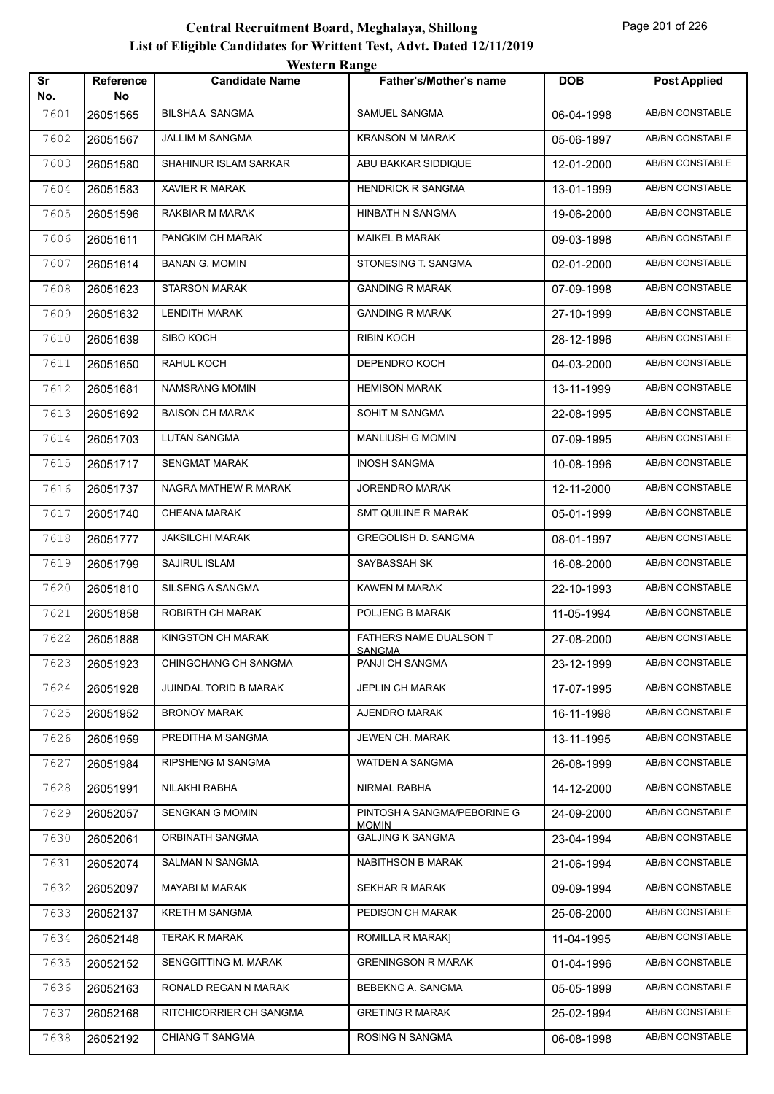| Sr<br>No. | Reference<br>No | <b>Candidate Name</b>   | <b>Father's/Mother's name</b>               | <b>DOB</b> | <b>Post Applied</b>    |
|-----------|-----------------|-------------------------|---------------------------------------------|------------|------------------------|
| 7601      | 26051565        | <b>BILSHAA SANGMA</b>   | SAMUEL SANGMA                               | 06-04-1998 | <b>AB/BN CONSTABLE</b> |
| 7602      | 26051567        | JALLIM M SANGMA         | <b>KRANSON M MARAK</b>                      | 05-06-1997 | AB/BN CONSTABLE        |
| 7603      | 26051580        | SHAHINUR ISLAM SARKAR   | ABU BAKKAR SIDDIQUE                         | 12-01-2000 | <b>AB/BN CONSTABLE</b> |
| 7604      | 26051583        | <b>XAVIER R MARAK</b>   | <b>HENDRICK R SANGMA</b>                    | 13-01-1999 | AB/BN CONSTABLE        |
| 7605      | 26051596        | RAKBIAR M MARAK         | HINBATH N SANGMA                            | 19-06-2000 | AB/BN CONSTABLE        |
| 7606      | 26051611        | PANGKIM CH MARAK        | <b>MAIKEL B MARAK</b>                       | 09-03-1998 | AB/BN CONSTABLE        |
| 7607      | 26051614        | <b>BANAN G. MOMIN</b>   | STONESING T. SANGMA                         | 02-01-2000 | AB/BN CONSTABLE        |
| 7608      | 26051623        | <b>STARSON MARAK</b>    | <b>GANDING R MARAK</b>                      | 07-09-1998 | <b>AB/BN CONSTABLE</b> |
| 7609      | 26051632        | <b>LENDITH MARAK</b>    | <b>GANDING R MARAK</b>                      | 27-10-1999 | AB/BN CONSTABLE        |
| 7610      | 26051639        | SIBO KOCH               | <b>RIBIN KOCH</b>                           | 28-12-1996 | AB/BN CONSTABLE        |
| 7611      | 26051650        | RAHUL KOCH              | DEPENDRO KOCH                               | 04-03-2000 | <b>AB/BN CONSTABLE</b> |
| 7612      | 26051681        | NAMSRANG MOMIN          | <b>HEMISON MARAK</b>                        | 13-11-1999 | AB/BN CONSTABLE        |
| 7613      | 26051692        | <b>BAISON CH MARAK</b>  | SOHIT M SANGMA                              | 22-08-1995 | <b>AB/BN CONSTABLE</b> |
| 7614      | 26051703        | <b>LUTAN SANGMA</b>     | <b>MANLIUSH G MOMIN</b>                     | 07-09-1995 | AB/BN CONSTABLE        |
| 7615      | 26051717        | <b>SENGMAT MARAK</b>    | <b>INOSH SANGMA</b>                         | 10-08-1996 | AB/BN CONSTABLE        |
| 7616      | 26051737        | NAGRA MATHEW R MARAK    | JORENDRO MARAK                              | 12-11-2000 | AB/BN CONSTABLE        |
| 7617      | 26051740        | CHEANA MARAK            | SMT QUILINE R MARAK                         | 05-01-1999 | AB/BN CONSTABLE        |
| 7618      | 26051777        | <b>JAKSILCHI MARAK</b>  | <b>GREGOLISH D. SANGMA</b>                  | 08-01-1997 | AB/BN CONSTABLE        |
| 7619      | 26051799        | SAJIRUL ISLAM           | SAYBASSAH SK                                | 16-08-2000 | AB/BN CONSTABLE        |
| 7620      | 26051810        | SILSENG A SANGMA        | KAWEN M MARAK                               | 22-10-1993 | AB/BN CONSTABLE        |
| 7621      | 26051858        | ROBIRTH CH MARAK        | POLJENG B MARAK                             | 11-05-1994 | AB/BN CONSTABLE        |
| 7622      | 26051888        | KINGSTON CH MARAK       | FATHERS NAME DUALSON T<br><b>SANGMA</b>     | 27-08-2000 | AB/BN CONSTABLE        |
| 7623      | 26051923        | CHINGCHANG CH SANGMA    | PANJI CH SANGMA                             | 23-12-1999 | AB/BN CONSTABLE        |
| 7624      | 26051928        | JUINDAL TORID B MARAK   | <b>JEPLIN CH MARAK</b>                      | 17-07-1995 | AB/BN CONSTABLE        |
| 7625      | 26051952        | <b>BRONOY MARAK</b>     | AJENDRO MARAK                               | 16-11-1998 | AB/BN CONSTABLE        |
| 7626      | 26051959        | PREDITHA M SANGMA       | JEWEN CH. MARAK                             | 13-11-1995 | AB/BN CONSTABLE        |
| 7627      | 26051984        | RIPSHENG M SANGMA       | WATDEN A SANGMA                             | 26-08-1999 | AB/BN CONSTABLE        |
| 7628      | 26051991        | NILAKHI RABHA           | NIRMAL RABHA                                | 14-12-2000 | AB/BN CONSTABLE        |
| 7629      | 26052057        | SENGKAN G MOMIN         | PINTOSH A SANGMA/PEBORINE G<br><b>MOMIN</b> | 24-09-2000 | AB/BN CONSTABLE        |
| 7630      | 26052061        | ORBINATH SANGMA         | <b>GALJING K SANGMA</b>                     | 23-04-1994 | AB/BN CONSTABLE        |
| 7631      | 26052074        | SALMAN N SANGMA         | NABITHSON B MARAK                           | 21-06-1994 | AB/BN CONSTABLE        |
| 7632      | 26052097        | MAYABI M MARAK          | <b>SEKHAR R MARAK</b>                       | 09-09-1994 | AB/BN CONSTABLE        |
| 7633      | 26052137        | KRETH M SANGMA          | PEDISON CH MARAK                            | 25-06-2000 | AB/BN CONSTABLE        |
| 7634      | 26052148        | <b>TERAK R MARAK</b>    | ROMILLA R MARAK]                            | 11-04-1995 | AB/BN CONSTABLE        |
| 7635      | 26052152        | SENGGITTING M. MARAK    | <b>GRENINGSON R MARAK</b>                   | 01-04-1996 | AB/BN CONSTABLE        |
| 7636      | 26052163        | RONALD REGAN N MARAK    | BEBEKNG A. SANGMA                           | 05-05-1999 | AB/BN CONSTABLE        |
| 7637      | 26052168        | RITCHICORRIER CH SANGMA | <b>GRETING R MARAK</b>                      | 25-02-1994 | AB/BN CONSTABLE        |
| 7638      | 26052192        | CHIANG T SANGMA         | ROSING N SANGMA                             | 06-08-1998 | AB/BN CONSTABLE        |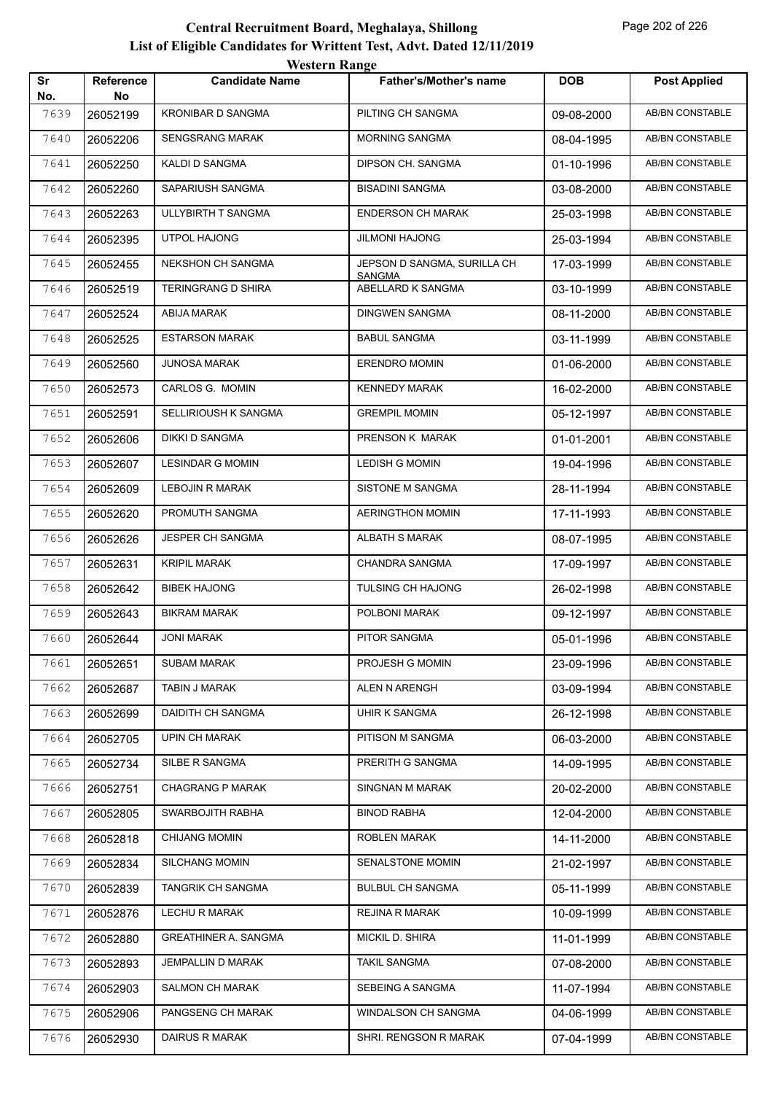|           |                 | <i>W</i> USIUL IVANGU       |                                    |            |                        |
|-----------|-----------------|-----------------------------|------------------------------------|------------|------------------------|
| Sr<br>No. | Reference<br>No | <b>Candidate Name</b>       | <b>Father's/Mother's name</b>      | <b>DOB</b> | <b>Post Applied</b>    |
| 7639      | 26052199        | <b>KRONIBAR D SANGMA</b>    | PILTING CH SANGMA                  | 09-08-2000 | <b>AB/BN CONSTABLE</b> |
| 7640      | 26052206        | SENGSRANG MARAK             | MORNING SANGMA                     | 08-04-1995 | AB/BN CONSTABLE        |
| 7641      | 26052250        | KALDI D SANGMA              | DIPSON CH. SANGMA                  | 01-10-1996 | AB/BN CONSTABLE        |
| 7642      | 26052260        | SAPARIUSH SANGMA            | <b>BISADINI SANGMA</b>             | 03-08-2000 | AB/BN CONSTABLE        |
| 7643      | 26052263        | ULLYBIRTH T SANGMA          | <b>ENDERSON CH MARAK</b>           | 25-03-1998 | AB/BN CONSTABLE        |
| 7644      | 26052395        | <b>UTPOL HAJONG</b>         | <b>JILMONI HAJONG</b>              | 25-03-1994 | AB/BN CONSTABLE        |
| 7645      | 26052455        | NEKSHON CH SANGMA           | JEPSON D SANGMA, SURILLA CH        | 17-03-1999 | AB/BN CONSTABLE        |
| 7646      | 26052519        | TERINGRANG D SHIRA          | <b>SANGMA</b><br>ABELLARD K SANGMA | 03-10-1999 | AB/BN CONSTABLE        |
| 7647      | 26052524        | <b>ABIJA MARAK</b>          | <b>DINGWEN SANGMA</b>              | 08-11-2000 | AB/BN CONSTABLE        |
| 7648      | 26052525        | <b>ESTARSON MARAK</b>       | <b>BABUL SANGMA</b>                | 03-11-1999 | AB/BN CONSTABLE        |
| 7649      | 26052560        | <b>JUNOSA MARAK</b>         | <b>ERENDRO MOMIN</b>               | 01-06-2000 | AB/BN CONSTABLE        |
| 7650      | 26052573        | CARLOS G. MOMIN             | <b>KENNEDY MARAK</b>               | 16-02-2000 | AB/BN CONSTABLE        |
| 7651      | 26052591        | SELLIRIOUSH K SANGMA        | <b>GREMPIL MOMIN</b>               | 05-12-1997 | AB/BN CONSTABLE        |
| 7652      | 26052606        | <b>DIKKI D SANGMA</b>       | PRENSON K MARAK                    | 01-01-2001 | AB/BN CONSTABLE        |
| 7653      | 26052607        | <b>LESINDAR G MOMIN</b>     | <b>LEDISH G MOMIN</b>              | 19-04-1996 | AB/BN CONSTABLE        |
| 7654      | 26052609        | LEBOJIN R MARAK             | SISTONE M SANGMA                   | 28-11-1994 | <b>AB/BN CONSTABLE</b> |
| 7655      | 26052620        | PROMUTH SANGMA              | <b>AERINGTHON MOMIN</b>            | 17-11-1993 | AB/BN CONSTABLE        |
| 7656      | 26052626        | JESPER CH SANGMA            | ALBATH S MARAK                     | 08-07-1995 | AB/BN CONSTABLE        |
| 7657      | 26052631        | <b>KRIPIL MARAK</b>         | CHANDRA SANGMA                     | 17-09-1997 | AB/BN CONSTABLE        |
| 7658      | 26052642        | <b>BIBEK HAJONG</b>         | <b>TULSING CH HAJONG</b>           | 26-02-1998 | AB/BN CONSTABLE        |
| 7659      | 26052643        | <b>BIKRAM MARAK</b>         | POLBONI MARAK                      | 09-12-1997 | AB/BN CONSTABLE        |
| 7660      | 26052644        | <b>JONI MARAK</b>           | PITOR SANGMA                       | 05-01-1996 | AB/BN CONSTABLE        |
| 7661      | 26052651        | SUBAM MARAK                 | PROJESH G MOMIN                    | 23-09-1996 | AB/BN CONSTABLE        |
| 7662      | 26052687        | TABIN J MARAK               | ALEN N ARENGH                      | 03-09-1994 | AB/BN CONSTABLE        |
| 7663      | 26052699        | DAIDITH CH SANGMA           | UHIR K SANGMA                      | 26-12-1998 | AB/BN CONSTABLE        |
| 7664      | 26052705        | <b>UPIN CH MARAK</b>        | PITISON M SANGMA                   | 06-03-2000 | AB/BN CONSTABLE        |
| 7665      | 26052734        | SILBE R SANGMA              | PRERITH G SANGMA                   | 14-09-1995 | AB/BN CONSTABLE        |
| 7666      | 26052751        | <b>CHAGRANG P MARAK</b>     | SINGNAN M MARAK                    | 20-02-2000 | AB/BN CONSTABLE        |
| 7667      | 26052805        | SWARBOJITH RABHA            | <b>BINOD RABHA</b>                 | 12-04-2000 | AB/BN CONSTABLE        |
| 7668      | 26052818        | <b>CHIJANG MOMIN</b>        | ROBLEN MARAK                       | 14-11-2000 | AB/BN CONSTABLE        |
| 7669      | 26052834        | <b>SILCHANG MOMIN</b>       | SENALSTONE MOMIN                   | 21-02-1997 | AB/BN CONSTABLE        |
| 7670      | 26052839        | TANGRIK CH SANGMA           | <b>BULBUL CH SANGMA</b>            | 05-11-1999 | AB/BN CONSTABLE        |
| 7671      | 26052876        | LECHU R MARAK               | <b>REJINA R MARAK</b>              | 10-09-1999 | AB/BN CONSTABLE        |
| 7672      | 26052880        | <b>GREATHINER A. SANGMA</b> | MICKIL D. SHIRA                    | 11-01-1999 | AB/BN CONSTABLE        |
| 7673      | 26052893        | JEMPALLIN D MARAK           | <b>TAKIL SANGMA</b>                | 07-08-2000 | AB/BN CONSTABLE        |
| 7674      | 26052903        | SALMON CH MARAK             | SEBEING A SANGMA                   | 11-07-1994 | AB/BN CONSTABLE        |
| 7675      | 26052906        | PANGSENG CH MARAK           | WINDALSON CH SANGMA                | 04-06-1999 | AB/BN CONSTABLE        |
| 7676      | 26052930        | DAIRUS R MARAK              | SHRI. RENGSON R MARAK              | 07-04-1999 | AB/BN CONSTABLE        |
|           |                 |                             |                                    |            |                        |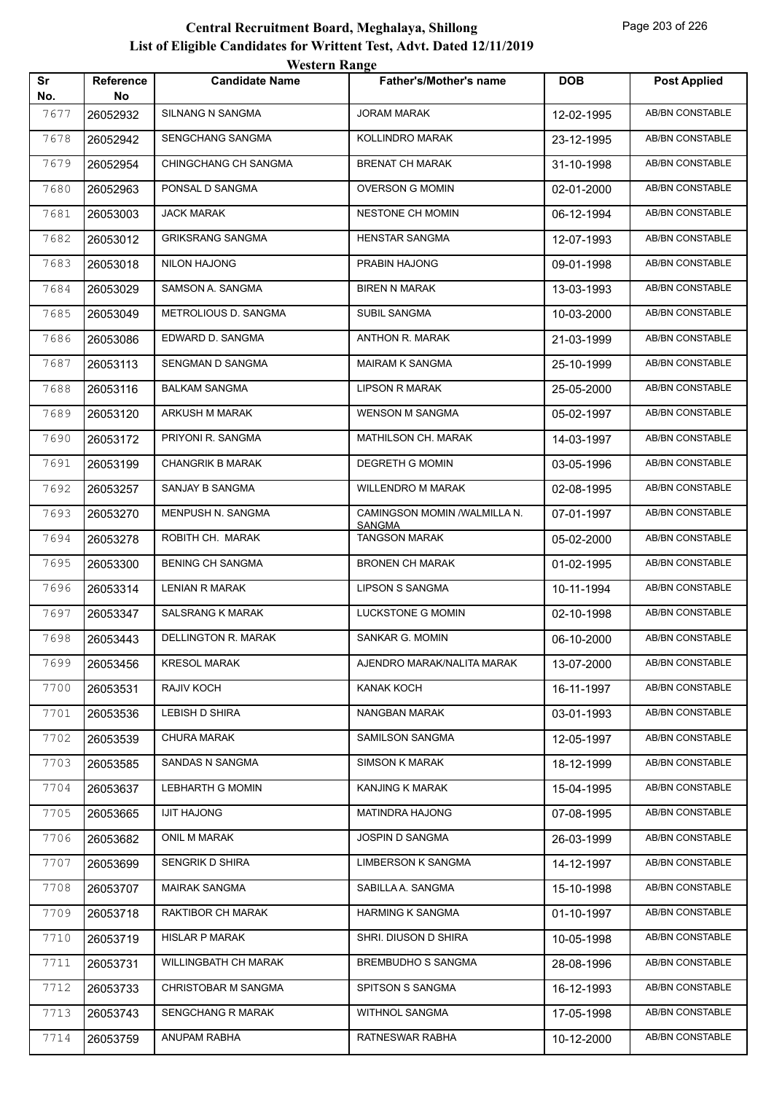| Sr   |                 | <i>Western Kange</i>    | <b>Father's/Mother's name</b>         | <b>DOB</b> |                        |
|------|-----------------|-------------------------|---------------------------------------|------------|------------------------|
| No.  | Reference<br>No | <b>Candidate Name</b>   |                                       |            | <b>Post Applied</b>    |
| 7677 | 26052932        | SILNANG N SANGMA        | <b>JORAM MARAK</b>                    | 12-02-1995 | <b>AB/BN CONSTABLE</b> |
| 7678 | 26052942        | SENGCHANG SANGMA        | KOLLINDRO MARAK                       | 23-12-1995 | AB/BN CONSTABLE        |
| 7679 | 26052954        | CHINGCHANG CH SANGMA    | <b>BRENAT CH MARAK</b>                | 31-10-1998 | <b>AB/BN CONSTABLE</b> |
| 7680 | 26052963        | PONSAL D SANGMA         | <b>OVERSON G MOMIN</b>                | 02-01-2000 | AB/BN CONSTABLE        |
| 7681 | 26053003        | <b>JACK MARAK</b>       | <b>NESTONE CH MOMIN</b>               | 06-12-1994 | AB/BN CONSTABLE        |
| 7682 | 26053012        | <b>GRIKSRANG SANGMA</b> | HENSTAR SANGMA                        | 12-07-1993 | AB/BN CONSTABLE        |
| 7683 | 26053018        | <b>NILON HAJONG</b>     | PRABIN HAJONG                         | 09-01-1998 | AB/BN CONSTABLE        |
| 7684 | 26053029        | SAMSON A. SANGMA        | <b>BIREN N MARAK</b>                  | 13-03-1993 | AB/BN CONSTABLE        |
| 7685 | 26053049        | METROLIOUS D. SANGMA    | <b>SUBIL SANGMA</b>                   | 10-03-2000 | AB/BN CONSTABLE        |
| 7686 | 26053086        | EDWARD D. SANGMA        | ANTHON R. MARAK                       | 21-03-1999 | AB/BN CONSTABLE        |
| 7687 | 26053113        | SENGMAN D SANGMA        | <b>MAIRAM K SANGMA</b>                | 25-10-1999 | AB/BN CONSTABLE        |
| 7688 | 26053116        | <b>BALKAM SANGMA</b>    | <b>LIPSON R MARAK</b>                 | 25-05-2000 | AB/BN CONSTABLE        |
| 7689 | 26053120        | ARKUSH M MARAK          | <b>WENSON M SANGMA</b>                | 05-02-1997 | AB/BN CONSTABLE        |
| 7690 | 26053172        | PRIYONI R. SANGMA       | <b>MATHILSON CH. MARAK</b>            | 14-03-1997 | AB/BN CONSTABLE        |
| 7691 | 26053199        | <b>CHANGRIK B MARAK</b> | DEGRETH G MOMIN                       | 03-05-1996 | <b>AB/BN CONSTABLE</b> |
| 7692 | 26053257        | SANJAY B SANGMA         | <b>WILLENDRO M MARAK</b>              | 02-08-1995 | AB/BN CONSTABLE        |
| 7693 | 26053270        | MENPUSH N. SANGMA       | CAMINGSON MOMIN /WALMILLA N.          | 07-01-1997 | AB/BN CONSTABLE        |
| 7694 | 26053278        | ROBITH CH. MARAK        | <b>SANGMA</b><br><b>TANGSON MARAK</b> | 05-02-2000 | AB/BN CONSTABLE        |
| 7695 | 26053300        | <b>BENING CH SANGMA</b> | <b>BRONEN CH MARAK</b>                | 01-02-1995 | AB/BN CONSTABLE        |
| 7696 | 26053314        | <b>LENIAN R MARAK</b>   | <b>LIPSON S SANGMA</b>                | 10-11-1994 | AB/BN CONSTABLE        |
| 7697 | 26053347        | SALSRANG K MARAK        | LUCKSTONE G MOMIN                     | 02-10-1998 | <b>AB/BN CONSTABLE</b> |
| 7698 | 26053443        | DELLINGTON R. MARAK     | SANKAR G. MOMIN                       | 06-10-2000 | AB/BN CONSTABLE        |
| 7699 | 26053456        | <b>KRESOL MARAK</b>     | AJENDRO MARAK/NALITA MARAK            | 13-07-2000 | AB/BN CONSTABLE        |
| 7700 | 26053531        | RAJIV KOCH              | KANAK KOCH                            | 16-11-1997 | AB/BN CONSTABLE        |
| 7701 | 26053536        | LEBISH D SHIRA          | NANGBAN MARAK                         | 03-01-1993 | AB/BN CONSTABLE        |
| 7702 | 26053539        | <b>CHURA MARAK</b>      | SAMILSON SANGMA                       | 12-05-1997 | AB/BN CONSTABLE        |
| 7703 | 26053585        | SANDAS N SANGMA         | <b>SIMSON K MARAK</b>                 | 18-12-1999 | AB/BN CONSTABLE        |
| 7704 | 26053637        | <b>LEBHARTH G MOMIN</b> | KANJING K MARAK                       | 15-04-1995 | AB/BN CONSTABLE        |
| 7705 | 26053665        | <b>IJIT HAJONG</b>      | MATINDRA HAJONG                       | 07-08-1995 | AB/BN CONSTABLE        |
| 7706 | 26053682        | ONIL M MARAK            | JOSPIN D SANGMA                       | 26-03-1999 | AB/BN CONSTABLE        |
| 7707 | 26053699        | SENGRIK D SHIRA         | LIMBERSON K SANGMA                    | 14-12-1997 | AB/BN CONSTABLE        |
| 7708 | 26053707        | MAIRAK SANGMA           | SABILLA A. SANGMA                     | 15-10-1998 | AB/BN CONSTABLE        |
| 7709 | 26053718        | RAKTIBOR CH MARAK       | HARMING K SANGMA                      | 01-10-1997 | AB/BN CONSTABLE        |
| 7710 | 26053719        | <b>HISLAR P MARAK</b>   | SHRI. DIUSON D SHIRA                  | 10-05-1998 | AB/BN CONSTABLE        |
| 7711 | 26053731        | WILLINGBATH CH MARAK    | BREMBUDHO S SANGMA                    | 28-08-1996 | AB/BN CONSTABLE        |
| 7712 | 26053733        | CHRISTOBAR M SANGMA     | SPITSON S SANGMA                      | 16-12-1993 | AB/BN CONSTABLE        |
| 7713 | 26053743        | SENGCHANG R MARAK       | WITHNOL SANGMA                        | 17-05-1998 | AB/BN CONSTABLE        |
| 7714 | 26053759        | ANUPAM RABHA            | RATNESWAR RABHA                       | 10-12-2000 | AB/BN CONSTABLE        |
|      |                 |                         |                                       |            |                        |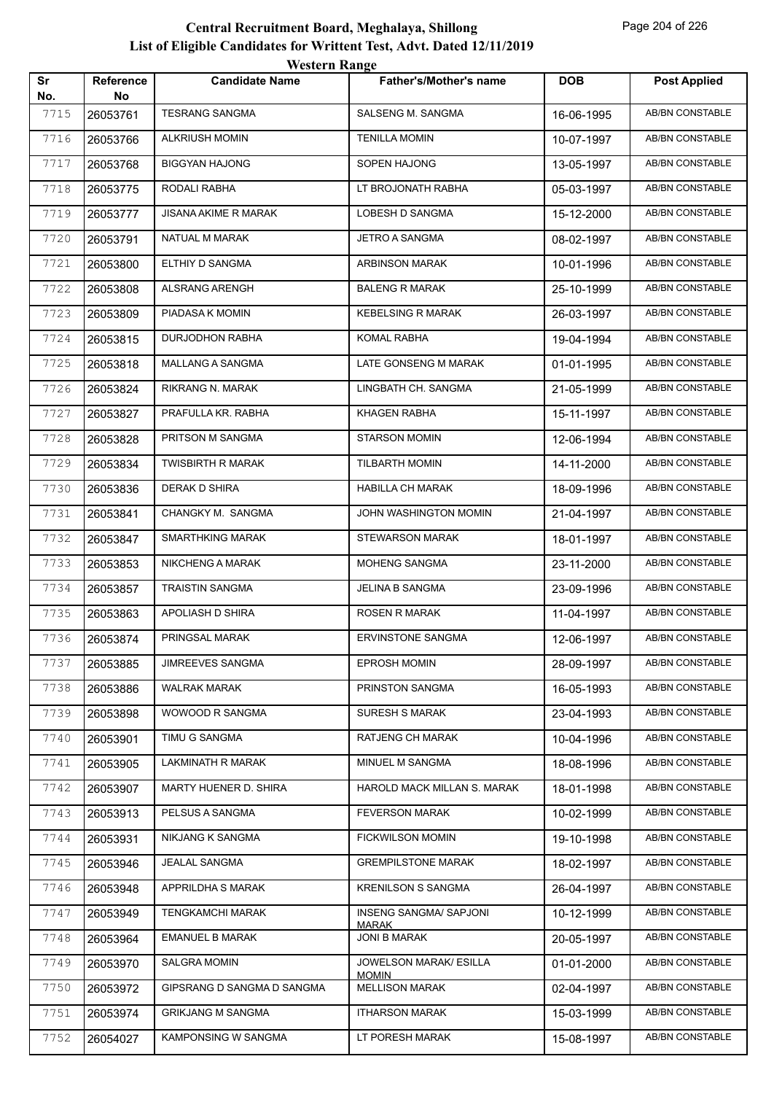|           |                        | western Range              |                                       |            |                        |
|-----------|------------------------|----------------------------|---------------------------------------|------------|------------------------|
| Sr<br>No. | <b>Reference</b><br>No | <b>Candidate Name</b>      | <b>Father's/Mother's name</b>         | <b>DOB</b> | <b>Post Applied</b>    |
| 7715      | 26053761               | <b>TESRANG SANGMA</b>      | SALSENG M. SANGMA                     | 16-06-1995 | AB/BN CONSTABLE        |
| 7716      | 26053766               | <b>ALKRIUSH MOMIN</b>      | <b>TENILLA MOMIN</b>                  | 10-07-1997 | <b>AB/BN CONSTABLE</b> |
| 7717      | 26053768               | <b>BIGGYAN HAJONG</b>      | SOPEN HAJONG                          | 13-05-1997 | AB/BN CONSTABLE        |
| 7718      | 26053775               | RODALI RABHA               | LT BROJONATH RABHA                    | 05-03-1997 | <b>AB/BN CONSTABLE</b> |
| 7719      | 26053777               | JISANA AKIME R MARAK       | LOBESH D SANGMA                       | 15-12-2000 | AB/BN CONSTABLE        |
| 7720      | 26053791               | NATUAL M MARAK             | <b>JETRO A SANGMA</b>                 | 08-02-1997 | AB/BN CONSTABLE        |
| 7721      | 26053800               | ELTHIY D SANGMA            | ARBINSON MARAK                        | 10-01-1996 | AB/BN CONSTABLE        |
| 7722      | 26053808               | ALSRANG ARENGH             | <b>BALENG R MARAK</b>                 | 25-10-1999 | AB/BN CONSTABLE        |
| 7723      | 26053809               | PIADASA K MOMIN            | <b>KEBELSING R MARAK</b>              | 26-03-1997 | <b>AB/BN CONSTABLE</b> |
| 7724      | 26053815               | DURJODHON RABHA            | <b>KOMAL RABHA</b>                    | 19-04-1994 | AB/BN CONSTABLE        |
| 7725      | 26053818               | <b>MALLANG A SANGMA</b>    | LATE GONSENG M MARAK                  | 01-01-1995 | AB/BN CONSTABLE        |
| 7726      | 26053824               | RIKRANG N. MARAK           | LINGBATH CH. SANGMA                   | 21-05-1999 | AB/BN CONSTABLE        |
| 7727      | 26053827               | PRAFULLA KR. RABHA         | KHAGEN RABHA                          | 15-11-1997 | AB/BN CONSTABLE        |
| 7728      | 26053828               | PRITSON M SANGMA           | <b>STARSON MOMIN</b>                  | 12-06-1994 | <b>AB/BN CONSTABLE</b> |
| 7729      | 26053834               | <b>TWISBIRTH R MARAK</b>   | <b>TILBARTH MOMIN</b>                 | 14-11-2000 | AB/BN CONSTABLE        |
| 7730      | 26053836               | DERAK D SHIRA              | <b>HABILLA CH MARAK</b>               | 18-09-1996 | AB/BN CONSTABLE        |
| 7731      | 26053841               | CHANGKY M. SANGMA          | JOHN WASHINGTON MOMIN                 | 21-04-1997 | AB/BN CONSTABLE        |
| 7732      | 26053847               | SMARTHKING MARAK           | STEWARSON MARAK                       | 18-01-1997 | AB/BN CONSTABLE        |
| 7733      | 26053853               | NIKCHENG A MARAK           | MOHENG SANGMA                         | 23-11-2000 | <b>AB/BN CONSTABLE</b> |
| 7734      | 26053857               | <b>TRAISTIN SANGMA</b>     | <b>JELINA B SANGMA</b>                | 23-09-1996 | AB/BN CONSTABLE        |
| 7735      | 26053863               | APOLIASH D SHIRA           | <b>ROSEN R MARAK</b>                  | 11-04-1997 | AB/BN CONSTABLE        |
| 7736      | 26053874               | PRINGSAL MARAK             | <b>ERVINSTONE SANGMA</b>              | 12-06-1997 | AB/BN CONSTABLE        |
| 7737      | 26053885               | JIMREEVES SANGMA           | <b>EPROSH MOMIN</b>                   | 28-09-1997 | AB/BN CONSTABLE        |
| 7738      | 26053886               | <b>WALRAK MARAK</b>        | PRINSTON SANGMA                       | 16-05-1993 | AB/BN CONSTABLE        |
| 7739      | 26053898               | WOWOOD R SANGMA            | <b>SURESH S MARAK</b>                 | 23-04-1993 | AB/BN CONSTABLE        |
| 7740      | 26053901               | TIMU G SANGMA              | RATJENG CH MARAK                      | 10-04-1996 | AB/BN CONSTABLE        |
| 7741      | 26053905               | LAKMINATH R MARAK          | MINUEL M SANGMA                       | 18-08-1996 | AB/BN CONSTABLE        |
| 7742      | 26053907               | MARTY HUENER D. SHIRA      | HAROLD MACK MILLAN S. MARAK           | 18-01-1998 | AB/BN CONSTABLE        |
| 7743      | 26053913               | PELSUS A SANGMA            | <b>FEVERSON MARAK</b>                 | 10-02-1999 | AB/BN CONSTABLE        |
| 7744      | 26053931               | NIKJANG K SANGMA           | <b>FICKWILSON MOMIN</b>               | 19-10-1998 | AB/BN CONSTABLE        |
| 7745      | 26053946               | <b>JEALAL SANGMA</b>       | <b>GREMPILSTONE MARAK</b>             | 18-02-1997 | AB/BN CONSTABLE        |
| 7746      | 26053948               | APPRILDHA S MARAK          | <b>KRENILSON S SANGMA</b>             | 26-04-1997 | AB/BN CONSTABLE        |
| 7747      | 26053949               | <b>TENGKAMCHI MARAK</b>    | INSENG SANGMA/ SAPJONI                | 10-12-1999 | AB/BN CONSTABLE        |
| 7748      | 26053964               | <b>EMANUEL B MARAK</b>     | <b>MARAK</b><br><b>JONI B MARAK</b>   | 20-05-1997 | AB/BN CONSTABLE        |
| 7749      | 26053970               | SALGRA MOMIN               | JOWELSON MARAK/ ESILLA                | 01-01-2000 | AB/BN CONSTABLE        |
| 7750      | 26053972               | GIPSRANG D SANGMA D SANGMA | <b>MOMIN</b><br><b>MELLISON MARAK</b> | 02-04-1997 | AB/BN CONSTABLE        |
| 7751      | 26053974               | <b>GRIKJANG M SANGMA</b>   | <b>ITHARSON MARAK</b>                 | 15-03-1999 | AB/BN CONSTABLE        |
| 7752      | 26054027               | KAMPONSING W SANGMA        | LT PORESH MARAK                       | 15-08-1997 | AB/BN CONSTABLE        |
|           |                        |                            |                                       |            |                        |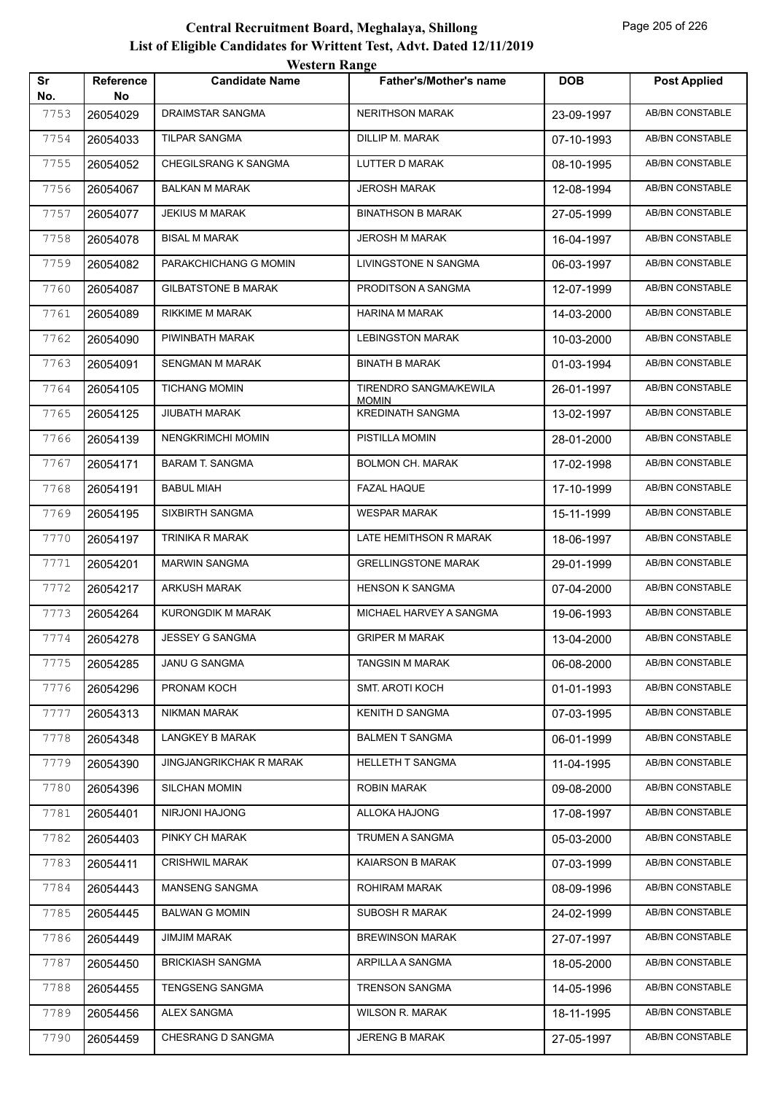|           |                        | <b>Western Range</b>       |                                        |            |                        |
|-----------|------------------------|----------------------------|----------------------------------------|------------|------------------------|
| Sr<br>No. | <b>Reference</b><br>No | <b>Candidate Name</b>      | <b>Father's/Mother's name</b>          | <b>DOB</b> | <b>Post Applied</b>    |
| 7753      | 26054029               | DRAIMSTAR SANGMA           | <b>NERITHSON MARAK</b>                 | 23-09-1997 | <b>AB/BN CONSTABLE</b> |
| 7754      | 26054033               | <b>TILPAR SANGMA</b>       | DILLIP M. MARAK                        | 07-10-1993 | AB/BN CONSTABLE        |
| 7755      | 26054052               | CHEGILSRANG K SANGMA       | LUTTER D MARAK                         | 08-10-1995 | <b>AB/BN CONSTABLE</b> |
| 7756      | 26054067               | <b>BALKAN M MARAK</b>      | <b>JEROSH MARAK</b>                    | 12-08-1994 | <b>AB/BN CONSTABLE</b> |
| 7757      | 26054077               | <b>JEKIUS M MARAK</b>      | <b>BINATHSON B MARAK</b>               | 27-05-1999 | <b>AB/BN CONSTABLE</b> |
| 7758      | 26054078               | <b>BISAL M MARAK</b>       | <b>JEROSH M MARAK</b>                  | 16-04-1997 | <b>AB/BN CONSTABLE</b> |
| 7759      | 26054082               | PARAKCHICHANG G MOMIN      | LIVINGSTONE N SANGMA                   | 06-03-1997 | AB/BN CONSTABLE        |
| 7760      | 26054087               | <b>GILBATSTONE B MARAK</b> | PRODITSON A SANGMA                     | 12-07-1999 | <b>AB/BN CONSTABLE</b> |
| 7761      | 26054089               | <b>RIKKIME M MARAK</b>     | <b>HARINA M MARAK</b>                  | 14-03-2000 | <b>AB/BN CONSTABLE</b> |
| 7762      | 26054090               | PIWINBATH MARAK            | <b>LEBINGSTON MARAK</b>                | 10-03-2000 | AB/BN CONSTABLE        |
| 7763      | 26054091               | <b>SENGMAN M MARAK</b>     | <b>BINATH B MARAK</b>                  | 01-03-1994 | <b>AB/BN CONSTABLE</b> |
| 7764      | 26054105               | <b>TICHANG MOMIN</b>       | TIRENDRO SANGMA/KEWILA<br><b>MOMIN</b> | 26-01-1997 | AB/BN CONSTABLE        |
| 7765      | 26054125               | JIUBATH MARAK              | <b>KREDINATH SANGMA</b>                | 13-02-1997 | <b>AB/BN CONSTABLE</b> |
| 7766      | 26054139               | <b>NENGKRIMCHI MOMIN</b>   | PISTILLA MOMIN                         | 28-01-2000 | <b>AB/BN CONSTABLE</b> |
| 7767      | 26054171               | <b>BARAM T. SANGMA</b>     | <b>BOLMON CH. MARAK</b>                | 17-02-1998 | AB/BN CONSTABLE        |
| 7768      | 26054191               | <b>BABUL MIAH</b>          | <b>FAZAL HAQUE</b>                     | 17-10-1999 | <b>AB/BN CONSTABLE</b> |
| 7769      | 26054195               | SIXBIRTH SANGMA            | <b>WESPAR MARAK</b>                    | 15-11-1999 | AB/BN CONSTABLE        |
| 7770      | 26054197               | TRINIKA R MARAK            | LATE HEMITHSON R MARAK                 | 18-06-1997 | <b>AB/BN CONSTABLE</b> |
| 7771      | 26054201               | <b>MARWIN SANGMA</b>       | <b>GRELLINGSTONE MARAK</b>             | 29-01-1999 | <b>AB/BN CONSTABLE</b> |
| 7772      | 26054217               | <b>ARKUSH MARAK</b>        | <b>HENSON K SANGMA</b>                 | 07-04-2000 | AB/BN CONSTABLE        |
| 7773      | 26054264               | <b>KURONGDIK M MARAK</b>   | MICHAEL HARVEY A SANGMA                | 19-06-1993 | AB/BN CONSTABLE        |
| 7774      | 26054278               | <b>JESSEY G SANGMA</b>     | <b>GRIPER M MARAK</b>                  | 13-04-2000 | AB/BN CONSTABLE        |
| 7775      | 26054285               | <b>JANU G SANGMA</b>       | <b>TANGSIN M MARAK</b>                 | 06-08-2000 | AB/BN CONSTABLE        |
| 7776      | 26054296               | PRONAM KOCH                | SMT. AROTI KOCH                        | 01-01-1993 | AB/BN CONSTABLE        |
| 7777      | 26054313               | <b>NIKMAN MARAK</b>        | <b>KENITH D SANGMA</b>                 | 07-03-1995 | AB/BN CONSTABLE        |
| 7778      | 26054348               | LANGKEY B MARAK            | <b>BALMEN T SANGMA</b>                 | 06-01-1999 | AB/BN CONSTABLE        |
| 7779      | 26054390               | JINGJANGRIKCHAK R MARAK    | <b>HELLETH T SANGMA</b>                | 11-04-1995 | AB/BN CONSTABLE        |
| 7780      | 26054396               | SILCHAN MOMIN              | <b>ROBIN MARAK</b>                     | 09-08-2000 | AB/BN CONSTABLE        |
| 7781      | 26054401               | NIRJONI HAJONG             | ALLOKA HAJONG                          | 17-08-1997 | AB/BN CONSTABLE        |
| 7782      | 26054403               | PINKY CH MARAK             | TRUMEN A SANGMA                        | 05-03-2000 | AB/BN CONSTABLE        |
| 7783      | 26054411               | <b>CRISHWIL MARAK</b>      | KAIARSON B MARAK                       | 07-03-1999 | AB/BN CONSTABLE        |
| 7784      | 26054443               | MANSENG SANGMA             | ROHIRAM MARAK                          | 08-09-1996 | AB/BN CONSTABLE        |
| 7785      | 26054445               | <b>BALWAN G MOMIN</b>      | SUBOSH R MARAK                         | 24-02-1999 | AB/BN CONSTABLE        |
| 7786      | 26054449               | <b>JIMJIM MARAK</b>        | <b>BREWINSON MARAK</b>                 | 27-07-1997 | AB/BN CONSTABLE        |
| 7787      | 26054450               | <b>BRICKIASH SANGMA</b>    | ARPILLA A SANGMA                       | 18-05-2000 | AB/BN CONSTABLE        |
| 7788      | 26054455               | <b>TENGSENG SANGMA</b>     | <b>TRENSON SANGMA</b>                  | 14-05-1996 | AB/BN CONSTABLE        |
| 7789      | 26054456               | ALEX SANGMA                | <b>WILSON R. MARAK</b>                 | 18-11-1995 | AB/BN CONSTABLE        |
| 7790      | 26054459               | CHESRANG D SANGMA          | <b>JERENG B MARAK</b>                  | 27-05-1997 | AB/BN CONSTABLE        |
|           |                        |                            |                                        |            |                        |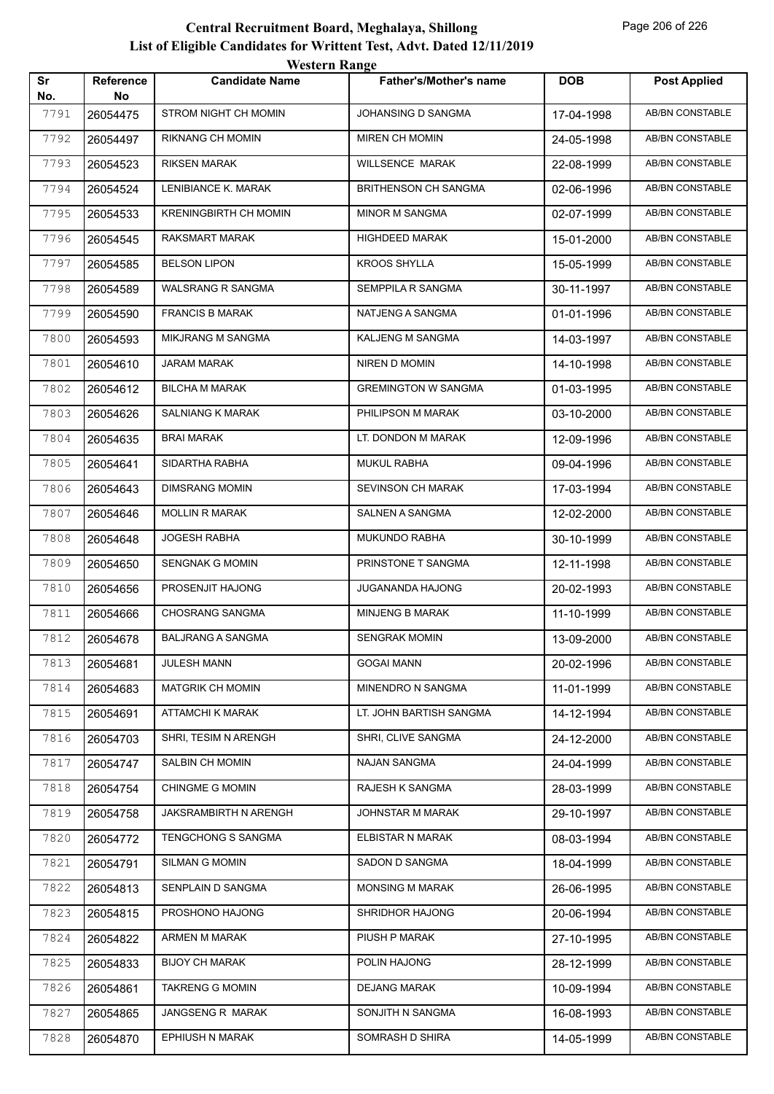|           |                        | western Kange                |                             |            |                        |
|-----------|------------------------|------------------------------|-----------------------------|------------|------------------------|
| Sr<br>No. | <b>Reference</b><br>No | <b>Candidate Name</b>        | Father's/Mother's name      | <b>DOB</b> | <b>Post Applied</b>    |
| 7791      | 26054475               | STROM NIGHT CH MOMIN         | JOHANSING D SANGMA          | 17-04-1998 | <b>AB/BN CONSTABLE</b> |
| 7792      | 26054497               | RIKNANG CH MOMIN             | MIREN CH MOMIN              | 24-05-1998 | AB/BN CONSTABLE        |
| 7793      | 26054523               | <b>RIKSEN MARAK</b>          | WILLSENCE MARAK             | 22-08-1999 | AB/BN CONSTABLE        |
| 7794      | 26054524               | LENIBIANCE K. MARAK          | <b>BRITHENSON CH SANGMA</b> | 02-06-1996 | <b>AB/BN CONSTABLE</b> |
| 7795      | 26054533               | <b>KRENINGBIRTH CH MOMIN</b> | <b>MINOR M SANGMA</b>       | 02-07-1999 | AB/BN CONSTABLE        |
| 7796      | 26054545               | RAKSMART MARAK               | <b>HIGHDEED MARAK</b>       | 15-01-2000 | AB/BN CONSTABLE        |
| 7797      | 26054585               | <b>BELSON LIPON</b>          | <b>KROOS SHYLLA</b>         | 15-05-1999 | AB/BN CONSTABLE        |
| 7798      | 26054589               | <b>WALSRANG R SANGMA</b>     | SEMPPILA R SANGMA           | 30-11-1997 | AB/BN CONSTABLE        |
| 7799      | 26054590               | <b>FRANCIS B MARAK</b>       | NATJENG A SANGMA            | 01-01-1996 | <b>AB/BN CONSTABLE</b> |
| 7800      | 26054593               | <b>MIKJRANG M SANGMA</b>     | KALJENG M SANGMA            | 14-03-1997 | AB/BN CONSTABLE        |
| 7801      | 26054610               | <b>JARAM MARAK</b>           | NIREN D MOMIN               | 14-10-1998 | AB/BN CONSTABLE        |
| 7802      | 26054612               | <b>BILCHA M MARAK</b>        | <b>GREMINGTON W SANGMA</b>  | 01-03-1995 | AB/BN CONSTABLE        |
| 7803      | 26054626               | <b>SALNIANG K MARAK</b>      | PHILIPSON M MARAK           | 03-10-2000 | AB/BN CONSTABLE        |
| 7804      | 26054635               | BRAI MARAK                   | LT. DONDON M MARAK          | 12-09-1996 | <b>AB/BN CONSTABLE</b> |
| 7805      | 26054641               | SIDARTHA RABHA               | <b>MUKUL RABHA</b>          | 09-04-1996 | AB/BN CONSTABLE        |
| 7806      | 26054643               | <b>DIMSRANG MOMIN</b>        | <b>SEVINSON CH MARAK</b>    | 17-03-1994 | AB/BN CONSTABLE        |
| 7807      | 26054646               | <b>MOLLIN R MARAK</b>        | SALNEN A SANGMA             | 12-02-2000 | AB/BN CONSTABLE        |
| 7808      | 26054648               | <b>JOGESH RABHA</b>          | MUKUNDO RABHA               | 30-10-1999 | AB/BN CONSTABLE        |
| 7809      | 26054650               | <b>SENGNAK G MOMIN</b>       | PRINSTONE T SANGMA          | 12-11-1998 | <b>AB/BN CONSTABLE</b> |
| 7810      | 26054656               | PROSENJIT HAJONG             | <b>JUGANANDA HAJONG</b>     | 20-02-1993 | AB/BN CONSTABLE        |
| 7811      | 26054666               | <b>CHOSRANG SANGMA</b>       | <b>MINJENG B MARAK</b>      | 11-10-1999 | AB/BN CONSTABLE        |
| 7812      | 26054678               | <b>BALJRANG A SANGMA</b>     | <b>SENGRAK MOMIN</b>        | 13-09-2000 | AB/BN CONSTABLE        |
| 7813      | 26054681               | JULESH MANN                  | <b>GOGAI MANN</b>           | 20-02-1996 | AB/BN CONSTABLE        |
| 7814      | 26054683               | <b>MATGRIK CH MOMIN</b>      | MINENDRO N SANGMA           | 11-01-1999 | AB/BN CONSTABLE        |
| 7815      | 26054691               | <b>ATTAMCHI K MARAK</b>      | LT. JOHN BARTISH SANGMA     | 14-12-1994 | AB/BN CONSTABLE        |
| 7816      | 26054703               | SHRI, TESIM N ARENGH         | SHRI, CLIVE SANGMA          | 24-12-2000 | AB/BN CONSTABLE        |
| 7817      | 26054747               | SALBIN CH MOMIN              | <b>NAJAN SANGMA</b>         | 24-04-1999 | AB/BN CONSTABLE        |
| 7818      | 26054754               | <b>CHINGME G MOMIN</b>       | RAJESH K SANGMA             | 28-03-1999 | AB/BN CONSTABLE        |
| 7819      | 26054758               | JAKSRAMBIRTH N ARENGH        | JOHNSTAR M MARAK            | 29-10-1997 | AB/BN CONSTABLE        |
| 7820      | 26054772               | <b>TENGCHONG S SANGMA</b>    | ELBISTAR N MARAK            | 08-03-1994 | AB/BN CONSTABLE        |
| 7821      | 26054791               | <b>SILMAN G MOMIN</b>        | SADON D SANGMA              | 18-04-1999 | AB/BN CONSTABLE        |
| 7822      | 26054813               | SENPLAIN D SANGMA            | <b>MONSING M MARAK</b>      | 26-06-1995 | AB/BN CONSTABLE        |
| 7823      | 26054815               | PROSHONO HAJONG              | SHRIDHOR HAJONG             | 20-06-1994 | AB/BN CONSTABLE        |
| 7824      | 26054822               | ARMEN M MARAK                | PIUSH P MARAK               | 27-10-1995 | AB/BN CONSTABLE        |
| 7825      | 26054833               | <b>BIJOY CH MARAK</b>        | POLIN HAJONG                | 28-12-1999 | AB/BN CONSTABLE        |
| 7826      | 26054861               | <b>TAKRENG G MOMIN</b>       | <b>DEJANG MARAK</b>         | 10-09-1994 | AB/BN CONSTABLE        |
| 7827      | 26054865               | JANGSENG R MARAK             | SONJITH N SANGMA            | 16-08-1993 | AB/BN CONSTABLE        |
| 7828      | 26054870               | EPHIUSH N MARAK              | SOMRASH D SHIRA             | 14-05-1999 | AB/BN CONSTABLE        |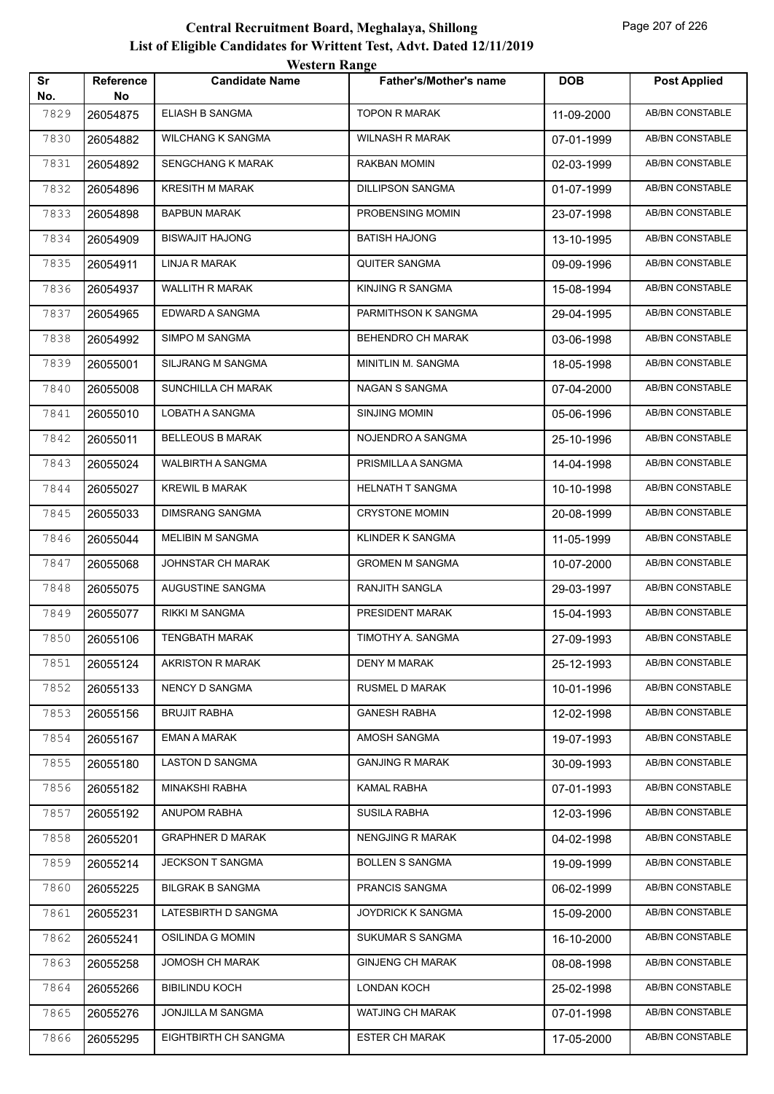|           |                 | <i>Western Kange</i>     |                               |            |                        |
|-----------|-----------------|--------------------------|-------------------------------|------------|------------------------|
| Sr<br>No. | Reference<br>No | <b>Candidate Name</b>    | <b>Father's/Mother's name</b> | <b>DOB</b> | <b>Post Applied</b>    |
| 7829      | 26054875        | <b>ELIASH B SANGMA</b>   | <b>TOPON R MARAK</b>          | 11-09-2000 | <b>AB/BN CONSTABLE</b> |
| 7830      | 26054882        | WILCHANG K SANGMA        | <b>WILNASH R MARAK</b>        | 07-01-1999 | AB/BN CONSTABLE        |
| 7831      | 26054892        | <b>SENGCHANG K MARAK</b> | RAKBAN MOMIN                  | 02-03-1999 | <b>AB/BN CONSTABLE</b> |
| 7832      | 26054896        | KRESITH M MARAK          | DILLIPSON SANGMA              | 01-07-1999 | AB/BN CONSTABLE        |
| 7833      | 26054898        | <b>BAPBUN MARAK</b>      | PROBENSING MOMIN              | 23-07-1998 | <b>AB/BN CONSTABLE</b> |
| 7834      | 26054909        | <b>BISWAJIT HAJONG</b>   | <b>BATISH HAJONG</b>          | 13-10-1995 | <b>AB/BN CONSTABLE</b> |
| 7835      | 26054911        | LINJA R MARAK            | QUITER SANGMA                 | 09-09-1996 | AB/BN CONSTABLE        |
| 7836      | 26054937        | <b>WALLITH R MARAK</b>   | KINJING R SANGMA              | 15-08-1994 | <b>AB/BN CONSTABLE</b> |
| 7837      | 26054965        | EDWARD A SANGMA          | PARMITHSON K SANGMA           | 29-04-1995 | AB/BN CONSTABLE        |
| 7838      | 26054992        | SIMPO M SANGMA           | BEHENDRO CH MARAK             | 03-06-1998 | <b>AB/BN CONSTABLE</b> |
| 7839      | 26055001        | SILJRANG M SANGMA        | MINITLIN M. SANGMA            | 18-05-1998 | <b>AB/BN CONSTABLE</b> |
| 7840      | 26055008        | SUNCHILLA CH MARAK       | NAGAN S SANGMA                | 07-04-2000 | AB/BN CONSTABLE        |
| 7841      | 26055010        | LOBATH A SANGMA          | <b>SINJING MOMIN</b>          | 05-06-1996 | <b>AB/BN CONSTABLE</b> |
| 7842      | 26055011        | <b>BELLEOUS B MARAK</b>  | NOJENDRO A SANGMA             | 25-10-1996 | AB/BN CONSTABLE        |
| 7843      | 26055024        | WALBIRTH A SANGMA        | PRISMILLA A SANGMA            | 14-04-1998 | <b>AB/BN CONSTABLE</b> |
| 7844      | 26055027        | <b>KREWIL B MARAK</b>    | <b>HELNATH T SANGMA</b>       | 10-10-1998 | <b>AB/BN CONSTABLE</b> |
| 7845      | 26055033        | <b>DIMSRANG SANGMA</b>   | <b>CRYSTONE MOMIN</b>         | 20-08-1999 | AB/BN CONSTABLE        |
| 7846      | 26055044        | MELIBIN M SANGMA         | KLINDER K SANGMA              | 11-05-1999 | <b>AB/BN CONSTABLE</b> |
| 7847      | 26055068        | JOHNSTAR CH MARAK        | <b>GROMEN M SANGMA</b>        | 10-07-2000 | AB/BN CONSTABLE        |
| 7848      | 26055075        | AUGUSTINE SANGMA         | RANJITH SANGLA                | 29-03-1997 | AB/BN CONSTABLE        |
| 7849      | 26055077        | RIKKI M SANGMA           | PRESIDENT MARAK               | 15-04-1993 | <b>AB/BN CONSTABLE</b> |
| 7850      | 26055106        | <b>TENGBATH MARAK</b>    | TIMOTHY A. SANGMA             | 27-09-1993 | AB/BN CONSTABLE        |
| 7851      | 26055124        | AKRISTON R MARAK         | <b>DENY M MARAK</b>           | 25-12-1993 | AB/BN CONSTABLE        |
| 7852      | 26055133        | NENCY D SANGMA           | RUSMEL D MARAK                | 10-01-1996 | AB/BN CONSTABLE        |
| 7853      | 26055156        | <b>BRUJIT RABHA</b>      | <b>GANESH RABHA</b>           | 12-02-1998 | AB/BN CONSTABLE        |
| 7854      | 26055167        | <b>EMAN A MARAK</b>      | AMOSH SANGMA                  | 19-07-1993 | AB/BN CONSTABLE        |
| 7855      | 26055180        | LASTON D SANGMA          | <b>GANJING R MARAK</b>        | 30-09-1993 | AB/BN CONSTABLE        |
| 7856      | 26055182        | MINAKSHI RABHA           | KAMAL RABHA                   | 07-01-1993 | AB/BN CONSTABLE        |
| 7857      | 26055192        | ANUPOM RABHA             | <b>SUSILA RABHA</b>           | 12-03-1996 | AB/BN CONSTABLE        |
| 7858      | 26055201        | <b>GRAPHNER D MARAK</b>  | NENGJING R MARAK              | 04-02-1998 | AB/BN CONSTABLE        |
| 7859      | 26055214        | JECKSON T SANGMA         | <b>BOLLEN S SANGMA</b>        | 19-09-1999 | AB/BN CONSTABLE        |
| 7860      | 26055225        | <b>BILGRAK B SANGMA</b>  | PRANCIS SANGMA                | 06-02-1999 | AB/BN CONSTABLE        |
| 7861      | 26055231        | LATESBIRTH D SANGMA      | <b>JOYDRICK K SANGMA</b>      | 15-09-2000 | AB/BN CONSTABLE        |
| 7862      | 26055241        | OSILINDA G MOMIN         | SUKUMAR S SANGMA              | 16-10-2000 | AB/BN CONSTABLE        |
| 7863      | 26055258        | <b>JOMOSH CH MARAK</b>   | <b>GINJENG CH MARAK</b>       | 08-08-1998 | AB/BN CONSTABLE        |
| 7864      | 26055266        | <b>BIBILINDU KOCH</b>    | <b>LONDAN KOCH</b>            | 25-02-1998 | AB/BN CONSTABLE        |
| 7865      | 26055276        | JONJILLA M SANGMA        | <b>WATJING CH MARAK</b>       | 07-01-1998 | AB/BN CONSTABLE        |
| 7866      | 26055295        | EIGHTBIRTH CH SANGMA     | <b>ESTER CH MARAK</b>         | 17-05-2000 | AB/BN CONSTABLE        |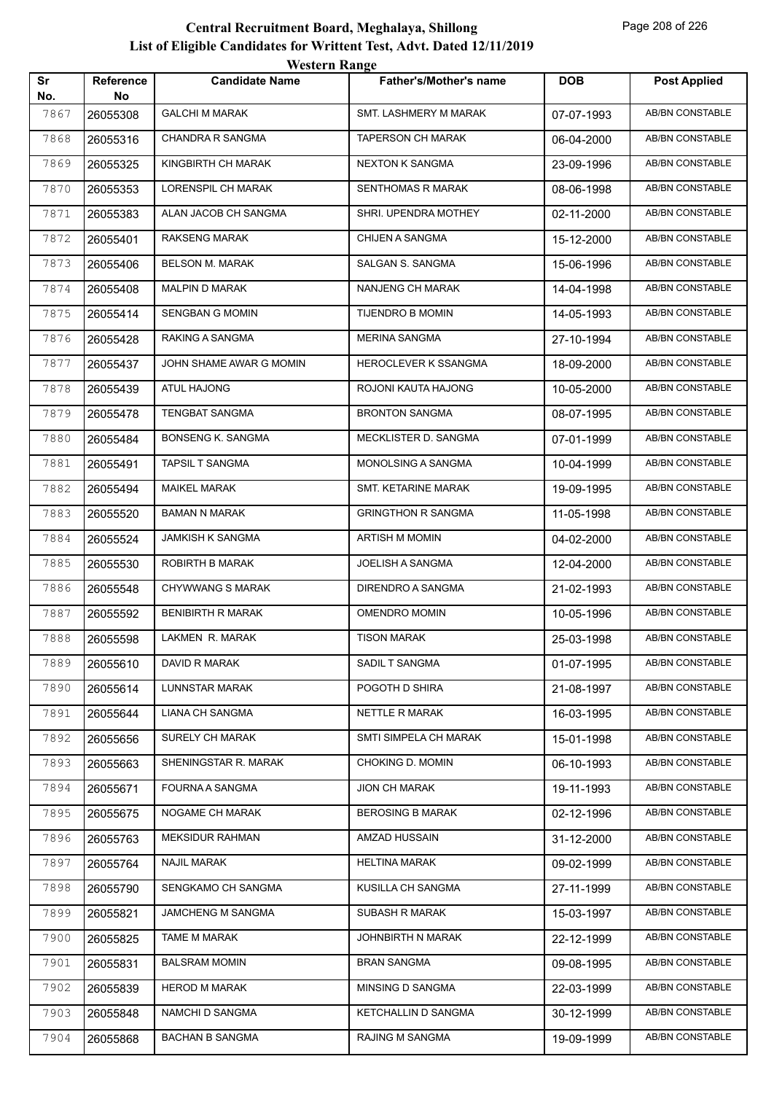|           |                        | western Kange             |                              |            |                        |
|-----------|------------------------|---------------------------|------------------------------|------------|------------------------|
| Sr<br>No. | <b>Reference</b><br>No | <b>Candidate Name</b>     | Father's/Mother's name       | <b>DOB</b> | <b>Post Applied</b>    |
| 7867      | 26055308               | <b>GALCHI M MARAK</b>     | <b>SMT. LASHMERY M MARAK</b> | 07-07-1993 | <b>AB/BN CONSTABLE</b> |
| 7868      | 26055316               | <b>CHANDRA R SANGMA</b>   | <b>TAPERSON CH MARAK</b>     | 06-04-2000 | AB/BN CONSTABLE        |
| 7869      | 26055325               | KINGBIRTH CH MARAK        | <b>NEXTON K SANGMA</b>       | 23-09-1996 | AB/BN CONSTABLE        |
| 7870      | 26055353               | <b>LORENSPIL CH MARAK</b> | SENTHOMAS R MARAK            | 08-06-1998 | <b>AB/BN CONSTABLE</b> |
| 7871      | 26055383               | ALAN JACOB CH SANGMA      | SHRI. UPENDRA MOTHEY         | 02-11-2000 | AB/BN CONSTABLE        |
| 7872      | 26055401               | <b>RAKSENG MARAK</b>      | <b>CHIJEN A SANGMA</b>       | 15-12-2000 | AB/BN CONSTABLE        |
| 7873      | 26055406               | <b>BELSON M. MARAK</b>    | SALGAN S. SANGMA             | 15-06-1996 | AB/BN CONSTABLE        |
| 7874      | 26055408               | <b>MALPIN D MARAK</b>     | NANJENG CH MARAK             | 14-04-1998 | AB/BN CONSTABLE        |
| 7875      | 26055414               | <b>SENGBAN G MOMIN</b>    | <b>TIJENDRO B MOMIN</b>      | 14-05-1993 | <b>AB/BN CONSTABLE</b> |
| 7876      | 26055428               | RAKING A SANGMA           | <b>MERINA SANGMA</b>         | 27-10-1994 | AB/BN CONSTABLE        |
| 7877      | 26055437               | JOHN SHAME AWAR G MOMIN   | HEROCLEVER K SSANGMA         | 18-09-2000 | AB/BN CONSTABLE        |
| 7878      | 26055439               | <b>ATUL HAJONG</b>        | ROJONI KAUTA HAJONG          | 10-05-2000 | AB/BN CONSTABLE        |
| 7879      | 26055478               | <b>TENGBAT SANGMA</b>     | <b>BRONTON SANGMA</b>        | 08-07-1995 | AB/BN CONSTABLE        |
| 7880      | 26055484               | <b>BONSENG K. SANGMA</b>  | MECKLISTER D. SANGMA         | 07-01-1999 | <b>AB/BN CONSTABLE</b> |
| 7881      | 26055491               | <b>TAPSIL T SANGMA</b>    | MONOLSING A SANGMA           | 10-04-1999 | AB/BN CONSTABLE        |
| 7882      | 26055494               | <b>MAIKEL MARAK</b>       | SMT. KETARINE MARAK          | 19-09-1995 | AB/BN CONSTABLE        |
| 7883      | 26055520               | <b>BAMAN N MARAK</b>      | <b>GRINGTHON R SANGMA</b>    | 11-05-1998 | AB/BN CONSTABLE        |
| 7884      | 26055524               | <b>JAMKISH K SANGMA</b>   | <b>ARTISH M MOMIN</b>        | 04-02-2000 | AB/BN CONSTABLE        |
| 7885      | 26055530               | ROBIRTH B MARAK           | JOELISH A SANGMA             | 12-04-2000 | <b>AB/BN CONSTABLE</b> |
| 7886      | 26055548               | <b>CHYWWANG S MARAK</b>   | DIRENDRO A SANGMA            | 21-02-1993 | AB/BN CONSTABLE        |
| 7887      | 26055592               | <b>BENIBIRTH R MARAK</b>  | OMENDRO MOMIN                | 10-05-1996 | AB/BN CONSTABLE        |
| 7888      | 26055598               | LAKMEN R. MARAK           | <b>TISON MARAK</b>           | 25-03-1998 | AB/BN CONSTABLE        |
| 7889      | 26055610               | DAVID R MARAK             | SADIL T SANGMA               | 01-07-1995 | AB/BN CONSTABLE        |
| 7890      | 26055614               | LUNNSTAR MARAK            | POGOTH D SHIRA               | 21-08-1997 | AB/BN CONSTABLE        |
| 7891      | 26055644               | LIANA CH SANGMA           | NETTLE R MARAK               | 16-03-1995 | AB/BN CONSTABLE        |
| 7892      | 26055656               | SURELY CH MARAK           | SMTI SIMPELA CH MARAK        | 15-01-1998 | AB/BN CONSTABLE        |
| 7893      | 26055663               | SHENINGSTAR R. MARAK      | CHOKING D. MOMIN             | 06-10-1993 | AB/BN CONSTABLE        |
| 7894      | 26055671               | FOURNA A SANGMA           | <b>JION CH MARAK</b>         | 19-11-1993 | AB/BN CONSTABLE        |
| 7895      | 26055675               | NOGAME CH MARAK           | <b>BEROSING B MARAK</b>      | 02-12-1996 | AB/BN CONSTABLE        |
| 7896      | 26055763               | <b>MEKSIDUR RAHMAN</b>    | AMZAD HUSSAIN                | 31-12-2000 | AB/BN CONSTABLE        |
| 7897      | 26055764               | <b>NAJIL MARAK</b>        | <b>HELTINA MARAK</b>         | 09-02-1999 | AB/BN CONSTABLE        |
| 7898      | 26055790               | SENGKAMO CH SANGMA        | KUSILLA CH SANGMA            | 27-11-1999 | AB/BN CONSTABLE        |
| 7899      | 26055821               | JAMCHENG M SANGMA         | SUBASH R MARAK               | 15-03-1997 | AB/BN CONSTABLE        |
| 7900      | 26055825               | TAME M MARAK              | JOHNBIRTH N MARAK            | 22-12-1999 | AB/BN CONSTABLE        |
| 7901      | 26055831               | <b>BALSRAM MOMIN</b>      | <b>BRAN SANGMA</b>           | 09-08-1995 | AB/BN CONSTABLE        |
| 7902      | 26055839               | <b>HEROD M MARAK</b>      | MINSING D SANGMA             | 22-03-1999 | AB/BN CONSTABLE        |
| 7903      | 26055848               | NAMCHI D SANGMA           | KETCHALLIN D SANGMA          | 30-12-1999 | AB/BN CONSTABLE        |
| 7904      | 26055868               | <b>BACHAN B SANGMA</b>    | RAJING M SANGMA              | 19-09-1999 | AB/BN CONSTABLE        |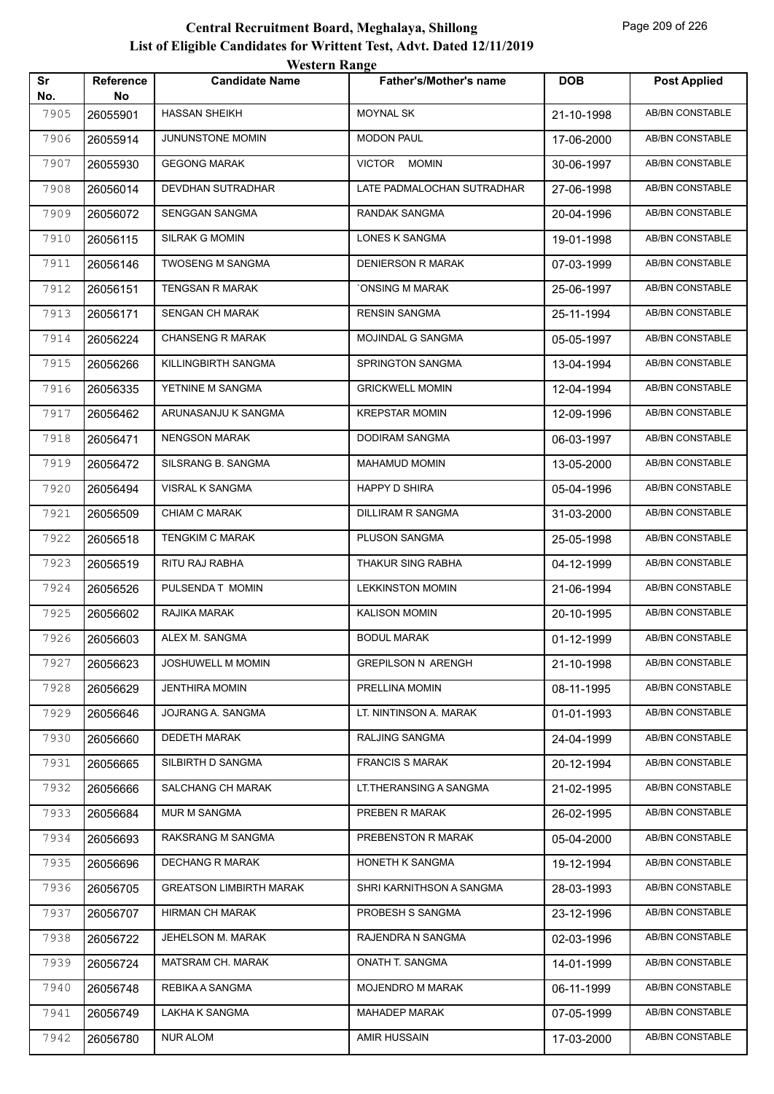| Sr<br>No. | <b>Reference</b><br>No | <b>Candidate Name</b>          | <b>Father's/Mother's name</b> | <b>DOB</b> | <b>Post Applied</b>    |
|-----------|------------------------|--------------------------------|-------------------------------|------------|------------------------|
| 7905      | 26055901               | <b>HASSAN SHEIKH</b>           | <b>MOYNAL SK</b>              | 21-10-1998 | <b>AB/BN CONSTABLE</b> |
| 7906      | 26055914               | JUNUNSTONE MOMIN               | <b>MODON PAUL</b>             | 17-06-2000 | AB/BN CONSTABLE        |
| 7907      | 26055930               | <b>GEGONG MARAK</b>            | VICTOR MOMIN                  | 30-06-1997 | AB/BN CONSTABLE        |
| 7908      | 26056014               | DEVDHAN SUTRADHAR              | LATE PADMALOCHAN SUTRADHAR    | 27-06-1998 | AB/BN CONSTABLE        |
| 7909      | 26056072               | SENGGAN SANGMA                 | RANDAK SANGMA                 | 20-04-1996 | <b>AB/BN CONSTABLE</b> |
| 7910      | 26056115               | SILRAK G MOMIN                 | LONES K SANGMA                | 19-01-1998 | <b>AB/BN CONSTABLE</b> |
| 7911      | 26056146               | <b>TWOSENG M SANGMA</b>        | <b>DENIERSON R MARAK</b>      | 07-03-1999 | AB/BN CONSTABLE        |
| 7912      | 26056151               | <b>TENGSAN R MARAK</b>         | <b>ONSING M MARAK</b>         | 25-06-1997 | AB/BN CONSTABLE        |
| 7913      | 26056171               | SENGAN CH MARAK                | <b>RENSIN SANGMA</b>          | 25-11-1994 | AB/BN CONSTABLE        |
| 7914      | 26056224               | <b>CHANSENG R MARAK</b>        | MOJINDAL G SANGMA             | 05-05-1997 | AB/BN CONSTABLE        |
| 7915      | 26056266               | KILLINGBIRTH SANGMA            | <b>SPRINGTON SANGMA</b>       | 13-04-1994 | <b>AB/BN CONSTABLE</b> |
| 7916      | 26056335               | YETNINE M SANGMA               | <b>GRICKWELL MOMIN</b>        | 12-04-1994 | AB/BN CONSTABLE        |
| 7917      | 26056462               | ARUNASANJU K SANGMA            | <b>KREPSTAR MOMIN</b>         | 12-09-1996 | AB/BN CONSTABLE        |
| 7918      | 26056471               | <b>NENGSON MARAK</b>           | DODIRAM SANGMA                | 06-03-1997 | AB/BN CONSTABLE        |
| 7919      | 26056472               | SILSRANG B. SANGMA             | <b>MAHAMUD MOMIN</b>          | 13-05-2000 | <b>AB/BN CONSTABLE</b> |
| 7920      | 26056494               | VISRAL K SANGMA                | <b>HAPPY D SHIRA</b>          | 05-04-1996 | <b>AB/BN CONSTABLE</b> |
| 7921      | 26056509               | <b>CHIAM C MARAK</b>           | DILLIRAM R SANGMA             | 31-03-2000 | AB/BN CONSTABLE        |
| 7922      | 26056518               | <b>TENGKIM C MARAK</b>         | PLUSON SANGMA                 | 25-05-1998 | AB/BN CONSTABLE        |
| 7923      | 26056519               | RITU RAJ RABHA                 | THAKUR SING RABHA             | 04-12-1999 | AB/BN CONSTABLE        |
| 7924      | 26056526               | PULSENDA T MOMIN               | <b>LEKKINSTON MOMIN</b>       | 21-06-1994 | AB/BN CONSTABLE        |
| 7925      | 26056602               | RAJIKA MARAK                   | <b>KALISON MOMIN</b>          | 20-10-1995 | AB/BN CONSTABLE        |
| 7926      | 26056603               | ALEX M. SANGMA                 | <b>BODUL MARAK</b>            | 01-12-1999 | AB/BN CONSTABLE        |
| 7927      | 26056623               | <b>JOSHUWELL M MOMIN</b>       | <b>GREPILSON N ARENGH</b>     | 21-10-1998 | AB/BN CONSTABLE        |
| 7928      | 26056629               | <b>JENTHIRA MOMIN</b>          | PRELLINA MOMIN                | 08-11-1995 | AB/BN CONSTABLE        |
| 7929      | 26056646               | JOJRANG A. SANGMA              | LT. NINTINSON A. MARAK        | 01-01-1993 | <b>AB/BN CONSTABLE</b> |
| 7930      | 26056660               | <b>DEDETH MARAK</b>            | RALJING SANGMA                | 24-04-1999 | AB/BN CONSTABLE        |
| 7931      | 26056665               | SILBIRTH D SANGMA              | <b>FRANCIS S MARAK</b>        | 20-12-1994 | AB/BN CONSTABLE        |
| 7932      | 26056666               | SALCHANG CH MARAK              | LT.THERANSING A SANGMA        | 21-02-1995 | AB/BN CONSTABLE        |
| 7933      | 26056684               | MUR M SANGMA                   | PREBEN R MARAK                | 26-02-1995 | AB/BN CONSTABLE        |
| 7934      | 26056693               | RAKSRANG M SANGMA              | PREBENSTON R MARAK            | 05-04-2000 | AB/BN CONSTABLE        |
| 7935      | 26056696               | <b>DECHANG R MARAK</b>         | HONETH K SANGMA               | 19-12-1994 | AB/BN CONSTABLE        |
| 7936      | 26056705               | <b>GREATSON LIMBIRTH MARAK</b> | SHRI KARNITHSON A SANGMA      | 28-03-1993 | AB/BN CONSTABLE        |
| 7937      | 26056707               | <b>HIRMAN CH MARAK</b>         | PROBESH S SANGMA              | 23-12-1996 | AB/BN CONSTABLE        |
| 7938      | 26056722               | <b>JEHELSON M. MARAK</b>       | RAJENDRA N SANGMA             | 02-03-1996 | AB/BN CONSTABLE        |
| 7939      | 26056724               | MATSRAM CH. MARAK              | ONATH T. SANGMA               | 14-01-1999 | AB/BN CONSTABLE        |
| 7940      | 26056748               | REBIKA A SANGMA                | MOJENDRO M MARAK              | 06-11-1999 | AB/BN CONSTABLE        |
| 7941      | 26056749               | LAKHA K SANGMA                 | MAHADEP MARAK                 | 07-05-1999 | AB/BN CONSTABLE        |
| 7942      | 26056780               | <b>NUR ALOM</b>                | AMIR HUSSAIN                  | 17-03-2000 | AB/BN CONSTABLE        |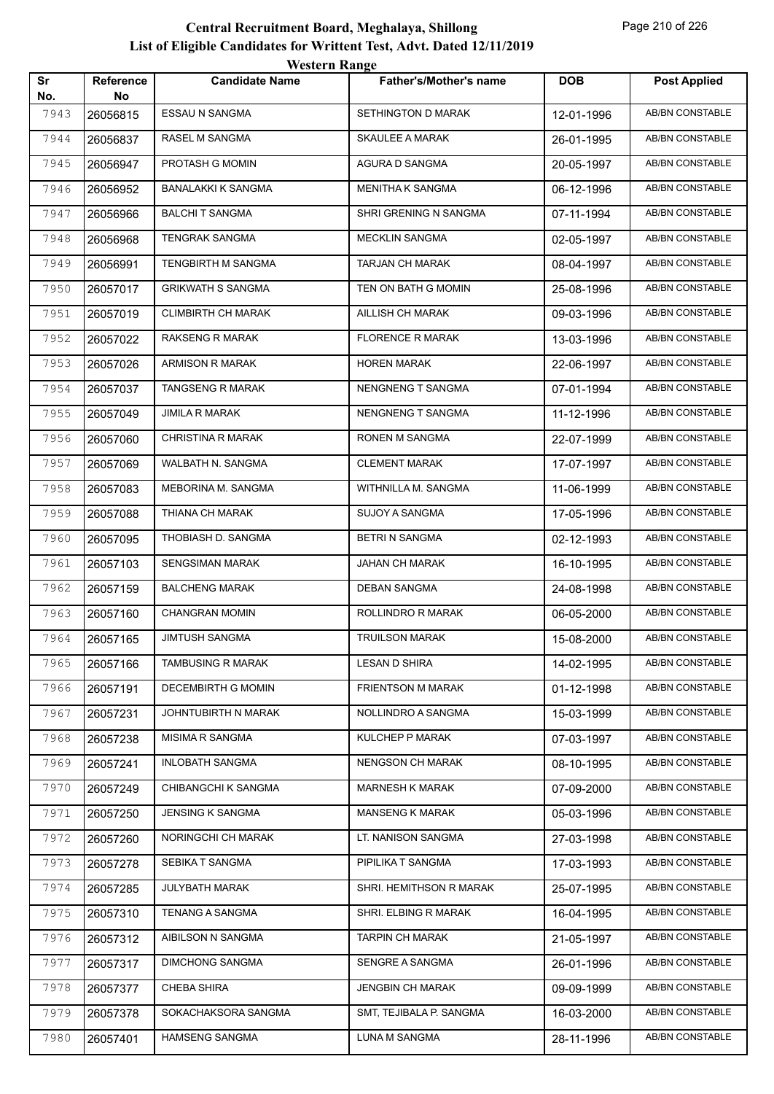|           |                 | <i>Western Kange</i>      |                               |            |                        |
|-----------|-----------------|---------------------------|-------------------------------|------------|------------------------|
| Sr<br>No. | Reference<br>No | <b>Candidate Name</b>     | <b>Father's/Mother's name</b> | <b>DOB</b> | <b>Post Applied</b>    |
| 7943      | 26056815        | <b>ESSAU N SANGMA</b>     | SETHINGTON D MARAK            | 12-01-1996 | <b>AB/BN CONSTABLE</b> |
| 7944      | 26056837        | RASEL M SANGMA            | <b>SKAULEE A MARAK</b>        | 26-01-1995 | AB/BN CONSTABLE        |
| 7945      | 26056947        | PROTASH G MOMIN           | AGURA D SANGMA                | 20-05-1997 | AB/BN CONSTABLE        |
| 7946      | 26056952        | <b>BANALAKKI K SANGMA</b> | MENITHA K SANGMA              | 06-12-1996 | AB/BN CONSTABLE        |
| 7947      | 26056966        | <b>BALCHIT SANGMA</b>     | SHRI GRENING N SANGMA         | 07-11-1994 | AB/BN CONSTABLE        |
| 7948      | 26056968        | TENGRAK SANGMA            | <b>MECKLIN SANGMA</b>         | 02-05-1997 | <b>AB/BN CONSTABLE</b> |
| 7949      | 26056991        | TENGBIRTH M SANGMA        | TARJAN CH MARAK               | 08-04-1997 | AB/BN CONSTABLE        |
| 7950      | 26057017        | <b>GRIKWATH S SANGMA</b>  | TEN ON BATH G MOMIN           | 25-08-1996 | AB/BN CONSTABLE        |
| 7951      | 26057019        | <b>CLIMBIRTH CH MARAK</b> | AILLISH CH MARAK              | 09-03-1996 | AB/BN CONSTABLE        |
| 7952      | 26057022        | RAKSENG R MARAK           | <b>FLORENCE R MARAK</b>       | 13-03-1996 | AB/BN CONSTABLE        |
| 7953      | 26057026        | ARMISON R MARAK           | <b>HOREN MARAK</b>            | 22-06-1997 | <b>AB/BN CONSTABLE</b> |
| 7954      | 26057037        | TANGSENG R MARAK          | <b>NENGNENG T SANGMA</b>      | 07-01-1994 | AB/BN CONSTABLE        |
| 7955      | 26057049        | <b>JIMILA R MARAK</b>     | <b>NENGNENG T SANGMA</b>      | 11-12-1996 | <b>AB/BN CONSTABLE</b> |
| 7956      | 26057060        | CHRISTINA R MARAK         | RONEN M SANGMA                | 22-07-1999 | AB/BN CONSTABLE        |
| 7957      | 26057069        | WALBATH N. SANGMA         | <b>CLEMENT MARAK</b>          | 17-07-1997 | AB/BN CONSTABLE        |
| 7958      | 26057083        | MEBORINA M. SANGMA        | WITHNILLA M. SANGMA           | 11-06-1999 | <b>AB/BN CONSTABLE</b> |
| 7959      | 26057088        | THIANA CH MARAK           | SUJOY A SANGMA                | 17-05-1996 | AB/BN CONSTABLE        |
| 7960      | 26057095        | THOBIASH D. SANGMA        | <b>BETRI N SANGMA</b>         | 02-12-1993 | AB/BN CONSTABLE        |
| 7961      | 26057103        | <b>SENGSIMAN MARAK</b>    | JAHAN CH MARAK                | 16-10-1995 | AB/BN CONSTABLE        |
| 7962      | 26057159        | <b>BALCHENG MARAK</b>     | <b>DEBAN SANGMA</b>           | 24-08-1998 | <b>AB/BN CONSTABLE</b> |
| 7963      | 26057160        | <b>CHANGRAN MOMIN</b>     | ROLLINDRO R MARAK             | 06-05-2000 | <b>AB/BN CONSTABLE</b> |
| 7964      | 26057165        | <b>JIMTUSH SANGMA</b>     | <b>TRUILSON MARAK</b>         | 15-08-2000 | AB/BN CONSTABLE        |
| 7965      | 26057166        | TAMBUSING R MARAK         | <b>LESAN D SHIRA</b>          | 14-02-1995 | AB/BN CONSTABLE        |
| 7966      | 26057191        | <b>DECEMBIRTH G MOMIN</b> | FRIENTSON M MARAK             | 01-12-1998 | AB/BN CONSTABLE        |
| 7967      | 26057231        | JOHNTUBIRTH N MARAK       | NOLLINDRO A SANGMA            | 15-03-1999 | AB/BN CONSTABLE        |
| 7968      | 26057238        | MISIMA R SANGMA           | KULCHEP P MARAK               | 07-03-1997 | AB/BN CONSTABLE        |
| 7969      | 26057241        | <b>INLOBATH SANGMA</b>    | NENGSON CH MARAK              | 08-10-1995 | AB/BN CONSTABLE        |
| 7970      | 26057249        | CHIBANGCHI K SANGMA       | <b>MARNESH K MARAK</b>        | 07-09-2000 | AB/BN CONSTABLE        |
| 7971      | 26057250        | <b>JENSING K SANGMA</b>   | <b>MANSENG K MARAK</b>        | 05-03-1996 | AB/BN CONSTABLE        |
| 7972      | 26057260        | NORINGCHI CH MARAK        | LT. NANISON SANGMA            | 27-03-1998 | AB/BN CONSTABLE        |
| 7973      | 26057278        | SEBIKA T SANGMA           | PIPILIKA T SANGMA             | 17-03-1993 | AB/BN CONSTABLE        |
| 7974      | 26057285        | JULYBATH MARAK            | SHRI. HEMITHSON R MARAK       | 25-07-1995 | AB/BN CONSTABLE        |
| 7975      | 26057310        | <b>TENANG A SANGMA</b>    | SHRI. ELBING R MARAK          | 16-04-1995 | AB/BN CONSTABLE        |
| 7976      | 26057312        | AIBILSON N SANGMA         | <b>TARPIN CH MARAK</b>        | 21-05-1997 | AB/BN CONSTABLE        |
| 7977      | 26057317        | <b>DIMCHONG SANGMA</b>    | SENGRE A SANGMA               | 26-01-1996 | AB/BN CONSTABLE        |
| 7978      | 26057377        | CHEBA SHIRA               | <b>JENGBIN CH MARAK</b>       | 09-09-1999 | AB/BN CONSTABLE        |
| 7979      | 26057378        | SOKACHAKSORA SANGMA       | SMT, TEJIBALA P. SANGMA       | 16-03-2000 | AB/BN CONSTABLE        |
| 7980      | 26057401        | <b>HAMSENG SANGMA</b>     | <b>LUNA M SANGMA</b>          | 28-11-1996 | AB/BN CONSTABLE        |
|           |                 |                           |                               |            |                        |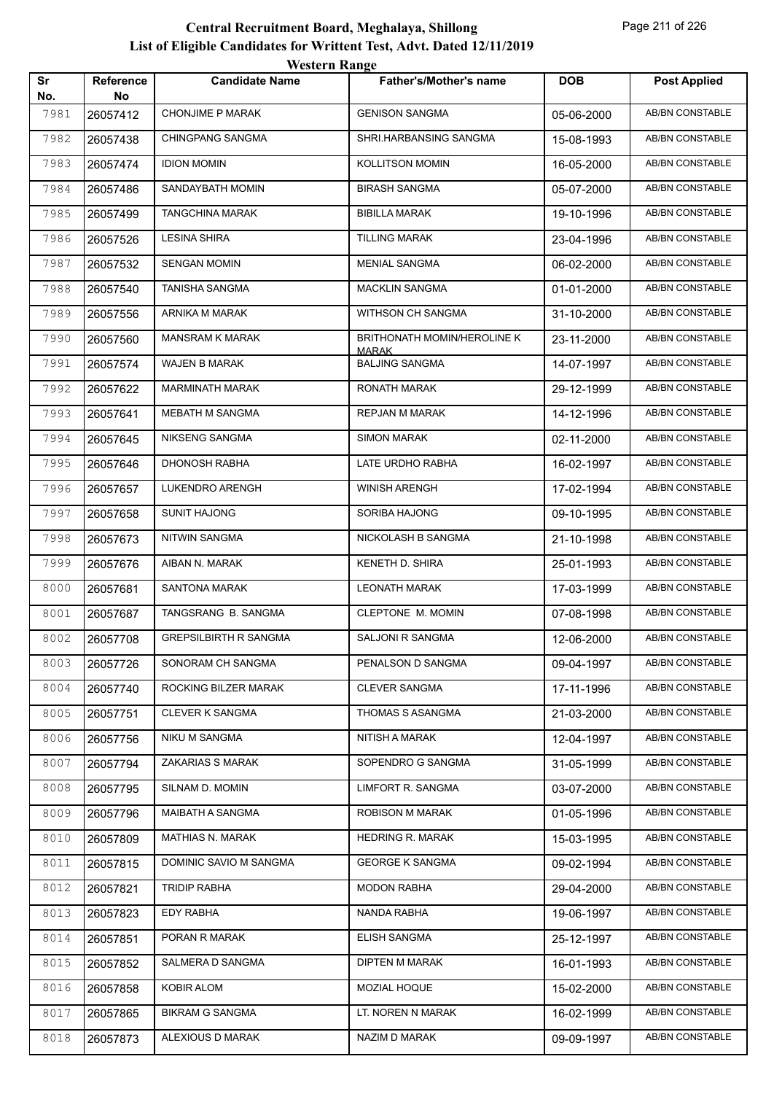|           |                 | <i><b>WEBULL WALLET</b></i>  |                                       |            |                        |
|-----------|-----------------|------------------------------|---------------------------------------|------------|------------------------|
| Sr<br>No. | Reference<br>No | <b>Candidate Name</b>        | <b>Father's/Mother's name</b>         | <b>DOB</b> | <b>Post Applied</b>    |
| 7981      | 26057412        | <b>CHONJIME P MARAK</b>      | <b>GENISON SANGMA</b>                 | 05-06-2000 | <b>AB/BN CONSTABLE</b> |
| 7982      | 26057438        | CHINGPANG SANGMA             | SHRI.HARBANSING SANGMA                | 15-08-1993 | <b>AB/BN CONSTABLE</b> |
| 7983      | 26057474        | <b>IDION MOMIN</b>           | <b>KOLLITSON MOMIN</b>                | 16-05-2000 | <b>AB/BN CONSTABLE</b> |
| 7984      | 26057486        | SANDAYBATH MOMIN             | <b>BIRASH SANGMA</b>                  | 05-07-2000 | <b>AB/BN CONSTABLE</b> |
| 7985      | 26057499        | TANGCHINA MARAK              | <b>BIBILLA MARAK</b>                  | 19-10-1996 | AB/BN CONSTABLE        |
| 7986      | 26057526        | LESINA SHIRA                 | TILLING MARAK                         | 23-04-1996 | AB/BN CONSTABLE        |
| 7987      | 26057532        | <b>SENGAN MOMIN</b>          | <b>MENIAL SANGMA</b>                  | 06-02-2000 | <b>AB/BN CONSTABLE</b> |
| 7988      | 26057540        | <b>TANISHA SANGMA</b>        | <b>MACKLIN SANGMA</b>                 | 01-01-2000 | <b>AB/BN CONSTABLE</b> |
| 7989      | 26057556        | ARNIKA M MARAK               | WITHSON CH SANGMA                     | 31-10-2000 | AB/BN CONSTABLE        |
| 7990      | 26057560        | <b>MANSRAM K MARAK</b>       | BRITHONATH MOMIN/HEROLINE K           | 23-11-2000 | AB/BN CONSTABLE        |
| 7991      | 26057574        | WAJEN B MARAK                | <b>MARAK</b><br><b>BALJING SANGMA</b> | 14-07-1997 | AB/BN CONSTABLE        |
| 7992      | 26057622        | <b>MARMINATH MARAK</b>       | RONATH MARAK                          | 29-12-1999 | <b>AB/BN CONSTABLE</b> |
| 7993      | 26057641        | MEBATH M SANGMA              | REPJAN M MARAK                        | 14-12-1996 | AB/BN CONSTABLE        |
| 7994      | 26057645        | NIKSENG SANGMA               | <b>SIMON MARAK</b>                    | 02-11-2000 | AB/BN CONSTABLE        |
| 7995      | 26057646        | <b>DHONOSH RABHA</b>         | LATE URDHO RABHA                      | 16-02-1997 | AB/BN CONSTABLE        |
| 7996      | 26057657        | LUKENDRO ARENGH              | <b>WINISH ARENGH</b>                  | 17-02-1994 | AB/BN CONSTABLE        |
| 7997      | 26057658        | <b>SUNIT HAJONG</b>          | SORIBA HAJONG                         | 09-10-1995 | <b>AB/BN CONSTABLE</b> |
| 7998      | 26057673        | <b>NITWIN SANGMA</b>         | NICKOLASH B SANGMA                    | 21-10-1998 | AB/BN CONSTABLE        |
| 7999      | 26057676        | AIBAN N. MARAK               | KENETH D. SHIRA                       | 25-01-1993 | AB/BN CONSTABLE        |
| 8000      | 26057681        | <b>SANTONA MARAK</b>         | <b>LEONATH MARAK</b>                  | 17-03-1999 | AB/BN CONSTABLE        |
| 8001      | 26057687        | TANGSRANG B. SANGMA          | CLEPTONE M. MOMIN                     | 07-08-1998 | AB/BN CONSTABLE        |
| 8002      | 26057708        | <b>GREPSILBIRTH R SANGMA</b> | SALJONI R SANGMA                      | 12-06-2000 | <b>AB/BN CONSTABLE</b> |
| 8003      | 26057726        | SONORAM CH SANGMA            | PENALSON D SANGMA                     | 09-04-1997 | AB/BN CONSTABLE        |
| 8004      | 26057740        | ROCKING BILZER MARAK         | <b>CLEVER SANGMA</b>                  | 17-11-1996 | AB/BN CONSTABLE        |
| 8005      | 26057751        | CLEVER K SANGMA              | THOMAS S ASANGMA                      | 21-03-2000 | AB/BN CONSTABLE        |
| 8006      | 26057756        | NIKU M SANGMA                | NITISH A MARAK                        | 12-04-1997 | AB/BN CONSTABLE        |
| 8007      | 26057794        | ZAKARIAS S MARAK             | SOPENDRO G SANGMA                     | 31-05-1999 | AB/BN CONSTABLE        |
| 8008      | 26057795        | SILNAM D. MOMIN              | LIMFORT R. SANGMA                     | 03-07-2000 | AB/BN CONSTABLE        |
| 8009      | 26057796        | MAIBATH A SANGMA             | <b>ROBISON M MARAK</b>                | 01-05-1996 | AB/BN CONSTABLE        |
| 8010      | 26057809        | MATHIAS N. MARAK             | <b>HEDRING R. MARAK</b>               | 15-03-1995 | AB/BN CONSTABLE        |
| 8011      | 26057815        | DOMINIC SAVIO M SANGMA       | <b>GEORGE K SANGMA</b>                | 09-02-1994 | AB/BN CONSTABLE        |
| 8012      | 26057821        | TRIDIP RABHA                 | <b>MODON RABHA</b>                    | 29-04-2000 | AB/BN CONSTABLE        |
| 8013      | 26057823        | <b>EDY RABHA</b>             | NANDA RABHA                           | 19-06-1997 | AB/BN CONSTABLE        |
| 8014      | 26057851        | PORAN R MARAK                | ELISH SANGMA                          | 25-12-1997 | AB/BN CONSTABLE        |
| 8015      | 26057852        | SALMERA D SANGMA             | DIPTEN M MARAK                        | 16-01-1993 | AB/BN CONSTABLE        |
| 8016      | 26057858        | <b>KOBIR ALOM</b>            | MOZIAL HOQUE                          | 15-02-2000 | AB/BN CONSTABLE        |
| 8017      | 26057865        | BIKRAM G SANGMA              | LT. NOREN N MARAK                     | 16-02-1999 | AB/BN CONSTABLE        |
| 8018      | 26057873        | ALEXIOUS D MARAK             | NAZIM D MARAK                         | 09-09-1997 | AB/BN CONSTABLE        |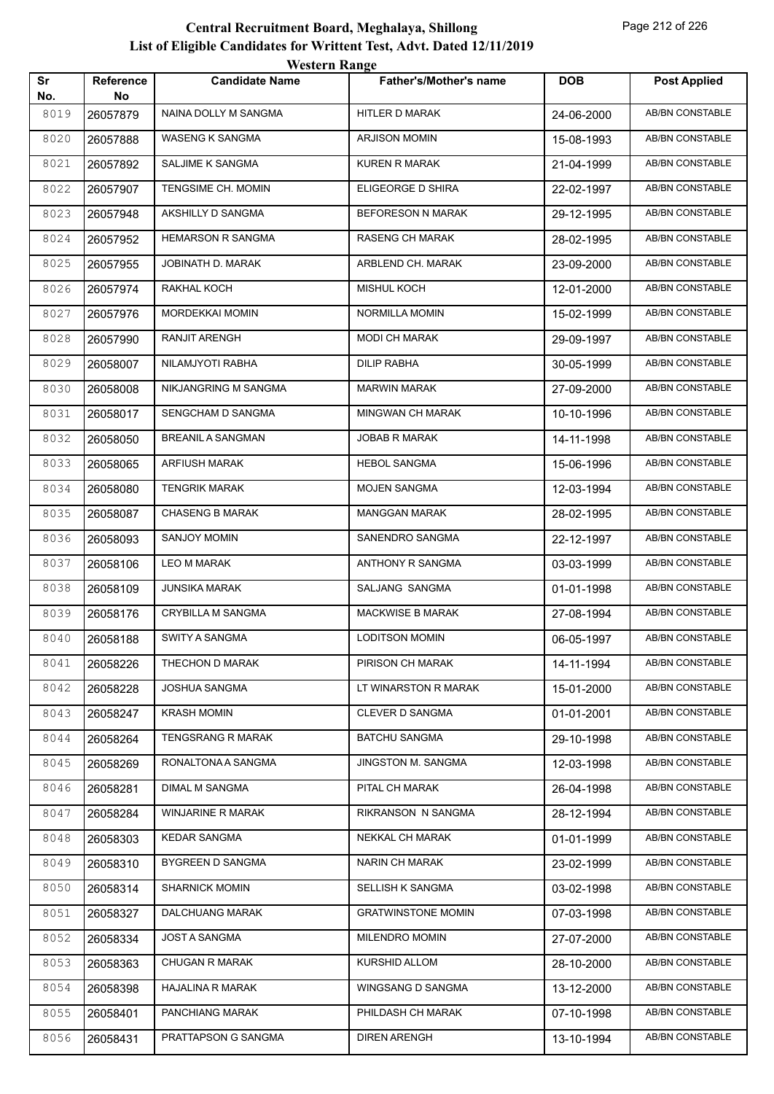|           |                 | <i>Western Kange</i>     |                               |            |                        |
|-----------|-----------------|--------------------------|-------------------------------|------------|------------------------|
| Sr<br>No. | Reference<br>No | <b>Candidate Name</b>    | <b>Father's/Mother's name</b> | <b>DOB</b> | <b>Post Applied</b>    |
| 8019      | 26057879        | NAINA DOLLY M SANGMA     | <b>HITLER D MARAK</b>         | 24-06-2000 | <b>AB/BN CONSTABLE</b> |
| 8020      | 26057888        | WASENG K SANGMA          | <b>ARJISON MOMIN</b>          | 15-08-1993 | AB/BN CONSTABLE        |
| 8021      | 26057892        | SALJIME K SANGMA         | <b>KUREN R MARAK</b>          | 21-04-1999 | <b>AB/BN CONSTABLE</b> |
| 8022      | 26057907        | TENGSIME CH. MOMIN       | ELIGEORGE D SHIRA             | 22-02-1997 | AB/BN CONSTABLE        |
| 8023      | 26057948        | AKSHILLY D SANGMA        | <b>BEFORESON N MARAK</b>      | 29-12-1995 | <b>AB/BN CONSTABLE</b> |
| 8024      | 26057952        | <b>HEMARSON R SANGMA</b> | RASENG CH MARAK               | 28-02-1995 | <b>AB/BN CONSTABLE</b> |
| 8025      | 26057955        | JOBINATH D. MARAK        | ARBLEND CH. MARAK             | 23-09-2000 | AB/BN CONSTABLE        |
| 8026      | 26057974        | RAKHAL KOCH              | <b>MISHUL KOCH</b>            | 12-01-2000 | AB/BN CONSTABLE        |
| 8027      | 26057976        | <b>MORDEKKAI MOMIN</b>   | NORMILLA MOMIN                | 15-02-1999 | AB/BN CONSTABLE        |
| 8028      | 26057990        | RANJIT ARENGH            | <b>MODI CH MARAK</b>          | 29-09-1997 | AB/BN CONSTABLE        |
| 8029      | 26058007        | NILAMJYOTI RABHA         | <b>DILIP RABHA</b>            | 30-05-1999 | <b>AB/BN CONSTABLE</b> |
| 8030      | 26058008        | NIKJANGRING M SANGMA     | <b>MARWIN MARAK</b>           | 27-09-2000 | AB/BN CONSTABLE        |
| 8031      | 26058017        | SENGCHAM D SANGMA        | MINGWAN CH MARAK              | 10-10-1996 | <b>AB/BN CONSTABLE</b> |
| 8032      | 26058050        | <b>BREANIL A SANGMAN</b> | <b>JOBAB R MARAK</b>          | 14-11-1998 | AB/BN CONSTABLE        |
| 8033      | 26058065        | <b>ARFIUSH MARAK</b>     | <b>HEBOL SANGMA</b>           | 15-06-1996 | <b>AB/BN CONSTABLE</b> |
| 8034      | 26058080        | <b>TENGRIK MARAK</b>     | <b>MOJEN SANGMA</b>           | 12-03-1994 | <b>AB/BN CONSTABLE</b> |
| 8035      | 26058087        | <b>CHASENG B MARAK</b>   | <b>MANGGAN MARAK</b>          | 28-02-1995 | AB/BN CONSTABLE        |
| 8036      | 26058093        | <b>SANJOY MOMIN</b>      | SANENDRO SANGMA               | 22-12-1997 | AB/BN CONSTABLE        |
| 8037      | 26058106        | LEO M MARAK              | ANTHONY R SANGMA              | 03-03-1999 | AB/BN CONSTABLE        |
| 8038      | 26058109        | <b>JUNSIKA MARAK</b>     | SALJANG SANGMA                | 01-01-1998 | <b>AB/BN CONSTABLE</b> |
| 8039      | 26058176        | <b>CRYBILLA M SANGMA</b> | MACKWISE B MARAK              | 27-08-1994 | <b>AB/BN CONSTABLE</b> |
| 8040      | 26058188        | <b>SWITY A SANGMA</b>    | <b>LODITSON MOMIN</b>         | 06-05-1997 | <b>AB/BN CONSTABLE</b> |
| 8041      | 26058226        | THECHON D MARAK          | PIRISON CH MARAK              | 14-11-1994 | AB/BN CONSTABLE        |
| 8042      | 26058228        | JOSHUA SANGMA            | LT WINARSTON R MARAK          | 15-01-2000 | AB/BN CONSTABLE        |
| 8043      | 26058247        | <b>KRASH MOMIN</b>       | CLEVER D SANGMA               | 01-01-2001 | AB/BN CONSTABLE        |
| 8044      | 26058264        | TENGSRANG R MARAK        | <b>BATCHU SANGMA</b>          | 29-10-1998 | AB/BN CONSTABLE        |
| 8045      | 26058269        | RONALTONA A SANGMA       | JINGSTON M. SANGMA            | 12-03-1998 | AB/BN CONSTABLE        |
| 8046      | 26058281        | <b>DIMAL M SANGMA</b>    | PITAL CH MARAK                | 26-04-1998 | AB/BN CONSTABLE        |
| 8047      | 26058284        | WINJARINE R MARAK        | RIKRANSON N SANGMA            | 28-12-1994 | <b>AB/BN CONSTABLE</b> |
| 8048      | 26058303        | <b>KEDAR SANGMA</b>      | NEKKAL CH MARAK               | 01-01-1999 | AB/BN CONSTABLE        |
| 8049      | 26058310        | BYGREEN D SANGMA         | NARIN CH MARAK                | 23-02-1999 | AB/BN CONSTABLE        |
| 8050      | 26058314        | <b>SHARNICK MOMIN</b>    | SELLISH K SANGMA              | 03-02-1998 | AB/BN CONSTABLE        |
| 8051      | 26058327        | DALCHUANG MARAK          | <b>GRATWINSTONE MOMIN</b>     | 07-03-1998 | AB/BN CONSTABLE        |
| 8052      | 26058334        | JOST A SANGMA            | MILENDRO MOMIN                | 27-07-2000 | AB/BN CONSTABLE        |
| 8053      | 26058363        | <b>CHUGAN R MARAK</b>    | KURSHID ALLOM                 | 28-10-2000 | AB/BN CONSTABLE        |
| 8054      | 26058398        | <b>HAJALINA R MARAK</b>  | WINGSANG D SANGMA             | 13-12-2000 | AB/BN CONSTABLE        |
| 8055      | 26058401        | PANCHIANG MARAK          | PHILDASH CH MARAK             | 07-10-1998 | AB/BN CONSTABLE        |
| 8056      | 26058431        | PRATTAPSON G SANGMA      | <b>DIREN ARENGH</b>           | 13-10-1994 | AB/BN CONSTABLE        |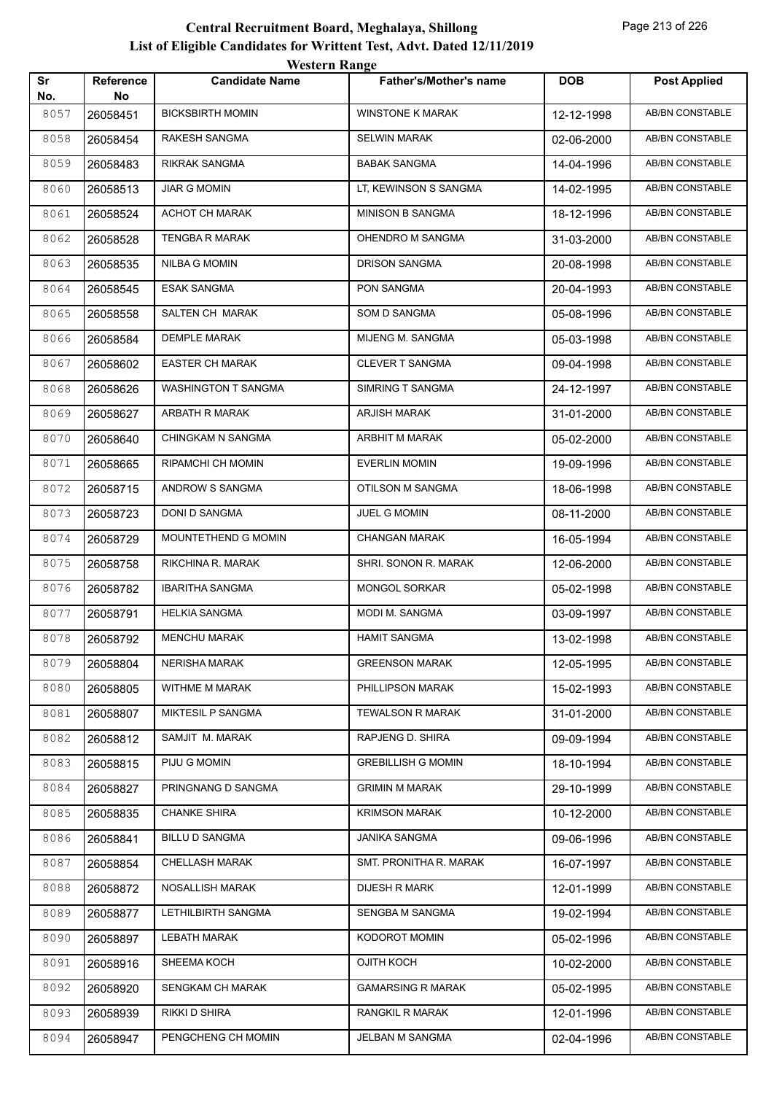|           |                        | WESTEL II INALIZE        |                               |            |                        |
|-----------|------------------------|--------------------------|-------------------------------|------------|------------------------|
| Sr<br>No. | <b>Reference</b><br>No | <b>Candidate Name</b>    | <b>Father's/Mother's name</b> | <b>DOB</b> | <b>Post Applied</b>    |
| 8057      | 26058451               | <b>BICKSBIRTH MOMIN</b>  | <b>WINSTONE K MARAK</b>       | 12-12-1998 | <b>AB/BN CONSTABLE</b> |
| 8058      | 26058454               | RAKESH SANGMA            | <b>SELWIN MARAK</b>           | 02-06-2000 | AB/BN CONSTABLE        |
| 8059      | 26058483               | RIKRAK SANGMA            | <b>BABAK SANGMA</b>           | 14-04-1996 | AB/BN CONSTABLE        |
| 8060      | 26058513               | <b>JIAR G MOMIN</b>      | LT, KEWINSON S SANGMA         | 14-02-1995 | <b>AB/BN CONSTABLE</b> |
| 8061      | 26058524               | ACHOT CH MARAK           | <b>MINISON B SANGMA</b>       | 18-12-1996 | <b>AB/BN CONSTABLE</b> |
| 8062      | 26058528               | TENGBA R MARAK           | OHENDRO M SANGMA              | 31-03-2000 | <b>AB/BN CONSTABLE</b> |
| 8063      | 26058535               | NILBA G MOMIN            | DRISON SANGMA                 | 20-08-1998 | <b>AB/BN CONSTABLE</b> |
| 8064      | 26058545               | <b>ESAK SANGMA</b>       | PON SANGMA                    | 20-04-1993 | AB/BN CONSTABLE        |
| 8065      | 26058558               | SALTEN CH MARAK          | SOM D SANGMA                  | 05-08-1996 | <b>AB/BN CONSTABLE</b> |
| 8066      | 26058584               | <b>DEMPLE MARAK</b>      | MIJENG M. SANGMA              | 05-03-1998 | AB/BN CONSTABLE        |
| 8067      | 26058602               | EASTER CH MARAK          | <b>CLEVER T SANGMA</b>        | 09-04-1998 | <b>AB/BN CONSTABLE</b> |
| 8068      | 26058626               | WASHINGTON T SANGMA      | SIMRING T SANGMA              | 24-12-1997 | <b>AB/BN CONSTABLE</b> |
| 8069      | 26058627               | ARBATH R MARAK           | <b>ARJISH MARAK</b>           | 31-01-2000 | AB/BN CONSTABLE        |
| 8070      | 26058640               | CHINGKAM N SANGMA        | ARBHIT M MARAK                | 05-02-2000 | <b>AB/BN CONSTABLE</b> |
| 8071      | 26058665               | RIPAMCHI CH MOMIN        | <b>EVERLIN MOMIN</b>          | 19-09-1996 | AB/BN CONSTABLE        |
| 8072      | 26058715               | ANDROW S SANGMA          | OTILSON M SANGMA              | 18-06-1998 | <b>AB/BN CONSTABLE</b> |
| 8073      | 26058723               | DONI D SANGMA            | JUEL G MOMIN                  | 08-11-2000 | AB/BN CONSTABLE        |
| 8074      | 26058729               | MOUNTETHEND G MOMIN      | <b>CHANGAN MARAK</b>          | 16-05-1994 | AB/BN CONSTABLE        |
| 8075      | 26058758               | RIKCHINA R. MARAK        | SHRI. SONON R. MARAK          | 12-06-2000 | AB/BN CONSTABLE        |
| 8076      | 26058782               | <b>IBARITHA SANGMA</b>   | <b>MONGOL SORKAR</b>          | 05-02-1998 | <b>AB/BN CONSTABLE</b> |
| 8077      | 26058791               | <b>HELKIA SANGMA</b>     | MODI M. SANGMA                | 03-09-1997 | AB/BN CONSTABLE        |
| 8078      | 26058792               | <b>MENCHU MARAK</b>      | <b>HAMIT SANGMA</b>           | 13-02-1998 | AB/BN CONSTABLE        |
| 8079      | 26058804               | <b>NERISHA MARAK</b>     | <b>GREENSON MARAK</b>         | 12-05-1995 | AB/BN CONSTABLE        |
| 8080      | 26058805               | WITHME M MARAK           | PHILLIPSON MARAK              | 15-02-1993 | AB/BN CONSTABLE        |
| 8081      | 26058807               | <b>MIKTESIL P SANGMA</b> | <b>TEWALSON R MARAK</b>       | 31-01-2000 | AB/BN CONSTABLE        |
| 8082      | 26058812               | SAMJIT M. MARAK          | RAPJENG D. SHIRA              | 09-09-1994 | AB/BN CONSTABLE        |
| 8083      | 26058815               | PIJU G MOMIN             | <b>GREBILLISH G MOMIN</b>     | 18-10-1994 | AB/BN CONSTABLE        |
| 8084      | 26058827               | PRINGNANG D SANGMA       | <b>GRIMIN M MARAK</b>         | 29-10-1999 | AB/BN CONSTABLE        |
| 8085      | 26058835               | <b>CHANKE SHIRA</b>      | <b>KRIMSON MARAK</b>          | 10-12-2000 | AB/BN CONSTABLE        |
| 8086      | 26058841               | <b>BILLU D SANGMA</b>    | <b>JANIKA SANGMA</b>          | 09-06-1996 | AB/BN CONSTABLE        |
| 8087      | 26058854               | CHELLASH MARAK           | SMT. PRONITHA R. MARAK        | 16-07-1997 | AB/BN CONSTABLE        |
| 8088      | 26058872               | NOSALLISH MARAK          | <b>DIJESH R MARK</b>          | 12-01-1999 | AB/BN CONSTABLE        |
| 8089      | 26058877               | LETHILBIRTH SANGMA       | SENGBA M SANGMA               | 19-02-1994 | AB/BN CONSTABLE        |
| 8090      | 26058897               | <b>LEBATH MARAK</b>      | KODOROT MOMIN                 | 05-02-1996 | AB/BN CONSTABLE        |
| 8091      | 26058916               | SHEEMA KOCH              | OJITH KOCH                    | 10-02-2000 | AB/BN CONSTABLE        |
| 8092      | 26058920               | SENGKAM CH MARAK         | <b>GAMARSING R MARAK</b>      | 05-02-1995 | AB/BN CONSTABLE        |
| 8093      | 26058939               | RIKKI D SHIRA            | <b>RANGKIL R MARAK</b>        | 12-01-1996 | AB/BN CONSTABLE        |
| 8094      | 26058947               | PENGCHENG CH MOMIN       | JELBAN M SANGMA               | 02-04-1996 | AB/BN CONSTABLE        |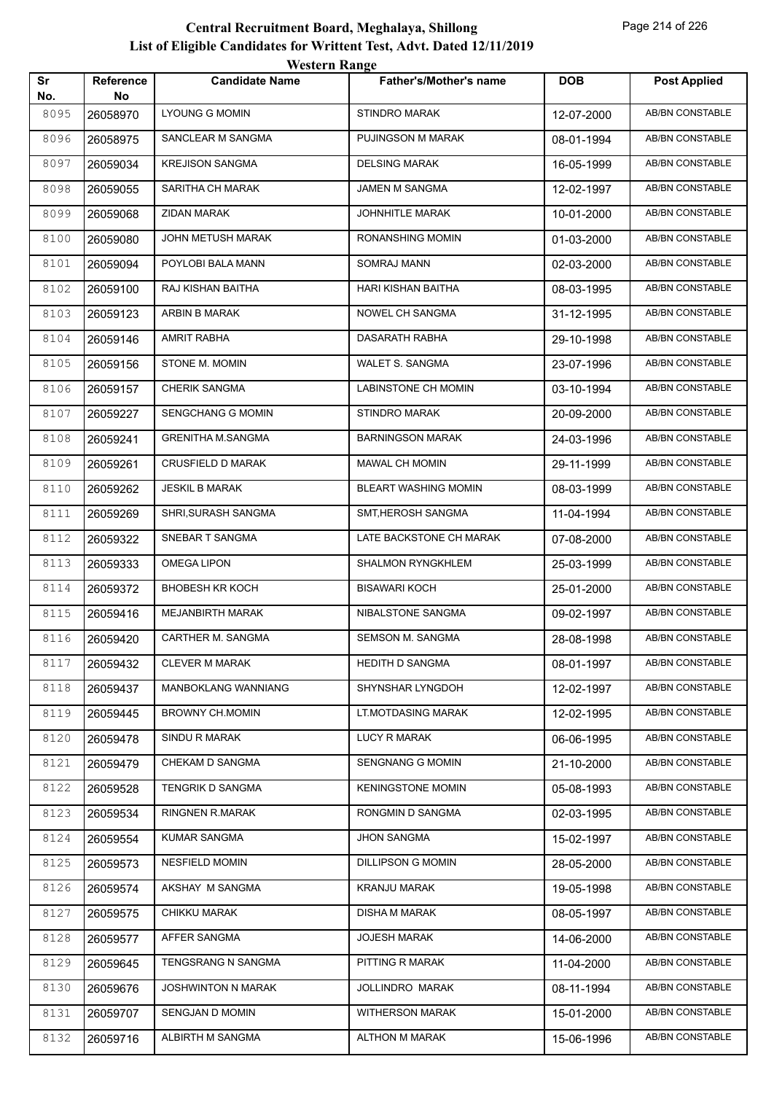|           |                         | WESTEL II INALIZE        |                               |            |                        |
|-----------|-------------------------|--------------------------|-------------------------------|------------|------------------------|
| Sr<br>No. | <b>Reference</b><br>No. | <b>Candidate Name</b>    | <b>Father's/Mother's name</b> | <b>DOB</b> | <b>Post Applied</b>    |
| 8095      | 26058970                | <b>LYOUNG G MOMIN</b>    | <b>STINDRO MARAK</b>          | 12-07-2000 | <b>AB/BN CONSTABLE</b> |
| 8096      | 26058975                | SANCLEAR M SANGMA        | PUJINGSON M MARAK             | 08-01-1994 | AB/BN CONSTABLE        |
| 8097      | 26059034                | <b>KREJISON SANGMA</b>   | <b>DELSING MARAK</b>          | 16-05-1999 | AB/BN CONSTABLE        |
| 8098      | 26059055                | SARITHA CH MARAK         | JAMEN M SANGMA                | 12-02-1997 | AB/BN CONSTABLE        |
| 8099      | 26059068                | ZIDAN MARAK              | JOHNHITLE MARAK               | 10-01-2000 | <b>AB/BN CONSTABLE</b> |
| 8100      | 26059080                | JOHN METUSH MARAK        | RONANSHING MOMIN              | 01-03-2000 | AB/BN CONSTABLE        |
| 8101      | 26059094                | POYLOBI BALA MANN        | SOMRAJ MANN                   | 02-03-2000 | AB/BN CONSTABLE        |
| 8102      | 26059100                | RAJ KISHAN BAITHA        | HARI KISHAN BAITHA            | 08-03-1995 | AB/BN CONSTABLE        |
| 8103      | 26059123                | ARBIN B MARAK            | NOWEL CH SANGMA               | 31-12-1995 | AB/BN CONSTABLE        |
| 8104      | 26059146                | AMRIT RABHA              | DASARATH RABHA                | 29-10-1998 | <b>AB/BN CONSTABLE</b> |
| 8105      | 26059156                | STONE M. MOMIN           | WALET S. SANGMA               | 23-07-1996 | AB/BN CONSTABLE        |
| 8106      | 26059157                | <b>CHERIK SANGMA</b>     | LABINSTONE CH MOMIN           | 03-10-1994 | AB/BN CONSTABLE        |
| 8107      | 26059227                | SENGCHANG G MOMIN        | <b>STINDRO MARAK</b>          | 20-09-2000 | AB/BN CONSTABLE        |
| 8108      | 26059241                | <b>GRENITHA M.SANGMA</b> | <b>BARNINGSON MARAK</b>       | 24-03-1996 | AB/BN CONSTABLE        |
| 8109      | 26059261                | <b>CRUSFIELD D MARAK</b> | MAWAL CH MOMIN                | 29-11-1999 | AB/BN CONSTABLE        |
| 8110      | 26059262                | <b>JESKIL B MARAK</b>    | BLEART WASHING MOMIN          | 08-03-1999 | AB/BN CONSTABLE        |
| 8111      | 26059269                | SHRI, SURASH SANGMA      | SMT, HEROSH SANGMA            | 11-04-1994 | AB/BN CONSTABLE        |
| 8112      | 26059322                | SNEBAR T SANGMA          | LATE BACKSTONE CH MARAK       | 07-08-2000 | AB/BN CONSTABLE        |
| 8113      | 26059333                | OMEGA LIPON              | SHALMON RYNGKHLEM             | 25-03-1999 | AB/BN CONSTABLE        |
| 8114      | 26059372                | <b>BHOBESH KR KOCH</b>   | <b>BISAWARI KOCH</b>          | 25-01-2000 | <b>AB/BN CONSTABLE</b> |
| 8115      | 26059416                | MEJANBIRTH MARAK         | NIBALSTONE SANGMA             | 09-02-1997 | AB/BN CONSTABLE        |
| 8116      | 26059420                | CARTHER M. SANGMA        | <b>SEMSON M. SANGMA</b>       | 28-08-1998 | AB/BN CONSTABLE        |
| 8117      | 26059432                | <b>CLEVER M MARAK</b>    | <b>HEDITH D SANGMA</b>        | 08-01-1997 | AB/BN CONSTABLE        |
| 8118      | 26059437                | MANBOKLANG WANNIANG      | SHYNSHAR LYNGDOH              | 12-02-1997 | AB/BN CONSTABLE        |
| 8119      | 26059445                | <b>BROWNY CH.MOMIN</b>   | LT.MOTDASING MARAK            | 12-02-1995 | AB/BN CONSTABLE        |
| 8120      | 26059478                | SINDU R MARAK            | <b>LUCY R MARAK</b>           | 06-06-1995 | AB/BN CONSTABLE        |
| 8121      | 26059479                | CHEKAM D SANGMA          | <b>SENGNANG G MOMIN</b>       | 21-10-2000 | AB/BN CONSTABLE        |
| 8122      | 26059528                | TENGRIK D SANGMA         | <b>KENINGSTONE MOMIN</b>      | 05-08-1993 | AB/BN CONSTABLE        |
| 8123      | 26059534                | <b>RINGNEN R.MARAK</b>   | RONGMIN D SANGMA              | 02-03-1995 | AB/BN CONSTABLE        |
| 8124      | 26059554                | KUMAR SANGMA             | <b>JHON SANGMA</b>            | 15-02-1997 | AB/BN CONSTABLE        |
| 8125      | 26059573                | <b>NESFIELD MOMIN</b>    | <b>DILLIPSON G MOMIN</b>      | 28-05-2000 | AB/BN CONSTABLE        |
| 8126      | 26059574                | AKSHAY M SANGMA          | <b>KRANJU MARAK</b>           | 19-05-1998 | AB/BN CONSTABLE        |
| 8127      | 26059575                | CHIKKU MARAK             | <b>DISHA M MARAK</b>          | 08-05-1997 | AB/BN CONSTABLE        |
| 8128      | 26059577                | AFFER SANGMA             | <b>JOJESH MARAK</b>           | 14-06-2000 | AB/BN CONSTABLE        |
| 8129      | 26059645                | TENGSRANG N SANGMA       | PITTING R MARAK               | 11-04-2000 | AB/BN CONSTABLE        |
| 8130      | 26059676                | JOSHWINTON N MARAK       | JOLLINDRO MARAK               | 08-11-1994 | AB/BN CONSTABLE        |
| 8131      | 26059707                | SENGJAN D MOMIN          | <b>WITHERSON MARAK</b>        | 15-01-2000 | AB/BN CONSTABLE        |
| 8132      | 26059716                | ALBIRTH M SANGMA         | <b>ALTHON M MARAK</b>         | 15-06-1996 | AB/BN CONSTABLE        |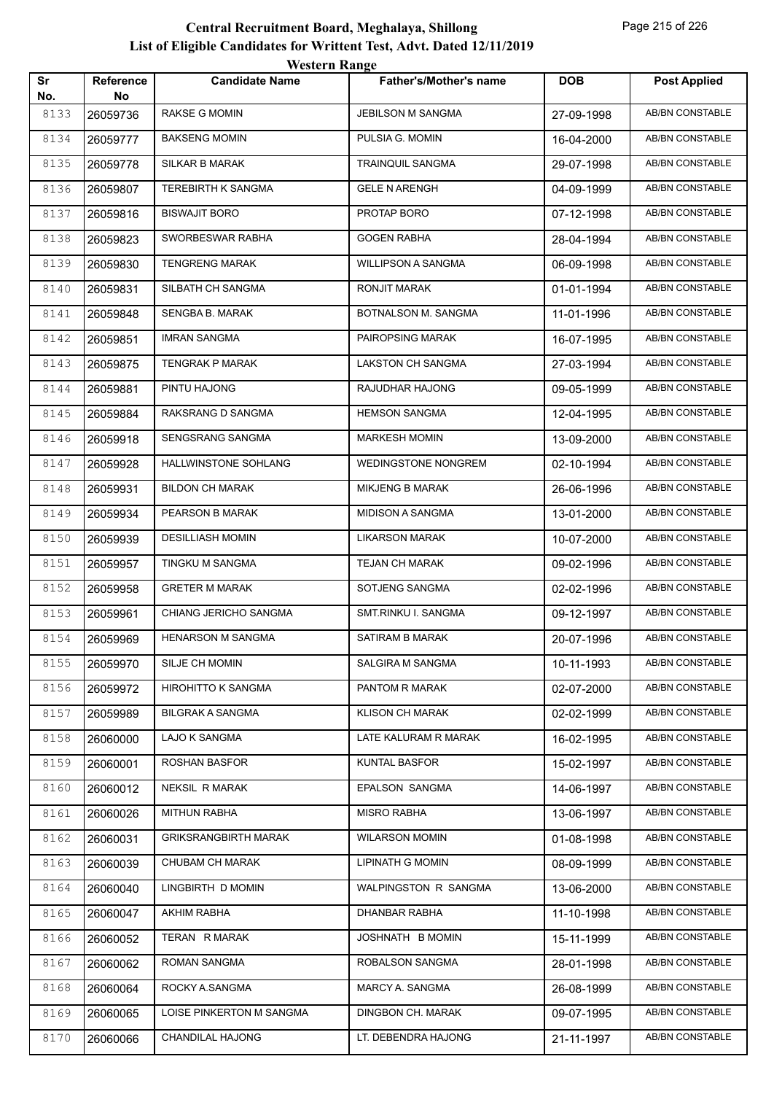| Sr          | Reference      | <b>Candidate Name</b>       | Father's/Mother's name     | <b>DOB</b> | <b>Post Applied</b>    |
|-------------|----------------|-----------------------------|----------------------------|------------|------------------------|
| No.<br>8133 | No<br>26059736 | RAKSE G MOMIN               | JEBILSON M SANGMA          | 27-09-1998 | AB/BN CONSTABLE        |
| 8134        | 26059777       | <b>BAKSENG MOMIN</b>        | PULSIA G. MOMIN            | 16-04-2000 | AB/BN CONSTABLE        |
| 8135        | 26059778       | SILKAR B MARAK              | TRAINQUIL SANGMA           | 29-07-1998 | <b>AB/BN CONSTABLE</b> |
| 8136        | 26059807       | TEREBIRTH K SANGMA          | <b>GELE N ARENGH</b>       | 04-09-1999 | AB/BN CONSTABLE        |
| 8137        | 26059816       | <b>BISWAJIT BORO</b>        | PROTAP BORO                | 07-12-1998 | AB/BN CONSTABLE        |
| 8138        | 26059823       | SWORBESWAR RABHA            | <b>GOGEN RABHA</b>         | 28-04-1994 | AB/BN CONSTABLE        |
| 8139        | 26059830       | <b>TENGRENG MARAK</b>       | <b>WILLIPSON A SANGMA</b>  | 06-09-1998 | AB/BN CONSTABLE        |
| 8140        | 26059831       | SILBATH CH SANGMA           | RONJIT MARAK               | 01-01-1994 | AB/BN CONSTABLE        |
| 8141        | 26059848       | SENGBA B. MARAK             | BOTNALSON M. SANGMA        | 11-01-1996 | AB/BN CONSTABLE        |
| 8142        | 26059851       | <b>IMRAN SANGMA</b>         | PAIROPSING MARAK           | 16-07-1995 | AB/BN CONSTABLE        |
| 8143        | 26059875       | TENGRAK P MARAK             | LAKSTON CH SANGMA          | 27-03-1994 | AB/BN CONSTABLE        |
| 8144        | 26059881       | PINTU HAJONG                | RAJUDHAR HAJONG            | 09-05-1999 | <b>AB/BN CONSTABLE</b> |
| 8145        | 26059884       | RAKSRANG D SANGMA           | <b>HEMSON SANGMA</b>       | 12-04-1995 | AB/BN CONSTABLE        |
| 8146        | 26059918       | SENGSRANG SANGMA            | <b>MARKESH MOMIN</b>       | 13-09-2000 | AB/BN CONSTABLE        |
| 8147        | 26059928       | HALLWINSTONE SOHLANG        | <b>WEDINGSTONE NONGREM</b> | 02-10-1994 | AB/BN CONSTABLE        |
| 8148        | 26059931       | <b>BILDON CH MARAK</b>      | MIKJENG B MARAK            | 26-06-1996 | AB/BN CONSTABLE        |
| 8149        | 26059934       | PEARSON B MARAK             | <b>MIDISON A SANGMA</b>    | 13-01-2000 | AB/BN CONSTABLE        |
| 8150        | 26059939       | <b>DESILLIASH MOMIN</b>     | LIKARSON MARAK             | 10-07-2000 | AB/BN CONSTABLE        |
| 8151        | 26059957       | TINGKU M SANGMA             | <b>TEJAN CH MARAK</b>      | 09-02-1996 | AB/BN CONSTABLE        |
| 8152        | 26059958       | <b>GRETER M MARAK</b>       | SOTJENG SANGMA             | 02-02-1996 | <b>AB/BN CONSTABLE</b> |
| 8153        | 26059961       | CHIANG JERICHO SANGMA       | SMT.RINKU I. SANGMA        | 09-12-1997 | AB/BN CONSTABLE        |
| 8154        | 26059969       | <b>HENARSON M SANGMA</b>    | SATIRAM B MARAK            | 20-07-1996 | AB/BN CONSTABLE        |
| 8155        | 26059970       | SILJE CH MOMIN              | SALGIRA M SANGMA           | 10-11-1993 | AB/BN CONSTABLE        |
| 8156        | 26059972       | <b>HIROHITTO K SANGMA</b>   | PANTOM R MARAK             | 02-07-2000 | AB/BN CONSTABLE        |
| 8157        | 26059989       | <b>BILGRAK A SANGMA</b>     | <b>KLISON CH MARAK</b>     | 02-02-1999 | AB/BN CONSTABLE        |
| 8158        | 26060000       | LAJO K SANGMA               | LATE KALURAM R MARAK       | 16-02-1995 | AB/BN CONSTABLE        |
| 8159        | 26060001       | ROSHAN BASFOR               | <b>KUNTAL BASFOR</b>       | 15-02-1997 | AB/BN CONSTABLE        |
| 8160        | 26060012       | <b>NEKSIL R MARAK</b>       | EPALSON SANGMA             | 14-06-1997 | AB/BN CONSTABLE        |
| 8161        | 26060026       | <b>MITHUN RABHA</b>         | <b>MISRO RABHA</b>         | 13-06-1997 | AB/BN CONSTABLE        |
| 8162        | 26060031       | <b>GRIKSRANGBIRTH MARAK</b> | <b>WILARSON MOMIN</b>      | 01-08-1998 | AB/BN CONSTABLE        |
| 8163        | 26060039       | CHUBAM CH MARAK             | <b>LIPINATH G MOMIN</b>    | 08-09-1999 | AB/BN CONSTABLE        |
| 8164        | 26060040       | LINGBIRTH D MOMIN           | WALPINGSTON R SANGMA       | 13-06-2000 | AB/BN CONSTABLE        |
| 8165        | 26060047       | AKHIM RABHA                 | DHANBAR RABHA              | 11-10-1998 | AB/BN CONSTABLE        |
| 8166        | 26060052       | TERAN R MARAK               | JOSHNATH B MOMIN           | 15-11-1999 | AB/BN CONSTABLE        |
| 8167        | 26060062       | ROMAN SANGMA                | ROBALSON SANGMA            | 28-01-1998 | AB/BN CONSTABLE        |
| 8168        | 26060064       | ROCKY A.SANGMA              | MARCY A. SANGMA            | 26-08-1999 | AB/BN CONSTABLE        |
| 8169        | 26060065       | LOISE PINKERTON M SANGMA    | DINGBON CH. MARAK          | 09-07-1995 | AB/BN CONSTABLE        |
| 8170        | 26060066       | CHANDILAL HAJONG            | LT. DEBENDRA HAJONG        | 21-11-1997 | AB/BN CONSTABLE        |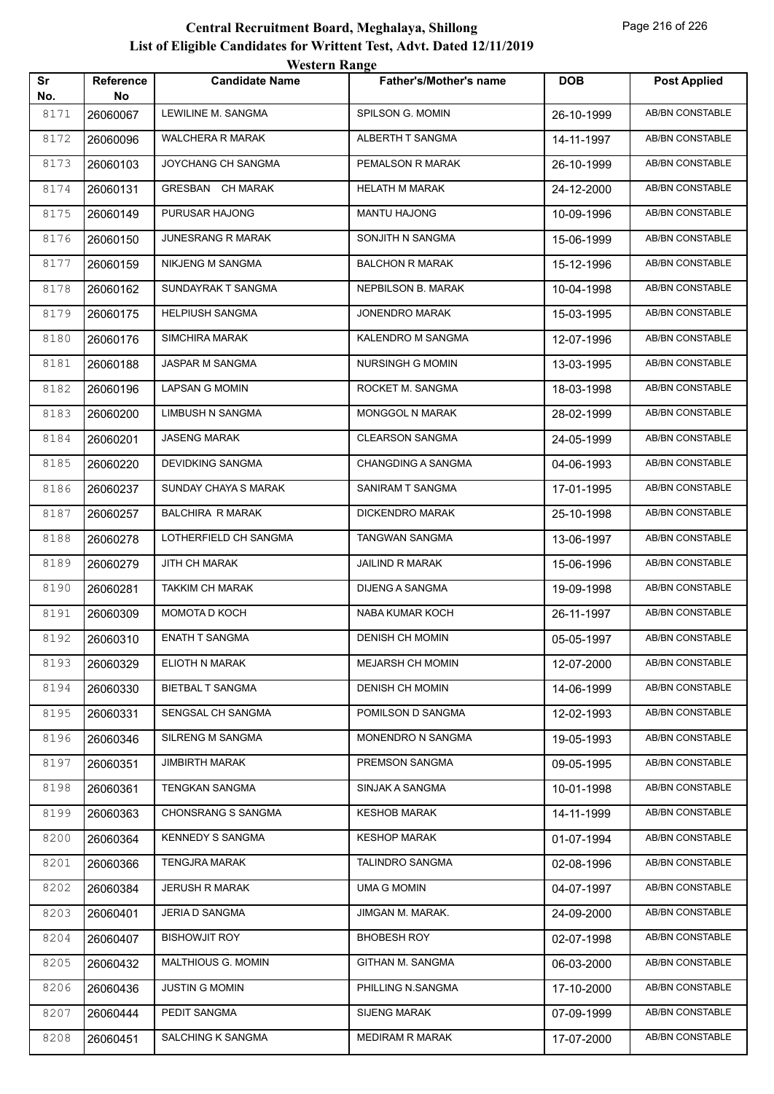| Sr<br>No. | Reference<br>No | <b>Candidate Name</b>    | <b>Father's/Mother's name</b> | <b>DOB</b> | <b>Post Applied</b>    |
|-----------|-----------------|--------------------------|-------------------------------|------------|------------------------|
| 8171      | 26060067        | LEWILINE M. SANGMA       | SPILSON G. MOMIN              | 26-10-1999 | AB/BN CONSTABLE        |
| 8172      | 26060096        | <b>WALCHERA R MARAK</b>  | ALBERTH T SANGMA              | 14-11-1997 | AB/BN CONSTABLE        |
| 8173      | 26060103        | JOYCHANG CH SANGMA       | PEMALSON R MARAK              | 26-10-1999 | <b>AB/BN CONSTABLE</b> |
| 8174      | 26060131        | GRESBAN CH MARAK         | <b>HELATH M MARAK</b>         | 24-12-2000 | AB/BN CONSTABLE        |
| 8175      | 26060149        | PURUSAR HAJONG           | MANTU HAJONG                  | 10-09-1996 | AB/BN CONSTABLE        |
| 8176      | 26060150        | <b>JUNESRANG R MARAK</b> | SONJITH N SANGMA              | 15-06-1999 | AB/BN CONSTABLE        |
| 8177      | 26060159        | NIKJENG M SANGMA         | <b>BALCHON R MARAK</b>        | 15-12-1996 | AB/BN CONSTABLE        |
| 8178      | 26060162        | SUNDAYRAK T SANGMA       | NEPBILSON B. MARAK            | 10-04-1998 | AB/BN CONSTABLE        |
| 8179      | 26060175        | <b>HELPIUSH SANGMA</b>   | <b>JONENDRO MARAK</b>         | 15-03-1995 | AB/BN CONSTABLE        |
| 8180      | 26060176        | <b>SIMCHIRA MARAK</b>    | KALENDRO M SANGMA             | 12-07-1996 | AB/BN CONSTABLE        |
| 8181      | 26060188        | JASPAR M SANGMA          | NURSINGH G MOMIN              | 13-03-1995 | AB/BN CONSTABLE        |
| 8182      | 26060196        | <b>LAPSAN G MOMIN</b>    | ROCKET M. SANGMA              | 18-03-1998 | AB/BN CONSTABLE        |
| 8183      | 26060200        | <b>LIMBUSH N SANGMA</b>  | <b>MONGGOL N MARAK</b>        | 28-02-1999 | AB/BN CONSTABLE        |
| 8184      | 26060201        | <b>JASENG MARAK</b>      | <b>CLEARSON SANGMA</b>        | 24-05-1999 | AB/BN CONSTABLE        |
| 8185      | 26060220        | <b>DEVIDKING SANGMA</b>  | CHANGDING A SANGMA            | 04-06-1993 | AB/BN CONSTABLE        |
| 8186      | 26060237        | SUNDAY CHAYA S MARAK     | SANIRAM T SANGMA              | 17-01-1995 | AB/BN CONSTABLE        |
| 8187      | 26060257        | <b>BALCHIRA R MARAK</b>  | DICKENDRO MARAK               | 25-10-1998 | AB/BN CONSTABLE        |
| 8188      | 26060278        | LOTHERFIELD CH SANGMA    | TANGWAN SANGMA                | 13-06-1997 | AB/BN CONSTABLE        |
| 8189      | 26060279        | JITH CH MARAK            | <b>JAILIND R MARAK</b>        | 15-06-1996 | AB/BN CONSTABLE        |
| 8190      | 26060281        | <b>TAKKIM CH MARAK</b>   | DIJENG A SANGMA               | 19-09-1998 | AB/BN CONSTABLE        |
| 8191      | 26060309        | MOMOTA D KOCH            | NABA KUMAR KOCH               | 26-11-1997 | AB/BN CONSTABLE        |
| 8192      | 26060310        | <b>ENATH T SANGMA</b>    | <b>DENISH CH MOMIN</b>        | 05-05-1997 | AB/BN CONSTABLE        |
| 8193      | 26060329        | ELIOTH N MARAK           | <b>MEJARSH CH MOMIN</b>       | 12-07-2000 | AB/BN CONSTABLE        |
| 8194      | 26060330        | <b>BIETBAL T SANGMA</b>  | <b>DENISH CH MOMIN</b>        | 14-06-1999 | AB/BN CONSTABLE        |
| 8195      | 26060331        | SENGSAL CH SANGMA        | POMILSON D SANGMA             | 12-02-1993 | AB/BN CONSTABLE        |
| 8196      | 26060346        | SILRENG M SANGMA         | MONENDRO N SANGMA             | 19-05-1993 | AB/BN CONSTABLE        |
| 8197      | 26060351        | <b>JIMBIRTH MARAK</b>    | PREMSON SANGMA                | 09-05-1995 | AB/BN CONSTABLE        |
| 8198      | 26060361        | <b>TENGKAN SANGMA</b>    | SINJAK A SANGMA               | 10-01-1998 | AB/BN CONSTABLE        |
| 8199      | 26060363        | CHONSRANG S SANGMA       | <b>KESHOB MARAK</b>           | 14-11-1999 | AB/BN CONSTABLE        |
| 8200      | 26060364        | <b>KENNEDY S SANGMA</b>  | <b>KESHOP MARAK</b>           | 01-07-1994 | AB/BN CONSTABLE        |
| 8201      | 26060366        | <b>TENGJRA MARAK</b>     | TALINDRO SANGMA               | 02-08-1996 | AB/BN CONSTABLE        |
| 8202      | 26060384        | <b>JERUSH R MARAK</b>    | <b>UMA G MOMIN</b>            | 04-07-1997 | AB/BN CONSTABLE        |
| 8203      | 26060401        | <b>JERIA D SANGMA</b>    | JIMGAN M. MARAK.              | 24-09-2000 | AB/BN CONSTABLE        |
| 8204      | 26060407        | <b>BISHOWJIT ROY</b>     | <b>BHOBESH ROY</b>            | 02-07-1998 | AB/BN CONSTABLE        |
| 8205      | 26060432        | MALTHIOUS G. MOMIN       | GITHAN M. SANGMA              | 06-03-2000 | AB/BN CONSTABLE        |
| 8206      | 26060436        | <b>JUSTIN G MOMIN</b>    | PHILLING N.SANGMA             | 17-10-2000 | AB/BN CONSTABLE        |
| 8207      | 26060444        | PEDIT SANGMA             | SIJENG MARAK                  | 07-09-1999 | AB/BN CONSTABLE        |
| 8208      | 26060451        | SALCHING K SANGMA        | MEDIRAM R MARAK               | 17-07-2000 | AB/BN CONSTABLE        |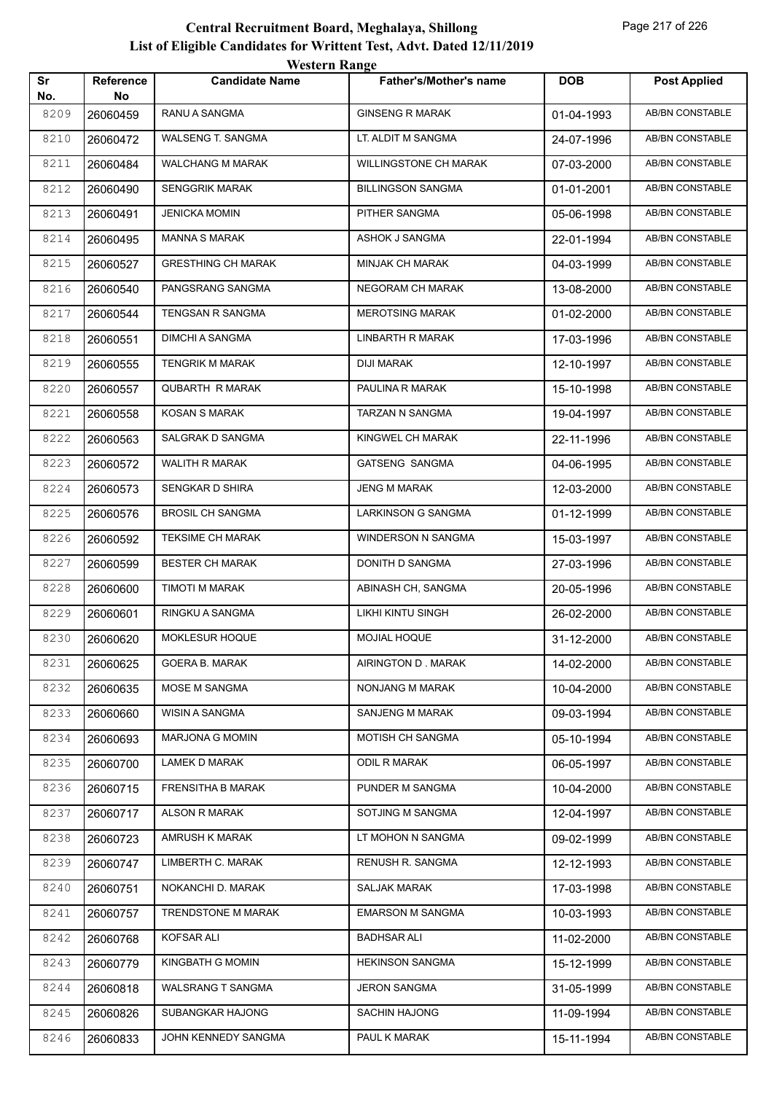| Sr          | <b>Reference</b><br>No | <b>Candidate Name</b>     | <b>Father's/Mother's name</b> | <b>DOB</b> | <b>Post Applied</b>    |
|-------------|------------------------|---------------------------|-------------------------------|------------|------------------------|
| No.<br>8209 | 26060459               | RANU A SANGMA             | <b>GINSENG R MARAK</b>        | 01-04-1993 | AB/BN CONSTABLE        |
| 8210        | 26060472               | WALSENG T. SANGMA         | LT. ALDIT M SANGMA            | 24-07-1996 | AB/BN CONSTABLE        |
| 8211        | 26060484               | <b>WALCHANG M MARAK</b>   | <b>WILLINGSTONE CH MARAK</b>  | 07-03-2000 | AB/BN CONSTABLE        |
| 8212        | 26060490               | <b>SENGGRIK MARAK</b>     | <b>BILLINGSON SANGMA</b>      | 01-01-2001 | AB/BN CONSTABLE        |
| 8213        | 26060491               | <b>JENICKA MOMIN</b>      | PITHER SANGMA                 | 05-06-1998 | AB/BN CONSTABLE        |
| 8214        | 26060495               | <b>MANNA S MARAK</b>      | ASHOK J SANGMA                | 22-01-1994 | AB/BN CONSTABLE        |
| 8215        | 26060527               | <b>GRESTHING CH MARAK</b> | MINJAK CH MARAK               | 04-03-1999 | AB/BN CONSTABLE        |
| 8216        | 26060540               | PANGSRANG SANGMA          | <b>NEGORAM CH MARAK</b>       | 13-08-2000 | AB/BN CONSTABLE        |
| 8217        | 26060544               | TENGSAN R SANGMA          | <b>MEROTSING MARAK</b>        | 01-02-2000 | AB/BN CONSTABLE        |
| 8218        | 26060551               | <b>DIMCHI A SANGMA</b>    | LINBARTH R MARAK              | 17-03-1996 | AB/BN CONSTABLE        |
| 8219        | 26060555               | <b>TENGRIK M MARAK</b>    | <b>DIJI MARAK</b>             | 12-10-1997 | <b>AB/BN CONSTABLE</b> |
| 8220        | 26060557               | <b>QUBARTH R MARAK</b>    | PAULINA R MARAK               | 15-10-1998 | <b>AB/BN CONSTABLE</b> |
| 8221        | 26060558               | <b>KOSAN S MARAK</b>      | TARZAN N SANGMA               | 19-04-1997 | AB/BN CONSTABLE        |
| 8222        | 26060563               | SALGRAK D SANGMA          | KINGWEL CH MARAK              | 22-11-1996 | AB/BN CONSTABLE        |
| 8223        | 26060572               | WALITH R MARAK            | GATSENG SANGMA                | 04-06-1995 | AB/BN CONSTABLE        |
| 8224        | 26060573               | SENGKAR D SHIRA           | <b>JENG M MARAK</b>           | 12-03-2000 | AB/BN CONSTABLE        |
| 8225        | 26060576               | <b>BROSIL CH SANGMA</b>   | LARKINSON G SANGMA            | 01-12-1999 | AB/BN CONSTABLE        |
| 8226        | 26060592               | <b>TEKSIME CH MARAK</b>   | <b>WINDERSON N SANGMA</b>     | 15-03-1997 | AB/BN CONSTABLE        |
| 8227        | 26060599               | <b>BESTER CH MARAK</b>    | DONITH D SANGMA               | 27-03-1996 | AB/BN CONSTABLE        |
| 8228        | 26060600               | TIMOTI M MARAK            | ABINASH CH, SANGMA            | 20-05-1996 | AB/BN CONSTABLE        |
| 8229        | 26060601               | RINGKU A SANGMA           | LIKHI KINTU SINGH             | 26-02-2000 | AB/BN CONSTABLE        |
| 8230        | 26060620               | MOKLESUR HOQUE            | MOJIAL HOQUE                  | 31-12-2000 | AB/BN CONSTABLE        |
| 8231        | 26060625               | <b>GOERA B. MARAK</b>     | AIRINGTON D. MARAK            | 14-02-2000 | AB/BN CONSTABLE        |
| 8232        | 26060635               | MOSE M SANGMA             | NONJANG M MARAK               | 10-04-2000 | AB/BN CONSTABLE        |
| 8233        | 26060660               | WISIN A SANGMA            | SANJENG M MARAK               | 09-03-1994 | AB/BN CONSTABLE        |
| 8234        | 26060693               | <b>MARJONA G MOMIN</b>    | MOTISH CH SANGMA              | 05-10-1994 | AB/BN CONSTABLE        |
| 8235        | 26060700               | <b>LAMEK D MARAK</b>      | ODIL R MARAK                  | 06-05-1997 | AB/BN CONSTABLE        |
| 8236        | 26060715               | <b>FRENSITHA B MARAK</b>  | PUNDER M SANGMA               | 10-04-2000 | AB/BN CONSTABLE        |
| 8237        | 26060717               | <b>ALSON R MARAK</b>      | SOTJING M SANGMA              | 12-04-1997 | AB/BN CONSTABLE        |
| 8238        | 26060723               | AMRUSH K MARAK            | LT MOHON N SANGMA             | 09-02-1999 | AB/BN CONSTABLE        |
| 8239        | 26060747               | LIMBERTH C. MARAK         | RENUSH R. SANGMA              | 12-12-1993 | AB/BN CONSTABLE        |
| 8240        | 26060751               | NOKANCHI D. MARAK         | <b>SALJAK MARAK</b>           | 17-03-1998 | AB/BN CONSTABLE        |
| 8241        | 26060757               | TRENDSTONE M MARAK        | <b>EMARSON M SANGMA</b>       | 10-03-1993 | AB/BN CONSTABLE        |
| 8242        | 26060768               | KOFSAR ALI                | <b>BADHSAR ALI</b>            | 11-02-2000 | AB/BN CONSTABLE        |
| 8243        | 26060779               | KINGBATH G MOMIN          | <b>HEKINSON SANGMA</b>        | 15-12-1999 | AB/BN CONSTABLE        |
| 8244        | 26060818               | <b>WALSRANG T SANGMA</b>  | <b>JERON SANGMA</b>           | 31-05-1999 | AB/BN CONSTABLE        |
| 8245        | 26060826               | SUBANGKAR HAJONG          | <b>SACHIN HAJONG</b>          | 11-09-1994 | AB/BN CONSTABLE        |
| 8246        | 26060833               | JOHN KENNEDY SANGMA       | PAUL K MARAK                  | 15-11-1994 | AB/BN CONSTABLE        |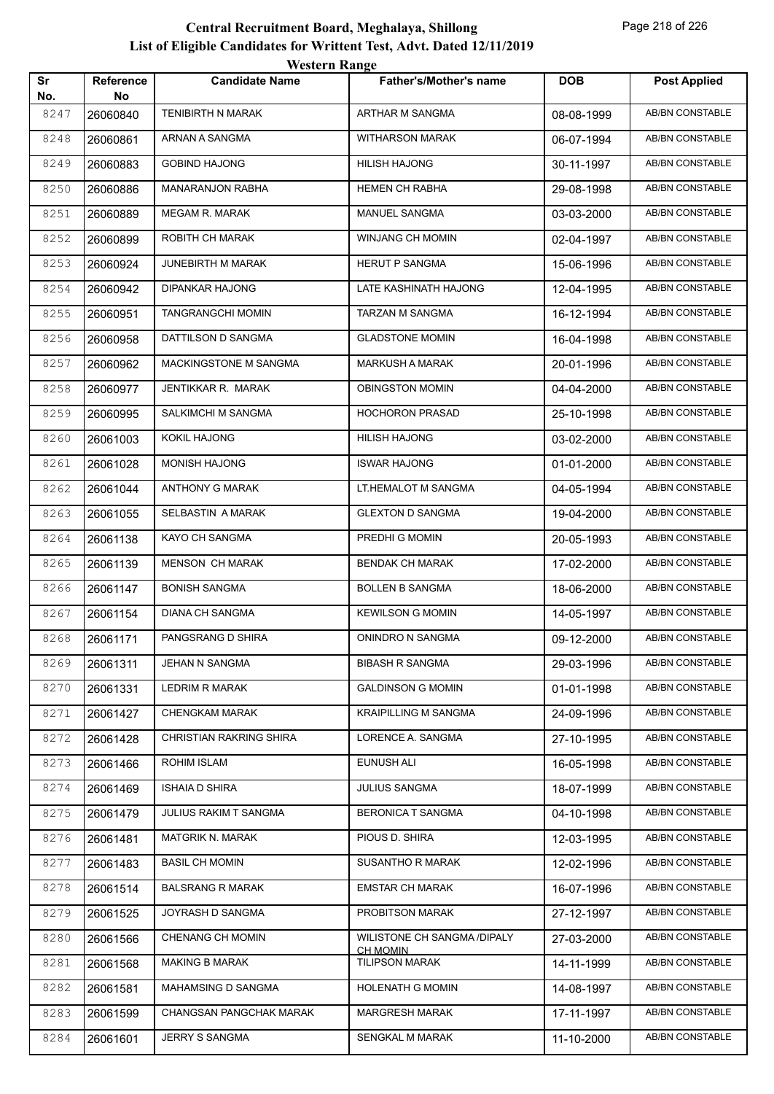|           |                        | <i>Western Kange</i>     |                                                |            |                        |
|-----------|------------------------|--------------------------|------------------------------------------------|------------|------------------------|
| Sr<br>No. | <b>Reference</b><br>No | <b>Candidate Name</b>    | <b>Father's/Mother's name</b>                  | <b>DOB</b> | <b>Post Applied</b>    |
| 8247      | 26060840               | <b>TENIBIRTH N MARAK</b> | <b>ARTHAR M SANGMA</b>                         | 08-08-1999 | <b>AB/BN CONSTABLE</b> |
| 8248      | 26060861               | ARNAN A SANGMA           | <b>WITHARSON MARAK</b>                         | 06-07-1994 | AB/BN CONSTABLE        |
| 8249      | 26060883               | <b>GOBIND HAJONG</b>     | <b>HILISH HAJONG</b>                           | 30-11-1997 | AB/BN CONSTABLE        |
| 8250      | 26060886               | <b>MANARANJON RABHA</b>  | <b>HEMEN CH RABHA</b>                          | 29-08-1998 | AB/BN CONSTABLE        |
| 8251      | 26060889               | <b>MEGAM R. MARAK</b>    | MANUEL SANGMA                                  | 03-03-2000 | AB/BN CONSTABLE        |
| 8252      | 26060899               | ROBITH CH MARAK          | WINJANG CH MOMIN                               | 02-04-1997 | AB/BN CONSTABLE        |
| 8253      | 26060924               | JUNEBIRTH M MARAK        | <b>HERUT P SANGMA</b>                          | 15-06-1996 | AB/BN CONSTABLE        |
| 8254      | 26060942               | <b>DIPANKAR HAJONG</b>   | LATE KASHINATH HAJONG                          | 12-04-1995 | AB/BN CONSTABLE        |
| 8255      | 26060951               | TANGRANGCHI MOMIN        | TARZAN M SANGMA                                | 16-12-1994 | AB/BN CONSTABLE        |
| 8256      | 26060958               | DATTILSON D SANGMA       | <b>GLADSTONE MOMIN</b>                         | 16-04-1998 | AB/BN CONSTABLE        |
| 8257      | 26060962               | MACKINGSTONE M SANGMA    | <b>MARKUSH A MARAK</b>                         | 20-01-1996 | AB/BN CONSTABLE        |
| 8258      | 26060977               | JENTIKKAR R. MARAK       | <b>OBINGSTON MOMIN</b>                         | 04-04-2000 | AB/BN CONSTABLE        |
| 8259      | 26060995               | SALKIMCHI M SANGMA       | <b>HOCHORON PRASAD</b>                         | 25-10-1998 | AB/BN CONSTABLE        |
| 8260      | 26061003               | KOKIL HAJONG             | <b>HILISH HAJONG</b>                           | 03-02-2000 | AB/BN CONSTABLE        |
| 8261      | 26061028               | <b>MONISH HAJONG</b>     | <b>ISWAR HAJONG</b>                            | 01-01-2000 | AB/BN CONSTABLE        |
| 8262      | 26061044               | ANTHONY G MARAK          | LT.HEMALOT M SANGMA                            | 04-05-1994 | <b>AB/BN CONSTABLE</b> |
| 8263      | 26061055               | SELBASTIN A MARAK        | <b>GLEXTON D SANGMA</b>                        | 19-04-2000 | <b>AB/BN CONSTABLE</b> |
| 8264      | 26061138               | KAYO CH SANGMA           | PREDHI G MOMIN                                 | 20-05-1993 | <b>AB/BN CONSTABLE</b> |
| 8265      | 26061139               | <b>MENSON CH MARAK</b>   | <b>BENDAK CH MARAK</b>                         | 17-02-2000 | AB/BN CONSTABLE        |
| 8266      | 26061147               | <b>BONISH SANGMA</b>     | <b>BOLLEN B SANGMA</b>                         | 18-06-2000 | <b>AB/BN CONSTABLE</b> |
| 8267      | 26061154               | DIANA CH SANGMA          | <b>KEWILSON G MOMIN</b>                        | 14-05-1997 | <b>AB/BN CONSTABLE</b> |
| 8268      | 26061171               | PANGSRANG D SHIRA        | ONINDRO N SANGMA                               | 09-12-2000 | <b>AB/BN CONSTABLE</b> |
| 8269      | 26061311               | JEHAN N SANGMA           | <b>BIBASH R SANGMA</b>                         | 29-03-1996 | AB/BN CONSTABLE        |
| 8270      | 26061331               | LEDRIM R MARAK           | <b>GALDINSON G MOMIN</b>                       | 01-01-1998 | AB/BN CONSTABLE        |
| 8271      | 26061427               | CHENGKAM MARAK           | <b>KRAIPILLING M SANGMA</b>                    | 24-09-1996 | AB/BN CONSTABLE        |
| 8272      | 26061428               | CHRISTIAN RAKRING SHIRA  | LORENCE A. SANGMA                              | 27-10-1995 | AB/BN CONSTABLE        |
| 8273      | 26061466               | ROHIM ISLAM              | EUNUSH ALI                                     | 16-05-1998 | AB/BN CONSTABLE        |
| 8274      | 26061469               | <b>ISHAIA D SHIRA</b>    | <b>JULIUS SANGMA</b>                           | 18-07-1999 | AB/BN CONSTABLE        |
| 8275      | 26061479               | JULIUS RAKIM T SANGMA    | <b>BERONICA T SANGMA</b>                       | 04-10-1998 | AB/BN CONSTABLE        |
| 8276      | 26061481               | MATGRIK N. MARAK         | PIOUS D. SHIRA                                 | 12-03-1995 | AB/BN CONSTABLE        |
| 8277      | 26061483               | <b>BASIL CH MOMIN</b>    | SUSANTHO R MARAK                               | 12-02-1996 | AB/BN CONSTABLE        |
| 8278      | 26061514               | <b>BALSRANG R MARAK</b>  | <b>EMSTAR CH MARAK</b>                         | 16-07-1996 | AB/BN CONSTABLE        |
| 8279      | 26061525               | JOYRASH D SANGMA         | PROBITSON MARAK                                | 27-12-1997 | AB/BN CONSTABLE        |
| 8280      | 26061566               | CHENANG CH MOMIN         | WILISTONE CH SANGMA /DIPALY<br><b>CH MOMIN</b> | 27-03-2000 | AB/BN CONSTABLE        |
| 8281      | 26061568               | <b>MAKING B MARAK</b>    | <b>TILIPSON MARAK</b>                          | 14-11-1999 | AB/BN CONSTABLE        |
| 8282      | 26061581               | MAHAMSING D SANGMA       | <b>HOLENATH G MOMIN</b>                        | 14-08-1997 | AB/BN CONSTABLE        |
| 8283      | 26061599               | CHANGSAN PANGCHAK MARAK  | MARGRESH MARAK                                 | 17-11-1997 | AB/BN CONSTABLE        |
| 8284      | 26061601               | JERRY S SANGMA           | SENGKAL M MARAK                                | 11-10-2000 | AB/BN CONSTABLE        |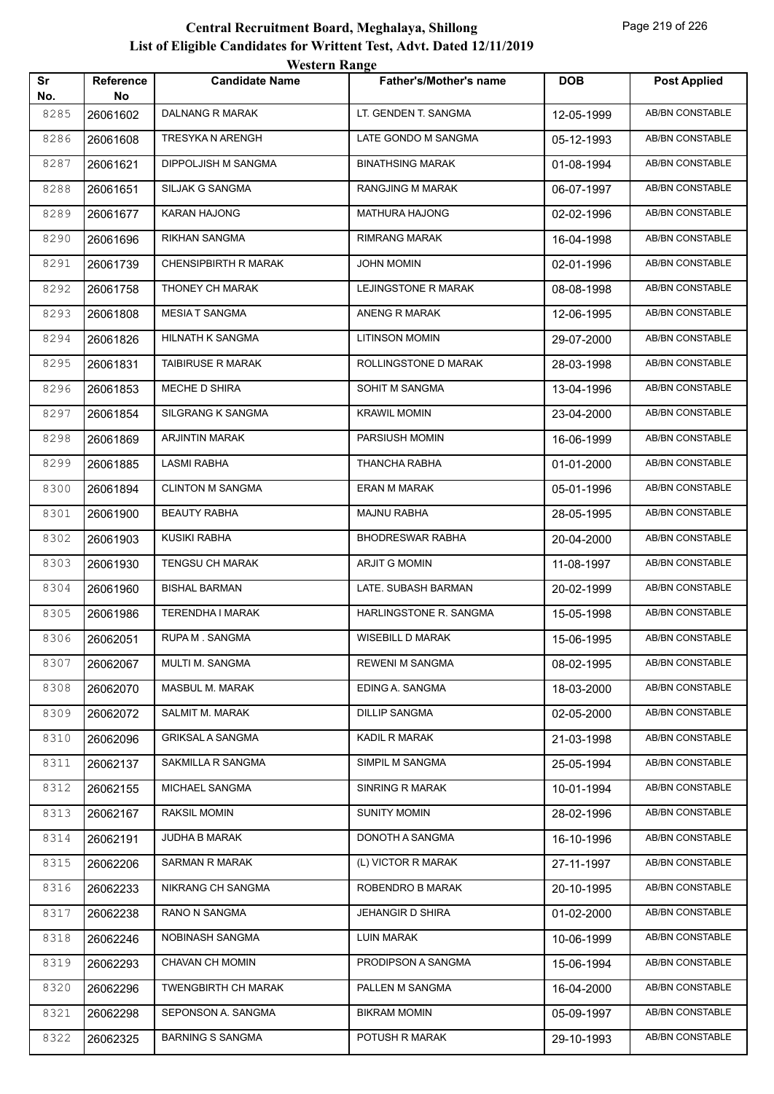|           |                 | western Range              |                               |            |                        |
|-----------|-----------------|----------------------------|-------------------------------|------------|------------------------|
| Sr<br>No. | Reference<br>No | <b>Candidate Name</b>      | <b>Father's/Mother's name</b> | <b>DOB</b> | <b>Post Applied</b>    |
| 8285      | 26061602        | <b>DALNANG R MARAK</b>     | LT. GENDEN T. SANGMA          | 12-05-1999 | AB/BN CONSTABLE        |
| 8286      | 26061608        | TRESYKA N ARENGH           | LATE GONDO M SANGMA           | 05-12-1993 | AB/BN CONSTABLE        |
| 8287      | 26061621        | DIPPOLJISH M SANGMA        | <b>BINATHSING MARAK</b>       | 01-08-1994 | AB/BN CONSTABLE        |
| 8288      | 26061651        | SILJAK G SANGMA            | RANGJING M MARAK              | 06-07-1997 | <b>AB/BN CONSTABLE</b> |
| 8289      | 26061677        | <b>KARAN HAJONG</b>        | MATHURA HAJONG                | 02-02-1996 | AB/BN CONSTABLE        |
| 8290      | 26061696        | RIKHAN SANGMA              | RIMRANG MARAK                 | 16-04-1998 | AB/BN CONSTABLE        |
| 8291      | 26061739        | CHENSIPBIRTH R MARAK       | <b>JOHN MOMIN</b>             | 02-01-1996 | AB/BN CONSTABLE        |
| 8292      | 26061758        | THONEY CH MARAK            | LEJINGSTONE R MARAK           | 08-08-1998 | AB/BN CONSTABLE        |
| 8293      | 26061808        | <b>MESIAT SANGMA</b>       | ANENG R MARAK                 | 12-06-1995 | <b>AB/BN CONSTABLE</b> |
| 8294      | 26061826        | HILNATH K SANGMA           | <b>LITINSON MOMIN</b>         | 29-07-2000 | AB/BN CONSTABLE        |
| 8295      | 26061831        | <b>TAIBIRUSE R MARAK</b>   | ROLLINGSTONE D MARAK          | 28-03-1998 | AB/BN CONSTABLE        |
| 8296      | 26061853        | MECHE D SHIRA              | SOHIT M SANGMA                | 13-04-1996 | AB/BN CONSTABLE        |
| 8297      | 26061854        | SILGRANG K SANGMA          | <b>KRAWIL MOMIN</b>           | 23-04-2000 | AB/BN CONSTABLE        |
| 8298      | 26061869        | <b>ARJINTIN MARAK</b>      | PARSIUSH MOMIN                | 16-06-1999 | <b>AB/BN CONSTABLE</b> |
| 8299      | 26061885        | <b>LASMI RABHA</b>         | <b>THANCHA RABHA</b>          | 01-01-2000 | AB/BN CONSTABLE        |
| 8300      | 26061894        | <b>CLINTON M SANGMA</b>    | <b>ERAN M MARAK</b>           | 05-01-1996 | AB/BN CONSTABLE        |
| 8301      | 26061900        | <b>BEAUTY RABHA</b>        | <b>MAJNU RABHA</b>            | 28-05-1995 | AB/BN CONSTABLE        |
| 8302      | 26061903        | <b>KUSIKI RABHA</b>        | <b>BHODRESWAR RABHA</b>       | 20-04-2000 | AB/BN CONSTABLE        |
| 8303      | 26061930        | <b>TENGSU CH MARAK</b>     | ARJIT G MOMIN                 | 11-08-1997 | <b>AB/BN CONSTABLE</b> |
| 8304      | 26061960        | <b>BISHAL BARMAN</b>       | LATE. SUBASH BARMAN           | 20-02-1999 | <b>AB/BN CONSTABLE</b> |
| 8305      | 26061986        | TERENDHA I MARAK           | HARLINGSTONE R. SANGMA        | 15-05-1998 | AB/BN CONSTABLE        |
| 8306      | 26062051        | RUPA M. SANGMA             | <b>WISEBILL D MARAK</b>       | 15-06-1995 | AB/BN CONSTABLE        |
| 8307      | 26062067        | MULTI M. SANGMA            | <b>REWENI M SANGMA</b>        | 08-02-1995 | AB/BN CONSTABLE        |
| 8308      | 26062070        | MASBUL M. MARAK            | EDING A. SANGMA               | 18-03-2000 | AB/BN CONSTABLE        |
| 8309      | 26062072        | SALMIT M. MARAK            | <b>DILLIP SANGMA</b>          | 02-05-2000 | AB/BN CONSTABLE        |
| 8310      | 26062096        | <b>GRIKSAL A SANGMA</b>    | KADIL R MARAK                 | 21-03-1998 | AB/BN CONSTABLE        |
| 8311      | 26062137        | SAKMILLA R SANGMA          | SIMPIL M SANGMA               | 25-05-1994 | AB/BN CONSTABLE        |
| 8312      | 26062155        | MICHAEL SANGMA             | <b>SINRING R MARAK</b>        | 10-01-1994 | AB/BN CONSTABLE        |
| 8313      | 26062167        | <b>RAKSIL MOMIN</b>        | <b>SUNITY MOMIN</b>           | 28-02-1996 | AB/BN CONSTABLE        |
| 8314      | 26062191        | JUDHA B MARAK              | DONOTH A SANGMA               | 16-10-1996 | AB/BN CONSTABLE        |
| 8315      | 26062206        | <b>SARMAN R MARAK</b>      | (L) VICTOR R MARAK            | 27-11-1997 | AB/BN CONSTABLE        |
| 8316      | 26062233        | NIKRANG CH SANGMA          | ROBENDRO B MARAK              | 20-10-1995 | AB/BN CONSTABLE        |
| 8317      | 26062238        | RANO N SANGMA              | <b>JEHANGIR D SHIRA</b>       | 01-02-2000 | AB/BN CONSTABLE        |
| 8318      | 26062246        | NOBINASH SANGMA            | <b>LUIN MARAK</b>             | 10-06-1999 | AB/BN CONSTABLE        |
| 8319      | 26062293        | CHAVAN CH MOMIN            | PRODIPSON A SANGMA            | 15-06-1994 | AB/BN CONSTABLE        |
| 8320      | 26062296        | <b>TWENGBIRTH CH MARAK</b> | PALLEN M SANGMA               | 16-04-2000 | AB/BN CONSTABLE        |
| 8321      | 26062298        | SEPONSON A. SANGMA         | <b>BIKRAM MOMIN</b>           | 05-09-1997 | AB/BN CONSTABLE        |
| 8322      | 26062325        | <b>BARNING S SANGMA</b>    | POTUSH R MARAK                | 29-10-1993 | AB/BN CONSTABLE        |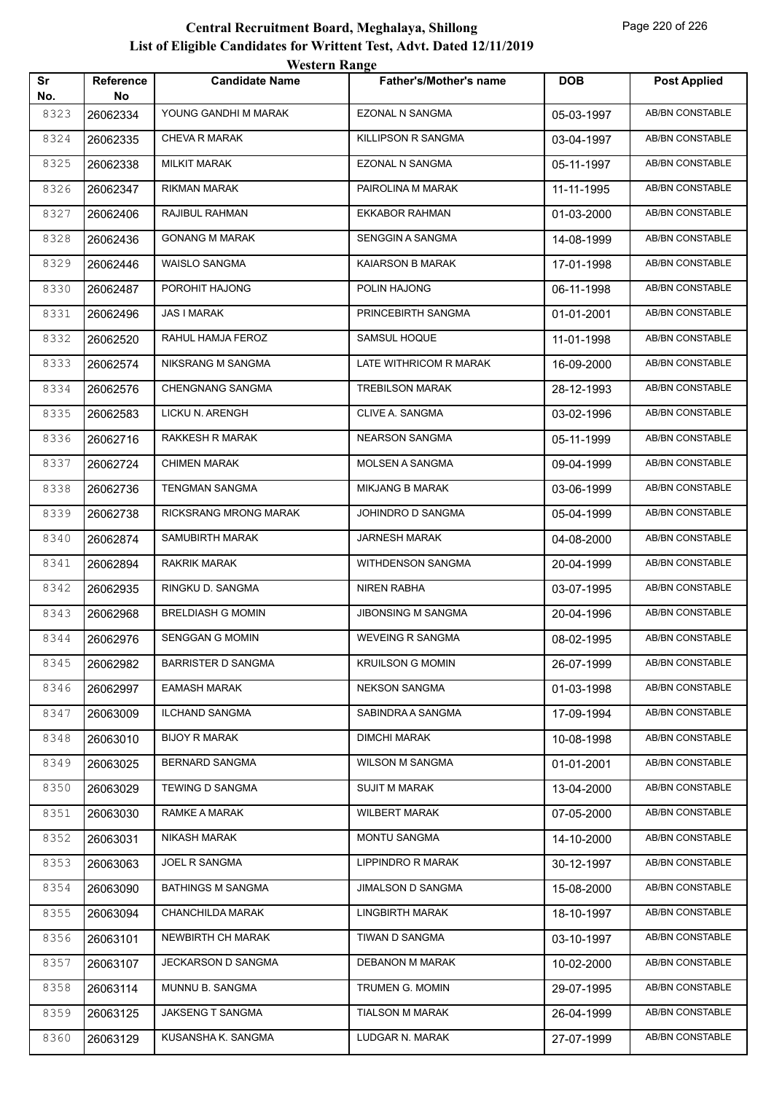|           |                         | WESTEL II INALIZE         |                               |            |                        |
|-----------|-------------------------|---------------------------|-------------------------------|------------|------------------------|
| Sr<br>No. | <b>Reference</b><br>No. | <b>Candidate Name</b>     | <b>Father's/Mother's name</b> | <b>DOB</b> | <b>Post Applied</b>    |
| 8323      | 26062334                | YOUNG GANDHI M MARAK      | <b>EZONAL N SANGMA</b>        | 05-03-1997 | <b>AB/BN CONSTABLE</b> |
| 8324      | 26062335                | <b>CHEVA R MARAK</b>      | KILLIPSON R SANGMA            | 03-04-1997 | AB/BN CONSTABLE        |
| 8325      | 26062338                | <b>MILKIT MARAK</b>       | EZONAL N SANGMA               | 05-11-1997 | AB/BN CONSTABLE        |
| 8326      | 26062347                | RIKMAN MARAK              | PAIROLINA M MARAK             | 11-11-1995 | <b>AB/BN CONSTABLE</b> |
| 8327      | 26062406                | RAJIBUL RAHMAN            | <b>EKKABOR RAHMAN</b>         | 01-03-2000 | <b>AB/BN CONSTABLE</b> |
| 8328      | 26062436                | <b>GONANG M MARAK</b>     | SENGGIN A SANGMA              | 14-08-1999 | <b>AB/BN CONSTABLE</b> |
| 8329      | 26062446                | WAISLO SANGMA             | KAIARSON B MARAK              | 17-01-1998 | <b>AB/BN CONSTABLE</b> |
| 8330      | 26062487                | POROHIT HAJONG            | POLIN HAJONG                  | 06-11-1998 | AB/BN CONSTABLE        |
| 8331      | 26062496                | JAS I MARAK               | PRINCEBIRTH SANGMA            | 01-01-2001 | <b>AB/BN CONSTABLE</b> |
| 8332      | 26062520                | RAHUL HAMJA FEROZ         | SAMSUL HOQUE                  | 11-01-1998 | <b>AB/BN CONSTABLE</b> |
| 8333      | 26062574                | NIKSRANG M SANGMA         | LATE WITHRICOM R MARAK        | 16-09-2000 | <b>AB/BN CONSTABLE</b> |
| 8334      | 26062576                | <b>CHENGNANG SANGMA</b>   | <b>TREBILSON MARAK</b>        | 28-12-1993 | AB/BN CONSTABLE        |
| 8335      | 26062583                | LICKU N. ARENGH           | CLIVE A. SANGMA               | 03-02-1996 | AB/BN CONSTABLE        |
| 8336      | 26062716                | RAKKESH R MARAK           | <b>NEARSON SANGMA</b>         | 05-11-1999 | AB/BN CONSTABLE        |
| 8337      | 26062724                | <b>CHIMEN MARAK</b>       | MOLSEN A SANGMA               | 09-04-1999 | AB/BN CONSTABLE        |
| 8338      | 26062736                | <b>TENGMAN SANGMA</b>     | <b>MIKJANG B MARAK</b>        | 03-06-1999 | AB/BN CONSTABLE        |
| 8339      | 26062738                | RICKSRANG MRONG MARAK     | JOHINDRO D SANGMA             | 05-04-1999 | AB/BN CONSTABLE        |
| 8340      | 26062874                | SAMUBIRTH MARAK           | JARNESH MARAK                 | 04-08-2000 | AB/BN CONSTABLE        |
| 8341      | 26062894                | RAKRIK MARAK              | WITHDENSON SANGMA             | 20-04-1999 | AB/BN CONSTABLE        |
| 8342      | 26062935                | RINGKU D. SANGMA          | <b>NIREN RABHA</b>            | 03-07-1995 | <b>AB/BN CONSTABLE</b> |
| 8343      | 26062968                | <b>BRELDIASH G MOMIN</b>  | <b>JIBONSING M SANGMA</b>     | 20-04-1996 | AB/BN CONSTABLE        |
| 8344      | 26062976                | <b>SENGGAN G MOMIN</b>    | <b>WEVEING R SANGMA</b>       | 08-02-1995 | AB/BN CONSTABLE        |
| 8345      | 26062982                | <b>BARRISTER D SANGMA</b> | <b>KRUILSON G MOMIN</b>       | 26-07-1999 | AB/BN CONSTABLE        |
| 8346      | 26062997                | <b>EAMASH MARAK</b>       | <b>NEKSON SANGMA</b>          | 01-03-1998 | <b>AB/BN CONSTABLE</b> |
| 8347      | 26063009                | <b>ILCHAND SANGMA</b>     | SABINDRA A SANGMA             | 17-09-1994 | AB/BN CONSTABLE        |
| 8348      | 26063010                | <b>BIJOY R MARAK</b>      | <b>DIMCHI MARAK</b>           | 10-08-1998 | AB/BN CONSTABLE        |
| 8349      | 26063025                | <b>BERNARD SANGMA</b>     | <b>WILSON M SANGMA</b>        | 01-01-2001 | AB/BN CONSTABLE        |
| 8350      | 26063029                | TEWING D SANGMA           | <b>SUJIT M MARAK</b>          | 13-04-2000 | AB/BN CONSTABLE        |
| 8351      | 26063030                | RAMKE A MARAK             | <b>WILBERT MARAK</b>          | 07-05-2000 | AB/BN CONSTABLE        |
| 8352      | 26063031                | NIKASH MARAK              | <b>MONTU SANGMA</b>           | 14-10-2000 | AB/BN CONSTABLE        |
| 8353      | 26063063                | JOEL R SANGMA             | LIPPINDRO R MARAK             | 30-12-1997 | AB/BN CONSTABLE        |
| 8354      | 26063090                | <b>BATHINGS M SANGMA</b>  | JIMALSON D SANGMA             | 15-08-2000 | AB/BN CONSTABLE        |
| 8355      | 26063094                | CHANCHILDA MARAK          | <b>LINGBIRTH MARAK</b>        | 18-10-1997 | AB/BN CONSTABLE        |
| 8356      | 26063101                | NEWBIRTH CH MARAK         | TIWAN D SANGMA                | 03-10-1997 | AB/BN CONSTABLE        |
| 8357      | 26063107                | JECKARSON D SANGMA        | DEBANON M MARAK               | 10-02-2000 | AB/BN CONSTABLE        |
| 8358      | 26063114                | MUNNU B. SANGMA           | TRUMEN G. MOMIN               | 29-07-1995 | AB/BN CONSTABLE        |
| 8359      | 26063125                | JAKSENG T SANGMA          | <b>TIALSON M MARAK</b>        | 26-04-1999 | AB/BN CONSTABLE        |
| 8360      | 26063129                | KUSANSHA K. SANGMA        | LUDGAR N. MARAK               | 27-07-1999 | AB/BN CONSTABLE        |
|           |                         |                           |                               |            |                        |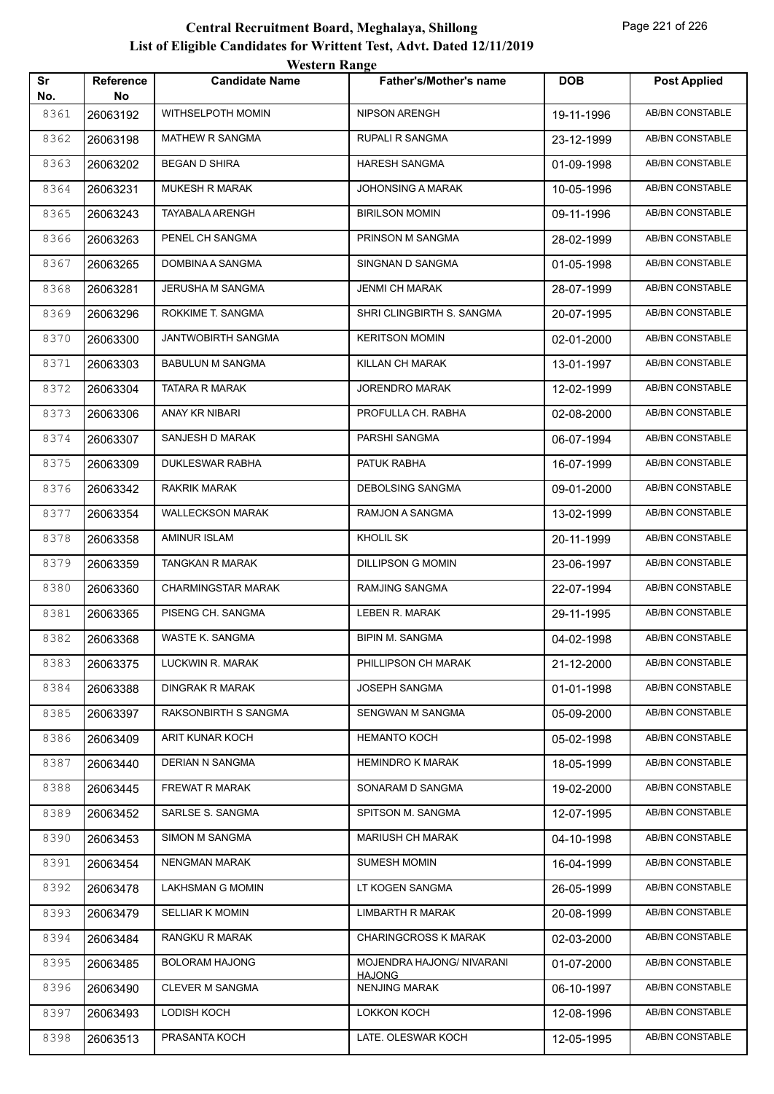|           |                 | WUSULI RAHEU              |                                            |            |                        |
|-----------|-----------------|---------------------------|--------------------------------------------|------------|------------------------|
| Sr<br>No. | Reference<br>No | <b>Candidate Name</b>     | <b>Father's/Mother's name</b>              | <b>DOB</b> | <b>Post Applied</b>    |
| 8361      | 26063192        | WITHSELPOTH MOMIN         | <b>NIPSON ARENGH</b>                       | 19-11-1996 | AB/BN CONSTABLE        |
| 8362      | 26063198        | <b>MATHEW R SANGMA</b>    | RUPALI R SANGMA                            | 23-12-1999 | AB/BN CONSTABLE        |
| 8363      | 26063202        | <b>BEGAN D SHIRA</b>      | <b>HARESH SANGMA</b>                       | 01-09-1998 | AB/BN CONSTABLE        |
| 8364      | 26063231        | MUKESH R MARAK            | JOHONSING A MARAK                          | 10-05-1996 | AB/BN CONSTABLE        |
| 8365      | 26063243        | TAYABALA ARENGH           | <b>BIRILSON MOMIN</b>                      | 09-11-1996 | AB/BN CONSTABLE        |
| 8366      | 26063263        | PENEL CH SANGMA           | PRINSON M SANGMA                           | 28-02-1999 | <b>AB/BN CONSTABLE</b> |
| 8367      | 26063265        | DOMBINA A SANGMA          | SINGNAN D SANGMA                           | 01-05-1998 | AB/BN CONSTABLE        |
| 8368      | 26063281        | JERUSHA M SANGMA          | <b>JENMI CH MARAK</b>                      | 28-07-1999 | AB/BN CONSTABLE        |
| 8369      | 26063296        | ROKKIME T. SANGMA         | SHRI CLINGBIRTH S. SANGMA                  | 20-07-1995 | AB/BN CONSTABLE        |
| 8370      | 26063300        | JANTWOBIRTH SANGMA        | <b>KERITSON MOMIN</b>                      | 02-01-2000 | <b>AB/BN CONSTABLE</b> |
| 8371      | 26063303        | <b>BABULUN M SANGMA</b>   | KILLAN CH MARAK                            | 13-01-1997 | <b>AB/BN CONSTABLE</b> |
| 8372      | 26063304        | TATARA R MARAK            | <b>JORENDRO MARAK</b>                      | 12-02-1999 | AB/BN CONSTABLE        |
| 8373      | 26063306        | ANAY KR NIBARI            | PROFULLA CH. RABHA                         | 02-08-2000 | AB/BN CONSTABLE        |
| 8374      | 26063307        | SANJESH D MARAK           | PARSHI SANGMA                              | 06-07-1994 | AB/BN CONSTABLE        |
| 8375      | 26063309        | DUKLESWAR RABHA           | PATUK RABHA                                | 16-07-1999 | AB/BN CONSTABLE        |
| 8376      | 26063342        | RAKRIK MARAK              | <b>DEBOLSING SANGMA</b>                    | 09-01-2000 | AB/BN CONSTABLE        |
| 8377      | 26063354        | <b>WALLECKSON MARAK</b>   | RAMJON A SANGMA                            | 13-02-1999 | AB/BN CONSTABLE        |
| 8378      | 26063358        | AMINUR ISLAM              | KHOLIL SK                                  | 20-11-1999 | AB/BN CONSTABLE        |
| 8379      | 26063359        | TANGKAN R MARAK           | <b>DILLIPSON G MOMIN</b>                   | 23-06-1997 | <b>AB/BN CONSTABLE</b> |
| 8380      | 26063360        | <b>CHARMINGSTAR MARAK</b> | RAMJING SANGMA                             | 22-07-1994 | AB/BN CONSTABLE        |
| 8381      | 26063365        | PISENG CH. SANGMA         | LEBEN R. MARAK                             | 29-11-1995 | AB/BN CONSTABLE        |
| 8382      | 26063368        | WASTE K. SANGMA           | <b>BIPIN M. SANGMA</b>                     | 04-02-1998 | AB/BN CONSTABLE        |
| 8383      | 26063375        | LUCKWIN R. MARAK          | PHILLIPSON CH MARAK                        | 21-12-2000 | AB/BN CONSTABLE        |
| 8384      | 26063388        | <b>DINGRAK R MARAK</b>    | JOSEPH SANGMA                              | 01-01-1998 | AB/BN CONSTABLE        |
| 8385      | 26063397        | RAKSONBIRTH S SANGMA      | SENGWAN M SANGMA                           | 05-09-2000 | AB/BN CONSTABLE        |
| 8386      | 26063409        | ARIT KUNAR KOCH           | <b>HEMANTO KOCH</b>                        | 05-02-1998 | AB/BN CONSTABLE        |
| 8387      | 26063440        | DERIAN N SANGMA           | <b>HEMINDRO K MARAK</b>                    | 18-05-1999 | AB/BN CONSTABLE        |
| 8388      | 26063445        | FREWAT R MARAK            | SONARAM D SANGMA                           | 19-02-2000 | AB/BN CONSTABLE        |
| 8389      | 26063452        | SARLSE S. SANGMA          | SPITSON M. SANGMA                          | 12-07-1995 | <b>AB/BN CONSTABLE</b> |
| 8390      | 26063453        | SIMON M SANGMA            | <b>MARIUSH CH MARAK</b>                    | 04-10-1998 | AB/BN CONSTABLE        |
| 8391      | 26063454        | <b>NENGMAN MARAK</b>      | <b>SUMESH MOMIN</b>                        | 16-04-1999 | AB/BN CONSTABLE        |
| 8392      | 26063478        | LAKHSMAN G MOMIN          | LT KOGEN SANGMA                            | 26-05-1999 | AB/BN CONSTABLE        |
| 8393      | 26063479        | <b>SELLIAR K MOMIN</b>    | <b>LIMBARTH R MARAK</b>                    | 20-08-1999 | AB/BN CONSTABLE        |
| 8394      | 26063484        | RANGKU R MARAK            | <b>CHARINGCROSS K MARAK</b>                | 02-03-2000 | AB/BN CONSTABLE        |
| 8395      | 26063485        | <b>BOLORAM HAJONG</b>     | MOJENDRA HAJONG/ NIVARANI<br><b>HAJONG</b> | 01-07-2000 | AB/BN CONSTABLE        |
| 8396      | 26063490        | CLEVER M SANGMA           | <b>NENJING MARAK</b>                       | 06-10-1997 | AB/BN CONSTABLE        |
| 8397      | 26063493        | LODISH KOCH               | LOKKON KOCH                                | 12-08-1996 | AB/BN CONSTABLE        |
| 8398      | 26063513        | PRASANTA KOCH             | LATE. OLESWAR KOCH                         | 12-05-1995 | AB/BN CONSTABLE        |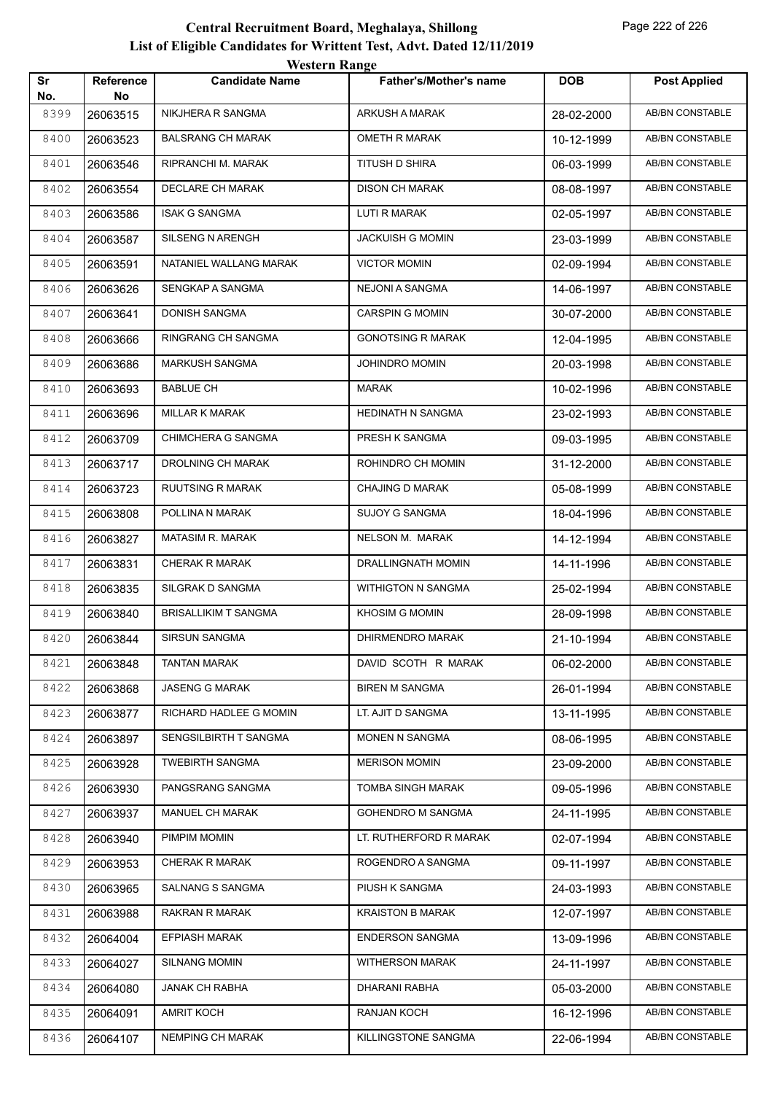| Sr<br>No. | <b>Reference</b><br>No | <b><i>HESKLE KAHEC</i></b><br><b>Candidate Name</b> | <b>Father's/Mother's name</b> | <b>DOB</b> | <b>Post Applied</b>    |
|-----------|------------------------|-----------------------------------------------------|-------------------------------|------------|------------------------|
| 8399      | 26063515               | NIKJHERA R SANGMA                                   | ARKUSH A MARAK                | 28-02-2000 | <b>AB/BN CONSTABLE</b> |
| 8400      | 26063523               | <b>BALSRANG CH MARAK</b>                            | <b>OMETH R MARAK</b>          | 10-12-1999 | AB/BN CONSTABLE        |
| 8401      | 26063546               | RIPRANCHI M. MARAK                                  | TITUSH D SHIRA                | 06-03-1999 | AB/BN CONSTABLE        |
| 8402      | 26063554               | DECLARE CH MARAK                                    | <b>DISON CH MARAK</b>         | 08-08-1997 | AB/BN CONSTABLE        |
| 8403      | 26063586               | <b>ISAK G SANGMA</b>                                | LUTI R MARAK                  | 02-05-1997 | AB/BN CONSTABLE        |
| 8404      | 26063587               | <b>SILSENG N ARENGH</b>                             | <b>JACKUISH G MOMIN</b>       | 23-03-1999 | <b>AB/BN CONSTABLE</b> |
| 8405      | 26063591               | NATANIEL WALLANG MARAK                              | <b>VICTOR MOMIN</b>           | 02-09-1994 | AB/BN CONSTABLE        |
| 8406      | 26063626               | SENGKAP A SANGMA                                    | NEJONI A SANGMA               | 14-06-1997 | AB/BN CONSTABLE        |
| 8407      | 26063641               | DONISH SANGMA                                       | <b>CARSPIN G MOMIN</b>        | 30-07-2000 | AB/BN CONSTABLE        |
| 8408      | 26063666               | RINGRANG CH SANGMA                                  | <b>GONOTSING R MARAK</b>      | 12-04-1995 | AB/BN CONSTABLE        |
| 8409      | 26063686               | <b>MARKUSH SANGMA</b>                               | JOHINDRO MOMIN                | 20-03-1998 | <b>AB/BN CONSTABLE</b> |
| 8410      | 26063693               | <b>BABLUE CH</b>                                    | MARAK                         | 10-02-1996 | AB/BN CONSTABLE        |
| 8411      | 26063696               | <b>MILLAR K MARAK</b>                               | HEDINATH N SANGMA             | 23-02-1993 | AB/BN CONSTABLE        |
| 8412      | 26063709               | CHIMCHERA G SANGMA                                  | PRESH K SANGMA                | 09-03-1995 | AB/BN CONSTABLE        |
| 8413      | 26063717               | DROLNING CH MARAK                                   | ROHINDRO CH MOMIN             | 31-12-2000 | AB/BN CONSTABLE        |
| 8414      | 26063723               | RUUTSING R MARAK                                    | <b>CHAJING D MARAK</b>        | 05-08-1999 | <b>AB/BN CONSTABLE</b> |
| 8415      | 26063808               | POLLINA N MARAK                                     | <b>SUJOY G SANGMA</b>         | 18-04-1996 | <b>AB/BN CONSTABLE</b> |
| 8416      | 26063827               | MATASIM R. MARAK                                    | NELSON M. MARAK               | 14-12-1994 | AB/BN CONSTABLE        |
| 8417      | 26063831               | <b>CHERAK R MARAK</b>                               | DRALLINGNATH MOMIN            | 14-11-1996 | AB/BN CONSTABLE        |
| 8418      | 26063835               | SILGRAK D SANGMA                                    | <b>WITHIGTON N SANGMA</b>     | 25-02-1994 | AB/BN CONSTABLE        |
| 8419      | 26063840               | <b>BRISALLIKIM T SANGMA</b>                         | <b>KHOSIM G MOMIN</b>         | 28-09-1998 | <b>AB/BN CONSTABLE</b> |
| 8420      | 26063844               | SIRSUN SANGMA                                       | DHIRMENDRO MARAK              | 21-10-1994 | AB/BN CONSTABLE        |
| 8421      | 26063848               | TANTAN MARAK                                        | DAVID SCOTH R MARAK           | 06-02-2000 | AB/BN CONSTABLE        |
| 8422      | 26063868               | <b>JASENG G MARAK</b>                               | <b>BIREN M SANGMA</b>         | 26-01-1994 | AB/BN CONSTABLE        |
| 8423      | 26063877               | RICHARD HADLEE G MOMIN                              | LT. AJIT D SANGMA             | 13-11-1995 | AB/BN CONSTABLE        |
| 8424      | 26063897               | SENGSILBIRTH T SANGMA                               | MONEN N SANGMA                | 08-06-1995 | AB/BN CONSTABLE        |
| 8425      | 26063928               | <b>TWEBIRTH SANGMA</b>                              | <b>MERISON MOMIN</b>          | 23-09-2000 | AB/BN CONSTABLE        |
| 8426      | 26063930               | PANGSRANG SANGMA                                    | <b>TOMBA SINGH MARAK</b>      | 09-05-1996 | AB/BN CONSTABLE        |
| 8427      | 26063937               | MANUEL CH MARAK                                     | <b>GOHENDRO M SANGMA</b>      | 24-11-1995 | AB/BN CONSTABLE        |
| 8428      | 26063940               | PIMPIM MOMIN                                        | LT. RUTHERFORD R MARAK        | 02-07-1994 | AB/BN CONSTABLE        |
| 8429      | 26063953               | <b>CHERAK R MARAK</b>                               | ROGENDRO A SANGMA             | 09-11-1997 | AB/BN CONSTABLE        |
| 8430      | 26063965               | SALNANG S SANGMA                                    | PIUSH K SANGMA                | 24-03-1993 | AB/BN CONSTABLE        |
| 8431      | 26063988               | <b>RAKRAN R MARAK</b>                               | <b>KRAISTON B MARAK</b>       | 12-07-1997 | AB/BN CONSTABLE        |
| 8432      | 26064004               | <b>EFPIASH MARAK</b>                                | <b>ENDERSON SANGMA</b>        | 13-09-1996 | AB/BN CONSTABLE        |
| 8433      | 26064027               | <b>SILNANG MOMIN</b>                                | <b>WITHERSON MARAK</b>        | 24-11-1997 | AB/BN CONSTABLE        |
| 8434      | 26064080               | JANAK CH RABHA                                      | DHARANI RABHA                 | 05-03-2000 | AB/BN CONSTABLE        |
| 8435      | 26064091               | AMRIT KOCH                                          | RANJAN KOCH                   | 16-12-1996 | AB/BN CONSTABLE        |
| 8436      | 26064107               | NEMPING CH MARAK                                    | KILLINGSTONE SANGMA           | 22-06-1994 | AB/BN CONSTABLE        |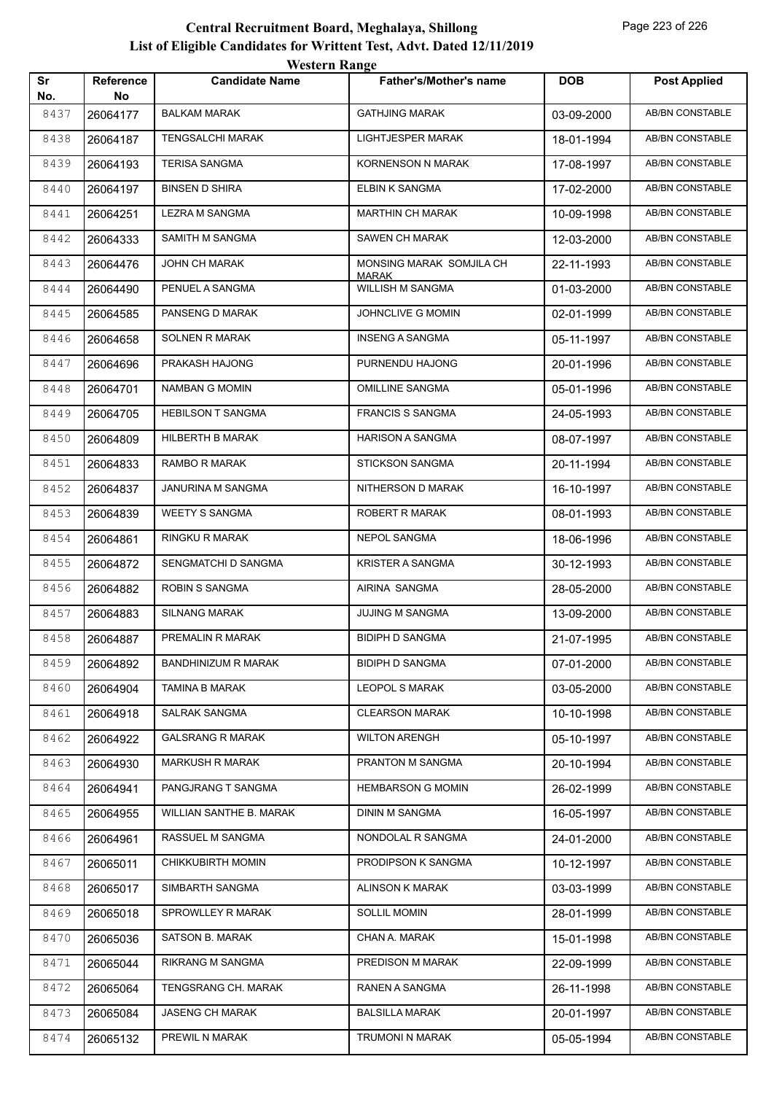| Sr          | Reference      | <b>Candidate Name</b>      | <b>Father's/Mother's name</b>    | <b>DOB</b> | <b>Post Applied</b>    |
|-------------|----------------|----------------------------|----------------------------------|------------|------------------------|
| No.<br>8437 | No<br>26064177 | <b>BALKAM MARAK</b>        | <b>GATHJING MARAK</b>            | 03-09-2000 | AB/BN CONSTABLE        |
| 8438        | 26064187       | <b>TENGSALCHI MARAK</b>    | LIGHTJESPER MARAK                | 18-01-1994 | <b>AB/BN CONSTABLE</b> |
| 8439        | 26064193       | <b>TERISA SANGMA</b>       | KORNENSON N MARAK                | 17-08-1997 | <b>AB/BN CONSTABLE</b> |
| 8440        | 26064197       | <b>BINSEN D SHIRA</b>      | ELBIN K SANGMA                   | 17-02-2000 | AB/BN CONSTABLE        |
| 8441        | 26064251       | LEZRA M SANGMA             | <b>MARTHIN CH MARAK</b>          | 10-09-1998 | AB/BN CONSTABLE        |
| 8442        | 26064333       | SAMITH M SANGMA            | SAWEN CH MARAK                   | 12-03-2000 | AB/BN CONSTABLE        |
| 8443        | 26064476       | JOHN CH MARAK              | MONSING MARAK SOMJILA CH         | 22-11-1993 | <b>AB/BN CONSTABLE</b> |
| 8444        | 26064490       | PENUEL A SANGMA            | <b>MARAK</b><br>WILLISH M SANGMA | 01-03-2000 | <b>AB/BN CONSTABLE</b> |
| 8445        | 26064585       | PANSENG D MARAK            | JOHNCLIVE G MOMIN                | 02-01-1999 | AB/BN CONSTABLE        |
| 8446        | 26064658       | <b>SOLNEN R MARAK</b>      | <b>INSENG A SANGMA</b>           | 05-11-1997 | AB/BN CONSTABLE        |
| 8447        | 26064696       | PRAKASH HAJONG             | PURNENDU HAJONG                  | 20-01-1996 | AB/BN CONSTABLE        |
| 8448        | 26064701       | NAMBAN G MOMIN             | <b>OMILLINE SANGMA</b>           | 05-01-1996 | AB/BN CONSTABLE        |
| 8449        | 26064705       | <b>HEBILSON T SANGMA</b>   | <b>FRANCIS S SANGMA</b>          | 24-05-1993 | <b>AB/BN CONSTABLE</b> |
| 8450        | 26064809       | HILBERTH B MARAK           | <b>HARISON A SANGMA</b>          | 08-07-1997 | AB/BN CONSTABLE        |
| 8451        | 26064833       | RAMBO R MARAK              | STICKSON SANGMA                  | 20-11-1994 | AB/BN CONSTABLE        |
| 8452        | 26064837       | JANURINA M SANGMA          | NITHERSON D MARAK                | 16-10-1997 | AB/BN CONSTABLE        |
| 8453        | 26064839       | <b>WEETY S SANGMA</b>      | ROBERT R MARAK                   | 08-01-1993 | AB/BN CONSTABLE        |
| 8454        | 26064861       | RINGKU R MARAK             | NEPOL SANGMA                     | 18-06-1996 | <b>AB/BN CONSTABLE</b> |
| 8455        | 26064872       | SENGMATCHI D SANGMA        | <b>KRISTER A SANGMA</b>          | 30-12-1993 | AB/BN CONSTABLE        |
| 8456        | 26064882       | ROBIN S SANGMA             | AIRINA SANGMA                    | 28-05-2000 | <b>AB/BN CONSTABLE</b> |
| 8457        | 26064883       | <b>SILNANG MARAK</b>       | <b>JUJING M SANGMA</b>           | 13-09-2000 | AB/BN CONSTABLE        |
| 8458        | 26064887       | PREMALIN R MARAK           | <b>BIDIPH D SANGMA</b>           | 21-07-1995 | <b>AB/BN CONSTABLE</b> |
| 8459        | 26064892       | <b>BANDHINIZUM R MARAK</b> | <b>BIDIPH D SANGMA</b>           | 07-01-2000 | AB/BN CONSTABLE        |
| 8460        | 26064904       | <b>TAMINA B MARAK</b>      | <b>LEOPOL S MARAK</b>            | 03-05-2000 | AB/BN CONSTABLE        |
| 8461        | 26064918       | <b>SALRAK SANGMA</b>       | <b>CLEARSON MARAK</b>            | 10-10-1998 | AB/BN CONSTABLE        |
| 8462        | 26064922       | <b>GALSRANG R MARAK</b>    | <b>WILTON ARENGH</b>             | 05-10-1997 | AB/BN CONSTABLE        |
| 8463        | 26064930       | <b>MARKUSH R MARAK</b>     | PRANTON M SANGMA                 | 20-10-1994 | AB/BN CONSTABLE        |
| 8464        | 26064941       | PANGJRANG T SANGMA         | <b>HEMBARSON G MOMIN</b>         | 26-02-1999 | AB/BN CONSTABLE        |
| 8465        | 26064955       | WILLIAN SANTHE B. MARAK    | <b>DININ M SANGMA</b>            | 16-05-1997 | AB/BN CONSTABLE        |
| 8466        | 26064961       | RASSUEL M SANGMA           | NONDOLAL R SANGMA                | 24-01-2000 | AB/BN CONSTABLE        |
| 8467        | 26065011       | <b>CHIKKUBIRTH MOMIN</b>   | PRODIPSON K SANGMA               | 10-12-1997 | AB/BN CONSTABLE        |
| 8468        | 26065017       | SIMBARTH SANGMA            | <b>ALINSON K MARAK</b>           | 03-03-1999 | AB/BN CONSTABLE        |
| 8469        | 26065018       | SPROWLLEY R MARAK          | <b>SOLLIL MOMIN</b>              | 28-01-1999 | AB/BN CONSTABLE        |
| 8470        | 26065036       | SATSON B. MARAK            | CHAN A. MARAK                    | 15-01-1998 | AB/BN CONSTABLE        |
| 8471        | 26065044       | RIKRANG M SANGMA           | PREDISON M MARAK                 | 22-09-1999 | AB/BN CONSTABLE        |
| 8472        | 26065064       | TENGSRANG CH. MARAK        | RANEN A SANGMA                   | 26-11-1998 | AB/BN CONSTABLE        |
| 8473        | 26065084       | <b>JASENG CH MARAK</b>     | <b>BALSILLA MARAK</b>            | 20-01-1997 | AB/BN CONSTABLE        |
| 8474        | 26065132       | PREWIL N MARAK             | TRUMONI N MARAK                  | 05-05-1994 | AB/BN CONSTABLE        |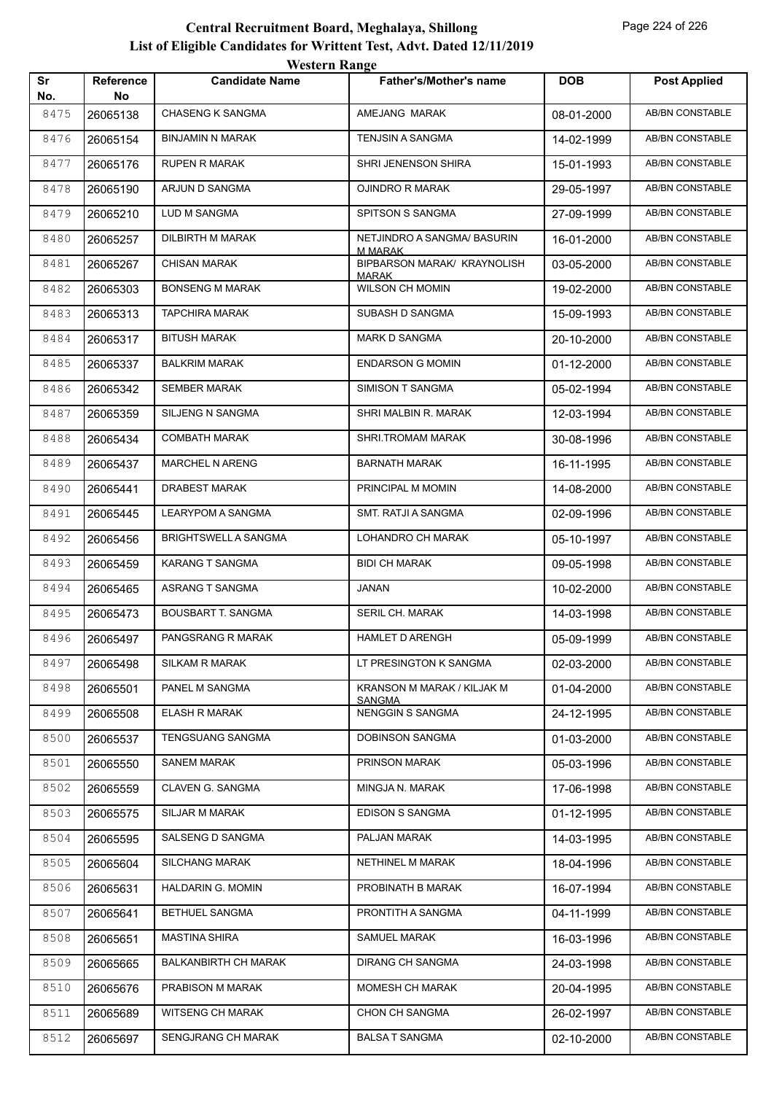| Sr   | <b>Reference</b> | <i><b>WEBULL WATER</b></i><br><b>Candidate Name</b> | <b>Father's/Mother's name</b>               | <b>DOB</b> | <b>Post Applied</b>    |
|------|------------------|-----------------------------------------------------|---------------------------------------------|------------|------------------------|
| No.  | No               |                                                     |                                             |            |                        |
| 8475 | 26065138         | <b>CHASENG K SANGMA</b>                             | AMEJANG MARAK                               | 08-01-2000 | AB/BN CONSTABLE        |
| 8476 | 26065154         | BINJAMIN N MARAK                                    | TENJSIN A SANGMA                            | 14-02-1999 | AB/BN CONSTABLE        |
| 8477 | 26065176         | <b>RUPEN R MARAK</b>                                | SHRI JENENSON SHIRA                         | 15-01-1993 | <b>AB/BN CONSTABLE</b> |
| 8478 | 26065190         | ARJUN D SANGMA                                      | OJINDRO R MARAK                             | 29-05-1997 | AB/BN CONSTABLE        |
| 8479 | 26065210         | LUD M SANGMA                                        | SPITSON S SANGMA                            | 27-09-1999 | AB/BN CONSTABLE        |
| 8480 | 26065257         | DILBIRTH M MARAK                                    | NETJINDRO A SANGMA/ BASURIN<br>M MARAK      | 16-01-2000 | AB/BN CONSTABLE        |
| 8481 | 26065267         | <b>CHISAN MARAK</b>                                 | BIPBARSON MARAK/ KRAYNOLISH<br>MARAK        | 03-05-2000 | AB/BN CONSTABLE        |
| 8482 | 26065303         | <b>BONSENG M MARAK</b>                              | <b>WILSON CH MOMIN</b>                      | 19-02-2000 | AB/BN CONSTABLE        |
| 8483 | 26065313         | <b>TAPCHIRA MARAK</b>                               | SUBASH D SANGMA                             | 15-09-1993 | AB/BN CONSTABLE        |
| 8484 | 26065317         | <b>BITUSH MARAK</b>                                 | MARK D SANGMA                               | 20-10-2000 | AB/BN CONSTABLE        |
| 8485 | 26065337         | BALKRIM MARAK                                       | <b>ENDARSON G MOMIN</b>                     | 01-12-2000 | AB/BN CONSTABLE        |
| 8486 | 26065342         | <b>SEMBER MARAK</b>                                 | SIMISON T SANGMA                            | 05-02-1994 | AB/BN CONSTABLE        |
| 8487 | 26065359         | SILJENG N SANGMA                                    | SHRI MALBIN R. MARAK                        | 12-03-1994 | AB/BN CONSTABLE        |
| 8488 | 26065434         | <b>COMBATH MARAK</b>                                | SHRI.TROMAM MARAK                           | 30-08-1996 | AB/BN CONSTABLE        |
| 8489 | 26065437         | MARCHEL N ARENG                                     | <b>BARNATH MARAK</b>                        | 16-11-1995 | AB/BN CONSTABLE        |
| 8490 | 26065441         | DRABEST MARAK                                       | PRINCIPAL M MOMIN                           | 14-08-2000 | AB/BN CONSTABLE        |
| 8491 | 26065445         | LEARYPOM A SANGMA                                   | SMT. RATJI A SANGMA                         | 02-09-1996 | AB/BN CONSTABLE        |
| 8492 | 26065456         | BRIGHTSWELL A SANGMA                                | LOHANDRO CH MARAK                           | 05-10-1997 | AB/BN CONSTABLE        |
| 8493 | 26065459         | KARANG T SANGMA                                     | <b>BIDI CH MARAK</b>                        | 09-05-1998 | AB/BN CONSTABLE        |
| 8494 | 26065465         | ASRANG T SANGMA                                     | JANAN                                       | 10-02-2000 | AB/BN CONSTABLE        |
| 8495 | 26065473         | <b>BOUSBART T. SANGMA</b>                           | SERIL CH. MARAK                             | 14-03-1998 | AB/BN CONSTABLE        |
| 8496 | 26065497         | PANGSRANG R MARAK                                   | <b>HAMLET D ARENGH</b>                      | 05-09-1999 | AB/BN CONSTABLE        |
| 8497 | 26065498         | <b>SILKAM R MARAK</b>                               | LT PRESINGTON K SANGMA                      | 02-03-2000 | AB/BN CONSTABLE        |
| 8498 | 26065501         | PANEL M SANGMA                                      | KRANSON M MARAK / KILJAK M<br><b>SANGMA</b> | 01-04-2000 | AB/BN CONSTABLE        |
| 8499 | 26065508         | <b>ELASH R MARAK</b>                                | <b>NENGGIN S SANGMA</b>                     | 24-12-1995 | AB/BN CONSTABLE        |
| 8500 | 26065537         | <b>TENGSUANG SANGMA</b>                             | <b>DOBINSON SANGMA</b>                      | 01-03-2000 | AB/BN CONSTABLE        |
| 8501 | 26065550         | <b>SANEM MARAK</b>                                  | PRINSON MARAK                               | 05-03-1996 | AB/BN CONSTABLE        |
| 8502 | 26065559         | CLAVEN G. SANGMA                                    | MINGJA N. MARAK                             | 17-06-1998 | AB/BN CONSTABLE        |
| 8503 | 26065575         | SILJAR M MARAK                                      | <b>EDISON S SANGMA</b>                      | 01-12-1995 | AB/BN CONSTABLE        |
| 8504 | 26065595         | SALSENG D SANGMA                                    | PALJAN MARAK                                | 14-03-1995 | AB/BN CONSTABLE        |
| 8505 | 26065604         | <b>SILCHANG MARAK</b>                               | NETHINEL M MARAK                            | 18-04-1996 | AB/BN CONSTABLE        |
| 8506 | 26065631         | HALDARIN G. MOMIN                                   | PROBINATH B MARAK                           | 16-07-1994 | AB/BN CONSTABLE        |
| 8507 | 26065641         | BETHUEL SANGMA                                      | PRONTITH A SANGMA                           | 04-11-1999 | AB/BN CONSTABLE        |
| 8508 | 26065651         | <b>MASTINA SHIRA</b>                                | SAMUEL MARAK                                | 16-03-1996 | AB/BN CONSTABLE        |
| 8509 | 26065665         | <b>BALKANBIRTH CH MARAK</b>                         | DIRANG CH SANGMA                            | 24-03-1998 | AB/BN CONSTABLE        |
| 8510 | 26065676         | PRABISON M MARAK                                    | MOMESH CH MARAK                             | 20-04-1995 | AB/BN CONSTABLE        |
| 8511 | 26065689         | WITSENG CH MARAK                                    | <b>CHON CH SANGMA</b>                       | 26-02-1997 | AB/BN CONSTABLE        |
| 8512 | 26065697         | <b>SENGJRANG CH MARAK</b>                           | <b>BALSA T SANGMA</b>                       | 02-10-2000 | AB/BN CONSTABLE        |
|      |                  |                                                     |                                             |            |                        |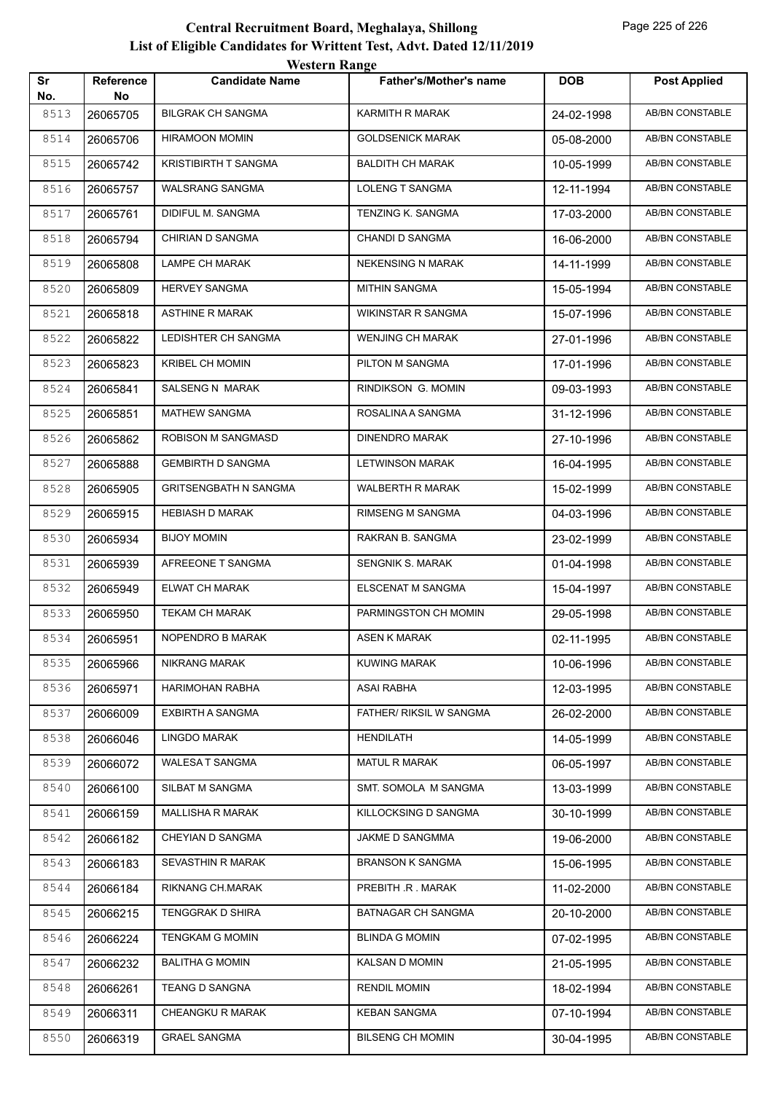|           |                 | <i>Western Kange</i>         |                               |            |                        |
|-----------|-----------------|------------------------------|-------------------------------|------------|------------------------|
| Sr<br>No. | Reference<br>No | <b>Candidate Name</b>        | <b>Father's/Mother's name</b> | <b>DOB</b> | <b>Post Applied</b>    |
| 8513      | 26065705        | <b>BILGRAK CH SANGMA</b>     | KARMITH R MARAK               | 24-02-1998 | <b>AB/BN CONSTABLE</b> |
| 8514      | 26065706        | HIRAMOON MOMIN               | <b>GOLDSENICK MARAK</b>       | 05-08-2000 | AB/BN CONSTABLE        |
| 8515      | 26065742        | <b>KRISTIBIRTH T SANGMA</b>  | <b>BALDITH CH MARAK</b>       | 10-05-1999 | <b>AB/BN CONSTABLE</b> |
| 8516      | 26065757        | <b>WALSRANG SANGMA</b>       | LOLENG T SANGMA               | 12-11-1994 | AB/BN CONSTABLE        |
| 8517      | 26065761        | DIDIFUL M. SANGMA            | TENZING K. SANGMA             | 17-03-2000 | <b>AB/BN CONSTABLE</b> |
| 8518      | 26065794        | CHIRIAN D SANGMA             | <b>CHANDI D SANGMA</b>        | 16-06-2000 | <b>AB/BN CONSTABLE</b> |
| 8519      | 26065808        | LAMPE CH MARAK               | <b>NEKENSING N MARAK</b>      | 14-11-1999 | AB/BN CONSTABLE        |
| 8520      | 26065809        | <b>HERVEY SANGMA</b>         | <b>MITHIN SANGMA</b>          | 15-05-1994 | <b>AB/BN CONSTABLE</b> |
| 8521      | 26065818        | <b>ASTHINE R MARAK</b>       | WIKINSTAR R SANGMA            | 15-07-1996 | AB/BN CONSTABLE        |
| 8522      | 26065822        | LEDISHTER CH SANGMA          | <b>WENJING CH MARAK</b>       | 27-01-1996 | <b>AB/BN CONSTABLE</b> |
| 8523      | 26065823        | <b>KRIBEL CH MOMIN</b>       | PILTON M SANGMA               | 17-01-1996 | <b>AB/BN CONSTABLE</b> |
| 8524      | 26065841        | <b>SALSENG N MARAK</b>       | RINDIKSON G. MOMIN            | 09-03-1993 | AB/BN CONSTABLE        |
| 8525      | 26065851        | MATHEW SANGMA                | ROSALINA A SANGMA             | 31-12-1996 | AB/BN CONSTABLE        |
| 8526      | 26065862        | ROBISON M SANGMASD           | <b>DINENDRO MARAK</b>         | 27-10-1996 | AB/BN CONSTABLE        |
| 8527      | 26065888        | <b>GEMBIRTH D SANGMA</b>     | <b>LETWINSON MARAK</b>        | 16-04-1995 | <b>AB/BN CONSTABLE</b> |
| 8528      | 26065905        | <b>GRITSENGBATH N SANGMA</b> | <b>WALBERTH R MARAK</b>       | 15-02-1999 | <b>AB/BN CONSTABLE</b> |
| 8529      | 26065915        | <b>HEBIASH D MARAK</b>       | <b>RIMSENG M SANGMA</b>       | 04-03-1996 | AB/BN CONSTABLE        |
| 8530      | 26065934        | <b>BIJOY MOMIN</b>           | RAKRAN B. SANGMA              | 23-02-1999 | AB/BN CONSTABLE        |
| 8531      | 26065939        | AFREEONE T SANGMA            | SENGNIK S. MARAK              | 01-04-1998 | AB/BN CONSTABLE        |
| 8532      | 26065949        | ELWAT CH MARAK               | ELSCENAT M SANGMA             | 15-04-1997 | AB/BN CONSTABLE        |
| 8533      | 26065950        | <b>TEKAM CH MARAK</b>        | PARMINGSTON CH MOMIN          | 29-05-1998 | <b>AB/BN CONSTABLE</b> |
| 8534      | 26065951        | NOPENDRO B MARAK             | ASEN K MARAK                  | 02-11-1995 | AB/BN CONSTABLE        |
| 8535      | 26065966        | <b>NIKRANG MARAK</b>         | <b>KUWING MARAK</b>           | 10-06-1996 | AB/BN CONSTABLE        |
| 8536      | 26065971        | HARIMOHAN RABHA              | <b>ASAI RABHA</b>             | 12-03-1995 | AB/BN CONSTABLE        |
| 8537      | 26066009        | EXBIRTH A SANGMA             | FATHER/ RIKSIL W SANGMA       | 26-02-2000 | AB/BN CONSTABLE        |
| 8538      | 26066046        | LINGDO MARAK                 | <b>HENDILATH</b>              | 14-05-1999 | AB/BN CONSTABLE        |
| 8539      | 26066072        | WALESA T SANGMA              | <b>MATUL R MARAK</b>          | 06-05-1997 | AB/BN CONSTABLE        |
| 8540      | 26066100        | SILBAT M SANGMA              | SMT. SOMOLA M SANGMA          | 13-03-1999 | AB/BN CONSTABLE        |
| 8541      | 26066159        | <b>MALLISHA R MARAK</b>      | KILLOCKSING D SANGMA          | 30-10-1999 | AB/BN CONSTABLE        |
| 8542      | 26066182        | CHEYIAN D SANGMA             | JAKME D SANGMMA               | 19-06-2000 | AB/BN CONSTABLE        |
| 8543      | 26066183        | SEVASTHIN R MARAK            | <b>BRANSON K SANGMA</b>       | 15-06-1995 | AB/BN CONSTABLE        |
| 8544      | 26066184        | RIKNANG CH.MARAK             | PREBITH .R . MARAK            | 11-02-2000 | AB/BN CONSTABLE        |
| 8545      | 26066215        | TENGGRAK D SHIRA             | BATNAGAR CH SANGMA            | 20-10-2000 | AB/BN CONSTABLE        |
| 8546      | 26066224        | <b>TENGKAM G MOMIN</b>       | <b>BLINDA G MOMIN</b>         | 07-02-1995 | AB/BN CONSTABLE        |
| 8547      | 26066232        | <b>BALITHA G MOMIN</b>       | KALSAN D MOMIN                | 21-05-1995 | AB/BN CONSTABLE        |
| 8548      | 26066261        | <b>TEANG D SANGNA</b>        | <b>RENDIL MOMIN</b>           | 18-02-1994 | AB/BN CONSTABLE        |
| 8549      | 26066311        | CHEANGKU R MARAK             | <b>KEBAN SANGMA</b>           | 07-10-1994 | AB/BN CONSTABLE        |
| 8550      | 26066319        | <b>GRAEL SANGMA</b>          | <b>BILSENG CH MOMIN</b>       | 30-04-1995 | AB/BN CONSTABLE        |